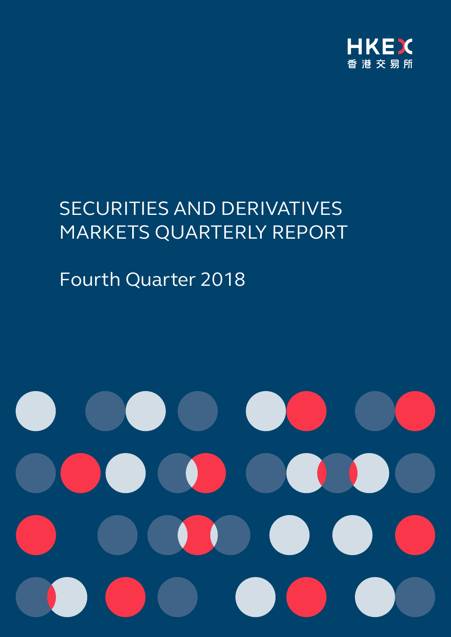

# SECURITIES AND DERIVATIVES MARKETS QUARTERLY REPORT

# Fourth Quarter 2018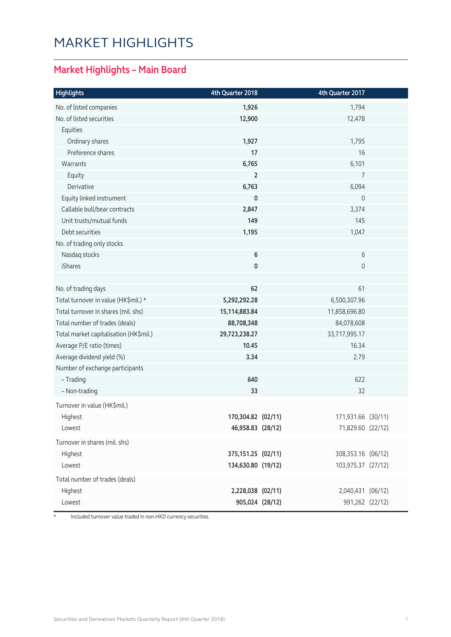### MARKET HIGHLIGHTS

#### **Market Highlights – Main Board**

| <b>Highlights</b>                      | 4th Quarter 2018    | 4th Quarter 2017    |  |
|----------------------------------------|---------------------|---------------------|--|
| No. of listed companies                | 1,926               | 1,794               |  |
| No. of listed securities               | 12,900              | 12,478              |  |
| Equities                               |                     |                     |  |
| Ordinary shares                        | 1,927               | 1,795               |  |
| Preference shares                      | 17                  | 16                  |  |
| Warrants                               | 6,765               | 6,101               |  |
| Equity                                 | $\overline{2}$      | 7                   |  |
| Derivative                             | 6,763               | 6,094               |  |
| Equity linked instrument               | 0                   | $\mathbf 0$         |  |
| Callable bull/bear contracts           | 2,847               | 3,374               |  |
| Unit trusts/mutual funds               | 149                 | 145                 |  |
| Debt securities                        | 1,195               | 1,047               |  |
| No. of trading only stocks             |                     |                     |  |
| Nasdaq stocks                          | $\bf 6$             | 6                   |  |
| iShares                                | 0                   | $\mathsf{O}\xspace$ |  |
|                                        |                     |                     |  |
| No. of trading days                    | 62                  | 61                  |  |
| Total turnover in value (HK\$mil.) *   | 5,292,292.28        | 6,500,307.96        |  |
| Total turnover in shares (mil. shs)    | 15,114,883.84       | 11,858,696.80       |  |
| Total number of trades (deals)         | 88,708,348          | 84,078,608          |  |
| Total market capitalisation (HK\$mil.) | 29,723,238.27       | 33,717,995.17       |  |
| Average P/E ratio (times)              | 10.45               | 16.34               |  |
| Average dividend yield (%)             | 3.34                | 2.79                |  |
| Number of exchange participants        |                     |                     |  |
| - Trading                              | 640                 | 622                 |  |
| - Non-trading                          | 33                  | 32                  |  |
| Turnover in value (HK\$mil.)           |                     |                     |  |
| Highest                                | 170,304.82 (02/11)  | 171,931.66 (30/11)  |  |
| Lowest                                 | 46,958.83 (28/12)   | 71,829.60 (22/12)   |  |
| Turnover in shares (mil. shs)          |                     |                     |  |
| Highest                                | 375, 151.25 (02/11) | 308,353.16 (06/12)  |  |
| Lowest                                 | 134,630.80 (19/12)  | 103,975.37 (27/12)  |  |
| Total number of trades (deals)         |                     |                     |  |
| Highest                                | 2,228,038 (02/11)   | 2,040,431 (06/12)   |  |
| Lowest                                 | 905,024 (28/12)     | 991,262 (22/12)     |  |

\* Included turnover value traded in non-HKD currency securities.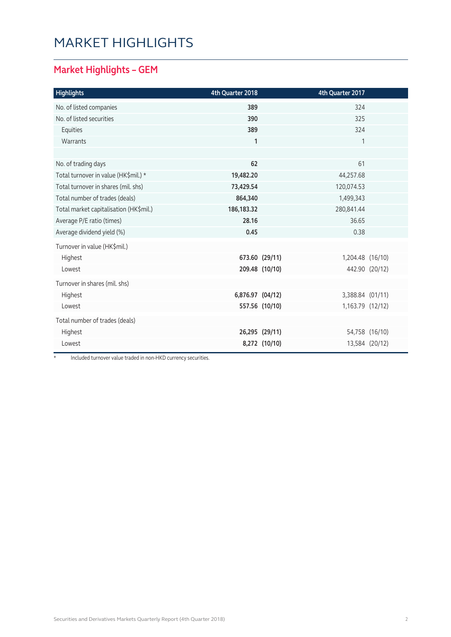### MARKET HIGHLIGHTS

#### **Market Highlights – GEM**

| <b>Highlights</b>                      | 4th Quarter 2018 |                | 4th Quarter 2017 |                |
|----------------------------------------|------------------|----------------|------------------|----------------|
| No. of listed companies                | 389              |                | 324              |                |
| No. of listed securities               | 390              |                | 325              |                |
| Equities                               | 389              |                | 324              |                |
| Warrants                               | $\mathbf{1}$     |                | 1                |                |
|                                        |                  |                |                  |                |
| No. of trading days                    | 62               |                | 61               |                |
| Total turnover in value (HK\$mil.) *   | 19,482.20        |                | 44,257.68        |                |
| Total turnover in shares (mil. shs)    | 73,429.54        |                | 120,074.53       |                |
| Total number of trades (deals)         | 864,340          |                | 1,499,343        |                |
| Total market capitalisation (HK\$mil.) | 186, 183. 32     |                | 280,841.44       |                |
| Average P/E ratio (times)              | 28.16            |                | 36.65            |                |
| Average dividend yield (%)             | 0.45             |                | 0.38             |                |
| Turnover in value (HK\$mil.)           |                  |                |                  |                |
| Highest                                |                  | 673.60 (29/11) | 1,204.48 (16/10) |                |
| Lowest                                 |                  | 209.48 (10/10) |                  | 442.90 (20/12) |
| Turnover in shares (mil. shs)          |                  |                |                  |                |
| Highest                                | 6,876.97 (04/12) |                | 3,388.84 (01/11) |                |
| Lowest                                 |                  | 557.56 (10/10) | 1,163.79 (12/12) |                |
| Total number of trades (deals)         |                  |                |                  |                |
| Highest                                |                  | 26,295 (29/11) |                  | 54,758 (16/10) |
| Lowest                                 |                  | 8,272 (10/10)  |                  | 13,584 (20/12) |

\* Included turnover value traded in non-HKD currency securities.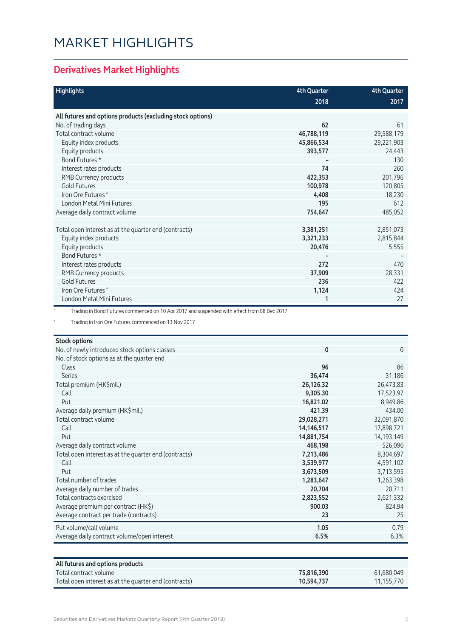### MARKET HIGHLIGHTS

#### **Derivatives Market Highlights**

| <b>Highlights</b>                                          | <b>4th Quarter</b> | <b>4th Quarter</b> |
|------------------------------------------------------------|--------------------|--------------------|
|                                                            | 2018               | 2017               |
| All futures and options products (excluding stock options) |                    |                    |
| No. of trading days                                        | 62                 | 61                 |
| Total contract volume                                      | 46,788,119         | 29,588,179         |
| Equity index products                                      | 45,866,534         | 29,221,903         |
| Equity products                                            | 393,577            | 24,443             |
| Bond Futures *                                             |                    | 130                |
| Interest rates products                                    | 74                 | 260                |
| RMB Currency products                                      | 422,353            | 201,796            |
| <b>Gold Futures</b>                                        | 100,978            | 120,805            |
| Iron Ore Futures <sup>^</sup>                              | 4,408              | 18,230             |
| London Metal Mini Futures                                  | 195                | 612                |
| Average daily contract volume                              | 754,647            | 485,052            |
|                                                            |                    |                    |
| Total open interest as at the quarter end (contracts)      | 3,381,251          | 2,851,073          |
| Equity index products                                      | 3,321,233          | 2,815,844          |
| Equity products                                            | 20,476             | 5,555              |
| Bond Futures *                                             |                    |                    |
| Interest rates products                                    | 272                | 470                |
| RMB Currency products                                      | 37,909             | 28,331             |
| <b>Gold Futures</b>                                        | 236                | 422                |
| Iron Ore Futures <sup>^</sup>                              | 1,124              | 424                |
| London Metal Mini Futures                                  |                    | 27                 |

Trading in Bond Futures commenced on 10 Apr 2017 and suspended with effect from 08 Dec 2017

^ Trading in Iron Ore Futures commenced on 13 Nov 2017

| <b>Stock options</b>                                               |            |
|--------------------------------------------------------------------|------------|
| No. of newly introduced stock options classes                      | 0<br>0     |
| No. of stock options as at the quarter end                         |            |
| <b>Class</b><br>96                                                 | 86         |
| <b>Series</b><br>36,474                                            | 31,186     |
| Total premium (HK\$mil.)<br>26,126.32                              | 26,473.83  |
| 9,305.30<br>Call                                                   | 17,523.97  |
| 16,821.02<br>Put                                                   | 8,949.86   |
| Average daily premium (HK\$mil.)<br>421.39                         | 434.00     |
| Total contract volume<br>29,028,271                                | 32,091,870 |
| Call<br>14,146,517                                                 | 17,898,721 |
| 14,881,754<br>Put                                                  | 14,193,149 |
| 468,198<br>Average daily contract volume                           | 526,096    |
| Total open interest as at the quarter end (contracts)<br>7,213,486 | 8,304,697  |
| Call<br>3,539,977                                                  | 4,591,102  |
| 3,673,509<br>Put                                                   | 3,713,595  |
| Total number of trades<br>1,283,647                                | 1,263,398  |
| Average daily number of trades<br>20,704                           | 20,711     |
| Total contracts exercised<br>2,823,552                             | 2,621,332  |
| Average premium per contract (HK\$)<br>900.03                      | 824.94     |
| Average contract per trade (contracts)<br>23                       | 25         |
| Put volume/call volume<br>1.05                                     | 0.79       |
| Average daily contract volume/open interest<br>6.5%                | 6.3%       |

| All futures and options products                      |            |            |
|-------------------------------------------------------|------------|------------|
| $\top$ otal contract volume $\top$                    | 75,816,390 | 61.680.049 |
| Total open interest as at the quarter end (contracts) | 10,594,737 | 11.155.770 |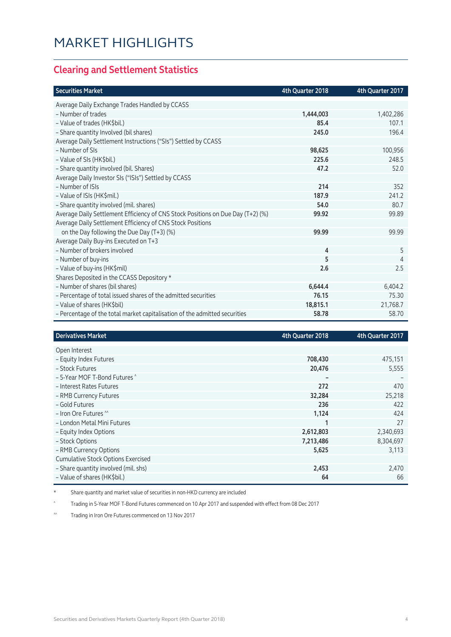#### **Clearing and Settlement Statistics**

| <b>Securities Market</b>                                                        | 4th Quarter 2018 | 4th Quarter 2017 |
|---------------------------------------------------------------------------------|------------------|------------------|
| Average Daily Exchange Trades Handled by CCASS                                  |                  |                  |
| - Number of trades                                                              | 1,444,003        | 1,402,286        |
| - Value of trades (HK\$bil.)                                                    | 85.4             | 107.1            |
| - Share quantity Involved (bil shares)                                          | 245.0            | 196.4            |
| Average Daily Settlement Instructions ("SIs") Settled by CCASS                  |                  |                  |
| - Number of SIs                                                                 | 98,625           | 100,956          |
| - Value of SIs (HK\$bil.)                                                       | 225.6            | 248.5            |
| - Share quantity involved (bil. Shares)                                         | 47.2             | 52.0             |
| Average Daily Investor SIs ("ISIs") Settled by CCASS                            |                  |                  |
| - Number of ISIs                                                                | 214              | 352              |
| - Value of ISIs (HK\$mil.)                                                      | 187.9            | 241.2            |
| - Share quantity involved (mil. shares)                                         | 54.0             | 80.7             |
| Average Daily Settlement Efficiency of CNS Stock Positions on Due Day (T+2) (%) | 99.92            | 99.89            |
| Average Daily Settlement Efficiency of CNS Stock Positions                      |                  |                  |
| on the Day following the Due Day (T+3) (%)                                      | 99.99            | 99.99            |
| Average Daily Buy-ins Executed on T+3                                           |                  |                  |
| - Number of brokers involved                                                    | 4                | 5                |
| - Number of buy-ins                                                             | 5                | 4                |
| - Value of buy-ins (HK\$mil)                                                    | 2.6              | 2.5              |
| Shares Deposited in the CCASS Depository *                                      |                  |                  |
| - Number of shares (bil shares)                                                 | 6,644.4          | 6,404.2          |
| - Percentage of total issued shares of the admitted securities                  | 76.15            | 75.30            |
| - Value of shares (HK\$bil)                                                     | 18,815.1         | 21,768.7         |
| - Percentage of the total market capitalisation of the admitted securities      | 58.78            | 58.70            |

| <b>Derivatives Market</b>                 | 4th Quarter 2018 | 4th Quarter 2017 |
|-------------------------------------------|------------------|------------------|
| Open Interest                             |                  |                  |
| - Equity Index Futures                    | 708,430          | 475,151          |
| - Stock Futures                           | 20,476           | 5,555            |
| - 5-Year MOF T-Bond Futures ^             |                  |                  |
| - Interest Rates Futures                  | 272              | 470              |
| - RMB Currency Futures                    | 32,284           | 25,218           |
| - Gold Futures                            | 236              | 422              |
| - Iron Ore Futures <sup>M</sup>           | 1,124            | 424              |
| - London Metal Mini Futures               |                  | 27               |
| - Equity Index Options                    | 2,612,803        | 2,340,693        |
| - Stock Options                           | 7,213,486        | 8,304,697        |
| - RMB Currency Options                    | 5,625            | 3,113            |
| <b>Cumulative Stock Options Exercised</b> |                  |                  |
| - Share quantity involved (mil. shs)      | 2,453            | 2,470            |
| - Value of shares (HK\$bil.)              | 64               | 66               |

\* Share quantity and market value of securities in non-HKD currency are included

^ Trading in 5-Year MOF T-Bond Futures commenced on 10 Apr 2017 and suspended with effect from 08 Dec 2017

^^ Trading in Iron Ore Futures commenced on 13 Nov 2017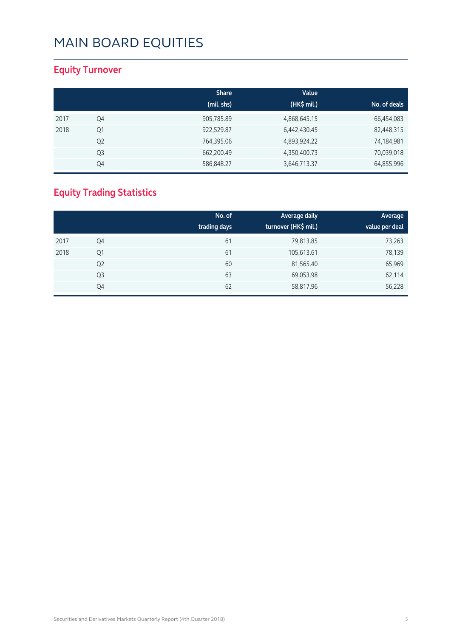#### **Equity Turnover**

|      |                | <b>Share</b> | Value        |              |
|------|----------------|--------------|--------------|--------------|
|      |                | (mil. shs)   | (HK\$ mil.)  | No. of deals |
| 2017 | Q4             | 905,785.89   | 4,868,645.15 | 66,454,083   |
| 2018 | Q <sub>1</sub> | 922,529.87   | 6,442,430.45 | 82,448,315   |
|      | Q <sub>2</sub> | 764,395.06   | 4,893,924.22 | 74,184,981   |
|      | Q3             | 662,200.49   | 4,350,400.73 | 70,039,018   |
|      | Q4             | 586,848.27   | 3,646,713.37 | 64,855,996   |

### **Equity Trading Statistics**

|      |                | No. of<br>trading days | Average daily<br>turnover (HK\$ mil.) | Average<br>value per deal |
|------|----------------|------------------------|---------------------------------------|---------------------------|
| 2017 | Q4             | 61                     | 79,813.85                             | 73,263                    |
| 2018 | Q1             | 61                     | 105,613.61                            | 78,139                    |
|      | Q <sub>2</sub> | 60                     | 81,565.40                             | 65,969                    |
|      | Q <sub>3</sub> | 63                     | 69,053.98                             | 62,114                    |
|      | Q4             | 62                     | 58,817.96                             | 56,228                    |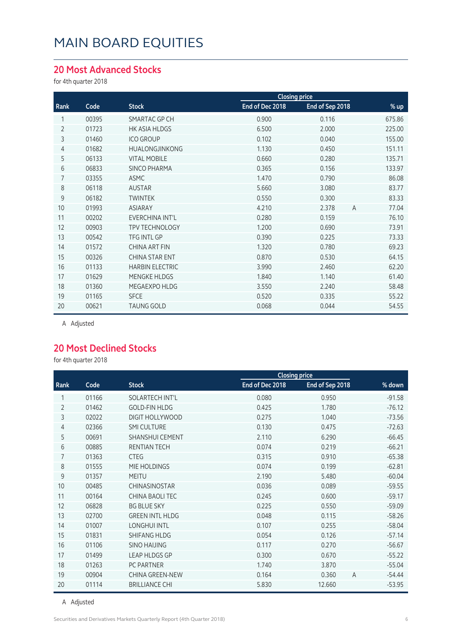#### **20 Most Advanced Stocks**

for 4th quarter 2018

| Code  | <b>Stock</b>           | End of Dec 2018 | End of Sep 2018         | % up                 |
|-------|------------------------|-----------------|-------------------------|----------------------|
| 00395 | SMARTAC GP CH          | 0.900           | 0.116                   | 675.86               |
| 01723 | <b>HK ASIA HLDGS</b>   | 6.500           | 2.000                   | 225.00               |
| 01460 | <b>ICO GROUP</b>       | 0.102           | 0.040                   | 155.00               |
| 01682 | <b>HUALONGJINKONG</b>  | 1.130           | 0.450                   | 151.11               |
| 06133 | <b>VITAL MOBILE</b>    | 0.660           | 0.280                   | 135.71               |
| 06833 | <b>SINCO PHARMA</b>    | 0.365           | 0.156                   | 133.97               |
| 03355 | <b>ASMC</b>            | 1.470           | 0.790                   | 86.08                |
| 06118 | <b>AUSTAR</b>          | 5.660           | 3.080                   | 83.77                |
| 06182 | <b>TWINTEK</b>         | 0.550           | 0.300                   | 83.33                |
| 01993 | <b>ASIARAY</b>         | 4.210           | $\overline{A}$<br>2.378 | 77.04                |
| 00202 | EVERCHINA INT'L        | 0.280           | 0.159                   | 76.10                |
| 00903 | <b>TPV TECHNOLOGY</b>  | 1.200           | 0.690                   | 73.91                |
| 00542 | <b>TFG INTL GP</b>     | 0.390           | 0.225                   | 73.33                |
| 01572 | <b>CHINA ART FIN</b>   | 1.320           | 0.780                   | 69.23                |
| 00326 | <b>CHINA STAR ENT</b>  | 0.870           | 0.530                   | 64.15                |
| 01133 | <b>HARBIN ELECTRIC</b> | 3.990           | 2.460                   | 62.20                |
| 01629 | <b>MENGKE HLDGS</b>    | 1.840           | 1.140                   | 61.40                |
| 01360 | MEGAEXPO HLDG          | 3.550           | 2.240                   | 58.48                |
| 01165 | <b>SFCE</b>            | 0.520           | 0.335                   | 55.22                |
| 00621 | <b>TAUNG GOLD</b>      | 0.068           | 0.044                   | 54.55                |
|       |                        |                 |                         | <b>Closing price</b> |

A Adjusted

#### **20 Most Declined Stocks**

for 4th quarter 2018

|                |       |                        |                 | <b>Closing price</b> |                            |
|----------------|-------|------------------------|-----------------|----------------------|----------------------------|
| Rank           | Code  | <b>Stock</b>           | End of Dec 2018 | End of Sep 2018      | % down                     |
| 1              | 01166 | SOLARTECH INT'L        | 0.080           | 0.950                | $-91.58$                   |
| $\overline{2}$ | 01462 | <b>GOLD-FIN HLDG</b>   | 0.425           | 1.780                | $-76.12$                   |
| 3              | 02022 | <b>DIGIT HOLLYWOOD</b> | 0.275           | 1.040                | $-73.56$                   |
| $\overline{4}$ | 02366 | <b>SMI CULTURE</b>     | 0.130           | 0.475                | $-72.63$                   |
| 5              | 00691 | <b>SHANSHUI CEMENT</b> | 2.110           | 6.290                | $-66.45$                   |
| 6              | 00885 | <b>RENTIAN TECH</b>    | 0.074           | 0.219                | $-66.21$                   |
| 7              | 01363 | <b>CTEG</b>            | 0.315           | 0.910                | $-65.38$                   |
| 8              | 01555 | MIE HOLDINGS           | 0.074           | 0.199                | $-62.81$                   |
| 9              | 01357 | <b>MEITU</b>           | 2.190           | 5.480                | $-60.04$                   |
| 10             | 00485 | <b>CHINASINOSTAR</b>   | 0.036           | 0.089                | $-59.55$                   |
| 11             | 00164 | CHINA BAOLI TEC        | 0.245           | 0.600                | $-59.17$                   |
| 12             | 06828 | <b>BG BLUE SKY</b>     | 0.225           | 0.550                | $-59.09$                   |
| 13             | 02700 | <b>GREEN INTL HLDG</b> | 0.048           | 0.115                | $-58.26$                   |
| 14             | 01007 | <b>LONGHUI INTL</b>    | 0.107           | 0.255                | $-58.04$                   |
| 15             | 01831 | <b>SHIFANG HLDG</b>    | 0.054           | 0.126                | $-57.14$                   |
| 16             | 01106 | <b>SINO HAIJING</b>    | 0.117           | 0.270                | $-56.67$                   |
| 17             | 01499 | <b>LEAP HLDGS GP</b>   | 0.300           | 0.670                | $-55.22$                   |
| 18             | 01263 | <b>PC PARTNER</b>      | 1.740           | 3.870                | $-55.04$                   |
| 19             | 00904 | <b>CHINA GREEN-NEW</b> | 0.164           | 0.360                | $\overline{A}$<br>$-54.44$ |
| 20             | 01114 | <b>BRILLIANCE CHI</b>  | 5.830           | 12.660               | $-53.95$                   |

A Adjusted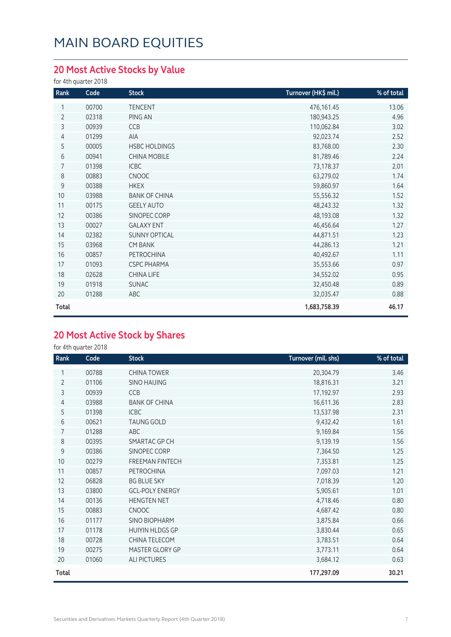#### **20 Most Active Stocks by Value**

for 4th quarter 2018

| Rank           | Code  | <b>Stock</b>         | Turnover (HK\$ mil.) | % of total |
|----------------|-------|----------------------|----------------------|------------|
| 1              | 00700 | <b>TENCENT</b>       | 476,161.45           | 13.06      |
| $\overline{2}$ | 02318 | PING AN              | 180,943.25           | 4.96       |
| 3              | 00939 | CCB                  | 110,062.84           | 3.02       |
| 4              | 01299 | AIA                  | 92,023.74            | 2.52       |
| 5              | 00005 | <b>HSBC HOLDINGS</b> | 83,768.00            | 2.30       |
| 6              | 00941 | <b>CHINA MOBILE</b>  | 81,789.46            | 2.24       |
| 7              | 01398 | <b>ICBC</b>          | 73,178.37            | 2.01       |
| 8              | 00883 | CNOOC                | 63,279.02            | 1.74       |
| 9              | 00388 | <b>HKEX</b>          | 59,860.97            | 1.64       |
| 10             | 03988 | <b>BANK OF CHINA</b> | 55,556.32            | 1.52       |
| 11             | 00175 | <b>GEELY AUTO</b>    | 48,243.32            | 1.32       |
| 12             | 00386 | SINOPEC CORP         | 48,193.08            | 1.32       |
| 13             | 00027 | <b>GALAXY ENT</b>    | 46,456.64            | 1.27       |
| 14             | 02382 | <b>SUNNY OPTICAL</b> | 44,871.51            | 1.23       |
| 15             | 03968 | <b>CM BANK</b>       | 44,286.13            | 1.21       |
| 16             | 00857 | PETROCHINA           | 40,492.67            | 1.11       |
| 17             | 01093 | <b>CSPC PHARMA</b>   | 35,553.66            | 0.97       |
| 18             | 02628 | <b>CHINA LIFE</b>    | 34,552.02            | 0.95       |
| 19             | 01918 | <b>SUNAC</b>         | 32,450.48            | 0.89       |
| 20             | 01288 | ABC                  | 32,035.47            | 0.88       |
| Total          |       |                      | 1,683,758.39         | 46.17      |

#### **20 Most Active Stock by Shares**

for 4th quarter 2018

| Rank           | Code  | <b>Stock</b>           | Turnover (mil. shs) | % of total |
|----------------|-------|------------------------|---------------------|------------|
| 1              | 00788 | <b>CHINA TOWER</b>     | 20,304.79           | 3.46       |
| $\overline{2}$ | 01106 | <b>SINO HAIJING</b>    | 18,816.31           | 3.21       |
| 3              | 00939 | CCB                    | 17,192.97           | 2.93       |
| 4              | 03988 | <b>BANK OF CHINA</b>   | 16,611.36           | 2.83       |
| 5              | 01398 | <b>ICBC</b>            | 13,537.98           | 2.31       |
| 6              | 00621 | <b>TAUNG GOLD</b>      | 9,432.42            | 1.61       |
| $\overline{7}$ | 01288 | ABC                    | 9,169.84            | 1.56       |
| 8              | 00395 | SMARTAC GP CH          | 9,139.19            | 1.56       |
| 9              | 00386 | SINOPEC CORP           | 7,364.50            | 1.25       |
| 10             | 00279 | <b>FREEMAN FINTECH</b> | 7,353.81            | 1.25       |
| 11             | 00857 | PETROCHINA             | 7,097.03            | 1.21       |
| 12             | 06828 | <b>BG BLUE SKY</b>     | 7,018.39            | 1.20       |
| 13             | 03800 | <b>GCL-POLY ENERGY</b> | 5,905.61            | 1.01       |
| 14             | 00136 | <b>HENGTEN NET</b>     | 4,718.46            | 0.80       |
| 15             | 00883 | <b>CNOOC</b>           | 4,687.42            | 0.80       |
| 16             | 01177 | <b>SINO BIOPHARM</b>   | 3,875.84            | 0.66       |
| 17             | 01178 | <b>HUIYIN HLDGS GP</b> | 3,830.44            | 0.65       |
| 18             | 00728 | CHINA TELECOM          | 3,783.51            | 0.64       |
| 19             | 00275 | MASTER GLORY GP        | 3,773.11            | 0.64       |
| 20             | 01060 | <b>ALI PICTURES</b>    | 3,684.12            | 0.63       |
| Total          |       |                        | 177,297.09          | 30.21      |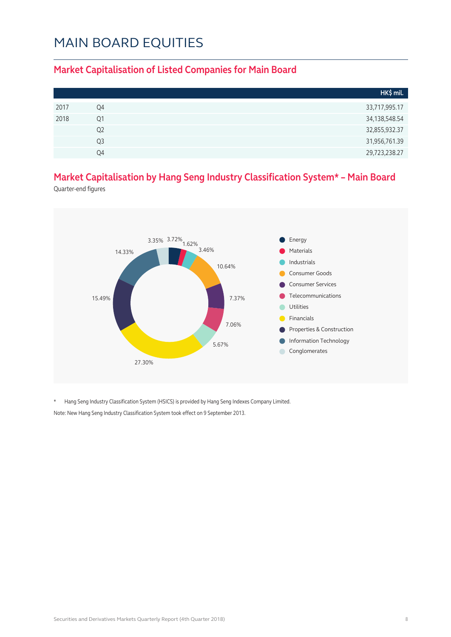#### **Market Capitalisation of Listed Companies for Main Board**

|      |                | HK\$ mil.        |
|------|----------------|------------------|
| 2017 | Q4             | 33,717,995.17    |
| 2018 | Q1             | 34, 138, 548. 54 |
|      | Q <sub>2</sub> | 32,855,932.37    |
|      | Q3             | 31,956,761.39    |
|      | 04             | 29,723,238.27    |

#### **Market Capitalisation by Hang Seng Industry Classification System\* – Main Board**

Quarter-end figures



\* Hang Seng Industry Classification System (HSICS) is provided by Hang Seng Indexes Company Limited. Note: New Hang Seng Industry Classification System took effect on 9 September 2013.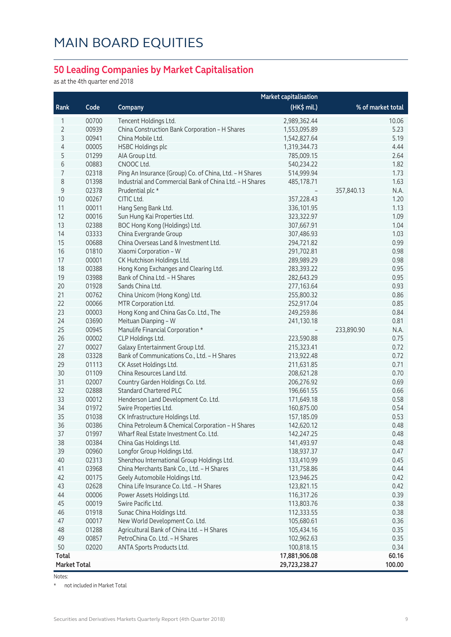#### **50 Leading Companies by Market Capitalisation**

as at the 4th quarter end 2018

|                     |       | <b>Market capitalisation</b>                            |               |                    |  |
|---------------------|-------|---------------------------------------------------------|---------------|--------------------|--|
| Rank                | Code  | Company                                                 | (HK\$ mil.)   | % of market total  |  |
| 1                   | 00700 | Tencent Holdings Ltd.                                   | 2,989,362.44  | 10.06              |  |
| $\overline{2}$      | 00939 | China Construction Bank Corporation - H Shares          | 1,553,095.89  | 5.23               |  |
| 3                   | 00941 | China Mobile I td.                                      | 1,542,827.64  | 5.19               |  |
| 4                   | 00005 | <b>HSBC Holdings plc</b>                                | 1,319,344.73  | 4.44               |  |
| 5                   | 01299 | AIA Group Ltd.                                          | 785,009.15    | 2.64               |  |
| 6                   | 00883 | CNOOC Ltd.                                              | 540,234.22    | 1.82               |  |
| 7                   | 02318 | Ping An Insurance (Group) Co. of China, Ltd. - H Shares | 514,999.94    | 1.73               |  |
| 8                   | 01398 | Industrial and Commercial Bank of China Ltd. - H Shares | 485,178.71    | 1.63               |  |
| $\mathsf 9$         | 02378 | Prudential plc *                                        |               | 357,840.13<br>N.A. |  |
| 10                  | 00267 | CITIC Ltd.                                              | 357,228.43    | 1.20               |  |
| 11                  | 00011 | Hang Seng Bank Ltd.                                     | 336,101.95    | 1.13               |  |
| 12                  | 00016 | Sun Hung Kai Properties Ltd.                            | 323,322.97    | 1.09               |  |
| 13                  | 02388 | BOC Hong Kong (Holdings) Ltd.                           | 307,667.91    | 1.04               |  |
| 14                  | 03333 | China Evergrande Group                                  | 307,486.93    | 1.03               |  |
| 15                  | 00688 | China Overseas Land & Investment Ltd.                   | 294,721.82    | 0.99               |  |
| 16                  | 01810 | Xiaomi Corporation - W                                  | 291,702.81    | 0.98               |  |
| 17                  | 00001 | CK Hutchison Holdings Ltd.                              | 289,989.29    | 0.98               |  |
| 18                  | 00388 | Hong Kong Exchanges and Clearing Ltd.                   | 283,393.22    | 0.95               |  |
| 19                  | 03988 | Bank of China Ltd. - H Shares                           | 282,643.29    | 0.95               |  |
| 20                  | 01928 | Sands China Ltd.                                        | 277,163.64    | 0.93               |  |
| 21                  | 00762 | China Unicom (Hong Kong) Ltd.                           | 255,800.32    | 0.86               |  |
| 22                  | 00066 | MTR Corporation Ltd.                                    | 252,917.04    | 0.85               |  |
| 23                  | 00003 | Hong Kong and China Gas Co. Ltd., The                   | 249,259.86    | 0.84               |  |
| 24                  | 03690 | Meituan Dianping - W                                    | 241,130.18    | 0.81               |  |
| 25                  | 00945 | Manulife Financial Corporation *                        |               | 233,890.90<br>N.A. |  |
| 26                  | 00002 | CLP Holdings Ltd.                                       | 223,590.88    | 0.75               |  |
| 27                  | 00027 | Galaxy Entertainment Group Ltd.                         | 215,323.41    | 0.72               |  |
| 28                  | 03328 | Bank of Communications Co., Ltd. - H Shares             | 213,922.48    | 0.72               |  |
| 29                  | 01113 | CK Asset Holdings Ltd.                                  | 211,631.85    | 0.71               |  |
| 30                  | 01109 | China Resources Land Ltd.                               | 208,621.28    | 0.70               |  |
| 31                  | 02007 | Country Garden Holdings Co. Ltd.                        | 206,276.92    | 0.69               |  |
| 32                  | 02888 | <b>Standard Chartered PLC</b>                           | 196,661.55    | 0.66               |  |
| 33                  | 00012 | Henderson Land Development Co. Ltd.                     | 171,649.18    | 0.58               |  |
| 34                  | 01972 | Swire Properties Ltd.                                   | 160,875.00    | 0.54               |  |
| 35                  | 01038 | CK Infrastructure Holdings Ltd.                         | 157,185.09    | 0.53               |  |
| 36                  | 00386 | China Petroleum & Chemical Corporation - H Shares       | 142,620.12    | 0.48               |  |
| 37                  | 01997 | Wharf Real Estate Investment Co. Ltd.                   | 142,247.25    | 0.48               |  |
| 38                  | 00384 | China Gas Holdings Ltd.                                 | 141,493.97    | 0.48               |  |
| 39                  | 00960 | Longfor Group Holdings Ltd.                             | 138,937.37    | 0.47               |  |
| 40                  | 02313 | Shenzhou International Group Holdings Ltd.              | 133,410.99    | 0.45               |  |
| 41                  | 03968 | China Merchants Bank Co., Ltd. - H Shares               | 131,758.86    | 0.44               |  |
| 42                  | 00175 | Geely Automobile Holdings Ltd.                          | 123,946.25    | 0.42               |  |
| 43                  | 02628 | China Life Insurance Co. Ltd. - H Shares                | 123,821.15    | 0.42               |  |
| 44                  | 00006 | Power Assets Holdings Ltd.                              | 116,317.26    | 0.39               |  |
| 45                  | 00019 | Swire Pacific Ltd.                                      | 113,803.76    | 0.38               |  |
| 46                  | 01918 | Sunac China Holdings Ltd.                               | 112,333.55    | 0.38               |  |
| 47                  | 00017 | New World Development Co. Ltd.                          | 105,680.61    | 0.36               |  |
| 48                  | 01288 | Agricultural Bank of China Ltd. - H Shares              | 105,434.16    | 0.35               |  |
| 49                  | 00857 | PetroChina Co. Ltd. - H Shares                          | 102,962.63    | 0.35               |  |
| 50                  | 02020 | ANTA Sports Products Ltd.                               | 100,818.15    | 0.34               |  |
| <b>Total</b>        |       |                                                         | 17,881,906.08 | 60.16              |  |
| <b>Market Total</b> |       |                                                         | 29,723,238.27 | 100.00             |  |

Notes:

\* not included in Market Total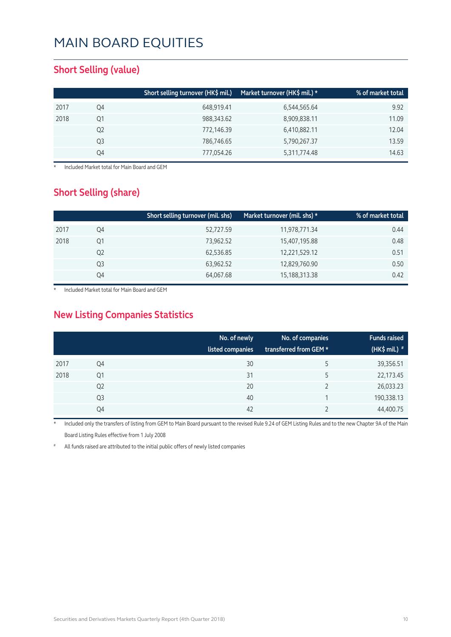#### **Short Selling (value)**

|      |    | Short selling turnover (HK\$ mil.) | Market turnover (HK\$ mil.) * | % of market total |
|------|----|------------------------------------|-------------------------------|-------------------|
| 2017 | Q4 | 648,919.41                         | 6,544,565.64                  | 9.92              |
| 2018 | Q1 | 988,343.62                         | 8,909,838.11                  | 11.09             |
|      | Q2 | 772,146.39                         | 6,410,882.11                  | 12.04             |
|      | Q3 | 786,746.65                         | 5,790,267.37                  | 13.59             |
|      | Q4 | 777,054.26                         | 5,311,774.48                  | 14.63             |

**Included Market total for Main Board and GEM** 

#### **Short Selling (share)**

|      |    | Short selling turnover (mil. shs) | Market turnover (mil. shs) * | % of market total |
|------|----|-----------------------------------|------------------------------|-------------------|
| 2017 | Q4 | 52,727.59                         | 11,978,771.34                | 0.44              |
| 2018 | Q1 | 73,962.52                         | 15,407,195.88                | 0.48              |
|      | Q2 | 62,536.85                         | 12,221,529.12                | 0.51              |
|      | Q3 | 63,962.52                         | 12,829,760.90                | 0.50              |
|      | Q4 | 64,067.68                         | 15,188,313.38                | 0.42              |

Included Market total for Main Board and GEM

#### **New Listing Companies Statistics**

|      |                | No. of newly<br>listed companies | No. of companies<br>transferred from GEM * | <b>Funds raised</b><br>(HK\$ mil.) $*$ |
|------|----------------|----------------------------------|--------------------------------------------|----------------------------------------|
| 2017 | Q4             | 30                               | 5                                          | 39,356.51                              |
| 2018 | Q1             | 31                               | 5                                          | 22,173.45                              |
|      | Q <sub>2</sub> | 20                               |                                            | 26,033.23                              |
|      | Q3             | 40                               |                                            | 190,338.13                             |
|      | Q4             | 42                               |                                            | 44,400.75                              |

Included only the transfers of listing from GEM to Main Board pursuant to the revised Rule 9.24 of GEM Listing Rules and to the new Chapter 9A of the Main Board Listing Rules effective from 1 July 2008

All funds raised are attributed to the initial public offers of newly listed companies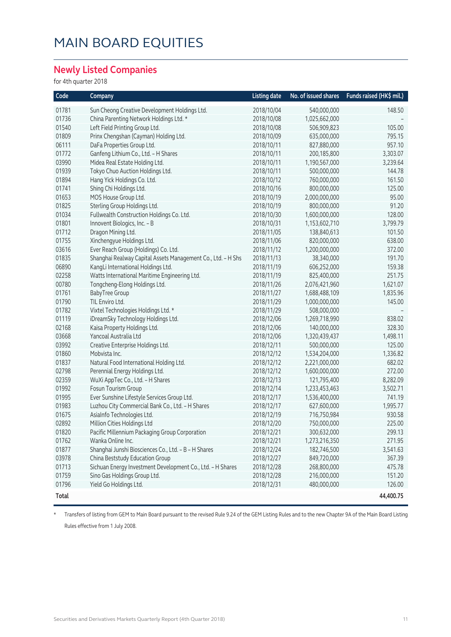#### **Newly Listed Companies**

for 4th quarter 2018

| Code         | Company                                                      | <b>Listing date</b> | No. of issued shares | Funds raised (HK\$ mil.) |
|--------------|--------------------------------------------------------------|---------------------|----------------------|--------------------------|
| 01781        | Sun Cheong Creative Development Holdings Ltd.                | 2018/10/04          | 540,000,000          | 148.50                   |
| 01736        | China Parenting Network Holdings Ltd. *                      | 2018/10/08          | 1,025,662,000        |                          |
| 01540        | Left Field Printing Group Ltd.                               | 2018/10/08          | 506,909,823          | 105.00                   |
| 01809        | Prinx Chengshan (Cayman) Holding Ltd.                        | 2018/10/09          | 635,000,000          | 795.15                   |
| 06111        | DaFa Properties Group Ltd.                                   | 2018/10/11          | 827,880,000          | 957.10                   |
| 01772        | Ganfeng Lithium Co., Ltd. - H Shares                         | 2018/10/11          | 200,185,800          | 3,303.07                 |
| 03990        | Midea Real Estate Holding Ltd.                               | 2018/10/11          | 1,190,567,000        | 3,239.64                 |
| 01939        | Tokyo Chuo Auction Holdings Ltd.                             | 2018/10/11          | 500,000,000          | 144.78                   |
| 01894        | Hang Yick Holdings Co. Ltd.                                  | 2018/10/12          | 760,000,000          | 161.50                   |
| 01741        | Shing Chi Holdings Ltd.                                      | 2018/10/16          | 800,000,000          | 125.00                   |
| 01653        | MOS House Group Ltd.                                         | 2018/10/19          | 2,000,000,000        | 95.00                    |
| 01825        | Sterling Group Holdings Ltd.                                 | 2018/10/19          | 800,000,000          | 91.20                    |
| 01034        | Fullwealth Construction Holdings Co. Ltd.                    | 2018/10/30          | 1,600,000,000        | 128.00                   |
| 01801        | Innovent Biologics, Inc. - B                                 | 2018/10/31          | 1,153,602,710        | 3,799.79                 |
| 01712        | Dragon Mining Ltd.                                           | 2018/11/05          | 138,840,613          | 101.50                   |
| 01755        | Xinchengyue Holdings Ltd.                                    | 2018/11/06          | 820,000,000          | 638.00                   |
| 03616        | Ever Reach Group (Holdings) Co. Ltd.                         | 2018/11/12          | 1,200,000,000        | 372.00                   |
| 01835        | Shanghai Realway Capital Assets Management Co., Ltd. - H Shs | 2018/11/13          | 38,340,000           | 191.70                   |
| 06890        | KangLi International Holdings Ltd.                           | 2018/11/19          | 606,252,000          | 159.38                   |
| 02258        | Watts International Maritime Engineering Ltd.                | 2018/11/19          | 825,400,000          | 251.75                   |
| 00780        | Tongcheng-Elong Holdings Ltd.                                | 2018/11/26          | 2,076,421,960        | 1,621.07                 |
| 01761        | <b>BabyTree Group</b>                                        | 2018/11/27          | 1,688,488,109        | 1,835.96                 |
| 01790        | TIL Enviro Ltd.                                              | 2018/11/29          | 1,000,000,000        | 145.00                   |
| 01782        | Vixtel Technologies Holdings Ltd. *                          | 2018/11/29          | 508,000,000          |                          |
| 01119        | iDreamSky Technology Holdings Ltd.                           | 2018/12/06          | 1,269,718,990        | 838.02                   |
| 02168        | Kaisa Property Holdings Ltd.                                 | 2018/12/06          | 140,000,000          | 328.30                   |
| 03668        | Yancoal Australia Ltd                                        | 2018/12/06          | 1,320,439,437        | 1,498.11                 |
| 03992        | Creative Enterprise Holdings Ltd.                            | 2018/12/11          | 500,000,000          | 125.00                   |
| 01860        | Mobvista Inc.                                                | 2018/12/12          | 1,534,204,000        | 1,336.82                 |
| 01837        | Natural Food International Holding Ltd.                      | 2018/12/12          | 2,221,000,000        | 682.02                   |
| 02798        | Perennial Energy Holdings Ltd.                               | 2018/12/12          | 1,600,000,000        | 272.00                   |
| 02359        | WuXi AppTec Co., Ltd. - H Shares                             | 2018/12/13          | 121,795,400          | 8,282.09                 |
| 01992        | Fosun Tourism Group                                          | 2018/12/14          | 1,233,453,463        | 3,502.71                 |
| 01995        | Ever Sunshine Lifestyle Services Group Ltd.                  | 2018/12/17          | 1,536,400,000        | 741.19                   |
| 01983        | Luzhou City Commercial Bank Co., Ltd. - H Shares             | 2018/12/17          | 627,600,000          | 1,995.77                 |
| 01675        | AsiaInfo Technologies Ltd.                                   | 2018/12/19          | 716,750,984          | 930.58                   |
| 02892        | Million Cities Holdings Ltd                                  | 2018/12/20          | 750,000,000          | 225.00                   |
| 01820        | Pacific Millennium Packaging Group Corporation               | 2018/12/21          | 300,632,000          | 299.13                   |
| 01762        | Wanka Online Inc.                                            | 2018/12/21          | 1,273,216,350        | 271.95                   |
| 01877        | Shanghai Junshi Biosciences Co., Ltd. - B - H Shares         | 2018/12/24          | 182,746,500          | 3,541.63                 |
| 03978        | China Beststudy Education Group                              | 2018/12/27          | 849,720,000          | 367.39                   |
| 01713        | Sichuan Energy Investment Development Co., Ltd. - H Shares   | 2018/12/28          | 268,800,000          | 475.78                   |
| 01759        | Sino Gas Holdings Group Ltd.                                 | 2018/12/28          | 216,000,000          | 151.20                   |
| 01796        | Yield Go Holdings Ltd.                                       | 2018/12/31          | 480,000,000          | 126.00                   |
| <b>Total</b> |                                                              |                     |                      | 44,400.75                |

\* Transfers of listing from GEM to Main Board pursuant to the revised Rule 9.24 of the GEM Listing Rules and to the new Chapter 9A of the Main Board Listing Rules effective from 1 July 2008.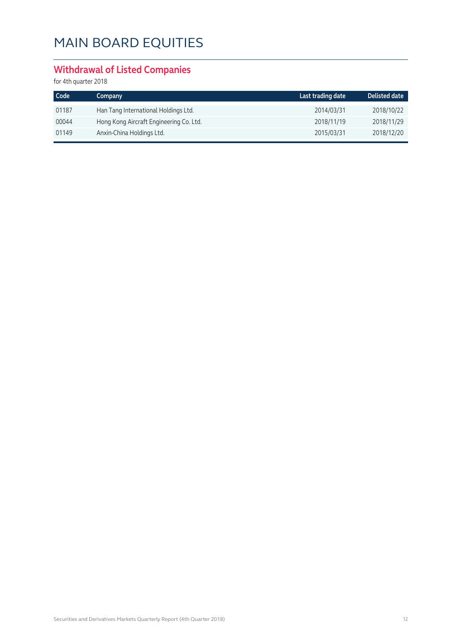#### **Withdrawal of Listed Companies**

for 4th quarter 2018

| Code  | Company                                 | Last trading date | <b>Delisted date</b> |
|-------|-----------------------------------------|-------------------|----------------------|
| 01187 | Han Tang International Holdings Ltd.    | 2014/03/31        | 2018/10/22           |
| 00044 | Hong Kong Aircraft Engineering Co. Ltd. | 2018/11/19        | 2018/11/29           |
| 01149 | Anxin-China Holdings Ltd.               | 2015/03/31        | 2018/12/20           |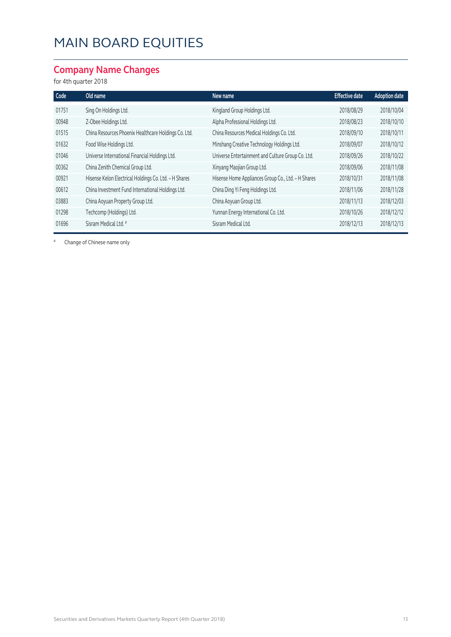#### **Company Name Changes**

#### for 4th quarter 2018

| Code  | Old name                                              | New name                                           | <b>Effective date</b> | <b>Adoption date</b> |
|-------|-------------------------------------------------------|----------------------------------------------------|-----------------------|----------------------|
| 01751 | Sing On Holdings Ltd.                                 | Kingland Group Holdings Ltd.                       | 2018/08/29            | 2018/10/04           |
| 00948 | Z-Obee Holdings Ltd.                                  | Alpha Professional Holdings Ltd.                   | 2018/08/23            | 2018/10/10           |
| 01515 | China Resources Phoenix Healthcare Holdings Co. Ltd.  | China Resources Medical Holdings Co. Ltd.          | 2018/09/10            | 2018/10/11           |
| 01632 | Food Wise Holdings Ltd.                               | Minshang Creative Technology Holdings Ltd.         | 2018/09/07            | 2018/10/12           |
| 01046 | Universe International Financial Holdings Ltd.        | Universe Entertainment and Culture Group Co. Ltd.  | 2018/09/26            | 2018/10/22           |
| 00362 | China Zenith Chemical Group Ltd.                      | Xinyang Maojian Group Ltd.                         | 2018/09/06            | 2018/11/08           |
| 00921 | Hisense Kelon Electrical Holdings Co. Ltd. - H Shares | Hisense Home Appliances Group Co., Ltd. - H Shares | 2018/10/31            | 2018/11/08           |
| 00612 | China Investment Fund International Holdings Ltd.     | China Ding Yi Feng Holdings Ltd.                   | 2018/11/06            | 2018/11/28           |
| 03883 | China Aoyuan Property Group Ltd.                      | China Aoyuan Group Ltd.                            | 2018/11/13            | 2018/12/03           |
| 01298 | Techcomp (Holdings) Ltd.                              | Yunnan Energy International Co. Ltd.               | 2018/10/26            | 2018/12/12           |
| 01696 | Sisram Medical Ltd. #                                 | Sisram Medical Ltd.                                | 2018/12/13            | 2018/12/13           |

# Change of Chinese name only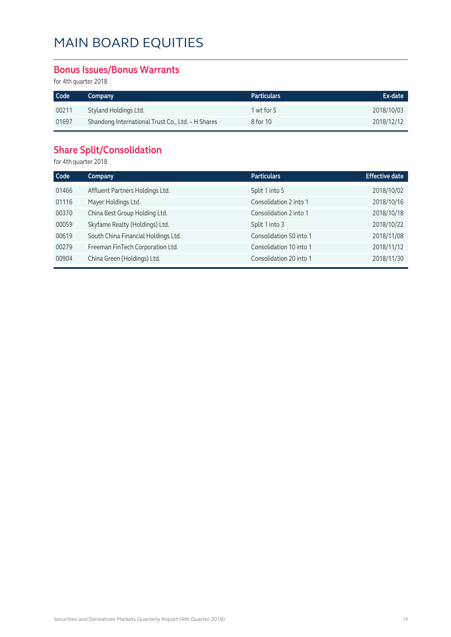#### **Bonus Issues/Bonus Warrants**

for 4th quarter 2018

| Code  | Company                                           | <b>Particulars</b> | Ex-date    |
|-------|---------------------------------------------------|--------------------|------------|
| 00211 | Styland Holdings Ltd.                             | 1 wt for 5         | 2018/10/03 |
| 01697 | Shandong International Trust Co., Ltd. - H Shares | 8 for 10           | 2018/12/12 |

#### **Share Split/Consolidation**

for 4th quarter 2018

| <b>Effective date</b> |
|-----------------------|
| 2018/10/02            |
| 2018/10/16            |
| 2018/10/18            |
| 2018/10/22            |
| 2018/11/08            |
| 2018/11/12            |
| 2018/11/30            |
|                       |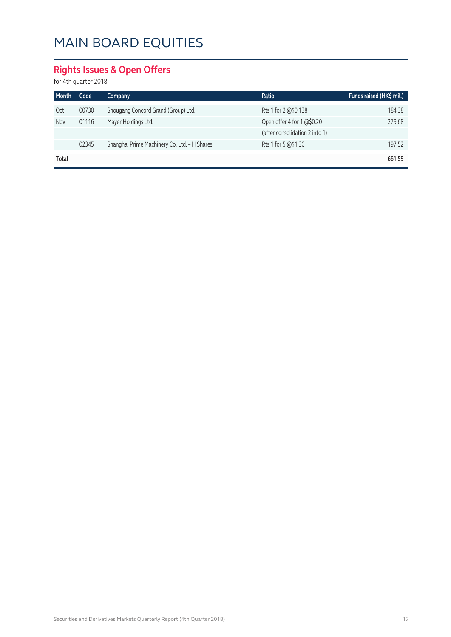#### **Rights Issues & Open Offers**

for 4th quarter 2018

| Month      | Code  | Company                                      | Ratio                          | Funds raised (HK\$ mil.) |
|------------|-------|----------------------------------------------|--------------------------------|--------------------------|
| <b>Oct</b> | 00730 | Shougang Concord Grand (Group) Ltd.          | Rts 1 for 2 @\$0.138           | 184.38                   |
| Nov        | 01116 | Mayer Holdings Ltd.                          | Open offer 4 for 1 @\$0.20     | 279.68                   |
|            |       |                                              | (after consolidation 2 into 1) |                          |
|            | 02345 | Shanghai Prime Machinery Co. Ltd. - H Shares | Rts 1 for 5 @\$1.30            | 197.52                   |
| Total      |       |                                              |                                | 661.59                   |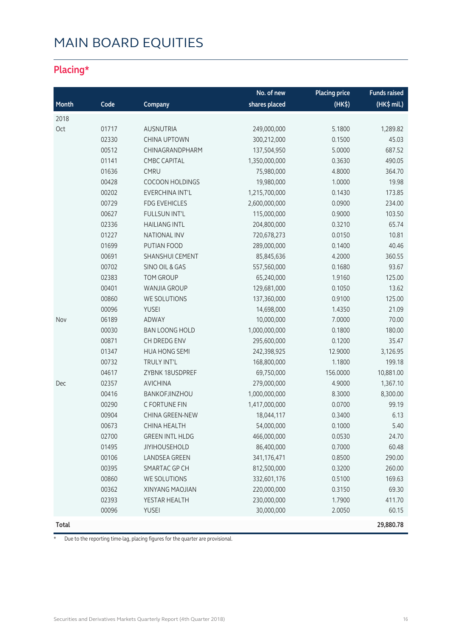#### **Placing\***

|       |       |                        | No. of new    | <b>Placing price</b> | <b>Funds raised</b> |
|-------|-------|------------------------|---------------|----------------------|---------------------|
| Month | Code  | Company                | shares placed | $(HK\$               | (HK\$ mil.)         |
| 2018  |       |                        |               |                      |                     |
| Oct   | 01717 | AUSNUTRIA              | 249,000,000   | 5.1800               | 1,289.82            |
|       | 02330 | <b>CHINA UPTOWN</b>    | 300,212,000   | 0.1500               | 45.03               |
|       | 00512 | CHINAGRANDPHARM        | 137,504,950   | 5.0000               | 687.52              |
|       | 01141 | <b>CMBC CAPITAL</b>    | 1,350,000,000 | 0.3630               | 490.05              |
|       | 01636 | CMRU                   | 75,980,000    | 4.8000               | 364.70              |
|       | 00428 | <b>COCOON HOLDINGS</b> | 19,980,000    | 1.0000               | 19.98               |
|       | 00202 | EVERCHINA INT'L        | 1,215,700,000 | 0.1430               | 173.85              |
|       | 00729 | <b>FDG EVEHICLES</b>   | 2,600,000,000 | 0.0900               | 234.00              |
|       | 00627 | FULLSUN INT'L          | 115,000,000   | 0.9000               | 103.50              |
|       | 02336 | <b>HAILIANG INTL</b>   | 204,800,000   | 0.3210               | 65.74               |
|       | 01227 | <b>NATIONAL INV</b>    | 720,678,273   | 0.0150               | 10.81               |
|       | 01699 | PUTIAN FOOD            | 289,000,000   | 0.1400               | 40.46               |
|       | 00691 | SHANSHUI CEMENT        | 85,845,636    | 4.2000               | 360.55              |
|       | 00702 | SINO OIL & GAS         | 557,560,000   | 0.1680               | 93.67               |
|       | 02383 | TOM GROUP              | 65,240,000    | 1.9160               | 125.00              |
|       | 00401 | WANJIA GROUP           | 129,681,000   | 0.1050               | 13.62               |
|       | 00860 | WE SOLUTIONS           | 137,360,000   | 0.9100               | 125.00              |
|       | 00096 | <b>YUSEI</b>           | 14,698,000    | 1.4350               | 21.09               |
| Nov   | 06189 | ADWAY                  | 10,000,000    | 7.0000               | 70.00               |
|       | 00030 | <b>BAN LOONG HOLD</b>  | 1,000,000,000 | 0.1800               | 180.00              |
|       | 00871 | CH DREDG ENV           | 295,600,000   | 0.1200               | 35.47               |
|       | 01347 | <b>HUA HONG SEMI</b>   | 242,398,925   | 12.9000              | 3,126.95            |
|       | 00732 | TRULY INT'L            | 168,800,000   | 1.1800               | 199.18              |
|       | 04617 | ZYBNK 18USDPREF        | 69,750,000    | 156.0000             | 10,881.00           |
| Dec   | 02357 | <b>AVICHINA</b>        | 279,000,000   | 4.9000               | 1,367.10            |
|       | 00416 | BANKOFJINZHOU          | 1,000,000,000 | 8.3000               | 8,300.00            |
|       | 00290 | C FORTUNE FIN          | 1,417,000,000 | 0.0700               | 99.19               |
|       | 00904 | CHINA GREEN-NEW        | 18,044,117    | 0.3400               | 6.13                |
|       | 00673 | <b>CHINA HEALTH</b>    | 54,000,000    | 0.1000               | 5.40                |
|       | 02700 | <b>GREEN INTL HLDG</b> | 466,000,000   | 0.0530               | 24.70               |
|       | 01495 | <b>JIYIHOUSEHOLD</b>   | 86,400,000    | 0.7000               | 60.48               |
|       | 00106 | <b>LANDSEA GREEN</b>   | 341,176,471   | 0.8500               | 290.00              |
|       | 00395 | SMARTAC GP CH          | 812,500,000   | 0.3200               | 260.00              |
|       | 00860 | WE SOLUTIONS           | 332,601,176   | 0.5100               | 169.63              |
|       | 00362 | XINYANG MAOJIAN        | 220,000,000   | 0.3150               | 69.30               |
|       | 02393 | YESTAR HEALTH          | 230,000,000   | 1.7900               | 411.70              |
|       | 00096 | YUSEI                  | 30,000,000    | 2.0050               | 60.15               |
| Total |       |                        |               |                      | 29,880.78           |

\* Due to the reporting time-lag, placing figures for the quarter are provisional.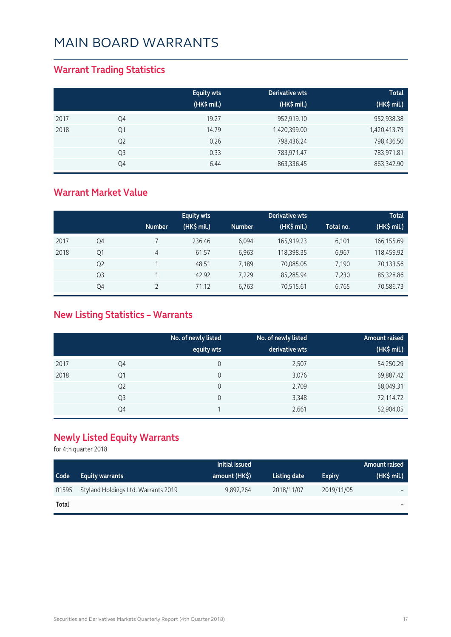#### **Warrant Trading Statistics**

|      |                | <b>Equity wts</b><br>(HK\$ mil.) | Derivative wts<br>(HK\$ mil.) | <b>Total</b><br>(HK\$ mil.) |
|------|----------------|----------------------------------|-------------------------------|-----------------------------|
| 2017 | Q4             | 19.27                            | 952,919.10                    | 952,938.38                  |
| 2018 | Q1             | 14.79                            | 1,420,399.00                  | 1,420,413.79                |
|      | Q <sub>2</sub> | 0.26                             | 798,436.24                    | 798,436.50                  |
|      | Q <sub>3</sub> | 0.33                             | 783,971.47                    | 783,971.81                  |
|      | Q4             | 6.44                             | 863,336.45                    | 863,342.90                  |

#### **Warrant Market Value**

|      |                |               | <b>Equity wts</b> |               | Derivative wts |           | <b>Total</b> |
|------|----------------|---------------|-------------------|---------------|----------------|-----------|--------------|
|      |                | <b>Number</b> | (HK\$ mil.)       | <b>Number</b> | (HK\$ mil.)    | Total no. | (HK\$ mil.)  |
| 2017 | Q4             |               | 236.46            | 6.094         | 165,919.23     | 6,101     | 166,155.69   |
| 2018 | Q1             | 4             | 61.57             | 6.963         | 118,398.35     | 6,967     | 118,459.92   |
|      | Q <sub>2</sub> |               | 48.51             | 7,189         | 70,085.05      | 7,190     | 70,133.56    |
|      | Q <sub>3</sub> |               | 42.92             | 7,229         | 85,285.94      | 7,230     | 85,328.86    |
|      | Q4             |               | 71.12             | 6,763         | 70,515.61      | 6,765     | 70,586.73    |

#### **New Listing Statistics – Warrants**

|      |                | No. of newly listed<br>equity wts | No. of newly listed<br>derivative wts | <b>Amount raised</b><br>(HK\$ mil.) |
|------|----------------|-----------------------------------|---------------------------------------|-------------------------------------|
| 2017 | Q4             | 0                                 | 2,507                                 | 54,250.29                           |
| 2018 | Q1             | 0                                 | 3,076                                 | 69,887.42                           |
|      | Q <sub>2</sub> | 0                                 | 2,709                                 | 58,049.31                           |
|      | Q <sub>3</sub> | 0                                 | 3,348                                 | 72,114.72                           |
|      | Q4             |                                   | 2,661                                 | 52,904.05                           |

#### **Newly Listed Equity Warrants**

for 4th quarter 2018

|       |                                     | Initial issued |              |               | Amount raised            |
|-------|-------------------------------------|----------------|--------------|---------------|--------------------------|
| Code  | <b>Equity warrants</b>              | amount (HK\$)  | Listing date | <b>Expiry</b> | $(HK\$ mil.)             |
| 01595 | Styland Holdings Ltd. Warrants 2019 | 9.892.264      | 2018/11/07   | 2019/11/05    | $\overline{\phantom{0}}$ |
| Total |                                     |                |              |               | $\sim$                   |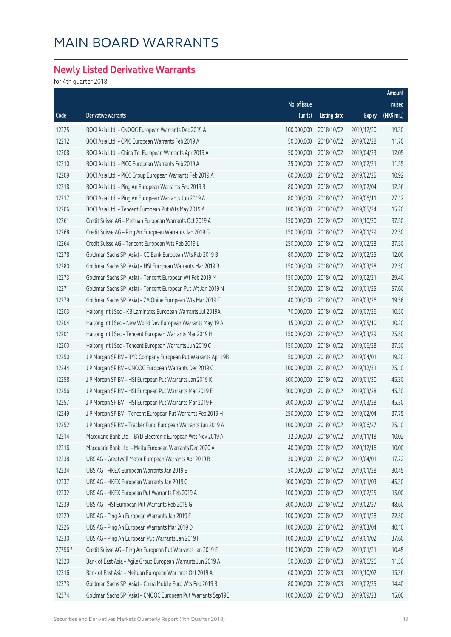#### **Newly Listed Derivative Warrants**

for 4th quarter 2018

|         |                                                              |              |                     |               | Amount      |
|---------|--------------------------------------------------------------|--------------|---------------------|---------------|-------------|
|         |                                                              | No. of issue |                     |               | raised      |
| Code    | Derivative warrants                                          | (units)      | <b>Listing date</b> | <b>Expiry</b> | (HK\$ mil.) |
| 12225   | BOCI Asia Ltd. - CNOOC European Warrants Dec 2019 A          | 100,000,000  | 2018/10/02          | 2019/12/20    | 19.30       |
| 12212   | BOCI Asia Ltd. - CPIC European Warrants Feb 2019 A           | 50,000,000   | 2018/10/02          | 2019/02/28    | 11.70       |
| 12208   | BOCI Asia Ltd. - China Tel European Warrants Apr 2019 A      | 50,000,000   | 2018/10/02          | 2019/04/23    | 12.05       |
| 12210   | BOCI Asia Ltd. - PICC European Warrants Feb 2019 A           | 25,000,000   | 2018/10/02          | 2019/02/21    | 11.55       |
| 12209   | BOCI Asia Ltd. - PICC Group European Warrants Feb 2019 A     | 60,000,000   | 2018/10/02          | 2019/02/25    | 10.92       |
| 12218   | BOCI Asia Ltd. - Ping An European Warrants Feb 2019 B        | 80,000,000   | 2018/10/02          | 2019/02/04    | 12.56       |
| 12217   | BOCI Asia Ltd. - Ping An European Warrants Jun 2019 A        | 80,000,000   | 2018/10/02          | 2019/06/11    | 27.12       |
| 12206   | BOCI Asia Ltd. - Tencent European Put Wts May 2019 A         | 100,000,000  | 2018/10/02          | 2019/05/24    | 15.20       |
| 12261   | Credit Suisse AG - Meituan European Warrants Oct 2019 A      | 150,000,000  | 2018/10/02          | 2019/10/30    | 37.50       |
| 12268   | Credit Suisse AG - Ping An European Warrants Jan 2019 G      | 150,000,000  | 2018/10/02          | 2019/01/29    | 22.50       |
| 12264   | Credit Suisse AG - Tencent European Wts Feb 2019 L           | 250,000,000  | 2018/10/02          | 2019/02/28    | 37.50       |
| 12278   | Goldman Sachs SP (Asia) - CC Bank European Wts Feb 2019 B    | 80,000,000   | 2018/10/02          | 2019/02/25    | 12.00       |
| 12280   | Goldman Sachs SP (Asia) - HSI European Warrants Mar 2019 B   | 150,000,000  | 2018/10/02          | 2019/03/28    | 22.50       |
| 12273   | Goldman Sachs SP (Asia) - Tencent European Wt Feb 2019 M     | 150,000,000  | 2018/10/02          | 2019/02/21    | 29.40       |
| 12271   | Goldman Sachs SP (Asia) - Tencent European Put Wt Jan 2019 N | 50,000,000   | 2018/10/02          | 2019/01/25    | 57.60       |
| 12279   | Goldman Sachs SP (Asia) - ZA Onine European Wts Mar 2019 C   | 40,000,000   | 2018/10/02          | 2019/03/26    | 19.56       |
| 12203   | Haitong Int'l Sec - KB Laminates European Warrants Jul 2019A | 70,000,000   | 2018/10/02          | 2019/07/26    | 10.50       |
| 12204   | Haitong Int'l Sec - New World Dev European Warrants May 19 A | 15,000,000   | 2018/10/02          | 2019/05/10    | 10.20       |
| 12201   | Haitong Int'l Sec - Tencent European Warrants Mar 2019 H     | 150,000,000  | 2018/10/02          | 2019/03/29    | 25.50       |
| 12200   | Haitong Int'l Sec - Tencent European Warrants Jun 2019 C     | 150,000,000  | 2018/10/02          | 2019/06/28    | 37.50       |
| 12250   | J P Morgan SP BV - BYD Company European Put Warrants Apr 19B | 50,000,000   | 2018/10/02          | 2019/04/01    | 19.20       |
| 12244   | J P Morgan SP BV - CNOOC European Warrants Dec 2019 C        | 100,000,000  | 2018/10/02          | 2019/12/31    | 25.10       |
| 12258   | J P Morgan SP BV - HSI European Put Warrants Jan 2019 K      | 300,000,000  | 2018/10/02          | 2019/01/30    | 45.30       |
| 12256   | J P Morgan SP BV - HSI European Put Warrants Mar 2019 E      | 300,000,000  | 2018/10/02          | 2019/03/28    | 45.30       |
| 12257   | J P Morgan SP BV - HSI European Put Warrants Mar 2019 F      | 300,000,000  | 2018/10/02          | 2019/03/28    | 45.30       |
| 12249   | J P Morgan SP BV - Tencent European Put Warrants Feb 2019 H  | 250,000,000  | 2018/10/02          | 2019/02/04    | 37.75       |
| 12252   | J P Morgan SP BV - Tracker Fund European Warrants Jun 2019 A | 100,000,000  | 2018/10/02          | 2019/06/27    | 25.10       |
| 12214   | Macquarie Bank Ltd. - BYD Electronic European Wts Nov 2019 A | 32,000,000   | 2018/10/02          | 2019/11/18    | 10.02       |
| 12216   | Macquarie Bank Ltd. - Meitu European Warrants Dec 2020 A     | 40,000,000   | 2018/10/02          | 2020/12/16    | 10.00       |
| 12238   | UBS AG - Greatwall Motor European Warrants Apr 2019 B        | 30,000,000   | 2018/10/02          | 2019/04/01    | 17.22       |
| 12234   | UBS AG - HKEX European Warrants Jan 2019 B                   | 50,000,000   | 2018/10/02          | 2019/01/28    | 30.45       |
| 12237   | UBS AG - HKEX European Warrants Jan 2019 C                   | 300,000,000  | 2018/10/02          | 2019/01/03    | 45.30       |
| 12232   | UBS AG - HKEX European Put Warrants Feb 2019 A               | 100,000,000  | 2018/10/02          | 2019/02/25    | 15.00       |
| 12239   | UBS AG - HSI European Put Warrants Feb 2019 G                | 300,000,000  | 2018/10/02          | 2019/02/27    | 48.60       |
| 12229   | UBS AG - Ping An European Warrants Jan 2019 E                | 100,000,000  | 2018/10/02          | 2019/01/28    | 22.50       |
| 12226   | UBS AG - Ping An European Warrants Mar 2019 D                | 100,000,000  | 2018/10/02          | 2019/03/04    | 40.10       |
| 12230   | UBS AG - Ping An European Put Warrants Jan 2019 F            | 100,000,000  | 2018/10/02          | 2019/01/02    | 37.60       |
| 27756 # | Credit Suisse AG - Ping An European Put Warrants Jan 2019 E  | 110,000,000  | 2018/10/02          | 2019/01/21    | 10.45       |
| 12320   | Bank of East Asia - Agile Group European Warrants Jun 2019 A | 50,000,000   | 2018/10/03          | 2019/06/26    | 11.50       |
| 12316   | Bank of East Asia - Meituan European Warrants Oct 2019 A     | 60,000,000   | 2018/10/03          | 2019/10/02    | 15.36       |
| 12373   | Goldman Sachs SP (Asia) - China Mobile Euro Wts Feb 2019 B   | 80,000,000   | 2018/10/03          | 2019/02/25    | 14.40       |
| 12374   | Goldman Sachs SP (Asia) - CNOOC European Put Warrants Sep19C | 100,000,000  | 2018/10/03          | 2019/09/23    | 15.00       |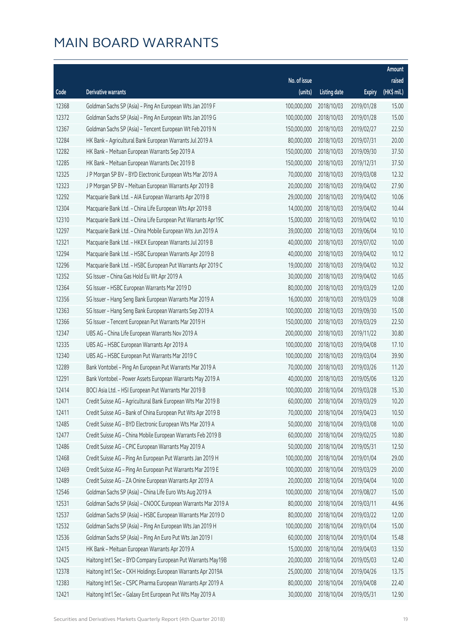|       |                                                               |              |                       |               | Amount      |
|-------|---------------------------------------------------------------|--------------|-----------------------|---------------|-------------|
|       |                                                               | No. of issue |                       |               | raised      |
| Code  | <b>Derivative warrants</b>                                    | (units)      | <b>Listing date</b>   | <b>Expiry</b> | (HK\$ mil.) |
| 12368 | Goldman Sachs SP (Asia) - Ping An European Wts Jan 2019 F     | 100,000,000  | 2018/10/03            | 2019/01/28    | 15.00       |
| 12372 | Goldman Sachs SP (Asia) - Ping An European Wts Jan 2019 G     | 100,000,000  | 2018/10/03            | 2019/01/28    | 15.00       |
| 12367 | Goldman Sachs SP (Asia) - Tencent European Wt Feb 2019 N      | 150,000,000  | 2018/10/03            | 2019/02/27    | 22.50       |
| 12284 | HK Bank - Agricultural Bank European Warrants Jul 2019 A      | 80,000,000   | 2018/10/03            | 2019/07/31    | 20.00       |
| 12282 | HK Bank - Meituan European Warrants Sep 2019 A                | 150,000,000  | 2018/10/03            | 2019/09/30    | 37.50       |
| 12285 | HK Bank - Meituan European Warrants Dec 2019 B                | 150,000,000  | 2018/10/03            | 2019/12/31    | 37.50       |
| 12325 | J P Morgan SP BV - BYD Electronic European Wts Mar 2019 A     | 70,000,000   | 2018/10/03            | 2019/03/08    | 12.32       |
| 12323 | J P Morgan SP BV - Meituan European Warrants Apr 2019 B       | 20,000,000   | 2018/10/03            | 2019/04/02    | 27.90       |
| 12292 | Macquarie Bank Ltd. - AIA European Warrants Apr 2019 B        | 29,000,000   | 2018/10/03            | 2019/04/02    | 10.06       |
| 12304 | Macquarie Bank Ltd. - China Life European Wts Apr 2019 B      | 14,000,000   | 2018/10/03            | 2019/04/02    | 10.44       |
| 12310 | Macquarie Bank Ltd. - China Life European Put Warrants Apr19C | 15,000,000   | 2018/10/03            | 2019/04/02    | 10.10       |
| 12297 | Macquarie Bank Ltd. - China Mobile European Wts Jun 2019 A    | 39,000,000   | 2018/10/03            | 2019/06/04    | 10.10       |
| 12321 | Macquarie Bank Ltd. - HKEX European Warrants Jul 2019 B       | 40,000,000   | 2018/10/03            | 2019/07/02    | 10.00       |
| 12294 | Macquarie Bank Ltd. - HSBC European Warrants Apr 2019 B       | 40,000,000   | 2018/10/03            | 2019/04/02    | 10.12       |
| 12296 | Macquarie Bank Ltd. - HSBC European Put Warrants Apr 2019 C   | 19,000,000   | 2018/10/03            | 2019/04/02    | 10.32       |
| 12352 | SG Issuer - China Gas Hold Eu Wt Apr 2019 A                   | 30,000,000   | 2018/10/03            | 2019/04/02    | 10.65       |
| 12364 | SG Issuer - HSBC European Warrants Mar 2019 D                 | 80,000,000   | 2018/10/03            | 2019/03/29    | 12.00       |
| 12356 | SG Issuer - Hang Seng Bank European Warrants Mar 2019 A       | 16,000,000   | 2018/10/03            | 2019/03/29    | 10.08       |
| 12363 | SG Issuer - Hang Seng Bank European Warrants Sep 2019 A       | 100,000,000  | 2018/10/03            | 2019/09/30    | 15.00       |
| 12366 | SG Issuer - Tencent European Put Warrants Mar 2019 H          | 150,000,000  | 2018/10/03            | 2019/03/29    | 22.50       |
| 12347 | UBS AG - China Life European Warrants Nov 2019 A              | 200,000,000  | 2018/10/03            | 2019/11/22    | 30.80       |
| 12335 | UBS AG - HSBC European Warrants Apr 2019 A                    | 100,000,000  | 2018/10/03            | 2019/04/08    | 17.10       |
| 12340 | UBS AG - HSBC European Put Warrants Mar 2019 C                | 100,000,000  | 2018/10/03            | 2019/03/04    | 39.90       |
| 12289 | Bank Vontobel - Ping An European Put Warrants Mar 2019 A      | 70,000,000   | 2018/10/03            | 2019/03/26    | 11.20       |
| 12291 | Bank Vontobel - Power Assets European Warrants May 2019 A     | 40,000,000   | 2018/10/03            | 2019/05/06    | 13.20       |
| 12414 | BOCI Asia Ltd. - HSI European Put Warrants Mar 2019 B         | 100,000,000  | 2018/10/04            | 2019/03/28    | 15.30       |
| 12471 | Credit Suisse AG - Agricultural Bank European Wts Mar 2019 B  |              | 60,000,000 2018/10/04 | 2019/03/29    | 10.20       |
| 12411 | Credit Suisse AG - Bank of China European Put Wts Apr 2019 B  | 70,000,000   | 2018/10/04            | 2019/04/23    | 10.50       |
| 12485 | Credit Suisse AG - BYD Electronic European Wts Mar 2019 A     | 50,000,000   | 2018/10/04            | 2019/03/08    | 10.00       |
| 12477 | Credit Suisse AG - China Mobile European Warrants Feb 2019 B  | 60,000,000   | 2018/10/04            | 2019/02/25    | 10.80       |
| 12486 | Credit Suisse AG - CPIC European Warrants May 2019 A          | 50,000,000   | 2018/10/04            | 2019/05/31    | 12.50       |
| 12468 | Credit Suisse AG - Ping An European Put Warrants Jan 2019 H   | 100,000,000  | 2018/10/04            | 2019/01/04    | 29.00       |
| 12469 | Credit Suisse AG - Ping An European Put Warrants Mar 2019 E   | 100,000,000  | 2018/10/04            | 2019/03/29    | 20.00       |
| 12489 | Credit Suisse AG - ZA Onine European Warrants Apr 2019 A      | 20,000,000   | 2018/10/04            | 2019/04/04    | 10.00       |
| 12546 | Goldman Sachs SP (Asia) - China Life Euro Wts Aug 2019 A      | 100,000,000  | 2018/10/04            | 2019/08/27    | 15.00       |
| 12531 | Goldman Sachs SP (Asia) - CNOOC European Warrants Mar 2019 A  | 80,000,000   | 2018/10/04            | 2019/03/11    | 44.96       |
| 12537 | Goldman Sachs SP (Asia) - HSBC European Warrants Mar 2019 D   | 80,000,000   | 2018/10/04            | 2019/03/22    | 12.00       |
| 12532 | Goldman Sachs SP (Asia) - Ping An European Wts Jan 2019 H     | 100,000,000  | 2018/10/04            | 2019/01/04    | 15.00       |
| 12536 | Goldman Sachs SP (Asia) - Ping An Euro Put Wts Jan 2019 I     | 60,000,000   | 2018/10/04            | 2019/01/04    | 15.48       |
| 12415 | HK Bank - Meituan European Warrants Apr 2019 A                | 15,000,000   | 2018/10/04            | 2019/04/03    | 13.50       |
| 12425 | Haitong Int'l Sec - BYD Company European Put Warrants May19B  | 20,000,000   | 2018/10/04            | 2019/05/03    | 12.40       |
| 12378 | Haitong Int'l Sec - CKH Holdings European Warrants Apr 2019A  | 25,000,000   | 2018/10/04            | 2019/04/26    | 13.75       |
| 12383 | Haitong Int'l Sec - CSPC Pharma European Warrants Apr 2019 A  | 80,000,000   | 2018/10/04            | 2019/04/08    | 22.40       |
| 12421 | Haitong Int'l Sec - Galaxy Ent European Put Wts May 2019 A    | 30,000,000   | 2018/10/04            | 2019/05/31    | 12.90       |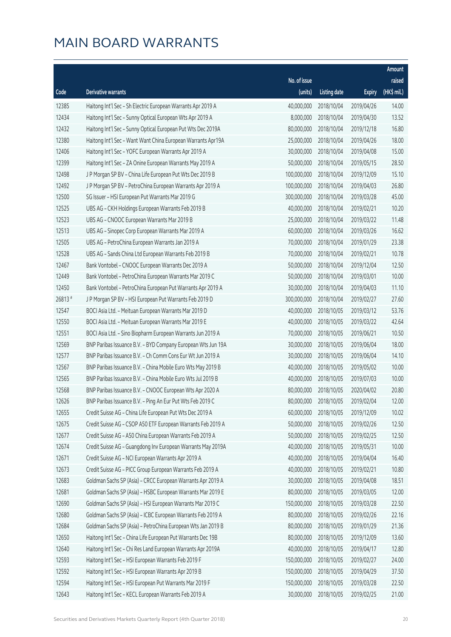|        |                                                              |              |                       |               | Amount      |
|--------|--------------------------------------------------------------|--------------|-----------------------|---------------|-------------|
|        |                                                              | No. of issue |                       |               | raised      |
| Code   | Derivative warrants                                          | (units)      | <b>Listing date</b>   | <b>Expiry</b> | (HK\$ mil.) |
| 12385  | Haitong Int'l Sec - Sh Electric European Warrants Apr 2019 A | 40,000,000   | 2018/10/04            | 2019/04/26    | 14.00       |
| 12434  | Haitong Int'l Sec - Sunny Optical European Wts Apr 2019 A    | 8,000,000    | 2018/10/04            | 2019/04/30    | 13.52       |
| 12432  | Haitong Int'l Sec - Sunny Optical European Put Wts Dec 2019A | 80,000,000   | 2018/10/04            | 2019/12/18    | 16.80       |
| 12380  | Haitong Int'l Sec - Want Want China European Warrants Apr19A | 25,000,000   | 2018/10/04            | 2019/04/26    | 18.00       |
| 12406  | Haitong Int'l Sec - YOFC European Warrants Apr 2019 A        | 30,000,000   | 2018/10/04            | 2019/04/08    | 15.00       |
| 12399  | Haitong Int'l Sec - ZA Onine European Warrants May 2019 A    | 50,000,000   | 2018/10/04            | 2019/05/15    | 28.50       |
| 12498  | J P Morgan SP BV - China Life European Put Wts Dec 2019 B    | 100,000,000  | 2018/10/04            | 2019/12/09    | 15.10       |
| 12492  | J P Morgan SP BV - PetroChina European Warrants Apr 2019 A   | 100,000,000  | 2018/10/04            | 2019/04/03    | 26.80       |
| 12500  | SG Issuer - HSI European Put Warrants Mar 2019 G             | 300,000,000  | 2018/10/04            | 2019/03/28    | 45.00       |
| 12525  | UBS AG - CKH Holdings European Warrants Feb 2019 B           | 40,000,000   | 2018/10/04            | 2019/02/21    | 10.20       |
| 12523  | UBS AG - CNOOC European Warrants Mar 2019 B                  | 25,000,000   | 2018/10/04            | 2019/03/22    | 11.48       |
| 12513  | UBS AG - Sinopec Corp European Warrants Mar 2019 A           | 60,000,000   | 2018/10/04            | 2019/03/26    | 16.62       |
| 12505  | UBS AG - PetroChina European Warrants Jan 2019 A             | 70,000,000   | 2018/10/04            | 2019/01/29    | 23.38       |
| 12528  | UBS AG - Sands China Ltd European Warrants Feb 2019 B        | 70,000,000   | 2018/10/04            | 2019/02/21    | 10.78       |
| 12467  | Bank Vontobel - CNOOC European Warrants Dec 2019 A           | 50,000,000   | 2018/10/04            | 2019/12/04    | 12.50       |
| 12449  | Bank Vontobel - PetroChina European Warrants Mar 2019 C      | 50,000,000   | 2018/10/04            | 2019/03/01    | 10.00       |
| 12450  | Bank Vontobel - PetroChina European Put Warrants Apr 2019 A  | 30,000,000   | 2018/10/04            | 2019/04/03    | 11.10       |
| 26813# | J P Morgan SP BV - HSI European Put Warrants Feb 2019 D      | 300,000,000  | 2018/10/04            | 2019/02/27    | 27.60       |
| 12547  | BOCI Asia Ltd. - Meituan European Warrants Mar 2019 D        | 40,000,000   | 2018/10/05            | 2019/03/12    | 53.76       |
| 12550  | BOCI Asia Ltd. - Meituan European Warrants Mar 2019 E        | 40,000,000   | 2018/10/05            | 2019/03/22    | 42.64       |
| 12551  | BOCI Asia Ltd. - Sino Biopharm European Warrants Jun 2019 A  | 70,000,000   | 2018/10/05            | 2019/06/21    | 10.50       |
| 12569  | BNP Paribas Issuance B.V. - BYD Company European Wts Jun 19A | 30,000,000   | 2018/10/05            | 2019/06/04    | 18.00       |
| 12577  | BNP Paribas Issuance B.V. - Ch Comm Cons Eur Wt Jun 2019 A   | 30,000,000   | 2018/10/05            | 2019/06/04    | 14.10       |
| 12567  | BNP Paribas Issuance B.V. - China Mobile Euro Wts May 2019 B | 40,000,000   | 2018/10/05            | 2019/05/02    | 10.00       |
| 12565  | BNP Paribas Issuance B.V. - China Mobile Euro Wts Jul 2019 B | 40,000,000   | 2018/10/05            | 2019/07/03    | 10.00       |
| 12568  | BNP Paribas Issuance B.V. - CNOOC European Wts Apr 2020 A    | 80,000,000   | 2018/10/05            | 2020/04/02    | 20.80       |
| 12626  | BNP Paribas Issuance B.V. - Ping An Eur Put Wts Feb 2019 C   |              | 80,000,000 2018/10/05 | 2019/02/04    | 12.00       |
| 12655  | Credit Suisse AG - China Life European Put Wts Dec 2019 A    | 60,000,000   | 2018/10/05            | 2019/12/09    | 10.02       |
| 12675  | Credit Suisse AG - CSOP A50 ETF European Warrants Feb 2019 A | 50,000,000   | 2018/10/05            | 2019/02/26    | 12.50       |
| 12677  | Credit Suisse AG - A50 China European Warrants Feb 2019 A    | 50,000,000   | 2018/10/05            | 2019/02/25    | 12.50       |
| 12674  | Credit Suisse AG - Guangdong Inv European Warrants May 2019A | 40,000,000   | 2018/10/05            | 2019/05/31    | 10.00       |
| 12671  | Credit Suisse AG - NCI European Warrants Apr 2019 A          | 40,000,000   | 2018/10/05            | 2019/04/04    | 16.40       |
| 12673  | Credit Suisse AG - PICC Group European Warrants Feb 2019 A   | 40,000,000   | 2018/10/05            | 2019/02/21    | 10.80       |
| 12683  | Goldman Sachs SP (Asia) - CRCC European Warrants Apr 2019 A  | 30,000,000   | 2018/10/05            | 2019/04/08    | 18.51       |
| 12681  | Goldman Sachs SP (Asia) - HSBC European Warrants Mar 2019 E  | 80,000,000   | 2018/10/05            | 2019/03/05    | 12.00       |
| 12690  | Goldman Sachs SP (Asia) - HSI European Warrants Mar 2019 C   | 150,000,000  | 2018/10/05            | 2019/03/28    | 22.50       |
| 12680  | Goldman Sachs SP (Asia) - ICBC European Warrants Feb 2019 A  | 80,000,000   | 2018/10/05            | 2019/02/26    | 22.16       |
| 12684  | Goldman Sachs SP (Asia) - PetroChina European Wts Jan 2019 B | 80,000,000   | 2018/10/05            | 2019/01/29    | 21.36       |
| 12650  | Haitong Int'l Sec - China Life European Put Warrants Dec 19B | 80,000,000   | 2018/10/05            | 2019/12/09    | 13.60       |
| 12640  | Haitong Int'l Sec - Chi Res Land European Warrants Apr 2019A | 40,000,000   | 2018/10/05            | 2019/04/17    | 12.80       |
| 12593  | Haitong Int'l Sec - HSI European Warrants Feb 2019 F         | 150,000,000  | 2018/10/05            | 2019/02/27    | 24.00       |
| 12592  | Haitong Int'l Sec - HSI European Warrants Apr 2019 B         | 150,000,000  | 2018/10/05            | 2019/04/29    | 37.50       |
| 12594  | Haitong Int'l Sec - HSI European Put Warrants Mar 2019 F     | 150,000,000  | 2018/10/05            | 2019/03/28    | 22.50       |
| 12643  | Haitong Int'l Sec - KECL European Warrants Feb 2019 A        | 30,000,000   | 2018/10/05            | 2019/02/25    | 21.00       |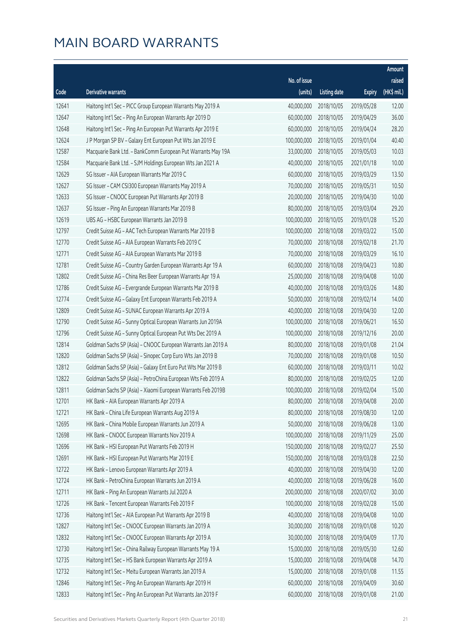|       |                                                              |              |                       |               | Amount      |
|-------|--------------------------------------------------------------|--------------|-----------------------|---------------|-------------|
|       |                                                              | No. of issue |                       |               | raised      |
| Code  | Derivative warrants                                          | (units)      | <b>Listing date</b>   | <b>Expiry</b> | (HK\$ mil.) |
| 12641 | Haitong Int'l Sec - PICC Group European Warrants May 2019 A  | 40,000,000   | 2018/10/05            | 2019/05/28    | 12.00       |
| 12647 | Haitong Int'l Sec - Ping An European Warrants Apr 2019 D     | 60,000,000   | 2018/10/05            | 2019/04/29    | 36.00       |
| 12648 | Haitong Int'l Sec - Ping An European Put Warrants Apr 2019 E | 60,000,000   | 2018/10/05            | 2019/04/24    | 28.20       |
| 12624 | J P Morgan SP BV - Galaxy Ent European Put Wts Jan 2019 E    | 100,000,000  | 2018/10/05            | 2019/01/04    | 40.40       |
| 12587 | Macquarie Bank Ltd. - BankComm European Put Warrants May 19A | 33,000,000   | 2018/10/05            | 2019/05/03    | 10.03       |
| 12584 | Macquarie Bank Ltd. - SJM Holdings European Wts Jan 2021 A   | 40,000,000   | 2018/10/05            | 2021/01/18    | 10.00       |
| 12629 | SG Issuer - AIA European Warrants Mar 2019 C                 | 60,000,000   | 2018/10/05            | 2019/03/29    | 13.50       |
| 12627 | SG Issuer - CAM CSI300 European Warrants May 2019 A          | 70,000,000   | 2018/10/05            | 2019/05/31    | 10.50       |
| 12633 | SG Issuer - CNOOC European Put Warrants Apr 2019 B           | 20,000,000   | 2018/10/05            | 2019/04/30    | 10.00       |
| 12637 | SG Issuer - Ping An European Warrants Mar 2019 B             | 80,000,000   | 2018/10/05            | 2019/03/04    | 29.20       |
| 12619 | UBS AG - HSBC European Warrants Jan 2019 B                   | 100,000,000  | 2018/10/05            | 2019/01/28    | 15.20       |
| 12797 | Credit Suisse AG - AAC Tech European Warrants Mar 2019 B     | 100,000,000  | 2018/10/08            | 2019/03/22    | 15.00       |
| 12770 | Credit Suisse AG - AIA European Warrants Feb 2019 C          | 70,000,000   | 2018/10/08            | 2019/02/18    | 21.70       |
| 12771 | Credit Suisse AG - AIA European Warrants Mar 2019 B          | 70,000,000   | 2018/10/08            | 2019/03/29    | 16.10       |
| 12781 | Credit Suisse AG - Country Garden European Warrants Apr 19 A | 60,000,000   | 2018/10/08            | 2019/04/23    | 10.80       |
| 12802 | Credit Suisse AG - China Res Beer European Warrants Apr 19 A | 25,000,000   | 2018/10/08            | 2019/04/08    | 10.00       |
| 12786 | Credit Suisse AG - Evergrande European Warrants Mar 2019 B   | 40,000,000   | 2018/10/08            | 2019/03/26    | 14.80       |
| 12774 | Credit Suisse AG - Galaxy Ent European Warrants Feb 2019 A   | 50,000,000   | 2018/10/08            | 2019/02/14    | 14.00       |
| 12809 | Credit Suisse AG - SUNAC European Warrants Apr 2019 A        | 40,000,000   | 2018/10/08            | 2019/04/30    | 12.00       |
| 12790 | Credit Suisse AG - Sunny Optical European Warrants Jun 2019A | 100,000,000  | 2018/10/08            | 2019/06/21    | 16.50       |
| 12796 | Credit Suisse AG - Sunny Optical European Put Wts Dec 2019 A | 100,000,000  | 2018/10/08            | 2019/12/16    | 20.00       |
| 12814 | Goldman Sachs SP (Asia) - CNOOC European Warrants Jan 2019 A | 80,000,000   | 2018/10/08            | 2019/01/08    | 21.04       |
| 12820 | Goldman Sachs SP (Asia) - Sinopec Corp Euro Wts Jan 2019 B   | 70,000,000   | 2018/10/08            | 2019/01/08    | 10.50       |
| 12812 | Goldman Sachs SP (Asia) - Galaxy Ent Euro Put Wts Mar 2019 B | 60,000,000   | 2018/10/08            | 2019/03/11    | 10.02       |
| 12822 | Goldman Sachs SP (Asia) - PetroChina European Wts Feb 2019 A | 80,000,000   | 2018/10/08            | 2019/02/25    | 12.00       |
| 12811 | Goldman Sachs SP (Asia) - Xiaomi European Warrants Feb 2019B | 100,000,000  | 2018/10/08            | 2019/02/04    | 15.00       |
| 12701 | HK Bank - AIA European Warrants Apr 2019 A                   |              | 80,000,000 2018/10/08 | 2019/04/08    | 20.00       |
| 12721 | HK Bank - China Life European Warrants Aug 2019 A            | 80,000,000   | 2018/10/08            | 2019/08/30    | 12.00       |
| 12695 | HK Bank - China Mobile European Warrants Jun 2019 A          | 50,000,000   | 2018/10/08            | 2019/06/28    | 13.00       |
| 12698 | HK Bank - CNOOC European Warrants Nov 2019 A                 | 100,000,000  | 2018/10/08            | 2019/11/29    | 25.00       |
| 12696 | HK Bank - HSI European Put Warrants Feb 2019 H               | 150,000,000  | 2018/10/08            | 2019/02/27    | 25.50       |
| 12691 | HK Bank - HSI European Put Warrants Mar 2019 E               | 150,000,000  | 2018/10/08            | 2019/03/28    | 22.50       |
| 12722 | HK Bank - Lenovo European Warrants Apr 2019 A                | 40,000,000   | 2018/10/08            | 2019/04/30    | 12.00       |
| 12724 | HK Bank - PetroChina European Warrants Jun 2019 A            | 40,000,000   | 2018/10/08            | 2019/06/28    | 16.00       |
| 12711 | HK Bank - Ping An European Warrants Jul 2020 A               | 200,000,000  | 2018/10/08            | 2020/07/02    | 30.00       |
| 12726 | HK Bank - Tencent European Warrants Feb 2019 F               | 100,000,000  | 2018/10/08            | 2019/02/28    | 15.00       |
| 12736 | Haitong Int'l Sec - AIA European Put Warrants Apr 2019 B     | 40,000,000   | 2018/10/08            | 2019/04/08    | 10.00       |
| 12827 | Haitong Int'l Sec - CNOOC European Warrants Jan 2019 A       | 30,000,000   | 2018/10/08            | 2019/01/08    | 10.20       |
| 12832 | Haitong Int'l Sec - CNOOC European Warrants Apr 2019 A       | 30,000,000   | 2018/10/08            | 2019/04/09    | 17.70       |
| 12730 | Haitong Int'l Sec - China Railway European Warrants May 19 A | 15,000,000   | 2018/10/08            | 2019/05/30    | 12.60       |
| 12735 | Haitong Int'l Sec - HS Bank European Warrants Apr 2019 A     | 15,000,000   | 2018/10/08            | 2019/04/08    | 14.70       |
| 12732 | Haitong Int'l Sec - Meitu European Warrants Jan 2019 A       | 15,000,000   | 2018/10/08            | 2019/01/08    | 11.55       |
| 12846 | Haitong Int'l Sec - Ping An European Warrants Apr 2019 H     | 60,000,000   | 2018/10/08            | 2019/04/09    | 30.60       |
| 12833 | Haitong Int'l Sec - Ping An European Put Warrants Jan 2019 F | 60,000,000   | 2018/10/08            | 2019/01/08    | 21.00       |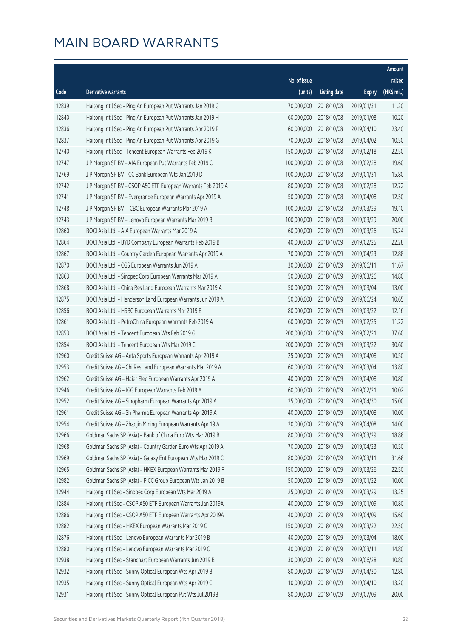|       |                                                              |              |                       |               | Amount      |
|-------|--------------------------------------------------------------|--------------|-----------------------|---------------|-------------|
|       |                                                              | No. of issue |                       |               | raised      |
| Code  | <b>Derivative warrants</b>                                   | (units)      | <b>Listing date</b>   | <b>Expiry</b> | (HK\$ mil.) |
| 12839 | Haitong Int'l Sec - Ping An European Put Warrants Jan 2019 G | 70,000,000   | 2018/10/08            | 2019/01/31    | 11.20       |
| 12840 | Haitong Int'l Sec - Ping An European Put Warrants Jan 2019 H | 60,000,000   | 2018/10/08            | 2019/01/08    | 10.20       |
| 12836 | Haitong Int'l Sec - Ping An European Put Warrants Apr 2019 F | 60,000,000   | 2018/10/08            | 2019/04/10    | 23.40       |
| 12837 | Haitong Int'l Sec - Ping An European Put Warrants Apr 2019 G | 70,000,000   | 2018/10/08            | 2019/04/02    | 10.50       |
| 12740 | Haitong Int'l Sec - Tencent European Warrants Feb 2019 K     | 150,000,000  | 2018/10/08            | 2019/02/18    | 22.50       |
| 12747 | J P Morgan SP BV - AIA European Put Warrants Feb 2019 C      | 100,000,000  | 2018/10/08            | 2019/02/28    | 19.60       |
| 12769 | J P Morgan SP BV - CC Bank European Wts Jan 2019 D           | 100,000,000  | 2018/10/08            | 2019/01/31    | 15.80       |
| 12742 | J P Morgan SP BV - CSOP A50 ETF European Warrants Feb 2019 A | 80,000,000   | 2018/10/08            | 2019/02/28    | 12.72       |
| 12741 | J P Morgan SP BV - Evergrande European Warrants Apr 2019 A   | 50,000,000   | 2018/10/08            | 2019/04/08    | 12.50       |
| 12748 | J P Morgan SP BV - ICBC European Warrants Mar 2019 A         | 100,000,000  | 2018/10/08            | 2019/03/29    | 19.10       |
| 12743 | J P Morgan SP BV - Lenovo European Warrants Mar 2019 B       | 100,000,000  | 2018/10/08            | 2019/03/29    | 20.00       |
| 12860 | BOCI Asia Ltd. - AIA European Warrants Mar 2019 A            | 60,000,000   | 2018/10/09            | 2019/03/26    | 15.24       |
| 12864 | BOCI Asia Ltd. - BYD Company European Warrants Feb 2019 B    | 40,000,000   | 2018/10/09            | 2019/02/25    | 22.28       |
| 12867 | BOCI Asia Ltd. - Country Garden European Warrants Apr 2019 A | 70,000,000   | 2018/10/09            | 2019/04/23    | 12.88       |
| 12870 | BOCI Asia Ltd. - CGS European Warrants Jun 2019 A            | 30,000,000   | 2018/10/09            | 2019/06/11    | 11.67       |
| 12863 | BOCI Asia Ltd. - Sinopec Corp European Warrants Mar 2019 A   | 50,000,000   | 2018/10/09            | 2019/03/26    | 14.80       |
| 12868 | BOCI Asia Ltd. - China Res Land European Warrants Mar 2019 A | 50,000,000   | 2018/10/09            | 2019/03/04    | 13.00       |
| 12875 | BOCI Asia Ltd. - Henderson Land European Warrants Jun 2019 A | 50,000,000   | 2018/10/09            | 2019/06/24    | 10.65       |
| 12856 | BOCI Asia Ltd. - HSBC European Warrants Mar 2019 B           | 80,000,000   | 2018/10/09            | 2019/03/22    | 12.16       |
| 12861 | BOCI Asia Ltd. - PetroChina European Warrants Feb 2019 A     | 60,000,000   | 2018/10/09            | 2019/02/25    | 11.22       |
| 12853 | BOCI Asia Ltd. - Tencent European Wts Feb 2019 G             | 200,000,000  | 2018/10/09            | 2019/02/21    | 37.60       |
| 12854 | BOCI Asia Ltd. - Tencent European Wts Mar 2019 C             | 200,000,000  | 2018/10/09            | 2019/03/22    | 30.60       |
| 12960 | Credit Suisse AG - Anta Sports European Warrants Apr 2019 A  | 25,000,000   | 2018/10/09            | 2019/04/08    | 10.50       |
| 12953 | Credit Suisse AG - Chi Res Land European Warrants Mar 2019 A | 60,000,000   | 2018/10/09            | 2019/03/04    | 13.80       |
| 12962 | Credit Suisse AG - Haier Elec European Warrants Apr 2019 A   | 40,000,000   | 2018/10/09            | 2019/04/08    | 10.80       |
| 12946 | Credit Suisse AG - IGG European Warrants Feb 2019 A          | 60,000,000   | 2018/10/09            | 2019/02/21    | 10.02       |
| 12952 | Credit Suisse AG - Sinopharm European Warrants Apr 2019 A    |              | 25,000,000 2018/10/09 | 2019/04/30    | 15.00       |
| 12961 | Credit Suisse AG - Sh Pharma European Warrants Apr 2019 A    | 40,000,000   | 2018/10/09            | 2019/04/08    | 10.00       |
| 12954 | Credit Suisse AG - Zhaojin Mining European Warrants Apr 19 A | 20,000,000   | 2018/10/09            | 2019/04/08    | 14.00       |
| 12966 | Goldman Sachs SP (Asia) - Bank of China Euro Wts Mar 2019 B  | 80,000,000   | 2018/10/09            | 2019/03/29    | 18.88       |
| 12968 | Goldman Sachs SP (Asia) - Country Garden Euro Wts Apr 2019 A | 70,000,000   | 2018/10/09            | 2019/04/23    | 10.50       |
| 12969 | Goldman Sachs SP (Asia) - Galaxy Ent European Wts Mar 2019 C | 80,000,000   | 2018/10/09            | 2019/03/11    | 31.68       |
| 12965 | Goldman Sachs SP (Asia) - HKEX European Warrants Mar 2019 F  | 150,000,000  | 2018/10/09            | 2019/03/26    | 22.50       |
| 12982 | Goldman Sachs SP (Asia) - PICC Group European Wts Jan 2019 B | 50,000,000   | 2018/10/09            | 2019/01/22    | 10.00       |
| 12944 | Haitong Int'l Sec - Sinopec Corp European Wts Mar 2019 A     | 25,000,000   | 2018/10/09            | 2019/03/29    | 13.25       |
| 12884 | Haitong Int'l Sec - CSOP A50 ETF European Warrants Jan 2019A | 40,000,000   | 2018/10/09            | 2019/01/09    | 10.80       |
| 12886 | Haitong Int'l Sec - CSOP A50 ETF European Warrants Apr 2019A | 40,000,000   | 2018/10/09            | 2019/04/09    | 15.60       |
| 12882 | Haitong Int'l Sec - HKEX European Warrants Mar 2019 C        | 150,000,000  | 2018/10/09            | 2019/03/22    | 22.50       |
| 12876 | Haitong Int'l Sec - Lenovo European Warrants Mar 2019 B      | 40,000,000   | 2018/10/09            | 2019/03/04    | 18.00       |
| 12880 | Haitong Int'l Sec - Lenovo European Warrants Mar 2019 C      | 40,000,000   | 2018/10/09            | 2019/03/11    | 14.80       |
| 12938 | Haitong Int'l Sec - Stanchart European Warrants Jun 2019 B   | 30,000,000   | 2018/10/09            | 2019/06/28    | 10.80       |
| 12932 | Haitong Int'l Sec - Sunny Optical European Wts Apr 2019 B    | 80,000,000   | 2018/10/09            | 2019/04/30    | 12.80       |
| 12935 | Haitong Int'l Sec - Sunny Optical European Wts Apr 2019 C    | 10,000,000   | 2018/10/09            | 2019/04/10    | 13.20       |
| 12931 | Haitong Int'l Sec - Sunny Optical European Put Wts Jul 2019B | 80,000,000   | 2018/10/09            | 2019/07/09    | 20.00       |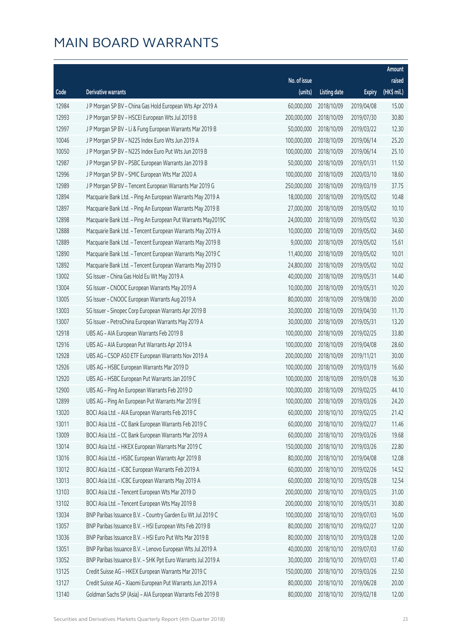|       |                                                              |                        |                     |               | Amount      |
|-------|--------------------------------------------------------------|------------------------|---------------------|---------------|-------------|
|       |                                                              | No. of issue           |                     |               | raised      |
| Code  | Derivative warrants                                          | (units)                | <b>Listing date</b> | <b>Expiry</b> | (HK\$ mil.) |
| 12984 | J P Morgan SP BV - China Gas Hold European Wts Apr 2019 A    | 60,000,000             | 2018/10/09          | 2019/04/08    | 15.00       |
| 12993 | J P Morgan SP BV - HSCEI European Wts Jul 2019 B             | 200,000,000            | 2018/10/09          | 2019/07/30    | 30.80       |
| 12997 | J P Morgan SP BV - Li & Fung European Warrants Mar 2019 B    | 50,000,000             | 2018/10/09          | 2019/03/22    | 12.30       |
| 10046 | J P Morgan SP BV - N225 Index Euro Wts Jun 2019 A            | 100,000,000            | 2018/10/09          | 2019/06/14    | 25.20       |
| 10050 | J P Morgan SP BV - N225 Index Euro Put Wts Jun 2019 B        | 100,000,000            | 2018/10/09          | 2019/06/14    | 25.10       |
| 12987 | J P Morgan SP BV - PSBC European Warrants Jan 2019 B         | 50,000,000             | 2018/10/09          | 2019/01/31    | 11.50       |
| 12996 | J P Morgan SP BV - SMIC European Wts Mar 2020 A              | 100,000,000            | 2018/10/09          | 2020/03/10    | 18.60       |
| 12989 | J P Morgan SP BV - Tencent European Warrants Mar 2019 G      | 250,000,000            | 2018/10/09          | 2019/03/19    | 37.75       |
| 12894 | Macquarie Bank Ltd. - Ping An European Warrants May 2019 A   | 18,000,000             | 2018/10/09          | 2019/05/02    | 10.48       |
| 12897 | Macquarie Bank Ltd. - Ping An European Warrants May 2019 B   | 27,000,000             | 2018/10/09          | 2019/05/02    | 10.10       |
| 12898 | Macquarie Bank Ltd. - Ping An European Put Warrants May2019C | 24,000,000             | 2018/10/09          | 2019/05/02    | 10.30       |
| 12888 | Macquarie Bank Ltd. - Tencent European Warrants May 2019 A   | 10,000,000             | 2018/10/09          | 2019/05/02    | 34.60       |
| 12889 | Macquarie Bank Ltd. - Tencent European Warrants May 2019 B   | 9,000,000              | 2018/10/09          | 2019/05/02    | 15.61       |
| 12890 | Macquarie Bank Ltd. - Tencent European Warrants May 2019 C   | 11,400,000             | 2018/10/09          | 2019/05/02    | 10.01       |
| 12892 | Macquarie Bank Ltd. - Tencent European Warrants May 2019 D   | 24,800,000             | 2018/10/09          | 2019/05/02    | 10.02       |
| 13002 | SG Issuer - China Gas Hold Eu Wt May 2019 A                  | 40,000,000             | 2018/10/09          | 2019/05/31    | 14.40       |
| 13004 | SG Issuer - CNOOC European Warrants May 2019 A               | 10,000,000             | 2018/10/09          | 2019/05/31    | 10.20       |
| 13005 | SG Issuer - CNOOC European Warrants Aug 2019 A               | 80,000,000             | 2018/10/09          | 2019/08/30    | 20.00       |
| 13003 | SG Issuer - Sinopec Corp European Warrants Apr 2019 B        | 30,000,000             | 2018/10/09          | 2019/04/30    | 11.70       |
| 13007 | SG Issuer - PetroChina European Warrants May 2019 A          | 30,000,000             | 2018/10/09          | 2019/05/31    | 13.20       |
| 12918 | UBS AG - AIA European Warrants Feb 2019 B                    | 100,000,000            | 2018/10/09          | 2019/02/25    | 33.80       |
| 12916 | UBS AG - AIA European Put Warrants Apr 2019 A                | 100,000,000            | 2018/10/09          | 2019/04/08    | 28.60       |
| 12928 | UBS AG - CSOP A50 ETF European Warrants Nov 2019 A           | 200,000,000            | 2018/10/09          | 2019/11/21    | 30.00       |
| 12926 | UBS AG - HSBC European Warrants Mar 2019 D                   | 100,000,000            | 2018/10/09          | 2019/03/19    | 16.60       |
| 12920 | UBS AG - HSBC European Put Warrants Jan 2019 C               | 100,000,000            | 2018/10/09          | 2019/01/28    | 16.30       |
| 12900 | UBS AG - Ping An European Warrants Feb 2019 D                | 100,000,000            | 2018/10/09          | 2019/02/25    | 44.10       |
| 12899 | UBS AG - Ping An European Put Warrants Mar 2019 E            | 100,000,000 2018/10/09 |                     | 2019/03/26    | 24.20       |
| 13020 | BOCI Asia Ltd. - AIA European Warrants Feb 2019 C            | 60,000,000             | 2018/10/10          | 2019/02/25    | 21.42       |
| 13011 | BOCI Asia Ltd. - CC Bank European Warrants Feb 2019 C        | 60,000,000             | 2018/10/10          | 2019/02/27    | 11.46       |
| 13009 | BOCI Asia Ltd. - CC Bank European Warrants Mar 2019 A        | 60,000,000             | 2018/10/10          | 2019/03/26    | 19.68       |
| 13014 | BOCI Asia Ltd. - HKEX European Warrants Mar 2019 C           | 150,000,000            | 2018/10/10          | 2019/03/26    | 22.80       |
| 13016 | BOCI Asia Ltd. - HSBC European Warrants Apr 2019 B           | 80,000,000             | 2018/10/10          | 2019/04/08    | 12.08       |
| 13012 | BOCI Asia Ltd. - ICBC European Warrants Feb 2019 A           | 60,000,000             | 2018/10/10          | 2019/02/26    | 14.52       |
| 13013 | BOCI Asia Ltd. - ICBC European Warrants May 2019 A           | 60,000,000             | 2018/10/10          | 2019/05/28    | 12.54       |
| 13103 | BOCI Asia Ltd. - Tencent European Wts Mar 2019 D             | 200,000,000            | 2018/10/10          | 2019/03/25    | 31.00       |
| 13102 | BOCI Asia Ltd. - Tencent European Wts May 2019 B             | 200,000,000            | 2018/10/10          | 2019/05/31    | 30.80       |
| 13034 | BNP Paribas Issuance B.V. - Country Garden Eu Wt Jul 2019 C  | 100,000,000            | 2018/10/10          | 2019/07/03    | 16.00       |
| 13057 | BNP Paribas Issuance B.V. - HSI European Wts Feb 2019 B      | 80,000,000             | 2018/10/10          | 2019/02/27    | 12.00       |
| 13036 | BNP Paribas Issuance B.V. - HSI Euro Put Wts Mar 2019 B      | 80,000,000             | 2018/10/10          | 2019/03/28    | 12.00       |
| 13051 | BNP Paribas Issuance B.V. - Lenovo European Wts Jul 2019 A   | 40,000,000             | 2018/10/10          | 2019/07/03    | 17.60       |
| 13052 | BNP Paribas Issuance B.V. - SHK Ppt Euro Warrants Jul 2019 A | 30,000,000             | 2018/10/10          | 2019/07/03    | 17.40       |
| 13125 | Credit Suisse AG - HKEX European Warrants Mar 2019 C         | 150,000,000            | 2018/10/10          | 2019/03/26    | 22.50       |
| 13127 | Credit Suisse AG - Xiaomi European Put Warrants Jun 2019 A   | 80,000,000             | 2018/10/10          | 2019/06/28    | 20.00       |
| 13140 | Goldman Sachs SP (Asia) - AIA European Warrants Feb 2019 B   | 80,000,000             | 2018/10/10          | 2019/02/18    | 12.00       |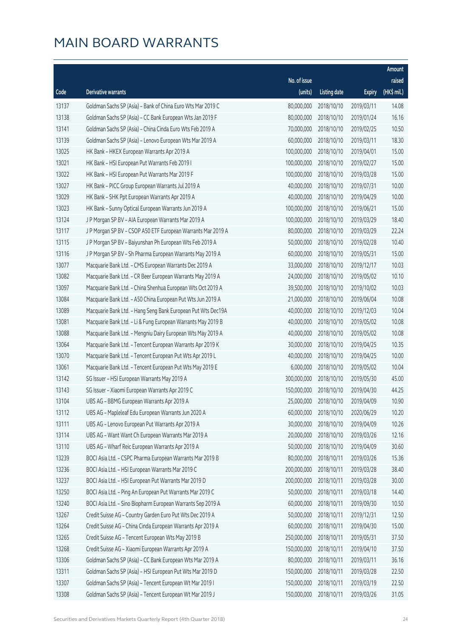|       |                                                              |              |                       |               | Amount      |
|-------|--------------------------------------------------------------|--------------|-----------------------|---------------|-------------|
|       |                                                              | No. of issue |                       |               | raised      |
| Code  | Derivative warrants                                          | (units)      | <b>Listing date</b>   | <b>Expiry</b> | (HK\$ mil.) |
| 13137 | Goldman Sachs SP (Asia) - Bank of China Euro Wts Mar 2019 C  | 80,000,000   | 2018/10/10            | 2019/03/11    | 14.08       |
| 13138 | Goldman Sachs SP (Asia) - CC Bank European Wts Jan 2019 F    | 80,000,000   | 2018/10/10            | 2019/01/24    | 16.16       |
| 13141 | Goldman Sachs SP (Asia) - China Cinda Euro Wts Feb 2019 A    | 70,000,000   | 2018/10/10            | 2019/02/25    | 10.50       |
| 13139 | Goldman Sachs SP (Asia) - Lenovo European Wts Mar 2019 A     | 60,000,000   | 2018/10/10            | 2019/03/11    | 18.30       |
| 13025 | HK Bank - HKEX European Warrants Apr 2019 A                  | 100,000,000  | 2018/10/10            | 2019/04/01    | 15.00       |
| 13021 | HK Bank - HSI European Put Warrants Feb 2019 I               | 100,000,000  | 2018/10/10            | 2019/02/27    | 15.00       |
| 13022 | HK Bank - HSI European Put Warrants Mar 2019 F               | 100,000,000  | 2018/10/10            | 2019/03/28    | 15.00       |
| 13027 | HK Bank - PICC Group European Warrants Jul 2019 A            | 40,000,000   | 2018/10/10            | 2019/07/31    | 10.00       |
| 13029 | HK Bank - SHK Ppt European Warrants Apr 2019 A               | 40,000,000   | 2018/10/10            | 2019/04/29    | 10.00       |
| 13023 | HK Bank - Sunny Optical European Warrants Jun 2019 A         | 100,000,000  | 2018/10/10            | 2019/06/21    | 15.00       |
| 13124 | J P Morgan SP BV - AIA European Warrants Mar 2019 A          | 100,000,000  | 2018/10/10            | 2019/03/29    | 18.40       |
| 13117 | J P Morgan SP BV - CSOP A50 ETF European Warrants Mar 2019 A | 80,000,000   | 2018/10/10            | 2019/03/29    | 22.24       |
| 13115 | J P Morgan SP BV - Baiyunshan Ph European Wts Feb 2019 A     | 50,000,000   | 2018/10/10            | 2019/02/28    | 10.40       |
| 13116 | J P Morgan SP BV - Sh Pharma European Warrants May 2019 A    | 60,000,000   | 2018/10/10            | 2019/05/31    | 15.00       |
| 13077 | Macquarie Bank Ltd. - CMS European Warrants Dec 2019 A       | 33,000,000   | 2018/10/10            | 2019/12/17    | 10.03       |
| 13082 | Macquarie Bank Ltd. - CR Beer European Warrants May 2019 A   | 24,000,000   | 2018/10/10            | 2019/05/02    | 10.10       |
| 13097 | Macquarie Bank Ltd. - China Shenhua European Wts Oct 2019 A  | 39,500,000   | 2018/10/10            | 2019/10/02    | 10.03       |
| 13084 | Macquarie Bank Ltd. - A50 China European Put Wts Jun 2019 A  | 21,000,000   | 2018/10/10            | 2019/06/04    | 10.08       |
| 13089 | Macquarie Bank Ltd. - Hang Seng Bank European Put Wts Dec19A | 40,000,000   | 2018/10/10            | 2019/12/03    | 10.04       |
| 13081 | Macquarie Bank Ltd. - Li & Fung European Warrants May 2019 B | 40,000,000   | 2018/10/10            | 2019/05/02    | 10.08       |
| 13088 | Macquarie Bank Ltd. - Mengniu Dairy European Wts May 2019 A  | 40,000,000   | 2018/10/10            | 2019/05/02    | 10.08       |
| 13064 | Macquarie Bank Ltd. - Tencent European Warrants Apr 2019 K   | 30,000,000   | 2018/10/10            | 2019/04/25    | 10.35       |
| 13070 | Macquarie Bank Ltd. - Tencent European Put Wts Apr 2019 L    | 40,000,000   | 2018/10/10            | 2019/04/25    | 10.00       |
| 13061 | Macquarie Bank Ltd. - Tencent European Put Wts May 2019 E    | 6,000,000    | 2018/10/10            | 2019/05/02    | 10.04       |
| 13142 | SG Issuer - HSI European Warrants May 2019 A                 | 300,000,000  | 2018/10/10            | 2019/05/30    | 45.00       |
| 13143 | SG Issuer - Xiaomi European Warrants Apr 2019 C              | 150,000,000  | 2018/10/10            | 2019/04/30    | 44.25       |
| 13104 | UBS AG - BBMG European Warrants Apr 2019 A                   |              | 25,000,000 2018/10/10 | 2019/04/09    | 10.90       |
| 13112 | UBS AG - Mapleleaf Edu European Warrants Jun 2020 A          | 60,000,000   | 2018/10/10            | 2020/06/29    | 10.20       |
| 13111 | UBS AG - Lenovo European Put Warrants Apr 2019 A             | 30,000,000   | 2018/10/10            | 2019/04/09    | 10.26       |
| 13114 | UBS AG - Want Want Ch European Warrants Mar 2019 A           | 20,000,000   | 2018/10/10            | 2019/03/26    | 12.16       |
| 13110 | UBS AG - Wharf Reic European Warrants Apr 2019 A             | 50,000,000   | 2018/10/10            | 2019/04/09    | 30.60       |
| 13239 | BOCI Asia Ltd. - CSPC Pharma European Warrants Mar 2019 B    | 80,000,000   | 2018/10/11            | 2019/03/26    | 15.36       |
| 13236 | BOCI Asia Ltd. - HSI European Warrants Mar 2019 C            | 200,000,000  | 2018/10/11            | 2019/03/28    | 38.40       |
| 13237 | BOCI Asia Ltd. - HSI European Put Warrants Mar 2019 D        | 200,000,000  | 2018/10/11            | 2019/03/28    | 30.00       |
| 13250 | BOCI Asia Ltd. - Ping An European Put Warrants Mar 2019 C    | 50,000,000   | 2018/10/11            | 2019/03/18    | 14.40       |
| 13240 | BOCI Asia Ltd. - Sino Biopharm European Warrants Sep 2019 A  | 60,000,000   | 2018/10/11            | 2019/09/30    | 10.50       |
| 13267 | Credit Suisse AG - Country Garden Euro Put Wts Dec 2019 A    | 50,000,000   | 2018/10/11            | 2019/12/31    | 12.50       |
| 13264 | Credit Suisse AG - China Cinda European Warrants Apr 2019 A  | 60,000,000   | 2018/10/11            | 2019/04/30    | 15.00       |
| 13265 | Credit Suisse AG - Tencent European Wts May 2019 B           | 250,000,000  | 2018/10/11            | 2019/05/31    | 37.50       |
| 13268 | Credit Suisse AG - Xiaomi European Warrants Apr 2019 A       | 150,000,000  | 2018/10/11            | 2019/04/10    | 37.50       |
| 13306 | Goldman Sachs SP (Asia) - CC Bank European Wts Mar 2019 A    | 80,000,000   | 2018/10/11            | 2019/03/11    | 36.16       |
| 13311 | Goldman Sachs SP (Asia) - HSI European Put Wts Mar 2019 D    | 150,000,000  | 2018/10/11            | 2019/03/28    | 22.50       |
| 13307 | Goldman Sachs SP (Asia) - Tencent European Wt Mar 2019 I     | 150,000,000  | 2018/10/11            | 2019/03/19    | 22.50       |
| 13308 | Goldman Sachs SP (Asia) - Tencent European Wt Mar 2019 J     | 150,000,000  | 2018/10/11            | 2019/03/26    | 31.05       |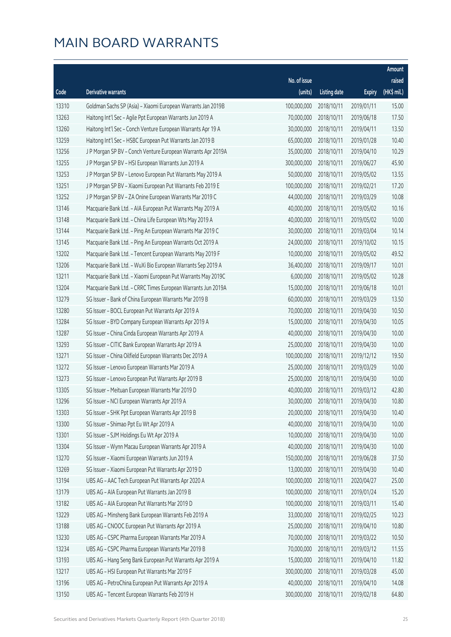|       |                                                              |              |                       |               | Amount      |
|-------|--------------------------------------------------------------|--------------|-----------------------|---------------|-------------|
|       |                                                              | No. of issue |                       |               | raised      |
| Code  | Derivative warrants                                          | (units)      | <b>Listing date</b>   | <b>Expiry</b> | (HK\$ mil.) |
| 13310 | Goldman Sachs SP (Asia) - Xiaomi European Warrants Jan 2019B | 100,000,000  | 2018/10/11            | 2019/01/11    | 15.00       |
| 13263 | Haitong Int'l Sec - Agile Ppt European Warrants Jun 2019 A   | 70,000,000   | 2018/10/11            | 2019/06/18    | 17.50       |
| 13260 | Haitong Int'l Sec - Conch Venture European Warrants Apr 19 A | 30,000,000   | 2018/10/11            | 2019/04/11    | 13.50       |
| 13259 | Haitong Int'l Sec - HSBC European Put Warrants Jan 2019 B    | 65,000,000   | 2018/10/11            | 2019/01/28    | 10.40       |
| 13256 | J P Morgan SP BV - Conch Venture European Warrants Apr 2019A | 35,000,000   | 2018/10/11            | 2019/04/10    | 10.29       |
| 13255 | J P Morgan SP BV - HSI European Warrants Jun 2019 A          | 300,000,000  | 2018/10/11            | 2019/06/27    | 45.90       |
| 13253 | J P Morgan SP BV - Lenovo European Put Warrants May 2019 A   | 50,000,000   | 2018/10/11            | 2019/05/02    | 13.55       |
| 13251 | J P Morgan SP BV - Xiaomi European Put Warrants Feb 2019 E   | 100,000,000  | 2018/10/11            | 2019/02/21    | 17.20       |
| 13252 | J P Morgan SP BV - ZA Onine European Warrants Mar 2019 C     | 44,000,000   | 2018/10/11            | 2019/03/29    | 10.08       |
| 13146 | Macquarie Bank Ltd. - AIA European Put Warrants May 2019 A   | 40,000,000   | 2018/10/11            | 2019/05/02    | 10.16       |
| 13148 | Macquarie Bank Ltd. - China Life European Wts May 2019 A     | 40,000,000   | 2018/10/11            | 2019/05/02    | 10.00       |
| 13144 | Macquarie Bank Ltd. - Ping An European Warrants Mar 2019 C   | 30,000,000   | 2018/10/11            | 2019/03/04    | 10.14       |
| 13145 | Macquarie Bank Ltd. - Ping An European Warrants Oct 2019 A   | 24,000,000   | 2018/10/11            | 2019/10/02    | 10.15       |
| 13202 | Macquarie Bank Ltd. - Tencent European Warrants May 2019 F   | 10,000,000   | 2018/10/11            | 2019/05/02    | 49.52       |
| 13206 | Macquarie Bank Ltd. - WuXi Bio European Warrants Sep 2019 A  | 36,400,000   | 2018/10/11            | 2019/09/17    | 10.01       |
| 13211 | Macquarie Bank Ltd. - Xiaomi European Put Warrants May 2019C | 6,000,000    | 2018/10/11            | 2019/05/02    | 10.28       |
| 13204 | Macquarie Bank Ltd. - CRRC Times European Warrants Jun 2019A | 15,000,000   | 2018/10/11            | 2019/06/18    | 10.01       |
| 13279 | SG Issuer - Bank of China European Warrants Mar 2019 B       | 60,000,000   | 2018/10/11            | 2019/03/29    | 13.50       |
| 13280 | SG Issuer - BOCL European Put Warrants Apr 2019 A            | 70,000,000   | 2018/10/11            | 2019/04/30    | 10.50       |
| 13284 | SG Issuer - BYD Company European Warrants Apr 2019 A         | 15,000,000   | 2018/10/11            | 2019/04/30    | 10.05       |
| 13287 | SG Issuer - China Cinda European Warrants Apr 2019 A         | 40,000,000   | 2018/10/11            | 2019/04/30    | 10.00       |
| 13293 | SG Issuer - CITIC Bank European Warrants Apr 2019 A          | 25,000,000   | 2018/10/11            | 2019/04/30    | 10.00       |
| 13271 | SG Issuer - China Oilfield European Warrants Dec 2019 A      | 100,000,000  | 2018/10/11            | 2019/12/12    | 19.50       |
| 13272 | SG Issuer - Lenovo European Warrants Mar 2019 A              | 25,000,000   | 2018/10/11            | 2019/03/29    | 10.00       |
| 13273 | SG Issuer - Lenovo European Put Warrants Apr 2019 B          | 25,000,000   | 2018/10/11            | 2019/04/30    | 10.00       |
| 13305 | SG Issuer - Meituan European Warrants Mar 2019 D             | 40,000,000   | 2018/10/11            | 2019/03/12    | 42.80       |
| 13296 | SG Issuer - NCI European Warrants Apr 2019 A                 |              | 30,000,000 2018/10/11 | 2019/04/30    | 10.80       |
| 13303 | SG Issuer - SHK Ppt European Warrants Apr 2019 B             | 20,000,000   | 2018/10/11            | 2019/04/30    | 10.40       |
| 13300 | SG Issuer - Shimao Ppt Eu Wt Apr 2019 A                      | 40,000,000   | 2018/10/11            | 2019/04/30    | 10.00       |
| 13301 | SG Issuer - SJM Holdings Eu Wt Apr 2019 A                    | 10,000,000   | 2018/10/11            | 2019/04/30    | 10.00       |
| 13304 | SG Issuer - Wynn Macau European Warrants Apr 2019 A          | 40,000,000   | 2018/10/11            | 2019/04/30    | 10.00       |
| 13270 | SG Issuer - Xiaomi European Warrants Jun 2019 A              | 150,000,000  | 2018/10/11            | 2019/06/28    | 37.50       |
| 13269 | SG Issuer - Xiaomi European Put Warrants Apr 2019 D          | 13,000,000   | 2018/10/11            | 2019/04/30    | 10.40       |
| 13194 | UBS AG - AAC Tech European Put Warrants Apr 2020 A           | 100,000,000  | 2018/10/11            | 2020/04/27    | 25.00       |
| 13179 | UBS AG - AIA European Put Warrants Jan 2019 B                | 100,000,000  | 2018/10/11            | 2019/01/24    | 15.20       |
| 13182 | UBS AG - AIA European Put Warrants Mar 2019 D                | 100,000,000  | 2018/10/11            | 2019/03/11    | 15.40       |
| 13229 | UBS AG - Minsheng Bank European Warrants Feb 2019 A          | 33,000,000   | 2018/10/11            | 2019/02/25    | 10.23       |
| 13188 | UBS AG - CNOOC European Put Warrants Apr 2019 A              | 25,000,000   | 2018/10/11            | 2019/04/10    | 10.80       |
| 13230 | UBS AG - CSPC Pharma European Warrants Mar 2019 A            | 70,000,000   | 2018/10/11            | 2019/03/22    | 10.50       |
| 13234 | UBS AG - CSPC Pharma European Warrants Mar 2019 B            | 70,000,000   | 2018/10/11            | 2019/03/12    | 11.55       |
| 13193 | UBS AG - Hang Seng Bank European Put Warrants Apr 2019 A     | 15,000,000   | 2018/10/11            | 2019/04/10    | 11.82       |
| 13217 | UBS AG - HSI European Put Warrants Mar 2019 F                | 300,000,000  | 2018/10/11            | 2019/03/28    | 45.00       |
| 13196 | UBS AG - PetroChina European Put Warrants Apr 2019 A         | 40,000,000   | 2018/10/11            | 2019/04/10    | 14.08       |
| 13150 | UBS AG - Tencent European Warrants Feb 2019 H                | 300,000,000  | 2018/10/11            | 2019/02/18    | 64.80       |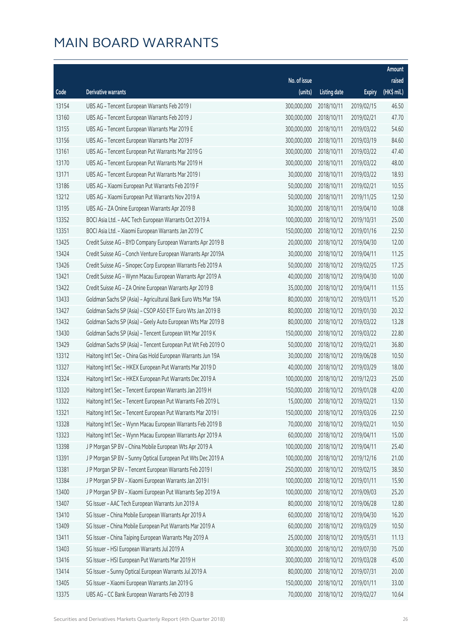|       |                                                              |              |                       |               | Amount      |
|-------|--------------------------------------------------------------|--------------|-----------------------|---------------|-------------|
|       |                                                              | No. of issue |                       |               | raised      |
| Code  | <b>Derivative warrants</b>                                   | (units)      | <b>Listing date</b>   | <b>Expiry</b> | (HK\$ mil.) |
| 13154 | UBS AG - Tencent European Warrants Feb 2019 I                | 300,000,000  | 2018/10/11            | 2019/02/15    | 46.50       |
| 13160 | UBS AG - Tencent European Warrants Feb 2019 J                | 300,000,000  | 2018/10/11            | 2019/02/21    | 47.70       |
| 13155 | UBS AG - Tencent European Warrants Mar 2019 E                | 300,000,000  | 2018/10/11            | 2019/03/22    | 54.60       |
| 13156 | UBS AG - Tencent European Warrants Mar 2019 F                | 300,000,000  | 2018/10/11            | 2019/03/19    | 84.60       |
| 13161 | UBS AG - Tencent European Put Warrants Mar 2019 G            | 300,000,000  | 2018/10/11            | 2019/03/22    | 47.40       |
| 13170 | UBS AG - Tencent European Put Warrants Mar 2019 H            | 300,000,000  | 2018/10/11            | 2019/03/22    | 48.00       |
| 13171 | UBS AG - Tencent European Put Warrants Mar 2019 I            | 30,000,000   | 2018/10/11            | 2019/03/22    | 18.93       |
| 13186 | UBS AG - Xiaomi European Put Warrants Feb 2019 F             | 50,000,000   | 2018/10/11            | 2019/02/21    | 10.55       |
| 13212 | UBS AG - Xiaomi European Put Warrants Nov 2019 A             | 50,000,000   | 2018/10/11            | 2019/11/25    | 12.50       |
| 13195 | UBS AG - ZA Onine European Warrants Apr 2019 B               | 30,000,000   | 2018/10/11            | 2019/04/10    | 10.08       |
| 13352 | BOCI Asia Ltd. - AAC Tech European Warrants Oct 2019 A       | 100,000,000  | 2018/10/12            | 2019/10/31    | 25.00       |
| 13351 | BOCI Asia Ltd. - Xiaomi European Warrants Jan 2019 C         | 150,000,000  | 2018/10/12            | 2019/01/16    | 22.50       |
| 13425 | Credit Suisse AG - BYD Company European Warrants Apr 2019 B  | 20,000,000   | 2018/10/12            | 2019/04/30    | 12.00       |
| 13424 | Credit Suisse AG - Conch Venture European Warrants Apr 2019A | 30,000,000   | 2018/10/12            | 2019/04/11    | 11.25       |
| 13426 | Credit Suisse AG - Sinopec Corp European Warrants Feb 2019 A | 50,000,000   | 2018/10/12            | 2019/02/25    | 17.25       |
| 13421 | Credit Suisse AG - Wynn Macau European Warrants Apr 2019 A   | 40,000,000   | 2018/10/12            | 2019/04/30    | 10.00       |
| 13422 | Credit Suisse AG - ZA Onine European Warrants Apr 2019 B     | 35,000,000   | 2018/10/12            | 2019/04/11    | 11.55       |
| 13433 | Goldman Sachs SP (Asia) - Agricultural Bank Euro Wts Mar 19A | 80,000,000   | 2018/10/12            | 2019/03/11    | 15.20       |
| 13427 | Goldman Sachs SP (Asia) - CSOP A50 ETF Euro Wts Jan 2019 B   | 80,000,000   | 2018/10/12            | 2019/01/30    | 20.32       |
| 13432 | Goldman Sachs SP (Asia) - Geely Auto European Wts Mar 2019 B | 80,000,000   | 2018/10/12            | 2019/03/22    | 13.28       |
| 13430 | Goldman Sachs SP (Asia) - Tencent European Wt Mar 2019 K     | 150,000,000  | 2018/10/12            | 2019/03/22    | 22.80       |
| 13429 | Goldman Sachs SP (Asia) - Tencent European Put Wt Feb 2019 O | 50,000,000   | 2018/10/12            | 2019/02/21    | 36.80       |
| 13312 | Haitong Int'l Sec - China Gas Hold European Warrants Jun 19A | 30,000,000   | 2018/10/12            | 2019/06/28    | 10.50       |
| 13327 | Haitong Int'l Sec - HKEX European Put Warrants Mar 2019 D    | 40,000,000   | 2018/10/12            | 2019/03/29    | 18.00       |
| 13324 | Haitong Int'l Sec - HKEX European Put Warrants Dec 2019 A    | 100,000,000  | 2018/10/12            | 2019/12/23    | 25.00       |
| 13320 | Haitong Int'l Sec - Tencent European Warrants Jan 2019 H     | 150,000,000  | 2018/10/12            | 2019/01/28    | 42.00       |
| 13322 | Haitong Int'l Sec - Tencent European Put Warrants Feb 2019 L |              | 15,000,000 2018/10/12 | 2019/02/21    | 13.50       |
| 13321 | Haitong Int'l Sec - Tencent European Put Warrants Mar 2019 I | 150,000,000  | 2018/10/12            | 2019/03/26    | 22.50       |
| 13328 | Haitong Int'l Sec - Wynn Macau European Warrants Feb 2019 B  | 70,000,000   | 2018/10/12            | 2019/02/21    | 10.50       |
| 13323 | Haitong Int'l Sec - Wynn Macau European Warrants Apr 2019 A  | 60,000,000   | 2018/10/12            | 2019/04/11    | 15.00       |
| 13398 | J P Morgan SP BV - China Mobile European Wts Apr 2019 A      | 100,000,000  | 2018/10/12            | 2019/04/11    | 25.40       |
| 13391 | J P Morgan SP BV - Sunny Optical European Put Wts Dec 2019 A | 100,000,000  | 2018/10/12            | 2019/12/16    | 21.00       |
| 13381 | J P Morgan SP BV - Tencent European Warrants Feb 2019 I      | 250,000,000  | 2018/10/12            | 2019/02/15    | 38.50       |
| 13384 | J P Morgan SP BV - Xiaomi European Warrants Jan 2019 I       | 100,000,000  | 2018/10/12            | 2019/01/11    | 15.90       |
| 13400 | J P Morgan SP BV - Xiaomi European Put Warrants Sep 2019 A   | 100,000,000  | 2018/10/12            | 2019/09/03    | 25.20       |
| 13407 | SG Issuer - AAC Tech European Warrants Jun 2019 A            | 80,000,000   | 2018/10/12            | 2019/06/28    | 12.80       |
| 13410 | SG Issuer - China Mobile European Warrants Apr 2019 A        | 60,000,000   | 2018/10/12            | 2019/04/30    | 16.20       |
| 13409 | SG Issuer - China Mobile European Put Warrants Mar 2019 A    | 60,000,000   | 2018/10/12            | 2019/03/29    | 10.50       |
| 13411 | SG Issuer - China Taiping European Warrants May 2019 A       | 25,000,000   | 2018/10/12            | 2019/05/31    | 11.13       |
| 13403 | SG Issuer - HSI European Warrants Jul 2019 A                 | 300,000,000  | 2018/10/12            | 2019/07/30    | 75.00       |
| 13416 | SG Issuer - HSI European Put Warrants Mar 2019 H             | 300,000,000  | 2018/10/12            | 2019/03/28    | 45.00       |
| 13414 | SG Issuer - Sunny Optical European Warrants Jul 2019 A       | 80,000,000   | 2018/10/12            | 2019/07/31    | 20.00       |
| 13405 | SG Issuer - Xiaomi European Warrants Jan 2019 G              | 150,000,000  | 2018/10/12            | 2019/01/11    | 33.00       |
| 13375 | UBS AG - CC Bank European Warrants Feb 2019 B                | 70,000,000   | 2018/10/12            | 2019/02/27    | 10.64       |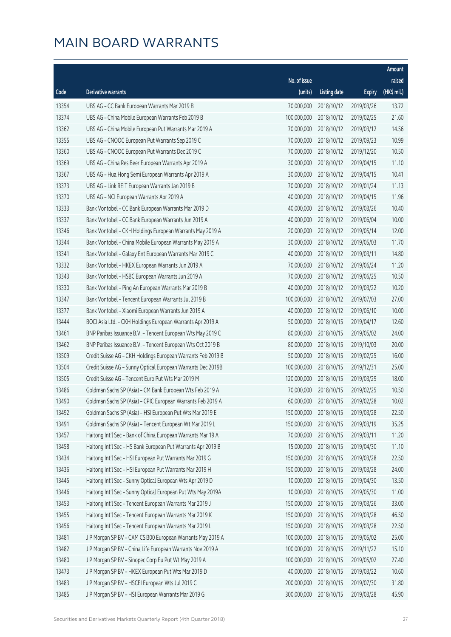|       |                                                              |              |                       |               | Amount      |
|-------|--------------------------------------------------------------|--------------|-----------------------|---------------|-------------|
|       |                                                              | No. of issue |                       |               | raised      |
| Code  | <b>Derivative warrants</b>                                   | (units)      | <b>Listing date</b>   | <b>Expiry</b> | (HK\$ mil.) |
| 13354 | UBS AG - CC Bank European Warrants Mar 2019 B                | 70,000,000   | 2018/10/12            | 2019/03/26    | 13.72       |
| 13374 | UBS AG - China Mobile European Warrants Feb 2019 B           | 100,000,000  | 2018/10/12            | 2019/02/25    | 21.60       |
| 13362 | UBS AG - China Mobile European Put Warrants Mar 2019 A       | 70,000,000   | 2018/10/12            | 2019/03/12    | 14.56       |
| 13355 | UBS AG - CNOOC European Put Warrants Sep 2019 C              | 70,000,000   | 2018/10/12            | 2019/09/23    | 10.99       |
| 13360 | UBS AG - CNOOC European Put Warrants Dec 2019 C              | 70,000,000   | 2018/10/12            | 2019/12/20    | 10.50       |
| 13369 | UBS AG - China Res Beer European Warrants Apr 2019 A         | 30,000,000   | 2018/10/12            | 2019/04/15    | 11.10       |
| 13367 | UBS AG - Hua Hong Semi European Warrants Apr 2019 A          | 30,000,000   | 2018/10/12            | 2019/04/15    | 10.41       |
| 13373 | UBS AG - Link REIT European Warrants Jan 2019 B              | 70,000,000   | 2018/10/12            | 2019/01/24    | 11.13       |
| 13370 | UBS AG - NCI European Warrants Apr 2019 A                    | 40,000,000   | 2018/10/12            | 2019/04/15    | 11.96       |
| 13333 | Bank Vontobel - CC Bank European Warrants Mar 2019 D         | 40,000,000   | 2018/10/12            | 2019/03/26    | 10.40       |
| 13337 | Bank Vontobel - CC Bank European Warrants Jun 2019 A         | 40,000,000   | 2018/10/12            | 2019/06/04    | 10.00       |
| 13346 | Bank Vontobel - CKH Holdings European Warrants May 2019 A    | 20,000,000   | 2018/10/12            | 2019/05/14    | 12.00       |
| 13344 | Bank Vontobel - China Mobile European Warrants May 2019 A    | 30,000,000   | 2018/10/12            | 2019/05/03    | 11.70       |
| 13341 | Bank Vontobel - Galaxy Ent European Warrants Mar 2019 C      | 40,000,000   | 2018/10/12            | 2019/03/11    | 14.80       |
| 13332 | Bank Vontobel - HKEX European Warrants Jun 2019 A            | 70,000,000   | 2018/10/12            | 2019/06/24    | 11.20       |
| 13343 | Bank Vontobel - HSBC European Warrants Jun 2019 A            | 70,000,000   | 2018/10/12            | 2019/06/25    | 10.50       |
| 13330 | Bank Vontobel - Ping An European Warrants Mar 2019 B         | 40,000,000   | 2018/10/12            | 2019/03/22    | 10.20       |
| 13347 | Bank Vontobel - Tencent European Warrants Jul 2019 B         | 100,000,000  | 2018/10/12            | 2019/07/03    | 27.00       |
| 13377 | Bank Vontobel - Xiaomi European Warrants Jun 2019 A          | 40,000,000   | 2018/10/12            | 2019/06/10    | 10.00       |
| 13444 | BOCI Asia Ltd. - CKH Holdings European Warrants Apr 2019 A   | 50,000,000   | 2018/10/15            | 2019/04/17    | 12.60       |
| 13461 | BNP Paribas Issuance B.V. - Tencent European Wts May 2019 C  | 80,000,000   | 2018/10/15            | 2019/05/02    | 24.00       |
| 13462 | BNP Paribas Issuance B.V. - Tencent European Wts Oct 2019 B  | 80,000,000   | 2018/10/15            | 2019/10/03    | 20.00       |
| 13509 | Credit Suisse AG - CKH Holdings European Warrants Feb 2019 B | 50,000,000   | 2018/10/15            | 2019/02/25    | 16.00       |
| 13504 | Credit Suisse AG - Sunny Optical European Warrants Dec 2019B | 100,000,000  | 2018/10/15            | 2019/12/31    | 25.00       |
| 13505 | Credit Suisse AG - Tencent Euro Put Wts Mar 2019 M           | 120,000,000  | 2018/10/15            | 2019/03/29    | 18.00       |
| 13486 | Goldman Sachs SP (Asia) - CM Bank European Wts Feb 2019 A    | 70,000,000   | 2018/10/15            | 2019/02/25    | 10.50       |
| 13490 | Goldman Sachs SP (Asia) - CPIC European Warrants Feb 2019 A  |              | 60,000,000 2018/10/15 | 2019/02/28    | 10.02       |
| 13492 | Goldman Sachs SP (Asia) - HSI European Put Wts Mar 2019 E    | 150,000,000  | 2018/10/15            | 2019/03/28    | 22.50       |
| 13491 | Goldman Sachs SP (Asia) - Tencent European Wt Mar 2019 L     | 150,000,000  | 2018/10/15            | 2019/03/19    | 35.25       |
| 13457 | Haitong Int'l Sec - Bank of China European Warrants Mar 19 A | 70,000,000   | 2018/10/15            | 2019/03/11    | 11.20       |
| 13458 | Haitong Int'l Sec - HS Bank European Put Warrants Apr 2019 B | 15,000,000   | 2018/10/15            | 2019/04/30    | 11.10       |
| 13434 | Haitong Int'l Sec - HSI European Put Warrants Mar 2019 G     | 150,000,000  | 2018/10/15            | 2019/03/28    | 22.50       |
| 13436 | Haitong Int'l Sec - HSI European Put Warrants Mar 2019 H     | 150,000,000  | 2018/10/15            | 2019/03/28    | 24.00       |
| 13445 | Haitong Int'l Sec - Sunny Optical European Wts Apr 2019 D    | 10,000,000   | 2018/10/15            | 2019/04/30    | 13.50       |
| 13446 | Haitong Int'l Sec - Sunny Optical European Put Wts May 2019A | 10,000,000   | 2018/10/15            | 2019/05/30    | 11.00       |
| 13453 | Haitong Int'l Sec - Tencent European Warrants Mar 2019 J     | 150,000,000  | 2018/10/15            | 2019/03/26    | 33.00       |
| 13455 | Haitong Int'l Sec - Tencent European Warrants Mar 2019 K     | 150,000,000  | 2018/10/15            | 2019/03/28    | 46.50       |
| 13456 | Haitong Int'l Sec - Tencent European Warrants Mar 2019 L     | 150,000,000  | 2018/10/15            | 2019/03/28    | 22.50       |
| 13481 | J P Morgan SP BV - CAM CSI300 European Warrants May 2019 A   | 100,000,000  | 2018/10/15            | 2019/05/02    | 25.00       |
| 13482 | J P Morgan SP BV - China Life European Warrants Nov 2019 A   | 100,000,000  | 2018/10/15            | 2019/11/22    | 15.10       |
| 13480 | J P Morgan SP BV - Sinopec Corp Eu Put Wt May 2019 A         | 100,000,000  | 2018/10/15            | 2019/05/02    | 27.40       |
| 13473 | J P Morgan SP BV - HKEX European Put Wts Mar 2019 D          | 40,000,000   | 2018/10/15            | 2019/03/22    | 10.60       |
| 13483 | J P Morgan SP BV - HSCEI European Wts Jul 2019 C             | 200,000,000  | 2018/10/15            | 2019/07/30    | 31.80       |
| 13485 | J P Morgan SP BV - HSI European Warrants Mar 2019 G          | 300,000,000  | 2018/10/15            | 2019/03/28    | 45.90       |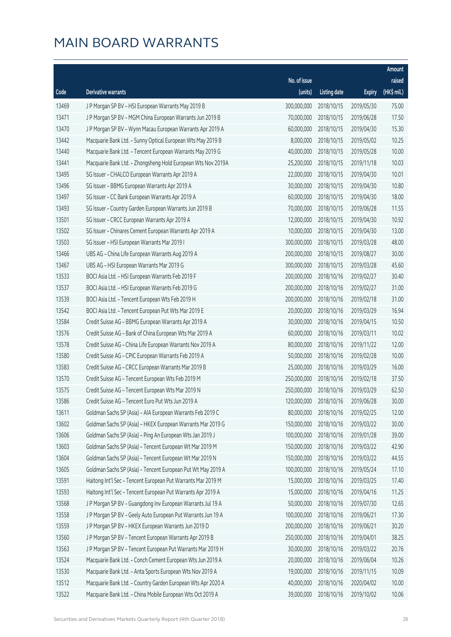|       |                                                              |                        |                     |               | Amount      |
|-------|--------------------------------------------------------------|------------------------|---------------------|---------------|-------------|
|       |                                                              | No. of issue           |                     |               | raised      |
| Code  | Derivative warrants                                          | (units)                | <b>Listing date</b> | <b>Expiry</b> | (HK\$ mil.) |
| 13469 | J P Morgan SP BV - HSI European Warrants May 2019 B          | 300,000,000            | 2018/10/15          | 2019/05/30    | 75.00       |
| 13471 | J P Morgan SP BV - MGM China European Warrants Jun 2019 B    | 70,000,000             | 2018/10/15          | 2019/06/28    | 17.50       |
| 13470 | J P Morgan SP BV - Wynn Macau European Warrants Apr 2019 A   | 60,000,000             | 2018/10/15          | 2019/04/30    | 15.30       |
| 13442 | Macquarie Bank Ltd. - Sunny Optical European Wts May 2019 B  | 8,000,000              | 2018/10/15          | 2019/05/02    | 10.25       |
| 13440 | Macquarie Bank Ltd. - Tencent European Warrants May 2019 G   | 40,000,000             | 2018/10/15          | 2019/05/28    | 10.00       |
| 13441 | Macquarie Bank Ltd. - Zhongsheng Hold European Wts Nov 2019A | 25,200,000             | 2018/10/15          | 2019/11/18    | 10.03       |
| 13495 | SG Issuer - CHALCO European Warrants Apr 2019 A              | 22,000,000             | 2018/10/15          | 2019/04/30    | 10.01       |
| 13496 | SG Issuer - BBMG European Warrants Apr 2019 A                | 30,000,000             | 2018/10/15          | 2019/04/30    | 10.80       |
| 13497 | SG Issuer - CC Bank European Warrants Apr 2019 A             | 60,000,000             | 2018/10/15          | 2019/04/30    | 18.00       |
| 13493 | SG Issuer - Country Garden European Warrants Jun 2019 B      | 70,000,000             | 2018/10/15          | 2019/06/28    | 11.55       |
| 13501 | SG Issuer - CRCC European Warrants Apr 2019 A                | 12,000,000             | 2018/10/15          | 2019/04/30    | 10.92       |
| 13502 | SG Issuer - Chinares Cement European Warrants Apr 2019 A     | 10,000,000             | 2018/10/15          | 2019/04/30    | 13.00       |
| 13503 | SG Issuer - HSI European Warrants Mar 2019 I                 | 300,000,000            | 2018/10/15          | 2019/03/28    | 48.00       |
| 13466 | UBS AG - China Life European Warrants Aug 2019 A             | 200,000,000            | 2018/10/15          | 2019/08/27    | 30.00       |
| 13467 | UBS AG - HSI European Warrants Mar 2019 G                    | 300,000,000            | 2018/10/15          | 2019/03/28    | 45.60       |
| 13533 | BOCI Asia Ltd. - HSI European Warrants Feb 2019 F            | 200,000,000            | 2018/10/16          | 2019/02/27    | 30.40       |
| 13537 | BOCI Asia Ltd. - HSI European Warrants Feb 2019 G            | 200,000,000            | 2018/10/16          | 2019/02/27    | 31.00       |
| 13539 | BOCI Asia Ltd. - Tencent European Wts Feb 2019 H             | 200,000,000            | 2018/10/16          | 2019/02/18    | 31.00       |
| 13542 | BOCI Asia Ltd. - Tencent European Put Wts Mar 2019 E         | 20,000,000             | 2018/10/16          | 2019/03/29    | 16.94       |
| 13584 | Credit Suisse AG - BBMG European Warrants Apr 2019 A         | 30,000,000             | 2018/10/16          | 2019/04/15    | 10.50       |
| 13576 | Credit Suisse AG - Bank of China European Wts Mar 2019 A     | 60,000,000             | 2018/10/16          | 2019/03/11    | 10.02       |
| 13578 | Credit Suisse AG - China Life European Warrants Nov 2019 A   | 80,000,000             | 2018/10/16          | 2019/11/22    | 12.00       |
| 13580 | Credit Suisse AG - CPIC European Warrants Feb 2019 A         | 50,000,000             | 2018/10/16          | 2019/02/28    | 10.00       |
| 13583 | Credit Suisse AG - CRCC European Warrants Mar 2019 B         | 25,000,000             | 2018/10/16          | 2019/03/29    | 16.00       |
| 13570 | Credit Suisse AG - Tencent European Wts Feb 2019 M           | 250,000,000            | 2018/10/16          | 2019/02/18    | 37.50       |
| 13575 | Credit Suisse AG - Tencent European Wts Mar 2019 N           | 250,000,000            | 2018/10/16          | 2019/03/29    | 62.50       |
| 13586 | Credit Suisse AG - Tencent Euro Put Wts Jun 2019 A           | 120,000,000 2018/10/16 |                     | 2019/06/28    | 30.00       |
| 13611 | Goldman Sachs SP (Asia) - AIA European Warrants Feb 2019 C   | 80,000,000             | 2018/10/16          | 2019/02/25    | 12.00       |
| 13602 | Goldman Sachs SP (Asia) - HKEX European Warrants Mar 2019 G  | 150,000,000            | 2018/10/16          | 2019/03/22    | 30.00       |
| 13606 | Goldman Sachs SP (Asia) - Ping An European Wts Jan 2019 J    | 100,000,000            | 2018/10/16          | 2019/01/28    | 39.00       |
| 13603 | Goldman Sachs SP (Asia) - Tencent European Wt Mar 2019 M     | 150,000,000            | 2018/10/16          | 2019/03/22    | 42.90       |
| 13604 | Goldman Sachs SP (Asia) - Tencent European Wt Mar 2019 N     | 150,000,000            | 2018/10/16          | 2019/03/22    | 44.55       |
| 13605 | Goldman Sachs SP (Asia) - Tencent European Put Wt May 2019 A | 100,000,000            | 2018/10/16          | 2019/05/24    | 17.10       |
| 13591 | Haitong Int'l Sec - Tencent European Put Warrants Mar 2019 M | 15,000,000             | 2018/10/16          | 2019/03/25    | 17.40       |
| 13593 | Haitong Int'l Sec - Tencent European Put Warrants Apr 2019 A | 15,000,000             | 2018/10/16          | 2019/04/16    | 11.25       |
| 13568 | J P Morgan SP BV - Guangdong Inv European Warrants Jul 19 A  | 50,000,000             | 2018/10/16          | 2019/07/30    | 12.65       |
| 13558 | J P Morgan SP BV - Geely Auto European Put Warrants Jun 19 A | 100,000,000            | 2018/10/16          | 2019/06/21    | 17.30       |
| 13559 | J P Morgan SP BV - HKEX European Warrants Jun 2019 D         | 200,000,000            | 2018/10/16          | 2019/06/21    | 30.20       |
| 13560 | J P Morgan SP BV - Tencent European Warrants Apr 2019 B      | 250,000,000            | 2018/10/16          | 2019/04/01    | 38.25       |
| 13563 | J P Morgan SP BV - Tencent European Put Warrants Mar 2019 H  | 30,000,000             | 2018/10/16          | 2019/03/22    | 20.76       |
| 13524 | Macquarie Bank Ltd. - Conch Cement European Wts Jun 2019 A   | 20,000,000             | 2018/10/16          | 2019/06/04    | 10.26       |
| 13530 | Macquarie Bank Ltd. - Anta Sports European Wts Nov 2019 A    | 19,000,000             | 2018/10/16          | 2019/11/15    | 10.09       |
| 13512 | Macquarie Bank Ltd. - Country Garden European Wts Apr 2020 A | 40,000,000             | 2018/10/16          | 2020/04/02    | 10.00       |
| 13522 | Macquarie Bank Ltd. - China Mobile European Wts Oct 2019 A   | 39,000,000             | 2018/10/16          | 2019/10/02    | 10.06       |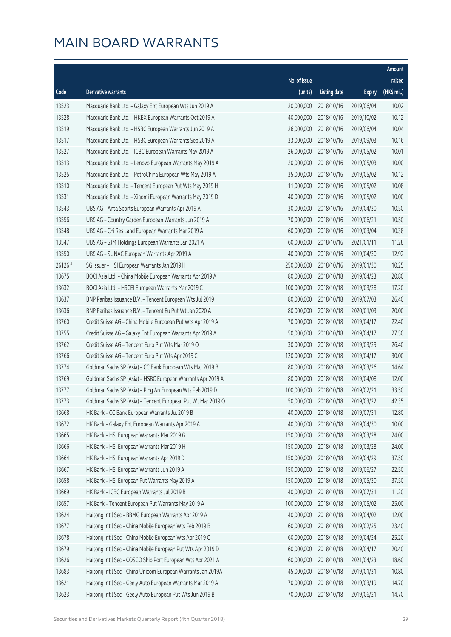|         |                                                              |              |                       |               | Amount      |
|---------|--------------------------------------------------------------|--------------|-----------------------|---------------|-------------|
|         |                                                              | No. of issue |                       |               | raised      |
| Code    | <b>Derivative warrants</b>                                   | (units)      | <b>Listing date</b>   | <b>Expiry</b> | (HK\$ mil.) |
| 13523   | Macquarie Bank Ltd. - Galaxy Ent European Wts Jun 2019 A     | 20,000,000   | 2018/10/16            | 2019/06/04    | 10.02       |
| 13528   | Macquarie Bank Ltd. - HKEX European Warrants Oct 2019 A      | 40,000,000   | 2018/10/16            | 2019/10/02    | 10.12       |
| 13519   | Macquarie Bank Ltd. - HSBC European Warrants Jun 2019 A      | 26,000,000   | 2018/10/16            | 2019/06/04    | 10.04       |
| 13517   | Macquarie Bank Ltd. - HSBC European Warrants Sep 2019 A      | 33,000,000   | 2018/10/16            | 2019/09/03    | 10.16       |
| 13527   | Macquarie Bank Ltd. - ICBC European Warrants May 2019 A      | 26,000,000   | 2018/10/16            | 2019/05/02    | 10.01       |
| 13513   | Macquarie Bank Ltd. - Lenovo European Warrants May 2019 A    | 20,000,000   | 2018/10/16            | 2019/05/03    | 10.00       |
| 13525   | Macquarie Bank Ltd. - PetroChina European Wts May 2019 A     | 35,000,000   | 2018/10/16            | 2019/05/02    | 10.12       |
| 13510   | Macquarie Bank Ltd. - Tencent European Put Wts May 2019 H    | 11,000,000   | 2018/10/16            | 2019/05/02    | 10.08       |
| 13531   | Macquarie Bank Ltd. - Xiaomi European Warrants May 2019 D    | 40,000,000   | 2018/10/16            | 2019/05/02    | 10.00       |
| 13543   | UBS AG - Anta Sports European Warrants Apr 2019 A            | 30,000,000   | 2018/10/16            | 2019/04/30    | 10.50       |
| 13556   | UBS AG - Country Garden European Warrants Jun 2019 A         | 70,000,000   | 2018/10/16            | 2019/06/21    | 10.50       |
| 13548   | UBS AG - Chi Res Land European Warrants Mar 2019 A           | 60,000,000   | 2018/10/16            | 2019/03/04    | 10.38       |
| 13547   | UBS AG - SJM Holdings European Warrants Jan 2021 A           | 60,000,000   | 2018/10/16            | 2021/01/11    | 11.28       |
| 13550   | UBS AG - SUNAC European Warrants Apr 2019 A                  | 40,000,000   | 2018/10/16            | 2019/04/30    | 12.92       |
| 26126 # | SG Issuer - HSI European Warrants Jan 2019 H                 | 250,000,000  | 2018/10/16            | 2019/01/30    | 10.25       |
| 13675   | BOCI Asia Ltd. - China Mobile European Warrants Apr 2019 A   | 80,000,000   | 2018/10/18            | 2019/04/23    | 20.80       |
| 13632   | BOCI Asia Ltd. - HSCEI European Warrants Mar 2019 C          | 100,000,000  | 2018/10/18            | 2019/03/28    | 17.20       |
| 13637   | BNP Paribas Issuance B.V. - Tencent European Wts Jul 2019 I  | 80,000,000   | 2018/10/18            | 2019/07/03    | 26.40       |
| 13636   | BNP Paribas Issuance B.V. - Tencent Eu Put Wt Jan 2020 A     | 80,000,000   | 2018/10/18            | 2020/01/03    | 20.00       |
| 13760   | Credit Suisse AG - China Mobile European Put Wts Apr 2019 A  | 70,000,000   | 2018/10/18            | 2019/04/17    | 22.40       |
| 13755   | Credit Suisse AG - Galaxy Ent European Warrants Apr 2019 A   | 50,000,000   | 2018/10/18            | 2019/04/17    | 27.50       |
| 13762   | Credit Suisse AG - Tencent Euro Put Wts Mar 2019 O           | 30,000,000   | 2018/10/18            | 2019/03/29    | 26.40       |
| 13766   | Credit Suisse AG - Tencent Euro Put Wts Apr 2019 C           | 120,000,000  | 2018/10/18            | 2019/04/17    | 30.00       |
| 13774   | Goldman Sachs SP (Asia) - CC Bank European Wts Mar 2019 B    | 80,000,000   | 2018/10/18            | 2019/03/26    | 14.64       |
| 13769   | Goldman Sachs SP (Asia) - HSBC European Warrants Apr 2019 A  | 80,000,000   | 2018/10/18            | 2019/04/08    | 12.00       |
| 13777   | Goldman Sachs SP (Asia) - Ping An European Wts Feb 2019 D    | 100,000,000  | 2018/10/18            | 2019/02/21    | 33.50       |
| 13773   | Goldman Sachs SP (Asia) - Tencent European Put Wt Mar 2019 O |              | 50,000,000 2018/10/18 | 2019/03/22    | 42.35       |
| 13668   | HK Bank - CC Bank European Warrants Jul 2019 B               | 40,000,000   | 2018/10/18            | 2019/07/31    | 12.80       |
| 13672   | HK Bank - Galaxy Ent European Warrants Apr 2019 A            | 40,000,000   | 2018/10/18            | 2019/04/30    | 10.00       |
| 13665   | HK Bank - HSI European Warrants Mar 2019 G                   | 150,000,000  | 2018/10/18            | 2019/03/28    | 24.00       |
| 13666   | HK Bank - HSI European Warrants Mar 2019 H                   | 150,000,000  | 2018/10/18            | 2019/03/28    | 24.00       |
| 13664   | HK Bank - HSI European Warrants Apr 2019 D                   | 150,000,000  | 2018/10/18            | 2019/04/29    | 37.50       |
| 13667   | HK Bank - HSI European Warrants Jun 2019 A                   | 150,000,000  | 2018/10/18            | 2019/06/27    | 22.50       |
| 13658   | HK Bank - HSI European Put Warrants May 2019 A               | 150,000,000  | 2018/10/18            | 2019/05/30    | 37.50       |
| 13669   | HK Bank - ICBC European Warrants Jul 2019 B                  | 40,000,000   | 2018/10/18            | 2019/07/31    | 11.20       |
| 13657   | HK Bank - Tencent European Put Warrants May 2019 A           | 100,000,000  | 2018/10/18            | 2019/05/02    | 25.00       |
| 13624   | Haitong Int'l Sec - BBMG European Warrants Apr 2019 A        | 40,000,000   | 2018/10/18            | 2019/04/02    | 12.00       |
| 13677   | Haitong Int'l Sec - China Mobile European Wts Feb 2019 B     | 60,000,000   | 2018/10/18            | 2019/02/25    | 23.40       |
| 13678   | Haitong Int'l Sec - China Mobile European Wts Apr 2019 C     | 60,000,000   | 2018/10/18            | 2019/04/24    | 25.20       |
| 13679   | Haitong Int'l Sec - China Mobile European Put Wts Apr 2019 D | 60,000,000   | 2018/10/18            | 2019/04/17    | 20.40       |
| 13626   | Haitong Int'l Sec - COSCO Ship Port European Wts Apr 2021 A  | 60,000,000   | 2018/10/18            | 2021/04/23    | 18.60       |
| 13683   | Haitong Int'l Sec - China Unicom European Warrants Jan 2019A | 45,000,000   | 2018/10/18            | 2019/01/31    | 10.80       |
| 13621   | Haitong Int'l Sec - Geely Auto European Warrants Mar 2019 A  | 70,000,000   | 2018/10/18            | 2019/03/19    | 14.70       |
| 13623   | Haitong Int'l Sec - Geely Auto European Put Wts Jun 2019 B   | 70,000,000   | 2018/10/18            | 2019/06/21    | 14.70       |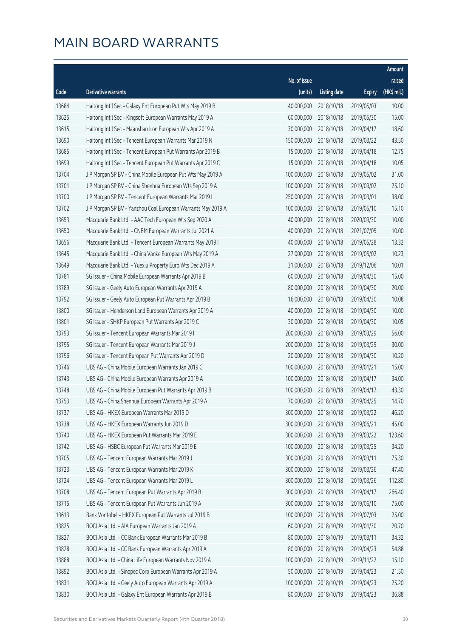|       |                                                              |              |                       |               | Amount      |
|-------|--------------------------------------------------------------|--------------|-----------------------|---------------|-------------|
|       |                                                              | No. of issue |                       |               | raised      |
| Code  | <b>Derivative warrants</b>                                   | (units)      | <b>Listing date</b>   | <b>Expiry</b> | (HK\$ mil.) |
| 13684 | Haitong Int'l Sec - Galaxy Ent European Put Wts May 2019 B   | 40,000,000   | 2018/10/18            | 2019/05/03    | 10.00       |
| 13625 | Haitong Int'l Sec - Kingsoft European Warrants May 2019 A    | 60,000,000   | 2018/10/18            | 2019/05/30    | 15.00       |
| 13615 | Haitong Int'l Sec - Maanshan Iron European Wts Apr 2019 A    | 30,000,000   | 2018/10/18            | 2019/04/17    | 18.60       |
| 13690 | Haitong Int'l Sec - Tencent European Warrants Mar 2019 N     | 150,000,000  | 2018/10/18            | 2019/03/22    | 43.50       |
| 13685 | Haitong Int'l Sec - Tencent European Put Warrants Apr 2019 B | 15,000,000   | 2018/10/18            | 2019/04/18    | 12.75       |
| 13699 | Haitong Int'l Sec - Tencent European Put Warrants Apr 2019 C | 15,000,000   | 2018/10/18            | 2019/04/18    | 10.05       |
| 13704 | J P Morgan SP BV - China Mobile European Put Wts May 2019 A  | 100,000,000  | 2018/10/18            | 2019/05/02    | 31.00       |
| 13701 | J P Morgan SP BV - China Shenhua European Wts Sep 2019 A     | 100,000,000  | 2018/10/18            | 2019/09/02    | 25.10       |
| 13700 | J P Morgan SP BV - Tencent European Warrants Mar 2019 I      | 250,000,000  | 2018/10/18            | 2019/03/01    | 38.00       |
| 13702 | J P Morgan SP BV - Yanzhou Coal European Warrants May 2019 A | 100,000,000  | 2018/10/18            | 2019/05/10    | 15.10       |
| 13653 | Macquarie Bank Ltd. - AAC Tech European Wts Sep 2020 A       | 40,000,000   | 2018/10/18            | 2020/09/30    | 10.00       |
| 13650 | Macquarie Bank Ltd. - CNBM European Warrants Jul 2021 A      | 40,000,000   | 2018/10/18            | 2021/07/05    | 10.00       |
| 13656 | Macquarie Bank Ltd. - Tencent European Warrants May 2019 I   | 40,000,000   | 2018/10/18            | 2019/05/28    | 13.32       |
| 13645 | Macquarie Bank Ltd. - China Vanke European Wts May 2019 A    | 27,000,000   | 2018/10/18            | 2019/05/02    | 10.23       |
| 13649 | Macquarie Bank Ltd. - Yuexiu Property Euro Wts Dec 2019 A    | 31,000,000   | 2018/10/18            | 2019/12/06    | 10.01       |
| 13781 | SG Issuer - China Mobile European Warrants Apr 2019 B        | 60,000,000   | 2018/10/18            | 2019/04/30    | 15.00       |
| 13789 | SG Issuer - Geely Auto European Warrants Apr 2019 A          | 80,000,000   | 2018/10/18            | 2019/04/30    | 20.00       |
| 13792 | SG Issuer - Geely Auto European Put Warrants Apr 2019 B      | 16,000,000   | 2018/10/18            | 2019/04/30    | 10.08       |
| 13800 | SG Issuer - Henderson Land European Warrants Apr 2019 A      | 40,000,000   | 2018/10/18            | 2019/04/30    | 10.00       |
| 13801 | SG Issuer - SHKP European Put Warrants Apr 2019 C            | 30,000,000   | 2018/10/18            | 2019/04/30    | 10.05       |
| 13793 | SG Issuer - Tencent European Warrants Mar 2019 I             | 200,000,000  | 2018/10/18            | 2019/03/29    | 56.00       |
| 13795 | SG Issuer - Tencent European Warrants Mar 2019 J             | 200,000,000  | 2018/10/18            | 2019/03/29    | 30.00       |
| 13796 | SG Issuer - Tencent European Put Warrants Apr 2019 D         | 20,000,000   | 2018/10/18            | 2019/04/30    | 10.20       |
| 13746 | UBS AG - China Mobile European Warrants Jan 2019 C           | 100,000,000  | 2018/10/18            | 2019/01/21    | 15.00       |
| 13743 | UBS AG - China Mobile European Warrants Apr 2019 A           | 100,000,000  | 2018/10/18            | 2019/04/17    | 34.00       |
| 13748 | UBS AG - China Mobile European Put Warrants Apr 2019 B       | 100,000,000  | 2018/10/18            | 2019/04/17    | 43.30       |
| 13753 | UBS AG - China Shenhua European Warrants Apr 2019 A          |              | 70,000,000 2018/10/18 | 2019/04/25    | 14.70       |
| 13737 | UBS AG - HKEX European Warrants Mar 2019 D                   | 300,000,000  | 2018/10/18            | 2019/03/22    | 46.20       |
| 13738 | UBS AG - HKEX European Warrants Jun 2019 D                   | 300,000,000  | 2018/10/18            | 2019/06/21    | 45.00       |
| 13740 | UBS AG - HKEX European Put Warrants Mar 2019 E               | 300,000,000  | 2018/10/18            | 2019/03/22    | 123.60      |
| 13742 | UBS AG - HSBC European Put Warrants Mar 2019 E               | 100,000,000  | 2018/10/18            | 2019/03/25    | 34.20       |
| 13705 | UBS AG - Tencent European Warrants Mar 2019 J                | 300,000,000  | 2018/10/18            | 2019/03/11    | 75.30       |
| 13723 | UBS AG - Tencent European Warrants Mar 2019 K                | 300,000,000  | 2018/10/18            | 2019/03/26    | 47.40       |
| 13724 | UBS AG - Tencent European Warrants Mar 2019 L                | 300,000,000  | 2018/10/18            | 2019/03/26    | 112.80      |
| 13708 | UBS AG - Tencent European Put Warrants Apr 2019 B            | 300,000,000  | 2018/10/18            | 2019/04/17    | 266.40      |
| 13715 | UBS AG - Tencent European Put Warrants Jun 2019 A            | 300,000,000  | 2018/10/18            | 2019/06/10    | 75.00       |
| 13613 | Bank Vontobel - HKEX European Put Warrants Jul 2019 B        | 100,000,000  | 2018/10/18            | 2019/07/03    | 25.00       |
| 13825 | BOCI Asia Ltd. - AIA European Warrants Jan 2019 A            | 60,000,000   | 2018/10/19            | 2019/01/30    | 20.70       |
| 13827 | BOCI Asia Ltd. - CC Bank European Warrants Mar 2019 B        | 80,000,000   | 2018/10/19            | 2019/03/11    | 34.32       |
| 13828 | BOCI Asia Ltd. - CC Bank European Warrants Apr 2019 A        | 80,000,000   | 2018/10/19            | 2019/04/23    | 54.88       |
| 13888 | BOCI Asia Ltd. - China Life European Warrants Nov 2019 A     | 100,000,000  | 2018/10/19            | 2019/11/22    | 15.10       |
| 13892 | BOCI Asia Ltd. - Sinopec Corp European Warrants Apr 2019 A   | 50,000,000   | 2018/10/19            | 2019/04/23    | 21.50       |
| 13831 | BOCI Asia Ltd. - Geely Auto European Warrants Apr 2019 A     | 100,000,000  | 2018/10/19            | 2019/04/23    | 25.20       |
| 13830 | BOCI Asia Ltd. - Galaxy Ent European Warrants Apr 2019 B     | 80,000,000   | 2018/10/19            | 2019/04/23    | 36.88       |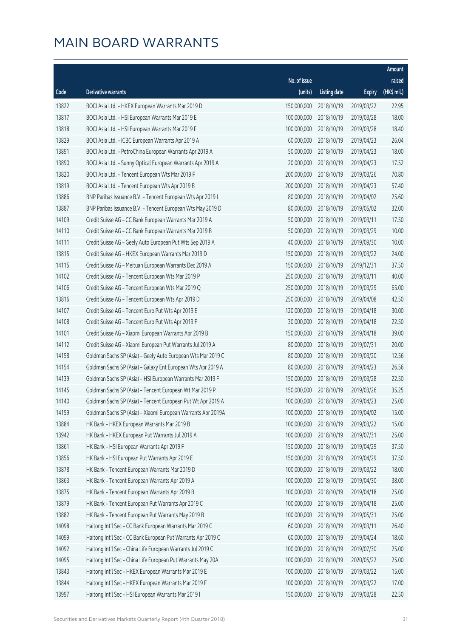|       |                                                              |                        |                     |               | Amount      |
|-------|--------------------------------------------------------------|------------------------|---------------------|---------------|-------------|
|       |                                                              | No. of issue           |                     |               | raised      |
| Code  | Derivative warrants                                          | (units)                | <b>Listing date</b> | <b>Expiry</b> | (HK\$ mil.) |
| 13822 | BOCI Asia Ltd. - HKEX European Warrants Mar 2019 D           | 150,000,000            | 2018/10/19          | 2019/03/22    | 22.95       |
| 13817 | BOCI Asia Ltd. - HSI European Warrants Mar 2019 E            | 100,000,000            | 2018/10/19          | 2019/03/28    | 18.00       |
| 13818 | BOCI Asia Ltd. - HSI European Warrants Mar 2019 F            | 100,000,000            | 2018/10/19          | 2019/03/28    | 18.40       |
| 13829 | BOCI Asia Ltd. - ICBC European Warrants Apr 2019 A           | 60,000,000             | 2018/10/19          | 2019/04/23    | 26.04       |
| 13891 | BOCI Asia Ltd. - PetroChina European Warrants Apr 2019 A     | 50,000,000             | 2018/10/19          | 2019/04/23    | 18.00       |
| 13890 | BOCI Asia Ltd. - Sunny Optical European Warrants Apr 2019 A  | 20,000,000             | 2018/10/19          | 2019/04/23    | 17.52       |
| 13820 | BOCI Asia Ltd. - Tencent European Wts Mar 2019 F             | 200,000,000            | 2018/10/19          | 2019/03/26    | 70.80       |
| 13819 | BOCI Asia Ltd. - Tencent European Wts Apr 2019 B             | 200,000,000            | 2018/10/19          | 2019/04/23    | 57.40       |
| 13886 | BNP Paribas Issuance B.V. - Tencent European Wts Apr 2019 L  | 80,000,000             | 2018/10/19          | 2019/04/02    | 25.60       |
| 13887 | BNP Paribas Issuance B.V. - Tencent European Wts May 2019 D  | 80,000,000             | 2018/10/19          | 2019/05/02    | 32.00       |
| 14109 | Credit Suisse AG - CC Bank European Warrants Mar 2019 A      | 50,000,000             | 2018/10/19          | 2019/03/11    | 17.50       |
| 14110 | Credit Suisse AG - CC Bank European Warrants Mar 2019 B      | 50,000,000             | 2018/10/19          | 2019/03/29    | 10.00       |
| 14111 | Credit Suisse AG - Geely Auto European Put Wts Sep 2019 A    | 40,000,000             | 2018/10/19          | 2019/09/30    | 10.00       |
| 13815 | Credit Suisse AG - HKEX European Warrants Mar 2019 D         | 150,000,000            | 2018/10/19          | 2019/03/22    | 24.00       |
| 14115 | Credit Suisse AG - Meituan European Warrants Dec 2019 A      | 150,000,000            | 2018/10/19          | 2019/12/31    | 37.50       |
| 14102 | Credit Suisse AG - Tencent European Wts Mar 2019 P           | 250,000,000            | 2018/10/19          | 2019/03/11    | 40.00       |
| 14106 | Credit Suisse AG - Tencent European Wts Mar 2019 Q           | 250,000,000            | 2018/10/19          | 2019/03/29    | 65.00       |
| 13816 | Credit Suisse AG - Tencent European Wts Apr 2019 D           | 250,000,000            | 2018/10/19          | 2019/04/08    | 42.50       |
| 14107 | Credit Suisse AG - Tencent Euro Put Wts Apr 2019 E           | 120,000,000            | 2018/10/19          | 2019/04/18    | 30.00       |
| 14108 | Credit Suisse AG - Tencent Euro Put Wts Apr 2019 F           | 30,000,000             | 2018/10/19          | 2019/04/18    | 22.50       |
| 14101 | Credit Suisse AG - Xiaomi European Warrants Apr 2019 B       | 150,000,000            | 2018/10/19          | 2019/04/18    | 39.00       |
| 14112 | Credit Suisse AG - Xiaomi European Put Warrants Jul 2019 A   | 80,000,000             | 2018/10/19          | 2019/07/31    | 20.00       |
| 14158 | Goldman Sachs SP (Asia) - Geely Auto European Wts Mar 2019 C | 80,000,000             | 2018/10/19          | 2019/03/20    | 12.56       |
| 14154 | Goldman Sachs SP (Asia) - Galaxy Ent European Wts Apr 2019 A | 80,000,000             | 2018/10/19          | 2019/04/23    | 26.56       |
| 14139 | Goldman Sachs SP (Asia) - HSI European Warrants Mar 2019 F   | 150,000,000            | 2018/10/19          | 2019/03/28    | 22.50       |
| 14145 | Goldman Sachs SP (Asia) - Tencent European Wt Mar 2019 P     | 150,000,000            | 2018/10/19          | 2019/03/26    | 35.25       |
| 14140 | Goldman Sachs SP (Asia) – Tencent European Put Wt Apr 2019 A | 100,000,000 2018/10/19 |                     | 2019/04/23    | 25.00       |
| 14159 | Goldman Sachs SP (Asia) - Xiaomi European Warrants Apr 2019A | 100,000,000            | 2018/10/19          | 2019/04/02    | 15.00       |
| 13884 | HK Bank - HKEX European Warrants Mar 2019 B                  | 100,000,000            | 2018/10/19          | 2019/03/22    | 15.00       |
| 13942 | HK Bank - HKEX European Put Warrants Jul 2019 A              | 100,000,000            | 2018/10/19          | 2019/07/31    | 25.00       |
| 13861 | HK Bank - HSI European Warrants Apr 2019 F                   | 150,000,000            | 2018/10/19          | 2019/04/29    | 37.50       |
| 13856 | HK Bank - HSI European Put Warrants Apr 2019 E               | 150,000,000            | 2018/10/19          | 2019/04/29    | 37.50       |
| 13878 | HK Bank - Tencent European Warrants Mar 2019 D               | 100,000,000            | 2018/10/19          | 2019/03/22    | 18.00       |
| 13863 | HK Bank - Tencent European Warrants Apr 2019 A               | 100,000,000            | 2018/10/19          | 2019/04/30    | 38.00       |
| 13875 | HK Bank - Tencent European Warrants Apr 2019 B               | 100,000,000            | 2018/10/19          | 2019/04/18    | 25.00       |
| 13879 | HK Bank - Tencent European Put Warrants Apr 2019 C           | 100,000,000            | 2018/10/19          | 2019/04/18    | 25.00       |
| 13882 | HK Bank - Tencent European Put Warrants May 2019 B           | 100,000,000            | 2018/10/19          | 2019/05/31    | 25.00       |
| 14098 | Haitong Int'l Sec - CC Bank European Warrants Mar 2019 C     | 60,000,000             | 2018/10/19          | 2019/03/11    | 26.40       |
| 14099 | Haitong Int'l Sec - CC Bank European Put Warrants Apr 2019 C | 60,000,000             | 2018/10/19          | 2019/04/24    | 18.60       |
| 14092 | Haitong Int'l Sec - China Life European Warrants Jul 2019 C  | 100,000,000            | 2018/10/19          | 2019/07/30    | 25.00       |
| 14095 | Haitong Int'l Sec - China Life European Put Warrants May 20A | 100,000,000            | 2018/10/19          | 2020/05/22    | 25.00       |
| 13843 | Haitong Int'l Sec - HKEX European Warrants Mar 2019 E        | 100,000,000            | 2018/10/19          | 2019/03/22    | 15.00       |
| 13844 | Haitong Int'l Sec - HKEX European Warrants Mar 2019 F        | 100,000,000            | 2018/10/19          | 2019/03/22    | 17.00       |
| 13997 | Haitong Int'l Sec - HSI European Warrants Mar 2019 I         | 150,000,000            | 2018/10/19          | 2019/03/28    | 22.50       |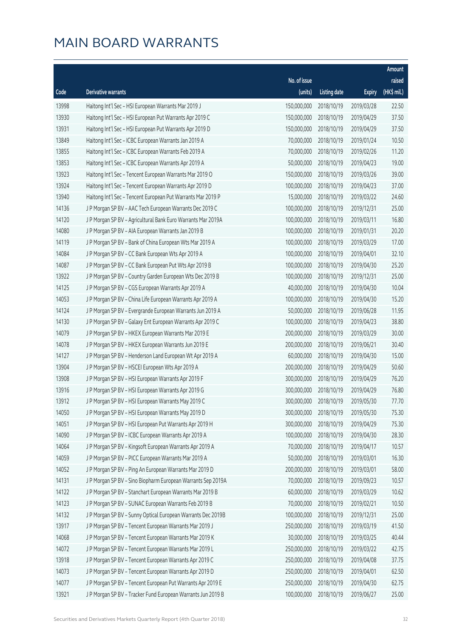|       |                                                              |                        |                     |               | Amount      |
|-------|--------------------------------------------------------------|------------------------|---------------------|---------------|-------------|
|       |                                                              | No. of issue           |                     |               | raised      |
| Code  | Derivative warrants                                          | (units)                | <b>Listing date</b> | <b>Expiry</b> | (HK\$ mil.) |
| 13998 | Haitong Int'l Sec - HSI European Warrants Mar 2019 J         | 150,000,000            | 2018/10/19          | 2019/03/28    | 22.50       |
| 13930 | Haitong Int'l Sec - HSI European Put Warrants Apr 2019 C     | 150,000,000            | 2018/10/19          | 2019/04/29    | 37.50       |
| 13931 | Haitong Int'l Sec - HSI European Put Warrants Apr 2019 D     | 150,000,000            | 2018/10/19          | 2019/04/29    | 37.50       |
| 13849 | Haitong Int'l Sec - ICBC European Warrants Jan 2019 A        | 70,000,000             | 2018/10/19          | 2019/01/24    | 10.50       |
| 13855 | Haitong Int'l Sec - ICBC European Warrants Feb 2019 A        | 70,000,000             | 2018/10/19          | 2019/02/26    | 11.20       |
| 13853 | Haitong Int'l Sec - ICBC European Warrants Apr 2019 A        | 50,000,000             | 2018/10/19          | 2019/04/23    | 19.00       |
| 13923 | Haitong Int'l Sec - Tencent European Warrants Mar 2019 O     | 150,000,000            | 2018/10/19          | 2019/03/26    | 39.00       |
| 13924 | Haitong Int'l Sec - Tencent European Warrants Apr 2019 D     | 100,000,000            | 2018/10/19          | 2019/04/23    | 37.00       |
| 13940 | Haitong Int'l Sec - Tencent European Put Warrants Mar 2019 P | 15,000,000             | 2018/10/19          | 2019/03/22    | 24.60       |
| 14136 | J P Morgan SP BV - AAC Tech European Warrants Dec 2019 C     | 100,000,000            | 2018/10/19          | 2019/12/31    | 25.00       |
| 14120 | J P Morgan SP BV - Agricultural Bank Euro Warrants Mar 2019A | 100,000,000            | 2018/10/19          | 2019/03/11    | 16.80       |
| 14080 | J P Morgan SP BV - AIA European Warrants Jan 2019 B          | 100,000,000            | 2018/10/19          | 2019/01/31    | 20.20       |
| 14119 | J P Morgan SP BV - Bank of China European Wts Mar 2019 A     | 100,000,000            | 2018/10/19          | 2019/03/29    | 17.00       |
| 14084 | J P Morgan SP BV - CC Bank European Wts Apr 2019 A           | 100,000,000            | 2018/10/19          | 2019/04/01    | 32.10       |
| 14087 | J P Morgan SP BV - CC Bank European Put Wts Apr 2019 B       | 100,000,000            | 2018/10/19          | 2019/04/30    | 25.20       |
| 13922 | J P Morgan SP BV - Country Garden European Wts Dec 2019 B    | 100,000,000            | 2018/10/19          | 2019/12/31    | 25.00       |
| 14125 | J P Morgan SP BV - CGS European Warrants Apr 2019 A          | 40,000,000             | 2018/10/19          | 2019/04/30    | 10.04       |
| 14053 | J P Morgan SP BV - China Life European Warrants Apr 2019 A   | 100,000,000            | 2018/10/19          | 2019/04/30    | 15.20       |
| 14124 | J P Morgan SP BV - Evergrande European Warrants Jun 2019 A   | 50,000,000             | 2018/10/19          | 2019/06/28    | 11.95       |
| 14130 | J P Morgan SP BV - Galaxy Ent European Warrants Apr 2019 C   | 100,000,000            | 2018/10/19          | 2019/04/23    | 38.80       |
| 14079 | J P Morgan SP BV - HKEX European Warrants Mar 2019 E         | 200,000,000            | 2018/10/19          | 2019/03/29    | 30.00       |
| 14078 | J P Morgan SP BV - HKEX European Warrants Jun 2019 E         | 200,000,000            | 2018/10/19          | 2019/06/21    | 30.40       |
| 14127 | J P Morgan SP BV - Henderson Land European Wt Apr 2019 A     | 60,000,000             | 2018/10/19          | 2019/04/30    | 15.00       |
| 13904 | J P Morgan SP BV - HSCEI European Wts Apr 2019 A             | 200,000,000            | 2018/10/19          | 2019/04/29    | 50.60       |
| 13908 | J P Morgan SP BV - HSI European Warrants Apr 2019 F          | 300,000,000            | 2018/10/19          | 2019/04/29    | 76.20       |
| 13916 | J P Morgan SP BV - HSI European Warrants Apr 2019 G          | 300,000,000            | 2018/10/19          | 2019/04/29    | 76.80       |
| 13912 | J P Morgan SP BV - HSI European Warrants May 2019 C          | 300,000,000 2018/10/19 |                     | 2019/05/30    | 77.70       |
| 14050 | J P Morgan SP BV - HSI European Warrants May 2019 D          | 300,000,000            | 2018/10/19          | 2019/05/30    | 75.30       |
| 14051 | J P Morgan SP BV - HSI European Put Warrants Apr 2019 H      | 300,000,000            | 2018/10/19          | 2019/04/29    | 75.30       |
| 14090 | J P Morgan SP BV - ICBC European Warrants Apr 2019 A         | 100,000,000            | 2018/10/19          | 2019/04/30    | 28.30       |
| 14064 | J P Morgan SP BV - Kingsoft European Warrants Apr 2019 A     | 70,000,000             | 2018/10/19          | 2019/04/17    | 10.57       |
| 14059 | J P Morgan SP BV - PICC European Warrants Mar 2019 A         | 50,000,000             | 2018/10/19          | 2019/03/01    | 16.30       |
| 14052 | J P Morgan SP BV - Ping An European Warrants Mar 2019 D      | 200,000,000            | 2018/10/19          | 2019/03/01    | 58.00       |
| 14131 | J P Morgan SP BV - Sino Biopharm European Warrants Sep 2019A | 70,000,000             | 2018/10/19          | 2019/09/23    | 10.57       |
| 14122 | J P Morgan SP BV - Stanchart European Warrants Mar 2019 B    | 60,000,000             | 2018/10/19          | 2019/03/29    | 10.62       |
| 14123 | J P Morgan SP BV - SUNAC European Warrants Feb 2019 B        | 70,000,000             | 2018/10/19          | 2019/02/21    | 10.50       |
| 14132 | J P Morgan SP BV - Sunny Optical European Warrants Dec 2019B | 100,000,000            | 2018/10/19          | 2019/12/31    | 25.00       |
| 13917 | J P Morgan SP BV - Tencent European Warrants Mar 2019 J      | 250,000,000            | 2018/10/19          | 2019/03/19    | 41.50       |
| 14068 | J P Morgan SP BV - Tencent European Warrants Mar 2019 K      | 30,000,000             | 2018/10/19          | 2019/03/25    | 40.44       |
| 14072 | J P Morgan SP BV - Tencent European Warrants Mar 2019 L      | 250,000,000            | 2018/10/19          | 2019/03/22    | 42.75       |
| 13918 | J P Morgan SP BV - Tencent European Warrants Apr 2019 C      | 250,000,000            | 2018/10/19          | 2019/04/08    | 37.75       |
| 14073 | J P Morgan SP BV - Tencent European Warrants Apr 2019 D      | 250,000,000            | 2018/10/19          | 2019/04/01    | 62.50       |
| 14077 | J P Morgan SP BV - Tencent European Put Warrants Apr 2019 E  | 250,000,000            | 2018/10/19          | 2019/04/30    | 62.75       |
| 13921 | J P Morgan SP BV - Tracker Fund European Warrants Jun 2019 B | 100,000,000            | 2018/10/19          | 2019/06/27    | 25.00       |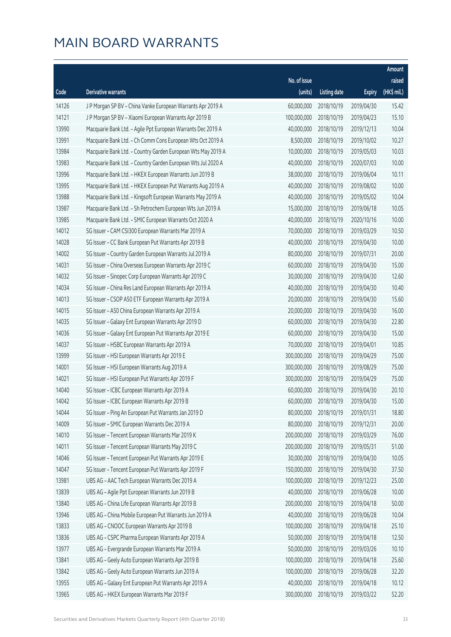|       |                                                              |              |                       |               | Amount      |
|-------|--------------------------------------------------------------|--------------|-----------------------|---------------|-------------|
|       |                                                              | No. of issue |                       |               | raised      |
| Code  | Derivative warrants                                          | (units)      | <b>Listing date</b>   | <b>Expiry</b> | (HK\$ mil.) |
| 14126 | J P Morgan SP BV - China Vanke European Warrants Apr 2019 A  | 60,000,000   | 2018/10/19            | 2019/04/30    | 15.42       |
| 14121 | J P Morgan SP BV - Xiaomi European Warrants Apr 2019 B       | 100,000,000  | 2018/10/19            | 2019/04/23    | 15.10       |
| 13990 | Macquarie Bank Ltd. - Agile Ppt European Warrants Dec 2019 A | 40,000,000   | 2018/10/19            | 2019/12/13    | 10.04       |
| 13991 | Macquarie Bank Ltd. - Ch Comm Cons European Wts Oct 2019 A   | 8,500,000    | 2018/10/19            | 2019/10/02    | 10.27       |
| 13984 | Macquarie Bank Ltd. - Country Garden European Wts May 2019 A | 10,000,000   | 2018/10/19            | 2019/05/03    | 10.03       |
| 13983 | Macquarie Bank Ltd. - Country Garden European Wts Jul 2020 A | 40,000,000   | 2018/10/19            | 2020/07/03    | 10.00       |
| 13996 | Macquarie Bank Ltd. - HKEX European Warrants Jun 2019 B      | 38,000,000   | 2018/10/19            | 2019/06/04    | 10.11       |
| 13995 | Macquarie Bank Ltd. - HKEX European Put Warrants Aug 2019 A  | 40,000,000   | 2018/10/19            | 2019/08/02    | 10.00       |
| 13988 | Macquarie Bank Ltd. - Kingsoft European Warrants May 2019 A  | 40,000,000   | 2018/10/19            | 2019/05/02    | 10.04       |
| 13987 | Macquarie Bank Ltd. - Sh Petrochem European Wts Jun 2019 A   | 15,000,000   | 2018/10/19            | 2019/06/18    | 10.05       |
| 13985 | Macquarie Bank Ltd. - SMIC European Warrants Oct 2020 A      | 40,000,000   | 2018/10/19            | 2020/10/16    | 10.00       |
| 14012 | SG Issuer - CAM CSI300 European Warrants Mar 2019 A          | 70,000,000   | 2018/10/19            | 2019/03/29    | 10.50       |
| 14028 | SG Issuer - CC Bank European Put Warrants Apr 2019 B         | 40,000,000   | 2018/10/19            | 2019/04/30    | 10.00       |
| 14002 | SG Issuer - Country Garden European Warrants Jul 2019 A      | 80,000,000   | 2018/10/19            | 2019/07/31    | 20.00       |
| 14031 | SG Issuer - China Overseas European Warrants Apr 2019 C      | 60,000,000   | 2018/10/19            | 2019/04/30    | 15.00       |
| 14032 | SG Issuer - Sinopec Corp European Warrants Apr 2019 C        | 30,000,000   | 2018/10/19            | 2019/04/30    | 12.60       |
| 14034 | SG Issuer - China Res Land European Warrants Apr 2019 A      | 40,000,000   | 2018/10/19            | 2019/04/30    | 10.40       |
| 14013 | SG Issuer - CSOP A50 ETF European Warrants Apr 2019 A        | 20,000,000   | 2018/10/19            | 2019/04/30    | 15.60       |
| 14015 | SG Issuer - A50 China European Warrants Apr 2019 A           | 20,000,000   | 2018/10/19            | 2019/04/30    | 16.00       |
| 14035 | SG Issuer - Galaxy Ent European Warrants Apr 2019 D          | 60,000,000   | 2018/10/19            | 2019/04/30    | 22.80       |
| 14036 | SG Issuer - Galaxy Ent European Put Warrants Apr 2019 E      | 60,000,000   | 2018/10/19            | 2019/04/30    | 15.00       |
| 14037 | SG Issuer - HSBC European Warrants Apr 2019 A                | 70,000,000   | 2018/10/19            | 2019/04/01    | 10.85       |
| 13999 | SG Issuer - HSI European Warrants Apr 2019 E                 | 300,000,000  | 2018/10/19            | 2019/04/29    | 75.00       |
| 14001 | SG Issuer - HSI European Warrants Aug 2019 A                 | 300,000,000  | 2018/10/19            | 2019/08/29    | 75.00       |
| 14021 | SG Issuer - HSI European Put Warrants Apr 2019 F             | 300,000,000  | 2018/10/19            | 2019/04/29    | 75.00       |
| 14040 | SG Issuer - ICBC European Warrants Apr 2019 A                | 60,000,000   | 2018/10/19            | 2019/04/30    | 20.10       |
| 14042 | SG Issuer - ICBC European Warrants Apr 2019 B                |              | 60,000,000 2018/10/19 | 2019/04/30    | 15.00       |
| 14044 | SG Issuer - Ping An European Put Warrants Jan 2019 D         | 80,000,000   | 2018/10/19            | 2019/01/31    | 18.80       |
| 14009 | SG Issuer - SMIC European Warrants Dec 2019 A                | 80,000,000   | 2018/10/19            | 2019/12/31    | 20.00       |
| 14010 | SG Issuer - Tencent European Warrants Mar 2019 K             | 200,000,000  | 2018/10/19            | 2019/03/29    | 76.00       |
| 14011 | SG Issuer - Tencent European Warrants May 2019 C             | 200,000,000  | 2018/10/19            | 2019/05/31    | 51.00       |
| 14046 | SG Issuer - Tencent European Put Warrants Apr 2019 E         | 30,000,000   | 2018/10/19            | 2019/04/30    | 10.05       |
| 14047 | SG Issuer - Tencent European Put Warrants Apr 2019 F         | 150,000,000  | 2018/10/19            | 2019/04/30    | 37.50       |
| 13981 | UBS AG - AAC Tech European Warrants Dec 2019 A               | 100,000,000  | 2018/10/19            | 2019/12/23    | 25.00       |
| 13839 | UBS AG - Agile Ppt European Warrants Jun 2019 B              | 40,000,000   | 2018/10/19            | 2019/06/28    | 10.00       |
| 13840 | UBS AG - China Life European Warrants Apr 2019 B             | 200,000,000  | 2018/10/19            | 2019/04/18    | 50.00       |
| 13946 | UBS AG - China Mobile European Put Warrants Jun 2019 A       | 40,000,000   | 2018/10/19            | 2019/06/28    | 10.04       |
| 13833 | UBS AG - CNOOC European Warrants Apr 2019 B                  | 100,000,000  | 2018/10/19            | 2019/04/18    | 25.10       |
| 13836 | UBS AG - CSPC Pharma European Warrants Apr 2019 A            | 50,000,000   | 2018/10/19            | 2019/04/18    | 12.50       |
| 13977 | UBS AG - Evergrande European Warrants Mar 2019 A             | 50,000,000   | 2018/10/19            | 2019/03/26    | 10.10       |
| 13841 | UBS AG - Geely Auto European Warrants Apr 2019 B             | 100,000,000  | 2018/10/19            | 2019/04/18    | 25.60       |
| 13842 | UBS AG - Geely Auto European Warrants Jun 2019 A             | 100,000,000  | 2018/10/19            | 2019/06/28    | 32.20       |
| 13955 | UBS AG - Galaxy Ent European Put Warrants Apr 2019 A         | 40,000,000   | 2018/10/19            | 2019/04/18    | 10.12       |
| 13965 | UBS AG - HKEX European Warrants Mar 2019 F                   | 300,000,000  | 2018/10/19            | 2019/03/22    | 52.20       |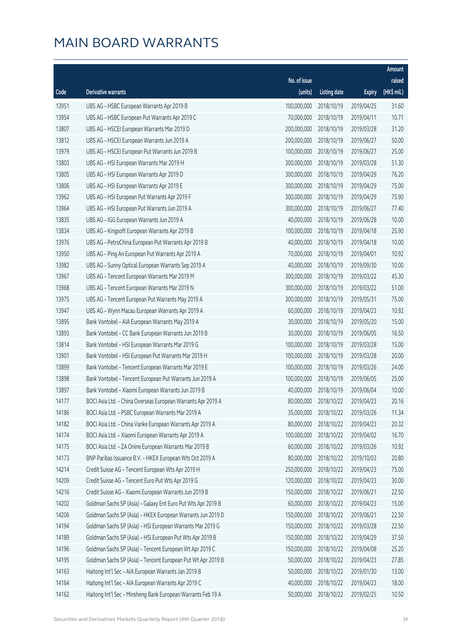|       |                                                              |              |                       |               | Amount      |
|-------|--------------------------------------------------------------|--------------|-----------------------|---------------|-------------|
|       |                                                              | No. of issue |                       |               | raised      |
| Code  | Derivative warrants                                          | (units)      | <b>Listing date</b>   | <b>Expiry</b> | (HK\$ mil.) |
| 13951 | UBS AG - HSBC European Warrants Apr 2019 B                   | 100,000,000  | 2018/10/19            | 2019/04/25    | 31.60       |
| 13954 | UBS AG - HSBC European Put Warrants Apr 2019 C               | 70,000,000   | 2018/10/19            | 2019/04/11    | 10.71       |
| 13807 | UBS AG - HSCEI European Warrants Mar 2019 D                  | 200,000,000  | 2018/10/19            | 2019/03/28    | 31.20       |
| 13812 | UBS AG - HSCEI European Warrants Jun 2019 A                  | 200,000,000  | 2018/10/19            | 2019/06/27    | 50.00       |
| 13979 | UBS AG - HSCEI European Put Warrants Jun 2019 B              | 100,000,000  | 2018/10/19            | 2019/06/27    | 25.00       |
| 13803 | UBS AG - HSI European Warrants Mar 2019 H                    | 300,000,000  | 2018/10/19            | 2019/03/28    | 51.30       |
| 13805 | UBS AG - HSI European Warrants Apr 2019 D                    | 300,000,000  | 2018/10/19            | 2019/04/29    | 76.20       |
| 13806 | UBS AG - HSI European Warrants Apr 2019 E                    | 300,000,000  | 2018/10/19            | 2019/04/29    | 75.00       |
| 13962 | UBS AG - HSI European Put Warrants Apr 2019 F                | 300,000,000  | 2018/10/19            | 2019/04/29    | 75.90       |
| 13964 | UBS AG - HSI European Put Warrants Jun 2019 A                | 300,000,000  | 2018/10/19            | 2019/06/27    | 77.40       |
| 13835 | UBS AG - IGG European Warrants Jun 2019 A                    | 40,000,000   | 2018/10/19            | 2019/06/28    | 10.00       |
| 13834 | UBS AG - Kingsoft European Warrants Apr 2019 B               | 100,000,000  | 2018/10/19            | 2019/04/18    | 25.90       |
| 13976 | UBS AG - PetroChina European Put Warrants Apr 2019 B         | 40,000,000   | 2018/10/19            | 2019/04/18    | 10.00       |
| 13950 | UBS AG - Ping An European Put Warrants Apr 2019 A            | 70,000,000   | 2018/10/19            | 2019/04/01    | 10.92       |
| 13982 | UBS AG - Sunny Optical European Warrants Sep 2019 A          | 40,000,000   | 2018/10/19            | 2019/09/30    | 10.00       |
| 13967 | UBS AG - Tencent European Warrants Mar 2019 M                | 300,000,000  | 2018/10/19            | 2019/03/22    | 45.30       |
| 13968 | UBS AG - Tencent European Warrants Mar 2019 N                | 300,000,000  | 2018/10/19            | 2019/03/22    | 51.00       |
| 13975 | UBS AG - Tencent European Put Warrants May 2019 A            | 300,000,000  | 2018/10/19            | 2019/05/31    | 75.00       |
| 13947 | UBS AG - Wynn Macau European Warrants Apr 2019 A             | 60,000,000   | 2018/10/19            | 2019/04/23    | 10.92       |
| 13895 | Bank Vontobel - AIA European Warrants May 2019 A             | 30,000,000   | 2018/10/19            | 2019/05/20    | 15.00       |
| 13893 | Bank Vontobel - CC Bank European Warrants Jun 2019 B         | 30,000,000   | 2018/10/19            | 2019/06/05    | 16.50       |
| 13814 | Bank Vontobel - HSI European Warrants Mar 2019 G             | 100,000,000  | 2018/10/19            | 2019/03/28    | 15.00       |
| 13901 | Bank Vontobel - HSI European Put Warrants Mar 2019 H         | 100,000,000  | 2018/10/19            | 2019/03/28    | 20.00       |
| 13899 | Bank Vontobel - Tencent European Warrants Mar 2019 E         | 100,000,000  | 2018/10/19            | 2019/03/26    | 24.00       |
| 13898 | Bank Vontobel - Tencent European Put Warrants Jun 2019 A     | 100,000,000  | 2018/10/19            | 2019/06/05    | 25.00       |
| 13897 | Bank Vontobel - Xiaomi European Warrants Jun 2019 B          | 40,000,000   | 2018/10/19            | 2019/06/04    | 10.00       |
| 14177 | BOCI Asia Ltd. - China Overseas European Warrants Apr 2019 A |              | 80,000,000 2018/10/22 | 2019/04/23    | 20.16       |
| 14186 | BOCI Asia Ltd. - PSBC European Warrants Mar 2019 A           | 35,000,000   | 2018/10/22            | 2019/03/26    | 11.34       |
| 14182 | BOCI Asia Ltd. - China Vanke European Warrants Apr 2019 A    | 80,000,000   | 2018/10/22            | 2019/04/23    | 20.32       |
| 14174 | BOCI Asia Ltd. - Xiaomi European Warrants Apr 2019 A         | 100,000,000  | 2018/10/22            | 2019/04/02    | 16.70       |
| 14175 | BOCI Asia Ltd. - ZA Onine European Warrants Mar 2019 B       | 60,000,000   | 2018/10/22            | 2019/03/26    | 10.92       |
| 14173 | BNP Paribas Issuance B.V. - HKEX European Wts Oct 2019 A     | 80,000,000   | 2018/10/22            | 2019/10/03    | 20.80       |
| 14214 | Credit Suisse AG - Tencent European Wts Apr 2019 H           | 250,000,000  | 2018/10/22            | 2019/04/23    | 75.00       |
| 14209 | Credit Suisse AG - Tencent Euro Put Wts Apr 2019 G           | 120,000,000  | 2018/10/22            | 2019/04/23    | 30.00       |
| 14216 | Credit Suisse AG - Xiaomi European Warrants Jun 2019 B       | 150,000,000  | 2018/10/22            | 2019/06/21    | 22.50       |
| 14202 | Goldman Sachs SP (Asia) - Galaxy Ent Euro Put Wts Apr 2019 B | 60,000,000   | 2018/10/22            | 2019/04/23    | 15.00       |
| 14206 | Goldman Sachs SP (Asia) - HKEX European Warrants Jun 2019 D  | 150,000,000  | 2018/10/22            | 2019/06/21    | 22.50       |
| 14194 | Goldman Sachs SP (Asia) - HSI European Warrants Mar 2019 G   | 150,000,000  | 2018/10/22            | 2019/03/28    | 22.50       |
| 14189 | Goldman Sachs SP (Asia) - HSI European Put Wts Apr 2019 B    | 150,000,000  | 2018/10/22            | 2019/04/29    | 37.50       |
| 14196 | Goldman Sachs SP (Asia) - Tencent European Wt Apr 2019 C     | 150,000,000  | 2018/10/22            | 2019/04/08    | 25.20       |
| 14195 | Goldman Sachs SP (Asia) - Tencent European Put Wt Apr 2019 B | 50,000,000   | 2018/10/22            | 2019/04/23    | 27.85       |
| 14163 | Haitong Int'l Sec - AIA European Warrants Jan 2019 B         | 50,000,000   | 2018/10/22            | 2019/01/30    | 13.00       |
| 14164 | Haitong Int'l Sec - AIA European Warrants Apr 2019 C         | 40,000,000   | 2018/10/22            | 2019/04/23    | 18.00       |
| 14162 | Haitong Int'l Sec - Minsheng Bank European Warrants Feb 19 A | 50,000,000   | 2018/10/22            | 2019/02/25    | 10.50       |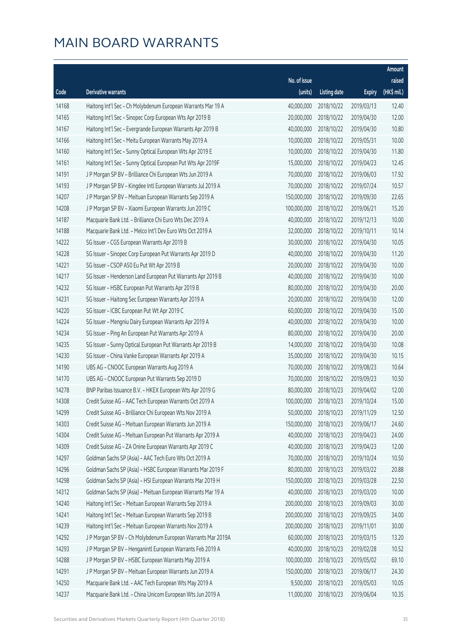|       |                                                              |                        |                     |               | Amount      |
|-------|--------------------------------------------------------------|------------------------|---------------------|---------------|-------------|
|       |                                                              | No. of issue           |                     |               | raised      |
| Code  | Derivative warrants                                          | (units)                | <b>Listing date</b> | <b>Expiry</b> | (HK\$ mil.) |
| 14168 | Haitong Int'l Sec - Ch Molybdenum European Warrants Mar 19 A | 40,000,000             | 2018/10/22          | 2019/03/13    | 12.40       |
| 14165 | Haitong Int'l Sec - Sinopec Corp European Wts Apr 2019 B     | 20,000,000             | 2018/10/22          | 2019/04/30    | 12.00       |
| 14167 | Haitong Int'l Sec - Evergrande European Warrants Apr 2019 B  | 40,000,000             | 2018/10/22          | 2019/04/30    | 10.80       |
| 14166 | Haitong Int'l Sec - Meitu European Warrants May 2019 A       | 10,000,000             | 2018/10/22          | 2019/05/31    | 10.00       |
| 14160 | Haitong Int'l Sec - Sunny Optical European Wts Apr 2019 E    | 10,000,000             | 2018/10/22          | 2019/04/30    | 11.80       |
| 14161 | Haitong Int'l Sec - Sunny Optical European Put Wts Apr 2019F | 15,000,000             | 2018/10/22          | 2019/04/23    | 12.45       |
| 14191 | J P Morgan SP BV - Brilliance Chi European Wts Jun 2019 A    | 70,000,000             | 2018/10/22          | 2019/06/03    | 17.92       |
| 14193 | J P Morgan SP BV - Kingdee Intl European Warrants Jul 2019 A | 70,000,000             | 2018/10/22          | 2019/07/24    | 10.57       |
| 14207 | J P Morgan SP BV - Meituan European Warrants Sep 2019 A      | 150,000,000            | 2018/10/22          | 2019/09/30    | 22.65       |
| 14208 | J P Morgan SP BV - Xiaomi European Warrants Jun 2019 C       | 100,000,000            | 2018/10/22          | 2019/06/21    | 15.20       |
| 14187 | Macquarie Bank Ltd. - Brilliance Chi Euro Wts Dec 2019 A     | 40,000,000             | 2018/10/22          | 2019/12/13    | 10.00       |
| 14188 | Macquarie Bank Ltd. - Melco Int'l Dev Euro Wts Oct 2019 A    | 32,000,000             | 2018/10/22          | 2019/10/11    | 10.14       |
| 14222 | SG Issuer - CGS European Warrants Apr 2019 B                 | 30,000,000             | 2018/10/22          | 2019/04/30    | 10.05       |
| 14228 | SG Issuer - Sinopec Corp European Put Warrants Apr 2019 D    | 40,000,000             | 2018/10/22          | 2019/04/30    | 11.20       |
| 14221 | SG Issuer - CSOP A50 Eu Put Wt Apr 2019 B                    | 20,000,000             | 2018/10/22          | 2019/04/30    | 10.00       |
| 14217 | SG Issuer - Henderson Land European Put Warrants Apr 2019 B  | 40,000,000             | 2018/10/22          | 2019/04/30    | 10.00       |
| 14232 | SG Issuer - HSBC European Put Warrants Apr 2019 B            | 80,000,000             | 2018/10/22          | 2019/04/30    | 20.00       |
| 14231 | SG Issuer - Haitong Sec European Warrants Apr 2019 A         | 20,000,000             | 2018/10/22          | 2019/04/30    | 12.00       |
| 14220 | SG Issuer - ICBC European Put Wt Apr 2019 C                  | 60,000,000             | 2018/10/22          | 2019/04/30    | 15.00       |
| 14224 | SG Issuer - Mengniu Dairy European Warrants Apr 2019 A       | 40,000,000             | 2018/10/22          | 2019/04/30    | 10.00       |
| 14234 | SG Issuer - Ping An European Put Warrants Apr 2019 A         | 80,000,000             | 2018/10/22          | 2019/04/30    | 20.00       |
| 14235 | SG Issuer - Sunny Optical European Put Warrants Apr 2019 B   | 14,000,000             | 2018/10/22          | 2019/04/30    | 10.08       |
| 14230 | SG Issuer - China Vanke European Warrants Apr 2019 A         | 35,000,000             | 2018/10/22          | 2019/04/30    | 10.15       |
| 14190 | UBS AG - CNOOC European Warrants Aug 2019 A                  | 70,000,000             | 2018/10/22          | 2019/08/23    | 10.64       |
| 14170 | UBS AG - CNOOC European Put Warrants Sep 2019 D              | 70,000,000             | 2018/10/22          | 2019/09/23    | 10.50       |
| 14278 | BNP Paribas Issuance B.V. - HKEX European Wts Apr 2019 G     | 80,000,000             | 2018/10/23          | 2019/04/02    | 12.00       |
| 14308 | Credit Suisse AG - AAC Tech European Warrants Oct 2019 A     | 100,000,000 2018/10/23 |                     | 2019/10/24    | 15.00       |
| 14299 | Credit Suisse AG - Brilliance Chi European Wts Nov 2019 A    | 50,000,000             | 2018/10/23          | 2019/11/29    | 12.50       |
| 14303 | Credit Suisse AG - Meituan European Warrants Jun 2019 A      | 150,000,000            | 2018/10/23          | 2019/06/17    | 24.60       |
| 14304 | Credit Suisse AG - Meituan European Put Warrants Apr 2019 A  | 40,000,000             | 2018/10/23          | 2019/04/23    | 24.00       |
| 14309 | Credit Suisse AG - ZA Onine European Warrants Apr 2019 C     | 40,000,000             | 2018/10/23          | 2019/04/23    | 12.00       |
| 14297 | Goldman Sachs SP (Asia) - AAC Tech Euro Wts Oct 2019 A       | 70,000,000             | 2018/10/23          | 2019/10/24    | 10.50       |
| 14296 | Goldman Sachs SP (Asia) - HSBC European Warrants Mar 2019 F  | 80,000,000             | 2018/10/23          | 2019/03/22    | 20.88       |
| 14298 | Goldman Sachs SP (Asia) - HSI European Warrants Mar 2019 H   | 150,000,000            | 2018/10/23          | 2019/03/28    | 22.50       |
| 14312 | Goldman Sachs SP (Asia) - Meituan European Warrants Mar 19 A | 40,000,000             | 2018/10/23          | 2019/03/20    | 10.00       |
| 14240 | Haitong Int'l Sec - Meituan European Warrants Sep 2019 A     | 200,000,000            | 2018/10/23          | 2019/09/03    | 30.00       |
| 14241 | Haitong Int'l Sec - Meituan European Warrants Sep 2019 B     | 200,000,000            | 2018/10/23          | 2019/09/25    | 34.00       |
| 14239 | Haitong Int'l Sec - Meituan European Warrants Nov 2019 A     | 200,000,000            | 2018/10/23          | 2019/11/01    | 30.00       |
| 14292 | J P Morgan SP BV - Ch Molybdenum European Warrants Mar 2019A | 60,000,000             | 2018/10/23          | 2019/03/15    | 13.20       |
| 14293 | J P Morgan SP BV - Henganintl European Warrants Feb 2019 A   | 40,000,000             | 2018/10/23          | 2019/02/28    | 10.52       |
| 14288 | J P Morgan SP BV - HSBC European Warrants May 2019 A         | 100,000,000            | 2018/10/23          | 2019/05/02    | 69.10       |
| 14291 | J P Morgan SP BV - Meituan European Warrants Jun 2019 A      | 150,000,000            | 2018/10/23          | 2019/06/17    | 24.30       |
| 14250 | Macquarie Bank Ltd. - AAC Tech European Wts May 2019 A       | 9,500,000              | 2018/10/23          | 2019/05/03    | 10.05       |
| 14237 | Macquarie Bank Ltd. - China Unicom European Wts Jun 2019 A   | 11,000,000             | 2018/10/23          | 2019/06/04    | 10.35       |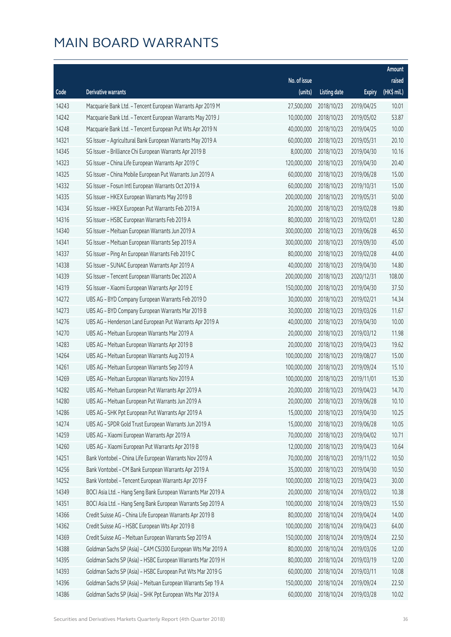|       |                                                              |              |                       |               | Amount      |
|-------|--------------------------------------------------------------|--------------|-----------------------|---------------|-------------|
|       |                                                              | No. of issue |                       |               | raised      |
| Code  | Derivative warrants                                          | (units)      | <b>Listing date</b>   | <b>Expiry</b> | (HK\$ mil.) |
| 14243 | Macquarie Bank Ltd. - Tencent European Warrants Apr 2019 M   | 27,500,000   | 2018/10/23            | 2019/04/25    | 10.01       |
| 14242 | Macquarie Bank Ltd. - Tencent European Warrants May 2019 J   | 10,000,000   | 2018/10/23            | 2019/05/02    | 53.87       |
| 14248 | Macquarie Bank Ltd. - Tencent European Put Wts Apr 2019 N    | 40,000,000   | 2018/10/23            | 2019/04/25    | 10.00       |
| 14321 | SG Issuer - Agricultural Bank European Warrants May 2019 A   | 60,000,000   | 2018/10/23            | 2019/05/31    | 20.10       |
| 14345 | SG Issuer - Brilliance Chi European Warrants Apr 2019 B      | 8,000,000    | 2018/10/23            | 2019/04/30    | 10.16       |
| 14323 | SG Issuer - China Life European Warrants Apr 2019 C          | 120,000,000  | 2018/10/23            | 2019/04/30    | 20.40       |
| 14325 | SG Issuer - China Mobile European Put Warrants Jun 2019 A    | 60,000,000   | 2018/10/23            | 2019/06/28    | 15.00       |
| 14332 | SG Issuer - Fosun Intl European Warrants Oct 2019 A          | 60,000,000   | 2018/10/23            | 2019/10/31    | 15.00       |
| 14335 | SG Issuer - HKEX European Warrants May 2019 B                | 200,000,000  | 2018/10/23            | 2019/05/31    | 50.00       |
| 14334 | SG Issuer - HKEX European Put Warrants Feb 2019 A            | 20,000,000   | 2018/10/23            | 2019/02/28    | 19.80       |
| 14316 | SG Issuer - HSBC European Warrants Feb 2019 A                | 80,000,000   | 2018/10/23            | 2019/02/01    | 12.80       |
| 14340 | SG Issuer - Meituan European Warrants Jun 2019 A             | 300,000,000  | 2018/10/23            | 2019/06/28    | 46.50       |
| 14341 | SG Issuer - Meituan European Warrants Sep 2019 A             | 300,000,000  | 2018/10/23            | 2019/09/30    | 45.00       |
| 14337 | SG Issuer - Ping An European Warrants Feb 2019 C             | 80,000,000   | 2018/10/23            | 2019/02/28    | 44.00       |
| 14338 | SG Issuer - SUNAC European Warrants Apr 2019 A               | 40,000,000   | 2018/10/23            | 2019/04/30    | 14.80       |
| 14339 | SG Issuer - Tencent European Warrants Dec 2020 A             | 200,000,000  | 2018/10/23            | 2020/12/31    | 108.00      |
| 14319 | SG Issuer - Xiaomi European Warrants Apr 2019 E              | 150,000,000  | 2018/10/23            | 2019/04/30    | 37.50       |
| 14272 | UBS AG - BYD Company European Warrants Feb 2019 D            | 30,000,000   | 2018/10/23            | 2019/02/21    | 14.34       |
| 14273 | UBS AG - BYD Company European Warrants Mar 2019 B            | 30,000,000   | 2018/10/23            | 2019/03/26    | 11.67       |
| 14276 | UBS AG - Henderson Land European Put Warrants Apr 2019 A     | 40,000,000   | 2018/10/23            | 2019/04/30    | 10.00       |
| 14270 | UBS AG - Meituan European Warrants Mar 2019 A                | 20,000,000   | 2018/10/23            | 2019/03/12    | 11.98       |
| 14283 | UBS AG - Meituan European Warrants Apr 2019 B                | 20,000,000   | 2018/10/23            | 2019/04/23    | 19.62       |
| 14264 | UBS AG - Meituan European Warrants Aug 2019 A                | 100,000,000  | 2018/10/23            | 2019/08/27    | 15.00       |
| 14261 | UBS AG - Meituan European Warrants Sep 2019 A                | 100,000,000  | 2018/10/23            | 2019/09/24    | 15.10       |
| 14269 | UBS AG - Meituan European Warrants Nov 2019 A                | 100,000,000  | 2018/10/23            | 2019/11/01    | 15.30       |
| 14282 | UBS AG - Meituan European Put Warrants Apr 2019 A            | 20,000,000   | 2018/10/23            | 2019/04/23    | 14.70       |
| 14280 | UBS AG - Meituan European Put Warrants Jun 2019 A            |              | 20,000,000 2018/10/23 | 2019/06/28    | 10.10       |
| 14286 | UBS AG - SHK Ppt European Put Warrants Apr 2019 A            | 15,000,000   | 2018/10/23            | 2019/04/30    | 10.25       |
| 14274 | UBS AG - SPDR Gold Trust European Warrants Jun 2019 A        | 15,000,000   | 2018/10/23            | 2019/06/28    | 10.05       |
| 14259 | UBS AG - Xiaomi European Warrants Apr 2019 A                 | 70,000,000   | 2018/10/23            | 2019/04/02    | 10.71       |
| 14260 | UBS AG - Xiaomi European Put Warrants Apr 2019 B             | 12,000,000   | 2018/10/23            | 2019/04/23    | 10.64       |
| 14251 | Bank Vontobel - China Life European Warrants Nov 2019 A      | 70,000,000   | 2018/10/23            | 2019/11/22    | 10.50       |
| 14256 | Bank Vontobel - CM Bank European Warrants Apr 2019 A         | 35,000,000   | 2018/10/23            | 2019/04/30    | 10.50       |
| 14252 | Bank Vontobel - Tencent European Warrants Apr 2019 F         | 100,000,000  | 2018/10/23            | 2019/04/23    | 30.00       |
| 14349 | BOCI Asia Ltd. - Hang Seng Bank European Warrants Mar 2019 A | 20,000,000   | 2018/10/24            | 2019/03/22    | 10.38       |
| 14351 | BOCI Asia Ltd. - Hang Seng Bank European Warrants Sep 2019 A | 100,000,000  | 2018/10/24            | 2019/09/23    | 15.50       |
| 14366 | Credit Suisse AG - China Life European Warrants Apr 2019 B   | 80,000,000   | 2018/10/24            | 2019/04/24    | 14.00       |
| 14362 | Credit Suisse AG - HSBC European Wts Apr 2019 B              | 100,000,000  | 2018/10/24            | 2019/04/23    | 64.00       |
| 14369 | Credit Suisse AG - Meituan European Warrants Sep 2019 A      | 150,000,000  | 2018/10/24            | 2019/09/24    | 22.50       |
| 14388 | Goldman Sachs SP (Asia) - CAM CSI300 European Wts Mar 2019 A | 80,000,000   | 2018/10/24            | 2019/03/26    | 12.00       |
| 14395 | Goldman Sachs SP (Asia) - HSBC European Warrants Mar 2019 H  | 80,000,000   | 2018/10/24            | 2019/03/19    | 12.00       |
| 14393 | Goldman Sachs SP (Asia) - HSBC European Put Wts Mar 2019 G   | 60,000,000   | 2018/10/24            | 2019/03/11    | 10.08       |
| 14396 | Goldman Sachs SP (Asia) - Meituan European Warrants Sep 19 A | 150,000,000  | 2018/10/24            | 2019/09/24    | 22.50       |
| 14386 | Goldman Sachs SP (Asia) - SHK Ppt European Wts Mar 2019 A    | 60,000,000   | 2018/10/24            | 2019/03/28    | 10.02       |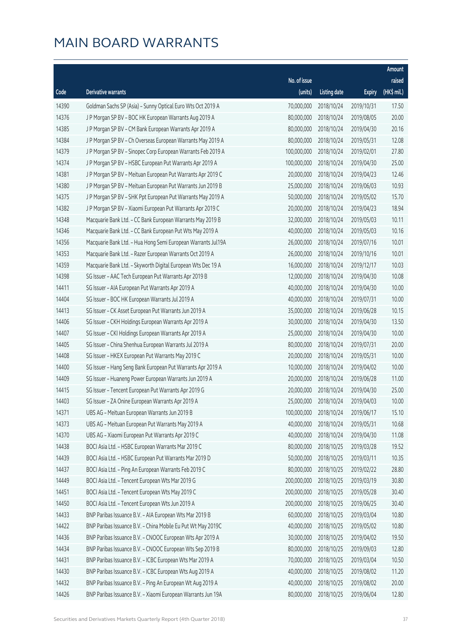|       |                                                              |              |                       |               | Amount      |
|-------|--------------------------------------------------------------|--------------|-----------------------|---------------|-------------|
|       |                                                              | No. of issue |                       |               | raised      |
| Code  | <b>Derivative warrants</b>                                   | (units)      | <b>Listing date</b>   | <b>Expiry</b> | (HK\$ mil.) |
| 14390 | Goldman Sachs SP (Asia) - Sunny Optical Euro Wts Oct 2019 A  | 70,000,000   | 2018/10/24            | 2019/10/31    | 17.50       |
| 14376 | J P Morgan SP BV - BOC HK European Warrants Aug 2019 A       | 80,000,000   | 2018/10/24            | 2019/08/05    | 20.00       |
| 14385 | J P Morgan SP BV - CM Bank European Warrants Apr 2019 A      | 80,000,000   | 2018/10/24            | 2019/04/30    | 20.16       |
| 14384 | J P Morgan SP BV - Ch Overseas European Warrants May 2019 A  | 80,000,000   | 2018/10/24            | 2019/05/31    | 12.08       |
| 14379 | J P Morgan SP BV - Sinopec Corp European Warrants Feb 2019 A | 100,000,000  | 2018/10/24            | 2019/02/01    | 27.80       |
| 14374 | J P Morgan SP BV - HSBC European Put Warrants Apr 2019 A     | 100,000,000  | 2018/10/24            | 2019/04/30    | 25.00       |
| 14381 | J P Morgan SP BV - Meituan European Put Warrants Apr 2019 C  | 20,000,000   | 2018/10/24            | 2019/04/23    | 12.46       |
| 14380 | J P Morgan SP BV - Meituan European Put Warrants Jun 2019 B  | 25,000,000   | 2018/10/24            | 2019/06/03    | 10.93       |
| 14375 | J P Morgan SP BV - SHK Ppt European Put Warrants May 2019 A  | 50,000,000   | 2018/10/24            | 2019/05/02    | 15.70       |
| 14382 | J P Morgan SP BV - Xiaomi European Put Warrants Apr 2019 C   | 20,000,000   | 2018/10/24            | 2019/04/23    | 18.94       |
| 14348 | Macquarie Bank Ltd. - CC Bank European Warrants May 2019 B   | 32,000,000   | 2018/10/24            | 2019/05/03    | 10.11       |
| 14346 | Macquarie Bank Ltd. - CC Bank European Put Wts May 2019 A    | 40,000,000   | 2018/10/24            | 2019/05/03    | 10.16       |
| 14356 | Macquarie Bank Ltd. - Hua Hong Semi European Warrants Jul19A | 26,000,000   | 2018/10/24            | 2019/07/16    | 10.01       |
| 14353 | Macquarie Bank Ltd. - Razer European Warrants Oct 2019 A     | 26,000,000   | 2018/10/24            | 2019/10/16    | 10.01       |
| 14359 | Macquarie Bank Ltd. - Skyworth Digital European Wts Dec 19 A | 16,000,000   | 2018/10/24            | 2019/12/17    | 10.03       |
| 14398 | SG Issuer - AAC Tech European Put Warrants Apr 2019 B        | 12,000,000   | 2018/10/24            | 2019/04/30    | 10.08       |
| 14411 | SG Issuer - AIA European Put Warrants Apr 2019 A             | 40,000,000   | 2018/10/24            | 2019/04/30    | 10.00       |
| 14404 | SG Issuer - BOC HK European Warrants Jul 2019 A              | 40,000,000   | 2018/10/24            | 2019/07/31    | 10.00       |
| 14413 | SG Issuer - CK Asset European Put Warrants Jun 2019 A        | 35,000,000   | 2018/10/24            | 2019/06/28    | 10.15       |
| 14406 | SG Issuer - CKH Holdings European Warrants Apr 2019 A        | 30,000,000   | 2018/10/24            | 2019/04/30    | 13.50       |
| 14407 | SG Issuer - CKI Holdings European Warrants Apr 2019 A        | 25,000,000   | 2018/10/24            | 2019/04/30    | 10.00       |
| 14405 | SG Issuer - China Shenhua European Warrants Jul 2019 A       | 80,000,000   | 2018/10/24            | 2019/07/31    | 20.00       |
| 14408 | SG Issuer - HKEX European Put Warrants May 2019 C            | 20,000,000   | 2018/10/24            | 2019/05/31    | 10.00       |
| 14400 | SG Issuer - Hang Seng Bank European Put Warrants Apr 2019 A  | 10,000,000   | 2018/10/24            | 2019/04/02    | 10.00       |
| 14409 | SG Issuer - Huaneng Power European Warrants Jun 2019 A       | 20,000,000   | 2018/10/24            | 2019/06/28    | 11.00       |
| 14415 | SG Issuer - Tencent European Put Warrants Apr 2019 G         | 20,000,000   | 2018/10/24            | 2019/04/30    | 25.00       |
| 14403 | SG Issuer - ZA Onine European Warrants Apr 2019 A            |              | 25,000,000 2018/10/24 | 2019/04/03    | 10.00       |
| 14371 | UBS AG - Meituan European Warrants Jun 2019 B                | 100,000,000  | 2018/10/24            | 2019/06/17    | 15.10       |
| 14373 | UBS AG - Meituan European Put Warrants May 2019 A            | 40,000,000   | 2018/10/24            | 2019/05/31    | 10.68       |
| 14370 | UBS AG - Xiaomi European Put Warrants Apr 2019 C             | 40,000,000   | 2018/10/24            | 2019/04/30    | 11.08       |
| 14438 | BOCI Asia Ltd. - HSBC European Warrants Mar 2019 C           | 80,000,000   | 2018/10/25            | 2019/03/28    | 19.52       |
| 14439 | BOCI Asia Ltd. - HSBC European Put Warrants Mar 2019 D       | 50,000,000   | 2018/10/25            | 2019/03/11    | 10.35       |
| 14437 | BOCI Asia Ltd. - Ping An European Warrants Feb 2019 C        | 80,000,000   | 2018/10/25            | 2019/02/22    | 28.80       |
| 14449 | BOCI Asia Ltd. - Tencent European Wts Mar 2019 G             | 200,000,000  | 2018/10/25            | 2019/03/19    | 30.80       |
| 14451 | BOCI Asia Ltd. - Tencent European Wts May 2019 C             | 200,000,000  | 2018/10/25            | 2019/05/28    | 30.40       |
| 14450 | BOCI Asia Ltd. - Tencent European Wts Jun 2019 A             | 200,000,000  | 2018/10/25            | 2019/06/25    | 30.40       |
| 14433 | BNP Paribas Issuance B.V. - AIA European Wts Mar 2019 B      | 60,000,000   | 2018/10/25            | 2019/03/04    | 10.80       |
| 14422 | BNP Paribas Issuance B.V. - China Mobile Eu Put Wt May 2019C | 40,000,000   | 2018/10/25            | 2019/05/02    | 10.80       |
| 14436 | BNP Paribas Issuance B.V. - CNOOC European Wts Apr 2019 A    | 30,000,000   | 2018/10/25            | 2019/04/02    | 19.50       |
| 14434 | BNP Paribas Issuance B.V. - CNOOC European Wts Sep 2019 B    | 80,000,000   | 2018/10/25            | 2019/09/03    | 12.80       |
| 14431 | BNP Paribas Issuance B.V. - ICBC European Wts Mar 2019 A     | 70,000,000   | 2018/10/25            | 2019/03/04    | 10.50       |
| 14430 | BNP Paribas Issuance B.V. - ICBC European Wts Aug 2019 A     | 40,000,000   | 2018/10/25            | 2019/08/02    | 11.20       |
| 14432 | BNP Paribas Issuance B.V. - Ping An European Wt Aug 2019 A   | 40,000,000   | 2018/10/25            | 2019/08/02    | 20.00       |
| 14426 | BNP Paribas Issuance B.V. - Xiaomi European Warrants Jun 19A | 80,000,000   | 2018/10/25            | 2019/06/04    | 12.80       |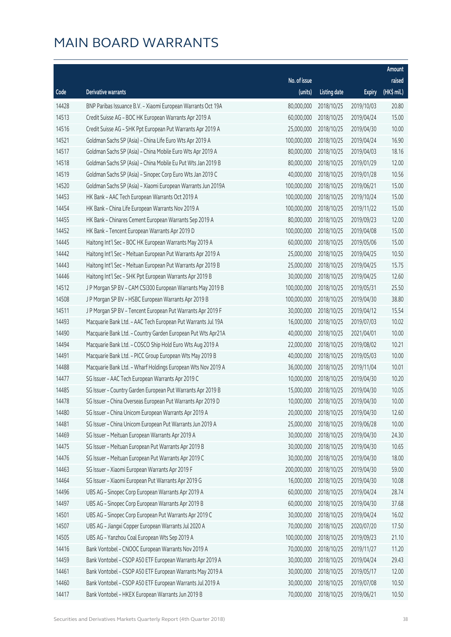|       |                                                              |              |                       |               | Amount      |
|-------|--------------------------------------------------------------|--------------|-----------------------|---------------|-------------|
|       |                                                              | No. of issue |                       |               | raised      |
| Code  | Derivative warrants                                          | (units)      | <b>Listing date</b>   | <b>Expiry</b> | (HK\$ mil.) |
| 14428 | BNP Paribas Issuance B.V. - Xiaomi European Warrants Oct 19A | 80,000,000   | 2018/10/25            | 2019/10/03    | 20.80       |
| 14513 | Credit Suisse AG - BOC HK European Warrants Apr 2019 A       | 60,000,000   | 2018/10/25            | 2019/04/24    | 15.00       |
| 14516 | Credit Suisse AG - SHK Ppt European Put Warrants Apr 2019 A  | 25,000,000   | 2018/10/25            | 2019/04/30    | 10.00       |
| 14521 | Goldman Sachs SP (Asia) - China Life Euro Wts Apr 2019 A     | 100,000,000  | 2018/10/25            | 2019/04/24    | 16.90       |
| 14517 | Goldman Sachs SP (Asia) - China Mobile Euro Wts Apr 2019 A   | 80,000,000   | 2018/10/25            | 2019/04/03    | 18.16       |
| 14518 | Goldman Sachs SP (Asia) - China Mobile Eu Put Wts Jan 2019 B | 80,000,000   | 2018/10/25            | 2019/01/29    | 12.00       |
| 14519 | Goldman Sachs SP (Asia) - Sinopec Corp Euro Wts Jan 2019 C   | 40,000,000   | 2018/10/25            | 2019/01/28    | 10.56       |
| 14520 | Goldman Sachs SP (Asia) - Xiaomi European Warrants Jun 2019A | 100,000,000  | 2018/10/25            | 2019/06/21    | 15.00       |
| 14453 | HK Bank - AAC Tech European Warrants Oct 2019 A              | 100,000,000  | 2018/10/25            | 2019/10/24    | 15.00       |
| 14454 | HK Bank - China Life European Warrants Nov 2019 A            | 100,000,000  | 2018/10/25            | 2019/11/22    | 15.00       |
| 14455 | HK Bank - Chinares Cement European Warrants Sep 2019 A       | 80,000,000   | 2018/10/25            | 2019/09/23    | 12.00       |
| 14452 | HK Bank - Tencent European Warrants Apr 2019 D               | 100,000,000  | 2018/10/25            | 2019/04/08    | 15.00       |
| 14445 | Haitong Int'l Sec - BOC HK European Warrants May 2019 A      | 60,000,000   | 2018/10/25            | 2019/05/06    | 15.00       |
| 14442 | Haitong Int'l Sec - Meituan European Put Warrants Apr 2019 A | 25,000,000   | 2018/10/25            | 2019/04/25    | 10.50       |
| 14443 | Haitong Int'l Sec - Meituan European Put Warrants Apr 2019 B | 25,000,000   | 2018/10/25            | 2019/04/25    | 15.75       |
| 14446 | Haitong Int'l Sec - SHK Ppt European Warrants Apr 2019 B     | 30,000,000   | 2018/10/25            | 2019/04/25    | 12.60       |
| 14512 | J P Morgan SP BV - CAM CSI300 European Warrants May 2019 B   | 100,000,000  | 2018/10/25            | 2019/05/31    | 25.50       |
| 14508 | J P Morgan SP BV - HSBC European Warrants Apr 2019 B         | 100,000,000  | 2018/10/25            | 2019/04/30    | 38.80       |
| 14511 | J P Morgan SP BV - Tencent European Put Warrants Apr 2019 F  | 30,000,000   | 2018/10/25            | 2019/04/12    | 15.54       |
| 14493 | Macquarie Bank Ltd. - AAC Tech European Put Warrants Jul 19A | 16,000,000   | 2018/10/25            | 2019/07/03    | 10.02       |
| 14490 | Macquarie Bank Ltd. - Country Garden European Put Wts Apr21A | 40,000,000   | 2018/10/25            | 2021/04/01    | 10.00       |
| 14494 | Macquarie Bank Ltd. - COSCO Ship Hold Euro Wts Aug 2019 A    | 22,000,000   | 2018/10/25            | 2019/08/02    | 10.21       |
| 14491 | Macquarie Bank Ltd. - PICC Group European Wts May 2019 B     | 40,000,000   | 2018/10/25            | 2019/05/03    | 10.00       |
| 14488 | Macquarie Bank Ltd. - Wharf Holdings European Wts Nov 2019 A | 36,000,000   | 2018/10/25            | 2019/11/04    | 10.01       |
| 14477 | SG Issuer - AAC Tech European Warrants Apr 2019 C            | 10,000,000   | 2018/10/25            | 2019/04/30    | 10.20       |
| 14485 | SG Issuer - Country Garden European Put Warrants Apr 2019 B  | 15,000,000   | 2018/10/25            | 2019/04/30    | 10.05       |
| 14478 | SG Issuer - China Overseas European Put Warrants Apr 2019 D  |              | 10,000,000 2018/10/25 | 2019/04/30    | 10.00       |
| 14480 | SG Issuer - China Unicom European Warrants Apr 2019 A        | 20,000,000   | 2018/10/25            | 2019/04/30    | 12.60       |
| 14481 | SG Issuer - China Unicom European Put Warrants Jun 2019 A    | 25,000,000   | 2018/10/25            | 2019/06/28    | 10.00       |
| 14469 | SG Issuer - Meituan European Warrants Apr 2019 A             | 30,000,000   | 2018/10/25            | 2019/04/30    | 24.30       |
| 14475 | SG Issuer - Meituan European Put Warrants Apr 2019 B         | 30,000,000   | 2018/10/25            | 2019/04/30    | 10.65       |
| 14476 | SG Issuer - Meituan European Put Warrants Apr 2019 C         | 30,000,000   | 2018/10/25            | 2019/04/30    | 18.00       |
| 14463 | SG Issuer - Xiaomi European Warrants Apr 2019 F              | 200,000,000  | 2018/10/25            | 2019/04/30    | 59.00       |
| 14464 | SG Issuer - Xiaomi European Put Warrants Apr 2019 G          | 16,000,000   | 2018/10/25            | 2019/04/30    | 10.08       |
| 14496 | UBS AG - Sinopec Corp European Warrants Apr 2019 A           | 60,000,000   | 2018/10/25            | 2019/04/24    | 28.74       |
| 14497 | UBS AG - Sinopec Corp European Warrants Apr 2019 B           | 60,000,000   | 2018/10/25            | 2019/04/30    | 37.68       |
| 14501 | UBS AG - Sinopec Corp European Put Warrants Apr 2019 C       | 30,000,000   | 2018/10/25            | 2019/04/24    | 16.02       |
| 14507 | UBS AG - Jiangxi Copper European Warrants Jul 2020 A         | 70,000,000   | 2018/10/25            | 2020/07/20    | 17.50       |
| 14505 | UBS AG - Yanzhou Coal European Wts Sep 2019 A                | 100,000,000  | 2018/10/25            | 2019/09/23    | 21.10       |
| 14416 | Bank Vontobel - CNOOC European Warrants Nov 2019 A           | 70,000,000   | 2018/10/25            | 2019/11/27    | 11.20       |
| 14459 | Bank Vontobel - CSOP A50 ETF European Warrants Apr 2019 A    | 30,000,000   | 2018/10/25            | 2019/04/24    | 29.43       |
| 14461 | Bank Vontobel - CSOP A50 ETF European Warrants May 2019 A    | 30,000,000   | 2018/10/25            | 2019/05/17    | 12.00       |
| 14460 | Bank Vontobel - CSOP A50 ETF European Warrants Jul 2019 A    | 30,000,000   | 2018/10/25            | 2019/07/08    | 10.50       |
| 14417 | Bank Vontobel - HKEX European Warrants Jun 2019 B            | 70,000,000   | 2018/10/25            | 2019/06/21    | 10.50       |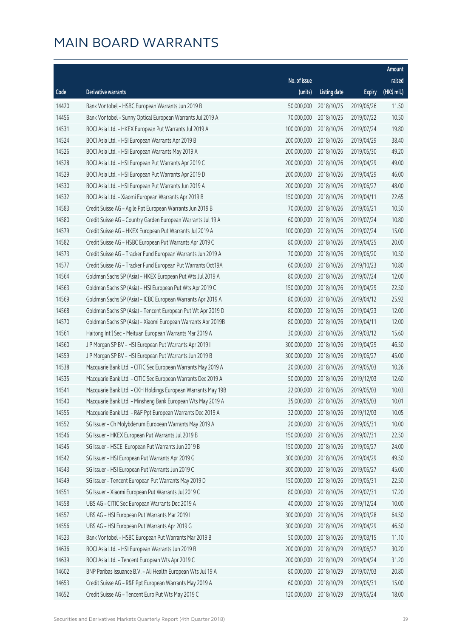|       |                                                              |              |                       |               | Amount      |
|-------|--------------------------------------------------------------|--------------|-----------------------|---------------|-------------|
|       |                                                              | No. of issue |                       |               | raised      |
| Code  | <b>Derivative warrants</b>                                   | (units)      | <b>Listing date</b>   | <b>Expiry</b> | (HK\$ mil.) |
| 14420 | Bank Vontobel - HSBC European Warrants Jun 2019 B            | 50,000,000   | 2018/10/25            | 2019/06/26    | 11.50       |
| 14456 | Bank Vontobel - Sunny Optical European Warrants Jul 2019 A   | 70,000,000   | 2018/10/25            | 2019/07/22    | 10.50       |
| 14531 | BOCI Asia Ltd. - HKEX European Put Warrants Jul 2019 A       | 100,000,000  | 2018/10/26            | 2019/07/24    | 19.80       |
| 14524 | BOCI Asia Ltd. - HSI European Warrants Apr 2019 B            | 200,000,000  | 2018/10/26            | 2019/04/29    | 38.40       |
| 14526 | BOCI Asia Ltd. - HSI European Warrants May 2019 A            | 200,000,000  | 2018/10/26            | 2019/05/30    | 49.20       |
| 14528 | BOCI Asia Ltd. - HSI European Put Warrants Apr 2019 C        | 200,000,000  | 2018/10/26            | 2019/04/29    | 49.00       |
| 14529 | BOCI Asia Ltd. - HSI European Put Warrants Apr 2019 D        | 200,000,000  | 2018/10/26            | 2019/04/29    | 46.00       |
| 14530 | BOCI Asia Ltd. - HSI European Put Warrants Jun 2019 A        | 200,000,000  | 2018/10/26            | 2019/06/27    | 48.00       |
| 14532 | BOCI Asia Ltd. - Xiaomi European Warrants Apr 2019 B         | 150,000,000  | 2018/10/26            | 2019/04/11    | 22.65       |
| 14583 | Credit Suisse AG - Agile Ppt European Warrants Jun 2019 B    | 70,000,000   | 2018/10/26            | 2019/06/21    | 10.50       |
| 14580 | Credit Suisse AG - Country Garden European Warrants Jul 19 A | 60,000,000   | 2018/10/26            | 2019/07/24    | 10.80       |
| 14579 | Credit Suisse AG - HKEX European Put Warrants Jul 2019 A     | 100,000,000  | 2018/10/26            | 2019/07/24    | 15.00       |
| 14582 | Credit Suisse AG - HSBC European Put Warrants Apr 2019 C     | 80,000,000   | 2018/10/26            | 2019/04/25    | 20.00       |
| 14573 | Credit Suisse AG - Tracker Fund European Warrants Jun 2019 A | 70,000,000   | 2018/10/26            | 2019/06/20    | 10.50       |
| 14577 | Credit Suisse AG - Tracker Fund European Put Warrants Oct19A | 60,000,000   | 2018/10/26            | 2019/10/23    | 10.80       |
| 14564 | Goldman Sachs SP (Asia) - HKEX European Put Wts Jul 2019 A   | 80,000,000   | 2018/10/26            | 2019/07/24    | 12.00       |
| 14563 | Goldman Sachs SP (Asia) - HSI European Put Wts Apr 2019 C    | 150,000,000  | 2018/10/26            | 2019/04/29    | 22.50       |
| 14569 | Goldman Sachs SP (Asia) - ICBC European Warrants Apr 2019 A  | 80,000,000   | 2018/10/26            | 2019/04/12    | 25.92       |
| 14568 | Goldman Sachs SP (Asia) - Tencent European Put Wt Apr 2019 D | 80,000,000   | 2018/10/26            | 2019/04/23    | 12.00       |
| 14570 | Goldman Sachs SP (Asia) - Xiaomi European Warrants Apr 2019B | 80,000,000   | 2018/10/26            | 2019/04/11    | 12.00       |
| 14561 | Haitong Int'l Sec - Meituan European Warrants Mar 2019 A     | 30,000,000   | 2018/10/26            | 2019/03/12    | 15.60       |
| 14560 | J P Morgan SP BV - HSI European Put Warrants Apr 2019 I      | 300,000,000  | 2018/10/26            | 2019/04/29    | 46.50       |
| 14559 | J P Morgan SP BV - HSI European Put Warrants Jun 2019 B      | 300,000,000  | 2018/10/26            | 2019/06/27    | 45.00       |
| 14538 | Macquarie Bank Ltd. - CITIC Sec European Warrants May 2019 A | 20,000,000   | 2018/10/26            | 2019/05/03    | 10.26       |
| 14535 | Macquarie Bank Ltd. - CITIC Sec European Warrants Dec 2019 A | 50,000,000   | 2018/10/26            | 2019/12/03    | 12.60       |
| 14541 | Macquarie Bank Ltd. - CKH Holdings European Warrants May 19B | 22,000,000   | 2018/10/26            | 2019/05/03    | 10.03       |
| 14540 | Macquarie Bank Ltd. - Minsheng Bank European Wts May 2019 A  |              | 35,000,000 2018/10/26 | 2019/05/03    | 10.01       |
| 14555 | Macquarie Bank Ltd. - R&F Ppt European Warrants Dec 2019 A   | 32,000,000   | 2018/10/26            | 2019/12/03    | 10.05       |
| 14552 | SG Issuer - Ch Molybdenum European Warrants May 2019 A       | 20,000,000   | 2018/10/26            | 2019/05/31    | 10.00       |
| 14546 | SG Issuer - HKEX European Put Warrants Jul 2019 B            | 150,000,000  | 2018/10/26            | 2019/07/31    | 22.50       |
| 14545 | SG Issuer - HSCEI European Put Warrants Jun 2019 B           | 150,000,000  | 2018/10/26            | 2019/06/27    | 24.00       |
| 14542 | SG Issuer - HSI European Put Warrants Apr 2019 G             | 300,000,000  | 2018/10/26            | 2019/04/29    | 49.50       |
| 14543 | SG Issuer - HSI European Put Warrants Jun 2019 C             | 300,000,000  | 2018/10/26            | 2019/06/27    | 45.00       |
| 14549 | SG Issuer - Tencent European Put Warrants May 2019 D         | 150,000,000  | 2018/10/26            | 2019/05/31    | 22.50       |
| 14551 | SG Issuer - Xiaomi European Put Warrants Jul 2019 C          | 80,000,000   | 2018/10/26            | 2019/07/31    | 17.20       |
| 14558 | UBS AG - CITIC Sec European Warrants Dec 2019 A              | 40,000,000   | 2018/10/26            | 2019/12/24    | 10.00       |
| 14557 | UBS AG - HSI European Put Warrants Mar 2019 I                | 300,000,000  | 2018/10/26            | 2019/03/28    | 64.50       |
| 14556 | UBS AG - HSI European Put Warrants Apr 2019 G                | 300,000,000  | 2018/10/26            | 2019/04/29    | 46.50       |
| 14523 | Bank Vontobel - HSBC European Put Warrants Mar 2019 B        | 50,000,000   | 2018/10/26            | 2019/03/15    | 11.10       |
| 14636 | BOCI Asia Ltd. - HSI European Warrants Jun 2019 B            | 200,000,000  | 2018/10/29            | 2019/06/27    | 30.20       |
| 14639 | BOCI Asia Ltd. - Tencent European Wts Apr 2019 C             | 200,000,000  | 2018/10/29            | 2019/04/24    | 31.20       |
| 14602 | BNP Paribas Issuance B.V. - Ali Health European Wts Jul 19 A | 80,000,000   | 2018/10/29            | 2019/07/03    | 20.80       |
| 14653 | Credit Suisse AG - R&F Ppt European Warrants May 2019 A      | 60,000,000   | 2018/10/29            | 2019/05/31    | 15.00       |
| 14652 | Credit Suisse AG - Tencent Euro Put Wts May 2019 C           | 120,000,000  | 2018/10/29            | 2019/05/24    | 18.00       |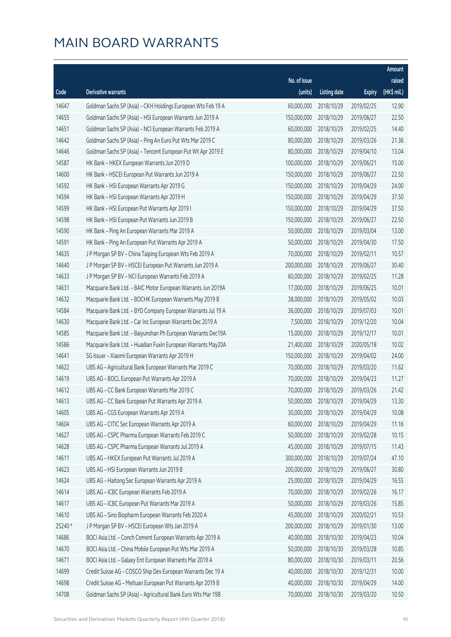|         |                                                              |              |                       |               | Amount      |
|---------|--------------------------------------------------------------|--------------|-----------------------|---------------|-------------|
|         |                                                              | No. of issue |                       |               | raised      |
| Code    | Derivative warrants                                          | (units)      | <b>Listing date</b>   | <b>Expiry</b> | (HK\$ mil.) |
| 14647   | Goldman Sachs SP (Asia) - CKH Holdings European Wts Feb 19 A | 60,000,000   | 2018/10/29            | 2019/02/25    | 12.90       |
| 14655   | Goldman Sachs SP (Asia) - HSI European Warrants Jun 2019 A   | 150,000,000  | 2018/10/29            | 2019/06/27    | 22.50       |
| 14651   | Goldman Sachs SP (Asia) - NCI European Warrants Feb 2019 A   | 60,000,000   | 2018/10/29            | 2019/02/25    | 14.40       |
| 14642   | Goldman Sachs SP (Asia) - Ping An Euro Put Wts Mar 2019 C    | 80,000,000   | 2018/10/29            | 2019/03/26    | 21.36       |
| 14646   | Goldman Sachs SP (Asia) - Tencent European Put Wt Apr 2019 E | 80,000,000   | 2018/10/29            | 2019/04/10    | 13.04       |
| 14587   | HK Bank - HKEX European Warrants Jun 2019 D                  | 100,000,000  | 2018/10/29            | 2019/06/21    | 15.00       |
| 14600   | HK Bank - HSCEI European Put Warrants Jun 2019 A             | 150,000,000  | 2018/10/29            | 2019/06/27    | 22.50       |
| 14592   | HK Bank - HSI European Warrants Apr 2019 G                   | 150,000,000  | 2018/10/29            | 2019/04/29    | 24.00       |
| 14594   | HK Bank - HSI European Warrants Apr 2019 H                   | 150,000,000  | 2018/10/29            | 2019/04/29    | 37.50       |
| 14599   | HK Bank - HSI European Put Warrants Apr 2019 I               | 150,000,000  | 2018/10/29            | 2019/04/29    | 37.50       |
| 14598   | HK Bank - HSI European Put Warrants Jun 2019 B               | 150,000,000  | 2018/10/29            | 2019/06/27    | 22.50       |
| 14590   | HK Bank - Ping An European Warrants Mar 2019 A               | 50,000,000   | 2018/10/29            | 2019/03/04    | 13.00       |
| 14591   | HK Bank - Ping An European Put Warrants Apr 2019 A           | 50,000,000   | 2018/10/29            | 2019/04/30    | 17.50       |
| 14635   | J P Morgan SP BV - China Taiping European Wts Feb 2019 A     | 70,000,000   | 2018/10/29            | 2019/02/11    | 10.57       |
| 14640   | J P Morgan SP BV - HSCEI European Put Warrants Jun 2019 A    | 200,000,000  | 2018/10/29            | 2019/06/27    | 30.40       |
| 14633   | J P Morgan SP BV - NCI European Warrants Feb 2019 A          | 60,000,000   | 2018/10/29            | 2019/02/25    | 11.28       |
| 14631   | Macquarie Bank Ltd. - BAIC Motor European Warrants Jun 2019A | 17,000,000   | 2018/10/29            | 2019/06/25    | 10.01       |
| 14632   | Macquarie Bank Ltd. - BOCHK European Warrants May 2019 B     | 38,000,000   | 2018/10/29            | 2019/05/02    | 10.03       |
| 14584   | Macquarie Bank Ltd. - BYD Company European Warrants Jul 19 A | 36,000,000   | 2018/10/29            | 2019/07/03    | 10.01       |
| 14630   | Macquarie Bank Ltd. - Car Inc European Warrants Dec 2019 A   | 7,500,000    | 2018/10/29            | 2019/12/20    | 10.04       |
| 14585   | Macquarie Bank Ltd. - Baiyunshan Ph European Warrants Dec19A | 15,000,000   | 2018/10/29            | 2019/12/17    | 10.01       |
| 14586   | Macquarie Bank Ltd. - Huadian Fuxin European Warrants May20A | 21,400,000   | 2018/10/29            | 2020/05/18    | 10.02       |
| 14641   | SG Issuer - Xiaomi European Warrants Apr 2019 H              | 150,000,000  | 2018/10/29            | 2019/04/02    | 24.00       |
| 14622   | UBS AG - Agricultural Bank European Warrants Mar 2019 C      | 70,000,000   | 2018/10/29            | 2019/03/20    | 11.62       |
| 14619   | UBS AG - BOCL European Put Warrants Apr 2019 A               | 70,000,000   | 2018/10/29            | 2019/04/23    | 11.27       |
| 14612   | UBS AG - CC Bank European Warrants Mar 2019 C                | 70,000,000   | 2018/10/29            | 2019/03/26    | 21.42       |
| 14613   | UBS AG - CC Bank European Put Warrants Apr 2019 A            |              | 50,000,000 2018/10/29 | 2019/04/29    | 13.30       |
| 14605   | UBS AG - CGS European Warrants Apr 2019 A                    | 30,000,000   | 2018/10/29            | 2019/04/29    | 10.08       |
| 14604   | UBS AG - CITIC Sec European Warrants Apr 2019 A              | 60,000,000   | 2018/10/29            | 2019/04/29    | 11.16       |
| 14627   | UBS AG - CSPC Pharma European Warrants Feb 2019 C            | 50,000,000   | 2018/10/29            | 2019/02/28    | 10.15       |
| 14628   | UBS AG - CSPC Pharma European Warrants Jul 2019 A            | 45,000,000   | 2018/10/29            | 2019/07/15    | 11.43       |
| 14611   | UBS AG - HKEX European Put Warrants Jul 2019 A               | 300,000,000  | 2018/10/29            | 2019/07/24    | 47.10       |
| 14623   | UBS AG - HSI European Warrants Jun 2019 B                    | 200,000,000  | 2018/10/29            | 2019/06/27    | 30.80       |
| 14624   | UBS AG - Haitong Sec European Warrants Apr 2019 A            | 25,000,000   | 2018/10/29            | 2019/04/29    | 16.55       |
| 14614   | UBS AG - ICBC European Warrants Feb 2019 A                   | 70,000,000   | 2018/10/29            | 2019/02/26    | 16.17       |
| 14617   | UBS AG - ICBC European Put Warrants Mar 2019 A               | 50,000,000   | 2018/10/29            | 2019/03/26    | 15.85       |
| 14610   | UBS AG - Sino Biopharm European Warrants Feb 2020 A          | 45,000,000   | 2018/10/29            | 2020/02/21    | 10.53       |
| 25240 # | J P Morgan SP BV - HSCEI European Wts Jan 2019 A             | 200,000,000  | 2018/10/29            | 2019/01/30    | 13.00       |
| 14686   | BOCI Asia Ltd. - Conch Cement European Warrants Apr 2019 A   | 40,000,000   | 2018/10/30            | 2019/04/23    | 10.04       |
| 14670   | BOCI Asia Ltd. - China Mobile European Put Wts Mar 2019 A    | 50,000,000   | 2018/10/30            | 2019/03/28    | 10.85       |
| 14671   | BOCI Asia Ltd. - Galaxy Ent European Warrants Mar 2019 A     | 80,000,000   | 2018/10/30            | 2019/03/11    | 20.56       |
| 14699   | Credit Suisse AG - COSCO Ship Dev European Warrants Dec 19 A | 40,000,000   | 2018/10/30            | 2019/12/31    | 10.00       |
| 14698   | Credit Suisse AG - Meituan European Put Warrants Apr 2019 B  | 40,000,000   | 2018/10/30            | 2019/04/29    | 14.00       |
| 14708   | Goldman Sachs SP (Asia) - Agricultural Bank Euro Wts Mar 19B | 70,000,000   | 2018/10/30            | 2019/03/20    | 10.50       |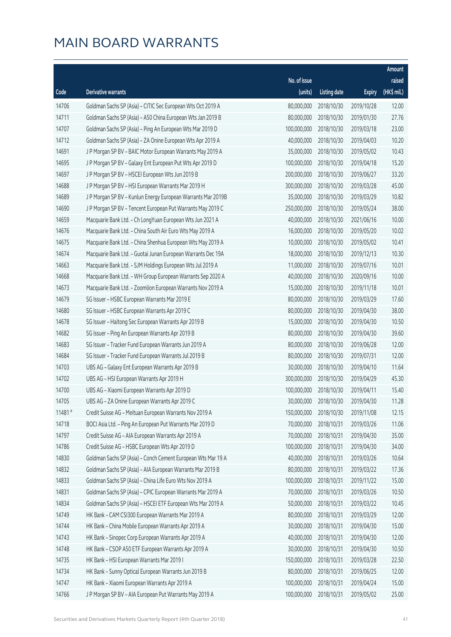|        |                                                              |              |                       |               | Amount      |
|--------|--------------------------------------------------------------|--------------|-----------------------|---------------|-------------|
|        |                                                              | No. of issue |                       |               | raised      |
| Code   | Derivative warrants                                          | (units)      | <b>Listing date</b>   | <b>Expiry</b> | (HK\$ mil.) |
| 14706  | Goldman Sachs SP (Asia) - CITIC Sec European Wts Oct 2019 A  | 80,000,000   | 2018/10/30            | 2019/10/28    | 12.00       |
| 14711  | Goldman Sachs SP (Asia) - A50 China European Wts Jan 2019 B  | 80,000,000   | 2018/10/30            | 2019/01/30    | 27.76       |
| 14707  | Goldman Sachs SP (Asia) - Ping An European Wts Mar 2019 D    | 100,000,000  | 2018/10/30            | 2019/03/18    | 23.00       |
| 14712  | Goldman Sachs SP (Asia) - ZA Onine European Wts Apr 2019 A   | 40,000,000   | 2018/10/30            | 2019/04/03    | 10.20       |
| 14691  | J P Morgan SP BV - BAIC Motor European Warrants May 2019 A   | 35,000,000   | 2018/10/30            | 2019/05/02    | 10.43       |
| 14695  | J P Morgan SP BV - Galaxy Ent European Put Wts Apr 2019 D    | 100,000,000  | 2018/10/30            | 2019/04/18    | 15.20       |
| 14697  | J P Morgan SP BV - HSCEI European Wts Jun 2019 B             | 200,000,000  | 2018/10/30            | 2019/06/27    | 33.20       |
| 14688  | J P Morgan SP BV - HSI European Warrants Mar 2019 H          | 300,000,000  | 2018/10/30            | 2019/03/28    | 45.00       |
| 14689  | J P Morgan SP BV - Kunlun Energy European Warrants Mar 2019B | 35,000,000   | 2018/10/30            | 2019/03/29    | 10.82       |
| 14690  | J P Morgan SP BV - Tencent European Put Warrants May 2019 C  | 250,000,000  | 2018/10/30            | 2019/05/24    | 38.00       |
| 14659  | Macquarie Bank Ltd. - Ch LongYuan European Wts Jun 2021 A    | 40,000,000   | 2018/10/30            | 2021/06/16    | 10.00       |
| 14676  | Macquarie Bank Ltd. - China South Air Euro Wts May 2019 A    | 16,000,000   | 2018/10/30            | 2019/05/20    | 10.02       |
| 14675  | Macquarie Bank Ltd. - China Shenhua European Wts May 2019 A  | 10,000,000   | 2018/10/30            | 2019/05/02    | 10.41       |
| 14674  | Macquarie Bank Ltd. - Guotai Junan European Warrants Dec 19A | 18,000,000   | 2018/10/30            | 2019/12/13    | 10.30       |
| 14663  | Macquarie Bank Ltd. - SJM Holdings European Wts Jul 2019 A   | 11,000,000   | 2018/10/30            | 2019/07/16    | 10.01       |
| 14668  | Macquarie Bank Ltd. - WH Group European Warrants Sep 2020 A  | 40,000,000   | 2018/10/30            | 2020/09/16    | 10.00       |
| 14673  | Macquarie Bank Ltd. - Zoomlion European Warrants Nov 2019 A  | 15,000,000   | 2018/10/30            | 2019/11/18    | 10.01       |
| 14679  | SG Issuer - HSBC European Warrants Mar 2019 E                | 80,000,000   | 2018/10/30            | 2019/03/29    | 17.60       |
| 14680  | SG Issuer - HSBC European Warrants Apr 2019 C                | 80,000,000   | 2018/10/30            | 2019/04/30    | 38.00       |
| 14678  | SG Issuer - Haitong Sec European Warrants Apr 2019 B         | 15,000,000   | 2018/10/30            | 2019/04/30    | 10.50       |
| 14682  | SG Issuer - Ping An European Warrants Apr 2019 B             | 80,000,000   | 2018/10/30            | 2019/04/30    | 39.60       |
| 14683  | SG Issuer - Tracker Fund European Warrants Jun 2019 A        | 80,000,000   | 2018/10/30            | 2019/06/28    | 12.00       |
| 14684  | SG Issuer - Tracker Fund European Warrants Jul 2019 B        | 80,000,000   | 2018/10/30            | 2019/07/31    | 12.00       |
| 14703  | UBS AG - Galaxy Ent European Warrants Apr 2019 B             | 30,000,000   | 2018/10/30            | 2019/04/10    | 11.64       |
| 14702  | UBS AG - HSI European Warrants Apr 2019 H                    | 300,000,000  | 2018/10/30            | 2019/04/29    | 45.30       |
| 14700  | UBS AG - Xiaomi European Warrants Apr 2019 D                 | 100,000,000  | 2018/10/30            | 2019/04/11    | 15.40       |
| 14705  | UBS AG - ZA Onine European Warrants Apr 2019 C               |              | 30,000,000 2018/10/30 | 2019/04/30    | 11.28       |
| 11481# | Credit Suisse AG - Meituan European Warrants Nov 2019 A      | 150,000,000  | 2018/10/30            | 2019/11/08    | 12.15       |
| 14718  | BOCI Asia Ltd. - Ping An European Put Warrants Mar 2019 D    | 70,000,000   | 2018/10/31            | 2019/03/26    | 11.06       |
| 14797  | Credit Suisse AG - AIA European Warrants Apr 2019 A          | 70,000,000   | 2018/10/31            | 2019/04/30    | 35.00       |
| 14786  | Credit Suisse AG - HSBC European Wts Apr 2019 D              | 100,000,000  | 2018/10/31            | 2019/04/30    | 34.00       |
| 14830  | Goldman Sachs SP (Asia) - Conch Cement European Wts Mar 19 A | 40,000,000   | 2018/10/31            | 2019/03/26    | 10.64       |
| 14832  | Goldman Sachs SP (Asia) - AIA European Warrants Mar 2019 B   | 80,000,000   | 2018/10/31            | 2019/03/22    | 17.36       |
| 14833  | Goldman Sachs SP (Asia) - China Life Euro Wts Nov 2019 A     | 100,000,000  | 2018/10/31            | 2019/11/22    | 15.00       |
| 14831  | Goldman Sachs SP (Asia) - CPIC European Warrants Mar 2019 A  | 70,000,000   | 2018/10/31            | 2019/03/26    | 10.50       |
| 14834  | Goldman Sachs SP (Asia) - HSCEI ETF European Wts Mar 2019 A  | 50,000,000   | 2018/10/31            | 2019/03/22    | 10.45       |
| 14749  | HK Bank - CAM CSI300 European Warrants Mar 2019 A            | 80,000,000   | 2018/10/31            | 2019/03/29    | 12.00       |
| 14744  | HK Bank - China Mobile European Warrants Apr 2019 A          | 30,000,000   | 2018/10/31            | 2019/04/30    | 15.00       |
| 14743  | HK Bank - Sinopec Corp European Warrants Apr 2019 A          | 40,000,000   | 2018/10/31            | 2019/04/30    | 12.00       |
| 14748  | HK Bank - CSOP A50 ETF European Warrants Apr 2019 A          | 30,000,000   | 2018/10/31            | 2019/04/30    | 10.50       |
| 14735  | HK Bank - HSI European Warrants Mar 2019 I                   | 150,000,000  | 2018/10/31            | 2019/03/28    | 22.50       |
| 14734  | HK Bank - Sunny Optical European Warrants Jun 2019 B         | 80,000,000   | 2018/10/31            | 2019/06/25    | 12.00       |
| 14747  | HK Bank - Xiaomi European Warrants Apr 2019 A                | 100,000,000  | 2018/10/31            | 2019/04/24    | 15.00       |
| 14766  | J P Morgan SP BV - AIA European Put Warrants May 2019 A      | 100,000,000  | 2018/10/31            | 2019/05/02    | 25.00       |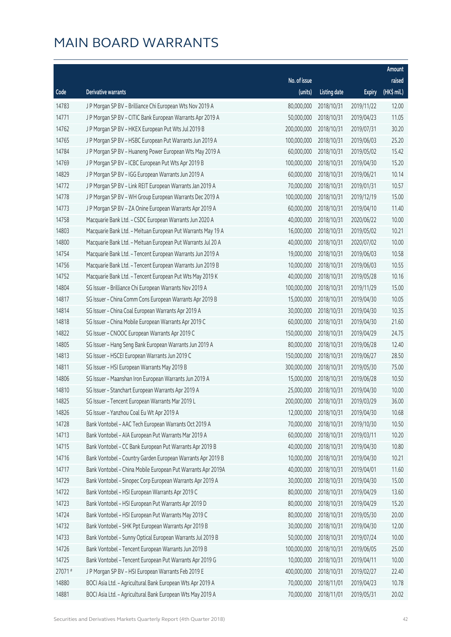|        |                                                              |                        |                     |               | Amount      |
|--------|--------------------------------------------------------------|------------------------|---------------------|---------------|-------------|
|        |                                                              | No. of issue           |                     |               | raised      |
| Code   | <b>Derivative warrants</b>                                   | (units)                | <b>Listing date</b> | <b>Expiry</b> | (HK\$ mil.) |
| 14783  | J P Morgan SP BV - Brilliance Chi European Wts Nov 2019 A    | 80,000,000             | 2018/10/31          | 2019/11/22    | 12.00       |
| 14771  | J P Morgan SP BV - CITIC Bank European Warrants Apr 2019 A   | 50,000,000             | 2018/10/31          | 2019/04/23    | 11.05       |
| 14762  | J P Morgan SP BV - HKEX European Put Wts Jul 2019 B          | 200,000,000            | 2018/10/31          | 2019/07/31    | 30.20       |
| 14765  | J P Morgan SP BV - HSBC European Put Warrants Jun 2019 A     | 100,000,000            | 2018/10/31          | 2019/06/03    | 25.20       |
| 14784  | J P Morgan SP BV - Huaneng Power European Wts May 2019 A     | 60,000,000             | 2018/10/31          | 2019/05/02    | 15.42       |
| 14769  | J P Morgan SP BV - ICBC European Put Wts Apr 2019 B          | 100,000,000            | 2018/10/31          | 2019/04/30    | 15.20       |
| 14829  | J P Morgan SP BV - IGG European Warrants Jun 2019 A          | 60,000,000             | 2018/10/31          | 2019/06/21    | 10.14       |
| 14772  | J P Morgan SP BV - Link REIT European Warrants Jan 2019 A    | 70,000,000             | 2018/10/31          | 2019/01/31    | 10.57       |
| 14778  | J P Morgan SP BV - WH Group European Warrants Dec 2019 A     | 100,000,000            | 2018/10/31          | 2019/12/19    | 15.00       |
| 14773  | J P Morgan SP BV - ZA Onine European Warrants Apr 2019 A     | 60,000,000             | 2018/10/31          | 2019/04/10    | 11.40       |
| 14758  | Macquarie Bank Ltd. - CSDC European Warrants Jun 2020 A      | 40,000,000             | 2018/10/31          | 2020/06/22    | 10.00       |
| 14803  | Macquarie Bank Ltd. - Meituan European Put Warrants May 19 A | 16,000,000             | 2018/10/31          | 2019/05/02    | 10.21       |
| 14800  | Macquarie Bank Ltd. - Meituan European Put Warrants Jul 20 A | 40,000,000             | 2018/10/31          | 2020/07/02    | 10.00       |
| 14754  | Macquarie Bank Ltd. - Tencent European Warrants Jun 2019 A   | 19,000,000             | 2018/10/31          | 2019/06/03    | 10.58       |
| 14756  | Macquarie Bank Ltd. - Tencent European Warrants Jun 2019 B   | 10,000,000             | 2018/10/31          | 2019/06/03    | 10.55       |
| 14752  | Macquarie Bank Ltd. - Tencent European Put Wts May 2019 K    | 40,000,000             | 2018/10/31          | 2019/05/28    | 10.16       |
| 14804  | SG Issuer - Brilliance Chi European Warrants Nov 2019 A      | 100,000,000            | 2018/10/31          | 2019/11/29    | 15.00       |
| 14817  | SG Issuer - China Comm Cons European Warrants Apr 2019 B     | 15,000,000             | 2018/10/31          | 2019/04/30    | 10.05       |
| 14814  | SG Issuer - China Coal European Warrants Apr 2019 A          | 30,000,000             | 2018/10/31          | 2019/04/30    | 10.35       |
| 14818  | SG Issuer - China Mobile European Warrants Apr 2019 C        | 60,000,000             | 2018/10/31          | 2019/04/30    | 21.60       |
| 14822  | SG Issuer - CNOOC European Warrants Apr 2019 C               | 150,000,000            | 2018/10/31          | 2019/04/29    | 24.75       |
| 14805  | SG Issuer - Hang Seng Bank European Warrants Jun 2019 A      | 80,000,000             | 2018/10/31          | 2019/06/28    | 12.40       |
| 14813  | SG Issuer - HSCEI European Warrants Jun 2019 C               | 150,000,000            | 2018/10/31          | 2019/06/27    | 28.50       |
| 14811  | SG Issuer - HSI European Warrants May 2019 B                 | 300,000,000            | 2018/10/31          | 2019/05/30    | 75.00       |
| 14806  | SG Issuer - Maanshan Iron European Warrants Jun 2019 A       | 15,000,000             | 2018/10/31          | 2019/06/28    | 10.50       |
| 14810  | SG Issuer - Stanchart European Warrants Apr 2019 A           | 25,000,000             | 2018/10/31          | 2019/04/30    | 10.00       |
| 14825  | SG Issuer - Tencent European Warrants Mar 2019 L             | 200,000,000 2018/10/31 |                     | 2019/03/29    | 36.00       |
| 14826  | SG Issuer - Yanzhou Coal Eu Wt Apr 2019 A                    | 12,000,000             | 2018/10/31          | 2019/04/30    | 10.68       |
| 14728  | Bank Vontobel - AAC Tech European Warrants Oct 2019 A        | 70,000,000             | 2018/10/31          | 2019/10/30    | 10.50       |
| 14713  | Bank Vontobel - AIA European Put Warrants Mar 2019 A         | 60,000,000             | 2018/10/31          | 2019/03/11    | 10.20       |
| 14715  | Bank Vontobel - CC Bank European Put Warrants Apr 2019 B     | 40,000,000             | 2018/10/31          | 2019/04/30    | 10.80       |
| 14716  | Bank Vontobel - Country Garden European Warrants Apr 2019 B  | 10,000,000             | 2018/10/31          | 2019/04/30    | 10.21       |
| 14717  | Bank Vontobel - China Mobile European Put Warrants Apr 2019A | 40,000,000             | 2018/10/31          | 2019/04/01    | 11.60       |
| 14729  | Bank Vontobel - Sinopec Corp European Warrants Apr 2019 A    | 30,000,000             | 2018/10/31          | 2019/04/30    | 15.00       |
| 14722  | Bank Vontobel - HSI European Warrants Apr 2019 C             | 80,000,000             | 2018/10/31          | 2019/04/29    | 13.60       |
| 14723  | Bank Vontobel - HSI European Put Warrants Apr 2019 D         | 80,000,000             | 2018/10/31          | 2019/04/29    | 15.20       |
| 14724  | Bank Vontobel - HSI European Put Warrants May 2019 C         | 80,000,000             | 2018/10/31          | 2019/05/30    | 20.00       |
| 14732  | Bank Vontobel - SHK Ppt European Warrants Apr 2019 B         | 30,000,000             | 2018/10/31          | 2019/04/30    | 12.00       |
| 14733  | Bank Vontobel - Sunny Optical European Warrants Jul 2019 B   | 50,000,000             | 2018/10/31          | 2019/07/24    | 10.00       |
| 14726  | Bank Vontobel - Tencent European Warrants Jun 2019 B         | 100,000,000            | 2018/10/31          | 2019/06/05    | 25.00       |
| 14725  | Bank Vontobel - Tencent European Put Warrants Apr 2019 G     | 10,000,000             | 2018/10/31          | 2019/04/11    | 10.00       |
| 27071# | J P Morgan SP BV - HSI European Warrants Feb 2019 E          | 400,000,000            | 2018/10/31          | 2019/02/27    | 22.40       |
| 14880  | BOCI Asia Ltd. - Agricultural Bank European Wts Apr 2019 A   | 70,000,000             | 2018/11/01          | 2019/04/23    | 10.78       |
| 14881  | BOCI Asia Ltd. - Agricultural Bank European Wts May 2019 A   | 70,000,000             | 2018/11/01          | 2019/05/31    | 20.02       |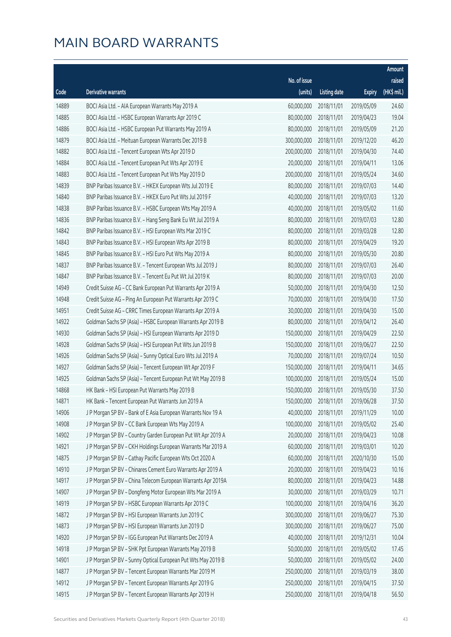|       |                                                              |                        |                     |               | Amount      |
|-------|--------------------------------------------------------------|------------------------|---------------------|---------------|-------------|
|       |                                                              | No. of issue           |                     |               | raised      |
| Code  | Derivative warrants                                          | (units)                | <b>Listing date</b> | <b>Expiry</b> | (HK\$ mil.) |
| 14889 | BOCI Asia Ltd. - AIA European Warrants May 2019 A            | 60,000,000             | 2018/11/01          | 2019/05/09    | 24.60       |
| 14885 | BOCI Asia Ltd. - HSBC European Warrants Apr 2019 C           | 80,000,000             | 2018/11/01          | 2019/04/23    | 19.04       |
| 14886 | BOCI Asia Ltd. - HSBC European Put Warrants May 2019 A       | 80,000,000             | 2018/11/01          | 2019/05/09    | 21.20       |
| 14879 | BOCI Asia Ltd. - Meituan European Warrants Dec 2019 B        | 300,000,000            | 2018/11/01          | 2019/12/20    | 46.20       |
| 14882 | BOCI Asia Ltd. - Tencent European Wts Apr 2019 D             | 200,000,000            | 2018/11/01          | 2019/04/30    | 74.40       |
| 14884 | BOCI Asia Ltd. - Tencent European Put Wts Apr 2019 E         | 20,000,000             | 2018/11/01          | 2019/04/11    | 13.06       |
| 14883 | BOCI Asia Ltd. - Tencent European Put Wts May 2019 D         | 200,000,000            | 2018/11/01          | 2019/05/24    | 34.60       |
| 14839 | BNP Paribas Issuance B.V. - HKEX European Wts Jul 2019 E     | 80,000,000             | 2018/11/01          | 2019/07/03    | 14.40       |
| 14840 | BNP Paribas Issuance B.V. - HKEX Euro Put Wts Jul 2019 F     | 40,000,000             | 2018/11/01          | 2019/07/03    | 13.20       |
| 14838 | BNP Paribas Issuance B.V. - HSBC European Wts May 2019 A     | 40,000,000             | 2018/11/01          | 2019/05/02    | 11.60       |
| 14836 | BNP Paribas Issuance B.V. - Hang Seng Bank Eu Wt Jul 2019 A  | 80,000,000             | 2018/11/01          | 2019/07/03    | 12.80       |
| 14842 | BNP Paribas Issuance B.V. - HSI European Wts Mar 2019 C      | 80,000,000             | 2018/11/01          | 2019/03/28    | 12.80       |
| 14843 | BNP Paribas Issuance B.V. - HSI European Wts Apr 2019 B      | 80,000,000             | 2018/11/01          | 2019/04/29    | 19.20       |
| 14845 | BNP Paribas Issuance B.V. - HSI Euro Put Wts May 2019 A      | 80,000,000             | 2018/11/01          | 2019/05/30    | 20.80       |
| 14837 | BNP Paribas Issuance B.V. - Tencent European Wts Jul 2019 J  | 80,000,000             | 2018/11/01          | 2019/07/03    | 26.40       |
| 14847 | BNP Paribas Issuance B.V. - Tencent Eu Put Wt Jul 2019 K     | 80,000,000             | 2018/11/01          | 2019/07/03    | 20.00       |
| 14949 | Credit Suisse AG - CC Bank European Put Warrants Apr 2019 A  | 50,000,000             | 2018/11/01          | 2019/04/30    | 12.50       |
| 14948 | Credit Suisse AG - Ping An European Put Warrants Apr 2019 C  | 70,000,000             | 2018/11/01          | 2019/04/30    | 17.50       |
| 14951 | Credit Suisse AG - CRRC Times European Warrants Apr 2019 A   | 30,000,000             | 2018/11/01          | 2019/04/30    | 15.00       |
| 14922 | Goldman Sachs SP (Asia) - HSBC European Warrants Apr 2019 B  | 80,000,000             | 2018/11/01          | 2019/04/12    | 26.40       |
| 14930 | Goldman Sachs SP (Asia) - HSI European Warrants Apr 2019 D   | 150,000,000            | 2018/11/01          | 2019/04/29    | 22.50       |
| 14928 | Goldman Sachs SP (Asia) - HSI European Put Wts Jun 2019 B    | 150,000,000            | 2018/11/01          | 2019/06/27    | 22.50       |
| 14926 | Goldman Sachs SP (Asia) - Sunny Optical Euro Wts Jul 2019 A  | 70,000,000             | 2018/11/01          | 2019/07/24    | 10.50       |
| 14927 | Goldman Sachs SP (Asia) - Tencent European Wt Apr 2019 F     | 150,000,000            | 2018/11/01          | 2019/04/11    | 34.65       |
| 14925 | Goldman Sachs SP (Asia) - Tencent European Put Wt May 2019 B | 100,000,000            | 2018/11/01          | 2019/05/24    | 15.00       |
| 14868 | HK Bank - HSI European Put Warrants May 2019 B               | 150,000,000            | 2018/11/01          | 2019/05/30    | 37.50       |
| 14871 | HK Bank - Tencent European Put Warrants Jun 2019 A           | 150,000,000 2018/11/01 |                     | 2019/06/28    | 37.50       |
| 14906 | J P Morgan SP BV - Bank of E Asia European Warrants Nov 19 A | 40,000,000             | 2018/11/01          | 2019/11/29    | 10.00       |
| 14908 | J P Morgan SP BV - CC Bank European Wts May 2019 A           | 100,000,000            | 2018/11/01          | 2019/05/02    | 25.40       |
| 14902 | J P Morgan SP BV - Country Garden European Put Wt Apr 2019 A | 20,000,000             | 2018/11/01          | 2019/04/23    | 10.08       |
| 14921 | J P Morgan SP BV - CKH Holdings European Warrants Mar 2019 A | 60,000,000             | 2018/11/01          | 2019/03/01    | 10.20       |
| 14875 | J P Morgan SP BV - Cathay Pacific European Wts Oct 2020 A    | 60,000,000             | 2018/11/01          | 2020/10/30    | 15.00       |
| 14910 | J P Morgan SP BV - Chinares Cement Euro Warrants Apr 2019 A  | 20,000,000             | 2018/11/01          | 2019/04/23    | 10.16       |
| 14917 | J P Morgan SP BV - China Telecom European Warrants Apr 2019A | 80,000,000             | 2018/11/01          | 2019/04/23    | 14.88       |
| 14907 | J P Morgan SP BV - Dongfeng Motor European Wts Mar 2019 A    | 30,000,000             | 2018/11/01          | 2019/03/29    | 10.71       |
| 14919 | J P Morgan SP BV - HSBC European Warrants Apr 2019 C         | 100,000,000            | 2018/11/01          | 2019/04/16    | 36.20       |
| 14872 | J P Morgan SP BV - HSI European Warrants Jun 2019 C          | 300,000,000            | 2018/11/01          | 2019/06/27    | 75.30       |
| 14873 | J P Morgan SP BV - HSI European Warrants Jun 2019 D          | 300,000,000            | 2018/11/01          | 2019/06/27    | 75.00       |
| 14920 | J P Morgan SP BV - IGG European Put Warrants Dec 2019 A      | 40,000,000             | 2018/11/01          | 2019/12/31    | 10.04       |
| 14918 | J P Morgan SP BV - SHK Ppt European Warrants May 2019 B      | 50,000,000             | 2018/11/01          | 2019/05/02    | 17.45       |
| 14901 | J P Morgan SP BV - Sunny Optical European Put Wts May 2019 B | 50,000,000             | 2018/11/01          | 2019/05/02    | 24.00       |
| 14877 | J P Morgan SP BV - Tencent European Warrants Mar 2019 M      | 250,000,000            | 2018/11/01          | 2019/03/19    | 38.00       |
| 14912 | J P Morgan SP BV - Tencent European Warrants Apr 2019 G      | 250,000,000            | 2018/11/01          | 2019/04/15    | 37.50       |
| 14915 | J P Morgan SP BV - Tencent European Warrants Apr 2019 H      | 250,000,000            | 2018/11/01          | 2019/04/18    | 56.50       |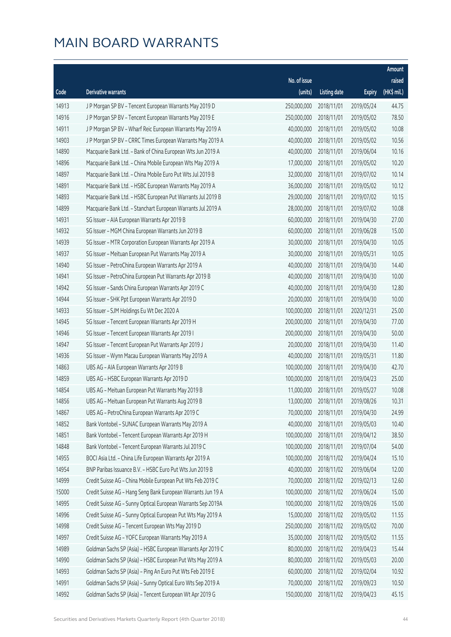|       |                                                              |              |                       |               | Amount      |
|-------|--------------------------------------------------------------|--------------|-----------------------|---------------|-------------|
|       |                                                              | No. of issue |                       |               | raised      |
| Code  | Derivative warrants                                          | (units)      | <b>Listing date</b>   | <b>Expiry</b> | (HK\$ mil.) |
| 14913 | J P Morgan SP BV - Tencent European Warrants May 2019 D      | 250,000,000  | 2018/11/01            | 2019/05/24    | 44.75       |
| 14916 | J P Morgan SP BV - Tencent European Warrants May 2019 E      | 250,000,000  | 2018/11/01            | 2019/05/02    | 78.50       |
| 14911 | J P Morgan SP BV - Wharf Reic European Warrants May 2019 A   | 40,000,000   | 2018/11/01            | 2019/05/02    | 10.08       |
| 14903 | J P Morgan SP BV - CRRC Times European Warrants May 2019 A   | 40,000,000   | 2018/11/01            | 2019/05/02    | 10.56       |
| 14890 | Macquarie Bank Ltd. - Bank of China European Wts Jun 2019 A  | 40,000,000   | 2018/11/01            | 2019/06/04    | 10.16       |
| 14896 | Macquarie Bank Ltd. - China Mobile European Wts May 2019 A   | 17,000,000   | 2018/11/01            | 2019/05/02    | 10.20       |
| 14897 | Macquarie Bank Ltd. - China Mobile Euro Put Wts Jul 2019 B   | 32,000,000   | 2018/11/01            | 2019/07/02    | 10.14       |
| 14891 | Macquarie Bank Ltd. - HSBC European Warrants May 2019 A      | 36,000,000   | 2018/11/01            | 2019/05/02    | 10.12       |
| 14893 | Macquarie Bank Ltd. - HSBC European Put Warrants Jul 2019 B  | 29,000,000   | 2018/11/01            | 2019/07/02    | 10.15       |
| 14899 | Macquarie Bank Ltd. - Stanchart European Warrants Jul 2019 A | 28,000,000   | 2018/11/01            | 2019/07/02    | 10.08       |
| 14931 | SG Issuer - AIA European Warrants Apr 2019 B                 | 60,000,000   | 2018/11/01            | 2019/04/30    | 27.00       |
| 14932 | SG Issuer - MGM China European Warrants Jun 2019 B           | 60,000,000   | 2018/11/01            | 2019/06/28    | 15.00       |
| 14939 | SG Issuer - MTR Corporation European Warrants Apr 2019 A     | 30,000,000   | 2018/11/01            | 2019/04/30    | 10.05       |
| 14937 | SG Issuer - Meituan European Put Warrants May 2019 A         | 30,000,000   | 2018/11/01            | 2019/05/31    | 10.05       |
| 14940 | SG Issuer - PetroChina European Warrants Apr 2019 A          | 40,000,000   | 2018/11/01            | 2019/04/30    | 14.40       |
| 14941 | SG Issuer - PetroChina European Put Warrants Apr 2019 B      | 40,000,000   | 2018/11/01            | 2019/04/30    | 10.00       |
| 14942 | SG Issuer - Sands China European Warrants Apr 2019 C         | 40,000,000   | 2018/11/01            | 2019/04/30    | 12.80       |
| 14944 | SG Issuer - SHK Ppt European Warrants Apr 2019 D             | 20,000,000   | 2018/11/01            | 2019/04/30    | 10.00       |
| 14933 | SG Issuer - SJM Holdings Eu Wt Dec 2020 A                    | 100,000,000  | 2018/11/01            | 2020/12/31    | 25.00       |
| 14945 | SG Issuer - Tencent European Warrants Apr 2019 H             | 200,000,000  | 2018/11/01            | 2019/04/30    | 77.00       |
| 14946 | SG Issuer - Tencent European Warrants Apr 2019 I             | 200,000,000  | 2018/11/01            | 2019/04/30    | 50.00       |
| 14947 | SG Issuer - Tencent European Put Warrants Apr 2019 J         | 20,000,000   | 2018/11/01            | 2019/04/30    | 11.40       |
| 14936 | SG Issuer - Wynn Macau European Warrants May 2019 A          | 40,000,000   | 2018/11/01            | 2019/05/31    | 11.80       |
| 14863 | UBS AG - AIA European Warrants Apr 2019 B                    | 100,000,000  | 2018/11/01            | 2019/04/30    | 42.70       |
| 14859 | UBS AG - HSBC European Warrants Apr 2019 D                   | 100,000,000  | 2018/11/01            | 2019/04/23    | 25.00       |
| 14854 | UBS AG - Meituan European Put Warrants May 2019 B            | 11,000,000   | 2018/11/01            | 2019/05/27    | 10.08       |
| 14856 | UBS AG - Meituan European Put Warrants Aug 2019 B            |              | 13,000,000 2018/11/01 | 2019/08/26    | 10.31       |
| 14867 | UBS AG - PetroChina European Warrants Apr 2019 C             | 70,000,000   | 2018/11/01            | 2019/04/30    | 24.99       |
| 14852 | Bank Vontobel - SUNAC European Warrants May 2019 A           | 40,000,000   | 2018/11/01            | 2019/05/03    | 10.40       |
| 14851 | Bank Vontobel - Tencent European Warrants Apr 2019 H         | 100,000,000  | 2018/11/01            | 2019/04/12    | 38.50       |
| 14848 | Bank Vontobel - Tencent European Warrants Jul 2019 C         | 100,000,000  | 2018/11/01            | 2019/07/04    | 54.00       |
| 14955 | BOCI Asia Ltd. - China Life European Warrants Apr 2019 A     | 100,000,000  | 2018/11/02            | 2019/04/24    | 15.10       |
| 14954 | BNP Paribas Issuance B.V. - HSBC Euro Put Wts Jun 2019 B     | 40,000,000   | 2018/11/02            | 2019/06/04    | 12.00       |
| 14999 | Credit Suisse AG - China Mobile European Put Wts Feb 2019 C  | 70,000,000   | 2018/11/02            | 2019/02/13    | 12.60       |
| 15000 | Credit Suisse AG - Hang Seng Bank European Warrants Jun 19 A | 100,000,000  | 2018/11/02            | 2019/06/24    | 15.00       |
| 14995 | Credit Suisse AG - Sunny Optical European Warrants Sep 2019A | 100,000,000  | 2018/11/02            | 2019/09/26    | 15.00       |
| 14996 | Credit Suisse AG - Sunny Optical European Put Wts May 2019 A | 15,000,000   | 2018/11/02            | 2019/05/02    | 11.55       |
| 14998 | Credit Suisse AG - Tencent European Wts May 2019 D           | 250,000,000  | 2018/11/02            | 2019/05/02    | 70.00       |
| 14997 | Credit Suisse AG - YOFC European Warrants May 2019 A         | 35,000,000   | 2018/11/02            | 2019/05/02    | 11.55       |
| 14989 | Goldman Sachs SP (Asia) - HSBC European Warrants Apr 2019 C  | 80,000,000   | 2018/11/02            | 2019/04/23    | 15.44       |
| 14990 | Goldman Sachs SP (Asia) - HSBC European Put Wts May 2019 A   | 80,000,000   | 2018/11/02            | 2019/05/03    | 20.00       |
| 14993 | Goldman Sachs SP (Asia) - Ping An Euro Put Wts Feb 2019 E    | 60,000,000   | 2018/11/02            | 2019/02/04    | 10.92       |
| 14991 | Goldman Sachs SP (Asia) - Sunny Optical Euro Wts Sep 2019 A  | 70,000,000   | 2018/11/02            | 2019/09/23    | 10.50       |
| 14992 | Goldman Sachs SP (Asia) - Tencent European Wt Apr 2019 G     | 150,000,000  | 2018/11/02            | 2019/04/23    | 45.15       |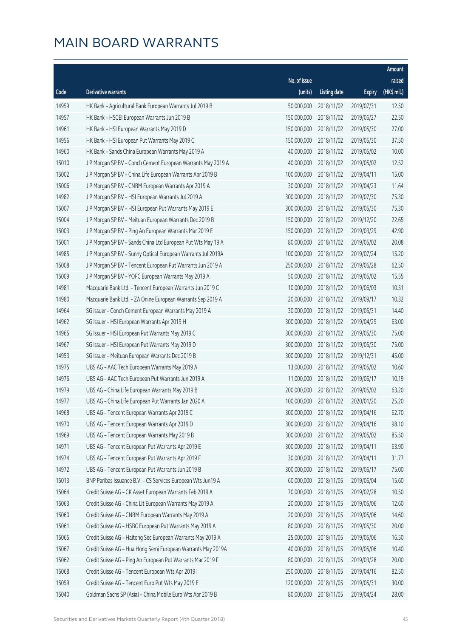|       |                                                              |                        |                     |               | Amount      |
|-------|--------------------------------------------------------------|------------------------|---------------------|---------------|-------------|
|       |                                                              | No. of issue           |                     |               | raised      |
| Code  | Derivative warrants                                          | (units)                | <b>Listing date</b> | <b>Expiry</b> | (HK\$ mil.) |
| 14959 | HK Bank - Agricultural Bank European Warrants Jul 2019 B     | 50,000,000             | 2018/11/02          | 2019/07/31    | 12.50       |
| 14957 | HK Bank - HSCEI European Warrants Jun 2019 B                 | 150,000,000            | 2018/11/02          | 2019/06/27    | 22.50       |
| 14961 | HK Bank - HSI European Warrants May 2019 D                   | 150,000,000            | 2018/11/02          | 2019/05/30    | 27.00       |
| 14956 | HK Bank - HSI European Put Warrants May 2019 C               | 150,000,000            | 2018/11/02          | 2019/05/30    | 37.50       |
| 14960 | HK Bank - Sands China European Warrants May 2019 A           | 40,000,000             | 2018/11/02          | 2019/05/02    | 10.00       |
| 15010 | J P Morgan SP BV - Conch Cement European Warrants May 2019 A | 40,000,000             | 2018/11/02          | 2019/05/02    | 12.52       |
| 15002 | J P Morgan SP BV - China Life European Warrants Apr 2019 B   | 100,000,000            | 2018/11/02          | 2019/04/11    | 15.00       |
| 15006 | J P Morgan SP BV - CNBM European Warrants Apr 2019 A         | 30,000,000             | 2018/11/02          | 2019/04/23    | 11.64       |
| 14982 | J P Morgan SP BV - HSI European Warrants Jul 2019 A          | 300,000,000            | 2018/11/02          | 2019/07/30    | 75.30       |
| 15007 | J P Morgan SP BV - HSI European Put Warrants May 2019 E      | 300,000,000            | 2018/11/02          | 2019/05/30    | 75.30       |
| 15004 | J P Morgan SP BV - Meituan European Warrants Dec 2019 B      | 150,000,000            | 2018/11/02          | 2019/12/20    | 22.65       |
| 15003 | J P Morgan SP BV - Ping An European Warrants Mar 2019 E      | 150,000,000            | 2018/11/02          | 2019/03/29    | 42.90       |
| 15001 | J P Morgan SP BV - Sands China Ltd European Put Wts May 19 A | 80,000,000             | 2018/11/02          | 2019/05/02    | 20.08       |
| 14985 | J P Morgan SP BV - Sunny Optical European Warrants Jul 2019A | 100,000,000            | 2018/11/02          | 2019/07/24    | 15.20       |
| 15008 | J P Morgan SP BV - Tencent European Put Warrants Jun 2019 A  | 250,000,000            | 2018/11/02          | 2019/06/28    | 62.50       |
| 15009 | J P Morgan SP BV - YOFC European Warrants May 2019 A         | 50,000,000             | 2018/11/02          | 2019/05/02    | 15.55       |
| 14981 | Macquarie Bank Ltd. - Tencent European Warrants Jun 2019 C   | 10,000,000             | 2018/11/02          | 2019/06/03    | 10.51       |
| 14980 | Macquarie Bank Ltd. - ZA Onine European Warrants Sep 2019 A  | 20,000,000             | 2018/11/02          | 2019/09/17    | 10.32       |
| 14964 | SG Issuer - Conch Cement European Warrants May 2019 A        | 30,000,000             | 2018/11/02          | 2019/05/31    | 14.40       |
| 14962 | SG Issuer - HSI European Warrants Apr 2019 H                 | 300,000,000            | 2018/11/02          | 2019/04/29    | 63.00       |
| 14965 | SG Issuer - HSI European Put Warrants May 2019 C             | 300,000,000            | 2018/11/02          | 2019/05/30    | 75.00       |
| 14967 | SG Issuer - HSI European Put Warrants May 2019 D             | 300,000,000            | 2018/11/02          | 2019/05/30    | 75.00       |
| 14953 | SG Issuer - Meituan European Warrants Dec 2019 B             | 300,000,000            | 2018/11/02          | 2019/12/31    | 45.00       |
| 14975 | UBS AG - AAC Tech European Warrants May 2019 A               | 13,000,000             | 2018/11/02          | 2019/05/02    | 10.60       |
| 14976 | UBS AG - AAC Tech European Put Warrants Jun 2019 A           | 11,000,000             | 2018/11/02          | 2019/06/17    | 10.19       |
| 14979 | UBS AG - China Life European Warrants May 2019 B             | 200,000,000            | 2018/11/02          | 2019/05/02    | 63.20       |
| 14977 | UBS AG - China Life European Put Warrants Jan 2020 A         | 100,000,000 2018/11/02 |                     | 2020/01/20    | 25.20       |
| 14968 | UBS AG - Tencent European Warrants Apr 2019 C                | 300,000,000            | 2018/11/02          | 2019/04/16    | 62.70       |
| 14970 | UBS AG - Tencent European Warrants Apr 2019 D                | 300,000,000            | 2018/11/02          | 2019/04/16    | 98.10       |
| 14969 | UBS AG - Tencent European Warrants May 2019 B                | 300,000,000            | 2018/11/02          | 2019/05/02    | 85.50       |
| 14971 | UBS AG - Tencent European Put Warrants Apr 2019 E            | 300,000,000            | 2018/11/02          | 2019/04/11    | 63.90       |
| 14974 | UBS AG - Tencent European Put Warrants Apr 2019 F            | 30,000,000             | 2018/11/02          | 2019/04/11    | 31.77       |
| 14972 | UBS AG - Tencent European Put Warrants Jun 2019 B            | 300,000,000            | 2018/11/02          | 2019/06/17    | 75.00       |
| 15013 | BNP Paribas Issuance B.V. - CS Services European Wts Jun19 A | 60,000,000             | 2018/11/05          | 2019/06/04    | 15.60       |
| 15064 | Credit Suisse AG - CK Asset European Warrants Feb 2019 A     | 70,000,000             | 2018/11/05          | 2019/02/28    | 10.50       |
| 15063 | Credit Suisse AG - China Lit European Warrants May 2019 A    | 20,000,000             | 2018/11/05          | 2019/05/06    | 12.60       |
| 15060 | Credit Suisse AG - CNBM European Warrants May 2019 A         | 20,000,000             | 2018/11/05          | 2019/05/06    | 14.60       |
| 15061 | Credit Suisse AG - HSBC European Put Warrants May 2019 A     | 80,000,000             | 2018/11/05          | 2019/05/30    | 20.00       |
| 15065 | Credit Suisse AG - Haitong Sec European Warrants May 2019 A  | 25,000,000             | 2018/11/05          | 2019/05/06    | 16.50       |
| 15067 | Credit Suisse AG - Hua Hong Semi European Warrants May 2019A | 40,000,000             | 2018/11/05          | 2019/05/06    | 10.40       |
| 15062 | Credit Suisse AG - Ping An European Put Warrants Mar 2019 F  | 80,000,000             | 2018/11/05          | 2019/03/28    | 20.00       |
| 15068 | Credit Suisse AG - Tencent European Wts Apr 2019 I           | 250,000,000            | 2018/11/05          | 2019/04/16    | 82.50       |
| 15059 | Credit Suisse AG - Tencent Euro Put Wts May 2019 E           | 120,000,000            | 2018/11/05          | 2019/05/31    | 30.00       |
| 15040 | Goldman Sachs SP (Asia) - China Mobile Euro Wts Apr 2019 B   | 80,000,000             | 2018/11/05          | 2019/04/24    | 28.00       |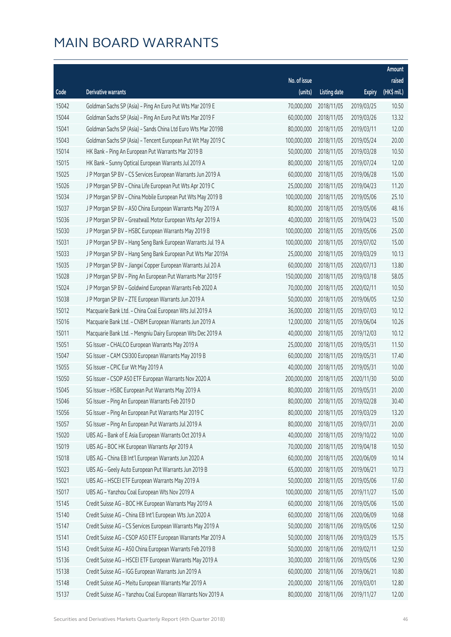|       |                                                              |              |                       |               | Amount      |
|-------|--------------------------------------------------------------|--------------|-----------------------|---------------|-------------|
|       |                                                              | No. of issue |                       |               | raised      |
| Code  | <b>Derivative warrants</b>                                   | (units)      | <b>Listing date</b>   | <b>Expiry</b> | (HK\$ mil.) |
| 15042 | Goldman Sachs SP (Asia) - Ping An Euro Put Wts Mar 2019 E    | 70,000,000   | 2018/11/05            | 2019/03/25    | 10.50       |
| 15044 | Goldman Sachs SP (Asia) - Ping An Euro Put Wts Mar 2019 F    | 60,000,000   | 2018/11/05            | 2019/03/26    | 13.32       |
| 15041 | Goldman Sachs SP (Asia) - Sands China Ltd Euro Wts Mar 2019B | 80,000,000   | 2018/11/05            | 2019/03/11    | 12.00       |
| 15043 | Goldman Sachs SP (Asia) - Tencent European Put Wt May 2019 C | 100,000,000  | 2018/11/05            | 2019/05/24    | 20.00       |
| 15014 | HK Bank - Ping An European Put Warrants Mar 2019 B           | 50,000,000   | 2018/11/05            | 2019/03/28    | 10.50       |
| 15015 | HK Bank - Sunny Optical European Warrants Jul 2019 A         | 80,000,000   | 2018/11/05            | 2019/07/24    | 12.00       |
| 15025 | J P Morgan SP BV - CS Services European Warrants Jun 2019 A  | 60,000,000   | 2018/11/05            | 2019/06/28    | 15.00       |
| 15026 | J P Morgan SP BV - China Life European Put Wts Apr 2019 C    | 25,000,000   | 2018/11/05            | 2019/04/23    | 11.20       |
| 15034 | J P Morgan SP BV - China Mobile European Put Wts May 2019 B  | 100,000,000  | 2018/11/05            | 2019/05/06    | 25.10       |
| 15037 | J P Morgan SP BV - A50 China European Warrants May 2019 A    | 80,000,000   | 2018/11/05            | 2019/05/06    | 48.16       |
| 15036 | J P Morgan SP BV - Greatwall Motor European Wts Apr 2019 A   | 40,000,000   | 2018/11/05            | 2019/04/23    | 15.00       |
| 15030 | J P Morgan SP BV - HSBC European Warrants May 2019 B         | 100,000,000  | 2018/11/05            | 2019/05/06    | 25.00       |
| 15031 | J P Morgan SP BV - Hang Seng Bank European Warrants Jul 19 A | 100,000,000  | 2018/11/05            | 2019/07/02    | 15.00       |
| 15033 | J P Morgan SP BV - Hang Seng Bank European Put Wts Mar 2019A | 25,000,000   | 2018/11/05            | 2019/03/29    | 10.13       |
| 15035 | J P Morgan SP BV - Jiangxi Copper European Warrants Jul 20 A | 60,000,000   | 2018/11/05            | 2020/07/13    | 13.80       |
| 15028 | J P Morgan SP BV - Ping An European Put Warrants Mar 2019 F  | 150,000,000  | 2018/11/05            | 2019/03/18    | 58.05       |
| 15024 | J P Morgan SP BV - Goldwind European Warrants Feb 2020 A     | 70,000,000   | 2018/11/05            | 2020/02/11    | 10.50       |
| 15038 | J P Morgan SP BV - ZTE European Warrants Jun 2019 A          | 50,000,000   | 2018/11/05            | 2019/06/05    | 12.50       |
| 15012 | Macquarie Bank Ltd. - China Coal European Wts Jul 2019 A     | 36,000,000   | 2018/11/05            | 2019/07/03    | 10.12       |
| 15016 | Macquarie Bank Ltd. - CNBM European Warrants Jun 2019 A      | 12,000,000   | 2018/11/05            | 2019/06/04    | 10.26       |
| 15011 | Macquarie Bank Ltd. - Mengniu Dairy European Wts Dec 2019 A  | 40,000,000   | 2018/11/05            | 2019/12/03    | 10.12       |
| 15051 | SG Issuer - CHALCO European Warrants May 2019 A              | 25,000,000   | 2018/11/05            | 2019/05/31    | 11.50       |
| 15047 | SG Issuer - CAM CSI300 European Warrants May 2019 B          | 60,000,000   | 2018/11/05            | 2019/05/31    | 17.40       |
| 15055 | SG Issuer - CPIC Eur Wt May 2019 A                           | 40,000,000   | 2018/11/05            | 2019/05/31    | 10.00       |
| 15050 | SG Issuer - CSOP A50 ETF European Warrants Nov 2020 A        | 200,000,000  | 2018/11/05            | 2020/11/30    | 50.00       |
| 15045 | SG Issuer - HSBC European Put Warrants May 2019 A            | 80,000,000   | 2018/11/05            | 2019/05/31    | 20.00       |
| 15046 | SG Issuer - Ping An European Warrants Feb 2019 D             |              | 80,000,000 2018/11/05 | 2019/02/28    | 30.40       |
| 15056 | SG Issuer - Ping An European Put Warrants Mar 2019 C         | 80,000,000   | 2018/11/05            | 2019/03/29    | 13.20       |
| 15057 | SG Issuer - Ping An European Put Warrants Jul 2019 A         | 80,000,000   | 2018/11/05            | 2019/07/31    | 20.00       |
| 15020 | UBS AG - Bank of E Asia European Warrants Oct 2019 A         | 40,000,000   | 2018/11/05            | 2019/10/22    | 10.00       |
| 15019 | UBS AG - BOC HK European Warrants Apr 2019 A                 | 70,000,000   | 2018/11/05            | 2019/04/18    | 10.50       |
| 15018 | UBS AG - China EB Int'l European Warrants Jun 2020 A         | 60,000,000   | 2018/11/05            | 2020/06/09    | 10.14       |
| 15023 | UBS AG - Geely Auto European Put Warrants Jun 2019 B         | 65,000,000   | 2018/11/05            | 2019/06/21    | 10.73       |
| 15021 | UBS AG - HSCEI ETF European Warrants May 2019 A              | 50,000,000   | 2018/11/05            | 2019/05/06    | 17.60       |
| 15017 | UBS AG - Yanzhou Coal European Wts Nov 2019 A                | 100,000,000  | 2018/11/05            | 2019/11/27    | 15.00       |
| 15145 | Credit Suisse AG - BOC HK European Warrants May 2019 A       | 60,000,000   | 2018/11/06            | 2019/05/06    | 15.00       |
| 15140 | Credit Suisse AG - China EB Int'l European Wts Jun 2020 A    | 60,000,000   | 2018/11/06            | 2020/06/09    | 10.68       |
| 15147 | Credit Suisse AG - CS Services European Warrants May 2019 A  | 50,000,000   | 2018/11/06            | 2019/05/06    | 12.50       |
| 15141 | Credit Suisse AG - CSOP A50 ETF European Warrants Mar 2019 A | 50,000,000   | 2018/11/06            | 2019/03/29    | 15.75       |
| 15143 | Credit Suisse AG - A50 China European Warrants Feb 2019 B    | 50,000,000   | 2018/11/06            | 2019/02/11    | 12.50       |
| 15136 | Credit Suisse AG - HSCEI ETF European Warrants May 2019 A    | 30,000,000   | 2018/11/06            | 2019/05/06    | 12.90       |
| 15138 | Credit Suisse AG - IGG European Warrants Jun 2019 A          | 60,000,000   | 2018/11/06            | 2019/06/21    | 10.80       |
| 15148 | Credit Suisse AG - Meitu European Warrants Mar 2019 A        | 20,000,000   | 2018/11/06            | 2019/03/01    | 12.80       |
| 15137 | Credit Suisse AG - Yanzhou Coal European Warrants Nov 2019 A | 80,000,000   | 2018/11/06            | 2019/11/27    | 12.00       |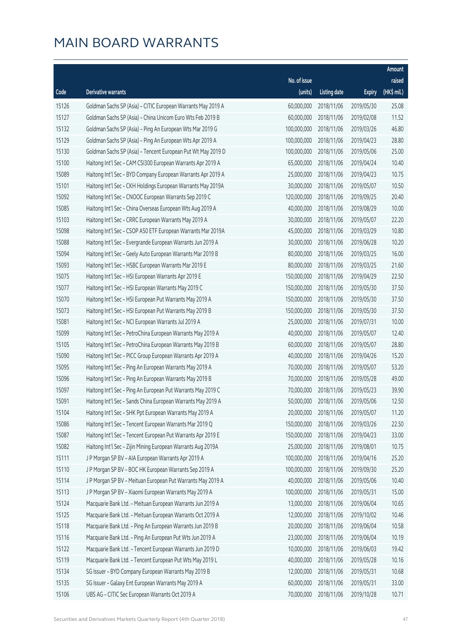|       |                                                              |              |                       |               | Amount      |
|-------|--------------------------------------------------------------|--------------|-----------------------|---------------|-------------|
|       |                                                              | No. of issue |                       |               | raised      |
| Code  | Derivative warrants                                          | (units)      | <b>Listing date</b>   | <b>Expiry</b> | (HK\$ mil.) |
| 15126 | Goldman Sachs SP (Asia) - CITIC European Warrants May 2019 A | 60,000,000   | 2018/11/06            | 2019/05/30    | 25.08       |
| 15127 | Goldman Sachs SP (Asia) - China Unicom Euro Wts Feb 2019 B   | 60,000,000   | 2018/11/06            | 2019/02/08    | 11.52       |
| 15132 | Goldman Sachs SP (Asia) - Ping An European Wts Mar 2019 G    | 100,000,000  | 2018/11/06            | 2019/03/26    | 46.80       |
| 15129 | Goldman Sachs SP (Asia) - Ping An European Wts Apr 2019 A    | 100,000,000  | 2018/11/06            | 2019/04/23    | 28.80       |
| 15130 | Goldman Sachs SP (Asia) - Tencent European Put Wt May 2019 D | 100,000,000  | 2018/11/06            | 2019/05/06    | 25.00       |
| 15100 | Haitong Int'l Sec - CAM CSI300 European Warrants Apr 2019 A  | 65,000,000   | 2018/11/06            | 2019/04/24    | 10.40       |
| 15089 | Haitong Int'l Sec - BYD Company European Warrants Apr 2019 A | 25,000,000   | 2018/11/06            | 2019/04/23    | 10.75       |
| 15101 | Haitong Int'l Sec - CKH Holdings European Warrants May 2019A | 30,000,000   | 2018/11/06            | 2019/05/07    | 10.50       |
| 15092 | Haitong Int'l Sec - CNOOC European Warrants Sep 2019 C       | 120,000,000  | 2018/11/06            | 2019/09/25    | 20.40       |
| 15085 | Haitong Int'l Sec - China Overseas European Wts Aug 2019 A   | 40,000,000   | 2018/11/06            | 2019/08/29    | 10.00       |
| 15103 | Haitong Int'l Sec - CRRC European Warrants May 2019 A        | 30,000,000   | 2018/11/06            | 2019/05/07    | 22.20       |
| 15098 | Haitong Int'l Sec - CSOP A50 ETF European Warrants Mar 2019A | 45,000,000   | 2018/11/06            | 2019/03/29    | 10.80       |
| 15088 | Haitong Int'l Sec - Evergrande European Warrants Jun 2019 A  | 30,000,000   | 2018/11/06            | 2019/06/28    | 10.20       |
| 15094 | Haitong Int'l Sec - Geely Auto European Warrants Mar 2019 B  | 80,000,000   | 2018/11/06            | 2019/03/25    | 16.00       |
| 15093 | Haitong Int'l Sec - HSBC European Warrants Mar 2019 E        | 80,000,000   | 2018/11/06            | 2019/03/25    | 21.60       |
| 15075 | Haitong Int'l Sec - HSI European Warrants Apr 2019 E         | 150,000,000  | 2018/11/06            | 2019/04/29    | 22.50       |
| 15077 | Haitong Int'l Sec - HSI European Warrants May 2019 C         | 150,000,000  | 2018/11/06            | 2019/05/30    | 37.50       |
| 15070 | Haitong Int'l Sec - HSI European Put Warrants May 2019 A     | 150,000,000  | 2018/11/06            | 2019/05/30    | 37.50       |
| 15073 | Haitong Int'l Sec - HSI European Put Warrants May 2019 B     | 150,000,000  | 2018/11/06            | 2019/05/30    | 37.50       |
| 15081 | Haitong Int'l Sec - NCI European Warrants Jul 2019 A         | 25,000,000   | 2018/11/06            | 2019/07/31    | 10.00       |
| 15099 | Haitong Int'l Sec - PetroChina European Warrants May 2019 A  | 40,000,000   | 2018/11/06            | 2019/05/07    | 12.40       |
| 15105 | Haitong Int'l Sec - PetroChina European Warrants May 2019 B  | 60,000,000   | 2018/11/06            | 2019/05/07    | 28.80       |
| 15090 | Haitong Int'l Sec - PICC Group European Warrants Apr 2019 A  | 40,000,000   | 2018/11/06            | 2019/04/26    | 15.20       |
| 15095 | Haitong Int'l Sec - Ping An European Warrants May 2019 A     | 70,000,000   | 2018/11/06            | 2019/05/07    | 53.20       |
| 15096 | Haitong Int'l Sec - Ping An European Warrants May 2019 B     | 70,000,000   | 2018/11/06            | 2019/05/28    | 49.00       |
| 15097 | Haitong Int'l Sec - Ping An European Put Warrants May 2019 C | 70,000,000   | 2018/11/06            | 2019/05/23    | 39.90       |
| 15091 | Haitong Int'l Sec - Sands China European Warrants May 2019 A |              | 50,000,000 2018/11/06 | 2019/05/06    | 12.50       |
| 15104 | Haitong Int'l Sec - SHK Ppt European Warrants May 2019 A     | 20,000,000   | 2018/11/06            | 2019/05/07    | 11.20       |
| 15086 | Haitong Int'l Sec - Tencent European Warrants Mar 2019 Q     | 150,000,000  | 2018/11/06            | 2019/03/26    | 22.50       |
| 15087 | Haitong Int'l Sec - Tencent European Put Warrants Apr 2019 E | 150,000,000  | 2018/11/06            | 2019/04/23    | 33.00       |
| 15082 | Haitong Int'l Sec - Zijin Mining European Warrants Aug 2019A | 25,000,000   | 2018/11/06            | 2019/08/01    | 10.75       |
| 15111 | J P Morgan SP BV - AIA European Warrants Apr 2019 A          | 100,000,000  | 2018/11/06            | 2019/04/16    | 25.20       |
| 15110 | J P Morgan SP BV - BOC HK European Warrants Sep 2019 A       | 100,000,000  | 2018/11/06            | 2019/09/30    | 25.20       |
| 15114 | J P Morgan SP BV - Meituan European Put Warrants May 2019 A  | 40,000,000   | 2018/11/06            | 2019/05/06    | 10.40       |
| 15113 | J P Morgan SP BV - Xiaomi European Warrants May 2019 A       | 100,000,000  | 2018/11/06            | 2019/05/31    | 15.00       |
| 15124 | Macquarie Bank Ltd. - Meituan European Warrants Jun 2019 A   | 13,000,000   | 2018/11/06            | 2019/06/04    | 10.65       |
| 15125 | Macquarie Bank Ltd. - Meituan European Warrants Oct 2019 A   | 12,000,000   | 2018/11/06            | 2019/10/02    | 10.46       |
| 15118 | Macquarie Bank Ltd. - Ping An European Warrants Jun 2019 B   | 20,000,000   | 2018/11/06            | 2019/06/04    | 10.58       |
| 15116 | Macquarie Bank Ltd. - Ping An European Put Wts Jun 2019 A    | 23,000,000   | 2018/11/06            | 2019/06/04    | 10.19       |
| 15122 | Macquarie Bank Ltd. - Tencent European Warrants Jun 2019 D   | 10,000,000   | 2018/11/06            | 2019/06/03    | 19.42       |
| 15119 | Macquarie Bank Ltd. - Tencent European Put Wts May 2019 L    | 40,000,000   | 2018/11/06            | 2019/05/28    | 10.16       |
| 15134 | SG Issuer - BYD Company European Warrants May 2019 B         | 12,000,000   | 2018/11/06            | 2019/05/31    | 10.68       |
| 15135 | SG Issuer - Galaxy Ent European Warrants May 2019 A          | 60,000,000   | 2018/11/06            | 2019/05/31    | 33.00       |
| 15106 | UBS AG - CITIC Sec European Warrants Oct 2019 A              | 70,000,000   | 2018/11/06            | 2019/10/28    | 10.71       |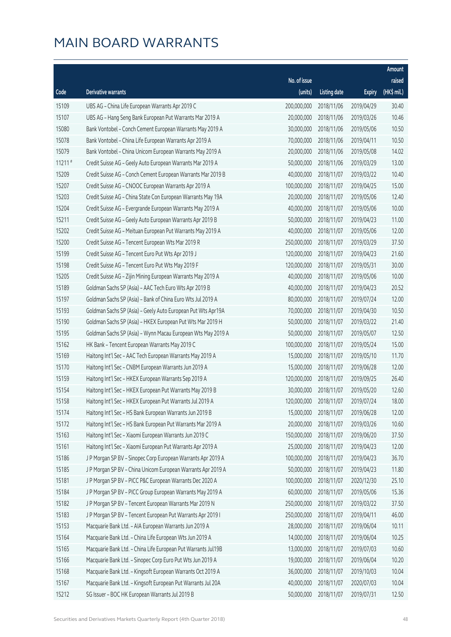|          |                                                               |              |                        |               | Amount      |
|----------|---------------------------------------------------------------|--------------|------------------------|---------------|-------------|
|          |                                                               | No. of issue |                        |               | raised      |
| Code     | Derivative warrants                                           | (units)      | <b>Listing date</b>    | <b>Expiry</b> | (HK\$ mil.) |
| 15109    | UBS AG - China Life European Warrants Apr 2019 C              | 200,000,000  | 2018/11/06             | 2019/04/29    | 30.40       |
| 15107    | UBS AG - Hang Seng Bank European Put Warrants Mar 2019 A      | 20,000,000   | 2018/11/06             | 2019/03/26    | 10.46       |
| 15080    | Bank Vontobel - Conch Cement European Warrants May 2019 A     | 30,000,000   | 2018/11/06             | 2019/05/06    | 10.50       |
| 15078    | Bank Vontobel - China Life European Warrants Apr 2019 A       | 70,000,000   | 2018/11/06             | 2019/04/11    | 10.50       |
| 15079    | Bank Vontobel - China Unicom European Warrants May 2019 A     | 20,000,000   | 2018/11/06             | 2019/05/08    | 14.02       |
| $11211*$ | Credit Suisse AG - Geely Auto European Warrants Mar 2019 A    | 50,000,000   | 2018/11/06             | 2019/03/29    | 13.00       |
| 15209    | Credit Suisse AG - Conch Cement European Warrants Mar 2019 B  | 40,000,000   | 2018/11/07             | 2019/03/22    | 10.40       |
| 15207    | Credit Suisse AG - CNOOC European Warrants Apr 2019 A         | 100,000,000  | 2018/11/07             | 2019/04/25    | 15.00       |
| 15203    | Credit Suisse AG - China State Con European Warrants May 19A  | 20,000,000   | 2018/11/07             | 2019/05/06    | 12.40       |
| 15204    | Credit Suisse AG - Evergrande European Warrants May 2019 A    | 40,000,000   | 2018/11/07             | 2019/05/06    | 10.00       |
| 15211    | Credit Suisse AG - Geely Auto European Warrants Apr 2019 B    | 50,000,000   | 2018/11/07             | 2019/04/23    | 11.00       |
| 15202    | Credit Suisse AG - Meituan European Put Warrants May 2019 A   | 40,000,000   | 2018/11/07             | 2019/05/06    | 12.00       |
| 15200    | Credit Suisse AG - Tencent European Wts Mar 2019 R            | 250,000,000  | 2018/11/07             | 2019/03/29    | 37.50       |
| 15199    | Credit Suisse AG - Tencent Euro Put Wts Apr 2019 J            | 120,000,000  | 2018/11/07             | 2019/04/23    | 21.60       |
| 15198    | Credit Suisse AG - Tencent Euro Put Wts May 2019 F            | 120,000,000  | 2018/11/07             | 2019/05/31    | 30.00       |
| 15205    | Credit Suisse AG - Zijin Mining European Warrants May 2019 A  | 40,000,000   | 2018/11/07             | 2019/05/06    | 10.00       |
| 15189    | Goldman Sachs SP (Asia) - AAC Tech Euro Wts Apr 2019 B        | 40,000,000   | 2018/11/07             | 2019/04/23    | 20.52       |
| 15197    | Goldman Sachs SP (Asia) - Bank of China Euro Wts Jul 2019 A   | 80,000,000   | 2018/11/07             | 2019/07/24    | 12.00       |
| 15193    | Goldman Sachs SP (Asia) - Geely Auto European Put Wts Apr19A  | 70,000,000   | 2018/11/07             | 2019/04/30    | 10.50       |
| 15190    | Goldman Sachs SP (Asia) - HKEX European Put Wts Mar 2019 H    | 50,000,000   | 2018/11/07             | 2019/03/22    | 21.40       |
| 15195    | Goldman Sachs SP (Asia) - Wynn Macau European Wts May 2019 A  | 50,000,000   | 2018/11/07             | 2019/05/07    | 12.50       |
| 15162    | HK Bank - Tencent European Warrants May 2019 C                | 100,000,000  | 2018/11/07             | 2019/05/24    | 15.00       |
| 15169    | Haitong Int'l Sec - AAC Tech European Warrants May 2019 A     | 15,000,000   | 2018/11/07             | 2019/05/10    | 11.70       |
| 15170    | Haitong Int'l Sec - CNBM European Warrants Jun 2019 A         | 15,000,000   | 2018/11/07             | 2019/06/28    | 12.00       |
| 15159    | Haitong Int'l Sec - HKEX European Warrants Sep 2019 A         | 120,000,000  | 2018/11/07             | 2019/09/25    | 26.40       |
| 15154    | Haitong Int'l Sec - HKEX European Put Warrants May 2019 B     | 30,000,000   | 2018/11/07             | 2019/05/20    | 12.60       |
| 15158    | Haitong Int'l Sec - HKEX European Put Warrants Jul 2019 A     |              | 120,000,000 2018/11/07 | 2019/07/24    | 18.00       |
| 15174    | Haitong Int'l Sec - HS Bank European Warrants Jun 2019 B      | 15,000,000   | 2018/11/07             | 2019/06/28    | 12.00       |
| 15172    | Haitong Int'l Sec - HS Bank European Put Warrants Mar 2019 A  | 20,000,000   | 2018/11/07             | 2019/03/26    | 10.60       |
| 15163    | Haitong Int'l Sec - Xiaomi European Warrants Jun 2019 C       | 150,000,000  | 2018/11/07             | 2019/06/20    | 37.50       |
| 15161    | Haitong Int'l Sec - Xiaomi European Put Warrants Apr 2019 A   | 25,000,000   | 2018/11/07             | 2019/04/23    | 12.00       |
| 15186    | J P Morgan SP BV - Sinopec Corp European Warrants Apr 2019 A  | 100,000,000  | 2018/11/07             | 2019/04/23    | 36.70       |
| 15185    | J P Morgan SP BV - China Unicom European Warrants Apr 2019 A  | 50,000,000   | 2018/11/07             | 2019/04/23    | 11.80       |
| 15181    | J P Morgan SP BV - PICC P&C European Warrants Dec 2020 A      | 100,000,000  | 2018/11/07             | 2020/12/30    | 25.10       |
| 15184    | J P Morgan SP BV - PICC Group European Warrants May 2019 A    | 60,000,000   | 2018/11/07             | 2019/05/06    | 15.36       |
| 15182    | J P Morgan SP BV - Tencent European Warrants Mar 2019 N       | 250,000,000  | 2018/11/07             | 2019/03/22    | 37.50       |
| 15183    | J P Morgan SP BV - Tencent European Put Warrants Apr 2019 I   | 250,000,000  | 2018/11/07             | 2019/04/11    | 46.00       |
| 15153    | Macquarie Bank Ltd. - AIA European Warrants Jun 2019 A        | 28,000,000   | 2018/11/07             | 2019/06/04    | 10.11       |
| 15164    | Macquarie Bank Ltd. - China Life European Wts Jun 2019 A      | 14,000,000   | 2018/11/07             | 2019/06/04    | 10.25       |
| 15165    | Macquarie Bank Ltd. - China Life European Put Warrants Jul19B | 13,000,000   | 2018/11/07             | 2019/07/03    | 10.60       |
| 15166    | Macquarie Bank Ltd. - Sinopec Corp Euro Put Wts Jun 2019 A    | 19,000,000   | 2018/11/07             | 2019/06/04    | 10.20       |
| 15168    | Macquarie Bank Ltd. - Kingsoft European Warrants Oct 2019 A   | 36,000,000   | 2018/11/07             | 2019/10/03    | 10.04       |
| 15167    | Macquarie Bank Ltd. - Kingsoft European Put Warrants Jul 20A  | 40,000,000   | 2018/11/07             | 2020/07/03    | 10.04       |
| 15212    | SG Issuer - BOC HK European Warrants Jul 2019 B               | 50,000,000   | 2018/11/07             | 2019/07/31    | 12.50       |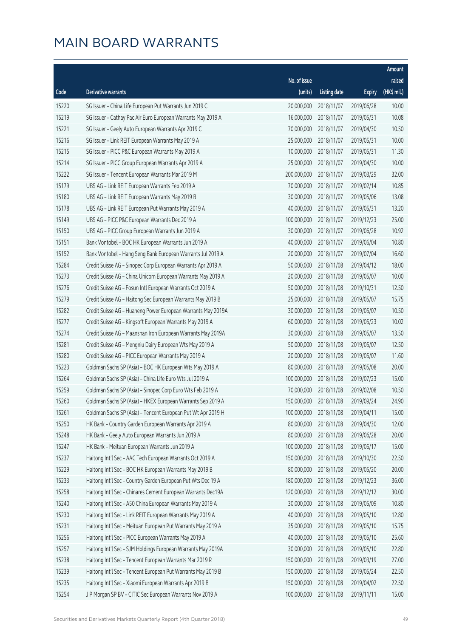|       |                                                              |                        |                     |               | Amount      |
|-------|--------------------------------------------------------------|------------------------|---------------------|---------------|-------------|
|       |                                                              | No. of issue           |                     |               | raised      |
| Code  | <b>Derivative warrants</b>                                   | (units)                | <b>Listing date</b> | <b>Expiry</b> | (HK\$ mil.) |
| 15220 | SG Issuer - China Life European Put Warrants Jun 2019 C      | 20,000,000             | 2018/11/07          | 2019/06/28    | 10.00       |
| 15219 | SG Issuer - Cathay Pac Air Euro European Warrants May 2019 A | 16,000,000             | 2018/11/07          | 2019/05/31    | 10.08       |
| 15221 | SG Issuer - Geely Auto European Warrants Apr 2019 C          | 70,000,000             | 2018/11/07          | 2019/04/30    | 10.50       |
| 15216 | SG Issuer - Link REIT European Warrants May 2019 A           | 25,000,000             | 2018/11/07          | 2019/05/31    | 10.00       |
| 15215 | SG Issuer - PICC P&C European Warrants May 2019 A            | 10,000,000             | 2018/11/07          | 2019/05/31    | 11.30       |
| 15214 | SG Issuer - PICC Group European Warrants Apr 2019 A          | 25,000,000             | 2018/11/07          | 2019/04/30    | 10.00       |
| 15222 | SG Issuer - Tencent European Warrants Mar 2019 M             | 200,000,000            | 2018/11/07          | 2019/03/29    | 32.00       |
| 15179 | UBS AG - Link REIT European Warrants Feb 2019 A              | 70,000,000             | 2018/11/07          | 2019/02/14    | 10.85       |
| 15180 | UBS AG - Link REIT European Warrants May 2019 B              | 30,000,000             | 2018/11/07          | 2019/05/06    | 13.08       |
| 15178 | UBS AG - Link REIT European Put Warrants May 2019 A          | 40,000,000             | 2018/11/07          | 2019/05/31    | 13.20       |
| 15149 | UBS AG - PICC P&C European Warrants Dec 2019 A               | 100,000,000            | 2018/11/07          | 2019/12/23    | 25.00       |
| 15150 | UBS AG - PICC Group European Warrants Jun 2019 A             | 30,000,000             | 2018/11/07          | 2019/06/28    | 10.92       |
| 15151 | Bank Vontobel - BOC HK European Warrants Jun 2019 A          | 40,000,000             | 2018/11/07          | 2019/06/04    | 10.80       |
| 15152 | Bank Vontobel - Hang Seng Bank European Warrants Jul 2019 A  | 20,000,000             | 2018/11/07          | 2019/07/04    | 16.60       |
| 15284 | Credit Suisse AG - Sinopec Corp European Warrants Apr 2019 A | 50,000,000             | 2018/11/08          | 2019/04/12    | 18.00       |
| 15273 | Credit Suisse AG - China Unicom European Warrants May 2019 A | 20,000,000             | 2018/11/08          | 2019/05/07    | 10.00       |
| 15276 | Credit Suisse AG - Fosun Intl European Warrants Oct 2019 A   | 50,000,000             | 2018/11/08          | 2019/10/31    | 12.50       |
| 15279 | Credit Suisse AG - Haitong Sec European Warrants May 2019 B  | 25,000,000             | 2018/11/08          | 2019/05/07    | 15.75       |
| 15282 | Credit Suisse AG - Huaneng Power European Warrants May 2019A | 30,000,000             | 2018/11/08          | 2019/05/07    | 10.50       |
| 15277 | Credit Suisse AG - Kingsoft European Warrants May 2019 A     | 60,000,000             | 2018/11/08          | 2019/05/23    | 10.02       |
| 15274 | Credit Suisse AG - Maanshan Iron European Warrants May 2019A | 30,000,000             | 2018/11/08          | 2019/05/07    | 13.50       |
| 15281 | Credit Suisse AG - Mengniu Dairy European Wts May 2019 A     | 50,000,000             | 2018/11/08          | 2019/05/07    | 12.50       |
| 15280 | Credit Suisse AG - PICC European Warrants May 2019 A         | 20,000,000             | 2018/11/08          | 2019/05/07    | 11.60       |
| 15223 | Goldman Sachs SP (Asia) - BOC HK European Wts May 2019 A     | 80,000,000             | 2018/11/08          | 2019/05/08    | 20.00       |
| 15264 | Goldman Sachs SP (Asia) - China Life Euro Wts Jul 2019 A     | 100,000,000            | 2018/11/08          | 2019/07/23    | 15.00       |
| 15259 | Goldman Sachs SP (Asia) - Sinopec Corp Euro Wts Feb 2019 A   | 70,000,000             | 2018/11/08          | 2019/02/08    | 10.50       |
| 15260 | Goldman Sachs SP (Asia) - HKEX European Warrants Sep 2019 A  | 150,000,000 2018/11/08 |                     | 2019/09/24    | 24.90       |
| 15261 | Goldman Sachs SP (Asia) - Tencent European Put Wt Apr 2019 H | 100,000,000            | 2018/11/08          | 2019/04/11    | 15.00       |
| 15250 | HK Bank - Country Garden European Warrants Apr 2019 A        | 80,000,000             | 2018/11/08          | 2019/04/30    | 12.00       |
| 15248 | HK Bank - Geely Auto European Warrants Jun 2019 A            | 80,000,000             | 2018/11/08          | 2019/06/28    | 20.00       |
| 15247 | HK Bank - Meituan European Warrants Jun 2019 A               | 100,000,000            | 2018/11/08          | 2019/06/17    | 15.00       |
| 15237 | Haitong Int'l Sec - AAC Tech European Warrants Oct 2019 A    | 150,000,000            | 2018/11/08          | 2019/10/30    | 22.50       |
| 15229 | Haitong Int'l Sec - BOC HK European Warrants May 2019 B      | 80,000,000             | 2018/11/08          | 2019/05/20    | 20.00       |
| 15233 | Haitong Int'l Sec - Country Garden European Put Wts Dec 19 A | 180,000,000            | 2018/11/08          | 2019/12/23    | 36.00       |
| 15258 | Haitong Int'l Sec - Chinares Cement European Warrants Dec19A | 120,000,000            | 2018/11/08          | 2019/12/12    | 30.00       |
| 15240 | Haitong Int'l Sec - A50 China European Warrants May 2019 A   | 30,000,000             | 2018/11/08          | 2019/05/09    | 10.80       |
| 15230 | Haitong Int'l Sec - Link REIT European Warrants May 2019 A   | 40,000,000             | 2018/11/08          | 2019/05/10    | 12.80       |
| 15231 | Haitong Int'l Sec - Meituan European Put Warrants May 2019 A | 35,000,000             | 2018/11/08          | 2019/05/10    | 15.75       |
| 15256 | Haitong Int'l Sec - PICC European Warrants May 2019 A        | 40,000,000             | 2018/11/08          | 2019/05/10    | 25.60       |
| 15257 | Haitong Int'l Sec - SJM Holdings European Warrants May 2019A | 30,000,000             | 2018/11/08          | 2019/05/10    | 22.80       |
| 15238 | Haitong Int'l Sec - Tencent European Warrants Mar 2019 R     | 150,000,000            | 2018/11/08          | 2019/03/19    | 27.00       |
| 15239 | Haitong Int'l Sec - Tencent European Put Warrants May 2019 B | 150,000,000            | 2018/11/08          | 2019/05/24    | 22.50       |
| 15235 | Haitong Int'l Sec - Xiaomi European Warrants Apr 2019 B      | 150,000,000            | 2018/11/08          | 2019/04/02    | 22.50       |
| 15254 | J P Morgan SP BV - CITIC Sec European Warrants Nov 2019 A    | 100,000,000            | 2018/11/08          | 2019/11/11    | 15.00       |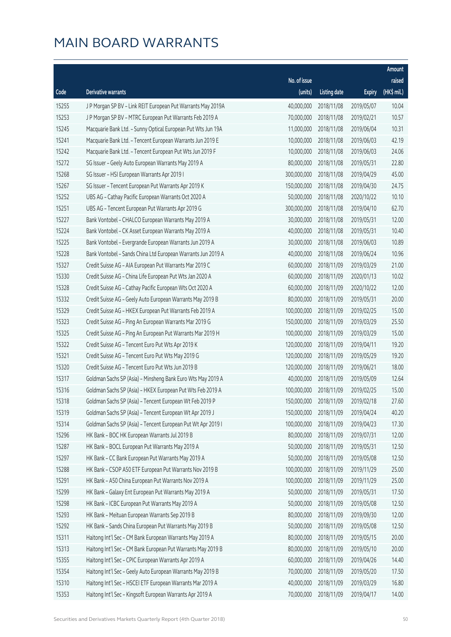|       |                                                              |                        |                     |               | Amount      |
|-------|--------------------------------------------------------------|------------------------|---------------------|---------------|-------------|
|       |                                                              | No. of issue           |                     |               | raised      |
| Code  | Derivative warrants                                          | (units)                | <b>Listing date</b> | <b>Expiry</b> | (HK\$ mil.) |
| 15255 | J P Morgan SP BV - Link REIT European Put Warrants May 2019A | 40,000,000             | 2018/11/08          | 2019/05/07    | 10.04       |
| 15253 | J P Morgan SP BV - MTRC European Put Warrants Feb 2019 A     | 70,000,000             | 2018/11/08          | 2019/02/21    | 10.57       |
| 15245 | Macquarie Bank Ltd. - Sunny Optical European Put Wts Jun 19A | 11,000,000             | 2018/11/08          | 2019/06/04    | 10.31       |
| 15241 | Macquarie Bank Ltd. - Tencent European Warrants Jun 2019 E   | 10,000,000             | 2018/11/08          | 2019/06/03    | 42.19       |
| 15242 | Macquarie Bank Ltd. - Tencent European Put Wts Jun 2019 F    | 10,000,000             | 2018/11/08          | 2019/06/03    | 24.06       |
| 15272 | SG Issuer - Geely Auto European Warrants May 2019 A          | 80,000,000             | 2018/11/08          | 2019/05/31    | 22.80       |
| 15268 | SG Issuer - HSI European Warrants Apr 2019 I                 | 300,000,000            | 2018/11/08          | 2019/04/29    | 45.00       |
| 15267 | SG Issuer - Tencent European Put Warrants Apr 2019 K         | 150,000,000            | 2018/11/08          | 2019/04/30    | 24.75       |
| 15252 | UBS AG - Cathay Pacific European Warrants Oct 2020 A         | 50,000,000             | 2018/11/08          | 2020/10/22    | 10.10       |
| 15251 | UBS AG - Tencent European Put Warrants Apr 2019 G            | 300,000,000            | 2018/11/08          | 2019/04/10    | 62.70       |
| 15227 | Bank Vontobel - CHALCO European Warrants May 2019 A          | 30,000,000             | 2018/11/08          | 2019/05/31    | 12.00       |
| 15224 | Bank Vontobel - CK Asset European Warrants May 2019 A        | 40,000,000             | 2018/11/08          | 2019/05/31    | 10.40       |
| 15225 | Bank Vontobel - Evergrande European Warrants Jun 2019 A      | 30,000,000             | 2018/11/08          | 2019/06/03    | 10.89       |
| 15228 | Bank Vontobel - Sands China Ltd European Warrants Jun 2019 A | 40,000,000             | 2018/11/08          | 2019/06/24    | 10.96       |
| 15327 | Credit Suisse AG - AIA European Put Warrants Mar 2019 C      | 60,000,000             | 2018/11/09          | 2019/03/29    | 21.00       |
| 15330 | Credit Suisse AG - China Life European Put Wts Jan 2020 A    | 60,000,000             | 2018/11/09          | 2020/01/13    | 10.02       |
| 15328 | Credit Suisse AG - Cathay Pacific European Wts Oct 2020 A    | 60,000,000             | 2018/11/09          | 2020/10/22    | 12.00       |
| 15332 | Credit Suisse AG - Geely Auto European Warrants May 2019 B   | 80,000,000             | 2018/11/09          | 2019/05/31    | 20.00       |
| 15329 | Credit Suisse AG - HKEX European Put Warrants Feb 2019 A     | 100,000,000            | 2018/11/09          | 2019/02/25    | 15.00       |
| 15323 | Credit Suisse AG - Ping An European Warrants Mar 2019 G      | 150,000,000            | 2018/11/09          | 2019/03/29    | 25.50       |
| 15325 | Credit Suisse AG - Ping An European Put Warrants Mar 2019 H  | 100,000,000            | 2018/11/09          | 2019/03/29    | 15.00       |
| 15322 | Credit Suisse AG - Tencent Euro Put Wts Apr 2019 K           | 120,000,000            | 2018/11/09          | 2019/04/11    | 19.20       |
| 15321 | Credit Suisse AG - Tencent Euro Put Wts May 2019 G           | 120,000,000            | 2018/11/09          | 2019/05/29    | 19.20       |
| 15320 | Credit Suisse AG - Tencent Euro Put Wts Jun 2019 B           | 120,000,000            | 2018/11/09          | 2019/06/21    | 18.00       |
| 15317 | Goldman Sachs SP (Asia) - Minsheng Bank Euro Wts May 2019 A  | 40,000,000             | 2018/11/09          | 2019/05/09    | 12.64       |
| 15316 | Goldman Sachs SP (Asia) - HKEX European Put Wts Feb 2019 A   | 100,000,000            | 2018/11/09          | 2019/02/25    | 15.00       |
| 15318 | Goldman Sachs SP (Asia) - Tencent European Wt Feb 2019 P     | 150,000,000 2018/11/09 |                     | 2019/02/18    | 27.60       |
| 15319 | Goldman Sachs SP (Asia) - Tencent European Wt Apr 2019 J     | 150,000,000            | 2018/11/09          | 2019/04/24    | 40.20       |
| 15314 | Goldman Sachs SP (Asia) - Tencent European Put Wt Apr 2019 I | 100,000,000            | 2018/11/09          | 2019/04/23    | 17.30       |
| 15296 | HK Bank - BOC HK European Warrants Jul 2019 B                | 80,000,000             | 2018/11/09          | 2019/07/31    | 12.00       |
| 15287 | HK Bank - BOCL European Put Warrants May 2019 A              | 50,000,000             | 2018/11/09          | 2019/05/31    | 12.50       |
| 15297 | HK Bank - CC Bank European Put Warrants May 2019 A           | 50,000,000             | 2018/11/09          | 2019/05/08    | 12.50       |
| 15288 | HK Bank - CSOP A50 ETF European Put Warrants Nov 2019 B      | 100,000,000            | 2018/11/09          | 2019/11/29    | 25.00       |
| 15291 | HK Bank - A50 China European Put Warrants Nov 2019 A         | 100,000,000            | 2018/11/09          | 2019/11/29    | 25.00       |
| 15299 | HK Bank - Galaxy Ent European Put Warrants May 2019 A        | 50,000,000             | 2018/11/09          | 2019/05/31    | 17.50       |
| 15298 | HK Bank - ICBC European Put Warrants May 2019 A              | 50,000,000             | 2018/11/09          | 2019/05/08    | 12.50       |
| 15293 | HK Bank - Meituan European Warrants Sep 2019 B               | 80,000,000             | 2018/11/09          | 2019/09/30    | 12.00       |
| 15292 | HK Bank - Sands China European Put Warrants May 2019 B       | 50,000,000             | 2018/11/09          | 2019/05/08    | 12.50       |
| 15311 | Haitong Int'l Sec - CM Bank European Warrants May 2019 A     | 80,000,000             | 2018/11/09          | 2019/05/15    | 20.00       |
| 15313 | Haitong Int'l Sec - CM Bank European Put Warrants May 2019 B | 80,000,000             | 2018/11/09          | 2019/05/10    | 20.00       |
| 15355 | Haitong Int'l Sec - CPIC European Warrants Apr 2019 A        | 60,000,000             | 2018/11/09          | 2019/04/26    | 14.40       |
| 15354 | Haitong Int'l Sec - Geely Auto European Warrants May 2019 B  | 70,000,000             | 2018/11/09          | 2019/05/20    | 17.50       |
| 15310 | Haitong Int'l Sec - HSCEI ETF European Warrants Mar 2019 A   | 40,000,000             | 2018/11/09          | 2019/03/29    | 16.80       |
| 15353 | Haitong Int'l Sec - Kingsoft European Warrants Apr 2019 A    | 70,000,000             | 2018/11/09          | 2019/04/17    | 14.00       |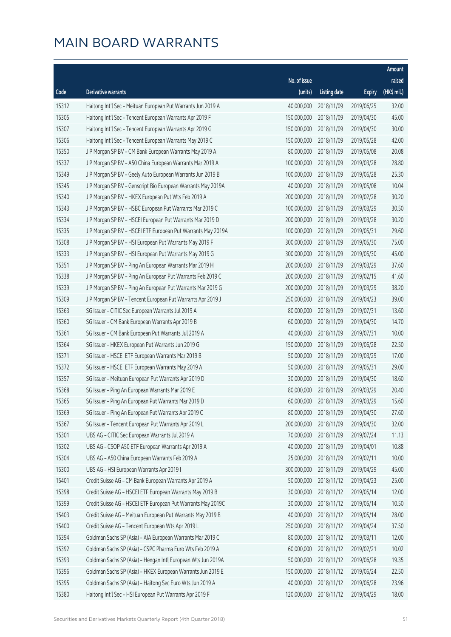|       |                                                              |              |                       |               | Amount      |
|-------|--------------------------------------------------------------|--------------|-----------------------|---------------|-------------|
|       |                                                              | No. of issue |                       |               | raised      |
| Code  | Derivative warrants                                          | (units)      | <b>Listing date</b>   | <b>Expiry</b> | (HK\$ mil.) |
| 15312 | Haitong Int'l Sec - Meituan European Put Warrants Jun 2019 A | 40,000,000   | 2018/11/09            | 2019/06/25    | 32.00       |
| 15305 | Haitong Int'l Sec - Tencent European Warrants Apr 2019 F     | 150,000,000  | 2018/11/09            | 2019/04/30    | 45.00       |
| 15307 | Haitong Int'l Sec - Tencent European Warrants Apr 2019 G     | 150,000,000  | 2018/11/09            | 2019/04/30    | 30.00       |
| 15306 | Haitong Int'l Sec - Tencent European Warrants May 2019 C     | 150,000,000  | 2018/11/09            | 2019/05/28    | 42.00       |
| 15350 | J P Morgan SP BV - CM Bank European Warrants May 2019 A      | 80,000,000   | 2018/11/09            | 2019/05/08    | 20.08       |
| 15337 | J P Morgan SP BV - A50 China European Warrants Mar 2019 A    | 100,000,000  | 2018/11/09            | 2019/03/28    | 28.80       |
| 15349 | J P Morgan SP BV - Geely Auto European Warrants Jun 2019 B   | 100,000,000  | 2018/11/09            | 2019/06/28    | 25.30       |
| 15345 | J P Morgan SP BV - Genscript Bio European Warrants May 2019A | 40,000,000   | 2018/11/09            | 2019/05/08    | 10.04       |
| 15340 | J P Morgan SP BV - HKEX European Put Wts Feb 2019 A          | 200,000,000  | 2018/11/09            | 2019/02/28    | 30.20       |
| 15343 | J P Morgan SP BV - HSBC European Put Warrants Mar 2019 C     | 100,000,000  | 2018/11/09            | 2019/03/29    | 30.50       |
| 15334 | J P Morgan SP BV - HSCEI European Put Warrants Mar 2019 D    | 200,000,000  | 2018/11/09            | 2019/03/28    | 30.20       |
| 15335 | J P Morgan SP BV - HSCEI ETF European Put Warrants May 2019A | 100,000,000  | 2018/11/09            | 2019/05/31    | 29.60       |
| 15308 | J P Morgan SP BV - HSI European Put Warrants May 2019 F      | 300,000,000  | 2018/11/09            | 2019/05/30    | 75.00       |
| 15333 | J P Morgan SP BV - HSI European Put Warrants May 2019 G      | 300,000,000  | 2018/11/09            | 2019/05/30    | 45.00       |
| 15351 | J P Morgan SP BV - Ping An European Warrants Mar 2019 H      | 200,000,000  | 2018/11/09            | 2019/03/29    | 37.60       |
| 15338 | J P Morgan SP BV - Ping An European Put Warrants Feb 2019 C  | 200,000,000  | 2018/11/09            | 2019/02/15    | 41.60       |
| 15339 | J P Morgan SP BV - Ping An European Put Warrants Mar 2019 G  | 200,000,000  | 2018/11/09            | 2019/03/29    | 38.20       |
| 15309 | J P Morgan SP BV - Tencent European Put Warrants Apr 2019 J  | 250,000,000  | 2018/11/09            | 2019/04/23    | 39.00       |
| 15363 | SG Issuer - CITIC Sec European Warrants Jul 2019 A           | 80,000,000   | 2018/11/09            | 2019/07/31    | 13.60       |
| 15360 | SG Issuer - CM Bank European Warrants Apr 2019 B             | 60,000,000   | 2018/11/09            | 2019/04/30    | 14.70       |
| 15361 | SG Issuer - CM Bank European Put Warrants Jul 2019 A         | 40,000,000   | 2018/11/09            | 2019/07/31    | 10.00       |
| 15364 | SG Issuer - HKEX European Put Warrants Jun 2019 G            | 150,000,000  | 2018/11/09            | 2019/06/28    | 22.50       |
| 15371 | SG Issuer - HSCEI ETF European Warrants Mar 2019 B           | 50,000,000   | 2018/11/09            | 2019/03/29    | 17.00       |
| 15372 | SG Issuer - HSCEI ETF European Warrants May 2019 A           | 50,000,000   | 2018/11/09            | 2019/05/31    | 29.00       |
| 15357 | SG Issuer - Meituan European Put Warrants Apr 2019 D         | 30,000,000   | 2018/11/09            | 2019/04/30    | 18.60       |
| 15368 | SG Issuer - Ping An European Warrants Mar 2019 E             | 80,000,000   | 2018/11/09            | 2019/03/29    | 20.40       |
| 15365 | SG Issuer - Ping An European Put Warrants Mar 2019 D         |              | 60,000,000 2018/11/09 | 2019/03/29    | 15.60       |
| 15369 | SG Issuer - Ping An European Put Warrants Apr 2019 C         | 80,000,000   | 2018/11/09            | 2019/04/30    | 27.60       |
| 15367 | SG Issuer - Tencent European Put Warrants Apr 2019 L         | 200,000,000  | 2018/11/09            | 2019/04/30    | 32.00       |
| 15301 | UBS AG - CITIC Sec European Warrants Jul 2019 A              | 70,000,000   | 2018/11/09            | 2019/07/24    | 11.13       |
| 15302 | UBS AG - CSOP A50 ETF European Warrants Apr 2019 A           | 40,000,000   | 2018/11/09            | 2019/04/01    | 10.88       |
| 15304 | UBS AG - A50 China European Warrants Feb 2019 A              | 25,000,000   | 2018/11/09            | 2019/02/11    | 10.00       |
| 15300 | UBS AG - HSI European Warrants Apr 2019 I                    | 300,000,000  | 2018/11/09            | 2019/04/29    | 45.00       |
| 15401 | Credit Suisse AG - CM Bank European Warrants Apr 2019 A      | 50,000,000   | 2018/11/12            | 2019/04/23    | 25.00       |
| 15398 | Credit Suisse AG - HSCEI ETF European Warrants May 2019 B    | 30,000,000   | 2018/11/12            | 2019/05/14    | 12.00       |
| 15399 | Credit Suisse AG - HSCEI ETF European Put Warrants May 2019C | 30,000,000   | 2018/11/12            | 2019/05/14    | 10.50       |
| 15403 | Credit Suisse AG - Meituan European Put Warrants May 2019 B  | 40,000,000   | 2018/11/12            | 2019/05/14    | 28.00       |
| 15400 | Credit Suisse AG - Tencent European Wts Apr 2019 L           | 250,000,000  | 2018/11/12            | 2019/04/24    | 37.50       |
| 15394 | Goldman Sachs SP (Asia) - AIA European Warrants Mar 2019 C   | 80,000,000   | 2018/11/12            | 2019/03/11    | 12.00       |
| 15392 | Goldman Sachs SP (Asia) - CSPC Pharma Euro Wts Feb 2019 A    | 60,000,000   | 2018/11/12            | 2019/02/21    | 10.02       |
| 15393 | Goldman Sachs SP (Asia) - Hengan Intl European Wts Jun 2019A | 50,000,000   | 2018/11/12            | 2019/06/28    | 19.35       |
| 15396 | Goldman Sachs SP (Asia) - HKEX European Warrants Jun 2019 E  | 150,000,000  | 2018/11/12            | 2019/06/24    | 22.50       |
| 15395 | Goldman Sachs SP (Asia) - Haitong Sec Euro Wts Jun 2019 A    | 40,000,000   | 2018/11/12            | 2019/06/28    | 23.96       |
| 15380 | Haitong Int'l Sec - HSI European Put Warrants Apr 2019 F     | 120,000,000  | 2018/11/12            | 2019/04/29    | 18.00       |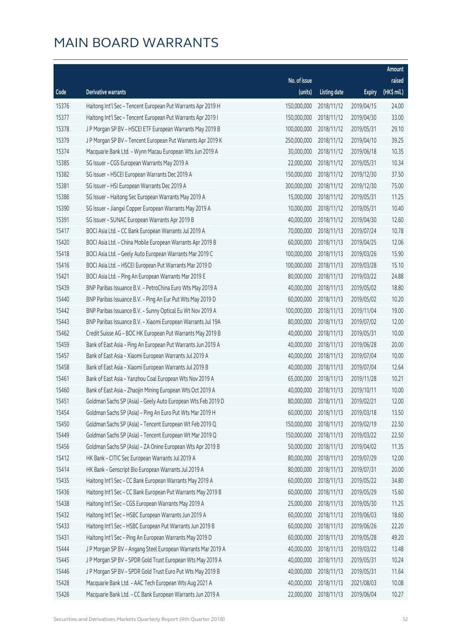|       |                                                              |              |                       |               | Amount      |
|-------|--------------------------------------------------------------|--------------|-----------------------|---------------|-------------|
|       |                                                              | No. of issue |                       |               | raised      |
| Code  | <b>Derivative warrants</b>                                   | (units)      | <b>Listing date</b>   | <b>Expiry</b> | (HK\$ mil.) |
| 15376 | Haitong Int'l Sec - Tencent European Put Warrants Apr 2019 H | 150,000,000  | 2018/11/12            | 2019/04/15    | 24.00       |
| 15377 | Haitong Int'l Sec - Tencent European Put Warrants Apr 2019 I | 150,000,000  | 2018/11/12            | 2019/04/30    | 33.00       |
| 15378 | J P Morgan SP BV - HSCEI ETF European Warrants May 2019 B    | 100,000,000  | 2018/11/12            | 2019/05/31    | 29.10       |
| 15379 | J P Morgan SP BV - Tencent European Put Warrants Apr 2019 K  | 250,000,000  | 2018/11/12            | 2019/04/10    | 39.25       |
| 15374 | Macquarie Bank Ltd. - Wynn Macau European Wts Jun 2019 A     | 30,000,000   | 2018/11/12            | 2019/06/18    | 10.35       |
| 15385 | SG Issuer - CGS European Warrants May 2019 A                 | 22,000,000   | 2018/11/12            | 2019/05/31    | 10.34       |
| 15382 | SG Issuer - HSCEI European Warrants Dec 2019 A               | 150,000,000  | 2018/11/12            | 2019/12/30    | 37.50       |
| 15381 | SG Issuer - HSI European Warrants Dec 2019 A                 | 300,000,000  | 2018/11/12            | 2019/12/30    | 75.00       |
| 15386 | SG Issuer - Haitong Sec European Warrants May 2019 A         | 15,000,000   | 2018/11/12            | 2019/05/31    | 11.25       |
| 15390 | SG Issuer - Jiangxi Copper European Warrants May 2019 A      | 10,000,000   | 2018/11/12            | 2019/05/31    | 10.40       |
| 15391 | SG Issuer - SUNAC European Warrants Apr 2019 B               | 40,000,000   | 2018/11/12            | 2019/04/30    | 12.60       |
| 15417 | BOCI Asia Ltd. - CC Bank European Warrants Jul 2019 A        | 70,000,000   | 2018/11/13            | 2019/07/24    | 10.78       |
| 15420 | BOCI Asia Ltd. - China Mobile European Warrants Apr 2019 B   | 60,000,000   | 2018/11/13            | 2019/04/25    | 12.06       |
| 15418 | BOCI Asia Ltd. - Geely Auto European Warrants Mar 2019 C     | 100,000,000  | 2018/11/13            | 2019/03/26    | 15.90       |
| 15416 | BOCI Asia Ltd. - HSCEI European Put Warrants Mar 2019 D      | 100,000,000  | 2018/11/13            | 2019/03/28    | 15.10       |
| 15421 | BOCI Asia Ltd. - Ping An European Warrants Mar 2019 E        | 80,000,000   | 2018/11/13            | 2019/03/22    | 24.88       |
| 15439 | BNP Paribas Issuance B.V. - PetroChina Euro Wts May 2019 A   | 40,000,000   | 2018/11/13            | 2019/05/02    | 18.80       |
| 15440 | BNP Paribas Issuance B.V. - Ping An Eur Put Wts May 2019 D   | 60,000,000   | 2018/11/13            | 2019/05/02    | 10.20       |
| 15442 | BNP Paribas Issuance B.V. - Sunny Optical Eu Wt Nov 2019 A   | 100,000,000  | 2018/11/13            | 2019/11/04    | 19.00       |
| 15443 | BNP Paribas Issuance B.V. - Xiaomi European Warrants Jul 19A | 80,000,000   | 2018/11/13            | 2019/07/02    | 12.00       |
| 15462 | Credit Suisse AG - BOC HK European Put Warrants May 2019 B   | 40,000,000   | 2018/11/13            | 2019/05/31    | 10.00       |
| 15459 | Bank of East Asia - Ping An European Put Warrants Jun 2019 A | 40,000,000   | 2018/11/13            | 2019/06/28    | 20.00       |
| 15457 | Bank of East Asia - Xiaomi European Warrants Jul 2019 A      | 40,000,000   | 2018/11/13            | 2019/07/04    | 10.00       |
| 15458 | Bank of East Asia - Xiaomi European Warrants Jul 2019 B      | 40,000,000   | 2018/11/13            | 2019/07/04    | 12.64       |
| 15461 | Bank of East Asia - Yanzhou Coal European Wts Nov 2019 A     | 65,000,000   | 2018/11/13            | 2019/11/28    | 10.21       |
| 15460 | Bank of East Asia - Zhaojin Mining European Wts Oct 2019 A   | 40,000,000   | 2018/11/13            | 2019/10/11    | 10.00       |
| 15451 | Goldman Sachs SP (Asia) - Geely Auto European Wts Feb 2019 D |              | 80,000,000 2018/11/13 | 2019/02/21    | 12.00       |
| 15454 | Goldman Sachs SP (Asia) - Ping An Euro Put Wts Mar 2019 H    | 60,000,000   | 2018/11/13            | 2019/03/18    | 13.50       |
| 15450 | Goldman Sachs SP (Asia) - Tencent European Wt Feb 2019 Q     | 150,000,000  | 2018/11/13            | 2019/02/19    | 22.50       |
| 15449 | Goldman Sachs SP (Asia) - Tencent European Wt Mar 2019 Q     | 150,000,000  | 2018/11/13            | 2019/03/22    | 22.50       |
| 15456 | Goldman Sachs SP (Asia) - ZA Onine European Wts Apr 2019 B   | 50,000,000   | 2018/11/13            | 2019/04/02    | 11.35       |
| 15412 | HK Bank - CITIC Sec European Warrants Jul 2019 A             | 80,000,000   | 2018/11/13            | 2019/07/29    | 12.00       |
| 15414 | HK Bank - Genscript Bio European Warrants Jul 2019 A         | 80,000,000   | 2018/11/13            | 2019/07/31    | 20.00       |
| 15435 | Haitong Int'l Sec - CC Bank European Warrants May 2019 A     | 60,000,000   | 2018/11/13            | 2019/05/22    | 34.80       |
| 15436 | Haitong Int'l Sec - CC Bank European Put Warrants May 2019 B | 60,000,000   | 2018/11/13            | 2019/05/29    | 15.60       |
| 15438 | Haitong Int'l Sec - CGS European Warrants May 2019 A         | 25,000,000   | 2018/11/13            | 2019/05/30    | 11.25       |
| 15432 | Haitong Int'l Sec - HSBC European Warrants Jun 2019 A        | 60,000,000   | 2018/11/13            | 2019/06/03    | 18.60       |
| 15433 | Haitong Int'l Sec - HSBC European Put Warrants Jun 2019 B    | 60,000,000   | 2018/11/13            | 2019/06/26    | 22.20       |
| 15431 | Haitong Int'l Sec - Ping An European Warrants May 2019 D     | 60,000,000   | 2018/11/13            | 2019/05/28    | 49.20       |
| 15444 | J P Morgan SP BV - Angang Steel European Warrants Mar 2019 A | 40,000,000   | 2018/11/13            | 2019/03/22    | 13.48       |
| 15445 | J P Morgan SP BV - SPDR Gold Trust European Wts May 2019 A   | 40,000,000   | 2018/11/13            | 2019/05/31    | 10.24       |
| 15446 | J P Morgan SP BV - SPDR Gold Trust Euro Put Wts May 2019 B   | 40,000,000   | 2018/11/13            | 2019/05/31    | 11.64       |
| 15428 | Macquarie Bank Ltd. - AAC Tech European Wts Aug 2021 A       | 40,000,000   | 2018/11/13            | 2021/08/03    | 10.08       |
| 15426 | Macquarie Bank Ltd. - CC Bank European Warrants Jun 2019 A   | 22,000,000   | 2018/11/13            | 2019/06/04    | 10.27       |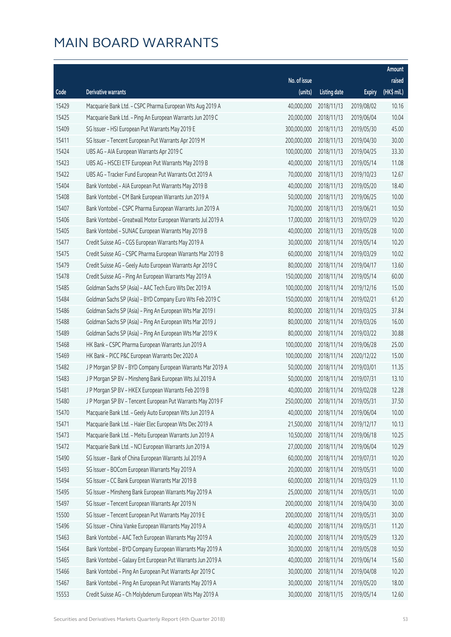|       |                                                              |              |                        |               | Amount      |
|-------|--------------------------------------------------------------|--------------|------------------------|---------------|-------------|
|       |                                                              | No. of issue |                        |               | raised      |
| Code  | Derivative warrants                                          | (units)      | <b>Listing date</b>    | <b>Expiry</b> | (HK\$ mil.) |
| 15429 | Macquarie Bank Ltd. - CSPC Pharma European Wts Aug 2019 A    | 40,000,000   | 2018/11/13             | 2019/08/02    | 10.16       |
| 15425 | Macquarie Bank Ltd. - Ping An European Warrants Jun 2019 C   | 20,000,000   | 2018/11/13             | 2019/06/04    | 10.04       |
| 15409 | SG Issuer - HSI European Put Warrants May 2019 E             | 300,000,000  | 2018/11/13             | 2019/05/30    | 45.00       |
| 15411 | SG Issuer - Tencent European Put Warrants Apr 2019 M         | 200,000,000  | 2018/11/13             | 2019/04/30    | 30.00       |
| 15424 | UBS AG - AIA European Warrants Apr 2019 C                    | 100,000,000  | 2018/11/13             | 2019/04/25    | 33.30       |
| 15423 | UBS AG - HSCEI ETF European Put Warrants May 2019 B          | 40,000,000   | 2018/11/13             | 2019/05/14    | 11.08       |
| 15422 | UBS AG - Tracker Fund European Put Warrants Oct 2019 A       | 70,000,000   | 2018/11/13             | 2019/10/23    | 12.67       |
| 15404 | Bank Vontobel - AIA European Put Warrants May 2019 B         | 40,000,000   | 2018/11/13             | 2019/05/20    | 18.40       |
| 15408 | Bank Vontobel - CM Bank European Warrants Jun 2019 A         | 50,000,000   | 2018/11/13             | 2019/06/25    | 10.00       |
| 15407 | Bank Vontobel - CSPC Pharma European Warrants Jun 2019 A     | 70,000,000   | 2018/11/13             | 2019/06/21    | 10.50       |
| 15406 | Bank Vontobel - Greatwall Motor European Warrants Jul 2019 A | 17,000,000   | 2018/11/13             | 2019/07/29    | 10.20       |
| 15405 | Bank Vontobel - SUNAC European Warrants May 2019 B           | 40,000,000   | 2018/11/13             | 2019/05/28    | 10.00       |
| 15477 | Credit Suisse AG - CGS European Warrants May 2019 A          | 30,000,000   | 2018/11/14             | 2019/05/14    | 10.20       |
| 15475 | Credit Suisse AG - CSPC Pharma European Warrants Mar 2019 B  | 60,000,000   | 2018/11/14             | 2019/03/29    | 10.02       |
| 15479 | Credit Suisse AG - Geely Auto European Warrants Apr 2019 C   | 80,000,000   | 2018/11/14             | 2019/04/17    | 13.60       |
| 15478 | Credit Suisse AG - Ping An European Warrants May 2019 A      | 150,000,000  | 2018/11/14             | 2019/05/14    | 60.00       |
| 15485 | Goldman Sachs SP (Asia) - AAC Tech Euro Wts Dec 2019 A       | 100,000,000  | 2018/11/14             | 2019/12/16    | 15.00       |
| 15484 | Goldman Sachs SP (Asia) - BYD Company Euro Wts Feb 2019 C    | 150,000,000  | 2018/11/14             | 2019/02/21    | 61.20       |
| 15486 | Goldman Sachs SP (Asia) - Ping An European Wts Mar 2019 I    | 80,000,000   | 2018/11/14             | 2019/03/25    | 37.84       |
| 15488 | Goldman Sachs SP (Asia) - Ping An European Wts Mar 2019 J    | 80,000,000   | 2018/11/14             | 2019/03/26    | 16.00       |
| 15489 | Goldman Sachs SP (Asia) - Ping An European Wts Mar 2019 K    | 80,000,000   | 2018/11/14             | 2019/03/22    | 30.88       |
| 15468 | HK Bank - CSPC Pharma European Warrants Jun 2019 A           | 100,000,000  | 2018/11/14             | 2019/06/28    | 25.00       |
| 15469 | HK Bank - PICC P&C European Warrants Dec 2020 A              | 100,000,000  | 2018/11/14             | 2020/12/22    | 15.00       |
| 15482 | J P Morgan SP BV - BYD Company European Warrants Mar 2019 A  | 50,000,000   | 2018/11/14             | 2019/03/01    | 11.35       |
| 15483 | J P Morgan SP BV - Minsheng Bank European Wts Jul 2019 A     | 50,000,000   | 2018/11/14             | 2019/07/31    | 13.10       |
| 15481 | J P Morgan SP BV - HKEX European Warrants Feb 2019 B         | 40,000,000   | 2018/11/14             | 2019/02/28    | 12.28       |
| 15480 | J P Morgan SP BV - Tencent European Put Warrants May 2019 F  |              | 250,000,000 2018/11/14 | 2019/05/31    | 37.50       |
| 15470 | Macquarie Bank Ltd. - Geely Auto European Wts Jun 2019 A     | 40,000,000   | 2018/11/14             | 2019/06/04    | 10.00       |
| 15471 | Macquarie Bank Ltd. - Haier Elec European Wts Dec 2019 A     | 21,500,000   | 2018/11/14             | 2019/12/17    | 10.13       |
| 15473 | Macquarie Bank Ltd. - Meitu European Warrants Jun 2019 A     | 10,500,000   | 2018/11/14             | 2019/06/18    | 10.25       |
| 15472 | Macquarie Bank Ltd. - NCI European Warrants Jun 2019 A       | 27,000,000   | 2018/11/14             | 2019/06/04    | 10.29       |
| 15490 | SG Issuer - Bank of China European Warrants Jul 2019 A       | 60,000,000   | 2018/11/14             | 2019/07/31    | 10.20       |
| 15493 | SG Issuer - BOCom European Warrants May 2019 A               | 20,000,000   | 2018/11/14             | 2019/05/31    | 10.00       |
| 15494 | SG Issuer - CC Bank European Warrants Mar 2019 B             | 60,000,000   | 2018/11/14             | 2019/03/29    | 11.10       |
| 15495 | SG Issuer - Minsheng Bank European Warrants May 2019 A       | 25,000,000   | 2018/11/14             | 2019/05/31    | 10.00       |
| 15497 | SG Issuer - Tencent European Warrants Apr 2019 N             | 200,000,000  | 2018/11/14             | 2019/04/30    | 30.00       |
| 15500 | SG Issuer - Tencent European Put Warrants May 2019 E         | 200,000,000  | 2018/11/14             | 2019/05/31    | 30.00       |
| 15496 | SG Issuer - China Vanke European Warrants May 2019 A         | 40,000,000   | 2018/11/14             | 2019/05/31    | 11.20       |
| 15463 | Bank Vontobel - AAC Tech European Warrants May 2019 A        | 20,000,000   | 2018/11/14             | 2019/05/29    | 13.20       |
| 15464 | Bank Vontobel - BYD Company European Warrants May 2019 A     | 30,000,000   | 2018/11/14             | 2019/05/28    | 10.50       |
| 15465 | Bank Vontobel - Galaxy Ent European Put Warrants Jun 2019 A  | 40,000,000   | 2018/11/14             | 2019/06/14    | 15.60       |
| 15466 | Bank Vontobel - Ping An European Put Warrants Apr 2019 C     | 30,000,000   | 2018/11/14             | 2019/04/08    | 10.20       |
| 15467 | Bank Vontobel - Ping An European Put Warrants May 2019 A     | 30,000,000   | 2018/11/14             | 2019/05/20    | 18.00       |
| 15553 | Credit Suisse AG - Ch Molybdenum European Wts May 2019 A     | 30,000,000   | 2018/11/15             | 2019/05/14    | 12.60       |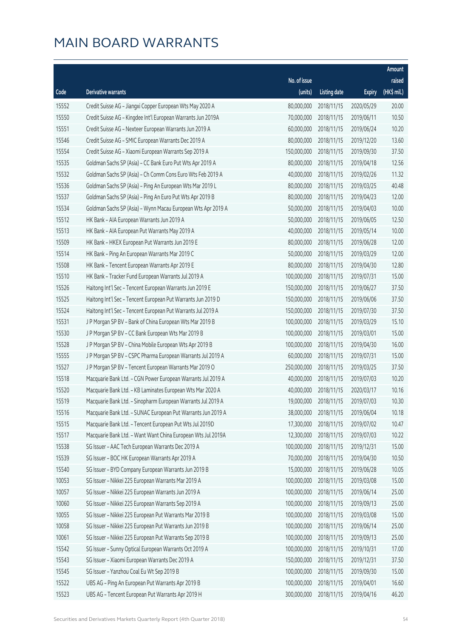|       |                                                              |              |                       |               | Amount      |
|-------|--------------------------------------------------------------|--------------|-----------------------|---------------|-------------|
|       |                                                              | No. of issue |                       |               | raised      |
| Code  | Derivative warrants                                          | (units)      | <b>Listing date</b>   | <b>Expiry</b> | (HK\$ mil.) |
| 15552 | Credit Suisse AG - Jiangxi Copper European Wts May 2020 A    | 80,000,000   | 2018/11/15            | 2020/05/29    | 20.00       |
| 15550 | Credit Suisse AG - Kingdee Int'l European Warrants Jun 2019A | 70,000,000   | 2018/11/15            | 2019/06/11    | 10.50       |
| 15551 | Credit Suisse AG - Nexteer European Warrants Jun 2019 A      | 60,000,000   | 2018/11/15            | 2019/06/24    | 10.20       |
| 15546 | Credit Suisse AG - SMIC European Warrants Dec 2019 A         | 80,000,000   | 2018/11/15            | 2019/12/20    | 13.60       |
| 15554 | Credit Suisse AG - Xiaomi European Warrants Sep 2019 A       | 150,000,000  | 2018/11/15            | 2019/09/30    | 37.50       |
| 15535 | Goldman Sachs SP (Asia) - CC Bank Euro Put Wts Apr 2019 A    | 80,000,000   | 2018/11/15            | 2019/04/18    | 12.56       |
| 15532 | Goldman Sachs SP (Asia) - Ch Comm Cons Euro Wts Feb 2019 A   | 40,000,000   | 2018/11/15            | 2019/02/26    | 11.32       |
| 15536 | Goldman Sachs SP (Asia) - Ping An European Wts Mar 2019 L    | 80,000,000   | 2018/11/15            | 2019/03/25    | 40.48       |
| 15537 | Goldman Sachs SP (Asia) - Ping An Euro Put Wts Apr 2019 B    | 80,000,000   | 2018/11/15            | 2019/04/23    | 12.00       |
| 15534 | Goldman Sachs SP (Asia) - Wynn Macau European Wts Apr 2019 A | 50,000,000   | 2018/11/15            | 2019/04/03    | 10.00       |
| 15512 | HK Bank - AIA European Warrants Jun 2019 A                   | 50,000,000   | 2018/11/15            | 2019/06/05    | 12.50       |
| 15513 | HK Bank - AIA European Put Warrants May 2019 A               | 40,000,000   | 2018/11/15            | 2019/05/14    | 10.00       |
| 15509 | HK Bank - HKEX European Put Warrants Jun 2019 E              | 80,000,000   | 2018/11/15            | 2019/06/28    | 12.00       |
| 15514 | HK Bank - Ping An European Warrants Mar 2019 C               | 50,000,000   | 2018/11/15            | 2019/03/29    | 12.00       |
| 15508 | HK Bank - Tencent European Warrants Apr 2019 E               | 80,000,000   | 2018/11/15            | 2019/04/30    | 12.80       |
| 15510 | HK Bank - Tracker Fund European Warrants Jul 2019 A          | 100,000,000  | 2018/11/15            | 2019/07/31    | 15.00       |
| 15526 | Haitong Int'l Sec - Tencent European Warrants Jun 2019 E     | 150,000,000  | 2018/11/15            | 2019/06/27    | 37.50       |
| 15525 | Haitong Int'l Sec - Tencent European Put Warrants Jun 2019 D | 150,000,000  | 2018/11/15            | 2019/06/06    | 37.50       |
| 15524 | Haitong Int'l Sec - Tencent European Put Warrants Jul 2019 A | 150,000,000  | 2018/11/15            | 2019/07/30    | 37.50       |
| 15531 | J P Morgan SP BV - Bank of China European Wts Mar 2019 B     | 100,000,000  | 2018/11/15            | 2019/03/29    | 15.10       |
| 15530 | J P Morgan SP BV - CC Bank European Wts Mar 2019 B           | 100,000,000  | 2018/11/15            | 2019/03/01    | 15.00       |
| 15528 | J P Morgan SP BV - China Mobile European Wts Apr 2019 B      | 100,000,000  | 2018/11/15            | 2019/04/30    | 16.00       |
| 15555 | J P Morgan SP BV - CSPC Pharma European Warrants Jul 2019 A  | 60,000,000   | 2018/11/15            | 2019/07/31    | 15.00       |
| 15527 | J P Morgan SP BV - Tencent European Warrants Mar 2019 O      | 250,000,000  | 2018/11/15            | 2019/03/25    | 37.50       |
| 15518 | Macquarie Bank Ltd. - CGN Power European Warrants Jul 2019 A | 40,000,000   | 2018/11/15            | 2019/07/03    | 10.20       |
| 15520 | Macquarie Bank Ltd. - KB Laminates European Wts Mar 2020 A   | 40,000,000   | 2018/11/15            | 2020/03/17    | 10.16       |
| 15519 | Macquarie Bank Ltd. - Sinopharm European Warrants Jul 2019 A |              | 19,000,000 2018/11/15 | 2019/07/03    | 10.30       |
| 15516 | Macquarie Bank Ltd. - SUNAC European Put Warrants Jun 2019 A | 38,000,000   | 2018/11/15            | 2019/06/04    | 10.18       |
| 15515 | Macquarie Bank Ltd. - Tencent European Put Wts Jul 2019D     | 17,300,000   | 2018/11/15            | 2019/07/02    | 10.47       |
| 15517 | Macquarie Bank Ltd. - Want Want China European Wts Jul 2019A | 12,300,000   | 2018/11/15            | 2019/07/03    | 10.22       |
| 15538 | SG Issuer - AAC Tech European Warrants Dec 2019 A            | 100,000,000  | 2018/11/15            | 2019/12/31    | 15.00       |
| 15539 | SG Issuer - BOC HK European Warrants Apr 2019 A              | 70,000,000   | 2018/11/15            | 2019/04/30    | 10.50       |
| 15540 | SG Issuer - BYD Company European Warrants Jun 2019 B         | 15,000,000   | 2018/11/15            | 2019/06/28    | 10.05       |
| 10053 | SG Issuer - Nikkei 225 European Warrants Mar 2019 A          | 100,000,000  | 2018/11/15            | 2019/03/08    | 15.00       |
| 10057 | SG Issuer - Nikkei 225 European Warrants Jun 2019 A          | 100,000,000  | 2018/11/15            | 2019/06/14    | 25.00       |
| 10060 | SG Issuer - Nikkei 225 European Warrants Sep 2019 A          | 100,000,000  | 2018/11/15            | 2019/09/13    | 25.00       |
| 10055 | SG Issuer - Nikkei 225 European Put Warrants Mar 2019 B      | 100,000,000  | 2018/11/15            | 2019/03/08    | 15.00       |
| 10058 | SG Issuer - Nikkei 225 European Put Warrants Jun 2019 B      | 100,000,000  | 2018/11/15            | 2019/06/14    | 25.00       |
| 10061 | SG Issuer - Nikkei 225 European Put Warrants Sep 2019 B      | 100,000,000  | 2018/11/15            | 2019/09/13    | 25.00       |
| 15542 | SG Issuer - Sunny Optical European Warrants Oct 2019 A       | 100,000,000  | 2018/11/15            | 2019/10/31    | 17.00       |
| 15543 | SG Issuer - Xiaomi European Warrants Dec 2019 A              | 150,000,000  | 2018/11/15            | 2019/12/31    | 37.50       |
| 15545 | SG Issuer - Yanzhou Coal Eu Wt Sep 2019 B                    | 100,000,000  | 2018/11/15            | 2019/09/30    | 15.00       |
| 15522 | UBS AG - Ping An European Put Warrants Apr 2019 B            | 100,000,000  | 2018/11/15            | 2019/04/01    | 16.60       |
| 15523 | UBS AG - Tencent European Put Warrants Apr 2019 H            | 300,000,000  | 2018/11/15            | 2019/04/16    | 46.20       |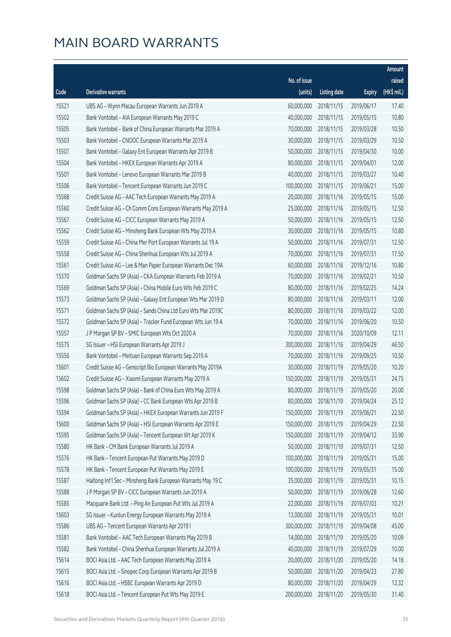|       |                                                              |              |                       |               | Amount      |
|-------|--------------------------------------------------------------|--------------|-----------------------|---------------|-------------|
|       |                                                              | No. of issue |                       |               | raised      |
| Code  | Derivative warrants                                          | (units)      | <b>Listing date</b>   | <b>Expiry</b> | (HK\$ mil.) |
| 15521 | UBS AG - Wynn Macau European Warrants Jun 2019 A             | 60,000,000   | 2018/11/15            | 2019/06/17    | 17.40       |
| 15502 | Bank Vontobel - AIA European Warrants May 2019 C             | 40,000,000   | 2018/11/15            | 2019/05/15    | 10.80       |
| 15505 | Bank Vontobel - Bank of China European Warrants Mar 2019 A   | 70,000,000   | 2018/11/15            | 2019/03/28    | 10.50       |
| 15503 | Bank Vontobel - CNOOC European Warrants Mar 2019 A           | 30,000,000   | 2018/11/15            | 2019/03/29    | 10.50       |
| 15507 | Bank Vontobel - Galaxy Ent European Warrants Apr 2019 B      | 50,000,000   | 2018/11/15            | 2019/04/30    | 10.00       |
| 15504 | Bank Vontobel - HKEX European Warrants Apr 2019 A            | 80,000,000   | 2018/11/15            | 2019/04/01    | 12.00       |
| 15501 | Bank Vontobel - Lenovo European Warrants Mar 2019 B          | 40,000,000   | 2018/11/15            | 2019/03/27    | 10.40       |
| 15506 | Bank Vontobel - Tencent European Warrants Jun 2019 C         | 100,000,000  | 2018/11/15            | 2019/06/21    | 15.00       |
| 15568 | Credit Suisse AG - AAC Tech European Warrants May 2019 A     | 20,000,000   | 2018/11/16            | 2019/05/15    | 15.00       |
| 15560 | Credit Suisse AG - Ch Comm Cons European Warrants May 2019 A | 25,000,000   | 2018/11/16            | 2019/05/15    | 12.50       |
| 15567 | Credit Suisse AG - CICC European Warrants May 2019 A         | 50,000,000   | 2018/11/16            | 2019/05/15    | 12.50       |
| 15562 | Credit Suisse AG - Minsheng Bank European Wts May 2019 A     | 30,000,000   | 2018/11/16            | 2019/05/15    | 10.80       |
| 15559 | Credit Suisse AG - China Mer Port European Warrants Jul 19 A | 50,000,000   | 2018/11/16            | 2019/07/31    | 12.50       |
| 15558 | Credit Suisse AG - China Shenhua European Wts Jul 2019 A     | 70,000,000   | 2018/11/16            | 2019/07/31    | 17.50       |
| 15561 | Credit Suisse AG - Lee & Man Paper European Warrants Dec 19A | 60,000,000   | 2018/11/16            | 2019/12/16    | 10.80       |
| 15570 | Goldman Sachs SP (Asia) - CKA European Warrants Feb 2019 A   | 70,000,000   | 2018/11/16            | 2019/02/21    | 10.50       |
| 15569 | Goldman Sachs SP (Asia) - China Mobile Euro Wts Feb 2019 C   | 80,000,000   | 2018/11/16            | 2019/02/25    | 14.24       |
| 15573 | Goldman Sachs SP (Asia) - Galaxy Ent European Wts Mar 2019 D | 80,000,000   | 2018/11/16            | 2019/03/11    | 12.00       |
| 15571 | Goldman Sachs SP (Asia) - Sands China Ltd Euro Wts Mar 2019C | 80,000,000   | 2018/11/16            | 2019/03/22    | 12.00       |
| 15572 | Goldman Sachs SP (Asia) - Tracker Fund European Wts Jun 19 A | 70,000,000   | 2018/11/16            | 2019/06/20    | 10.50       |
| 15557 | J P Morgan SP BV - SMIC European Wts Oct 2020 A              | 70,000,000   | 2018/11/16            | 2020/10/09    | 12.11       |
| 15575 | SG Issuer - HSI European Warrants Apr 2019 J                 | 300,000,000  | 2018/11/16            | 2019/04/29    | 46.50       |
| 15556 | Bank Vontobel - Meituan European Warrants Sep 2019 A         | 70,000,000   | 2018/11/16            | 2019/09/25    | 10.50       |
| 15601 | Credit Suisse AG - Genscript Bio European Warrants May 2019A | 30,000,000   | 2018/11/19            | 2019/05/20    | 10.20       |
| 15602 | Credit Suisse AG - Xiaomi European Warrants May 2019 A       | 150,000,000  | 2018/11/19            | 2019/05/31    | 24.75       |
| 15598 | Goldman Sachs SP (Asia) - Bank of China Euro Wts May 2019 A  | 80,000,000   | 2018/11/19            | 2019/05/20    | 20.00       |
| 15596 | Goldman Sachs SP (Asia) - CC Bank European Wts Apr 2019 B    |              | 80,000,000 2018/11/19 | 2019/04/24    | 25.12       |
| 15594 | Goldman Sachs SP (Asia) - HKEX European Warrants Jun 2019 F  | 150,000,000  | 2018/11/19            | 2019/06/21    | 22.50       |
| 15600 | Goldman Sachs SP (Asia) - HSI European Warrants Apr 2019 E   | 150,000,000  | 2018/11/19            | 2019/04/29    | 22.50       |
| 15595 | Goldman Sachs SP (Asia) - Tencent European Wt Apr 2019 K     | 150,000,000  | 2018/11/19            | 2019/04/12    | 33.90       |
| 15580 | HK Bank - CM Bank European Warrants Jul 2019 A               | 50,000,000   | 2018/11/19            | 2019/07/31    | 12.50       |
| 15576 | HK Bank - Tencent European Put Warrants May 2019 D           | 100,000,000  | 2018/11/19            | 2019/05/31    | 15.00       |
| 15578 | HK Bank - Tencent European Put Warrants May 2019 E           | 100,000,000  | 2018/11/19            | 2019/05/31    | 15.00       |
| 15587 | Haitong Int'l Sec - Minsheng Bank European Warrants May 19 C | 35,000,000   | 2018/11/19            | 2019/05/31    | 10.15       |
| 15588 | J P Morgan SP BV - CICC European Warrants Jun 2019 A         | 50,000,000   | 2018/11/19            | 2019/06/28    | 12.60       |
| 15585 | Macquarie Bank Ltd. - Ping An European Put Wts Jul 2019 A    | 22,000,000   | 2018/11/19            | 2019/07/03    | 10.21       |
| 15603 | SG Issuer - Kunlun Energy European Warrants May 2019 A       | 13,000,000   | 2018/11/19            | 2019/05/31    | 10.01       |
| 15586 | UBS AG - Tencent European Warrants Apr 2019 I                | 300,000,000  | 2018/11/19            | 2019/04/08    | 45.00       |
| 15581 | Bank Vontobel - AAC Tech European Warrants May 2019 B        | 14,000,000   | 2018/11/19            | 2019/05/20    | 10.09       |
| 15582 | Bank Vontobel - China Shenhua European Warrants Jul 2019 A   | 40,000,000   | 2018/11/19            | 2019/07/29    | 10.00       |
| 15614 | BOCI Asia Ltd. - AAC Tech European Warrants May 2019 A       | 20,000,000   | 2018/11/20            | 2019/05/20    | 14.16       |
| 15615 | BOCI Asia Ltd. - Sinopec Corp European Warrants Apr 2019 B   | 50,000,000   | 2018/11/20            | 2019/04/23    | 27.80       |
| 15616 | BOCI Asia Ltd. - HSBC European Warrants Apr 2019 D           | 80,000,000   | 2018/11/20            | 2019/04/29    | 12.32       |
| 15618 | BOCI Asia Ltd. - Tencent European Put Wts May 2019 E         | 200,000,000  | 2018/11/20            | 2019/05/30    | 31.40       |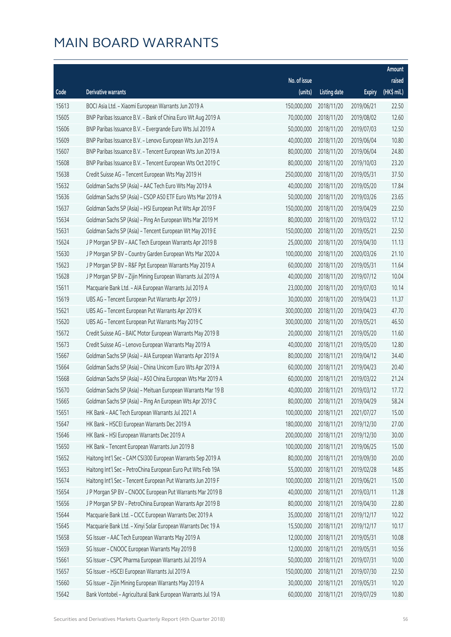|       |                                                              |              |                       |               | Amount      |
|-------|--------------------------------------------------------------|--------------|-----------------------|---------------|-------------|
|       |                                                              | No. of issue |                       |               | raised      |
| Code  | Derivative warrants                                          | (units)      | <b>Listing date</b>   | <b>Expiry</b> | (HK\$ mil.) |
| 15613 | BOCI Asia Ltd. - Xiaomi European Warrants Jun 2019 A         | 150,000,000  | 2018/11/20            | 2019/06/21    | 22.50       |
| 15605 | BNP Paribas Issuance B.V. - Bank of China Euro Wt Aug 2019 A | 70,000,000   | 2018/11/20            | 2019/08/02    | 12.60       |
| 15606 | BNP Paribas Issuance B.V. - Evergrande Euro Wts Jul 2019 A   | 50,000,000   | 2018/11/20            | 2019/07/03    | 12.50       |
| 15609 | BNP Paribas Issuance B.V. - Lenovo European Wts Jun 2019 A   | 40,000,000   | 2018/11/20            | 2019/06/04    | 10.80       |
| 15607 | BNP Paribas Issuance B.V. - Tencent European Wts Jun 2019 A  | 80,000,000   | 2018/11/20            | 2019/06/04    | 24.80       |
| 15608 | BNP Paribas Issuance B.V. - Tencent European Wts Oct 2019 C  | 80,000,000   | 2018/11/20            | 2019/10/03    | 23.20       |
| 15638 | Credit Suisse AG - Tencent European Wts May 2019 H           | 250,000,000  | 2018/11/20            | 2019/05/31    | 37.50       |
| 15632 | Goldman Sachs SP (Asia) - AAC Tech Euro Wts May 2019 A       | 40,000,000   | 2018/11/20            | 2019/05/20    | 17.84       |
| 15636 | Goldman Sachs SP (Asia) - CSOP A50 ETF Euro Wts Mar 2019 A   | 50,000,000   | 2018/11/20            | 2019/03/26    | 23.65       |
| 15637 | Goldman Sachs SP (Asia) - HSI European Put Wts Apr 2019 F    | 150,000,000  | 2018/11/20            | 2019/04/29    | 22.50       |
| 15634 | Goldman Sachs SP (Asia) - Ping An European Wts Mar 2019 M    | 80,000,000   | 2018/11/20            | 2019/03/22    | 17.12       |
| 15631 | Goldman Sachs SP (Asia) - Tencent European Wt May 2019 E     | 150,000,000  | 2018/11/20            | 2019/05/21    | 22.50       |
| 15624 | J P Morgan SP BV - AAC Tech European Warrants Apr 2019 B     | 25,000,000   | 2018/11/20            | 2019/04/30    | 11.13       |
| 15630 | J P Morgan SP BV - Country Garden European Wts Mar 2020 A    | 100,000,000  | 2018/11/20            | 2020/03/26    | 21.10       |
| 15623 | J P Morgan SP BV - R&F Ppt European Warrants May 2019 A      | 60,000,000   | 2018/11/20            | 2019/05/31    | 11.64       |
| 15628 | J P Morgan SP BV - Zijin Mining European Warrants Jul 2019 A | 40,000,000   | 2018/11/20            | 2019/07/12    | 10.04       |
| 15611 | Macquarie Bank Ltd. - AIA European Warrants Jul 2019 A       | 23,000,000   | 2018/11/20            | 2019/07/03    | 10.14       |
| 15619 | UBS AG - Tencent European Put Warrants Apr 2019 J            | 30,000,000   | 2018/11/20            | 2019/04/23    | 11.37       |
| 15621 | UBS AG - Tencent European Put Warrants Apr 2019 K            | 300,000,000  | 2018/11/20            | 2019/04/23    | 47.70       |
| 15620 | UBS AG - Tencent European Put Warrants May 2019 C            | 300,000,000  | 2018/11/20            | 2019/05/21    | 46.50       |
| 15672 | Credit Suisse AG - BAIC Motor European Warrants May 2019 B   | 20,000,000   | 2018/11/21            | 2019/05/20    | 11.60       |
| 15673 | Credit Suisse AG - Lenovo European Warrants May 2019 A       | 40,000,000   | 2018/11/21            | 2019/05/20    | 12.80       |
| 15667 | Goldman Sachs SP (Asia) - AIA European Warrants Apr 2019 A   | 80,000,000   | 2018/11/21            | 2019/04/12    | 34.40       |
| 15664 | Goldman Sachs SP (Asia) - China Unicom Euro Wts Apr 2019 A   | 60,000,000   | 2018/11/21            | 2019/04/23    | 20.40       |
| 15668 | Goldman Sachs SP (Asia) - A50 China European Wts Mar 2019 A  | 60,000,000   | 2018/11/21            | 2019/03/22    | 21.24       |
| 15670 | Goldman Sachs SP (Asia) - Meituan European Warrants Mar 19 B | 40,000,000   | 2018/11/21            | 2019/03/12    | 17.72       |
| 15665 | Goldman Sachs SP (Asia) - Ping An European Wts Apr 2019 C    |              | 80,000,000 2018/11/21 | 2019/04/29    | 58.24       |
| 15651 | HK Bank - AAC Tech European Warrants Jul 2021 A              | 100,000,000  | 2018/11/21            | 2021/07/27    | 15.00       |
| 15647 | HK Bank - HSCEI European Warrants Dec 2019 A                 | 180,000,000  | 2018/11/21            | 2019/12/30    | 27.00       |
| 15646 | HK Bank - HSI European Warrants Dec 2019 A                   | 200,000,000  | 2018/11/21            | 2019/12/30    | 30.00       |
| 15650 | HK Bank - Tencent European Warrants Jun 2019 B               | 100,000,000  | 2018/11/21            | 2019/06/25    | 15.00       |
| 15652 | Haitong Int'l Sec - CAM CSI300 European Warrants Sep 2019 A  | 80,000,000   | 2018/11/21            | 2019/09/30    | 20.00       |
| 15653 | Haitong Int'l Sec - PetroChina European Euro Put Wts Feb 19A | 55,000,000   | 2018/11/21            | 2019/02/28    | 14.85       |
| 15674 | Haitong Int'l Sec - Tencent European Put Warrants Jun 2019 F | 100,000,000  | 2018/11/21            | 2019/06/21    | 15.00       |
| 15654 | J P Morgan SP BV - CNOOC European Put Warrants Mar 2019 B    | 40,000,000   | 2018/11/21            | 2019/03/11    | 11.28       |
| 15656 | J P Morgan SP BV - PetroChina European Warrants Apr 2019 B   | 80,000,000   | 2018/11/21            | 2019/04/30    | 22.80       |
| 15644 | Macquarie Bank Ltd. - CICC European Warrants Dec 2019 A      | 35,000,000   | 2018/11/21            | 2019/12/17    | 10.22       |
| 15645 | Macquarie Bank Ltd. - Xinyi Solar European Warrants Dec 19 A | 15,500,000   | 2018/11/21            | 2019/12/17    | 10.17       |
| 15658 | SG Issuer - AAC Tech European Warrants May 2019 A            | 12,000,000   | 2018/11/21            | 2019/05/31    | 10.08       |
| 15659 | SG Issuer - CNOOC European Warrants May 2019 B               | 12,000,000   | 2018/11/21            | 2019/05/31    | 10.56       |
| 15661 | SG Issuer - CSPC Pharma European Warrants Jul 2019 A         | 50,000,000   | 2018/11/21            | 2019/07/31    | 10.00       |
| 15657 | SG Issuer - HSCEI European Warrants Jul 2019 A               | 150,000,000  | 2018/11/21            | 2019/07/30    | 22.50       |
| 15660 | SG Issuer - Zijin Mining European Warrants May 2019 A        | 30,000,000   | 2018/11/21            | 2019/05/31    | 10.20       |
| 15642 | Bank Vontobel - Agricultural Bank European Warrants Jul 19 A | 60,000,000   | 2018/11/21            | 2019/07/29    | 10.80       |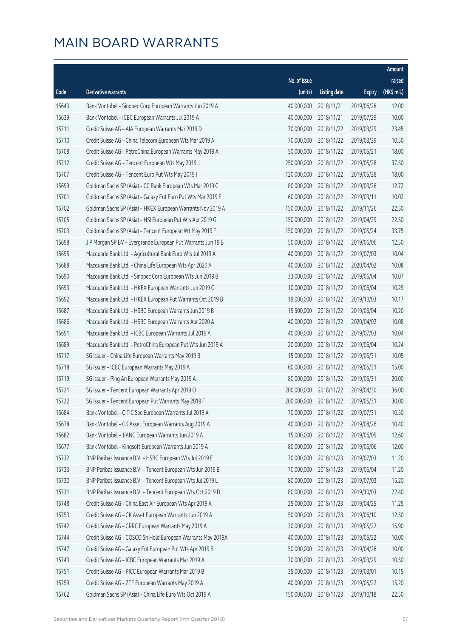|       |                                                              |              |                        |               | Amount      |
|-------|--------------------------------------------------------------|--------------|------------------------|---------------|-------------|
|       |                                                              | No. of issue |                        |               | raised      |
| Code  | Derivative warrants                                          | (units)      | <b>Listing date</b>    | <b>Expiry</b> | (HK\$ mil.) |
| 15643 | Bank Vontobel - Sinopec Corp European Warrants Jun 2019 A    | 40,000,000   | 2018/11/21             | 2019/06/28    | 12.00       |
| 15639 | Bank Vontobel - ICBC European Warrants Jul 2019 A            | 40,000,000   | 2018/11/21             | 2019/07/29    | 10.00       |
| 15711 | Credit Suisse AG - AIA European Warrants Mar 2019 D          | 70,000,000   | 2018/11/22             | 2019/03/29    | 23.45       |
| 15710 | Credit Suisse AG - China Telecom European Wts Mar 2019 A     | 70,000,000   | 2018/11/22             | 2019/03/29    | 10.50       |
| 15708 | Credit Suisse AG - PetroChina European Warrants May 2019 A   | 50,000,000   | 2018/11/22             | 2019/05/21    | 18.00       |
| 15712 | Credit Suisse AG - Tencent European Wts May 2019 J           | 250,000,000  | 2018/11/22             | 2019/05/28    | 37.50       |
| 15707 | Credit Suisse AG - Tencent Euro Put Wts May 2019 I           | 120,000,000  | 2018/11/22             | 2019/05/28    | 18.00       |
| 15699 | Goldman Sachs SP (Asia) - CC Bank European Wts Mar 2019 C    | 80,000,000   | 2018/11/22             | 2019/03/26    | 12.72       |
| 15701 | Goldman Sachs SP (Asia) - Galaxy Ent Euro Put Wts Mar 2019 E | 60,000,000   | 2018/11/22             | 2019/03/11    | 10.02       |
| 15702 | Goldman Sachs SP (Asia) - HKEX European Warrants Nov 2019 A  | 150,000,000  | 2018/11/22             | 2019/11/26    | 22.50       |
| 15705 | Goldman Sachs SP (Asia) - HSI European Put Wts Apr 2019 G    | 150,000,000  | 2018/11/22             | 2019/04/29    | 22.50       |
| 15703 | Goldman Sachs SP (Asia) - Tencent European Wt May 2019 F     | 150,000,000  | 2018/11/22             | 2019/05/24    | 33.75       |
| 15698 | J P Morgan SP BV - Evergrande European Put Warrants Jun 19 B | 50,000,000   | 2018/11/22             | 2019/06/06    | 12.50       |
| 15695 | Macquarie Bank Ltd. - Agricultural Bank Euro Wts Jul 2019 A  | 40,000,000   | 2018/11/22             | 2019/07/03    | 10.04       |
| 15688 | Macquarie Bank Ltd. - China Life European Wts Apr 2020 A     | 40,000,000   | 2018/11/22             | 2020/04/02    | 10.08       |
| 15690 | Macquarie Bank Ltd. - Sinopec Corp European Wts Jun 2019 B   | 33,000,000   | 2018/11/22             | 2019/06/04    | 10.07       |
| 15693 | Macquarie Bank Ltd. - HKEX European Warrants Jun 2019 C      | 10,000,000   | 2018/11/22             | 2019/06/04    | 10.29       |
| 15692 | Macquarie Bank Ltd. - HKEX European Put Warrants Oct 2019 B  | 19,000,000   | 2018/11/22             | 2019/10/03    | 10.17       |
| 15687 | Macquarie Bank Ltd. - HSBC European Warrants Jun 2019 B      | 19,500,000   | 2018/11/22             | 2019/06/04    | 10.20       |
| 15686 | Macquarie Bank Ltd. - HSBC European Warrants Apr 2020 A      | 40,000,000   | 2018/11/22             | 2020/04/02    | 10.08       |
| 15691 | Macquarie Bank Ltd. - ICBC European Warrants Jul 2019 A      | 40,000,000   | 2018/11/22             | 2019/07/03    | 10.04       |
| 15689 | Macquarie Bank Ltd. - PetroChina European Put Wts Jun 2019 A | 20,000,000   | 2018/11/22             | 2019/06/04    | 10.24       |
| 15717 | SG Issuer - China Life European Warrants May 2019 B          | 15,000,000   | 2018/11/22             | 2019/05/31    | 10.05       |
| 15718 | SG Issuer - ICBC European Warrants May 2019 A                | 60,000,000   | 2018/11/22             | 2019/05/31    | 15.00       |
| 15719 | SG Issuer - Ping An European Warrants May 2019 A             | 80,000,000   | 2018/11/22             | 2019/05/31    | 20.00       |
| 15721 | SG Issuer - Tencent European Warrants Apr 2019 O             | 200,000,000  | 2018/11/22             | 2019/04/30    | 36.00       |
| 15722 | SG Issuer - Tencent European Put Warrants May 2019 F         |              | 200,000,000 2018/11/22 | 2019/05/31    | 30.00       |
| 15684 | Bank Vontobel - CITIC Sec European Warrants Jul 2019 A       | 70,000,000   | 2018/11/22             | 2019/07/31    | 10.50       |
| 15678 | Bank Vontobel - CK Asset European Warrants Aug 2019 A        | 40,000,000   | 2018/11/22             | 2019/08/26    | 10.40       |
| 15682 | Bank Vontobel - JIANC European Warrants Jun 2019 A           | 15,000,000   | 2018/11/22             | 2019/06/05    | 12.60       |
| 15677 | Bank Vontobel - Kingsoft European Warrants Jun 2019 A        | 80,000,000   | 2018/11/22             | 2019/06/06    | 12.00       |
| 15732 | BNP Paribas Issuance B.V. - HSBC European Wts Jul 2019 E     | 70,000,000   | 2018/11/23             | 2019/07/03    | 11.20       |
| 15733 | BNP Paribas Issuance B.V. - Tencent European Wts Jun 2019 B  | 70,000,000   | 2018/11/23             | 2019/06/04    | 11.20       |
| 15730 | BNP Paribas Issuance B.V. - Tencent European Wts Jul 2019 L  | 80,000,000   | 2018/11/23             | 2019/07/03    | 15.20       |
| 15731 | BNP Paribas Issuance B.V. - Tencent European Wts Oct 2019 D  | 80,000,000   | 2018/11/23             | 2019/10/03    | 22.40       |
| 15748 | Credit Suisse AG - China East Air European Wts Apr 2019 A    | 25,000,000   | 2018/11/23             | 2019/04/25    | 11.25       |
| 15753 | Credit Suisse AG - CK Asset European Warrants Jun 2019 A     | 50,000,000   | 2018/11/23             | 2019/06/10    | 12.50       |
| 15742 | Credit Suisse AG - CRRC European Warrants May 2019 A         | 30,000,000   | 2018/11/23             | 2019/05/22    | 15.90       |
| 15744 | Credit Suisse AG - COSCO Sh Hold European Warrants May 2019A | 40,000,000   | 2018/11/23             | 2019/05/22    | 10.00       |
| 15747 | Credit Suisse AG - Galaxy Ent European Put Wts Apr 2019 B    | 50,000,000   | 2018/11/23             | 2019/04/26    | 10.00       |
| 15743 | Credit Suisse AG - ICBC European Warrants Mar 2019 A         | 70,000,000   | 2018/11/23             | 2019/03/29    | 10.50       |
| 15751 | Credit Suisse AG - PICC European Warrants Mar 2019 B         | 35,000,000   | 2018/11/23             | 2019/03/01    | 10.15       |
| 15759 | Credit Suisse AG - ZTE European Warrants May 2019 A          | 40,000,000   | 2018/11/23             | 2019/05/22    | 15.20       |
| 15762 | Goldman Sachs SP (Asia) - China Life Euro Wts Oct 2019 A     | 150,000,000  | 2018/11/23             | 2019/10/18    | 22.50       |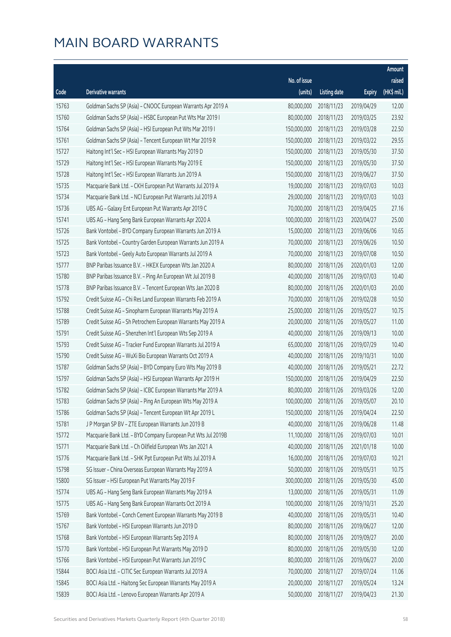|       |                                                              |                        |                     |               | Amount      |
|-------|--------------------------------------------------------------|------------------------|---------------------|---------------|-------------|
|       |                                                              | No. of issue           |                     |               | raised      |
| Code  | Derivative warrants                                          | (units)                | <b>Listing date</b> | <b>Expiry</b> | (HK\$ mil.) |
| 15763 | Goldman Sachs SP (Asia) - CNOOC European Warrants Apr 2019 A | 80,000,000             | 2018/11/23          | 2019/04/29    | 12.00       |
| 15760 | Goldman Sachs SP (Asia) - HSBC European Put Wts Mar 2019 I   | 80,000,000             | 2018/11/23          | 2019/03/25    | 23.92       |
| 15764 | Goldman Sachs SP (Asia) - HSI European Put Wts Mar 2019 I    | 150,000,000            | 2018/11/23          | 2019/03/28    | 22.50       |
| 15761 | Goldman Sachs SP (Asia) - Tencent European Wt Mar 2019 R     | 150,000,000            | 2018/11/23          | 2019/03/22    | 29.55       |
| 15727 | Haitong Int'l Sec - HSI European Warrants May 2019 D         | 150,000,000            | 2018/11/23          | 2019/05/30    | 37.50       |
| 15729 | Haitong Int'l Sec - HSI European Warrants May 2019 E         | 150,000,000            | 2018/11/23          | 2019/05/30    | 37.50       |
| 15728 | Haitong Int'l Sec - HSI European Warrants Jun 2019 A         | 150,000,000            | 2018/11/23          | 2019/06/27    | 37.50       |
| 15735 | Macquarie Bank Ltd. - CKH European Put Warrants Jul 2019 A   | 19,000,000             | 2018/11/23          | 2019/07/03    | 10.03       |
| 15734 | Macquarie Bank Ltd. - NCI European Put Warrants Jul 2019 A   | 29,000,000             | 2018/11/23          | 2019/07/03    | 10.03       |
| 15736 | UBS AG - Galaxy Ent European Put Warrants Apr 2019 C         | 70,000,000             | 2018/11/23          | 2019/04/25    | 27.16       |
| 15741 | UBS AG - Hang Seng Bank European Warrants Apr 2020 A         | 100,000,000            | 2018/11/23          | 2020/04/27    | 25.00       |
| 15726 | Bank Vontobel - BYD Company European Warrants Jun 2019 A     | 15,000,000             | 2018/11/23          | 2019/06/06    | 10.65       |
| 15725 | Bank Vontobel - Country Garden European Warrants Jun 2019 A  | 70,000,000             | 2018/11/23          | 2019/06/26    | 10.50       |
| 15723 | Bank Vontobel - Geely Auto European Warrants Jul 2019 A      | 70,000,000             | 2018/11/23          | 2019/07/08    | 10.50       |
| 15777 | BNP Paribas Issuance B.V. - HKEX European Wts Jan 2020 A     | 80,000,000             | 2018/11/26          | 2020/01/03    | 12.00       |
| 15780 | BNP Paribas Issuance B.V. - Ping An European Wt Jul 2019 B   | 40,000,000             | 2018/11/26          | 2019/07/03    | 10.40       |
| 15778 | BNP Paribas Issuance B.V. - Tencent European Wts Jan 2020 B  | 80,000,000             | 2018/11/26          | 2020/01/03    | 20.00       |
| 15792 | Credit Suisse AG - Chi Res Land European Warrants Feb 2019 A | 70,000,000             | 2018/11/26          | 2019/02/28    | 10.50       |
| 15788 | Credit Suisse AG - Sinopharm European Warrants May 2019 A    | 25,000,000             | 2018/11/26          | 2019/05/27    | 10.75       |
| 15789 | Credit Suisse AG - Sh Petrochem European Warrants May 2019 A | 20,000,000             | 2018/11/26          | 2019/05/27    | 11.00       |
| 15791 | Credit Suisse AG - Shenzhen Int'l European Wts Sep 2019 A    | 40,000,000             | 2018/11/26          | 2019/09/13    | 10.00       |
| 15793 | Credit Suisse AG - Tracker Fund European Warrants Jul 2019 A | 65,000,000             | 2018/11/26          | 2019/07/29    | 10.40       |
| 15790 | Credit Suisse AG - WuXi Bio European Warrants Oct 2019 A     | 40,000,000             | 2018/11/26          | 2019/10/31    | 10.00       |
| 15787 | Goldman Sachs SP (Asia) - BYD Company Euro Wts May 2019 B    | 40,000,000             | 2018/11/26          | 2019/05/21    | 22.72       |
| 15797 | Goldman Sachs SP (Asia) - HSI European Warrants Apr 2019 H   | 150,000,000            | 2018/11/26          | 2019/04/29    | 22.50       |
| 15782 | Goldman Sachs SP (Asia) - ICBC European Warrants Mar 2019 A  | 80,000,000             | 2018/11/26          | 2019/03/26    | 12.00       |
| 15783 | Goldman Sachs SP (Asia) - Ping An European Wts May 2019 A    | 100,000,000 2018/11/26 |                     | 2019/05/07    | 20.10       |
| 15786 | Goldman Sachs SP (Asia) - Tencent European Wt Apr 2019 L     | 150,000,000            | 2018/11/26          | 2019/04/24    | 22.50       |
| 15781 | J P Morgan SP BV - ZTE European Warrants Jun 2019 B          | 40,000,000             | 2018/11/26          | 2019/06/28    | 11.48       |
| 15772 | Macquarie Bank Ltd. - BYD Company European Put Wts Jul 2019B | 11,100,000             | 2018/11/26          | 2019/07/03    | 10.01       |
| 15771 | Macquarie Bank Ltd. - Ch Oilfield European Wts Jan 2021 A    | 40,000,000             | 2018/11/26          | 2021/01/18    | 10.00       |
| 15776 | Macquarie Bank Ltd. - SHK Ppt European Put Wts Jul 2019 A    | 16,000,000             | 2018/11/26          | 2019/07/03    | 10.21       |
| 15798 | SG Issuer - China Overseas European Warrants May 2019 A      | 50,000,000             | 2018/11/26          | 2019/05/31    | 10.75       |
| 15800 | SG Issuer - HSI European Put Warrants May 2019 F             | 300,000,000            | 2018/11/26          | 2019/05/30    | 45.00       |
| 15774 | UBS AG - Hang Seng Bank European Warrants May 2019 A         | 13,000,000             | 2018/11/26          | 2019/05/31    | 11.09       |
| 15775 | UBS AG - Hang Seng Bank European Warrants Oct 2019 A         | 100,000,000            | 2018/11/26          | 2019/10/31    | 25.20       |
| 15769 | Bank Vontobel - Conch Cement European Warrants May 2019 B    | 40,000,000             | 2018/11/26          | 2019/05/31    | 10.40       |
| 15767 | Bank Vontobel - HSI European Warrants Jun 2019 D             | 80,000,000             | 2018/11/26          | 2019/06/27    | 12.00       |
| 15768 | Bank Vontobel - HSI European Warrants Sep 2019 A             | 80,000,000             | 2018/11/26          | 2019/09/27    | 20.00       |
| 15770 | Bank Vontobel - HSI European Put Warrants May 2019 D         | 80,000,000             | 2018/11/26          | 2019/05/30    | 12.00       |
| 15766 | Bank Vontobel - HSI European Put Warrants Jun 2019 C         | 80,000,000             | 2018/11/26          | 2019/06/27    | 20.00       |
| 15844 | BOCI Asia Ltd. - CITIC Sec European Warrants Jul 2019 A      | 70,000,000             | 2018/11/27          | 2019/07/24    | 11.06       |
| 15845 | BOCI Asia Ltd. - Haitong Sec European Warrants May 2019 A    | 20,000,000             | 2018/11/27          | 2019/05/24    | 13.24       |
| 15839 | BOCI Asia Ltd. - Lenovo European Warrants Apr 2019 A         | 50,000,000             | 2018/11/27          | 2019/04/23    | 21.30       |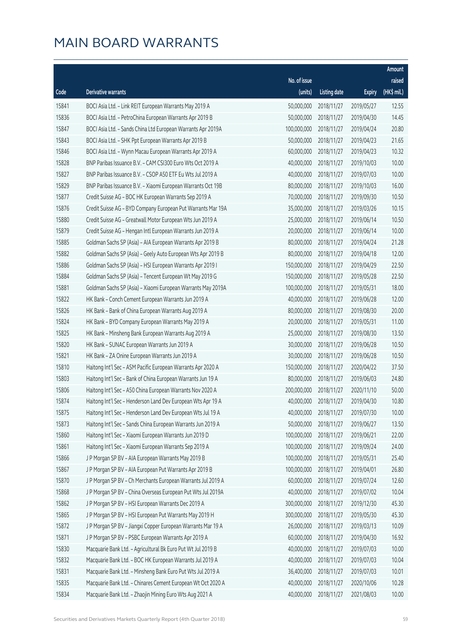|       |                                                              |              |                       |               | Amount      |
|-------|--------------------------------------------------------------|--------------|-----------------------|---------------|-------------|
|       |                                                              | No. of issue |                       |               | raised      |
| Code  | <b>Derivative warrants</b>                                   | (units)      | <b>Listing date</b>   | <b>Expiry</b> | (HK\$ mil.) |
| 15841 | BOCI Asia Ltd. - Link REIT European Warrants May 2019 A      | 50,000,000   | 2018/11/27            | 2019/05/27    | 12.55       |
| 15836 | BOCI Asia Ltd. - PetroChina European Warrants Apr 2019 B     | 50,000,000   | 2018/11/27            | 2019/04/30    | 14.45       |
| 15847 | BOCI Asia Ltd. - Sands China Ltd European Warrants Apr 2019A | 100,000,000  | 2018/11/27            | 2019/04/24    | 20.80       |
| 15843 | BOCI Asia Ltd. - SHK Ppt European Warrants Apr 2019 B        | 50,000,000   | 2018/11/27            | 2019/04/23    | 21.65       |
| 15846 | BOCI Asia Ltd. - Wynn Macau European Warrants Apr 2019 A     | 60,000,000   | 2018/11/27            | 2019/04/23    | 10.32       |
| 15828 | BNP Paribas Issuance B.V. - CAM CSI300 Euro Wts Oct 2019 A   | 40,000,000   | 2018/11/27            | 2019/10/03    | 10.00       |
| 15827 | BNP Paribas Issuance B.V. - CSOP A50 ETF Eu Wts Jul 2019 A   | 40,000,000   | 2018/11/27            | 2019/07/03    | 10.00       |
| 15829 | BNP Paribas Issuance B.V. - Xiaomi European Warrants Oct 19B | 80,000,000   | 2018/11/27            | 2019/10/03    | 16.00       |
| 15877 | Credit Suisse AG - BOC HK European Warrants Sep 2019 A       | 70,000,000   | 2018/11/27            | 2019/09/30    | 10.50       |
| 15876 | Credit Suisse AG - BYD Company European Put Warrants Mar 19A | 35,000,000   | 2018/11/27            | 2019/03/26    | 10.15       |
| 15880 | Credit Suisse AG - Greatwall Motor European Wts Jun 2019 A   | 25,000,000   | 2018/11/27            | 2019/06/14    | 10.50       |
| 15879 | Credit Suisse AG - Hengan Intl European Warrants Jun 2019 A  | 20,000,000   | 2018/11/27            | 2019/06/14    | 10.00       |
| 15885 | Goldman Sachs SP (Asia) - AIA European Warrants Apr 2019 B   | 80,000,000   | 2018/11/27            | 2019/04/24    | 21.28       |
| 15882 | Goldman Sachs SP (Asia) - Geely Auto European Wts Apr 2019 B | 80,000,000   | 2018/11/27            | 2019/04/18    | 12.00       |
| 15886 | Goldman Sachs SP (Asia) - HSI European Warrants Apr 2019 I   | 150,000,000  | 2018/11/27            | 2019/04/29    | 22.50       |
| 15884 | Goldman Sachs SP (Asia) - Tencent European Wt May 2019 G     | 150,000,000  | 2018/11/27            | 2019/05/28    | 22.50       |
| 15881 | Goldman Sachs SP (Asia) - Xiaomi European Warrants May 2019A | 100,000,000  | 2018/11/27            | 2019/05/31    | 18.00       |
| 15822 | HK Bank - Conch Cement European Warrants Jun 2019 A          | 40,000,000   | 2018/11/27            | 2019/06/28    | 12.00       |
| 15826 | HK Bank - Bank of China European Warrants Aug 2019 A         | 80,000,000   | 2018/11/27            | 2019/08/30    | 20.00       |
| 15824 | HK Bank - BYD Company European Warrants May 2019 A           | 20,000,000   | 2018/11/27            | 2019/05/31    | 11.00       |
| 15825 | HK Bank - Minsheng Bank European Warrants Aug 2019 A         | 25,000,000   | 2018/11/27            | 2019/08/30    | 13.50       |
| 15820 | HK Bank - SUNAC European Warrants Jun 2019 A                 | 30,000,000   | 2018/11/27            | 2019/06/28    | 10.50       |
| 15821 | HK Bank - ZA Onine European Warrants Jun 2019 A              | 30,000,000   | 2018/11/27            | 2019/06/28    | 10.50       |
| 15810 | Haitong Int'l Sec - ASM Pacific European Warrants Apr 2020 A | 150,000,000  | 2018/11/27            | 2020/04/22    | 37.50       |
| 15803 | Haitong Int'l Sec - Bank of China European Warrants Jun 19 A | 80,000,000   | 2018/11/27            | 2019/06/03    | 24.80       |
| 15806 | Haitong Int'l Sec - A50 China European Warrants Nov 2020 A   | 200,000,000  | 2018/11/27            | 2020/11/10    | 50.00       |
| 15874 | Haitong Int'l Sec - Henderson Land Dev European Wts Apr 19 A |              | 40,000,000 2018/11/27 | 2019/04/30    | 10.80       |
| 15875 | Haitong Int'l Sec - Henderson Land Dev European Wts Jul 19 A | 40,000,000   | 2018/11/27            | 2019/07/30    | 10.00       |
| 15873 | Haitong Int'l Sec - Sands China European Warrants Jun 2019 A | 50,000,000   | 2018/11/27            | 2019/06/27    | 13.50       |
| 15860 | Haitong Int'l Sec - Xiaomi European Warrants Jun 2019 D      | 100,000,000  | 2018/11/27            | 2019/06/21    | 22.00       |
| 15861 | Haitong Int'l Sec - Xiaomi European Warrants Sep 2019 A      | 100,000,000  | 2018/11/27            | 2019/09/24    | 24.00       |
| 15866 | J P Morgan SP BV - AIA European Warrants May 2019 B          | 100,000,000  | 2018/11/27            | 2019/05/31    | 25.40       |
| 15867 | J P Morgan SP BV - AIA European Put Warrants Apr 2019 B      | 100,000,000  | 2018/11/27            | 2019/04/01    | 26.80       |
| 15870 | J P Morgan SP BV - Ch Merchants European Warrants Jul 2019 A | 60,000,000   | 2018/11/27            | 2019/07/24    | 12.60       |
| 15868 | J P Morgan SP BV - China Overseas European Put Wts Jul 2019A | 40,000,000   | 2018/11/27            | 2019/07/02    | 10.04       |
| 15862 | J P Morgan SP BV - HSI European Warrants Dec 2019 A          | 300,000,000  | 2018/11/27            | 2019/12/30    | 45.30       |
| 15865 | J P Morgan SP BV - HSI European Put Warrants May 2019 H      | 300,000,000  | 2018/11/27            | 2019/05/30    | 45.30       |
| 15872 | J P Morgan SP BV - Jiangxi Copper European Warrants Mar 19 A | 26,000,000   | 2018/11/27            | 2019/03/13    | 10.09       |
| 15871 | J P Morgan SP BV - PSBC European Warrants Apr 2019 A         | 60,000,000   | 2018/11/27            | 2019/04/30    | 16.92       |
| 15830 | Macquarie Bank Ltd. - Agricultural Bk Euro Put Wt Jul 2019 B | 40,000,000   | 2018/11/27            | 2019/07/03    | 10.00       |
| 15832 | Macquarie Bank Ltd. - BOC HK European Warrants Jul 2019 A    | 40,000,000   | 2018/11/27            | 2019/07/03    | 10.04       |
| 15831 | Macquarie Bank Ltd. - Minsheng Bank Euro Put Wts Jul 2019 A  | 36,400,000   | 2018/11/27            | 2019/07/03    | 10.01       |
| 15835 | Macquarie Bank Ltd. - Chinares Cement European Wt Oct 2020 A | 40,000,000   | 2018/11/27            | 2020/10/06    | 10.28       |
| 15834 | Macquarie Bank Ltd. - Zhaojin Mining Euro Wts Aug 2021 A     | 40,000,000   | 2018/11/27            | 2021/08/03    | 10.00       |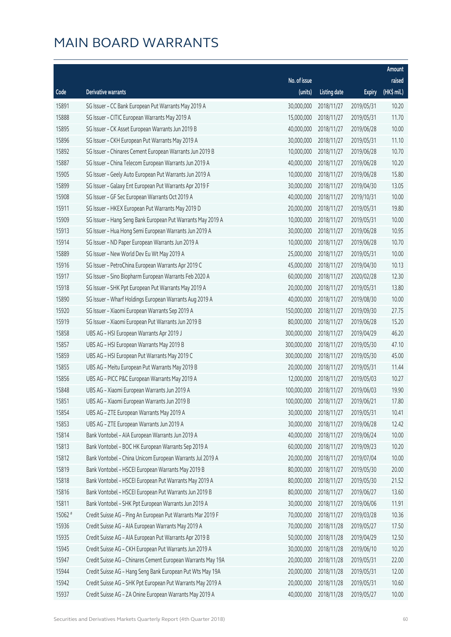|         |                                                              |                        |                     |               | Amount      |
|---------|--------------------------------------------------------------|------------------------|---------------------|---------------|-------------|
|         |                                                              | No. of issue           |                     |               | raised      |
| Code    | <b>Derivative warrants</b>                                   | (units)                | <b>Listing date</b> | <b>Expiry</b> | (HK\$ mil.) |
| 15891   | SG Issuer - CC Bank European Put Warrants May 2019 A         | 30,000,000             | 2018/11/27          | 2019/05/31    | 10.20       |
| 15888   | SG Issuer - CITIC European Warrants May 2019 A               | 15,000,000             | 2018/11/27          | 2019/05/31    | 11.70       |
| 15895   | SG Issuer - CK Asset European Warrants Jun 2019 B            | 40,000,000             | 2018/11/27          | 2019/06/28    | 10.00       |
| 15896   | SG Issuer - CKH European Put Warrants May 2019 A             | 30,000,000             | 2018/11/27          | 2019/05/31    | 11.10       |
| 15892   | SG Issuer - Chinares Cement European Warrants Jun 2019 B     | 10,000,000             | 2018/11/27          | 2019/06/28    | 10.70       |
| 15887   | SG Issuer - China Telecom European Warrants Jun 2019 A       | 40,000,000             | 2018/11/27          | 2019/06/28    | 10.20       |
| 15905   | SG Issuer - Geely Auto European Put Warrants Jun 2019 A      | 10,000,000             | 2018/11/27          | 2019/06/28    | 15.80       |
| 15899   | SG Issuer - Galaxy Ent European Put Warrants Apr 2019 F      | 30,000,000             | 2018/11/27          | 2019/04/30    | 13.05       |
| 15908   | SG Issuer - GF Sec European Warrants Oct 2019 A              | 40,000,000             | 2018/11/27          | 2019/10/31    | 10.00       |
| 15911   | SG Issuer - HKEX European Put Warrants May 2019 D            | 20,000,000             | 2018/11/27          | 2019/05/31    | 19.80       |
| 15909   | SG Issuer - Hang Seng Bank European Put Warrants May 2019 A  | 10,000,000             | 2018/11/27          | 2019/05/31    | 10.00       |
| 15913   | SG Issuer - Hua Hong Semi European Warrants Jun 2019 A       | 30,000,000             | 2018/11/27          | 2019/06/28    | 10.95       |
| 15914   | SG Issuer - ND Paper European Warrants Jun 2019 A            | 10,000,000             | 2018/11/27          | 2019/06/28    | 10.70       |
| 15889   | SG Issuer - New World Dev Eu Wt May 2019 A                   | 25,000,000             | 2018/11/27          | 2019/05/31    | 10.00       |
| 15916   | SG Issuer - PetroChina European Warrants Apr 2019 C          | 45,000,000             | 2018/11/27          | 2019/04/30    | 10.13       |
| 15917   | SG Issuer - Sino Biopharm European Warrants Feb 2020 A       | 60,000,000             | 2018/11/27          | 2020/02/28    | 12.30       |
| 15918   | SG Issuer - SHK Ppt European Put Warrants May 2019 A         | 20,000,000             | 2018/11/27          | 2019/05/31    | 13.80       |
| 15890   | SG Issuer - Wharf Holdings European Warrants Aug 2019 A      | 40,000,000             | 2018/11/27          | 2019/08/30    | 10.00       |
| 15920   | SG Issuer - Xiaomi European Warrants Sep 2019 A              | 150,000,000            | 2018/11/27          | 2019/09/30    | 27.75       |
| 15919   | SG Issuer - Xiaomi European Put Warrants Jun 2019 B          | 80,000,000             | 2018/11/27          | 2019/06/28    | 15.20       |
| 15858   | UBS AG - HSI European Warrants Apr 2019 J                    | 300,000,000            | 2018/11/27          | 2019/04/29    | 46.20       |
| 15857   | UBS AG - HSI European Warrants May 2019 B                    | 300,000,000            | 2018/11/27          | 2019/05/30    | 47.10       |
| 15859   | UBS AG - HSI European Put Warrants May 2019 C                | 300,000,000            | 2018/11/27          | 2019/05/30    | 45.00       |
| 15855   | UBS AG - Meitu European Put Warrants May 2019 B              | 20,000,000             | 2018/11/27          | 2019/05/31    | 11.44       |
| 15856   | UBS AG - PICC P&C European Warrants May 2019 A               | 12,000,000             | 2018/11/27          | 2019/05/03    | 10.27       |
| 15848   | UBS AG - Xiaomi European Warrants Jun 2019 A                 | 100,000,000            | 2018/11/27          | 2019/06/03    | 19.90       |
| 15851   | UBS AG - Xiaomi European Warrants Jun 2019 B                 | 100,000,000 2018/11/27 |                     | 2019/06/21    | 17.80       |
| 15854   | UBS AG - ZTE European Warrants May 2019 A                    | 30,000,000             | 2018/11/27          | 2019/05/31    | 10.41       |
| 15853   | UBS AG - ZTE European Warrants Jun 2019 A                    | 30,000,000             | 2018/11/27          | 2019/06/28    | 12.42       |
| 15814   | Bank Vontobel - AIA European Warrants Jun 2019 A             | 40,000,000             | 2018/11/27          | 2019/06/24    | 10.00       |
| 15813   | Bank Vontobel - BOC HK European Warrants Sep 2019 A          | 60,000,000             | 2018/11/27          | 2019/09/23    | 10.20       |
| 15812   | Bank Vontobel - China Unicom European Warrants Jul 2019 A    | 20,000,000             | 2018/11/27          | 2019/07/04    | 10.00       |
| 15819   | Bank Vontobel - HSCEI European Warrants May 2019 B           | 80,000,000             | 2018/11/27          | 2019/05/30    | 20.00       |
| 15818   | Bank Vontobel - HSCEI European Put Warrants May 2019 A       | 80,000,000             | 2018/11/27          | 2019/05/30    | 21.52       |
| 15816   | Bank Vontobel - HSCEI European Put Warrants Jun 2019 B       | 80,000,000             | 2018/11/27          | 2019/06/27    | 13.60       |
| 15811   | Bank Vontobel - SHK Ppt European Warrants Jun 2019 A         | 30,000,000             | 2018/11/27          | 2019/06/06    | 11.91       |
| 15062 # | Credit Suisse AG - Ping An European Put Warrants Mar 2019 F  | 70,000,000             | 2018/11/27          | 2019/03/28    | 10.36       |
| 15936   | Credit Suisse AG - AIA European Warrants May 2019 A          | 70,000,000             | 2018/11/28          | 2019/05/27    | 17.50       |
| 15935   | Credit Suisse AG - AIA European Put Warrants Apr 2019 B      | 50,000,000             | 2018/11/28          | 2019/04/29    | 12.50       |
| 15945   | Credit Suisse AG - CKH European Put Warrants Jun 2019 A      | 30,000,000             | 2018/11/28          | 2019/06/10    | 10.20       |
| 15947   | Credit Suisse AG - Chinares Cement European Warrants May 19A | 20,000,000             | 2018/11/28          | 2019/05/31    | 22.00       |
| 15944   | Credit Suisse AG - Hang Seng Bank European Put Wts May 19A   | 20,000,000             | 2018/11/28          | 2019/05/31    | 12.00       |
| 15942   | Credit Suisse AG - SHK Ppt European Put Warrants May 2019 A  | 20,000,000             | 2018/11/28          | 2019/05/31    | 10.60       |
| 15937   | Credit Suisse AG - ZA Onine European Warrants May 2019 A     | 40,000,000             | 2018/11/28          | 2019/05/27    | 10.00       |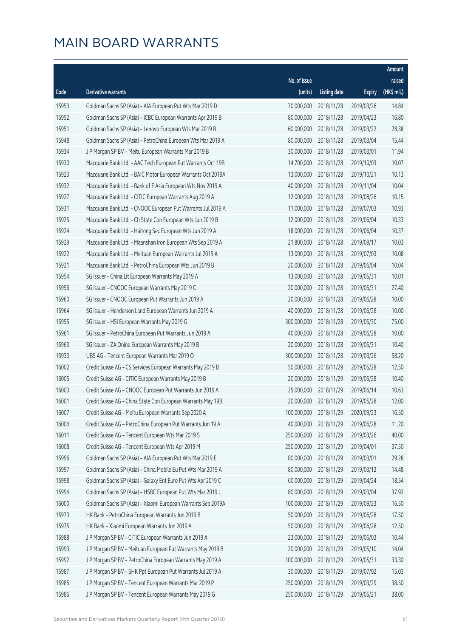|       |                                                              |              |                       |               | Amount      |
|-------|--------------------------------------------------------------|--------------|-----------------------|---------------|-------------|
|       |                                                              | No. of issue |                       |               | raised      |
| Code  | Derivative warrants                                          | (units)      | <b>Listing date</b>   | <b>Expiry</b> | (HK\$ mil.) |
| 15953 | Goldman Sachs SP (Asia) - AIA European Put Wts Mar 2019 D    | 70,000,000   | 2018/11/28            | 2019/03/26    | 14.84       |
| 15952 | Goldman Sachs SP (Asia) - ICBC European Warrants Apr 2019 B  | 80,000,000   | 2018/11/28            | 2019/04/23    | 16.80       |
| 15951 | Goldman Sachs SP (Asia) - Lenovo European Wts Mar 2019 B     | 60,000,000   | 2018/11/28            | 2019/03/22    | 28.38       |
| 15948 | Goldman Sachs SP (Asia) - PetroChina European Wts Mar 2019 A | 80,000,000   | 2018/11/28            | 2019/03/04    | 15.44       |
| 15934 | J P Morgan SP BV - Meitu European Warrants Mar 2019 B        | 30,000,000   | 2018/11/28            | 2019/03/01    | 11.94       |
| 15930 | Macquarie Bank Ltd. - AAC Tech European Put Warrants Oct 19B | 14,700,000   | 2018/11/28            | 2019/10/03    | 10.07       |
| 15923 | Macquarie Bank Ltd. - BAIC Motor European Warrants Oct 2019A | 13,000,000   | 2018/11/28            | 2019/10/21    | 10.13       |
| 15932 | Macquarie Bank Ltd. - Bank of E Asia European Wts Nov 2019 A | 40,000,000   | 2018/11/28            | 2019/11/04    | 10.04       |
| 15927 | Macquarie Bank Ltd. - CITIC European Warrants Aug 2019 A     | 12,000,000   | 2018/11/28            | 2019/08/26    | 10.15       |
| 15931 | Macquarie Bank Ltd. - CNOOC European Put Warrants Jul 2019 A | 11,000,000   | 2018/11/28            | 2019/07/03    | 10.93       |
| 15925 | Macquarie Bank Ltd. - Ch State Con European Wts Jun 2019 B   | 12,000,000   | 2018/11/28            | 2019/06/04    | 10.33       |
| 15924 | Macquarie Bank Ltd. - Haitong Sec European Wts Jun 2019 A    | 18,000,000   | 2018/11/28            | 2019/06/04    | 10.37       |
| 15929 | Macquarie Bank Ltd. - Maanshan Iron European Wts Sep 2019 A  | 21,800,000   | 2018/11/28            | 2019/09/17    | 10.03       |
| 15922 | Macquarie Bank Ltd. - Meituan European Warrants Jul 2019 A   | 13,000,000   | 2018/11/28            | 2019/07/03    | 10.08       |
| 15921 | Macquarie Bank Ltd. - PetroChina European Wts Jun 2019 B     | 20,000,000   | 2018/11/28            | 2019/06/04    | 10.04       |
| 15954 | SG Issuer - China Lit European Warrants May 2019 A           | 13,000,000   | 2018/11/28            | 2019/05/31    | 10.01       |
| 15956 | SG Issuer - CNOOC European Warrants May 2019 C               | 20,000,000   | 2018/11/28            | 2019/05/31    | 27.40       |
| 15960 | SG Issuer - CNOOC European Put Warrants Jun 2019 A           | 20,000,000   | 2018/11/28            | 2019/06/28    | 10.00       |
| 15964 | SG Issuer - Henderson Land European Warrants Jun 2019 A      | 40,000,000   | 2018/11/28            | 2019/06/28    | 10.00       |
| 15955 | SG Issuer - HSI European Warrants May 2019 G                 | 300,000,000  | 2018/11/28            | 2019/05/30    | 75.00       |
| 15961 | SG Issuer - PetroChina European Put Warrants Jun 2019 A      | 40,000,000   | 2018/11/28            | 2019/06/28    | 10.00       |
| 15963 | SG Issuer - ZA Onine European Warrants May 2019 B            | 20,000,000   | 2018/11/28            | 2019/05/31    | 10.40       |
| 15933 | UBS AG - Tencent European Warrants Mar 2019 O                | 300,000,000  | 2018/11/28            | 2019/03/26    | 58.20       |
| 16002 | Credit Suisse AG - CS Services European Warrants May 2019 B  | 50,000,000   | 2018/11/29            | 2019/05/28    | 12.50       |
| 16005 | Credit Suisse AG - CITIC European Warrants May 2019 B        | 20,000,000   | 2018/11/29            | 2019/05/28    | 10.40       |
| 16003 | Credit Suisse AG - CNOOC European Put Warrants Jun 2019 A    | 25,000,000   | 2018/11/29            | 2019/06/14    | 10.63       |
| 16001 | Credit Suisse AG - China State Con European Warrants May 19B |              | 20,000,000 2018/11/29 | 2019/05/28    | 12.00       |
| 16007 | Credit Suisse AG - Meitu European Warrants Sep 2020 A        | 100,000,000  | 2018/11/29            | 2020/09/23    | 16.50       |
| 16004 | Credit Suisse AG - PetroChina European Put Warrants Jun 19 A | 40,000,000   | 2018/11/29            | 2019/06/28    | 11.20       |
| 16011 | Credit Suisse AG - Tencent European Wts Mar 2019 S           | 250,000,000  | 2018/11/29            | 2019/03/26    | 40.00       |
| 16008 | Credit Suisse AG - Tencent European Wts Apr 2019 M           | 250,000,000  | 2018/11/29            | 2019/04/01    | 37.50       |
| 15996 | Goldman Sachs SP (Asia) - AIA European Put Wts Mar 2019 E    | 80,000,000   | 2018/11/29            | 2019/03/01    | 29.28       |
| 15997 | Goldman Sachs SP (Asia) - China Mobile Eu Put Wts Mar 2019 A | 80,000,000   | 2018/11/29            | 2019/03/12    | 14.48       |
| 15998 | Goldman Sachs SP (Asia) - Galaxy Ent Euro Put Wts Apr 2019 C | 60,000,000   | 2018/11/29            | 2019/04/24    | 18.54       |
| 15994 | Goldman Sachs SP (Asia) - HSBC European Put Wts Mar 2019 J   | 80,000,000   | 2018/11/29            | 2019/03/04    | 37.92       |
| 16000 | Goldman Sachs SP (Asia) - Xiaomi European Warrants Sep 2019A | 100,000,000  | 2018/11/29            | 2019/09/23    | 16.50       |
| 15973 | HK Bank - PetroChina European Warrants Jun 2019 B            | 50,000,000   | 2018/11/29            | 2019/06/28    | 17.50       |
| 15975 | HK Bank - Xiaomi European Warrants Jun 2019 A                | 50,000,000   | 2018/11/29            | 2019/06/28    | 12.50       |
| 15988 | J P Morgan SP BV - CITIC European Warrants Jun 2019 A        | 23,000,000   | 2018/11/29            | 2019/06/03    | 10.44       |
| 15993 | J P Morgan SP BV - Meituan European Put Warrants May 2019 B  | 20,000,000   | 2018/11/29            | 2019/05/10    | 14.04       |
| 15992 | J P Morgan SP BV - PetroChina European Warrants May 2019 A   | 100,000,000  | 2018/11/29            | 2019/05/31    | 33.30       |
| 15987 | J P Morgan SP BV - SHK Ppt European Put Warrants Jul 2019 A  | 30,000,000   | 2018/11/29            | 2019/07/02    | 15.03       |
| 15985 | J P Morgan SP BV - Tencent European Warrants Mar 2019 P      | 250,000,000  | 2018/11/29            | 2019/03/29    | 38.50       |
| 15986 | J P Morgan SP BV - Tencent European Warrants May 2019 G      | 250,000,000  | 2018/11/29            | 2019/05/21    | 38.00       |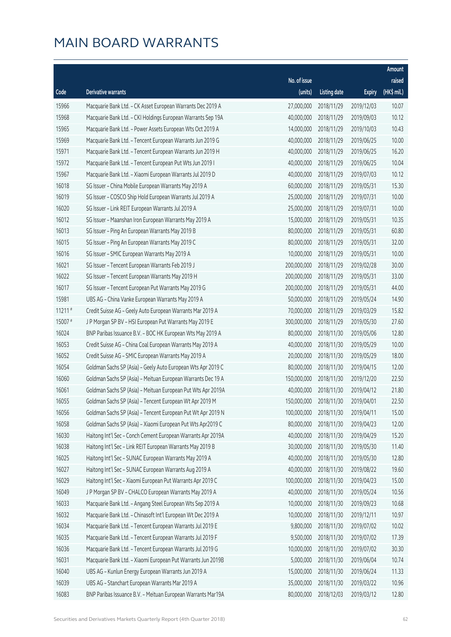|                      |                                                              |              |                        |               | Amount       |
|----------------------|--------------------------------------------------------------|--------------|------------------------|---------------|--------------|
|                      |                                                              | No. of issue |                        |               | raised       |
| Code                 | Derivative warrants                                          | (units)      | <b>Listing date</b>    | <b>Expiry</b> | $(HK\$ mil.) |
| 15966                | Macquarie Bank Ltd. - CK Asset European Warrants Dec 2019 A  | 27,000,000   | 2018/11/29             | 2019/12/03    | 10.07        |
| 15968                | Macquarie Bank Ltd. - CKI Holdings European Warrants Sep 19A | 40,000,000   | 2018/11/29             | 2019/09/03    | 10.12        |
| 15965                | Macquarie Bank Ltd. - Power Assets European Wts Oct 2019 A   | 14,000,000   | 2018/11/29             | 2019/10/03    | 10.43        |
| 15969                | Macquarie Bank Ltd. - Tencent European Warrants Jun 2019 G   | 40,000,000   | 2018/11/29             | 2019/06/25    | 10.00        |
| 15971                | Macquarie Bank Ltd. - Tencent European Warrants Jun 2019 H   | 40,000,000   | 2018/11/29             | 2019/06/25    | 16.20        |
| 15972                | Macquarie Bank Ltd. - Tencent European Put Wts Jun 2019 I    | 40,000,000   | 2018/11/29             | 2019/06/25    | 10.04        |
| 15967                | Macquarie Bank Ltd. - Xiaomi European Warrants Jul 2019 D    | 40,000,000   | 2018/11/29             | 2019/07/03    | 10.12        |
| 16018                | SG Issuer - China Mobile European Warrants May 2019 A        | 60,000,000   | 2018/11/29             | 2019/05/31    | 15.30        |
| 16019                | SG Issuer - COSCO Ship Hold European Warrants Jul 2019 A     | 25,000,000   | 2018/11/29             | 2019/07/31    | 10.00        |
| 16020                | SG Issuer - Link REIT European Warrants Jul 2019 A           | 25,000,000   | 2018/11/29             | 2019/07/31    | 10.00        |
| 16012                | SG Issuer - Maanshan Iron European Warrants May 2019 A       | 15,000,000   | 2018/11/29             | 2019/05/31    | 10.35        |
| 16013                | SG Issuer - Ping An European Warrants May 2019 B             | 80,000,000   | 2018/11/29             | 2019/05/31    | 60.80        |
| 16015                | SG Issuer - Ping An European Warrants May 2019 C             | 80,000,000   | 2018/11/29             | 2019/05/31    | 32.00        |
| 16016                | SG Issuer - SMIC European Warrants May 2019 A                | 10,000,000   | 2018/11/29             | 2019/05/31    | 10.00        |
| 16021                | SG Issuer - Tencent European Warrants Feb 2019 J             | 200,000,000  | 2018/11/29             | 2019/02/28    | 30.00        |
| 16022                | SG Issuer - Tencent European Warrants May 2019 H             | 200,000,000  | 2018/11/29             | 2019/05/31    | 33.00        |
| 16017                | SG Issuer - Tencent European Put Warrants May 2019 G         | 200,000,000  | 2018/11/29             | 2019/05/31    | 44.00        |
| 15981                | UBS AG - China Vanke European Warrants May 2019 A            | 50,000,000   | 2018/11/29             | 2019/05/24    | 14.90        |
| $11211$ <sup>#</sup> | Credit Suisse AG - Geely Auto European Warrants Mar 2019 A   | 70,000,000   | 2018/11/29             | 2019/03/29    | 15.82        |
| 15007 #              | J P Morgan SP BV - HSI European Put Warrants May 2019 E      | 300,000,000  | 2018/11/29             | 2019/05/30    | 27.60        |
| 16024                | BNP Paribas Issuance B.V. - BOC HK European Wts May 2019 A   | 80,000,000   | 2018/11/30             | 2019/05/06    | 12.80        |
| 16053                | Credit Suisse AG - China Coal European Warrants May 2019 A   | 40,000,000   | 2018/11/30             | 2019/05/29    | 10.00        |
| 16052                | Credit Suisse AG - SMIC European Warrants May 2019 A         | 20,000,000   | 2018/11/30             | 2019/05/29    | 18.00        |
| 16054                | Goldman Sachs SP (Asia) - Geely Auto European Wts Apr 2019 C | 80,000,000   | 2018/11/30             | 2019/04/15    | 12.00        |
| 16060                | Goldman Sachs SP (Asia) - Meituan European Warrants Dec 19 A | 150,000,000  | 2018/11/30             | 2019/12/20    | 22.50        |
| 16061                | Goldman Sachs SP (Asia) - Meituan European Put Wts Apr 2019A | 40,000,000   | 2018/11/30             | 2019/04/12    | 21.80        |
| 16055                | Goldman Sachs SP (Asia) - Tencent European Wt Apr 2019 M     |              | 150,000,000 2018/11/30 | 2019/04/01    | 22.50        |
| 16056                | Goldman Sachs SP (Asia) - Tencent European Put Wt Apr 2019 N | 100,000,000  | 2018/11/30             | 2019/04/11    | 15.00        |
| 16058                | Goldman Sachs SP (Asia) - Xiaomi European Put Wts Apr2019 C  | 80,000,000   | 2018/11/30             | 2019/04/23    | 12.00        |
| 16030                | Haitong Int'l Sec - Conch Cement European Warrants Apr 2019A | 40,000,000   | 2018/11/30             | 2019/04/29    | 15.20        |
| 16038                | Haitong Int'l Sec - Link REIT European Warrants May 2019 B   | 30,000,000   | 2018/11/30             | 2019/05/30    | 11.40        |
| 16025                | Haitong Int'l Sec - SUNAC European Warrants May 2019 A       | 40,000,000   | 2018/11/30             | 2019/05/30    | 12.80        |
| 16027                | Haitong Int'l Sec - SUNAC European Warrants Aug 2019 A       | 40,000,000   | 2018/11/30             | 2019/08/22    | 19.60        |
| 16029                | Haitong Int'l Sec - Xiaomi European Put Warrants Apr 2019 C  | 100,000,000  | 2018/11/30             | 2019/04/23    | 15.00        |
| 16049                | J P Morgan SP BV - CHALCO European Warrants May 2019 A       | 40,000,000   | 2018/11/30             | 2019/05/24    | 10.56        |
| 16033                | Macquarie Bank Ltd. - Angang Steel European Wts Sep 2019 A   | 10,000,000   | 2018/11/30             | 2019/09/23    | 10.68        |
| 16032                | Macquarie Bank Ltd. - Chinasoft Int'l European Wt Dec 2019 A | 10,000,000   | 2018/11/30             | 2019/12/11    | 10.97        |
| 16034                | Macquarie Bank Ltd. - Tencent European Warrants Jul 2019 E   | 9,800,000    | 2018/11/30             | 2019/07/02    | 10.02        |
| 16035                | Macquarie Bank Ltd. - Tencent European Warrants Jul 2019 F   | 9,500,000    | 2018/11/30             | 2019/07/02    | 17.39        |
| 16036                | Macquarie Bank Ltd. - Tencent European Warrants Jul 2019 G   | 10,000,000   | 2018/11/30             | 2019/07/02    | 30.30        |
| 16031                | Macquarie Bank Ltd. - Xiaomi European Put Warrants Jun 2019B | 5,000,000    | 2018/11/30             | 2019/06/04    | 10.74        |
| 16040                | UBS AG - Kunlun Energy European Warrants Jun 2019 A          | 15,000,000   | 2018/11/30             | 2019/06/24    | 11.33        |
| 16039                | UBS AG - Stanchart European Warrants Mar 2019 A              | 35,000,000   | 2018/11/30             | 2019/03/22    | 10.96        |
| 16083                | BNP Paribas Issuance B.V. - Meituan European Warrants Mar19A | 80,000,000   | 2018/12/03             | 2019/03/12    | 12.80        |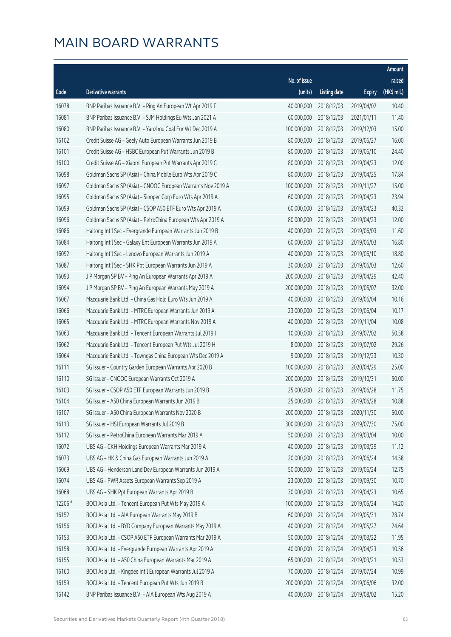|         |                                                              |              |                       |               | Amount      |
|---------|--------------------------------------------------------------|--------------|-----------------------|---------------|-------------|
|         |                                                              | No. of issue |                       |               | raised      |
| Code    | <b>Derivative warrants</b>                                   | (units)      | <b>Listing date</b>   | <b>Expiry</b> | (HK\$ mil.) |
| 16078   | BNP Paribas Issuance B.V. - Ping An European Wt Apr 2019 F   | 40,000,000   | 2018/12/03            | 2019/04/02    | 10.40       |
| 16081   | BNP Paribas Issuance B.V. - SJM Holdings Eu Wts Jan 2021 A   | 60,000,000   | 2018/12/03            | 2021/01/11    | 11.40       |
| 16080   | BNP Paribas Issuance B.V. - Yanzhou Coal Eur Wt Dec 2019 A   | 100,000,000  | 2018/12/03            | 2019/12/03    | 15.00       |
| 16102   | Credit Suisse AG - Geely Auto European Warrants Jun 2019 B   | 80,000,000   | 2018/12/03            | 2019/06/27    | 16.00       |
| 16101   | Credit Suisse AG - HSBC European Put Warrants Jun 2019 B     | 80,000,000   | 2018/12/03            | 2019/06/10    | 24.40       |
| 16100   | Credit Suisse AG - Xiaomi European Put Warrants Apr 2019 C   | 80,000,000   | 2018/12/03            | 2019/04/23    | 12.00       |
| 16098   | Goldman Sachs SP (Asia) - China Mobile Euro Wts Apr 2019 C   | 80,000,000   | 2018/12/03            | 2019/04/25    | 17.84       |
| 16097   | Goldman Sachs SP (Asia) - CNOOC European Warrants Nov 2019 A | 100,000,000  | 2018/12/03            | 2019/11/27    | 15.00       |
| 16095   | Goldman Sachs SP (Asia) - Sinopec Corp Euro Wts Apr 2019 A   | 60,000,000   | 2018/12/03            | 2019/04/23    | 23.94       |
| 16099   | Goldman Sachs SP (Asia) - CSOP A50 ETF Euro Wts Apr 2019 A   | 60,000,000   | 2018/12/03            | 2019/04/23    | 40.32       |
| 16096   | Goldman Sachs SP (Asia) - PetroChina European Wts Apr 2019 A | 80,000,000   | 2018/12/03            | 2019/04/23    | 12.00       |
| 16086   | Haitong Int'l Sec - Evergrande European Warrants Jun 2019 B  | 40,000,000   | 2018/12/03            | 2019/06/03    | 11.60       |
| 16084   | Haitong Int'l Sec - Galaxy Ent European Warrants Jun 2019 A  | 60,000,000   | 2018/12/03            | 2019/06/03    | 16.80       |
| 16092   | Haitong Int'l Sec - Lenovo European Warrants Jun 2019 A      | 40,000,000   | 2018/12/03            | 2019/06/10    | 18.80       |
| 16087   | Haitong Int'l Sec - SHK Ppt European Warrants Jun 2019 A     | 30,000,000   | 2018/12/03            | 2019/06/03    | 12.60       |
| 16093   | J P Morgan SP BV - Ping An European Warrants Apr 2019 A      | 200,000,000  | 2018/12/03            | 2019/04/29    | 42.40       |
| 16094   | J P Morgan SP BV - Ping An European Warrants May 2019 A      | 200,000,000  | 2018/12/03            | 2019/05/07    | 32.00       |
| 16067   | Macquarie Bank Ltd. - China Gas Hold Euro Wts Jun 2019 A     | 40,000,000   | 2018/12/03            | 2019/06/04    | 10.16       |
| 16066   | Macquarie Bank Ltd. - MTRC European Warrants Jun 2019 A      | 23,000,000   | 2018/12/03            | 2019/06/04    | 10.17       |
| 16065   | Macquarie Bank Ltd. - MTRC European Warrants Nov 2019 A      | 40,000,000   | 2018/12/03            | 2019/11/04    | 10.08       |
| 16063   | Macquarie Bank Ltd. - Tencent European Warrants Jul 2019 I   | 10,000,000   | 2018/12/03            | 2019/07/02    | 50.58       |
| 16062   | Macquarie Bank Ltd. - Tencent European Put Wts Jul 2019 H    | 8,000,000    | 2018/12/03            | 2019/07/02    | 29.26       |
| 16064   | Macquarie Bank Ltd. - Towngas China European Wts Dec 2019 A  | 9,000,000    | 2018/12/03            | 2019/12/23    | 10.30       |
| 16111   | SG Issuer - Country Garden European Warrants Apr 2020 B      | 100,000,000  | 2018/12/03            | 2020/04/29    | 25.00       |
| 16110   | SG Issuer - CNOOC European Warrants Oct 2019 A               | 200,000,000  | 2018/12/03            | 2019/10/31    | 50.00       |
| 16103   | SG Issuer - CSOP A50 ETF European Warrants Jun 2019 B        | 25,000,000   | 2018/12/03            | 2019/06/28    | 11.75       |
| 16104   | SG Issuer - A50 China European Warrants Jun 2019 B           |              | 25,000,000 2018/12/03 | 2019/06/28    | 10.88       |
| 16107   | SG Issuer - A50 China European Warrants Nov 2020 B           | 200,000,000  | 2018/12/03            | 2020/11/30    | 50.00       |
| 16113   | SG Issuer - HSI European Warrants Jul 2019 B                 | 300,000,000  | 2018/12/03            | 2019/07/30    | 75.00       |
| 16112   | SG Issuer - PetroChina European Warrants Mar 2019 A          | 50,000,000   | 2018/12/03            | 2019/03/04    | 10.00       |
| 16072   | UBS AG - CKH Holdings European Warrants Mar 2019 A           | 40,000,000   | 2018/12/03            | 2019/03/29    | 11.12       |
| 16073   | UBS AG - HK & China Gas European Warrants Jun 2019 A         | 20,000,000   | 2018/12/03            | 2019/06/24    | 14.58       |
| 16069   | UBS AG - Henderson Land Dev European Warrants Jun 2019 A     | 50,000,000   | 2018/12/03            | 2019/06/24    | 12.75       |
| 16074   | UBS AG - PWR Assets European Warrants Sep 2019 A             | 23,000,000   | 2018/12/03            | 2019/09/30    | 10.70       |
| 16068   | UBS AG - SHK Ppt European Warrants Apr 2019 B                | 30,000,000   | 2018/12/03            | 2019/04/23    | 10.65       |
| 12206 # | BOCI Asia Ltd. - Tencent European Put Wts May 2019 A         | 100,000,000  | 2018/12/03            | 2019/05/24    | 14.20       |
| 16152   | BOCI Asia Ltd. - AIA European Warrants May 2019 B            | 60,000,000   | 2018/12/04            | 2019/05/31    | 28.74       |
| 16156   | BOCI Asia Ltd. - BYD Company European Warrants May 2019 A    | 40,000,000   | 2018/12/04            | 2019/05/27    | 24.64       |
| 16153   | BOCI Asia Ltd. - CSOP A50 ETF European Warrants Mar 2019 A   | 50,000,000   | 2018/12/04            | 2019/03/22    | 11.95       |
| 16158   | BOCI Asia Ltd. - Evergrande European Warrants Apr 2019 A     | 40,000,000   | 2018/12/04            | 2019/04/23    | 10.56       |
| 16155   | BOCI Asia Ltd. - A50 China European Warrants Mar 2019 A      | 65,000,000   | 2018/12/04            | 2019/03/21    | 10.53       |
| 16160   | BOCI Asia Ltd. - Kingdee Int'l European Warrants Jul 2019 A  | 70,000,000   | 2018/12/04            | 2019/07/24    | 10.99       |
| 16159   | BOCI Asia Ltd. - Tencent European Put Wts Jun 2019 B         | 200,000,000  | 2018/12/04            | 2019/06/06    | 32.00       |
| 16142   | BNP Paribas Issuance B.V. - AIA European Wts Aug 2019 A      | 40,000,000   | 2018/12/04            | 2019/08/02    | 15.20       |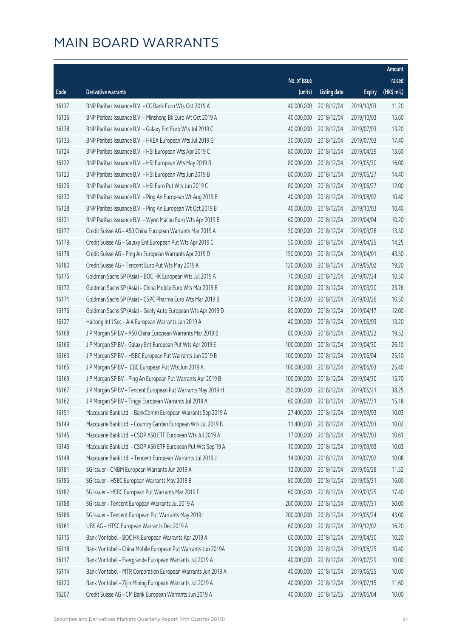| No. of issue<br>raised<br>(HK\$ mil.)<br>(units)<br>Code<br>Derivative warrants<br><b>Listing date</b><br><b>Expiry</b><br>40,000,000<br>11.20<br>16137<br>BNP Paribas Issuance B.V. - CC Bank Euro Wts Oct 2019 A<br>2018/12/04<br>2019/10/03<br>16136<br>BNP Paribas Issuance B.V. - Minsheng Bk Euro Wt Oct 2019 A<br>40,000,000<br>2018/12/04<br>2019/10/03<br>15.60<br>16138<br>40,000,000<br>13.20<br>BNP Paribas Issuance B.V. - Galaxy Ent Euro Wts Jul 2019 C<br>2018/12/04<br>2019/07/03<br>16133<br>BNP Paribas Issuance B.V. - HKEX European Wts Jul 2019 G<br>30,000,000<br>2018/12/04<br>2019/07/03<br>17.40<br>16124<br>80,000,000<br>BNP Paribas Issuance B.V. - HSI European Wts Apr 2019 C<br>2018/12/04<br>2019/04/29<br>13.60<br>16122<br>BNP Paribas Issuance B.V. - HSI European Wts May 2019 B<br>80,000,000<br>2018/12/04<br>2019/05/30<br>16.00<br>16123<br>80,000,000<br>14.40<br>BNP Paribas Issuance B.V. - HSI European Wts Jun 2019 B<br>2018/12/04<br>2019/06/27<br>16126<br>BNP Paribas Issuance B.V. - HSI Euro Put Wts Jun 2019 C<br>80,000,000<br>12.00<br>2018/12/04<br>2019/06/27<br>16130<br>40,000,000<br>10.40<br>BNP Paribas Issuance B.V. - Ping An European Wt Aug 2019 B<br>2018/12/04<br>2019/08/02<br>16128<br>BNP Paribas Issuance B.V. - Ping An European Wt Oct 2019 B<br>40,000,000<br>2018/12/04<br>2019/10/03<br>10.40<br>16121<br>60,000,000<br>10.20<br>BNP Paribas Issuance B.V. - Wynn Macau Euro Wts Apr 2019 B<br>2018/12/04<br>2019/04/04<br>13.50<br>16177<br>Credit Suisse AG - A50 China European Warrants Mar 2019 A<br>50,000,000<br>2018/12/04<br>2019/03/28<br>16179<br>50,000,000<br>14.25<br>Credit Suisse AG - Galaxy Ent European Put Wts Apr 2019 C<br>2018/12/04<br>2019/04/25<br>16178<br>Credit Suisse AG - Ping An European Warrants Apr 2019 D<br>150,000,000<br>2018/12/04<br>2019/04/01<br>43.50<br>16180<br>19.20<br>Credit Suisse AG - Tencent Euro Put Wts May 2019 K<br>120,000,000<br>2018/12/04<br>2019/05/02<br>Goldman Sachs SP (Asia) - BOC HK European Wts Jul 2019 A<br>70,000,000<br>2018/12/04<br>10.50<br>16175<br>2019/07/24<br>16172<br>Goldman Sachs SP (Asia) - China Mobile Euro Wts Mar 2019 B<br>80,000,000<br>23.76<br>2018/12/04<br>2019/03/20<br>70,000,000<br>10.50<br>16171<br>Goldman Sachs SP (Asia) - CSPC Pharma Euro Wts Mar 2019 B<br>2018/12/04<br>2019/03/26<br>16176<br>80,000,000<br>12.00<br>Goldman Sachs SP (Asia) - Geely Auto European Wts Apr 2019 D<br>2018/12/04<br>2019/04/17<br>40,000,000<br>13.20<br>16127<br>Haitong Int'l Sec - AIA European Warrants Jun 2019 A<br>2018/12/04<br>2019/06/03<br>16168<br>80,000,000<br>19.52<br>J P Morgan SP BV - A50 China European Warrants Mar 2019 B<br>2018/12/04<br>2019/03/22<br>16166<br>100,000,000<br>26.10<br>J P Morgan SP BV - Galaxy Ent European Put Wts Apr 2019 E<br>2018/12/04<br>2019/04/30<br>16163<br>100,000,000<br>25.10<br>J P Morgan SP BV - HSBC European Put Warrants Jun 2019 B<br>2018/12/04<br>2019/06/04<br>100,000,000<br>16165<br>J P Morgan SP BV - ICBC European Put Wts Jun 2019 A<br>2018/12/04<br>2019/06/03<br>25.40<br>16169<br>100,000,000<br>15.70<br>J P Morgan SP BV - Ping An European Put Warrants Apr 2019 B<br>2018/12/04<br>2019/04/30<br>250,000,000<br>38.25<br>16167<br>J P Morgan SP BV - Tencent European Put Warrants May 2019 H<br>2018/12/04<br>2019/05/21<br>15.18<br>16162<br>J P Morgan SP BV - Tingyi European Warrants Jul 2019 A<br>60,000,000 2018/12/04<br>2019/07/31<br>16151<br>Macquarie Bank Ltd. - BankComm European Warrants Sep 2019 A<br>27,400,000<br>2018/12/04<br>2019/09/03<br>10.03<br>16149<br>Macquarie Bank Ltd. - Country Garden European Wts Jul 2019 B<br>11,400,000<br>2018/12/04<br>10.02<br>2019/07/03<br>Macquarie Bank Ltd. - CSOP A50 ETF European Wts Jul 2019 A<br>17,000,000<br>2018/12/04<br>2019/07/03<br>10.61<br>16145<br>16146<br>Macquarie Bank Ltd. - CSOP A50 ETF European Put Wts Sep 19 A<br>10,000,000<br>10.03<br>2018/12/04<br>2019/09/03<br>16148<br>14,000,000<br>Macquarie Bank Ltd. - Tencent European Warrants Jul 2019 J<br>2018/12/04<br>2019/07/02<br>10.08<br>16181<br>SG Issuer - CNBM European Warrants Jun 2019 A<br>12,000,000<br>11.52<br>2018/12/04<br>2019/06/28<br>SG Issuer - HSBC European Warrants May 2019 B<br>80,000,000<br>2018/12/04<br>16.00<br>16185<br>2019/05/31<br>16182<br>SG Issuer - HSBC European Put Warrants Mar 2019 F<br>60,000,000<br>17.40<br>2018/12/04<br>2019/03/25<br>16188<br>200,000,000<br>50.00<br>SG Issuer - Tencent European Warrants Jul 2019 A<br>2018/12/04<br>2019/07/31<br>16186<br>SG Issuer - Tencent European Put Warrants May 2019 I<br>200,000,000<br>43.00<br>2018/12/04<br>2019/05/24<br>16161<br>UBS AG - HTSC European Warrants Dec 2019 A<br>60,000,000<br>16.20<br>2018/12/04<br>2019/12/02<br>16115<br>Bank Vontobel - BOC HK European Warrants Apr 2019 A<br>60,000,000<br>10.20<br>2018/12/04<br>2019/04/30 |  |  | Amount |
|--------------------------------------------------------------------------------------------------------------------------------------------------------------------------------------------------------------------------------------------------------------------------------------------------------------------------------------------------------------------------------------------------------------------------------------------------------------------------------------------------------------------------------------------------------------------------------------------------------------------------------------------------------------------------------------------------------------------------------------------------------------------------------------------------------------------------------------------------------------------------------------------------------------------------------------------------------------------------------------------------------------------------------------------------------------------------------------------------------------------------------------------------------------------------------------------------------------------------------------------------------------------------------------------------------------------------------------------------------------------------------------------------------------------------------------------------------------------------------------------------------------------------------------------------------------------------------------------------------------------------------------------------------------------------------------------------------------------------------------------------------------------------------------------------------------------------------------------------------------------------------------------------------------------------------------------------------------------------------------------------------------------------------------------------------------------------------------------------------------------------------------------------------------------------------------------------------------------------------------------------------------------------------------------------------------------------------------------------------------------------------------------------------------------------------------------------------------------------------------------------------------------------------------------------------------------------------------------------------------------------------------------------------------------------------------------------------------------------------------------------------------------------------------------------------------------------------------------------------------------------------------------------------------------------------------------------------------------------------------------------------------------------------------------------------------------------------------------------------------------------------------------------------------------------------------------------------------------------------------------------------------------------------------------------------------------------------------------------------------------------------------------------------------------------------------------------------------------------------------------------------------------------------------------------------------------------------------------------------------------------------------------------------------------------------------------------------------------------------------------------------------------------------------------------------------------------------------------------------------------------------------------------------------------------------------------------------------------------------------------------------------------------------------------------------------------------------------------------------------------------------------------------------------------------------------------------------------------------------------------------------------------------------------------------------------------------------------------------------------------------------------------------------------------------------------------------------------------------------------------------------------------------------------------------------------------------------------------------------------------------------------------------------------------------------------------------------------------------------------------------------------------------------------------------------------------------------------------------------------------------------------------------------------------------------------------------------------|--|--|--------|
|                                                                                                                                                                                                                                                                                                                                                                                                                                                                                                                                                                                                                                                                                                                                                                                                                                                                                                                                                                                                                                                                                                                                                                                                                                                                                                                                                                                                                                                                                                                                                                                                                                                                                                                                                                                                                                                                                                                                                                                                                                                                                                                                                                                                                                                                                                                                                                                                                                                                                                                                                                                                                                                                                                                                                                                                                                                                                                                                                                                                                                                                                                                                                                                                                                                                                                                                                                                                                                                                                                                                                                                                                                                                                                                                                                                                                                                                                                                                                                                                                                                                                                                                                                                                                                                                                                                                                                                                                                                                                                                                                                                                                                                                                                                                                                                                                                                                                                                                                              |  |  |        |
|                                                                                                                                                                                                                                                                                                                                                                                                                                                                                                                                                                                                                                                                                                                                                                                                                                                                                                                                                                                                                                                                                                                                                                                                                                                                                                                                                                                                                                                                                                                                                                                                                                                                                                                                                                                                                                                                                                                                                                                                                                                                                                                                                                                                                                                                                                                                                                                                                                                                                                                                                                                                                                                                                                                                                                                                                                                                                                                                                                                                                                                                                                                                                                                                                                                                                                                                                                                                                                                                                                                                                                                                                                                                                                                                                                                                                                                                                                                                                                                                                                                                                                                                                                                                                                                                                                                                                                                                                                                                                                                                                                                                                                                                                                                                                                                                                                                                                                                                                              |  |  |        |
|                                                                                                                                                                                                                                                                                                                                                                                                                                                                                                                                                                                                                                                                                                                                                                                                                                                                                                                                                                                                                                                                                                                                                                                                                                                                                                                                                                                                                                                                                                                                                                                                                                                                                                                                                                                                                                                                                                                                                                                                                                                                                                                                                                                                                                                                                                                                                                                                                                                                                                                                                                                                                                                                                                                                                                                                                                                                                                                                                                                                                                                                                                                                                                                                                                                                                                                                                                                                                                                                                                                                                                                                                                                                                                                                                                                                                                                                                                                                                                                                                                                                                                                                                                                                                                                                                                                                                                                                                                                                                                                                                                                                                                                                                                                                                                                                                                                                                                                                                              |  |  |        |
|                                                                                                                                                                                                                                                                                                                                                                                                                                                                                                                                                                                                                                                                                                                                                                                                                                                                                                                                                                                                                                                                                                                                                                                                                                                                                                                                                                                                                                                                                                                                                                                                                                                                                                                                                                                                                                                                                                                                                                                                                                                                                                                                                                                                                                                                                                                                                                                                                                                                                                                                                                                                                                                                                                                                                                                                                                                                                                                                                                                                                                                                                                                                                                                                                                                                                                                                                                                                                                                                                                                                                                                                                                                                                                                                                                                                                                                                                                                                                                                                                                                                                                                                                                                                                                                                                                                                                                                                                                                                                                                                                                                                                                                                                                                                                                                                                                                                                                                                                              |  |  |        |
|                                                                                                                                                                                                                                                                                                                                                                                                                                                                                                                                                                                                                                                                                                                                                                                                                                                                                                                                                                                                                                                                                                                                                                                                                                                                                                                                                                                                                                                                                                                                                                                                                                                                                                                                                                                                                                                                                                                                                                                                                                                                                                                                                                                                                                                                                                                                                                                                                                                                                                                                                                                                                                                                                                                                                                                                                                                                                                                                                                                                                                                                                                                                                                                                                                                                                                                                                                                                                                                                                                                                                                                                                                                                                                                                                                                                                                                                                                                                                                                                                                                                                                                                                                                                                                                                                                                                                                                                                                                                                                                                                                                                                                                                                                                                                                                                                                                                                                                                                              |  |  |        |
|                                                                                                                                                                                                                                                                                                                                                                                                                                                                                                                                                                                                                                                                                                                                                                                                                                                                                                                                                                                                                                                                                                                                                                                                                                                                                                                                                                                                                                                                                                                                                                                                                                                                                                                                                                                                                                                                                                                                                                                                                                                                                                                                                                                                                                                                                                                                                                                                                                                                                                                                                                                                                                                                                                                                                                                                                                                                                                                                                                                                                                                                                                                                                                                                                                                                                                                                                                                                                                                                                                                                                                                                                                                                                                                                                                                                                                                                                                                                                                                                                                                                                                                                                                                                                                                                                                                                                                                                                                                                                                                                                                                                                                                                                                                                                                                                                                                                                                                                                              |  |  |        |
|                                                                                                                                                                                                                                                                                                                                                                                                                                                                                                                                                                                                                                                                                                                                                                                                                                                                                                                                                                                                                                                                                                                                                                                                                                                                                                                                                                                                                                                                                                                                                                                                                                                                                                                                                                                                                                                                                                                                                                                                                                                                                                                                                                                                                                                                                                                                                                                                                                                                                                                                                                                                                                                                                                                                                                                                                                                                                                                                                                                                                                                                                                                                                                                                                                                                                                                                                                                                                                                                                                                                                                                                                                                                                                                                                                                                                                                                                                                                                                                                                                                                                                                                                                                                                                                                                                                                                                                                                                                                                                                                                                                                                                                                                                                                                                                                                                                                                                                                                              |  |  |        |
|                                                                                                                                                                                                                                                                                                                                                                                                                                                                                                                                                                                                                                                                                                                                                                                                                                                                                                                                                                                                                                                                                                                                                                                                                                                                                                                                                                                                                                                                                                                                                                                                                                                                                                                                                                                                                                                                                                                                                                                                                                                                                                                                                                                                                                                                                                                                                                                                                                                                                                                                                                                                                                                                                                                                                                                                                                                                                                                                                                                                                                                                                                                                                                                                                                                                                                                                                                                                                                                                                                                                                                                                                                                                                                                                                                                                                                                                                                                                                                                                                                                                                                                                                                                                                                                                                                                                                                                                                                                                                                                                                                                                                                                                                                                                                                                                                                                                                                                                                              |  |  |        |
|                                                                                                                                                                                                                                                                                                                                                                                                                                                                                                                                                                                                                                                                                                                                                                                                                                                                                                                                                                                                                                                                                                                                                                                                                                                                                                                                                                                                                                                                                                                                                                                                                                                                                                                                                                                                                                                                                                                                                                                                                                                                                                                                                                                                                                                                                                                                                                                                                                                                                                                                                                                                                                                                                                                                                                                                                                                                                                                                                                                                                                                                                                                                                                                                                                                                                                                                                                                                                                                                                                                                                                                                                                                                                                                                                                                                                                                                                                                                                                                                                                                                                                                                                                                                                                                                                                                                                                                                                                                                                                                                                                                                                                                                                                                                                                                                                                                                                                                                                              |  |  |        |
|                                                                                                                                                                                                                                                                                                                                                                                                                                                                                                                                                                                                                                                                                                                                                                                                                                                                                                                                                                                                                                                                                                                                                                                                                                                                                                                                                                                                                                                                                                                                                                                                                                                                                                                                                                                                                                                                                                                                                                                                                                                                                                                                                                                                                                                                                                                                                                                                                                                                                                                                                                                                                                                                                                                                                                                                                                                                                                                                                                                                                                                                                                                                                                                                                                                                                                                                                                                                                                                                                                                                                                                                                                                                                                                                                                                                                                                                                                                                                                                                                                                                                                                                                                                                                                                                                                                                                                                                                                                                                                                                                                                                                                                                                                                                                                                                                                                                                                                                                              |  |  |        |
|                                                                                                                                                                                                                                                                                                                                                                                                                                                                                                                                                                                                                                                                                                                                                                                                                                                                                                                                                                                                                                                                                                                                                                                                                                                                                                                                                                                                                                                                                                                                                                                                                                                                                                                                                                                                                                                                                                                                                                                                                                                                                                                                                                                                                                                                                                                                                                                                                                                                                                                                                                                                                                                                                                                                                                                                                                                                                                                                                                                                                                                                                                                                                                                                                                                                                                                                                                                                                                                                                                                                                                                                                                                                                                                                                                                                                                                                                                                                                                                                                                                                                                                                                                                                                                                                                                                                                                                                                                                                                                                                                                                                                                                                                                                                                                                                                                                                                                                                                              |  |  |        |
|                                                                                                                                                                                                                                                                                                                                                                                                                                                                                                                                                                                                                                                                                                                                                                                                                                                                                                                                                                                                                                                                                                                                                                                                                                                                                                                                                                                                                                                                                                                                                                                                                                                                                                                                                                                                                                                                                                                                                                                                                                                                                                                                                                                                                                                                                                                                                                                                                                                                                                                                                                                                                                                                                                                                                                                                                                                                                                                                                                                                                                                                                                                                                                                                                                                                                                                                                                                                                                                                                                                                                                                                                                                                                                                                                                                                                                                                                                                                                                                                                                                                                                                                                                                                                                                                                                                                                                                                                                                                                                                                                                                                                                                                                                                                                                                                                                                                                                                                                              |  |  |        |
|                                                                                                                                                                                                                                                                                                                                                                                                                                                                                                                                                                                                                                                                                                                                                                                                                                                                                                                                                                                                                                                                                                                                                                                                                                                                                                                                                                                                                                                                                                                                                                                                                                                                                                                                                                                                                                                                                                                                                                                                                                                                                                                                                                                                                                                                                                                                                                                                                                                                                                                                                                                                                                                                                                                                                                                                                                                                                                                                                                                                                                                                                                                                                                                                                                                                                                                                                                                                                                                                                                                                                                                                                                                                                                                                                                                                                                                                                                                                                                                                                                                                                                                                                                                                                                                                                                                                                                                                                                                                                                                                                                                                                                                                                                                                                                                                                                                                                                                                                              |  |  |        |
|                                                                                                                                                                                                                                                                                                                                                                                                                                                                                                                                                                                                                                                                                                                                                                                                                                                                                                                                                                                                                                                                                                                                                                                                                                                                                                                                                                                                                                                                                                                                                                                                                                                                                                                                                                                                                                                                                                                                                                                                                                                                                                                                                                                                                                                                                                                                                                                                                                                                                                                                                                                                                                                                                                                                                                                                                                                                                                                                                                                                                                                                                                                                                                                                                                                                                                                                                                                                                                                                                                                                                                                                                                                                                                                                                                                                                                                                                                                                                                                                                                                                                                                                                                                                                                                                                                                                                                                                                                                                                                                                                                                                                                                                                                                                                                                                                                                                                                                                                              |  |  |        |
|                                                                                                                                                                                                                                                                                                                                                                                                                                                                                                                                                                                                                                                                                                                                                                                                                                                                                                                                                                                                                                                                                                                                                                                                                                                                                                                                                                                                                                                                                                                                                                                                                                                                                                                                                                                                                                                                                                                                                                                                                                                                                                                                                                                                                                                                                                                                                                                                                                                                                                                                                                                                                                                                                                                                                                                                                                                                                                                                                                                                                                                                                                                                                                                                                                                                                                                                                                                                                                                                                                                                                                                                                                                                                                                                                                                                                                                                                                                                                                                                                                                                                                                                                                                                                                                                                                                                                                                                                                                                                                                                                                                                                                                                                                                                                                                                                                                                                                                                                              |  |  |        |
|                                                                                                                                                                                                                                                                                                                                                                                                                                                                                                                                                                                                                                                                                                                                                                                                                                                                                                                                                                                                                                                                                                                                                                                                                                                                                                                                                                                                                                                                                                                                                                                                                                                                                                                                                                                                                                                                                                                                                                                                                                                                                                                                                                                                                                                                                                                                                                                                                                                                                                                                                                                                                                                                                                                                                                                                                                                                                                                                                                                                                                                                                                                                                                                                                                                                                                                                                                                                                                                                                                                                                                                                                                                                                                                                                                                                                                                                                                                                                                                                                                                                                                                                                                                                                                                                                                                                                                                                                                                                                                                                                                                                                                                                                                                                                                                                                                                                                                                                                              |  |  |        |
|                                                                                                                                                                                                                                                                                                                                                                                                                                                                                                                                                                                                                                                                                                                                                                                                                                                                                                                                                                                                                                                                                                                                                                                                                                                                                                                                                                                                                                                                                                                                                                                                                                                                                                                                                                                                                                                                                                                                                                                                                                                                                                                                                                                                                                                                                                                                                                                                                                                                                                                                                                                                                                                                                                                                                                                                                                                                                                                                                                                                                                                                                                                                                                                                                                                                                                                                                                                                                                                                                                                                                                                                                                                                                                                                                                                                                                                                                                                                                                                                                                                                                                                                                                                                                                                                                                                                                                                                                                                                                                                                                                                                                                                                                                                                                                                                                                                                                                                                                              |  |  |        |
|                                                                                                                                                                                                                                                                                                                                                                                                                                                                                                                                                                                                                                                                                                                                                                                                                                                                                                                                                                                                                                                                                                                                                                                                                                                                                                                                                                                                                                                                                                                                                                                                                                                                                                                                                                                                                                                                                                                                                                                                                                                                                                                                                                                                                                                                                                                                                                                                                                                                                                                                                                                                                                                                                                                                                                                                                                                                                                                                                                                                                                                                                                                                                                                                                                                                                                                                                                                                                                                                                                                                                                                                                                                                                                                                                                                                                                                                                                                                                                                                                                                                                                                                                                                                                                                                                                                                                                                                                                                                                                                                                                                                                                                                                                                                                                                                                                                                                                                                                              |  |  |        |
|                                                                                                                                                                                                                                                                                                                                                                                                                                                                                                                                                                                                                                                                                                                                                                                                                                                                                                                                                                                                                                                                                                                                                                                                                                                                                                                                                                                                                                                                                                                                                                                                                                                                                                                                                                                                                                                                                                                                                                                                                                                                                                                                                                                                                                                                                                                                                                                                                                                                                                                                                                                                                                                                                                                                                                                                                                                                                                                                                                                                                                                                                                                                                                                                                                                                                                                                                                                                                                                                                                                                                                                                                                                                                                                                                                                                                                                                                                                                                                                                                                                                                                                                                                                                                                                                                                                                                                                                                                                                                                                                                                                                                                                                                                                                                                                                                                                                                                                                                              |  |  |        |
|                                                                                                                                                                                                                                                                                                                                                                                                                                                                                                                                                                                                                                                                                                                                                                                                                                                                                                                                                                                                                                                                                                                                                                                                                                                                                                                                                                                                                                                                                                                                                                                                                                                                                                                                                                                                                                                                                                                                                                                                                                                                                                                                                                                                                                                                                                                                                                                                                                                                                                                                                                                                                                                                                                                                                                                                                                                                                                                                                                                                                                                                                                                                                                                                                                                                                                                                                                                                                                                                                                                                                                                                                                                                                                                                                                                                                                                                                                                                                                                                                                                                                                                                                                                                                                                                                                                                                                                                                                                                                                                                                                                                                                                                                                                                                                                                                                                                                                                                                              |  |  |        |
|                                                                                                                                                                                                                                                                                                                                                                                                                                                                                                                                                                                                                                                                                                                                                                                                                                                                                                                                                                                                                                                                                                                                                                                                                                                                                                                                                                                                                                                                                                                                                                                                                                                                                                                                                                                                                                                                                                                                                                                                                                                                                                                                                                                                                                                                                                                                                                                                                                                                                                                                                                                                                                                                                                                                                                                                                                                                                                                                                                                                                                                                                                                                                                                                                                                                                                                                                                                                                                                                                                                                                                                                                                                                                                                                                                                                                                                                                                                                                                                                                                                                                                                                                                                                                                                                                                                                                                                                                                                                                                                                                                                                                                                                                                                                                                                                                                                                                                                                                              |  |  |        |
|                                                                                                                                                                                                                                                                                                                                                                                                                                                                                                                                                                                                                                                                                                                                                                                                                                                                                                                                                                                                                                                                                                                                                                                                                                                                                                                                                                                                                                                                                                                                                                                                                                                                                                                                                                                                                                                                                                                                                                                                                                                                                                                                                                                                                                                                                                                                                                                                                                                                                                                                                                                                                                                                                                                                                                                                                                                                                                                                                                                                                                                                                                                                                                                                                                                                                                                                                                                                                                                                                                                                                                                                                                                                                                                                                                                                                                                                                                                                                                                                                                                                                                                                                                                                                                                                                                                                                                                                                                                                                                                                                                                                                                                                                                                                                                                                                                                                                                                                                              |  |  |        |
|                                                                                                                                                                                                                                                                                                                                                                                                                                                                                                                                                                                                                                                                                                                                                                                                                                                                                                                                                                                                                                                                                                                                                                                                                                                                                                                                                                                                                                                                                                                                                                                                                                                                                                                                                                                                                                                                                                                                                                                                                                                                                                                                                                                                                                                                                                                                                                                                                                                                                                                                                                                                                                                                                                                                                                                                                                                                                                                                                                                                                                                                                                                                                                                                                                                                                                                                                                                                                                                                                                                                                                                                                                                                                                                                                                                                                                                                                                                                                                                                                                                                                                                                                                                                                                                                                                                                                                                                                                                                                                                                                                                                                                                                                                                                                                                                                                                                                                                                                              |  |  |        |
|                                                                                                                                                                                                                                                                                                                                                                                                                                                                                                                                                                                                                                                                                                                                                                                                                                                                                                                                                                                                                                                                                                                                                                                                                                                                                                                                                                                                                                                                                                                                                                                                                                                                                                                                                                                                                                                                                                                                                                                                                                                                                                                                                                                                                                                                                                                                                                                                                                                                                                                                                                                                                                                                                                                                                                                                                                                                                                                                                                                                                                                                                                                                                                                                                                                                                                                                                                                                                                                                                                                                                                                                                                                                                                                                                                                                                                                                                                                                                                                                                                                                                                                                                                                                                                                                                                                                                                                                                                                                                                                                                                                                                                                                                                                                                                                                                                                                                                                                                              |  |  |        |
|                                                                                                                                                                                                                                                                                                                                                                                                                                                                                                                                                                                                                                                                                                                                                                                                                                                                                                                                                                                                                                                                                                                                                                                                                                                                                                                                                                                                                                                                                                                                                                                                                                                                                                                                                                                                                                                                                                                                                                                                                                                                                                                                                                                                                                                                                                                                                                                                                                                                                                                                                                                                                                                                                                                                                                                                                                                                                                                                                                                                                                                                                                                                                                                                                                                                                                                                                                                                                                                                                                                                                                                                                                                                                                                                                                                                                                                                                                                                                                                                                                                                                                                                                                                                                                                                                                                                                                                                                                                                                                                                                                                                                                                                                                                                                                                                                                                                                                                                                              |  |  |        |
|                                                                                                                                                                                                                                                                                                                                                                                                                                                                                                                                                                                                                                                                                                                                                                                                                                                                                                                                                                                                                                                                                                                                                                                                                                                                                                                                                                                                                                                                                                                                                                                                                                                                                                                                                                                                                                                                                                                                                                                                                                                                                                                                                                                                                                                                                                                                                                                                                                                                                                                                                                                                                                                                                                                                                                                                                                                                                                                                                                                                                                                                                                                                                                                                                                                                                                                                                                                                                                                                                                                                                                                                                                                                                                                                                                                                                                                                                                                                                                                                                                                                                                                                                                                                                                                                                                                                                                                                                                                                                                                                                                                                                                                                                                                                                                                                                                                                                                                                                              |  |  |        |
|                                                                                                                                                                                                                                                                                                                                                                                                                                                                                                                                                                                                                                                                                                                                                                                                                                                                                                                                                                                                                                                                                                                                                                                                                                                                                                                                                                                                                                                                                                                                                                                                                                                                                                                                                                                                                                                                                                                                                                                                                                                                                                                                                                                                                                                                                                                                                                                                                                                                                                                                                                                                                                                                                                                                                                                                                                                                                                                                                                                                                                                                                                                                                                                                                                                                                                                                                                                                                                                                                                                                                                                                                                                                                                                                                                                                                                                                                                                                                                                                                                                                                                                                                                                                                                                                                                                                                                                                                                                                                                                                                                                                                                                                                                                                                                                                                                                                                                                                                              |  |  |        |
|                                                                                                                                                                                                                                                                                                                                                                                                                                                                                                                                                                                                                                                                                                                                                                                                                                                                                                                                                                                                                                                                                                                                                                                                                                                                                                                                                                                                                                                                                                                                                                                                                                                                                                                                                                                                                                                                                                                                                                                                                                                                                                                                                                                                                                                                                                                                                                                                                                                                                                                                                                                                                                                                                                                                                                                                                                                                                                                                                                                                                                                                                                                                                                                                                                                                                                                                                                                                                                                                                                                                                                                                                                                                                                                                                                                                                                                                                                                                                                                                                                                                                                                                                                                                                                                                                                                                                                                                                                                                                                                                                                                                                                                                                                                                                                                                                                                                                                                                                              |  |  |        |
|                                                                                                                                                                                                                                                                                                                                                                                                                                                                                                                                                                                                                                                                                                                                                                                                                                                                                                                                                                                                                                                                                                                                                                                                                                                                                                                                                                                                                                                                                                                                                                                                                                                                                                                                                                                                                                                                                                                                                                                                                                                                                                                                                                                                                                                                                                                                                                                                                                                                                                                                                                                                                                                                                                                                                                                                                                                                                                                                                                                                                                                                                                                                                                                                                                                                                                                                                                                                                                                                                                                                                                                                                                                                                                                                                                                                                                                                                                                                                                                                                                                                                                                                                                                                                                                                                                                                                                                                                                                                                                                                                                                                                                                                                                                                                                                                                                                                                                                                                              |  |  |        |
|                                                                                                                                                                                                                                                                                                                                                                                                                                                                                                                                                                                                                                                                                                                                                                                                                                                                                                                                                                                                                                                                                                                                                                                                                                                                                                                                                                                                                                                                                                                                                                                                                                                                                                                                                                                                                                                                                                                                                                                                                                                                                                                                                                                                                                                                                                                                                                                                                                                                                                                                                                                                                                                                                                                                                                                                                                                                                                                                                                                                                                                                                                                                                                                                                                                                                                                                                                                                                                                                                                                                                                                                                                                                                                                                                                                                                                                                                                                                                                                                                                                                                                                                                                                                                                                                                                                                                                                                                                                                                                                                                                                                                                                                                                                                                                                                                                                                                                                                                              |  |  |        |
|                                                                                                                                                                                                                                                                                                                                                                                                                                                                                                                                                                                                                                                                                                                                                                                                                                                                                                                                                                                                                                                                                                                                                                                                                                                                                                                                                                                                                                                                                                                                                                                                                                                                                                                                                                                                                                                                                                                                                                                                                                                                                                                                                                                                                                                                                                                                                                                                                                                                                                                                                                                                                                                                                                                                                                                                                                                                                                                                                                                                                                                                                                                                                                                                                                                                                                                                                                                                                                                                                                                                                                                                                                                                                                                                                                                                                                                                                                                                                                                                                                                                                                                                                                                                                                                                                                                                                                                                                                                                                                                                                                                                                                                                                                                                                                                                                                                                                                                                                              |  |  |        |
|                                                                                                                                                                                                                                                                                                                                                                                                                                                                                                                                                                                                                                                                                                                                                                                                                                                                                                                                                                                                                                                                                                                                                                                                                                                                                                                                                                                                                                                                                                                                                                                                                                                                                                                                                                                                                                                                                                                                                                                                                                                                                                                                                                                                                                                                                                                                                                                                                                                                                                                                                                                                                                                                                                                                                                                                                                                                                                                                                                                                                                                                                                                                                                                                                                                                                                                                                                                                                                                                                                                                                                                                                                                                                                                                                                                                                                                                                                                                                                                                                                                                                                                                                                                                                                                                                                                                                                                                                                                                                                                                                                                                                                                                                                                                                                                                                                                                                                                                                              |  |  |        |
|                                                                                                                                                                                                                                                                                                                                                                                                                                                                                                                                                                                                                                                                                                                                                                                                                                                                                                                                                                                                                                                                                                                                                                                                                                                                                                                                                                                                                                                                                                                                                                                                                                                                                                                                                                                                                                                                                                                                                                                                                                                                                                                                                                                                                                                                                                                                                                                                                                                                                                                                                                                                                                                                                                                                                                                                                                                                                                                                                                                                                                                                                                                                                                                                                                                                                                                                                                                                                                                                                                                                                                                                                                                                                                                                                                                                                                                                                                                                                                                                                                                                                                                                                                                                                                                                                                                                                                                                                                                                                                                                                                                                                                                                                                                                                                                                                                                                                                                                                              |  |  |        |
|                                                                                                                                                                                                                                                                                                                                                                                                                                                                                                                                                                                                                                                                                                                                                                                                                                                                                                                                                                                                                                                                                                                                                                                                                                                                                                                                                                                                                                                                                                                                                                                                                                                                                                                                                                                                                                                                                                                                                                                                                                                                                                                                                                                                                                                                                                                                                                                                                                                                                                                                                                                                                                                                                                                                                                                                                                                                                                                                                                                                                                                                                                                                                                                                                                                                                                                                                                                                                                                                                                                                                                                                                                                                                                                                                                                                                                                                                                                                                                                                                                                                                                                                                                                                                                                                                                                                                                                                                                                                                                                                                                                                                                                                                                                                                                                                                                                                                                                                                              |  |  |        |
|                                                                                                                                                                                                                                                                                                                                                                                                                                                                                                                                                                                                                                                                                                                                                                                                                                                                                                                                                                                                                                                                                                                                                                                                                                                                                                                                                                                                                                                                                                                                                                                                                                                                                                                                                                                                                                                                                                                                                                                                                                                                                                                                                                                                                                                                                                                                                                                                                                                                                                                                                                                                                                                                                                                                                                                                                                                                                                                                                                                                                                                                                                                                                                                                                                                                                                                                                                                                                                                                                                                                                                                                                                                                                                                                                                                                                                                                                                                                                                                                                                                                                                                                                                                                                                                                                                                                                                                                                                                                                                                                                                                                                                                                                                                                                                                                                                                                                                                                                              |  |  |        |
|                                                                                                                                                                                                                                                                                                                                                                                                                                                                                                                                                                                                                                                                                                                                                                                                                                                                                                                                                                                                                                                                                                                                                                                                                                                                                                                                                                                                                                                                                                                                                                                                                                                                                                                                                                                                                                                                                                                                                                                                                                                                                                                                                                                                                                                                                                                                                                                                                                                                                                                                                                                                                                                                                                                                                                                                                                                                                                                                                                                                                                                                                                                                                                                                                                                                                                                                                                                                                                                                                                                                                                                                                                                                                                                                                                                                                                                                                                                                                                                                                                                                                                                                                                                                                                                                                                                                                                                                                                                                                                                                                                                                                                                                                                                                                                                                                                                                                                                                                              |  |  |        |
|                                                                                                                                                                                                                                                                                                                                                                                                                                                                                                                                                                                                                                                                                                                                                                                                                                                                                                                                                                                                                                                                                                                                                                                                                                                                                                                                                                                                                                                                                                                                                                                                                                                                                                                                                                                                                                                                                                                                                                                                                                                                                                                                                                                                                                                                                                                                                                                                                                                                                                                                                                                                                                                                                                                                                                                                                                                                                                                                                                                                                                                                                                                                                                                                                                                                                                                                                                                                                                                                                                                                                                                                                                                                                                                                                                                                                                                                                                                                                                                                                                                                                                                                                                                                                                                                                                                                                                                                                                                                                                                                                                                                                                                                                                                                                                                                                                                                                                                                                              |  |  |        |
|                                                                                                                                                                                                                                                                                                                                                                                                                                                                                                                                                                                                                                                                                                                                                                                                                                                                                                                                                                                                                                                                                                                                                                                                                                                                                                                                                                                                                                                                                                                                                                                                                                                                                                                                                                                                                                                                                                                                                                                                                                                                                                                                                                                                                                                                                                                                                                                                                                                                                                                                                                                                                                                                                                                                                                                                                                                                                                                                                                                                                                                                                                                                                                                                                                                                                                                                                                                                                                                                                                                                                                                                                                                                                                                                                                                                                                                                                                                                                                                                                                                                                                                                                                                                                                                                                                                                                                                                                                                                                                                                                                                                                                                                                                                                                                                                                                                                                                                                                              |  |  |        |
|                                                                                                                                                                                                                                                                                                                                                                                                                                                                                                                                                                                                                                                                                                                                                                                                                                                                                                                                                                                                                                                                                                                                                                                                                                                                                                                                                                                                                                                                                                                                                                                                                                                                                                                                                                                                                                                                                                                                                                                                                                                                                                                                                                                                                                                                                                                                                                                                                                                                                                                                                                                                                                                                                                                                                                                                                                                                                                                                                                                                                                                                                                                                                                                                                                                                                                                                                                                                                                                                                                                                                                                                                                                                                                                                                                                                                                                                                                                                                                                                                                                                                                                                                                                                                                                                                                                                                                                                                                                                                                                                                                                                                                                                                                                                                                                                                                                                                                                                                              |  |  |        |
|                                                                                                                                                                                                                                                                                                                                                                                                                                                                                                                                                                                                                                                                                                                                                                                                                                                                                                                                                                                                                                                                                                                                                                                                                                                                                                                                                                                                                                                                                                                                                                                                                                                                                                                                                                                                                                                                                                                                                                                                                                                                                                                                                                                                                                                                                                                                                                                                                                                                                                                                                                                                                                                                                                                                                                                                                                                                                                                                                                                                                                                                                                                                                                                                                                                                                                                                                                                                                                                                                                                                                                                                                                                                                                                                                                                                                                                                                                                                                                                                                                                                                                                                                                                                                                                                                                                                                                                                                                                                                                                                                                                                                                                                                                                                                                                                                                                                                                                                                              |  |  |        |
|                                                                                                                                                                                                                                                                                                                                                                                                                                                                                                                                                                                                                                                                                                                                                                                                                                                                                                                                                                                                                                                                                                                                                                                                                                                                                                                                                                                                                                                                                                                                                                                                                                                                                                                                                                                                                                                                                                                                                                                                                                                                                                                                                                                                                                                                                                                                                                                                                                                                                                                                                                                                                                                                                                                                                                                                                                                                                                                                                                                                                                                                                                                                                                                                                                                                                                                                                                                                                                                                                                                                                                                                                                                                                                                                                                                                                                                                                                                                                                                                                                                                                                                                                                                                                                                                                                                                                                                                                                                                                                                                                                                                                                                                                                                                                                                                                                                                                                                                                              |  |  |        |
| Bank Vontobel - China Mobile European Put Warrants Jun 2019A<br>20,000,000<br>16118<br>2018/12/04<br>2019/06/25<br>10.40<br>16117<br>Bank Vontobel - Evergrande European Warrants Jul 2019 A<br>40,000,000<br>10.00<br>2018/12/04<br>2019/07/29                                                                                                                                                                                                                                                                                                                                                                                                                                                                                                                                                                                                                                                                                                                                                                                                                                                                                                                                                                                                                                                                                                                                                                                                                                                                                                                                                                                                                                                                                                                                                                                                                                                                                                                                                                                                                                                                                                                                                                                                                                                                                                                                                                                                                                                                                                                                                                                                                                                                                                                                                                                                                                                                                                                                                                                                                                                                                                                                                                                                                                                                                                                                                                                                                                                                                                                                                                                                                                                                                                                                                                                                                                                                                                                                                                                                                                                                                                                                                                                                                                                                                                                                                                                                                                                                                                                                                                                                                                                                                                                                                                                                                                                                                                              |  |  |        |
| Bank Vontobel - MTR Corporation European Warrants Jun 2019 A<br>40,000,000<br>2018/12/04<br>16114<br>2019/06/25<br>10.00                                                                                                                                                                                                                                                                                                                                                                                                                                                                                                                                                                                                                                                                                                                                                                                                                                                                                                                                                                                                                                                                                                                                                                                                                                                                                                                                                                                                                                                                                                                                                                                                                                                                                                                                                                                                                                                                                                                                                                                                                                                                                                                                                                                                                                                                                                                                                                                                                                                                                                                                                                                                                                                                                                                                                                                                                                                                                                                                                                                                                                                                                                                                                                                                                                                                                                                                                                                                                                                                                                                                                                                                                                                                                                                                                                                                                                                                                                                                                                                                                                                                                                                                                                                                                                                                                                                                                                                                                                                                                                                                                                                                                                                                                                                                                                                                                                     |  |  |        |
| 16120<br>Bank Vontobel - Zijin Mining European Warrants Jul 2019 A<br>40,000,000<br>2018/12/04<br>11.60<br>2019/07/15                                                                                                                                                                                                                                                                                                                                                                                                                                                                                                                                                                                                                                                                                                                                                                                                                                                                                                                                                                                                                                                                                                                                                                                                                                                                                                                                                                                                                                                                                                                                                                                                                                                                                                                                                                                                                                                                                                                                                                                                                                                                                                                                                                                                                                                                                                                                                                                                                                                                                                                                                                                                                                                                                                                                                                                                                                                                                                                                                                                                                                                                                                                                                                                                                                                                                                                                                                                                                                                                                                                                                                                                                                                                                                                                                                                                                                                                                                                                                                                                                                                                                                                                                                                                                                                                                                                                                                                                                                                                                                                                                                                                                                                                                                                                                                                                                                        |  |  |        |
| Credit Suisse AG - CM Bank European Warrants Jun 2019 A<br>40,000,000<br>16207<br>2018/12/05<br>2019/06/04<br>10.00                                                                                                                                                                                                                                                                                                                                                                                                                                                                                                                                                                                                                                                                                                                                                                                                                                                                                                                                                                                                                                                                                                                                                                                                                                                                                                                                                                                                                                                                                                                                                                                                                                                                                                                                                                                                                                                                                                                                                                                                                                                                                                                                                                                                                                                                                                                                                                                                                                                                                                                                                                                                                                                                                                                                                                                                                                                                                                                                                                                                                                                                                                                                                                                                                                                                                                                                                                                                                                                                                                                                                                                                                                                                                                                                                                                                                                                                                                                                                                                                                                                                                                                                                                                                                                                                                                                                                                                                                                                                                                                                                                                                                                                                                                                                                                                                                                          |  |  |        |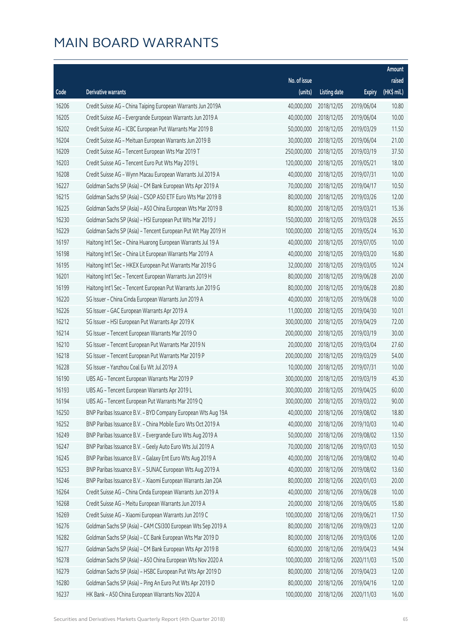|       |                                                              |              |                        |               | Amount      |
|-------|--------------------------------------------------------------|--------------|------------------------|---------------|-------------|
|       |                                                              | No. of issue |                        |               | raised      |
| Code  | Derivative warrants                                          | (units)      | <b>Listing date</b>    | <b>Expiry</b> | (HK\$ mil.) |
| 16206 | Credit Suisse AG - China Taiping European Warrants Jun 2019A | 40,000,000   | 2018/12/05             | 2019/06/04    | 10.80       |
| 16205 | Credit Suisse AG - Evergrande European Warrants Jun 2019 A   | 40,000,000   | 2018/12/05             | 2019/06/04    | 10.00       |
| 16202 | Credit Suisse AG - ICBC European Put Warrants Mar 2019 B     | 50,000,000   | 2018/12/05             | 2019/03/29    | 11.50       |
| 16204 | Credit Suisse AG - Meituan European Warrants Jun 2019 B      | 30,000,000   | 2018/12/05             | 2019/06/04    | 21.00       |
| 16209 | Credit Suisse AG - Tencent European Wts Mar 2019 T           | 250,000,000  | 2018/12/05             | 2019/03/19    | 37.50       |
| 16203 | Credit Suisse AG - Tencent Euro Put Wts May 2019 L           | 120,000,000  | 2018/12/05             | 2019/05/21    | 18.00       |
| 16208 | Credit Suisse AG - Wynn Macau European Warrants Jul 2019 A   | 40,000,000   | 2018/12/05             | 2019/07/31    | 10.00       |
| 16227 | Goldman Sachs SP (Asia) - CM Bank European Wts Apr 2019 A    | 70,000,000   | 2018/12/05             | 2019/04/17    | 10.50       |
| 16215 | Goldman Sachs SP (Asia) - CSOP A50 ETF Euro Wts Mar 2019 B   | 80,000,000   | 2018/12/05             | 2019/03/26    | 12.00       |
| 16225 | Goldman Sachs SP (Asia) - A50 China European Wts Mar 2019 B  | 80,000,000   | 2018/12/05             | 2019/03/21    | 15.36       |
| 16230 | Goldman Sachs SP (Asia) - HSI European Put Wts Mar 2019 J    | 150,000,000  | 2018/12/05             | 2019/03/28    | 26.55       |
| 16229 | Goldman Sachs SP (Asia) - Tencent European Put Wt May 2019 H | 100,000,000  | 2018/12/05             | 2019/05/24    | 16.30       |
| 16197 | Haitong Int'l Sec - China Huarong European Warrants Jul 19 A | 40,000,000   | 2018/12/05             | 2019/07/05    | 10.00       |
| 16198 | Haitong Int'l Sec - China Lit European Warrants Mar 2019 A   | 40,000,000   | 2018/12/05             | 2019/03/20    | 16.80       |
| 16195 | Haitong Int'l Sec - HKEX European Put Warrants Mar 2019 G    | 32,000,000   | 2018/12/05             | 2019/03/05    | 10.24       |
| 16201 | Haitong Int'l Sec - Tencent European Warrants Jun 2019 H     | 80,000,000   | 2018/12/05             | 2019/06/28    | 20.00       |
| 16199 | Haitong Int'l Sec - Tencent European Put Warrants Jun 2019 G | 80,000,000   | 2018/12/05             | 2019/06/28    | 20.80       |
| 16220 | SG Issuer - China Cinda European Warrants Jun 2019 A         | 40,000,000   | 2018/12/05             | 2019/06/28    | 10.00       |
| 16226 | SG Issuer - GAC European Warrants Apr 2019 A                 | 11,000,000   | 2018/12/05             | 2019/04/30    | 10.01       |
| 16212 | SG Issuer - HSI European Put Warrants Apr 2019 K             | 300,000,000  | 2018/12/05             | 2019/04/29    | 72.00       |
| 16214 | SG Issuer - Tencent European Warrants Mar 2019 O             | 200,000,000  | 2018/12/05             | 2019/03/19    | 30.00       |
| 16210 | SG Issuer - Tencent European Put Warrants Mar 2019 N         | 20,000,000   | 2018/12/05             | 2019/03/04    | 27.60       |
| 16218 | SG Issuer - Tencent European Put Warrants Mar 2019 P         | 200,000,000  | 2018/12/05             | 2019/03/29    | 54.00       |
| 16228 | SG Issuer - Yanzhou Coal Eu Wt Jul 2019 A                    | 10,000,000   | 2018/12/05             | 2019/07/31    | 10.00       |
| 16190 | UBS AG - Tencent European Warrants Mar 2019 P                | 300,000,000  | 2018/12/05             | 2019/03/19    | 45.30       |
| 16193 | UBS AG - Tencent European Warrants Apr 2019 L                | 300,000,000  | 2018/12/05             | 2019/04/25    | 60.00       |
| 16194 | UBS AG - Tencent European Put Warrants Mar 2019 Q            |              | 300,000,000 2018/12/05 | 2019/03/22    | 90.00       |
| 16250 | BNP Paribas Issuance B.V. - BYD Company European Wts Aug 19A | 40,000,000   | 2018/12/06             | 2019/08/02    | 18.80       |
| 16252 | BNP Paribas Issuance B.V. - China Mobile Euro Wts Oct 2019 A | 40,000,000   | 2018/12/06             | 2019/10/03    | 10.40       |
| 16249 | BNP Paribas Issuance B.V. - Evergrande Euro Wts Aug 2019 A   | 50,000,000   | 2018/12/06             | 2019/08/02    | 13.50       |
| 16247 | BNP Paribas Issuance B.V. - Geely Auto Euro Wts Jul 2019 A   | 70,000,000   | 2018/12/06             | 2019/07/03    | 10.50       |
| 16245 | BNP Paribas Issuance B.V. - Galaxy Ent Euro Wts Aug 2019 A   | 40,000,000   | 2018/12/06             | 2019/08/02    | 10.40       |
| 16253 | BNP Paribas Issuance B.V. - SUNAC European Wts Aug 2019 A    | 40,000,000   | 2018/12/06             | 2019/08/02    | 13.60       |
| 16246 | BNP Paribas Issuance B.V. - Xiaomi European Warrants Jan 20A | 80,000,000   | 2018/12/06             | 2020/01/03    | 20.00       |
| 16264 | Credit Suisse AG - China Cinda European Warrants Jun 2019 A  | 40,000,000   | 2018/12/06             | 2019/06/28    | 10.00       |
| 16268 | Credit Suisse AG - Meitu European Warrants Jun 2019 A        | 20,000,000   | 2018/12/06             | 2019/06/05    | 15.80       |
| 16269 | Credit Suisse AG - Xiaomi European Warrants Jun 2019 C       | 100,000,000  | 2018/12/06             | 2019/06/21    | 17.50       |
| 16276 | Goldman Sachs SP (Asia) - CAM CSI300 European Wts Sep 2019 A | 80,000,000   | 2018/12/06             | 2019/09/23    | 12.00       |
| 16282 | Goldman Sachs SP (Asia) - CC Bank European Wts Mar 2019 D    | 80,000,000   | 2018/12/06             | 2019/03/06    | 12.00       |
| 16277 | Goldman Sachs SP (Asia) - CM Bank European Wts Apr 2019 B    | 60,000,000   | 2018/12/06             | 2019/04/23    | 14.94       |
| 16278 | Goldman Sachs SP (Asia) - A50 China European Wts Nov 2020 A  | 100,000,000  | 2018/12/06             | 2020/11/03    | 15.00       |
| 16279 | Goldman Sachs SP (Asia) - HSBC European Put Wts Apr 2019 D   | 80,000,000   | 2018/12/06             | 2019/04/23    | 12.00       |
| 16280 | Goldman Sachs SP (Asia) - Ping An Euro Put Wts Apr 2019 D    | 80,000,000   | 2018/12/06             | 2019/04/16    | 12.00       |
| 16237 | HK Bank - A50 China European Warrants Nov 2020 A             | 100,000,000  | 2018/12/06             | 2020/11/03    | 16.00       |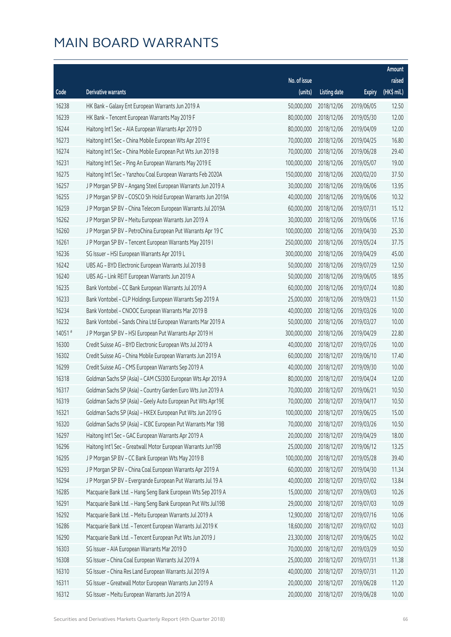|        |                                                              |              |                       |               | Amount      |
|--------|--------------------------------------------------------------|--------------|-----------------------|---------------|-------------|
|        |                                                              | No. of issue |                       |               | raised      |
| Code   | <b>Derivative warrants</b>                                   | (units)      | <b>Listing date</b>   | <b>Expiry</b> | (HK\$ mil.) |
| 16238  | HK Bank - Galaxy Ent European Warrants Jun 2019 A            | 50,000,000   | 2018/12/06            | 2019/06/05    | 12.50       |
| 16239  | HK Bank - Tencent European Warrants May 2019 F               | 80,000,000   | 2018/12/06            | 2019/05/30    | 12.00       |
| 16244  | Haitong Int'l Sec - AIA European Warrants Apr 2019 D         | 80,000,000   | 2018/12/06            | 2019/04/09    | 12.00       |
| 16273  | Haitong Int'l Sec - China Mobile European Wts Apr 2019 E     | 70,000,000   | 2018/12/06            | 2019/04/25    | 16.80       |
| 16274  | Haitong Int'l Sec - China Mobile European Put Wts Jun 2019 B | 70,000,000   | 2018/12/06            | 2019/06/28    | 29.40       |
| 16231  | Haitong Int'l Sec - Ping An European Warrants May 2019 E     | 100,000,000  | 2018/12/06            | 2019/05/07    | 19.00       |
| 16275  | Haitong Int'l Sec - Yanzhou Coal European Warrants Feb 2020A | 150,000,000  | 2018/12/06            | 2020/02/20    | 37.50       |
| 16257  | J P Morgan SP BV - Angang Steel European Warrants Jun 2019 A | 30,000,000   | 2018/12/06            | 2019/06/06    | 13.95       |
| 16255  | J P Morgan SP BV - COSCO Sh Hold European Warrants Jun 2019A | 40,000,000   | 2018/12/06            | 2019/06/06    | 10.32       |
| 16259  | J P Morgan SP BV - China Telecom European Warrants Jul 2019A | 60,000,000   | 2018/12/06            | 2019/07/31    | 15.12       |
| 16262  | J P Morgan SP BV - Meitu European Warrants Jun 2019 A        | 30,000,000   | 2018/12/06            | 2019/06/06    | 17.16       |
| 16260  | J P Morgan SP BV - PetroChina European Put Warrants Apr 19 C | 100,000,000  | 2018/12/06            | 2019/04/30    | 25.30       |
| 16261  | J P Morgan SP BV - Tencent European Warrants May 2019 I      | 250,000,000  | 2018/12/06            | 2019/05/24    | 37.75       |
| 16236  | SG Issuer - HSI European Warrants Apr 2019 L                 | 300,000,000  | 2018/12/06            | 2019/04/29    | 45.00       |
| 16242  | UBS AG - BYD Electronic European Warrants Jul 2019 B         | 50,000,000   | 2018/12/06            | 2019/07/29    | 12.50       |
| 16240  | UBS AG - Link REIT European Warrants Jun 2019 A              | 50,000,000   | 2018/12/06            | 2019/06/05    | 18.95       |
| 16235  | Bank Vontobel - CC Bank European Warrants Jul 2019 A         | 60,000,000   | 2018/12/06            | 2019/07/24    | 10.80       |
| 16233  | Bank Vontobel - CLP Holdings European Warrants Sep 2019 A    | 25,000,000   | 2018/12/06            | 2019/09/23    | 11.50       |
| 16234  | Bank Vontobel - CNOOC European Warrants Mar 2019 B           | 40,000,000   | 2018/12/06            | 2019/03/26    | 10.00       |
| 16232  | Bank Vontobel - Sands China Ltd European Warrants Mar 2019 A | 50,000,000   | 2018/12/06            | 2019/03/27    | 10.00       |
| 14051# | J P Morgan SP BV - HSI European Put Warrants Apr 2019 H      | 300,000,000  | 2018/12/06            | 2019/04/29    | 22.80       |
| 16300  | Credit Suisse AG - BYD Electronic European Wts Jul 2019 A    | 40,000,000   | 2018/12/07            | 2019/07/26    | 10.00       |
| 16302  | Credit Suisse AG - China Mobile European Warrants Jun 2019 A | 60,000,000   | 2018/12/07            | 2019/06/10    | 17.40       |
| 16299  | Credit Suisse AG - CMS European Warrants Sep 2019 A          | 40,000,000   | 2018/12/07            | 2019/09/30    | 10.00       |
| 16318  | Goldman Sachs SP (Asia) - CAM CSI300 European Wts Apr 2019 A | 80,000,000   | 2018/12/07            | 2019/04/24    | 12.00       |
| 16317  | Goldman Sachs SP (Asia) - Country Garden Euro Wts Jun 2019 A | 70,000,000   | 2018/12/07            | 2019/06/21    | 10.50       |
| 16319  | Goldman Sachs SP (Asia) - Geely Auto European Put Wts Apr19E |              | 70,000,000 2018/12/07 | 2019/04/17    | 10.50       |
| 16321  | Goldman Sachs SP (Asia) - HKEX European Put Wts Jun 2019 G   | 100,000,000  | 2018/12/07            | 2019/06/25    | 15.00       |
| 16320  | Goldman Sachs SP (Asia) - ICBC European Put Warrants Mar 19B | 70,000,000   | 2018/12/07            | 2019/03/26    | 10.50       |
| 16297  | Haitong Int'l Sec - GAC European Warrants Apr 2019 A         | 20,000,000   | 2018/12/07            | 2019/04/29    | 18.00       |
| 16296  | Haitong Int'l Sec - Greatwall Motor European Warrants Jun19B | 25,000,000   | 2018/12/07            | 2019/06/12    | 13.25       |
| 16295  | J P Morgan SP BV - CC Bank European Wts May 2019 B           | 100,000,000  | 2018/12/07            | 2019/05/28    | 39.40       |
| 16293  | J P Morgan SP BV - China Coal European Warrants Apr 2019 A   | 60,000,000   | 2018/12/07            | 2019/04/30    | 11.34       |
| 16294  | J P Morgan SP BV - Evergrande European Put Warrants Jul 19 A | 40,000,000   | 2018/12/07            | 2019/07/02    | 13.84       |
| 16285  | Macquarie Bank Ltd. - Hang Seng Bank European Wts Sep 2019 A | 15,000,000   | 2018/12/07            | 2019/09/03    | 10.26       |
| 16291  | Macquarie Bank Ltd. - Hang Seng Bank European Put Wts Jul19B | 29,000,000   | 2018/12/07            | 2019/07/03    | 10.09       |
| 16292  | Macquarie Bank Ltd. - Meitu European Warrants Jul 2019 A     | 12,900,000   | 2018/12/07            | 2019/07/16    | 10.06       |
| 16286  | Macquarie Bank Ltd. - Tencent European Warrants Jul 2019 K   | 18,600,000   | 2018/12/07            | 2019/07/02    | 10.03       |
| 16290  | Macquarie Bank Ltd. - Tencent European Put Wts Jun 2019 J    | 23,300,000   | 2018/12/07            | 2019/06/25    | 10.02       |
| 16303  | SG Issuer - AIA European Warrants Mar 2019 D                 | 70,000,000   | 2018/12/07            | 2019/03/29    | 10.50       |
| 16308  | SG Issuer - China Coal European Warrants Jul 2019 A          | 25,000,000   | 2018/12/07            | 2019/07/31    | 11.38       |
| 16310  | SG Issuer - China Res Land European Warrants Jul 2019 A      | 40,000,000   | 2018/12/07            | 2019/07/31    | 11.20       |
| 16311  | SG Issuer - Greatwall Motor European Warrants Jun 2019 A     | 20,000,000   | 2018/12/07            | 2019/06/28    | 11.20       |
| 16312  | SG Issuer - Meitu European Warrants Jun 2019 A               | 20,000,000   | 2018/12/07            | 2019/06/28    | 10.00       |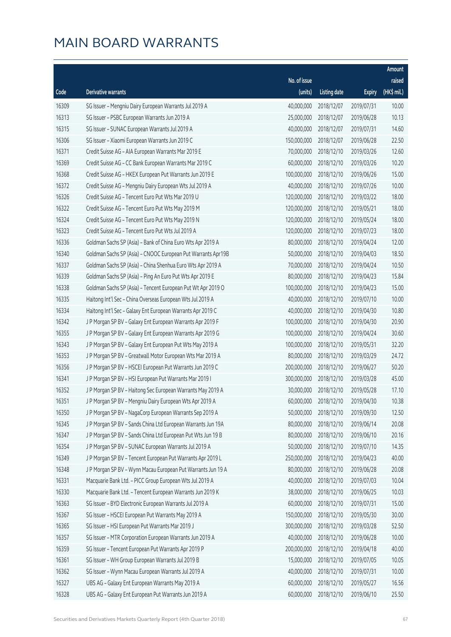|       |                                                              |              |                       |               | Amount      |
|-------|--------------------------------------------------------------|--------------|-----------------------|---------------|-------------|
|       |                                                              | No. of issue |                       |               | raised      |
| Code  | Derivative warrants                                          | (units)      | <b>Listing date</b>   | <b>Expiry</b> | (HK\$ mil.) |
| 16309 | SG Issuer - Mengniu Dairy European Warrants Jul 2019 A       | 40,000,000   | 2018/12/07            | 2019/07/31    | 10.00       |
| 16313 | SG Issuer - PSBC European Warrants Jun 2019 A                | 25,000,000   | 2018/12/07            | 2019/06/28    | 10.13       |
| 16315 | SG Issuer - SUNAC European Warrants Jul 2019 A               | 40,000,000   | 2018/12/07            | 2019/07/31    | 14.60       |
| 16306 | SG Issuer - Xiaomi European Warrants Jun 2019 C              | 150,000,000  | 2018/12/07            | 2019/06/28    | 22.50       |
| 16371 | Credit Suisse AG - AIA European Warrants Mar 2019 E          | 70,000,000   | 2018/12/10            | 2019/03/26    | 12.60       |
| 16369 | Credit Suisse AG - CC Bank European Warrants Mar 2019 C      | 60,000,000   | 2018/12/10            | 2019/03/26    | 10.20       |
| 16368 | Credit Suisse AG - HKEX European Put Warrants Jun 2019 E     | 100,000,000  | 2018/12/10            | 2019/06/26    | 15.00       |
| 16372 | Credit Suisse AG - Mengniu Dairy European Wts Jul 2019 A     | 40,000,000   | 2018/12/10            | 2019/07/26    | 10.00       |
| 16326 | Credit Suisse AG - Tencent Euro Put Wts Mar 2019 U           | 120,000,000  | 2018/12/10            | 2019/03/22    | 18.00       |
| 16322 | Credit Suisse AG - Tencent Euro Put Wts May 2019 M           | 120,000,000  | 2018/12/10            | 2019/05/21    | 18.00       |
| 16324 | Credit Suisse AG - Tencent Euro Put Wts May 2019 N           | 120,000,000  | 2018/12/10            | 2019/05/24    | 18.00       |
| 16323 | Credit Suisse AG - Tencent Euro Put Wts Jul 2019 A           | 120,000,000  | 2018/12/10            | 2019/07/23    | 18.00       |
| 16336 | Goldman Sachs SP (Asia) - Bank of China Euro Wts Apr 2019 A  | 80,000,000   | 2018/12/10            | 2019/04/24    | 12.00       |
| 16340 | Goldman Sachs SP (Asia) - CNOOC European Put Warrants Apr19B | 50,000,000   | 2018/12/10            | 2019/04/03    | 18.50       |
| 16337 | Goldman Sachs SP (Asia) - China Shenhua Euro Wts Apr 2019 A  | 70,000,000   | 2018/12/10            | 2019/04/24    | 10.50       |
| 16339 | Goldman Sachs SP (Asia) - Ping An Euro Put Wts Apr 2019 E    | 80,000,000   | 2018/12/10            | 2019/04/23    | 15.84       |
| 16338 | Goldman Sachs SP (Asia) - Tencent European Put Wt Apr 2019 O | 100,000,000  | 2018/12/10            | 2019/04/23    | 15.00       |
| 16335 | Haitong Int'l Sec - China Overseas European Wts Jul 2019 A   | 40,000,000   | 2018/12/10            | 2019/07/10    | 10.00       |
| 16334 | Haitong Int'l Sec - Galaxy Ent European Warrants Apr 2019 C  | 40,000,000   | 2018/12/10            | 2019/04/30    | 10.80       |
| 16342 | J P Morgan SP BV - Galaxy Ent European Warrants Apr 2019 F   | 100,000,000  | 2018/12/10            | 2019/04/30    | 20.90       |
| 16355 | J P Morgan SP BV - Galaxy Ent European Warrants Apr 2019 G   | 100,000,000  | 2018/12/10            | 2019/04/24    | 30.60       |
| 16343 | J P Morgan SP BV - Galaxy Ent European Put Wts May 2019 A    | 100,000,000  | 2018/12/10            | 2019/05/31    | 32.20       |
| 16353 | J P Morgan SP BV - Greatwall Motor European Wts Mar 2019 A   | 80,000,000   | 2018/12/10            | 2019/03/29    | 24.72       |
| 16356 | J P Morgan SP BV - HSCEI European Put Warrants Jun 2019 C    | 200,000,000  | 2018/12/10            | 2019/06/27    | 50.20       |
| 16341 | J P Morgan SP BV - HSI European Put Warrants Mar 2019 I      | 300,000,000  | 2018/12/10            | 2019/03/28    | 45.00       |
| 16352 | J P Morgan SP BV - Haitong Sec European Warrants May 2019 A  | 30,000,000   | 2018/12/10            | 2019/05/28    | 17.10       |
| 16351 | J P Morgan SP BV - Mengniu Dairy European Wts Apr 2019 A     |              | 60,000,000 2018/12/10 | 2019/04/30    | 10.38       |
| 16350 | J P Morgan SP BV - NagaCorp European Warrants Sep 2019 A     | 50,000,000   | 2018/12/10            | 2019/09/30    | 12.50       |
| 16345 | J P Morgan SP BV - Sands China Ltd European Warrants Jun 19A | 80,000,000   | 2018/12/10            | 2019/06/14    | 20.08       |
| 16347 | J P Morgan SP BV - Sands China Ltd European Put Wts Jun 19 B | 80,000,000   | 2018/12/10            | 2019/06/10    | 20.16       |
| 16354 | J P Morgan SP BV - SUNAC European Warrants Jul 2019 A        | 50,000,000   | 2018/12/10            | 2019/07/10    | 14.35       |
| 16349 | J P Morgan SP BV - Tencent European Put Warrants Apr 2019 L  | 250,000,000  | 2018/12/10            | 2019/04/23    | 40.00       |
| 16348 | J P Morgan SP BV - Wynn Macau European Put Warrants Jun 19 A | 80,000,000   | 2018/12/10            | 2019/06/28    | 20.08       |
| 16331 | Macquarie Bank Ltd. - PICC Group European Wts Jul 2019 A     | 40,000,000   | 2018/12/10            | 2019/07/03    | 10.04       |
| 16330 | Macquarie Bank Ltd. - Tencent European Warrants Jun 2019 K   | 38,000,000   | 2018/12/10            | 2019/06/25    | 10.03       |
| 16363 | SG Issuer - BYD Electronic European Warrants Jul 2019 A      | 60,000,000   | 2018/12/10            | 2019/07/31    | 15.00       |
| 16367 | SG Issuer - HSCEI European Put Warrants May 2019 A           | 150,000,000  | 2018/12/10            | 2019/05/30    | 30.00       |
| 16365 | SG Issuer - HSI European Put Warrants Mar 2019 J             | 300,000,000  | 2018/12/10            | 2019/03/28    | 52.50       |
| 16357 | SG Issuer - MTR Corporation European Warrants Jun 2019 A     | 40,000,000   | 2018/12/10            | 2019/06/28    | 10.00       |
| 16359 | SG Issuer - Tencent European Put Warrants Apr 2019 P         | 200,000,000  | 2018/12/10            | 2019/04/18    | 40.00       |
| 16361 | SG Issuer - WH Group European Warrants Jul 2019 B            | 15,000,000   | 2018/12/10            | 2019/07/05    | 10.05       |
| 16362 | SG Issuer - Wynn Macau European Warrants Jul 2019 A          | 40,000,000   | 2018/12/10            | 2019/07/31    | 10.00       |
| 16327 | UBS AG - Galaxy Ent European Warrants May 2019 A             | 60,000,000   | 2018/12/10            | 2019/05/27    | 16.56       |
| 16328 | UBS AG - Galaxy Ent European Put Warrants Jun 2019 A         | 60,000,000   | 2018/12/10            | 2019/06/10    | 25.50       |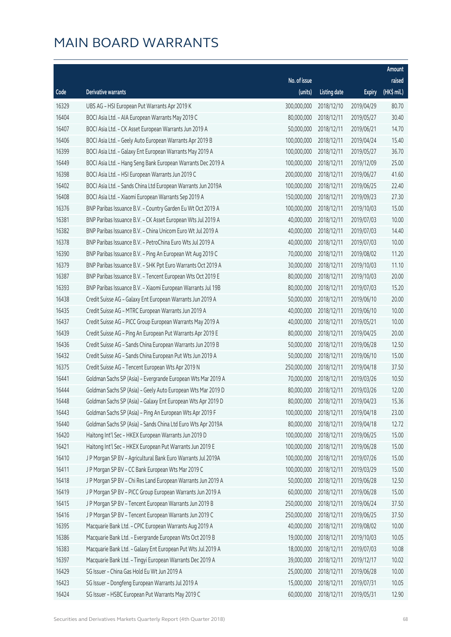|       |                                                              |              |                       |               | Amount      |
|-------|--------------------------------------------------------------|--------------|-----------------------|---------------|-------------|
|       |                                                              | No. of issue |                       |               | raised      |
| Code  | <b>Derivative warrants</b>                                   | (units)      | <b>Listing date</b>   | <b>Expiry</b> | (HK\$ mil.) |
| 16329 | UBS AG - HSI European Put Warrants Apr 2019 K                | 300,000,000  | 2018/12/10            | 2019/04/29    | 80.70       |
| 16404 | BOCI Asia Ltd. - AIA European Warrants May 2019 C            | 80,000,000   | 2018/12/11            | 2019/05/27    | 30.40       |
| 16407 | BOCI Asia Ltd. - CK Asset European Warrants Jun 2019 A       | 50,000,000   | 2018/12/11            | 2019/06/21    | 14.70       |
| 16406 | BOCI Asia Ltd. - Geely Auto European Warrants Apr 2019 B     | 100,000,000  | 2018/12/11            | 2019/04/24    | 15.40       |
| 16399 | BOCI Asia Ltd. - Galaxy Ent European Warrants May 2019 A     | 100,000,000  | 2018/12/11            | 2019/05/27    | 36.70       |
| 16449 | BOCI Asia Ltd. - Hang Seng Bank European Warrants Dec 2019 A | 100,000,000  | 2018/12/11            | 2019/12/09    | 25.00       |
| 16398 | BOCI Asia Ltd. - HSI European Warrants Jun 2019 C            | 200,000,000  | 2018/12/11            | 2019/06/27    | 41.60       |
| 16402 | BOCI Asia Ltd. - Sands China Ltd European Warrants Jun 2019A | 100,000,000  | 2018/12/11            | 2019/06/25    | 22.40       |
| 16408 | BOCI Asia Ltd. - Xiaomi European Warrants Sep 2019 A         | 150,000,000  | 2018/12/11            | 2019/09/23    | 27.30       |
| 16376 | BNP Paribas Issuance B.V. - Country Garden Eu Wt Oct 2019 A  | 100,000,000  | 2018/12/11            | 2019/10/03    | 15.00       |
| 16381 | BNP Paribas Issuance B.V. - CK Asset European Wts Jul 2019 A | 40,000,000   | 2018/12/11            | 2019/07/03    | 10.00       |
| 16382 | BNP Paribas Issuance B.V. - China Unicom Euro Wt Jul 2019 A  | 40,000,000   | 2018/12/11            | 2019/07/03    | 14.40       |
| 16378 | BNP Paribas Issuance B.V. - PetroChina Euro Wts Jul 2019 A   | 40,000,000   | 2018/12/11            | 2019/07/03    | 10.00       |
| 16390 | BNP Paribas Issuance B.V. - Ping An European Wt Aug 2019 C   | 70,000,000   | 2018/12/11            | 2019/08/02    | 11.20       |
| 16379 | BNP Paribas Issuance B.V. - SHK Ppt Euro Warrants Oct 2019 A | 30,000,000   | 2018/12/11            | 2019/10/03    | 11.10       |
| 16387 | BNP Paribas Issuance B.V. - Tencent European Wts Oct 2019 E  | 80,000,000   | 2018/12/11            | 2019/10/03    | 20.00       |
| 16393 | BNP Paribas Issuance B.V. - Xiaomi European Warrants Jul 19B | 80,000,000   | 2018/12/11            | 2019/07/03    | 15.20       |
| 16438 | Credit Suisse AG - Galaxy Ent European Warrants Jun 2019 A   | 50,000,000   | 2018/12/11            | 2019/06/10    | 20.00       |
| 16435 | Credit Suisse AG - MTRC European Warrants Jun 2019 A         | 40,000,000   | 2018/12/11            | 2019/06/10    | 10.00       |
| 16437 | Credit Suisse AG - PICC Group European Warrants May 2019 A   | 40,000,000   | 2018/12/11            | 2019/05/21    | 10.00       |
| 16439 | Credit Suisse AG - Ping An European Put Warrants Apr 2019 E  | 80,000,000   | 2018/12/11            | 2019/04/25    | 20.00       |
| 16436 | Credit Suisse AG - Sands China European Warrants Jun 2019 B  | 50,000,000   | 2018/12/11            | 2019/06/28    | 12.50       |
| 16432 | Credit Suisse AG - Sands China European Put Wts Jun 2019 A   | 50,000,000   | 2018/12/11            | 2019/06/10    | 15.00       |
| 16375 | Credit Suisse AG - Tencent European Wts Apr 2019 N           | 250,000,000  | 2018/12/11            | 2019/04/18    | 37.50       |
| 16441 | Goldman Sachs SP (Asia) - Evergrande European Wts Mar 2019 A | 70,000,000   | 2018/12/11            | 2019/03/26    | 10.50       |
| 16444 | Goldman Sachs SP (Asia) - Geely Auto European Wts Mar 2019 D | 80,000,000   | 2018/12/11            | 2019/03/26    | 12.00       |
| 16448 | Goldman Sachs SP (Asia) - Galaxy Ent European Wts Apr 2019 D |              | 80,000,000 2018/12/11 | 2019/04/23    | 15.36       |
| 16443 | Goldman Sachs SP (Asia) - Ping An European Wts Apr 2019 F    | 100,000,000  | 2018/12/11            | 2019/04/18    | 23.00       |
| 16440 | Goldman Sachs SP (Asia) - Sands China Ltd Euro Wts Apr 2019A | 80,000,000   | 2018/12/11            | 2019/04/18    | 12.72       |
| 16420 | Haitong Int'l Sec - HKEX European Warrants Jun 2019 D        | 100,000,000  | 2018/12/11            | 2019/06/25    | 15.00       |
| 16421 | Haitong Int'l Sec - HKEX European Put Warrants Jun 2019 E    | 100,000,000  | 2018/12/11            | 2019/06/28    | 15.00       |
| 16410 | J P Morgan SP BV - Agricultural Bank Euro Warrants Jul 2019A | 100,000,000  | 2018/12/11            | 2019/07/26    | 15.00       |
| 16411 | J P Morgan SP BV - CC Bank European Wts Mar 2019 C           | 100,000,000  | 2018/12/11            | 2019/03/29    | 15.00       |
| 16418 | J P Morgan SP BV - Chi Res Land European Warrants Jun 2019 A | 50,000,000   | 2018/12/11            | 2019/06/28    | 12.50       |
| 16419 | J P Morgan SP BV - PICC Group European Warrants Jun 2019 A   | 60,000,000   | 2018/12/11            | 2019/06/28    | 15.00       |
| 16415 | J P Morgan SP BV - Tencent European Warrants Jun 2019 B      | 250,000,000  | 2018/12/11            | 2019/06/24    | 37.50       |
| 16416 | J P Morgan SP BV - Tencent European Warrants Jun 2019 C      | 250,000,000  | 2018/12/11            | 2019/06/25    | 37.50       |
| 16395 | Macquarie Bank Ltd. - CPIC European Warrants Aug 2019 A      | 40,000,000   | 2018/12/11            | 2019/08/02    | 10.00       |
| 16386 | Macquarie Bank Ltd. - Evergrande European Wts Oct 2019 B     | 19,000,000   | 2018/12/11            | 2019/10/03    | 10.05       |
| 16383 | Macquarie Bank Ltd. - Galaxy Ent European Put Wts Jul 2019 A | 18,000,000   | 2018/12/11            | 2019/07/03    | 10.08       |
| 16397 | Macquarie Bank Ltd. - Tingyi European Warrants Dec 2019 A    | 39,000,000   | 2018/12/11            | 2019/12/17    | 10.02       |
| 16429 | SG Issuer - China Gas Hold Eu Wt Jun 2019 A                  | 25,000,000   | 2018/12/11            | 2019/06/28    | 10.00       |
| 16423 | SG Issuer - Dongfeng European Warrants Jul 2019 A            | 15,000,000   | 2018/12/11            | 2019/07/31    | 10.05       |
| 16424 | SG Issuer - HSBC European Put Warrants May 2019 C            | 60,000,000   | 2018/12/11            | 2019/05/31    | 12.90       |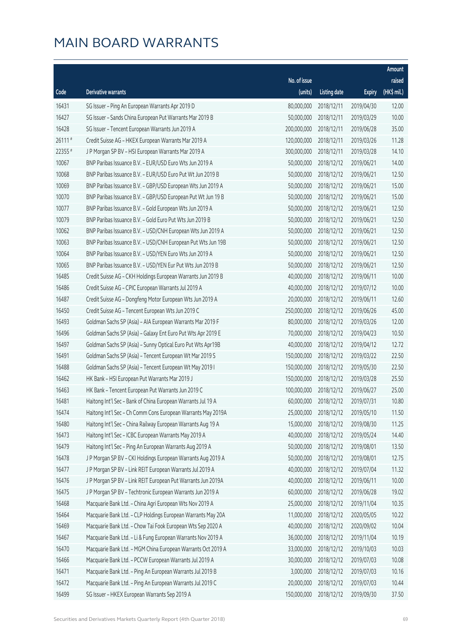|         |                                                              |              |                       |               | Amount      |
|---------|--------------------------------------------------------------|--------------|-----------------------|---------------|-------------|
|         |                                                              | No. of issue |                       |               | raised      |
| Code    | Derivative warrants                                          | (units)      | <b>Listing date</b>   | <b>Expiry</b> | (HK\$ mil.) |
| 16431   | SG Issuer - Ping An European Warrants Apr 2019 D             | 80,000,000   | 2018/12/11            | 2019/04/30    | 12.00       |
| 16427   | SG Issuer - Sands China European Put Warrants Mar 2019 B     | 50,000,000   | 2018/12/11            | 2019/03/29    | 10.00       |
| 16428   | SG Issuer - Tencent European Warrants Jun 2019 A             | 200,000,000  | 2018/12/11            | 2019/06/28    | 35.00       |
| 26111#  | Credit Suisse AG - HKEX European Warrants Mar 2019 A         | 120,000,000  | 2018/12/11            | 2019/03/26    | 11.28       |
| 22355 # | J P Morgan SP BV - HSI European Warrants Mar 2019 A          | 300,000,000  | 2018/12/11            | 2019/03/28    | 14.10       |
| 10067   | BNP Paribas Issuance B.V. - EUR/USD Euro Wts Jun 2019 A      | 50,000,000   | 2018/12/12            | 2019/06/21    | 14.00       |
| 10068   | BNP Paribas Issuance B.V. - EUR/USD Euro Put Wt Jun 2019 B   | 50,000,000   | 2018/12/12            | 2019/06/21    | 12.50       |
| 10069   | BNP Paribas Issuance B.V. - GBP/USD European Wts Jun 2019 A  | 50,000,000   | 2018/12/12            | 2019/06/21    | 15.00       |
| 10070   | BNP Paribas Issuance B.V. - GBP/USD European Put Wt Jun 19 B | 50,000,000   | 2018/12/12            | 2019/06/21    | 15.00       |
| 10077   | BNP Paribas Issuance B.V. - Gold European Wts Jun 2019 A     | 50,000,000   | 2018/12/12            | 2019/06/21    | 12.50       |
| 10079   | BNP Paribas Issuance B.V. - Gold Euro Put Wts Jun 2019 B     | 50,000,000   | 2018/12/12            | 2019/06/21    | 12.50       |
| 10062   | BNP Paribas Issuance B.V. - USD/CNH European Wts Jun 2019 A  | 50,000,000   | 2018/12/12            | 2019/06/21    | 12.50       |
| 10063   | BNP Paribas Issuance B.V. - USD/CNH European Put Wts Jun 19B | 50,000,000   | 2018/12/12            | 2019/06/21    | 12.50       |
| 10064   | BNP Paribas Issuance B.V. - USD/YEN Euro Wts Jun 2019 A      | 50,000,000   | 2018/12/12            | 2019/06/21    | 12.50       |
| 10065   | BNP Paribas Issuance B.V. - USD/YEN Eur Put Wts Jun 2019 B   | 50,000,000   | 2018/12/12            | 2019/06/21    | 12.50       |
| 16485   | Credit Suisse AG - CKH Holdings European Warrants Jun 2019 B | 40,000,000   | 2018/12/12            | 2019/06/11    | 10.00       |
| 16486   | Credit Suisse AG - CPIC European Warrants Jul 2019 A         | 40,000,000   | 2018/12/12            | 2019/07/12    | 10.00       |
| 16487   | Credit Suisse AG - Dongfeng Motor European Wts Jun 2019 A    | 20,000,000   | 2018/12/12            | 2019/06/11    | 12.60       |
| 16450   | Credit Suisse AG - Tencent European Wts Jun 2019 C           | 250,000,000  | 2018/12/12            | 2019/06/26    | 45.00       |
| 16493   | Goldman Sachs SP (Asia) - AIA European Warrants Mar 2019 F   | 80,000,000   | 2018/12/12            | 2019/03/26    | 12.00       |
| 16496   | Goldman Sachs SP (Asia) - Galaxy Ent Euro Put Wts Apr 2019 E | 70,000,000   | 2018/12/12            | 2019/04/23    | 10.50       |
| 16497   | Goldman Sachs SP (Asia) - Sunny Optical Euro Put Wts Apr19B  | 40,000,000   | 2018/12/12            | 2019/04/12    | 12.72       |
| 16491   | Goldman Sachs SP (Asia) - Tencent European Wt Mar 2019 S     | 150,000,000  | 2018/12/12            | 2019/03/22    | 22.50       |
| 16488   | Goldman Sachs SP (Asia) - Tencent European Wt May 2019 I     | 150,000,000  | 2018/12/12            | 2019/05/30    | 22.50       |
| 16462   | HK Bank - HSI European Put Warrants Mar 2019 J               | 150,000,000  | 2018/12/12            | 2019/03/28    | 25.50       |
| 16463   | HK Bank - Tencent European Put Warrants Jun 2019 C           | 100,000,000  | 2018/12/12            | 2019/06/27    | 25.00       |
| 16481   | Haitong Int'l Sec - Bank of China European Warrants Jul 19 A |              | 60,000,000 2018/12/12 | 2019/07/31    | 10.80       |
| 16474   | Haitong Int'l Sec - Ch Comm Cons European Warrants May 2019A | 25,000,000   | 2018/12/12            | 2019/05/10    | 11.50       |
| 16480   | Haitong Int'l Sec - China Railway European Warrants Aug 19 A | 15,000,000   | 2018/12/12            | 2019/08/30    | 11.25       |
| 16473   | Haitong Int'l Sec - ICBC European Warrants May 2019 A        | 40,000,000   | 2018/12/12            | 2019/05/24    | 14.40       |
| 16479   | Haitong Int'l Sec - Ping An European Warrants Aug 2019 A     | 50,000,000   | 2018/12/12            | 2019/08/01    | 13.50       |
| 16478   | J P Morgan SP BV - CKI Holdings European Warrants Aug 2019 A | 50,000,000   | 2018/12/12            | 2019/08/01    | 12.75       |
| 16477   | J P Morgan SP BV - Link REIT European Warrants Jul 2019 A    | 40,000,000   | 2018/12/12            | 2019/07/04    | 11.32       |
| 16476   | J P Morgan SP BV - Link REIT European Put Warrants Jun 2019A | 40,000,000   | 2018/12/12            | 2019/06/11    | 10.00       |
| 16475   | J P Morgan SP BV - Techtronic European Warrants Jun 2019 A   | 60,000,000   | 2018/12/12            | 2019/06/28    | 19.02       |
| 16468   | Macquarie Bank Ltd. - China Agri European Wts Nov 2019 A     | 25,000,000   | 2018/12/12            | 2019/11/04    | 10.35       |
| 16464   | Macquarie Bank Ltd. - CLP Holdings European Warrants May 20A | 11,000,000   | 2018/12/12            | 2020/05/05    | 10.22       |
| 16469   | Macquarie Bank Ltd. - Chow Tai Fook European Wts Sep 2020 A  | 40,000,000   | 2018/12/12            | 2020/09/02    | 10.04       |
| 16467   | Macquarie Bank Ltd. - Li & Fung European Warrants Nov 2019 A | 36,000,000   | 2018/12/12            | 2019/11/04    | 10.19       |
| 16470   | Macquarie Bank Ltd. - MGM China European Warrants Oct 2019 A | 33,000,000   | 2018/12/12            | 2019/10/03    | 10.03       |
| 16466   | Macquarie Bank Ltd. - PCCW European Warrants Jul 2019 A      | 30,000,000   | 2018/12/12            | 2019/07/03    | 10.08       |
| 16471   | Macquarie Bank Ltd. - Ping An European Warrants Jul 2019 B   | 3,000,000    | 2018/12/12            | 2019/07/03    | 10.16       |
| 16472   | Macquarie Bank Ltd. - Ping An European Warrants Jul 2019 C   | 20,000,000   | 2018/12/12            | 2019/07/03    | 10.44       |
| 16499   | SG Issuer - HKEX European Warrants Sep 2019 A                | 150,000,000  | 2018/12/12            | 2019/09/30    | 37.50       |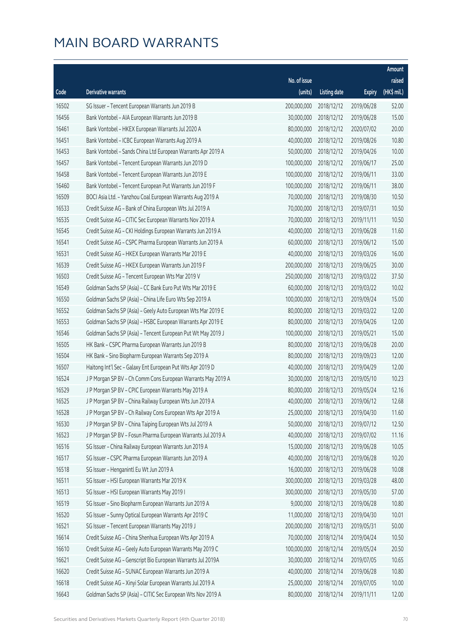|       |                                                              |              |                       |               | Amount      |
|-------|--------------------------------------------------------------|--------------|-----------------------|---------------|-------------|
|       |                                                              | No. of issue |                       |               | raised      |
| Code  | Derivative warrants                                          | (units)      | <b>Listing date</b>   | <b>Expiry</b> | (HK\$ mil.) |
| 16502 | SG Issuer - Tencent European Warrants Jun 2019 B             | 200,000,000  | 2018/12/12            | 2019/06/28    | 52.00       |
| 16456 | Bank Vontobel - AIA European Warrants Jun 2019 B             | 30,000,000   | 2018/12/12            | 2019/06/28    | 15.00       |
| 16461 | Bank Vontobel - HKEX European Warrants Jul 2020 A            | 80,000,000   | 2018/12/12            | 2020/07/02    | 20.00       |
| 16451 | Bank Vontobel - ICBC European Warrants Aug 2019 A            | 40,000,000   | 2018/12/12            | 2019/08/26    | 10.80       |
| 16453 | Bank Vontobel - Sands China Ltd European Warrants Apr 2019 A | 50,000,000   | 2018/12/12            | 2019/04/26    | 10.00       |
| 16457 | Bank Vontobel - Tencent European Warrants Jun 2019 D         | 100,000,000  | 2018/12/12            | 2019/06/17    | 25.00       |
| 16458 | Bank Vontobel - Tencent European Warrants Jun 2019 E         | 100,000,000  | 2018/12/12            | 2019/06/11    | 33.00       |
| 16460 | Bank Vontobel - Tencent European Put Warrants Jun 2019 F     | 100,000,000  | 2018/12/12            | 2019/06/11    | 38.00       |
| 16509 | BOCI Asia Ltd. - Yanzhou Coal European Warrants Aug 2019 A   | 70,000,000   | 2018/12/13            | 2019/08/30    | 10.50       |
| 16533 | Credit Suisse AG - Bank of China European Wts Jul 2019 A     | 70,000,000   | 2018/12/13            | 2019/07/31    | 10.50       |
| 16535 | Credit Suisse AG - CITIC Sec European Warrants Nov 2019 A    | 70,000,000   | 2018/12/13            | 2019/11/11    | 10.50       |
| 16545 | Credit Suisse AG - CKI Holdings European Warrants Jun 2019 A | 40,000,000   | 2018/12/13            | 2019/06/28    | 11.60       |
| 16541 | Credit Suisse AG - CSPC Pharma European Warrants Jun 2019 A  | 60,000,000   | 2018/12/13            | 2019/06/12    | 15.00       |
| 16531 | Credit Suisse AG - HKEX European Warrants Mar 2019 E         | 40,000,000   | 2018/12/13            | 2019/03/26    | 16.00       |
| 16539 | Credit Suisse AG - HKEX European Warrants Jun 2019 F         | 200,000,000  | 2018/12/13            | 2019/06/25    | 30.00       |
| 16503 | Credit Suisse AG - Tencent European Wts Mar 2019 V           | 250,000,000  | 2018/12/13            | 2019/03/22    | 37.50       |
| 16549 | Goldman Sachs SP (Asia) - CC Bank Euro Put Wts Mar 2019 E    | 60,000,000   | 2018/12/13            | 2019/03/22    | 10.02       |
| 16550 | Goldman Sachs SP (Asia) - China Life Euro Wts Sep 2019 A     | 100,000,000  | 2018/12/13            | 2019/09/24    | 15.00       |
| 16552 | Goldman Sachs SP (Asia) - Geely Auto European Wts Mar 2019 E | 80,000,000   | 2018/12/13            | 2019/03/22    | 12.00       |
| 16553 | Goldman Sachs SP (Asia) - HSBC European Warrants Apr 2019 E  | 80,000,000   | 2018/12/13            | 2019/04/26    | 12.00       |
| 16546 | Goldman Sachs SP (Asia) - Tencent European Put Wt May 2019 J | 100,000,000  | 2018/12/13            | 2019/05/21    | 15.00       |
| 16505 | HK Bank - CSPC Pharma European Warrants Jun 2019 B           | 80,000,000   | 2018/12/13            | 2019/06/28    | 20.00       |
| 16504 | HK Bank - Sino Biopharm European Warrants Sep 2019 A         | 80,000,000   | 2018/12/13            | 2019/09/23    | 12.00       |
| 16507 | Haitong Int'l Sec - Galaxy Ent European Put Wts Apr 2019 D   | 40,000,000   | 2018/12/13            | 2019/04/29    | 12.00       |
| 16524 | J P Morgan SP BV - Ch Comm Cons European Warrants May 2019 A | 30,000,000   | 2018/12/13            | 2019/05/10    | 10.23       |
| 16529 | J P Morgan SP BV - CPIC European Warrants May 2019 A         | 80,000,000   | 2018/12/13            | 2019/05/24    | 12.16       |
| 16525 | J P Morgan SP BV - China Railway European Wts Jun 2019 A     |              | 40,000,000 2018/12/13 | 2019/06/12    | 12.68       |
| 16528 | J P Morgan SP BV - Ch Railway Cons European Wts Apr 2019 A   | 25,000,000   | 2018/12/13            | 2019/04/30    | 11.60       |
| 16530 | J P Morgan SP BV - China Taiping European Wts Jul 2019 A     | 50,000,000   | 2018/12/13            | 2019/07/12    | 12.50       |
| 16523 | J P Morgan SP BV - Fosun Pharma European Warrants Jul 2019 A | 40,000,000   | 2018/12/13            | 2019/07/02    | 11.16       |
| 16516 | SG Issuer - China Railway European Warrants Jun 2019 A       | 15,000,000   | 2018/12/13            | 2019/06/28    | 10.05       |
| 16517 | SG Issuer - CSPC Pharma European Warrants Jun 2019 A         | 40,000,000   | 2018/12/13            | 2019/06/28    | 10.20       |
| 16518 | SG Issuer - Henganintl Eu Wt Jun 2019 A                      | 16,000,000   | 2018/12/13            | 2019/06/28    | 10.08       |
| 16511 | SG Issuer - HSI European Warrants Mar 2019 K                 | 300,000,000  | 2018/12/13            | 2019/03/28    | 48.00       |
| 16513 | SG Issuer - HSI European Warrants May 2019 I                 | 300,000,000  | 2018/12/13            | 2019/05/30    | 57.00       |
| 16519 | SG Issuer - Sino Biopharm European Warrants Jun 2019 A       | 9,000,000    | 2018/12/13            | 2019/06/28    | 10.80       |
| 16520 | SG Issuer - Sunny Optical European Warrants Apr 2019 C       | 11,000,000   | 2018/12/13            | 2019/04/30    | 10.01       |
| 16521 | SG Issuer - Tencent European Warrants May 2019 J             | 200,000,000  | 2018/12/13            | 2019/05/31    | 50.00       |
| 16614 | Credit Suisse AG - China Shenhua European Wts Apr 2019 A     | 70,000,000   | 2018/12/14            | 2019/04/24    | 10.50       |
| 16610 | Credit Suisse AG - Geely Auto European Warrants May 2019 C   | 100,000,000  | 2018/12/14            | 2019/05/24    | 20.50       |
| 16621 | Credit Suisse AG - Genscript Bio European Warrants Jul 2019A | 30,000,000   | 2018/12/14            | 2019/07/05    | 10.65       |
| 16620 | Credit Suisse AG - SUNAC European Warrants Jun 2019 A        | 40,000,000   | 2018/12/14            | 2019/06/28    | 10.80       |
| 16618 | Credit Suisse AG - Xinyi Solar European Warrants Jul 2019 A  | 25,000,000   | 2018/12/14            | 2019/07/05    | 10.00       |
| 16643 | Goldman Sachs SP (Asia) - CITIC Sec European Wts Nov 2019 A  | 80,000,000   | 2018/12/14            | 2019/11/11    | 12.00       |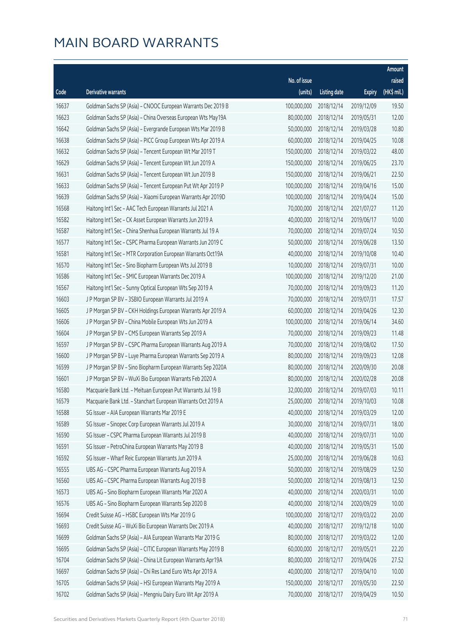|       |                                                              |              |                       |               | Amount      |
|-------|--------------------------------------------------------------|--------------|-----------------------|---------------|-------------|
|       |                                                              | No. of issue |                       |               | raised      |
| Code  | Derivative warrants                                          | (units)      | <b>Listing date</b>   | <b>Expiry</b> | (HK\$ mil.) |
| 16637 | Goldman Sachs SP (Asia) - CNOOC European Warrants Dec 2019 B | 100,000,000  | 2018/12/14            | 2019/12/09    | 19.50       |
| 16623 | Goldman Sachs SP (Asia) - China Overseas European Wts May19A | 80,000,000   | 2018/12/14            | 2019/05/31    | 12.00       |
| 16642 | Goldman Sachs SP (Asia) - Evergrande European Wts Mar 2019 B | 50,000,000   | 2018/12/14            | 2019/03/28    | 10.80       |
| 16638 | Goldman Sachs SP (Asia) - PICC Group European Wts Apr 2019 A | 60,000,000   | 2018/12/14            | 2019/04/25    | 10.08       |
| 16632 | Goldman Sachs SP (Asia) - Tencent European Wt Mar 2019 T     | 150,000,000  | 2018/12/14            | 2019/03/22    | 48.00       |
| 16629 | Goldman Sachs SP (Asia) - Tencent European Wt Jun 2019 A     | 150,000,000  | 2018/12/14            | 2019/06/25    | 23.70       |
| 16631 | Goldman Sachs SP (Asia) - Tencent European Wt Jun 2019 B     | 150,000,000  | 2018/12/14            | 2019/06/21    | 22.50       |
| 16633 | Goldman Sachs SP (Asia) - Tencent European Put Wt Apr 2019 P | 100,000,000  | 2018/12/14            | 2019/04/16    | 15.00       |
| 16639 | Goldman Sachs SP (Asia) - Xiaomi European Warrants Apr 2019D | 100,000,000  | 2018/12/14            | 2019/04/24    | 15.00       |
| 16568 | Haitong Int'l Sec - AAC Tech European Warrants Jul 2021 A    | 70,000,000   | 2018/12/14            | 2021/07/27    | 11.20       |
| 16582 | Haitong Int'l Sec - CK Asset European Warrants Jun 2019 A    | 40,000,000   | 2018/12/14            | 2019/06/17    | 10.00       |
| 16587 | Haitong Int'l Sec - China Shenhua European Warrants Jul 19 A | 70,000,000   | 2018/12/14            | 2019/07/24    | 10.50       |
| 16577 | Haitong Int'l Sec - CSPC Pharma European Warrants Jun 2019 C | 50,000,000   | 2018/12/14            | 2019/06/28    | 13.50       |
| 16581 | Haitong Int'l Sec - MTR Corporation European Warrants Oct19A | 40,000,000   | 2018/12/14            | 2019/10/08    | 10.40       |
| 16570 | Haitong Int'l Sec - Sino Biopharm European Wts Jul 2019 B    | 10,000,000   | 2018/12/14            | 2019/07/31    | 10.00       |
| 16586 | Haitong Int'l Sec - SMIC European Warrants Dec 2019 A        | 100,000,000  | 2018/12/14            | 2019/12/20    | 21.00       |
| 16567 | Haitong Int'l Sec - Sunny Optical European Wts Sep 2019 A    | 70,000,000   | 2018/12/14            | 2019/09/23    | 11.20       |
| 16603 | J P Morgan SP BV - 3SBIO European Warrants Jul 2019 A        | 70,000,000   | 2018/12/14            | 2019/07/31    | 17.57       |
| 16605 | J P Morgan SP BV - CKH Holdings European Warrants Apr 2019 A | 60,000,000   | 2018/12/14            | 2019/04/26    | 12.30       |
| 16606 | J P Morgan SP BV - China Mobile European Wts Jun 2019 A      | 100,000,000  | 2018/12/14            | 2019/06/14    | 34.60       |
| 16604 | J P Morgan SP BV - CMS European Warrants Sep 2019 A          | 70,000,000   | 2018/12/14            | 2019/09/23    | 11.48       |
| 16597 | J P Morgan SP BV - CSPC Pharma European Warrants Aug 2019 A  | 70,000,000   | 2018/12/14            | 2019/08/02    | 17.50       |
| 16600 | J P Morgan SP BV - Luye Pharma European Warrants Sep 2019 A  | 80,000,000   | 2018/12/14            | 2019/09/23    | 12.08       |
| 16599 | J P Morgan SP BV - Sino Biopharm European Warrants Sep 2020A | 80,000,000   | 2018/12/14            | 2020/09/30    | 20.08       |
| 16601 | J P Morgan SP BV - WuXi Bio European Warrants Feb 2020 A     | 80,000,000   | 2018/12/14            | 2020/02/28    | 20.08       |
| 16580 | Macquarie Bank Ltd. - Meituan European Put Warrants Jul 19 B | 32,000,000   | 2018/12/14            | 2019/07/03    | 10.11       |
| 16579 | Macquarie Bank Ltd. - Stanchart European Warrants Oct 2019 A |              | 25,000,000 2018/12/14 | 2019/10/03    | 10.08       |
| 16588 | SG Issuer - AIA European Warrants Mar 2019 E                 | 40,000,000   | 2018/12/14            | 2019/03/29    | 12.00       |
| 16589 | SG Issuer - Sinopec Corp European Warrants Jul 2019 A        | 30,000,000   | 2018/12/14            | 2019/07/31    | 18.00       |
| 16590 | SG Issuer - CSPC Pharma European Warrants Jul 2019 B         | 40,000,000   | 2018/12/14            | 2019/07/31    | 10.00       |
| 16591 | SG Issuer - PetroChina European Warrants May 2019 B          | 40,000,000   | 2018/12/14            | 2019/05/31    | 15.00       |
| 16592 | SG Issuer - Wharf Reic European Warrants Jun 2019 A          | 25,000,000   | 2018/12/14            | 2019/06/28    | 10.63       |
| 16555 | UBS AG - CSPC Pharma European Warrants Aug 2019 A            | 50,000,000   | 2018/12/14            | 2019/08/29    | 12.50       |
| 16560 | UBS AG - CSPC Pharma European Warrants Aug 2019 B            | 50,000,000   | 2018/12/14            | 2019/08/13    | 12.50       |
| 16573 | UBS AG - Sino Biopharm European Warrants Mar 2020 A          | 40,000,000   | 2018/12/14            | 2020/03/31    | 10.00       |
| 16576 | UBS AG - Sino Biopharm European Warrants Sep 2020 B          | 40,000,000   | 2018/12/14            | 2020/09/29    | 10.00       |
| 16694 | Credit Suisse AG - HSBC European Wts Mar 2019 G              | 100,000,000  | 2018/12/17            | 2019/03/22    | 20.00       |
| 16693 | Credit Suisse AG - WuXi Bio European Warrants Dec 2019 A     | 40,000,000   | 2018/12/17            | 2019/12/18    | 10.00       |
| 16699 | Goldman Sachs SP (Asia) - AIA European Warrants Mar 2019 G   | 80,000,000   | 2018/12/17            | 2019/03/22    | 12.00       |
| 16695 | Goldman Sachs SP (Asia) - CITIC European Warrants May 2019 B | 60,000,000   | 2018/12/17            | 2019/05/21    | 22.20       |
| 16704 | Goldman Sachs SP (Asia) - China Lit European Warrants Apr19A | 80,000,000   | 2018/12/17            | 2019/04/26    | 27.52       |
| 16697 | Goldman Sachs SP (Asia) - Chi Res Land Euro Wts Apr 2019 A   | 40,000,000   | 2018/12/17            | 2019/04/10    | 10.00       |
| 16705 | Goldman Sachs SP (Asia) - HSI European Warrants May 2019 A   | 150,000,000  | 2018/12/17            | 2019/05/30    | 22.50       |
| 16702 | Goldman Sachs SP (Asia) - Mengniu Dairy Euro Wt Apr 2019 A   | 70,000,000   | 2018/12/17            | 2019/04/29    | 10.50       |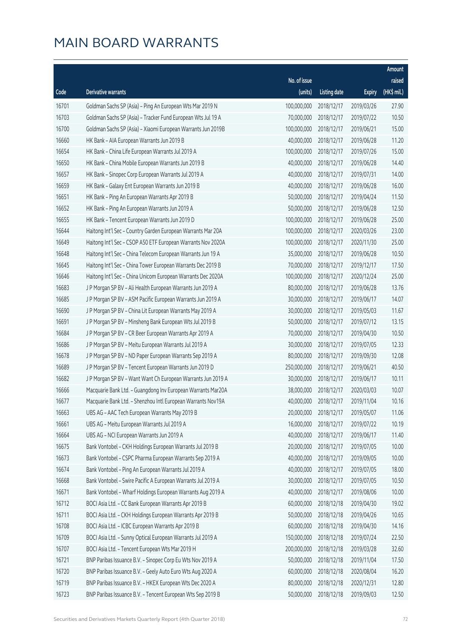|       |                                                              |              |                       |               | Amount      |
|-------|--------------------------------------------------------------|--------------|-----------------------|---------------|-------------|
|       |                                                              | No. of issue |                       |               | raised      |
| Code  | Derivative warrants                                          | (units)      | <b>Listing date</b>   | <b>Expiry</b> | (HK\$ mil.) |
| 16701 | Goldman Sachs SP (Asia) - Ping An European Wts Mar 2019 N    | 100,000,000  | 2018/12/17            | 2019/03/26    | 27.90       |
| 16703 | Goldman Sachs SP (Asia) - Tracker Fund European Wts Jul 19 A | 70,000,000   | 2018/12/17            | 2019/07/22    | 10.50       |
| 16700 | Goldman Sachs SP (Asia) - Xiaomi European Warrants Jun 2019B | 100,000,000  | 2018/12/17            | 2019/06/21    | 15.00       |
| 16660 | HK Bank - AIA European Warrants Jun 2019 B                   | 40,000,000   | 2018/12/17            | 2019/06/28    | 11.20       |
| 16654 | HK Bank - China Life European Warrants Jul 2019 A            | 100,000,000  | 2018/12/17            | 2019/07/26    | 15.00       |
| 16650 | HK Bank - China Mobile European Warrants Jun 2019 B          | 40,000,000   | 2018/12/17            | 2019/06/28    | 14.40       |
| 16657 | HK Bank - Sinopec Corp European Warrants Jul 2019 A          | 40,000,000   | 2018/12/17            | 2019/07/31    | 14.00       |
| 16659 | HK Bank - Galaxy Ent European Warrants Jun 2019 B            | 40,000,000   | 2018/12/17            | 2019/06/28    | 16.00       |
| 16651 | HK Bank - Ping An European Warrants Apr 2019 B               | 50,000,000   | 2018/12/17            | 2019/04/24    | 11.50       |
| 16652 | HK Bank - Ping An European Warrants Jun 2019 A               | 50,000,000   | 2018/12/17            | 2019/06/28    | 12.50       |
| 16655 | HK Bank - Tencent European Warrants Jun 2019 D               | 100,000,000  | 2018/12/17            | 2019/06/28    | 25.00       |
| 16644 | Haitong Int'l Sec - Country Garden European Warrants Mar 20A | 100,000,000  | 2018/12/17            | 2020/03/26    | 23.00       |
| 16649 | Haitong Int'l Sec - CSOP A50 ETF European Warrants Nov 2020A | 100,000,000  | 2018/12/17            | 2020/11/30    | 25.00       |
| 16648 | Haitong Int'l Sec - China Telecom European Warrants Jun 19 A | 35,000,000   | 2018/12/17            | 2019/06/28    | 10.50       |
| 16645 | Haitong Int'l Sec - China Tower European Warrants Dec 2019 B | 70,000,000   | 2018/12/17            | 2019/12/17    | 17.50       |
| 16646 | Haitong Int'l Sec - China Unicom European Warrants Dec 2020A | 100,000,000  | 2018/12/17            | 2020/12/24    | 25.00       |
| 16683 | J P Morgan SP BV - Ali Health European Warrants Jun 2019 A   | 80,000,000   | 2018/12/17            | 2019/06/28    | 13.76       |
| 16685 | J P Morgan SP BV - ASM Pacific European Warrants Jun 2019 A  | 30,000,000   | 2018/12/17            | 2019/06/17    | 14.07       |
| 16690 | J P Morgan SP BV - China Lit European Warrants May 2019 A    | 30,000,000   | 2018/12/17            | 2019/05/03    | 11.67       |
| 16691 | J P Morgan SP BV - Minsheng Bank European Wts Jul 2019 B     | 50,000,000   | 2018/12/17            | 2019/07/12    | 13.15       |
| 16684 | J P Morgan SP BV - CR Beer European Warrants Apr 2019 A      | 70,000,000   | 2018/12/17            | 2019/04/30    | 10.50       |
| 16686 | J P Morgan SP BV - Meitu European Warrants Jul 2019 A        | 30,000,000   | 2018/12/17            | 2019/07/05    | 12.33       |
| 16678 | J P Morgan SP BV - ND Paper European Warrants Sep 2019 A     | 80,000,000   | 2018/12/17            | 2019/09/30    | 12.08       |
| 16689 | J P Morgan SP BV - Tencent European Warrants Jun 2019 D      | 250,000,000  | 2018/12/17            | 2019/06/21    | 40.50       |
| 16682 | J P Morgan SP BV - Want Want Ch European Warrants Jun 2019 A | 30,000,000   | 2018/12/17            | 2019/06/17    | 10.11       |
| 16666 | Macquarie Bank Ltd. - Guangdong Inv European Warrants Mar20A | 38,000,000   | 2018/12/17            | 2020/03/03    | 10.07       |
| 16677 | Macquarie Bank Ltd. - Shenzhou Intl European Warrants Nov19A |              | 40,000,000 2018/12/17 | 2019/11/04    | 10.16       |
| 16663 | UBS AG - AAC Tech European Warrants May 2019 B               | 20,000,000   | 2018/12/17            | 2019/05/07    | 11.06       |
| 16661 | UBS AG - Meitu European Warrants Jul 2019 A                  | 16,000,000   | 2018/12/17            | 2019/07/22    | 10.19       |
| 16664 | UBS AG - NCI European Warrants Jun 2019 A                    | 40,000,000   | 2018/12/17            | 2019/06/17    | 11.40       |
| 16675 | Bank Vontobel - CKH Holdings European Warrants Jul 2019 B    | 20,000,000   | 2018/12/17            | 2019/07/05    | 10.00       |
| 16673 | Bank Vontobel - CSPC Pharma European Warrants Sep 2019 A     | 40,000,000   | 2018/12/17            | 2019/09/05    | 10.00       |
| 16674 | Bank Vontobel - Ping An European Warrants Jul 2019 A         | 40,000,000   | 2018/12/17            | 2019/07/05    | 18.00       |
| 16668 | Bank Vontobel - Swire Pacific A European Warrants Jul 2019 A | 30,000,000   | 2018/12/17            | 2019/07/05    | 10.50       |
| 16671 | Bank Vontobel - Wharf Holdings European Warrants Aug 2019 A  | 40,000,000   | 2018/12/17            | 2019/08/06    | 10.00       |
| 16712 | BOCI Asia Ltd. - CC Bank European Warrants Apr 2019 B        | 60,000,000   | 2018/12/18            | 2019/04/30    | 19.02       |
| 16711 | BOCI Asia Ltd. - CKH Holdings European Warrants Apr 2019 B   | 50,000,000   | 2018/12/18            | 2019/04/26    | 10.65       |
| 16708 | BOCI Asia Ltd. - ICBC European Warrants Apr 2019 B           | 60,000,000   | 2018/12/18            | 2019/04/30    | 14.16       |
| 16709 | BOCI Asia Ltd. - Sunny Optical European Warrants Jul 2019 A  | 150,000,000  | 2018/12/18            | 2019/07/24    | 22.50       |
| 16707 | BOCI Asia Ltd. - Tencent European Wts Mar 2019 H             | 200,000,000  | 2018/12/18            | 2019/03/28    | 32.60       |
| 16721 | BNP Paribas Issuance B.V. - Sinopec Corp Eu Wts Nov 2019 A   | 50,000,000   | 2018/12/18            | 2019/11/04    | 17.50       |
| 16720 | BNP Paribas Issuance B.V. - Geely Auto Euro Wts Aug 2020 A   | 60,000,000   | 2018/12/18            | 2020/08/04    | 16.20       |
| 16719 | BNP Paribas Issuance B.V. - HKEX European Wts Dec 2020 A     | 80,000,000   | 2018/12/18            | 2020/12/31    | 12.80       |
| 16723 | BNP Paribas Issuance B.V. - Tencent European Wts Sep 2019 B  | 50,000,000   | 2018/12/18            | 2019/09/03    | 12.50       |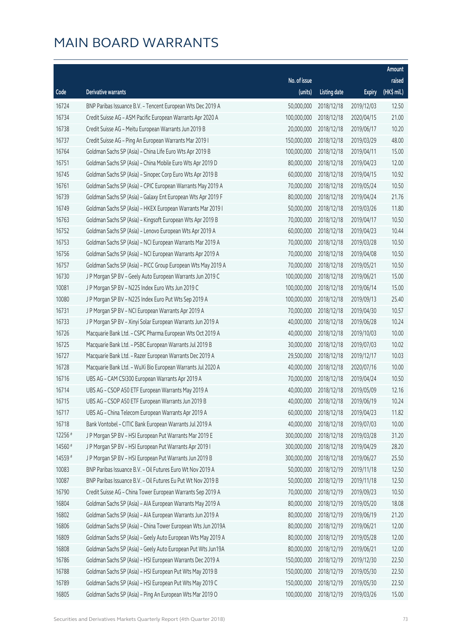|         |                                                              |              |                       |               | Amount      |
|---------|--------------------------------------------------------------|--------------|-----------------------|---------------|-------------|
|         |                                                              | No. of issue |                       |               | raised      |
| Code    | Derivative warrants                                          | (units)      | <b>Listing date</b>   | <b>Expiry</b> | (HK\$ mil.) |
| 16724   | BNP Paribas Issuance B.V. - Tencent European Wts Dec 2019 A  | 50,000,000   | 2018/12/18            | 2019/12/03    | 12.50       |
| 16734   | Credit Suisse AG - ASM Pacific European Warrants Apr 2020 A  | 100,000,000  | 2018/12/18            | 2020/04/15    | 21.00       |
| 16738   | Credit Suisse AG - Meitu European Warrants Jun 2019 B        | 20,000,000   | 2018/12/18            | 2019/06/17    | 10.20       |
| 16737   | Credit Suisse AG - Ping An European Warrants Mar 2019 I      | 150,000,000  | 2018/12/18            | 2019/03/29    | 48.00       |
| 16764   | Goldman Sachs SP (Asia) - China Life Euro Wts Apr 2019 B     | 100,000,000  | 2018/12/18            | 2019/04/11    | 15.00       |
| 16751   | Goldman Sachs SP (Asia) - China Mobile Euro Wts Apr 2019 D   | 80,000,000   | 2018/12/18            | 2019/04/23    | 12.00       |
| 16745   | Goldman Sachs SP (Asia) - Sinopec Corp Euro Wts Apr 2019 B   | 60,000,000   | 2018/12/18            | 2019/04/15    | 10.92       |
| 16761   | Goldman Sachs SP (Asia) - CPIC European Warrants May 2019 A  | 70,000,000   | 2018/12/18            | 2019/05/24    | 10.50       |
| 16739   | Goldman Sachs SP (Asia) - Galaxy Ent European Wts Apr 2019 F | 80,000,000   | 2018/12/18            | 2019/04/24    | 21.76       |
| 16749   | Goldman Sachs SP (Asia) - HKEX European Warrants Mar 2019 I  | 50,000,000   | 2018/12/18            | 2019/03/26    | 11.80       |
| 16763   | Goldman Sachs SP (Asia) - Kingsoft European Wts Apr 2019 B   | 70,000,000   | 2018/12/18            | 2019/04/17    | 10.50       |
| 16752   | Goldman Sachs SP (Asia) - Lenovo European Wts Apr 2019 A     | 60,000,000   | 2018/12/18            | 2019/04/23    | 10.44       |
| 16753   | Goldman Sachs SP (Asia) - NCI European Warrants Mar 2019 A   | 70,000,000   | 2018/12/18            | 2019/03/28    | 10.50       |
| 16756   | Goldman Sachs SP (Asia) - NCI European Warrants Apr 2019 A   | 70,000,000   | 2018/12/18            | 2019/04/08    | 10.50       |
| 16757   | Goldman Sachs SP (Asia) - PICC Group European Wts May 2019 A | 70,000,000   | 2018/12/18            | 2019/05/21    | 10.50       |
| 16730   | J P Morgan SP BV - Geely Auto European Warrants Jun 2019 C   | 100,000,000  | 2018/12/18            | 2019/06/21    | 15.00       |
| 10081   | J P Morgan SP BV - N225 Index Euro Wts Jun 2019 C            | 100,000,000  | 2018/12/18            | 2019/06/14    | 15.00       |
| 10080   | J P Morgan SP BV - N225 Index Euro Put Wts Sep 2019 A        | 100,000,000  | 2018/12/18            | 2019/09/13    | 25.40       |
| 16731   | J P Morgan SP BV - NCI European Warrants Apr 2019 A          | 70,000,000   | 2018/12/18            | 2019/04/30    | 10.57       |
| 16733   | J P Morgan SP BV - Xinyi Solar European Warrants Jun 2019 A  | 40,000,000   | 2018/12/18            | 2019/06/28    | 10.24       |
| 16726   | Macquarie Bank Ltd. - CSPC Pharma European Wts Oct 2019 A    | 40,000,000   | 2018/12/18            | 2019/10/03    | 10.00       |
| 16725   | Macquarie Bank Ltd. - PSBC European Warrants Jul 2019 B      | 30,000,000   | 2018/12/18            | 2019/07/03    | 10.02       |
| 16727   | Macquarie Bank Ltd. - Razer European Warrants Dec 2019 A     | 29,500,000   | 2018/12/18            | 2019/12/17    | 10.03       |
| 16728   | Macquarie Bank Ltd. - WuXi Bio European Warrants Jul 2020 A  | 40,000,000   | 2018/12/18            | 2020/07/16    | 10.00       |
| 16716   | UBS AG - CAM CSI300 European Warrants Apr 2019 A             | 70,000,000   | 2018/12/18            | 2019/04/24    | 10.50       |
| 16714   | UBS AG - CSOP A50 ETF European Warrants May 2019 A           | 40,000,000   | 2018/12/18            | 2019/05/09    | 12.16       |
| 16715   | UBS AG - CSOP A50 ETF European Warrants Jun 2019 B           |              | 40,000,000 2018/12/18 | 2019/06/19    | 10.24       |
| 16717   | UBS AG - China Telecom European Warrants Apr 2019 A          | 60,000,000   | 2018/12/18            | 2019/04/23    | 11.82       |
| 16718   | Bank Vontobel - CITIC Bank European Warrants Jul 2019 A      | 40,000,000   | 2018/12/18            | 2019/07/03    | 10.00       |
| 12256 # | J P Morgan SP BV - HSI European Put Warrants Mar 2019 E      | 300,000,000  | 2018/12/18            | 2019/03/28    | 31.20       |
| 14560 # | J P Morgan SP BV - HSI European Put Warrants Apr 2019 I      | 300,000,000  | 2018/12/18            | 2019/04/29    | 28.20       |
| 14559 # | J P Morgan SP BV - HSI European Put Warrants Jun 2019 B      | 300,000,000  | 2018/12/18            | 2019/06/27    | 25.50       |
| 10083   | BNP Paribas Issuance B.V. - Oil Futures Euro Wt Nov 2019 A   | 50,000,000   | 2018/12/19            | 2019/11/18    | 12.50       |
| 10087   | BNP Paribas Issuance B.V. - Oil Futures Eu Put Wt Nov 2019 B | 50,000,000   | 2018/12/19            | 2019/11/18    | 12.50       |
| 16790   | Credit Suisse AG - China Tower European Warrants Sep 2019 A  | 70,000,000   | 2018/12/19            | 2019/09/23    | 10.50       |
| 16804   | Goldman Sachs SP (Asia) - AIA European Warrants May 2019 A   | 80,000,000   | 2018/12/19            | 2019/05/20    | 18.08       |
| 16802   | Goldman Sachs SP (Asia) - AIA European Warrants Jun 2019 A   | 80,000,000   | 2018/12/19            | 2019/06/19    | 21.20       |
| 16806   | Goldman Sachs SP (Asia) - China Tower European Wts Jun 2019A | 80,000,000   | 2018/12/19            | 2019/06/21    | 12.00       |
| 16809   | Goldman Sachs SP (Asia) - Geely Auto European Wts May 2019 A | 80,000,000   | 2018/12/19            | 2019/05/28    | 12.00       |
| 16808   | Goldman Sachs SP (Asia) - Geely Auto European Put Wts Jun19A | 80,000,000   | 2018/12/19            | 2019/06/21    | 12.00       |
| 16786   | Goldman Sachs SP (Asia) - HSI European Warrants Dec 2019 A   | 150,000,000  | 2018/12/19            | 2019/12/30    | 22.50       |
| 16788   | Goldman Sachs SP (Asia) - HSI European Put Wts May 2019 B    | 150,000,000  | 2018/12/19            | 2019/05/30    | 22.50       |
| 16789   | Goldman Sachs SP (Asia) - HSI European Put Wts May 2019 C    | 150,000,000  | 2018/12/19            | 2019/05/30    | 22.50       |
| 16805   | Goldman Sachs SP (Asia) - Ping An European Wts Mar 2019 O    | 100,000,000  | 2018/12/19            | 2019/03/26    | 15.00       |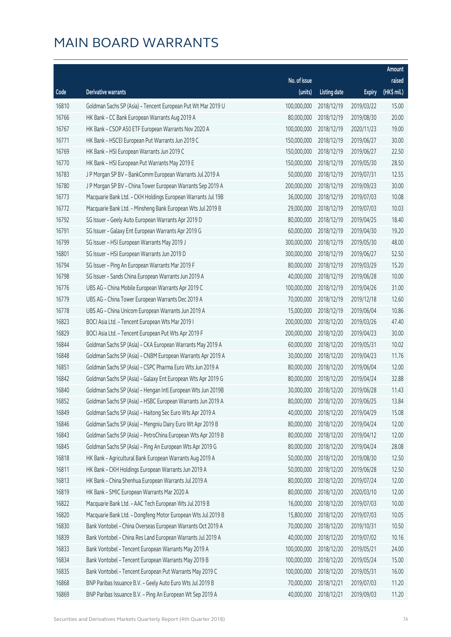|       |                                                              |              |                       |               | Amount      |
|-------|--------------------------------------------------------------|--------------|-----------------------|---------------|-------------|
|       |                                                              | No. of issue |                       |               | raised      |
| Code  | Derivative warrants                                          | (units)      | <b>Listing date</b>   | <b>Expiry</b> | (HK\$ mil.) |
| 16810 | Goldman Sachs SP (Asia) - Tencent European Put Wt Mar 2019 U | 100,000,000  | 2018/12/19            | 2019/03/22    | 15.00       |
| 16766 | HK Bank - CC Bank European Warrants Aug 2019 A               | 80,000,000   | 2018/12/19            | 2019/08/30    | 20.00       |
| 16767 | HK Bank - CSOP A50 ETF European Warrants Nov 2020 A          | 100,000,000  | 2018/12/19            | 2020/11/23    | 19.00       |
| 16771 | HK Bank - HSCEI European Put Warrants Jun 2019 C             | 150,000,000  | 2018/12/19            | 2019/06/27    | 30.00       |
| 16769 | HK Bank - HSI European Warrants Jun 2019 C                   | 150,000,000  | 2018/12/19            | 2019/06/27    | 22.50       |
| 16770 | HK Bank - HSI European Put Warrants May 2019 E               | 150,000,000  | 2018/12/19            | 2019/05/30    | 28.50       |
| 16783 | J P Morgan SP BV - BankComm European Warrants Jul 2019 A     | 50,000,000   | 2018/12/19            | 2019/07/31    | 12.55       |
| 16780 | J P Morgan SP BV - China Tower European Warrants Sep 2019 A  | 200,000,000  | 2018/12/19            | 2019/09/23    | 30.00       |
| 16773 | Macquarie Bank Ltd. - CKH Holdings European Warrants Jul 19B | 36,000,000   | 2018/12/19            | 2019/07/03    | 10.08       |
| 16772 | Macquarie Bank Ltd. - Minsheng Bank European Wts Jul 2019 B  | 29,000,000   | 2018/12/19            | 2019/07/03    | 10.03       |
| 16792 | SG Issuer - Geely Auto European Warrants Apr 2019 D          | 80,000,000   | 2018/12/19            | 2019/04/25    | 18.40       |
| 16791 | SG Issuer - Galaxy Ent European Warrants Apr 2019 G          | 60,000,000   | 2018/12/19            | 2019/04/30    | 19.20       |
| 16799 | SG Issuer - HSI European Warrants May 2019 J                 | 300,000,000  | 2018/12/19            | 2019/05/30    | 48.00       |
| 16801 | SG Issuer - HSI European Warrants Jun 2019 D                 | 300,000,000  | 2018/12/19            | 2019/06/27    | 52.50       |
| 16794 | SG Issuer - Ping An European Warrants Mar 2019 F             | 80,000,000   | 2018/12/19            | 2019/03/29    | 15.20       |
| 16798 | SG Issuer - Sands China European Warrants Jun 2019 A         | 40,000,000   | 2018/12/19            | 2019/06/28    | 10.00       |
| 16776 | UBS AG - China Mobile European Warrants Apr 2019 C           | 100,000,000  | 2018/12/19            | 2019/04/26    | 31.00       |
| 16779 | UBS AG - China Tower European Warrants Dec 2019 A            | 70,000,000   | 2018/12/19            | 2019/12/18    | 12.60       |
| 16778 | UBS AG - China Unicom European Warrants Jun 2019 A           | 15,000,000   | 2018/12/19            | 2019/06/04    | 10.86       |
| 16823 | BOCI Asia Ltd. - Tencent European Wts Mar 2019 I             | 200,000,000  | 2018/12/20            | 2019/03/26    | 47.40       |
| 16829 | BOCI Asia Ltd. - Tencent European Put Wts Apr 2019 F         | 200,000,000  | 2018/12/20            | 2019/04/23    | 30.00       |
| 16844 | Goldman Sachs SP (Asia) - CKA European Warrants May 2019 A   | 60,000,000   | 2018/12/20            | 2019/05/31    | 10.02       |
| 16848 | Goldman Sachs SP (Asia) - CNBM European Warrants Apr 2019 A  | 30,000,000   | 2018/12/20            | 2019/04/23    | 11.76       |
| 16851 | Goldman Sachs SP (Asia) - CSPC Pharma Euro Wts Jun 2019 A    | 80,000,000   | 2018/12/20            | 2019/06/04    | 12.00       |
| 16842 | Goldman Sachs SP (Asia) - Galaxy Ent European Wts Apr 2019 G | 80,000,000   | 2018/12/20            | 2019/04/24    | 32.88       |
| 16840 | Goldman Sachs SP (Asia) - Hengan Intl European Wts Jun 2019B | 30,000,000   | 2018/12/20            | 2019/06/28    | 11.43       |
| 16852 | Goldman Sachs SP (Asia) - HSBC European Warrants Jun 2019 A  |              | 80,000,000 2018/12/20 | 2019/06/25    | 13.84       |
| 16849 | Goldman Sachs SP (Asia) - Haitong Sec Euro Wts Apr 2019 A    | 40,000,000   | 2018/12/20            | 2019/04/29    | 15.08       |
| 16846 | Goldman Sachs SP (Asia) - Mengniu Dairy Euro Wt Apr 2019 B   | 80,000,000   | 2018/12/20            | 2019/04/24    | 12.00       |
| 16843 | Goldman Sachs SP (Asia) - PetroChina European Wts Apr 2019 B | 80,000,000   | 2018/12/20            | 2019/04/12    | 12.00       |
| 16845 | Goldman Sachs SP (Asia) - Ping An European Wts Apr 2019 G    | 80,000,000   | 2018/12/20            | 2019/04/24    | 28.08       |
| 16818 | HK Bank - Agricultural Bank European Warrants Aug 2019 A     | 50,000,000   | 2018/12/20            | 2019/08/30    | 12.50       |
| 16811 | HK Bank - CKH Holdings European Warrants Jun 2019 A          | 50,000,000   | 2018/12/20            | 2019/06/28    | 12.50       |
| 16813 | HK Bank - China Shenhua European Warrants Jul 2019 A         | 80,000,000   | 2018/12/20            | 2019/07/24    | 12.00       |
| 16819 | HK Bank - SMIC European Warrants Mar 2020 A                  | 80,000,000   | 2018/12/20            | 2020/03/10    | 12.00       |
| 16822 | Macquarie Bank Ltd. - AAC Tech European Wts Jul 2019 B       | 16,000,000   | 2018/12/20            | 2019/07/03    | 10.00       |
| 16820 | Macquarie Bank Ltd. - Dongfeng Motor European Wts Jul 2019 B | 15,800,000   | 2018/12/20            | 2019/07/03    | 10.05       |
| 16830 | Bank Vontobel - China Overseas European Warrants Oct 2019 A  | 70,000,000   | 2018/12/20            | 2019/10/31    | 10.50       |
| 16839 | Bank Vontobel - China Res Land European Warrants Jul 2019 A  | 40,000,000   | 2018/12/20            | 2019/07/02    | 10.16       |
| 16833 | Bank Vontobel - Tencent European Warrants May 2019 A         | 100,000,000  | 2018/12/20            | 2019/05/21    | 24.00       |
| 16834 | Bank Vontobel - Tencent European Warrants May 2019 B         | 100,000,000  | 2018/12/20            | 2019/05/24    | 15.00       |
| 16835 | Bank Vontobel - Tencent European Put Warrants May 2019 C     | 100,000,000  | 2018/12/20            | 2019/05/31    | 16.00       |
| 16868 | BNP Paribas Issuance B.V. - Geely Auto Euro Wts Jul 2019 B   | 70,000,000   | 2018/12/21            | 2019/07/03    | 11.20       |
| 16869 | BNP Paribas Issuance B.V. - Ping An European Wt Sep 2019 A   | 40,000,000   | 2018/12/21            | 2019/09/03    | 11.20       |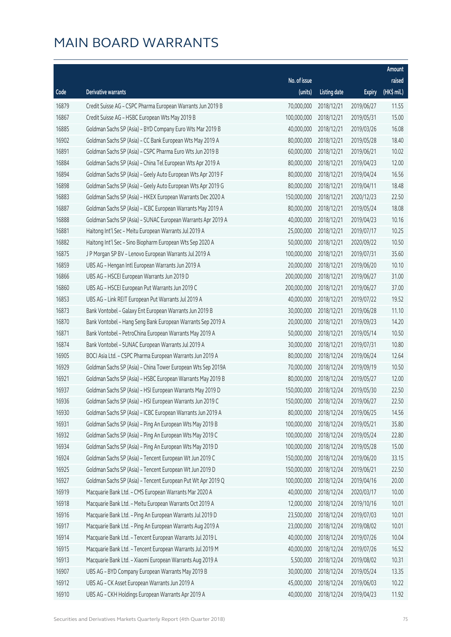|       |                                                              |                        |                     |               | Amount      |
|-------|--------------------------------------------------------------|------------------------|---------------------|---------------|-------------|
|       |                                                              | No. of issue           |                     |               | raised      |
| Code  | Derivative warrants                                          | (units)                | <b>Listing date</b> | <b>Expiry</b> | (HK\$ mil.) |
| 16879 | Credit Suisse AG - CSPC Pharma European Warrants Jun 2019 B  | 70,000,000             | 2018/12/21          | 2019/06/27    | 11.55       |
| 16867 | Credit Suisse AG - HSBC European Wts May 2019 B              | 100,000,000            | 2018/12/21          | 2019/05/31    | 15.00       |
| 16885 | Goldman Sachs SP (Asia) - BYD Company Euro Wts Mar 2019 B    | 40,000,000             | 2018/12/21          | 2019/03/26    | 16.08       |
| 16902 | Goldman Sachs SP (Asia) - CC Bank European Wts May 2019 A    | 80,000,000             | 2018/12/21          | 2019/05/28    | 18.40       |
| 16891 | Goldman Sachs SP (Asia) - CSPC Pharma Euro Wts Jun 2019 B    | 60,000,000             | 2018/12/21          | 2019/06/21    | 10.02       |
| 16884 | Goldman Sachs SP (Asia) - China Tel European Wts Apr 2019 A  | 80,000,000             | 2018/12/21          | 2019/04/23    | 12.00       |
| 16894 | Goldman Sachs SP (Asia) - Geely Auto European Wts Apr 2019 F | 80,000,000             | 2018/12/21          | 2019/04/24    | 16.56       |
| 16898 | Goldman Sachs SP (Asia) - Geely Auto European Wts Apr 2019 G | 80,000,000             | 2018/12/21          | 2019/04/11    | 18.48       |
| 16883 | Goldman Sachs SP (Asia) - HKEX European Warrants Dec 2020 A  | 150,000,000            | 2018/12/21          | 2020/12/23    | 22.50       |
| 16887 | Goldman Sachs SP (Asia) - ICBC European Warrants May 2019 A  | 80,000,000             | 2018/12/21          | 2019/05/24    | 18.08       |
| 16888 | Goldman Sachs SP (Asia) - SUNAC European Warrants Apr 2019 A | 40,000,000             | 2018/12/21          | 2019/04/23    | 10.16       |
| 16881 | Haitong Int'l Sec - Meitu European Warrants Jul 2019 A       | 25,000,000             | 2018/12/21          | 2019/07/17    | 10.25       |
| 16882 | Haitong Int'l Sec - Sino Biopharm European Wts Sep 2020 A    | 50,000,000             | 2018/12/21          | 2020/09/22    | 10.50       |
| 16875 | J P Morgan SP BV - Lenovo European Warrants Jul 2019 A       | 100,000,000            | 2018/12/21          | 2019/07/31    | 35.60       |
| 16859 | UBS AG - Hengan Intl European Warrants Jun 2019 A            | 20,000,000             | 2018/12/21          | 2019/06/20    | 10.10       |
| 16866 | UBS AG - HSCEI European Warrants Jun 2019 D                  | 200,000,000            | 2018/12/21          | 2019/06/27    | 31.00       |
| 16860 | UBS AG - HSCEI European Put Warrants Jun 2019 C              | 200,000,000            | 2018/12/21          | 2019/06/27    | 37.00       |
| 16853 | UBS AG - Link REIT European Put Warrants Jul 2019 A          | 40,000,000             | 2018/12/21          | 2019/07/22    | 19.52       |
| 16873 | Bank Vontobel - Galaxy Ent European Warrants Jun 2019 B      | 30,000,000             | 2018/12/21          | 2019/06/28    | 11.10       |
| 16870 | Bank Vontobel - Hang Seng Bank European Warrants Sep 2019 A  | 20,000,000             | 2018/12/21          | 2019/09/23    | 14.20       |
| 16871 | Bank Vontobel - PetroChina European Warrants May 2019 A      | 50,000,000             | 2018/12/21          | 2019/05/14    | 10.50       |
| 16874 | Bank Vontobel - SUNAC European Warrants Jul 2019 A           | 30,000,000             | 2018/12/21          | 2019/07/31    | 10.80       |
| 16905 | BOCI Asia Ltd. - CSPC Pharma European Warrants Jun 2019 A    | 80,000,000             | 2018/12/24          | 2019/06/24    | 12.64       |
| 16929 | Goldman Sachs SP (Asia) - China Tower European Wts Sep 2019A | 70,000,000             | 2018/12/24          | 2019/09/19    | 10.50       |
| 16921 | Goldman Sachs SP (Asia) - HSBC European Warrants May 2019 B  | 80,000,000             | 2018/12/24          | 2019/05/27    | 12.00       |
| 16937 | Goldman Sachs SP (Asia) - HSI European Warrants May 2019 D   | 150,000,000            | 2018/12/24          | 2019/05/30    | 22.50       |
| 16936 | Goldman Sachs SP (Asia) - HSI European Warrants Jun 2019 C   | 150,000,000 2018/12/24 |                     | 2019/06/27    | 22.50       |
| 16930 | Goldman Sachs SP (Asia) - ICBC European Warrants Jun 2019 A  | 80,000,000             | 2018/12/24          | 2019/06/25    | 14.56       |
| 16931 | Goldman Sachs SP (Asia) - Ping An European Wts May 2019 B    | 100,000,000            | 2018/12/24          | 2019/05/21    | 35.80       |
| 16932 | Goldman Sachs SP (Asia) - Ping An European Wts May 2019 C    | 100,000,000            | 2018/12/24          | 2019/05/24    | 22.80       |
| 16934 | Goldman Sachs SP (Asia) - Ping An European Wts May 2019 D    | 100,000,000            | 2018/12/24          | 2019/05/28    | 15.00       |
| 16924 | Goldman Sachs SP (Asia) - Tencent European Wt Jun 2019 C     | 150,000,000            | 2018/12/24          | 2019/06/20    | 33.15       |
| 16925 | Goldman Sachs SP (Asia) - Tencent European Wt Jun 2019 D     | 150,000,000            | 2018/12/24          | 2019/06/21    | 22.50       |
| 16927 | Goldman Sachs SP (Asia) - Tencent European Put Wt Apr 2019 Q | 100,000,000            | 2018/12/24          | 2019/04/16    | 20.00       |
| 16919 | Macquarie Bank Ltd. - CMS European Warrants Mar 2020 A       | 40,000,000             | 2018/12/24          | 2020/03/17    | 10.00       |
| 16918 | Macquarie Bank Ltd. - Meitu European Warrants Oct 2019 A     | 12,000,000             | 2018/12/24          | 2019/10/16    | 10.01       |
| 16916 | Macquarie Bank Ltd. - Ping An European Warrants Jul 2019 D   | 23,500,000             | 2018/12/24          | 2019/07/03    | 10.01       |
| 16917 | Macquarie Bank Ltd. - Ping An European Warrants Aug 2019 A   | 23,000,000             | 2018/12/24          | 2019/08/02    | 10.01       |
| 16914 | Macquarie Bank Ltd. - Tencent European Warrants Jul 2019 L   | 40,000,000             | 2018/12/24          | 2019/07/26    | 10.04       |
| 16915 | Macquarie Bank Ltd. - Tencent European Warrants Jul 2019 M   | 40,000,000             | 2018/12/24          | 2019/07/26    | 16.52       |
| 16913 | Macquarie Bank Ltd. - Xiaomi European Warrants Aug 2019 A    | 5,500,000              | 2018/12/24          | 2019/08/02    | 10.31       |
| 16907 | UBS AG - BYD Company European Warrants May 2019 B            | 30,000,000             | 2018/12/24          | 2019/05/24    | 13.35       |
| 16912 | UBS AG - CK Asset European Warrants Jun 2019 A               | 45,000,000             | 2018/12/24          | 2019/06/03    | 10.22       |
| 16910 | UBS AG - CKH Holdings European Warrants Apr 2019 A           | 40,000,000             | 2018/12/24          | 2019/04/23    | 11.92       |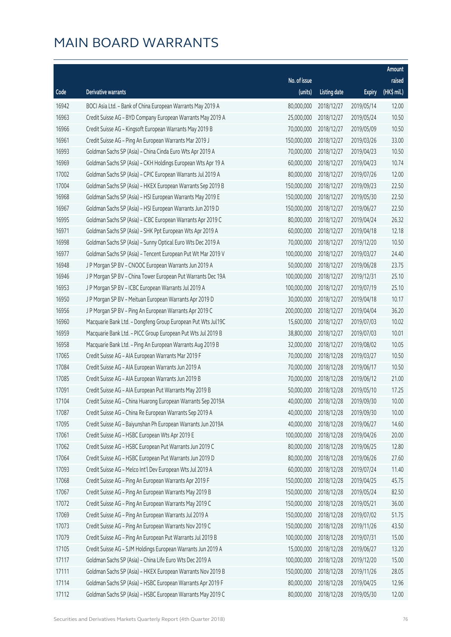|       |                                                              |              |                       |               | Amount      |
|-------|--------------------------------------------------------------|--------------|-----------------------|---------------|-------------|
|       |                                                              | No. of issue |                       |               | raised      |
| Code  | Derivative warrants                                          | (units)      | <b>Listing date</b>   | <b>Expiry</b> | (HK\$ mil.) |
| 16942 | BOCI Asia Ltd. - Bank of China European Warrants May 2019 A  | 80,000,000   | 2018/12/27            | 2019/05/14    | 12.00       |
| 16963 | Credit Suisse AG - BYD Company European Warrants May 2019 A  | 25,000,000   | 2018/12/27            | 2019/05/24    | 10.50       |
| 16966 | Credit Suisse AG - Kingsoft European Warrants May 2019 B     | 70,000,000   | 2018/12/27            | 2019/05/09    | 10.50       |
| 16961 | Credit Suisse AG - Ping An European Warrants Mar 2019 J      | 150,000,000  | 2018/12/27            | 2019/03/26    | 33.00       |
| 16993 | Goldman Sachs SP (Asia) - China Cinda Euro Wts Apr 2019 A    | 70,000,000   | 2018/12/27            | 2019/04/23    | 10.50       |
| 16969 | Goldman Sachs SP (Asia) - CKH Holdings European Wts Apr 19 A | 60,000,000   | 2018/12/27            | 2019/04/23    | 10.74       |
| 17002 | Goldman Sachs SP (Asia) - CPIC European Warrants Jul 2019 A  | 80,000,000   | 2018/12/27            | 2019/07/26    | 12.00       |
| 17004 | Goldman Sachs SP (Asia) - HKEX European Warrants Sep 2019 B  | 150,000,000  | 2018/12/27            | 2019/09/23    | 22.50       |
| 16968 | Goldman Sachs SP (Asia) - HSI European Warrants May 2019 E   | 150,000,000  | 2018/12/27            | 2019/05/30    | 22.50       |
| 16967 | Goldman Sachs SP (Asia) - HSI European Warrants Jun 2019 D   | 150,000,000  | 2018/12/27            | 2019/06/27    | 22.50       |
| 16995 | Goldman Sachs SP (Asia) - ICBC European Warrants Apr 2019 C  | 80,000,000   | 2018/12/27            | 2019/04/24    | 26.32       |
| 16971 | Goldman Sachs SP (Asia) - SHK Ppt European Wts Apr 2019 A    | 60,000,000   | 2018/12/27            | 2019/04/18    | 12.18       |
| 16998 | Goldman Sachs SP (Asia) - Sunny Optical Euro Wts Dec 2019 A  | 70,000,000   | 2018/12/27            | 2019/12/20    | 10.50       |
| 16977 | Goldman Sachs SP (Asia) - Tencent European Put Wt Mar 2019 V | 100,000,000  | 2018/12/27            | 2019/03/27    | 24.40       |
| 16948 | J P Morgan SP BV - CNOOC European Warrants Jun 2019 A        | 50,000,000   | 2018/12/27            | 2019/06/28    | 23.75       |
| 16946 | J P Morgan SP BV - China Tower European Put Warrants Dec 19A | 100,000,000  | 2018/12/27            | 2019/12/31    | 25.10       |
| 16953 | J P Morgan SP BV - ICBC European Warrants Jul 2019 A         | 100,000,000  | 2018/12/27            | 2019/07/19    | 25.10       |
| 16950 | J P Morgan SP BV - Meituan European Warrants Apr 2019 D      | 30,000,000   | 2018/12/27            | 2019/04/18    | 10.17       |
| 16956 | J P Morgan SP BV - Ping An European Warrants Apr 2019 C      | 200,000,000  | 2018/12/27            | 2019/04/04    | 36.20       |
| 16960 | Macquarie Bank Ltd. - Dongfeng Group European Put Wts Jul19C | 15,600,000   | 2018/12/27            | 2019/07/03    | 10.02       |
| 16959 | Macquarie Bank Ltd. - PICC Group European Put Wts Jul 2019 B | 38,800,000   | 2018/12/27            | 2019/07/03    | 10.01       |
| 16958 | Macquarie Bank Ltd. - Ping An European Warrants Aug 2019 B   | 32,000,000   | 2018/12/27            | 2019/08/02    | 10.05       |
| 17065 | Credit Suisse AG - AIA European Warrants Mar 2019 F          | 70,000,000   | 2018/12/28            | 2019/03/27    | 10.50       |
| 17084 | Credit Suisse AG - AIA European Warrants Jun 2019 A          | 70,000,000   | 2018/12/28            | 2019/06/17    | 10.50       |
| 17085 | Credit Suisse AG - AIA European Warrants Jun 2019 B          | 70,000,000   | 2018/12/28            | 2019/06/12    | 21.00       |
| 17091 | Credit Suisse AG - AIA European Put Warrants May 2019 B      | 50,000,000   | 2018/12/28            | 2019/05/10    | 17.25       |
| 17104 | Credit Suisse AG - China Huarong European Warrants Sep 2019A |              | 40,000,000 2018/12/28 | 2019/09/30    | 10.00       |
| 17087 | Credit Suisse AG - China Re European Warrants Sep 2019 A     | 40,000,000   | 2018/12/28            | 2019/09/30    | 10.00       |
| 17095 | Credit Suisse AG - Baiyunshan Ph European Warrants Jun 2019A | 40,000,000   | 2018/12/28            | 2019/06/27    | 14.60       |
| 17061 | Credit Suisse AG - HSBC European Wts Apr 2019 E              | 100,000,000  | 2018/12/28            | 2019/04/26    | 20.00       |
| 17062 | Credit Suisse AG - HSBC European Put Warrants Jun 2019 C     | 80,000,000   | 2018/12/28            | 2019/06/25    | 12.80       |
| 17064 | Credit Suisse AG - HSBC European Put Warrants Jun 2019 D     | 80,000,000   | 2018/12/28            | 2019/06/26    | 27.60       |
| 17093 | Credit Suisse AG - Melco Int'l Dev European Wts Jul 2019 A   | 60,000,000   | 2018/12/28            | 2019/07/24    | 11.40       |
| 17068 | Credit Suisse AG - Ping An European Warrants Apr 2019 F      | 150,000,000  | 2018/12/28            | 2019/04/25    | 45.75       |
| 17067 | Credit Suisse AG - Ping An European Warrants May 2019 B      | 150,000,000  | 2018/12/28            | 2019/05/24    | 82.50       |
| 17072 | Credit Suisse AG - Ping An European Warrants May 2019 C      | 150,000,000  | 2018/12/28            | 2019/05/21    | 36.00       |
| 17069 | Credit Suisse AG - Ping An European Warrants Jul 2019 A      | 150,000,000  | 2018/12/28            | 2019/07/02    | 51.75       |
| 17073 | Credit Suisse AG - Ping An European Warrants Nov 2019 C      | 150,000,000  | 2018/12/28            | 2019/11/26    | 43.50       |
| 17079 | Credit Suisse AG - Ping An European Put Warrants Jul 2019 B  | 100,000,000  | 2018/12/28            | 2019/07/31    | 15.00       |
| 17105 | Credit Suisse AG - SJM Holdings European Warrants Jun 2019 A | 15,000,000   | 2018/12/28            | 2019/06/27    | 13.20       |
| 17117 | Goldman Sachs SP (Asia) - China Life Euro Wts Dec 2019 A     | 100,000,000  | 2018/12/28            | 2019/12/20    | 15.00       |
| 17111 | Goldman Sachs SP (Asia) - HKEX European Warrants Nov 2019 B  | 150,000,000  | 2018/12/28            | 2019/11/26    | 28.05       |
| 17114 | Goldman Sachs SP (Asia) - HSBC European Warrants Apr 2019 F  | 80,000,000   | 2018/12/28            | 2019/04/25    | 12.96       |
| 17112 | Goldman Sachs SP (Asia) - HSBC European Warrants May 2019 C  | 80,000,000   | 2018/12/28            | 2019/05/30    | 12.00       |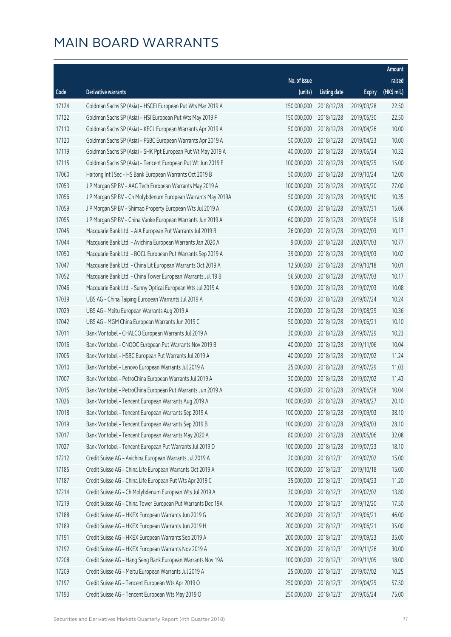|       |                                                              |                        |                     |               | Amount      |
|-------|--------------------------------------------------------------|------------------------|---------------------|---------------|-------------|
|       |                                                              | No. of issue           |                     |               | raised      |
| Code  | Derivative warrants                                          | (units)                | <b>Listing date</b> | <b>Expiry</b> | (HK\$ mil.) |
| 17124 | Goldman Sachs SP (Asia) - HSCEI European Put Wts Mar 2019 A  | 150,000,000            | 2018/12/28          | 2019/03/28    | 22.50       |
| 17122 | Goldman Sachs SP (Asia) - HSI European Put Wts May 2019 F    | 150,000,000            | 2018/12/28          | 2019/05/30    | 22.50       |
| 17110 | Goldman Sachs SP (Asia) - KECL European Warrants Apr 2019 A  | 50,000,000             | 2018/12/28          | 2019/04/26    | 10.00       |
| 17120 | Goldman Sachs SP (Asia) - PSBC European Warrants Apr 2019 A  | 50,000,000             | 2018/12/28          | 2019/04/23    | 10.00       |
| 17119 | Goldman Sachs SP (Asia) - SHK Ppt European Put Wt May 2019 A | 40,000,000             | 2018/12/28          | 2019/05/24    | 10.32       |
| 17115 | Goldman Sachs SP (Asia) - Tencent European Put Wt Jun 2019 E | 100,000,000            | 2018/12/28          | 2019/06/25    | 15.00       |
| 17060 | Haitong Int'l Sec - HS Bank European Warrants Oct 2019 B     | 50,000,000             | 2018/12/28          | 2019/10/24    | 12.00       |
| 17053 | J P Morgan SP BV - AAC Tech European Warrants May 2019 A     | 100,000,000            | 2018/12/28          | 2019/05/20    | 27.00       |
| 17056 | J P Morgan SP BV - Ch Molybdenum European Warrants May 2019A | 50,000,000             | 2018/12/28          | 2019/05/10    | 10.35       |
| 17059 | J P Morgan SP BV - Shimao Property European Wts Jul 2019 A   | 60,000,000             | 2018/12/28          | 2019/07/31    | 15.06       |
| 17055 | J P Morgan SP BV - China Vanke European Warrants Jun 2019 A  | 60,000,000             | 2018/12/28          | 2019/06/28    | 15.18       |
| 17045 | Macquarie Bank Ltd. - AIA European Put Warrants Jul 2019 B   | 26,000,000             | 2018/12/28          | 2019/07/03    | 10.17       |
| 17044 | Macquarie Bank Ltd. - Avichina European Warrants Jan 2020 A  | 9,000,000              | 2018/12/28          | 2020/01/03    | 10.77       |
| 17050 | Macquarie Bank Ltd. - BOCL European Put Warrants Sep 2019 A  | 39,000,000             | 2018/12/28          | 2019/09/03    | 10.02       |
| 17047 | Macquarie Bank Ltd. - China Lit European Warrants Oct 2019 A | 12,500,000             | 2018/12/28          | 2019/10/18    | 10.01       |
| 17052 | Macquarie Bank Ltd. - China Tower European Warrants Jul 19 B | 56,500,000             | 2018/12/28          | 2019/07/03    | 10.17       |
| 17046 | Macquarie Bank Ltd. - Sunny Optical European Wts Jul 2019 A  | 9,000,000              | 2018/12/28          | 2019/07/03    | 10.08       |
| 17039 | UBS AG - China Taiping European Warrants Jul 2019 A          | 40,000,000             | 2018/12/28          | 2019/07/24    | 10.24       |
| 17029 | UBS AG - Meitu European Warrants Aug 2019 A                  | 20,000,000             | 2018/12/28          | 2019/08/29    | 10.36       |
| 17042 | UBS AG - MGM China European Warrants Jun 2019 C              | 50,000,000             | 2018/12/28          | 2019/06/21    | 10.10       |
| 17011 | Bank Vontobel - CHALCO European Warrants Jul 2019 A          | 30,000,000             | 2018/12/28          | 2019/07/29    | 10.23       |
| 17016 | Bank Vontobel - CNOOC European Put Warrants Nov 2019 B       | 40,000,000             | 2018/12/28          | 2019/11/06    | 10.04       |
| 17005 | Bank Vontobel - HSBC European Put Warrants Jul 2019 A        | 40,000,000             | 2018/12/28          | 2019/07/02    | 11.24       |
| 17010 | Bank Vontobel - Lenovo European Warrants Jul 2019 A          | 25,000,000             | 2018/12/28          | 2019/07/29    | 11.03       |
| 17007 | Bank Vontobel - PetroChina European Warrants Jul 2019 A      | 30,000,000             | 2018/12/28          | 2019/07/02    | 11.43       |
| 17015 | Bank Vontobel - PetroChina European Put Warrants Jun 2019 A  | 40,000,000             | 2018/12/28          | 2019/06/28    | 10.04       |
| 17026 | Bank Vontobel - Tencent European Warrants Aug 2019 A         | 100,000,000 2018/12/28 |                     | 2019/08/27    | 20.10       |
| 17018 | Bank Vontobel - Tencent European Warrants Sep 2019 A         | 100,000,000            | 2018/12/28          | 2019/09/03    | 38.10       |
| 17019 | Bank Vontobel - Tencent European Warrants Sep 2019 B         | 100,000,000            | 2018/12/28          | 2019/09/03    | 28.10       |
| 17017 | Bank Vontobel - Tencent European Warrants May 2020 A         | 80,000,000             | 2018/12/28          | 2020/05/06    | 32.08       |
| 17027 | Bank Vontobel - Tencent European Put Warrants Jul 2019 D     | 100,000,000            | 2018/12/28          | 2019/07/23    | 18.10       |
| 17212 | Credit Suisse AG - Avichina European Warrants Jul 2019 A     | 20,000,000             | 2018/12/31          | 2019/07/02    | 15.00       |
| 17185 | Credit Suisse AG - China Life European Warrants Oct 2019 A   | 100,000,000            | 2018/12/31          | 2019/10/18    | 15.00       |
| 17187 | Credit Suisse AG - China Life European Put Wts Apr 2019 C    | 35,000,000             | 2018/12/31          | 2019/04/23    | 11.20       |
| 17214 | Credit Suisse AG - Ch Molybdenum European Wts Jul 2019 A     | 30,000,000             | 2018/12/31          | 2019/07/02    | 13.80       |
| 17219 | Credit Suisse AG - China Tower European Put Warrants Dec 19A | 70,000,000             | 2018/12/31          | 2019/12/20    | 17.50       |
| 17188 | Credit Suisse AG - HKEX European Warrants Jun 2019 G         | 200,000,000            | 2018/12/31          | 2019/06/21    | 46.00       |
| 17189 | Credit Suisse AG - HKEX European Warrants Jun 2019 H         | 200,000,000            | 2018/12/31          | 2019/06/21    | 35.00       |
| 17191 | Credit Suisse AG - HKEX European Warrants Sep 2019 A         | 200,000,000            | 2018/12/31          | 2019/09/23    | 35.00       |
| 17192 | Credit Suisse AG - HKEX European Warrants Nov 2019 A         | 200,000,000            | 2018/12/31          | 2019/11/26    | 30.00       |
| 17208 | Credit Suisse AG - Hang Seng Bank European Warrants Nov 19A  | 100,000,000            | 2018/12/31          | 2019/11/05    | 18.00       |
| 17209 | Credit Suisse AG - Meitu European Warrants Jul 2019 A        | 25,000,000             | 2018/12/31          | 2019/07/02    | 10.25       |
| 17197 | Credit Suisse AG - Tencent European Wts Apr 2019 O           | 250,000,000            | 2018/12/31          | 2019/04/25    | 57.50       |
| 17193 | Credit Suisse AG - Tencent European Wts May 2019 O           | 250,000,000            | 2018/12/31          | 2019/05/24    | 75.00       |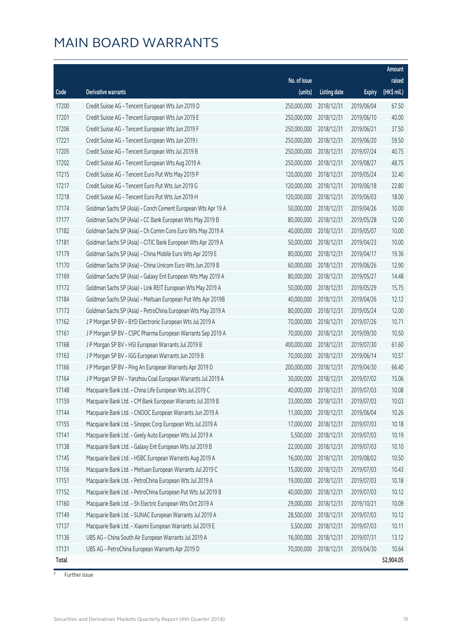|       |                                                              |              |                       |               | Amount       |
|-------|--------------------------------------------------------------|--------------|-----------------------|---------------|--------------|
|       |                                                              | No. of issue |                       |               | raised       |
| Code  | Derivative warrants                                          | (units)      | <b>Listing date</b>   | <b>Expiry</b> | $(HK\$ mil.) |
| 17200 | Credit Suisse AG - Tencent European Wts Jun 2019 D           | 250,000,000  | 2018/12/31            | 2019/06/04    | 67.50        |
| 17201 | Credit Suisse AG - Tencent European Wts Jun 2019 E           | 250,000,000  | 2018/12/31            | 2019/06/10    | 40.00        |
| 17206 | Credit Suisse AG - Tencent European Wts Jun 2019 F           | 250,000,000  | 2018/12/31            | 2019/06/21    | 37.50        |
| 17221 | Credit Suisse AG - Tencent European Wts Jun 2019 I           | 250,000,000  | 2018/12/31            | 2019/06/20    | 59.50        |
| 17205 | Credit Suisse AG - Tencent European Wts Jul 2019 B           | 250,000,000  | 2018/12/31            | 2019/07/24    | 40.75        |
| 17202 | Credit Suisse AG - Tencent European Wts Aug 2019 A           | 250,000,000  | 2018/12/31            | 2019/08/27    | 48.75        |
| 17215 | Credit Suisse AG - Tencent Euro Put Wts May 2019 P           | 120,000,000  | 2018/12/31            | 2019/05/24    | 32.40        |
| 17217 | Credit Suisse AG - Tencent Euro Put Wts Jun 2019 G           | 120,000,000  | 2018/12/31            | 2019/06/18    | 22.80        |
| 17218 | Credit Suisse AG - Tencent Euro Put Wts Jun 2019 H           | 120,000,000  | 2018/12/31            | 2019/06/03    | 18.00        |
| 17174 | Goldman Sachs SP (Asia) - Conch Cement European Wts Apr 19 A | 50,000,000   | 2018/12/31            | 2019/04/26    | 10.00        |
| 17177 | Goldman Sachs SP (Asia) - CC Bank European Wts May 2019 B    | 80,000,000   | 2018/12/31            | 2019/05/28    | 12.00        |
| 17182 | Goldman Sachs SP (Asia) - Ch Comm Cons Euro Wts May 2019 A   | 40,000,000   | 2018/12/31            | 2019/05/07    | 10.00        |
| 17181 | Goldman Sachs SP (Asia) - CITIC Bank European Wts Apr 2019 A | 50,000,000   | 2018/12/31            | 2019/04/23    | 10.00        |
| 17179 | Goldman Sachs SP (Asia) - China Mobile Euro Wts Apr 2019 E   | 80,000,000   | 2018/12/31            | 2019/04/17    | 19.36        |
| 17170 | Goldman Sachs SP (Asia) - China Unicom Euro Wts Jun 2019 B   | 60,000,000   | 2018/12/31            | 2019/06/26    | 12.90        |
| 17169 | Goldman Sachs SP (Asia) - Galaxy Ent European Wts May 2019 A | 80,000,000   | 2018/12/31            | 2019/05/27    | 14.48        |
| 17172 | Goldman Sachs SP (Asia) - Link REIT European Wts May 2019 A  | 50,000,000   | 2018/12/31            | 2019/05/29    | 15.75        |
| 17184 | Goldman Sachs SP (Asia) - Meituan European Put Wts Apr 2019B | 40,000,000   | 2018/12/31            | 2019/04/26    | 12.12        |
| 17173 | Goldman Sachs SP (Asia) - PetroChina European Wts May 2019 A | 80,000,000   | 2018/12/31            | 2019/05/24    | 12.00        |
| 17162 | J P Morgan SP BV - BYD Electronic European Wts Jul 2019 A    | 70,000,000   | 2018/12/31            | 2019/07/26    | 10.71        |
| 17161 | J P Morgan SP BV - CSPC Pharma European Warrants Sep 2019 A  | 70,000,000   | 2018/12/31            | 2019/09/30    | 10.50        |
| 17168 | J P Morgan SP BV - HSI European Warrants Jul 2019 B          | 400,000,000  | 2018/12/31            | 2019/07/30    | 61.60        |
| 17163 | J P Morgan SP BV - IGG European Warrants Jun 2019 B          | 70,000,000   | 2018/12/31            | 2019/06/14    | 10.57        |
| 17166 | J P Morgan SP BV - Ping An European Warrants Apr 2019 D      | 200,000,000  | 2018/12/31            | 2019/04/30    | 66.40        |
| 17164 | J P Morgan SP BV - Yanzhou Coal European Warrants Jul 2019 A | 30,000,000   | 2018/12/31            | 2019/07/02    | 15.06        |
| 17148 | Macquarie Bank Ltd. - China Life European Wts Jul 2019 C     | 40,000,000   | 2018/12/31            | 2019/07/03    | 10.08        |
| 17159 | Macquarie Bank Ltd. - CM Bank European Warrants Jul 2019 B   |              | 33,000,000 2018/12/31 | 2019/07/03    | 10.03        |
| 17144 | Macquarie Bank Ltd. - CNOOC European Warrants Jun 2019 A     | 11,000,000   | 2018/12/31            | 2019/06/04    | 10.26        |
| 17155 | Macquarie Bank Ltd. - Sinopec Corp European Wts Jul 2019 A   | 17,000,000   | 2018/12/31            | 2019/07/03    | 10.18        |
| 17141 | Macquarie Bank Ltd. - Geely Auto European Wts Jul 2019 A     | 5,500,000    | 2018/12/31            | 2019/07/03    | 10.19        |
| 17138 | Macquarie Bank Ltd. - Galaxy Ent European Wts Jul 2019 B     | 22,000,000   | 2018/12/31            | 2019/07/03    | 10.10        |
| 17145 | Macquarie Bank Ltd. - HSBC European Warrants Aug 2019 A      | 16,000,000   | 2018/12/31            | 2019/08/02    | 10.50        |
| 17156 | Macquarie Bank Ltd. - Meituan European Warrants Jul 2019 C   | 15,000,000   | 2018/12/31            | 2019/07/03    | 10.43        |
| 17151 | Macquarie Bank Ltd. - PetroChina European Wts Jul 2019 A     | 19,000,000   | 2018/12/31            | 2019/07/03    | 10.18        |
| 17152 | Macquarie Bank Ltd. - PetroChina European Put Wts Jul 2019 B | 40,000,000   | 2018/12/31            | 2019/07/03    | 10.12        |
| 17160 | Macquarie Bank Ltd. - Sh Electric European Wts Oct 2019 A    | 29,000,000   | 2018/12/31            | 2019/10/21    | 10.09        |
| 17149 | Macquarie Bank Ltd. - SUNAC European Warrants Jul 2019 A     | 28,500,000   | 2018/12/31            | 2019/07/03    | 10.12        |
| 17137 | Macquarie Bank Ltd. - Xiaomi European Warrants Jul 2019 E    | 5,500,000    | 2018/12/31            | 2019/07/03    | 10.11        |
| 17136 | UBS AG - China South Air European Warrants Jul 2019 A        | 16,000,000   | 2018/12/31            | 2019/07/31    | 13.12        |
| 17131 | UBS AG - PetroChina European Warrants Apr 2019 D             | 70,000,000   | 2018/12/31            | 2019/04/30    | 10.64        |
| Total |                                                              |              |                       |               | 52,904.05    |

# Further issue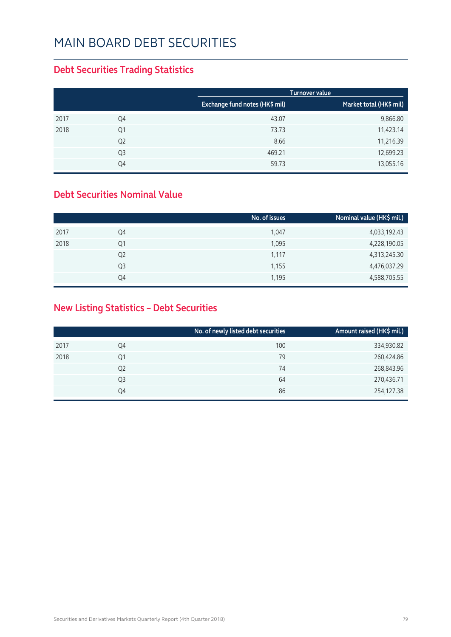#### **Debt Securities Trading Statistics**

|      |                |                                | <b>Turnover value</b>   |
|------|----------------|--------------------------------|-------------------------|
|      |                | Exchange fund notes (HK\$ mil) | Market total (HK\$ mil) |
| 2017 | Q4             | 43.07                          | 9,866.80                |
| 2018 | Q1             | 73.73                          | 11,423.14               |
|      | Q <sub>2</sub> | 8.66                           | 11,216.39               |
|      | Q <sub>3</sub> | 469.21                         | 12,699.23               |
|      | Q4             | 59.73                          | 13,055.16               |

#### **Debt Securities Nominal Value**

|      |                | No. of issues | Nominal value (HK\$ mil.) |
|------|----------------|---------------|---------------------------|
| 2017 | Q4             | 1,047         | 4,033,192.43              |
| 2018 | Q1             | 1,095         | 4,228,190.05              |
|      | Q <sub>2</sub> | 1,117         | 4,313,245.30              |
|      | Q <sub>3</sub> | 1,155         | 4,476,037.29              |
|      | Q4             | 1,195         | 4,588,705.55              |

#### **New Listing Statistics – Debt Securities**

|      |                | No. of newly listed debt securities | Amount raised (HK\$ mil.) |
|------|----------------|-------------------------------------|---------------------------|
| 2017 | Q4             | 100                                 | 334,930.82                |
| 2018 | Q1             | 79                                  | 260,424.86                |
|      | Q <sub>2</sub> | 74                                  | 268,843.96                |
|      | Q3             | 64                                  | 270,436.71                |
|      | Q4             | 86                                  | 254,127.38                |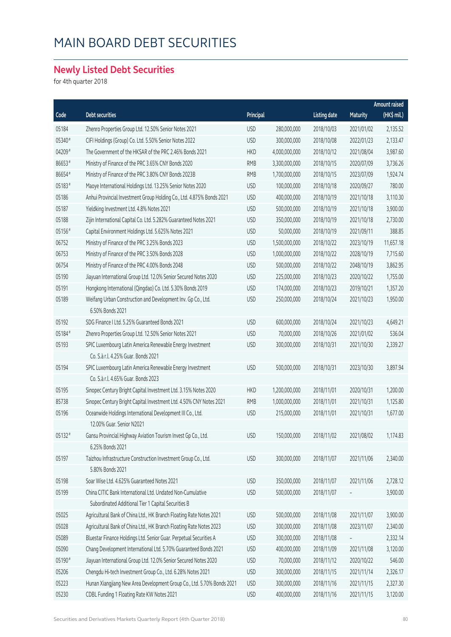#### **Newly Listed Debt Securities**

for 4th quarter 2018

|        |                                                                        |            |               |                     |            | Amount raised |
|--------|------------------------------------------------------------------------|------------|---------------|---------------------|------------|---------------|
| Code   | Debt securities                                                        | Principal  |               | <b>Listing date</b> | Maturity   | (HK\$ mil.)   |
| 05184  | Zhenro Properties Group Ltd. 12.50% Senior Notes 2021                  | <b>USD</b> | 280,000,000   | 2018/10/03          | 2021/01/02 | 2,135.52      |
| 05340# | CIFI Holdings (Group) Co. Ltd. 5.50% Senior Notes 2022                 | <b>USD</b> | 300,000,000   | 2018/10/08          | 2022/01/23 | 2,133.47      |
| 04209# | The Government of the HKSAR of the PRC 2.46% Bonds 2021                | <b>HKD</b> | 4,000,000,000 | 2018/10/12          | 2021/08/04 | 3,987.60      |
| 86653# | Ministry of Finance of the PRC 3.65% CNY Bonds 2020                    | <b>RMB</b> | 3,300,000,000 | 2018/10/15          | 2020/07/09 | 3,736.26      |
| 86654# | Ministry of Finance of the PRC 3.80% CNY Bonds 2023B                   | <b>RMB</b> | 1,700,000,000 | 2018/10/15          | 2023/07/09 | 1,924.74      |
| 05183# | Maoye International Holdings Ltd. 13.25% Senior Notes 2020             | <b>USD</b> | 100,000,000   | 2018/10/18          | 2020/09/27 | 780.00        |
| 05186  | Anhui Provincial Investment Group Holding Co., Ltd. 4.875% Bonds 2021  | <b>USD</b> | 400,000,000   | 2018/10/19          | 2021/10/18 | 3,110.30      |
| 05187  | Yieldking Investment Ltd. 4.8% Notes 2021                              | <b>USD</b> | 500,000,000   | 2018/10/19          | 2021/10/18 | 3,900.00      |
| 05188  | Zijin International Capital Co. Ltd. 5.282% Guaranteed Notes 2021      | <b>USD</b> | 350,000,000   | 2018/10/19          | 2021/10/18 | 2,730.00      |
| 05156# | Capital Environment Holdings Ltd. 5.625% Notes 2021                    | <b>USD</b> | 50,000,000    | 2018/10/19          | 2021/09/11 | 388.85        |
| 06752  | Ministry of Finance of the PRC 3.25% Bonds 2023                        | <b>USD</b> | 1,500,000,000 | 2018/10/22          | 2023/10/19 | 11,657.18     |
| 06753  | Ministry of Finance of the PRC 3.50% Bonds 2028                        | <b>USD</b> | 1,000,000,000 | 2018/10/22          | 2028/10/19 | 7,715.60      |
| 06754  | Ministry of Finance of the PRC 4.00% Bonds 2048                        | <b>USD</b> | 500,000,000   | 2018/10/22          | 2048/10/19 | 3,862.95      |
| 05190  | Jiayuan International Group Ltd. 12.0% Senior Secured Notes 2020       | <b>USD</b> | 225,000,000   | 2018/10/23          | 2020/10/22 | 1,755.00      |
| 05191  | Hongkong International (Qingdao) Co. Ltd. 5.30% Bonds 2019             | <b>USD</b> | 174,000,000   | 2018/10/23          | 2019/10/21 | 1,357.20      |
| 05189  | Weifang Urban Construction and Development Inv. Gp Co., Ltd.           | <b>USD</b> | 250,000,000   | 2018/10/24          | 2021/10/23 | 1,950.00      |
|        | 6.50% Bonds 2021                                                       |            |               |                     |            |               |
| 05192  | SDG Finance I Ltd. 5.25% Guaranteed Bonds 2021                         | <b>USD</b> | 600,000,000   | 2018/10/24          | 2021/10/23 | 4,649.21      |
| 05184# | Zhenro Properties Group Ltd. 12.50% Senior Notes 2021                  | <b>USD</b> | 70,000,000    | 2018/10/26          | 2021/01/02 | 536.04        |
| 05193  | SPIC Luxembourg Latin America Renewable Energy Investment              | <b>USD</b> | 300,000,000   | 2018/10/31          | 2021/10/30 | 2,339.27      |
|        | Co. S.à r.l. 4.25% Guar. Bonds 2021                                    |            |               |                     |            |               |
| 05194  | SPIC Luxembourg Latin America Renewable Energy Investment              | <b>USD</b> | 500,000,000   | 2018/10/31          | 2023/10/30 | 3,897.94      |
|        | Co. S.à r.l. 4.65% Guar. Bonds 2023                                    |            |               |                     |            |               |
| 05195  | Sinopec Century Bright Capital Investment Ltd. 3.15% Notes 2020        | <b>HKD</b> | 1,200,000,000 | 2018/11/01          | 2020/10/31 | 1,200.00      |
| 85738  | Sinopec Century Bright Capital Investment Ltd. 4.50% CNY Notes 2021    | <b>RMB</b> | 1,000,000,000 | 2018/11/01          | 2021/10/31 | 1,125.80      |
| 05196  | Oceanwide Holdings International Development III Co., Ltd.             | <b>USD</b> | 215,000,000   | 2018/11/01          | 2021/10/31 | 1,677.00      |
|        | 12.00% Guar, Senior N2021                                              |            |               |                     |            |               |
| 05132# | Gansu Provincial Highway Aviation Tourism Invest Gp Co., Ltd.          | <b>USD</b> | 150,000,000   | 2018/11/02          | 2021/08/02 | 1,174.83      |
|        | 6.25% Bonds 2021                                                       |            |               |                     |            |               |
| 05197  | Taizhou Infrastructure Construction Investment Group Co., Ltd.         | <b>USD</b> | 300,000,000   | 2018/11/07          | 2021/11/06 | 2,340.00      |
|        | 5.80% Bonds 2021                                                       |            |               |                     |            |               |
| 05198  | Soar Wise Ltd. 4.625% Guaranteed Notes 2021                            | <b>USD</b> | 350,000,000   | 2018/11/07          | 2021/11/06 | 2,728.12      |
| 05199  | China CITIC Bank International Ltd. Undated Non-Cumulative             | <b>USD</b> | 500,000,000   | 2018/11/07          |            | 3,900.00      |
|        | Subordinated Additional Tier 1 Capital Securities B                    |            |               |                     |            |               |
| 05025  | Agricultural Bank of China Ltd., HK Branch Floating Rate Notes 2021    | <b>USD</b> | 500,000,000   | 2018/11/08          | 2021/11/07 | 3,900.00      |
| 05028  | Agricultural Bank of China Ltd., HK Branch Floating Rate Notes 2023    | <b>USD</b> | 300,000,000   | 2018/11/08          | 2023/11/07 | 2,340.00      |
| 05089  | Bluestar Finance Holdings Ltd. Senior Guar. Perpetual Securities A     | <b>USD</b> | 300,000,000   | 2018/11/08          |            | 2,332.14      |
| 05090  | Chang Development International Ltd. 5.70% Guaranteed Bonds 2021       | <b>USD</b> | 400,000,000   | 2018/11/09          | 2021/11/08 | 3,120.00      |
| 05190# | Jiayuan International Group Ltd. 12.0% Senior Secured Notes 2020       | <b>USD</b> | 70,000,000    | 2018/11/12          | 2020/10/22 | 546.00        |
| 05206  | Chengdu Hi-tech Investment Group Co., Ltd. 6.28% Notes 2021            | <b>USD</b> | 300,000,000   | 2018/11/15          | 2021/11/14 | 2,326.17      |
| 05223  | Hunan Xiangjiang New Area Development Group Co., Ltd. 5.70% Bonds 2021 | <b>USD</b> | 300,000,000   | 2018/11/16          | 2021/11/15 | 2,327.30      |
| 05230  | CDBL Funding 1 Floating Rate KW Notes 2021                             | <b>USD</b> | 400,000,000   | 2018/11/16          | 2021/11/15 | 3,120.00      |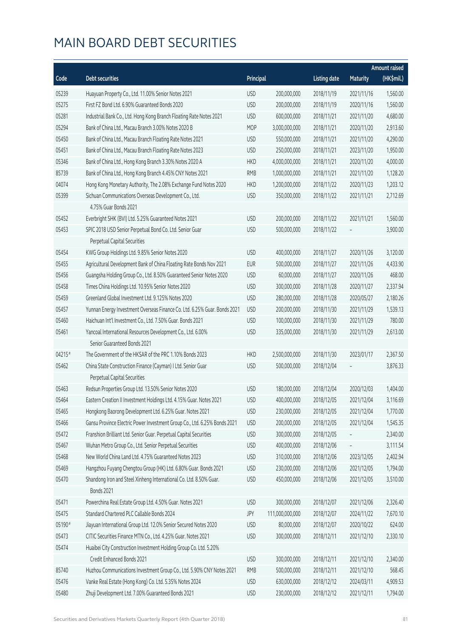|        |                                                                                         |            |                 |                     |                 | <b>Amount raised</b> |
|--------|-----------------------------------------------------------------------------------------|------------|-----------------|---------------------|-----------------|----------------------|
| Code   | <b>Debt securities</b>                                                                  | Principal  |                 | <b>Listing date</b> | <b>Maturity</b> | (HK\$mil.)           |
| 05239  | Huayuan Property Co., Ltd. 11.00% Senior Notes 2021                                     | <b>USD</b> | 200,000,000     | 2018/11/19          | 2021/11/16      | 1,560.00             |
| 05275  | First FZ Bond Ltd. 6.90% Guaranteed Bonds 2020                                          | <b>USD</b> | 200,000,000     | 2018/11/19          | 2020/11/16      | 1,560.00             |
| 05281  | Industrial Bank Co., Ltd. Hong Kong Branch Floating Rate Notes 2021                     | <b>USD</b> | 600,000,000     | 2018/11/21          | 2021/11/20      | 4,680.00             |
| 05294  | Bank of China Ltd., Macau Branch 3.00% Notes 2020 B                                     | <b>MOP</b> | 3,000,000,000   | 2018/11/21          | 2020/11/20      | 2,913.60             |
| 05450  | Bank of China Ltd., Macau Branch Floating Rate Notes 2021                               | <b>USD</b> | 550,000,000     | 2018/11/21          | 2021/11/20      | 4,290.00             |
| 05451  | Bank of China Ltd., Macau Branch Floating Rate Notes 2023                               | <b>USD</b> | 250,000,000     | 2018/11/21          | 2023/11/20      | 1,950.00             |
| 05346  | Bank of China Ltd., Hong Kong Branch 3.30% Notes 2020 A                                 | <b>HKD</b> | 4,000,000,000   | 2018/11/21          | 2020/11/20      | 4,000.00             |
| 85739  | Bank of China Ltd., Hong Kong Branch 4.45% CNY Notes 2021                               | <b>RMB</b> | 1,000,000,000   | 2018/11/21          | 2021/11/20      | 1,128.20             |
| 04074  | Hong Kong Monetary Authority, The 2.08% Exchange Fund Notes 2020                        | <b>HKD</b> | 1,200,000,000   | 2018/11/22          | 2020/11/23      | 1,203.12             |
| 05399  | Sichuan Communications Overseas Development Co., Ltd.                                   | <b>USD</b> | 350,000,000     | 2018/11/22          | 2021/11/21      | 2,712.69             |
|        | 4.75% Guar Bonds 2021                                                                   |            |                 |                     |                 |                      |
| 05452  | Everbright SHK (BVI) Ltd. 5.25% Guaranteed Notes 2021                                   | <b>USD</b> | 200,000,000     | 2018/11/22          | 2021/11/21      | 1,560.00             |
| 05453  | SPIC 2018 USD Senior Perpetual Bond Co. Ltd. Senior Guar                                | <b>USD</b> | 500,000,000     | 2018/11/22          |                 | 3,900.00             |
|        | Perpetual Capital Securities                                                            |            |                 |                     |                 |                      |
| 05454  | KWG Group Holdings Ltd. 9.85% Senior Notes 2020                                         | <b>USD</b> | 400,000,000     | 2018/11/27          | 2020/11/26      | 3,120.00             |
| 05455  | Agricultural Development Bank of China Floating Rate Bonds Nov 2021                     | <b>EUR</b> | 500,000,000     | 2018/11/27          | 2021/11/26      | 4,433.90             |
| 05456  | Guangsha Holding Group Co., Ltd. 8.50% Guaranteed Senior Notes 2020                     | <b>USD</b> | 60,000,000      | 2018/11/27          | 2020/11/26      | 468.00               |
| 05458  | Times China Holdings Ltd. 10.95% Senior Notes 2020                                      | <b>USD</b> | 300,000,000     | 2018/11/28          | 2020/11/27      | 2,337.94             |
| 05459  | Greenland Global Investment Ltd. 9.125% Notes 2020                                      | <b>USD</b> | 280,000,000     | 2018/11/28          | 2020/05/27      | 2,180.26             |
| 05457  | Yunnan Energy Investment Overseas Finance Co. Ltd. 6.25% Guar. Bonds 2021               | <b>USD</b> | 200,000,000     | 2018/11/30          | 2021/11/29      | 1,539.13             |
| 05460  | Haichuan Int'l Investment Co., Ltd. 7.50% Guar. Bonds 2021                              | <b>USD</b> | 100,000,000     | 2018/11/30          | 2021/11/29      | 780.00               |
| 05461  | Yancoal International Resources Development Co., Ltd. 6.00%                             | <b>USD</b> | 335,000,000     | 2018/11/30          | 2021/11/29      | 2,613.00             |
|        | Senior Guaranteed Bonds 2021                                                            |            |                 |                     |                 |                      |
| 04215# | The Government of the HKSAR of the PRC 1.10% Bonds 2023                                 | <b>HKD</b> | 2,500,000,000   | 2018/11/30          | 2023/01/17      | 2,367.50             |
| 05462  | China State Construction Finance (Cayman) I Ltd. Senior Guar                            | <b>USD</b> | 500,000,000     | 2018/12/04          |                 | 3,876.33             |
|        | Perpetual Capital Securities                                                            |            |                 |                     |                 |                      |
| 05463  | Redsun Properties Group Ltd. 13.50% Senior Notes 2020                                   | <b>USD</b> | 180,000,000     | 2018/12/04          | 2020/12/03      | 1,404.00             |
| 05464  | Eastern Creation II Investment Holdings Ltd. 4.15% Guar. Notes 2021                     | <b>USD</b> | 400,000,000     | 2018/12/05          | 2021/12/04      | 3,116.69             |
| 05465  | Hongkong Baorong Development Ltd. 6.25% Guar. Notes 2021                                | <b>USD</b> | 230,000,000     | 2018/12/05          | 2021/12/04      | 1,770.00             |
| 05466  | Gansu Province Electric Power Investment Group Co., Ltd. 6.25% Bonds 2021               | <b>USD</b> | 200,000,000     | 2018/12/05          | 2021/12/04      | 1,545.35             |
| 05472  | Franshion Brilliant Ltd. Senior Guar. Perpetual Capital Securities                      | <b>USD</b> | 300,000,000     | 2018/12/05          |                 | 2,340.00             |
| 05467  | Wuhan Metro Group Co., Ltd. Senior Perpetual Securities                                 | <b>USD</b> | 400,000,000     | 2018/12/06          |                 | 3,111.54             |
| 05468  | New World China Land Ltd. 4.75% Guaranteed Notes 2023                                   | <b>USD</b> | 310,000,000     | 2018/12/06          | 2023/12/05      | 2,402.94             |
| 05469  | Hangzhou Fuyang Chengtou Group (HK) Ltd. 6.80% Guar. Bonds 2021                         | <b>USD</b> | 230,000,000     | 2018/12/06          | 2021/12/05      | 1,794.00             |
| 05470  | Shandong Iron and Steel Xinheng International Co. Ltd. 8.50% Guar.<br><b>Bonds 2021</b> | <b>USD</b> | 450,000,000     | 2018/12/06          | 2021/12/05      | 3,510.00             |
| 05471  | Powerchina Real Estate Group Ltd. 4.50% Guar. Notes 2021                                | <b>USD</b> | 300,000,000     | 2018/12/07          | 2021/12/06      | 2,326.40             |
| 05475  | Standard Chartered PLC Callable Bonds 2024                                              | JPY        | 111,000,000,000 | 2018/12/07          | 2024/11/22      | 7,670.10             |
| 05190# | Jiayuan International Group Ltd. 12.0% Senior Secured Notes 2020                        | <b>USD</b> | 80,000,000      | 2018/12/07          | 2020/10/22      | 624.00               |
| 05473  | CITIC Securities Finance MTN Co., Ltd. 4.25% Guar. Notes 2021                           | <b>USD</b> | 300,000,000     | 2018/12/11          | 2021/12/10      | 2,330.10             |
| 05474  | Huaibei City Construction Investment Holding Group Co. Ltd. 5.20%                       |            |                 |                     |                 |                      |
|        | Credit Enhanced Bonds 2021                                                              | <b>USD</b> | 300,000,000     | 2018/12/11          | 2021/12/10      | 2,340.00             |
| 85740  | Huzhou Communications Investment Group Co., Ltd. 5.90% CNY Notes 2021                   | <b>RMB</b> | 500,000,000     | 2018/12/11          | 2021/12/10      | 568.45               |
| 05476  | Vanke Real Estate (Hong Kong) Co. Ltd. 5.35% Notes 2024                                 | <b>USD</b> | 630,000,000     | 2018/12/12          | 2024/03/11      | 4,909.53             |
| 05480  | Zhuji Development Ltd. 7.00% Guaranteed Bonds 2021                                      | <b>USD</b> | 230,000,000     | 2018/12/12          | 2021/12/11      | 1,794.00             |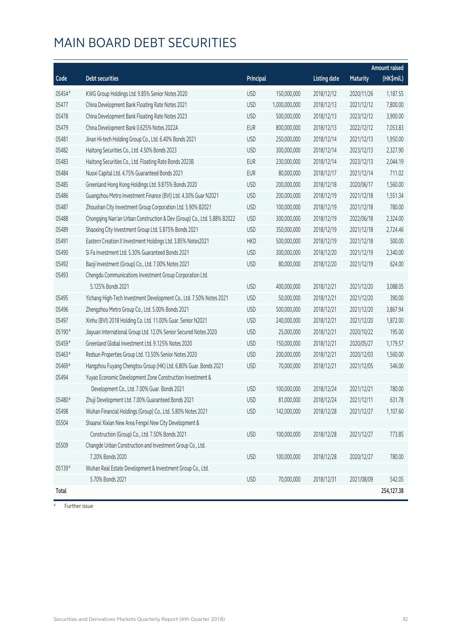| (HK\$mil.)<br>Code<br><b>Debt securities</b><br>Principal<br><b>Listing date</b><br><b>Maturity</b><br>05454#<br><b>USD</b><br>2018/12/12<br>1,187.55<br>KWG Group Holdings Ltd. 9.85% Senior Notes 2020<br>150,000,000<br>2020/11/26<br>05477<br>China Development Bank Floating Rate Notes 2021<br><b>USD</b><br>7,800.00<br>1,000,000,000<br>2018/12/13<br>2021/12/12<br>3,900.00<br>05478<br>China Development Bank Floating Rate Notes 2023<br><b>USD</b><br>500,000,000<br>2018/12/13<br>2023/12/12<br>05479<br><b>EUR</b><br>7,053.83<br>China Development Bank 0.625% Notes 2022A<br>800,000,000<br>2018/12/13<br>2022/12/12<br>Jinan Hi-tech Holding Group Co., Ltd. 6.40% Bonds 2021<br>1,950.00<br>05481<br><b>USD</b><br>250,000,000<br>2018/12/14<br>2021/12/13<br>05482<br><b>USD</b><br>Haitong Securities Co., Ltd. 4.50% Bonds 2023<br>300,000,000<br>2018/12/14<br>2023/12/13<br>2,327.90<br>05483<br>Haitong Securities Co., Ltd. Floating Rate Bonds 2023B<br><b>EUR</b><br>230,000,000<br>2018/12/14<br>2023/12/13<br>2,044.19<br>05484<br>Nuoxi Capital Ltd. 4.75% Guaranteed Bonds 2021<br><b>EUR</b><br>711.02<br>80,000,000<br>2018/12/17<br>2021/12/14<br>200,000,000<br>1,560.00<br>05485<br>Greenland Hong Kong Holdings Ltd. 9.875% Bonds 2020<br><b>USD</b><br>2018/12/18<br>2020/06/17<br>05486<br><b>USD</b><br>Guangzhou Metro Investment Finance (BVI) Ltd. 4.30% Guar N2021<br>200,000,000<br>2018/12/19<br>2021/12/18<br>1,551.34<br>780.00<br>05487<br>Zhoushan City Investment Group Corporation Ltd. 5.90% B2021<br><b>USD</b><br>100,000,000<br>2018/12/19<br>2021/12/18<br>05488<br>2,324.00<br>Chongqing Nan'an Urban Construction & Dev (Group) Co., Ltd. 5.88% B2022<br><b>USD</b><br>300,000,000<br>2018/12/19<br>2022/06/18<br>05489<br>Shaoxing City Investment Group Ltd. 5.875% Bonds 2021<br><b>USD</b><br>350,000,000<br>2018/12/19<br>2021/12/18<br>2,724.46<br>05491<br><b>HKD</b><br>500.00<br>Eastern Creation II Investment Holdings Ltd. 3.85% Notes2021<br>500,000,000<br>2018/12/19<br>2021/12/18<br>05490<br>Si Fa Investment Ltd. 5.30% Guaranteed Bonds 2021<br><b>USD</b><br>300,000,000<br>2018/12/20<br>2021/12/19<br>2,340.00<br>05492<br><b>USD</b><br>Baoji Investment (Group) Co., Ltd. 7.00% Notes 2021<br>80,000,000<br>2018/12/20<br>2021/12/19<br>624.00<br>Chengdu Communications Investment Group Corporation Ltd.<br>05493<br>5.125% Bonds 2021<br><b>USD</b><br>2018/12/21<br>2021/12/20<br>3,088.05<br>400,000,000<br>390.00<br>05495<br>Yichang High-Tech Investment Development Co., Ltd. 7.50% Notes 2021<br><b>USD</b><br>50,000,000<br>2018/12/21<br>2021/12/20<br>05496<br>3,867.94<br>Zhengzhou Metro Group Co., Ltd. 5.00% Bonds 2021<br><b>USD</b><br>500,000,000<br>2018/12/21<br>2021/12/20<br>Xinhu (BVI) 2018 Holding Co. Ltd. 11.00% Guar. Senior N2021<br>1,872.00<br>05497<br><b>USD</b><br>240,000,000<br>2018/12/21<br>2021/12/20<br>05190#<br><b>USD</b><br>Jiayuan International Group Ltd. 12.0% Senior Secured Notes 2020<br>25,000,000<br>2018/12/21<br>2020/10/22<br>195.00<br>05459#<br>Greenland Global Investment Ltd. 9.125% Notes 2020<br><b>USD</b><br>150,000,000<br>2018/12/21<br>2020/05/27<br>1,179.57<br>05463#<br><b>USD</b><br>Redsun Properties Group Ltd. 13.50% Senior Notes 2020<br>200,000,000<br>2018/12/21<br>2020/12/03<br>1,560.00<br>05469#<br>546.00<br>Hangzhou Fuyang Chengtou Group (HK) Ltd. 6.80% Guar. Bonds 2021<br><b>USD</b><br>70,000,000<br>2018/12/21<br>2021/12/05<br>05494<br>Yuyao Economic Development Zone Construction Investment &<br>780.00<br>Development Co., Ltd. 7.00% Guar. Bonds 2021<br><b>USD</b><br>100,000,000<br>2018/12/24<br>2021/12/21<br>05480#<br>Zhuji Development Ltd. 7.00% Guaranteed Bonds 2021<br><b>USD</b><br>81,000,000<br>2018/12/24<br>2021/12/11<br>631.78<br>Wuhan Financial Holdings (Group) Co., Ltd. 5.80% Notes 2021<br>05498<br><b>USD</b><br>142,000,000<br>2018/12/28<br>2021/12/27<br>1,107.60<br>05504<br>Shaanxi Xixian New Area Fengxi New City Development &<br>Construction (Group) Co., Ltd. 7.50% Bonds 2021<br>100,000,000<br>2018/12/28<br>773.85<br><b>USD</b><br>2021/12/27<br>Changde Urban Construction and Investment Group Co., Ltd.<br>05509<br>7.20% Bonds 2020<br>780.00<br><b>USD</b><br>100,000,000<br>2018/12/28<br>2020/12/27<br>05139#<br>Wuhan Real Estate Development & Investment Group Co., Ltd.<br>5.70% Bonds 2021<br>70,000,000<br>2018/12/31<br>2021/08/09<br>542.05<br><b>USD</b><br>254,127.38<br>Total |  |  |  | <b>Amount raised</b> |
|---------------------------------------------------------------------------------------------------------------------------------------------------------------------------------------------------------------------------------------------------------------------------------------------------------------------------------------------------------------------------------------------------------------------------------------------------------------------------------------------------------------------------------------------------------------------------------------------------------------------------------------------------------------------------------------------------------------------------------------------------------------------------------------------------------------------------------------------------------------------------------------------------------------------------------------------------------------------------------------------------------------------------------------------------------------------------------------------------------------------------------------------------------------------------------------------------------------------------------------------------------------------------------------------------------------------------------------------------------------------------------------------------------------------------------------------------------------------------------------------------------------------------------------------------------------------------------------------------------------------------------------------------------------------------------------------------------------------------------------------------------------------------------------------------------------------------------------------------------------------------------------------------------------------------------------------------------------------------------------------------------------------------------------------------------------------------------------------------------------------------------------------------------------------------------------------------------------------------------------------------------------------------------------------------------------------------------------------------------------------------------------------------------------------------------------------------------------------------------------------------------------------------------------------------------------------------------------------------------------------------------------------------------------------------------------------------------------------------------------------------------------------------------------------------------------------------------------------------------------------------------------------------------------------------------------------------------------------------------------------------------------------------------------------------------------------------------------------------------------------------------------------------------------------------------------------------------------------------------------------------------------------------------------------------------------------------------------------------------------------------------------------------------------------------------------------------------------------------------------------------------------------------------------------------------------------------------------------------------------------------------------------------------------------------------------------------------------------------------------------------------------------------------------------------------------------------------------------------------------------------------------------------------------------------------------------------------------------------------------------------------------------------------------------------------------------------------------------------------------------------------------------------------------------------------------------------------------------------------------------------------------------------------------------------------------------------------------------------------------------------------------------------------------------------------------------------------------------------------------------------------------------------------|--|--|--|----------------------|
|                                                                                                                                                                                                                                                                                                                                                                                                                                                                                                                                                                                                                                                                                                                                                                                                                                                                                                                                                                                                                                                                                                                                                                                                                                                                                                                                                                                                                                                                                                                                                                                                                                                                                                                                                                                                                                                                                                                                                                                                                                                                                                                                                                                                                                                                                                                                                                                                                                                                                                                                                                                                                                                                                                                                                                                                                                                                                                                                                                                                                                                                                                                                                                                                                                                                                                                                                                                                                                                                                                                                                                                                                                                                                                                                                                                                                                                                                                                                                                                                                                                                                                                                                                                                                                                                                                                                                                                                                                                                                                                                 |  |  |  |                      |
|                                                                                                                                                                                                                                                                                                                                                                                                                                                                                                                                                                                                                                                                                                                                                                                                                                                                                                                                                                                                                                                                                                                                                                                                                                                                                                                                                                                                                                                                                                                                                                                                                                                                                                                                                                                                                                                                                                                                                                                                                                                                                                                                                                                                                                                                                                                                                                                                                                                                                                                                                                                                                                                                                                                                                                                                                                                                                                                                                                                                                                                                                                                                                                                                                                                                                                                                                                                                                                                                                                                                                                                                                                                                                                                                                                                                                                                                                                                                                                                                                                                                                                                                                                                                                                                                                                                                                                                                                                                                                                                                 |  |  |  |                      |
|                                                                                                                                                                                                                                                                                                                                                                                                                                                                                                                                                                                                                                                                                                                                                                                                                                                                                                                                                                                                                                                                                                                                                                                                                                                                                                                                                                                                                                                                                                                                                                                                                                                                                                                                                                                                                                                                                                                                                                                                                                                                                                                                                                                                                                                                                                                                                                                                                                                                                                                                                                                                                                                                                                                                                                                                                                                                                                                                                                                                                                                                                                                                                                                                                                                                                                                                                                                                                                                                                                                                                                                                                                                                                                                                                                                                                                                                                                                                                                                                                                                                                                                                                                                                                                                                                                                                                                                                                                                                                                                                 |  |  |  |                      |
|                                                                                                                                                                                                                                                                                                                                                                                                                                                                                                                                                                                                                                                                                                                                                                                                                                                                                                                                                                                                                                                                                                                                                                                                                                                                                                                                                                                                                                                                                                                                                                                                                                                                                                                                                                                                                                                                                                                                                                                                                                                                                                                                                                                                                                                                                                                                                                                                                                                                                                                                                                                                                                                                                                                                                                                                                                                                                                                                                                                                                                                                                                                                                                                                                                                                                                                                                                                                                                                                                                                                                                                                                                                                                                                                                                                                                                                                                                                                                                                                                                                                                                                                                                                                                                                                                                                                                                                                                                                                                                                                 |  |  |  |                      |
|                                                                                                                                                                                                                                                                                                                                                                                                                                                                                                                                                                                                                                                                                                                                                                                                                                                                                                                                                                                                                                                                                                                                                                                                                                                                                                                                                                                                                                                                                                                                                                                                                                                                                                                                                                                                                                                                                                                                                                                                                                                                                                                                                                                                                                                                                                                                                                                                                                                                                                                                                                                                                                                                                                                                                                                                                                                                                                                                                                                                                                                                                                                                                                                                                                                                                                                                                                                                                                                                                                                                                                                                                                                                                                                                                                                                                                                                                                                                                                                                                                                                                                                                                                                                                                                                                                                                                                                                                                                                                                                                 |  |  |  |                      |
|                                                                                                                                                                                                                                                                                                                                                                                                                                                                                                                                                                                                                                                                                                                                                                                                                                                                                                                                                                                                                                                                                                                                                                                                                                                                                                                                                                                                                                                                                                                                                                                                                                                                                                                                                                                                                                                                                                                                                                                                                                                                                                                                                                                                                                                                                                                                                                                                                                                                                                                                                                                                                                                                                                                                                                                                                                                                                                                                                                                                                                                                                                                                                                                                                                                                                                                                                                                                                                                                                                                                                                                                                                                                                                                                                                                                                                                                                                                                                                                                                                                                                                                                                                                                                                                                                                                                                                                                                                                                                                                                 |  |  |  |                      |
|                                                                                                                                                                                                                                                                                                                                                                                                                                                                                                                                                                                                                                                                                                                                                                                                                                                                                                                                                                                                                                                                                                                                                                                                                                                                                                                                                                                                                                                                                                                                                                                                                                                                                                                                                                                                                                                                                                                                                                                                                                                                                                                                                                                                                                                                                                                                                                                                                                                                                                                                                                                                                                                                                                                                                                                                                                                                                                                                                                                                                                                                                                                                                                                                                                                                                                                                                                                                                                                                                                                                                                                                                                                                                                                                                                                                                                                                                                                                                                                                                                                                                                                                                                                                                                                                                                                                                                                                                                                                                                                                 |  |  |  |                      |
|                                                                                                                                                                                                                                                                                                                                                                                                                                                                                                                                                                                                                                                                                                                                                                                                                                                                                                                                                                                                                                                                                                                                                                                                                                                                                                                                                                                                                                                                                                                                                                                                                                                                                                                                                                                                                                                                                                                                                                                                                                                                                                                                                                                                                                                                                                                                                                                                                                                                                                                                                                                                                                                                                                                                                                                                                                                                                                                                                                                                                                                                                                                                                                                                                                                                                                                                                                                                                                                                                                                                                                                                                                                                                                                                                                                                                                                                                                                                                                                                                                                                                                                                                                                                                                                                                                                                                                                                                                                                                                                                 |  |  |  |                      |
|                                                                                                                                                                                                                                                                                                                                                                                                                                                                                                                                                                                                                                                                                                                                                                                                                                                                                                                                                                                                                                                                                                                                                                                                                                                                                                                                                                                                                                                                                                                                                                                                                                                                                                                                                                                                                                                                                                                                                                                                                                                                                                                                                                                                                                                                                                                                                                                                                                                                                                                                                                                                                                                                                                                                                                                                                                                                                                                                                                                                                                                                                                                                                                                                                                                                                                                                                                                                                                                                                                                                                                                                                                                                                                                                                                                                                                                                                                                                                                                                                                                                                                                                                                                                                                                                                                                                                                                                                                                                                                                                 |  |  |  |                      |
|                                                                                                                                                                                                                                                                                                                                                                                                                                                                                                                                                                                                                                                                                                                                                                                                                                                                                                                                                                                                                                                                                                                                                                                                                                                                                                                                                                                                                                                                                                                                                                                                                                                                                                                                                                                                                                                                                                                                                                                                                                                                                                                                                                                                                                                                                                                                                                                                                                                                                                                                                                                                                                                                                                                                                                                                                                                                                                                                                                                                                                                                                                                                                                                                                                                                                                                                                                                                                                                                                                                                                                                                                                                                                                                                                                                                                                                                                                                                                                                                                                                                                                                                                                                                                                                                                                                                                                                                                                                                                                                                 |  |  |  |                      |
|                                                                                                                                                                                                                                                                                                                                                                                                                                                                                                                                                                                                                                                                                                                                                                                                                                                                                                                                                                                                                                                                                                                                                                                                                                                                                                                                                                                                                                                                                                                                                                                                                                                                                                                                                                                                                                                                                                                                                                                                                                                                                                                                                                                                                                                                                                                                                                                                                                                                                                                                                                                                                                                                                                                                                                                                                                                                                                                                                                                                                                                                                                                                                                                                                                                                                                                                                                                                                                                                                                                                                                                                                                                                                                                                                                                                                                                                                                                                                                                                                                                                                                                                                                                                                                                                                                                                                                                                                                                                                                                                 |  |  |  |                      |
|                                                                                                                                                                                                                                                                                                                                                                                                                                                                                                                                                                                                                                                                                                                                                                                                                                                                                                                                                                                                                                                                                                                                                                                                                                                                                                                                                                                                                                                                                                                                                                                                                                                                                                                                                                                                                                                                                                                                                                                                                                                                                                                                                                                                                                                                                                                                                                                                                                                                                                                                                                                                                                                                                                                                                                                                                                                                                                                                                                                                                                                                                                                                                                                                                                                                                                                                                                                                                                                                                                                                                                                                                                                                                                                                                                                                                                                                                                                                                                                                                                                                                                                                                                                                                                                                                                                                                                                                                                                                                                                                 |  |  |  |                      |
|                                                                                                                                                                                                                                                                                                                                                                                                                                                                                                                                                                                                                                                                                                                                                                                                                                                                                                                                                                                                                                                                                                                                                                                                                                                                                                                                                                                                                                                                                                                                                                                                                                                                                                                                                                                                                                                                                                                                                                                                                                                                                                                                                                                                                                                                                                                                                                                                                                                                                                                                                                                                                                                                                                                                                                                                                                                                                                                                                                                                                                                                                                                                                                                                                                                                                                                                                                                                                                                                                                                                                                                                                                                                                                                                                                                                                                                                                                                                                                                                                                                                                                                                                                                                                                                                                                                                                                                                                                                                                                                                 |  |  |  |                      |
|                                                                                                                                                                                                                                                                                                                                                                                                                                                                                                                                                                                                                                                                                                                                                                                                                                                                                                                                                                                                                                                                                                                                                                                                                                                                                                                                                                                                                                                                                                                                                                                                                                                                                                                                                                                                                                                                                                                                                                                                                                                                                                                                                                                                                                                                                                                                                                                                                                                                                                                                                                                                                                                                                                                                                                                                                                                                                                                                                                                                                                                                                                                                                                                                                                                                                                                                                                                                                                                                                                                                                                                                                                                                                                                                                                                                                                                                                                                                                                                                                                                                                                                                                                                                                                                                                                                                                                                                                                                                                                                                 |  |  |  |                      |
|                                                                                                                                                                                                                                                                                                                                                                                                                                                                                                                                                                                                                                                                                                                                                                                                                                                                                                                                                                                                                                                                                                                                                                                                                                                                                                                                                                                                                                                                                                                                                                                                                                                                                                                                                                                                                                                                                                                                                                                                                                                                                                                                                                                                                                                                                                                                                                                                                                                                                                                                                                                                                                                                                                                                                                                                                                                                                                                                                                                                                                                                                                                                                                                                                                                                                                                                                                                                                                                                                                                                                                                                                                                                                                                                                                                                                                                                                                                                                                                                                                                                                                                                                                                                                                                                                                                                                                                                                                                                                                                                 |  |  |  |                      |
|                                                                                                                                                                                                                                                                                                                                                                                                                                                                                                                                                                                                                                                                                                                                                                                                                                                                                                                                                                                                                                                                                                                                                                                                                                                                                                                                                                                                                                                                                                                                                                                                                                                                                                                                                                                                                                                                                                                                                                                                                                                                                                                                                                                                                                                                                                                                                                                                                                                                                                                                                                                                                                                                                                                                                                                                                                                                                                                                                                                                                                                                                                                                                                                                                                                                                                                                                                                                                                                                                                                                                                                                                                                                                                                                                                                                                                                                                                                                                                                                                                                                                                                                                                                                                                                                                                                                                                                                                                                                                                                                 |  |  |  |                      |
|                                                                                                                                                                                                                                                                                                                                                                                                                                                                                                                                                                                                                                                                                                                                                                                                                                                                                                                                                                                                                                                                                                                                                                                                                                                                                                                                                                                                                                                                                                                                                                                                                                                                                                                                                                                                                                                                                                                                                                                                                                                                                                                                                                                                                                                                                                                                                                                                                                                                                                                                                                                                                                                                                                                                                                                                                                                                                                                                                                                                                                                                                                                                                                                                                                                                                                                                                                                                                                                                                                                                                                                                                                                                                                                                                                                                                                                                                                                                                                                                                                                                                                                                                                                                                                                                                                                                                                                                                                                                                                                                 |  |  |  |                      |
|                                                                                                                                                                                                                                                                                                                                                                                                                                                                                                                                                                                                                                                                                                                                                                                                                                                                                                                                                                                                                                                                                                                                                                                                                                                                                                                                                                                                                                                                                                                                                                                                                                                                                                                                                                                                                                                                                                                                                                                                                                                                                                                                                                                                                                                                                                                                                                                                                                                                                                                                                                                                                                                                                                                                                                                                                                                                                                                                                                                                                                                                                                                                                                                                                                                                                                                                                                                                                                                                                                                                                                                                                                                                                                                                                                                                                                                                                                                                                                                                                                                                                                                                                                                                                                                                                                                                                                                                                                                                                                                                 |  |  |  |                      |
|                                                                                                                                                                                                                                                                                                                                                                                                                                                                                                                                                                                                                                                                                                                                                                                                                                                                                                                                                                                                                                                                                                                                                                                                                                                                                                                                                                                                                                                                                                                                                                                                                                                                                                                                                                                                                                                                                                                                                                                                                                                                                                                                                                                                                                                                                                                                                                                                                                                                                                                                                                                                                                                                                                                                                                                                                                                                                                                                                                                                                                                                                                                                                                                                                                                                                                                                                                                                                                                                                                                                                                                                                                                                                                                                                                                                                                                                                                                                                                                                                                                                                                                                                                                                                                                                                                                                                                                                                                                                                                                                 |  |  |  |                      |
|                                                                                                                                                                                                                                                                                                                                                                                                                                                                                                                                                                                                                                                                                                                                                                                                                                                                                                                                                                                                                                                                                                                                                                                                                                                                                                                                                                                                                                                                                                                                                                                                                                                                                                                                                                                                                                                                                                                                                                                                                                                                                                                                                                                                                                                                                                                                                                                                                                                                                                                                                                                                                                                                                                                                                                                                                                                                                                                                                                                                                                                                                                                                                                                                                                                                                                                                                                                                                                                                                                                                                                                                                                                                                                                                                                                                                                                                                                                                                                                                                                                                                                                                                                                                                                                                                                                                                                                                                                                                                                                                 |  |  |  |                      |
|                                                                                                                                                                                                                                                                                                                                                                                                                                                                                                                                                                                                                                                                                                                                                                                                                                                                                                                                                                                                                                                                                                                                                                                                                                                                                                                                                                                                                                                                                                                                                                                                                                                                                                                                                                                                                                                                                                                                                                                                                                                                                                                                                                                                                                                                                                                                                                                                                                                                                                                                                                                                                                                                                                                                                                                                                                                                                                                                                                                                                                                                                                                                                                                                                                                                                                                                                                                                                                                                                                                                                                                                                                                                                                                                                                                                                                                                                                                                                                                                                                                                                                                                                                                                                                                                                                                                                                                                                                                                                                                                 |  |  |  |                      |
|                                                                                                                                                                                                                                                                                                                                                                                                                                                                                                                                                                                                                                                                                                                                                                                                                                                                                                                                                                                                                                                                                                                                                                                                                                                                                                                                                                                                                                                                                                                                                                                                                                                                                                                                                                                                                                                                                                                                                                                                                                                                                                                                                                                                                                                                                                                                                                                                                                                                                                                                                                                                                                                                                                                                                                                                                                                                                                                                                                                                                                                                                                                                                                                                                                                                                                                                                                                                                                                                                                                                                                                                                                                                                                                                                                                                                                                                                                                                                                                                                                                                                                                                                                                                                                                                                                                                                                                                                                                                                                                                 |  |  |  |                      |
|                                                                                                                                                                                                                                                                                                                                                                                                                                                                                                                                                                                                                                                                                                                                                                                                                                                                                                                                                                                                                                                                                                                                                                                                                                                                                                                                                                                                                                                                                                                                                                                                                                                                                                                                                                                                                                                                                                                                                                                                                                                                                                                                                                                                                                                                                                                                                                                                                                                                                                                                                                                                                                                                                                                                                                                                                                                                                                                                                                                                                                                                                                                                                                                                                                                                                                                                                                                                                                                                                                                                                                                                                                                                                                                                                                                                                                                                                                                                                                                                                                                                                                                                                                                                                                                                                                                                                                                                                                                                                                                                 |  |  |  |                      |
|                                                                                                                                                                                                                                                                                                                                                                                                                                                                                                                                                                                                                                                                                                                                                                                                                                                                                                                                                                                                                                                                                                                                                                                                                                                                                                                                                                                                                                                                                                                                                                                                                                                                                                                                                                                                                                                                                                                                                                                                                                                                                                                                                                                                                                                                                                                                                                                                                                                                                                                                                                                                                                                                                                                                                                                                                                                                                                                                                                                                                                                                                                                                                                                                                                                                                                                                                                                                                                                                                                                                                                                                                                                                                                                                                                                                                                                                                                                                                                                                                                                                                                                                                                                                                                                                                                                                                                                                                                                                                                                                 |  |  |  |                      |
|                                                                                                                                                                                                                                                                                                                                                                                                                                                                                                                                                                                                                                                                                                                                                                                                                                                                                                                                                                                                                                                                                                                                                                                                                                                                                                                                                                                                                                                                                                                                                                                                                                                                                                                                                                                                                                                                                                                                                                                                                                                                                                                                                                                                                                                                                                                                                                                                                                                                                                                                                                                                                                                                                                                                                                                                                                                                                                                                                                                                                                                                                                                                                                                                                                                                                                                                                                                                                                                                                                                                                                                                                                                                                                                                                                                                                                                                                                                                                                                                                                                                                                                                                                                                                                                                                                                                                                                                                                                                                                                                 |  |  |  |                      |
|                                                                                                                                                                                                                                                                                                                                                                                                                                                                                                                                                                                                                                                                                                                                                                                                                                                                                                                                                                                                                                                                                                                                                                                                                                                                                                                                                                                                                                                                                                                                                                                                                                                                                                                                                                                                                                                                                                                                                                                                                                                                                                                                                                                                                                                                                                                                                                                                                                                                                                                                                                                                                                                                                                                                                                                                                                                                                                                                                                                                                                                                                                                                                                                                                                                                                                                                                                                                                                                                                                                                                                                                                                                                                                                                                                                                                                                                                                                                                                                                                                                                                                                                                                                                                                                                                                                                                                                                                                                                                                                                 |  |  |  |                      |
|                                                                                                                                                                                                                                                                                                                                                                                                                                                                                                                                                                                                                                                                                                                                                                                                                                                                                                                                                                                                                                                                                                                                                                                                                                                                                                                                                                                                                                                                                                                                                                                                                                                                                                                                                                                                                                                                                                                                                                                                                                                                                                                                                                                                                                                                                                                                                                                                                                                                                                                                                                                                                                                                                                                                                                                                                                                                                                                                                                                                                                                                                                                                                                                                                                                                                                                                                                                                                                                                                                                                                                                                                                                                                                                                                                                                                                                                                                                                                                                                                                                                                                                                                                                                                                                                                                                                                                                                                                                                                                                                 |  |  |  |                      |
|                                                                                                                                                                                                                                                                                                                                                                                                                                                                                                                                                                                                                                                                                                                                                                                                                                                                                                                                                                                                                                                                                                                                                                                                                                                                                                                                                                                                                                                                                                                                                                                                                                                                                                                                                                                                                                                                                                                                                                                                                                                                                                                                                                                                                                                                                                                                                                                                                                                                                                                                                                                                                                                                                                                                                                                                                                                                                                                                                                                                                                                                                                                                                                                                                                                                                                                                                                                                                                                                                                                                                                                                                                                                                                                                                                                                                                                                                                                                                                                                                                                                                                                                                                                                                                                                                                                                                                                                                                                                                                                                 |  |  |  |                      |
|                                                                                                                                                                                                                                                                                                                                                                                                                                                                                                                                                                                                                                                                                                                                                                                                                                                                                                                                                                                                                                                                                                                                                                                                                                                                                                                                                                                                                                                                                                                                                                                                                                                                                                                                                                                                                                                                                                                                                                                                                                                                                                                                                                                                                                                                                                                                                                                                                                                                                                                                                                                                                                                                                                                                                                                                                                                                                                                                                                                                                                                                                                                                                                                                                                                                                                                                                                                                                                                                                                                                                                                                                                                                                                                                                                                                                                                                                                                                                                                                                                                                                                                                                                                                                                                                                                                                                                                                                                                                                                                                 |  |  |  |                      |
|                                                                                                                                                                                                                                                                                                                                                                                                                                                                                                                                                                                                                                                                                                                                                                                                                                                                                                                                                                                                                                                                                                                                                                                                                                                                                                                                                                                                                                                                                                                                                                                                                                                                                                                                                                                                                                                                                                                                                                                                                                                                                                                                                                                                                                                                                                                                                                                                                                                                                                                                                                                                                                                                                                                                                                                                                                                                                                                                                                                                                                                                                                                                                                                                                                                                                                                                                                                                                                                                                                                                                                                                                                                                                                                                                                                                                                                                                                                                                                                                                                                                                                                                                                                                                                                                                                                                                                                                                                                                                                                                 |  |  |  |                      |
|                                                                                                                                                                                                                                                                                                                                                                                                                                                                                                                                                                                                                                                                                                                                                                                                                                                                                                                                                                                                                                                                                                                                                                                                                                                                                                                                                                                                                                                                                                                                                                                                                                                                                                                                                                                                                                                                                                                                                                                                                                                                                                                                                                                                                                                                                                                                                                                                                                                                                                                                                                                                                                                                                                                                                                                                                                                                                                                                                                                                                                                                                                                                                                                                                                                                                                                                                                                                                                                                                                                                                                                                                                                                                                                                                                                                                                                                                                                                                                                                                                                                                                                                                                                                                                                                                                                                                                                                                                                                                                                                 |  |  |  |                      |
|                                                                                                                                                                                                                                                                                                                                                                                                                                                                                                                                                                                                                                                                                                                                                                                                                                                                                                                                                                                                                                                                                                                                                                                                                                                                                                                                                                                                                                                                                                                                                                                                                                                                                                                                                                                                                                                                                                                                                                                                                                                                                                                                                                                                                                                                                                                                                                                                                                                                                                                                                                                                                                                                                                                                                                                                                                                                                                                                                                                                                                                                                                                                                                                                                                                                                                                                                                                                                                                                                                                                                                                                                                                                                                                                                                                                                                                                                                                                                                                                                                                                                                                                                                                                                                                                                                                                                                                                                                                                                                                                 |  |  |  |                      |
|                                                                                                                                                                                                                                                                                                                                                                                                                                                                                                                                                                                                                                                                                                                                                                                                                                                                                                                                                                                                                                                                                                                                                                                                                                                                                                                                                                                                                                                                                                                                                                                                                                                                                                                                                                                                                                                                                                                                                                                                                                                                                                                                                                                                                                                                                                                                                                                                                                                                                                                                                                                                                                                                                                                                                                                                                                                                                                                                                                                                                                                                                                                                                                                                                                                                                                                                                                                                                                                                                                                                                                                                                                                                                                                                                                                                                                                                                                                                                                                                                                                                                                                                                                                                                                                                                                                                                                                                                                                                                                                                 |  |  |  |                      |
|                                                                                                                                                                                                                                                                                                                                                                                                                                                                                                                                                                                                                                                                                                                                                                                                                                                                                                                                                                                                                                                                                                                                                                                                                                                                                                                                                                                                                                                                                                                                                                                                                                                                                                                                                                                                                                                                                                                                                                                                                                                                                                                                                                                                                                                                                                                                                                                                                                                                                                                                                                                                                                                                                                                                                                                                                                                                                                                                                                                                                                                                                                                                                                                                                                                                                                                                                                                                                                                                                                                                                                                                                                                                                                                                                                                                                                                                                                                                                                                                                                                                                                                                                                                                                                                                                                                                                                                                                                                                                                                                 |  |  |  |                      |
|                                                                                                                                                                                                                                                                                                                                                                                                                                                                                                                                                                                                                                                                                                                                                                                                                                                                                                                                                                                                                                                                                                                                                                                                                                                                                                                                                                                                                                                                                                                                                                                                                                                                                                                                                                                                                                                                                                                                                                                                                                                                                                                                                                                                                                                                                                                                                                                                                                                                                                                                                                                                                                                                                                                                                                                                                                                                                                                                                                                                                                                                                                                                                                                                                                                                                                                                                                                                                                                                                                                                                                                                                                                                                                                                                                                                                                                                                                                                                                                                                                                                                                                                                                                                                                                                                                                                                                                                                                                                                                                                 |  |  |  |                      |
|                                                                                                                                                                                                                                                                                                                                                                                                                                                                                                                                                                                                                                                                                                                                                                                                                                                                                                                                                                                                                                                                                                                                                                                                                                                                                                                                                                                                                                                                                                                                                                                                                                                                                                                                                                                                                                                                                                                                                                                                                                                                                                                                                                                                                                                                                                                                                                                                                                                                                                                                                                                                                                                                                                                                                                                                                                                                                                                                                                                                                                                                                                                                                                                                                                                                                                                                                                                                                                                                                                                                                                                                                                                                                                                                                                                                                                                                                                                                                                                                                                                                                                                                                                                                                                                                                                                                                                                                                                                                                                                                 |  |  |  |                      |
|                                                                                                                                                                                                                                                                                                                                                                                                                                                                                                                                                                                                                                                                                                                                                                                                                                                                                                                                                                                                                                                                                                                                                                                                                                                                                                                                                                                                                                                                                                                                                                                                                                                                                                                                                                                                                                                                                                                                                                                                                                                                                                                                                                                                                                                                                                                                                                                                                                                                                                                                                                                                                                                                                                                                                                                                                                                                                                                                                                                                                                                                                                                                                                                                                                                                                                                                                                                                                                                                                                                                                                                                                                                                                                                                                                                                                                                                                                                                                                                                                                                                                                                                                                                                                                                                                                                                                                                                                                                                                                                                 |  |  |  |                      |

 $#$  Further issue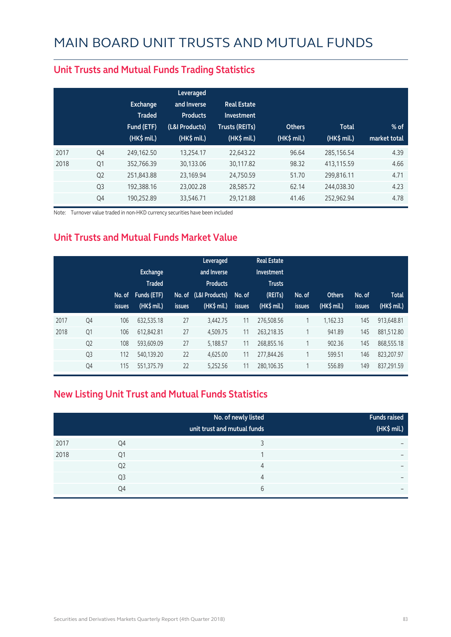|                | <b>Exchange</b><br><b>Traded</b><br>Fund (ETF)<br>$(HK\$ mil.) | Leveraged<br>and Inverse<br><b>Products</b><br>(L&I Products)<br>(HK\$ mil.) | <b>Real Estate</b><br>Investment<br><b>Trusts (REITs)</b><br>(HK\$ mil.) | <b>Others</b><br>(HK\$ mil.) | <b>Total</b><br>(HK\$ mil.) | $%$ of<br>market total |
|----------------|----------------------------------------------------------------|------------------------------------------------------------------------------|--------------------------------------------------------------------------|------------------------------|-----------------------------|------------------------|
| Q4             | 249,162.50                                                     | 13,254.17                                                                    | 22,643.22                                                                | 96.64                        | 285,156.54                  | 4.39                   |
| Q <sub>1</sub> | 352,766.39                                                     | 30,133.06                                                                    | 30,117.82                                                                | 98.32                        | 413,115.59                  | 4.66                   |
| Q <sub>2</sub> | 251,843.88                                                     | 23,169.94                                                                    | 24,750.59                                                                | 51.70                        | 299,816.11                  | 4.71                   |
| Q <sub>3</sub> | 192.388.16                                                     | 23,002.28                                                                    | 28,585.72                                                                | 62.14                        | 244.038.30                  | 4.23                   |
| Q4             | 190.252.89                                                     | 33,546.71                                                                    | 29.121.88                                                                | 41.46                        | 252,962.94                  | 4.78                   |
|                |                                                                |                                                                              |                                                                          |                              |                             |                        |

#### **Unit Trusts and Mutual Funds Trading Statistics**

Note: Turnover value traded in non-HKD currency securities have been included

#### **Unit Trusts and Mutual Funds Market Value**

|      |                | No. of<br><i>issues</i> | <b>Exchange</b><br><b>Traded</b><br>Funds (ETF)<br>$(HK$$ mil.) | <b>issues</b> | Leveraged<br>and Inverse<br><b>Products</b><br>No. of (L&I Products)<br>$(HK\$ mil.) | No. of<br><b>issues</b> | <b>Real Estate</b><br>Investment<br><b>Trusts</b><br>(REITs)<br>$(HK$$ mil.) | No. of<br><b>issues</b> | <b>Others</b><br>(HK\$ mil.) | No. of<br>issues | <b>Total</b><br>(HK\$ mil.) |
|------|----------------|-------------------------|-----------------------------------------------------------------|---------------|--------------------------------------------------------------------------------------|-------------------------|------------------------------------------------------------------------------|-------------------------|------------------------------|------------------|-----------------------------|
| 2017 | Q4             | 106                     | 632.535.18                                                      | 27            | 3.442.75                                                                             | 11                      | 276,508.56                                                                   | 1                       | 1.162.33                     | 145              | 913.648.81                  |
| 2018 | Q <sub>1</sub> | 106                     | 612,842.81                                                      | 27            | 4,509.75                                                                             | 11                      | 263,218.35                                                                   | $\overline{ }$          | 941.89                       | 145              | 881,512.80                  |
|      | Q <sub>2</sub> | 108                     | 593,609.09                                                      | 27            | 5,188.57                                                                             | 11                      | 268,855.16                                                                   | 1                       | 902.36                       | 145              | 868,555.18                  |
|      | Q <sub>3</sub> | 112                     | 540.139.20                                                      | 22            | 4.625.00                                                                             | 11                      | 277,844.26                                                                   |                         | 599.51                       | 146              | 823.207.97                  |
|      | Q4             | 115                     | 551,375.79                                                      | 22            | 5,252.56                                                                             | 11                      | 280,106.35                                                                   |                         | 556.89                       | 149              | 837.291.59                  |

#### **New Listing Unit Trust and Mutual Funds Statistics**

|      |                | No. of newly listed<br>unit trust and mutual funds | <b>Funds raised</b><br>(HK\$ mil.) |
|------|----------------|----------------------------------------------------|------------------------------------|
| 2017 | Q4             |                                                    | $\overline{\phantom{0}}$           |
| 2018 | Q1             |                                                    | $\overline{\phantom{0}}$           |
|      | Q <sub>2</sub> | 4                                                  | $\overline{\phantom{0}}$           |
|      | Q <sub>3</sub> | 4                                                  | $\overline{\phantom{0}}$           |
|      | Q4             | 6                                                  | $\overline{\phantom{0}}$           |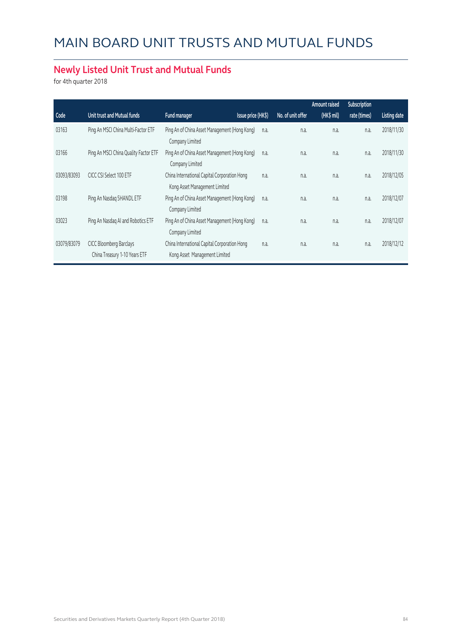#### **Newly Listed Unit Trust and Mutual Funds**

for 4th quarter 2018

|             |                                                          |                                                                               |                    |                   | <b>Amount raised</b> | Subscription |                     |
|-------------|----------------------------------------------------------|-------------------------------------------------------------------------------|--------------------|-------------------|----------------------|--------------|---------------------|
| Code        | Unit trust and Mutual funds                              | Fund manager                                                                  | Issue price (HK\$) | No. of unit offer | (HK\$ mil)           | rate (times) | <b>Listing date</b> |
| 03163       | Ping An MSCI China Multi-Factor ETF                      | Ping An of China Asset Management (Hong Kong)<br>Company Limited              | n.a.               | n.a.              | n.a.                 | n.a.         | 2018/11/30          |
| 03166       | Ping An MSCI China Quality Factor ETF                    | Ping An of China Asset Management (Hong Kong)<br>Company Limited              | n.a.               | n.a.              | n.a.                 | n.a.         | 2018/11/30          |
| 03093/83093 | CICC CSI Select 100 ETF                                  | China International Capital Corporation Hong<br>Kong Asset Management Limited | n.a.               | n.a.              | n.a.                 | n.a.         | 2018/12/05          |
| 03198       | Ping An Nasdag 5HANDL ETF                                | Ping An of China Asset Management (Hong Kong)<br>Company Limited              | n.a.               | n.a.              | n.a.                 | n.a.         | 2018/12/07          |
| 03023       | Ping An Nasdaq AI and Robotics ETF                       | Ping An of China Asset Management (Hong Kong)<br>Company Limited              | n.a.               | n.a.              | n.a.                 | n.a.         | 2018/12/07          |
| 03079/83079 | CICC Bloomberg Barclays<br>China Treasury 1-10 Years ETF | China International Capital Corporation Hong<br>Kong Asset Management Limited | n.a.               | n.a.              | n.a.                 | n.a.         | 2018/12/12          |
|             |                                                          |                                                                               |                    |                   |                      |              |                     |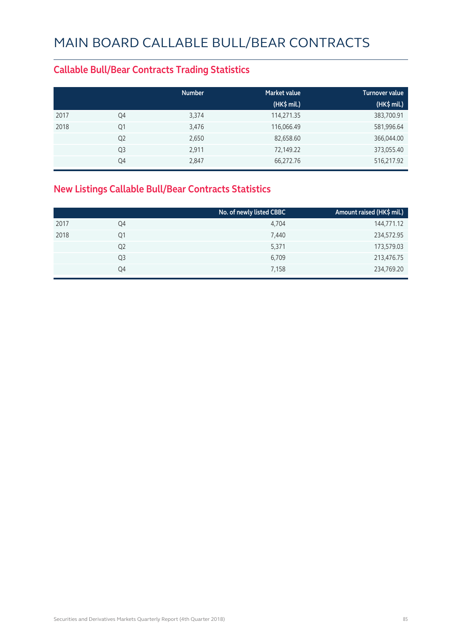#### **Callable Bull/Bear Contracts Trading Statistics**

|      |                | <b>Number</b> | <b>Market value</b> | <b>Turnover value</b> |
|------|----------------|---------------|---------------------|-----------------------|
|      |                |               | $(HK\$ mil.)        | (HK\$ mil.)           |
| 2017 | Q4             | 3,374         | 114,271.35          | 383,700.91            |
| 2018 | Q1             | 3,476         | 116,066.49          | 581,996.64            |
|      | Q <sub>2</sub> | 2,650         | 82,658.60           | 366,044.00            |
|      | Q <sub>3</sub> | 2,911         | 72,149.22           | 373,055.40            |
|      | Q4             | 2,847         | 66,272.76           | 516,217.92            |

#### **New Listings Callable Bull/Bear Contracts Statistics**

|                | No. of newly listed CBBC | Amount raised (HK\$ mil.) |
|----------------|--------------------------|---------------------------|
| Q4             | 4,704                    | 144,771.12                |
| Q1             | 7,440                    | 234,572.95                |
| Q <sub>2</sub> | 5,371                    | 173,579.03                |
| Q3             | 6,709                    | 213,476.75                |
| Q4             | 7,158                    | 234,769.20                |
|                |                          |                           |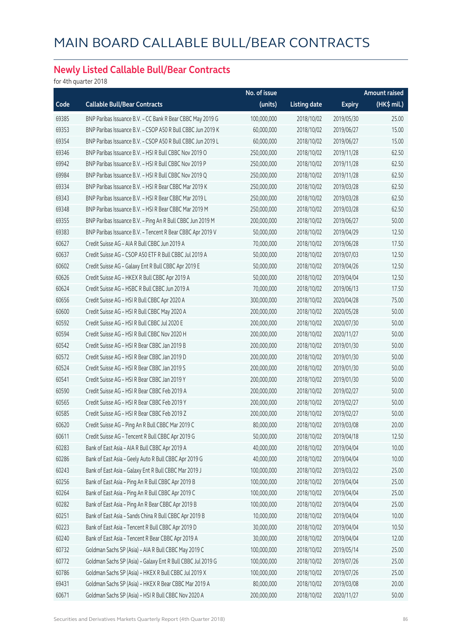#### **Newly Listed Callable Bull/Bear Contracts**

for 4th quarter 2018

|       |                                                             | No. of issue |                     |               | Amount raised |
|-------|-------------------------------------------------------------|--------------|---------------------|---------------|---------------|
| Code  | <b>Callable Bull/Bear Contracts</b>                         | (units)      | <b>Listing date</b> | <b>Expiry</b> | (HK\$ mil.)   |
| 69385 | BNP Paribas Issuance B.V. - CC Bank R Bear CBBC May 2019 G  | 100,000,000  | 2018/10/02          | 2019/05/30    | 25.00         |
| 69353 | BNP Paribas Issuance B.V. - CSOP A50 R Bull CBBC Jun 2019 K | 60,000,000   | 2018/10/02          | 2019/06/27    | 15.00         |
| 69354 | BNP Paribas Issuance B.V. - CSOP A50 R Bull CBBC Jun 2019 L | 60,000,000   | 2018/10/02          | 2019/06/27    | 15.00         |
| 69346 | BNP Paribas Issuance B.V. - HSI R Bull CBBC Nov 2019 O      | 250,000,000  | 2018/10/02          | 2019/11/28    | 62.50         |
| 69942 | BNP Paribas Issuance B.V. - HSI R Bull CBBC Nov 2019 P      | 250,000,000  | 2018/10/02          | 2019/11/28    | 62.50         |
| 69984 | BNP Paribas Issuance B.V. - HSI R Bull CBBC Nov 2019 Q      | 250,000,000  | 2018/10/02          | 2019/11/28    | 62.50         |
| 69334 | BNP Paribas Issuance B.V. - HSI R Bear CBBC Mar 2019 K      | 250,000,000  | 2018/10/02          | 2019/03/28    | 62.50         |
| 69343 | BNP Paribas Issuance B.V. - HSI R Bear CBBC Mar 2019 L      | 250,000,000  | 2018/10/02          | 2019/03/28    | 62.50         |
| 69348 | BNP Paribas Issuance B.V. - HSI R Bear CBBC Mar 2019 M      | 250,000,000  | 2018/10/02          | 2019/03/28    | 62.50         |
| 69355 | BNP Paribas Issuance B.V. - Ping An R Bull CBBC Jun 2019 M  | 200,000,000  | 2018/10/02          | 2019/06/27    | 50.00         |
| 69383 | BNP Paribas Issuance B.V. - Tencent R Bear CBBC Apr 2019 V  | 50,000,000   | 2018/10/02          | 2019/04/29    | 12.50         |
| 60627 | Credit Suisse AG - AIA R Bull CBBC Jun 2019 A               | 70,000,000   | 2018/10/02          | 2019/06/28    | 17.50         |
| 60637 | Credit Suisse AG - CSOP A50 ETF R Bull CBBC Jul 2019 A      | 50,000,000   | 2018/10/02          | 2019/07/03    | 12.50         |
| 60602 | Credit Suisse AG - Galaxy Ent R Bull CBBC Apr 2019 E        | 50,000,000   | 2018/10/02          | 2019/04/26    | 12.50         |
| 60626 | Credit Suisse AG - HKEX R Bull CBBC Apr 2019 A              | 50,000,000   | 2018/10/02          | 2019/04/04    | 12.50         |
| 60624 | Credit Suisse AG - HSBC R Bull CBBC Jun 2019 A              | 70,000,000   | 2018/10/02          | 2019/06/13    | 17.50         |
| 60656 | Credit Suisse AG - HSI R Bull CBBC Apr 2020 A               | 300,000,000  | 2018/10/02          | 2020/04/28    | 75.00         |
| 60600 | Credit Suisse AG - HSI R Bull CBBC May 2020 A               | 200,000,000  | 2018/10/02          | 2020/05/28    | 50.00         |
| 60592 | Credit Suisse AG - HSI R Bull CBBC Jul 2020 E               | 200,000,000  | 2018/10/02          | 2020/07/30    | 50.00         |
| 60594 | Credit Suisse AG - HSI R Bull CBBC Nov 2020 H               | 200,000,000  | 2018/10/02          | 2020/11/27    | 50.00         |
| 60542 | Credit Suisse AG - HSI R Bear CBBC Jan 2019 B               | 200,000,000  | 2018/10/02          | 2019/01/30    | 50.00         |
| 60572 | Credit Suisse AG - HSI R Bear CBBC Jan 2019 D               | 200,000,000  | 2018/10/02          | 2019/01/30    | 50.00         |
| 60524 | Credit Suisse AG - HSI R Bear CBBC Jan 2019 S               | 200,000,000  | 2018/10/02          | 2019/01/30    | 50.00         |
| 60541 | Credit Suisse AG - HSI R Bear CBBC Jan 2019 Y               | 200,000,000  | 2018/10/02          | 2019/01/30    | 50.00         |
| 60590 | Credit Suisse AG - HSI R Bear CBBC Feb 2019 A               | 200,000,000  | 2018/10/02          | 2019/02/27    | 50.00         |
| 60565 | Credit Suisse AG - HSI R Bear CBBC Feb 2019 Y               | 200,000,000  | 2018/10/02          | 2019/02/27    | 50.00         |
| 60585 | Credit Suisse AG - HSI R Bear CBBC Feb 2019 Z               | 200,000,000  | 2018/10/02          | 2019/02/27    | 50.00         |
| 60620 | Credit Suisse AG - Ping An R Bull CBBC Mar 2019 C           | 80,000,000   | 2018/10/02          | 2019/03/08    | 20.00         |
| 60611 | Credit Suisse AG - Tencent R Bull CBBC Apr 2019 G           | 50,000,000   | 2018/10/02          | 2019/04/18    | 12.50         |
| 60283 | Bank of East Asia - AIA R Bull CBBC Apr 2019 A              | 40,000,000   | 2018/10/02          | 2019/04/04    | 10.00         |
| 60286 | Bank of East Asia - Geely Auto R Bull CBBC Apr 2019 G       | 40,000,000   | 2018/10/02          | 2019/04/04    | 10.00         |
| 60243 | Bank of East Asia - Galaxy Ent R Bull CBBC Mar 2019 J       | 100,000,000  | 2018/10/02          | 2019/03/22    | 25.00         |
| 60256 | Bank of East Asia - Ping An R Bull CBBC Apr 2019 B          | 100,000,000  | 2018/10/02          | 2019/04/04    | 25.00         |
| 60264 | Bank of East Asia - Ping An R Bull CBBC Apr 2019 C          | 100,000,000  | 2018/10/02          | 2019/04/04    | 25.00         |
| 60282 | Bank of East Asia - Ping An R Bear CBBC Apr 2019 B          | 100,000,000  | 2018/10/02          | 2019/04/04    | 25.00         |
| 60251 | Bank of East Asia - Sands China R Bull CBBC Apr 2019 B      | 10,000,000   | 2018/10/02          | 2019/04/04    | 10.00         |
| 60223 | Bank of East Asia - Tencent R Bull CBBC Apr 2019 D          | 30,000,000   | 2018/10/02          | 2019/04/04    | 10.50         |
| 60240 | Bank of East Asia - Tencent R Bear CBBC Apr 2019 A          | 30,000,000   | 2018/10/02          | 2019/04/04    | 12.00         |
| 60732 | Goldman Sachs SP (Asia) - AIA R Bull CBBC May 2019 C        | 100,000,000  | 2018/10/02          | 2019/05/14    | 25.00         |
| 60772 | Goldman Sachs SP (Asia) - Galaxy Ent R Bull CBBC Jul 2019 G | 100,000,000  | 2018/10/02          | 2019/07/26    | 25.00         |
| 60786 | Goldman Sachs SP (Asia) - HKEX R Bull CBBC Jul 2019 X       | 100,000,000  | 2018/10/02          | 2019/07/26    | 25.00         |
| 69431 | Goldman Sachs SP (Asia) - HKEX R Bear CBBC Mar 2019 A       | 80,000,000   | 2018/10/02          | 2019/03/08    | 20.00         |
| 60671 | Goldman Sachs SP (Asia) - HSI R Bull CBBC Nov 2020 A        | 200,000,000  | 2018/10/02          | 2020/11/27    | 50.00         |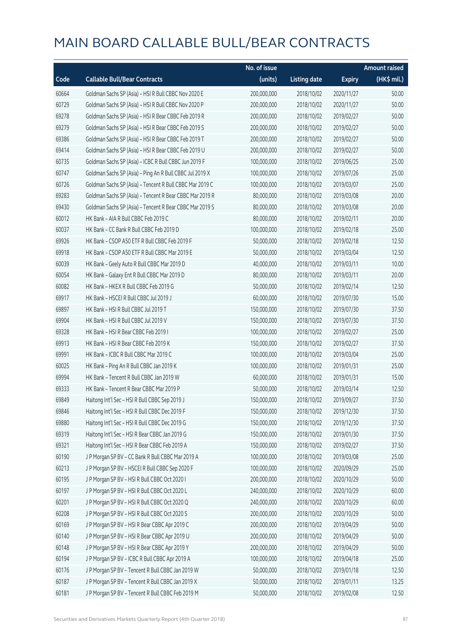|       |                                                          | No. of issue |                     |               | Amount raised |
|-------|----------------------------------------------------------|--------------|---------------------|---------------|---------------|
| Code  | <b>Callable Bull/Bear Contracts</b>                      | (units)      | <b>Listing date</b> | <b>Expiry</b> | $(HK\$ mil.)  |
| 60664 | Goldman Sachs SP (Asia) - HSI R Bull CBBC Nov 2020 E     | 200,000,000  | 2018/10/02          | 2020/11/27    | 50.00         |
| 60729 | Goldman Sachs SP (Asia) - HSI R Bull CBBC Nov 2020 P     | 200,000,000  | 2018/10/02          | 2020/11/27    | 50.00         |
| 69278 | Goldman Sachs SP (Asia) - HSI R Bear CBBC Feb 2019 R     | 200,000,000  | 2018/10/02          | 2019/02/27    | 50.00         |
| 69279 | Goldman Sachs SP (Asia) - HSI R Bear CBBC Feb 2019 S     | 200,000,000  | 2018/10/02          | 2019/02/27    | 50.00         |
| 69386 | Goldman Sachs SP (Asia) - HSI R Bear CBBC Feb 2019 T     | 200,000,000  | 2018/10/02          | 2019/02/27    | 50.00         |
| 69414 | Goldman Sachs SP (Asia) - HSI R Bear CBBC Feb 2019 U     | 200,000,000  | 2018/10/02          | 2019/02/27    | 50.00         |
| 60735 | Goldman Sachs SP (Asia) - ICBC R Bull CBBC Jun 2019 F    | 100,000,000  | 2018/10/02          | 2019/06/25    | 25.00         |
| 60747 | Goldman Sachs SP (Asia) - Ping An R Bull CBBC Jul 2019 X | 100,000,000  | 2018/10/02          | 2019/07/26    | 25.00         |
| 60726 | Goldman Sachs SP (Asia) - Tencent R Bull CBBC Mar 2019 C | 100,000,000  | 2018/10/02          | 2019/03/07    | 25.00         |
| 69283 | Goldman Sachs SP (Asia) - Tencent R Bear CBBC Mar 2019 R | 80,000,000   | 2018/10/02          | 2019/03/08    | 20.00         |
| 69430 | Goldman Sachs SP (Asia) - Tencent R Bear CBBC Mar 2019 S | 80,000,000   | 2018/10/02          | 2019/03/08    | 20.00         |
| 60012 | HK Bank - AIA R Bull CBBC Feb 2019 C                     | 80,000,000   | 2018/10/02          | 2019/02/11    | 20.00         |
| 60037 | HK Bank - CC Bank R Bull CBBC Feb 2019 D                 | 100,000,000  | 2018/10/02          | 2019/02/18    | 25.00         |
| 69926 | HK Bank - CSOP A50 ETF R Bull CBBC Feb 2019 F            | 50,000,000   | 2018/10/02          | 2019/02/18    | 12.50         |
| 69918 | HK Bank - CSOP A50 ETF R Bull CBBC Mar 2019 E            | 50,000,000   | 2018/10/02          | 2019/03/04    | 12.50         |
| 60039 | HK Bank - Geely Auto R Bull CBBC Mar 2019 D              | 40,000,000   | 2018/10/02          | 2019/03/11    | 10.00         |
| 60054 | HK Bank - Galaxy Ent R Bull CBBC Mar 2019 D              | 80,000,000   | 2018/10/02          | 2019/03/11    | 20.00         |
| 60082 | HK Bank - HKEX R Bull CBBC Feb 2019 G                    | 50,000,000   | 2018/10/02          | 2019/02/14    | 12.50         |
| 69917 | HK Bank - HSCEI R Bull CBBC Jul 2019 J                   | 60,000,000   | 2018/10/02          | 2019/07/30    | 15.00         |
| 69897 | HK Bank - HSI R Bull CBBC Jul 2019 T                     | 150,000,000  | 2018/10/02          | 2019/07/30    | 37.50         |
| 69904 | HK Bank - HSI R Bull CBBC Jul 2019 V                     | 150,000,000  | 2018/10/02          | 2019/07/30    | 37.50         |
| 69328 | HK Bank - HSI R Bear CBBC Feb 2019 I                     | 100,000,000  | 2018/10/02          | 2019/02/27    | 25.00         |
| 69913 | HK Bank - HSI R Bear CBBC Feb 2019 K                     | 150,000,000  | 2018/10/02          | 2019/02/27    | 37.50         |
| 69991 | HK Bank - ICBC R Bull CBBC Mar 2019 C                    | 100,000,000  | 2018/10/02          | 2019/03/04    | 25.00         |
| 60025 | HK Bank - Ping An R Bull CBBC Jan 2019 K                 | 100,000,000  | 2018/10/02          | 2019/01/31    | 25.00         |
| 69994 | HK Bank - Tencent R Bull CBBC Jan 2019 W                 | 60,000,000   | 2018/10/02          | 2019/01/31    | 15.00         |
| 69333 | HK Bank - Tencent R Bear CBBC Mar 2019 P                 | 50,000,000   | 2018/10/02          | 2019/03/14    | 12.50         |
| 69849 | Haitong Int'l Sec - HSI R Bull CBBC Sep 2019 J           | 150,000,000  | 2018/10/02          | 2019/09/27    | 37.50         |
| 69846 | Haitong Int'l Sec - HSI R Bull CBBC Dec 2019 F           | 150,000,000  | 2018/10/02          | 2019/12/30    | 37.50         |
| 69880 | Haitong Int'l Sec - HSI R Bull CBBC Dec 2019 G           | 150,000,000  | 2018/10/02          | 2019/12/30    | 37.50         |
| 69319 | Haitong Int'l Sec - HSI R Bear CBBC Jan 2019 G           | 150,000,000  | 2018/10/02          | 2019/01/30    | 37.50         |
| 69321 | Haitong Int'l Sec - HSI R Bear CBBC Feb 2019 A           | 150,000,000  | 2018/10/02          | 2019/02/27    | 37.50         |
| 60190 | J P Morgan SP BV - CC Bank R Bull CBBC Mar 2019 A        | 100,000,000  | 2018/10/02          | 2019/03/08    | 25.00         |
| 60213 | J P Morgan SP BV - HSCEI R Bull CBBC Sep 2020 F          | 100,000,000  | 2018/10/02          | 2020/09/29    | 25.00         |
| 60195 | J P Morgan SP BV - HSI R Bull CBBC Oct 2020 I            | 200,000,000  | 2018/10/02          | 2020/10/29    | 50.00         |
| 60197 | JP Morgan SP BV - HSIR Bull CBBC Oct 2020 L              | 240,000,000  | 2018/10/02          | 2020/10/29    | 60.00         |
| 60201 | J P Morgan SP BV - HSI R Bull CBBC Oct 2020 Q            | 240,000,000  | 2018/10/02          | 2020/10/29    | 60.00         |
| 60208 | JP Morgan SP BV - HSIR Bull CBBC Oct 2020 S              | 200,000,000  | 2018/10/02          | 2020/10/29    | 50.00         |
| 60169 | J P Morgan SP BV - HSI R Bear CBBC Apr 2019 C            | 200,000,000  | 2018/10/02          | 2019/04/29    | 50.00         |
| 60140 | J P Morgan SP BV - HSI R Bear CBBC Apr 2019 U            | 200,000,000  | 2018/10/02          | 2019/04/29    | 50.00         |
| 60148 | J P Morgan SP BV - HSI R Bear CBBC Apr 2019 Y            | 200,000,000  | 2018/10/02          | 2019/04/29    | 50.00         |
| 60194 | J P Morgan SP BV - ICBC R Bull CBBC Apr 2019 A           | 100,000,000  | 2018/10/02          | 2019/04/18    | 25.00         |
| 60176 | J P Morgan SP BV - Tencent R Bull CBBC Jan 2019 W        | 50,000,000   | 2018/10/02          | 2019/01/18    | 12.50         |
| 60187 | J P Morgan SP BV - Tencent R Bull CBBC Jan 2019 X        | 50,000,000   | 2018/10/02          | 2019/01/11    | 13.25         |
| 60181 | J P Morgan SP BV - Tencent R Bull CBBC Feb 2019 M        | 50,000,000   | 2018/10/02          | 2019/02/08    | 12.50         |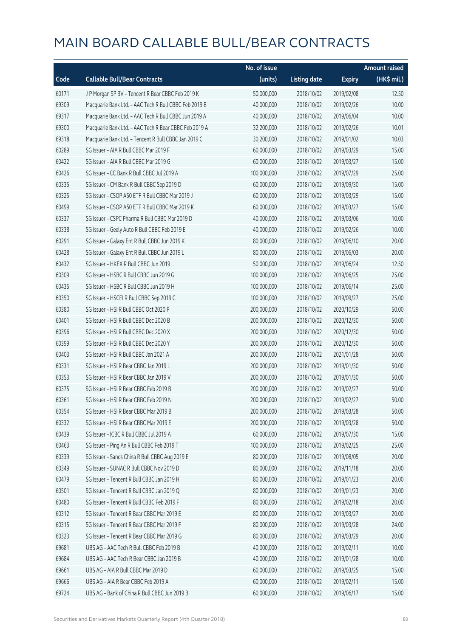|       |                                                       | No. of issue |                     |               | <b>Amount raised</b> |
|-------|-------------------------------------------------------|--------------|---------------------|---------------|----------------------|
| Code  | <b>Callable Bull/Bear Contracts</b>                   | (units)      | <b>Listing date</b> | <b>Expiry</b> | (HK\$ mil.)          |
| 60171 | J P Morgan SP BV - Tencent R Bear CBBC Feb 2019 K     | 50,000,000   | 2018/10/02          | 2019/02/08    | 12.50                |
| 69309 | Macquarie Bank Ltd. - AAC Tech R Bull CBBC Feb 2019 B | 40,000,000   | 2018/10/02          | 2019/02/26    | 10.00                |
| 69317 | Macquarie Bank Ltd. - AAC Tech R Bull CBBC Jun 2019 A | 40,000,000   | 2018/10/02          | 2019/06/04    | 10.00                |
| 69300 | Macquarie Bank Ltd. - AAC Tech R Bear CBBC Feb 2019 A | 32,200,000   | 2018/10/02          | 2019/02/26    | 10.01                |
| 69318 | Macquarie Bank Ltd. - Tencent R Bull CBBC Jan 2019 C  | 30,200,000   | 2018/10/02          | 2019/01/02    | 10.03                |
| 60289 | SG Issuer - AIA R Bull CBBC Mar 2019 F                | 60,000,000   | 2018/10/02          | 2019/03/29    | 15.00                |
| 60422 | SG Issuer - AIA R Bull CBBC Mar 2019 G                | 60,000,000   | 2018/10/02          | 2019/03/27    | 15.00                |
| 60426 | SG Issuer - CC Bank R Bull CBBC Jul 2019 A            | 100,000,000  | 2018/10/02          | 2019/07/29    | 25.00                |
| 60335 | SG Issuer - CM Bank R Bull CBBC Sep 2019 D            | 60,000,000   | 2018/10/02          | 2019/09/30    | 15.00                |
| 60325 | SG Issuer - CSOP A50 ETF R Bull CBBC Mar 2019 J       | 60,000,000   | 2018/10/02          | 2019/03/29    | 15.00                |
| 60499 | SG Issuer - CSOP A50 ETF R Bull CBBC Mar 2019 K       | 60,000,000   | 2018/10/02          | 2019/03/27    | 15.00                |
| 60337 | SG Issuer - CSPC Pharma R Bull CBBC Mar 2019 D        | 40,000,000   | 2018/10/02          | 2019/03/06    | 10.00                |
| 60338 | SG Issuer - Geely Auto R Bull CBBC Feb 2019 E         | 40,000,000   | 2018/10/02          | 2019/02/26    | 10.00                |
| 60291 | SG Issuer - Galaxy Ent R Bull CBBC Jun 2019 K         | 80,000,000   | 2018/10/02          | 2019/06/10    | 20.00                |
| 60428 | SG Issuer - Galaxy Ent R Bull CBBC Jun 2019 L         | 80,000,000   | 2018/10/02          | 2019/06/03    | 20.00                |
| 60432 | SG Issuer - HKEX R Bull CBBC Jun 2019 L               | 50,000,000   | 2018/10/02          | 2019/06/24    | 12.50                |
| 60309 | SG Issuer - HSBC R Bull CBBC Jun 2019 G               | 100,000,000  | 2018/10/02          | 2019/06/25    | 25.00                |
| 60435 | SG Issuer - HSBC R Bull CBBC Jun 2019 H               | 100,000,000  | 2018/10/02          | 2019/06/14    | 25.00                |
| 60350 | SG Issuer - HSCEI R Bull CBBC Sep 2019 C              | 100,000,000  | 2018/10/02          | 2019/09/27    | 25.00                |
| 60380 | SG Issuer - HSI R Bull CBBC Oct 2020 P                | 200,000,000  | 2018/10/02          | 2020/10/29    | 50.00                |
| 60401 | SG Issuer - HSI R Bull CBBC Dec 2020 B                | 200,000,000  | 2018/10/02          | 2020/12/30    | 50.00                |
| 60396 | SG Issuer - HSI R Bull CBBC Dec 2020 X                | 200,000,000  | 2018/10/02          | 2020/12/30    | 50.00                |
| 60399 | SG Issuer - HSI R Bull CBBC Dec 2020 Y                | 200,000,000  | 2018/10/02          | 2020/12/30    | 50.00                |
| 60403 | SG Issuer - HSI R Bull CBBC Jan 2021 A                | 200,000,000  | 2018/10/02          | 2021/01/28    | 50.00                |
| 60331 | SG Issuer - HSI R Bear CBBC Jan 2019 L                | 200,000,000  | 2018/10/02          | 2019/01/30    | 50.00                |
| 60353 | SG Issuer - HSI R Bear CBBC Jan 2019 V                | 200,000,000  | 2018/10/02          | 2019/01/30    | 50.00                |
| 60375 | SG Issuer - HSI R Bear CBBC Feb 2019 B                | 200,000,000  | 2018/10/02          | 2019/02/27    | 50.00                |
| 60361 | SG Issuer – HSI R Bear CBBC Feb 2019 N                | 200,000,000  | 2018/10/02          | 2019/02/27    | 50.00                |
| 60354 | SG Issuer - HSI R Bear CBBC Mar 2019 B                | 200,000,000  | 2018/10/02          | 2019/03/28    | 50.00                |
| 60332 | SG Issuer - HSI R Bear CBBC Mar 2019 E                | 200,000,000  | 2018/10/02          | 2019/03/28    | 50.00                |
| 60439 | SG Issuer - ICBC R Bull CBBC Jul 2019 A               | 60,000,000   | 2018/10/02          | 2019/07/30    | 15.00                |
| 60463 | SG Issuer - Ping An R Bull CBBC Feb 2019 T            | 100,000,000  | 2018/10/02          | 2019/02/25    | 25.00                |
| 60339 | SG Issuer - Sands China R Bull CBBC Aug 2019 E        | 80,000,000   | 2018/10/02          | 2019/08/05    | 20.00                |
| 60349 | SG Issuer - SUNAC R Bull CBBC Nov 2019 D              | 80,000,000   | 2018/10/02          | 2019/11/18    | 20.00                |
| 60479 | SG Issuer - Tencent R Bull CBBC Jan 2019 H            | 80,000,000   | 2018/10/02          | 2019/01/23    | 20.00                |
| 60501 | SG Issuer - Tencent R Bull CBBC Jan 2019 Q            | 80,000,000   | 2018/10/02          | 2019/01/23    | 20.00                |
| 60480 | SG Issuer - Tencent R Bull CBBC Feb 2019 F            | 80,000,000   | 2018/10/02          | 2019/02/18    | 20.00                |
| 60312 | SG Issuer - Tencent R Bear CBBC Mar 2019 E            | 80,000,000   | 2018/10/02          | 2019/03/27    | 20.00                |
| 60315 | SG Issuer - Tencent R Bear CBBC Mar 2019 F            | 80,000,000   | 2018/10/02          | 2019/03/28    | 24.00                |
| 60323 | SG Issuer - Tencent R Bear CBBC Mar 2019 G            | 80,000,000   | 2018/10/02          | 2019/03/29    | 20.00                |
| 69681 | UBS AG - AAC Tech R Bull CBBC Feb 2019 B              | 40,000,000   | 2018/10/02          | 2019/02/11    | 10.00                |
| 69684 | UBS AG - AAC Tech R Bear CBBC Jan 2019 B              | 40,000,000   | 2018/10/02          | 2019/01/28    | 10.00                |
| 69661 | UBS AG - AIA R Bull CBBC Mar 2019 D                   | 60,000,000   | 2018/10/02          | 2019/03/25    | 15.00                |
| 69666 | UBS AG - AIA R Bear CBBC Feb 2019 A                   | 60,000,000   | 2018/10/02          | 2019/02/11    | 15.00                |
| 69724 | UBS AG - Bank of China R Bull CBBC Jun 2019 B         | 60,000,000   | 2018/10/02          | 2019/06/17    | 15.00                |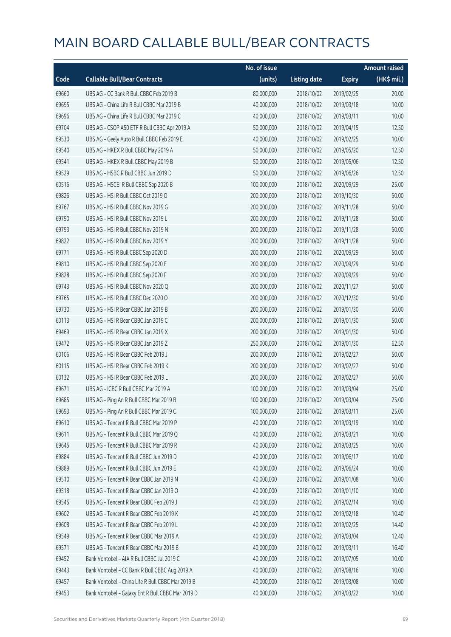|       |                                                   | No. of issue |                     |               | <b>Amount raised</b> |
|-------|---------------------------------------------------|--------------|---------------------|---------------|----------------------|
| Code  | <b>Callable Bull/Bear Contracts</b>               | (units)      | <b>Listing date</b> | <b>Expiry</b> | (HK\$ mil.)          |
| 69660 | UBS AG - CC Bank R Bull CBBC Feb 2019 B           | 80,000,000   | 2018/10/02          | 2019/02/25    | 20.00                |
| 69695 | UBS AG - China Life R Bull CBBC Mar 2019 B        | 40,000,000   | 2018/10/02          | 2019/03/18    | 10.00                |
| 69696 | UBS AG - China Life R Bull CBBC Mar 2019 C        | 40,000,000   | 2018/10/02          | 2019/03/11    | 10.00                |
| 69704 | UBS AG - CSOP A50 ETF R Bull CBBC Apr 2019 A      | 50,000,000   | 2018/10/02          | 2019/04/15    | 12.50                |
| 69530 | UBS AG - Geely Auto R Bull CBBC Feb 2019 E        | 40,000,000   | 2018/10/02          | 2019/02/25    | 10.00                |
| 69540 | UBS AG - HKEX R Bull CBBC May 2019 A              | 50,000,000   | 2018/10/02          | 2019/05/20    | 12.50                |
| 69541 | UBS AG - HKEX R Bull CBBC May 2019 B              | 50,000,000   | 2018/10/02          | 2019/05/06    | 12.50                |
| 69529 | UBS AG - HSBC R Bull CBBC Jun 2019 D              | 50,000,000   | 2018/10/02          | 2019/06/26    | 12.50                |
| 60516 | UBS AG - HSCEI R Bull CBBC Sep 2020 B             | 100,000,000  | 2018/10/02          | 2020/09/29    | 25.00                |
| 69826 | UBS AG - HSI R Bull CBBC Oct 2019 O               | 200,000,000  | 2018/10/02          | 2019/10/30    | 50.00                |
| 69767 | UBS AG - HSI R Bull CBBC Nov 2019 G               | 200,000,000  | 2018/10/02          | 2019/11/28    | 50.00                |
| 69790 | UBS AG - HSI R Bull CBBC Nov 2019 L               | 200,000,000  | 2018/10/02          | 2019/11/28    | 50.00                |
| 69793 | UBS AG - HSI R Bull CBBC Nov 2019 N               | 200,000,000  | 2018/10/02          | 2019/11/28    | 50.00                |
| 69822 | UBS AG - HSI R Bull CBBC Nov 2019 Y               | 200,000,000  | 2018/10/02          | 2019/11/28    | 50.00                |
| 69771 | UBS AG - HSI R Bull CBBC Sep 2020 D               | 200,000,000  | 2018/10/02          | 2020/09/29    | 50.00                |
| 69810 | UBS AG - HSI R Bull CBBC Sep 2020 E               | 200,000,000  | 2018/10/02          | 2020/09/29    | 50.00                |
| 69828 | UBS AG - HSI R Bull CBBC Sep 2020 F               | 200,000,000  | 2018/10/02          | 2020/09/29    | 50.00                |
| 69743 | UBS AG - HSI R Bull CBBC Nov 2020 Q               | 200,000,000  | 2018/10/02          | 2020/11/27    | 50.00                |
| 69765 | UBS AG - HSI R Bull CBBC Dec 2020 O               | 200,000,000  | 2018/10/02          | 2020/12/30    | 50.00                |
| 69730 | UBS AG - HSI R Bear CBBC Jan 2019 B               | 200,000,000  | 2018/10/02          | 2019/01/30    | 50.00                |
| 60113 | UBS AG - HSI R Bear CBBC Jan 2019 C               | 200,000,000  | 2018/10/02          | 2019/01/30    | 50.00                |
| 69469 | UBS AG - HSI R Bear CBBC Jan 2019 X               | 200,000,000  | 2018/10/02          | 2019/01/30    | 50.00                |
| 69472 | UBS AG - HSI R Bear CBBC Jan 2019 Z               | 250,000,000  | 2018/10/02          | 2019/01/30    | 62.50                |
| 60106 | UBS AG - HSI R Bear CBBC Feb 2019 J               | 200,000,000  | 2018/10/02          | 2019/02/27    | 50.00                |
| 60115 | UBS AG - HSI R Bear CBBC Feb 2019 K               | 200,000,000  | 2018/10/02          | 2019/02/27    | 50.00                |
| 60132 | UBS AG - HSI R Bear CBBC Feb 2019 L               | 200,000,000  | 2018/10/02          | 2019/02/27    | 50.00                |
| 69671 | UBS AG - ICBC R Bull CBBC Mar 2019 A              | 100,000,000  | 2018/10/02          | 2019/03/04    | 25.00                |
| 69685 | UBS AG - Ping An R Bull CBBC Mar 2019 B           | 100,000,000  | 2018/10/02          | 2019/03/04    | 25.00                |
| 69693 | UBS AG - Ping An R Bull CBBC Mar 2019 C           | 100,000,000  | 2018/10/02          | 2019/03/11    | 25.00                |
| 69610 | UBS AG - Tencent R Bull CBBC Mar 2019 P           | 40,000,000   | 2018/10/02          | 2019/03/19    | 10.00                |
| 69611 | UBS AG - Tencent R Bull CBBC Mar 2019 Q           | 40,000,000   | 2018/10/02          | 2019/03/21    | 10.00                |
| 69645 | UBS AG - Tencent R Bull CBBC Mar 2019 R           | 40,000,000   | 2018/10/02          | 2019/03/25    | 10.00                |
| 69884 | UBS AG - Tencent R Bull CBBC Jun 2019 D           | 40,000,000   | 2018/10/02          | 2019/06/17    | 10.00                |
| 69889 | UBS AG - Tencent R Bull CBBC Jun 2019 E           | 40,000,000   | 2018/10/02          | 2019/06/24    | 10.00                |
| 69510 | UBS AG - Tencent R Bear CBBC Jan 2019 N           | 40,000,000   | 2018/10/02          | 2019/01/08    | 10.00                |
| 69518 | UBS AG - Tencent R Bear CBBC Jan 2019 O           | 40,000,000   | 2018/10/02          | 2019/01/10    | 10.00                |
| 69545 | UBS AG - Tencent R Bear CBBC Feb 2019 J           | 40,000,000   | 2018/10/02          | 2019/02/14    | 10.00                |
| 69602 | UBS AG - Tencent R Bear CBBC Feb 2019 K           | 40,000,000   | 2018/10/02          | 2019/02/18    | 10.40                |
| 69608 | UBS AG - Tencent R Bear CBBC Feb 2019 L           | 40,000,000   | 2018/10/02          | 2019/02/25    | 14.40                |
| 69549 | UBS AG - Tencent R Bear CBBC Mar 2019 A           | 40,000,000   | 2018/10/02          | 2019/03/04    | 12.40                |
| 69571 | UBS AG - Tencent R Bear CBBC Mar 2019 B           | 40,000,000   | 2018/10/02          | 2019/03/11    | 16.40                |
| 69452 | Bank Vontobel - AIA R Bull CBBC Jul 2019 C        | 40,000,000   | 2018/10/02          | 2019/07/05    | 10.00                |
| 69443 | Bank Vontobel - CC Bank R Bull CBBC Aug 2019 A    | 40,000,000   | 2018/10/02          | 2019/08/16    | 10.00                |
| 69457 | Bank Vontobel - China Life R Bull CBBC Mar 2019 B | 40,000,000   | 2018/10/02          | 2019/03/08    | 10.00                |
| 69453 | Bank Vontobel - Galaxy Ent R Bull CBBC Mar 2019 D | 40,000,000   | 2018/10/02          | 2019/03/22    | 10.00                |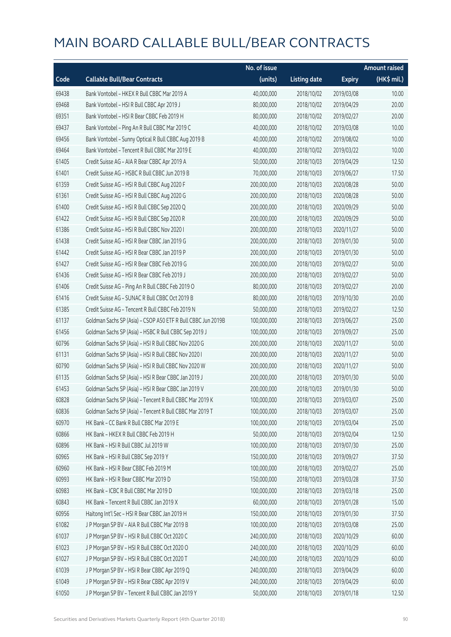|       |                                                              | No. of issue |                     |               | Amount raised |
|-------|--------------------------------------------------------------|--------------|---------------------|---------------|---------------|
| Code  | <b>Callable Bull/Bear Contracts</b>                          | (units)      | <b>Listing date</b> | <b>Expiry</b> | (HK\$ mil.)   |
| 69438 | Bank Vontobel - HKEX R Bull CBBC Mar 2019 A                  | 40,000,000   | 2018/10/02          | 2019/03/08    | 10.00         |
| 69468 | Bank Vontobel - HSI R Bull CBBC Apr 2019 J                   | 80,000,000   | 2018/10/02          | 2019/04/29    | 20.00         |
| 69351 | Bank Vontobel - HSI R Bear CBBC Feb 2019 H                   | 80,000,000   | 2018/10/02          | 2019/02/27    | 20.00         |
| 69437 | Bank Vontobel - Ping An R Bull CBBC Mar 2019 C               | 40,000,000   | 2018/10/02          | 2019/03/08    | 10.00         |
| 69456 | Bank Vontobel - Sunny Optical R Bull CBBC Aug 2019 B         | 40,000,000   | 2018/10/02          | 2019/08/02    | 10.00         |
| 69464 | Bank Vontobel - Tencent R Bull CBBC Mar 2019 E               | 40,000,000   | 2018/10/02          | 2019/03/22    | 10.00         |
| 61405 | Credit Suisse AG - AIA R Bear CBBC Apr 2019 A                | 50,000,000   | 2018/10/03          | 2019/04/29    | 12.50         |
| 61401 | Credit Suisse AG - HSBC R Bull CBBC Jun 2019 B               | 70,000,000   | 2018/10/03          | 2019/06/27    | 17.50         |
| 61359 | Credit Suisse AG - HSI R Bull CBBC Aug 2020 F                | 200,000,000  | 2018/10/03          | 2020/08/28    | 50.00         |
| 61361 | Credit Suisse AG - HSI R Bull CBBC Aug 2020 G                | 200,000,000  | 2018/10/03          | 2020/08/28    | 50.00         |
| 61400 | Credit Suisse AG - HSI R Bull CBBC Sep 2020 Q                | 200,000,000  | 2018/10/03          | 2020/09/29    | 50.00         |
| 61422 | Credit Suisse AG - HSI R Bull CBBC Sep 2020 R                | 200,000,000  | 2018/10/03          | 2020/09/29    | 50.00         |
| 61386 | Credit Suisse AG - HSI R Bull CBBC Nov 2020 I                | 200,000,000  | 2018/10/03          | 2020/11/27    | 50.00         |
| 61438 | Credit Suisse AG - HSI R Bear CBBC Jan 2019 G                | 200,000,000  | 2018/10/03          | 2019/01/30    | 50.00         |
| 61442 | Credit Suisse AG - HSI R Bear CBBC Jan 2019 P                | 200,000,000  | 2018/10/03          | 2019/01/30    | 50.00         |
| 61427 | Credit Suisse AG - HSI R Bear CBBC Feb 2019 G                | 200,000,000  | 2018/10/03          | 2019/02/27    | 50.00         |
| 61436 | Credit Suisse AG - HSI R Bear CBBC Feb 2019 J                | 200,000,000  | 2018/10/03          | 2019/02/27    | 50.00         |
| 61406 | Credit Suisse AG - Ping An R Bull CBBC Feb 2019 O            | 80,000,000   | 2018/10/03          | 2019/02/27    | 20.00         |
| 61416 | Credit Suisse AG - SUNAC R Bull CBBC Oct 2019 B              | 80,000,000   | 2018/10/03          | 2019/10/30    | 20.00         |
| 61385 | Credit Suisse AG - Tencent R Bull CBBC Feb 2019 N            | 50,000,000   | 2018/10/03          | 2019/02/27    | 12.50         |
| 61137 | Goldman Sachs SP (Asia) - CSOP A50 ETF R Bull CBBC Jun 2019B | 100,000,000  | 2018/10/03          | 2019/06/27    | 25.00         |
| 61456 | Goldman Sachs SP (Asia) - HSBC R Bull CBBC Sep 2019 J        | 100,000,000  | 2018/10/03          | 2019/09/27    | 25.00         |
| 60796 | Goldman Sachs SP (Asia) - HSI R Bull CBBC Nov 2020 G         | 200,000,000  | 2018/10/03          | 2020/11/27    | 50.00         |
| 61131 | Goldman Sachs SP (Asia) - HSI R Bull CBBC Nov 2020 I         | 200,000,000  | 2018/10/03          | 2020/11/27    | 50.00         |
| 60790 | Goldman Sachs SP (Asia) - HSI R Bull CBBC Nov 2020 W         | 200,000,000  | 2018/10/03          | 2020/11/27    | 50.00         |
| 61135 | Goldman Sachs SP (Asia) - HSI R Bear CBBC Jan 2019 J         | 200,000,000  | 2018/10/03          | 2019/01/30    | 50.00         |
| 61453 | Goldman Sachs SP (Asia) - HSI R Bear CBBC Jan 2019 V         | 200,000,000  | 2018/10/03          | 2019/01/30    | 50.00         |
| 60828 | Goldman Sachs SP (Asia) - Tencent R Bull CBBC Mar 2019 K     | 100,000,000  | 2018/10/03          | 2019/03/07    | 25.00         |
| 60836 | Goldman Sachs SP (Asia) - Tencent R Bull CBBC Mar 2019 T     | 100,000,000  | 2018/10/03          | 2019/03/07    | 25.00         |
| 60970 | HK Bank - CC Bank R Bull CBBC Mar 2019 E                     | 100,000,000  | 2018/10/03          | 2019/03/04    | 25.00         |
| 60866 | HK Bank - HKEX R Bull CBBC Feb 2019 H                        | 50,000,000   | 2018/10/03          | 2019/02/04    | 12.50         |
| 60896 | HK Bank - HSI R Bull CBBC Jul 2019 W                         | 100,000,000  | 2018/10/03          | 2019/07/30    | 25.00         |
| 60965 | HK Bank - HSI R Bull CBBC Sep 2019 Y                         | 150,000,000  | 2018/10/03          | 2019/09/27    | 37.50         |
| 60960 | HK Bank - HSI R Bear CBBC Feb 2019 M                         | 100,000,000  | 2018/10/03          | 2019/02/27    | 25.00         |
| 60993 | HK Bank - HSI R Bear CBBC Mar 2019 D                         | 150,000,000  | 2018/10/03          | 2019/03/28    | 37.50         |
| 60983 | HK Bank - ICBC R Bull CBBC Mar 2019 D                        | 100,000,000  | 2018/10/03          | 2019/03/18    | 25.00         |
| 60843 | HK Bank - Tencent R Bull CBBC Jan 2019 X                     | 60,000,000   | 2018/10/03          | 2019/01/28    | 15.00         |
| 60956 | Haitong Int'l Sec - HSI R Bear CBBC Jan 2019 H               | 150,000,000  | 2018/10/03          | 2019/01/30    | 37.50         |
| 61082 | J P Morgan SP BV - AIA R Bull CBBC Mar 2019 B                | 100,000,000  | 2018/10/03          | 2019/03/08    | 25.00         |
| 61037 | J P Morgan SP BV - HSI R Bull CBBC Oct 2020 C                | 240,000,000  | 2018/10/03          | 2020/10/29    | 60.00         |
| 61023 | J P Morgan SP BV - HSI R Bull CBBC Oct 2020 O                | 240,000,000  | 2018/10/03          | 2020/10/29    | 60.00         |
| 61027 | J P Morgan SP BV - HSI R Bull CBBC Oct 2020 T                | 240,000,000  | 2018/10/03          | 2020/10/29    | 60.00         |
| 61039 | J P Morgan SP BV - HSI R Bear CBBC Apr 2019 Q                | 240,000,000  | 2018/10/03          | 2019/04/29    | 60.00         |
| 61049 | J P Morgan SP BV - HSI R Bear CBBC Apr 2019 V                | 240,000,000  | 2018/10/03          | 2019/04/29    | 60.00         |
| 61050 | J P Morgan SP BV - Tencent R Bull CBBC Jan 2019 Y            | 50,000,000   | 2018/10/03          | 2019/01/18    | 12.50         |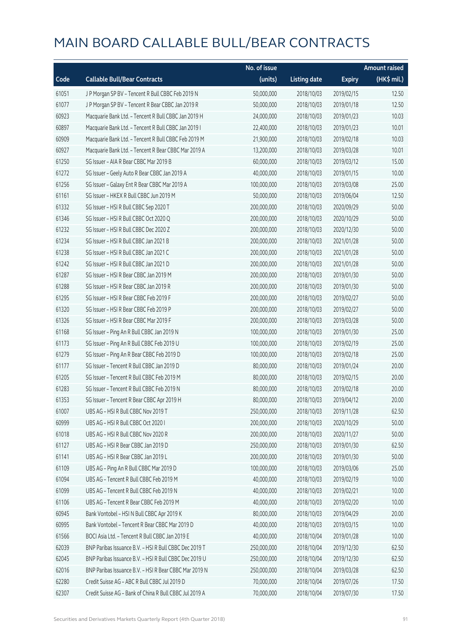|       |                                                         | No. of issue |                     |               | <b>Amount raised</b> |
|-------|---------------------------------------------------------|--------------|---------------------|---------------|----------------------|
| Code  | <b>Callable Bull/Bear Contracts</b>                     | (units)      | <b>Listing date</b> | <b>Expiry</b> | (HK\$ mil.)          |
| 61051 | J P Morgan SP BV - Tencent R Bull CBBC Feb 2019 N       | 50,000,000   | 2018/10/03          | 2019/02/15    | 12.50                |
| 61077 | J P Morgan SP BV - Tencent R Bear CBBC Jan 2019 R       | 50,000,000   | 2018/10/03          | 2019/01/18    | 12.50                |
| 60923 | Macquarie Bank Ltd. - Tencent R Bull CBBC Jan 2019 H    | 24,000,000   | 2018/10/03          | 2019/01/23    | 10.03                |
| 60897 | Macquarie Bank Ltd. - Tencent R Bull CBBC Jan 2019 I    | 22,400,000   | 2018/10/03          | 2019/01/23    | 10.01                |
| 60909 | Macquarie Bank Ltd. - Tencent R Bull CBBC Feb 2019 M    | 21,900,000   | 2018/10/03          | 2019/02/18    | 10.03                |
| 60927 | Macquarie Bank Ltd. - Tencent R Bear CBBC Mar 2019 A    | 13,200,000   | 2018/10/03          | 2019/03/28    | 10.01                |
| 61250 | SG Issuer - AIA R Bear CBBC Mar 2019 B                  | 60,000,000   | 2018/10/03          | 2019/03/12    | 15.00                |
| 61272 | SG Issuer - Geely Auto R Bear CBBC Jan 2019 A           | 40,000,000   | 2018/10/03          | 2019/01/15    | 10.00                |
| 61256 | SG Issuer - Galaxy Ent R Bear CBBC Mar 2019 A           | 100,000,000  | 2018/10/03          | 2019/03/08    | 25.00                |
| 61161 | SG Issuer - HKEX R Bull CBBC Jun 2019 M                 | 50,000,000   | 2018/10/03          | 2019/06/04    | 12.50                |
| 61332 | SG Issuer - HSI R Bull CBBC Sep 2020 T                  | 200,000,000  | 2018/10/03          | 2020/09/29    | 50.00                |
| 61346 | SG Issuer - HSI R Bull CBBC Oct 2020 Q                  | 200,000,000  | 2018/10/03          | 2020/10/29    | 50.00                |
| 61232 | SG Issuer - HSI R Bull CBBC Dec 2020 Z                  | 200,000,000  | 2018/10/03          | 2020/12/30    | 50.00                |
| 61234 | SG Issuer - HSI R Bull CBBC Jan 2021 B                  | 200,000,000  | 2018/10/03          | 2021/01/28    | 50.00                |
| 61238 | SG Issuer - HSI R Bull CBBC Jan 2021 C                  | 200,000,000  | 2018/10/03          | 2021/01/28    | 50.00                |
| 61242 | SG Issuer - HSI R Bull CBBC Jan 2021 D                  | 200,000,000  | 2018/10/03          | 2021/01/28    | 50.00                |
| 61287 | SG Issuer - HSI R Bear CBBC Jan 2019 M                  | 200,000,000  | 2018/10/03          | 2019/01/30    | 50.00                |
| 61288 | SG Issuer - HSI R Bear CBBC Jan 2019 R                  | 200,000,000  | 2018/10/03          | 2019/01/30    | 50.00                |
| 61295 | SG Issuer - HSI R Bear CBBC Feb 2019 F                  | 200,000,000  | 2018/10/03          | 2019/02/27    | 50.00                |
| 61320 | SG Issuer - HSI R Bear CBBC Feb 2019 P                  | 200,000,000  | 2018/10/03          | 2019/02/27    | 50.00                |
| 61326 | SG Issuer - HSI R Bear CBBC Mar 2019 F                  | 200,000,000  | 2018/10/03          | 2019/03/28    | 50.00                |
| 61168 | SG Issuer - Ping An R Bull CBBC Jan 2019 N              | 100,000,000  | 2018/10/03          | 2019/01/30    | 25.00                |
| 61173 | SG Issuer - Ping An R Bull CBBC Feb 2019 U              | 100,000,000  | 2018/10/03          | 2019/02/19    | 25.00                |
| 61279 | SG Issuer - Ping An R Bear CBBC Feb 2019 D              | 100,000,000  | 2018/10/03          | 2019/02/18    | 25.00                |
| 61177 | SG Issuer - Tencent R Bull CBBC Jan 2019 D              | 80,000,000   | 2018/10/03          | 2019/01/24    | 20.00                |
| 61205 | SG Issuer - Tencent R Bull CBBC Feb 2019 M              | 80,000,000   | 2018/10/03          | 2019/02/15    | 20.00                |
| 61283 | SG Issuer - Tencent R Bull CBBC Feb 2019 N              | 80,000,000   | 2018/10/03          | 2019/02/18    | 20.00                |
| 61353 | SG Issuer - Tencent R Bear CBBC Apr 2019 H              | 80,000,000   | 2018/10/03          | 2019/04/12    | 20.00                |
| 61007 | UBS AG - HSI R Bull CBBC Nov 2019 T                     | 250,000,000  | 2018/10/03          | 2019/11/28    | 62.50                |
| 60999 | UBS AG - HSI R Bull CBBC Oct 2020 I                     | 200,000,000  | 2018/10/03          | 2020/10/29    | 50.00                |
| 61018 | UBS AG - HSI R Bull CBBC Nov 2020 R                     | 200,000,000  | 2018/10/03          | 2020/11/27    | 50.00                |
| 61127 | UBS AG - HSI R Bear CBBC Jan 2019 D                     | 250,000,000  | 2018/10/03          | 2019/01/30    | 62.50                |
| 61141 | UBS AG - HSI R Bear CBBC Jan 2019 L                     | 200,000,000  | 2018/10/03          | 2019/01/30    | 50.00                |
| 61109 | UBS AG - Ping An R Bull CBBC Mar 2019 D                 | 100,000,000  | 2018/10/03          | 2019/03/06    | 25.00                |
| 61094 | UBS AG - Tencent R Bull CBBC Feb 2019 M                 | 40,000,000   | 2018/10/03          | 2019/02/19    | 10.00                |
| 61099 | UBS AG - Tencent R Bull CBBC Feb 2019 N                 | 40,000,000   | 2018/10/03          | 2019/02/21    | 10.00                |
| 61106 | UBS AG - Tencent R Bear CBBC Feb 2019 M                 | 40,000,000   | 2018/10/03          | 2019/02/20    | 10.00                |
| 60945 | Bank Vontobel - HSI N Bull CBBC Apr 2019 K              | 80,000,000   | 2018/10/03          | 2019/04/29    | 20.00                |
| 60995 | Bank Vontobel - Tencent R Bear CBBC Mar 2019 D          | 40,000,000   | 2018/10/03          | 2019/03/15    | 10.00                |
| 61566 | BOCI Asia Ltd. - Tencent R Bull CBBC Jan 2019 E         | 40,000,000   | 2018/10/04          | 2019/01/28    | 10.00                |
| 62039 | BNP Paribas Issuance B.V. - HSI R Bull CBBC Dec 2019 T  | 250,000,000  | 2018/10/04          | 2019/12/30    | 62.50                |
| 62045 | BNP Paribas Issuance B.V. - HSI R Bull CBBC Dec 2019 U  | 250,000,000  | 2018/10/04          | 2019/12/30    | 62.50                |
| 62016 | BNP Paribas Issuance B.V. - HSI R Bear CBBC Mar 2019 N  | 250,000,000  | 2018/10/04          | 2019/03/28    | 62.50                |
| 62280 | Credit Suisse AG - ABC R Bull CBBC Jul 2019 D           | 70,000,000   | 2018/10/04          | 2019/07/26    | 17.50                |
| 62307 | Credit Suisse AG - Bank of China R Bull CBBC Jul 2019 A | 70,000,000   | 2018/10/04          | 2019/07/30    | 17.50                |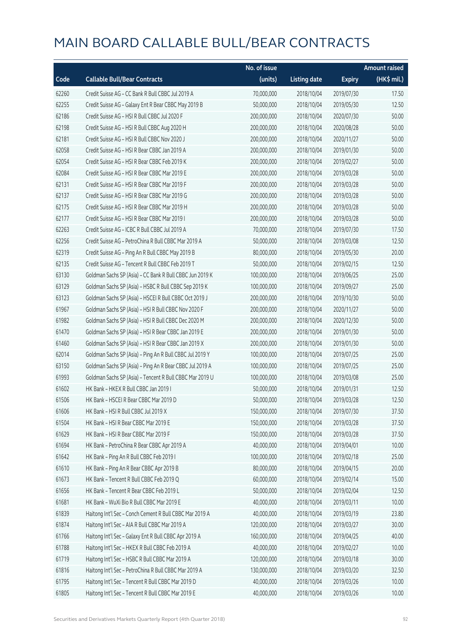|       |                                                          | No. of issue |                     |               | <b>Amount raised</b> |
|-------|----------------------------------------------------------|--------------|---------------------|---------------|----------------------|
| Code  | <b>Callable Bull/Bear Contracts</b>                      | (units)      | <b>Listing date</b> | <b>Expiry</b> | (HK\$ mil.)          |
| 62260 | Credit Suisse AG - CC Bank R Bull CBBC Jul 2019 A        | 70,000,000   | 2018/10/04          | 2019/07/30    | 17.50                |
| 62255 | Credit Suisse AG - Galaxy Ent R Bear CBBC May 2019 B     | 50,000,000   | 2018/10/04          | 2019/05/30    | 12.50                |
| 62186 | Credit Suisse AG - HSI R Bull CBBC Jul 2020 F            | 200,000,000  | 2018/10/04          | 2020/07/30    | 50.00                |
| 62198 | Credit Suisse AG - HSI R Bull CBBC Aug 2020 H            | 200,000,000  | 2018/10/04          | 2020/08/28    | 50.00                |
| 62181 | Credit Suisse AG - HSI R Bull CBBC Nov 2020 J            | 200,000,000  | 2018/10/04          | 2020/11/27    | 50.00                |
| 62058 | Credit Suisse AG - HSI R Bear CBBC Jan 2019 A            | 200,000,000  | 2018/10/04          | 2019/01/30    | 50.00                |
| 62054 | Credit Suisse AG - HSI R Bear CBBC Feb 2019 K            | 200,000,000  | 2018/10/04          | 2019/02/27    | 50.00                |
| 62084 | Credit Suisse AG - HSI R Bear CBBC Mar 2019 E            | 200,000,000  | 2018/10/04          | 2019/03/28    | 50.00                |
| 62131 | Credit Suisse AG - HSI R Bear CBBC Mar 2019 F            | 200,000,000  | 2018/10/04          | 2019/03/28    | 50.00                |
| 62137 | Credit Suisse AG - HSI R Bear CBBC Mar 2019 G            | 200,000,000  | 2018/10/04          | 2019/03/28    | 50.00                |
| 62175 | Credit Suisse AG - HSI R Bear CBBC Mar 2019 H            | 200,000,000  | 2018/10/04          | 2019/03/28    | 50.00                |
| 62177 | Credit Suisse AG - HSI R Bear CBBC Mar 2019 I            | 200,000,000  | 2018/10/04          | 2019/03/28    | 50.00                |
| 62263 | Credit Suisse AG - ICBC R Bull CBBC Jul 2019 A           | 70,000,000   | 2018/10/04          | 2019/07/30    | 17.50                |
| 62256 | Credit Suisse AG - PetroChina R Bull CBBC Mar 2019 A     | 50,000,000   | 2018/10/04          | 2019/03/08    | 12.50                |
| 62319 | Credit Suisse AG - Ping An R Bull CBBC May 2019 B        | 80,000,000   | 2018/10/04          | 2019/05/30    | 20.00                |
| 62135 | Credit Suisse AG - Tencent R Bull CBBC Feb 2019 T        | 50,000,000   | 2018/10/04          | 2019/02/15    | 12.50                |
| 63130 | Goldman Sachs SP (Asia) - CC Bank R Bull CBBC Jun 2019 K | 100,000,000  | 2018/10/04          | 2019/06/25    | 25.00                |
| 63129 | Goldman Sachs SP (Asia) - HSBC R Bull CBBC Sep 2019 K    | 100,000,000  | 2018/10/04          | 2019/09/27    | 25.00                |
| 63123 | Goldman Sachs SP (Asia) - HSCEI R Bull CBBC Oct 2019 J   | 200,000,000  | 2018/10/04          | 2019/10/30    | 50.00                |
| 61967 | Goldman Sachs SP (Asia) - HSI R Bull CBBC Nov 2020 F     | 200,000,000  | 2018/10/04          | 2020/11/27    | 50.00                |
| 61982 | Goldman Sachs SP (Asia) - HSI R Bull CBBC Dec 2020 M     | 200,000,000  | 2018/10/04          | 2020/12/30    | 50.00                |
| 61470 | Goldman Sachs SP (Asia) - HSI R Bear CBBC Jan 2019 E     | 200,000,000  | 2018/10/04          | 2019/01/30    | 50.00                |
| 61460 | Goldman Sachs SP (Asia) - HSI R Bear CBBC Jan 2019 X     | 200,000,000  | 2018/10/04          | 2019/01/30    | 50.00                |
| 62014 | Goldman Sachs SP (Asia) - Ping An R Bull CBBC Jul 2019 Y | 100,000,000  | 2018/10/04          | 2019/07/25    | 25.00                |
| 63150 | Goldman Sachs SP (Asia) - Ping An R Bear CBBC Jul 2019 A | 100,000,000  | 2018/10/04          | 2019/07/25    | 25.00                |
| 61993 | Goldman Sachs SP (Asia) - Tencent R Bull CBBC Mar 2019 U | 100,000,000  | 2018/10/04          | 2019/03/08    | 25.00                |
| 61602 | HK Bank - HKEX R Bull CBBC Jan 2019 I                    | 50,000,000   | 2018/10/04          | 2019/01/31    | 12.50                |
| 61506 | HK Bank - HSCEI R Bear CBBC Mar 2019 D                   | 50,000,000   | 2018/10/04          | 2019/03/28    | 12.50                |
| 61606 | HK Bank - HSI R Bull CBBC Jul 2019 X                     | 150,000,000  | 2018/10/04          | 2019/07/30    | 37.50                |
| 61504 | HK Bank - HSI R Bear CBBC Mar 2019 E                     | 150,000,000  | 2018/10/04          | 2019/03/28    | 37.50                |
| 61629 | HK Bank - HSI R Bear CBBC Mar 2019 F                     | 150,000,000  | 2018/10/04          | 2019/03/28    | 37.50                |
| 61694 | HK Bank - PetroChina R Bear CBBC Apr 2019 A              | 40,000,000   | 2018/10/04          | 2019/04/01    | 10.00                |
| 61642 | HK Bank - Ping An R Bull CBBC Feb 2019 I                 | 100,000,000  | 2018/10/04          | 2019/02/18    | 25.00                |
| 61610 | HK Bank - Ping An R Bear CBBC Apr 2019 B                 | 80,000,000   | 2018/10/04          | 2019/04/15    | 20.00                |
| 61673 | HK Bank - Tencent R Bull CBBC Feb 2019 Q                 | 60,000,000   | 2018/10/04          | 2019/02/14    | 15.00                |
| 61656 | HK Bank - Tencent R Bear CBBC Feb 2019 L                 | 50,000,000   | 2018/10/04          | 2019/02/04    | 12.50                |
| 61681 | HK Bank - WuXi Bio R Bull CBBC Mar 2019 E                | 40,000,000   | 2018/10/04          | 2019/03/11    | 10.00                |
| 61839 | Haitong Int'l Sec - Conch Cement R Bull CBBC Mar 2019 A  | 40,000,000   | 2018/10/04          | 2019/03/19    | 23.80                |
| 61874 | Haitong Int'l Sec - AIA R Bull CBBC Mar 2019 A           | 120,000,000  | 2018/10/04          | 2019/03/27    | 30.00                |
| 61766 | Haitong Int'l Sec - Galaxy Ent R Bull CBBC Apr 2019 A    | 160,000,000  | 2018/10/04          | 2019/04/25    | 40.00                |
| 61788 | Haitong Int'l Sec - HKEX R Bull CBBC Feb 2019 A          | 40,000,000   | 2018/10/04          | 2019/02/27    | 10.00                |
| 61719 | Haitong Int'l Sec - HSBC R Bull CBBC Mar 2019 A          | 120,000,000  | 2018/10/04          | 2019/03/18    | 30.00                |
| 61816 | Haitong Int'l Sec - PetroChina R Bull CBBC Mar 2019 A    | 130,000,000  | 2018/10/04          | 2019/03/20    | 32.50                |
| 61795 | Haitong Int'l Sec - Tencent R Bull CBBC Mar 2019 D       | 40,000,000   | 2018/10/04          | 2019/03/26    | 10.00                |
| 61805 | Haitong Int'l Sec - Tencent R Bull CBBC Mar 2019 E       | 40,000,000   | 2018/10/04          | 2019/03/26    | 10.00                |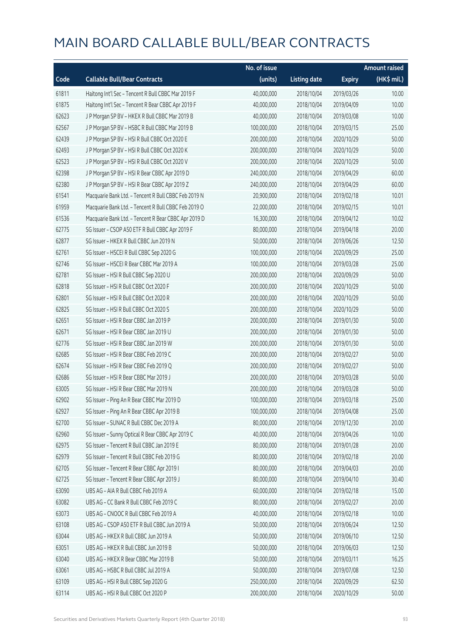|       |                                                      | No. of issue |                     |               | <b>Amount raised</b> |
|-------|------------------------------------------------------|--------------|---------------------|---------------|----------------------|
| Code  | <b>Callable Bull/Bear Contracts</b>                  | (units)      | <b>Listing date</b> | <b>Expiry</b> | (HK\$ mil.)          |
| 61811 | Haitong Int'l Sec - Tencent R Bull CBBC Mar 2019 F   | 40,000,000   | 2018/10/04          | 2019/03/26    | 10.00                |
| 61875 | Haitong Int'l Sec - Tencent R Bear CBBC Apr 2019 F   | 40,000,000   | 2018/10/04          | 2019/04/09    | 10.00                |
| 62623 | J P Morgan SP BV - HKEX R Bull CBBC Mar 2019 B       | 40,000,000   | 2018/10/04          | 2019/03/08    | 10.00                |
| 62567 | J P Morgan SP BV - HSBC R Bull CBBC Mar 2019 B       | 100,000,000  | 2018/10/04          | 2019/03/15    | 25.00                |
| 62439 | J P Morgan SP BV - HSI R Bull CBBC Oct 2020 E        | 200,000,000  | 2018/10/04          | 2020/10/29    | 50.00                |
| 62493 | J P Morgan SP BV - HSI R Bull CBBC Oct 2020 K        | 200,000,000  | 2018/10/04          | 2020/10/29    | 50.00                |
| 62523 | J P Morgan SP BV - HSI R Bull CBBC Oct 2020 V        | 200,000,000  | 2018/10/04          | 2020/10/29    | 50.00                |
| 62398 | J P Morgan SP BV - HSI R Bear CBBC Apr 2019 D        | 240,000,000  | 2018/10/04          | 2019/04/29    | 60.00                |
| 62380 | J P Morgan SP BV - HSI R Bear CBBC Apr 2019 Z        | 240,000,000  | 2018/10/04          | 2019/04/29    | 60.00                |
| 61541 | Macquarie Bank Ltd. - Tencent R Bull CBBC Feb 2019 N | 20,900,000   | 2018/10/04          | 2019/02/18    | 10.01                |
| 61959 | Macquarie Bank Ltd. - Tencent R Bull CBBC Feb 2019 O | 22,000,000   | 2018/10/04          | 2019/02/15    | 10.01                |
| 61536 | Macquarie Bank Ltd. - Tencent R Bear CBBC Apr 2019 D | 16,300,000   | 2018/10/04          | 2019/04/12    | 10.02                |
| 62775 | SG Issuer - CSOP A50 ETF R Bull CBBC Apr 2019 F      | 80,000,000   | 2018/10/04          | 2019/04/18    | 20.00                |
| 62877 | SG Issuer - HKEX R Bull CBBC Jun 2019 N              | 50,000,000   | 2018/10/04          | 2019/06/26    | 12.50                |
| 62761 | SG Issuer - HSCEI R Bull CBBC Sep 2020 G             | 100,000,000  | 2018/10/04          | 2020/09/29    | 25.00                |
| 62746 | SG Issuer - HSCEI R Bear CBBC Mar 2019 A             | 100,000,000  | 2018/10/04          | 2019/03/28    | 25.00                |
| 62781 | SG Issuer - HSI R Bull CBBC Sep 2020 U               | 200,000,000  | 2018/10/04          | 2020/09/29    | 50.00                |
| 62818 | SG Issuer - HSI R Bull CBBC Oct 2020 F               | 200,000,000  | 2018/10/04          | 2020/10/29    | 50.00                |
| 62801 | SG Issuer - HSI R Bull CBBC Oct 2020 R               | 200,000,000  | 2018/10/04          | 2020/10/29    | 50.00                |
| 62825 | SG Issuer - HSI R Bull CBBC Oct 2020 S               | 200,000,000  | 2018/10/04          | 2020/10/29    | 50.00                |
| 62651 | SG Issuer - HSI R Bear CBBC Jan 2019 P               | 200,000,000  | 2018/10/04          | 2019/01/30    | 50.00                |
| 62671 | SG Issuer - HSI R Bear CBBC Jan 2019 U               | 200,000,000  | 2018/10/04          | 2019/01/30    | 50.00                |
| 62776 | SG Issuer - HSI R Bear CBBC Jan 2019 W               | 200,000,000  | 2018/10/04          | 2019/01/30    | 50.00                |
| 62685 | SG Issuer - HSI R Bear CBBC Feb 2019 C               | 200,000,000  | 2018/10/04          | 2019/02/27    | 50.00                |
| 62674 | SG Issuer - HSI R Bear CBBC Feb 2019 Q               | 200,000,000  | 2018/10/04          | 2019/02/27    | 50.00                |
| 62686 | SG Issuer - HSI R Bear CBBC Mar 2019 J               | 200,000,000  | 2018/10/04          | 2019/03/28    | 50.00                |
| 63005 | SG Issuer - HSI R Bear CBBC Mar 2019 N               | 200,000,000  | 2018/10/04          | 2019/03/28    | 50.00                |
| 62902 | SG Issuer - Ping An R Bear CBBC Mar 2019 D           | 100,000,000  | 2018/10/04          | 2019/03/18    | 25.00                |
| 62927 | SG Issuer - Ping An R Bear CBBC Apr 2019 B           | 100,000,000  | 2018/10/04          | 2019/04/08    | 25.00                |
| 62700 | SG Issuer - SUNAC R Bull CBBC Dec 2019 A             | 80,000,000   | 2018/10/04          | 2019/12/30    | 20.00                |
| 62960 | SG Issuer - Sunny Optical R Bear CBBC Apr 2019 C     | 40,000,000   | 2018/10/04          | 2019/04/26    | 10.00                |
| 62975 | SG Issuer - Tencent R Bull CBBC Jan 2019 E           | 80,000,000   | 2018/10/04          | 2019/01/28    | 20.00                |
| 62979 | SG Issuer - Tencent R Bull CBBC Feb 2019 G           | 80,000,000   | 2018/10/04          | 2019/02/18    | 20.00                |
| 62705 | SG Issuer - Tencent R Bear CBBC Apr 2019 I           | 80,000,000   | 2018/10/04          | 2019/04/03    | 20.00                |
| 62725 | SG Issuer - Tencent R Bear CBBC Apr 2019 J           | 80,000,000   | 2018/10/04          | 2019/04/10    | 30.40                |
| 63090 | UBS AG - AIA R Bull CBBC Feb 2019 A                  | 60,000,000   | 2018/10/04          | 2019/02/18    | 15.00                |
| 63082 | UBS AG - CC Bank R Bull CBBC Feb 2019 C              | 80,000,000   | 2018/10/04          | 2019/02/27    | 20.00                |
| 63073 | UBS AG - CNOOC R Bull CBBC Feb 2019 A                | 40,000,000   | 2018/10/04          | 2019/02/18    | 10.00                |
| 63108 | UBS AG - CSOP A50 ETF R Bull CBBC Jun 2019 A         | 50,000,000   | 2018/10/04          | 2019/06/24    | 12.50                |
| 63044 | UBS AG - HKEX R Bull CBBC Jun 2019 A                 | 50,000,000   | 2018/10/04          | 2019/06/10    | 12.50                |
| 63051 | UBS AG - HKEX R Bull CBBC Jun 2019 B                 | 50,000,000   | 2018/10/04          | 2019/06/03    | 12.50                |
| 63040 | UBS AG - HKEX R Bear CBBC Mar 2019 B                 | 50,000,000   | 2018/10/04          | 2019/03/11    | 16.25                |
| 63061 | UBS AG - HSBC R Bull CBBC Jul 2019 A                 | 50,000,000   | 2018/10/04          | 2019/07/08    | 12.50                |
| 63109 | UBS AG - HSI R Bull CBBC Sep 2020 G                  | 250,000,000  | 2018/10/04          | 2020/09/29    | 62.50                |
| 63114 | UBS AG - HSI R Bull CBBC Oct 2020 P                  | 200,000,000  | 2018/10/04          | 2020/10/29    | 50.00                |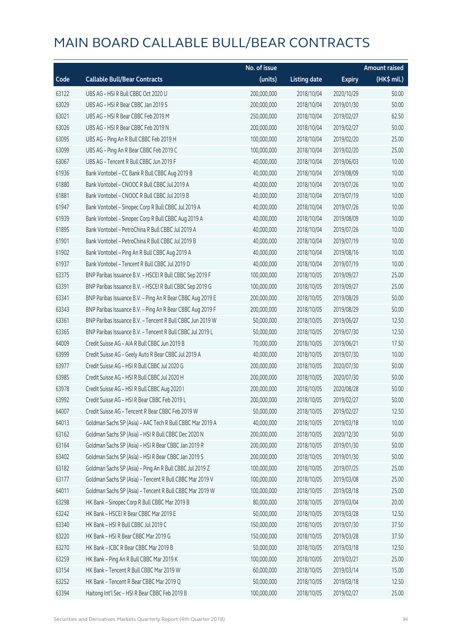|       |                                                            | No. of issue |                     |               | <b>Amount raised</b> |
|-------|------------------------------------------------------------|--------------|---------------------|---------------|----------------------|
| Code  | <b>Callable Bull/Bear Contracts</b>                        | (units)      | <b>Listing date</b> | <b>Expiry</b> | (HK\$ mil.)          |
| 63122 | UBS AG - HSI R Bull CBBC Oct 2020 U                        | 200,000,000  | 2018/10/04          | 2020/10/29    | 50.00                |
| 63029 | UBS AG - HSI R Bear CBBC Jan 2019 S                        | 200,000,000  | 2018/10/04          | 2019/01/30    | 50.00                |
| 63021 | UBS AG - HSI R Bear CBBC Feb 2019 M                        | 250,000,000  | 2018/10/04          | 2019/02/27    | 62.50                |
| 63026 | UBS AG - HSI R Bear CBBC Feb 2019 N                        | 200,000,000  | 2018/10/04          | 2019/02/27    | 50.00                |
| 63095 | UBS AG - Ping An R Bull CBBC Feb 2019 H                    | 100,000,000  | 2018/10/04          | 2019/02/20    | 25.00                |
| 63099 | UBS AG - Ping An R Bear CBBC Feb 2019 C                    | 100,000,000  | 2018/10/04          | 2019/02/20    | 25.00                |
| 63067 | UBS AG - Tencent R Bull CBBC Jun 2019 F                    | 40,000,000   | 2018/10/04          | 2019/06/03    | 10.00                |
| 61936 | Bank Vontobel - CC Bank R Bull CBBC Aug 2019 B             | 40,000,000   | 2018/10/04          | 2019/08/09    | 10.00                |
| 61880 | Bank Vontobel - CNOOC R Bull CBBC Jul 2019 A               | 40,000,000   | 2018/10/04          | 2019/07/26    | 10.00                |
| 61881 | Bank Vontobel - CNOOC R Bull CBBC Jul 2019 B               | 40,000,000   | 2018/10/04          | 2019/07/19    | 10.00                |
| 61947 | Bank Vontobel - Sinopec Corp R Bull CBBC Jul 2019 A        | 40,000,000   | 2018/10/04          | 2019/07/26    | 10.00                |
| 61939 | Bank Vontobel - Sinopec Corp R Bull CBBC Aug 2019 A        | 40,000,000   | 2018/10/04          | 2019/08/09    | 10.00                |
| 61895 | Bank Vontobel - PetroChina R Bull CBBC Jul 2019 A          | 40,000,000   | 2018/10/04          | 2019/07/26    | 10.00                |
| 61901 | Bank Vontobel - PetroChina R Bull CBBC Jul 2019 B          | 40,000,000   | 2018/10/04          | 2019/07/19    | 10.00                |
| 61902 | Bank Vontobel - Ping An R Bull CBBC Aug 2019 A             | 40,000,000   | 2018/10/04          | 2019/08/16    | 10.00                |
| 61937 | Bank Vontobel - Tencent R Bull CBBC Jul 2019 D             | 40,000,000   | 2018/10/04          | 2019/07/19    | 10.00                |
| 63375 | BNP Paribas Issuance B.V. - HSCEI R Bull CBBC Sep 2019 F   | 100,000,000  | 2018/10/05          | 2019/09/27    | 25.00                |
| 63391 | BNP Paribas Issuance B.V. - HSCEI R Bull CBBC Sep 2019 G   | 100,000,000  | 2018/10/05          | 2019/09/27    | 25.00                |
| 63341 | BNP Paribas Issuance B.V. - Ping An R Bear CBBC Aug 2019 E | 200,000,000  | 2018/10/05          | 2019/08/29    | 50.00                |
| 63343 | BNP Paribas Issuance B.V. - Ping An R Bear CBBC Aug 2019 F | 200,000,000  | 2018/10/05          | 2019/08/29    | 50.00                |
| 63361 | BNP Paribas Issuance B.V. - Tencent R Bull CBBC Jun 2019 W | 50,000,000   | 2018/10/05          | 2019/06/27    | 12.50                |
| 63365 | BNP Paribas Issuance B.V. - Tencent R Bull CBBC Jul 2019 L | 50,000,000   | 2018/10/05          | 2019/07/30    | 12.50                |
| 64009 | Credit Suisse AG - AIA R Bull CBBC Jun 2019 B              | 70,000,000   | 2018/10/05          | 2019/06/21    | 17.50                |
| 63999 | Credit Suisse AG - Geely Auto R Bear CBBC Jul 2019 A       | 40,000,000   | 2018/10/05          | 2019/07/30    | 10.00                |
| 63977 | Credit Suisse AG - HSI R Bull CBBC Jul 2020 G              | 200,000,000  | 2018/10/05          | 2020/07/30    | 50.00                |
| 63985 | Credit Suisse AG - HSI R Bull CBBC Jul 2020 H              | 200,000,000  | 2018/10/05          | 2020/07/30    | 50.00                |
| 63978 | Credit Suisse AG - HSI R Bull CBBC Aug 2020 I              | 200,000,000  | 2018/10/05          | 2020/08/28    | 50.00                |
| 63992 | Credit Suisse AG - HSI R Bear CBBC Feb 2019 L              | 200,000,000  | 2018/10/05          | 2019/02/27    | 50.00                |
| 64007 | Credit Suisse AG - Tencent R Bear CBBC Feb 2019 W          | 50,000,000   | 2018/10/05          | 2019/02/27    | 12.50                |
| 64013 | Goldman Sachs SP (Asia) - AAC Tech R Bull CBBC Mar 2019 A  | 40,000,000   | 2018/10/05          | 2019/03/18    | 10.00                |
| 63162 | Goldman Sachs SP (Asia) - HSI R Bull CBBC Dec 2020 N       | 200,000,000  | 2018/10/05          | 2020/12/30    | 50.00                |
| 63164 | Goldman Sachs SP (Asia) - HSI R Bear CBBC Jan 2019 R       | 200,000,000  | 2018/10/05          | 2019/01/30    | 50.00                |
| 63402 | Goldman Sachs SP (Asia) - HSI R Bear CBBC Jan 2019 S       | 200,000,000  | 2018/10/05          | 2019/01/30    | 50.00                |
| 63182 | Goldman Sachs SP (Asia) - Ping An R Bull CBBC Jul 2019 Z   | 100,000,000  | 2018/10/05          | 2019/07/25    | 25.00                |
| 63177 | Goldman Sachs SP (Asia) - Tencent R Bull CBBC Mar 2019 V   | 100,000,000  | 2018/10/05          | 2019/03/08    | 25.00                |
| 64011 | Goldman Sachs SP (Asia) - Tencent R Bull CBBC Mar 2019 W   | 100,000,000  | 2018/10/05          | 2019/03/18    | 25.00                |
| 63298 | HK Bank - Sinopec Corp R Bull CBBC Mar 2019 B              | 80,000,000   | 2018/10/05          | 2019/03/04    | 20.00                |
| 63242 | HK Bank - HSCEI R Bear CBBC Mar 2019 E                     | 50,000,000   | 2018/10/05          | 2019/03/28    | 12.50                |
| 63340 | HK Bank - HSI R Bull CBBC Jul 2019 C                       | 150,000,000  | 2018/10/05          | 2019/07/30    | 37.50                |
| 63220 | HK Bank - HSI R Bear CBBC Mar 2019 G                       | 150,000,000  | 2018/10/05          | 2019/03/28    | 37.50                |
| 63270 | HK Bank - ICBC R Bear CBBC Mar 2019 B                      | 50,000,000   | 2018/10/05          | 2019/03/18    | 12.50                |
| 63259 | HK Bank - Ping An R Bull CBBC Mar 2019 K                   | 100,000,000  | 2018/10/05          | 2019/03/21    | 25.00                |
| 63154 | HK Bank - Tencent R Bull CBBC Mar 2019 W                   | 60,000,000   | 2018/10/05          | 2019/03/14    | 15.00                |
| 63252 | HK Bank - Tencent R Bear CBBC Mar 2019 Q                   | 50,000,000   | 2018/10/05          | 2019/03/18    | 12.50                |
| 63394 | Haitong Int'l Sec - HSI R Bear CBBC Feb 2019 B             | 100,000,000  | 2018/10/05          | 2019/02/27    | 25.00                |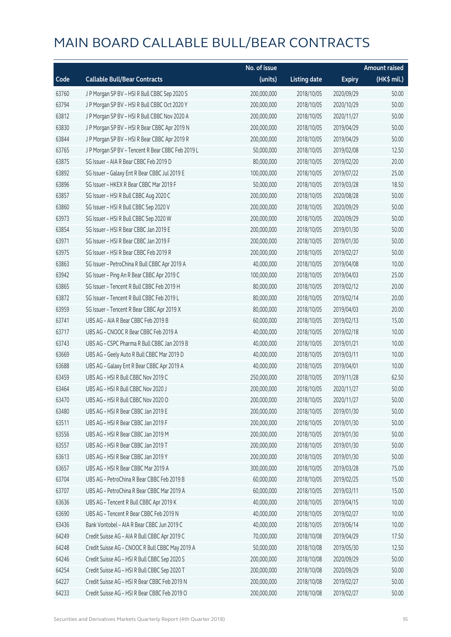|       |                                                   | No. of issue |                     |               | <b>Amount raised</b> |
|-------|---------------------------------------------------|--------------|---------------------|---------------|----------------------|
| Code  | <b>Callable Bull/Bear Contracts</b>               | (units)      | <b>Listing date</b> | <b>Expiry</b> | (HK\$ mil.)          |
| 63760 | J P Morgan SP BV - HSI R Bull CBBC Sep 2020 S     | 200,000,000  | 2018/10/05          | 2020/09/29    | 50.00                |
| 63794 | J P Morgan SP BV - HSI R Bull CBBC Oct 2020 Y     | 200,000,000  | 2018/10/05          | 2020/10/29    | 50.00                |
| 63812 | J P Morgan SP BV - HSI R Bull CBBC Nov 2020 A     | 200,000,000  | 2018/10/05          | 2020/11/27    | 50.00                |
| 63830 | J P Morgan SP BV - HSI R Bear CBBC Apr 2019 N     | 200,000,000  | 2018/10/05          | 2019/04/29    | 50.00                |
| 63844 | JP Morgan SP BV - HSIR Bear CBBC Apr 2019 R       | 200,000,000  | 2018/10/05          | 2019/04/29    | 50.00                |
| 63765 | J P Morgan SP BV - Tencent R Bear CBBC Feb 2019 L | 50,000,000   | 2018/10/05          | 2019/02/08    | 12.50                |
| 63875 | SG Issuer - AIA R Bear CBBC Feb 2019 D            | 80,000,000   | 2018/10/05          | 2019/02/20    | 20.00                |
| 63892 | SG Issuer - Galaxy Ent R Bear CBBC Jul 2019 E     | 100,000,000  | 2018/10/05          | 2019/07/22    | 25.00                |
| 63896 | SG Issuer - HKEX R Bear CBBC Mar 2019 F           | 50,000,000   | 2018/10/05          | 2019/03/28    | 18.50                |
| 63857 | SG Issuer - HSI R Bull CBBC Aug 2020 C            | 200,000,000  | 2018/10/05          | 2020/08/28    | 50.00                |
| 63860 | SG Issuer - HSI R Bull CBBC Sep 2020 V            | 200,000,000  | 2018/10/05          | 2020/09/29    | 50.00                |
| 63973 | SG Issuer - HSI R Bull CBBC Sep 2020 W            | 200,000,000  | 2018/10/05          | 2020/09/29    | 50.00                |
| 63854 | SG Issuer - HSI R Bear CBBC Jan 2019 E            | 200,000,000  | 2018/10/05          | 2019/01/30    | 50.00                |
| 63971 | SG Issuer - HSI R Bear CBBC Jan 2019 F            | 200,000,000  | 2018/10/05          | 2019/01/30    | 50.00                |
| 63975 | SG Issuer - HSI R Bear CBBC Feb 2019 R            | 200,000,000  | 2018/10/05          | 2019/02/27    | 50.00                |
| 63863 | SG Issuer - PetroChina R Bull CBBC Apr 2019 A     | 40,000,000   | 2018/10/05          | 2019/04/08    | 10.00                |
| 63942 | SG Issuer - Ping An R Bear CBBC Apr 2019 C        | 100,000,000  | 2018/10/05          | 2019/04/03    | 25.00                |
| 63865 | SG Issuer - Tencent R Bull CBBC Feb 2019 H        | 80,000,000   | 2018/10/05          | 2019/02/12    | 20.00                |
| 63872 | SG Issuer - Tencent R Bull CBBC Feb 2019 L        | 80,000,000   | 2018/10/05          | 2019/02/14    | 20.00                |
| 63959 | SG Issuer - Tencent R Bear CBBC Apr 2019 X        | 80,000,000   | 2018/10/05          | 2019/04/03    | 20.00                |
| 63741 | UBS AG - AIA R Bear CBBC Feb 2019 B               | 60,000,000   | 2018/10/05          | 2019/02/13    | 15.00                |
| 63717 | UBS AG - CNOOC R Bear CBBC Feb 2019 A             | 40,000,000   | 2018/10/05          | 2019/02/18    | 10.00                |
| 63743 | UBS AG - CSPC Pharma R Bull CBBC Jan 2019 B       | 40,000,000   | 2018/10/05          | 2019/01/21    | 10.00                |
| 63669 | UBS AG - Geely Auto R Bull CBBC Mar 2019 D        | 40,000,000   | 2018/10/05          | 2019/03/11    | 10.00                |
| 63688 | UBS AG - Galaxy Ent R Bear CBBC Apr 2019 A        | 40,000,000   | 2018/10/05          | 2019/04/01    | 10.00                |
| 63459 | UBS AG - HSI R Bull CBBC Nov 2019 C               | 250,000,000  | 2018/10/05          | 2019/11/28    | 62.50                |
| 63464 | UBS AG - HSI R Bull CBBC Nov 2020 J               | 200,000,000  | 2018/10/05          | 2020/11/27    | 50.00                |
| 63470 | UBS AG - HSLR Bull CBBC Nov 2020 O                | 200,000,000  | 2018/10/05          | 2020/11/27    | 50.00                |
| 63480 | UBS AG - HSI R Bear CBBC Jan 2019 E               | 200,000,000  | 2018/10/05          | 2019/01/30    | 50.00                |
| 63511 | UBS AG - HSI R Bear CBBC Jan 2019 F               | 200,000,000  | 2018/10/05          | 2019/01/30    | 50.00                |
| 63556 | UBS AG - HSI R Bear CBBC Jan 2019 M               | 200,000,000  | 2018/10/05          | 2019/01/30    | 50.00                |
| 63557 | UBS AG - HSI R Bear CBBC Jan 2019 T               | 200,000,000  | 2018/10/05          | 2019/01/30    | 50.00                |
| 63613 | UBS AG - HSI R Bear CBBC Jan 2019 Y               | 200,000,000  | 2018/10/05          | 2019/01/30    | 50.00                |
| 63657 | UBS AG - HSI R Bear CBBC Mar 2019 A               | 300,000,000  | 2018/10/05          | 2019/03/28    | 75.00                |
| 63704 | UBS AG - PetroChina R Bear CBBC Feb 2019 B        | 60,000,000   | 2018/10/05          | 2019/02/25    | 15.00                |
| 63707 | UBS AG - PetroChina R Bear CBBC Mar 2019 A        | 60,000,000   | 2018/10/05          | 2019/03/11    | 15.00                |
| 63636 | UBS AG - Tencent R Bull CBBC Apr 2019 K           | 40,000,000   | 2018/10/05          | 2019/04/15    | 10.00                |
| 63690 | UBS AG - Tencent R Bear CBBC Feb 2019 N           | 40,000,000   | 2018/10/05          | 2019/02/27    | 10.00                |
| 63436 | Bank Vontobel - AIA R Bear CBBC Jun 2019 C        | 40,000,000   | 2018/10/05          | 2019/06/14    | 10.00                |
| 64249 | Credit Suisse AG - AIA R Bull CBBC Apr 2019 C     | 70,000,000   | 2018/10/08          | 2019/04/29    | 17.50                |
| 64248 | Credit Suisse AG - CNOOC R Bull CBBC May 2019 A   | 50,000,000   | 2018/10/08          | 2019/05/30    | 12.50                |
| 64246 | Credit Suisse AG - HSI R Bull CBBC Sep 2020 S     | 200,000,000  | 2018/10/08          | 2020/09/29    | 50.00                |
| 64254 | Credit Suisse AG - HSI R Bull CBBC Sep 2020 T     | 200,000,000  | 2018/10/08          | 2020/09/29    | 50.00                |
| 64227 | Credit Suisse AG - HSI R Bear CBBC Feb 2019 N     | 200,000,000  | 2018/10/08          | 2019/02/27    | 50.00                |
| 64233 | Credit Suisse AG - HSI R Bear CBBC Feb 2019 O     | 200,000,000  | 2018/10/08          | 2019/02/27    | 50.00                |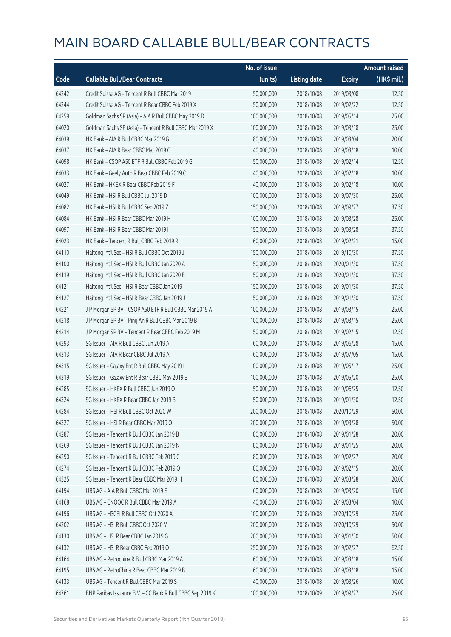|       |                                                            | No. of issue |                     |               | <b>Amount raised</b> |
|-------|------------------------------------------------------------|--------------|---------------------|---------------|----------------------|
| Code  | <b>Callable Bull/Bear Contracts</b>                        | (units)      | <b>Listing date</b> | <b>Expiry</b> | $(HK\$ mil.)         |
| 64242 | Credit Suisse AG - Tencent R Bull CBBC Mar 2019 I          | 50,000,000   | 2018/10/08          | 2019/03/08    | 12.50                |
| 64244 | Credit Suisse AG - Tencent R Bear CBBC Feb 2019 X          | 50,000,000   | 2018/10/08          | 2019/02/22    | 12.50                |
| 64259 | Goldman Sachs SP (Asia) - AIA R Bull CBBC May 2019 D       | 100,000,000  | 2018/10/08          | 2019/05/14    | 25.00                |
| 64020 | Goldman Sachs SP (Asia) - Tencent R Bull CBBC Mar 2019 X   | 100,000,000  | 2018/10/08          | 2019/03/18    | 25.00                |
| 64039 | HK Bank - AIA R Bull CBBC Mar 2019 G                       | 80,000,000   | 2018/10/08          | 2019/03/04    | 20.00                |
| 64037 | HK Bank - AIA R Bear CBBC Mar 2019 C                       | 40,000,000   | 2018/10/08          | 2019/03/18    | 10.00                |
| 64098 | HK Bank - CSOP A50 ETF R Bull CBBC Feb 2019 G              | 50,000,000   | 2018/10/08          | 2019/02/14    | 12.50                |
| 64033 | HK Bank - Geely Auto R Bear CBBC Feb 2019 C                | 40,000,000   | 2018/10/08          | 2019/02/18    | 10.00                |
| 64027 | HK Bank - HKEX R Bear CBBC Feb 2019 F                      | 40,000,000   | 2018/10/08          | 2019/02/18    | 10.00                |
| 64049 | HK Bank - HSI R Bull CBBC Jul 2019 D                       | 100,000,000  | 2018/10/08          | 2019/07/30    | 25.00                |
| 64082 | HK Bank - HSI R Bull CBBC Sep 2019 Z                       | 150,000,000  | 2018/10/08          | 2019/09/27    | 37.50                |
| 64084 | HK Bank - HSI R Bear CBBC Mar 2019 H                       | 100,000,000  | 2018/10/08          | 2019/03/28    | 25.00                |
| 64097 | HK Bank - HSI R Bear CBBC Mar 2019 I                       | 150,000,000  | 2018/10/08          | 2019/03/28    | 37.50                |
| 64023 | HK Bank - Tencent R Bull CBBC Feb 2019 R                   | 60,000,000   | 2018/10/08          | 2019/02/21    | 15.00                |
| 64110 | Haitong Int'l Sec - HSI R Bull CBBC Oct 2019 J             | 150,000,000  | 2018/10/08          | 2019/10/30    | 37.50                |
| 64100 | Haitong Int'l Sec - HSI R Bull CBBC Jan 2020 A             | 150,000,000  | 2018/10/08          | 2020/01/30    | 37.50                |
| 64119 | Haitong Int'l Sec - HSI R Bull CBBC Jan 2020 B             | 150,000,000  | 2018/10/08          | 2020/01/30    | 37.50                |
| 64121 | Haitong Int'l Sec - HSI R Bear CBBC Jan 2019 I             | 150,000,000  | 2018/10/08          | 2019/01/30    | 37.50                |
| 64127 | Haitong Int'l Sec - HSI R Bear CBBC Jan 2019 J             | 150,000,000  | 2018/10/08          | 2019/01/30    | 37.50                |
| 64221 | J P Morgan SP BV - CSOP A50 ETF R Bull CBBC Mar 2019 A     | 100,000,000  | 2018/10/08          | 2019/03/15    | 25.00                |
| 64218 | J P Morgan SP BV - Ping An R Bull CBBC Mar 2019 B          | 100,000,000  | 2018/10/08          | 2019/03/15    | 25.00                |
| 64214 | J P Morgan SP BV - Tencent R Bear CBBC Feb 2019 M          | 50,000,000   | 2018/10/08          | 2019/02/15    | 12.50                |
| 64293 | SG Issuer - AIA R Bull CBBC Jun 2019 A                     | 60,000,000   | 2018/10/08          | 2019/06/28    | 15.00                |
| 64313 | SG Issuer - AIA R Bear CBBC Jul 2019 A                     | 60,000,000   | 2018/10/08          | 2019/07/05    | 15.00                |
| 64315 | SG Issuer - Galaxy Ent R Bull CBBC May 2019 I              | 100,000,000  | 2018/10/08          | 2019/05/17    | 25.00                |
| 64319 | SG Issuer - Galaxy Ent R Bear CBBC May 2019 B              | 100,000,000  | 2018/10/08          | 2019/05/20    | 25.00                |
| 64285 | SG Issuer - HKEX R Bull CBBC Jun 2019 O                    | 50,000,000   | 2018/10/08          | 2019/06/25    | 12.50                |
| 64324 | SG Issuer - HKEX R Bear CBBC Jan 2019 B                    | 50,000,000   | 2018/10/08          | 2019/01/30    | 12.50                |
| 64284 | SG Issuer - HSI R Bull CBBC Oct 2020 W                     | 200,000,000  | 2018/10/08          | 2020/10/29    | 50.00                |
| 64327 | SG Issuer - HSI R Bear CBBC Mar 2019 O                     | 200,000,000  | 2018/10/08          | 2019/03/28    | 50.00                |
| 64287 | SG Issuer - Tencent R Bull CBBC Jan 2019 B                 | 80,000,000   | 2018/10/08          | 2019/01/28    | 20.00                |
| 64269 | SG Issuer - Tencent R Bull CBBC Jan 2019 N                 | 80,000,000   | 2018/10/08          | 2019/01/25    | 20.00                |
| 64290 | SG Issuer - Tencent R Bull CBBC Feb 2019 C                 | 80,000,000   | 2018/10/08          | 2019/02/27    | 20.00                |
| 64274 | SG Issuer - Tencent R Bull CBBC Feb 2019 Q                 | 80,000,000   | 2018/10/08          | 2019/02/15    | 20.00                |
| 64325 | SG Issuer - Tencent R Bear CBBC Mar 2019 H                 | 80,000,000   | 2018/10/08          | 2019/03/28    | 20.00                |
| 64194 | UBS AG - AIA R Bull CBBC Mar 2019 E                        | 60,000,000   | 2018/10/08          | 2019/03/20    | 15.00                |
| 64168 | UBS AG - CNOOC R Bull CBBC Mar 2019 A                      | 40,000,000   | 2018/10/08          | 2019/03/04    | 10.00                |
| 64196 | UBS AG - HSCEI R Bull CBBC Oct 2020 A                      | 100,000,000  | 2018/10/08          | 2020/10/29    | 25.00                |
| 64202 | UBS AG - HSI R Bull CBBC Oct 2020 V                        | 200,000,000  | 2018/10/08          | 2020/10/29    | 50.00                |
| 64130 | UBS AG - HSI R Bear CBBC Jan 2019 G                        | 200,000,000  | 2018/10/08          | 2019/01/30    | 50.00                |
| 64132 | UBS AG - HSI R Bear CBBC Feb 2019 O                        | 250,000,000  | 2018/10/08          | 2019/02/27    | 62.50                |
| 64164 | UBS AG - Petrochina R Bull CBBC Mar 2019 A                 | 60,000,000   | 2018/10/08          | 2019/03/18    | 15.00                |
| 64195 | UBS AG - PetroChina R Bear CBBC Mar 2019 B                 | 60,000,000   | 2018/10/08          | 2019/03/18    | 15.00                |
| 64133 | UBS AG - Tencent R Bull CBBC Mar 2019 S                    | 40,000,000   | 2018/10/08          | 2019/03/26    | 10.00                |
| 64761 | BNP Paribas Issuance B.V. - CC Bank R Bull CBBC Sep 2019 K | 100,000,000  | 2018/10/09          | 2019/09/27    | 25.00                |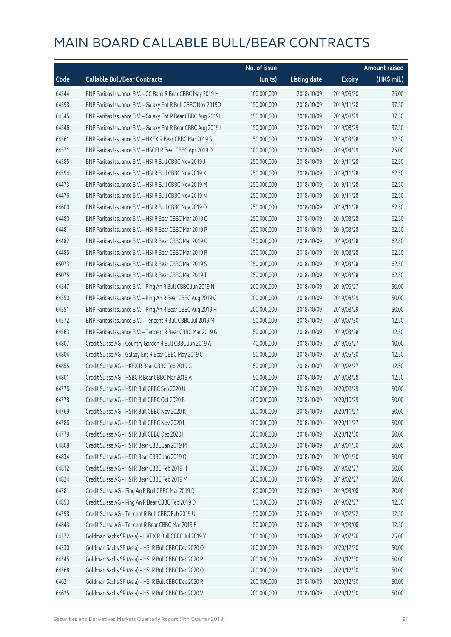|       |                                                              | No. of issue |                     |               | Amount raised |
|-------|--------------------------------------------------------------|--------------|---------------------|---------------|---------------|
| Code  | <b>Callable Bull/Bear Contracts</b>                          | (units)      | <b>Listing date</b> | <b>Expiry</b> | (HK\$ mil.)   |
| 64544 | BNP Paribas Issuance B.V. - CC Bank R Bear CBBC May 2019 H   | 100,000,000  | 2018/10/09          | 2019/05/30    | 25.00         |
| 64598 | BNP Paribas Issuance B.V. - Galaxy Ent R Bull CBBC Nov 2019O | 150,000,000  | 2018/10/09          | 2019/11/28    | 37.50         |
| 64545 | BNP Paribas Issuance B.V. - Galaxy Ent R Bear CBBC Aug 2019I | 150,000,000  | 2018/10/09          | 2019/08/29    | 37.50         |
| 64546 | BNP Paribas Issuance B.V. - Galaxy Ent R Bear CBBC Aug 2019J | 150,000,000  | 2018/10/09          | 2019/08/29    | 37.50         |
| 64561 | BNP Paribas Issuance B.V. - HKEX R Bear CBBC Mar 2019 S      | 50,000,000   | 2018/10/09          | 2019/03/28    | 12.50         |
| 64571 | BNP Paribas Issuance B.V. - HSCEI R Bear CBBC Apr 2019 D     | 100,000,000  | 2018/10/09          | 2019/04/29    | 25.00         |
| 64585 | BNP Paribas Issuance B.V. - HSI R Bull CBBC Nov 2019 J       | 250,000,000  | 2018/10/09          | 2019/11/28    | 62.50         |
| 64594 | BNP Paribas Issuance B.V. - HSI R Bull CBBC Nov 2019 K       | 250,000,000  | 2018/10/09          | 2019/11/28    | 62.50         |
| 64473 | BNP Paribas Issuance B.V. - HSI R Bull CBBC Nov 2019 M       | 250,000,000  | 2018/10/09          | 2019/11/28    | 62.50         |
| 64476 | BNP Paribas Issuance B.V. - HSI R Bull CBBC Nov 2019 N       | 250,000,000  | 2018/10/09          | 2019/11/28    | 62.50         |
| 64600 | BNP Paribas Issuance B.V. - HSI R Bull CBBC Nov 2019 O       | 250,000,000  | 2018/10/09          | 2019/11/28    | 62.50         |
| 64480 | BNP Paribas Issuance B.V. - HSI R Bear CBBC Mar 2019 O       | 250,000,000  | 2018/10/09          | 2019/03/28    | 62.50         |
| 64481 | BNP Paribas Issuance B.V. - HSI R Bear CBBC Mar 2019 P       | 250,000,000  | 2018/10/09          | 2019/03/28    | 62.50         |
| 64482 | BNP Paribas Issuance B.V. - HSI R Bear CBBC Mar 2019 Q       | 250,000,000  | 2018/10/09          | 2019/03/28    | 62.50         |
| 64485 | BNP Paribas Issuance B.V. - HSI R Bear CBBC Mar 2019 R       | 250,000,000  | 2018/10/09          | 2019/03/28    | 62.50         |
| 65073 | BNP Paribas Issuance B.V. - HSI R Bear CBBC Mar 2019 S       | 250,000,000  | 2018/10/09          | 2019/03/28    | 62.50         |
| 65075 | BNP Paribas Issuance B.V. - HSI R Bear CBBC Mar 2019 T       | 250,000,000  | 2018/10/09          | 2019/03/28    | 62.50         |
| 64547 | BNP Paribas Issuance B.V. - Ping An R Bull CBBC Jun 2019 N   | 200,000,000  | 2018/10/09          | 2019/06/27    | 50.00         |
| 64550 | BNP Paribas Issuance B.V. - Ping An R Bear CBBC Aug 2019 G   | 200,000,000  | 2018/10/09          | 2019/08/29    | 50.00         |
| 64551 | BNP Paribas Issuance B.V. - Ping An R Bear CBBC Aug 2019 H   | 200,000,000  | 2018/10/09          | 2019/08/29    | 50.00         |
| 64572 | BNP Paribas Issuance B.V. - Tencent R Bull CBBC Jul 2019 M   | 50,000,000   | 2018/10/09          | 2019/07/30    | 12.50         |
| 64563 | BNP Paribas Issuance B.V. - Tencent R Bear CBBC Mar 2019 G   | 50,000,000   | 2018/10/09          | 2019/03/28    | 12.50         |
| 64807 | Credit Suisse AG - Country Garden R Bull CBBC Jun 2019 A     | 40,000,000   | 2018/10/09          | 2019/06/27    | 10.00         |
| 64804 | Credit Suisse AG - Galaxy Ent R Bear CBBC May 2019 C         | 50,000,000   | 2018/10/09          | 2019/05/30    | 12.50         |
| 64855 | Credit Suisse AG - HKEX R Bear CBBC Feb 2019 G               | 50,000,000   | 2018/10/09          | 2019/02/27    | 12.50         |
| 64801 | Credit Suisse AG - HSBC R Bear CBBC Mar 2019 A               | 50,000,000   | 2018/10/09          | 2019/03/28    | 12.50         |
| 64776 | Credit Suisse AG - HSI R Bull CBBC Sep 2020 U                | 200,000,000  | 2018/10/09          | 2020/09/29    | 50.00         |
| 64778 | Credit Suisse AG - HSI R Bull CBBC Oct 2020 B                | 200,000,000  | 2018/10/09          | 2020/10/29    | 50.00         |
| 64769 | Credit Suisse AG - HSI R Bull CBBC Nov 2020 K                | 200,000,000  | 2018/10/09          | 2020/11/27    | 50.00         |
| 64786 | Credit Suisse AG - HSI R Bull CBBC Nov 2020 L                | 200,000,000  | 2018/10/09          | 2020/11/27    | 50.00         |
| 64779 | Credit Suisse AG - HSI R Bull CBBC Dec 2020 I                | 200,000,000  | 2018/10/09          | 2020/12/30    | 50.00         |
| 64808 | Credit Suisse AG - HSI R Bear CBBC Jan 2019 M                | 200,000,000  | 2018/10/09          | 2019/01/30    | 50.00         |
| 64834 | Credit Suisse AG - HSI R Bear CBBC Jan 2019 O                | 200,000,000  | 2018/10/09          | 2019/01/30    | 50.00         |
| 64812 | Credit Suisse AG - HSI R Bear CBBC Feb 2019 H                | 200,000,000  | 2018/10/09          | 2019/02/27    | 50.00         |
| 64824 | Credit Suisse AG - HSI R Bear CBBC Feb 2019 M                | 200,000,000  | 2018/10/09          | 2019/02/27    | 50.00         |
| 64781 | Credit Suisse AG - Ping An R Bull CBBC Mar 2019 D            | 80,000,000   | 2018/10/09          | 2019/03/08    | 20.00         |
| 64853 | Credit Suisse AG - Ping An R Bear CBBC Feb 2019 D            | 50,000,000   | 2018/10/09          | 2019/02/27    | 12.50         |
| 64798 | Credit Suisse AG - Tencent R Bull CBBC Feb 2019 U            | 50,000,000   | 2018/10/09          | 2019/02/22    | 12.50         |
| 64843 | Credit Suisse AG - Tencent R Bear CBBC Mar 2019 F            | 50,000,000   | 2018/10/09          | 2019/03/08    | 12.50         |
| 64372 | Goldman Sachs SP (Asia) - HKEX R Bull CBBC Jul 2019 Y        | 100,000,000  | 2018/10/09          | 2019/07/26    | 25.00         |
| 64330 | Goldman Sachs SP (Asia) - HSI R Bull CBBC Dec 2020 O         | 200,000,000  | 2018/10/09          | 2020/12/30    | 50.00         |
| 64345 | Goldman Sachs SP (Asia) - HSI R Bull CBBC Dec 2020 P         | 200,000,000  | 2018/10/09          | 2020/12/30    | 50.00         |
| 64368 | Goldman Sachs SP (Asia) - HSI R Bull CBBC Dec 2020 Q         | 200,000,000  | 2018/10/09          | 2020/12/30    | 50.00         |
| 64621 | Goldman Sachs SP (Asia) - HSI R Bull CBBC Dec 2020 R         | 200,000,000  | 2018/10/09          | 2020/12/30    | 50.00         |
| 64625 | Goldman Sachs SP (Asia) - HSI R Bull CBBC Dec 2020 V         | 200,000,000  | 2018/10/09          | 2020/12/30    | 50.00         |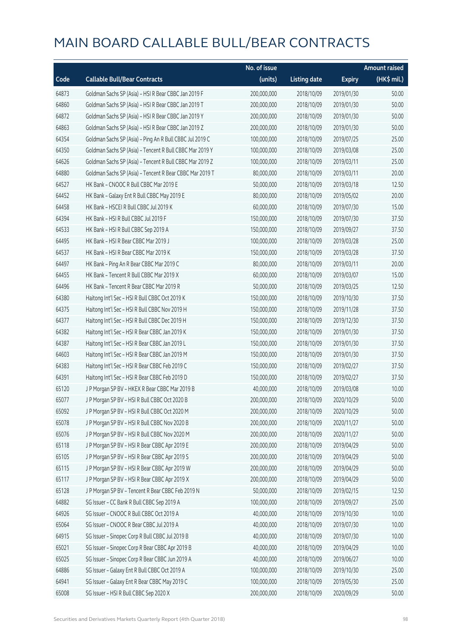|       |                                                          | No. of issue |                     |               | <b>Amount raised</b> |
|-------|----------------------------------------------------------|--------------|---------------------|---------------|----------------------|
| Code  | <b>Callable Bull/Bear Contracts</b>                      | (units)      | <b>Listing date</b> | <b>Expiry</b> | (HK\$ mil.)          |
| 64873 | Goldman Sachs SP (Asia) - HSI R Bear CBBC Jan 2019 F     | 200,000,000  | 2018/10/09          | 2019/01/30    | 50.00                |
| 64860 | Goldman Sachs SP (Asia) - HSI R Bear CBBC Jan 2019 T     | 200,000,000  | 2018/10/09          | 2019/01/30    | 50.00                |
| 64872 | Goldman Sachs SP (Asia) - HSI R Bear CBBC Jan 2019 Y     | 200,000,000  | 2018/10/09          | 2019/01/30    | 50.00                |
| 64863 | Goldman Sachs SP (Asia) - HSI R Bear CBBC Jan 2019 Z     | 200,000,000  | 2018/10/09          | 2019/01/30    | 50.00                |
| 64354 | Goldman Sachs SP (Asia) - Ping An R Bull CBBC Jul 2019 C | 100,000,000  | 2018/10/09          | 2019/07/25    | 25.00                |
| 64350 | Goldman Sachs SP (Asia) - Tencent R Bull CBBC Mar 2019 Y | 100,000,000  | 2018/10/09          | 2019/03/08    | 25.00                |
| 64626 | Goldman Sachs SP (Asia) - Tencent R Bull CBBC Mar 2019 Z | 100,000,000  | 2018/10/09          | 2019/03/11    | 25.00                |
| 64880 | Goldman Sachs SP (Asia) - Tencent R Bear CBBC Mar 2019 T | 80,000,000   | 2018/10/09          | 2019/03/11    | 20.00                |
| 64527 | HK Bank - CNOOC R Bull CBBC Mar 2019 E                   | 50,000,000   | 2018/10/09          | 2019/03/18    | 12.50                |
| 64452 | HK Bank - Galaxy Ent R Bull CBBC May 2019 E              | 80,000,000   | 2018/10/09          | 2019/05/02    | 20.00                |
| 64458 | HK Bank - HSCEI R Bull CBBC Jul 2019 K                   | 60,000,000   | 2018/10/09          | 2019/07/30    | 15.00                |
| 64394 | HK Bank - HSI R Bull CBBC Jul 2019 F                     | 150,000,000  | 2018/10/09          | 2019/07/30    | 37.50                |
| 64533 | HK Bank - HSI R Bull CBBC Sep 2019 A                     | 150,000,000  | 2018/10/09          | 2019/09/27    | 37.50                |
| 64495 | HK Bank - HSI R Bear CBBC Mar 2019 J                     | 100,000,000  | 2018/10/09          | 2019/03/28    | 25.00                |
| 64537 | HK Bank - HSI R Bear CBBC Mar 2019 K                     | 150,000,000  | 2018/10/09          | 2019/03/28    | 37.50                |
| 64497 | HK Bank - Ping An R Bear CBBC Mar 2019 C                 | 80,000,000   | 2018/10/09          | 2019/03/11    | 20.00                |
| 64455 | HK Bank - Tencent R Bull CBBC Mar 2019 X                 | 60,000,000   | 2018/10/09          | 2019/03/07    | 15.00                |
| 64496 | HK Bank - Tencent R Bear CBBC Mar 2019 R                 | 50,000,000   | 2018/10/09          | 2019/03/25    | 12.50                |
| 64380 | Haitong Int'l Sec - HSI R Bull CBBC Oct 2019 K           | 150,000,000  | 2018/10/09          | 2019/10/30    | 37.50                |
| 64375 | Haitong Int'l Sec - HSI R Bull CBBC Nov 2019 H           | 150,000,000  | 2018/10/09          | 2019/11/28    | 37.50                |
| 64377 | Haitong Int'l Sec - HSI R Bull CBBC Dec 2019 H           | 150,000,000  | 2018/10/09          | 2019/12/30    | 37.50                |
| 64382 | Haitong Int'l Sec - HSI R Bear CBBC Jan 2019 K           | 150,000,000  | 2018/10/09          | 2019/01/30    | 37.50                |
| 64387 | Haitong Int'l Sec - HSI R Bear CBBC Jan 2019 L           | 150,000,000  | 2018/10/09          | 2019/01/30    | 37.50                |
| 64603 | Haitong Int'l Sec - HSI R Bear CBBC Jan 2019 M           | 150,000,000  | 2018/10/09          | 2019/01/30    | 37.50                |
| 64383 | Haitong Int'l Sec - HSI R Bear CBBC Feb 2019 C           | 150,000,000  | 2018/10/09          | 2019/02/27    | 37.50                |
| 64391 | Haitong Int'l Sec - HSI R Bear CBBC Feb 2019 D           | 150,000,000  | 2018/10/09          | 2019/02/27    | 37.50                |
| 65120 | J P Morgan SP BV - HKEX R Bear CBBC Mar 2019 B           | 40,000,000   | 2018/10/09          | 2019/03/08    | 10.00                |
| 65077 | J P Morgan SP BV - HSI R Bull CBBC Oct 2020 B            | 200,000,000  | 2018/10/09          | 2020/10/29    | 50.00                |
| 65092 | J P Morgan SP BV - HSI R Bull CBBC Oct 2020 M            | 200,000,000  | 2018/10/09          | 2020/10/29    | 50.00                |
| 65078 | J P Morgan SP BV - HSI R Bull CBBC Nov 2020 B            | 200,000,000  | 2018/10/09          | 2020/11/27    | 50.00                |
| 65076 | J P Morgan SP BV - HSI R Bull CBBC Nov 2020 M            | 200,000,000  | 2018/10/09          | 2020/11/27    | 50.00                |
| 65118 | J P Morgan SP BV - HSI R Bear CBBC Apr 2019 E            | 200,000,000  | 2018/10/09          | 2019/04/29    | 50.00                |
| 65105 | J P Morgan SP BV - HSI R Bear CBBC Apr 2019 S            | 200,000,000  | 2018/10/09          | 2019/04/29    | 50.00                |
| 65115 | J P Morgan SP BV - HSI R Bear CBBC Apr 2019 W            | 200,000,000  | 2018/10/09          | 2019/04/29    | 50.00                |
| 65117 | J P Morgan SP BV - HSI R Bear CBBC Apr 2019 X            | 200,000,000  | 2018/10/09          | 2019/04/29    | 50.00                |
| 65128 | J P Morgan SP BV - Tencent R Bear CBBC Feb 2019 N        | 50,000,000   | 2018/10/09          | 2019/02/15    | 12.50                |
| 64882 | SG Issuer - CC Bank R Bull CBBC Sep 2019 A               | 100,000,000  | 2018/10/09          | 2019/09/27    | 25.00                |
| 64926 | SG Issuer - CNOOC R Bull CBBC Oct 2019 A                 | 40,000,000   | 2018/10/09          | 2019/10/30    | 10.00                |
| 65064 | SG Issuer - CNOOC R Bear CBBC Jul 2019 A                 | 40,000,000   | 2018/10/09          | 2019/07/30    | 10.00                |
| 64915 | SG Issuer - Sinopec Corp R Bull CBBC Jul 2019 B          | 40,000,000   | 2018/10/09          | 2019/07/30    | 10.00                |
| 65021 | SG Issuer - Sinopec Corp R Bear CBBC Apr 2019 B          | 40,000,000   | 2018/10/09          | 2019/04/29    | 10.00                |
| 65025 | SG Issuer - Sinopec Corp R Bear CBBC Jun 2019 A          | 40,000,000   | 2018/10/09          | 2019/06/27    | 10.00                |
| 64886 | SG Issuer - Galaxy Ent R Bull CBBC Oct 2019 A            | 100,000,000  | 2018/10/09          | 2019/10/30    | 25.00                |
| 64941 | SG Issuer - Galaxy Ent R Bear CBBC May 2019 C            | 100,000,000  | 2018/10/09          | 2019/05/30    | 25.00                |
| 65008 | SG Issuer - HSI R Bull CBBC Sep 2020 X                   | 200,000,000  | 2018/10/09          | 2020/09/29    | 50.00                |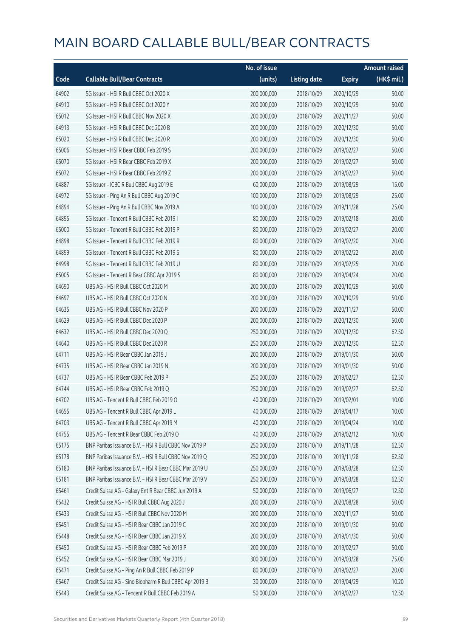|       |                                                         | No. of issue |                     |               | <b>Amount raised</b> |
|-------|---------------------------------------------------------|--------------|---------------------|---------------|----------------------|
| Code  | <b>Callable Bull/Bear Contracts</b>                     | (units)      | <b>Listing date</b> | <b>Expiry</b> | (HK\$ mil.)          |
| 64902 | SG Issuer - HSI R Bull CBBC Oct 2020 X                  | 200,000,000  | 2018/10/09          | 2020/10/29    | 50.00                |
| 64910 | SG Issuer - HSI R Bull CBBC Oct 2020 Y                  | 200,000,000  | 2018/10/09          | 2020/10/29    | 50.00                |
| 65012 | SG Issuer - HSI R Bull CBBC Nov 2020 X                  | 200,000,000  | 2018/10/09          | 2020/11/27    | 50.00                |
| 64913 | SG Issuer - HSI R Bull CBBC Dec 2020 B                  | 200,000,000  | 2018/10/09          | 2020/12/30    | 50.00                |
| 65020 | SG Issuer - HSI R Bull CBBC Dec 2020 R                  | 200,000,000  | 2018/10/09          | 2020/12/30    | 50.00                |
| 65006 | SG Issuer - HSI R Bear CBBC Feb 2019 S                  | 200,000,000  | 2018/10/09          | 2019/02/27    | 50.00                |
| 65070 | SG Issuer - HSI R Bear CBBC Feb 2019 X                  | 200,000,000  | 2018/10/09          | 2019/02/27    | 50.00                |
| 65072 | SG Issuer - HSI R Bear CBBC Feb 2019 Z                  | 200,000,000  | 2018/10/09          | 2019/02/27    | 50.00                |
| 64887 | SG Issuer - ICBC R Bull CBBC Aug 2019 E                 | 60,000,000   | 2018/10/09          | 2019/08/29    | 15.00                |
| 64972 | SG Issuer - Ping An R Bull CBBC Aug 2019 C              | 100,000,000  | 2018/10/09          | 2019/08/29    | 25.00                |
| 64894 | SG Issuer - Ping An R Bull CBBC Nov 2019 A              | 100,000,000  | 2018/10/09          | 2019/11/28    | 25.00                |
| 64895 | SG Issuer - Tencent R Bull CBBC Feb 2019 I              | 80,000,000   | 2018/10/09          | 2019/02/18    | 20.00                |
| 65000 | SG Issuer - Tencent R Bull CBBC Feb 2019 P              | 80,000,000   | 2018/10/09          | 2019/02/27    | 20.00                |
| 64898 | SG Issuer - Tencent R Bull CBBC Feb 2019 R              | 80,000,000   | 2018/10/09          | 2019/02/20    | 20.00                |
| 64899 | SG Issuer - Tencent R Bull CBBC Feb 2019 S              | 80,000,000   | 2018/10/09          | 2019/02/22    | 20.00                |
| 64998 | SG Issuer - Tencent R Bull CBBC Feb 2019 U              | 80,000,000   | 2018/10/09          | 2019/02/25    | 20.00                |
| 65005 | SG Issuer - Tencent R Bear CBBC Apr 2019 S              | 80,000,000   | 2018/10/09          | 2019/04/24    | 20.00                |
| 64690 | UBS AG - HSI R Bull CBBC Oct 2020 M                     | 200,000,000  | 2018/10/09          | 2020/10/29    | 50.00                |
| 64697 | UBS AG - HSI R Bull CBBC Oct 2020 N                     | 200,000,000  | 2018/10/09          | 2020/10/29    | 50.00                |
| 64635 | UBS AG - HSI R Bull CBBC Nov 2020 P                     | 200,000,000  | 2018/10/09          | 2020/11/27    | 50.00                |
| 64629 | UBS AG - HSI R Bull CBBC Dec 2020 P                     | 200,000,000  | 2018/10/09          | 2020/12/30    | 50.00                |
| 64632 | UBS AG - HSI R Bull CBBC Dec 2020 Q                     | 250,000,000  | 2018/10/09          | 2020/12/30    | 62.50                |
| 64640 | UBS AG - HSI R Bull CBBC Dec 2020 R                     | 250,000,000  | 2018/10/09          | 2020/12/30    | 62.50                |
| 64711 | UBS AG - HSI R Bear CBBC Jan 2019 J                     | 200,000,000  | 2018/10/09          | 2019/01/30    | 50.00                |
| 64735 | UBS AG - HSI R Bear CBBC Jan 2019 N                     | 200,000,000  | 2018/10/09          | 2019/01/30    | 50.00                |
| 64737 | UBS AG - HSI R Bear CBBC Feb 2019 P                     | 250,000,000  | 2018/10/09          | 2019/02/27    | 62.50                |
| 64744 | UBS AG - HSI R Bear CBBC Feb 2019 Q                     | 250,000,000  | 2018/10/09          | 2019/02/27    | 62.50                |
| 64702 | UBS AG - Tencent R Bull CBBC Feb 2019 O                 | 40,000,000   | 2018/10/09          | 2019/02/01    | 10.00                |
| 64655 | UBS AG - Tencent R Bull CBBC Apr 2019 L                 | 40,000,000   | 2018/10/09          | 2019/04/17    | 10.00                |
| 64703 | UBS AG - Tencent R Bull CBBC Apr 2019 M                 | 40,000,000   | 2018/10/09          | 2019/04/24    | 10.00                |
| 64755 | UBS AG - Tencent R Bear CBBC Feb 2019 O                 | 40,000,000   | 2018/10/09          | 2019/02/12    | 10.00                |
| 65175 | BNP Paribas Issuance B.V. - HSI R Bull CBBC Nov 2019 P  | 250,000,000  | 2018/10/10          | 2019/11/28    | 62.50                |
| 65178 | BNP Paribas Issuance B.V. - HSI R Bull CBBC Nov 2019 Q  | 250,000,000  | 2018/10/10          | 2019/11/28    | 62.50                |
| 65180 | BNP Paribas Issuance B.V. - HSI R Bear CBBC Mar 2019 U  | 250,000,000  | 2018/10/10          | 2019/03/28    | 62.50                |
| 65181 | BNP Paribas Issuance B.V. - HSI R Bear CBBC Mar 2019 V  | 250,000,000  | 2018/10/10          | 2019/03/28    | 62.50                |
| 65461 | Credit Suisse AG - Galaxy Ent R Bear CBBC Jun 2019 A    | 50,000,000   | 2018/10/10          | 2019/06/27    | 12.50                |
| 65432 | Credit Suisse AG - HSI R Bull CBBC Aug 2020 J           | 200,000,000  | 2018/10/10          | 2020/08/28    | 50.00                |
| 65433 | Credit Suisse AG - HSI R Bull CBBC Nov 2020 M           | 200,000,000  | 2018/10/10          | 2020/11/27    | 50.00                |
| 65451 | Credit Suisse AG - HSI R Bear CBBC Jan 2019 C           | 200,000,000  | 2018/10/10          | 2019/01/30    | 50.00                |
| 65448 | Credit Suisse AG - HSI R Bear CBBC Jan 2019 X           | 200,000,000  | 2018/10/10          | 2019/01/30    | 50.00                |
| 65450 | Credit Suisse AG - HSI R Bear CBBC Feb 2019 P           | 200,000,000  | 2018/10/10          | 2019/02/27    | 50.00                |
| 65452 | Credit Suisse AG - HSI R Bear CBBC Mar 2019 J           | 300,000,000  | 2018/10/10          | 2019/03/28    | 75.00                |
| 65471 | Credit Suisse AG - Ping An R Bull CBBC Feb 2019 P       | 80,000,000   | 2018/10/10          | 2019/02/27    | 20.00                |
| 65467 | Credit Suisse AG - Sino Biopharm R Bull CBBC Apr 2019 B | 30,000,000   | 2018/10/10          | 2019/04/29    | 10.20                |
| 65443 | Credit Suisse AG - Tencent R Bull CBBC Feb 2019 A       | 50,000,000   | 2018/10/10          | 2019/02/27    | 12.50                |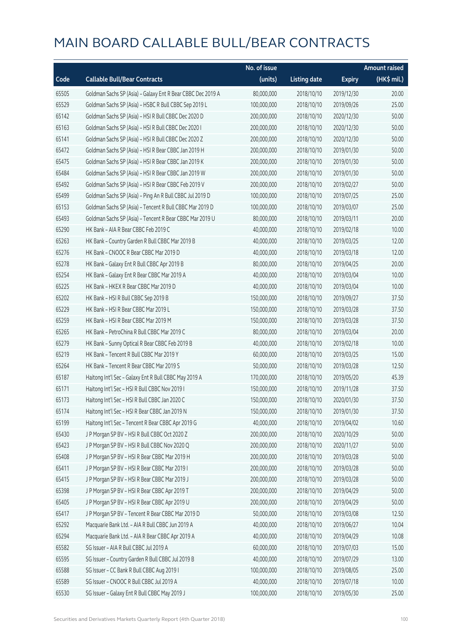|       |                                                             | No. of issue |                     |               | <b>Amount raised</b> |
|-------|-------------------------------------------------------------|--------------|---------------------|---------------|----------------------|
| Code  | <b>Callable Bull/Bear Contracts</b>                         | (units)      | <b>Listing date</b> | <b>Expiry</b> | (HK\$ mil.)          |
| 65505 | Goldman Sachs SP (Asia) - Galaxy Ent R Bear CBBC Dec 2019 A | 80,000,000   | 2018/10/10          | 2019/12/30    | 20.00                |
| 65529 | Goldman Sachs SP (Asia) - HSBC R Bull CBBC Sep 2019 L       | 100,000,000  | 2018/10/10          | 2019/09/26    | 25.00                |
| 65142 | Goldman Sachs SP (Asia) - HSI R Bull CBBC Dec 2020 D        | 200,000,000  | 2018/10/10          | 2020/12/30    | 50.00                |
| 65163 | Goldman Sachs SP (Asia) - HSI R Bull CBBC Dec 2020 I        | 200,000,000  | 2018/10/10          | 2020/12/30    | 50.00                |
| 65141 | Goldman Sachs SP (Asia) - HSI R Bull CBBC Dec 2020 Z        | 200,000,000  | 2018/10/10          | 2020/12/30    | 50.00                |
| 65472 | Goldman Sachs SP (Asia) - HSI R Bear CBBC Jan 2019 H        | 200,000,000  | 2018/10/10          | 2019/01/30    | 50.00                |
| 65475 | Goldman Sachs SP (Asia) - HSI R Bear CBBC Jan 2019 K        | 200,000,000  | 2018/10/10          | 2019/01/30    | 50.00                |
| 65484 | Goldman Sachs SP (Asia) - HSI R Bear CBBC Jan 2019 W        | 200,000,000  | 2018/10/10          | 2019/01/30    | 50.00                |
| 65492 | Goldman Sachs SP (Asia) - HSI R Bear CBBC Feb 2019 V        | 200,000,000  | 2018/10/10          | 2019/02/27    | 50.00                |
| 65499 | Goldman Sachs SP (Asia) - Ping An R Bull CBBC Jul 2019 D    | 100,000,000  | 2018/10/10          | 2019/07/25    | 25.00                |
| 65153 | Goldman Sachs SP (Asia) - Tencent R Bull CBBC Mar 2019 D    | 100,000,000  | 2018/10/10          | 2019/03/07    | 25.00                |
| 65493 | Goldman Sachs SP (Asia) - Tencent R Bear CBBC Mar 2019 U    | 80,000,000   | 2018/10/10          | 2019/03/11    | 20.00                |
| 65290 | HK Bank - AIA R Bear CBBC Feb 2019 C                        | 40,000,000   | 2018/10/10          | 2019/02/18    | 10.00                |
| 65263 | HK Bank - Country Garden R Bull CBBC Mar 2019 B             | 40,000,000   | 2018/10/10          | 2019/03/25    | 12.00                |
| 65276 | HK Bank - CNOOC R Bear CBBC Mar 2019 D                      | 40,000,000   | 2018/10/10          | 2019/03/18    | 12.00                |
| 65278 | HK Bank - Galaxy Ent R Bull CBBC Apr 2019 B                 | 80,000,000   | 2018/10/10          | 2019/04/25    | 20.00                |
| 65254 | HK Bank - Galaxy Ent R Bear CBBC Mar 2019 A                 | 40,000,000   | 2018/10/10          | 2019/03/04    | 10.00                |
| 65225 | HK Bank - HKEX R Bear CBBC Mar 2019 D                       | 40,000,000   | 2018/10/10          | 2019/03/04    | 10.00                |
| 65202 | HK Bank - HSI R Bull CBBC Sep 2019 B                        | 150,000,000  | 2018/10/10          | 2019/09/27    | 37.50                |
| 65229 | HK Bank - HSI R Bear CBBC Mar 2019 L                        | 150,000,000  | 2018/10/10          | 2019/03/28    | 37.50                |
| 65259 | HK Bank - HSI R Bear CBBC Mar 2019 M                        | 150,000,000  | 2018/10/10          | 2019/03/28    | 37.50                |
| 65265 | HK Bank - PetroChina R Bull CBBC Mar 2019 C                 | 80,000,000   | 2018/10/10          | 2019/03/04    | 20.00                |
| 65279 | HK Bank - Sunny Optical R Bear CBBC Feb 2019 B              | 40,000,000   | 2018/10/10          | 2019/02/18    | 10.00                |
| 65219 | HK Bank - Tencent R Bull CBBC Mar 2019 Y                    | 60,000,000   | 2018/10/10          | 2019/03/25    | 15.00                |
| 65264 | HK Bank - Tencent R Bear CBBC Mar 2019 S                    | 50,000,000   | 2018/10/10          | 2019/03/28    | 12.50                |
| 65187 | Haitong Int'l Sec - Galaxy Ent R Bull CBBC May 2019 A       | 170,000,000  | 2018/10/10          | 2019/05/20    | 45.39                |
| 65171 | Haitong Int'l Sec - HSI R Bull CBBC Nov 2019 I              | 150,000,000  | 2018/10/10          | 2019/11/28    | 37.50                |
| 65173 | Haitong Int'l Sec - HSI R Bull CBBC Jan 2020 C              | 150,000,000  | 2018/10/10          | 2020/01/30    | 37.50                |
| 65174 | Haitong Int'l Sec - HSI R Bear CBBC Jan 2019 N              | 150,000,000  | 2018/10/10          | 2019/01/30    | 37.50                |
| 65199 | Haitong Int'l Sec - Tencent R Bear CBBC Apr 2019 G          | 40,000,000   | 2018/10/10          | 2019/04/02    | 10.60                |
| 65430 | J P Morgan SP BV - HSI R Bull CBBC Oct 2020 Z               | 200,000,000  | 2018/10/10          | 2020/10/29    | 50.00                |
| 65423 | J P Morgan SP BV - HSI R Bull CBBC Nov 2020 Q               | 200,000,000  | 2018/10/10          | 2020/11/27    | 50.00                |
| 65408 | J P Morgan SP BV - HSI R Bear CBBC Mar 2019 H               | 200,000,000  | 2018/10/10          | 2019/03/28    | 50.00                |
| 65411 | J P Morgan SP BV - HSI R Bear CBBC Mar 2019 I               | 200,000,000  | 2018/10/10          | 2019/03/28    | 50.00                |
| 65415 | J P Morgan SP BV - HSI R Bear CBBC Mar 2019 J               | 200,000,000  | 2018/10/10          | 2019/03/28    | 50.00                |
| 65398 | J P Morgan SP BV - HSI R Bear CBBC Apr 2019 T               | 200,000,000  | 2018/10/10          | 2019/04/29    | 50.00                |
| 65405 | J P Morgan SP BV - HSI R Bear CBBC Apr 2019 U               | 200,000,000  | 2018/10/10          | 2019/04/29    | 50.00                |
| 65417 | J P Morgan SP BV - Tencent R Bear CBBC Mar 2019 D           | 50,000,000   | 2018/10/10          | 2019/03/08    | 12.50                |
| 65292 | Macquarie Bank Ltd. - AIA R Bull CBBC Jun 2019 A            | 40,000,000   | 2018/10/10          | 2019/06/27    | 10.04                |
| 65294 | Macquarie Bank Ltd. - AIA R Bear CBBC Apr 2019 A            | 40,000,000   | 2018/10/10          | 2019/04/29    | 10.08                |
| 65582 | SG Issuer - AIA R Bull CBBC Jul 2019 A                      | 60,000,000   | 2018/10/10          | 2019/07/03    | 15.00                |
| 65595 | SG Issuer - Country Garden R Bull CBBC Jul 2019 B           | 40,000,000   | 2018/10/10          | 2019/07/29    | 13.00                |
| 65588 | SG Issuer - CC Bank R Bull CBBC Aug 2019 I                  | 100,000,000  | 2018/10/10          | 2019/08/05    | 25.00                |
| 65589 | SG Issuer - CNOOC R Bull CBBC Jul 2019 A                    | 40,000,000   | 2018/10/10          | 2019/07/18    | 10.00                |
| 65530 | SG Issuer - Galaxy Ent R Bull CBBC May 2019 J               | 100,000,000  | 2018/10/10          | 2019/05/30    | 25.00                |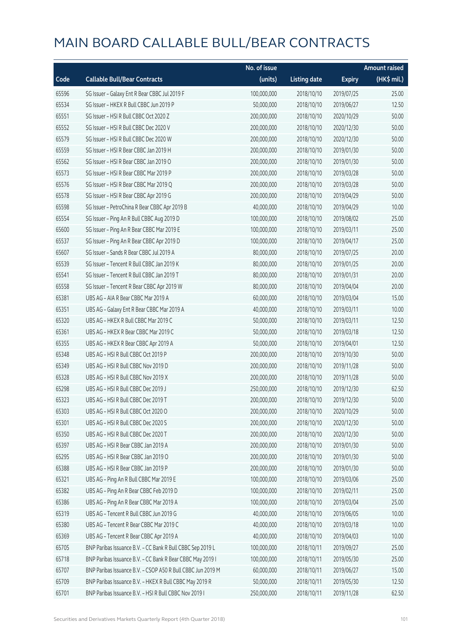|       |                                                             | No. of issue |                     |               | <b>Amount raised</b> |
|-------|-------------------------------------------------------------|--------------|---------------------|---------------|----------------------|
| Code  | <b>Callable Bull/Bear Contracts</b>                         | (units)      | <b>Listing date</b> | <b>Expiry</b> | (HK\$ mil.)          |
| 65596 | SG Issuer - Galaxy Ent R Bear CBBC Jul 2019 F               | 100,000,000  | 2018/10/10          | 2019/07/25    | 25.00                |
| 65534 | SG Issuer - HKEX R Bull CBBC Jun 2019 P                     | 50,000,000   | 2018/10/10          | 2019/06/27    | 12.50                |
| 65551 | SG Issuer - HSI R Bull CBBC Oct 2020 Z                      | 200,000,000  | 2018/10/10          | 2020/10/29    | 50.00                |
| 65552 | SG Issuer - HSI R Bull CBBC Dec 2020 V                      | 200,000,000  | 2018/10/10          | 2020/12/30    | 50.00                |
| 65579 | SG Issuer - HSI R Bull CBBC Dec 2020 W                      | 200,000,000  | 2018/10/10          | 2020/12/30    | 50.00                |
| 65559 | SG Issuer - HSI R Bear CBBC Jan 2019 H                      | 200,000,000  | 2018/10/10          | 2019/01/30    | 50.00                |
| 65562 | SG Issuer - HSI R Bear CBBC Jan 2019 O                      | 200,000,000  | 2018/10/10          | 2019/01/30    | 50.00                |
| 65573 | SG Issuer - HSI R Bear CBBC Mar 2019 P                      | 200,000,000  | 2018/10/10          | 2019/03/28    | 50.00                |
| 65576 | SG Issuer - HSI R Bear CBBC Mar 2019 Q                      | 200,000,000  | 2018/10/10          | 2019/03/28    | 50.00                |
| 65578 | SG Issuer - HSI R Bear CBBC Apr 2019 G                      | 200,000,000  | 2018/10/10          | 2019/04/29    | 50.00                |
| 65598 | SG Issuer - PetroChina R Bear CBBC Apr 2019 B               | 40,000,000   | 2018/10/10          | 2019/04/29    | 10.00                |
| 65554 | SG Issuer - Ping An R Bull CBBC Aug 2019 D                  | 100,000,000  | 2018/10/10          | 2019/08/02    | 25.00                |
| 65600 | SG Issuer - Ping An R Bear CBBC Mar 2019 E                  | 100,000,000  | 2018/10/10          | 2019/03/11    | 25.00                |
| 65537 | SG Issuer - Ping An R Bear CBBC Apr 2019 D                  | 100,000,000  | 2018/10/10          | 2019/04/17    | 25.00                |
| 65607 | SG Issuer - Sands R Bear CBBC Jul 2019 A                    | 80,000,000   | 2018/10/10          | 2019/07/25    | 20.00                |
| 65539 | SG Issuer - Tencent R Bull CBBC Jan 2019 K                  | 80,000,000   | 2018/10/10          | 2019/01/25    | 20.00                |
| 65541 | SG Issuer - Tencent R Bull CBBC Jan 2019 T                  | 80,000,000   | 2018/10/10          | 2019/01/31    | 20.00                |
| 65558 | SG Issuer - Tencent R Bear CBBC Apr 2019 W                  | 80,000,000   | 2018/10/10          | 2019/04/04    | 20.00                |
| 65381 | UBS AG - AIA R Bear CBBC Mar 2019 A                         | 60,000,000   | 2018/10/10          | 2019/03/04    | 15.00                |
| 65351 | UBS AG - Galaxy Ent R Bear CBBC Mar 2019 A                  | 40,000,000   | 2018/10/10          | 2019/03/11    | 10.00                |
| 65320 | UBS AG - HKEX R Bull CBBC Mar 2019 C                        | 50,000,000   | 2018/10/10          | 2019/03/11    | 12.50                |
| 65361 | UBS AG - HKEX R Bear CBBC Mar 2019 C                        | 50,000,000   | 2018/10/10          | 2019/03/18    | 12.50                |
| 65355 | UBS AG - HKEX R Bear CBBC Apr 2019 A                        | 50,000,000   | 2018/10/10          | 2019/04/01    | 12.50                |
| 65348 | UBS AG - HSI R Bull CBBC Oct 2019 P                         | 200,000,000  | 2018/10/10          | 2019/10/30    | 50.00                |
| 65349 | UBS AG - HSI R Bull CBBC Nov 2019 D                         | 200,000,000  | 2018/10/10          | 2019/11/28    | 50.00                |
| 65328 | UBS AG - HSI R Bull CBBC Nov 2019 X                         | 200,000,000  | 2018/10/10          | 2019/11/28    | 50.00                |
| 65298 | UBS AG - HSI R Bull CBBC Dec 2019 J                         | 250,000,000  | 2018/10/10          | 2019/12/30    | 62.50                |
| 65323 | UBS AG - HSI R Bull CBBC Dec 2019 T                         | 200,000,000  | 2018/10/10          | 2019/12/30    | 50.00                |
| 65303 | UBS AG - HSI R Bull CBBC Oct 2020 O                         | 200,000,000  | 2018/10/10          | 2020/10/29    | 50.00                |
| 65301 | UBS AG - HSI R Bull CBBC Dec 2020 S                         | 200,000,000  | 2018/10/10          | 2020/12/30    | 50.00                |
| 65350 | UBS AG - HSI R Bull CBBC Dec 2020 T                         | 200,000,000  | 2018/10/10          | 2020/12/30    | 50.00                |
| 65397 | UBS AG - HSI R Bear CBBC Jan 2019 A                         | 200,000,000  | 2018/10/10          | 2019/01/30    | 50.00                |
| 65295 | UBS AG - HSI R Bear CBBC Jan 2019 O                         | 200,000,000  | 2018/10/10          | 2019/01/30    | 50.00                |
| 65388 | UBS AG - HSI R Bear CBBC Jan 2019 P                         | 200,000,000  | 2018/10/10          | 2019/01/30    | 50.00                |
| 65321 | UBS AG - Ping An R Bull CBBC Mar 2019 E                     | 100,000,000  | 2018/10/10          | 2019/03/06    | 25.00                |
| 65382 | UBS AG - Ping An R Bear CBBC Feb 2019 D                     | 100,000,000  | 2018/10/10          | 2019/02/11    | 25.00                |
| 65386 | UBS AG - Ping An R Bear CBBC Mar 2019 A                     | 100,000,000  | 2018/10/10          | 2019/03/04    | 25.00                |
| 65319 | UBS AG - Tencent R Bull CBBC Jun 2019 G                     | 40,000,000   | 2018/10/10          | 2019/06/05    | 10.00                |
| 65380 | UBS AG - Tencent R Bear CBBC Mar 2019 C                     | 40,000,000   | 2018/10/10          | 2019/03/18    | 10.00                |
| 65369 | UBS AG - Tencent R Bear CBBC Apr 2019 A                     | 40,000,000   | 2018/10/10          | 2019/04/03    | 10.00                |
| 65705 | BNP Paribas Issuance B.V. - CC Bank R Bull CBBC Sep 2019 L  | 100,000,000  | 2018/10/11          | 2019/09/27    | 25.00                |
| 65718 | BNP Paribas Issuance B.V. - CC Bank R Bear CBBC May 2019 I  | 100,000,000  | 2018/10/11          | 2019/05/30    | 25.00                |
| 65707 | BNP Paribas Issuance B.V. - CSOP A50 R Bull CBBC Jun 2019 M | 60,000,000   | 2018/10/11          | 2019/06/27    | 15.00                |
| 65709 | BNP Paribas Issuance B.V. - HKEX R Bull CBBC May 2019 R     | 50,000,000   | 2018/10/11          | 2019/05/30    | 12.50                |
| 65701 | BNP Paribas Issuance B.V. - HSI R Bull CBBC Nov 2019 I      | 250,000,000  | 2018/10/11          | 2019/11/28    | 62.50                |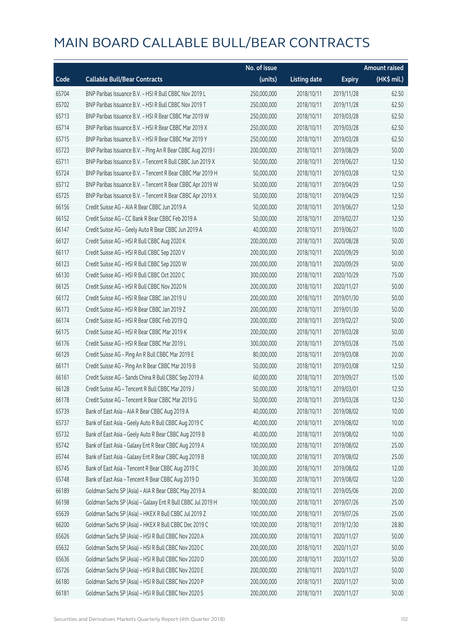|       |                                                             | No. of issue |                     |               | <b>Amount raised</b> |
|-------|-------------------------------------------------------------|--------------|---------------------|---------------|----------------------|
| Code  | <b>Callable Bull/Bear Contracts</b>                         | (units)      | <b>Listing date</b> | <b>Expiry</b> | (HK\$ mil.)          |
| 65704 | BNP Paribas Issuance B.V. - HSI R Bull CBBC Nov 2019 L      | 250,000,000  | 2018/10/11          | 2019/11/28    | 62.50                |
| 65702 | BNP Paribas Issuance B.V. - HSI R Bull CBBC Nov 2019 T      | 250,000,000  | 2018/10/11          | 2019/11/28    | 62.50                |
| 65713 | BNP Paribas Issuance B.V. - HSI R Bear CBBC Mar 2019 W      | 250,000,000  | 2018/10/11          | 2019/03/28    | 62.50                |
| 65714 | BNP Paribas Issuance B.V. - HSI R Bear CBBC Mar 2019 X      | 250,000,000  | 2018/10/11          | 2019/03/28    | 62.50                |
| 65715 | BNP Paribas Issuance B.V. - HSI R Bear CBBC Mar 2019 Y      | 250,000,000  | 2018/10/11          | 2019/03/28    | 62.50                |
| 65723 | BNP Paribas Issuance B.V. - Ping An R Bear CBBC Aug 2019 I  | 200,000,000  | 2018/10/11          | 2019/08/29    | 50.00                |
| 65711 | BNP Paribas Issuance B.V. - Tencent R Bull CBBC Jun 2019 X  | 50,000,000   | 2018/10/11          | 2019/06/27    | 12.50                |
| 65724 | BNP Paribas Issuance B.V. - Tencent R Bear CBBC Mar 2019 H  | 50,000,000   | 2018/10/11          | 2019/03/28    | 12.50                |
| 65712 | BNP Paribas Issuance B.V. - Tencent R Bear CBBC Apr 2019 W  | 50,000,000   | 2018/10/11          | 2019/04/29    | 12.50                |
| 65725 | BNP Paribas Issuance B.V. - Tencent R Bear CBBC Apr 2019 X  | 50,000,000   | 2018/10/11          | 2019/04/29    | 12.50                |
| 66156 | Credit Suisse AG - AIA R Bear CBBC Jun 2019 A               | 50,000,000   | 2018/10/11          | 2019/06/27    | 12.50                |
| 66152 | Credit Suisse AG - CC Bank R Bear CBBC Feb 2019 A           | 50,000,000   | 2018/10/11          | 2019/02/27    | 12.50                |
| 66147 | Credit Suisse AG - Geely Auto R Bear CBBC Jun 2019 A        | 40,000,000   | 2018/10/11          | 2019/06/27    | 10.00                |
| 66127 | Credit Suisse AG - HSI R Bull CBBC Aug 2020 K               | 200,000,000  | 2018/10/11          | 2020/08/28    | 50.00                |
| 66117 | Credit Suisse AG - HSI R Bull CBBC Sep 2020 V               | 200,000,000  | 2018/10/11          | 2020/09/29    | 50.00                |
| 66123 | Credit Suisse AG - HSI R Bull CBBC Sep 2020 W               | 200,000,000  | 2018/10/11          | 2020/09/29    | 50.00                |
| 66130 | Credit Suisse AG - HSI R Bull CBBC Oct 2020 C               | 300,000,000  | 2018/10/11          | 2020/10/29    | 75.00                |
| 66125 | Credit Suisse AG - HSI R Bull CBBC Nov 2020 N               | 200,000,000  | 2018/10/11          | 2020/11/27    | 50.00                |
| 66172 | Credit Suisse AG - HSI R Bear CBBC Jan 2019 U               | 200,000,000  | 2018/10/11          | 2019/01/30    | 50.00                |
| 66173 | Credit Suisse AG - HSI R Bear CBBC Jan 2019 Z               | 200,000,000  | 2018/10/11          | 2019/01/30    | 50.00                |
| 66174 | Credit Suisse AG - HSI R Bear CBBC Feb 2019 Q               | 200,000,000  | 2018/10/11          | 2019/02/27    | 50.00                |
| 66175 | Credit Suisse AG - HSI R Bear CBBC Mar 2019 K               | 200,000,000  | 2018/10/11          | 2019/03/28    | 50.00                |
| 66176 | Credit Suisse AG - HSI R Bear CBBC Mar 2019 L               | 300,000,000  | 2018/10/11          | 2019/03/28    | 75.00                |
| 66129 | Credit Suisse AG - Ping An R Bull CBBC Mar 2019 E           | 80,000,000   | 2018/10/11          | 2019/03/08    | 20.00                |
| 66171 | Credit Suisse AG - Ping An R Bear CBBC Mar 2019 B           | 50,000,000   | 2018/10/11          | 2019/03/08    | 12.50                |
| 66161 | Credit Suisse AG - Sands China R Bull CBBC Sep 2019 A       | 60,000,000   | 2018/10/11          | 2019/09/27    | 15.00                |
| 66128 | Credit Suisse AG - Tencent R Bull CBBC Mar 2019 J           | 50,000,000   | 2018/10/11          | 2019/03/01    | 12.50                |
| 66178 | Credit Suisse AG - Tencent R Bear CBBC Mar 2019 G           | 50,000,000   | 2018/10/11          | 2019/03/28    | 12.50                |
| 65739 | Bank of East Asia - AIA R Bear CBBC Aug 2019 A              | 40,000,000   | 2018/10/11          | 2019/08/02    | 10.00                |
| 65737 | Bank of East Asia - Geely Auto R Bull CBBC Aug 2019 C       | 40,000,000   | 2018/10/11          | 2019/08/02    | 10.00                |
| 65732 | Bank of East Asia - Geely Auto R Bear CBBC Aug 2019 B       | 40,000,000   | 2018/10/11          | 2019/08/02    | 10.00                |
| 65742 | Bank of East Asia - Galaxy Ent R Bear CBBC Aug 2019 A       | 100,000,000  | 2018/10/11          | 2019/08/02    | 25.00                |
| 65744 | Bank of East Asia - Galaxy Ent R Bear CBBC Aug 2019 B       | 100,000,000  | 2018/10/11          | 2019/08/02    | 25.00                |
| 65745 | Bank of East Asia - Tencent R Bear CBBC Aug 2019 C          | 30,000,000   | 2018/10/11          | 2019/08/02    | 12.00                |
| 65748 | Bank of East Asia - Tencent R Bear CBBC Aug 2019 D          | 30,000,000   | 2018/10/11          | 2019/08/02    | 12.00                |
| 66189 | Goldman Sachs SP (Asia) - AIA R Bear CBBC May 2019 A        | 80,000,000   | 2018/10/11          | 2019/05/06    | 20.00                |
| 66198 | Goldman Sachs SP (Asia) - Galaxy Ent R Bull CBBC Jul 2019 H | 100,000,000  | 2018/10/11          | 2019/07/26    | 25.00                |
| 65639 | Goldman Sachs SP (Asia) - HKEX R Bull CBBC Jul 2019 Z       | 100,000,000  | 2018/10/11          | 2019/07/26    | 25.00                |
| 66200 | Goldman Sachs SP (Asia) - HKEX R Bull CBBC Dec 2019 C       | 100,000,000  | 2018/10/11          | 2019/12/30    | 28.80                |
| 65626 | Goldman Sachs SP (Asia) - HSI R Bull CBBC Nov 2020 A        | 200,000,000  | 2018/10/11          | 2020/11/27    | 50.00                |
| 65632 | Goldman Sachs SP (Asia) - HSI R Bull CBBC Nov 2020 C        | 200,000,000  | 2018/10/11          | 2020/11/27    | 50.00                |
| 65636 | Goldman Sachs SP (Asia) - HSI R Bull CBBC Nov 2020 D        | 200,000,000  | 2018/10/11          | 2020/11/27    | 50.00                |
| 65726 | Goldman Sachs SP (Asia) - HSI R Bull CBBC Nov 2020 E        | 200,000,000  | 2018/10/11          | 2020/11/27    | 50.00                |
| 66180 | Goldman Sachs SP (Asia) - HSI R Bull CBBC Nov 2020 P        | 200,000,000  | 2018/10/11          | 2020/11/27    | 50.00                |
| 66181 | Goldman Sachs SP (Asia) - HSI R Bull CBBC Nov 2020 S        | 200,000,000  | 2018/10/11          | 2020/11/27    | 50.00                |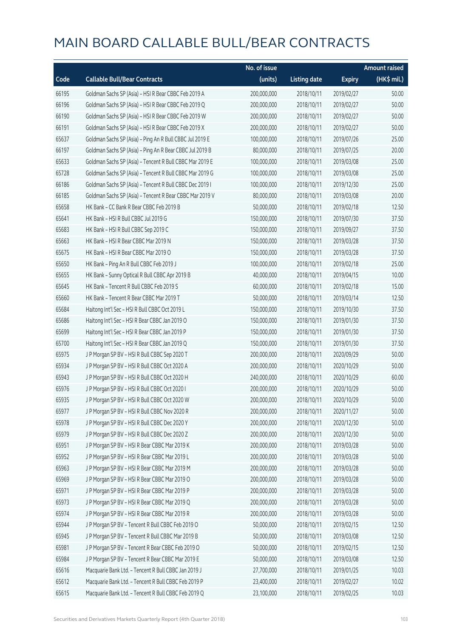|       |                                                          | No. of issue |                     |               | Amount raised |
|-------|----------------------------------------------------------|--------------|---------------------|---------------|---------------|
| Code  | <b>Callable Bull/Bear Contracts</b>                      | (units)      | <b>Listing date</b> | <b>Expiry</b> | (HK\$ mil.)   |
| 66195 | Goldman Sachs SP (Asia) - HSI R Bear CBBC Feb 2019 A     | 200,000,000  | 2018/10/11          | 2019/02/27    | 50.00         |
| 66196 | Goldman Sachs SP (Asia) - HSI R Bear CBBC Feb 2019 Q     | 200,000,000  | 2018/10/11          | 2019/02/27    | 50.00         |
| 66190 | Goldman Sachs SP (Asia) - HSI R Bear CBBC Feb 2019 W     | 200,000,000  | 2018/10/11          | 2019/02/27    | 50.00         |
| 66191 | Goldman Sachs SP (Asia) - HSI R Bear CBBC Feb 2019 X     | 200,000,000  | 2018/10/11          | 2019/02/27    | 50.00         |
| 65637 | Goldman Sachs SP (Asia) - Ping An R Bull CBBC Jul 2019 E | 100,000,000  | 2018/10/11          | 2019/07/26    | 25.00         |
| 66197 | Goldman Sachs SP (Asia) - Ping An R Bear CBBC Jul 2019 B | 80,000,000   | 2018/10/11          | 2019/07/25    | 20.00         |
| 65633 | Goldman Sachs SP (Asia) - Tencent R Bull CBBC Mar 2019 E | 100,000,000  | 2018/10/11          | 2019/03/08    | 25.00         |
| 65728 | Goldman Sachs SP (Asia) - Tencent R Bull CBBC Mar 2019 G | 100,000,000  | 2018/10/11          | 2019/03/08    | 25.00         |
| 66186 | Goldman Sachs SP (Asia) - Tencent R Bull CBBC Dec 2019 I | 100,000,000  | 2018/10/11          | 2019/12/30    | 25.00         |
| 66185 | Goldman Sachs SP (Asia) - Tencent R Bear CBBC Mar 2019 V | 80,000,000   | 2018/10/11          | 2019/03/08    | 20.00         |
| 65658 | HK Bank - CC Bank R Bear CBBC Feb 2019 B                 | 50,000,000   | 2018/10/11          | 2019/02/18    | 12.50         |
| 65641 | HK Bank - HSI R Bull CBBC Jul 2019 G                     | 150,000,000  | 2018/10/11          | 2019/07/30    | 37.50         |
| 65683 | HK Bank - HSI R Bull CBBC Sep 2019 C                     | 150,000,000  | 2018/10/11          | 2019/09/27    | 37.50         |
| 65663 | HK Bank - HSI R Bear CBBC Mar 2019 N                     | 150,000,000  | 2018/10/11          | 2019/03/28    | 37.50         |
| 65675 | HK Bank - HSI R Bear CBBC Mar 2019 O                     | 150,000,000  | 2018/10/11          | 2019/03/28    | 37.50         |
| 65650 | HK Bank - Ping An R Bull CBBC Feb 2019 J                 | 100,000,000  | 2018/10/11          | 2019/02/18    | 25.00         |
| 65655 | HK Bank - Sunny Optical R Bull CBBC Apr 2019 B           | 40,000,000   | 2018/10/11          | 2019/04/15    | 10.00         |
| 65645 | HK Bank - Tencent R Bull CBBC Feb 2019 S                 | 60,000,000   | 2018/10/11          | 2019/02/18    | 15.00         |
| 65660 | HK Bank - Tencent R Bear CBBC Mar 2019 T                 | 50,000,000   | 2018/10/11          | 2019/03/14    | 12.50         |
| 65684 | Haitong Int'l Sec - HSI R Bull CBBC Oct 2019 L           | 150,000,000  | 2018/10/11          | 2019/10/30    | 37.50         |
| 65686 | Haitong Int'l Sec - HSI R Bear CBBC Jan 2019 O           | 150,000,000  | 2018/10/11          | 2019/01/30    | 37.50         |
| 65699 | Haitong Int'l Sec - HSI R Bear CBBC Jan 2019 P           | 150,000,000  | 2018/10/11          | 2019/01/30    | 37.50         |
| 65700 | Haitong Int'l Sec - HSI R Bear CBBC Jan 2019 Q           | 150,000,000  | 2018/10/11          | 2019/01/30    | 37.50         |
| 65975 | J P Morgan SP BV - HSI R Bull CBBC Sep 2020 T            | 200,000,000  | 2018/10/11          | 2020/09/29    | 50.00         |
| 65934 | J P Morgan SP BV - HSI R Bull CBBC Oct 2020 A            | 200,000,000  | 2018/10/11          | 2020/10/29    | 50.00         |
| 65943 | J P Morgan SP BV - HSI R Bull CBBC Oct 2020 H            | 240,000,000  | 2018/10/11          | 2020/10/29    | 60.00         |
| 65976 | J P Morgan SP BV - HSI R Bull CBBC Oct 2020 I            | 200,000,000  | 2018/10/11          | 2020/10/29    | 50.00         |
| 65935 | J P Morgan SP BV - HSI R Bull CBBC Oct 2020 W            | 200,000,000  | 2018/10/11          | 2020/10/29    | 50.00         |
| 65977 | J P Morgan SP BV - HSI R Bull CBBC Nov 2020 R            | 200,000,000  | 2018/10/11          | 2020/11/27    | 50.00         |
| 65978 | J P Morgan SP BV - HSI R Bull CBBC Dec 2020 Y            | 200,000,000  | 2018/10/11          | 2020/12/30    | 50.00         |
| 65979 | J P Morgan SP BV - HSI R Bull CBBC Dec 2020 Z            | 200,000,000  | 2018/10/11          | 2020/12/30    | 50.00         |
| 65951 | J P Morgan SP BV - HSI R Bear CBBC Mar 2019 K            | 200,000,000  | 2018/10/11          | 2019/03/28    | 50.00         |
| 65952 | J P Morgan SP BV - HSI R Bear CBBC Mar 2019 L            | 200,000,000  | 2018/10/11          | 2019/03/28    | 50.00         |
| 65963 | J P Morgan SP BV - HSI R Bear CBBC Mar 2019 M            | 200,000,000  | 2018/10/11          | 2019/03/28    | 50.00         |
| 65969 | J P Morgan SP BV - HSI R Bear CBBC Mar 2019 O            | 200,000,000  | 2018/10/11          | 2019/03/28    | 50.00         |
| 65971 | J P Morgan SP BV - HSI R Bear CBBC Mar 2019 P            | 200,000,000  | 2018/10/11          | 2019/03/28    | 50.00         |
| 65973 | J P Morgan SP BV - HSI R Bear CBBC Mar 2019 Q            | 200,000,000  | 2018/10/11          | 2019/03/28    | 50.00         |
| 65974 | J P Morgan SP BV - HSI R Bear CBBC Mar 2019 R            | 200,000,000  | 2018/10/11          | 2019/03/28    | 50.00         |
| 65944 | J P Morgan SP BV - Tencent R Bull CBBC Feb 2019 O        | 50,000,000   | 2018/10/11          | 2019/02/15    | 12.50         |
| 65945 | J P Morgan SP BV - Tencent R Bull CBBC Mar 2019 B        | 50,000,000   | 2018/10/11          | 2019/03/08    | 12.50         |
| 65981 | J P Morgan SP BV - Tencent R Bear CBBC Feb 2019 O        | 50,000,000   | 2018/10/11          | 2019/02/15    | 12.50         |
| 65984 | J P Morgan SP BV - Tencent R Bear CBBC Mar 2019 E        | 50,000,000   | 2018/10/11          | 2019/03/08    | 12.50         |
| 65616 | Macquarie Bank Ltd. - Tencent R Bull CBBC Jan 2019 J     | 27,700,000   | 2018/10/11          | 2019/01/25    | 10.03         |
| 65612 | Macquarie Bank Ltd. - Tencent R Bull CBBC Feb 2019 P     | 23,400,000   | 2018/10/11          | 2019/02/27    | 10.02         |
| 65615 | Macquarie Bank Ltd. - Tencent R Bull CBBC Feb 2019 Q     | 23,100,000   | 2018/10/11          | 2019/02/25    | 10.03         |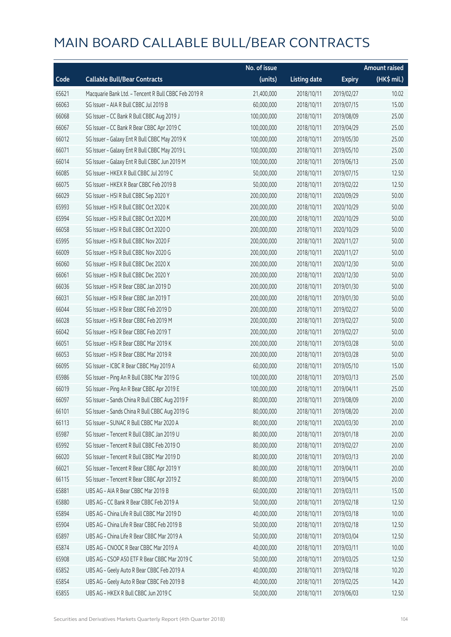|       |                                                      | No. of issue |                     |               | <b>Amount raised</b> |  |
|-------|------------------------------------------------------|--------------|---------------------|---------------|----------------------|--|
| Code  | <b>Callable Bull/Bear Contracts</b>                  | (units)      | <b>Listing date</b> | <b>Expiry</b> | (HK\$ mil.)          |  |
| 65621 | Macquarie Bank Ltd. - Tencent R Bull CBBC Feb 2019 R | 21,400,000   | 2018/10/11          | 2019/02/27    | 10.02                |  |
| 66063 | SG Issuer - AIA R Bull CBBC Jul 2019 B               | 60,000,000   | 2018/10/11          | 2019/07/15    | 15.00                |  |
| 66068 | SG Issuer - CC Bank R Bull CBBC Aug 2019 J           | 100,000,000  | 2018/10/11          | 2019/08/09    | 25.00                |  |
| 66067 | SG Issuer - CC Bank R Bear CBBC Apr 2019 C           | 100,000,000  | 2018/10/11          | 2019/04/29    | 25.00                |  |
| 66012 | SG Issuer - Galaxy Ent R Bull CBBC May 2019 K        | 100,000,000  | 2018/10/11          | 2019/05/30    | 25.00                |  |
| 66071 | SG Issuer - Galaxy Ent R Bull CBBC May 2019 L        | 100,000,000  | 2018/10/11          | 2019/05/10    | 25.00                |  |
| 66014 | SG Issuer - Galaxy Ent R Bull CBBC Jun 2019 M        | 100,000,000  | 2018/10/11          | 2019/06/13    | 25.00                |  |
| 66085 | SG Issuer - HKEX R Bull CBBC Jul 2019 C              | 50,000,000   | 2018/10/11          | 2019/07/15    | 12.50                |  |
| 66075 | SG Issuer - HKEX R Bear CBBC Feb 2019 B              | 50,000,000   | 2018/10/11          | 2019/02/22    | 12.50                |  |
| 66029 | SG Issuer - HSI R Bull CBBC Sep 2020 Y               | 200,000,000  | 2018/10/11          | 2020/09/29    | 50.00                |  |
| 65993 | SG Issuer - HSI R Bull CBBC Oct 2020 K               | 200,000,000  | 2018/10/11          | 2020/10/29    | 50.00                |  |
| 65994 | SG Issuer - HSI R Bull CBBC Oct 2020 M               | 200,000,000  | 2018/10/11          | 2020/10/29    | 50.00                |  |
| 66058 | SG Issuer - HSI R Bull CBBC Oct 2020 O               | 200,000,000  | 2018/10/11          | 2020/10/29    | 50.00                |  |
| 65995 | SG Issuer - HSI R Bull CBBC Nov 2020 F               | 200,000,000  | 2018/10/11          | 2020/11/27    | 50.00                |  |
| 66009 | SG Issuer - HSI R Bull CBBC Nov 2020 G               | 200,000,000  | 2018/10/11          | 2020/11/27    | 50.00                |  |
| 66060 | SG Issuer - HSI R Bull CBBC Dec 2020 X               | 200,000,000  | 2018/10/11          | 2020/12/30    | 50.00                |  |
| 66061 | SG Issuer - HSI R Bull CBBC Dec 2020 Y               | 200,000,000  | 2018/10/11          | 2020/12/30    | 50.00                |  |
| 66036 | SG Issuer - HSI R Bear CBBC Jan 2019 D               | 200,000,000  | 2018/10/11          | 2019/01/30    | 50.00                |  |
| 66031 | SG Issuer - HSI R Bear CBBC Jan 2019 T               | 200,000,000  | 2018/10/11          | 2019/01/30    | 50.00                |  |
| 66044 | SG Issuer - HSI R Bear CBBC Feb 2019 D               | 200,000,000  | 2018/10/11          | 2019/02/27    | 50.00                |  |
| 66028 | SG Issuer - HSI R Bear CBBC Feb 2019 M               | 200,000,000  | 2018/10/11          | 2019/02/27    | 50.00                |  |
| 66042 | SG Issuer - HSI R Bear CBBC Feb 2019 T               | 200,000,000  | 2018/10/11          | 2019/02/27    | 50.00                |  |
| 66051 | SG Issuer - HSI R Bear CBBC Mar 2019 K               | 200,000,000  | 2018/10/11          | 2019/03/28    | 50.00                |  |
| 66053 | SG Issuer - HSI R Bear CBBC Mar 2019 R               | 200,000,000  | 2018/10/11          | 2019/03/28    | 50.00                |  |
| 66095 | SG Issuer - ICBC R Bear CBBC May 2019 A              | 60,000,000   | 2018/10/11          | 2019/05/10    | 15.00                |  |
| 65986 | SG Issuer - Ping An R Bull CBBC Mar 2019 G           | 100,000,000  | 2018/10/11          | 2019/03/13    | 25.00                |  |
| 66019 | SG Issuer - Ping An R Bear CBBC Apr 2019 E           | 100,000,000  | 2018/10/11          | 2019/04/11    | 25.00                |  |
| 66097 | SG Issuer - Sands China R Bull CBBC Aug 2019 F       | 80,000,000   | 2018/10/11          | 2019/08/09    | 20.00                |  |
| 66101 | SG Issuer - Sands China R Bull CBBC Aug 2019 G       | 80,000,000   | 2018/10/11          | 2019/08/20    | 20.00                |  |
| 66113 | SG Issuer - SUNAC R Bull CBBC Mar 2020 A             | 80,000,000   | 2018/10/11          | 2020/03/30    | 20.00                |  |
| 65987 | SG Issuer - Tencent R Bull CBBC Jan 2019 U           | 80,000,000   | 2018/10/11          | 2019/01/18    | 20.00                |  |
| 65992 | SG Issuer - Tencent R Bull CBBC Feb 2019 O           | 80,000,000   | 2018/10/11          | 2019/02/27    | 20.00                |  |
| 66020 | SG Issuer - Tencent R Bull CBBC Mar 2019 D           | 80,000,000   | 2018/10/11          | 2019/03/13    | 20.00                |  |
| 66021 | SG Issuer - Tencent R Bear CBBC Apr 2019 Y           | 80,000,000   | 2018/10/11          | 2019/04/11    | 20.00                |  |
| 66115 | SG Issuer - Tencent R Bear CBBC Apr 2019 Z           | 80,000,000   | 2018/10/11          | 2019/04/15    | 20.00                |  |
| 65881 | UBS AG - AIA R Bear CBBC Mar 2019 B                  | 60,000,000   | 2018/10/11          | 2019/03/11    | 15.00                |  |
| 65880 | UBS AG - CC Bank R Bear CBBC Feb 2019 A              | 50,000,000   | 2018/10/11          | 2019/02/18    | 12.50                |  |
| 65894 | UBS AG - China Life R Bull CBBC Mar 2019 D           | 40,000,000   | 2018/10/11          | 2019/03/18    | 10.00                |  |
| 65904 | UBS AG - China Life R Bear CBBC Feb 2019 B           | 50,000,000   | 2018/10/11          | 2019/02/18    | 12.50                |  |
| 65897 | UBS AG - China Life R Bear CBBC Mar 2019 A           | 50,000,000   | 2018/10/11          | 2019/03/04    | 12.50                |  |
| 65874 | UBS AG - CNOOC R Bear CBBC Mar 2019 A                | 40,000,000   | 2018/10/11          | 2019/03/11    | 10.00                |  |
| 65908 | UBS AG - CSOP A50 ETF R Bear CBBC Mar 2019 C         | 50,000,000   | 2018/10/11          | 2019/03/25    | 12.50                |  |
| 65852 | UBS AG - Geely Auto R Bear CBBC Feb 2019 A           | 40,000,000   | 2018/10/11          | 2019/02/18    | 10.20                |  |
| 65854 | UBS AG - Geely Auto R Bear CBBC Feb 2019 B           | 40,000,000   | 2018/10/11          | 2019/02/25    | 14.20                |  |
| 65855 | UBS AG - HKEX R Bull CBBC Jun 2019 C                 | 50,000,000   | 2018/10/11          | 2019/06/03    | 12.50                |  |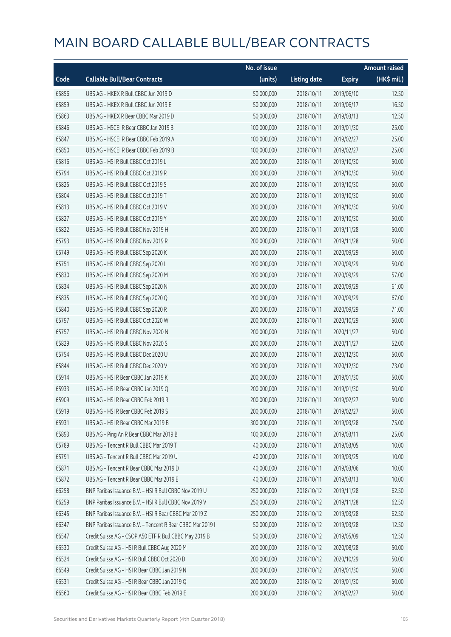|       |                                                            | No. of issue |                     |               | <b>Amount raised</b> |
|-------|------------------------------------------------------------|--------------|---------------------|---------------|----------------------|
| Code  | <b>Callable Bull/Bear Contracts</b>                        | (units)      | <b>Listing date</b> | <b>Expiry</b> | $(HK\$ mil.)         |
| 65856 | UBS AG - HKEX R Bull CBBC Jun 2019 D                       | 50,000,000   | 2018/10/11          | 2019/06/10    | 12.50                |
| 65859 | UBS AG - HKEX R Bull CBBC Jun 2019 E                       | 50,000,000   | 2018/10/11          | 2019/06/17    | 16.50                |
| 65863 | UBS AG - HKEX R Bear CBBC Mar 2019 D                       | 50,000,000   | 2018/10/11          | 2019/03/13    | 12.50                |
| 65846 | UBS AG - HSCEI R Bear CBBC Jan 2019 B                      | 100,000,000  | 2018/10/11          | 2019/01/30    | 25.00                |
| 65847 | UBS AG - HSCEI R Bear CBBC Feb 2019 A                      | 100,000,000  | 2018/10/11          | 2019/02/27    | 25.00                |
| 65850 | UBS AG - HSCEI R Bear CBBC Feb 2019 B                      | 100,000,000  | 2018/10/11          | 2019/02/27    | 25.00                |
| 65816 | UBS AG - HSI R Bull CBBC Oct 2019 L                        | 200,000,000  | 2018/10/11          | 2019/10/30    | 50.00                |
| 65794 | UBS AG - HSI R Bull CBBC Oct 2019 R                        | 200,000,000  | 2018/10/11          | 2019/10/30    | 50.00                |
| 65825 | UBS AG - HSI R Bull CBBC Oct 2019 S                        | 200,000,000  | 2018/10/11          | 2019/10/30    | 50.00                |
| 65804 | UBS AG - HSI R Bull CBBC Oct 2019 T                        | 200,000,000  | 2018/10/11          | 2019/10/30    | 50.00                |
| 65813 | UBS AG - HSI R Bull CBBC Oct 2019 V                        | 200,000,000  | 2018/10/11          | 2019/10/30    | 50.00                |
| 65827 | UBS AG - HSI R Bull CBBC Oct 2019 Y                        | 200,000,000  | 2018/10/11          | 2019/10/30    | 50.00                |
| 65822 | UBS AG - HSI R Bull CBBC Nov 2019 H                        | 200,000,000  | 2018/10/11          | 2019/11/28    | 50.00                |
| 65793 | UBS AG - HSI R Bull CBBC Nov 2019 R                        | 200,000,000  | 2018/10/11          | 2019/11/28    | 50.00                |
| 65749 | UBS AG - HSI R Bull CBBC Sep 2020 K                        | 200,000,000  | 2018/10/11          | 2020/09/29    | 50.00                |
| 65751 | UBS AG - HSI R Bull CBBC Sep 2020 L                        | 200,000,000  | 2018/10/11          | 2020/09/29    | 50.00                |
| 65830 | UBS AG - HSI R Bull CBBC Sep 2020 M                        | 200,000,000  | 2018/10/11          | 2020/09/29    | 57.00                |
| 65834 | UBS AG - HSI R Bull CBBC Sep 2020 N                        | 200,000,000  | 2018/10/11          | 2020/09/29    | 61.00                |
| 65835 | UBS AG - HSI R Bull CBBC Sep 2020 Q                        | 200,000,000  | 2018/10/11          | 2020/09/29    | 67.00                |
| 65840 | UBS AG - HSI R Bull CBBC Sep 2020 R                        | 200,000,000  | 2018/10/11          | 2020/09/29    | 71.00                |
| 65797 | UBS AG - HSI R Bull CBBC Oct 2020 W                        | 200,000,000  | 2018/10/11          | 2020/10/29    | 50.00                |
| 65757 | UBS AG - HSI R Bull CBBC Nov 2020 N                        | 200,000,000  | 2018/10/11          | 2020/11/27    | 50.00                |
| 65829 | UBS AG - HSI R Bull CBBC Nov 2020 S                        | 200,000,000  | 2018/10/11          | 2020/11/27    | 52.00                |
| 65754 | UBS AG - HSI R Bull CBBC Dec 2020 U                        | 200,000,000  | 2018/10/11          | 2020/12/30    | 50.00                |
| 65844 | UBS AG - HSI R Bull CBBC Dec 2020 V                        | 200,000,000  | 2018/10/11          | 2020/12/30    | 73.00                |
| 65914 | UBS AG - HSI R Bear CBBC Jan 2019 K                        | 200,000,000  | 2018/10/11          | 2019/01/30    | 50.00                |
| 65933 | UBS AG - HSI R Bear CBBC Jan 2019 Q                        | 200,000,000  | 2018/10/11          | 2019/01/30    | 50.00                |
| 65909 | URS AG - HSLR Bear CBBC Feb 2019 R                         | 200,000,000  | 2018/10/11          | 2019/02/27    | 50.00                |
| 65919 | UBS AG - HSI R Bear CBBC Feb 2019 S                        | 200,000,000  | 2018/10/11          | 2019/02/27    | 50.00                |
| 65931 | UBS AG - HSI R Bear CBBC Mar 2019 B                        | 300,000,000  | 2018/10/11          | 2019/03/28    | 75.00                |
| 65893 | UBS AG - Ping An R Bear CBBC Mar 2019 B                    | 100,000,000  | 2018/10/11          | 2019/03/11    | 25.00                |
| 65789 | UBS AG - Tencent R Bull CBBC Mar 2019 T                    | 40,000,000   | 2018/10/11          | 2019/03/05    | 10.00                |
| 65791 | UBS AG - Tencent R Bull CBBC Mar 2019 U                    | 40,000,000   | 2018/10/11          | 2019/03/25    | 10.00                |
| 65871 | UBS AG - Tencent R Bear CBBC Mar 2019 D                    | 40,000,000   | 2018/10/11          | 2019/03/06    | 10.00                |
| 65872 | UBS AG - Tencent R Bear CBBC Mar 2019 E                    | 40,000,000   | 2018/10/11          | 2019/03/13    | 10.00                |
| 66258 | BNP Paribas Issuance B.V. - HSI R Bull CBBC Nov 2019 U     | 250,000,000  | 2018/10/12          | 2019/11/28    | 62.50                |
| 66259 | BNP Paribas Issuance B.V. - HSI R Bull CBBC Nov 2019 V     | 250,000,000  | 2018/10/12          | 2019/11/28    | 62.50                |
| 66345 | BNP Paribas Issuance B.V. - HSI R Bear CBBC Mar 2019 Z     | 250,000,000  | 2018/10/12          | 2019/03/28    | 62.50                |
| 66347 | BNP Paribas Issuance B.V. - Tencent R Bear CBBC Mar 2019 I | 50,000,000   | 2018/10/12          | 2019/03/28    | 12.50                |
| 66547 | Credit Suisse AG - CSOP A50 ETF R Bull CBBC May 2019 B     | 50,000,000   | 2018/10/12          | 2019/05/09    | 12.50                |
| 66530 | Credit Suisse AG - HSI R Bull CBBC Aug 2020 M              | 200,000,000  | 2018/10/12          | 2020/08/28    | 50.00                |
| 66524 | Credit Suisse AG - HSI R Bull CBBC Oct 2020 D              | 200,000,000  | 2018/10/12          | 2020/10/29    | 50.00                |
| 66549 | Credit Suisse AG - HSI R Bear CBBC Jan 2019 N              | 200,000,000  | 2018/10/12          | 2019/01/30    | 50.00                |
| 66531 | Credit Suisse AG - HSI R Bear CBBC Jan 2019 Q              | 200,000,000  | 2018/10/12          | 2019/01/30    | 50.00                |
| 66560 | Credit Suisse AG - HSI R Bear CBBC Feb 2019 E              | 200,000,000  | 2018/10/12          | 2019/02/27    | 50.00                |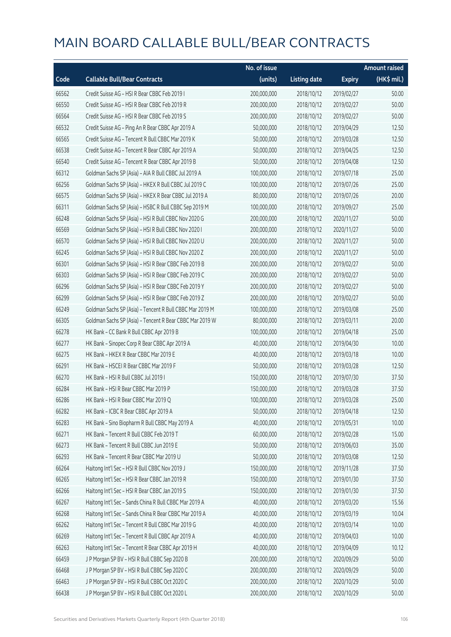|       |                                                          | No. of issue |                     |               | <b>Amount raised</b> |
|-------|----------------------------------------------------------|--------------|---------------------|---------------|----------------------|
| Code  | <b>Callable Bull/Bear Contracts</b>                      | (units)      | <b>Listing date</b> | <b>Expiry</b> | (HK\$ mil.)          |
| 66562 | Credit Suisse AG - HSI R Bear CBBC Feb 2019 I            | 200,000,000  | 2018/10/12          | 2019/02/27    | 50.00                |
| 66550 | Credit Suisse AG - HSI R Bear CBBC Feb 2019 R            | 200,000,000  | 2018/10/12          | 2019/02/27    | 50.00                |
| 66564 | Credit Suisse AG - HSI R Bear CBBC Feb 2019 S            | 200,000,000  | 2018/10/12          | 2019/02/27    | 50.00                |
| 66532 | Credit Suisse AG - Ping An R Bear CBBC Apr 2019 A        | 50,000,000   | 2018/10/12          | 2019/04/29    | 12.50                |
| 66565 | Credit Suisse AG - Tencent R Bull CBBC Mar 2019 K        | 50,000,000   | 2018/10/12          | 2019/03/28    | 12.50                |
| 66538 | Credit Suisse AG - Tencent R Bear CBBC Apr 2019 A        | 50,000,000   | 2018/10/12          | 2019/04/25    | 12.50                |
| 66540 | Credit Suisse AG - Tencent R Bear CBBC Apr 2019 B        | 50,000,000   | 2018/10/12          | 2019/04/08    | 12.50                |
| 66312 | Goldman Sachs SP (Asia) - AIA R Bull CBBC Jul 2019 A     | 100,000,000  | 2018/10/12          | 2019/07/18    | 25.00                |
| 66256 | Goldman Sachs SP (Asia) - HKEX R Bull CBBC Jul 2019 C    | 100,000,000  | 2018/10/12          | 2019/07/26    | 25.00                |
| 66575 | Goldman Sachs SP (Asia) - HKEX R Bear CBBC Jul 2019 A    | 80,000,000   | 2018/10/12          | 2019/07/26    | 20.00                |
| 66311 | Goldman Sachs SP (Asia) - HSBC R Bull CBBC Sep 2019 M    | 100,000,000  | 2018/10/12          | 2019/09/27    | 25.00                |
| 66248 | Goldman Sachs SP (Asia) - HSI R Bull CBBC Nov 2020 G     | 200,000,000  | 2018/10/12          | 2020/11/27    | 50.00                |
| 66569 | Goldman Sachs SP (Asia) - HSI R Bull CBBC Nov 2020 I     | 200,000,000  | 2018/10/12          | 2020/11/27    | 50.00                |
| 66570 | Goldman Sachs SP (Asia) - HSI R Bull CBBC Nov 2020 U     | 200,000,000  | 2018/10/12          | 2020/11/27    | 50.00                |
| 66245 | Goldman Sachs SP (Asia) - HSI R Bull CBBC Nov 2020 Z     | 200,000,000  | 2018/10/12          | 2020/11/27    | 50.00                |
| 66301 | Goldman Sachs SP (Asia) - HSI R Bear CBBC Feb 2019 B     | 200,000,000  | 2018/10/12          | 2019/02/27    | 50.00                |
| 66303 | Goldman Sachs SP (Asia) - HSI R Bear CBBC Feb 2019 C     | 200,000,000  | 2018/10/12          | 2019/02/27    | 50.00                |
| 66296 | Goldman Sachs SP (Asia) - HSI R Bear CBBC Feb 2019 Y     | 200,000,000  | 2018/10/12          | 2019/02/27    | 50.00                |
| 66299 | Goldman Sachs SP (Asia) - HSI R Bear CBBC Feb 2019 Z     | 200,000,000  | 2018/10/12          | 2019/02/27    | 50.00                |
| 66249 | Goldman Sachs SP (Asia) - Tencent R Bull CBBC Mar 2019 M | 100,000,000  | 2018/10/12          | 2019/03/08    | 25.00                |
| 66305 | Goldman Sachs SP (Asia) - Tencent R Bear CBBC Mar 2019 W | 80,000,000   | 2018/10/12          | 2019/03/11    | 20.00                |
| 66278 | HK Bank - CC Bank R Bull CBBC Apr 2019 B                 | 100,000,000  | 2018/10/12          | 2019/04/18    | 25.00                |
| 66277 | HK Bank - Sinopec Corp R Bear CBBC Apr 2019 A            | 40,000,000   | 2018/10/12          | 2019/04/30    | 10.00                |
| 66275 | HK Bank - HKEX R Bear CBBC Mar 2019 E                    | 40,000,000   | 2018/10/12          | 2019/03/18    | 10.00                |
| 66291 | HK Bank - HSCEI R Bear CBBC Mar 2019 F                   | 50,000,000   | 2018/10/12          | 2019/03/28    | 12.50                |
| 66270 | HK Bank - HSI R Bull CBBC Jul 2019 I                     | 150,000,000  | 2018/10/12          | 2019/07/30    | 37.50                |
| 66284 | HK Bank - HSI R Bear CBBC Mar 2019 P                     | 150,000,000  | 2018/10/12          | 2019/03/28    | 37.50                |
| 66286 | HK Bank - HSI R Bear CBBC Mar 2019 Q                     | 100,000,000  | 2018/10/12          | 2019/03/28    | 25.00                |
| 66282 | HK Bank - ICBC R Bear CBBC Apr 2019 A                    | 50,000,000   | 2018/10/12          | 2019/04/18    | 12.50                |
| 66283 | HK Bank - Sino Biopharm R Bull CBBC May 2019 A           | 40,000,000   | 2018/10/12          | 2019/05/31    | 10.00                |
| 66271 | HK Bank - Tencent R Bull CBBC Feb 2019 T                 | 60,000,000   | 2018/10/12          | 2019/02/28    | 15.00                |
| 66273 | HK Bank - Tencent R Bull CBBC Jun 2019 E                 | 50,000,000   | 2018/10/12          | 2019/06/03    | 35.00                |
| 66293 | HK Bank - Tencent R Bear CBBC Mar 2019 U                 | 50,000,000   | 2018/10/12          | 2019/03/08    | 12.50                |
| 66264 | Haitong Int'l Sec - HSI R Bull CBBC Nov 2019 J           | 150,000,000  | 2018/10/12          | 2019/11/28    | 37.50                |
| 66265 | Haitong Int'l Sec - HSI R Bear CBBC Jan 2019 R           | 150,000,000  | 2018/10/12          | 2019/01/30    | 37.50                |
| 66266 | Haitong Int'l Sec - HSI R Bear CBBC Jan 2019 S           | 150,000,000  | 2018/10/12          | 2019/01/30    | 37.50                |
| 66267 | Haitong Int'l Sec - Sands China R Bull CBBC Mar 2019 A   | 40,000,000   | 2018/10/12          | 2019/03/20    | 15.56                |
| 66268 | Haitong Int'l Sec - Sands China R Bear CBBC Mar 2019 A   | 40,000,000   | 2018/10/12          | 2019/03/19    | 10.04                |
| 66262 | Haitong Int'l Sec - Tencent R Bull CBBC Mar 2019 G       | 40,000,000   | 2018/10/12          | 2019/03/14    | 10.00                |
| 66269 | Haitong Int'l Sec - Tencent R Bull CBBC Apr 2019 A       | 40,000,000   | 2018/10/12          | 2019/04/03    | 10.00                |
| 66263 | Haitong Int'l Sec - Tencent R Bear CBBC Apr 2019 H       | 40,000,000   | 2018/10/12          | 2019/04/09    | 10.12                |
| 66459 | J P Morgan SP BV - HSI R Bull CBBC Sep 2020 B            | 200,000,000  | 2018/10/12          | 2020/09/29    | 50.00                |
| 66468 | J P Morgan SP BV - HSI R Bull CBBC Sep 2020 C            | 200,000,000  | 2018/10/12          | 2020/09/29    | 50.00                |
| 66463 | J P Morgan SP BV - HSI R Bull CBBC Oct 2020 C            | 200,000,000  | 2018/10/12          | 2020/10/29    | 50.00                |
| 66438 | J P Morgan SP BV - HSI R Bull CBBC Oct 2020 L            | 200,000,000  | 2018/10/12          | 2020/10/29    | 50.00                |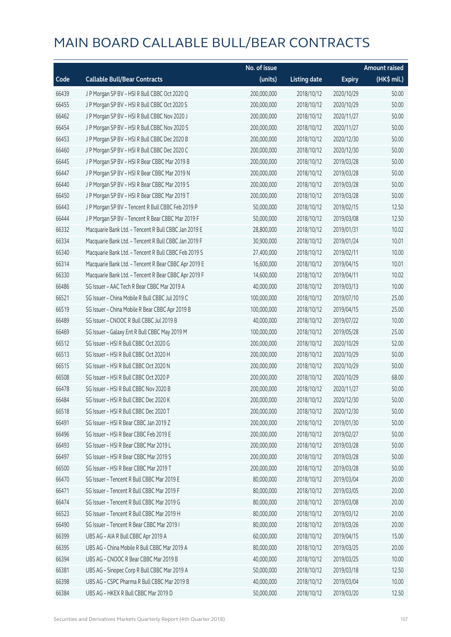|       |                                                      | No. of issue |                     |               | <b>Amount raised</b> |
|-------|------------------------------------------------------|--------------|---------------------|---------------|----------------------|
| Code  | <b>Callable Bull/Bear Contracts</b>                  | (units)      | <b>Listing date</b> | <b>Expiry</b> | (HK\$ mil.)          |
| 66439 | J P Morgan SP BV - HSI R Bull CBBC Oct 2020 Q        | 200,000,000  | 2018/10/12          | 2020/10/29    | 50.00                |
| 66455 | J P Morgan SP BV - HSI R Bull CBBC Oct 2020 S        | 200,000,000  | 2018/10/12          | 2020/10/29    | 50.00                |
| 66462 | J P Morgan SP BV - HSI R Bull CBBC Nov 2020 J        | 200,000,000  | 2018/10/12          | 2020/11/27    | 50.00                |
| 66454 | J P Morgan SP BV - HSI R Bull CBBC Nov 2020 S        | 200,000,000  | 2018/10/12          | 2020/11/27    | 50.00                |
| 66453 | J P Morgan SP BV - HSI R Bull CBBC Dec 2020 B        | 200,000,000  | 2018/10/12          | 2020/12/30    | 50.00                |
| 66460 | J P Morgan SP BV - HSI R Bull CBBC Dec 2020 C        | 200,000,000  | 2018/10/12          | 2020/12/30    | 50.00                |
| 66445 | J P Morgan SP BV - HSI R Bear CBBC Mar 2019 B        | 200,000,000  | 2018/10/12          | 2019/03/28    | 50.00                |
| 66447 | J P Morgan SP BV - HSI R Bear CBBC Mar 2019 N        | 200,000,000  | 2018/10/12          | 2019/03/28    | 50.00                |
| 66440 | J P Morgan SP BV - HSI R Bear CBBC Mar 2019 S        | 200,000,000  | 2018/10/12          | 2019/03/28    | 50.00                |
| 66450 | J P Morgan SP BV - HSI R Bear CBBC Mar 2019 T        | 200,000,000  | 2018/10/12          | 2019/03/28    | 50.00                |
| 66443 | J P Morgan SP BV - Tencent R Bull CBBC Feb 2019 P    | 50,000,000   | 2018/10/12          | 2019/02/15    | 12.50                |
| 66444 | J P Morgan SP BV - Tencent R Bear CBBC Mar 2019 F    | 50,000,000   | 2018/10/12          | 2019/03/08    | 12.50                |
| 66332 | Macquarie Bank Ltd. - Tencent R Bull CBBC Jan 2019 E | 28,800,000   | 2018/10/12          | 2019/01/31    | 10.02                |
| 66334 | Macquarie Bank Ltd. - Tencent R Bull CBBC Jan 2019 F | 30,900,000   | 2018/10/12          | 2019/01/24    | 10.01                |
| 66340 | Macquarie Bank Ltd. - Tencent R Bull CBBC Feb 2019 S | 27,400,000   | 2018/10/12          | 2019/02/11    | 10.00                |
| 66314 | Macquarie Bank Ltd. - Tencent R Bear CBBC Apr 2019 E | 16,600,000   | 2018/10/12          | 2019/04/15    | 10.01                |
| 66330 | Macquarie Bank Ltd. - Tencent R Bear CBBC Apr 2019 F | 14,600,000   | 2018/10/12          | 2019/04/11    | 10.02                |
| 66486 | SG Issuer - AAC Tech R Bear CBBC Mar 2019 A          | 40,000,000   | 2018/10/12          | 2019/03/13    | 10.00                |
| 66521 | SG Issuer - China Mobile R Bull CBBC Jul 2019 C      | 100,000,000  | 2018/10/12          | 2019/07/10    | 25.00                |
| 66519 | SG Issuer - China Mobile R Bear CBBC Apr 2019 B      | 100,000,000  | 2018/10/12          | 2019/04/15    | 25.00                |
| 66489 | SG Issuer - CNOOC R Bull CBBC Jul 2019 B             | 40,000,000   | 2018/10/12          | 2019/07/22    | 10.00                |
| 66469 | SG Issuer - Galaxy Ent R Bull CBBC May 2019 M        | 100,000,000  | 2018/10/12          | 2019/05/28    | 25.00                |
| 66512 | SG Issuer - HSI R Bull CBBC Oct 2020 G               | 200,000,000  | 2018/10/12          | 2020/10/29    | 52.00                |
| 66513 | SG Issuer - HSI R Bull CBBC Oct 2020 H               | 200,000,000  | 2018/10/12          | 2020/10/29    | 50.00                |
| 66515 | SG Issuer - HSI R Bull CBBC Oct 2020 N               | 200,000,000  | 2018/10/12          | 2020/10/29    | 50.00                |
| 66508 | SG Issuer - HSI R Bull CBBC Oct 2020 P               | 200,000,000  | 2018/10/12          | 2020/10/29    | 68.00                |
| 66478 | SG Issuer - HSI R Bull CBBC Nov 2020 B               | 200,000,000  | 2018/10/12          | 2020/11/27    | 50.00                |
| 66484 | SG Issuer – HSI R Bull CBBC Dec 2020 K               | 200,000,000  | 2018/10/12          | 2020/12/30    | 50.00                |
| 66518 | SG Issuer - HSI R Bull CBBC Dec 2020 T               | 200,000,000  | 2018/10/12          | 2020/12/30    | 50.00                |
| 66491 | SG Issuer - HSI R Bear CBBC Jan 2019 Z               | 200,000,000  | 2018/10/12          | 2019/01/30    | 50.00                |
| 66496 | SG Issuer - HSI R Bear CBBC Feb 2019 E               | 200,000,000  | 2018/10/12          | 2019/02/27    | 50.00                |
| 66493 | SG Issuer - HSI R Bear CBBC Mar 2019 L               | 200,000,000  | 2018/10/12          | 2019/03/28    | 50.00                |
| 66497 | SG Issuer - HSI R Bear CBBC Mar 2019 S               | 200,000,000  | 2018/10/12          | 2019/03/28    | 50.00                |
| 66500 | SG Issuer - HSI R Bear CBBC Mar 2019 T               | 200,000,000  | 2018/10/12          | 2019/03/28    | 50.00                |
| 66470 | SG Issuer - Tencent R Bull CBBC Mar 2019 E           | 80,000,000   | 2018/10/12          | 2019/03/04    | 20.00                |
| 66471 | SG Issuer - Tencent R Bull CBBC Mar 2019 F           | 80,000,000   | 2018/10/12          | 2019/03/05    | 20.00                |
| 66474 | SG Issuer - Tencent R Bull CBBC Mar 2019 G           | 80,000,000   | 2018/10/12          | 2019/03/08    | 20.00                |
| 66523 | SG Issuer - Tencent R Bull CBBC Mar 2019 H           | 80,000,000   | 2018/10/12          | 2019/03/12    | 20.00                |
| 66490 | SG Issuer - Tencent R Bear CBBC Mar 2019 I           | 80,000,000   | 2018/10/12          | 2019/03/26    | 20.00                |
| 66399 | UBS AG - AIA R Bull CBBC Apr 2019 A                  | 60,000,000   | 2018/10/12          | 2019/04/15    | 15.00                |
| 66395 | UBS AG - China Mobile R Bull CBBC Mar 2019 A         | 80,000,000   | 2018/10/12          | 2019/03/25    | 20.00                |
| 66394 | UBS AG - CNOOC R Bear CBBC Mar 2019 B                | 40,000,000   | 2018/10/12          | 2019/03/25    | 10.00                |
| 66381 | UBS AG - Sinopec Corp R Bull CBBC Mar 2019 A         | 50,000,000   | 2018/10/12          | 2019/03/18    | 12.50                |
| 66398 | UBS AG - CSPC Pharma R Bull CBBC Mar 2019 B          | 40,000,000   | 2018/10/12          | 2019/03/04    | 10.00                |
| 66384 | UBS AG - HKEX R Bull CBBC Mar 2019 D                 | 50,000,000   | 2018/10/12          | 2019/03/20    | 12.50                |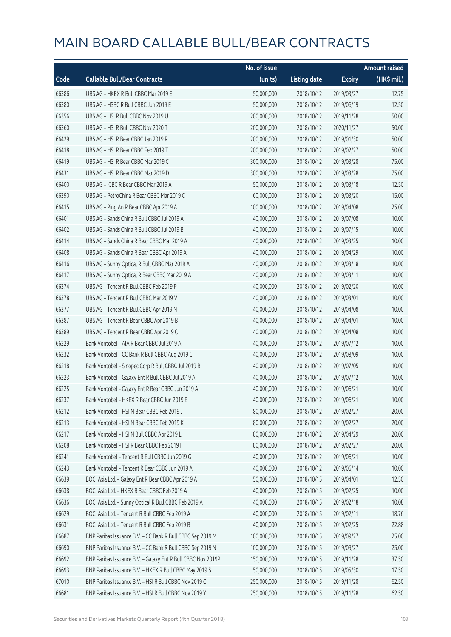|       |                                                              | No. of issue |                     |               | <b>Amount raised</b> |
|-------|--------------------------------------------------------------|--------------|---------------------|---------------|----------------------|
| Code  | <b>Callable Bull/Bear Contracts</b>                          | (units)      | <b>Listing date</b> | <b>Expiry</b> | (HK\$ mil.)          |
| 66386 | UBS AG - HKEX R Bull CBBC Mar 2019 E                         | 50,000,000   | 2018/10/12          | 2019/03/27    | 12.75                |
| 66380 | UBS AG - HSBC R Bull CBBC Jun 2019 E                         | 50,000,000   | 2018/10/12          | 2019/06/19    | 12.50                |
| 66356 | UBS AG - HSI R Bull CBBC Nov 2019 U                          | 200,000,000  | 2018/10/12          | 2019/11/28    | 50.00                |
| 66360 | UBS AG - HSI R Bull CBBC Nov 2020 T                          | 200,000,000  | 2018/10/12          | 2020/11/27    | 50.00                |
| 66429 | UBS AG - HSI R Bear CBBC Jan 2019 R                          | 200,000,000  | 2018/10/12          | 2019/01/30    | 50.00                |
| 66418 | UBS AG - HSI R Bear CBBC Feb 2019 T                          | 200,000,000  | 2018/10/12          | 2019/02/27    | 50.00                |
| 66419 | UBS AG - HSI R Bear CBBC Mar 2019 C                          | 300,000,000  | 2018/10/12          | 2019/03/28    | 75.00                |
| 66431 | UBS AG - HSI R Bear CBBC Mar 2019 D                          | 300,000,000  | 2018/10/12          | 2019/03/28    | 75.00                |
| 66400 | UBS AG - ICBC R Bear CBBC Mar 2019 A                         | 50,000,000   | 2018/10/12          | 2019/03/18    | 12.50                |
| 66390 | UBS AG - PetroChina R Bear CBBC Mar 2019 C                   | 60,000,000   | 2018/10/12          | 2019/03/20    | 15.00                |
| 66415 | UBS AG - Ping An R Bear CBBC Apr 2019 A                      | 100,000,000  | 2018/10/12          | 2019/04/08    | 25.00                |
| 66401 | UBS AG - Sands China R Bull CBBC Jul 2019 A                  | 40,000,000   | 2018/10/12          | 2019/07/08    | 10.00                |
| 66402 | UBS AG - Sands China R Bull CBBC Jul 2019 B                  | 40,000,000   | 2018/10/12          | 2019/07/15    | 10.00                |
| 66414 | UBS AG - Sands China R Bear CBBC Mar 2019 A                  | 40,000,000   | 2018/10/12          | 2019/03/25    | 10.00                |
| 66408 | UBS AG - Sands China R Bear CBBC Apr 2019 A                  | 40,000,000   | 2018/10/12          | 2019/04/29    | 10.00                |
| 66416 | UBS AG - Sunny Optical R Bull CBBC Mar 2019 A                | 40,000,000   | 2018/10/12          | 2019/03/18    | 10.00                |
| 66417 | UBS AG - Sunny Optical R Bear CBBC Mar 2019 A                | 40,000,000   | 2018/10/12          | 2019/03/11    | 10.00                |
| 66374 | UBS AG - Tencent R Bull CBBC Feb 2019 P                      | 40,000,000   | 2018/10/12          | 2019/02/20    | 10.00                |
| 66378 | UBS AG - Tencent R Bull CBBC Mar 2019 V                      | 40,000,000   | 2018/10/12          | 2019/03/01    | 10.00                |
| 66377 | UBS AG - Tencent R Bull CBBC Apr 2019 N                      | 40,000,000   | 2018/10/12          | 2019/04/08    | 10.00                |
| 66387 | UBS AG - Tencent R Bear CBBC Apr 2019 B                      | 40,000,000   | 2018/10/12          | 2019/04/01    | 10.00                |
| 66389 | UBS AG - Tencent R Bear CBBC Apr 2019 C                      | 40,000,000   | 2018/10/12          | 2019/04/08    | 10.00                |
| 66229 | Bank Vontobel - AIA R Bear CBBC Jul 2019 A                   | 40,000,000   | 2018/10/12          | 2019/07/12    | 10.00                |
| 66232 | Bank Vontobel - CC Bank R Bull CBBC Aug 2019 C               | 40,000,000   | 2018/10/12          | 2019/08/09    | 10.00                |
| 66218 | Bank Vontobel - Sinopec Corp R Bull CBBC Jul 2019 B          | 40,000,000   | 2018/10/12          | 2019/07/05    | 10.00                |
| 66223 | Bank Vontobel - Galaxy Ent R Bull CBBC Jul 2019 A            | 40,000,000   | 2018/10/12          | 2019/07/12    | 10.00                |
| 66225 | Bank Vontobel - Galaxy Ent R Bear CBBC Jun 2019 A            | 40,000,000   | 2018/10/12          | 2019/06/21    | 10.00                |
| 66237 | Bank Vontobel - HKEX R Bear CBBC Jun 2019 B                  | 40,000,000   | 2018/10/12          | 2019/06/21    | 10.00                |
| 66212 | Bank Vontobel - HSI N Bear CBBC Feb 2019 J                   | 80,000,000   | 2018/10/12          | 2019/02/27    | 20.00                |
| 66213 | Bank Vontobel - HSI N Bear CBBC Feb 2019 K                   | 80,000,000   | 2018/10/12          | 2019/02/27    | 20.00                |
| 66217 | Bank Vontobel - HSI N Bull CBBC Apr 2019 L                   | 80,000,000   | 2018/10/12          | 2019/04/29    | 20.00                |
| 66208 | Bank Vontobel - HSI R Bear CBBC Feb 2019 I                   | 80,000,000   | 2018/10/12          | 2019/02/27    | 20.00                |
| 66241 | Bank Vontobel - Tencent R Bull CBBC Jun 2019 G               | 40,000,000   | 2018/10/12          | 2019/06/21    | 10.00                |
| 66243 | Bank Vontobel - Tencent R Bear CBBC Jun 2019 A               | 40,000,000   | 2018/10/12          | 2019/06/14    | 10.00                |
| 66639 | BOCI Asia Ltd. - Galaxy Ent R Bear CBBC Apr 2019 A           | 50,000,000   | 2018/10/15          | 2019/04/01    | 12.50                |
| 66638 | BOCI Asia Ltd. - HKEX R Bear CBBC Feb 2019 A                 | 40,000,000   | 2018/10/15          | 2019/02/25    | 10.00                |
| 66636 | BOCI Asia Ltd. - Sunny Optical R Bull CBBC Feb 2019 A        | 40,000,000   | 2018/10/15          | 2019/02/18    | 10.08                |
| 66629 | BOCI Asia Ltd. - Tencent R Bull CBBC Feb 2019 A              | 40,000,000   | 2018/10/15          | 2019/02/11    | 18.76                |
| 66631 | BOCI Asia Ltd. - Tencent R Bull CBBC Feb 2019 B              | 40,000,000   | 2018/10/15          | 2019/02/25    | 22.88                |
| 66687 | BNP Paribas Issuance B.V. - CC Bank R Bull CBBC Sep 2019 M   | 100,000,000  | 2018/10/15          | 2019/09/27    | 25.00                |
| 66690 | BNP Paribas Issuance B.V. - CC Bank R Bull CBBC Sep 2019 N   | 100,000,000  | 2018/10/15          | 2019/09/27    | 25.00                |
| 66692 | BNP Paribas Issuance B.V. - Galaxy Ent R Bull CBBC Nov 2019P | 150,000,000  | 2018/10/15          | 2019/11/28    | 37.50                |
| 66693 | BNP Paribas Issuance B.V. - HKEX R Bull CBBC May 2019 S      | 50,000,000   | 2018/10/15          | 2019/05/30    | 17.50                |
| 67010 | BNP Paribas Issuance B.V. - HSI R Bull CBBC Nov 2019 C       | 250,000,000  | 2018/10/15          | 2019/11/28    | 62.50                |
| 66681 | BNP Paribas Issuance B.V. - HSI R Bull CBBC Nov 2019 Y       | 250,000,000  | 2018/10/15          | 2019/11/28    | 62.50                |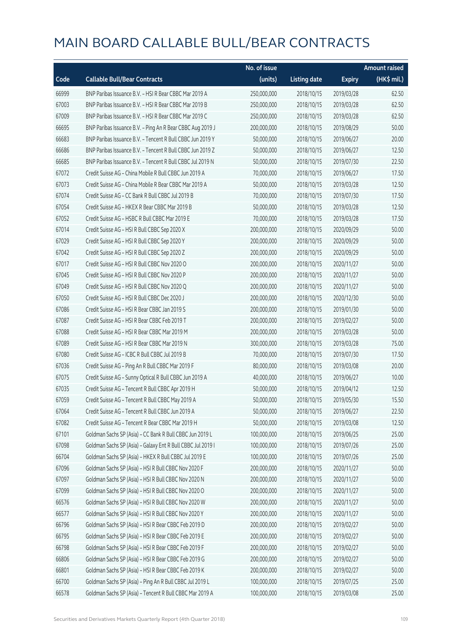|       |                                                             | No. of issue |                     |               | <b>Amount raised</b>  |
|-------|-------------------------------------------------------------|--------------|---------------------|---------------|-----------------------|
| Code  | <b>Callable Bull/Bear Contracts</b>                         | (units)      | <b>Listing date</b> | <b>Expiry</b> | $(HK\frac{1}{2}mil.)$ |
| 66999 | BNP Paribas Issuance B.V. - HSI R Bear CBBC Mar 2019 A      | 250,000,000  | 2018/10/15          | 2019/03/28    | 62.50                 |
| 67003 | BNP Paribas Issuance B.V. - HSI R Bear CBBC Mar 2019 B      | 250,000,000  | 2018/10/15          | 2019/03/28    | 62.50                 |
| 67009 | BNP Paribas Issuance B.V. - HSI R Bear CBBC Mar 2019 C      | 250,000,000  | 2018/10/15          | 2019/03/28    | 62.50                 |
| 66695 | BNP Paribas Issuance B.V. - Ping An R Bear CBBC Aug 2019 J  | 200,000,000  | 2018/10/15          | 2019/08/29    | 50.00                 |
| 66683 | BNP Paribas Issuance B.V. - Tencent R Bull CBBC Jun 2019 Y  | 50,000,000   | 2018/10/15          | 2019/06/27    | 20.00                 |
| 66686 | BNP Paribas Issuance B.V. - Tencent R Bull CBBC Jun 2019 Z  | 50,000,000   | 2018/10/15          | 2019/06/27    | 12.50                 |
| 66685 | BNP Paribas Issuance B.V. - Tencent R Bull CBBC Jul 2019 N  | 50,000,000   | 2018/10/15          | 2019/07/30    | 22.50                 |
| 67072 | Credit Suisse AG - China Mobile R Bull CBBC Jun 2019 A      | 70,000,000   | 2018/10/15          | 2019/06/27    | 17.50                 |
| 67073 | Credit Suisse AG - China Mobile R Bear CBBC Mar 2019 A      | 50,000,000   | 2018/10/15          | 2019/03/28    | 12.50                 |
| 67074 | Credit Suisse AG - CC Bank R Bull CBBC Jul 2019 B           | 70,000,000   | 2018/10/15          | 2019/07/30    | 17.50                 |
| 67054 | Credit Suisse AG - HKEX R Bear CBBC Mar 2019 B              | 50,000,000   | 2018/10/15          | 2019/03/28    | 12.50                 |
| 67052 | Credit Suisse AG - HSBC R Bull CBBC Mar 2019 E              | 70,000,000   | 2018/10/15          | 2019/03/28    | 17.50                 |
| 67014 | Credit Suisse AG - HSI R Bull CBBC Sep 2020 X               | 200,000,000  | 2018/10/15          | 2020/09/29    | 50.00                 |
| 67029 | Credit Suisse AG - HSI R Bull CBBC Sep 2020 Y               | 200,000,000  | 2018/10/15          | 2020/09/29    | 50.00                 |
| 67042 | Credit Suisse AG - HSI R Bull CBBC Sep 2020 Z               | 200,000,000  | 2018/10/15          | 2020/09/29    | 50.00                 |
| 67017 | Credit Suisse AG - HSI R Bull CBBC Nov 2020 O               | 200,000,000  | 2018/10/15          | 2020/11/27    | 50.00                 |
| 67045 | Credit Suisse AG - HSI R Bull CBBC Nov 2020 P               | 200,000,000  | 2018/10/15          | 2020/11/27    | 50.00                 |
| 67049 | Credit Suisse AG - HSI R Bull CBBC Nov 2020 Q               | 200,000,000  | 2018/10/15          | 2020/11/27    | 50.00                 |
| 67050 | Credit Suisse AG - HSI R Bull CBBC Dec 2020 J               | 200,000,000  | 2018/10/15          | 2020/12/30    | 50.00                 |
| 67086 | Credit Suisse AG - HSI R Bear CBBC Jan 2019 S               | 200,000,000  | 2018/10/15          | 2019/01/30    | 50.00                 |
| 67087 | Credit Suisse AG - HSI R Bear CBBC Feb 2019 T               | 200,000,000  | 2018/10/15          | 2019/02/27    | 50.00                 |
| 67088 | Credit Suisse AG - HSI R Bear CBBC Mar 2019 M               | 200,000,000  | 2018/10/15          | 2019/03/28    | 50.00                 |
| 67089 | Credit Suisse AG - HSI R Bear CBBC Mar 2019 N               | 300,000,000  | 2018/10/15          | 2019/03/28    | 75.00                 |
| 67080 | Credit Suisse AG - ICBC R Bull CBBC Jul 2019 B              | 70,000,000   | 2018/10/15          | 2019/07/30    | 17.50                 |
| 67036 | Credit Suisse AG - Ping An R Bull CBBC Mar 2019 F           | 80,000,000   | 2018/10/15          | 2019/03/08    | 20.00                 |
| 67075 | Credit Suisse AG - Sunny Optical R Bull CBBC Jun 2019 A     | 40,000,000   | 2018/10/15          | 2019/06/27    | 10.00                 |
| 67035 | Credit Suisse AG - Tencent R Bull CBBC Apr 2019 H           | 50,000,000   | 2018/10/15          | 2019/04/12    | 12.50                 |
| 67059 | Credit Suisse AG - Tencent R Bull CBBC May 2019 A           | 50,000,000   | 2018/10/15          | 2019/05/30    | 15.50                 |
| 67064 | Credit Suisse AG - Tencent R Bull CBBC Jun 2019 A           | 50,000,000   | 2018/10/15          | 2019/06/27    | 22.50                 |
| 67082 | Credit Suisse AG - Tencent R Bear CBBC Mar 2019 H           | 50,000,000   | 2018/10/15          | 2019/03/08    | 12.50                 |
| 67101 | Goldman Sachs SP (Asia) - CC Bank R Bull CBBC Jun 2019 L    | 100,000,000  | 2018/10/15          | 2019/06/25    | 25.00                 |
| 67098 | Goldman Sachs SP (Asia) - Galaxy Ent R Bull CBBC Jul 2019 I | 100,000,000  | 2018/10/15          | 2019/07/26    | 25.00                 |
| 66704 | Goldman Sachs SP (Asia) - HKEX R Bull CBBC Jul 2019 E       | 100,000,000  | 2018/10/15          | 2019/07/26    | 25.00                 |
| 67096 | Goldman Sachs SP (Asia) - HSI R Bull CBBC Nov 2020 F        | 200,000,000  | 2018/10/15          | 2020/11/27    | 50.00                 |
| 67097 | Goldman Sachs SP (Asia) - HSI R Bull CBBC Nov 2020 N        | 200,000,000  | 2018/10/15          | 2020/11/27    | 50.00                 |
| 67099 | Goldman Sachs SP (Asia) - HSI R Bull CBBC Nov 2020 O        | 200,000,000  | 2018/10/15          | 2020/11/27    | 50.00                 |
| 66576 | Goldman Sachs SP (Asia) - HSI R Bull CBBC Nov 2020 W        | 200,000,000  | 2018/10/15          | 2020/11/27    | 50.00                 |
| 66577 | Goldman Sachs SP (Asia) - HSI R Bull CBBC Nov 2020 Y        | 200,000,000  | 2018/10/15          | 2020/11/27    | 50.00                 |
| 66796 | Goldman Sachs SP (Asia) - HSI R Bear CBBC Feb 2019 D        | 200,000,000  | 2018/10/15          | 2019/02/27    | 50.00                 |
| 66795 | Goldman Sachs SP (Asia) - HSI R Bear CBBC Feb 2019 E        | 200,000,000  | 2018/10/15          | 2019/02/27    | 50.00                 |
| 66798 | Goldman Sachs SP (Asia) - HSI R Bear CBBC Feb 2019 F        | 200,000,000  | 2018/10/15          | 2019/02/27    | 50.00                 |
| 66806 | Goldman Sachs SP (Asia) - HSI R Bear CBBC Feb 2019 G        | 200,000,000  | 2018/10/15          | 2019/02/27    | 50.00                 |
| 66801 | Goldman Sachs SP (Asia) - HSI R Bear CBBC Feb 2019 K        | 200,000,000  | 2018/10/15          | 2019/02/27    | 50.00                 |
| 66700 | Goldman Sachs SP (Asia) - Ping An R Bull CBBC Jul 2019 L    | 100,000,000  | 2018/10/15          | 2019/07/25    | 25.00                 |
| 66578 | Goldman Sachs SP (Asia) - Tencent R Bull CBBC Mar 2019 A    | 100,000,000  | 2018/10/15          | 2019/03/08    | 25.00                 |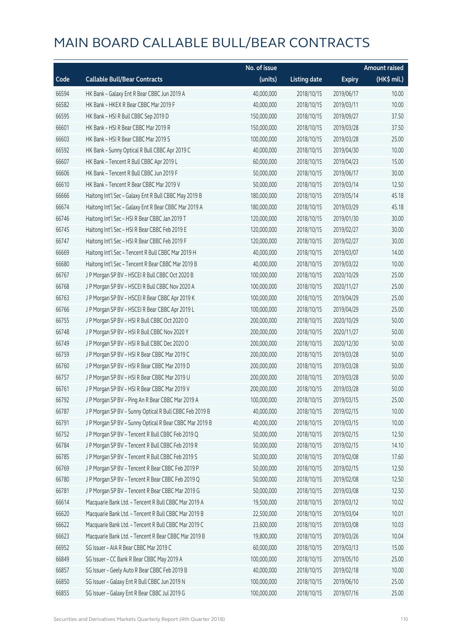|       |                                                         | No. of issue |                     |               | Amount raised         |
|-------|---------------------------------------------------------|--------------|---------------------|---------------|-----------------------|
| Code  | <b>Callable Bull/Bear Contracts</b>                     | (units)      | <b>Listing date</b> | <b>Expiry</b> | $(HK\frac{1}{2}mil.)$ |
| 66594 | HK Bank - Galaxy Ent R Bear CBBC Jun 2019 A             | 40,000,000   | 2018/10/15          | 2019/06/17    | 10.00                 |
| 66582 | HK Bank - HKEX R Bear CBBC Mar 2019 F                   | 40,000,000   | 2018/10/15          | 2019/03/11    | 10.00                 |
| 66595 | HK Bank - HSI R Bull CBBC Sep 2019 D                    | 150,000,000  | 2018/10/15          | 2019/09/27    | 37.50                 |
| 66601 | HK Bank - HSI R Bear CBBC Mar 2019 R                    | 150,000,000  | 2018/10/15          | 2019/03/28    | 37.50                 |
| 66603 | HK Bank - HSI R Bear CBBC Mar 2019 S                    | 100,000,000  | 2018/10/15          | 2019/03/28    | 25.00                 |
| 66592 | HK Bank - Sunny Optical R Bull CBBC Apr 2019 C          | 40,000,000   | 2018/10/15          | 2019/04/30    | 10.00                 |
| 66607 | HK Bank - Tencent R Bull CBBC Apr 2019 L                | 60,000,000   | 2018/10/15          | 2019/04/23    | 15.00                 |
| 66606 | HK Bank - Tencent R Bull CBBC Jun 2019 F                | 50,000,000   | 2018/10/15          | 2019/06/17    | 30.00                 |
| 66610 | HK Bank - Tencent R Bear CBBC Mar 2019 V                | 50,000,000   | 2018/10/15          | 2019/03/14    | 12.50                 |
| 66666 | Haitong Int'l Sec - Galaxy Ent R Bull CBBC May 2019 B   | 180,000,000  | 2018/10/15          | 2019/05/14    | 45.18                 |
| 66674 | Haitong Int'l Sec - Galaxy Ent R Bear CBBC Mar 2019 A   | 180,000,000  | 2018/10/15          | 2019/03/29    | 45.18                 |
| 66746 | Haitong Int'l Sec - HSI R Bear CBBC Jan 2019 T          | 120,000,000  | 2018/10/15          | 2019/01/30    | 30.00                 |
| 66745 | Haitong Int'l Sec - HSI R Bear CBBC Feb 2019 E          | 120,000,000  | 2018/10/15          | 2019/02/27    | 30.00                 |
| 66747 | Haitong Int'l Sec - HSI R Bear CBBC Feb 2019 F          | 120,000,000  | 2018/10/15          | 2019/02/27    | 30.00                 |
| 66669 | Haitong Int'l Sec - Tencent R Bull CBBC Mar 2019 H      | 40,000,000   | 2018/10/15          | 2019/03/07    | 14.00                 |
| 66680 | Haitong Int'l Sec - Tencent R Bear CBBC Mar 2019 B      | 40,000,000   | 2018/10/15          | 2019/03/22    | 10.00                 |
| 66767 | J P Morgan SP BV - HSCEI R Bull CBBC Oct 2020 B         | 100,000,000  | 2018/10/15          | 2020/10/29    | 25.00                 |
| 66768 | J P Morgan SP BV - HSCEI R Bull CBBC Nov 2020 A         | 100,000,000  | 2018/10/15          | 2020/11/27    | 25.00                 |
| 66763 | J P Morgan SP BV - HSCEI R Bear CBBC Apr 2019 K         | 100,000,000  | 2018/10/15          | 2019/04/29    | 25.00                 |
| 66766 | J P Morgan SP BV - HSCEI R Bear CBBC Apr 2019 L         | 100,000,000  | 2018/10/15          | 2019/04/29    | 25.00                 |
| 66755 | J P Morgan SP BV - HSI R Bull CBBC Oct 2020 O           | 200,000,000  | 2018/10/15          | 2020/10/29    | 50.00                 |
| 66748 | J P Morgan SP BV - HSI R Bull CBBC Nov 2020 Y           | 200,000,000  | 2018/10/15          | 2020/11/27    | 50.00                 |
| 66749 | J P Morgan SP BV - HSI R Bull CBBC Dec 2020 O           | 200,000,000  | 2018/10/15          | 2020/12/30    | 50.00                 |
| 66759 | J P Morgan SP BV - HSI R Bear CBBC Mar 2019 C           | 200,000,000  | 2018/10/15          | 2019/03/28    | 50.00                 |
| 66760 | J P Morgan SP BV - HSI R Bear CBBC Mar 2019 D           | 200,000,000  | 2018/10/15          | 2019/03/28    | 50.00                 |
| 66757 | J P Morgan SP BV - HSI R Bear CBBC Mar 2019 U           | 200,000,000  | 2018/10/15          | 2019/03/28    | 50.00                 |
| 66761 | J P Morgan SP BV - HSI R Bear CBBC Mar 2019 V           | 200,000,000  | 2018/10/15          | 2019/03/28    | 50.00                 |
| 66792 | J P Morgan SP BV - Ping An R Bear CBBC Mar 2019 A       | 100,000,000  | 2018/10/15          | 2019/03/15    | 25.00                 |
| 66787 | J P Morgan SP BV - Sunny Optical R Bull CBBC Feb 2019 B | 40,000,000   | 2018/10/15          | 2019/02/15    | 10.00                 |
| 66791 | J P Morgan SP BV - Sunny Optical R Bear CBBC Mar 2019 B | 40,000,000   | 2018/10/15          | 2019/03/15    | 10.00                 |
| 66752 | J P Morgan SP BV - Tencent R Bull CBBC Feb 2019 Q       | 50,000,000   | 2018/10/15          | 2019/02/15    | 12.50                 |
| 66784 | J P Morgan SP BV - Tencent R Bull CBBC Feb 2019 R       | 50,000,000   | 2018/10/15          | 2019/02/15    | 14.10                 |
| 66785 | J P Morgan SP BV - Tencent R Bull CBBC Feb 2019 S       | 50,000,000   | 2018/10/15          | 2019/02/08    | 17.60                 |
| 66769 | J P Morgan SP BV - Tencent R Bear CBBC Feb 2019 P       | 50,000,000   | 2018/10/15          | 2019/02/15    | 12.50                 |
| 66780 | J P Morgan SP BV - Tencent R Bear CBBC Feb 2019 Q       | 50,000,000   | 2018/10/15          | 2019/02/08    | 12.50                 |
| 66781 | J P Morgan SP BV - Tencent R Bear CBBC Mar 2019 G       | 50,000,000   | 2018/10/15          | 2019/03/08    | 12.50                 |
| 66614 | Macquarie Bank Ltd. - Tencent R Bull CBBC Mar 2019 A    | 19,500,000   | 2018/10/15          | 2019/03/12    | 10.02                 |
| 66620 | Macquarie Bank Ltd. - Tencent R Bull CBBC Mar 2019 B    | 22,500,000   | 2018/10/15          | 2019/03/04    | 10.01                 |
| 66622 | Macquarie Bank Ltd. - Tencent R Bull CBBC Mar 2019 C    | 23,600,000   | 2018/10/15          | 2019/03/08    | 10.03                 |
| 66623 | Macquarie Bank Ltd. - Tencent R Bear CBBC Mar 2019 B    | 19,800,000   | 2018/10/15          | 2019/03/26    | 10.04                 |
| 66952 | SG Issuer - AIA R Bear CBBC Mar 2019 C                  | 60,000,000   | 2018/10/15          | 2019/03/13    | 15.00                 |
| 66849 | SG Issuer - CC Bank R Bear CBBC May 2019 A              | 100,000,000  | 2018/10/15          | 2019/05/10    | 25.00                 |
| 66857 | SG Issuer - Geely Auto R Bear CBBC Feb 2019 B           | 40,000,000   | 2018/10/15          | 2019/02/18    | 10.00                 |
| 66850 | SG Issuer - Galaxy Ent R Bull CBBC Jun 2019 N           | 100,000,000  | 2018/10/15          | 2019/06/10    | 25.00                 |
| 66855 | SG Issuer - Galaxy Ent R Bear CBBC Jul 2019 G           | 100,000,000  | 2018/10/15          | 2019/07/16    | 25.00                 |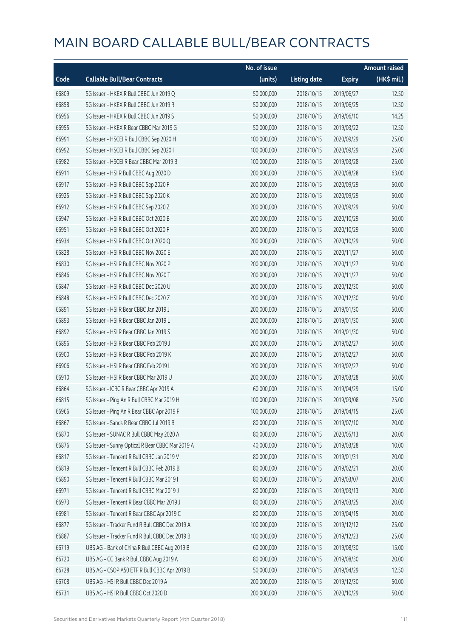|       |                                                  | No. of issue |                     |               | <b>Amount raised</b> |
|-------|--------------------------------------------------|--------------|---------------------|---------------|----------------------|
| Code  | <b>Callable Bull/Bear Contracts</b>              | (units)      | <b>Listing date</b> | <b>Expiry</b> | (HK\$ mil.)          |
| 66809 | SG Issuer - HKEX R Bull CBBC Jun 2019 Q          | 50,000,000   | 2018/10/15          | 2019/06/27    | 12.50                |
| 66858 | SG Issuer - HKEX R Bull CBBC Jun 2019 R          | 50,000,000   | 2018/10/15          | 2019/06/25    | 12.50                |
| 66956 | SG Issuer - HKEX R Bull CBBC Jun 2019 S          | 50,000,000   | 2018/10/15          | 2019/06/10    | 14.25                |
| 66955 | SG Issuer - HKEX R Bear CBBC Mar 2019 G          | 50,000,000   | 2018/10/15          | 2019/03/22    | 12.50                |
| 66991 | SG Issuer - HSCEI R Bull CBBC Sep 2020 H         | 100,000,000  | 2018/10/15          | 2020/09/29    | 25.00                |
| 66992 | SG Issuer - HSCEI R Bull CBBC Sep 2020 I         | 100,000,000  | 2018/10/15          | 2020/09/29    | 25.00                |
| 66982 | SG Issuer - HSCEI R Bear CBBC Mar 2019 B         | 100,000,000  | 2018/10/15          | 2019/03/28    | 25.00                |
| 66911 | SG Issuer - HSI R Bull CBBC Aug 2020 D           | 200,000,000  | 2018/10/15          | 2020/08/28    | 63.00                |
| 66917 | SG Issuer - HSI R Bull CBBC Sep 2020 F           | 200,000,000  | 2018/10/15          | 2020/09/29    | 50.00                |
| 66925 | SG Issuer - HSI R Bull CBBC Sep 2020 K           | 200,000,000  | 2018/10/15          | 2020/09/29    | 50.00                |
| 66912 | SG Issuer - HSI R Bull CBBC Sep 2020 Z           | 200,000,000  | 2018/10/15          | 2020/09/29    | 50.00                |
| 66947 | SG Issuer - HSI R Bull CBBC Oct 2020 B           | 200,000,000  | 2018/10/15          | 2020/10/29    | 50.00                |
| 66951 | SG Issuer - HSI R Bull CBBC Oct 2020 F           | 200,000,000  | 2018/10/15          | 2020/10/29    | 50.00                |
| 66934 | SG Issuer - HSI R Bull CBBC Oct 2020 Q           | 200,000,000  | 2018/10/15          | 2020/10/29    | 50.00                |
| 66828 | SG Issuer - HSI R Bull CBBC Nov 2020 E           | 200,000,000  | 2018/10/15          | 2020/11/27    | 50.00                |
| 66830 | SG Issuer - HSI R Bull CBBC Nov 2020 P           | 200,000,000  | 2018/10/15          | 2020/11/27    | 50.00                |
| 66846 | SG Issuer - HSI R Bull CBBC Nov 2020 T           | 200,000,000  | 2018/10/15          | 2020/11/27    | 50.00                |
| 66847 | SG Issuer - HSI R Bull CBBC Dec 2020 U           | 200,000,000  | 2018/10/15          | 2020/12/30    | 50.00                |
| 66848 | SG Issuer - HSI R Bull CBBC Dec 2020 Z           | 200,000,000  | 2018/10/15          | 2020/12/30    | 50.00                |
| 66891 | SG Issuer - HSI R Bear CBBC Jan 2019 J           | 200,000,000  | 2018/10/15          | 2019/01/30    | 50.00                |
| 66893 | SG Issuer - HSI R Bear CBBC Jan 2019 L           | 200,000,000  | 2018/10/15          | 2019/01/30    | 50.00                |
| 66892 | SG Issuer - HSI R Bear CBBC Jan 2019 S           | 200,000,000  | 2018/10/15          | 2019/01/30    | 50.00                |
| 66896 | SG Issuer - HSI R Bear CBBC Feb 2019 J           | 200,000,000  | 2018/10/15          | 2019/02/27    | 50.00                |
| 66900 | SG Issuer - HSI R Bear CBBC Feb 2019 K           | 200,000,000  | 2018/10/15          | 2019/02/27    | 50.00                |
| 66906 | SG Issuer - HSI R Bear CBBC Feb 2019 L           | 200,000,000  | 2018/10/15          | 2019/02/27    | 50.00                |
| 66910 | SG Issuer - HSI R Bear CBBC Mar 2019 U           | 200,000,000  | 2018/10/15          | 2019/03/28    | 50.00                |
| 66864 | SG Issuer - ICBC R Bear CBBC Apr 2019 A          | 60,000,000   | 2018/10/15          | 2019/04/29    | 15.00                |
| 66815 | SG Issuer - Ping An R Bull CBBC Mar 2019 H       | 100,000,000  | 2018/10/15          | 2019/03/08    | 25.00                |
| 66966 | SG Issuer - Ping An R Bear CBBC Apr 2019 F       | 100,000,000  | 2018/10/15          | 2019/04/15    | 25.00                |
| 66867 | SG Issuer - Sands R Bear CBBC Jul 2019 B         | 80,000,000   | 2018/10/15          | 2019/07/10    | 20.00                |
| 66870 | SG Issuer - SUNAC R Bull CBBC May 2020 A         | 80,000,000   | 2018/10/15          | 2020/05/13    | 20.00                |
| 66876 | SG Issuer - Sunny Optical R Bear CBBC Mar 2019 A | 40,000,000   | 2018/10/15          | 2019/03/28    | 10.00                |
| 66817 | SG Issuer - Tencent R Bull CBBC Jan 2019 V       | 80,000,000   | 2018/10/15          | 2019/01/31    | 20.00                |
| 66819 | SG Issuer - Tencent R Bull CBBC Feb 2019 B       | 80,000,000   | 2018/10/15          | 2019/02/21    | 20.00                |
| 66890 | SG Issuer - Tencent R Bull CBBC Mar 2019 I       | 80,000,000   | 2018/10/15          | 2019/03/07    | 20.00                |
| 66971 | SG Issuer - Tencent R Bull CBBC Mar 2019 J       | 80,000,000   | 2018/10/15          | 2019/03/13    | 20.00                |
| 66973 | SG Issuer - Tencent R Bear CBBC Mar 2019 J       | 80,000,000   | 2018/10/15          | 2019/03/25    | 20.00                |
| 66981 | SG Issuer - Tencent R Bear CBBC Apr 2019 C       | 80,000,000   | 2018/10/15          | 2019/04/15    | 20.00                |
| 66877 | SG Issuer - Tracker Fund R Bull CBBC Dec 2019 A  | 100,000,000  | 2018/10/15          | 2019/12/12    | 25.00                |
| 66887 | SG Issuer - Tracker Fund R Bull CBBC Dec 2019 B  | 100,000,000  | 2018/10/15          | 2019/12/23    | 25.00                |
| 66719 | UBS AG - Bank of China R Bull CBBC Aug 2019 B    | 60,000,000   | 2018/10/15          | 2019/08/30    | 15.00                |
| 66720 | UBS AG - CC Bank R Bull CBBC Aug 2019 A          | 80,000,000   | 2018/10/15          | 2019/08/30    | 20.00                |
| 66728 | UBS AG - CSOP A50 ETF R Bull CBBC Apr 2019 B     | 50,000,000   | 2018/10/15          | 2019/04/29    | 12.50                |
| 66708 | UBS AG - HSI R Bull CBBC Dec 2019 A              | 200,000,000  | 2018/10/15          | 2019/12/30    | 50.00                |
| 66731 | UBS AG - HSI R Bull CBBC Oct 2020 D              | 200,000,000  | 2018/10/15          | 2020/10/29    | 50.00                |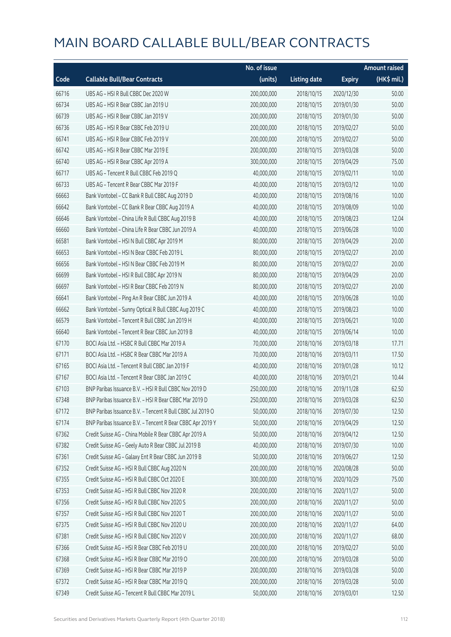|       |                                                            | No. of issue |                     |               | <b>Amount raised</b> |
|-------|------------------------------------------------------------|--------------|---------------------|---------------|----------------------|
| Code  | <b>Callable Bull/Bear Contracts</b>                        | (units)      | <b>Listing date</b> | <b>Expiry</b> | (HK\$ mil.)          |
| 66716 | UBS AG - HSI R Bull CBBC Dec 2020 W                        | 200,000,000  | 2018/10/15          | 2020/12/30    | 50.00                |
| 66734 | UBS AG - HSI R Bear CBBC Jan 2019 U                        | 200,000,000  | 2018/10/15          | 2019/01/30    | 50.00                |
| 66739 | UBS AG - HSI R Bear CBBC Jan 2019 V                        | 200,000,000  | 2018/10/15          | 2019/01/30    | 50.00                |
| 66736 | UBS AG - HSI R Bear CBBC Feb 2019 U                        | 200,000,000  | 2018/10/15          | 2019/02/27    | 50.00                |
| 66741 | UBS AG - HSI R Bear CBBC Feb 2019 V                        | 200,000,000  | 2018/10/15          | 2019/02/27    | 50.00                |
| 66742 | UBS AG - HSI R Bear CBBC Mar 2019 E                        | 200,000,000  | 2018/10/15          | 2019/03/28    | 50.00                |
| 66740 | UBS AG - HSI R Bear CBBC Apr 2019 A                        | 300,000,000  | 2018/10/15          | 2019/04/29    | 75.00                |
| 66717 | UBS AG - Tencent R Bull CBBC Feb 2019 Q                    | 40,000,000   | 2018/10/15          | 2019/02/11    | 10.00                |
| 66733 | UBS AG - Tencent R Bear CBBC Mar 2019 F                    | 40,000,000   | 2018/10/15          | 2019/03/12    | 10.00                |
| 66663 | Bank Vontobel - CC Bank R Bull CBBC Aug 2019 D             | 40,000,000   | 2018/10/15          | 2019/08/16    | 10.00                |
| 66642 | Bank Vontobel - CC Bank R Bear CBBC Aug 2019 A             | 40,000,000   | 2018/10/15          | 2019/08/09    | 10.00                |
| 66646 | Bank Vontobel - China Life R Bull CBBC Aug 2019 B          | 40,000,000   | 2018/10/15          | 2019/08/23    | 12.04                |
| 66660 | Bank Vontobel - China Life R Bear CBBC Jun 2019 A          | 40,000,000   | 2018/10/15          | 2019/06/28    | 10.00                |
| 66581 | Bank Vontobel - HSI N Bull CBBC Apr 2019 M                 | 80,000,000   | 2018/10/15          | 2019/04/29    | 20.00                |
| 66653 | Bank Vontobel - HSI N Bear CBBC Feb 2019 L                 | 80,000,000   | 2018/10/15          | 2019/02/27    | 20.00                |
| 66656 | Bank Vontobel - HSI N Bear CBBC Feb 2019 M                 | 80,000,000   | 2018/10/15          | 2019/02/27    | 20.00                |
| 66699 | Bank Vontobel - HSI R Bull CBBC Apr 2019 N                 | 80,000,000   | 2018/10/15          | 2019/04/29    | 20.00                |
| 66697 | Bank Vontobel - HSI R Bear CBBC Feb 2019 N                 | 80,000,000   | 2018/10/15          | 2019/02/27    | 20.00                |
| 66641 | Bank Vontobel - Ping An R Bear CBBC Jun 2019 A             | 40,000,000   | 2018/10/15          | 2019/06/28    | 10.00                |
| 66662 | Bank Vontobel - Sunny Optical R Bull CBBC Aug 2019 C       | 40,000,000   | 2018/10/15          | 2019/08/23    | 10.00                |
| 66579 | Bank Vontobel - Tencent R Bull CBBC Jun 2019 H             | 40,000,000   | 2018/10/15          | 2019/06/21    | 10.00                |
| 66640 | Bank Vontobel - Tencent R Bear CBBC Jun 2019 B             | 40,000,000   | 2018/10/15          | 2019/06/14    | 10.00                |
| 67170 | BOCI Asia Ltd. - HSBC R Bull CBBC Mar 2019 A               | 70,000,000   | 2018/10/16          | 2019/03/18    | 17.71                |
| 67171 | BOCI Asia Ltd. - HSBC R Bear CBBC Mar 2019 A               | 70,000,000   | 2018/10/16          | 2019/03/11    | 17.50                |
| 67165 | BOCI Asia Ltd. - Tencent R Bull CBBC Jan 2019 F            | 40,000,000   | 2018/10/16          | 2019/01/28    | 10.12                |
| 67167 | BOCI Asia Ltd. - Tencent R Bear CBBC Jan 2019 C            | 40,000,000   | 2018/10/16          | 2019/01/21    | 10.44                |
| 67103 | BNP Paribas Issuance B.V. - HSI R Bull CBBC Nov 2019 D     | 250,000,000  | 2018/10/16          | 2019/11/28    | 62.50                |
| 67348 | BNP Paribas Issuance B.V. - HSI R Bear CBBC Mar 2019 D     | 250,000,000  | 2018/10/16          | 2019/03/28    | 62.50                |
| 67172 | BNP Paribas Issuance B.V. - Tencent R Bull CBBC Jul 2019 O | 50,000,000   | 2018/10/16          | 2019/07/30    | 12.50                |
| 67174 | BNP Paribas Issuance B.V. - Tencent R Bear CBBC Apr 2019 Y | 50,000,000   | 2018/10/16          | 2019/04/29    | 12.50                |
| 67362 | Credit Suisse AG - China Mobile R Bear CBBC Apr 2019 A     | 50,000,000   | 2018/10/16          | 2019/04/12    | 12.50                |
| 67382 | Credit Suisse AG - Geely Auto R Bear CBBC Jul 2019 B       | 40,000,000   | 2018/10/16          | 2019/07/30    | 10.00                |
| 67361 | Credit Suisse AG - Galaxy Ent R Bear CBBC Jun 2019 B       | 50,000,000   | 2018/10/16          | 2019/06/27    | 12.50                |
| 67352 | Credit Suisse AG - HSI R Bull CBBC Aug 2020 N              | 200,000,000  | 2018/10/16          | 2020/08/28    | 50.00                |
| 67355 | Credit Suisse AG - HSI R Bull CBBC Oct 2020 E              | 300,000,000  | 2018/10/16          | 2020/10/29    | 75.00                |
| 67353 | Credit Suisse AG - HSI R Bull CBBC Nov 2020 R              | 200,000,000  | 2018/10/16          | 2020/11/27    | 50.00                |
| 67356 | Credit Suisse AG - HSI R Bull CBBC Nov 2020 S              | 200,000,000  | 2018/10/16          | 2020/11/27    | 50.00                |
| 67357 | Credit Suisse AG - HSI R Bull CBBC Nov 2020 T              | 200,000,000  | 2018/10/16          | 2020/11/27    | 50.00                |
| 67375 | Credit Suisse AG - HSI R Bull CBBC Nov 2020 U              | 200,000,000  | 2018/10/16          | 2020/11/27    | 64.00                |
| 67381 | Credit Suisse AG - HSI R Bull CBBC Nov 2020 V              | 200,000,000  | 2018/10/16          | 2020/11/27    | 68.00                |
| 67366 | Credit Suisse AG - HSI R Bear CBBC Feb 2019 U              | 200,000,000  | 2018/10/16          | 2019/02/27    | 50.00                |
| 67368 | Credit Suisse AG - HSI R Bear CBBC Mar 2019 O              | 200,000,000  | 2018/10/16          | 2019/03/28    | 50.00                |
| 67369 | Credit Suisse AG - HSI R Bear CBBC Mar 2019 P              | 200,000,000  | 2018/10/16          | 2019/03/28    | 50.00                |
| 67372 | Credit Suisse AG - HSI R Bear CBBC Mar 2019 Q              | 200,000,000  | 2018/10/16          | 2019/03/28    | 50.00                |
| 67349 | Credit Suisse AG - Tencent R Bull CBBC Mar 2019 L          | 50,000,000   | 2018/10/16          | 2019/03/01    | 12.50                |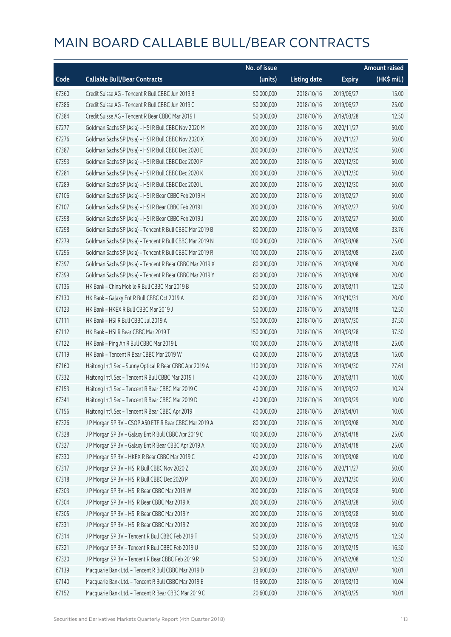|       |                                                          | No. of issue |                     |               | <b>Amount raised</b> |
|-------|----------------------------------------------------------|--------------|---------------------|---------------|----------------------|
| Code  | <b>Callable Bull/Bear Contracts</b>                      | (units)      | <b>Listing date</b> | <b>Expiry</b> | (HK\$ mil.)          |
| 67360 | Credit Suisse AG - Tencent R Bull CBBC Jun 2019 B        | 50,000,000   | 2018/10/16          | 2019/06/27    | 15.00                |
| 67386 | Credit Suisse AG - Tencent R Bull CBBC Jun 2019 C        | 50,000,000   | 2018/10/16          | 2019/06/27    | 25.00                |
| 67384 | Credit Suisse AG - Tencent R Bear CBBC Mar 2019 I        | 50,000,000   | 2018/10/16          | 2019/03/28    | 12.50                |
| 67277 | Goldman Sachs SP (Asia) - HSI R Bull CBBC Nov 2020 M     | 200,000,000  | 2018/10/16          | 2020/11/27    | 50.00                |
| 67276 | Goldman Sachs SP (Asia) - HSI R Bull CBBC Nov 2020 X     | 200,000,000  | 2018/10/16          | 2020/11/27    | 50.00                |
| 67387 | Goldman Sachs SP (Asia) - HSI R Bull CBBC Dec 2020 E     | 200,000,000  | 2018/10/16          | 2020/12/30    | 50.00                |
| 67393 | Goldman Sachs SP (Asia) - HSI R Bull CBBC Dec 2020 F     | 200,000,000  | 2018/10/16          | 2020/12/30    | 50.00                |
| 67281 | Goldman Sachs SP (Asia) - HSI R Bull CBBC Dec 2020 K     | 200,000,000  | 2018/10/16          | 2020/12/30    | 50.00                |
| 67289 | Goldman Sachs SP (Asia) - HSI R Bull CBBC Dec 2020 L     | 200,000,000  | 2018/10/16          | 2020/12/30    | 50.00                |
| 67106 | Goldman Sachs SP (Asia) - HSI R Bear CBBC Feb 2019 H     | 200,000,000  | 2018/10/16          | 2019/02/27    | 50.00                |
| 67107 | Goldman Sachs SP (Asia) - HSI R Bear CBBC Feb 2019 I     | 200,000,000  | 2018/10/16          | 2019/02/27    | 50.00                |
| 67398 | Goldman Sachs SP (Asia) - HSI R Bear CBBC Feb 2019 J     | 200,000,000  | 2018/10/16          | 2019/02/27    | 50.00                |
| 67298 | Goldman Sachs SP (Asia) - Tencent R Bull CBBC Mar 2019 B | 80,000,000   | 2018/10/16          | 2019/03/08    | 33.76                |
| 67279 | Goldman Sachs SP (Asia) - Tencent R Bull CBBC Mar 2019 N | 100,000,000  | 2018/10/16          | 2019/03/08    | 25.00                |
| 67296 | Goldman Sachs SP (Asia) - Tencent R Bull CBBC Mar 2019 R | 100,000,000  | 2018/10/16          | 2019/03/08    | 25.00                |
| 67397 | Goldman Sachs SP (Asia) - Tencent R Bear CBBC Mar 2019 X | 80,000,000   | 2018/10/16          | 2019/03/08    | 20.00                |
| 67399 | Goldman Sachs SP (Asia) - Tencent R Bear CBBC Mar 2019 Y | 80,000,000   | 2018/10/16          | 2019/03/08    | 20.00                |
| 67136 | HK Bank - China Mobile R Bull CBBC Mar 2019 B            | 50,000,000   | 2018/10/16          | 2019/03/11    | 12.50                |
| 67130 | HK Bank - Galaxy Ent R Bull CBBC Oct 2019 A              | 80,000,000   | 2018/10/16          | 2019/10/31    | 20.00                |
| 67123 | HK Bank - HKEX R Bull CBBC Mar 2019 J                    | 50,000,000   | 2018/10/16          | 2019/03/18    | 12.50                |
| 67111 | HK Bank - HSI R Bull CBBC Jul 2019 A                     | 150,000,000  | 2018/10/16          | 2019/07/30    | 37.50                |
| 67112 | HK Bank - HSI R Bear CBBC Mar 2019 T                     | 150,000,000  | 2018/10/16          | 2019/03/28    | 37.50                |
| 67122 | HK Bank - Ping An R Bull CBBC Mar 2019 L                 | 100,000,000  | 2018/10/16          | 2019/03/18    | 25.00                |
| 67119 | HK Bank - Tencent R Bear CBBC Mar 2019 W                 | 60,000,000   | 2018/10/16          | 2019/03/28    | 15.00                |
| 67160 | Haitong Int'l Sec - Sunny Optical R Bear CBBC Apr 2019 A | 110,000,000  | 2018/10/16          | 2019/04/30    | 27.61                |
| 67332 | Haitong Int'l Sec - Tencent R Bull CBBC Mar 2019 I       | 40,000,000   | 2018/10/16          | 2019/03/11    | 10.00                |
| 67153 | Haitong Int'l Sec - Tencent R Bear CBBC Mar 2019 C       | 40,000,000   | 2018/10/16          | 2019/03/22    | 10.24                |
| 67341 | Haitong Int'l Sec - Tencent R Bear CBBC Mar 2019 D       | 40,000,000   | 2018/10/16          | 2019/03/29    | 10.00                |
| 67156 | Haitong Int'l Sec - Tencent R Bear CBBC Apr 2019 I       | 40,000,000   | 2018/10/16          | 2019/04/01    | 10.00                |
| 67326 | J P Morgan SP BV - CSOP A50 ETF R Bear CBBC Mar 2019 A   | 80,000,000   | 2018/10/16          | 2019/03/08    | 20.00                |
| 67328 | J P Morgan SP BV - Galaxy Ent R Bull CBBC Apr 2019 C     | 100,000,000  | 2018/10/16          | 2019/04/18    | 25.00                |
| 67327 | J P Morgan SP BV - Galaxy Ent R Bear CBBC Apr 2019 A     | 100,000,000  | 2018/10/16          | 2019/04/18    | 25.00                |
| 67330 | J P Morgan SP BV - HKEX R Bear CBBC Mar 2019 C           | 40,000,000   | 2018/10/16          | 2019/03/08    | 10.00                |
| 67317 | J P Morgan SP BV - HSI R Bull CBBC Nov 2020 Z            | 200,000,000  | 2018/10/16          | 2020/11/27    | 50.00                |
| 67318 | J P Morgan SP BV - HSI R Bull CBBC Dec 2020 P            | 200,000,000  | 2018/10/16          | 2020/12/30    | 50.00                |
| 67303 | J P Morgan SP BV - HSI R Bear CBBC Mar 2019 W            | 200,000,000  | 2018/10/16          | 2019/03/28    | 50.00                |
| 67304 | J P Morgan SP BV - HSI R Bear CBBC Mar 2019 X            | 200,000,000  | 2018/10/16          | 2019/03/28    | 50.00                |
| 67305 | J P Morgan SP BV - HSI R Bear CBBC Mar 2019 Y            | 200,000,000  | 2018/10/16          | 2019/03/28    | 50.00                |
| 67331 | J P Morgan SP BV - HSI R Bear CBBC Mar 2019 Z            | 200,000,000  | 2018/10/16          | 2019/03/28    | 50.00                |
| 67314 | J P Morgan SP BV - Tencent R Bull CBBC Feb 2019 T        | 50,000,000   | 2018/10/16          | 2019/02/15    | 12.50                |
| 67321 | J P Morgan SP BV - Tencent R Bull CBBC Feb 2019 U        | 50,000,000   | 2018/10/16          | 2019/02/15    | 16.50                |
| 67320 | J P Morgan SP BV - Tencent R Bear CBBC Feb 2019 R        | 50,000,000   | 2018/10/16          | 2019/02/08    | 12.50                |
| 67139 | Macquarie Bank Ltd. - Tencent R Bull CBBC Mar 2019 D     | 23,600,000   | 2018/10/16          | 2019/03/07    | 10.01                |
| 67140 | Macquarie Bank Ltd. - Tencent R Bull CBBC Mar 2019 E     | 19,600,000   | 2018/10/16          | 2019/03/13    | 10.04                |
| 67152 | Macquarie Bank Ltd. - Tencent R Bear CBBC Mar 2019 C     | 20,600,000   | 2018/10/16          | 2019/03/25    | 10.01                |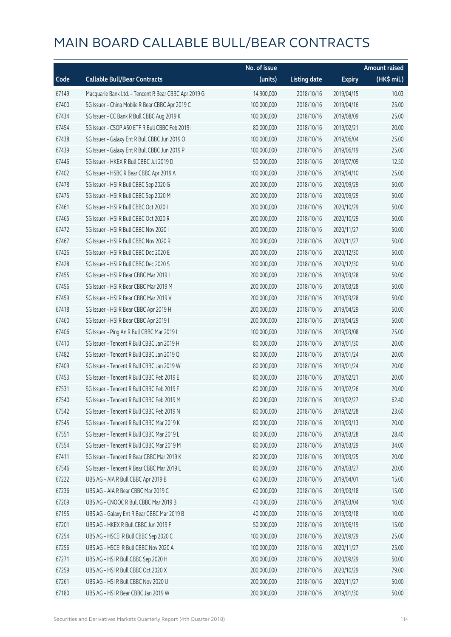|       |                                                      | No. of issue |                     |               | <b>Amount raised</b> |
|-------|------------------------------------------------------|--------------|---------------------|---------------|----------------------|
| Code  | <b>Callable Bull/Bear Contracts</b>                  | (units)      | <b>Listing date</b> | <b>Expiry</b> | $(HK\$ mil.)         |
| 67149 | Macquarie Bank Ltd. - Tencent R Bear CBBC Apr 2019 G | 14,900,000   | 2018/10/16          | 2019/04/15    | 10.03                |
| 67400 | SG Issuer - China Mobile R Bear CBBC Apr 2019 C      | 100,000,000  | 2018/10/16          | 2019/04/16    | 25.00                |
| 67434 | SG Issuer - CC Bank R Bull CBBC Aug 2019 K           | 100,000,000  | 2018/10/16          | 2019/08/09    | 25.00                |
| 67454 | SG Issuer - CSOP A50 ETF R Bull CBBC Feb 2019 I      | 80,000,000   | 2018/10/16          | 2019/02/21    | 20.00                |
| 67438 | SG Issuer - Galaxy Ent R Bull CBBC Jun 2019 O        | 100,000,000  | 2018/10/16          | 2019/06/04    | 25.00                |
| 67439 | SG Issuer - Galaxy Ent R Bull CBBC Jun 2019 P        | 100,000,000  | 2018/10/16          | 2019/06/19    | 25.00                |
| 67446 | SG Issuer - HKEX R Bull CBBC Jul 2019 D              | 50,000,000   | 2018/10/16          | 2019/07/09    | 12.50                |
| 67402 | SG Issuer - HSBC R Bear CBBC Apr 2019 A              | 100,000,000  | 2018/10/16          | 2019/04/10    | 25.00                |
| 67478 | SG Issuer - HSI R Bull CBBC Sep 2020 G               | 200,000,000  | 2018/10/16          | 2020/09/29    | 50.00                |
| 67475 | SG Issuer - HSI R Bull CBBC Sep 2020 M               | 200,000,000  | 2018/10/16          | 2020/09/29    | 50.00                |
| 67461 | SG Issuer - HSI R Bull CBBC Oct 2020 I               | 200,000,000  | 2018/10/16          | 2020/10/29    | 50.00                |
| 67465 | SG Issuer - HSI R Bull CBBC Oct 2020 R               | 200,000,000  | 2018/10/16          | 2020/10/29    | 50.00                |
| 67472 | SG Issuer - HSI R Bull CBBC Nov 2020 I               | 200,000,000  | 2018/10/16          | 2020/11/27    | 50.00                |
| 67467 | SG Issuer - HSI R Bull CBBC Nov 2020 R               | 200,000,000  | 2018/10/16          | 2020/11/27    | 50.00                |
| 67426 | SG Issuer - HSI R Bull CBBC Dec 2020 E               | 200,000,000  | 2018/10/16          | 2020/12/30    | 50.00                |
| 67428 | SG Issuer - HSI R Bull CBBC Dec 2020 S               | 200,000,000  | 2018/10/16          | 2020/12/30    | 50.00                |
| 67455 | SG Issuer - HSI R Bear CBBC Mar 2019 I               | 200,000,000  | 2018/10/16          | 2019/03/28    | 50.00                |
| 67456 | SG Issuer - HSI R Bear CBBC Mar 2019 M               | 200,000,000  | 2018/10/16          | 2019/03/28    | 50.00                |
| 67459 | SG Issuer - HSI R Bear CBBC Mar 2019 V               | 200,000,000  | 2018/10/16          | 2019/03/28    | 50.00                |
| 67418 | SG Issuer - HSI R Bear CBBC Apr 2019 H               | 200,000,000  | 2018/10/16          | 2019/04/29    | 50.00                |
| 67460 | SG Issuer - HSI R Bear CBBC Apr 2019 I               | 200,000,000  | 2018/10/16          | 2019/04/29    | 50.00                |
| 67406 | SG Issuer - Ping An R Bull CBBC Mar 2019 I           | 100,000,000  | 2018/10/16          | 2019/03/08    | 25.00                |
| 67410 | SG Issuer - Tencent R Bull CBBC Jan 2019 H           | 80,000,000   | 2018/10/16          | 2019/01/30    | 20.00                |
| 67482 | SG Issuer - Tencent R Bull CBBC Jan 2019 Q           | 80,000,000   | 2018/10/16          | 2019/01/24    | 20.00                |
| 67409 | SG Issuer - Tencent R Bull CBBC Jan 2019 W           | 80,000,000   | 2018/10/16          | 2019/01/24    | 20.00                |
| 67453 | SG Issuer - Tencent R Bull CBBC Feb 2019 E           | 80,000,000   | 2018/10/16          | 2019/02/21    | 20.00                |
| 67531 | SG Issuer - Tencent R Bull CBBC Feb 2019 F           | 80,000,000   | 2018/10/16          | 2019/02/26    | 20.00                |
| 67540 | SG Issuer - Tencent R Bull CBBC Feb 2019 M           | 80,000,000   | 2018/10/16          | 2019/02/27    | 62.40                |
| 67542 | SG Issuer - Tencent R Bull CBBC Feb 2019 N           | 80,000,000   | 2018/10/16          | 2019/02/28    | 23.60                |
| 67545 | SG Issuer - Tencent R Bull CBBC Mar 2019 K           | 80,000,000   | 2018/10/16          | 2019/03/13    | 20.00                |
| 67551 | SG Issuer - Tencent R Bull CBBC Mar 2019 L           | 80,000,000   | 2018/10/16          | 2019/03/28    | 28.40                |
| 67554 | SG Issuer - Tencent R Bull CBBC Mar 2019 M           | 80,000,000   | 2018/10/16          | 2019/03/29    | 34.00                |
| 67411 | SG Issuer - Tencent R Bear CBBC Mar 2019 K           | 80,000,000   | 2018/10/16          | 2019/03/25    | 20.00                |
| 67546 | SG Issuer - Tencent R Bear CBBC Mar 2019 L           | 80,000,000   | 2018/10/16          | 2019/03/27    | 20.00                |
| 67222 | UBS AG - AIA R Bull CBBC Apr 2019 B                  | 60,000,000   | 2018/10/16          | 2019/04/01    | 15.00                |
| 67236 | UBS AG - AIA R Bear CBBC Mar 2019 C                  | 60,000,000   | 2018/10/16          | 2019/03/18    | 15.00                |
| 67209 | UBS AG - CNOOC R Bull CBBC Mar 2019 B                | 40,000,000   | 2018/10/16          | 2019/03/04    | 10.00                |
| 67195 | UBS AG - Galaxy Ent R Bear CBBC Mar 2019 B           | 40,000,000   | 2018/10/16          | 2019/03/18    | 10.00                |
| 67201 | UBS AG - HKEX R Bull CBBC Jun 2019 F                 | 50,000,000   | 2018/10/16          | 2019/06/19    | 15.00                |
| 67254 | UBS AG - HSCEI R Bull CBBC Sep 2020 C                | 100,000,000  | 2018/10/16          | 2020/09/29    | 25.00                |
| 67256 | UBS AG - HSCEI R Bull CBBC Nov 2020 A                | 100,000,000  | 2018/10/16          | 2020/11/27    | 25.00                |
| 67271 | UBS AG - HSI R Bull CBBC Sep 2020 H                  | 200,000,000  | 2018/10/16          | 2020/09/29    | 50.00                |
| 67259 | UBS AG - HSI R Bull CBBC Oct 2020 X                  | 200,000,000  | 2018/10/16          | 2020/10/29    | 79.00                |
| 67261 | UBS AG - HSI R Bull CBBC Nov 2020 U                  | 200,000,000  | 2018/10/16          | 2020/11/27    | 50.00                |
| 67180 | UBS AG - HSI R Bear CBBC Jan 2019 W                  | 200,000,000  | 2018/10/16          | 2019/01/30    | 50.00                |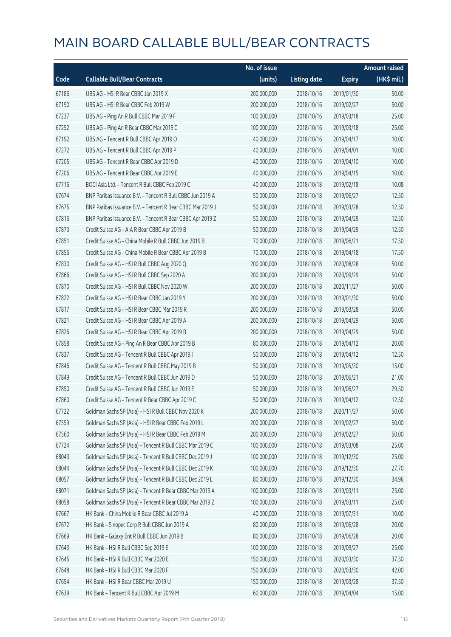|       |                                                            | No. of issue |                     |               | <b>Amount raised</b> |
|-------|------------------------------------------------------------|--------------|---------------------|---------------|----------------------|
| Code  | <b>Callable Bull/Bear Contracts</b>                        | (units)      | <b>Listing date</b> | <b>Expiry</b> | (HK\$ mil.)          |
| 67186 | UBS AG - HSI R Bear CBBC Jan 2019 X                        | 200,000,000  | 2018/10/16          | 2019/01/30    | 50.00                |
| 67190 | UBS AG - HSI R Bear CBBC Feb 2019 W                        | 200,000,000  | 2018/10/16          | 2019/02/27    | 50.00                |
| 67237 | UBS AG - Ping An R Bull CBBC Mar 2019 F                    | 100,000,000  | 2018/10/16          | 2019/03/18    | 25.00                |
| 67252 | UBS AG - Ping An R Bear CBBC Mar 2019 C                    | 100,000,000  | 2018/10/16          | 2019/03/18    | 25.00                |
| 67192 | UBS AG - Tencent R Bull CBBC Apr 2019 O                    | 40,000,000   | 2018/10/16          | 2019/04/17    | 10.00                |
| 67272 | UBS AG - Tencent R Bull CBBC Apr 2019 P                    | 40,000,000   | 2018/10/16          | 2019/04/01    | 10.00                |
| 67205 | UBS AG - Tencent R Bear CBBC Apr 2019 D                    | 40,000,000   | 2018/10/16          | 2019/04/10    | 10.00                |
| 67206 | UBS AG - Tencent R Bear CBBC Apr 2019 E                    | 40,000,000   | 2018/10/16          | 2019/04/15    | 10.00                |
| 67716 | BOCI Asia Ltd. - Tencent R Bull CBBC Feb 2019 C            | 40,000,000   | 2018/10/18          | 2019/02/18    | 10.08                |
| 67674 | BNP Paribas Issuance B.V. - Tencent R Bull CBBC Jun 2019 A | 50,000,000   | 2018/10/18          | 2019/06/27    | 12.50                |
| 67675 | BNP Paribas Issuance B.V. - Tencent R Bear CBBC Mar 2019 J | 50,000,000   | 2018/10/18          | 2019/03/28    | 12.50                |
| 67816 | BNP Paribas Issuance B.V. - Tencent R Bear CBBC Apr 2019 Z | 50,000,000   | 2018/10/18          | 2019/04/29    | 12.50                |
| 67873 | Credit Suisse AG - AIA R Bear CBBC Apr 2019 B              | 50,000,000   | 2018/10/18          | 2019/04/29    | 12.50                |
| 67851 | Credit Suisse AG - China Mobile R Bull CBBC Jun 2019 B     | 70,000,000   | 2018/10/18          | 2019/06/21    | 17.50                |
| 67856 | Credit Suisse AG - China Mobile R Bear CBBC Apr 2019 B     | 70,000,000   | 2018/10/18          | 2019/04/18    | 17.50                |
| 67830 | Credit Suisse AG - HSI R Bull CBBC Aug 2020 Q              | 200,000,000  | 2018/10/18          | 2020/08/28    | 50.00                |
| 67866 | Credit Suisse AG - HSI R Bull CBBC Sep 2020 A              | 200,000,000  | 2018/10/18          | 2020/09/29    | 50.00                |
| 67870 | Credit Suisse AG - HSI R Bull CBBC Nov 2020 W              | 200,000,000  | 2018/10/18          | 2020/11/27    | 50.00                |
| 67822 | Credit Suisse AG - HSI R Bear CBBC Jan 2019 Y              | 200,000,000  | 2018/10/18          | 2019/01/30    | 50.00                |
| 67817 | Credit Suisse AG - HSI R Bear CBBC Mar 2019 R              | 200,000,000  | 2018/10/18          | 2019/03/28    | 50.00                |
| 67821 | Credit Suisse AG - HSI R Bear CBBC Apr 2019 A              | 200,000,000  | 2018/10/18          | 2019/04/29    | 50.00                |
| 67826 | Credit Suisse AG - HSI R Bear CBBC Apr 2019 B              | 200,000,000  | 2018/10/18          | 2019/04/29    | 50.00                |
| 67858 | Credit Suisse AG - Ping An R Bear CBBC Apr 2019 B          | 80,000,000   | 2018/10/18          | 2019/04/12    | 20.00                |
| 67837 | Credit Suisse AG - Tencent R Bull CBBC Apr 2019 I          | 50,000,000   | 2018/10/18          | 2019/04/12    | 12.50                |
| 67846 | Credit Suisse AG - Tencent R Bull CBBC May 2019 B          | 50,000,000   | 2018/10/18          | 2019/05/30    | 15.00                |
| 67849 | Credit Suisse AG - Tencent R Bull CBBC Jun 2019 D          | 50,000,000   | 2018/10/18          | 2019/06/21    | 21.00                |
| 67850 | Credit Suisse AG - Tencent R Bull CBBC Jun 2019 E          | 50,000,000   | 2018/10/18          | 2019/06/27    | 29.50                |
| 67860 | Credit Suisse AG - Tencent R Bear CBBC Apr 2019 C          | 50,000,000   | 2018/10/18          | 2019/04/12    | 12.50                |
| 67722 | Goldman Sachs SP (Asia) - HSI R Bull CBBC Nov 2020 K       | 200,000,000  | 2018/10/18          | 2020/11/27    | 50.00                |
| 67559 | Goldman Sachs SP (Asia) - HSI R Bear CBBC Feb 2019 L       | 200,000,000  | 2018/10/18          | 2019/02/27    | 50.00                |
| 67560 | Goldman Sachs SP (Asia) - HSI R Bear CBBC Feb 2019 M       | 200,000,000  | 2018/10/18          | 2019/02/27    | 50.00                |
| 67724 | Goldman Sachs SP (Asia) - Tencent R Bull CBBC Mar 2019 C   | 100,000,000  | 2018/10/18          | 2019/03/08    | 25.00                |
| 68043 | Goldman Sachs SP (Asia) - Tencent R Bull CBBC Dec 2019 J   | 100,000,000  | 2018/10/18          | 2019/12/30    | 25.00                |
| 68044 | Goldman Sachs SP (Asia) - Tencent R Bull CBBC Dec 2019 K   | 100,000,000  | 2018/10/18          | 2019/12/30    | 27.70                |
| 68057 | Goldman Sachs SP (Asia) - Tencent R Bull CBBC Dec 2019 L   | 80,000,000   | 2018/10/18          | 2019/12/30    | 34.96                |
| 68071 | Goldman Sachs SP (Asia) - Tencent R Bear CBBC Mar 2019 A   | 100,000,000  | 2018/10/18          | 2019/03/11    | 25.00                |
| 68058 | Goldman Sachs SP (Asia) - Tencent R Bear CBBC Mar 2019 Z   | 100,000,000  | 2018/10/18          | 2019/03/11    | 25.00                |
| 67667 | HK Bank - China Mobile R Bear CBBC Jul 2019 A              | 40,000,000   | 2018/10/18          | 2019/07/31    | 10.00                |
| 67672 | HK Bank - Sinopec Corp R Bull CBBC Jun 2019 A              | 80,000,000   | 2018/10/18          | 2019/06/28    | 20.00                |
| 67669 | HK Bank - Galaxy Ent R Bull CBBC Jun 2019 B                | 80,000,000   | 2018/10/18          | 2019/06/28    | 20.00                |
| 67643 | HK Bank - HSI R Bull CBBC Sep 2019 E                       | 100,000,000  | 2018/10/18          | 2019/09/27    | 25.00                |
| 67645 | HK Bank - HSI R Bull CBBC Mar 2020 E                       | 150,000,000  | 2018/10/18          | 2020/03/30    | 37.50                |
| 67648 | HK Bank - HSI R Bull CBBC Mar 2020 F                       | 150,000,000  | 2018/10/18          | 2020/03/30    | 42.00                |
| 67654 | HK Bank - HSI R Bear CBBC Mar 2019 U                       | 150,000,000  | 2018/10/18          | 2019/03/28    | 37.50                |
| 67639 | HK Bank - Tencent R Bull CBBC Apr 2019 M                   | 60,000,000   | 2018/10/18          | 2019/04/04    | 15.00                |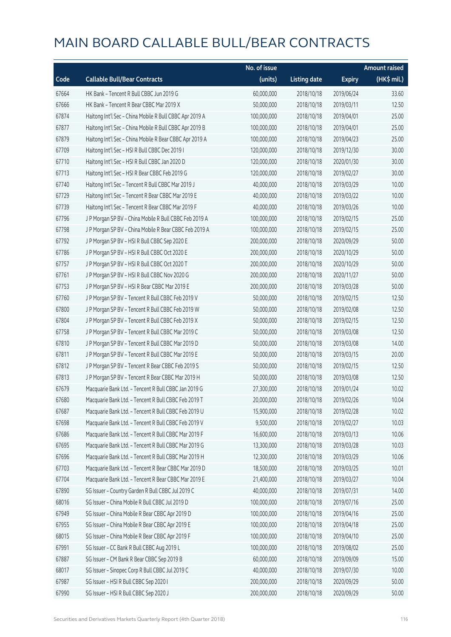|       |                                                         | No. of issue |                     |               | <b>Amount raised</b> |
|-------|---------------------------------------------------------|--------------|---------------------|---------------|----------------------|
| Code  | <b>Callable Bull/Bear Contracts</b>                     | (units)      | <b>Listing date</b> | <b>Expiry</b> | (HK\$ mil.)          |
| 67664 | HK Bank - Tencent R Bull CBBC Jun 2019 G                | 60,000,000   | 2018/10/18          | 2019/06/24    | 33.60                |
| 67666 | HK Bank - Tencent R Bear CBBC Mar 2019 X                | 50,000,000   | 2018/10/18          | 2019/03/11    | 12.50                |
| 67874 | Haitong Int'l Sec - China Mobile R Bull CBBC Apr 2019 A | 100,000,000  | 2018/10/18          | 2019/04/01    | 25.00                |
| 67877 | Haitong Int'l Sec - China Mobile R Bull CBBC Apr 2019 B | 100,000,000  | 2018/10/18          | 2019/04/01    | 25.00                |
| 67879 | Haitong Int'l Sec - China Mobile R Bear CBBC Apr 2019 A | 100,000,000  | 2018/10/18          | 2019/04/23    | 25.00                |
| 67709 | Haitong Int'l Sec - HSI R Bull CBBC Dec 2019 I          | 120,000,000  | 2018/10/18          | 2019/12/30    | 30.00                |
| 67710 | Haitong Int'l Sec - HSI R Bull CBBC Jan 2020 D          | 120,000,000  | 2018/10/18          | 2020/01/30    | 30.00                |
| 67713 | Haitong Int'l Sec - HSI R Bear CBBC Feb 2019 G          | 120,000,000  | 2018/10/18          | 2019/02/27    | 30.00                |
| 67740 | Haitong Int'l Sec - Tencent R Bull CBBC Mar 2019 J      | 40,000,000   | 2018/10/18          | 2019/03/29    | 10.00                |
| 67729 | Haitong Int'l Sec - Tencent R Bear CBBC Mar 2019 E      | 40,000,000   | 2018/10/18          | 2019/03/22    | 10.00                |
| 67739 | Haitong Int'l Sec - Tencent R Bear CBBC Mar 2019 F      | 40,000,000   | 2018/10/18          | 2019/03/26    | 10.00                |
| 67796 | J P Morgan SP BV - China Mobile R Bull CBBC Feb 2019 A  | 100,000,000  | 2018/10/18          | 2019/02/15    | 25.00                |
| 67798 | J P Morgan SP BV - China Mobile R Bear CBBC Feb 2019 A  | 100,000,000  | 2018/10/18          | 2019/02/15    | 25.00                |
| 67792 | J P Morgan SP BV - HSI R Bull CBBC Sep 2020 E           | 200,000,000  | 2018/10/18          | 2020/09/29    | 50.00                |
| 67786 | J P Morgan SP BV - HSI R Bull CBBC Oct 2020 E           | 200,000,000  | 2018/10/18          | 2020/10/29    | 50.00                |
| 67757 | J P Morgan SP BV - HSI R Bull CBBC Oct 2020 T           | 200,000,000  | 2018/10/18          | 2020/10/29    | 50.00                |
| 67761 | J P Morgan SP BV - HSI R Bull CBBC Nov 2020 G           | 200,000,000  | 2018/10/18          | 2020/11/27    | 50.00                |
| 67753 | J P Morgan SP BV - HSI R Bear CBBC Mar 2019 E           | 200,000,000  | 2018/10/18          | 2019/03/28    | 50.00                |
| 67760 | J P Morgan SP BV - Tencent R Bull CBBC Feb 2019 V       | 50,000,000   | 2018/10/18          | 2019/02/15    | 12.50                |
| 67800 | J P Morgan SP BV - Tencent R Bull CBBC Feb 2019 W       | 50,000,000   | 2018/10/18          | 2019/02/08    | 12.50                |
| 67804 | J P Morgan SP BV - Tencent R Bull CBBC Feb 2019 X       | 50,000,000   | 2018/10/18          | 2019/02/15    | 12.50                |
| 67758 | J P Morgan SP BV - Tencent R Bull CBBC Mar 2019 C       | 50,000,000   | 2018/10/18          | 2019/03/08    | 12.50                |
| 67810 | J P Morgan SP BV - Tencent R Bull CBBC Mar 2019 D       | 50,000,000   | 2018/10/18          | 2019/03/08    | 14.00                |
| 67811 | J P Morgan SP BV - Tencent R Bull CBBC Mar 2019 E       | 50,000,000   | 2018/10/18          | 2019/03/15    | 20.00                |
| 67812 | J P Morgan SP BV - Tencent R Bear CBBC Feb 2019 S       | 50,000,000   | 2018/10/18          | 2019/02/15    | 12.50                |
| 67813 | J P Morgan SP BV - Tencent R Bear CBBC Mar 2019 H       | 50,000,000   | 2018/10/18          | 2019/03/08    | 12.50                |
| 67679 | Macquarie Bank Ltd. - Tencent R Bull CBBC Jan 2019 G    | 27,300,000   | 2018/10/18          | 2019/01/24    | 10.02                |
| 67680 | Macquarie Bank Ltd. - Tencent R Bull CBBC Feb 2019 T    | 20,000,000   | 2018/10/18          | 2019/02/26    | 10.04                |
| 67687 | Macquarie Bank Ltd. - Tencent R Bull CBBC Feb 2019 U    | 15,900,000   | 2018/10/18          | 2019/02/28    | 10.02                |
| 67698 | Macquarie Bank Ltd. - Tencent R Bull CBBC Feb 2019 V    | 9,500,000    | 2018/10/18          | 2019/02/27    | 10.03                |
| 67686 | Macquarie Bank Ltd. - Tencent R Bull CBBC Mar 2019 F    | 16,600,000   | 2018/10/18          | 2019/03/13    | 10.06                |
| 67695 | Macquarie Bank Ltd. - Tencent R Bull CBBC Mar 2019 G    | 13,300,000   | 2018/10/18          | 2019/03/28    | 10.03                |
| 67696 | Macquarie Bank Ltd. - Tencent R Bull CBBC Mar 2019 H    | 12,300,000   | 2018/10/18          | 2019/03/29    | 10.06                |
| 67703 | Macquarie Bank Ltd. - Tencent R Bear CBBC Mar 2019 D    | 18,500,000   | 2018/10/18          | 2019/03/25    | 10.01                |
| 67704 | Macquarie Bank Ltd. - Tencent R Bear CBBC Mar 2019 E    | 21,400,000   | 2018/10/18          | 2019/03/27    | 10.04                |
| 67890 | SG Issuer - Country Garden R Bull CBBC Jul 2019 C       | 40,000,000   | 2018/10/18          | 2019/07/31    | 14.00                |
| 68016 | SG Issuer - China Mobile R Bull CBBC Jul 2019 D         | 100,000,000  | 2018/10/18          | 2019/07/16    | 25.00                |
| 67949 | SG Issuer - China Mobile R Bear CBBC Apr 2019 D         | 100,000,000  | 2018/10/18          | 2019/04/16    | 25.00                |
| 67955 | SG Issuer - China Mobile R Bear CBBC Apr 2019 E         | 100,000,000  | 2018/10/18          | 2019/04/18    | 25.00                |
| 68015 | SG Issuer - China Mobile R Bear CBBC Apr 2019 F         | 100,000,000  | 2018/10/18          | 2019/04/10    | 25.00                |
| 67991 | SG Issuer - CC Bank R Bull CBBC Aug 2019 L              | 100,000,000  | 2018/10/18          | 2019/08/02    | 25.00                |
| 67887 | SG Issuer - CM Bank R Bear CBBC Sep 2019 B              | 60,000,000   | 2018/10/18          | 2019/09/09    | 15.00                |
| 68017 | SG Issuer - Sinopec Corp R Bull CBBC Jul 2019 C         | 40,000,000   | 2018/10/18          | 2019/07/30    | 10.00                |
| 67987 | SG Issuer - HSI R Bull CBBC Sep 2020 I                  | 200,000,000  | 2018/10/18          | 2020/09/29    | 50.00                |
| 67990 | SG Issuer - HSI R Bull CBBC Sep 2020 J                  | 200,000,000  | 2018/10/18          | 2020/09/29    | 50.00                |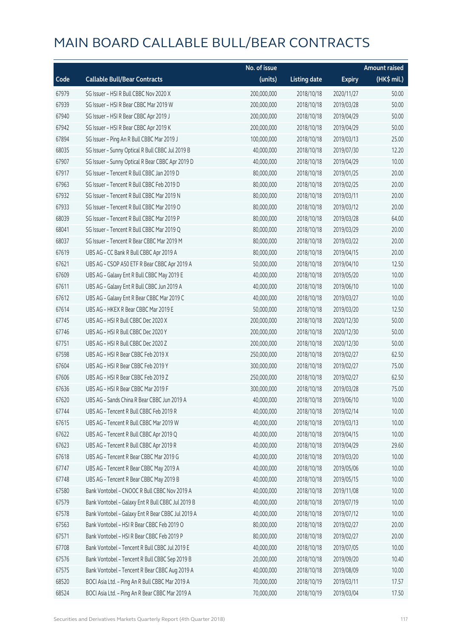|       |                                                   | No. of issue |                     |               | <b>Amount raised</b> |
|-------|---------------------------------------------------|--------------|---------------------|---------------|----------------------|
| Code  | <b>Callable Bull/Bear Contracts</b>               | (units)      | <b>Listing date</b> | <b>Expiry</b> | (HK\$ mil.)          |
| 67979 | SG Issuer - HSI R Bull CBBC Nov 2020 X            | 200,000,000  | 2018/10/18          | 2020/11/27    | 50.00                |
| 67939 | SG Issuer - HSI R Bear CBBC Mar 2019 W            | 200,000,000  | 2018/10/18          | 2019/03/28    | 50.00                |
| 67940 | SG Issuer - HSI R Bear CBBC Apr 2019 J            | 200,000,000  | 2018/10/18          | 2019/04/29    | 50.00                |
| 67942 | SG Issuer - HSI R Bear CBBC Apr 2019 K            | 200,000,000  | 2018/10/18          | 2019/04/29    | 50.00                |
| 67894 | SG Issuer - Ping An R Bull CBBC Mar 2019 J        | 100,000,000  | 2018/10/18          | 2019/03/13    | 25.00                |
| 68035 | SG Issuer - Sunny Optical R Bull CBBC Jul 2019 B  | 40,000,000   | 2018/10/18          | 2019/07/30    | 12.20                |
| 67907 | SG Issuer - Sunny Optical R Bear CBBC Apr 2019 D  | 40,000,000   | 2018/10/18          | 2019/04/29    | 10.00                |
| 67917 | SG Issuer - Tencent R Bull CBBC Jan 2019 D        | 80,000,000   | 2018/10/18          | 2019/01/25    | 20.00                |
| 67963 | SG Issuer - Tencent R Bull CBBC Feb 2019 D        | 80,000,000   | 2018/10/18          | 2019/02/25    | 20.00                |
| 67932 | SG Issuer - Tencent R Bull CBBC Mar 2019 N        | 80,000,000   | 2018/10/18          | 2019/03/11    | 20.00                |
| 67933 | SG Issuer - Tencent R Bull CBBC Mar 2019 O        | 80,000,000   | 2018/10/18          | 2019/03/12    | 20.00                |
| 68039 | SG Issuer - Tencent R Bull CBBC Mar 2019 P        | 80,000,000   | 2018/10/18          | 2019/03/28    | 64.00                |
| 68041 | SG Issuer - Tencent R Bull CBBC Mar 2019 O        | 80,000,000   | 2018/10/18          | 2019/03/29    | 20.00                |
| 68037 | SG Issuer - Tencent R Bear CBBC Mar 2019 M        | 80,000,000   | 2018/10/18          | 2019/03/22    | 20.00                |
| 67619 | UBS AG - CC Bank R Bull CBBC Apr 2019 A           | 80,000,000   | 2018/10/18          | 2019/04/15    | 20.00                |
| 67621 | UBS AG - CSOP A50 ETF R Bear CBBC Apr 2019 A      | 50,000,000   | 2018/10/18          | 2019/04/10    | 12.50                |
| 67609 | UBS AG - Galaxy Ent R Bull CBBC May 2019 E        | 40,000,000   | 2018/10/18          | 2019/05/20    | 10.00                |
| 67611 | UBS AG - Galaxy Ent R Bull CBBC Jun 2019 A        | 40,000,000   | 2018/10/18          | 2019/06/10    | 10.00                |
| 67612 | UBS AG - Galaxy Ent R Bear CBBC Mar 2019 C        | 40,000,000   | 2018/10/18          | 2019/03/27    | 10.00                |
| 67614 | UBS AG - HKEX R Bear CBBC Mar 2019 E              | 50,000,000   | 2018/10/18          | 2019/03/20    | 12.50                |
| 67745 | UBS AG - HSI R Bull CBBC Dec 2020 X               | 200,000,000  | 2018/10/18          | 2020/12/30    | 50.00                |
| 67746 | UBS AG - HSI R Bull CBBC Dec 2020 Y               | 200,000,000  | 2018/10/18          | 2020/12/30    | 50.00                |
| 67751 | UBS AG - HSI R Bull CBBC Dec 2020 Z               | 200,000,000  | 2018/10/18          | 2020/12/30    | 50.00                |
| 67598 | UBS AG - HSI R Bear CBBC Feb 2019 X               | 250,000,000  | 2018/10/18          | 2019/02/27    | 62.50                |
| 67604 | UBS AG - HSI R Bear CBBC Feb 2019 Y               | 300,000,000  | 2018/10/18          | 2019/02/27    | 75.00                |
| 67606 | UBS AG - HSI R Bear CBBC Feb 2019 Z               | 250,000,000  | 2018/10/18          | 2019/02/27    | 62.50                |
| 67636 | UBS AG - HSI R Bear CBBC Mar 2019 F               | 300,000,000  | 2018/10/18          | 2019/03/28    | 75.00                |
| 67620 | UBS AG - Sands China R Bear CBBC Jun 2019 A       | 40,000,000   | 2018/10/18          | 2019/06/10    | 10.00                |
| 67744 | UBS AG - Tencent R Bull CBBC Feb 2019 R           | 40,000,000   | 2018/10/18          | 2019/02/14    | 10.00                |
| 67615 | UBS AG - Tencent R Bull CBBC Mar 2019 W           | 40,000,000   | 2018/10/18          | 2019/03/13    | 10.00                |
| 67622 | UBS AG - Tencent R Bull CBBC Apr 2019 Q           | 40,000,000   | 2018/10/18          | 2019/04/15    | 10.00                |
| 67623 | UBS AG - Tencent R Bull CBBC Apr 2019 R           | 40,000,000   | 2018/10/18          | 2019/04/29    | 29.60                |
| 67618 | UBS AG - Tencent R Bear CBBC Mar 2019 G           | 40,000,000   | 2018/10/18          | 2019/03/20    | 10.00                |
| 67747 | UBS AG - Tencent R Bear CBBC May 2019 A           | 40,000,000   | 2018/10/18          | 2019/05/06    | 10.00                |
| 67748 | UBS AG - Tencent R Bear CBBC May 2019 B           | 40,000,000   | 2018/10/18          | 2019/05/15    | 10.00                |
| 67580 | Bank Vontobel - CNOOC R Bull CBBC Nov 2019 A      | 40,000,000   | 2018/10/18          | 2019/11/08    | 10.00                |
| 67579 | Bank Vontobel - Galaxy Ent R Bull CBBC Jul 2019 B | 40,000,000   | 2018/10/18          | 2019/07/19    | 10.00                |
| 67578 | Bank Vontobel - Galaxy Ent R Bear CBBC Jul 2019 A | 40,000,000   | 2018/10/18          | 2019/07/12    | 10.00                |
| 67563 | Bank Vontobel - HSI R Bear CBBC Feb 2019 O        | 80,000,000   | 2018/10/18          | 2019/02/27    | 20.00                |
| 67571 | Bank Vontobel - HSI R Bear CBBC Feb 2019 P        | 80,000,000   | 2018/10/18          | 2019/02/27    | 20.00                |
| 67708 | Bank Vontobel - Tencent R Bull CBBC Jul 2019 E    | 40,000,000   | 2018/10/18          | 2019/07/05    | 10.00                |
| 67576 | Bank Vontobel - Tencent R Bull CBBC Sep 2019 B    | 20,000,000   | 2018/10/18          | 2019/09/20    | 10.40                |
| 67575 | Bank Vontobel - Tencent R Bear CBBC Aug 2019 A    | 40,000,000   | 2018/10/18          | 2019/08/09    | 10.00                |
| 68520 | BOCI Asia Ltd. - Ping An R Bull CBBC Mar 2019 A   | 70,000,000   | 2018/10/19          | 2019/03/11    | 17.57                |
| 68524 | BOCI Asia Ltd. - Ping An R Bear CBBC Mar 2019 A   | 70,000,000   | 2018/10/19          | 2019/03/04    | 17.50                |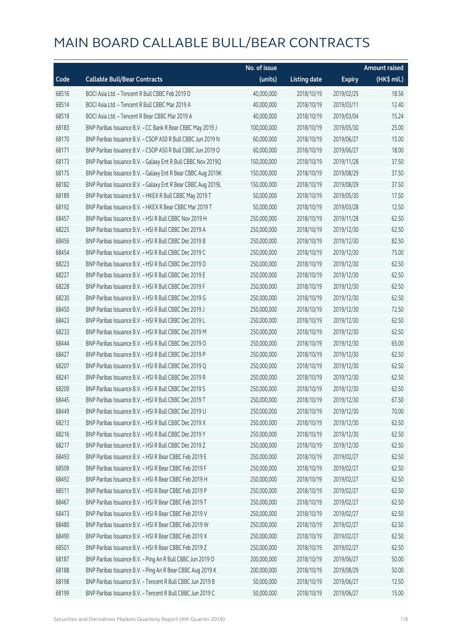|       |                                                              | No. of issue |                     |               | <b>Amount raised</b> |
|-------|--------------------------------------------------------------|--------------|---------------------|---------------|----------------------|
| Code  | <b>Callable Bull/Bear Contracts</b>                          | (units)      | <b>Listing date</b> | <b>Expiry</b> | (HK\$ mil.)          |
| 68516 | BOCI Asia Ltd. - Tencent R Bull CBBC Feb 2019 D              | 40,000,000   | 2018/10/19          | 2019/02/25    | 18.56                |
| 68514 | BOCI Asia Ltd. - Tencent R Bull CBBC Mar 2019 A              | 40,000,000   | 2018/10/19          | 2019/03/11    | 12.40                |
| 68518 | BOCI Asia Ltd. - Tencent R Bear CBBC Mar 2019 A              | 40,000,000   | 2018/10/19          | 2019/03/04    | 15.24                |
| 68183 | BNP Paribas Issuance B.V. - CC Bank R Bear CBBC May 2019 J   | 100,000,000  | 2018/10/19          | 2019/05/30    | 25.00                |
| 68170 | BNP Paribas Issuance B.V. - CSOP A50 R Bull CBBC Jun 2019 N  | 60,000,000   | 2018/10/19          | 2019/06/27    | 15.00                |
| 68171 | BNP Paribas Issuance B.V. - CSOP A50 R Bull CBBC Jun 2019 O  | 60,000,000   | 2018/10/19          | 2019/06/27    | 18.00                |
| 68173 | BNP Paribas Issuance B.V. - Galaxy Ent R Bull CBBC Nov 2019Q | 150,000,000  | 2018/10/19          | 2019/11/28    | 37.50                |
| 68175 | BNP Paribas Issuance B.V. - Galaxy Ent R Bear CBBC Aug 2019K | 150,000,000  | 2018/10/19          | 2019/08/29    | 37.50                |
| 68182 | BNP Paribas Issuance B.V. - Galaxy Ent R Bear CBBC Aug 2019L | 150,000,000  | 2018/10/19          | 2019/08/29    | 37.50                |
| 68189 | BNP Paribas Issuance B.V. - HKEX R Bull CBBC May 2019 T      | 50,000,000   | 2018/10/19          | 2019/05/30    | 17.50                |
| 68192 | BNP Paribas Issuance B.V. - HKEX R Bear CBBC Mar 2019 T      | 50,000,000   | 2018/10/19          | 2019/03/28    | 12.50                |
| 68457 | BNP Paribas Issuance B.V. - HSI R Bull CBBC Nov 2019 H       | 250,000,000  | 2018/10/19          | 2019/11/28    | 62.50                |
| 68225 | BNP Paribas Issuance B.V. - HSI R Bull CBBC Dec 2019 A       | 250,000,000  | 2018/10/19          | 2019/12/30    | 62.50                |
| 68456 | BNP Paribas Issuance B.V. - HSI R Bull CBBC Dec 2019 B       | 250,000,000  | 2018/10/19          | 2019/12/30    | 82.50                |
| 68454 | BNP Paribas Issuance B.V. - HSI R Bull CBBC Dec 2019 C       | 250,000,000  | 2018/10/19          | 2019/12/30    | 75.00                |
| 68223 | BNP Paribas Issuance B.V. - HSI R Bull CBBC Dec 2019 D       | 250,000,000  | 2018/10/19          | 2019/12/30    | 62.50                |
| 68227 | BNP Paribas Issuance B.V. - HSI R Bull CBBC Dec 2019 E       | 250,000,000  | 2018/10/19          | 2019/12/30    | 62.50                |
| 68228 | BNP Paribas Issuance B.V. - HSI R Bull CBBC Dec 2019 F       | 250,000,000  | 2018/10/19          | 2019/12/30    | 62.50                |
| 68230 | BNP Paribas Issuance B.V. - HSI R Bull CBBC Dec 2019 G       | 250,000,000  | 2018/10/19          | 2019/12/30    | 62.50                |
| 68450 | BNP Paribas Issuance B.V. - HSI R Bull CBBC Dec 2019 J       | 250,000,000  | 2018/10/19          | 2019/12/30    | 72.50                |
| 68423 | BNP Paribas Issuance B.V. - HSI R Bull CBBC Dec 2019 L       | 250,000,000  | 2018/10/19          | 2019/12/30    | 62.50                |
| 68233 | BNP Paribas Issuance B.V. - HSI R Bull CBBC Dec 2019 M       | 250,000,000  | 2018/10/19          | 2019/12/30    | 62.50                |
| 68444 | BNP Paribas Issuance B.V. - HSI R Bull CBBC Dec 2019 O       | 250,000,000  | 2018/10/19          | 2019/12/30    | 65.00                |
| 68427 | BNP Paribas Issuance B.V. - HSI R Bull CBBC Dec 2019 P       | 250,000,000  | 2018/10/19          | 2019/12/30    | 62.50                |
| 68207 | BNP Paribas Issuance B.V. - HSI R Bull CBBC Dec 2019 Q       | 250,000,000  | 2018/10/19          | 2019/12/30    | 62.50                |
| 68241 | BNP Paribas Issuance B.V. - HSI R Bull CBBC Dec 2019 R       | 250,000,000  | 2018/10/19          | 2019/12/30    | 62.50                |
| 68209 | BNP Paribas Issuance B.V. - HSI R Bull CBBC Dec 2019 S       | 250,000,000  | 2018/10/19          | 2019/12/30    | 62.50                |
| 68445 | BNP Paribas Issuance B.V. - HSI R Bull CBBC Dec 2019 T       | 250,000,000  | 2018/10/19          | 2019/12/30    | 67.50                |
| 68449 | BNP Paribas Issuance B.V. - HSI R Bull CBBC Dec 2019 U       | 250,000,000  | 2018/10/19          | 2019/12/30    | 70.00                |
| 68213 | BNP Paribas Issuance B.V. - HSI R Bull CBBC Dec 2019 X       | 250,000,000  | 2018/10/19          | 2019/12/30    | 62.50                |
| 68216 | BNP Paribas Issuance B.V. - HSI R Bull CBBC Dec 2019 Y       | 250,000,000  | 2018/10/19          | 2019/12/30    | 62.50                |
| 68217 | BNP Paribas Issuance B.V. - HSI R Bull CBBC Dec 2019 Z       | 250,000,000  | 2018/10/19          | 2019/12/30    | 62.50                |
| 68493 | BNP Paribas Issuance B.V. - HSI R Bear CBBC Feb 2019 E       | 250,000,000  | 2018/10/19          | 2019/02/27    | 62.50                |
| 68509 | BNP Paribas Issuance B.V. - HSI R Bear CBBC Feb 2019 F       | 250,000,000  | 2018/10/19          | 2019/02/27    | 62.50                |
| 68492 | BNP Paribas Issuance B.V. - HSI R Bear CBBC Feb 2019 H       | 250,000,000  | 2018/10/19          | 2019/02/27    | 62.50                |
| 68511 | BNP Paribas Issuance B.V. - HSI R Bear CBBC Feb 2019 P       | 250,000,000  | 2018/10/19          | 2019/02/27    | 62.50                |
| 68467 | BNP Paribas Issuance B.V. - HSI R Bear CBBC Feb 2019 T       | 250,000,000  | 2018/10/19          | 2019/02/27    | 62.50                |
| 68473 | BNP Paribas Issuance B.V. - HSI R Bear CBBC Feb 2019 V       | 250,000,000  | 2018/10/19          | 2019/02/27    | 62.50                |
| 68480 | BNP Paribas Issuance B.V. - HSI R Bear CBBC Feb 2019 W       | 250,000,000  | 2018/10/19          | 2019/02/27    | 62.50                |
| 68490 | BNP Paribas Issuance B.V. - HSI R Bear CBBC Feb 2019 X       | 250,000,000  | 2018/10/19          | 2019/02/27    | 62.50                |
| 68501 | BNP Paribas Issuance B.V. - HSI R Bear CBBC Feb 2019 Z       | 250,000,000  | 2018/10/19          | 2019/02/27    | 62.50                |
| 68187 | BNP Paribas Issuance B.V. - Ping An R Bull CBBC Jun 2019 O   | 200,000,000  | 2018/10/19          | 2019/06/27    | 50.00                |
| 68188 | BNP Paribas Issuance B.V. - Ping An R Bear CBBC Aug 2019 K   | 200,000,000  | 2018/10/19          | 2019/08/29    | 50.00                |
| 68198 | BNP Paribas Issuance B.V. - Tencent R Bull CBBC Jun 2019 B   | 50,000,000   | 2018/10/19          | 2019/06/27    | 12.50                |
| 68199 | BNP Paribas Issuance B.V. - Tencent R Bull CBBC Jun 2019 C   | 50,000,000   | 2018/10/19          | 2019/06/27    | 15.00                |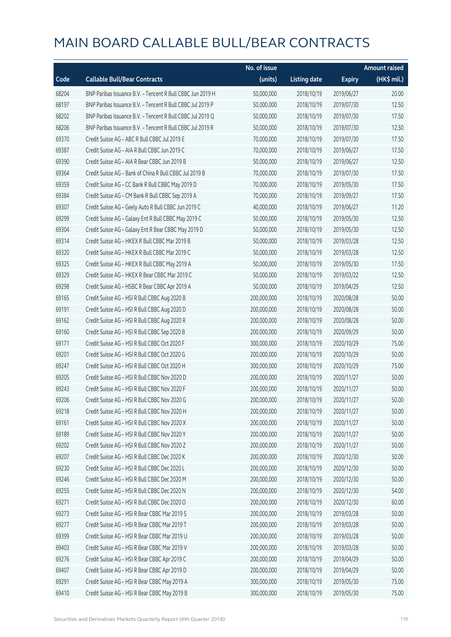|       |                                                            | No. of issue |                     |               | <b>Amount raised</b>  |
|-------|------------------------------------------------------------|--------------|---------------------|---------------|-----------------------|
| Code  | <b>Callable Bull/Bear Contracts</b>                        | (units)      | <b>Listing date</b> | <b>Expiry</b> | $(HK\frac{1}{2}mil.)$ |
| 68204 | BNP Paribas Issuance B.V. - Tencent R Bull CBBC Jun 2019 H | 50,000,000   | 2018/10/19          | 2019/06/27    | 20.00                 |
| 68197 | BNP Paribas Issuance B.V. - Tencent R Bull CBBC Jul 2019 P | 50,000,000   | 2018/10/19          | 2019/07/30    | 12.50                 |
| 68202 | BNP Paribas Issuance B.V. - Tencent R Bull CBBC Jul 2019 Q | 50,000,000   | 2018/10/19          | 2019/07/30    | 17.50                 |
| 68206 | BNP Paribas Issuance B.V. - Tencent R Bull CBBC Jul 2019 R | 50,000,000   | 2018/10/19          | 2019/07/30    | 12.50                 |
| 69370 | Credit Suisse AG - ABC R Bull CBBC Jul 2019 E              | 70,000,000   | 2018/10/19          | 2019/07/30    | 17.50                 |
| 69387 | Credit Suisse AG - AIA R Bull CBBC Jun 2019 C              | 70,000,000   | 2018/10/19          | 2019/06/27    | 17.50                 |
| 69390 | Credit Suisse AG - AIA R Bear CBBC Jun 2019 B              | 50,000,000   | 2018/10/19          | 2019/06/27    | 12.50                 |
| 69364 | Credit Suisse AG - Bank of China R Bull CBBC Jul 2019 B    | 70,000,000   | 2018/10/19          | 2019/07/30    | 17.50                 |
| 69359 | Credit Suisse AG - CC Bank R Bull CBBC May 2019 D          | 70,000,000   | 2018/10/19          | 2019/05/30    | 17.50                 |
| 69384 | Credit Suisse AG - CM Bank R Bull CBBC Sep 2019 A          | 70,000,000   | 2018/10/19          | 2019/09/27    | 17.50                 |
| 69307 | Credit Suisse AG - Geely Auto R Bull CBBC Jun 2019 C       | 40,000,000   | 2018/10/19          | 2019/06/27    | 11.20                 |
| 69299 | Credit Suisse AG - Galaxy Ent R Bull CBBC May 2019 C       | 50,000,000   | 2018/10/19          | 2019/05/30    | 12.50                 |
| 69304 | Credit Suisse AG - Galaxy Ent R Bear CBBC May 2019 D       | 50,000,000   | 2018/10/19          | 2019/05/30    | 12.50                 |
| 69314 | Credit Suisse AG - HKEX R Bull CBBC Mar 2019 B             | 50,000,000   | 2018/10/19          | 2019/03/28    | 12.50                 |
| 69320 | Credit Suisse AG - HKEX R Bull CBBC Mar 2019 C             | 50,000,000   | 2018/10/19          | 2019/03/28    | 12.50                 |
| 69325 | Credit Suisse AG - HKEX R Bull CBBC May 2019 A             | 50,000,000   | 2018/10/19          | 2019/05/30    | 17.50                 |
| 69329 | Credit Suisse AG - HKEX R Bear CBBC Mar 2019 C             | 50,000,000   | 2018/10/19          | 2019/03/22    | 12.50                 |
| 69298 | Credit Suisse AG - HSBC R Bear CBBC Apr 2019 A             | 50,000,000   | 2018/10/19          | 2019/04/29    | 12.50                 |
| 69165 | Credit Suisse AG - HSI R Bull CBBC Aug 2020 B              | 200,000,000  | 2018/10/19          | 2020/08/28    | 50.00                 |
| 69191 | Credit Suisse AG - HSI R Bull CBBC Aug 2020 D              | 200,000,000  | 2018/10/19          | 2020/08/28    | 50.00                 |
| 69162 | Credit Suisse AG - HSI R Bull CBBC Aug 2020 R              | 200,000,000  | 2018/10/19          | 2020/08/28    | 50.00                 |
| 69160 | Credit Suisse AG - HSI R Bull CBBC Sep 2020 B              | 200,000,000  | 2018/10/19          | 2020/09/29    | 50.00                 |
| 69171 | Credit Suisse AG - HSI R Bull CBBC Oct 2020 F              | 300,000,000  | 2018/10/19          | 2020/10/29    | 75.00                 |
| 69201 | Credit Suisse AG - HSI R Bull CBBC Oct 2020 G              | 200,000,000  | 2018/10/19          | 2020/10/29    | 50.00                 |
| 69247 | Credit Suisse AG - HSI R Bull CBBC Oct 2020 H              | 300,000,000  | 2018/10/19          | 2020/10/29    | 75.00                 |
| 69205 | Credit Suisse AG - HSI R Bull CBBC Nov 2020 D              | 200,000,000  | 2018/10/19          | 2020/11/27    | 50.00                 |
| 69243 | Credit Suisse AG - HSI R Bull CBBC Nov 2020 F              | 200,000,000  | 2018/10/19          | 2020/11/27    | 50.00                 |
| 69206 | Credit Suisse AG - HSI R Bull CBBC Nov 2020 G              | 200,000,000  | 2018/10/19          | 2020/11/27    | 50.00                 |
| 69218 | Credit Suisse AG - HSI R Bull CBBC Nov 2020 H              | 200,000,000  | 2018/10/19          | 2020/11/27    | 50.00                 |
| 69161 | Credit Suisse AG - HSI R Bull CBBC Nov 2020 X              | 200,000,000  | 2018/10/19          | 2020/11/27    | 50.00                 |
| 69189 | Credit Suisse AG - HSI R Bull CBBC Nov 2020 Y              | 200,000,000  | 2018/10/19          | 2020/11/27    | 50.00                 |
| 69202 | Credit Suisse AG - HSI R Bull CBBC Nov 2020 Z              | 200,000,000  | 2018/10/19          | 2020/11/27    | 50.00                 |
| 69207 | Credit Suisse AG - HSI R Bull CBBC Dec 2020 K              | 200,000,000  | 2018/10/19          | 2020/12/30    | 50.00                 |
| 69230 | Credit Suisse AG - HSI R Bull CBBC Dec 2020 L              | 200,000,000  | 2018/10/19          | 2020/12/30    | 50.00                 |
| 69246 | Credit Suisse AG - HSI R Bull CBBC Dec 2020 M              | 200,000,000  | 2018/10/19          | 2020/12/30    | 50.00                 |
| 69255 | Credit Suisse AG - HSI R Bull CBBC Dec 2020 N              | 200,000,000  | 2018/10/19          | 2020/12/30    | 54.00                 |
| 69271 | Credit Suisse AG - HSI R Bull CBBC Dec 2020 O              | 200,000,000  | 2018/10/19          | 2020/12/30    | 60.00                 |
| 69273 | Credit Suisse AG - HSI R Bear CBBC Mar 2019 S              | 200,000,000  | 2018/10/19          | 2019/03/28    | 50.00                 |
| 69277 | Credit Suisse AG - HSI R Bear CBBC Mar 2019 T              | 200,000,000  | 2018/10/19          | 2019/03/28    | 50.00                 |
| 69399 | Credit Suisse AG - HSI R Bear CBBC Mar 2019 U              | 200,000,000  | 2018/10/19          | 2019/03/28    | 50.00                 |
| 69403 | Credit Suisse AG - HSI R Bear CBBC Mar 2019 V              | 200,000,000  | 2018/10/19          | 2019/03/28    | 50.00                 |
| 69276 | Credit Suisse AG - HSI R Bear CBBC Apr 2019 C              | 200,000,000  | 2018/10/19          | 2019/04/29    | 50.00                 |
| 69407 | Credit Suisse AG - HSI R Bear CBBC Apr 2019 D              | 200,000,000  | 2018/10/19          | 2019/04/29    | 50.00                 |
| 69291 | Credit Suisse AG - HSI R Bear CBBC May 2019 A              | 300,000,000  | 2018/10/19          | 2019/05/30    | 75.00                 |
| 69410 | Credit Suisse AG - HSI R Bear CBBC May 2019 B              | 300,000,000  | 2018/10/19          | 2019/05/30    | 75.00                 |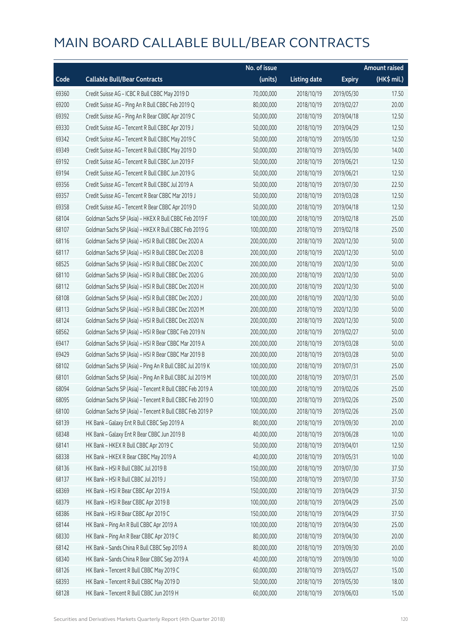|       |                                                          | No. of issue |                     |               | <b>Amount raised</b> |
|-------|----------------------------------------------------------|--------------|---------------------|---------------|----------------------|
| Code  | <b>Callable Bull/Bear Contracts</b>                      | (units)      | <b>Listing date</b> | <b>Expiry</b> | (HK\$ mil.)          |
| 69360 | Credit Suisse AG - ICBC R Bull CBBC May 2019 D           | 70,000,000   | 2018/10/19          | 2019/05/30    | 17.50                |
| 69200 | Credit Suisse AG - Ping An R Bull CBBC Feb 2019 Q        | 80,000,000   | 2018/10/19          | 2019/02/27    | 20.00                |
| 69392 | Credit Suisse AG - Ping An R Bear CBBC Apr 2019 C        | 50,000,000   | 2018/10/19          | 2019/04/18    | 12.50                |
| 69330 | Credit Suisse AG - Tencent R Bull CBBC Apr 2019 J        | 50,000,000   | 2018/10/19          | 2019/04/29    | 12.50                |
| 69342 | Credit Suisse AG - Tencent R Bull CBBC May 2019 C        | 50,000,000   | 2018/10/19          | 2019/05/30    | 12.50                |
| 69349 | Credit Suisse AG - Tencent R Bull CBBC May 2019 D        | 50,000,000   | 2018/10/19          | 2019/05/30    | 14.00                |
| 69192 | Credit Suisse AG - Tencent R Bull CBBC Jun 2019 F        | 50,000,000   | 2018/10/19          | 2019/06/21    | 12.50                |
| 69194 | Credit Suisse AG - Tencent R Bull CBBC Jun 2019 G        | 50,000,000   | 2018/10/19          | 2019/06/21    | 12.50                |
| 69356 | Credit Suisse AG - Tencent R Bull CBBC Jul 2019 A        | 50,000,000   | 2018/10/19          | 2019/07/30    | 22.50                |
| 69357 | Credit Suisse AG - Tencent R Bear CBBC Mar 2019 J        | 50,000,000   | 2018/10/19          | 2019/03/28    | 12.50                |
| 69358 | Credit Suisse AG - Tencent R Bear CBBC Apr 2019 D        | 50,000,000   | 2018/10/19          | 2019/04/18    | 12.50                |
| 68104 | Goldman Sachs SP (Asia) - HKEX R Bull CBBC Feb 2019 F    | 100,000,000  | 2018/10/19          | 2019/02/18    | 25.00                |
| 68107 | Goldman Sachs SP (Asia) - HKEX R Bull CBBC Feb 2019 G    | 100,000,000  | 2018/10/19          | 2019/02/18    | 25.00                |
| 68116 | Goldman Sachs SP (Asia) - HSI R Bull CBBC Dec 2020 A     | 200,000,000  | 2018/10/19          | 2020/12/30    | 50.00                |
| 68117 | Goldman Sachs SP (Asia) - HSI R Bull CBBC Dec 2020 B     | 200,000,000  | 2018/10/19          | 2020/12/30    | 50.00                |
| 68525 | Goldman Sachs SP (Asia) - HSI R Bull CBBC Dec 2020 C     | 200,000,000  | 2018/10/19          | 2020/12/30    | 50.00                |
| 68110 | Goldman Sachs SP (Asia) - HSI R Bull CBBC Dec 2020 G     | 200,000,000  | 2018/10/19          | 2020/12/30    | 50.00                |
| 68112 | Goldman Sachs SP (Asia) - HSI R Bull CBBC Dec 2020 H     | 200,000,000  | 2018/10/19          | 2020/12/30    | 50.00                |
| 68108 | Goldman Sachs SP (Asia) - HSI R Bull CBBC Dec 2020 J     | 200,000,000  | 2018/10/19          | 2020/12/30    | 50.00                |
| 68113 | Goldman Sachs SP (Asia) - HSI R Bull CBBC Dec 2020 M     | 200,000,000  | 2018/10/19          | 2020/12/30    | 50.00                |
| 68124 | Goldman Sachs SP (Asia) - HSI R Bull CBBC Dec 2020 N     | 200,000,000  | 2018/10/19          | 2020/12/30    | 50.00                |
| 68562 | Goldman Sachs SP (Asia) - HSI R Bear CBBC Feb 2019 N     | 200,000,000  | 2018/10/19          | 2019/02/27    | 50.00                |
| 69417 | Goldman Sachs SP (Asia) - HSI R Bear CBBC Mar 2019 A     | 200,000,000  | 2018/10/19          | 2019/03/28    | 50.00                |
| 69429 | Goldman Sachs SP (Asia) - HSI R Bear CBBC Mar 2019 B     | 200,000,000  | 2018/10/19          | 2019/03/28    | 50.00                |
| 68102 | Goldman Sachs SP (Asia) - Ping An R Bull CBBC Jul 2019 K | 100,000,000  | 2018/10/19          | 2019/07/31    | 25.00                |
| 68101 | Goldman Sachs SP (Asia) - Ping An R Bull CBBC Jul 2019 M | 100,000,000  | 2018/10/19          | 2019/07/31    | 25.00                |
| 68094 | Goldman Sachs SP (Asia) - Tencent R Bull CBBC Feb 2019 A | 100,000,000  | 2018/10/19          | 2019/02/26    | 25.00                |
| 68095 | Goldman Sachs SP (Asia) - Tencent R Bull CBBC Feb 2019 O | 100,000,000  | 2018/10/19          | 2019/02/26    | 25.00                |
| 68100 | Goldman Sachs SP (Asia) - Tencent R Bull CBBC Feb 2019 P | 100,000,000  | 2018/10/19          | 2019/02/26    | 25.00                |
| 68139 | HK Bank - Galaxy Ent R Bull CBBC Sep 2019 A              | 80,000,000   | 2018/10/19          | 2019/09/30    | 20.00                |
| 68348 | HK Bank - Galaxy Ent R Bear CBBC Jun 2019 B              | 40,000,000   | 2018/10/19          | 2019/06/28    | 10.00                |
| 68141 | HK Bank - HKEX R Bull CBBC Apr 2019 C                    | 50,000,000   | 2018/10/19          | 2019/04/01    | 12.50                |
| 68338 | HK Bank - HKEX R Bear CBBC May 2019 A                    | 40,000,000   | 2018/10/19          | 2019/05/31    | 10.00                |
| 68136 | HK Bank - HSI R Bull CBBC Jul 2019 B                     | 150,000,000  | 2018/10/19          | 2019/07/30    | 37.50                |
| 68137 | HK Bank - HSI R Bull CBBC Jul 2019 J                     | 150,000,000  | 2018/10/19          | 2019/07/30    | 37.50                |
| 68369 | HK Bank - HSI R Bear CBBC Apr 2019 A                     | 150,000,000  | 2018/10/19          | 2019/04/29    | 37.50                |
| 68379 | HK Bank - HSI R Bear CBBC Apr 2019 B                     | 100,000,000  | 2018/10/19          | 2019/04/29    | 25.00                |
| 68386 | HK Bank - HSI R Bear CBBC Apr 2019 C                     | 150,000,000  | 2018/10/19          | 2019/04/29    | 37.50                |
| 68144 | HK Bank - Ping An R Bull CBBC Apr 2019 A                 | 100,000,000  | 2018/10/19          | 2019/04/30    | 25.00                |
| 68330 | HK Bank - Ping An R Bear CBBC Apr 2019 C                 | 80,000,000   | 2018/10/19          | 2019/04/30    | 20.00                |
| 68142 | HK Bank - Sands China R Bull CBBC Sep 2019 A             | 80,000,000   | 2018/10/19          | 2019/09/30    | 20.00                |
| 68340 | HK Bank - Sands China R Bear CBBC Sep 2019 A             | 40,000,000   | 2018/10/19          | 2019/09/30    | 10.00                |
| 68126 | HK Bank - Tencent R Bull CBBC May 2019 C                 | 60,000,000   | 2018/10/19          | 2019/05/27    | 15.00                |
| 68393 | HK Bank - Tencent R Bull CBBC May 2019 D                 | 50,000,000   | 2018/10/19          | 2019/05/30    | 18.00                |
| 68128 | HK Bank - Tencent R Bull CBBC Jun 2019 H                 | 60,000,000   | 2018/10/19          | 2019/06/03    | 15.00                |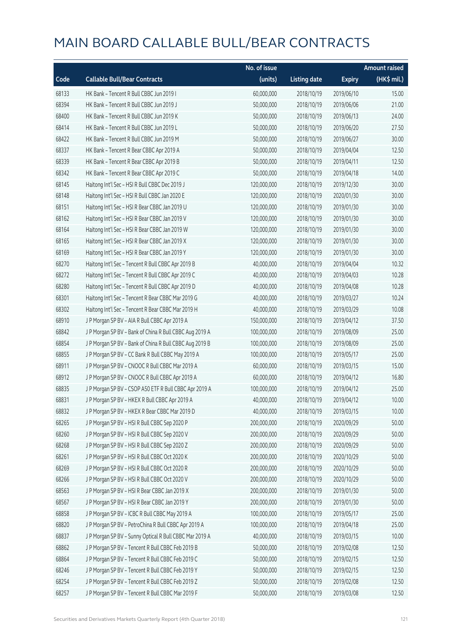|       |                                                         | No. of issue |                     |               | <b>Amount raised</b> |
|-------|---------------------------------------------------------|--------------|---------------------|---------------|----------------------|
| Code  | <b>Callable Bull/Bear Contracts</b>                     | (units)      | <b>Listing date</b> | <b>Expiry</b> | (HK\$ mil.)          |
| 68133 | HK Bank - Tencent R Bull CBBC Jun 2019 I                | 60,000,000   | 2018/10/19          | 2019/06/10    | 15.00                |
| 68394 | HK Bank - Tencent R Bull CBBC Jun 2019 J                | 50,000,000   | 2018/10/19          | 2019/06/06    | 21.00                |
| 68400 | HK Bank - Tencent R Bull CBBC Jun 2019 K                | 50,000,000   | 2018/10/19          | 2019/06/13    | 24.00                |
| 68414 | HK Bank - Tencent R Bull CBBC Jun 2019 L                | 50,000,000   | 2018/10/19          | 2019/06/20    | 27.50                |
| 68422 | HK Bank - Tencent R Bull CBBC Jun 2019 M                | 50,000,000   | 2018/10/19          | 2019/06/27    | 30.00                |
| 68337 | HK Bank - Tencent R Bear CBBC Apr 2019 A                | 50,000,000   | 2018/10/19          | 2019/04/04    | 12.50                |
| 68339 | HK Bank - Tencent R Bear CBBC Apr 2019 B                | 50,000,000   | 2018/10/19          | 2019/04/11    | 12.50                |
| 68342 | HK Bank - Tencent R Bear CBBC Apr 2019 C                | 50,000,000   | 2018/10/19          | 2019/04/18    | 14.00                |
| 68145 | Haitong Int'l Sec - HSI R Bull CBBC Dec 2019 J          | 120,000,000  | 2018/10/19          | 2019/12/30    | 30.00                |
| 68148 | Haitong Int'l Sec - HSI R Bull CBBC Jan 2020 E          | 120,000,000  | 2018/10/19          | 2020/01/30    | 30.00                |
| 68151 | Haitong Int'l Sec - HSI R Bear CBBC Jan 2019 U          | 120,000,000  | 2018/10/19          | 2019/01/30    | 30.00                |
| 68162 | Haitong Int'l Sec - HSI R Bear CBBC Jan 2019 V          | 120,000,000  | 2018/10/19          | 2019/01/30    | 30.00                |
| 68164 | Haitong Int'l Sec - HSI R Bear CBBC Jan 2019 W          | 120,000,000  | 2018/10/19          | 2019/01/30    | 30.00                |
| 68165 | Haitong Int'l Sec - HSI R Bear CBBC Jan 2019 X          | 120,000,000  | 2018/10/19          | 2019/01/30    | 30.00                |
| 68169 | Haitong Int'l Sec - HSI R Bear CBBC Jan 2019 Y          | 120,000,000  | 2018/10/19          | 2019/01/30    | 30.00                |
| 68270 | Haitong Int'l Sec - Tencent R Bull CBBC Apr 2019 B      | 40,000,000   | 2018/10/19          | 2019/04/04    | 10.32                |
| 68272 | Haitong Int'l Sec - Tencent R Bull CBBC Apr 2019 C      | 40,000,000   | 2018/10/19          | 2019/04/03    | 10.28                |
| 68280 | Haitong Int'l Sec - Tencent R Bull CBBC Apr 2019 D      | 40,000,000   | 2018/10/19          | 2019/04/08    | 10.28                |
| 68301 | Haitong Int'l Sec - Tencent R Bear CBBC Mar 2019 G      | 40,000,000   | 2018/10/19          | 2019/03/27    | 10.24                |
| 68302 | Haitong Int'l Sec - Tencent R Bear CBBC Mar 2019 H      | 40,000,000   | 2018/10/19          | 2019/03/29    | 10.08                |
| 68910 | J P Morgan SP BV - AIA R Bull CBBC Apr 2019 A           | 150,000,000  | 2018/10/19          | 2019/04/12    | 37.50                |
| 68842 | J P Morgan SP BV - Bank of China R Bull CBBC Aug 2019 A | 100,000,000  | 2018/10/19          | 2019/08/09    | 25.00                |
| 68854 | J P Morgan SP BV - Bank of China R Bull CBBC Aug 2019 B | 100,000,000  | 2018/10/19          | 2019/08/09    | 25.00                |
| 68855 | J P Morgan SP BV - CC Bank R Bull CBBC May 2019 A       | 100,000,000  | 2018/10/19          | 2019/05/17    | 25.00                |
| 68911 | J P Morgan SP BV - CNOOC R Bull CBBC Mar 2019 A         | 60,000,000   | 2018/10/19          | 2019/03/15    | 15.00                |
| 68912 | J P Morgan SP BV - CNOOC R Bull CBBC Apr 2019 A         | 60,000,000   | 2018/10/19          | 2019/04/12    | 16.80                |
| 68835 | J P Morgan SP BV - CSOP A50 ETF R Bull CBBC Apr 2019 A  | 100,000,000  | 2018/10/19          | 2019/04/12    | 25.00                |
| 68831 | J P Morgan SP BV - HKEX R Bull CBBC Apr 2019 A          | 40,000,000   | 2018/10/19          | 2019/04/12    | 10.00                |
| 68832 | J P Morgan SP BV - HKEX R Bear CBBC Mar 2019 D          | 40,000,000   | 2018/10/19          | 2019/03/15    | 10.00                |
| 68265 | J P Morgan SP BV - HSI R Bull CBBC Sep 2020 P           | 200,000,000  | 2018/10/19          | 2020/09/29    | 50.00                |
| 68260 | J P Morgan SP BV - HSI R Bull CBBC Sep 2020 V           | 200,000,000  | 2018/10/19          | 2020/09/29    | 50.00                |
| 68268 | J P Morgan SP BV - HSI R Bull CBBC Sep 2020 Z           | 200,000,000  | 2018/10/19          | 2020/09/29    | 50.00                |
| 68261 | J P Morgan SP BV - HSI R Bull CBBC Oct 2020 K           | 200,000,000  | 2018/10/19          | 2020/10/29    | 50.00                |
| 68269 | J P Morgan SP BV - HSI R Bull CBBC Oct 2020 R           | 200,000,000  | 2018/10/19          | 2020/10/29    | 50.00                |
| 68266 | J P Morgan SP BV - HSI R Bull CBBC Oct 2020 V           | 200,000,000  | 2018/10/19          | 2020/10/29    | 50.00                |
| 68563 | J P Morgan SP BV - HSI R Bear CBBC Jan 2019 X           | 200,000,000  | 2018/10/19          | 2019/01/30    | 50.00                |
| 68567 | J P Morgan SP BV - HSI R Bear CBBC Jan 2019 Y           | 200,000,000  | 2018/10/19          | 2019/01/30    | 50.00                |
| 68858 | J P Morgan SP BV - ICBC R Bull CBBC May 2019 A          | 100,000,000  | 2018/10/19          | 2019/05/17    | 25.00                |
| 68820 | J P Morgan SP BV - PetroChina R Bull CBBC Apr 2019 A    | 100,000,000  | 2018/10/19          | 2019/04/18    | 25.00                |
| 68837 | J P Morgan SP BV - Sunny Optical R Bull CBBC Mar 2019 A | 40,000,000   | 2018/10/19          | 2019/03/15    | 10.00                |
| 68862 | J P Morgan SP BV - Tencent R Bull CBBC Feb 2019 B       | 50,000,000   | 2018/10/19          | 2019/02/08    | 12.50                |
| 68864 | J P Morgan SP BV - Tencent R Bull CBBC Feb 2019 C       | 50,000,000   | 2018/10/19          | 2019/02/15    | 12.50                |
| 68246 | J P Morgan SP BV - Tencent R Bull CBBC Feb 2019 Y       | 50,000,000   | 2018/10/19          | 2019/02/15    | 12.50                |
| 68254 | JP Morgan SP BV - Tencent R Bull CBBC Feb 2019 Z        | 50,000,000   | 2018/10/19          | 2019/02/08    | 12.50                |
| 68257 | J P Morgan SP BV - Tencent R Bull CBBC Mar 2019 F       | 50,000,000   | 2018/10/19          | 2019/03/08    | 12.50                |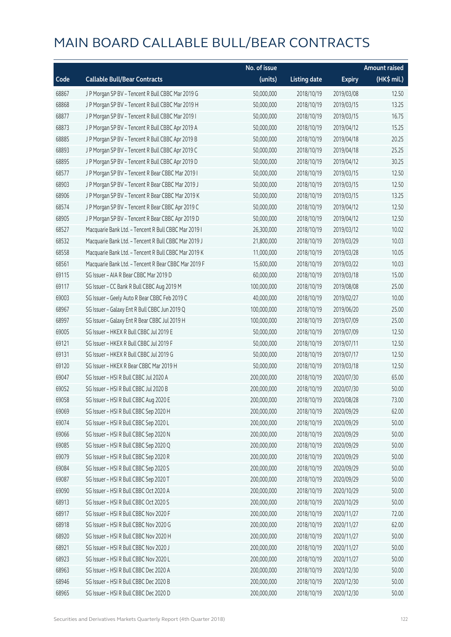|       |                                                      | No. of issue |                     |               | <b>Amount raised</b> |
|-------|------------------------------------------------------|--------------|---------------------|---------------|----------------------|
| Code  | <b>Callable Bull/Bear Contracts</b>                  | (units)      | <b>Listing date</b> | <b>Expiry</b> | $(HK$$ mil.)         |
| 68867 | J P Morgan SP BV - Tencent R Bull CBBC Mar 2019 G    | 50,000,000   | 2018/10/19          | 2019/03/08    | 12.50                |
| 68868 | J P Morgan SP BV - Tencent R Bull CBBC Mar 2019 H    | 50,000,000   | 2018/10/19          | 2019/03/15    | 13.25                |
| 68877 | J P Morgan SP BV - Tencent R Bull CBBC Mar 2019 I    | 50,000,000   | 2018/10/19          | 2019/03/15    | 16.75                |
| 68873 | J P Morgan SP BV - Tencent R Bull CBBC Apr 2019 A    | 50,000,000   | 2018/10/19          | 2019/04/12    | 15.25                |
| 68885 | J P Morgan SP BV - Tencent R Bull CBBC Apr 2019 B    | 50,000,000   | 2018/10/19          | 2019/04/18    | 20.25                |
| 68893 | J P Morgan SP BV - Tencent R Bull CBBC Apr 2019 C    | 50,000,000   | 2018/10/19          | 2019/04/18    | 25.25                |
| 68895 | J P Morgan SP BV - Tencent R Bull CBBC Apr 2019 D    | 50,000,000   | 2018/10/19          | 2019/04/12    | 30.25                |
| 68577 | J P Morgan SP BV - Tencent R Bear CBBC Mar 2019 I    | 50,000,000   | 2018/10/19          | 2019/03/15    | 12.50                |
| 68903 | J P Morgan SP BV - Tencent R Bear CBBC Mar 2019 J    | 50,000,000   | 2018/10/19          | 2019/03/15    | 12.50                |
| 68906 | J P Morgan SP BV - Tencent R Bear CBBC Mar 2019 K    | 50,000,000   | 2018/10/19          | 2019/03/15    | 13.25                |
| 68574 | J P Morgan SP BV - Tencent R Bear CBBC Apr 2019 C    | 50,000,000   | 2018/10/19          | 2019/04/12    | 12.50                |
| 68905 | J P Morgan SP BV - Tencent R Bear CBBC Apr 2019 D    | 50,000,000   | 2018/10/19          | 2019/04/12    | 12.50                |
| 68527 | Macquarie Bank Ltd. - Tencent R Bull CBBC Mar 2019 I | 26,300,000   | 2018/10/19          | 2019/03/12    | 10.02                |
| 68532 | Macquarie Bank Ltd. - Tencent R Bull CBBC Mar 2019 J | 21,800,000   | 2018/10/19          | 2019/03/29    | 10.03                |
| 68558 | Macquarie Bank Ltd. - Tencent R Bull CBBC Mar 2019 K | 11,000,000   | 2018/10/19          | 2019/03/28    | 10.05                |
| 68561 | Macquarie Bank Ltd. - Tencent R Bear CBBC Mar 2019 F | 15,600,000   | 2018/10/19          | 2019/03/22    | 10.03                |
| 69115 | SG Issuer - AIA R Bear CBBC Mar 2019 D               | 60,000,000   | 2018/10/19          | 2019/03/18    | 15.00                |
| 69117 | SG Issuer - CC Bank R Bull CBBC Aug 2019 M           | 100,000,000  | 2018/10/19          | 2019/08/08    | 25.00                |
| 69003 | SG Issuer - Geely Auto R Bear CBBC Feb 2019 C        | 40,000,000   | 2018/10/19          | 2019/02/27    | 10.00                |
| 68967 | SG Issuer - Galaxy Ent R Bull CBBC Jun 2019 Q        | 100,000,000  | 2018/10/19          | 2019/06/20    | 25.00                |
| 68997 | SG Issuer - Galaxy Ent R Bear CBBC Jul 2019 H        | 100,000,000  | 2018/10/19          | 2019/07/09    | 25.00                |
| 69005 | SG Issuer - HKEX R Bull CBBC Jul 2019 E              | 50,000,000   | 2018/10/19          | 2019/07/09    | 12.50                |
| 69121 | SG Issuer - HKEX R Bull CBBC Jul 2019 F              | 50,000,000   | 2018/10/19          | 2019/07/11    | 12.50                |
| 69131 | SG Issuer - HKEX R Bull CBBC Jul 2019 G              | 50,000,000   | 2018/10/19          | 2019/07/17    | 12.50                |
| 69120 | SG Issuer - HKEX R Bear CBBC Mar 2019 H              | 50,000,000   | 2018/10/19          | 2019/03/18    | 12.50                |
| 69047 | SG Issuer - HSI R Bull CBBC Jul 2020 A               | 200,000,000  | 2018/10/19          | 2020/07/30    | 65.00                |
| 69052 | SG Issuer - HSI R Bull CBBC Jul 2020 B               | 200,000,000  | 2018/10/19          | 2020/07/30    | 50.00                |
| 69058 | SG Issuer - HSI R Bull CBBC Aug 2020 E               | 200,000,000  | 2018/10/19          | 2020/08/28    | 73.00                |
| 69069 | SG Issuer - HSI R Bull CBBC Sep 2020 H               | 200,000,000  | 2018/10/19          | 2020/09/29    | 62.00                |
| 69074 | SG Issuer - HSI R Bull CBBC Sep 2020 L               | 200,000,000  | 2018/10/19          | 2020/09/29    | 50.00                |
| 69066 | SG Issuer - HSI R Bull CBBC Sep 2020 N               | 200,000,000  | 2018/10/19          | 2020/09/29    | 50.00                |
| 69085 | SG Issuer - HSI R Bull CBBC Sep 2020 Q               | 200,000,000  | 2018/10/19          | 2020/09/29    | 50.00                |
| 69079 | SG Issuer - HSI R Bull CBBC Sep 2020 R               | 200,000,000  | 2018/10/19          | 2020/09/29    | 50.00                |
| 69084 | SG Issuer - HSI R Bull CBBC Sep 2020 S               | 200,000,000  | 2018/10/19          | 2020/09/29    | 50.00                |
| 69087 | SG Issuer - HSI R Bull CBBC Sep 2020 T               | 200,000,000  | 2018/10/19          | 2020/09/29    | 50.00                |
| 69090 | SG Issuer - HSI R Bull CBBC Oct 2020 A               | 200,000,000  | 2018/10/19          | 2020/10/29    | 50.00                |
| 68913 | SG Issuer - HSI R Bull CBBC Oct 2020 S               | 200,000,000  | 2018/10/19          | 2020/10/29    | 50.00                |
| 68917 | SG Issuer - HSI R Bull CBBC Nov 2020 F               | 200,000,000  | 2018/10/19          | 2020/11/27    | 72.00                |
| 68918 | SG Issuer - HSI R Bull CBBC Nov 2020 G               | 200,000,000  | 2018/10/19          | 2020/11/27    | 62.00                |
| 68920 | SG Issuer - HSI R Bull CBBC Nov 2020 H               | 200,000,000  | 2018/10/19          | 2020/11/27    | 50.00                |
| 68921 | SG Issuer - HSI R Bull CBBC Nov 2020 J               | 200,000,000  | 2018/10/19          | 2020/11/27    | 50.00                |
| 68923 | SG Issuer - HSI R Bull CBBC Nov 2020 L               | 200,000,000  | 2018/10/19          | 2020/11/27    | 50.00                |
| 68963 | SG Issuer - HSI R Bull CBBC Dec 2020 A               | 200,000,000  | 2018/10/19          | 2020/12/30    | 50.00                |
| 68946 | SG Issuer - HSI R Bull CBBC Dec 2020 B               | 200,000,000  | 2018/10/19          | 2020/12/30    | 50.00                |
| 68965 | SG Issuer - HSI R Bull CBBC Dec 2020 D               | 200,000,000  | 2018/10/19          | 2020/12/30    | 50.00                |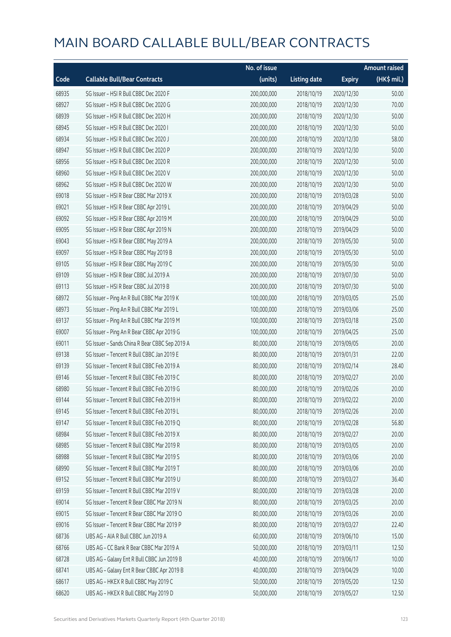|       |                                                | No. of issue |                     |               | <b>Amount raised</b> |
|-------|------------------------------------------------|--------------|---------------------|---------------|----------------------|
| Code  | <b>Callable Bull/Bear Contracts</b>            | (units)      | <b>Listing date</b> | <b>Expiry</b> | (HK\$ mil.)          |
| 68935 | SG Issuer - HSI R Bull CBBC Dec 2020 F         | 200,000,000  | 2018/10/19          | 2020/12/30    | 50.00                |
| 68927 | SG Issuer - HSI R Bull CBBC Dec 2020 G         | 200,000,000  | 2018/10/19          | 2020/12/30    | 70.00                |
| 68939 | SG Issuer - HSI R Bull CBBC Dec 2020 H         | 200,000,000  | 2018/10/19          | 2020/12/30    | 50.00                |
| 68945 | SG Issuer - HSI R Bull CBBC Dec 2020 I         | 200,000,000  | 2018/10/19          | 2020/12/30    | 50.00                |
| 68934 | SG Issuer - HSI R Bull CBBC Dec 2020 J         | 200,000,000  | 2018/10/19          | 2020/12/30    | 58.00                |
| 68947 | SG Issuer - HSI R Bull CBBC Dec 2020 P         | 200,000,000  | 2018/10/19          | 2020/12/30    | 50.00                |
| 68956 | SG Issuer - HSI R Bull CBBC Dec 2020 R         | 200,000,000  | 2018/10/19          | 2020/12/30    | 50.00                |
| 68960 | SG Issuer - HSI R Bull CBBC Dec 2020 V         | 200,000,000  | 2018/10/19          | 2020/12/30    | 50.00                |
| 68962 | SG Issuer - HSI R Bull CBBC Dec 2020 W         | 200,000,000  | 2018/10/19          | 2020/12/30    | 50.00                |
| 69018 | SG Issuer - HSI R Bear CBBC Mar 2019 X         | 200,000,000  | 2018/10/19          | 2019/03/28    | 50.00                |
| 69021 | SG Issuer - HSI R Bear CBBC Apr 2019 L         | 200,000,000  | 2018/10/19          | 2019/04/29    | 50.00                |
| 69092 | SG Issuer - HSI R Bear CBBC Apr 2019 M         | 200,000,000  | 2018/10/19          | 2019/04/29    | 50.00                |
| 69095 | SG Issuer - HSI R Bear CBBC Apr 2019 N         | 200,000,000  | 2018/10/19          | 2019/04/29    | 50.00                |
| 69043 | SG Issuer - HSI R Bear CBBC May 2019 A         | 200,000,000  | 2018/10/19          | 2019/05/30    | 50.00                |
| 69097 | SG Issuer - HSI R Bear CBBC May 2019 B         | 200,000,000  | 2018/10/19          | 2019/05/30    | 50.00                |
| 69105 | SG Issuer - HSI R Bear CBBC May 2019 C         | 200,000,000  | 2018/10/19          | 2019/05/30    | 50.00                |
| 69109 | SG Issuer - HSI R Bear CBBC Jul 2019 A         | 200,000,000  | 2018/10/19          | 2019/07/30    | 50.00                |
| 69113 | SG Issuer - HSI R Bear CBBC Jul 2019 B         | 200,000,000  | 2018/10/19          | 2019/07/30    | 50.00                |
| 68972 | SG Issuer - Ping An R Bull CBBC Mar 2019 K     | 100,000,000  | 2018/10/19          | 2019/03/05    | 25.00                |
| 68973 | SG Issuer - Ping An R Bull CBBC Mar 2019 L     | 100,000,000  | 2018/10/19          | 2019/03/06    | 25.00                |
| 69137 | SG Issuer - Ping An R Bull CBBC Mar 2019 M     | 100,000,000  | 2018/10/19          | 2019/03/18    | 25.00                |
| 69007 | SG Issuer - Ping An R Bear CBBC Apr 2019 G     | 100,000,000  | 2018/10/19          | 2019/04/25    | 25.00                |
| 69011 | SG Issuer - Sands China R Bear CBBC Sep 2019 A | 80,000,000   | 2018/10/19          | 2019/09/05    | 20.00                |
| 69138 | SG Issuer - Tencent R Bull CBBC Jan 2019 E     | 80,000,000   | 2018/10/19          | 2019/01/31    | 22.00                |
| 69139 | SG Issuer - Tencent R Bull CBBC Feb 2019 A     | 80,000,000   | 2018/10/19          | 2019/02/14    | 28.40                |
| 69146 | SG Issuer - Tencent R Bull CBBC Feb 2019 C     | 80,000,000   | 2018/10/19          | 2019/02/27    | 20.00                |
| 68980 | SG Issuer - Tencent R Bull CBBC Feb 2019 G     | 80,000,000   | 2018/10/19          | 2019/02/26    | 20.00                |
| 69144 | SG Issuer - Tencent R Bull CBBC Feb 2019 H     | 80,000,000   | 2018/10/19          | 2019/02/22    | 20.00                |
| 69145 | SG Issuer - Tencent R Bull CBBC Feb 2019 L     | 80,000,000   | 2018/10/19          | 2019/02/26    | 20.00                |
| 69147 | SG Issuer - Tencent R Bull CBBC Feb 2019 Q     | 80,000,000   | 2018/10/19          | 2019/02/28    | 56.80                |
| 68984 | SG Issuer - Tencent R Bull CBBC Feb 2019 X     | 80,000,000   | 2018/10/19          | 2019/02/27    | 20.00                |
| 68985 | SG Issuer - Tencent R Bull CBBC Mar 2019 R     | 80,000,000   | 2018/10/19          | 2019/03/05    | 20.00                |
| 68988 | SG Issuer - Tencent R Bull CBBC Mar 2019 S     | 80,000,000   | 2018/10/19          | 2019/03/06    | 20.00                |
| 68990 | SG Issuer - Tencent R Bull CBBC Mar 2019 T     | 80,000,000   | 2018/10/19          | 2019/03/06    | 20.00                |
| 69152 | SG Issuer - Tencent R Bull CBBC Mar 2019 U     | 80,000,000   | 2018/10/19          | 2019/03/27    | 36.40                |
| 69159 | SG Issuer - Tencent R Bull CBBC Mar 2019 V     | 80,000,000   | 2018/10/19          | 2019/03/28    | 20.00                |
| 69014 | SG Issuer - Tencent R Bear CBBC Mar 2019 N     | 80,000,000   | 2018/10/19          | 2019/03/25    | 20.00                |
| 69015 | SG Issuer - Tencent R Bear CBBC Mar 2019 O     | 80,000,000   | 2018/10/19          | 2019/03/26    | 20.00                |
| 69016 | SG Issuer - Tencent R Bear CBBC Mar 2019 P     | 80,000,000   | 2018/10/19          | 2019/03/27    | 22.40                |
| 68736 | UBS AG - AIA R Bull CBBC Jun 2019 A            | 60,000,000   | 2018/10/19          | 2019/06/10    | 15.00                |
| 68766 | UBS AG - CC Bank R Bear CBBC Mar 2019 A        | 50,000,000   | 2018/10/19          | 2019/03/11    | 12.50                |
| 68728 | UBS AG - Galaxy Ent R Bull CBBC Jun 2019 B     | 40,000,000   | 2018/10/19          | 2019/06/17    | 10.00                |
| 68741 | UBS AG - Galaxy Ent R Bear CBBC Apr 2019 B     | 40,000,000   | 2018/10/19          | 2019/04/29    | 10.00                |
| 68617 | UBS AG - HKEX R Bull CBBC May 2019 C           | 50,000,000   | 2018/10/19          | 2019/05/20    | 12.50                |
| 68620 | UBS AG - HKEX R Bull CBBC May 2019 D           | 50,000,000   | 2018/10/19          | 2019/05/27    | 12.50                |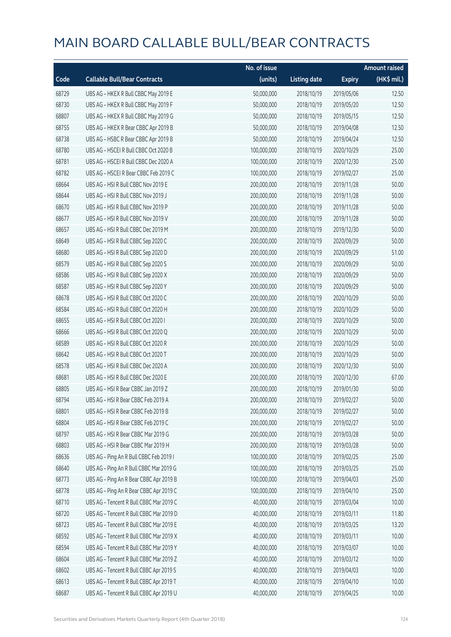|       |                                         | No. of issue |                     |               | <b>Amount raised</b> |
|-------|-----------------------------------------|--------------|---------------------|---------------|----------------------|
| Code  | <b>Callable Bull/Bear Contracts</b>     | (units)      | <b>Listing date</b> | <b>Expiry</b> | (HK\$ mil.)          |
| 68729 | UBS AG - HKEX R Bull CBBC May 2019 E    | 50,000,000   | 2018/10/19          | 2019/05/06    | 12.50                |
| 68730 | UBS AG - HKEX R Bull CBBC May 2019 F    | 50,000,000   | 2018/10/19          | 2019/05/20    | 12.50                |
| 68807 | UBS AG - HKEX R Bull CBBC May 2019 G    | 50,000,000   | 2018/10/19          | 2019/05/15    | 12.50                |
| 68755 | UBS AG - HKEX R Bear CBBC Apr 2019 B    | 50,000,000   | 2018/10/19          | 2019/04/08    | 12.50                |
| 68738 | UBS AG - HSBC R Bear CBBC Apr 2019 B    | 50,000,000   | 2018/10/19          | 2019/04/24    | 12.50                |
| 68780 | UBS AG - HSCEI R Bull CBBC Oct 2020 B   | 100,000,000  | 2018/10/19          | 2020/10/29    | 25.00                |
| 68781 | UBS AG - HSCEI R Bull CBBC Dec 2020 A   | 100,000,000  | 2018/10/19          | 2020/12/30    | 25.00                |
| 68782 | UBS AG - HSCEI R Bear CBBC Feb 2019 C   | 100,000,000  | 2018/10/19          | 2019/02/27    | 25.00                |
| 68664 | UBS AG - HSI R Bull CBBC Nov 2019 E     | 200,000,000  | 2018/10/19          | 2019/11/28    | 50.00                |
| 68644 | UBS AG - HSI R Bull CBBC Nov 2019 J     | 200,000,000  | 2018/10/19          | 2019/11/28    | 50.00                |
| 68670 | UBS AG - HSI R Bull CBBC Nov 2019 P     | 200,000,000  | 2018/10/19          | 2019/11/28    | 50.00                |
| 68677 | UBS AG - HSI R Bull CBBC Nov 2019 V     | 200,000,000  | 2018/10/19          | 2019/11/28    | 50.00                |
| 68657 | UBS AG - HSI R Bull CBBC Dec 2019 M     | 200,000,000  | 2018/10/19          | 2019/12/30    | 50.00                |
| 68649 | UBS AG - HSI R Bull CBBC Sep 2020 C     | 200,000,000  | 2018/10/19          | 2020/09/29    | 50.00                |
| 68680 | UBS AG - HSI R Bull CBBC Sep 2020 D     | 200,000,000  | 2018/10/19          | 2020/09/29    | 51.00                |
| 68579 | UBS AG - HSI R Bull CBBC Sep 2020 S     | 200,000,000  | 2018/10/19          | 2020/09/29    | 50.00                |
| 68586 | UBS AG - HSI R Bull CBBC Sep 2020 X     | 200,000,000  | 2018/10/19          | 2020/09/29    | 50.00                |
| 68587 | UBS AG - HSI R Bull CBBC Sep 2020 Y     | 200,000,000  | 2018/10/19          | 2020/09/29    | 50.00                |
| 68678 | UBS AG - HSI R Bull CBBC Oct 2020 C     | 200,000,000  | 2018/10/19          | 2020/10/29    | 50.00                |
| 68584 | UBS AG - HSI R Bull CBBC Oct 2020 H     | 200,000,000  | 2018/10/19          | 2020/10/29    | 50.00                |
| 68655 | UBS AG - HSI R Bull CBBC Oct 2020 I     | 200,000,000  | 2018/10/19          | 2020/10/29    | 50.00                |
| 68666 | UBS AG - HSI R Bull CBBC Oct 2020 Q     | 200,000,000  | 2018/10/19          | 2020/10/29    | 50.00                |
| 68589 | UBS AG - HSI R Bull CBBC Oct 2020 R     | 200,000,000  | 2018/10/19          | 2020/10/29    | 50.00                |
| 68642 | UBS AG - HSI R Bull CBBC Oct 2020 T     | 200,000,000  | 2018/10/19          | 2020/10/29    | 50.00                |
| 68578 | UBS AG - HSI R Bull CBBC Dec 2020 A     | 200,000,000  | 2018/10/19          | 2020/12/30    | 50.00                |
| 68681 | UBS AG - HSI R Bull CBBC Dec 2020 E     | 200,000,000  | 2018/10/19          | 2020/12/30    | 67.00                |
| 68805 | UBS AG - HSI R Bear CBBC Jan 2019 Z     | 200,000,000  | 2018/10/19          | 2019/01/30    | 50.00                |
| 68794 | UBS AG - HSI R Bear CBBC Feb 2019 A     | 200,000,000  | 2018/10/19          | 2019/02/27    | 50.00                |
| 68801 | UBS AG - HSI R Bear CBBC Feb 2019 B     | 200,000,000  | 2018/10/19          | 2019/02/27    | 50.00                |
| 68804 | UBS AG - HSI R Bear CBBC Feb 2019 C     | 200,000,000  | 2018/10/19          | 2019/02/27    | 50.00                |
| 68797 | UBS AG - HSI R Bear CBBC Mar 2019 G     | 200,000,000  | 2018/10/19          | 2019/03/28    | 50.00                |
| 68803 | UBS AG - HSI R Bear CBBC Mar 2019 H     | 200,000,000  | 2018/10/19          | 2019/03/28    | 50.00                |
| 68636 | UBS AG - Ping An R Bull CBBC Feb 2019 I | 100,000,000  | 2018/10/19          | 2019/02/25    | 25.00                |
| 68640 | UBS AG - Ping An R Bull CBBC Mar 2019 G | 100,000,000  | 2018/10/19          | 2019/03/25    | 25.00                |
| 68773 | UBS AG - Ping An R Bear CBBC Apr 2019 B | 100,000,000  | 2018/10/19          | 2019/04/03    | 25.00                |
| 68778 | UBS AG - Ping An R Bear CBBC Apr 2019 C | 100,000,000  | 2018/10/19          | 2019/04/10    | 25.00                |
| 68710 | UBS AG - Tencent R Bull CBBC Mar 2019 C | 40,000,000   | 2018/10/19          | 2019/03/04    | 10.00                |
| 68720 | UBS AG - Tencent R Bull CBBC Mar 2019 D | 40,000,000   | 2018/10/19          | 2019/03/11    | 11.80                |
| 68723 | UBS AG - Tencent R Bull CBBC Mar 2019 E | 40,000,000   | 2018/10/19          | 2019/03/25    | 13.20                |
| 68592 | UBS AG - Tencent R Bull CBBC Mar 2019 X | 40,000,000   | 2018/10/19          | 2019/03/11    | 10.00                |
| 68594 | UBS AG - Tencent R Bull CBBC Mar 2019 Y | 40,000,000   | 2018/10/19          | 2019/03/07    | 10.00                |
| 68604 | UBS AG - Tencent R Bull CBBC Mar 2019 Z | 40,000,000   | 2018/10/19          | 2019/03/12    | 10.00                |
| 68602 | UBS AG - Tencent R Bull CBBC Apr 2019 S | 40,000,000   | 2018/10/19          | 2019/04/03    | 10.00                |
| 68613 | UBS AG - Tencent R Bull CBBC Apr 2019 T | 40,000,000   | 2018/10/19          | 2019/04/10    | 10.00                |
| 68687 | UBS AG - Tencent R Bull CBBC Apr 2019 U | 40,000,000   | 2018/10/19          | 2019/04/25    | 10.00                |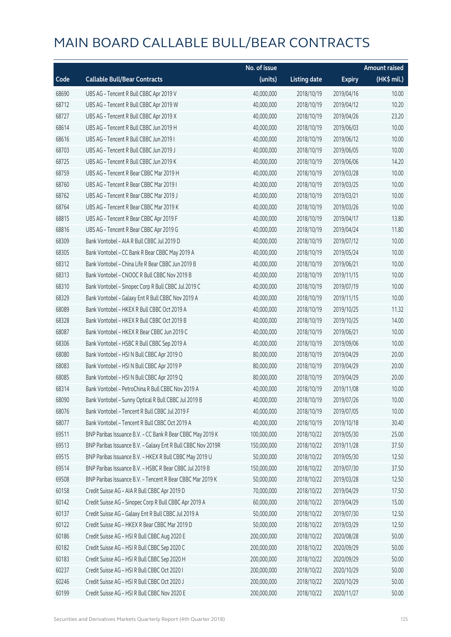|       |                                                              | No. of issue |                     |               | <b>Amount raised</b> |
|-------|--------------------------------------------------------------|--------------|---------------------|---------------|----------------------|
| Code  | <b>Callable Bull/Bear Contracts</b>                          | (units)      | <b>Listing date</b> | <b>Expiry</b> | $(HK\$ mil.)         |
| 68690 | UBS AG - Tencent R Bull CBBC Apr 2019 V                      | 40,000,000   | 2018/10/19          | 2019/04/16    | 10.00                |
| 68712 | UBS AG - Tencent R Bull CBBC Apr 2019 W                      | 40,000,000   | 2018/10/19          | 2019/04/12    | 10.20                |
| 68727 | UBS AG - Tencent R Bull CBBC Apr 2019 X                      | 40,000,000   | 2018/10/19          | 2019/04/26    | 23.20                |
| 68614 | UBS AG - Tencent R Bull CBBC Jun 2019 H                      | 40,000,000   | 2018/10/19          | 2019/06/03    | 10.00                |
| 68616 | UBS AG - Tencent R Bull CBBC Jun 2019 I                      | 40,000,000   | 2018/10/19          | 2019/06/12    | 10.00                |
| 68703 | UBS AG - Tencent R Bull CBBC Jun 2019 J                      | 40,000,000   | 2018/10/19          | 2019/06/05    | 10.00                |
| 68725 | UBS AG - Tencent R Bull CBBC Jun 2019 K                      | 40,000,000   | 2018/10/19          | 2019/06/06    | 14.20                |
| 68759 | UBS AG - Tencent R Bear CBBC Mar 2019 H                      | 40,000,000   | 2018/10/19          | 2019/03/28    | 10.00                |
| 68760 | UBS AG - Tencent R Bear CBBC Mar 2019 I                      | 40,000,000   | 2018/10/19          | 2019/03/25    | 10.00                |
| 68762 | UBS AG - Tencent R Bear CBBC Mar 2019 J                      | 40,000,000   | 2018/10/19          | 2019/03/21    | 10.00                |
| 68764 | UBS AG - Tencent R Bear CBBC Mar 2019 K                      | 40,000,000   | 2018/10/19          | 2019/03/26    | 10.00                |
| 68815 | UBS AG - Tencent R Bear CBBC Apr 2019 F                      | 40,000,000   | 2018/10/19          | 2019/04/17    | 13.80                |
| 68816 | UBS AG - Tencent R Bear CBBC Apr 2019 G                      | 40,000,000   | 2018/10/19          | 2019/04/24    | 11.80                |
| 68309 | Bank Vontobel - AIA R Bull CBBC Jul 2019 D                   | 40,000,000   | 2018/10/19          | 2019/07/12    | 10.00                |
| 68305 | Bank Vontobel - CC Bank R Bear CBBC May 2019 A               | 40,000,000   | 2018/10/19          | 2019/05/24    | 10.00                |
| 68312 | Bank Vontobel - China Life R Bear CBBC Jun 2019 B            | 40,000,000   | 2018/10/19          | 2019/06/21    | 10.00                |
| 68313 | Bank Vontobel - CNOOC R Bull CBBC Nov 2019 B                 | 40,000,000   | 2018/10/19          | 2019/11/15    | 10.00                |
| 68310 | Bank Vontobel - Sinopec Corp R Bull CBBC Jul 2019 C          | 40,000,000   | 2018/10/19          | 2019/07/19    | 10.00                |
| 68329 | Bank Vontobel - Galaxy Ent R Bull CBBC Nov 2019 A            | 40,000,000   | 2018/10/19          | 2019/11/15    | 10.00                |
| 68089 | Bank Vontobel - HKEX R Bull CBBC Oct 2019 A                  | 40,000,000   | 2018/10/19          | 2019/10/25    | 11.32                |
| 68328 | Bank Vontobel - HKEX R Bull CBBC Oct 2019 B                  | 40,000,000   | 2018/10/19          | 2019/10/25    | 14.00                |
| 68087 | Bank Vontobel - HKEX R Bear CBBC Jun 2019 C                  | 40,000,000   | 2018/10/19          | 2019/06/21    | 10.00                |
| 68306 | Bank Vontobel - HSBC R Bull CBBC Sep 2019 A                  | 40,000,000   | 2018/10/19          | 2019/09/06    | 10.00                |
| 68080 | Bank Vontobel - HSI N Bull CBBC Apr 2019 O                   | 80,000,000   | 2018/10/19          | 2019/04/29    | 20.00                |
| 68083 | Bank Vontobel - HSI N Bull CBBC Apr 2019 P                   | 80,000,000   | 2018/10/19          | 2019/04/29    | 20.00                |
| 68085 | Bank Vontobel - HSI N Bull CBBC Apr 2019 Q                   | 80,000,000   | 2018/10/19          | 2019/04/29    | 20.00                |
| 68314 | Bank Vontobel - PetroChina R Bull CBBC Nov 2019 A            | 40,000,000   | 2018/10/19          | 2019/11/08    | 10.00                |
| 68090 | Bank Vontobel - Sunny Optical R Bull CBBC Jul 2019 B         | 40,000,000   | 2018/10/19          | 2019/07/26    | 10.00                |
| 68076 | Bank Vontobel - Tencent R Bull CBBC Jul 2019 F               | 40,000,000   | 2018/10/19          | 2019/07/05    | 10.00                |
| 68077 | Bank Vontobel - Tencent R Bull CBBC Oct 2019 A               | 40,000,000   | 2018/10/19          | 2019/10/18    | 30.40                |
| 69511 | BNP Paribas Issuance B.V. - CC Bank R Bear CBBC May 2019 K   | 100,000,000  | 2018/10/22          | 2019/05/30    | 25.00                |
| 69513 | BNP Paribas Issuance B.V. - Galaxy Ent R Bull CBBC Nov 2019R | 150,000,000  | 2018/10/22          | 2019/11/28    | 37.50                |
| 69515 | BNP Paribas Issuance B.V. - HKEX R Bull CBBC May 2019 U      | 50,000,000   | 2018/10/22          | 2019/05/30    | 12.50                |
| 69514 | BNP Paribas Issuance B.V. - HSBC R Bear CBBC Jul 2019 B      | 150,000,000  | 2018/10/22          | 2019/07/30    | 37.50                |
| 69508 | BNP Paribas Issuance B.V. - Tencent R Bear CBBC Mar 2019 K   | 50,000,000   | 2018/10/22          | 2019/03/28    | 12.50                |
| 60158 | Credit Suisse AG - AIA R Bull CBBC Apr 2019 D                | 70,000,000   | 2018/10/22          | 2019/04/29    | 17.50                |
| 60142 | Credit Suisse AG - Sinopec Corp R Bull CBBC Apr 2019 A       | 60,000,000   | 2018/10/22          | 2019/04/29    | 15.00                |
| 60137 | Credit Suisse AG - Galaxy Ent R Bull CBBC Jul 2019 A         | 50,000,000   | 2018/10/22          | 2019/07/30    | 12.50                |
| 60122 | Credit Suisse AG - HKEX R Bear CBBC Mar 2019 D               | 50,000,000   | 2018/10/22          | 2019/03/29    | 12.50                |
| 60186 | Credit Suisse AG - HSI R Bull CBBC Aug 2020 E                | 200,000,000  | 2018/10/22          | 2020/08/28    | 50.00                |
| 60182 | Credit Suisse AG - HSI R Bull CBBC Sep 2020 C                | 200,000,000  | 2018/10/22          | 2020/09/29    | 50.00                |
| 60183 | Credit Suisse AG - HSI R Bull CBBC Sep 2020 H                | 200,000,000  | 2018/10/22          | 2020/09/29    | 50.00                |
| 60237 | Credit Suisse AG - HSI R Bull CBBC Oct 2020 I                | 200,000,000  | 2018/10/22          | 2020/10/29    | 50.00                |
| 60246 | Credit Suisse AG - HSI R Bull CBBC Oct 2020 J                | 200,000,000  | 2018/10/22          | 2020/10/29    | 50.00                |
| 60199 | Credit Suisse AG - HSI R Bull CBBC Nov 2020 E                | 200,000,000  | 2018/10/22          | 2020/11/27    | 50.00                |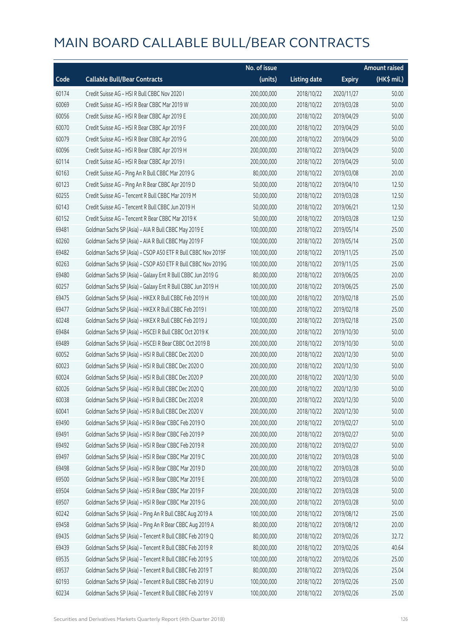|       |                                                              | No. of issue |                     |               | Amount raised         |
|-------|--------------------------------------------------------------|--------------|---------------------|---------------|-----------------------|
| Code  | <b>Callable Bull/Bear Contracts</b>                          | (units)      | <b>Listing date</b> | <b>Expiry</b> | $(HK\frac{1}{2}mil.)$ |
| 60174 | Credit Suisse AG - HSI R Bull CBBC Nov 2020 I                | 200,000,000  | 2018/10/22          | 2020/11/27    | 50.00                 |
| 60069 | Credit Suisse AG - HSI R Bear CBBC Mar 2019 W                | 200,000,000  | 2018/10/22          | 2019/03/28    | 50.00                 |
| 60056 | Credit Suisse AG - HSI R Bear CBBC Apr 2019 E                | 200,000,000  | 2018/10/22          | 2019/04/29    | 50.00                 |
| 60070 | Credit Suisse AG - HSI R Bear CBBC Apr 2019 F                | 200,000,000  | 2018/10/22          | 2019/04/29    | 50.00                 |
| 60079 | Credit Suisse AG - HSI R Bear CBBC Apr 2019 G                | 200,000,000  | 2018/10/22          | 2019/04/29    | 50.00                 |
| 60096 | Credit Suisse AG - HSI R Bear CBBC Apr 2019 H                | 200,000,000  | 2018/10/22          | 2019/04/29    | 50.00                 |
| 60114 | Credit Suisse AG - HSI R Bear CBBC Apr 2019 I                | 200,000,000  | 2018/10/22          | 2019/04/29    | 50.00                 |
| 60163 | Credit Suisse AG - Ping An R Bull CBBC Mar 2019 G            | 80,000,000   | 2018/10/22          | 2019/03/08    | 20.00                 |
| 60123 | Credit Suisse AG - Ping An R Bear CBBC Apr 2019 D            | 50,000,000   | 2018/10/22          | 2019/04/10    | 12.50                 |
| 60255 | Credit Suisse AG - Tencent R Bull CBBC Mar 2019 M            | 50,000,000   | 2018/10/22          | 2019/03/28    | 12.50                 |
| 60143 | Credit Suisse AG - Tencent R Bull CBBC Jun 2019 H            | 50,000,000   | 2018/10/22          | 2019/06/21    | 12.50                 |
| 60152 | Credit Suisse AG - Tencent R Bear CBBC Mar 2019 K            | 50,000,000   | 2018/10/22          | 2019/03/28    | 12.50                 |
| 69481 | Goldman Sachs SP (Asia) - AIA R Bull CBBC May 2019 E         | 100,000,000  | 2018/10/22          | 2019/05/14    | 25.00                 |
| 60260 | Goldman Sachs SP (Asia) - AIA R Bull CBBC May 2019 F         | 100,000,000  | 2018/10/22          | 2019/05/14    | 25.00                 |
| 69482 | Goldman Sachs SP (Asia) - CSOP A50 ETF R Bull CBBC Nov 2019F | 100,000,000  | 2018/10/22          | 2019/11/25    | 25.00                 |
| 60263 | Goldman Sachs SP (Asia) - CSOP A50 ETF R Bull CBBC Nov 2019G | 100,000,000  | 2018/10/22          | 2019/11/25    | 25.00                 |
| 69480 | Goldman Sachs SP (Asia) - Galaxy Ent R Bull CBBC Jun 2019 G  | 80,000,000   | 2018/10/22          | 2019/06/25    | 20.00                 |
| 60257 | Goldman Sachs SP (Asia) - Galaxy Ent R Bull CBBC Jun 2019 H  | 100,000,000  | 2018/10/22          | 2019/06/25    | 25.00                 |
| 69475 | Goldman Sachs SP (Asia) - HKEX R Bull CBBC Feb 2019 H        | 100,000,000  | 2018/10/22          | 2019/02/18    | 25.00                 |
| 69477 | Goldman Sachs SP (Asia) - HKEX R Bull CBBC Feb 2019 I        | 100,000,000  | 2018/10/22          | 2019/02/18    | 25.00                 |
| 60248 | Goldman Sachs SP (Asia) - HKEX R Bull CBBC Feb 2019 J        | 100,000,000  | 2018/10/22          | 2019/02/18    | 25.00                 |
| 69484 | Goldman Sachs SP (Asia) - HSCEI R Bull CBBC Oct 2019 K       | 200,000,000  | 2018/10/22          | 2019/10/30    | 50.00                 |
| 69489 | Goldman Sachs SP (Asia) - HSCEI R Bear CBBC Oct 2019 B       | 200,000,000  | 2018/10/22          | 2019/10/30    | 50.00                 |
| 60052 | Goldman Sachs SP (Asia) - HSI R Bull CBBC Dec 2020 D         | 200,000,000  | 2018/10/22          | 2020/12/30    | 50.00                 |
| 60023 | Goldman Sachs SP (Asia) - HSI R Bull CBBC Dec 2020 O         | 200,000,000  | 2018/10/22          | 2020/12/30    | 50.00                 |
| 60024 | Goldman Sachs SP (Asia) - HSI R Bull CBBC Dec 2020 P         | 200,000,000  | 2018/10/22          | 2020/12/30    | 50.00                 |
| 60026 | Goldman Sachs SP (Asia) - HSI R Bull CBBC Dec 2020 Q         | 200,000,000  | 2018/10/22          | 2020/12/30    | 50.00                 |
| 60038 | Goldman Sachs SP (Asia) - HSI R Bull CBBC Dec 2020 R         | 200,000,000  | 2018/10/22          | 2020/12/30    | 50.00                 |
| 60041 | Goldman Sachs SP (Asia) - HSI R Bull CBBC Dec 2020 V         | 200,000,000  | 2018/10/22          | 2020/12/30    | 50.00                 |
| 69490 | Goldman Sachs SP (Asia) - HSI R Bear CBBC Feb 2019 O         | 200,000,000  | 2018/10/22          | 2019/02/27    | 50.00                 |
| 69491 | Goldman Sachs SP (Asia) - HSI R Bear CBBC Feb 2019 P         | 200,000,000  | 2018/10/22          | 2019/02/27    | 50.00                 |
| 69492 | Goldman Sachs SP (Asia) - HSI R Bear CBBC Feb 2019 R         | 200,000,000  | 2018/10/22          | 2019/02/27    | 50.00                 |
| 69497 | Goldman Sachs SP (Asia) - HSI R Bear CBBC Mar 2019 C         | 200,000,000  | 2018/10/22          | 2019/03/28    | 50.00                 |
| 69498 | Goldman Sachs SP (Asia) - HSI R Bear CBBC Mar 2019 D         | 200,000,000  | 2018/10/22          | 2019/03/28    | 50.00                 |
| 69500 | Goldman Sachs SP (Asia) - HSI R Bear CBBC Mar 2019 E         | 200,000,000  | 2018/10/22          | 2019/03/28    | 50.00                 |
| 69504 | Goldman Sachs SP (Asia) - HSI R Bear CBBC Mar 2019 F         | 200,000,000  | 2018/10/22          | 2019/03/28    | 50.00                 |
| 69507 | Goldman Sachs SP (Asia) - HSI R Bear CBBC Mar 2019 G         | 200,000,000  | 2018/10/22          | 2019/03/28    | 50.00                 |
| 60242 | Goldman Sachs SP (Asia) - Ping An R Bull CBBC Aug 2019 A     | 100,000,000  | 2018/10/22          | 2019/08/12    | 25.00                 |
| 69458 | Goldman Sachs SP (Asia) - Ping An R Bear CBBC Aug 2019 A     | 80,000,000   | 2018/10/22          | 2019/08/12    | 20.00                 |
| 69435 | Goldman Sachs SP (Asia) - Tencent R Bull CBBC Feb 2019 Q     | 80,000,000   | 2018/10/22          | 2019/02/26    | 32.72                 |
| 69439 | Goldman Sachs SP (Asia) - Tencent R Bull CBBC Feb 2019 R     | 80,000,000   | 2018/10/22          | 2019/02/26    | 40.64                 |
| 69535 | Goldman Sachs SP (Asia) - Tencent R Bull CBBC Feb 2019 S     | 100,000,000  | 2018/10/22          | 2019/02/26    | 25.00                 |
| 69537 | Goldman Sachs SP (Asia) - Tencent R Bull CBBC Feb 2019 T     | 80,000,000   | 2018/10/22          | 2019/02/26    | 25.04                 |
| 60193 | Goldman Sachs SP (Asia) - Tencent R Bull CBBC Feb 2019 U     | 100,000,000  | 2018/10/22          | 2019/02/26    | 25.00                 |
| 60234 | Goldman Sachs SP (Asia) - Tencent R Bull CBBC Feb 2019 V     | 100,000,000  | 2018/10/22          | 2019/02/26    | 25.00                 |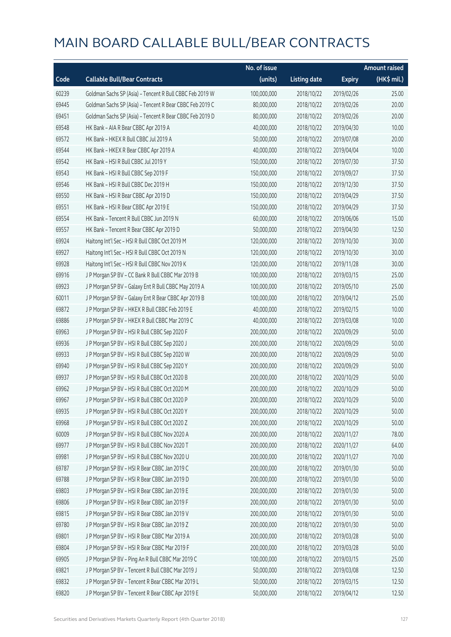|       |                                                          | No. of issue |                     |               | <b>Amount raised</b> |
|-------|----------------------------------------------------------|--------------|---------------------|---------------|----------------------|
| Code  | <b>Callable Bull/Bear Contracts</b>                      | (units)      | <b>Listing date</b> | <b>Expiry</b> | (HK\$ mil.)          |
| 60239 | Goldman Sachs SP (Asia) - Tencent R Bull CBBC Feb 2019 W | 100,000,000  | 2018/10/22          | 2019/02/26    | 25.00                |
| 69445 | Goldman Sachs SP (Asia) - Tencent R Bear CBBC Feb 2019 C | 80,000,000   | 2018/10/22          | 2019/02/26    | 20.00                |
| 69451 | Goldman Sachs SP (Asia) - Tencent R Bear CBBC Feb 2019 D | 80,000,000   | 2018/10/22          | 2019/02/26    | 20.00                |
| 69548 | HK Bank - AIA R Bear CBBC Apr 2019 A                     | 40,000,000   | 2018/10/22          | 2019/04/30    | 10.00                |
| 69572 | HK Bank - HKEX R Bull CBBC Jul 2019 A                    | 50,000,000   | 2018/10/22          | 2019/07/08    | 20.00                |
| 69544 | HK Bank - HKEX R Bear CBBC Apr 2019 A                    | 40,000,000   | 2018/10/22          | 2019/04/04    | 10.00                |
| 69542 | HK Bank - HSI R Bull CBBC Jul 2019 Y                     | 150,000,000  | 2018/10/22          | 2019/07/30    | 37.50                |
| 69543 | HK Bank - HSI R Bull CBBC Sep 2019 F                     | 150,000,000  | 2018/10/22          | 2019/09/27    | 37.50                |
| 69546 | HK Bank - HSI R Bull CBBC Dec 2019 H                     | 150,000,000  | 2018/10/22          | 2019/12/30    | 37.50                |
| 69550 | HK Bank - HSI R Bear CBBC Apr 2019 D                     | 150,000,000  | 2018/10/22          | 2019/04/29    | 37.50                |
| 69551 | HK Bank - HSI R Bear CBBC Apr 2019 E                     | 150,000,000  | 2018/10/22          | 2019/04/29    | 37.50                |
| 69554 | HK Bank - Tencent R Bull CBBC Jun 2019 N                 | 60,000,000   | 2018/10/22          | 2019/06/06    | 15.00                |
| 69557 | HK Bank - Tencent R Bear CBBC Apr 2019 D                 | 50,000,000   | 2018/10/22          | 2019/04/30    | 12.50                |
| 69924 | Haitong Int'l Sec - HSI R Bull CBBC Oct 2019 M           | 120,000,000  | 2018/10/22          | 2019/10/30    | 30.00                |
| 69927 | Haitong Int'l Sec - HSI R Bull CBBC Oct 2019 N           | 120,000,000  | 2018/10/22          | 2019/10/30    | 30.00                |
| 69928 | Haitong Int'l Sec - HSI R Bull CBBC Nov 2019 K           | 120,000,000  | 2018/10/22          | 2019/11/28    | 30.00                |
| 69916 | J P Morgan SP BV - CC Bank R Bull CBBC Mar 2019 B        | 100,000,000  | 2018/10/22          | 2019/03/15    | 25.00                |
| 69923 | J P Morgan SP BV - Galaxy Ent R Bull CBBC May 2019 A     | 100,000,000  | 2018/10/22          | 2019/05/10    | 25.00                |
| 60011 | J P Morgan SP BV - Galaxy Ent R Bear CBBC Apr 2019 B     | 100,000,000  | 2018/10/22          | 2019/04/12    | 25.00                |
| 69872 | J P Morgan SP BV - HKEX R Bull CBBC Feb 2019 E           | 40,000,000   | 2018/10/22          | 2019/02/15    | 10.00                |
| 69886 | J P Morgan SP BV - HKEX R Bull CBBC Mar 2019 C           | 40,000,000   | 2018/10/22          | 2019/03/08    | 10.00                |
| 69963 | J P Morgan SP BV - HSI R Bull CBBC Sep 2020 F            | 200,000,000  | 2018/10/22          | 2020/09/29    | 50.00                |
| 69936 | J P Morgan SP BV - HSI R Bull CBBC Sep 2020 J            | 200,000,000  | 2018/10/22          | 2020/09/29    | 50.00                |
| 69933 | J P Morgan SP BV - HSI R Bull CBBC Sep 2020 W            | 200,000,000  | 2018/10/22          | 2020/09/29    | 50.00                |
| 69940 | J P Morgan SP BV - HSI R Bull CBBC Sep 2020 Y            | 200,000,000  | 2018/10/22          | 2020/09/29    | 50.00                |
| 69937 | J P Morgan SP BV - HSI R Bull CBBC Oct 2020 B            | 200,000,000  | 2018/10/22          | 2020/10/29    | 50.00                |
| 69962 | J P Morgan SP BV - HSI R Bull CBBC Oct 2020 M            | 200,000,000  | 2018/10/22          | 2020/10/29    | 50.00                |
| 69967 | J P Morgan SP BV - HSI R Bull CBBC Oct 2020 P            | 200,000,000  | 2018/10/22          | 2020/10/29    | 50.00                |
| 69935 | J P Morgan SP BV - HSI R Bull CBBC Oct 2020 Y            | 200,000,000  | 2018/10/22          | 2020/10/29    | 50.00                |
| 69968 | J P Morgan SP BV - HSI R Bull CBBC Oct 2020 Z            | 200,000,000  | 2018/10/22          | 2020/10/29    | 50.00                |
| 60009 | J P Morgan SP BV - HSI R Bull CBBC Nov 2020 A            | 200,000,000  | 2018/10/22          | 2020/11/27    | 78.00                |
| 69977 | J P Morgan SP BV - HSI R Bull CBBC Nov 2020 T            | 200,000,000  | 2018/10/22          | 2020/11/27    | 64.00                |
| 69981 | J P Morgan SP BV - HSI R Bull CBBC Nov 2020 U            | 200,000,000  | 2018/10/22          | 2020/11/27    | 70.00                |
| 69787 | J P Morgan SP BV - HSI R Bear CBBC Jan 2019 C            | 200,000,000  | 2018/10/22          | 2019/01/30    | 50.00                |
| 69788 | J P Morgan SP BV - HSI R Bear CBBC Jan 2019 D            | 200,000,000  | 2018/10/22          | 2019/01/30    | 50.00                |
| 69803 | J P Morgan SP BV - HSI R Bear CBBC Jan 2019 E            | 200,000,000  | 2018/10/22          | 2019/01/30    | 50.00                |
| 69806 | J P Morgan SP BV - HSI R Bear CBBC Jan 2019 F            | 200,000,000  | 2018/10/22          | 2019/01/30    | 50.00                |
| 69815 | J P Morgan SP BV - HSI R Bear CBBC Jan 2019 V            | 200,000,000  | 2018/10/22          | 2019/01/30    | 50.00                |
| 69780 | J P Morgan SP BV - HSI R Bear CBBC Jan 2019 Z            | 200,000,000  | 2018/10/22          | 2019/01/30    | 50.00                |
| 69801 | J P Morgan SP BV - HSI R Bear CBBC Mar 2019 A            | 200,000,000  | 2018/10/22          | 2019/03/28    | 50.00                |
| 69804 | J P Morgan SP BV - HSI R Bear CBBC Mar 2019 F            | 200,000,000  | 2018/10/22          | 2019/03/28    | 50.00                |
| 69905 | J P Morgan SP BV - Ping An R Bull CBBC Mar 2019 C        | 100,000,000  | 2018/10/22          | 2019/03/15    | 25.00                |
| 69821 | J P Morgan SP BV - Tencent R Bull CBBC Mar 2019 J        | 50,000,000   | 2018/10/22          | 2019/03/08    | 12.50                |
| 69832 | J P Morgan SP BV - Tencent R Bear CBBC Mar 2019 L        | 50,000,000   | 2018/10/22          | 2019/03/15    | 12.50                |
| 69820 | J P Morgan SP BV - Tencent R Bear CBBC Apr 2019 E        | 50,000,000   | 2018/10/22          | 2019/04/12    | 12.50                |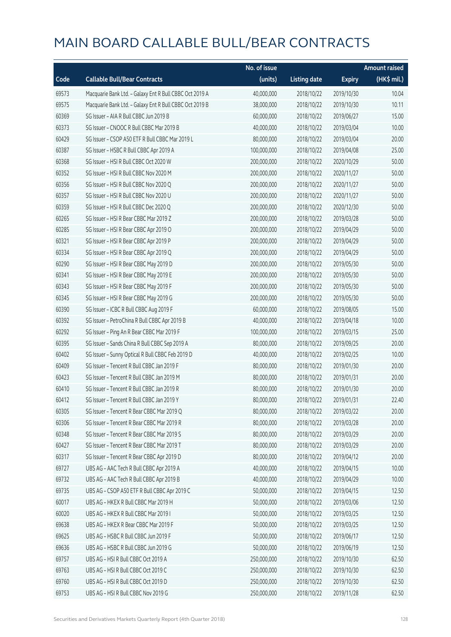|       |                                                         | No. of issue |                     |               | <b>Amount raised</b> |
|-------|---------------------------------------------------------|--------------|---------------------|---------------|----------------------|
| Code  | <b>Callable Bull/Bear Contracts</b>                     | (units)      | <b>Listing date</b> | <b>Expiry</b> | (HK\$ mil.)          |
| 69573 | Macquarie Bank Ltd. - Galaxy Ent R Bull CBBC Oct 2019 A | 40,000,000   | 2018/10/22          | 2019/10/30    | 10.04                |
| 69575 | Macquarie Bank Ltd. - Galaxy Ent R Bull CBBC Oct 2019 B | 38,000,000   | 2018/10/22          | 2019/10/30    | 10.11                |
| 60369 | SG Issuer - AIA R Bull CBBC Jun 2019 B                  | 60,000,000   | 2018/10/22          | 2019/06/27    | 15.00                |
| 60373 | SG Issuer - CNOOC R Bull CBBC Mar 2019 B                | 40,000,000   | 2018/10/22          | 2019/03/04    | 10.00                |
| 60429 | SG Issuer - CSOP A50 ETF R Bull CBBC Mar 2019 L         | 80,000,000   | 2018/10/22          | 2019/03/04    | 20.00                |
| 60387 | SG Issuer - HSBC R Bull CBBC Apr 2019 A                 | 100,000,000  | 2018/10/22          | 2019/04/08    | 25.00                |
| 60368 | SG Issuer - HSI R Bull CBBC Oct 2020 W                  | 200,000,000  | 2018/10/22          | 2020/10/29    | 50.00                |
| 60352 | SG Issuer - HSI R Bull CBBC Nov 2020 M                  | 200,000,000  | 2018/10/22          | 2020/11/27    | 50.00                |
| 60356 | SG Issuer - HSI R Bull CBBC Nov 2020 Q                  | 200,000,000  | 2018/10/22          | 2020/11/27    | 50.00                |
| 60357 | SG Issuer - HSI R Bull CBBC Nov 2020 U                  | 200,000,000  | 2018/10/22          | 2020/11/27    | 50.00                |
| 60359 | SG Issuer - HSI R Bull CBBC Dec 2020 Q                  | 200,000,000  | 2018/10/22          | 2020/12/30    | 50.00                |
| 60265 | SG Issuer - HSI R Bear CBBC Mar 2019 Z                  | 200,000,000  | 2018/10/22          | 2019/03/28    | 50.00                |
| 60285 | SG Issuer - HSI R Bear CBBC Apr 2019 O                  | 200,000,000  | 2018/10/22          | 2019/04/29    | 50.00                |
| 60321 | SG Issuer - HSI R Bear CBBC Apr 2019 P                  | 200,000,000  | 2018/10/22          | 2019/04/29    | 50.00                |
| 60334 | SG Issuer - HSI R Bear CBBC Apr 2019 Q                  | 200,000,000  | 2018/10/22          | 2019/04/29    | 50.00                |
| 60290 | SG Issuer - HSI R Bear CBBC May 2019 D                  | 200,000,000  | 2018/10/22          | 2019/05/30    | 50.00                |
| 60341 | SG Issuer - HSI R Bear CBBC May 2019 E                  | 200,000,000  | 2018/10/22          | 2019/05/30    | 50.00                |
| 60343 | SG Issuer - HSI R Bear CBBC May 2019 F                  | 200,000,000  | 2018/10/22          | 2019/05/30    | 50.00                |
| 60345 | SG Issuer - HSI R Bear CBBC May 2019 G                  | 200,000,000  | 2018/10/22          | 2019/05/30    | 50.00                |
| 60390 | SG Issuer - ICBC R Bull CBBC Aug 2019 F                 | 60,000,000   | 2018/10/22          | 2019/08/05    | 15.00                |
| 60392 | SG Issuer - PetroChina R Bull CBBC Apr 2019 B           | 40,000,000   | 2018/10/22          | 2019/04/18    | 10.00                |
| 60292 | SG Issuer - Ping An R Bear CBBC Mar 2019 F              | 100,000,000  | 2018/10/22          | 2019/03/15    | 25.00                |
| 60395 | SG Issuer - Sands China R Bull CBBC Sep 2019 A          | 80,000,000   | 2018/10/22          | 2019/09/25    | 20.00                |
| 60402 | SG Issuer - Sunny Optical R Bull CBBC Feb 2019 D        | 40,000,000   | 2018/10/22          | 2019/02/25    | 10.00                |
| 60409 | SG Issuer - Tencent R Bull CBBC Jan 2019 F              | 80,000,000   | 2018/10/22          | 2019/01/30    | 20.00                |
| 60423 | SG Issuer - Tencent R Bull CBBC Jan 2019 M              | 80,000,000   | 2018/10/22          | 2019/01/31    | 20.00                |
| 60410 | SG Issuer - Tencent R Bull CBBC Jan 2019 R              | 80,000,000   | 2018/10/22          | 2019/01/30    | 20.00                |
| 60412 | SG Issuer - Tencent R Bull CBBC Jan 2019 Y              | 80,000,000   | 2018/10/22          | 2019/01/31    | 22.40                |
| 60305 | SG Issuer - Tencent R Bear CBBC Mar 2019 Q              | 80,000,000   | 2018/10/22          | 2019/03/22    | 20.00                |
| 60306 | SG Issuer - Tencent R Bear CBBC Mar 2019 R              | 80,000,000   | 2018/10/22          | 2019/03/28    | 20.00                |
| 60348 | SG Issuer - Tencent R Bear CBBC Mar 2019 S              | 80,000,000   | 2018/10/22          | 2019/03/29    | 20.00                |
| 60427 | SG Issuer - Tencent R Bear CBBC Mar 2019 T              | 80,000,000   | 2018/10/22          | 2019/03/29    | 20.00                |
| 60317 | SG Issuer - Tencent R Bear CBBC Apr 2019 D              | 80,000,000   | 2018/10/22          | 2019/04/12    | 20.00                |
| 69727 | UBS AG - AAC Tech R Bull CBBC Apr 2019 A                | 40,000,000   | 2018/10/22          | 2019/04/15    | 10.00                |
| 69732 | UBS AG - AAC Tech R Bull CBBC Apr 2019 B                | 40,000,000   | 2018/10/22          | 2019/04/29    | 10.00                |
| 69735 | UBS AG - CSOP A50 ETF R Bull CBBC Apr 2019 C            | 50,000,000   | 2018/10/22          | 2019/04/15    | 12.50                |
| 60017 | UBS AG - HKEX R Bull CBBC Mar 2019 H                    | 50,000,000   | 2018/10/22          | 2019/03/06    | 12.50                |
| 60020 | UBS AG - HKEX R Bull CBBC Mar 2019 I                    | 50,000,000   | 2018/10/22          | 2019/03/25    | 12.50                |
| 69638 | UBS AG - HKEX R Bear CBBC Mar 2019 F                    | 50,000,000   | 2018/10/22          | 2019/03/25    | 12.50                |
| 69625 | UBS AG - HSBC R Bull CBBC Jun 2019 F                    | 50,000,000   | 2018/10/22          | 2019/06/17    | 12.50                |
| 69636 | UBS AG - HSBC R Bull CBBC Jun 2019 G                    | 50,000,000   | 2018/10/22          | 2019/06/19    | 12.50                |
| 69757 | UBS AG - HSI R Bull CBBC Oct 2019 A                     | 250,000,000  | 2018/10/22          | 2019/10/30    | 62.50                |
| 69763 | UBS AG - HSI R Bull CBBC Oct 2019 C                     | 250,000,000  | 2018/10/22          | 2019/10/30    | 62.50                |
| 69760 | UBS AG - HSI R Bull CBBC Oct 2019 D                     | 250,000,000  | 2018/10/22          | 2019/10/30    | 62.50                |
| 69753 | UBS AG - HSI R Bull CBBC Nov 2019 G                     | 250,000,000  | 2018/10/22          | 2019/11/28    | 62.50                |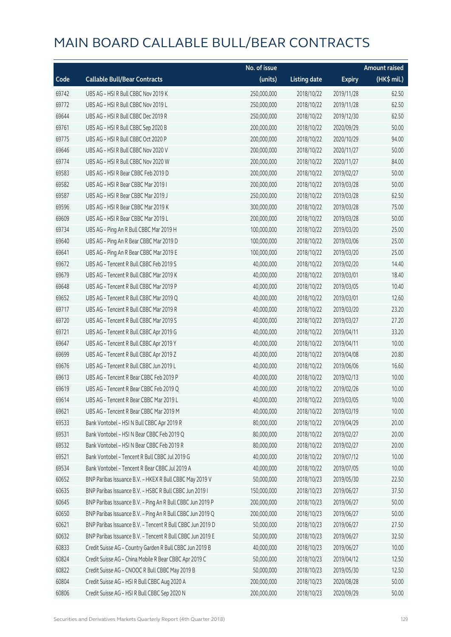|       |                                                            | No. of issue |                     |               | <b>Amount raised</b> |
|-------|------------------------------------------------------------|--------------|---------------------|---------------|----------------------|
| Code  | <b>Callable Bull/Bear Contracts</b>                        | (units)      | <b>Listing date</b> | <b>Expiry</b> | (HK\$ mil.)          |
| 69742 | UBS AG - HSI R Bull CBBC Nov 2019 K                        | 250,000,000  | 2018/10/22          | 2019/11/28    | 62.50                |
| 69772 | UBS AG - HSI R Bull CBBC Nov 2019 L                        | 250,000,000  | 2018/10/22          | 2019/11/28    | 62.50                |
| 69644 | UBS AG - HSI R Bull CBBC Dec 2019 R                        | 250,000,000  | 2018/10/22          | 2019/12/30    | 62.50                |
| 69761 | UBS AG - HSI R Bull CBBC Sep 2020 B                        | 200,000,000  | 2018/10/22          | 2020/09/29    | 50.00                |
| 69775 | UBS AG - HSI R Bull CBBC Oct 2020 P                        | 200,000,000  | 2018/10/22          | 2020/10/29    | 94.00                |
| 69646 | UBS AG - HSI R Bull CBBC Nov 2020 V                        | 200,000,000  | 2018/10/22          | 2020/11/27    | 50.00                |
| 69774 | UBS AG - HSI R Bull CBBC Nov 2020 W                        | 200,000,000  | 2018/10/22          | 2020/11/27    | 84.00                |
| 69583 | UBS AG - HSI R Bear CBBC Feb 2019 D                        | 200,000,000  | 2018/10/22          | 2019/02/27    | 50.00                |
| 69582 | UBS AG - HSI R Bear CBBC Mar 2019 I                        | 200,000,000  | 2018/10/22          | 2019/03/28    | 50.00                |
| 69587 | UBS AG - HSI R Bear CBBC Mar 2019 J                        | 250,000,000  | 2018/10/22          | 2019/03/28    | 62.50                |
| 69596 | UBS AG - HSI R Bear CBBC Mar 2019 K                        | 300,000,000  | 2018/10/22          | 2019/03/28    | 75.00                |
| 69609 | UBS AG - HSI R Bear CBBC Mar 2019 L                        | 200,000,000  | 2018/10/22          | 2019/03/28    | 50.00                |
| 69734 | UBS AG - Ping An R Bull CBBC Mar 2019 H                    | 100,000,000  | 2018/10/22          | 2019/03/20    | 25.00                |
| 69640 | UBS AG - Ping An R Bear CBBC Mar 2019 D                    | 100,000,000  | 2018/10/22          | 2019/03/06    | 25.00                |
| 69641 | UBS AG - Ping An R Bear CBBC Mar 2019 E                    | 100,000,000  | 2018/10/22          | 2019/03/20    | 25.00                |
| 69672 | UBS AG - Tencent R Bull CBBC Feb 2019 S                    | 40,000,000   | 2018/10/22          | 2019/02/20    | 14.40                |
| 69679 | UBS AG - Tencent R Bull CBBC Mar 2019 K                    | 40,000,000   | 2018/10/22          | 2019/03/01    | 18.40                |
| 69648 | UBS AG - Tencent R Bull CBBC Mar 2019 P                    | 40,000,000   | 2018/10/22          | 2019/03/05    | 10.40                |
| 69652 | UBS AG - Tencent R Bull CBBC Mar 2019 Q                    | 40,000,000   | 2018/10/22          | 2019/03/01    | 12.60                |
| 69717 | UBS AG - Tencent R Bull CBBC Mar 2019 R                    | 40,000,000   | 2018/10/22          | 2019/03/20    | 23.20                |
| 69720 | UBS AG - Tencent R Bull CBBC Mar 2019 S                    | 40,000,000   | 2018/10/22          | 2019/03/27    | 27.20                |
| 69721 | UBS AG - Tencent R Bull CBBC Apr 2019 G                    | 40,000,000   | 2018/10/22          | 2019/04/11    | 33.20                |
| 69647 | UBS AG - Tencent R Bull CBBC Apr 2019 Y                    | 40,000,000   | 2018/10/22          | 2019/04/11    | 10.00                |
| 69699 | UBS AG - Tencent R Bull CBBC Apr 2019 Z                    | 40,000,000   | 2018/10/22          | 2019/04/08    | 20.80                |
| 69676 | UBS AG - Tencent R Bull CBBC Jun 2019 L                    | 40,000,000   | 2018/10/22          | 2019/06/06    | 16.60                |
| 69613 | UBS AG - Tencent R Bear CBBC Feb 2019 P                    | 40,000,000   | 2018/10/22          | 2019/02/13    | 10.00                |
| 69619 | UBS AG - Tencent R Bear CBBC Feb 2019 Q                    | 40,000,000   | 2018/10/22          | 2019/02/26    | 10.00                |
| 69614 | UBS AG – Tencent R Bear CBBC Mar 2019 L                    | 40,000,000   | 2018/10/22          | 2019/03/05    | 10.00                |
| 69621 | UBS AG - Tencent R Bear CBBC Mar 2019 M                    | 40,000,000   | 2018/10/22          | 2019/03/19    | 10.00                |
| 69533 | Bank Vontobel - HSI N Bull CBBC Apr 2019 R                 | 80,000,000   | 2018/10/22          | 2019/04/29    | 20.00                |
| 69531 | Bank Vontobel - HSI N Bear CBBC Feb 2019 Q                 | 80,000,000   | 2018/10/22          | 2019/02/27    | 20.00                |
| 69532 | Bank Vontobel - HSI N Bear CBBC Feb 2019 R                 | 80,000,000   | 2018/10/22          | 2019/02/27    | 20.00                |
| 69521 | Bank Vontobel - Tencent R Bull CBBC Jul 2019 G             | 40,000,000   | 2018/10/22          | 2019/07/12    | 10.00                |
| 69534 | Bank Vontobel - Tencent R Bear CBBC Jul 2019 A             | 40,000,000   | 2018/10/22          | 2019/07/05    | 10.00                |
| 60652 | BNP Paribas Issuance B.V. - HKEX R Bull CBBC May 2019 V    | 50,000,000   | 2018/10/23          | 2019/05/30    | 22.50                |
| 60635 | BNP Paribas Issuance B.V. - HSBC R Bull CBBC Jun 2019 I    | 150,000,000  | 2018/10/23          | 2019/06/27    | 37.50                |
| 60645 | BNP Paribas Issuance B.V. - Ping An R Bull CBBC Jun 2019 P | 200,000,000  | 2018/10/23          | 2019/06/27    | 50.00                |
| 60650 | BNP Paribas Issuance B.V. - Ping An R Bull CBBC Jun 2019 Q | 200,000,000  | 2018/10/23          | 2019/06/27    | 50.00                |
| 60621 | BNP Paribas Issuance B.V. - Tencent R Bull CBBC Jun 2019 D | 50,000,000   | 2018/10/23          | 2019/06/27    | 27.50                |
| 60632 | BNP Paribas Issuance B.V. - Tencent R Bull CBBC Jun 2019 E | 50,000,000   | 2018/10/23          | 2019/06/27    | 32.50                |
| 60833 | Credit Suisse AG - Country Garden R Bull CBBC Jun 2019 B   | 40,000,000   | 2018/10/23          | 2019/06/27    | 10.00                |
| 60824 | Credit Suisse AG - China Mobile R Bear CBBC Apr 2019 C     | 50,000,000   | 2018/10/23          | 2019/04/12    | 12.50                |
| 60822 | Credit Suisse AG - CNOOC R Bull CBBC May 2019 B            | 50,000,000   | 2018/10/23          | 2019/05/30    | 12.50                |
| 60804 | Credit Suisse AG - HSI R Bull CBBC Aug 2020 A              | 200,000,000  | 2018/10/23          | 2020/08/28    | 50.00                |
| 60806 | Credit Suisse AG - HSI R Bull CBBC Sep 2020 N              | 200,000,000  | 2018/10/23          | 2020/09/29    | 50.00                |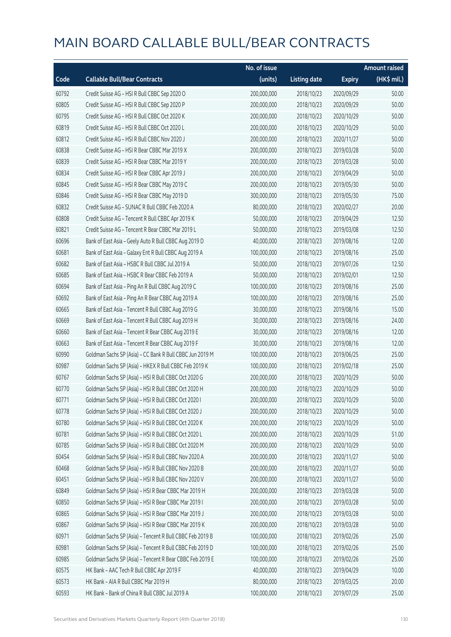|       |                                                          | No. of issue |                     |               | <b>Amount raised</b> |
|-------|----------------------------------------------------------|--------------|---------------------|---------------|----------------------|
| Code  | <b>Callable Bull/Bear Contracts</b>                      | (units)      | <b>Listing date</b> | <b>Expiry</b> | (HK\$ mil.)          |
| 60792 | Credit Suisse AG - HSI R Bull CBBC Sep 2020 O            | 200,000,000  | 2018/10/23          | 2020/09/29    | 50.00                |
| 60805 | Credit Suisse AG - HSI R Bull CBBC Sep 2020 P            | 200,000,000  | 2018/10/23          | 2020/09/29    | 50.00                |
| 60795 | Credit Suisse AG - HSI R Bull CBBC Oct 2020 K            | 200,000,000  | 2018/10/23          | 2020/10/29    | 50.00                |
| 60819 | Credit Suisse AG - HSI R Bull CBBC Oct 2020 L            | 200,000,000  | 2018/10/23          | 2020/10/29    | 50.00                |
| 60812 | Credit Suisse AG - HSI R Bull CBBC Nov 2020 J            | 200,000,000  | 2018/10/23          | 2020/11/27    | 50.00                |
| 60838 | Credit Suisse AG - HSI R Bear CBBC Mar 2019 X            | 200,000,000  | 2018/10/23          | 2019/03/28    | 50.00                |
| 60839 | Credit Suisse AG - HSI R Bear CBBC Mar 2019 Y            | 200,000,000  | 2018/10/23          | 2019/03/28    | 50.00                |
| 60834 | Credit Suisse AG - HSI R Bear CBBC Apr 2019 J            | 200,000,000  | 2018/10/23          | 2019/04/29    | 50.00                |
| 60845 | Credit Suisse AG - HSI R Bear CBBC May 2019 C            | 200,000,000  | 2018/10/23          | 2019/05/30    | 50.00                |
| 60846 | Credit Suisse AG - HSI R Bear CBBC May 2019 D            | 300,000,000  | 2018/10/23          | 2019/05/30    | 75.00                |
| 60832 | Credit Suisse AG - SUNAC R Bull CBBC Feb 2020 A          | 80,000,000   | 2018/10/23          | 2020/02/27    | 20.00                |
| 60808 | Credit Suisse AG - Tencent R Bull CBBC Apr 2019 K        | 50,000,000   | 2018/10/23          | 2019/04/29    | 12.50                |
| 60821 | Credit Suisse AG - Tencent R Bear CBBC Mar 2019 L        | 50,000,000   | 2018/10/23          | 2019/03/08    | 12.50                |
| 60696 | Bank of East Asia - Geely Auto R Bull CBBC Aug 2019 D    | 40,000,000   | 2018/10/23          | 2019/08/16    | 12.00                |
| 60681 | Bank of East Asia - Galaxy Ent R Bull CBBC Aug 2019 A    | 100,000,000  | 2018/10/23          | 2019/08/16    | 25.00                |
| 60682 | Bank of East Asia - HSBC R Bull CBBC Jul 2019 A          | 50,000,000   | 2018/10/23          | 2019/07/26    | 12.50                |
| 60685 | Bank of East Asia - HSBC R Bear CBBC Feb 2019 A          | 50,000,000   | 2018/10/23          | 2019/02/01    | 12.50                |
| 60694 | Bank of East Asia - Ping An R Bull CBBC Aug 2019 C       | 100,000,000  | 2018/10/23          | 2019/08/16    | 25.00                |
| 60692 | Bank of East Asia - Ping An R Bear CBBC Aug 2019 A       | 100,000,000  | 2018/10/23          | 2019/08/16    | 25.00                |
| 60665 | Bank of East Asia - Tencent R Bull CBBC Aug 2019 G       | 30,000,000   | 2018/10/23          | 2019/08/16    | 15.00                |
| 60669 | Bank of East Asia - Tencent R Bull CBBC Aug 2019 H       | 30,000,000   | 2018/10/23          | 2019/08/16    | 24.00                |
| 60660 | Bank of East Asia - Tencent R Bear CBBC Aug 2019 E       | 30,000,000   | 2018/10/23          | 2019/08/16    | 12.00                |
| 60663 | Bank of East Asia - Tencent R Bear CBBC Aug 2019 F       | 30,000,000   | 2018/10/23          | 2019/08/16    | 12.00                |
| 60990 | Goldman Sachs SP (Asia) - CC Bank R Bull CBBC Jun 2019 M | 100,000,000  | 2018/10/23          | 2019/06/25    | 25.00                |
| 60987 | Goldman Sachs SP (Asia) - HKEX R Bull CBBC Feb 2019 K    | 100,000,000  | 2018/10/23          | 2019/02/18    | 25.00                |
| 60767 | Goldman Sachs SP (Asia) - HSI R Bull CBBC Oct 2020 G     | 200,000,000  | 2018/10/23          | 2020/10/29    | 50.00                |
| 60770 | Goldman Sachs SP (Asia) - HSI R Bull CBBC Oct 2020 H     | 200,000,000  | 2018/10/23          | 2020/10/29    | 50.00                |
| 60771 | Goldman Sachs SP (Asia) - HSI R Bull CBBC Oct 2020 I     | 200,000,000  | 2018/10/23          | 2020/10/29    | 50.00                |
| 60778 | Goldman Sachs SP (Asia) - HSI R Bull CBBC Oct 2020 J     | 200,000,000  | 2018/10/23          | 2020/10/29    | 50.00                |
| 60780 | Goldman Sachs SP (Asia) - HSI R Bull CBBC Oct 2020 K     | 200,000,000  | 2018/10/23          | 2020/10/29    | 50.00                |
| 60781 | Goldman Sachs SP (Asia) - HSI R Bull CBBC Oct 2020 L     | 200,000,000  | 2018/10/23          | 2020/10/29    | 51.00                |
| 60785 | Goldman Sachs SP (Asia) - HSI R Bull CBBC Oct 2020 M     | 200,000,000  | 2018/10/23          | 2020/10/29    | 50.00                |
| 60454 | Goldman Sachs SP (Asia) - HSI R Bull CBBC Nov 2020 A     | 200,000,000  | 2018/10/23          | 2020/11/27    | 50.00                |
| 60468 | Goldman Sachs SP (Asia) - HSI R Bull CBBC Nov 2020 B     | 200,000,000  | 2018/10/23          | 2020/11/27    | 50.00                |
| 60451 | Goldman Sachs SP (Asia) - HSI R Bull CBBC Nov 2020 V     | 200,000,000  | 2018/10/23          | 2020/11/27    | 50.00                |
| 60849 | Goldman Sachs SP (Asia) - HSI R Bear CBBC Mar 2019 H     | 200,000,000  | 2018/10/23          | 2019/03/28    | 50.00                |
| 60850 | Goldman Sachs SP (Asia) - HSI R Bear CBBC Mar 2019 I     | 200,000,000  | 2018/10/23          | 2019/03/28    | 50.00                |
| 60865 | Goldman Sachs SP (Asia) - HSI R Bear CBBC Mar 2019 J     | 200,000,000  | 2018/10/23          | 2019/03/28    | 50.00                |
| 60867 | Goldman Sachs SP (Asia) - HSI R Bear CBBC Mar 2019 K     | 200,000,000  | 2018/10/23          | 2019/03/28    | 50.00                |
| 60971 | Goldman Sachs SP (Asia) - Tencent R Bull CBBC Feb 2019 B | 100,000,000  | 2018/10/23          | 2019/02/26    | 25.00                |
| 60981 | Goldman Sachs SP (Asia) - Tencent R Bull CBBC Feb 2019 D | 100,000,000  | 2018/10/23          | 2019/02/26    | 25.00                |
| 60985 | Goldman Sachs SP (Asia) - Tencent R Bear CBBC Feb 2019 E | 100,000,000  | 2018/10/23          | 2019/02/26    | 25.00                |
| 60575 | HK Bank - AAC Tech R Bull CBBC Apr 2019 F                | 40,000,000   | 2018/10/23          | 2019/04/29    | 10.00                |
| 60573 | HK Bank - AIA R Bull CBBC Mar 2019 H                     | 80,000,000   | 2018/10/23          | 2019/03/25    | 20.00                |
| 60593 | HK Bank - Bank of China R Bull CBBC Jul 2019 A           | 100,000,000  | 2018/10/23          | 2019/07/29    | 25.00                |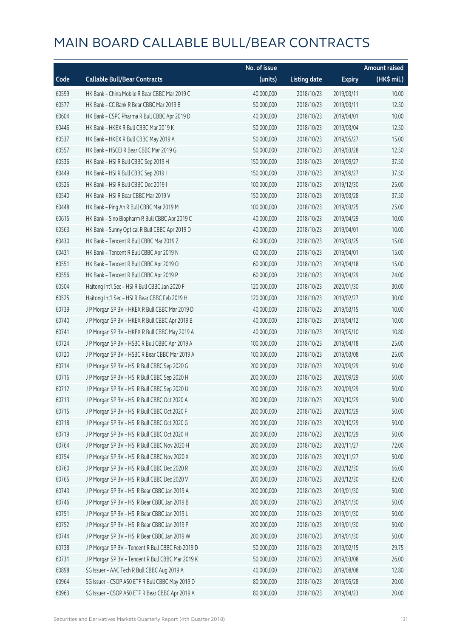|       |                                                   | No. of issue |                     |               | <b>Amount raised</b> |
|-------|---------------------------------------------------|--------------|---------------------|---------------|----------------------|
| Code  | <b>Callable Bull/Bear Contracts</b>               | (units)      | <b>Listing date</b> | <b>Expiry</b> | (HK\$ mil.)          |
| 60599 | HK Bank - China Mobile R Bear CBBC Mar 2019 C     | 40,000,000   | 2018/10/23          | 2019/03/11    | 10.00                |
| 60577 | HK Bank - CC Bank R Bear CBBC Mar 2019 B          | 50,000,000   | 2018/10/23          | 2019/03/11    | 12.50                |
| 60604 | HK Bank - CSPC Pharma R Bull CBBC Apr 2019 D      | 40,000,000   | 2018/10/23          | 2019/04/01    | 10.00                |
| 60446 | HK Bank - HKEX R Bull CBBC Mar 2019 K             | 50,000,000   | 2018/10/23          | 2019/03/04    | 12.50                |
| 60537 | HK Bank - HKEX R Bull CBBC May 2019 A             | 50,000,000   | 2018/10/23          | 2019/05/27    | 15.00                |
| 60557 | HK Bank - HSCEI R Bear CBBC Mar 2019 G            | 50,000,000   | 2018/10/23          | 2019/03/28    | 12.50                |
| 60536 | HK Bank - HSI R Bull CBBC Sep 2019 H              | 150,000,000  | 2018/10/23          | 2019/09/27    | 37.50                |
| 60449 | HK Bank - HSI R Bull CBBC Sep 2019 I              | 150,000,000  | 2018/10/23          | 2019/09/27    | 37.50                |
| 60526 | HK Bank - HSI R Bull CBBC Dec 2019 I              | 100,000,000  | 2018/10/23          | 2019/12/30    | 25.00                |
| 60540 | HK Bank - HSI R Bear CBBC Mar 2019 V              | 150,000,000  | 2018/10/23          | 2019/03/28    | 37.50                |
| 60448 | HK Bank - Ping An R Bull CBBC Mar 2019 M          | 100,000,000  | 2018/10/23          | 2019/03/25    | 25.00                |
| 60615 | HK Bank - Sino Biopharm R Bull CBBC Apr 2019 C    | 40,000,000   | 2018/10/23          | 2019/04/29    | 10.00                |
| 60563 | HK Bank - Sunny Optical R Bull CBBC Apr 2019 D    | 40,000,000   | 2018/10/23          | 2019/04/01    | 10.00                |
| 60430 | HK Bank - Tencent R Bull CBBC Mar 2019 Z          | 60,000,000   | 2018/10/23          | 2019/03/25    | 15.00                |
| 60431 | HK Bank - Tencent R Bull CBBC Apr 2019 N          | 60,000,000   | 2018/10/23          | 2019/04/01    | 15.00                |
| 60551 | HK Bank - Tencent R Bull CBBC Apr 2019 O          | 60,000,000   | 2018/10/23          | 2019/04/18    | 15.00                |
| 60556 | HK Bank - Tencent R Bull CBBC Apr 2019 P          | 60,000,000   | 2018/10/23          | 2019/04/29    | 24.00                |
| 60504 | Haitong Int'l Sec - HSI R Bull CBBC Jan 2020 F    | 120,000,000  | 2018/10/23          | 2020/01/30    | 30.00                |
| 60525 | Haitong Int'l Sec - HSI R Bear CBBC Feb 2019 H    | 120,000,000  | 2018/10/23          | 2019/02/27    | 30.00                |
| 60739 | J P Morgan SP BV - HKEX R Bull CBBC Mar 2019 D    | 40,000,000   | 2018/10/23          | 2019/03/15    | 10.00                |
| 60740 | J P Morgan SP BV - HKEX R Bull CBBC Apr 2019 B    | 40,000,000   | 2018/10/23          | 2019/04/12    | 10.00                |
| 60741 | J P Morgan SP BV - HKEX R Bull CBBC May 2019 A    | 40,000,000   | 2018/10/23          | 2019/05/10    | 10.80                |
| 60724 | J P Morgan SP BV - HSBC R Bull CBBC Apr 2019 A    | 100,000,000  | 2018/10/23          | 2019/04/18    | 25.00                |
| 60720 | J P Morgan SP BV - HSBC R Bear CBBC Mar 2019 A    | 100,000,000  | 2018/10/23          | 2019/03/08    | 25.00                |
| 60714 | J P Morgan SP BV - HSI R Bull CBBC Sep 2020 G     | 200,000,000  | 2018/10/23          | 2020/09/29    | 50.00                |
| 60716 | J P Morgan SP BV - HSI R Bull CBBC Sep 2020 H     | 200,000,000  | 2018/10/23          | 2020/09/29    | 50.00                |
| 60712 | J P Morgan SP BV - HSI R Bull CBBC Sep 2020 U     | 200,000,000  | 2018/10/23          | 2020/09/29    | 50.00                |
| 60713 | J P Morgan SP BV - HSI R Bull CBBC Oct 2020 A     | 200,000,000  | 2018/10/23          | 2020/10/29    | 50.00                |
| 60715 | J P Morgan SP BV - HSI R Bull CBBC Oct 2020 F     | 200,000,000  | 2018/10/23          | 2020/10/29    | 50.00                |
| 60718 | J P Morgan SP BV - HSI R Bull CBBC Oct 2020 G     | 200,000,000  | 2018/10/23          | 2020/10/29    | 50.00                |
| 60719 | J P Morgan SP BV - HSI R Bull CBBC Oct 2020 H     | 200,000,000  | 2018/10/23          | 2020/10/29    | 50.00                |
| 60764 | J P Morgan SP BV - HSI R Bull CBBC Nov 2020 H     | 200,000,000  | 2018/10/23          | 2020/11/27    | 72.00                |
| 60754 | J P Morgan SP BV - HSI R Bull CBBC Nov 2020 X     | 200,000,000  | 2018/10/23          | 2020/11/27    | 50.00                |
| 60760 | J P Morgan SP BV - HSI R Bull CBBC Dec 2020 R     | 200,000,000  | 2018/10/23          | 2020/12/30    | 66.00                |
| 60765 | J P Morgan SP BV - HSI R Bull CBBC Dec 2020 V     | 200,000,000  | 2018/10/23          | 2020/12/30    | 82.00                |
| 60743 | J P Morgan SP BV - HSI R Bear CBBC Jan 2019 A     | 200,000,000  | 2018/10/23          | 2019/01/30    | 50.00                |
| 60746 | J P Morgan SP BV - HSI R Bear CBBC Jan 2019 B     | 200,000,000  | 2018/10/23          | 2019/01/30    | 50.00                |
| 60751 | J P Morgan SP BV - HSI R Bear CBBC Jan 2019 L     | 200,000,000  | 2018/10/23          | 2019/01/30    | 50.00                |
| 60752 | J P Morgan SP BV - HSI R Bear CBBC Jan 2019 P     | 200,000,000  | 2018/10/23          | 2019/01/30    | 50.00                |
| 60744 | J P Morgan SP BV - HSI R Bear CBBC Jan 2019 W     | 200,000,000  | 2018/10/23          | 2019/01/30    | 50.00                |
| 60738 | J P Morgan SP BV - Tencent R Bull CBBC Feb 2019 D | 50,000,000   | 2018/10/23          | 2019/02/15    | 29.75                |
| 60731 | J P Morgan SP BV - Tencent R Bull CBBC Mar 2019 K | 50,000,000   | 2018/10/23          | 2019/03/08    | 26.00                |
| 60898 | SG Issuer - AAC Tech R Bull CBBC Aug 2019 A       | 40,000,000   | 2018/10/23          | 2019/08/08    | 12.80                |
| 60964 | SG Issuer - CSOP A50 ETF R Bull CBBC May 2019 D   | 80,000,000   | 2018/10/23          | 2019/05/28    | 20.00                |
| 60963 | SG Issuer - CSOP A50 ETF R Bear CBBC Apr 2019 A   | 80,000,000   | 2018/10/23          | 2019/04/23    | 20.00                |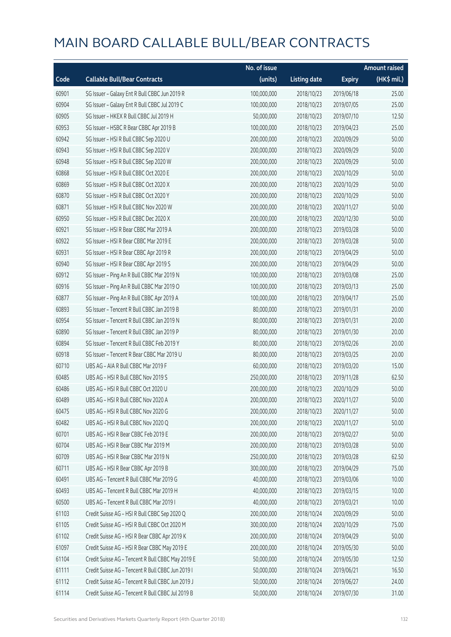|       |                                                   | No. of issue |                     |               | <b>Amount raised</b> |
|-------|---------------------------------------------------|--------------|---------------------|---------------|----------------------|
| Code  | <b>Callable Bull/Bear Contracts</b>               | (units)      | <b>Listing date</b> | <b>Expiry</b> | (HK\$ mil.)          |
| 60901 | SG Issuer - Galaxy Ent R Bull CBBC Jun 2019 R     | 100,000,000  | 2018/10/23          | 2019/06/18    | 25.00                |
| 60904 | SG Issuer - Galaxy Ent R Bull CBBC Jul 2019 C     | 100,000,000  | 2018/10/23          | 2019/07/05    | 25.00                |
| 60905 | SG Issuer - HKEX R Bull CBBC Jul 2019 H           | 50,000,000   | 2018/10/23          | 2019/07/10    | 12.50                |
| 60953 | SG Issuer - HSBC R Bear CBBC Apr 2019 B           | 100,000,000  | 2018/10/23          | 2019/04/23    | 25.00                |
| 60942 | SG Issuer - HSI R Bull CBBC Sep 2020 U            | 200,000,000  | 2018/10/23          | 2020/09/29    | 50.00                |
| 60943 | SG Issuer - HSI R Bull CBBC Sep 2020 V            | 200,000,000  | 2018/10/23          | 2020/09/29    | 50.00                |
| 60948 | SG Issuer - HSI R Bull CBBC Sep 2020 W            | 200,000,000  | 2018/10/23          | 2020/09/29    | 50.00                |
| 60868 | SG Issuer - HSI R Bull CBBC Oct 2020 E            | 200,000,000  | 2018/10/23          | 2020/10/29    | 50.00                |
| 60869 | SG Issuer - HSI R Bull CBBC Oct 2020 X            | 200,000,000  | 2018/10/23          | 2020/10/29    | 50.00                |
| 60870 | SG Issuer - HSI R Bull CBBC Oct 2020 Y            | 200,000,000  | 2018/10/23          | 2020/10/29    | 50.00                |
| 60871 | SG Issuer - HSI R Bull CBBC Nov 2020 W            | 200,000,000  | 2018/10/23          | 2020/11/27    | 50.00                |
| 60950 | SG Issuer - HSI R Bull CBBC Dec 2020 X            | 200,000,000  | 2018/10/23          | 2020/12/30    | 50.00                |
| 60921 | SG Issuer - HSI R Bear CBBC Mar 2019 A            | 200,000,000  | 2018/10/23          | 2019/03/28    | 50.00                |
| 60922 | SG Issuer - HSI R Bear CBBC Mar 2019 E            | 200,000,000  | 2018/10/23          | 2019/03/28    | 50.00                |
| 60931 | SG Issuer - HSI R Bear CBBC Apr 2019 R            | 200,000,000  | 2018/10/23          | 2019/04/29    | 50.00                |
| 60940 | SG Issuer - HSI R Bear CBBC Apr 2019 S            | 200,000,000  | 2018/10/23          | 2019/04/29    | 50.00                |
| 60912 | SG Issuer - Ping An R Bull CBBC Mar 2019 N        | 100,000,000  | 2018/10/23          | 2019/03/08    | 25.00                |
| 60916 | SG Issuer - Ping An R Bull CBBC Mar 2019 O        | 100,000,000  | 2018/10/23          | 2019/03/13    | 25.00                |
| 60877 | SG Issuer - Ping An R Bull CBBC Apr 2019 A        | 100,000,000  | 2018/10/23          | 2019/04/17    | 25.00                |
| 60893 | SG Issuer - Tencent R Bull CBBC Jan 2019 B        | 80,000,000   | 2018/10/23          | 2019/01/31    | 20.00                |
| 60954 | SG Issuer - Tencent R Bull CBBC Jan 2019 N        | 80,000,000   | 2018/10/23          | 2019/01/31    | 20.00                |
| 60890 | SG Issuer - Tencent R Bull CBBC Jan 2019 P        | 80,000,000   | 2018/10/23          | 2019/01/30    | 20.00                |
| 60894 | SG Issuer - Tencent R Bull CBBC Feb 2019 Y        | 80,000,000   | 2018/10/23          | 2019/02/26    | 20.00                |
| 60918 | SG Issuer - Tencent R Bear CBBC Mar 2019 U        | 80,000,000   | 2018/10/23          | 2019/03/25    | 20.00                |
| 60710 | UBS AG - AIA R Bull CBBC Mar 2019 F               | 60,000,000   | 2018/10/23          | 2019/03/20    | 15.00                |
| 60485 | UBS AG - HSI R Bull CBBC Nov 2019 S               | 250,000,000  | 2018/10/23          | 2019/11/28    | 62.50                |
| 60486 | UBS AG - HSI R Bull CBBC Oct 2020 U               | 200,000,000  | 2018/10/23          | 2020/10/29    | 50.00                |
| 60489 | UBS AG - HSI R Bull CBBC Nov 2020 A               | 200,000,000  | 2018/10/23          | 2020/11/27    | 50.00                |
| 60475 | UBS AG - HSI R Bull CBBC Nov 2020 G               | 200,000,000  | 2018/10/23          | 2020/11/27    | 50.00                |
| 60482 | UBS AG - HSI R Bull CBBC Nov 2020 Q               | 200,000,000  | 2018/10/23          | 2020/11/27    | 50.00                |
| 60701 | UBS AG - HSI R Bear CBBC Feb 2019 E               | 200,000,000  | 2018/10/23          | 2019/02/27    | 50.00                |
| 60704 | UBS AG - HSI R Bear CBBC Mar 2019 M               | 200,000,000  | 2018/10/23          | 2019/03/28    | 50.00                |
| 60709 | UBS AG - HSI R Bear CBBC Mar 2019 N               | 250,000,000  | 2018/10/23          | 2019/03/28    | 62.50                |
| 60711 | UBS AG - HSI R Bear CBBC Apr 2019 B               | 300,000,000  | 2018/10/23          | 2019/04/29    | 75.00                |
| 60491 | UBS AG - Tencent R Bull CBBC Mar 2019 G           | 40,000,000   | 2018/10/23          | 2019/03/06    | 10.00                |
| 60493 | UBS AG - Tencent R Bull CBBC Mar 2019 H           | 40,000,000   | 2018/10/23          | 2019/03/15    | 10.00                |
| 60500 | UBS AG - Tencent R Bull CBBC Mar 2019 I           | 40,000,000   | 2018/10/23          | 2019/03/21    | 10.00                |
| 61103 | Credit Suisse AG - HSI R Bull CBBC Sep 2020 Q     | 200,000,000  | 2018/10/24          | 2020/09/29    | 50.00                |
| 61105 | Credit Suisse AG - HSI R Bull CBBC Oct 2020 M     | 300,000,000  | 2018/10/24          | 2020/10/29    | 75.00                |
| 61102 | Credit Suisse AG - HSI R Bear CBBC Apr 2019 K     | 200,000,000  | 2018/10/24          | 2019/04/29    | 50.00                |
| 61097 | Credit Suisse AG - HSI R Bear CBBC May 2019 E     | 200,000,000  | 2018/10/24          | 2019/05/30    | 50.00                |
| 61104 | Credit Suisse AG - Tencent R Bull CBBC May 2019 E | 50,000,000   | 2018/10/24          | 2019/05/30    | 12.50                |
| 61111 | Credit Suisse AG - Tencent R Bull CBBC Jun 2019 I | 50,000,000   | 2018/10/24          | 2019/06/21    | 16.50                |
| 61112 | Credit Suisse AG - Tencent R Bull CBBC Jun 2019 J | 50,000,000   | 2018/10/24          | 2019/06/27    | 24.00                |
| 61114 | Credit Suisse AG - Tencent R Bull CBBC Jul 2019 B | 50,000,000   | 2018/10/24          | 2019/07/30    | 31.00                |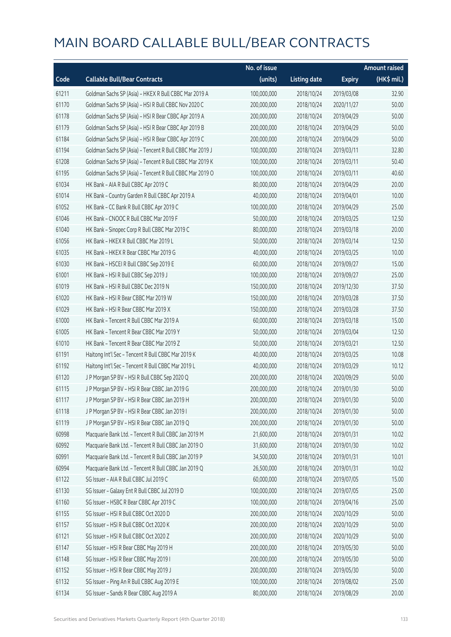|       |                                                          | No. of issue |                     |               | <b>Amount raised</b>  |
|-------|----------------------------------------------------------|--------------|---------------------|---------------|-----------------------|
| Code  | <b>Callable Bull/Bear Contracts</b>                      | (units)      | <b>Listing date</b> | <b>Expiry</b> | $(HK\frac{1}{2}mil.)$ |
| 61211 | Goldman Sachs SP (Asia) - HKEX R Bull CBBC Mar 2019 A    | 100,000,000  | 2018/10/24          | 2019/03/08    | 32.90                 |
| 61170 | Goldman Sachs SP (Asia) - HSI R Bull CBBC Nov 2020 C     | 200,000,000  | 2018/10/24          | 2020/11/27    | 50.00                 |
| 61178 | Goldman Sachs SP (Asia) - HSI R Bear CBBC Apr 2019 A     | 200,000,000  | 2018/10/24          | 2019/04/29    | 50.00                 |
| 61179 | Goldman Sachs SP (Asia) - HSI R Bear CBBC Apr 2019 B     | 200,000,000  | 2018/10/24          | 2019/04/29    | 50.00                 |
| 61184 | Goldman Sachs SP (Asia) - HSI R Bear CBBC Apr 2019 C     | 200,000,000  | 2018/10/24          | 2019/04/29    | 50.00                 |
| 61194 | Goldman Sachs SP (Asia) - Tencent R Bull CBBC Mar 2019 J | 100,000,000  | 2018/10/24          | 2019/03/11    | 32.80                 |
| 61208 | Goldman Sachs SP (Asia) - Tencent R Bull CBBC Mar 2019 K | 100,000,000  | 2018/10/24          | 2019/03/11    | 50.40                 |
| 61195 | Goldman Sachs SP (Asia) - Tencent R Bull CBBC Mar 2019 O | 100,000,000  | 2018/10/24          | 2019/03/11    | 40.60                 |
| 61034 | HK Bank - AIA R Bull CBBC Apr 2019 C                     | 80,000,000   | 2018/10/24          | 2019/04/29    | 20.00                 |
| 61014 | HK Bank - Country Garden R Bull CBBC Apr 2019 A          | 40,000,000   | 2018/10/24          | 2019/04/01    | 10.00                 |
| 61052 | HK Bank - CC Bank R Bull CBBC Apr 2019 C                 | 100,000,000  | 2018/10/24          | 2019/04/29    | 25.00                 |
| 61046 | HK Bank - CNOOC R Bull CBBC Mar 2019 F                   | 50,000,000   | 2018/10/24          | 2019/03/25    | 12.50                 |
| 61040 | HK Bank - Sinopec Corp R Bull CBBC Mar 2019 C            | 80,000,000   | 2018/10/24          | 2019/03/18    | 20.00                 |
| 61056 | HK Bank - HKEX R Bull CBBC Mar 2019 L                    | 50,000,000   | 2018/10/24          | 2019/03/14    | 12.50                 |
| 61035 | HK Bank - HKEX R Bear CBBC Mar 2019 G                    | 40,000,000   | 2018/10/24          | 2019/03/25    | 10.00                 |
| 61030 | HK Bank - HSCEI R Bull CBBC Sep 2019 E                   | 60,000,000   | 2018/10/24          | 2019/09/27    | 15.00                 |
| 61001 | HK Bank - HSI R Bull CBBC Sep 2019 J                     | 100,000,000  | 2018/10/24          | 2019/09/27    | 25.00                 |
| 61019 | HK Bank - HSI R Bull CBBC Dec 2019 N                     | 150,000,000  | 2018/10/24          | 2019/12/30    | 37.50                 |
| 61020 | HK Bank - HSI R Bear CBBC Mar 2019 W                     | 150,000,000  | 2018/10/24          | 2019/03/28    | 37.50                 |
| 61029 | HK Bank - HSI R Bear CBBC Mar 2019 X                     | 150,000,000  | 2018/10/24          | 2019/03/28    | 37.50                 |
| 61000 | HK Bank - Tencent R Bull CBBC Mar 2019 A                 | 60,000,000   | 2018/10/24          | 2019/03/18    | 15.00                 |
| 61005 | HK Bank - Tencent R Bear CBBC Mar 2019 Y                 | 50,000,000   | 2018/10/24          | 2019/03/04    | 12.50                 |
| 61010 | HK Bank - Tencent R Bear CBBC Mar 2019 Z                 | 50,000,000   | 2018/10/24          | 2019/03/21    | 12.50                 |
| 61191 | Haitong Int'l Sec - Tencent R Bull CBBC Mar 2019 K       | 40,000,000   | 2018/10/24          | 2019/03/25    | 10.08                 |
| 61192 | Haitong Int'l Sec - Tencent R Bull CBBC Mar 2019 L       | 40,000,000   | 2018/10/24          | 2019/03/29    | 10.12                 |
| 61120 | J P Morgan SP BV - HSI R Bull CBBC Sep 2020 Q            | 200,000,000  | 2018/10/24          | 2020/09/29    | 50.00                 |
| 61115 | J P Morgan SP BV - HSI R Bear CBBC Jan 2019 G            | 200,000,000  | 2018/10/24          | 2019/01/30    | 50.00                 |
| 61117 | J P Morgan SP BV - HSI R Bear CBBC Jan 2019 H            | 200,000,000  | 2018/10/24          | 2019/01/30    | 50.00                 |
| 61118 | J P Morgan SP BV - HSI R Bear CBBC Jan 2019 I            | 200,000,000  | 2018/10/24          | 2019/01/30    | 50.00                 |
| 61119 | J P Morgan SP BV - HSI R Bear CBBC Jan 2019 Q            | 200,000,000  | 2018/10/24          | 2019/01/30    | 50.00                 |
| 60998 | Macquarie Bank Ltd. - Tencent R Bull CBBC Jan 2019 M     | 21,600,000   | 2018/10/24          | 2019/01/31    | 10.02                 |
| 60992 | Macquarie Bank Ltd. - Tencent R Bull CBBC Jan 2019 O     | 31,600,000   | 2018/10/24          | 2019/01/30    | 10.02                 |
| 60991 | Macquarie Bank Ltd. - Tencent R Bull CBBC Jan 2019 P     | 34,500,000   | 2018/10/24          | 2019/01/31    | 10.01                 |
| 60994 | Macquarie Bank Ltd. - Tencent R Bull CBBC Jan 2019 Q     | 26,500,000   | 2018/10/24          | 2019/01/31    | 10.02                 |
| 61122 | SG Issuer - AIA R Bull CBBC Jul 2019 C                   | 60,000,000   | 2018/10/24          | 2019/07/05    | 15.00                 |
| 61130 | SG Issuer - Galaxy Ent R Bull CBBC Jul 2019 D            | 100,000,000  | 2018/10/24          | 2019/07/05    | 25.00                 |
| 61160 | SG Issuer - HSBC R Bear CBBC Apr 2019 C                  | 100,000,000  | 2018/10/24          | 2019/04/16    | 25.00                 |
| 61155 | SG Issuer - HSI R Bull CBBC Oct 2020 D                   | 200,000,000  | 2018/10/24          | 2020/10/29    | 50.00                 |
| 61157 | SG Issuer - HSI R Bull CBBC Oct 2020 K                   | 200,000,000  | 2018/10/24          | 2020/10/29    | 50.00                 |
| 61121 | SG Issuer - HSI R Bull CBBC Oct 2020 Z                   | 200,000,000  | 2018/10/24          | 2020/10/29    | 50.00                 |
| 61147 | SG Issuer - HSI R Bear CBBC May 2019 H                   | 200,000,000  | 2018/10/24          | 2019/05/30    | 50.00                 |
| 61148 | SG Issuer - HSI R Bear CBBC May 2019 I                   | 200,000,000  | 2018/10/24          | 2019/05/30    | 50.00                 |
| 61152 | SG Issuer - HSI R Bear CBBC May 2019 J                   | 200,000,000  | 2018/10/24          | 2019/05/30    | 50.00                 |
| 61132 | SG Issuer - Ping An R Bull CBBC Aug 2019 E               | 100,000,000  | 2018/10/24          | 2019/08/02    | 25.00                 |
| 61134 | SG Issuer - Sands R Bear CBBC Aug 2019 A                 | 80,000,000   | 2018/10/24          | 2019/08/29    | 20.00                 |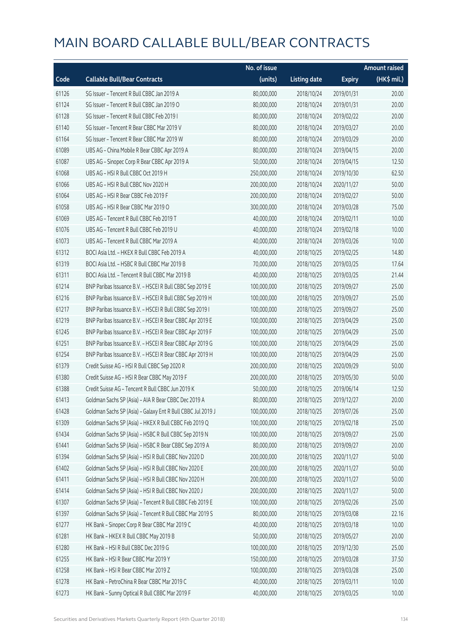|       |                                                             | No. of issue |                     |               | <b>Amount raised</b> |
|-------|-------------------------------------------------------------|--------------|---------------------|---------------|----------------------|
| Code  | <b>Callable Bull/Bear Contracts</b>                         | (units)      | <b>Listing date</b> | <b>Expiry</b> | (HK\$ mil.)          |
| 61126 | SG Issuer - Tencent R Bull CBBC Jan 2019 A                  | 80,000,000   | 2018/10/24          | 2019/01/31    | 20.00                |
| 61124 | SG Issuer - Tencent R Bull CBBC Jan 2019 O                  | 80,000,000   | 2018/10/24          | 2019/01/31    | 20.00                |
| 61128 | SG Issuer - Tencent R Bull CBBC Feb 2019 I                  | 80,000,000   | 2018/10/24          | 2019/02/22    | 20.00                |
| 61140 | SG Issuer - Tencent R Bear CBBC Mar 2019 V                  | 80,000,000   | 2018/10/24          | 2019/03/27    | 20.00                |
| 61164 | SG Issuer - Tencent R Bear CBBC Mar 2019 W                  | 80,000,000   | 2018/10/24          | 2019/03/29    | 20.00                |
| 61089 | UBS AG - China Mobile R Bear CBBC Apr 2019 A                | 80,000,000   | 2018/10/24          | 2019/04/15    | 20.00                |
| 61087 | UBS AG - Sinopec Corp R Bear CBBC Apr 2019 A                | 50,000,000   | 2018/10/24          | 2019/04/15    | 12.50                |
| 61068 | UBS AG - HSI R Bull CBBC Oct 2019 H                         | 250,000,000  | 2018/10/24          | 2019/10/30    | 62.50                |
| 61066 | UBS AG - HSI R Bull CBBC Nov 2020 H                         | 200,000,000  | 2018/10/24          | 2020/11/27    | 50.00                |
| 61064 | UBS AG - HSI R Bear CBBC Feb 2019 F                         | 200,000,000  | 2018/10/24          | 2019/02/27    | 50.00                |
| 61058 | UBS AG - HSI R Bear CBBC Mar 2019 O                         | 300,000,000  | 2018/10/24          | 2019/03/28    | 75.00                |
| 61069 | UBS AG - Tencent R Bull CBBC Feb 2019 T                     | 40,000,000   | 2018/10/24          | 2019/02/11    | 10.00                |
| 61076 | UBS AG - Tencent R Bull CBBC Feb 2019 U                     | 40,000,000   | 2018/10/24          | 2019/02/18    | 10.00                |
| 61073 | UBS AG - Tencent R Bull CBBC Mar 2019 A                     | 40,000,000   | 2018/10/24          | 2019/03/26    | 10.00                |
| 61312 | BOCI Asia Ltd. - HKEX R Bull CBBC Feb 2019 A                | 40,000,000   | 2018/10/25          | 2019/02/25    | 14.80                |
| 61319 | BOCI Asia Ltd. - HSBC R Bull CBBC Mar 2019 B                | 70,000,000   | 2018/10/25          | 2019/03/25    | 17.64                |
| 61311 | BOCI Asia Ltd. - Tencent R Bull CBBC Mar 2019 B             | 40,000,000   | 2018/10/25          | 2019/03/25    | 21.44                |
| 61214 | BNP Paribas Issuance B.V. - HSCEI R Bull CBBC Sep 2019 E    | 100,000,000  | 2018/10/25          | 2019/09/27    | 25.00                |
| 61216 | BNP Paribas Issuance B.V. - HSCEI R Bull CBBC Sep 2019 H    | 100,000,000  | 2018/10/25          | 2019/09/27    | 25.00                |
| 61217 | BNP Paribas Issuance B.V. - HSCEI R Bull CBBC Sep 2019 I    | 100,000,000  | 2018/10/25          | 2019/09/27    | 25.00                |
| 61219 | BNP Paribas Issuance B.V. - HSCEI R Bear CBBC Apr 2019 E    | 100,000,000  | 2018/10/25          | 2019/04/29    | 25.00                |
| 61245 | BNP Paribas Issuance B.V. - HSCEI R Bear CBBC Apr 2019 F    | 100,000,000  | 2018/10/25          | 2019/04/29    | 25.00                |
| 61251 | BNP Paribas Issuance B.V. - HSCEI R Bear CBBC Apr 2019 G    | 100,000,000  | 2018/10/25          | 2019/04/29    | 25.00                |
| 61254 | BNP Paribas Issuance B.V. - HSCEI R Bear CBBC Apr 2019 H    | 100,000,000  | 2018/10/25          | 2019/04/29    | 25.00                |
| 61379 | Credit Suisse AG - HSI R Bull CBBC Sep 2020 R               | 200,000,000  | 2018/10/25          | 2020/09/29    | 50.00                |
| 61380 | Credit Suisse AG - HSI R Bear CBBC May 2019 F               | 200,000,000  | 2018/10/25          | 2019/05/30    | 50.00                |
| 61388 | Credit Suisse AG - Tencent R Bull CBBC Jun 2019 K           | 50,000,000   | 2018/10/25          | 2019/06/14    | 12.50                |
| 61413 | Goldman Sachs SP (Asia) - AIA R Bear CBBC Dec 2019 A        | 80,000,000   | 2018/10/25          | 2019/12/27    | 20.00                |
| 61428 | Goldman Sachs SP (Asia) - Galaxy Ent R Bull CBBC Jul 2019 J | 100,000,000  | 2018/10/25          | 2019/07/26    | 25.00                |
| 61309 | Goldman Sachs SP (Asia) - HKEX R Bull CBBC Feb 2019 Q       | 100,000,000  | 2018/10/25          | 2019/02/18    | 25.00                |
| 61434 | Goldman Sachs SP (Asia) - HSBC R Bull CBBC Sep 2019 N       | 100,000,000  | 2018/10/25          | 2019/09/27    | 25.00                |
| 61441 | Goldman Sachs SP (Asia) - HSBC R Bear CBBC Sep 2019 A       | 80,000,000   | 2018/10/25          | 2019/09/27    | 20.00                |
| 61394 | Goldman Sachs SP (Asia) - HSI R Bull CBBC Nov 2020 D        | 200,000,000  | 2018/10/25          | 2020/11/27    | 50.00                |
| 61402 | Goldman Sachs SP (Asia) - HSI R Bull CBBC Nov 2020 E        | 200,000,000  | 2018/10/25          | 2020/11/27    | 50.00                |
| 61411 | Goldman Sachs SP (Asia) - HSI R Bull CBBC Nov 2020 H        | 200,000,000  | 2018/10/25          | 2020/11/27    | 50.00                |
| 61414 | Goldman Sachs SP (Asia) - HSI R Bull CBBC Nov 2020 J        | 200,000,000  | 2018/10/25          | 2020/11/27    | 50.00                |
| 61307 | Goldman Sachs SP (Asia) - Tencent R Bull CBBC Feb 2019 E    | 100,000,000  | 2018/10/25          | 2019/02/26    | 25.00                |
| 61397 | Goldman Sachs SP (Asia) - Tencent R Bull CBBC Mar 2019 S    | 80,000,000   | 2018/10/25          | 2019/03/08    | 22.16                |
| 61277 | HK Bank - Sinopec Corp R Bear CBBC Mar 2019 C               | 40,000,000   | 2018/10/25          | 2019/03/18    | 10.00                |
| 61281 | HK Bank - HKEX R Bull CBBC May 2019 B                       | 50,000,000   | 2018/10/25          | 2019/05/27    | 20.00                |
| 61280 | HK Bank - HSI R Bull CBBC Dec 2019 G                        | 100,000,000  | 2018/10/25          | 2019/12/30    | 25.00                |
| 61255 | HK Bank - HSI R Bear CBBC Mar 2019 Y                        | 150,000,000  | 2018/10/25          | 2019/03/28    | 37.50                |
| 61258 | HK Bank - HSI R Bear CBBC Mar 2019 Z                        | 100,000,000  | 2018/10/25          | 2019/03/28    | 25.00                |
| 61278 | HK Bank - PetroChina R Bear CBBC Mar 2019 C                 | 40,000,000   | 2018/10/25          | 2019/03/11    | 10.00                |
| 61273 | HK Bank - Sunny Optical R Bull CBBC Mar 2019 F              | 40,000,000   | 2018/10/25          | 2019/03/25    | 10.00                |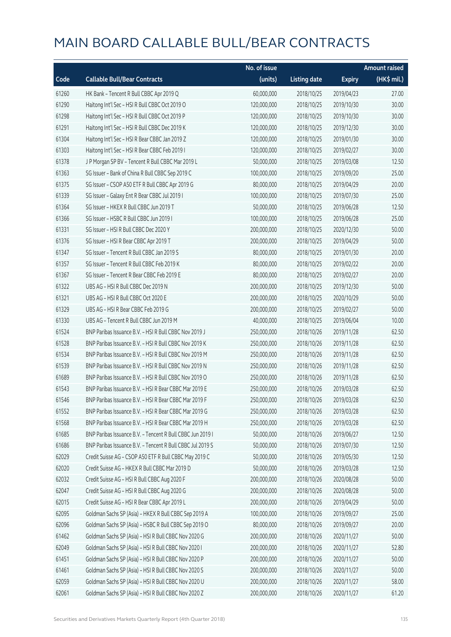|       |                                                            | No. of issue |                     |               | <b>Amount raised</b> |
|-------|------------------------------------------------------------|--------------|---------------------|---------------|----------------------|
| Code  | <b>Callable Bull/Bear Contracts</b>                        | (units)      | <b>Listing date</b> | <b>Expiry</b> | (HK\$ mil.)          |
| 61260 | HK Bank - Tencent R Bull CBBC Apr 2019 Q                   | 60,000,000   | 2018/10/25          | 2019/04/23    | 27.00                |
| 61290 | Haitong Int'l Sec - HSI R Bull CBBC Oct 2019 O             | 120,000,000  | 2018/10/25          | 2019/10/30    | 30.00                |
| 61298 | Haitong Int'l Sec - HSI R Bull CBBC Oct 2019 P             | 120,000,000  | 2018/10/25          | 2019/10/30    | 30.00                |
| 61291 | Haitong Int'l Sec - HSI R Bull CBBC Dec 2019 K             | 120,000,000  | 2018/10/25          | 2019/12/30    | 30.00                |
| 61304 | Haitong Int'l Sec - HSI R Bear CBBC Jan 2019 Z             | 120,000,000  | 2018/10/25          | 2019/01/30    | 30.00                |
| 61303 | Haitong Int'l Sec - HSI R Bear CBBC Feb 2019 I             | 120,000,000  | 2018/10/25          | 2019/02/27    | 30.00                |
| 61378 | JP Morgan SP BV - Tencent R Bull CBBC Mar 2019 L           | 50,000,000   | 2018/10/25          | 2019/03/08    | 12.50                |
| 61363 | SG Issuer - Bank of China R Bull CBBC Sep 2019 C           | 100,000,000  | 2018/10/25          | 2019/09/20    | 25.00                |
| 61375 | SG Issuer - CSOP A50 ETF R Bull CBBC Apr 2019 G            | 80,000,000   | 2018/10/25          | 2019/04/29    | 20.00                |
| 61339 | SG Issuer - Galaxy Ent R Bear CBBC Jul 2019 I              | 100,000,000  | 2018/10/25          | 2019/07/30    | 25.00                |
| 61364 | SG Issuer - HKEX R Bull CBBC Jun 2019 T                    | 50,000,000   | 2018/10/25          | 2019/06/28    | 12.50                |
| 61366 | SG Issuer - HSBC R Bull CBBC Jun 2019 I                    | 100,000,000  | 2018/10/25          | 2019/06/28    | 25.00                |
| 61331 | SG Issuer - HSI R Bull CBBC Dec 2020 Y                     | 200,000,000  | 2018/10/25          | 2020/12/30    | 50.00                |
| 61376 | SG Issuer - HSI R Bear CBBC Apr 2019 T                     | 200,000,000  | 2018/10/25          | 2019/04/29    | 50.00                |
| 61347 | SG Issuer - Tencent R Bull CBBC Jan 2019 S                 | 80,000,000   | 2018/10/25          | 2019/01/30    | 20.00                |
| 61357 | SG Issuer - Tencent R Bull CBBC Feb 2019 K                 | 80,000,000   | 2018/10/25          | 2019/02/22    | 20.00                |
| 61367 | SG Issuer - Tencent R Bear CBBC Feb 2019 E                 | 80,000,000   | 2018/10/25          | 2019/02/27    | 20.00                |
| 61322 | UBS AG - HSI R Bull CBBC Dec 2019 N                        | 200,000,000  | 2018/10/25          | 2019/12/30    | 50.00                |
| 61321 | UBS AG - HSI R Bull CBBC Oct 2020 E                        | 200,000,000  | 2018/10/25          | 2020/10/29    | 50.00                |
| 61329 | UBS AG - HSI R Bear CBBC Feb 2019 G                        | 200,000,000  | 2018/10/25          | 2019/02/27    | 50.00                |
| 61330 | UBS AG - Tencent R Bull CBBC Jun 2019 M                    | 40,000,000   | 2018/10/25          | 2019/06/04    | 10.00                |
| 61524 | BNP Paribas Issuance B.V. - HSI R Bull CBBC Nov 2019 J     | 250,000,000  | 2018/10/26          | 2019/11/28    | 62.50                |
| 61528 | BNP Paribas Issuance B.V. - HSI R Bull CBBC Nov 2019 K     | 250,000,000  | 2018/10/26          | 2019/11/28    | 62.50                |
| 61534 | BNP Paribas Issuance B.V. - HSI R Bull CBBC Nov 2019 M     | 250,000,000  | 2018/10/26          | 2019/11/28    | 62.50                |
| 61539 | BNP Paribas Issuance B.V. - HSI R Bull CBBC Nov 2019 N     | 250,000,000  | 2018/10/26          | 2019/11/28    | 62.50                |
| 61689 | BNP Paribas Issuance B.V. - HSI R Bull CBBC Nov 2019 O     | 250,000,000  | 2018/10/26          | 2019/11/28    | 62.50                |
| 61543 | BNP Paribas Issuance B.V. - HSI R Bear CBBC Mar 2019 E     | 250,000,000  | 2018/10/26          | 2019/03/28    | 62.50                |
| 61546 | BNP Paribas Issuance B.V. - HSI R Bear CBBC Mar 2019 F     | 250,000,000  | 2018/10/26          | 2019/03/28    | 62.50                |
| 61552 | BNP Paribas Issuance B.V. - HSI R Bear CBBC Mar 2019 G     | 250,000,000  | 2018/10/26          | 2019/03/28    | 62.50                |
| 61568 | BNP Paribas Issuance B.V. - HSI R Bear CBBC Mar 2019 H     | 250,000,000  | 2018/10/26          | 2019/03/28    | 62.50                |
| 61685 | BNP Paribas Issuance B.V. - Tencent R Bull CBBC Jun 2019 I | 50,000,000   | 2018/10/26          | 2019/06/27    | 12.50                |
| 61686 | BNP Paribas Issuance B.V. - Tencent R Bull CBBC Jul 2019 S | 50,000,000   | 2018/10/26          | 2019/07/30    | 12.50                |
| 62029 | Credit Suisse AG - CSOP A50 ETF R Bull CBBC May 2019 C     | 50,000,000   | 2018/10/26          | 2019/05/30    | 12.50                |
| 62020 | Credit Suisse AG - HKEX R Bull CBBC Mar 2019 D             | 50,000,000   | 2018/10/26          | 2019/03/28    | 12.50                |
| 62032 | Credit Suisse AG - HSI R Bull CBBC Aug 2020 F              | 200,000,000  | 2018/10/26          | 2020/08/28    | 50.00                |
| 62047 | Credit Suisse AG - HSI R Bull CBBC Aug 2020 G              | 200,000,000  | 2018/10/26          | 2020/08/28    | 50.00                |
| 62015 | Credit Suisse AG - HSI R Bear CBBC Apr 2019 L              | 200,000,000  | 2018/10/26          | 2019/04/29    | 50.00                |
| 62095 | Goldman Sachs SP (Asia) - HKEX R Bull CBBC Sep 2019 A      | 100,000,000  | 2018/10/26          | 2019/09/27    | 25.00                |
| 62096 | Goldman Sachs SP (Asia) - HSBC R Bull CBBC Sep 2019 O      | 80,000,000   | 2018/10/26          | 2019/09/27    | 20.00                |
| 61462 | Goldman Sachs SP (Asia) - HSI R Bull CBBC Nov 2020 G       | 200,000,000  | 2018/10/26          | 2020/11/27    | 50.00                |
| 62049 | Goldman Sachs SP (Asia) - HSI R Bull CBBC Nov 2020 I       | 200,000,000  | 2018/10/26          | 2020/11/27    | 52.80                |
| 61451 | Goldman Sachs SP (Asia) - HSI R Bull CBBC Nov 2020 P       | 200,000,000  | 2018/10/26          | 2020/11/27    | 50.00                |
| 61461 | Goldman Sachs SP (Asia) - HSI R Bull CBBC Nov 2020 S       | 200,000,000  | 2018/10/26          | 2020/11/27    | 50.00                |
| 62059 | Goldman Sachs SP (Asia) - HSI R Bull CBBC Nov 2020 U       | 200,000,000  | 2018/10/26          | 2020/11/27    | 58.00                |
| 62061 | Goldman Sachs SP (Asia) - HSI R Bull CBBC Nov 2020 Z       | 200,000,000  | 2018/10/26          | 2020/11/27    | 61.20                |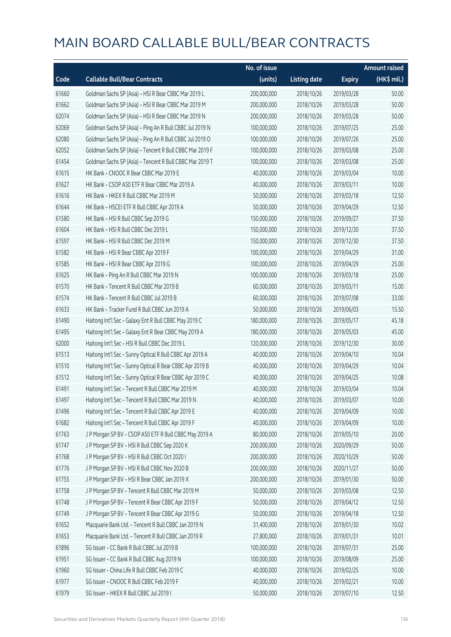|       |                                                          | No. of issue |                     |               | Amount raised |
|-------|----------------------------------------------------------|--------------|---------------------|---------------|---------------|
| Code  | <b>Callable Bull/Bear Contracts</b>                      | (units)      | <b>Listing date</b> | <b>Expiry</b> | $(HK\$ mil.)  |
| 61660 | Goldman Sachs SP (Asia) - HSI R Bear CBBC Mar 2019 L     | 200,000,000  | 2018/10/26          | 2019/03/28    | 50.00         |
| 61662 | Goldman Sachs SP (Asia) - HSI R Bear CBBC Mar 2019 M     | 200,000,000  | 2018/10/26          | 2019/03/28    | 50.00         |
| 62074 | Goldman Sachs SP (Asia) - HSI R Bear CBBC Mar 2019 N     | 200,000,000  | 2018/10/26          | 2019/03/28    | 50.00         |
| 62069 | Goldman Sachs SP (Asia) - Ping An R Bull CBBC Jul 2019 N | 100,000,000  | 2018/10/26          | 2019/07/25    | 25.00         |
| 62080 | Goldman Sachs SP (Asia) - Ping An R Bull CBBC Jul 2019 O | 100,000,000  | 2018/10/26          | 2019/07/26    | 25.00         |
| 62052 | Goldman Sachs SP (Asia) - Tencent R Bull CBBC Mar 2019 F | 100,000,000  | 2018/10/26          | 2019/03/08    | 25.00         |
| 61454 | Goldman Sachs SP (Asia) - Tencent R Bull CBBC Mar 2019 T | 100,000,000  | 2018/10/26          | 2019/03/08    | 25.00         |
| 61615 | HK Bank - CNOOC R Bear CBBC Mar 2019 E                   | 40,000,000   | 2018/10/26          | 2019/03/04    | 10.00         |
| 61627 | HK Bank - CSOP A50 ETF R Bear CBBC Mar 2019 A            | 40,000,000   | 2018/10/26          | 2019/03/11    | 10.00         |
| 61616 | HK Bank - HKEX R Bull CBBC Mar 2019 M                    | 50,000,000   | 2018/10/26          | 2019/03/18    | 12.50         |
| 61644 | HK Bank - HSCEI ETF R Bull CBBC Apr 2019 A               | 50,000,000   | 2018/10/26          | 2019/04/29    | 12.50         |
| 61580 | HK Bank - HSI R Bull CBBC Sep 2019 G                     | 150,000,000  | 2018/10/26          | 2019/09/27    | 37.50         |
| 61604 | HK Bank - HSI R Bull CBBC Dec 2019 L                     | 150,000,000  | 2018/10/26          | 2019/12/30    | 37.50         |
| 61597 | HK Bank - HSI R Bull CBBC Dec 2019 M                     | 150,000,000  | 2018/10/26          | 2019/12/30    | 37.50         |
| 61582 | HK Bank - HSI R Bear CBBC Apr 2019 F                     | 100,000,000  | 2018/10/26          | 2019/04/29    | 31.00         |
| 61585 | HK Bank - HSI R Bear CBBC Apr 2019 G                     | 100,000,000  | 2018/10/26          | 2019/04/29    | 25.00         |
| 61625 | HK Bank - Ping An R Bull CBBC Mar 2019 N                 | 100,000,000  | 2018/10/26          | 2019/03/18    | 25.00         |
| 61570 | HK Bank - Tencent R Bull CBBC Mar 2019 B                 | 60,000,000   | 2018/10/26          | 2019/03/11    | 15.00         |
| 61574 | HK Bank - Tencent R Bull CBBC Jul 2019 B                 | 60,000,000   | 2018/10/26          | 2019/07/08    | 33.00         |
| 61633 | HK Bank - Tracker Fund R Bull CBBC Jun 2019 A            | 50,000,000   | 2018/10/26          | 2019/06/03    | 15.50         |
| 61490 | Haitong Int'l Sec - Galaxy Ent R Bull CBBC May 2019 C    | 180,000,000  | 2018/10/26          | 2019/05/17    | 45.18         |
| 61495 | Haitong Int'l Sec - Galaxy Ent R Bear CBBC May 2019 A    | 180,000,000  | 2018/10/26          | 2019/05/03    | 45.00         |
| 62000 | Haitong Int'l Sec - HSI R Bull CBBC Dec 2019 L           | 120,000,000  | 2018/10/26          | 2019/12/30    | 30.00         |
| 61513 | Haitong Int'l Sec - Sunny Optical R Bull CBBC Apr 2019 A | 40,000,000   | 2018/10/26          | 2019/04/10    | 10.04         |
| 61510 | Haitong Int'l Sec - Sunny Optical R Bear CBBC Apr 2019 B | 40,000,000   | 2018/10/26          | 2019/04/29    | 10.04         |
| 61512 | Haitong Int'l Sec - Sunny Optical R Bear CBBC Apr 2019 C | 40,000,000   | 2018/10/26          | 2019/04/25    | 10.08         |
| 61491 | Haitong Int'l Sec - Tencent R Bull CBBC Mar 2019 M       | 40,000,000   | 2018/10/26          | 2019/03/04    | 10.04         |
| 61497 | Haitong Int'l Sec - Tencent R Bull CBBC Mar 2019 N       | 40,000,000   | 2018/10/26          | 2019/03/07    | 10.00         |
| 61496 | Haitong Int'l Sec - Tencent R Bull CBBC Apr 2019 E       | 40,000,000   | 2018/10/26          | 2019/04/09    | 10.00         |
| 61682 | Haitong Int'l Sec - Tencent R Bull CBBC Apr 2019 F       | 40,000,000   | 2018/10/26          | 2019/04/09    | 10.00         |
| 61763 | J P Morgan SP BV - CSOP A50 ETF R Bull CBBC May 2019 A   | 80,000,000   | 2018/10/26          | 2019/05/10    | 20.00         |
| 61747 | J P Morgan SP BV - HSI R Bull CBBC Sep 2020 K            | 200,000,000  | 2018/10/26          | 2020/09/29    | 50.00         |
| 61768 | J P Morgan SP BV - HSI R Bull CBBC Oct 2020 I            | 200,000,000  | 2018/10/26          | 2020/10/29    | 50.00         |
| 61776 | J P Morgan SP BV - HSI R Bull CBBC Nov 2020 B            | 200,000,000  | 2018/10/26          | 2020/11/27    | 50.00         |
| 61755 | J P Morgan SP BV - HSI R Bear CBBC Jan 2019 X            | 200,000,000  | 2018/10/26          | 2019/01/30    | 50.00         |
| 61758 | J P Morgan SP BV - Tencent R Bull CBBC Mar 2019 M        | 50,000,000   | 2018/10/26          | 2019/03/08    | 12.50         |
| 61748 | J P Morgan SP BV - Tencent R Bear CBBC Apr 2019 F        | 50,000,000   | 2018/10/26          | 2019/04/12    | 12.50         |
| 61749 | J P Morgan SP BV - Tencent R Bear CBBC Apr 2019 G        | 50,000,000   | 2018/10/26          | 2019/04/18    | 12.50         |
| 61652 | Macquarie Bank Ltd. - Tencent R Bull CBBC Jan 2019 N     | 31,400,000   | 2018/10/26          | 2019/01/30    | 10.02         |
| 61653 | Macquarie Bank Ltd. - Tencent R Bull CBBC Jan 2019 R     | 27,800,000   | 2018/10/26          | 2019/01/31    | 10.01         |
| 61896 | SG Issuer - CC Bank R Bull CBBC Jul 2019 B               | 100,000,000  | 2018/10/26          | 2019/07/31    | 25.00         |
| 61951 | SG Issuer - CC Bank R Bull CBBC Aug 2019 N               | 100,000,000  | 2018/10/26          | 2019/08/09    | 25.00         |
| 61960 | SG Issuer - China Life R Bull CBBC Feb 2019 C            | 40,000,000   | 2018/10/26          | 2019/02/25    | 10.00         |
| 61977 | SG Issuer - CNOOC R Bull CBBC Feb 2019 F                 | 40,000,000   | 2018/10/26          | 2019/02/21    | 10.00         |
| 61979 | SG Issuer - HKEX R Bull CBBC Jul 2019 I                  | 50,000,000   | 2018/10/26          | 2019/07/10    | 12.50         |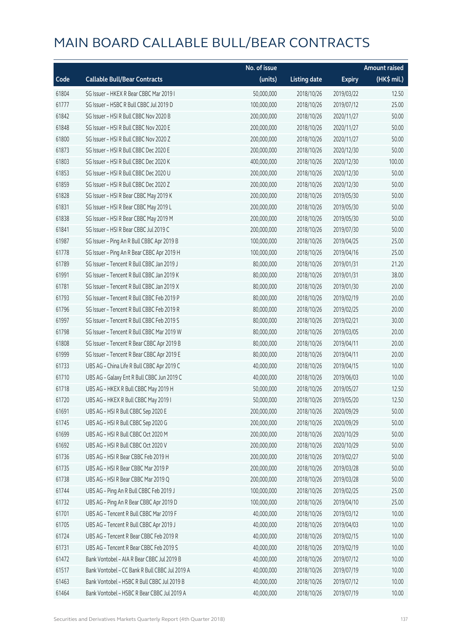|       |                                                | No. of issue |                     |               | <b>Amount raised</b> |
|-------|------------------------------------------------|--------------|---------------------|---------------|----------------------|
| Code  | <b>Callable Bull/Bear Contracts</b>            | (units)      | <b>Listing date</b> | <b>Expiry</b> | (HK\$ mil.)          |
| 61804 | SG Issuer - HKEX R Bear CBBC Mar 2019 I        | 50,000,000   | 2018/10/26          | 2019/03/22    | 12.50                |
| 61777 | SG Issuer - HSBC R Bull CBBC Jul 2019 D        | 100,000,000  | 2018/10/26          | 2019/07/12    | 25.00                |
| 61842 | SG Issuer - HSI R Bull CBBC Nov 2020 B         | 200,000,000  | 2018/10/26          | 2020/11/27    | 50.00                |
| 61848 | SG Issuer - HSI R Bull CBBC Nov 2020 E         | 200,000,000  | 2018/10/26          | 2020/11/27    | 50.00                |
| 61800 | SG Issuer - HSI R Bull CBBC Nov 2020 Z         | 200,000,000  | 2018/10/26          | 2020/11/27    | 50.00                |
| 61873 | SG Issuer - HSI R Bull CBBC Dec 2020 E         | 200,000,000  | 2018/10/26          | 2020/12/30    | 50.00                |
| 61803 | SG Issuer - HSI R Bull CBBC Dec 2020 K         | 400,000,000  | 2018/10/26          | 2020/12/30    | 100.00               |
| 61853 | SG Issuer - HSI R Bull CBBC Dec 2020 U         | 200,000,000  | 2018/10/26          | 2020/12/30    | 50.00                |
| 61859 | SG Issuer - HSI R Bull CBBC Dec 2020 Z         | 200,000,000  | 2018/10/26          | 2020/12/30    | 50.00                |
| 61828 | SG Issuer - HSI R Bear CBBC May 2019 K         | 200,000,000  | 2018/10/26          | 2019/05/30    | 50.00                |
| 61831 | SG Issuer - HSI R Bear CBBC May 2019 L         | 200,000,000  | 2018/10/26          | 2019/05/30    | 50.00                |
| 61838 | SG Issuer - HSI R Bear CBBC May 2019 M         | 200,000,000  | 2018/10/26          | 2019/05/30    | 50.00                |
| 61841 | SG Issuer - HSI R Bear CBBC Jul 2019 C         | 200,000,000  | 2018/10/26          | 2019/07/30    | 50.00                |
| 61987 | SG Issuer - Ping An R Bull CBBC Apr 2019 B     | 100,000,000  | 2018/10/26          | 2019/04/25    | 25.00                |
| 61778 | SG Issuer - Ping An R Bear CBBC Apr 2019 H     | 100,000,000  | 2018/10/26          | 2019/04/16    | 25.00                |
| 61789 | SG Issuer - Tencent R Bull CBBC Jan 2019 J     | 80,000,000   | 2018/10/26          | 2019/01/31    | 21.20                |
| 61991 | SG Issuer - Tencent R Bull CBBC Jan 2019 K     | 80,000,000   | 2018/10/26          | 2019/01/31    | 38.00                |
| 61781 | SG Issuer - Tencent R Bull CBBC Jan 2019 X     | 80,000,000   | 2018/10/26          | 2019/01/30    | 20.00                |
| 61793 | SG Issuer - Tencent R Bull CBBC Feb 2019 P     | 80,000,000   | 2018/10/26          | 2019/02/19    | 20.00                |
| 61796 | SG Issuer - Tencent R Bull CBBC Feb 2019 R     | 80,000,000   | 2018/10/26          | 2019/02/25    | 20.00                |
| 61997 | SG Issuer - Tencent R Bull CBBC Feb 2019 S     | 80,000,000   | 2018/10/26          | 2019/02/21    | 30.00                |
| 61798 | SG Issuer - Tencent R Bull CBBC Mar 2019 W     | 80,000,000   | 2018/10/26          | 2019/03/05    | 20.00                |
| 61808 | SG Issuer - Tencent R Bear CBBC Apr 2019 B     | 80,000,000   | 2018/10/26          | 2019/04/11    | 20.00                |
| 61999 | SG Issuer - Tencent R Bear CBBC Apr 2019 E     | 80,000,000   | 2018/10/26          | 2019/04/11    | 20.00                |
| 61733 | UBS AG - China Life R Bull CBBC Apr 2019 C     | 40,000,000   | 2018/10/26          | 2019/04/15    | 10.00                |
| 61710 | UBS AG - Galaxy Ent R Bull CBBC Jun 2019 C     | 40,000,000   | 2018/10/26          | 2019/06/03    | 10.00                |
| 61718 | UBS AG - HKEX R Bull CBBC May 2019 H           | 50,000,000   | 2018/10/26          | 2019/05/27    | 12.50                |
| 61720 | UBS AG - HKEX R Bull CBBC May 2019 I           | 50,000,000   | 2018/10/26          | 2019/05/20    | 12.50                |
| 61691 | UBS AG - HSI R Bull CBBC Sep 2020 E            | 200,000,000  | 2018/10/26          | 2020/09/29    | 50.00                |
| 61745 | UBS AG - HSI R Bull CBBC Sep 2020 G            | 200,000,000  | 2018/10/26          | 2020/09/29    | 50.00                |
| 61699 | UBS AG - HSI R Bull CBBC Oct 2020 M            | 200,000,000  | 2018/10/26          | 2020/10/29    | 50.00                |
| 61692 | UBS AG - HSI R Bull CBBC Oct 2020 V            | 200,000,000  | 2018/10/26          | 2020/10/29    | 50.00                |
| 61736 | UBS AG - HSI R Bear CBBC Feb 2019 H            | 200,000,000  | 2018/10/26          | 2019/02/27    | 50.00                |
| 61735 | UBS AG - HSI R Bear CBBC Mar 2019 P            | 200,000,000  | 2018/10/26          | 2019/03/28    | 50.00                |
| 61738 | UBS AG - HSI R Bear CBBC Mar 2019 Q            | 200,000,000  | 2018/10/26          | 2019/03/28    | 50.00                |
| 61744 | UBS AG - Ping An R Bull CBBC Feb 2019 J        | 100,000,000  | 2018/10/26          | 2019/02/25    | 25.00                |
| 61732 | UBS AG - Ping An R Bear CBBC Apr 2019 D        | 100,000,000  | 2018/10/26          | 2019/04/10    | 25.00                |
| 61701 | UBS AG - Tencent R Bull CBBC Mar 2019 F        | 40,000,000   | 2018/10/26          | 2019/03/12    | 10.00                |
| 61705 | UBS AG - Tencent R Bull CBBC Apr 2019 J        | 40,000,000   | 2018/10/26          | 2019/04/03    | 10.00                |
| 61724 | UBS AG - Tencent R Bear CBBC Feb 2019 R        | 40,000,000   | 2018/10/26          | 2019/02/15    | 10.00                |
| 61731 | UBS AG - Tencent R Bear CBBC Feb 2019 S        | 40,000,000   | 2018/10/26          | 2019/02/19    | 10.00                |
| 61472 | Bank Vontobel - AIA R Bear CBBC Jul 2019 B     | 40,000,000   | 2018/10/26          | 2019/07/12    | 10.00                |
| 61517 | Bank Vontobel - CC Bank R Bull CBBC Jul 2019 A | 40,000,000   | 2018/10/26          | 2019/07/19    | 10.00                |
| 61463 | Bank Vontobel - HSBC R Bull CBBC Jul 2019 B    | 40,000,000   | 2018/10/26          | 2019/07/12    | 10.00                |
| 61464 | Bank Vontobel - HSBC R Bear CBBC Jul 2019 A    | 40,000,000   | 2018/10/26          | 2019/07/19    | 10.00                |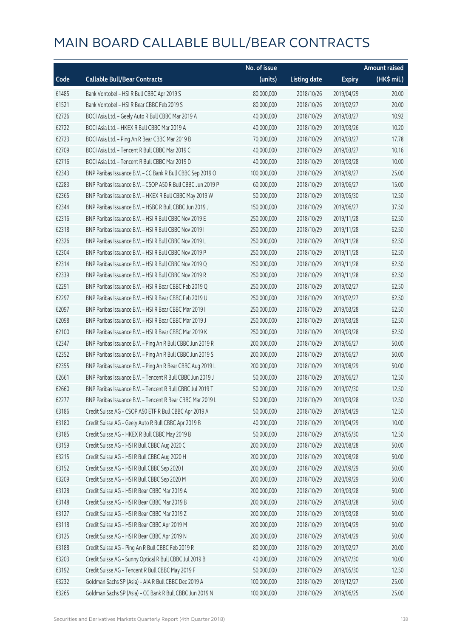|       |                                                             | No. of issue |                     |               | <b>Amount raised</b> |
|-------|-------------------------------------------------------------|--------------|---------------------|---------------|----------------------|
| Code  | <b>Callable Bull/Bear Contracts</b>                         | (units)      | <b>Listing date</b> | <b>Expiry</b> | (HK\$ mil.)          |
| 61485 | Bank Vontobel - HSI R Bull CBBC Apr 2019 S                  | 80,000,000   | 2018/10/26          | 2019/04/29    | 20.00                |
| 61521 | Bank Vontobel - HSI R Bear CBBC Feb 2019 S                  | 80,000,000   | 2018/10/26          | 2019/02/27    | 20.00                |
| 62726 | BOCI Asia Ltd. - Geely Auto R Bull CBBC Mar 2019 A          | 40,000,000   | 2018/10/29          | 2019/03/27    | 10.92                |
| 62722 | BOCI Asia Ltd. - HKEX R Bull CBBC Mar 2019 A                | 40,000,000   | 2018/10/29          | 2019/03/26    | 10.20                |
| 62723 | BOCI Asia Ltd. - Ping An R Bear CBBC Mar 2019 B             | 70,000,000   | 2018/10/29          | 2019/03/27    | 17.78                |
| 62709 | BOCI Asia Ltd. - Tencent R Bull CBBC Mar 2019 C             | 40,000,000   | 2018/10/29          | 2019/03/27    | 10.16                |
| 62716 | BOCI Asia Ltd. - Tencent R Bull CBBC Mar 2019 D             | 40,000,000   | 2018/10/29          | 2019/03/28    | 10.00                |
| 62343 | BNP Paribas Issuance B.V. - CC Bank R Bull CBBC Sep 2019 O  | 100,000,000  | 2018/10/29          | 2019/09/27    | 25.00                |
| 62283 | BNP Paribas Issuance B.V. - CSOP A50 R Bull CBBC Jun 2019 P | 60,000,000   | 2018/10/29          | 2019/06/27    | 15.00                |
| 62365 | BNP Paribas Issuance B.V. - HKEX R Bull CBBC May 2019 W     | 50,000,000   | 2018/10/29          | 2019/05/30    | 12.50                |
| 62344 | BNP Paribas Issuance B.V. - HSBC R Bull CBBC Jun 2019 J     | 150,000,000  | 2018/10/29          | 2019/06/27    | 37.50                |
| 62316 | BNP Paribas Issuance B.V. - HSI R Bull CBBC Nov 2019 E      | 250,000,000  | 2018/10/29          | 2019/11/28    | 62.50                |
| 62318 | BNP Paribas Issuance B.V. - HSI R Bull CBBC Nov 2019 I      | 250,000,000  | 2018/10/29          | 2019/11/28    | 62.50                |
| 62326 | BNP Paribas Issuance B.V. - HSI R Bull CBBC Nov 2019 L      | 250,000,000  | 2018/10/29          | 2019/11/28    | 62.50                |
| 62304 | BNP Paribas Issuance B.V. - HSI R Bull CBBC Nov 2019 P      | 250,000,000  | 2018/10/29          | 2019/11/28    | 62.50                |
| 62314 | BNP Paribas Issuance B.V. - HSI R Bull CBBC Nov 2019 Q      | 250,000,000  | 2018/10/29          | 2019/11/28    | 62.50                |
| 62339 | BNP Paribas Issuance B.V. - HSI R Bull CBBC Nov 2019 R      | 250,000,000  | 2018/10/29          | 2019/11/28    | 62.50                |
| 62291 | BNP Paribas Issuance B.V. - HSI R Bear CBBC Feb 2019 Q      | 250,000,000  | 2018/10/29          | 2019/02/27    | 62.50                |
| 62297 | BNP Paribas Issuance B.V. - HSI R Bear CBBC Feb 2019 U      | 250,000,000  | 2018/10/29          | 2019/02/27    | 62.50                |
| 62097 | BNP Paribas Issuance B.V. - HSI R Bear CBBC Mar 2019 I      | 250,000,000  | 2018/10/29          | 2019/03/28    | 62.50                |
| 62098 | BNP Paribas Issuance B.V. - HSI R Bear CBBC Mar 2019 J      | 250,000,000  | 2018/10/29          | 2019/03/28    | 62.50                |
| 62100 | BNP Paribas Issuance B.V. - HSI R Bear CBBC Mar 2019 K      | 250,000,000  | 2018/10/29          | 2019/03/28    | 62.50                |
| 62347 | BNP Paribas Issuance B.V. - Ping An R Bull CBBC Jun 2019 R  | 200,000,000  | 2018/10/29          | 2019/06/27    | 50.00                |
| 62352 | BNP Paribas Issuance B.V. - Ping An R Bull CBBC Jun 2019 S  | 200,000,000  | 2018/10/29          | 2019/06/27    | 50.00                |
| 62355 | BNP Paribas Issuance B.V. - Ping An R Bear CBBC Aug 2019 L  | 200,000,000  | 2018/10/29          | 2019/08/29    | 50.00                |
| 62661 | BNP Paribas Issuance B.V. - Tencent R Bull CBBC Jun 2019 J  | 50,000,000   | 2018/10/29          | 2019/06/27    | 12.50                |
| 62660 | BNP Paribas Issuance B.V. - Tencent R Bull CBBC Jul 2019 T  | 50,000,000   | 2018/10/29          | 2019/07/30    | 12.50                |
| 62277 | BNP Paribas Issuance B.V. - Tencent R Bear CBBC Mar 2019 L  | 50,000,000   | 2018/10/29          | 2019/03/28    | 12.50                |
| 63186 | Credit Suisse AG - CSOP A50 ETF R Bull CBBC Apr 2019 A      | 50,000,000   | 2018/10/29          | 2019/04/29    | 12.50                |
| 63180 | Credit Suisse AG - Geely Auto R Bull CBBC Apr 2019 B        | 40,000,000   | 2018/10/29          | 2019/04/29    | 10.00                |
| 63185 | Credit Suisse AG - HKEX R Bull CBBC May 2019 B              | 50,000,000   | 2018/10/29          | 2019/05/30    | 12.50                |
| 63159 | Credit Suisse AG - HSI R Bull CBBC Aug 2020 C               | 200,000,000  | 2018/10/29          | 2020/08/28    | 50.00                |
| 63215 | Credit Suisse AG - HSI R Bull CBBC Aug 2020 H               | 200,000,000  | 2018/10/29          | 2020/08/28    | 50.00                |
| 63152 | Credit Suisse AG - HSI R Bull CBBC Sep 2020 I               | 200,000,000  | 2018/10/29          | 2020/09/29    | 50.00                |
| 63209 | Credit Suisse AG - HSI R Bull CBBC Sep 2020 M               | 200,000,000  | 2018/10/29          | 2020/09/29    | 50.00                |
| 63128 | Credit Suisse AG - HSI R Bear CBBC Mar 2019 A               | 200,000,000  | 2018/10/29          | 2019/03/28    | 50.00                |
| 63148 | Credit Suisse AG - HSI R Bear CBBC Mar 2019 B               | 200,000,000  | 2018/10/29          | 2019/03/28    | 50.00                |
| 63127 | Credit Suisse AG - HSI R Bear CBBC Mar 2019 Z               | 200,000,000  | 2018/10/29          | 2019/03/28    | 50.00                |
| 63118 | Credit Suisse AG - HSI R Bear CBBC Apr 2019 M               | 200,000,000  | 2018/10/29          | 2019/04/29    | 50.00                |
| 63125 | Credit Suisse AG - HSI R Bear CBBC Apr 2019 N               | 200,000,000  | 2018/10/29          | 2019/04/29    | 50.00                |
| 63188 | Credit Suisse AG - Ping An R Bull CBBC Feb 2019 R           | 80,000,000   | 2018/10/29          | 2019/02/27    | 20.00                |
| 63203 | Credit Suisse AG - Sunny Optical R Bull CBBC Jul 2019 B     | 40,000,000   | 2018/10/29          | 2019/07/30    | 10.00                |
| 63192 | Credit Suisse AG - Tencent R Bull CBBC May 2019 F           | 50,000,000   | 2018/10/29          | 2019/05/30    | 12.50                |
| 63232 | Goldman Sachs SP (Asia) - AIA R Bull CBBC Dec 2019 A        | 100,000,000  | 2018/10/29          | 2019/12/27    | 25.00                |
| 63265 | Goldman Sachs SP (Asia) - CC Bank R Bull CBBC Jun 2019 N    | 100,000,000  | 2018/10/29          | 2019/06/25    | 25.00                |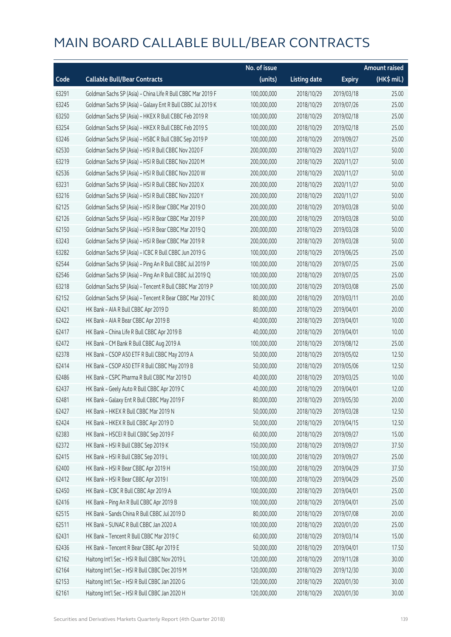|       |                                                             | No. of issue |                     |               | <b>Amount raised</b> |
|-------|-------------------------------------------------------------|--------------|---------------------|---------------|----------------------|
| Code  | <b>Callable Bull/Bear Contracts</b>                         | (units)      | <b>Listing date</b> | <b>Expiry</b> | $(HK$$ mil.)         |
| 63291 | Goldman Sachs SP (Asia) - China Life R Bull CBBC Mar 2019 F | 100,000,000  | 2018/10/29          | 2019/03/18    | 25.00                |
| 63245 | Goldman Sachs SP (Asia) - Galaxy Ent R Bull CBBC Jul 2019 K | 100,000,000  | 2018/10/29          | 2019/07/26    | 25.00                |
| 63250 | Goldman Sachs SP (Asia) - HKEX R Bull CBBC Feb 2019 R       | 100,000,000  | 2018/10/29          | 2019/02/18    | 25.00                |
| 63254 | Goldman Sachs SP (Asia) - HKEX R Bull CBBC Feb 2019 S       | 100,000,000  | 2018/10/29          | 2019/02/18    | 25.00                |
| 63246 | Goldman Sachs SP (Asia) - HSBC R Bull CBBC Sep 2019 P       | 100,000,000  | 2018/10/29          | 2019/09/27    | 25.00                |
| 62530 | Goldman Sachs SP (Asia) - HSI R Bull CBBC Nov 2020 F        | 200,000,000  | 2018/10/29          | 2020/11/27    | 50.00                |
| 63219 | Goldman Sachs SP (Asia) - HSI R Bull CBBC Nov 2020 M        | 200,000,000  | 2018/10/29          | 2020/11/27    | 50.00                |
| 62536 | Goldman Sachs SP (Asia) - HSI R Bull CBBC Nov 2020 W        | 200,000,000  | 2018/10/29          | 2020/11/27    | 50.00                |
| 63231 | Goldman Sachs SP (Asia) - HSI R Bull CBBC Nov 2020 X        | 200,000,000  | 2018/10/29          | 2020/11/27    | 50.00                |
| 63216 | Goldman Sachs SP (Asia) - HSI R Bull CBBC Nov 2020 Y        | 200,000,000  | 2018/10/29          | 2020/11/27    | 50.00                |
| 62125 | Goldman Sachs SP (Asia) - HSI R Bear CBBC Mar 2019 O        | 200,000,000  | 2018/10/29          | 2019/03/28    | 50.00                |
| 62126 | Goldman Sachs SP (Asia) - HSI R Bear CBBC Mar 2019 P        | 200,000,000  | 2018/10/29          | 2019/03/28    | 50.00                |
| 62150 | Goldman Sachs SP (Asia) - HSI R Bear CBBC Mar 2019 Q        | 200,000,000  | 2018/10/29          | 2019/03/28    | 50.00                |
| 63243 | Goldman Sachs SP (Asia) - HSI R Bear CBBC Mar 2019 R        | 200,000,000  | 2018/10/29          | 2019/03/28    | 50.00                |
| 63282 | Goldman Sachs SP (Asia) - ICBC R Bull CBBC Jun 2019 G       | 100,000,000  | 2018/10/29          | 2019/06/25    | 25.00                |
| 62544 | Goldman Sachs SP (Asia) - Ping An R Bull CBBC Jul 2019 P    | 100,000,000  | 2018/10/29          | 2019/07/25    | 25.00                |
| 62546 | Goldman Sachs SP (Asia) - Ping An R Bull CBBC Jul 2019 Q    | 100,000,000  | 2018/10/29          | 2019/07/25    | 25.00                |
| 63218 | Goldman Sachs SP (Asia) - Tencent R Bull CBBC Mar 2019 P    | 100,000,000  | 2018/10/29          | 2019/03/08    | 25.00                |
| 62152 | Goldman Sachs SP (Asia) - Tencent R Bear CBBC Mar 2019 C    | 80,000,000   | 2018/10/29          | 2019/03/11    | 20.00                |
| 62421 | HK Bank - AIA R Bull CBBC Apr 2019 D                        | 80,000,000   | 2018/10/29          | 2019/04/01    | 20.00                |
| 62422 | HK Bank - AIA R Bear CBBC Apr 2019 B                        | 40,000,000   | 2018/10/29          | 2019/04/01    | 10.00                |
| 62417 | HK Bank - China Life R Bull CBBC Apr 2019 B                 | 40,000,000   | 2018/10/29          | 2019/04/01    | 10.00                |
| 62472 | HK Bank - CM Bank R Bull CBBC Aug 2019 A                    | 100,000,000  | 2018/10/29          | 2019/08/12    | 25.00                |
| 62378 | HK Bank - CSOP A50 ETF R Bull CBBC May 2019 A               | 50,000,000   | 2018/10/29          | 2019/05/02    | 12.50                |
| 62414 | HK Bank - CSOP A50 ETF R Bull CBBC May 2019 B               | 50,000,000   | 2018/10/29          | 2019/05/06    | 12.50                |
| 62486 | HK Bank - CSPC Pharma R Bull CBBC Mar 2019 D                | 40,000,000   | 2018/10/29          | 2019/03/25    | 10.00                |
| 62437 | HK Bank - Geely Auto R Bull CBBC Apr 2019 C                 | 40,000,000   | 2018/10/29          | 2019/04/01    | 12.00                |
| 62481 | HK Bank - Galaxy Ent R Bull CBBC May 2019 F                 | 80,000,000   | 2018/10/29          | 2019/05/30    | 20.00                |
| 62427 | HK Bank - HKEX R Bull CBBC Mar 2019 N                       | 50,000,000   | 2018/10/29          | 2019/03/28    | 12.50                |
| 62424 | HK Bank - HKEX R Bull CBBC Apr 2019 D                       | 50,000,000   | 2018/10/29          | 2019/04/15    | 12.50                |
| 62383 | HK Bank - HSCEI R Bull CBBC Sep 2019 F                      | 60,000,000   | 2018/10/29          | 2019/09/27    | 15.00                |
| 62372 | HK Bank - HSI R Bull CBBC Sep 2019 K                        | 150,000,000  | 2018/10/29          | 2019/09/27    | 37.50                |
| 62415 | HK Bank - HSI R Bull CBBC Sep 2019 L                        | 100,000,000  | 2018/10/29          | 2019/09/27    | 25.00                |
| 62400 | HK Bank - HSI R Bear CBBC Apr 2019 H                        | 150,000,000  | 2018/10/29          | 2019/04/29    | 37.50                |
| 62412 | HK Bank - HSI R Bear CBBC Apr 2019 I                        | 100,000,000  | 2018/10/29          | 2019/04/29    | 25.00                |
| 62450 | HK Bank - ICBC R Bull CBBC Apr 2019 A                       | 100,000,000  | 2018/10/29          | 2019/04/01    | 25.00                |
| 62416 | HK Bank - Ping An R Bull CBBC Apr 2019 B                    | 100,000,000  | 2018/10/29          | 2019/04/01    | 25.00                |
| 62515 | HK Bank - Sands China R Bull CBBC Jul 2019 D                | 80,000,000   | 2018/10/29          | 2019/07/08    | 20.00                |
| 62511 | HK Bank - SUNAC R Bull CBBC Jan 2020 A                      | 100,000,000  | 2018/10/29          | 2020/01/20    | 25.00                |
| 62431 | HK Bank - Tencent R Bull CBBC Mar 2019 C                    | 60,000,000   | 2018/10/29          | 2019/03/14    | 15.00                |
| 62436 | HK Bank - Tencent R Bear CBBC Apr 2019 E                    | 50,000,000   | 2018/10/29          | 2019/04/01    | 17.50                |
| 62162 | Haitong Int'l Sec - HSI R Bull CBBC Nov 2019 L              | 120,000,000  | 2018/10/29          | 2019/11/28    | 30.00                |
| 62164 | Haitong Int'l Sec - HSI R Bull CBBC Dec 2019 M              | 120,000,000  | 2018/10/29          | 2019/12/30    | 30.00                |
| 62153 | Haitong Int'l Sec - HSI R Bull CBBC Jan 2020 G              | 120,000,000  | 2018/10/29          | 2020/01/30    | 30.00                |
| 62161 | Haitong Int'l Sec - HSI R Bull CBBC Jan 2020 H              | 120,000,000  | 2018/10/29          | 2020/01/30    | 30.00                |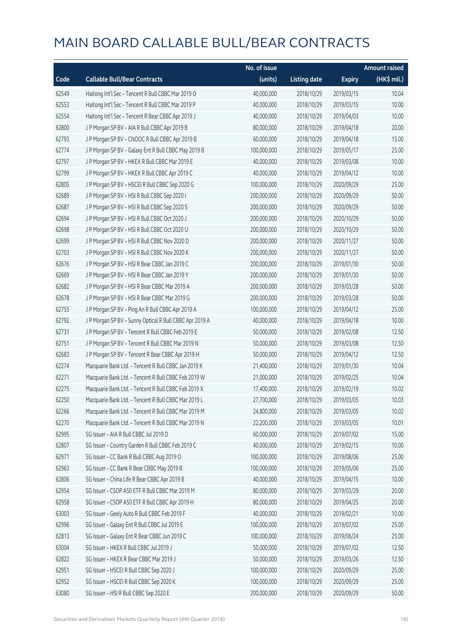|       |                                                         | No. of issue |                     |               | <b>Amount raised</b> |
|-------|---------------------------------------------------------|--------------|---------------------|---------------|----------------------|
| Code  | <b>Callable Bull/Bear Contracts</b>                     | (units)      | <b>Listing date</b> | <b>Expiry</b> | (HK\$ mil.)          |
| 62549 | Haitong Int'l Sec - Tencent R Bull CBBC Mar 2019 O      | 40,000,000   | 2018/10/29          | 2019/03/15    | 10.04                |
| 62553 | Haitong Int'l Sec - Tencent R Bull CBBC Mar 2019 P      | 40,000,000   | 2018/10/29          | 2019/03/15    | 10.00                |
| 62554 | Haitong Int'l Sec - Tencent R Bear CBBC Apr 2019 J      | 40,000,000   | 2018/10/29          | 2019/04/03    | 10.00                |
| 62800 | J P Morgan SP BV - AIA R Bull CBBC Apr 2019 B           | 80,000,000   | 2018/10/29          | 2019/04/18    | 20.00                |
| 62793 | J P Morgan SP BV - CNOOC R Bull CBBC Apr 2019 B         | 60,000,000   | 2018/10/29          | 2019/04/18    | 15.00                |
| 62774 | J P Morgan SP BV - Galaxy Ent R Bull CBBC May 2019 B    | 100,000,000  | 2018/10/29          | 2019/05/17    | 25.00                |
| 62797 | J P Morgan SP BV - HKEX R Bull CBBC Mar 2019 E          | 40,000,000   | 2018/10/29          | 2019/03/08    | 10.00                |
| 62799 | J P Morgan SP BV - HKEX R Bull CBBC Apr 2019 C          | 40,000,000   | 2018/10/29          | 2019/04/12    | 10.00                |
| 62805 | J P Morgan SP BV - HSCEI R Bull CBBC Sep 2020 G         | 100,000,000  | 2018/10/29          | 2020/09/29    | 25.00                |
| 62689 | J P Morgan SP BV - HSI R Bull CBBC Sep 2020 I           | 200,000,000  | 2018/10/29          | 2020/09/29    | 50.00                |
| 62687 | J P Morgan SP BV - HSI R Bull CBBC Sep 2020 S           | 200,000,000  | 2018/10/29          | 2020/09/29    | 50.00                |
| 62694 | J P Morgan SP BV - HSI R Bull CBBC Oct 2020 J           | 200,000,000  | 2018/10/29          | 2020/10/29    | 50.00                |
| 62698 | J P Morgan SP BV - HSI R Bull CBBC Oct 2020 U           | 200,000,000  | 2018/10/29          | 2020/10/29    | 50.00                |
| 62699 | J P Morgan SP BV - HSI R Bull CBBC Nov 2020 D           | 200,000,000  | 2018/10/29          | 2020/11/27    | 50.00                |
| 62703 | J P Morgan SP BV - HSI R Bull CBBC Nov 2020 K           | 200,000,000  | 2018/10/29          | 2020/11/27    | 50.00                |
| 62676 | J P Morgan SP BV - HSI R Bear CBBC Jan 2019 C           | 200,000,000  | 2018/10/29          | 2019/01/30    | 50.00                |
| 62669 | J P Morgan SP BV - HSI R Bear CBBC Jan 2019 Y           | 200,000,000  | 2018/10/29          | 2019/01/30    | 50.00                |
| 62682 | J P Morgan SP BV - HSI R Bear CBBC Mar 2019 A           | 200,000,000  | 2018/10/29          | 2019/03/28    | 50.00                |
| 62678 | J P Morgan SP BV - HSI R Bear CBBC Mar 2019 G           | 200,000,000  | 2018/10/29          | 2019/03/28    | 50.00                |
| 62755 | J P Morgan SP BV - Ping An R Bull CBBC Apr 2019 A       | 100,000,000  | 2018/10/29          | 2019/04/12    | 25.00                |
| 62792 | J P Morgan SP BV - Sunny Optical R Bull CBBC Apr 2019 A | 40,000,000   | 2018/10/29          | 2019/04/18    | 10.00                |
| 62731 | J P Morgan SP BV - Tencent R Bull CBBC Feb 2019 E       | 50,000,000   | 2018/10/29          | 2019/02/08    | 12.50                |
| 62751 | J P Morgan SP BV - Tencent R Bull CBBC Mar 2019 N       | 50,000,000   | 2018/10/29          | 2019/03/08    | 12.50                |
| 62683 | J P Morgan SP BV - Tencent R Bear CBBC Apr 2019 H       | 50,000,000   | 2018/10/29          | 2019/04/12    | 12.50                |
| 62274 | Macquarie Bank Ltd. - Tencent R Bull CBBC Jan 2019 K    | 21,400,000   | 2018/10/29          | 2019/01/30    | 10.04                |
| 62271 | Macquarie Bank Ltd. - Tencent R Bull CBBC Feb 2019 W    | 21,000,000   | 2018/10/29          | 2019/02/25    | 10.04                |
| 62275 | Macquarie Bank Ltd. - Tencent R Bull CBBC Feb 2019 X    | 17,400,000   | 2018/10/29          | 2019/02/19    | 10.02                |
| 62250 | Macquarie Bank Ltd. - Tencent R Bull CBBC Mar 2019 L    | 27,700,000   | 2018/10/29          | 2019/03/05    | 10.03                |
| 62266 | Macquarie Bank Ltd. - Tencent R Bull CBBC Mar 2019 M    | 24,800,000   | 2018/10/29          | 2019/03/05    | 10.02                |
| 62270 | Macquarie Bank Ltd. - Tencent R Bull CBBC Mar 2019 N    | 22,200,000   | 2018/10/29          | 2019/03/05    | 10.01                |
| 62995 | SG Issuer - AIA R Bull CBBC Jul 2019 D                  | 60,000,000   | 2018/10/29          | 2019/07/02    | 15.00                |
| 62807 | SG Issuer - Country Garden R Bull CBBC Feb 2019 C       | 40,000,000   | 2018/10/29          | 2019/02/15    | 10.00                |
| 62971 | SG Issuer - CC Bank R Bull CBBC Aug 2019 O              | 100,000,000  | 2018/10/29          | 2019/08/06    | 25.00                |
| 62963 | SG Issuer - CC Bank R Bear CBBC May 2019 B              | 100,000,000  | 2018/10/29          | 2019/05/06    | 25.00                |
| 62806 | SG Issuer - China Life R Bear CBBC Apr 2019 B           | 40,000,000   | 2018/10/29          | 2019/04/15    | 10.00                |
| 62954 | SG Issuer - CSOP A50 ETF R Bull CBBC Mar 2019 M         | 80,000,000   | 2018/10/29          | 2019/03/29    | 20.00                |
| 62958 | SG Issuer - CSOP A50 ETF R Bull CBBC Apr 2019 H         | 80,000,000   | 2018/10/29          | 2019/04/25    | 20.00                |
| 63003 | SG Issuer - Geely Auto R Bull CBBC Feb 2019 F           | 40,000,000   | 2018/10/29          | 2019/02/21    | 10.00                |
| 62996 | SG Issuer - Galaxy Ent R Bull CBBC Jul 2019 E           | 100,000,000  | 2018/10/29          | 2019/07/02    | 25.00                |
| 62813 | SG Issuer - Galaxy Ent R Bear CBBC Jun 2019 C           | 100,000,000  | 2018/10/29          | 2019/06/24    | 25.00                |
| 63004 | SG Issuer - HKEX R Bull CBBC Jul 2019 J                 | 50,000,000   | 2018/10/29          | 2019/07/02    | 12.50                |
| 62822 | SG Issuer - HKEX R Bear CBBC Mar 2019 J                 | 50,000,000   | 2018/10/29          | 2019/03/26    | 12.50                |
| 62951 | SG Issuer - HSCEI R Bull CBBC Sep 2020 J                | 100,000,000  | 2018/10/29          | 2020/09/29    | 25.00                |
| 62952 | SG Issuer - HSCEI R Bull CBBC Sep 2020 K                | 100,000,000  | 2018/10/29          | 2020/09/29    | 25.00                |
| 63080 | SG Issuer - HSI R Bull CBBC Sep 2020 E                  | 200,000,000  | 2018/10/29          | 2020/09/29    | 50.00                |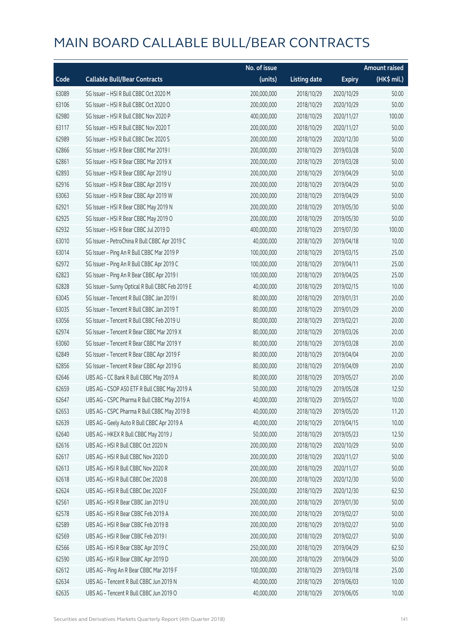|       |                                                  | No. of issue |                     |               | <b>Amount raised</b> |
|-------|--------------------------------------------------|--------------|---------------------|---------------|----------------------|
| Code  | <b>Callable Bull/Bear Contracts</b>              | (units)      | <b>Listing date</b> | <b>Expiry</b> | (HK\$ mil.)          |
| 63089 | SG Issuer - HSI R Bull CBBC Oct 2020 M           | 200,000,000  | 2018/10/29          | 2020/10/29    | 50.00                |
| 63106 | SG Issuer - HSI R Bull CBBC Oct 2020 O           | 200,000,000  | 2018/10/29          | 2020/10/29    | 50.00                |
| 62980 | SG Issuer - HSI R Bull CBBC Nov 2020 P           | 400,000,000  | 2018/10/29          | 2020/11/27    | 100.00               |
| 63117 | SG Issuer - HSI R Bull CBBC Nov 2020 T           | 200,000,000  | 2018/10/29          | 2020/11/27    | 50.00                |
| 62989 | SG Issuer - HSI R Bull CBBC Dec 2020 S           | 200,000,000  | 2018/10/29          | 2020/12/30    | 50.00                |
| 62866 | SG Issuer - HSI R Bear CBBC Mar 2019 I           | 200,000,000  | 2018/10/29          | 2019/03/28    | 50.00                |
| 62861 | SG Issuer - HSI R Bear CBBC Mar 2019 X           | 200,000,000  | 2018/10/29          | 2019/03/28    | 50.00                |
| 62893 | SG Issuer - HSI R Bear CBBC Apr 2019 U           | 200,000,000  | 2018/10/29          | 2019/04/29    | 50.00                |
| 62916 | SG Issuer - HSI R Bear CBBC Apr 2019 V           | 200,000,000  | 2018/10/29          | 2019/04/29    | 50.00                |
| 63063 | SG Issuer - HSI R Bear CBBC Apr 2019 W           | 200,000,000  | 2018/10/29          | 2019/04/29    | 50.00                |
| 62921 | SG Issuer - HSI R Bear CBBC May 2019 N           | 200,000,000  | 2018/10/29          | 2019/05/30    | 50.00                |
| 62925 | SG Issuer - HSI R Bear CBBC May 2019 O           | 200,000,000  | 2018/10/29          | 2019/05/30    | 50.00                |
| 62932 | SG Issuer - HSI R Bear CBBC Jul 2019 D           | 400,000,000  | 2018/10/29          | 2019/07/30    | 100.00               |
| 63010 | SG Issuer - PetroChina R Bull CBBC Apr 2019 C    | 40,000,000   | 2018/10/29          | 2019/04/18    | 10.00                |
| 63014 | SG Issuer - Ping An R Bull CBBC Mar 2019 P       | 100,000,000  | 2018/10/29          | 2019/03/15    | 25.00                |
| 62972 | SG Issuer - Ping An R Bull CBBC Apr 2019 C       | 100,000,000  | 2018/10/29          | 2019/04/11    | 25.00                |
| 62823 | SG Issuer - Ping An R Bear CBBC Apr 2019 I       | 100,000,000  | 2018/10/29          | 2019/04/25    | 25.00                |
| 62828 | SG Issuer - Sunny Optical R Bull CBBC Feb 2019 E | 40,000,000   | 2018/10/29          | 2019/02/15    | 10.00                |
| 63045 | SG Issuer - Tencent R Bull CBBC Jan 2019 I       | 80,000,000   | 2018/10/29          | 2019/01/31    | 20.00                |
| 63035 | SG Issuer - Tencent R Bull CBBC Jan 2019 T       | 80,000,000   | 2018/10/29          | 2019/01/29    | 20.00                |
| 63056 | SG Issuer - Tencent R Bull CBBC Feb 2019 U       | 80,000,000   | 2018/10/29          | 2019/02/21    | 20.00                |
| 62974 | SG Issuer - Tencent R Bear CBBC Mar 2019 X       | 80,000,000   | 2018/10/29          | 2019/03/26    | 20.00                |
| 63060 | SG Issuer - Tencent R Bear CBBC Mar 2019 Y       | 80,000,000   | 2018/10/29          | 2019/03/28    | 20.00                |
| 62849 | SG Issuer - Tencent R Bear CBBC Apr 2019 F       | 80,000,000   | 2018/10/29          | 2019/04/04    | 20.00                |
| 62856 | SG Issuer - Tencent R Bear CBBC Apr 2019 G       | 80,000,000   | 2018/10/29          | 2019/04/09    | 20.00                |
| 62646 | UBS AG - CC Bank R Bull CBBC May 2019 A          | 80,000,000   | 2018/10/29          | 2019/05/27    | 20.00                |
| 62659 | UBS AG - CSOP A50 ETF R Bull CBBC May 2019 A     | 50,000,000   | 2018/10/29          | 2019/05/28    | 12.50                |
| 62647 | UBS AG - CSPC Pharma R Bull CBBC May 2019 A      | 40,000,000   | 2018/10/29          | 2019/05/27    | 10.00                |
| 62653 | UBS AG - CSPC Pharma R Bull CBBC May 2019 B      | 40,000,000   | 2018/10/29          | 2019/05/20    | 11.20                |
| 62639 | UBS AG - Geely Auto R Bull CBBC Apr 2019 A       | 40,000,000   | 2018/10/29          | 2019/04/15    | 10.00                |
| 62640 | UBS AG - HKEX R Bull CBBC May 2019 J             | 50,000,000   | 2018/10/29          | 2019/05/23    | 12.50                |
| 62616 | UBS AG - HSI R Bull CBBC Oct 2020 N              | 200,000,000  | 2018/10/29          | 2020/10/29    | 50.00                |
| 62617 | UBS AG - HSI R Bull CBBC Nov 2020 D              | 200,000,000  | 2018/10/29          | 2020/11/27    | 50.00                |
| 62613 | UBS AG - HSI R Bull CBBC Nov 2020 R              | 200,000,000  | 2018/10/29          | 2020/11/27    | 50.00                |
| 62618 | UBS AG - HSI R Bull CBBC Dec 2020 B              | 200,000,000  | 2018/10/29          | 2020/12/30    | 50.00                |
| 62624 | UBS AG - HSI R Bull CBBC Dec 2020 F              | 250,000,000  | 2018/10/29          | 2020/12/30    | 62.50                |
| 62561 | UBS AG - HSI R Bear CBBC Jan 2019 U              | 200,000,000  | 2018/10/29          | 2019/01/30    | 50.00                |
| 62578 | UBS AG - HSI R Bear CBBC Feb 2019 A              | 200,000,000  | 2018/10/29          | 2019/02/27    | 50.00                |
| 62589 | UBS AG - HSI R Bear CBBC Feb 2019 B              | 200,000,000  | 2018/10/29          | 2019/02/27    | 50.00                |
| 62569 | UBS AG - HSI R Bear CBBC Feb 2019 I              | 200,000,000  | 2018/10/29          | 2019/02/27    | 50.00                |
| 62566 | UBS AG - HSI R Bear CBBC Apr 2019 C              | 250,000,000  | 2018/10/29          | 2019/04/29    | 62.50                |
| 62590 | UBS AG - HSI R Bear CBBC Apr 2019 D              | 200,000,000  | 2018/10/29          | 2019/04/29    | 50.00                |
| 62612 | UBS AG - Ping An R Bear CBBC Mar 2019 F          | 100,000,000  | 2018/10/29          | 2019/03/18    | 25.00                |
| 62634 | UBS AG - Tencent R Bull CBBC Jun 2019 N          | 40,000,000   | 2018/10/29          | 2019/06/03    | 10.00                |
| 62635 | UBS AG - Tencent R Bull CBBC Jun 2019 O          | 40,000,000   | 2018/10/29          | 2019/06/05    | 10.00                |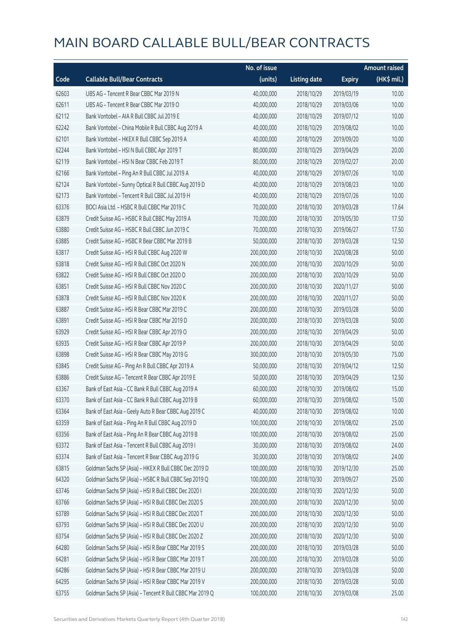|       |                                                          | No. of issue |                     |               | <b>Amount raised</b> |
|-------|----------------------------------------------------------|--------------|---------------------|---------------|----------------------|
| Code  | <b>Callable Bull/Bear Contracts</b>                      | (units)      | <b>Listing date</b> | <b>Expiry</b> | $(HK\$ mil.)         |
| 62603 | UBS AG - Tencent R Bear CBBC Mar 2019 N                  | 40,000,000   | 2018/10/29          | 2019/03/19    | 10.00                |
| 62611 | UBS AG - Tencent R Bear CBBC Mar 2019 O                  | 40,000,000   | 2018/10/29          | 2019/03/06    | 10.00                |
| 62112 | Bank Vontobel - AIA R Bull CBBC Jul 2019 E               | 40,000,000   | 2018/10/29          | 2019/07/12    | 10.00                |
| 62242 | Bank Vontobel - China Mobile R Bull CBBC Aug 2019 A      | 40,000,000   | 2018/10/29          | 2019/08/02    | 10.00                |
| 62101 | Bank Vontobel - HKEX R Bull CBBC Sep 2019 A              | 40,000,000   | 2018/10/29          | 2019/09/20    | 10.00                |
| 62244 | Bank Vontobel - HSI N Bull CBBC Apr 2019 T               | 80,000,000   | 2018/10/29          | 2019/04/29    | 20.00                |
| 62119 | Bank Vontobel - HSI N Bear CBBC Feb 2019 T               | 80,000,000   | 2018/10/29          | 2019/02/27    | 20.00                |
| 62166 | Bank Vontobel - Ping An R Bull CBBC Jul 2019 A           | 40,000,000   | 2018/10/29          | 2019/07/26    | 10.00                |
| 62124 | Bank Vontobel - Sunny Optical R Bull CBBC Aug 2019 D     | 40,000,000   | 2018/10/29          | 2019/08/23    | 10.00                |
| 62173 | Bank Vontobel - Tencent R Bull CBBC Jul 2019 H           | 40,000,000   | 2018/10/29          | 2019/07/26    | 10.00                |
| 63376 | BOCI Asia Ltd. - HSBC R Bull CBBC Mar 2019 C             | 70,000,000   | 2018/10/30          | 2019/03/28    | 17.64                |
| 63879 | Credit Suisse AG - HSBC R Bull CBBC May 2019 A           | 70,000,000   | 2018/10/30          | 2019/05/30    | 17.50                |
| 63880 | Credit Suisse AG - HSBC R Bull CBBC Jun 2019 C           | 70,000,000   | 2018/10/30          | 2019/06/27    | 17.50                |
| 63885 | Credit Suisse AG - HSBC R Bear CBBC Mar 2019 B           | 50,000,000   | 2018/10/30          | 2019/03/28    | 12.50                |
| 63817 | Credit Suisse AG - HSI R Bull CBBC Aug 2020 W            | 200,000,000  | 2018/10/30          | 2020/08/28    | 50.00                |
| 63818 | Credit Suisse AG - HSI R Bull CBBC Oct 2020 N            | 200,000,000  | 2018/10/30          | 2020/10/29    | 50.00                |
| 63822 | Credit Suisse AG - HSI R Bull CBBC Oct 2020 O            | 200,000,000  | 2018/10/30          | 2020/10/29    | 50.00                |
| 63851 | Credit Suisse AG - HSI R Bull CBBC Nov 2020 C            | 200,000,000  | 2018/10/30          | 2020/11/27    | 50.00                |
| 63878 | Credit Suisse AG - HSI R Bull CBBC Nov 2020 K            | 200,000,000  | 2018/10/30          | 2020/11/27    | 50.00                |
| 63887 | Credit Suisse AG - HSI R Bear CBBC Mar 2019 C            | 200,000,000  | 2018/10/30          | 2019/03/28    | 50.00                |
| 63891 | Credit Suisse AG - HSI R Bear CBBC Mar 2019 D            | 200,000,000  | 2018/10/30          | 2019/03/28    | 50.00                |
| 63929 | Credit Suisse AG - HSI R Bear CBBC Apr 2019 O            | 200,000,000  | 2018/10/30          | 2019/04/29    | 50.00                |
| 63935 | Credit Suisse AG - HSI R Bear CBBC Apr 2019 P            | 200,000,000  | 2018/10/30          | 2019/04/29    | 50.00                |
| 63898 | Credit Suisse AG - HSI R Bear CBBC May 2019 G            | 300,000,000  | 2018/10/30          | 2019/05/30    | 75.00                |
| 63845 | Credit Suisse AG - Ping An R Bull CBBC Apr 2019 A        | 50,000,000   | 2018/10/30          | 2019/04/12    | 12.50                |
| 63886 | Credit Suisse AG - Tencent R Bear CBBC Apr 2019 E        | 50,000,000   | 2018/10/30          | 2019/04/29    | 12.50                |
| 63367 | Bank of East Asia - CC Bank R Bull CBBC Aug 2019 A       | 60,000,000   | 2018/10/30          | 2019/08/02    | 15.00                |
| 63370 | Bank of East Asia - CC Bank R Bull CBBC Aug 2019 B       | 60,000,000   | 2018/10/30          | 2019/08/02    | 15.00                |
| 63364 | Bank of East Asia - Geely Auto R Bear CBBC Aug 2019 C    | 40,000,000   | 2018/10/30          | 2019/08/02    | 10.00                |
| 63359 | Bank of East Asia - Ping An R Bull CBBC Aug 2019 D       | 100,000,000  | 2018/10/30          | 2019/08/02    | 25.00                |
| 63356 | Bank of East Asia - Ping An R Bear CBBC Aug 2019 B       | 100,000,000  | 2018/10/30          | 2019/08/02    | 25.00                |
| 63372 | Bank of East Asia - Tencent R Bull CBBC Aug 2019 I       | 30,000,000   | 2018/10/30          | 2019/08/02    | 24.00                |
| 63374 | Bank of East Asia - Tencent R Bear CBBC Aug 2019 G       | 30,000,000   | 2018/10/30          | 2019/08/02    | 24.00                |
| 63815 | Goldman Sachs SP (Asia) - HKEX R Bull CBBC Dec 2019 D    | 100,000,000  | 2018/10/30          | 2019/12/30    | 25.00                |
| 64320 | Goldman Sachs SP (Asia) - HSBC R Bull CBBC Sep 2019 Q    | 100,000,000  | 2018/10/30          | 2019/09/27    | 25.00                |
| 63746 | Goldman Sachs SP (Asia) - HSI R Bull CBBC Dec 2020 I     | 200,000,000  | 2018/10/30          | 2020/12/30    | 50.00                |
| 63766 | Goldman Sachs SP (Asia) - HSI R Bull CBBC Dec 2020 S     | 200,000,000  | 2018/10/30          | 2020/12/30    | 50.00                |
| 63789 | Goldman Sachs SP (Asia) - HSI R Bull CBBC Dec 2020 T     | 200,000,000  | 2018/10/30          | 2020/12/30    | 50.00                |
| 63793 | Goldman Sachs SP (Asia) - HSI R Bull CBBC Dec 2020 U     | 200,000,000  | 2018/10/30          | 2020/12/30    | 50.00                |
| 63754 | Goldman Sachs SP (Asia) - HSI R Bull CBBC Dec 2020 Z     | 200,000,000  | 2018/10/30          | 2020/12/30    | 50.00                |
| 64280 | Goldman Sachs SP (Asia) - HSI R Bear CBBC Mar 2019 S     | 200,000,000  | 2018/10/30          | 2019/03/28    | 50.00                |
| 64281 | Goldman Sachs SP (Asia) - HSI R Bear CBBC Mar 2019 T     | 200,000,000  | 2018/10/30          | 2019/03/28    | 50.00                |
| 64286 | Goldman Sachs SP (Asia) - HSI R Bear CBBC Mar 2019 U     | 200,000,000  | 2018/10/30          | 2019/03/28    | 50.00                |
| 64295 | Goldman Sachs SP (Asia) - HSI R Bear CBBC Mar 2019 V     | 200,000,000  | 2018/10/30          | 2019/03/28    | 50.00                |
| 63755 | Goldman Sachs SP (Asia) - Tencent R Bull CBBC Mar 2019 Q | 100,000,000  | 2018/10/30          | 2019/03/08    | 25.00                |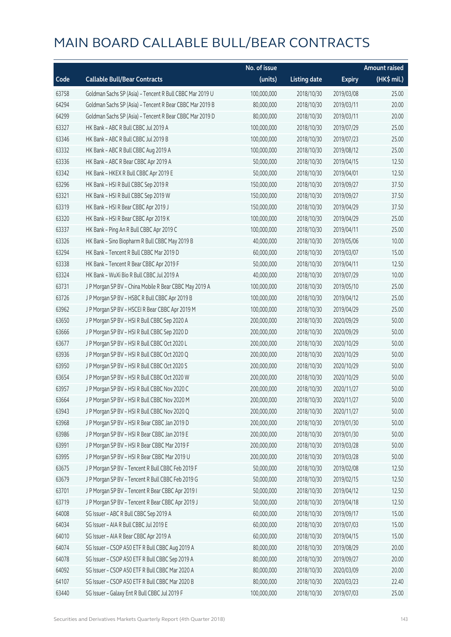|       |                                                          | No. of issue |                     |               | <b>Amount raised</b> |
|-------|----------------------------------------------------------|--------------|---------------------|---------------|----------------------|
| Code  | <b>Callable Bull/Bear Contracts</b>                      | (units)      | <b>Listing date</b> | <b>Expiry</b> | $(HK$$ mil.)         |
| 63758 | Goldman Sachs SP (Asia) - Tencent R Bull CBBC Mar 2019 U | 100,000,000  | 2018/10/30          | 2019/03/08    | 25.00                |
| 64294 | Goldman Sachs SP (Asia) - Tencent R Bear CBBC Mar 2019 B | 80,000,000   | 2018/10/30          | 2019/03/11    | 20.00                |
| 64299 | Goldman Sachs SP (Asia) - Tencent R Bear CBBC Mar 2019 D | 80,000,000   | 2018/10/30          | 2019/03/11    | 20.00                |
| 63327 | HK Bank - ABC R Bull CBBC Jul 2019 A                     | 100,000,000  | 2018/10/30          | 2019/07/29    | 25.00                |
| 63346 | HK Bank - ABC R Bull CBBC Jul 2019 B                     | 100,000,000  | 2018/10/30          | 2019/07/23    | 25.00                |
| 63332 | HK Bank - ABC R Bull CBBC Aug 2019 A                     | 100,000,000  | 2018/10/30          | 2019/08/12    | 25.00                |
| 63336 | HK Bank - ABC R Bear CBBC Apr 2019 A                     | 50,000,000   | 2018/10/30          | 2019/04/15    | 12.50                |
| 63342 | HK Bank - HKEX R Bull CBBC Apr 2019 E                    | 50,000,000   | 2018/10/30          | 2019/04/01    | 12.50                |
| 63296 | HK Bank - HSI R Bull CBBC Sep 2019 R                     | 150,000,000  | 2018/10/30          | 2019/09/27    | 37.50                |
| 63321 | HK Bank - HSI R Bull CBBC Sep 2019 W                     | 150,000,000  | 2018/10/30          | 2019/09/27    | 37.50                |
| 63319 | HK Bank - HSI R Bear CBBC Apr 2019 J                     | 150,000,000  | 2018/10/30          | 2019/04/29    | 37.50                |
| 63320 | HK Bank - HSI R Bear CBBC Apr 2019 K                     | 100,000,000  | 2018/10/30          | 2019/04/29    | 25.00                |
| 63337 | HK Bank - Ping An R Bull CBBC Apr 2019 C                 | 100,000,000  | 2018/10/30          | 2019/04/11    | 25.00                |
| 63326 | HK Bank - Sino Biopharm R Bull CBBC May 2019 B           | 40,000,000   | 2018/10/30          | 2019/05/06    | 10.00                |
| 63294 | HK Bank - Tencent R Bull CBBC Mar 2019 D                 | 60,000,000   | 2018/10/30          | 2019/03/07    | 15.00                |
| 63338 | HK Bank - Tencent R Bear CBBC Apr 2019 F                 | 50,000,000   | 2018/10/30          | 2019/04/11    | 12.50                |
| 63324 | HK Bank - WuXi Bio R Bull CBBC Jul 2019 A                | 40,000,000   | 2018/10/30          | 2019/07/29    | 10.00                |
| 63731 | J P Morgan SP BV - China Mobile R Bear CBBC May 2019 A   | 100,000,000  | 2018/10/30          | 2019/05/10    | 25.00                |
| 63726 | J P Morgan SP BV - HSBC R Bull CBBC Apr 2019 B           | 100,000,000  | 2018/10/30          | 2019/04/12    | 25.00                |
| 63962 | J P Morgan SP BV - HSCEI R Bear CBBC Apr 2019 M          | 100,000,000  | 2018/10/30          | 2019/04/29    | 25.00                |
| 63650 | J P Morgan SP BV - HSI R Bull CBBC Sep 2020 A            | 200,000,000  | 2018/10/30          | 2020/09/29    | 50.00                |
| 63666 | J P Morgan SP BV - HSI R Bull CBBC Sep 2020 D            | 200,000,000  | 2018/10/30          | 2020/09/29    | 50.00                |
| 63677 | J P Morgan SP BV - HSI R Bull CBBC Oct 2020 L            | 200,000,000  | 2018/10/30          | 2020/10/29    | 50.00                |
| 63936 | J P Morgan SP BV - HSI R Bull CBBC Oct 2020 Q            | 200,000,000  | 2018/10/30          | 2020/10/29    | 50.00                |
| 63950 | JP Morgan SP BV - HSIR Bull CBBC Oct 2020 S              | 200,000,000  | 2018/10/30          | 2020/10/29    | 50.00                |
| 63654 | J P Morgan SP BV - HSI R Bull CBBC Oct 2020 W            | 200,000,000  | 2018/10/30          | 2020/10/29    | 50.00                |
| 63957 | J P Morgan SP BV - HSI R Bull CBBC Nov 2020 C            | 200,000,000  | 2018/10/30          | 2020/11/27    | 50.00                |
| 63664 | J P Morgan SP BV - HSI R Bull CBBC Nov 2020 M            | 200,000,000  | 2018/10/30          | 2020/11/27    | 50.00                |
| 63943 | J P Morgan SP BV - HSI R Bull CBBC Nov 2020 Q            | 200,000,000  | 2018/10/30          | 2020/11/27    | 50.00                |
| 63968 | J P Morgan SP BV - HSI R Bear CBBC Jan 2019 D            | 200,000,000  | 2018/10/30          | 2019/01/30    | 50.00                |
| 63986 | J P Morgan SP BV - HSI R Bear CBBC Jan 2019 E            | 200,000,000  | 2018/10/30          | 2019/01/30    | 50.00                |
| 63991 | J P Morgan SP BV - HSI R Bear CBBC Mar 2019 F            | 200,000,000  | 2018/10/30          | 2019/03/28    | 50.00                |
| 63995 | J P Morgan SP BV - HSI R Bear CBBC Mar 2019 U            | 200,000,000  | 2018/10/30          | 2019/03/28    | 50.00                |
| 63675 | J P Morgan SP BV - Tencent R Bull CBBC Feb 2019 F        | 50,000,000   | 2018/10/30          | 2019/02/08    | 12.50                |
| 63679 | J P Morgan SP BV - Tencent R Bull CBBC Feb 2019 G        | 50,000,000   | 2018/10/30          | 2019/02/15    | 12.50                |
| 63701 | J P Morgan SP BV - Tencent R Bear CBBC Apr 2019 I        | 50,000,000   | 2018/10/30          | 2019/04/12    | 12.50                |
| 63719 | J P Morgan SP BV - Tencent R Bear CBBC Apr 2019 J        | 50,000,000   | 2018/10/30          | 2019/04/18    | 12.50                |
| 64008 | SG Issuer - ABC R Bull CBBC Sep 2019 A                   | 60,000,000   | 2018/10/30          | 2019/09/17    | 15.00                |
| 64034 | SG Issuer - AIA R Bull CBBC Jul 2019 E                   | 60,000,000   | 2018/10/30          | 2019/07/03    | 15.00                |
| 64010 | SG Issuer - AIA R Bear CBBC Apr 2019 A                   | 60,000,000   | 2018/10/30          | 2019/04/15    | 15.00                |
| 64074 | SG Issuer - CSOP A50 ETF R Bull CBBC Aug 2019 A          | 80,000,000   | 2018/10/30          | 2019/08/29    | 20.00                |
| 64078 | SG Issuer - CSOP A50 ETF R Bull CBBC Sep 2019 A          | 80,000,000   | 2018/10/30          | 2019/09/27    | 20.00                |
| 64092 | SG Issuer - CSOP A50 ETF R Bull CBBC Mar 2020 A          | 80,000,000   | 2018/10/30          | 2020/03/09    | 20.00                |
| 64107 | SG Issuer - CSOP A50 ETF R Bull CBBC Mar 2020 B          | 80,000,000   | 2018/10/30          | 2020/03/23    | 22.40                |
| 63440 | SG Issuer - Galaxy Ent R Bull CBBC Jul 2019 F            | 100,000,000  | 2018/10/30          | 2019/07/03    | 25.00                |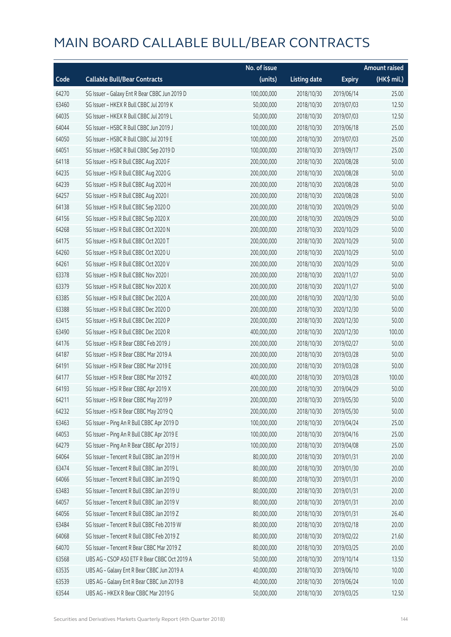|       |                                               | No. of issue |                     |               | <b>Amount raised</b> |
|-------|-----------------------------------------------|--------------|---------------------|---------------|----------------------|
| Code  | <b>Callable Bull/Bear Contracts</b>           | (units)      | <b>Listing date</b> | <b>Expiry</b> | (HK\$ mil.)          |
| 64270 | SG Issuer - Galaxy Ent R Bear CBBC Jun 2019 D | 100,000,000  | 2018/10/30          | 2019/06/14    | 25.00                |
| 63460 | SG Issuer - HKEX R Bull CBBC Jul 2019 K       | 50,000,000   | 2018/10/30          | 2019/07/03    | 12.50                |
| 64035 | SG Issuer - HKEX R Bull CBBC Jul 2019 L       | 50,000,000   | 2018/10/30          | 2019/07/03    | 12.50                |
| 64044 | SG Issuer - HSBC R Bull CBBC Jun 2019 J       | 100,000,000  | 2018/10/30          | 2019/06/18    | 25.00                |
| 64050 | SG Issuer - HSBC R Bull CBBC Jul 2019 E       | 100,000,000  | 2018/10/30          | 2019/07/03    | 25.00                |
| 64051 | SG Issuer - HSBC R Bull CBBC Sep 2019 D       | 100,000,000  | 2018/10/30          | 2019/09/17    | 25.00                |
| 64118 | SG Issuer - HSI R Bull CBBC Aug 2020 F        | 200,000,000  | 2018/10/30          | 2020/08/28    | 50.00                |
| 64235 | SG Issuer - HSI R Bull CBBC Aug 2020 G        | 200,000,000  | 2018/10/30          | 2020/08/28    | 50.00                |
| 64239 | SG Issuer - HSI R Bull CBBC Aug 2020 H        | 200,000,000  | 2018/10/30          | 2020/08/28    | 50.00                |
| 64257 | SG Issuer - HSI R Bull CBBC Aug 2020 I        | 200,000,000  | 2018/10/30          | 2020/08/28    | 50.00                |
| 64138 | SG Issuer - HSI R Bull CBBC Sep 2020 O        | 200,000,000  | 2018/10/30          | 2020/09/29    | 50.00                |
| 64156 | SG Issuer - HSI R Bull CBBC Sep 2020 X        | 200,000,000  | 2018/10/30          | 2020/09/29    | 50.00                |
| 64268 | SG Issuer - HSI R Bull CBBC Oct 2020 N        | 200,000,000  | 2018/10/30          | 2020/10/29    | 50.00                |
| 64175 | SG Issuer - HSI R Bull CBBC Oct 2020 T        | 200,000,000  | 2018/10/30          | 2020/10/29    | 50.00                |
| 64260 | SG Issuer - HSI R Bull CBBC Oct 2020 U        | 200,000,000  | 2018/10/30          | 2020/10/29    | 50.00                |
| 64261 | SG Issuer - HSI R Bull CBBC Oct 2020 V        | 200,000,000  | 2018/10/30          | 2020/10/29    | 50.00                |
| 63378 | SG Issuer - HSI R Bull CBBC Nov 2020 I        | 200,000,000  | 2018/10/30          | 2020/11/27    | 50.00                |
| 63379 | SG Issuer - HSI R Bull CBBC Nov 2020 X        | 200,000,000  | 2018/10/30          | 2020/11/27    | 50.00                |
| 63385 | SG Issuer - HSI R Bull CBBC Dec 2020 A        | 200,000,000  | 2018/10/30          | 2020/12/30    | 50.00                |
| 63388 | SG Issuer - HSI R Bull CBBC Dec 2020 D        | 200,000,000  | 2018/10/30          | 2020/12/30    | 50.00                |
| 63415 | SG Issuer - HSI R Bull CBBC Dec 2020 P        | 200,000,000  | 2018/10/30          | 2020/12/30    | 50.00                |
| 63490 | SG Issuer - HSI R Bull CBBC Dec 2020 R        | 400,000,000  | 2018/10/30          | 2020/12/30    | 100.00               |
| 64176 | SG Issuer - HSI R Bear CBBC Feb 2019 J        | 200,000,000  | 2018/10/30          | 2019/02/27    | 50.00                |
| 64187 | SG Issuer - HSI R Bear CBBC Mar 2019 A        | 200,000,000  | 2018/10/30          | 2019/03/28    | 50.00                |
| 64191 | SG Issuer - HSI R Bear CBBC Mar 2019 E        | 200,000,000  | 2018/10/30          | 2019/03/28    | 50.00                |
| 64177 | SG Issuer - HSI R Bear CBBC Mar 2019 Z        | 400,000,000  | 2018/10/30          | 2019/03/28    | 100.00               |
| 64193 | SG Issuer - HSI R Bear CBBC Apr 2019 X        | 200,000,000  | 2018/10/30          | 2019/04/29    | 50.00                |
| 64211 | SG Issuer - HSI R Bear CBBC May 2019 P        | 200,000,000  | 2018/10/30          | 2019/05/30    | 50.00                |
| 64232 | SG Issuer - HSI R Bear CBBC May 2019 Q        | 200,000,000  | 2018/10/30          | 2019/05/30    | 50.00                |
| 63463 | SG Issuer - Ping An R Bull CBBC Apr 2019 D    | 100,000,000  | 2018/10/30          | 2019/04/24    | 25.00                |
| 64053 | SG Issuer - Ping An R Bull CBBC Apr 2019 E    | 100,000,000  | 2018/10/30          | 2019/04/16    | 25.00                |
| 64279 | SG Issuer - Ping An R Bear CBBC Apr 2019 J    | 100,000,000  | 2018/10/30          | 2019/04/08    | 25.00                |
| 64064 | SG Issuer - Tencent R Bull CBBC Jan 2019 H    | 80,000,000   | 2018/10/30          | 2019/01/31    | 20.00                |
| 63474 | SG Issuer - Tencent R Bull CBBC Jan 2019 L    | 80,000,000   | 2018/10/30          | 2019/01/30    | 20.00                |
| 64066 | SG Issuer - Tencent R Bull CBBC Jan 2019 Q    | 80,000,000   | 2018/10/30          | 2019/01/31    | 20.00                |
| 63483 | SG Issuer - Tencent R Bull CBBC Jan 2019 U    | 80,000,000   | 2018/10/30          | 2019/01/31    | 20.00                |
| 64057 | SG Issuer - Tencent R Bull CBBC Jan 2019 V    | 80,000,000   | 2018/10/30          | 2019/01/31    | 20.00                |
| 64056 | SG Issuer - Tencent R Bull CBBC Jan 2019 Z    | 80,000,000   | 2018/10/30          | 2019/01/31    | 26.40                |
| 63484 | SG Issuer - Tencent R Bull CBBC Feb 2019 W    | 80,000,000   | 2018/10/30          | 2019/02/18    | 20.00                |
| 64068 | SG Issuer - Tencent R Bull CBBC Feb 2019 Z    | 80,000,000   | 2018/10/30          | 2019/02/22    | 21.60                |
| 64070 | SG Issuer - Tencent R Bear CBBC Mar 2019 Z    | 80,000,000   | 2018/10/30          | 2019/03/25    | 20.00                |
| 63568 | UBS AG - CSOP A50 ETF R Bear CBBC Oct 2019 A  | 50,000,000   | 2018/10/30          | 2019/10/14    | 13.50                |
| 63535 | UBS AG - Galaxy Ent R Bear CBBC Jun 2019 A    | 40,000,000   | 2018/10/30          | 2019/06/10    | 10.00                |
| 63539 | UBS AG - Galaxy Ent R Bear CBBC Jun 2019 B    | 40,000,000   | 2018/10/30          | 2019/06/24    | 10.00                |
| 63544 | UBS AG - HKEX R Bear CBBC Mar 2019 G          | 50,000,000   | 2018/10/30          | 2019/03/25    | 12.50                |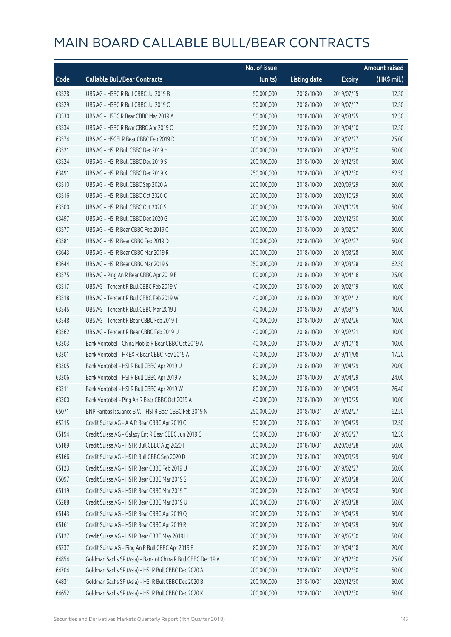|       |                                                              | No. of issue |                     |               | <b>Amount raised</b> |
|-------|--------------------------------------------------------------|--------------|---------------------|---------------|----------------------|
| Code  | <b>Callable Bull/Bear Contracts</b>                          | (units)      | <b>Listing date</b> | <b>Expiry</b> | (HK\$ mil.)          |
| 63528 | UBS AG - HSBC R Bull CBBC Jul 2019 B                         | 50,000,000   | 2018/10/30          | 2019/07/15    | 12.50                |
| 63529 | UBS AG - HSBC R Bull CBBC Jul 2019 C                         | 50,000,000   | 2018/10/30          | 2019/07/17    | 12.50                |
| 63530 | UBS AG - HSBC R Bear CBBC Mar 2019 A                         | 50,000,000   | 2018/10/30          | 2019/03/25    | 12.50                |
| 63534 | UBS AG - HSBC R Bear CBBC Apr 2019 C                         | 50,000,000   | 2018/10/30          | 2019/04/10    | 12.50                |
| 63574 | UBS AG - HSCEI R Bear CBBC Feb 2019 D                        | 100,000,000  | 2018/10/30          | 2019/02/27    | 25.00                |
| 63521 | UBS AG - HSI R Bull CBBC Dec 2019 H                          | 200,000,000  | 2018/10/30          | 2019/12/30    | 50.00                |
| 63524 | UBS AG - HSI R Bull CBBC Dec 2019 S                          | 200,000,000  | 2018/10/30          | 2019/12/30    | 50.00                |
| 63491 | UBS AG - HSI R Bull CBBC Dec 2019 X                          | 250,000,000  | 2018/10/30          | 2019/12/30    | 62.50                |
| 63510 | UBS AG - HSI R Bull CBBC Sep 2020 A                          | 200,000,000  | 2018/10/30          | 2020/09/29    | 50.00                |
| 63516 | UBS AG - HSI R Bull CBBC Oct 2020 O                          | 200,000,000  | 2018/10/30          | 2020/10/29    | 50.00                |
| 63500 | UBS AG - HSI R Bull CBBC Oct 2020 S                          | 200,000,000  | 2018/10/30          | 2020/10/29    | 50.00                |
| 63497 | UBS AG - HSI R Bull CBBC Dec 2020 G                          | 200,000,000  | 2018/10/30          | 2020/12/30    | 50.00                |
| 63577 | UBS AG - HSI R Bear CBBC Feb 2019 C                          | 200,000,000  | 2018/10/30          | 2019/02/27    | 50.00                |
| 63581 | UBS AG - HSI R Bear CBBC Feb 2019 D                          | 200,000,000  | 2018/10/30          | 2019/02/27    | 50.00                |
| 63643 | UBS AG - HSI R Bear CBBC Mar 2019 R                          | 200,000,000  | 2018/10/30          | 2019/03/28    | 50.00                |
| 63644 | UBS AG - HSI R Bear CBBC Mar 2019 S                          | 250,000,000  | 2018/10/30          | 2019/03/28    | 62.50                |
| 63575 | UBS AG - Ping An R Bear CBBC Apr 2019 E                      | 100,000,000  | 2018/10/30          | 2019/04/16    | 25.00                |
| 63517 | UBS AG - Tencent R Bull CBBC Feb 2019 V                      | 40,000,000   | 2018/10/30          | 2019/02/19    | 10.00                |
| 63518 | UBS AG - Tencent R Bull CBBC Feb 2019 W                      | 40,000,000   | 2018/10/30          | 2019/02/12    | 10.00                |
| 63545 | UBS AG - Tencent R Bull CBBC Mar 2019 J                      | 40,000,000   | 2018/10/30          | 2019/03/15    | 10.00                |
| 63548 | UBS AG - Tencent R Bear CBBC Feb 2019 T                      | 40,000,000   | 2018/10/30          | 2019/02/26    | 10.00                |
| 63562 | UBS AG - Tencent R Bear CBBC Feb 2019 U                      | 40,000,000   | 2018/10/30          | 2019/02/21    | 10.00                |
| 63303 | Bank Vontobel - China Mobile R Bear CBBC Oct 2019 A          | 40,000,000   | 2018/10/30          | 2019/10/18    | 10.00                |
| 63301 | Bank Vontobel - HKEX R Bear CBBC Nov 2019 A                  | 40,000,000   | 2018/10/30          | 2019/11/08    | 17.20                |
| 63305 | Bank Vontobel - HSI R Bull CBBC Apr 2019 U                   | 80,000,000   | 2018/10/30          | 2019/04/29    | 20.00                |
| 63306 | Bank Vontobel - HSI R Bull CBBC Apr 2019 V                   | 80,000,000   | 2018/10/30          | 2019/04/29    | 24.00                |
| 63311 | Bank Vontobel - HSI R Bull CBBC Apr 2019 W                   | 80,000,000   | 2018/10/30          | 2019/04/29    | 26.40                |
| 63300 | Bank Vontobel - Ping An R Bear CBBC Oct 2019 A               | 40,000,000   | 2018/10/30          | 2019/10/25    | 10.00                |
| 65071 | BNP Paribas Issuance B.V. - HSI R Bear CBBC Feb 2019 N       | 250,000,000  | 2018/10/31          | 2019/02/27    | 62.50                |
| 65215 | Credit Suisse AG - AIA R Bear CBBC Apr 2019 C                | 50,000,000   | 2018/10/31          | 2019/04/29    | 12.50                |
| 65194 | Credit Suisse AG - Galaxy Ent R Bear CBBC Jun 2019 C         | 50,000,000   | 2018/10/31          | 2019/06/27    | 12.50                |
| 65189 | Credit Suisse AG - HSI R Bull CBBC Aug 2020 I                | 200,000,000  | 2018/10/31          | 2020/08/28    | 50.00                |
| 65166 | Credit Suisse AG - HSI R Bull CBBC Sep 2020 D                | 200,000,000  | 2018/10/31          | 2020/09/29    | 50.00                |
| 65123 | Credit Suisse AG - HSI R Bear CBBC Feb 2019 U                | 200,000,000  | 2018/10/31          | 2019/02/27    | 50.00                |
| 65097 | Credit Suisse AG - HSI R Bear CBBC Mar 2019 S                | 200,000,000  | 2018/10/31          | 2019/03/28    | 50.00                |
| 65119 | Credit Suisse AG - HSI R Bear CBBC Mar 2019 T                | 200,000,000  | 2018/10/31          | 2019/03/28    | 50.00                |
| 65288 | Credit Suisse AG - HSI R Bear CBBC Mar 2019 U                | 200,000,000  | 2018/10/31          | 2019/03/28    | 50.00                |
| 65143 | Credit Suisse AG - HSI R Bear CBBC Apr 2019 Q                | 200,000,000  | 2018/10/31          | 2019/04/29    | 50.00                |
| 65161 | Credit Suisse AG - HSI R Bear CBBC Apr 2019 R                | 200,000,000  | 2018/10/31          | 2019/04/29    | 50.00                |
| 65127 | Credit Suisse AG - HSI R Bear CBBC May 2019 H                | 200,000,000  | 2018/10/31          | 2019/05/30    | 50.00                |
| 65237 | Credit Suisse AG - Ping An R Bull CBBC Apr 2019 B            | 80,000,000   | 2018/10/31          | 2019/04/18    | 20.00                |
| 64854 | Goldman Sachs SP (Asia) - Bank of China R Bull CBBC Dec 19 A | 100,000,000  | 2018/10/31          | 2019/12/30    | 25.00                |
| 64704 | Goldman Sachs SP (Asia) - HSI R Bull CBBC Dec 2020 A         | 200,000,000  | 2018/10/31          | 2020/12/30    | 50.00                |
| 64831 | Goldman Sachs SP (Asia) - HSI R Bull CBBC Dec 2020 B         | 200,000,000  | 2018/10/31          | 2020/12/30    | 50.00                |
| 64652 | Goldman Sachs SP (Asia) - HSI R Bull CBBC Dec 2020 K         | 200,000,000  | 2018/10/31          | 2020/12/30    | 50.00                |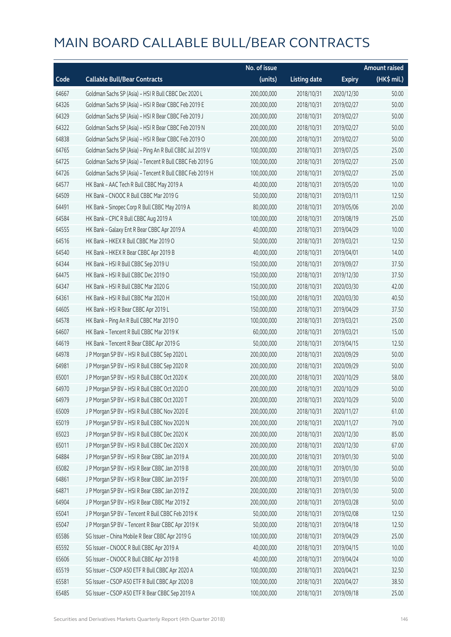|       |                                                          | No. of issue |                     |               | <b>Amount raised</b> |
|-------|----------------------------------------------------------|--------------|---------------------|---------------|----------------------|
| Code  | <b>Callable Bull/Bear Contracts</b>                      | (units)      | <b>Listing date</b> | <b>Expiry</b> | (HK\$ mil.)          |
| 64667 | Goldman Sachs SP (Asia) - HSI R Bull CBBC Dec 2020 L     | 200,000,000  | 2018/10/31          | 2020/12/30    | 50.00                |
| 64326 | Goldman Sachs SP (Asia) - HSI R Bear CBBC Feb 2019 E     | 200,000,000  | 2018/10/31          | 2019/02/27    | 50.00                |
| 64329 | Goldman Sachs SP (Asia) - HSI R Bear CBBC Feb 2019 J     | 200,000,000  | 2018/10/31          | 2019/02/27    | 50.00                |
| 64322 | Goldman Sachs SP (Asia) - HSI R Bear CBBC Feb 2019 N     | 200,000,000  | 2018/10/31          | 2019/02/27    | 50.00                |
| 64838 | Goldman Sachs SP (Asia) - HSI R Bear CBBC Feb 2019 O     | 200,000,000  | 2018/10/31          | 2019/02/27    | 50.00                |
| 64765 | Goldman Sachs SP (Asia) - Ping An R Bull CBBC Jul 2019 V | 100,000,000  | 2018/10/31          | 2019/07/25    | 25.00                |
| 64725 | Goldman Sachs SP (Asia) - Tencent R Bull CBBC Feb 2019 G | 100,000,000  | 2018/10/31          | 2019/02/27    | 25.00                |
| 64726 | Goldman Sachs SP (Asia) - Tencent R Bull CBBC Feb 2019 H | 100,000,000  | 2018/10/31          | 2019/02/27    | 25.00                |
| 64577 | HK Bank - AAC Tech R Bull CBBC May 2019 A                | 40,000,000   | 2018/10/31          | 2019/05/20    | 10.00                |
| 64509 | HK Bank - CNOOC R Bull CBBC Mar 2019 G                   | 50,000,000   | 2018/10/31          | 2019/03/11    | 12.50                |
| 64491 | HK Bank - Sinopec Corp R Bull CBBC May 2019 A            | 80,000,000   | 2018/10/31          | 2019/05/06    | 20.00                |
| 64584 | HK Bank - CPIC R Bull CBBC Aug 2019 A                    | 100,000,000  | 2018/10/31          | 2019/08/19    | 25.00                |
| 64555 | HK Bank - Galaxy Ent R Bear CBBC Apr 2019 A              | 40,000,000   | 2018/10/31          | 2019/04/29    | 10.00                |
| 64516 | HK Bank - HKEX R Bull CBBC Mar 2019 O                    | 50,000,000   | 2018/10/31          | 2019/03/21    | 12.50                |
| 64540 | HK Bank - HKEX R Bear CBBC Apr 2019 B                    | 40,000,000   | 2018/10/31          | 2019/04/01    | 14.00                |
| 64344 | HK Bank - HSI R Bull CBBC Sep 2019 U                     | 150,000,000  | 2018/10/31          | 2019/09/27    | 37.50                |
| 64475 | HK Bank - HSI R Bull CBBC Dec 2019 O                     | 150,000,000  | 2018/10/31          | 2019/12/30    | 37.50                |
| 64347 | HK Bank - HSI R Bull CBBC Mar 2020 G                     | 150,000,000  | 2018/10/31          | 2020/03/30    | 42.00                |
| 64361 | HK Bank - HSI R Bull CBBC Mar 2020 H                     | 150,000,000  | 2018/10/31          | 2020/03/30    | 40.50                |
| 64605 | HK Bank - HSI R Bear CBBC Apr 2019 L                     | 150,000,000  | 2018/10/31          | 2019/04/29    | 37.50                |
| 64578 | HK Bank - Ping An R Bull CBBC Mar 2019 O                 | 100,000,000  | 2018/10/31          | 2019/03/21    | 25.00                |
| 64607 | HK Bank - Tencent R Bull CBBC Mar 2019 K                 | 60,000,000   | 2018/10/31          | 2019/03/21    | 15.00                |
| 64619 | HK Bank - Tencent R Bear CBBC Apr 2019 G                 | 50,000,000   | 2018/10/31          | 2019/04/15    | 12.50                |
| 64978 | J P Morgan SP BV - HSI R Bull CBBC Sep 2020 L            | 200,000,000  | 2018/10/31          | 2020/09/29    | 50.00                |
| 64981 | J P Morgan SP BV - HSI R Bull CBBC Sep 2020 R            | 200,000,000  | 2018/10/31          | 2020/09/29    | 50.00                |
| 65001 | J P Morgan SP BV - HSI R Bull CBBC Oct 2020 K            | 200,000,000  | 2018/10/31          | 2020/10/29    | 58.00                |
| 64970 | J P Morgan SP BV - HSI R Bull CBBC Oct 2020 O            | 200,000,000  | 2018/10/31          | 2020/10/29    | 50.00                |
| 64979 | J P Morgan SP BV - HSI R Bull CBBC Oct 2020 T            | 200,000,000  | 2018/10/31          | 2020/10/29    | 50.00                |
| 65009 | J P Morgan SP BV - HSI R Bull CBBC Nov 2020 E            | 200,000,000  | 2018/10/31          | 2020/11/27    | 61.00                |
| 65019 | J P Morgan SP BV - HSI R Bull CBBC Nov 2020 N            | 200,000,000  | 2018/10/31          | 2020/11/27    | 79.00                |
| 65023 | J P Morgan SP BV - HSI R Bull CBBC Dec 2020 K            | 200,000,000  | 2018/10/31          | 2020/12/30    | 85.00                |
| 65011 | J P Morgan SP BV - HSI R Bull CBBC Dec 2020 X            | 200,000,000  | 2018/10/31          | 2020/12/30    | 67.00                |
| 64884 | J P Morgan SP BV - HSI R Bear CBBC Jan 2019 A            | 200,000,000  | 2018/10/31          | 2019/01/30    | 50.00                |
| 65082 | J P Morgan SP BV - HSI R Bear CBBC Jan 2019 B            | 200,000,000  | 2018/10/31          | 2019/01/30    | 50.00                |
| 64861 | J P Morgan SP BV - HSI R Bear CBBC Jan 2019 F            | 200,000,000  | 2018/10/31          | 2019/01/30    | 50.00                |
| 64871 | J P Morgan SP BV - HSI R Bear CBBC Jan 2019 Z            | 200,000,000  | 2018/10/31          | 2019/01/30    | 50.00                |
| 64904 | J P Morgan SP BV - HSI R Bear CBBC Mar 2019 Z            | 200,000,000  | 2018/10/31          | 2019/03/28    | 50.00                |
| 65041 | J P Morgan SP BV - Tencent R Bull CBBC Feb 2019 K        | 50,000,000   | 2018/10/31          | 2019/02/08    | 12.50                |
| 65047 | J P Morgan SP BV - Tencent R Bear CBBC Apr 2019 K        | 50,000,000   | 2018/10/31          | 2019/04/18    | 12.50                |
| 65586 | SG Issuer - China Mobile R Bear CBBC Apr 2019 G          | 100,000,000  | 2018/10/31          | 2019/04/29    | 25.00                |
| 65592 | SG Issuer - CNOOC R Bull CBBC Apr 2019 A                 | 40,000,000   | 2018/10/31          | 2019/04/15    | 10.00                |
| 65606 | SG Issuer - CNOOC R Bull CBBC Apr 2019 B                 | 40,000,000   | 2018/10/31          | 2019/04/24    | 10.00                |
| 65519 | SG Issuer - CSOP A50 ETF R Bull CBBC Apr 2020 A          | 100,000,000  | 2018/10/31          | 2020/04/21    | 32.50                |
| 65581 | SG Issuer - CSOP A50 ETF R Bull CBBC Apr 2020 B          | 100,000,000  | 2018/10/31          | 2020/04/27    | 38.50                |
| 65485 | SG Issuer - CSOP A50 ETF R Bear CBBC Sep 2019 A          | 100,000,000  | 2018/10/31          | 2019/09/18    | 25.00                |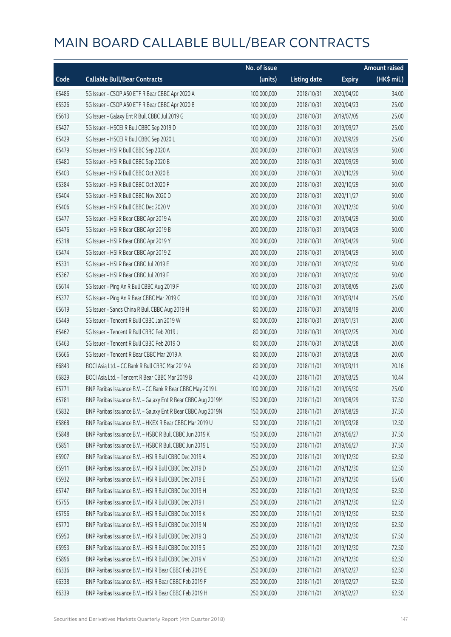|       |                                                              | No. of issue |                     |               | Amount raised |
|-------|--------------------------------------------------------------|--------------|---------------------|---------------|---------------|
| Code  | <b>Callable Bull/Bear Contracts</b>                          | (units)      | <b>Listing date</b> | <b>Expiry</b> | (HK\$ mil.)   |
| 65486 | SG Issuer - CSOP A50 ETF R Bear CBBC Apr 2020 A              | 100,000,000  | 2018/10/31          | 2020/04/20    | 34.00         |
| 65526 | SG Issuer - CSOP A50 ETF R Bear CBBC Apr 2020 B              | 100,000,000  | 2018/10/31          | 2020/04/23    | 25.00         |
| 65613 | SG Issuer - Galaxy Ent R Bull CBBC Jul 2019 G                | 100,000,000  | 2018/10/31          | 2019/07/05    | 25.00         |
| 65427 | SG Issuer - HSCEI R Bull CBBC Sep 2019 D                     | 100,000,000  | 2018/10/31          | 2019/09/27    | 25.00         |
| 65429 | SG Issuer - HSCEI R Bull CBBC Sep 2020 L                     | 100,000,000  | 2018/10/31          | 2020/09/29    | 25.00         |
| 65479 | SG Issuer - HSI R Bull CBBC Sep 2020 A                       | 200,000,000  | 2018/10/31          | 2020/09/29    | 50.00         |
| 65480 | SG Issuer - HSI R Bull CBBC Sep 2020 B                       | 200,000,000  | 2018/10/31          | 2020/09/29    | 50.00         |
| 65403 | SG Issuer - HSI R Bull CBBC Oct 2020 B                       | 200,000,000  | 2018/10/31          | 2020/10/29    | 50.00         |
| 65384 | SG Issuer - HSI R Bull CBBC Oct 2020 F                       | 200,000,000  | 2018/10/31          | 2020/10/29    | 50.00         |
| 65404 | SG Issuer - HSI R Bull CBBC Nov 2020 D                       | 200,000,000  | 2018/10/31          | 2020/11/27    | 50.00         |
| 65406 | SG Issuer - HSI R Bull CBBC Dec 2020 V                       | 200,000,000  | 2018/10/31          | 2020/12/30    | 50.00         |
| 65477 | SG Issuer - HSI R Bear CBBC Apr 2019 A                       | 200,000,000  | 2018/10/31          | 2019/04/29    | 50.00         |
| 65476 | SG Issuer - HSI R Bear CBBC Apr 2019 B                       | 200,000,000  | 2018/10/31          | 2019/04/29    | 50.00         |
| 65318 | SG Issuer - HSI R Bear CBBC Apr 2019 Y                       | 200,000,000  | 2018/10/31          | 2019/04/29    | 50.00         |
| 65474 | SG Issuer - HSI R Bear CBBC Apr 2019 Z                       | 200,000,000  | 2018/10/31          | 2019/04/29    | 50.00         |
| 65331 | SG Issuer - HSI R Bear CBBC Jul 2019 E                       | 200,000,000  | 2018/10/31          | 2019/07/30    | 50.00         |
| 65367 | SG Issuer - HSI R Bear CBBC Jul 2019 F                       | 200,000,000  | 2018/10/31          | 2019/07/30    | 50.00         |
| 65614 | SG Issuer - Ping An R Bull CBBC Aug 2019 F                   | 100,000,000  | 2018/10/31          | 2019/08/05    | 25.00         |
| 65377 | SG Issuer - Ping An R Bear CBBC Mar 2019 G                   | 100,000,000  | 2018/10/31          | 2019/03/14    | 25.00         |
| 65619 | SG Issuer - Sands China R Bull CBBC Aug 2019 H               | 80,000,000   | 2018/10/31          | 2019/08/19    | 20.00         |
| 65449 | SG Issuer - Tencent R Bull CBBC Jan 2019 W                   | 80,000,000   | 2018/10/31          | 2019/01/31    | 20.00         |
| 65462 | SG Issuer - Tencent R Bull CBBC Feb 2019 J                   | 80,000,000   | 2018/10/31          | 2019/02/25    | 20.00         |
| 65463 | SG Issuer - Tencent R Bull CBBC Feb 2019 O                   | 80,000,000   | 2018/10/31          | 2019/02/28    | 20.00         |
| 65666 | SG Issuer - Tencent R Bear CBBC Mar 2019 A                   | 80,000,000   | 2018/10/31          | 2019/03/28    | 20.00         |
| 66843 | BOCI Asia Ltd. - CC Bank R Bull CBBC Mar 2019 A              | 80,000,000   | 2018/11/01          | 2019/03/11    | 20.16         |
| 66829 | BOCI Asia Ltd. - Tencent R Bear CBBC Mar 2019 B              | 40,000,000   | 2018/11/01          | 2019/03/25    | 10.44         |
| 65771 | BNP Paribas Issuance B.V. - CC Bank R Bear CBBC May 2019 L   | 100,000,000  | 2018/11/01          | 2019/05/30    | 25.00         |
| 65781 | BNP Paribas Issuance B.V. - Galaxy Ent R Bear CBBC Aug 2019M | 150,000,000  | 2018/11/01          | 2019/08/29    | 37.50         |
| 65832 | BNP Paribas Issuance B.V. - Galaxy Ent R Bear CBBC Aug 2019N | 150,000,000  | 2018/11/01          | 2019/08/29    | 37.50         |
| 65868 | BNP Paribas Issuance B.V. - HKEX R Bear CBBC Mar 2019 U      | 50,000,000   | 2018/11/01          | 2019/03/28    | 12.50         |
| 65848 | BNP Paribas Issuance B.V. - HSBC R Bull CBBC Jun 2019 K      | 150,000,000  | 2018/11/01          | 2019/06/27    | 37.50         |
| 65851 | BNP Paribas Issuance B.V. - HSBC R Bull CBBC Jun 2019 L      | 150,000,000  | 2018/11/01          | 2019/06/27    | 37.50         |
| 65907 | BNP Paribas Issuance B.V. - HSI R Bull CBBC Dec 2019 A       | 250,000,000  | 2018/11/01          | 2019/12/30    | 62.50         |
| 65911 | BNP Paribas Issuance B.V. - HSI R Bull CBBC Dec 2019 D       | 250,000,000  | 2018/11/01          | 2019/12/30    | 62.50         |
| 65932 | BNP Paribas Issuance B.V. - HSI R Bull CBBC Dec 2019 E       | 250,000,000  | 2018/11/01          | 2019/12/30    | 65.00         |
| 65747 | BNP Paribas Issuance B.V. - HSI R Bull CBBC Dec 2019 H       | 250,000,000  | 2018/11/01          | 2019/12/30    | 62.50         |
| 65755 | BNP Paribas Issuance B.V. - HSI R Bull CBBC Dec 2019 I       | 250,000,000  | 2018/11/01          | 2019/12/30    | 62.50         |
| 65756 | BNP Paribas Issuance B.V. - HSI R Bull CBBC Dec 2019 K       | 250,000,000  | 2018/11/01          | 2019/12/30    | 62.50         |
| 65770 | BNP Paribas Issuance B.V. - HSI R Bull CBBC Dec 2019 N       | 250,000,000  | 2018/11/01          | 2019/12/30    | 62.50         |
| 65950 | BNP Paribas Issuance B.V. - HSI R Bull CBBC Dec 2019 Q       | 250,000,000  | 2018/11/01          | 2019/12/30    | 67.50         |
| 65953 | BNP Paribas Issuance B.V. - HSI R Bull CBBC Dec 2019 S       | 250,000,000  | 2018/11/01          | 2019/12/30    | 72.50         |
| 65896 | BNP Paribas Issuance B.V. - HSI R Bull CBBC Dec 2019 V       | 250,000,000  | 2018/11/01          | 2019/12/30    | 62.50         |
| 66336 | BNP Paribas Issuance B.V. - HSI R Bear CBBC Feb 2019 E       | 250,000,000  | 2018/11/01          | 2019/02/27    | 62.50         |
| 66338 | BNP Paribas Issuance B.V. - HSI R Bear CBBC Feb 2019 F       | 250,000,000  | 2018/11/01          | 2019/02/27    | 62.50         |
| 66339 | BNP Paribas Issuance B.V. - HSI R Bear CBBC Feb 2019 H       | 250,000,000  | 2018/11/01          | 2019/02/27    | 62.50         |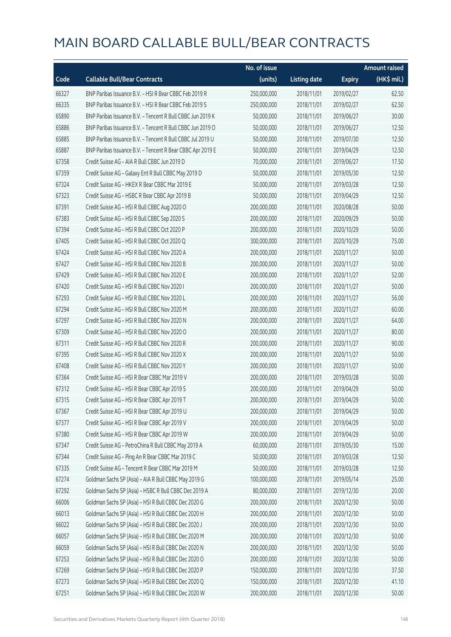|       |                                                            | No. of issue |                     |               | <b>Amount raised</b> |
|-------|------------------------------------------------------------|--------------|---------------------|---------------|----------------------|
| Code  | <b>Callable Bull/Bear Contracts</b>                        | (units)      | <b>Listing date</b> | <b>Expiry</b> | (HK\$ mil.)          |
| 66327 | BNP Paribas Issuance B.V. - HSI R Bear CBBC Feb 2019 R     | 250,000,000  | 2018/11/01          | 2019/02/27    | 62.50                |
| 66335 | BNP Paribas Issuance B.V. - HSI R Bear CBBC Feb 2019 S     | 250,000,000  | 2018/11/01          | 2019/02/27    | 62.50                |
| 65890 | BNP Paribas Issuance B.V. - Tencent R Bull CBBC Jun 2019 K | 50,000,000   | 2018/11/01          | 2019/06/27    | 30.00                |
| 65886 | BNP Paribas Issuance B.V. - Tencent R Bull CBBC Jun 2019 O | 50,000,000   | 2018/11/01          | 2019/06/27    | 12.50                |
| 65885 | BNP Paribas Issuance B.V. - Tencent R Bull CBBC Jul 2019 U | 50,000,000   | 2018/11/01          | 2019/07/30    | 12.50                |
| 65887 | BNP Paribas Issuance B.V. - Tencent R Bear CBBC Apr 2019 E | 50,000,000   | 2018/11/01          | 2019/04/29    | 12.50                |
| 67358 | Credit Suisse AG - AIA R Bull CBBC Jun 2019 D              | 70,000,000   | 2018/11/01          | 2019/06/27    | 17.50                |
| 67359 | Credit Suisse AG - Galaxy Ent R Bull CBBC May 2019 D       | 50,000,000   | 2018/11/01          | 2019/05/30    | 12.50                |
| 67324 | Credit Suisse AG - HKEX R Bear CBBC Mar 2019 E             | 50,000,000   | 2018/11/01          | 2019/03/28    | 12.50                |
| 67323 | Credit Suisse AG - HSBC R Bear CBBC Apr 2019 B             | 50,000,000   | 2018/11/01          | 2019/04/29    | 12.50                |
| 67391 | Credit Suisse AG - HSI R Bull CBBC Aug 2020 O              | 200,000,000  | 2018/11/01          | 2020/08/28    | 50.00                |
| 67383 | Credit Suisse AG - HSI R Bull CBBC Sep 2020 S              | 200,000,000  | 2018/11/01          | 2020/09/29    | 50.00                |
| 67394 | Credit Suisse AG - HSI R Bull CBBC Oct 2020 P              | 200,000,000  | 2018/11/01          | 2020/10/29    | 50.00                |
| 67405 | Credit Suisse AG - HSI R Bull CBBC Oct 2020 Q              | 300,000,000  | 2018/11/01          | 2020/10/29    | 75.00                |
| 67424 | Credit Suisse AG - HSI R Bull CBBC Nov 2020 A              | 200,000,000  | 2018/11/01          | 2020/11/27    | 50.00                |
| 67427 | Credit Suisse AG - HSI R Bull CBBC Nov 2020 B              | 200,000,000  | 2018/11/01          | 2020/11/27    | 50.00                |
| 67429 | Credit Suisse AG - HSI R Bull CBBC Nov 2020 E              | 200,000,000  | 2018/11/01          | 2020/11/27    | 52.00                |
| 67420 | Credit Suisse AG - HSI R Bull CBBC Nov 2020 I              | 200,000,000  | 2018/11/01          | 2020/11/27    | 50.00                |
| 67293 | Credit Suisse AG - HSI R Bull CBBC Nov 2020 L              | 200,000,000  | 2018/11/01          | 2020/11/27    | 56.00                |
| 67294 | Credit Suisse AG - HSI R Bull CBBC Nov 2020 M              | 200,000,000  | 2018/11/01          | 2020/11/27    | 60.00                |
| 67297 | Credit Suisse AG - HSI R Bull CBBC Nov 2020 N              | 200,000,000  | 2018/11/01          | 2020/11/27    | 64.00                |
| 67309 | Credit Suisse AG - HSI R Bull CBBC Nov 2020 O              | 200,000,000  | 2018/11/01          | 2020/11/27    | 80.00                |
| 67311 | Credit Suisse AG - HSI R Bull CBBC Nov 2020 R              | 200,000,000  | 2018/11/01          | 2020/11/27    | 90.00                |
| 67395 | Credit Suisse AG - HSI R Bull CBBC Nov 2020 X              | 200,000,000  | 2018/11/01          | 2020/11/27    | 50.00                |
| 67408 | Credit Suisse AG - HSI R Bull CBBC Nov 2020 Y              | 200,000,000  | 2018/11/01          | 2020/11/27    | 50.00                |
| 67364 | Credit Suisse AG - HSI R Bear CBBC Mar 2019 V              | 200,000,000  | 2018/11/01          | 2019/03/28    | 50.00                |
| 67312 | Credit Suisse AG - HSI R Bear CBBC Apr 2019 S              | 200,000,000  | 2018/11/01          | 2019/04/29    | 50.00                |
| 67315 | Credit Suisse AG - HSI R Bear CBBC Apr 2019 T              | 200,000,000  | 2018/11/01          | 2019/04/29    | 50.00                |
| 67367 | Credit Suisse AG - HSI R Bear CBBC Apr 2019 U              | 200,000,000  | 2018/11/01          | 2019/04/29    | 50.00                |
| 67377 | Credit Suisse AG - HSI R Bear CBBC Apr 2019 V              | 200,000,000  | 2018/11/01          | 2019/04/29    | 50.00                |
| 67380 | Credit Suisse AG - HSI R Bear CBBC Apr 2019 W              | 200,000,000  | 2018/11/01          | 2019/04/29    | 50.00                |
| 67347 | Credit Suisse AG - PetroChina R Bull CBBC May 2019 A       | 60,000,000   | 2018/11/01          | 2019/05/30    | 15.00                |
| 67344 | Credit Suisse AG - Ping An R Bear CBBC Mar 2019 C          | 50,000,000   | 2018/11/01          | 2019/03/28    | 12.50                |
| 67335 | Credit Suisse AG - Tencent R Bear CBBC Mar 2019 M          | 50,000,000   | 2018/11/01          | 2019/03/28    | 12.50                |
| 67274 | Goldman Sachs SP (Asia) - AIA R Bull CBBC May 2019 G       | 100,000,000  | 2018/11/01          | 2019/05/14    | 25.00                |
| 67292 | Goldman Sachs SP (Asia) - HSBC R Bull CBBC Dec 2019 A      | 80,000,000   | 2018/11/01          | 2019/12/30    | 20.00                |
| 66006 | Goldman Sachs SP (Asia) - HSI R Bull CBBC Dec 2020 G       | 200,000,000  | 2018/11/01          | 2020/12/30    | 50.00                |
| 66013 | Goldman Sachs SP (Asia) - HSI R Bull CBBC Dec 2020 H       | 200,000,000  | 2018/11/01          | 2020/12/30    | 50.00                |
| 66022 | Goldman Sachs SP (Asia) - HSI R Bull CBBC Dec 2020 J       | 200,000,000  | 2018/11/01          | 2020/12/30    | 50.00                |
| 66057 | Goldman Sachs SP (Asia) - HSI R Bull CBBC Dec 2020 M       | 200,000,000  | 2018/11/01          | 2020/12/30    | 50.00                |
| 66059 | Goldman Sachs SP (Asia) - HSI R Bull CBBC Dec 2020 N       | 200,000,000  | 2018/11/01          | 2020/12/30    | 50.00                |
| 67253 | Goldman Sachs SP (Asia) - HSI R Bull CBBC Dec 2020 O       | 200,000,000  | 2018/11/01          | 2020/12/30    | 50.00                |
| 67269 | Goldman Sachs SP (Asia) - HSI R Bull CBBC Dec 2020 P       | 150,000,000  | 2018/11/01          | 2020/12/30    | 37.50                |
| 67273 | Goldman Sachs SP (Asia) - HSI R Bull CBBC Dec 2020 Q       | 150,000,000  | 2018/11/01          | 2020/12/30    | 41.10                |
| 67251 | Goldman Sachs SP (Asia) - HSI R Bull CBBC Dec 2020 W       | 200,000,000  | 2018/11/01          | 2020/12/30    | 50.00                |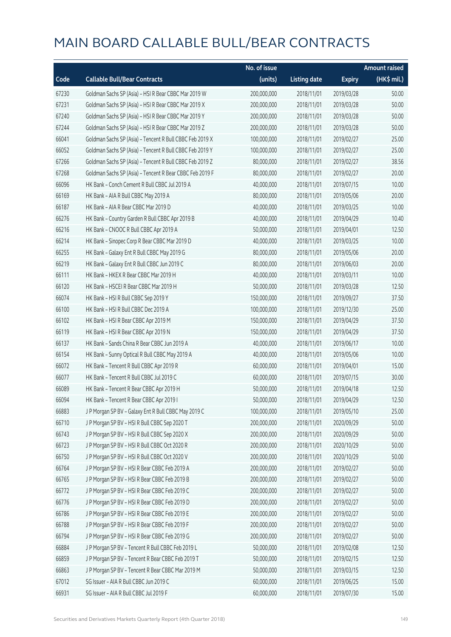|       |                                                          | No. of issue |                     |               | <b>Amount raised</b> |
|-------|----------------------------------------------------------|--------------|---------------------|---------------|----------------------|
| Code  | <b>Callable Bull/Bear Contracts</b>                      | (units)      | <b>Listing date</b> | <b>Expiry</b> | (HK\$ mil.)          |
| 67230 | Goldman Sachs SP (Asia) - HSI R Bear CBBC Mar 2019 W     | 200,000,000  | 2018/11/01          | 2019/03/28    | 50.00                |
| 67231 | Goldman Sachs SP (Asia) - HSI R Bear CBBC Mar 2019 X     | 200,000,000  | 2018/11/01          | 2019/03/28    | 50.00                |
| 67240 | Goldman Sachs SP (Asia) - HSI R Bear CBBC Mar 2019 Y     | 200,000,000  | 2018/11/01          | 2019/03/28    | 50.00                |
| 67244 | Goldman Sachs SP (Asia) - HSI R Bear CBBC Mar 2019 Z     | 200,000,000  | 2018/11/01          | 2019/03/28    | 50.00                |
| 66041 | Goldman Sachs SP (Asia) - Tencent R Bull CBBC Feb 2019 X | 100,000,000  | 2018/11/01          | 2019/02/27    | 25.00                |
| 66052 | Goldman Sachs SP (Asia) - Tencent R Bull CBBC Feb 2019 Y | 100,000,000  | 2018/11/01          | 2019/02/27    | 25.00                |
| 67266 | Goldman Sachs SP (Asia) - Tencent R Bull CBBC Feb 2019 Z | 80,000,000   | 2018/11/01          | 2019/02/27    | 38.56                |
| 67268 | Goldman Sachs SP (Asia) - Tencent R Bear CBBC Feb 2019 F | 80,000,000   | 2018/11/01          | 2019/02/27    | 20.00                |
| 66096 | HK Bank - Conch Cement R Bull CBBC Jul 2019 A            | 40,000,000   | 2018/11/01          | 2019/07/15    | 10.00                |
| 66169 | HK Bank - AIA R Bull CBBC May 2019 A                     | 80,000,000   | 2018/11/01          | 2019/05/06    | 20.00                |
| 66187 | HK Bank - AIA R Bear CBBC Mar 2019 D                     | 40,000,000   | 2018/11/01          | 2019/03/25    | 10.00                |
| 66276 | HK Bank - Country Garden R Bull CBBC Apr 2019 B          | 40,000,000   | 2018/11/01          | 2019/04/29    | 10.40                |
| 66216 | HK Bank - CNOOC R Bull CBBC Apr 2019 A                   | 50,000,000   | 2018/11/01          | 2019/04/01    | 12.50                |
| 66214 | HK Bank - Sinopec Corp R Bear CBBC Mar 2019 D            | 40,000,000   | 2018/11/01          | 2019/03/25    | 10.00                |
| 66255 | HK Bank - Galaxy Ent R Bull CBBC May 2019 G              | 80,000,000   | 2018/11/01          | 2019/05/06    | 20.00                |
| 66219 | HK Bank - Galaxy Ent R Bull CBBC Jun 2019 C              | 80,000,000   | 2018/11/01          | 2019/06/03    | 20.00                |
| 66111 | HK Bank - HKEX R Bear CBBC Mar 2019 H                    | 40,000,000   | 2018/11/01          | 2019/03/11    | 10.00                |
| 66120 | HK Bank - HSCEI R Bear CBBC Mar 2019 H                   | 50,000,000   | 2018/11/01          | 2019/03/28    | 12.50                |
| 66074 | HK Bank - HSI R Bull CBBC Sep 2019 Y                     | 150,000,000  | 2018/11/01          | 2019/09/27    | 37.50                |
| 66100 | HK Bank - HSI R Bull CBBC Dec 2019 A                     | 100,000,000  | 2018/11/01          | 2019/12/30    | 25.00                |
| 66102 | HK Bank - HSI R Bear CBBC Apr 2019 M                     | 150,000,000  | 2018/11/01          | 2019/04/29    | 37.50                |
| 66119 | HK Bank - HSI R Bear CBBC Apr 2019 N                     | 150,000,000  | 2018/11/01          | 2019/04/29    | 37.50                |
| 66137 | HK Bank - Sands China R Bear CBBC Jun 2019 A             | 40,000,000   | 2018/11/01          | 2019/06/17    | 10.00                |
| 66154 | HK Bank - Sunny Optical R Bull CBBC May 2019 A           | 40,000,000   | 2018/11/01          | 2019/05/06    | 10.00                |
| 66072 | HK Bank - Tencent R Bull CBBC Apr 2019 R                 | 60,000,000   | 2018/11/01          | 2019/04/01    | 15.00                |
| 66077 | HK Bank - Tencent R Bull CBBC Jul 2019 C                 | 60,000,000   | 2018/11/01          | 2019/07/15    | 30.00                |
| 66089 | HK Bank - Tencent R Bear CBBC Apr 2019 H                 | 50,000,000   | 2018/11/01          | 2019/04/18    | 12.50                |
| 66094 | HK Bank - Tencent R Bear CBBC Apr 2019 I                 | 50,000,000   | 2018/11/01          | 2019/04/29    | 12.50                |
| 66883 | J P Morgan SP BV - Galaxy Ent R Bull CBBC May 2019 C     | 100,000,000  | 2018/11/01          | 2019/05/10    | 25.00                |
| 66710 | J P Morgan SP BV - HSI R Bull CBBC Sep 2020 T            | 200,000,000  | 2018/11/01          | 2020/09/29    | 50.00                |
| 66743 | J P Morgan SP BV - HSI R Bull CBBC Sep 2020 X            | 200,000,000  | 2018/11/01          | 2020/09/29    | 50.00                |
| 66723 | J P Morgan SP BV - HSI R Bull CBBC Oct 2020 R            | 200,000,000  | 2018/11/01          | 2020/10/29    | 50.00                |
| 66750 | J P Morgan SP BV - HSI R Bull CBBC Oct 2020 V            | 200,000,000  | 2018/11/01          | 2020/10/29    | 50.00                |
| 66764 | J P Morgan SP BV - HSI R Bear CBBC Feb 2019 A            | 200,000,000  | 2018/11/01          | 2019/02/27    | 50.00                |
| 66765 | J P Morgan SP BV - HSI R Bear CBBC Feb 2019 B            | 200,000,000  | 2018/11/01          | 2019/02/27    | 50.00                |
| 66772 | J P Morgan SP BV - HSI R Bear CBBC Feb 2019 C            | 200,000,000  | 2018/11/01          | 2019/02/27    | 50.00                |
| 66776 | J P Morgan SP BV - HSI R Bear CBBC Feb 2019 D            | 200,000,000  | 2018/11/01          | 2019/02/27    | 50.00                |
| 66786 | J P Morgan SP BV - HSI R Bear CBBC Feb 2019 E            | 200,000,000  | 2018/11/01          | 2019/02/27    | 50.00                |
| 66788 | J P Morgan SP BV - HSI R Bear CBBC Feb 2019 F            | 200,000,000  | 2018/11/01          | 2019/02/27    | 50.00                |
| 66794 | J P Morgan SP BV - HSI R Bear CBBC Feb 2019 G            | 200,000,000  | 2018/11/01          | 2019/02/27    | 50.00                |
| 66884 | JP Morgan SP BV - Tencent R Bull CBBC Feb 2019 L         | 50,000,000   | 2018/11/01          | 2019/02/08    | 12.50                |
| 66859 | J P Morgan SP BV - Tencent R Bear CBBC Feb 2019 T        | 50,000,000   | 2018/11/01          | 2019/02/15    | 12.50                |
| 66863 | J P Morgan SP BV - Tencent R Bear CBBC Mar 2019 M        | 50,000,000   | 2018/11/01          | 2019/03/15    | 12.50                |
| 67012 | SG Issuer - AIA R Bull CBBC Jun 2019 C                   | 60,000,000   | 2018/11/01          | 2019/06/25    | 15.00                |
| 66931 | SG Issuer - AIA R Bull CBBC Jul 2019 F                   | 60,000,000   | 2018/11/01          | 2019/07/30    | 15.00                |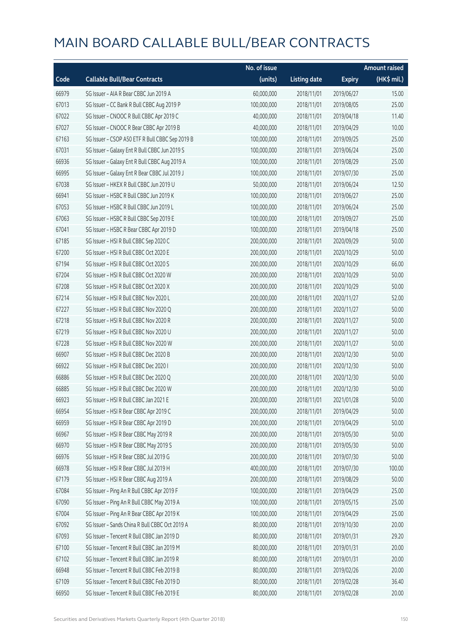|       |                                                 | No. of issue |                     |               | <b>Amount raised</b> |
|-------|-------------------------------------------------|--------------|---------------------|---------------|----------------------|
| Code  | <b>Callable Bull/Bear Contracts</b>             | (units)      | <b>Listing date</b> | <b>Expiry</b> | $(HK\$ mil.)         |
| 66979 | SG Issuer - AIA R Bear CBBC Jun 2019 A          | 60,000,000   | 2018/11/01          | 2019/06/27    | 15.00                |
| 67013 | SG Issuer - CC Bank R Bull CBBC Aug 2019 P      | 100,000,000  | 2018/11/01          | 2019/08/05    | 25.00                |
| 67022 | SG Issuer - CNOOC R Bull CBBC Apr 2019 C        | 40,000,000   | 2018/11/01          | 2019/04/18    | 11.40                |
| 67027 | SG Issuer - CNOOC R Bear CBBC Apr 2019 B        | 40,000,000   | 2018/11/01          | 2019/04/29    | 10.00                |
| 67163 | SG Issuer - CSOP A50 ETF R Bull CBBC Sep 2019 B | 100,000,000  | 2018/11/01          | 2019/09/25    | 25.00                |
| 67031 | SG Issuer - Galaxy Ent R Bull CBBC Jun 2019 S   | 100,000,000  | 2018/11/01          | 2019/06/24    | 25.00                |
| 66936 | SG Issuer - Galaxy Ent R Bull CBBC Aug 2019 A   | 100,000,000  | 2018/11/01          | 2019/08/29    | 25.00                |
| 66995 | SG Issuer - Galaxy Ent R Bear CBBC Jul 2019 J   | 100,000,000  | 2018/11/01          | 2019/07/30    | 25.00                |
| 67038 | SG Issuer - HKEX R Bull CBBC Jun 2019 U         | 50,000,000   | 2018/11/01          | 2019/06/24    | 12.50                |
| 66941 | SG Issuer - HSBC R Bull CBBC Jun 2019 K         | 100,000,000  | 2018/11/01          | 2019/06/27    | 25.00                |
| 67053 | SG Issuer - HSBC R Bull CBBC Jun 2019 L         | 100,000,000  | 2018/11/01          | 2019/06/24    | 25.00                |
| 67063 | SG Issuer - HSBC R Bull CBBC Sep 2019 E         | 100,000,000  | 2018/11/01          | 2019/09/27    | 25.00                |
| 67041 | SG Issuer - HSBC R Bear CBBC Apr 2019 D         | 100,000,000  | 2018/11/01          | 2019/04/18    | 25.00                |
| 67185 | SG Issuer - HSI R Bull CBBC Sep 2020 C          | 200,000,000  | 2018/11/01          | 2020/09/29    | 50.00                |
| 67200 | SG Issuer - HSI R Bull CBBC Oct 2020 E          | 200,000,000  | 2018/11/01          | 2020/10/29    | 50.00                |
| 67194 | SG Issuer - HSI R Bull CBBC Oct 2020 S          | 200,000,000  | 2018/11/01          | 2020/10/29    | 66.00                |
| 67204 | SG Issuer - HSI R Bull CBBC Oct 2020 W          | 200,000,000  | 2018/11/01          | 2020/10/29    | 50.00                |
| 67208 | SG Issuer - HSI R Bull CBBC Oct 2020 X          | 200,000,000  | 2018/11/01          | 2020/10/29    | 50.00                |
| 67214 | SG Issuer - HSI R Bull CBBC Nov 2020 L          | 200,000,000  | 2018/11/01          | 2020/11/27    | 52.00                |
| 67227 | SG Issuer - HSI R Bull CBBC Nov 2020 Q          | 200,000,000  | 2018/11/01          | 2020/11/27    | 50.00                |
| 67218 | SG Issuer - HSI R Bull CBBC Nov 2020 R          | 200,000,000  | 2018/11/01          | 2020/11/27    | 50.00                |
| 67219 | SG Issuer - HSI R Bull CBBC Nov 2020 U          | 200,000,000  | 2018/11/01          | 2020/11/27    | 50.00                |
| 67228 | SG Issuer - HSI R Bull CBBC Nov 2020 W          | 200,000,000  | 2018/11/01          | 2020/11/27    | 50.00                |
| 66907 | SG Issuer - HSI R Bull CBBC Dec 2020 B          | 200,000,000  | 2018/11/01          | 2020/12/30    | 50.00                |
| 66922 | SG Issuer - HSI R Bull CBBC Dec 2020 I          | 200,000,000  | 2018/11/01          | 2020/12/30    | 50.00                |
| 66886 | SG Issuer - HSI R Bull CBBC Dec 2020 Q          | 200,000,000  | 2018/11/01          | 2020/12/30    | 50.00                |
| 66885 | SG Issuer - HSI R Bull CBBC Dec 2020 W          | 200,000,000  | 2018/11/01          | 2020/12/30    | 50.00                |
| 66923 | SG Issuer - HSI R Bull CBBC Jan 2021 E          | 200,000,000  | 2018/11/01          | 2021/01/28    | 50.00                |
| 66954 | SG Issuer - HSI R Bear CBBC Apr 2019 C          | 200,000,000  | 2018/11/01          | 2019/04/29    | 50.00                |
| 66959 | SG Issuer - HSI R Bear CBBC Apr 2019 D          | 200,000,000  | 2018/11/01          | 2019/04/29    | 50.00                |
| 66967 | SG Issuer - HSI R Bear CBBC May 2019 R          | 200,000,000  | 2018/11/01          | 2019/05/30    | 50.00                |
| 66970 | SG Issuer - HSI R Bear CBBC May 2019 S          | 200,000,000  | 2018/11/01          | 2019/05/30    | 50.00                |
| 66976 | SG Issuer - HSI R Bear CBBC Jul 2019 G          | 200,000,000  | 2018/11/01          | 2019/07/30    | 50.00                |
| 66978 | SG Issuer - HSI R Bear CBBC Jul 2019 H          | 400,000,000  | 2018/11/01          | 2019/07/30    | 100.00               |
| 67179 | SG Issuer - HSI R Bear CBBC Aug 2019 A          | 200,000,000  | 2018/11/01          | 2019/08/29    | 50.00                |
| 67084 | SG Issuer - Ping An R Bull CBBC Apr 2019 F      | 100,000,000  | 2018/11/01          | 2019/04/29    | 25.00                |
| 67090 | SG Issuer - Ping An R Bull CBBC May 2019 A      | 100,000,000  | 2018/11/01          | 2019/05/15    | 25.00                |
| 67004 | SG Issuer - Ping An R Bear CBBC Apr 2019 K      | 100,000,000  | 2018/11/01          | 2019/04/29    | 25.00                |
| 67092 | SG Issuer - Sands China R Bull CBBC Oct 2019 A  | 80,000,000   | 2018/11/01          | 2019/10/30    | 20.00                |
| 67093 | SG Issuer - Tencent R Bull CBBC Jan 2019 D      | 80,000,000   | 2018/11/01          | 2019/01/31    | 29.20                |
| 67100 | SG Issuer - Tencent R Bull CBBC Jan 2019 M      | 80,000,000   | 2018/11/01          | 2019/01/31    | 20.00                |
| 67102 | SG Issuer - Tencent R Bull CBBC Jan 2019 R      | 80,000,000   | 2018/11/01          | 2019/01/31    | 20.00                |
| 66948 | SG Issuer - Tencent R Bull CBBC Feb 2019 B      | 80,000,000   | 2018/11/01          | 2019/02/26    | 20.00                |
| 67109 | SG Issuer - Tencent R Bull CBBC Feb 2019 D      | 80,000,000   | 2018/11/01          | 2019/02/28    | 36.40                |
| 66950 | SG Issuer - Tencent R Bull CBBC Feb 2019 E      | 80,000,000   | 2018/11/01          | 2019/02/28    | 20.00                |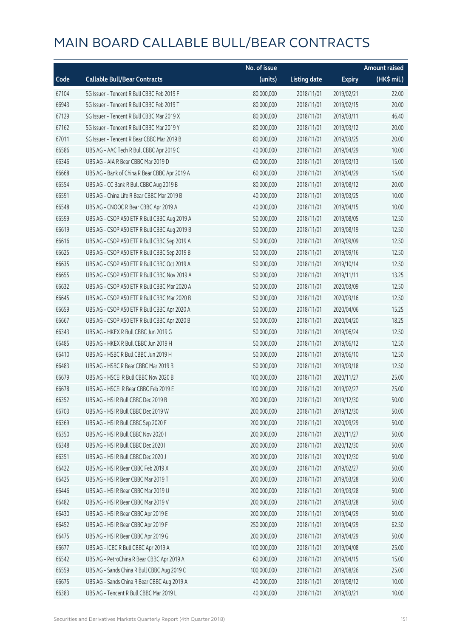|       |                                               | No. of issue |                     |               | <b>Amount raised</b> |
|-------|-----------------------------------------------|--------------|---------------------|---------------|----------------------|
| Code  | <b>Callable Bull/Bear Contracts</b>           | (units)      | <b>Listing date</b> | <b>Expiry</b> | (HK\$ mil.)          |
| 67104 | SG Issuer - Tencent R Bull CBBC Feb 2019 F    | 80,000,000   | 2018/11/01          | 2019/02/21    | 22.00                |
| 66943 | SG Issuer - Tencent R Bull CBBC Feb 2019 T    | 80,000,000   | 2018/11/01          | 2019/02/15    | 20.00                |
| 67129 | SG Issuer - Tencent R Bull CBBC Mar 2019 X    | 80,000,000   | 2018/11/01          | 2019/03/11    | 46.40                |
| 67162 | SG Issuer - Tencent R Bull CBBC Mar 2019 Y    | 80,000,000   | 2018/11/01          | 2019/03/12    | 20.00                |
| 67011 | SG Issuer - Tencent R Bear CBBC Mar 2019 B    | 80,000,000   | 2018/11/01          | 2019/03/25    | 20.00                |
| 66586 | UBS AG - AAC Tech R Bull CBBC Apr 2019 C      | 40,000,000   | 2018/11/01          | 2019/04/29    | 10.00                |
| 66346 | UBS AG - AIA R Bear CBBC Mar 2019 D           | 60,000,000   | 2018/11/01          | 2019/03/13    | 15.00                |
| 66668 | UBS AG - Bank of China R Bear CBBC Apr 2019 A | 60,000,000   | 2018/11/01          | 2019/04/29    | 15.00                |
| 66554 | UBS AG - CC Bank R Bull CBBC Aug 2019 B       | 80,000,000   | 2018/11/01          | 2019/08/12    | 20.00                |
| 66591 | UBS AG - China Life R Bear CBBC Mar 2019 B    | 40,000,000   | 2018/11/01          | 2019/03/25    | 10.00                |
| 66548 | UBS AG - CNOOC R Bear CBBC Apr 2019 A         | 40,000,000   | 2018/11/01          | 2019/04/15    | 10.00                |
| 66599 | UBS AG - CSOP A50 ETF R Bull CBBC Aug 2019 A  | 50,000,000   | 2018/11/01          | 2019/08/05    | 12.50                |
| 66619 | UBS AG - CSOP A50 ETF R Bull CBBC Aug 2019 B  | 50,000,000   | 2018/11/01          | 2019/08/19    | 12.50                |
| 66616 | UBS AG - CSOP A50 ETF R Bull CBBC Sep 2019 A  | 50,000,000   | 2018/11/01          | 2019/09/09    | 12.50                |
| 66625 | UBS AG - CSOP A50 ETF R Bull CBBC Sep 2019 B  | 50,000,000   | 2018/11/01          | 2019/09/16    | 12.50                |
| 66635 | UBS AG - CSOP A50 ETF R Bull CBBC Oct 2019 A  | 50,000,000   | 2018/11/01          | 2019/10/14    | 12.50                |
| 66655 | UBS AG - CSOP A50 ETF R Bull CBBC Nov 2019 A  | 50,000,000   | 2018/11/01          | 2019/11/11    | 13.25                |
| 66632 | UBS AG - CSOP A50 ETF R Bull CBBC Mar 2020 A  | 50,000,000   | 2018/11/01          | 2020/03/09    | 12.50                |
| 66645 | UBS AG - CSOP A50 ETF R Bull CBBC Mar 2020 B  | 50,000,000   | 2018/11/01          | 2020/03/16    | 12.50                |
| 66659 | UBS AG - CSOP A50 ETF R Bull CBBC Apr 2020 A  | 50,000,000   | 2018/11/01          | 2020/04/06    | 15.25                |
| 66667 | UBS AG - CSOP A50 ETF R Bull CBBC Apr 2020 B  | 50,000,000   | 2018/11/01          | 2020/04/20    | 18.25                |
| 66343 | UBS AG - HKEX R Bull CBBC Jun 2019 G          | 50,000,000   | 2018/11/01          | 2019/06/24    | 12.50                |
| 66485 | UBS AG - HKEX R Bull CBBC Jun 2019 H          | 50,000,000   | 2018/11/01          | 2019/06/12    | 12.50                |
| 66410 | UBS AG - HSBC R Bull CBBC Jun 2019 H          | 50,000,000   | 2018/11/01          | 2019/06/10    | 12.50                |
| 66483 | UBS AG - HSBC R Bear CBBC Mar 2019 B          | 50,000,000   | 2018/11/01          | 2019/03/18    | 12.50                |
| 66679 | UBS AG - HSCEI R Bull CBBC Nov 2020 B         | 100,000,000  | 2018/11/01          | 2020/11/27    | 25.00                |
| 66678 | UBS AG - HSCEI R Bear CBBC Feb 2019 E         | 100,000,000  | 2018/11/01          | 2019/02/27    | 25.00                |
| 66352 | UBS AG - HSI R Bull CBBC Dec 2019 B           | 200,000,000  | 2018/11/01          | 2019/12/30    | 50.00                |
| 66703 | UBS AG - HSI R Bull CBBC Dec 2019 W           | 200,000,000  | 2018/11/01          | 2019/12/30    | 50.00                |
| 66369 | UBS AG - HSI R Bull CBBC Sep 2020 F           | 200,000,000  | 2018/11/01          | 2020/09/29    | 50.00                |
| 66350 | UBS AG - HSI R Bull CBBC Nov 2020 I           | 200,000,000  | 2018/11/01          | 2020/11/27    | 50.00                |
| 66348 | UBS AG - HSI R Bull CBBC Dec 2020 I           | 200,000,000  | 2018/11/01          | 2020/12/30    | 50.00                |
| 66351 | UBS AG - HSI R Bull CBBC Dec 2020 J           | 200,000,000  | 2018/11/01          | 2020/12/30    | 50.00                |
| 66422 | UBS AG - HSI R Bear CBBC Feb 2019 X           | 200,000,000  | 2018/11/01          | 2019/02/27    | 50.00                |
| 66425 | UBS AG - HSI R Bear CBBC Mar 2019 T           | 200,000,000  | 2018/11/01          | 2019/03/28    | 50.00                |
| 66446 | UBS AG - HSI R Bear CBBC Mar 2019 U           | 200,000,000  | 2018/11/01          | 2019/03/28    | 50.00                |
| 66482 | UBS AG - HSI R Bear CBBC Mar 2019 V           | 200,000,000  | 2018/11/01          | 2019/03/28    | 50.00                |
| 66430 | UBS AG - HSI R Bear CBBC Apr 2019 E           | 200,000,000  | 2018/11/01          | 2019/04/29    | 50.00                |
| 66452 | UBS AG - HSI R Bear CBBC Apr 2019 F           | 250,000,000  | 2018/11/01          | 2019/04/29    | 62.50                |
| 66475 | UBS AG - HSI R Bear CBBC Apr 2019 G           | 200,000,000  | 2018/11/01          | 2019/04/29    | 50.00                |
| 66677 | UBS AG - ICBC R Bull CBBC Apr 2019 A          | 100,000,000  | 2018/11/01          | 2019/04/08    | 25.00                |
| 66542 | UBS AG - PetroChina R Bear CBBC Apr 2019 A    | 60,000,000   | 2018/11/01          | 2019/04/15    | 15.00                |
| 66559 | UBS AG - Sands China R Bull CBBC Aug 2019 C   | 100,000,000  | 2018/11/01          | 2019/08/26    | 25.00                |
| 66675 | UBS AG - Sands China R Bear CBBC Aug 2019 A   | 40,000,000   | 2018/11/01          | 2019/08/12    | 10.00                |
| 66383 | UBS AG - Tencent R Bull CBBC Mar 2019 L       | 40,000,000   | 2018/11/01          | 2019/03/21    | 10.00                |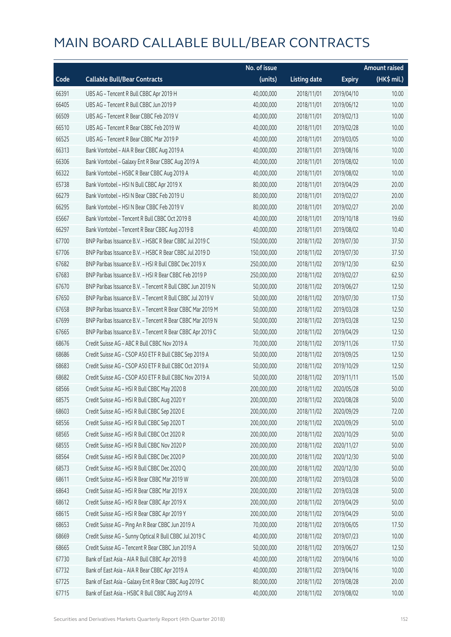|       |                                                            | No. of issue |                     |               | <b>Amount raised</b> |
|-------|------------------------------------------------------------|--------------|---------------------|---------------|----------------------|
| Code  | <b>Callable Bull/Bear Contracts</b>                        | (units)      | <b>Listing date</b> | <b>Expiry</b> | (HK\$ mil.)          |
| 66391 | UBS AG - Tencent R Bull CBBC Apr 2019 H                    | 40,000,000   | 2018/11/01          | 2019/04/10    | 10.00                |
| 66405 | UBS AG - Tencent R Bull CBBC Jun 2019 P                    | 40,000,000   | 2018/11/01          | 2019/06/12    | 10.00                |
| 66509 | UBS AG - Tencent R Bear CBBC Feb 2019 V                    | 40,000,000   | 2018/11/01          | 2019/02/13    | 10.00                |
| 66510 | UBS AG - Tencent R Bear CBBC Feb 2019 W                    | 40,000,000   | 2018/11/01          | 2019/02/28    | 10.00                |
| 66525 | UBS AG - Tencent R Bear CBBC Mar 2019 P                    | 40,000,000   | 2018/11/01          | 2019/03/05    | 10.00                |
| 66313 | Bank Vontobel - AIA R Bear CBBC Aug 2019 A                 | 40,000,000   | 2018/11/01          | 2019/08/16    | 10.00                |
| 66306 | Bank Vontobel - Galaxy Ent R Bear CBBC Aug 2019 A          | 40,000,000   | 2018/11/01          | 2019/08/02    | 10.00                |
| 66322 | Bank Vontobel - HSBC R Bear CBBC Aug 2019 A                | 40,000,000   | 2018/11/01          | 2019/08/02    | 10.00                |
| 65738 | Bank Vontobel - HSI N Bull CBBC Apr 2019 X                 | 80,000,000   | 2018/11/01          | 2019/04/29    | 20.00                |
| 66279 | Bank Vontobel - HSI N Bear CBBC Feb 2019 U                 | 80,000,000   | 2018/11/01          | 2019/02/27    | 20.00                |
| 66295 | Bank Vontobel - HSI N Bear CBBC Feb 2019 V                 | 80,000,000   | 2018/11/01          | 2019/02/27    | 20.00                |
| 65667 | Bank Vontobel - Tencent R Bull CBBC Oct 2019 B             | 40,000,000   | 2018/11/01          | 2019/10/18    | 19.60                |
| 66297 | Bank Vontobel - Tencent R Bear CBBC Aug 2019 B             | 40,000,000   | 2018/11/01          | 2019/08/02    | 10.40                |
| 67700 | BNP Paribas Issuance B.V. - HSBC R Bear CBBC Jul 2019 C    | 150,000,000  | 2018/11/02          | 2019/07/30    | 37.50                |
| 67706 | BNP Paribas Issuance B.V. - HSBC R Bear CBBC Jul 2019 D    | 150,000,000  | 2018/11/02          | 2019/07/30    | 37.50                |
| 67682 | BNP Paribas Issuance B.V. - HSI R Bull CBBC Dec 2019 X     | 250,000,000  | 2018/11/02          | 2019/12/30    | 62.50                |
| 67683 | BNP Paribas Issuance B.V. - HSI R Bear CBBC Feb 2019 P     | 250,000,000  | 2018/11/02          | 2019/02/27    | 62.50                |
| 67670 | BNP Paribas Issuance B.V. - Tencent R Bull CBBC Jun 2019 N | 50,000,000   | 2018/11/02          | 2019/06/27    | 12.50                |
| 67650 | BNP Paribas Issuance B.V. - Tencent R Bull CBBC Jul 2019 V | 50,000,000   | 2018/11/02          | 2019/07/30    | 17.50                |
| 67658 | BNP Paribas Issuance B.V. - Tencent R Bear CBBC Mar 2019 M | 50,000,000   | 2018/11/02          | 2019/03/28    | 12.50                |
| 67699 | BNP Paribas Issuance B.V. - Tencent R Bear CBBC Mar 2019 N | 50,000,000   | 2018/11/02          | 2019/03/28    | 12.50                |
| 67665 | BNP Paribas Issuance B.V. - Tencent R Bear CBBC Apr 2019 C | 50,000,000   | 2018/11/02          | 2019/04/29    | 12.50                |
| 68676 | Credit Suisse AG - ABC R Bull CBBC Nov 2019 A              | 70,000,000   | 2018/11/02          | 2019/11/26    | 17.50                |
| 68686 | Credit Suisse AG - CSOP A50 ETF R Bull CBBC Sep 2019 A     | 50,000,000   | 2018/11/02          | 2019/09/25    | 12.50                |
| 68683 | Credit Suisse AG - CSOP A50 ETF R Bull CBBC Oct 2019 A     | 50,000,000   | 2018/11/02          | 2019/10/29    | 12.50                |
| 68682 | Credit Suisse AG - CSOP A50 ETF R Bull CBBC Nov 2019 A     | 50,000,000   | 2018/11/02          | 2019/11/11    | 15.00                |
| 68566 | Credit Suisse AG - HSI R Bull CBBC May 2020 B              | 200,000,000  | 2018/11/02          | 2020/05/28    | 50.00                |
| 68575 | Credit Suisse AG - HSI R Bull CBBC Aug 2020 Y              | 200,000,000  | 2018/11/02          | 2020/08/28    | 50.00                |
| 68603 | Credit Suisse AG - HSI R Bull CBBC Sep 2020 E              | 200,000,000  | 2018/11/02          | 2020/09/29    | 72.00                |
| 68556 | Credit Suisse AG - HSI R Bull CBBC Sep 2020 T              | 200,000,000  | 2018/11/02          | 2020/09/29    | 50.00                |
| 68565 | Credit Suisse AG - HSI R Bull CBBC Oct 2020 R              | 200,000,000  | 2018/11/02          | 2020/10/29    | 50.00                |
| 68555 | Credit Suisse AG - HSI R Bull CBBC Nov 2020 P              | 200,000,000  | 2018/11/02          | 2020/11/27    | 50.00                |
| 68564 | Credit Suisse AG - HSI R Bull CBBC Dec 2020 P              | 200,000,000  | 2018/11/02          | 2020/12/30    | 50.00                |
| 68573 | Credit Suisse AG - HSI R Bull CBBC Dec 2020 Q              | 200,000,000  | 2018/11/02          | 2020/12/30    | 50.00                |
| 68611 | Credit Suisse AG - HSI R Bear CBBC Mar 2019 W              | 200,000,000  | 2018/11/02          | 2019/03/28    | 50.00                |
| 68643 | Credit Suisse AG - HSI R Bear CBBC Mar 2019 X              | 200,000,000  | 2018/11/02          | 2019/03/28    | 50.00                |
| 68612 | Credit Suisse AG - HSI R Bear CBBC Apr 2019 X              | 200,000,000  | 2018/11/02          | 2019/04/29    | 50.00                |
| 68615 | Credit Suisse AG - HSI R Bear CBBC Apr 2019 Y              | 200,000,000  | 2018/11/02          | 2019/04/29    | 50.00                |
| 68653 | Credit Suisse AG - Ping An R Bear CBBC Jun 2019 A          | 70,000,000   | 2018/11/02          | 2019/06/05    | 17.50                |
| 68669 | Credit Suisse AG - Sunny Optical R Bull CBBC Jul 2019 C    | 40,000,000   | 2018/11/02          | 2019/07/23    | 10.00                |
| 68665 | Credit Suisse AG - Tencent R Bear CBBC Jun 2019 A          | 50,000,000   | 2018/11/02          | 2019/06/27    | 12.50                |
| 67730 | Bank of East Asia - AIA R Bull CBBC Apr 2019 B             | 40,000,000   | 2018/11/02          | 2019/04/16    | 10.00                |
| 67732 | Bank of East Asia - AIA R Bear CBBC Apr 2019 A             | 40,000,000   | 2018/11/02          | 2019/04/16    | 10.00                |
| 67725 | Bank of East Asia - Galaxy Ent R Bear CBBC Aug 2019 C      | 80,000,000   | 2018/11/02          | 2019/08/28    | 20.00                |
| 67715 | Bank of East Asia - HSBC R Bull CBBC Aug 2019 A            | 40,000,000   | 2018/11/02          | 2019/08/02    | 10.00                |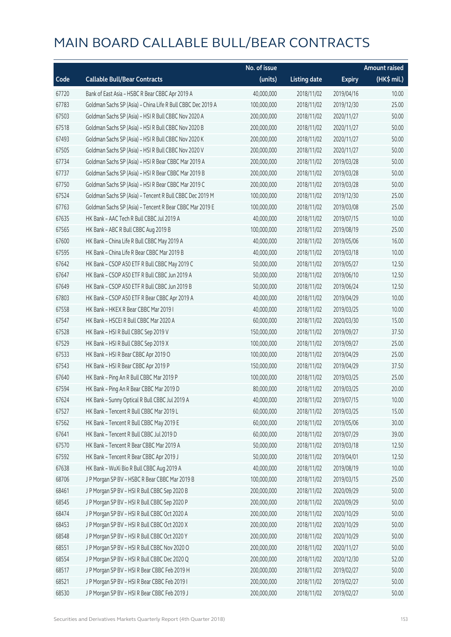|       |                                                             | No. of issue |                     |               | Amount raised |
|-------|-------------------------------------------------------------|--------------|---------------------|---------------|---------------|
| Code  | <b>Callable Bull/Bear Contracts</b>                         | (units)      | <b>Listing date</b> | <b>Expiry</b> | (HK\$ mil.)   |
| 67720 | Bank of East Asia - HSBC R Bear CBBC Apr 2019 A             | 40,000,000   | 2018/11/02          | 2019/04/16    | 10.00         |
| 67783 | Goldman Sachs SP (Asia) - China Life R Bull CBBC Dec 2019 A | 100,000,000  | 2018/11/02          | 2019/12/30    | 25.00         |
| 67503 | Goldman Sachs SP (Asia) - HSI R Bull CBBC Nov 2020 A        | 200,000,000  | 2018/11/02          | 2020/11/27    | 50.00         |
| 67518 | Goldman Sachs SP (Asia) - HSI R Bull CBBC Nov 2020 B        | 200,000,000  | 2018/11/02          | 2020/11/27    | 50.00         |
| 67493 | Goldman Sachs SP (Asia) - HSI R Bull CBBC Nov 2020 K        | 200,000,000  | 2018/11/02          | 2020/11/27    | 50.00         |
| 67505 | Goldman Sachs SP (Asia) - HSI R Bull CBBC Nov 2020 V        | 200,000,000  | 2018/11/02          | 2020/11/27    | 50.00         |
| 67734 | Goldman Sachs SP (Asia) - HSI R Bear CBBC Mar 2019 A        | 200,000,000  | 2018/11/02          | 2019/03/28    | 50.00         |
| 67737 | Goldman Sachs SP (Asia) - HSI R Bear CBBC Mar 2019 B        | 200,000,000  | 2018/11/02          | 2019/03/28    | 50.00         |
| 67750 | Goldman Sachs SP (Asia) - HSI R Bear CBBC Mar 2019 C        | 200,000,000  | 2018/11/02          | 2019/03/28    | 50.00         |
| 67524 | Goldman Sachs SP (Asia) - Tencent R Bull CBBC Dec 2019 M    | 100,000,000  | 2018/11/02          | 2019/12/30    | 25.00         |
| 67763 | Goldman Sachs SP (Asia) - Tencent R Bear CBBC Mar 2019 E    | 100,000,000  | 2018/11/02          | 2019/03/08    | 25.00         |
| 67635 | HK Bank - AAC Tech R Bull CBBC Jul 2019 A                   | 40,000,000   | 2018/11/02          | 2019/07/15    | 10.00         |
| 67565 | HK Bank - ABC R Bull CBBC Aug 2019 B                        | 100,000,000  | 2018/11/02          | 2019/08/19    | 25.00         |
| 67600 | HK Bank - China Life R Bull CBBC May 2019 A                 | 40,000,000   | 2018/11/02          | 2019/05/06    | 16.00         |
| 67595 | HK Bank - China Life R Bear CBBC Mar 2019 B                 | 40,000,000   | 2018/11/02          | 2019/03/18    | 10.00         |
| 67642 | HK Bank - CSOP A50 ETF R Bull CBBC May 2019 C               | 50,000,000   | 2018/11/02          | 2019/05/27    | 12.50         |
| 67647 | HK Bank - CSOP A50 ETF R Bull CBBC Jun 2019 A               | 50,000,000   | 2018/11/02          | 2019/06/10    | 12.50         |
| 67649 | HK Bank - CSOP A50 ETF R Bull CBBC Jun 2019 B               | 50,000,000   | 2018/11/02          | 2019/06/24    | 12.50         |
| 67803 | HK Bank - CSOP A50 ETF R Bear CBBC Apr 2019 A               | 40,000,000   | 2018/11/02          | 2019/04/29    | 10.00         |
| 67558 | HK Bank - HKEX R Bear CBBC Mar 2019 I                       | 40,000,000   | 2018/11/02          | 2019/03/25    | 10.00         |
| 67547 | HK Bank - HSCEI R Bull CBBC Mar 2020 A                      | 60,000,000   | 2018/11/02          | 2020/03/30    | 15.00         |
| 67528 | HK Bank - HSI R Bull CBBC Sep 2019 V                        | 150,000,000  | 2018/11/02          | 2019/09/27    | 37.50         |
| 67529 | HK Bank - HSI R Bull CBBC Sep 2019 X                        | 100,000,000  | 2018/11/02          | 2019/09/27    | 25.00         |
| 67533 | HK Bank - HSI R Bear CBBC Apr 2019 O                        | 100,000,000  | 2018/11/02          | 2019/04/29    | 25.00         |
| 67543 | HK Bank - HSI R Bear CBBC Apr 2019 P                        | 150,000,000  | 2018/11/02          | 2019/04/29    | 37.50         |
| 67640 | HK Bank - Ping An R Bull CBBC Mar 2019 P                    | 100,000,000  | 2018/11/02          | 2019/03/25    | 25.00         |
| 67594 | HK Bank - Ping An R Bear CBBC Mar 2019 D                    | 80,000,000   | 2018/11/02          | 2019/03/25    | 20.00         |
| 67624 | HK Bank - Sunny Optical R Bull CBBC Jul 2019 A              | 40,000,000   | 2018/11/02          | 2019/07/15    | 10.00         |
| 67527 | HK Bank - Tencent R Bull CBBC Mar 2019 L                    | 60,000,000   | 2018/11/02          | 2019/03/25    | 15.00         |
| 67562 | HK Bank - Tencent R Bull CBBC May 2019 E                    | 60,000,000   | 2018/11/02          | 2019/05/06    | 30.00         |
| 67641 | HK Bank - Tencent R Bull CBBC Jul 2019 D                    | 60,000,000   | 2018/11/02          | 2019/07/29    | 39.00         |
| 67570 | HK Bank - Tencent R Bear CBBC Mar 2019 A                    | 50,000,000   | 2018/11/02          | 2019/03/18    | 12.50         |
| 67592 | HK Bank - Tencent R Bear CBBC Apr 2019 J                    | 50,000,000   | 2018/11/02          | 2019/04/01    | 12.50         |
| 67638 | HK Bank - WuXi Bio R Bull CBBC Aug 2019 A                   | 40,000,000   | 2018/11/02          | 2019/08/19    | 10.00         |
| 68706 | J P Morgan SP BV - HSBC R Bear CBBC Mar 2019 B              | 100,000,000  | 2018/11/02          | 2019/03/15    | 25.00         |
| 68461 | J P Morgan SP BV - HSI R Bull CBBC Sep 2020 B               | 200,000,000  | 2018/11/02          | 2020/09/29    | 50.00         |
| 68545 | J P Morgan SP BV - HSI R Bull CBBC Sep 2020 P               | 200,000,000  | 2018/11/02          | 2020/09/29    | 50.00         |
| 68474 | J P Morgan SP BV - HSI R Bull CBBC Oct 2020 A               | 200,000,000  | 2018/11/02          | 2020/10/29    | 50.00         |
| 68453 | J P Morgan SP BV - HSI R Bull CBBC Oct 2020 X               | 200,000,000  | 2018/11/02          | 2020/10/29    | 50.00         |
| 68548 | J P Morgan SP BV - HSI R Bull CBBC Oct 2020 Y               | 200,000,000  | 2018/11/02          | 2020/10/29    | 50.00         |
| 68551 | J P Morgan SP BV - HSI R Bull CBBC Nov 2020 O               | 200,000,000  | 2018/11/02          | 2020/11/27    | 50.00         |
| 68554 | J P Morgan SP BV - HSI R Bull CBBC Dec 2020 Q               | 200,000,000  | 2018/11/02          | 2020/12/30    | 52.00         |
| 68517 | J P Morgan SP BV - HSI R Bear CBBC Feb 2019 H               | 200,000,000  | 2018/11/02          | 2019/02/27    | 50.00         |
| 68521 | J P Morgan SP BV - HSI R Bear CBBC Feb 2019 I               | 200,000,000  | 2018/11/02          | 2019/02/27    | 50.00         |
| 68530 | J P Morgan SP BV - HSI R Bear CBBC Feb 2019 J               | 200,000,000  | 2018/11/02          | 2019/02/27    | 50.00         |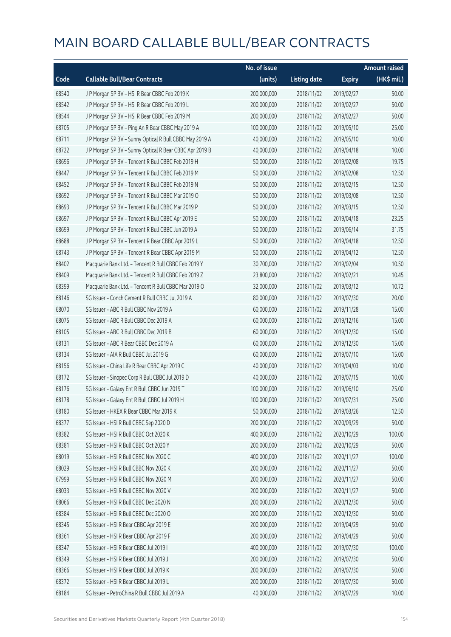|       |                                                         | No. of issue |                     |               | <b>Amount raised</b> |
|-------|---------------------------------------------------------|--------------|---------------------|---------------|----------------------|
| Code  | <b>Callable Bull/Bear Contracts</b>                     | (units)      | <b>Listing date</b> | <b>Expiry</b> | (HK\$ mil.)          |
| 68540 | JP Morgan SP BV - HSIR Bear CBBC Feb 2019 K             | 200,000,000  | 2018/11/02          | 2019/02/27    | 50.00                |
| 68542 | JP Morgan SP BV - HSIR Bear CBBC Feb 2019 L             | 200,000,000  | 2018/11/02          | 2019/02/27    | 50.00                |
| 68544 | J P Morgan SP BV - HSI R Bear CBBC Feb 2019 M           | 200,000,000  | 2018/11/02          | 2019/02/27    | 50.00                |
| 68705 | J P Morgan SP BV - Ping An R Bear CBBC May 2019 A       | 100,000,000  | 2018/11/02          | 2019/05/10    | 25.00                |
| 68711 | J P Morgan SP BV - Sunny Optical R Bull CBBC May 2019 A | 40,000,000   | 2018/11/02          | 2019/05/10    | 10.00                |
| 68722 | J P Morgan SP BV - Sunny Optical R Bear CBBC Apr 2019 B | 40,000,000   | 2018/11/02          | 2019/04/18    | 10.00                |
| 68696 | J P Morgan SP BV - Tencent R Bull CBBC Feb 2019 H       | 50,000,000   | 2018/11/02          | 2019/02/08    | 19.75                |
| 68447 | J P Morgan SP BV - Tencent R Bull CBBC Feb 2019 M       | 50,000,000   | 2018/11/02          | 2019/02/08    | 12.50                |
| 68452 | J P Morgan SP BV - Tencent R Bull CBBC Feb 2019 N       | 50,000,000   | 2018/11/02          | 2019/02/15    | 12.50                |
| 68692 | J P Morgan SP BV - Tencent R Bull CBBC Mar 2019 O       | 50,000,000   | 2018/11/02          | 2019/03/08    | 12.50                |
| 68693 | J P Morgan SP BV - Tencent R Bull CBBC Mar 2019 P       | 50,000,000   | 2018/11/02          | 2019/03/15    | 12.50                |
| 68697 | J P Morgan SP BV - Tencent R Bull CBBC Apr 2019 E       | 50,000,000   | 2018/11/02          | 2019/04/18    | 23.25                |
| 68699 | J P Morgan SP BV - Tencent R Bull CBBC Jun 2019 A       | 50,000,000   | 2018/11/02          | 2019/06/14    | 31.75                |
| 68688 | J P Morgan SP BV - Tencent R Bear CBBC Apr 2019 L       | 50,000,000   | 2018/11/02          | 2019/04/18    | 12.50                |
| 68743 | J P Morgan SP BV - Tencent R Bear CBBC Apr 2019 M       | 50,000,000   | 2018/11/02          | 2019/04/12    | 12.50                |
| 68402 | Macquarie Bank Ltd. - Tencent R Bull CBBC Feb 2019 Y    | 30,700,000   | 2018/11/02          | 2019/02/04    | 10.50                |
| 68409 | Macquarie Bank Ltd. - Tencent R Bull CBBC Feb 2019 Z    | 23,800,000   | 2018/11/02          | 2019/02/21    | 10.45                |
| 68399 | Macquarie Bank Ltd. - Tencent R Bull CBBC Mar 2019 O    | 32,000,000   | 2018/11/02          | 2019/03/12    | 10.72                |
| 68146 | SG Issuer - Conch Cement R Bull CBBC Jul 2019 A         | 80,000,000   | 2018/11/02          | 2019/07/30    | 20.00                |
| 68070 | SG Issuer - ABC R Bull CBBC Nov 2019 A                  | 60,000,000   | 2018/11/02          | 2019/11/28    | 15.00                |
| 68075 | SG Issuer - ABC R Bull CBBC Dec 2019 A                  | 60,000,000   | 2018/11/02          | 2019/12/16    | 15.00                |
| 68105 | SG Issuer - ABC R Bull CBBC Dec 2019 B                  | 60,000,000   | 2018/11/02          | 2019/12/30    | 15.00                |
| 68131 | SG Issuer - ABC R Bear CBBC Dec 2019 A                  | 60,000,000   | 2018/11/02          | 2019/12/30    | 15.00                |
| 68134 | SG Issuer - AIA R Bull CBBC Jul 2019 G                  | 60,000,000   | 2018/11/02          | 2019/07/10    | 15.00                |
| 68156 | SG Issuer - China Life R Bear CBBC Apr 2019 C           | 40,000,000   | 2018/11/02          | 2019/04/03    | 10.00                |
| 68172 | SG Issuer - Sinopec Corp R Bull CBBC Jul 2019 D         | 40,000,000   | 2018/11/02          | 2019/07/15    | 10.00                |
| 68176 | SG Issuer - Galaxy Ent R Bull CBBC Jun 2019 T           | 100,000,000  | 2018/11/02          | 2019/06/10    | 25.00                |
| 68178 | SG Issuer - Galaxy Ent R Bull CBBC Jul 2019 H           | 100,000,000  | 2018/11/02          | 2019/07/31    | 25.00                |
| 68180 | SG Issuer - HKEX R Bear CBBC Mar 2019 K                 | 50,000,000   | 2018/11/02          | 2019/03/26    | 12.50                |
| 68377 | SG Issuer - HSI R Bull CBBC Sep 2020 D                  | 200,000,000  | 2018/11/02          | 2020/09/29    | 50.00                |
| 68382 | SG Issuer - HSI R Bull CBBC Oct 2020 K                  | 400,000,000  | 2018/11/02          | 2020/10/29    | 100.00               |
| 68381 | SG Issuer - HSI R Bull CBBC Oct 2020 Y                  | 200,000,000  | 2018/11/02          | 2020/10/29    | 50.00                |
| 68019 | SG Issuer - HSI R Bull CBBC Nov 2020 C                  | 400,000,000  | 2018/11/02          | 2020/11/27    | 100.00               |
| 68029 | SG Issuer - HSI R Bull CBBC Nov 2020 K                  | 200,000,000  | 2018/11/02          | 2020/11/27    | 50.00                |
| 67999 | SG Issuer - HSI R Bull CBBC Nov 2020 M                  | 200,000,000  | 2018/11/02          | 2020/11/27    | 50.00                |
| 68033 | SG Issuer - HSI R Bull CBBC Nov 2020 V                  | 200,000,000  | 2018/11/02          | 2020/11/27    | 50.00                |
| 68066 | SG Issuer - HSI R Bull CBBC Dec 2020 N                  | 200,000,000  | 2018/11/02          | 2020/12/30    | 50.00                |
| 68384 | SG Issuer - HSI R Bull CBBC Dec 2020 O                  | 200,000,000  | 2018/11/02          | 2020/12/30    | 50.00                |
| 68345 | SG Issuer - HSI R Bear CBBC Apr 2019 E                  | 200,000,000  | 2018/11/02          | 2019/04/29    | 50.00                |
| 68361 | SG Issuer - HSI R Bear CBBC Apr 2019 F                  | 200,000,000  | 2018/11/02          | 2019/04/29    | 50.00                |
| 68347 | SG Issuer - HSI R Bear CBBC Jul 2019 I                  | 400,000,000  | 2018/11/02          | 2019/07/30    | 100.00               |
| 68349 | SG Issuer - HSI R Bear CBBC Jul 2019 J                  | 200,000,000  | 2018/11/02          | 2019/07/30    | 50.00                |
| 68366 | SG Issuer - HSI R Bear CBBC Jul 2019 K                  | 200,000,000  | 2018/11/02          | 2019/07/30    | 50.00                |
| 68372 | SG Issuer - HSI R Bear CBBC Jul 2019 L                  | 200,000,000  | 2018/11/02          | 2019/07/30    | 50.00                |
| 68184 | SG Issuer - PetroChina R Bull CBBC Jul 2019 A           | 40,000,000   | 2018/11/02          | 2019/07/29    | 10.00                |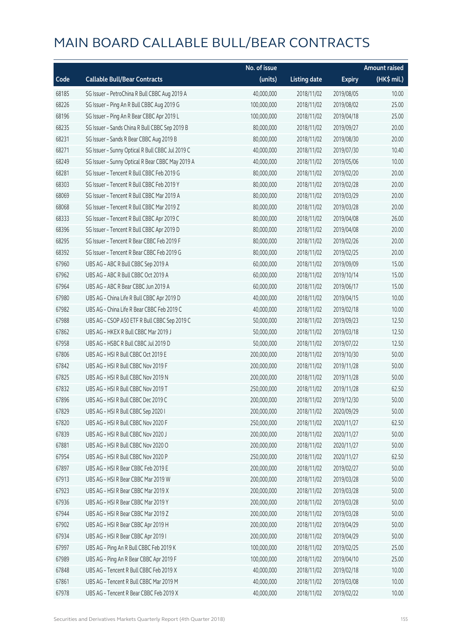|       |                                                  | No. of issue |                     |               | <b>Amount raised</b> |
|-------|--------------------------------------------------|--------------|---------------------|---------------|----------------------|
| Code  | <b>Callable Bull/Bear Contracts</b>              | (units)      | <b>Listing date</b> | <b>Expiry</b> | (HK\$ mil.)          |
| 68185 | SG Issuer - PetroChina R Bull CBBC Aug 2019 A    | 40,000,000   | 2018/11/02          | 2019/08/05    | 10.00                |
| 68226 | SG Issuer - Ping An R Bull CBBC Aug 2019 G       | 100,000,000  | 2018/11/02          | 2019/08/02    | 25.00                |
| 68196 | SG Issuer - Ping An R Bear CBBC Apr 2019 L       | 100,000,000  | 2018/11/02          | 2019/04/18    | 25.00                |
| 68235 | SG Issuer - Sands China R Bull CBBC Sep 2019 B   | 80,000,000   | 2018/11/02          | 2019/09/27    | 20.00                |
| 68231 | SG Issuer - Sands R Bear CBBC Aug 2019 B         | 80,000,000   | 2018/11/02          | 2019/08/30    | 20.00                |
| 68271 | SG Issuer - Sunny Optical R Bull CBBC Jul 2019 C | 40,000,000   | 2018/11/02          | 2019/07/30    | 10.40                |
| 68249 | SG Issuer - Sunny Optical R Bear CBBC May 2019 A | 40,000,000   | 2018/11/02          | 2019/05/06    | 10.00                |
| 68281 | SG Issuer - Tencent R Bull CBBC Feb 2019 G       | 80,000,000   | 2018/11/02          | 2019/02/20    | 20.00                |
| 68303 | SG Issuer - Tencent R Bull CBBC Feb 2019 Y       | 80,000,000   | 2018/11/02          | 2019/02/28    | 20.00                |
| 68069 | SG Issuer - Tencent R Bull CBBC Mar 2019 A       | 80,000,000   | 2018/11/02          | 2019/03/29    | 20.00                |
| 68068 | SG Issuer - Tencent R Bull CBBC Mar 2019 Z       | 80,000,000   | 2018/11/02          | 2019/03/28    | 20.00                |
| 68333 | SG Issuer - Tencent R Bull CBBC Apr 2019 C       | 80,000,000   | 2018/11/02          | 2019/04/08    | 26.00                |
| 68396 | SG Issuer - Tencent R Bull CBBC Apr 2019 D       | 80,000,000   | 2018/11/02          | 2019/04/08    | 20.00                |
| 68295 | SG Issuer - Tencent R Bear CBBC Feb 2019 F       | 80,000,000   | 2018/11/02          | 2019/02/26    | 20.00                |
| 68392 | SG Issuer - Tencent R Bear CBBC Feb 2019 G       | 80,000,000   | 2018/11/02          | 2019/02/25    | 20.00                |
| 67960 | UBS AG - ABC R Bull CBBC Sep 2019 A              | 60,000,000   | 2018/11/02          | 2019/09/09    | 15.00                |
| 67962 | UBS AG - ABC R Bull CBBC Oct 2019 A              | 60,000,000   | 2018/11/02          | 2019/10/14    | 15.00                |
| 67964 | UBS AG - ABC R Bear CBBC Jun 2019 A              | 60,000,000   | 2018/11/02          | 2019/06/17    | 15.00                |
| 67980 | UBS AG - China Life R Bull CBBC Apr 2019 D       | 40,000,000   | 2018/11/02          | 2019/04/15    | 10.00                |
| 67982 | UBS AG - China Life R Bear CBBC Feb 2019 C       | 40,000,000   | 2018/11/02          | 2019/02/18    | 10.00                |
| 67988 | UBS AG - CSOP A50 ETF R Bull CBBC Sep 2019 C     | 50,000,000   | 2018/11/02          | 2019/09/23    | 12.50                |
| 67862 | UBS AG - HKEX R Bull CBBC Mar 2019 J             | 50,000,000   | 2018/11/02          | 2019/03/18    | 12.50                |
| 67958 | UBS AG - HSBC R Bull CBBC Jul 2019 D             | 50,000,000   | 2018/11/02          | 2019/07/22    | 12.50                |
| 67806 | UBS AG - HSI R Bull CBBC Oct 2019 E              | 200,000,000  | 2018/11/02          | 2019/10/30    | 50.00                |
| 67842 | UBS AG - HSI R Bull CBBC Nov 2019 F              | 200,000,000  | 2018/11/02          | 2019/11/28    | 50.00                |
| 67825 | UBS AG - HSI R Bull CBBC Nov 2019 N              | 200,000,000  | 2018/11/02          | 2019/11/28    | 50.00                |
| 67832 | UBS AG - HSI R Bull CBBC Nov 2019 T              | 250,000,000  | 2018/11/02          | 2019/11/28    | 62.50                |
| 67896 | UBS AG - HSI R Bull CBBC Dec 2019 C              | 200,000,000  | 2018/11/02          | 2019/12/30    | 50.00                |
| 67829 | UBS AG - HSI R Bull CBBC Sep 2020 I              | 200,000,000  | 2018/11/02          | 2020/09/29    | 50.00                |
| 67820 | UBS AG - HSI R Bull CBBC Nov 2020 F              | 250,000,000  | 2018/11/02          | 2020/11/27    | 62.50                |
| 67839 | UBS AG - HSI R Bull CBBC Nov 2020 J              | 200,000,000  | 2018/11/02          | 2020/11/27    | 50.00                |
| 67881 | UBS AG - HSI R Bull CBBC Nov 2020 O              | 200,000,000  | 2018/11/02          | 2020/11/27    | 50.00                |
| 67954 | UBS AG - HSI R Bull CBBC Nov 2020 P              | 250,000,000  | 2018/11/02          | 2020/11/27    | 62.50                |
| 67897 | UBS AG - HSI R Bear CBBC Feb 2019 E              | 200,000,000  | 2018/11/02          | 2019/02/27    | 50.00                |
| 67913 | UBS AG - HSI R Bear CBBC Mar 2019 W              | 200,000,000  | 2018/11/02          | 2019/03/28    | 50.00                |
| 67923 | UBS AG - HSI R Bear CBBC Mar 2019 X              | 200,000,000  | 2018/11/02          | 2019/03/28    | 50.00                |
| 67936 | UBS AG - HSI R Bear CBBC Mar 2019 Y              | 200,000,000  | 2018/11/02          | 2019/03/28    | 50.00                |
| 67944 | UBS AG - HSI R Bear CBBC Mar 2019 Z              | 200,000,000  | 2018/11/02          | 2019/03/28    | 50.00                |
| 67902 | UBS AG - HSI R Bear CBBC Apr 2019 H              | 200,000,000  | 2018/11/02          | 2019/04/29    | 50.00                |
| 67934 | UBS AG - HSI R Bear CBBC Apr 2019 I              | 200,000,000  | 2018/11/02          | 2019/04/29    | 50.00                |
| 67997 | UBS AG - Ping An R Bull CBBC Feb 2019 K          | 100,000,000  | 2018/11/02          | 2019/02/25    | 25.00                |
| 67989 | UBS AG - Ping An R Bear CBBC Apr 2019 F          | 100,000,000  | 2018/11/02          | 2019/04/10    | 25.00                |
| 67848 | UBS AG - Tencent R Bull CBBC Feb 2019 X          | 40,000,000   | 2018/11/02          | 2019/02/18    | 10.00                |
| 67861 | UBS AG - Tencent R Bull CBBC Mar 2019 M          | 40,000,000   | 2018/11/02          | 2019/03/08    | 10.00                |
| 67978 | UBS AG - Tencent R Bear CBBC Feb 2019 X          | 40,000,000   | 2018/11/02          | 2019/02/22    | 10.00                |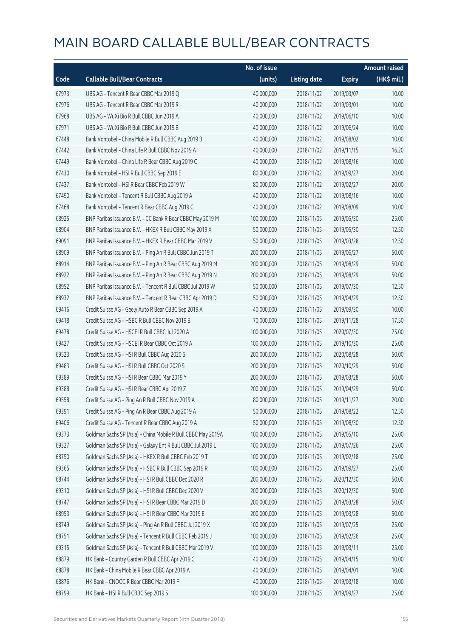|       |                                                              | No. of issue |                     |               | <b>Amount raised</b> |
|-------|--------------------------------------------------------------|--------------|---------------------|---------------|----------------------|
| Code  | <b>Callable Bull/Bear Contracts</b>                          | (units)      | <b>Listing date</b> | <b>Expiry</b> | $(HK\$ mil.)         |
| 67973 | UBS AG - Tencent R Bear CBBC Mar 2019 Q                      | 40,000,000   | 2018/11/02          | 2019/03/07    | 10.00                |
| 67976 | UBS AG - Tencent R Bear CBBC Mar 2019 R                      | 40,000,000   | 2018/11/02          | 2019/03/01    | 10.00                |
| 67968 | UBS AG - WuXi Bio R Bull CBBC Jun 2019 A                     | 40,000,000   | 2018/11/02          | 2019/06/10    | 10.00                |
| 67971 | UBS AG - WuXi Bio R Bull CBBC Jun 2019 B                     | 40,000,000   | 2018/11/02          | 2019/06/24    | 10.00                |
| 67448 | Bank Vontobel - China Mobile R Bull CBBC Aug 2019 B          | 40,000,000   | 2018/11/02          | 2019/08/02    | 10.00                |
| 67442 | Bank Vontobel - China Life R Bull CBBC Nov 2019 A            | 40,000,000   | 2018/11/02          | 2019/11/15    | 16.20                |
| 67449 | Bank Vontobel - China Life R Bear CBBC Aug 2019 C            | 40,000,000   | 2018/11/02          | 2019/08/16    | 10.00                |
| 67430 | Bank Vontobel - HSI R Bull CBBC Sep 2019 E                   | 80,000,000   | 2018/11/02          | 2019/09/27    | 20.00                |
| 67437 | Bank Vontobel - HSI R Bear CBBC Feb 2019 W                   | 80,000,000   | 2018/11/02          | 2019/02/27    | 20.00                |
| 67490 | Bank Vontobel - Tencent R Bull CBBC Aug 2019 A               | 40,000,000   | 2018/11/02          | 2019/08/16    | 10.00                |
| 67468 | Bank Vontobel - Tencent R Bear CBBC Aug 2019 C               | 40,000,000   | 2018/11/02          | 2019/08/09    | 10.00                |
| 68925 | BNP Paribas Issuance B.V. - CC Bank R Bear CBBC May 2019 M   | 100,000,000  | 2018/11/05          | 2019/05/30    | 25.00                |
| 68904 | BNP Paribas Issuance B.V. - HKEX R Bull CBBC May 2019 X      | 50,000,000   | 2018/11/05          | 2019/05/30    | 12.50                |
| 69091 | BNP Paribas Issuance B.V. - HKEX R Bear CBBC Mar 2019 V      | 50,000,000   | 2018/11/05          | 2019/03/28    | 12.50                |
| 68909 | BNP Paribas Issuance B.V. - Ping An R Bull CBBC Jun 2019 T   | 200,000,000  | 2018/11/05          | 2019/06/27    | 50.00                |
| 68914 | BNP Paribas Issuance B.V. - Ping An R Bear CBBC Aug 2019 M   | 200,000,000  | 2018/11/05          | 2019/08/29    | 50.00                |
| 68922 | BNP Paribas Issuance B.V. - Ping An R Bear CBBC Aug 2019 N   | 200,000,000  | 2018/11/05          | 2019/08/29    | 50.00                |
| 68952 | BNP Paribas Issuance B.V. - Tencent R Bull CBBC Jul 2019 W   | 50,000,000   | 2018/11/05          | 2019/07/30    | 12.50                |
| 68932 | BNP Paribas Issuance B.V. - Tencent R Bear CBBC Apr 2019 D   | 50,000,000   | 2018/11/05          | 2019/04/29    | 12.50                |
| 69416 | Credit Suisse AG - Geely Auto R Bear CBBC Sep 2019 A         | 40,000,000   | 2018/11/05          | 2019/09/30    | 10.00                |
| 69418 | Credit Suisse AG - HSBC R Bull CBBC Nov 2019 B               | 70,000,000   | 2018/11/05          | 2019/11/28    | 17.50                |
| 69478 | Credit Suisse AG - HSCEI R Bull CBBC Jul 2020 A              | 100,000,000  | 2018/11/05          | 2020/07/30    | 25.00                |
| 69427 | Credit Suisse AG - HSCEI R Bear CBBC Oct 2019 A              | 100,000,000  | 2018/11/05          | 2019/10/30    | 25.00                |
| 69523 | Credit Suisse AG - HSI R Bull CBBC Aug 2020 S                | 200,000,000  | 2018/11/05          | 2020/08/28    | 50.00                |
| 69483 | Credit Suisse AG - HSI R Bull CBBC Oct 2020 S                | 200,000,000  | 2018/11/05          | 2020/10/29    | 50.00                |
| 69389 | Credit Suisse AG - HSI R Bear CBBC Mar 2019 Y                | 200,000,000  | 2018/11/05          | 2019/03/28    | 50.00                |
| 69388 | Credit Suisse AG - HSI R Bear CBBC Apr 2019 Z                | 200,000,000  | 2018/11/05          | 2019/04/29    | 50.00                |
| 69558 | Credit Suisse AG - Ping An R Bull CBBC Nov 2019 A            | 80,000,000   | 2018/11/05          | 2019/11/27    | 20.00                |
| 69391 | Credit Suisse AG - Ping An R Bear CBBC Aug 2019 A            | 50,000,000   | 2018/11/05          | 2019/08/22    | 12.50                |
| 69406 | Credit Suisse AG - Tencent R Bear CBBC Aug 2019 A            | 50,000,000   | 2018/11/05          | 2019/08/30    | 12.50                |
| 69373 | Goldman Sachs SP (Asia) - China Mobile R Bull CBBC May 2019A | 100,000,000  | 2018/11/05          | 2019/05/10    | 25.00                |
| 69327 | Goldman Sachs SP (Asia) - Galaxy Ent R Bull CBBC Jul 2019 L  | 100,000,000  | 2018/11/05          | 2019/07/26    | 25.00                |
| 68750 | Goldman Sachs SP (Asia) - HKEX R Bull CBBC Feb 2019 T        | 100,000,000  | 2018/11/05          | 2019/02/18    | 25.00                |
| 69365 | Goldman Sachs SP (Asia) - HSBC R Bull CBBC Sep 2019 R        | 100,000,000  | 2018/11/05          | 2019/09/27    | 25.00                |
| 68744 | Goldman Sachs SP (Asia) - HSI R Bull CBBC Dec 2020 R         | 200,000,000  | 2018/11/05          | 2020/12/30    | 50.00                |
| 69310 | Goldman Sachs SP (Asia) - HSI R Bull CBBC Dec 2020 V         | 200,000,000  | 2018/11/05          | 2020/12/30    | 50.00                |
| 68747 | Goldman Sachs SP (Asia) - HSI R Bear CBBC Mar 2019 D         | 200,000,000  | 2018/11/05          | 2019/03/28    | 50.00                |
| 68953 | Goldman Sachs SP (Asia) - HSI R Bear CBBC Mar 2019 E         | 200,000,000  | 2018/11/05          | 2019/03/28    | 50.00                |
| 68749 | Goldman Sachs SP (Asia) - Ping An R Bull CBBC Jul 2019 X     | 100,000,000  | 2018/11/05          | 2019/07/25    | 25.00                |
| 68751 | Goldman Sachs SP (Asia) - Tencent R Bull CBBC Feb 2019 J     | 100,000,000  | 2018/11/05          | 2019/02/26    | 25.00                |
| 69315 | Goldman Sachs SP (Asia) - Tencent R Bull CBBC Mar 2019 V     | 100,000,000  | 2018/11/05          | 2019/03/11    | 25.00                |
| 68879 | HK Bank - Country Garden R Bull CBBC Apr 2019 C              | 40,000,000   | 2018/11/05          | 2019/04/15    | 10.00                |
| 68878 | HK Bank - China Mobile R Bear CBBC Apr 2019 A                | 40,000,000   | 2018/11/05          | 2019/04/01    | 10.00                |
| 68876 | HK Bank - CNOOC R Bear CBBC Mar 2019 F                       | 40,000,000   | 2018/11/05          | 2019/03/18    | 10.00                |
| 68799 | HK Bank - HSI R Bull CBBC Sep 2019 S                         | 100,000,000  | 2018/11/05          | 2019/09/27    | 25.00                |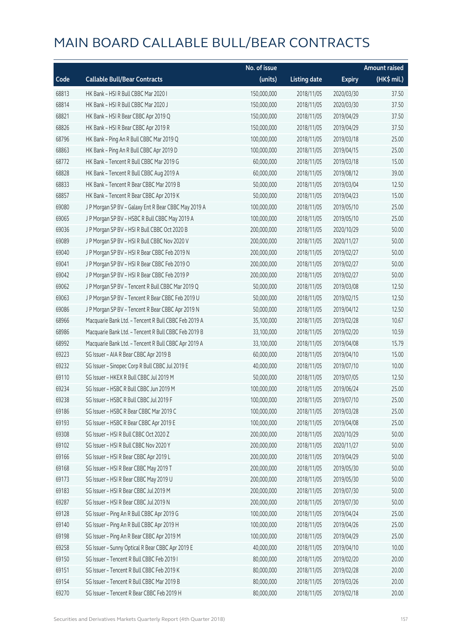|       |                                                      | No. of issue |                     |               | <b>Amount raised</b> |
|-------|------------------------------------------------------|--------------|---------------------|---------------|----------------------|
| Code  | <b>Callable Bull/Bear Contracts</b>                  | (units)      | <b>Listing date</b> | <b>Expiry</b> | (HK\$ mil.)          |
| 68813 | HK Bank - HSI R Bull CBBC Mar 2020 I                 | 150,000,000  | 2018/11/05          | 2020/03/30    | 37.50                |
| 68814 | HK Bank - HSI R Bull CBBC Mar 2020 J                 | 150,000,000  | 2018/11/05          | 2020/03/30    | 37.50                |
| 68821 | HK Bank - HSI R Bear CBBC Apr 2019 Q                 | 150,000,000  | 2018/11/05          | 2019/04/29    | 37.50                |
| 68826 | HK Bank - HSI R Bear CBBC Apr 2019 R                 | 150,000,000  | 2018/11/05          | 2019/04/29    | 37.50                |
| 68796 | HK Bank - Ping An R Bull CBBC Mar 2019 Q             | 100,000,000  | 2018/11/05          | 2019/03/18    | 25.00                |
| 68863 | HK Bank - Ping An R Bull CBBC Apr 2019 D             | 100,000,000  | 2018/11/05          | 2019/04/15    | 25.00                |
| 68772 | HK Bank - Tencent R Bull CBBC Mar 2019 G             | 60,000,000   | 2018/11/05          | 2019/03/18    | 15.00                |
| 68828 | HK Bank - Tencent R Bull CBBC Aug 2019 A             | 60,000,000   | 2018/11/05          | 2019/08/12    | 39.00                |
| 68833 | HK Bank - Tencent R Bear CBBC Mar 2019 B             | 50,000,000   | 2018/11/05          | 2019/03/04    | 12.50                |
| 68857 | HK Bank - Tencent R Bear CBBC Apr 2019 K             | 50,000,000   | 2018/11/05          | 2019/04/23    | 15.00                |
| 69080 | J P Morgan SP BV - Galaxy Ent R Bear CBBC May 2019 A | 100,000,000  | 2018/11/05          | 2019/05/10    | 25.00                |
| 69065 | J P Morgan SP BV - HSBC R Bull CBBC May 2019 A       | 100,000,000  | 2018/11/05          | 2019/05/10    | 25.00                |
| 69036 | J P Morgan SP BV - HSI R Bull CBBC Oct 2020 B        | 200,000,000  | 2018/11/05          | 2020/10/29    | 50.00                |
| 69089 | J P Morgan SP BV - HSI R Bull CBBC Nov 2020 V        | 200,000,000  | 2018/11/05          | 2020/11/27    | 50.00                |
| 69040 | J P Morgan SP BV - HSI R Bear CBBC Feb 2019 N        | 200,000,000  | 2018/11/05          | 2019/02/27    | 50.00                |
| 69041 | J P Morgan SP BV - HSI R Bear CBBC Feb 2019 O        | 200,000,000  | 2018/11/05          | 2019/02/27    | 50.00                |
| 69042 | J P Morgan SP BV - HSI R Bear CBBC Feb 2019 P        | 200,000,000  | 2018/11/05          | 2019/02/27    | 50.00                |
| 69062 | J P Morgan SP BV - Tencent R Bull CBBC Mar 2019 Q    | 50,000,000   | 2018/11/05          | 2019/03/08    | 12.50                |
| 69063 | J P Morgan SP BV - Tencent R Bear CBBC Feb 2019 U    | 50,000,000   | 2018/11/05          | 2019/02/15    | 12.50                |
| 69086 | J P Morgan SP BV - Tencent R Bear CBBC Apr 2019 N    | 50,000,000   | 2018/11/05          | 2019/04/12    | 12.50                |
| 68966 | Macquarie Bank Ltd. - Tencent R Bull CBBC Feb 2019 A | 35,100,000   | 2018/11/05          | 2019/02/28    | 10.67                |
| 68986 | Macquarie Bank Ltd. - Tencent R Bull CBBC Feb 2019 B | 33,100,000   | 2018/11/05          | 2019/02/20    | 10.59                |
| 68992 | Macquarie Bank Ltd. - Tencent R Bull CBBC Apr 2019 A | 33,100,000   | 2018/11/05          | 2019/04/08    | 15.79                |
| 69223 | SG Issuer - AIA R Bear CBBC Apr 2019 B               | 60,000,000   | 2018/11/05          | 2019/04/10    | 15.00                |
| 69232 | SG Issuer - Sinopec Corp R Bull CBBC Jul 2019 E      | 40,000,000   | 2018/11/05          | 2019/07/10    | 10.00                |
| 69110 | SG Issuer - HKEX R Bull CBBC Jul 2019 M              | 50,000,000   | 2018/11/05          | 2019/07/05    | 12.50                |
| 69234 | SG Issuer - HSBC R Bull CBBC Jun 2019 M              | 100,000,000  | 2018/11/05          | 2019/06/24    | 25.00                |
| 69238 | SG Issuer - HSBC R Bull CBBC Jul 2019 F              | 100,000,000  | 2018/11/05          | 2019/07/10    | 25.00                |
| 69186 | SG Issuer - HSBC R Bear CBBC Mar 2019 C              | 100,000,000  | 2018/11/05          | 2019/03/28    | 25.00                |
| 69193 | SG Issuer - HSBC R Bear CBBC Apr 2019 E              | 100,000,000  | 2018/11/05          | 2019/04/08    | 25.00                |
| 69308 | SG Issuer - HSI R Bull CBBC Oct 2020 Z               | 200,000,000  | 2018/11/05          | 2020/10/29    | 50.00                |
| 69102 | SG Issuer - HSI R Bull CBBC Nov 2020 Y               | 200,000,000  | 2018/11/05          | 2020/11/27    | 50.00                |
| 69166 | SG Issuer - HSI R Bear CBBC Apr 2019 L               | 200,000,000  | 2018/11/05          | 2019/04/29    | 50.00                |
| 69168 | SG Issuer - HSI R Bear CBBC May 2019 T               | 200,000,000  | 2018/11/05          | 2019/05/30    | 50.00                |
| 69173 | SG Issuer - HSI R Bear CBBC May 2019 U               | 200,000,000  | 2018/11/05          | 2019/05/30    | 50.00                |
| 69183 | SG Issuer - HSI R Bear CBBC Jul 2019 M               | 200,000,000  | 2018/11/05          | 2019/07/30    | 50.00                |
| 69287 | SG Issuer - HSI R Bear CBBC Jul 2019 N               | 200,000,000  | 2018/11/05          | 2019/07/30    | 50.00                |
| 69128 | SG Issuer - Ping An R Bull CBBC Apr 2019 G           | 100,000,000  | 2018/11/05          | 2019/04/24    | 25.00                |
| 69140 | SG Issuer - Ping An R Bull CBBC Apr 2019 H           | 100,000,000  | 2018/11/05          | 2019/04/26    | 25.00                |
| 69198 | SG Issuer - Ping An R Bear CBBC Apr 2019 M           | 100,000,000  | 2018/11/05          | 2019/04/29    | 25.00                |
| 69258 | SG Issuer - Sunny Optical R Bear CBBC Apr 2019 E     | 40,000,000   | 2018/11/05          | 2019/04/10    | 10.00                |
| 69150 | SG Issuer - Tencent R Bull CBBC Feb 2019 I           | 80,000,000   | 2018/11/05          | 2019/02/20    | 20.00                |
| 69151 | SG Issuer - Tencent R Bull CBBC Feb 2019 K           | 80,000,000   | 2018/11/05          | 2019/02/28    | 20.00                |
| 69154 | SG Issuer - Tencent R Bull CBBC Mar 2019 B           | 80,000,000   | 2018/11/05          | 2019/03/26    | 20.00                |
| 69270 | SG Issuer - Tencent R Bear CBBC Feb 2019 H           | 80,000,000   | 2018/11/05          | 2019/02/18    | 20.00                |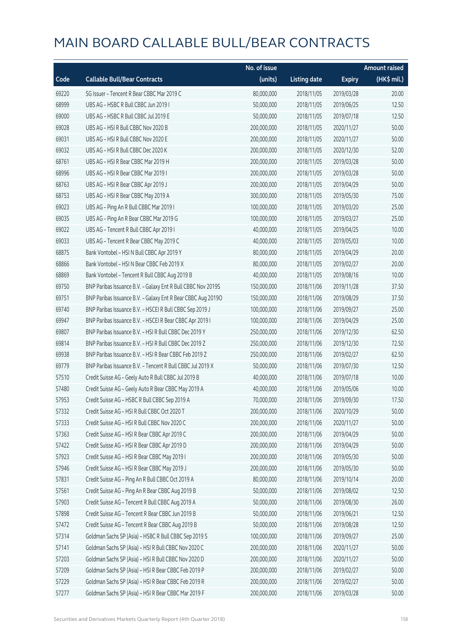|       |                                                              | No. of issue |                     |               | <b>Amount raised</b> |
|-------|--------------------------------------------------------------|--------------|---------------------|---------------|----------------------|
| Code  | <b>Callable Bull/Bear Contracts</b>                          | (units)      | <b>Listing date</b> | <b>Expiry</b> | $(HK\$ mil.)         |
| 69220 | SG Issuer - Tencent R Bear CBBC Mar 2019 C                   | 80,000,000   | 2018/11/05          | 2019/03/28    | 20.00                |
| 68999 | UBS AG - HSBC R Bull CBBC Jun 2019 I                         | 50,000,000   | 2018/11/05          | 2019/06/25    | 12.50                |
| 69000 | UBS AG - HSBC R Bull CBBC Jul 2019 E                         | 50,000,000   | 2018/11/05          | 2019/07/18    | 12.50                |
| 69028 | UBS AG - HSI R Bull CBBC Nov 2020 B                          | 200,000,000  | 2018/11/05          | 2020/11/27    | 50.00                |
| 69031 | UBS AG - HSI R Bull CBBC Nov 2020 E                          | 200,000,000  | 2018/11/05          | 2020/11/27    | 50.00                |
| 69032 | UBS AG - HSI R Bull CBBC Dec 2020 K                          | 200,000,000  | 2018/11/05          | 2020/12/30    | 52.00                |
| 68761 | UBS AG - HSI R Bear CBBC Mar 2019 H                          | 200,000,000  | 2018/11/05          | 2019/03/28    | 50.00                |
| 68996 | UBS AG - HSI R Bear CBBC Mar 2019 I                          | 200,000,000  | 2018/11/05          | 2019/03/28    | 50.00                |
| 68763 | UBS AG - HSI R Bear CBBC Apr 2019 J                          | 200,000,000  | 2018/11/05          | 2019/04/29    | 50.00                |
| 68753 | UBS AG - HSI R Bear CBBC May 2019 A                          | 300,000,000  | 2018/11/05          | 2019/05/30    | 75.00                |
| 69023 | UBS AG - Ping An R Bull CBBC Mar 2019 I                      | 100,000,000  | 2018/11/05          | 2019/03/20    | 25.00                |
| 69035 | UBS AG - Ping An R Bear CBBC Mar 2019 G                      | 100,000,000  | 2018/11/05          | 2019/03/27    | 25.00                |
| 69022 | UBS AG - Tencent R Bull CBBC Apr 2019 I                      | 40,000,000   | 2018/11/05          | 2019/04/25    | 10.00                |
| 69033 | UBS AG - Tencent R Bear CBBC May 2019 C                      | 40,000,000   | 2018/11/05          | 2019/05/03    | 10.00                |
| 68875 | Bank Vontobel - HSI N Bull CBBC Apr 2019 Y                   | 80,000,000   | 2018/11/05          | 2019/04/29    | 20.00                |
| 68866 | Bank Vontobel - HSI N Bear CBBC Feb 2019 X                   | 80,000,000   | 2018/11/05          | 2019/02/27    | 20.00                |
| 68869 | Bank Vontobel - Tencent R Bull CBBC Aug 2019 B               | 40,000,000   | 2018/11/05          | 2019/08/16    | 10.00                |
| 69750 | BNP Paribas Issuance B.V. - Galaxy Ent R Bull CBBC Nov 2019S | 150,000,000  | 2018/11/06          | 2019/11/28    | 37.50                |
| 69751 | BNP Paribas Issuance B.V. - Galaxy Ent R Bear CBBC Aug 2019O | 150,000,000  | 2018/11/06          | 2019/08/29    | 37.50                |
| 69740 | BNP Paribas Issuance B.V. - HSCEI R Bull CBBC Sep 2019 J     | 100,000,000  | 2018/11/06          | 2019/09/27    | 25.00                |
| 69947 | BNP Paribas Issuance B.V. - HSCEI R Bear CBBC Apr 2019 I     | 100,000,000  | 2018/11/06          | 2019/04/29    | 25.00                |
| 69807 | BNP Paribas Issuance B.V. - HSI R Bull CBBC Dec 2019 Y       | 250,000,000  | 2018/11/06          | 2019/12/30    | 62.50                |
| 69814 | BNP Paribas Issuance B.V. - HSI R Bull CBBC Dec 2019 Z       | 250,000,000  | 2018/11/06          | 2019/12/30    | 72.50                |
| 69938 | BNP Paribas Issuance B.V. - HSI R Bear CBBC Feb 2019 Z       | 250,000,000  | 2018/11/06          | 2019/02/27    | 62.50                |
| 69779 | BNP Paribas Issuance B.V. - Tencent R Bull CBBC Jul 2019 X   | 50,000,000   | 2018/11/06          | 2019/07/30    | 12.50                |
| 57510 | Credit Suisse AG - Geely Auto R Bull CBBC Jul 2019 B         | 40,000,000   | 2018/11/06          | 2019/07/18    | 10.00                |
| 57480 | Credit Suisse AG - Geely Auto R Bear CBBC May 2019 A         | 40,000,000   | 2018/11/06          | 2019/05/06    | 10.00                |
| 57953 | Credit Suisse AG - HSBC R Bull CBBC Sep 2019 A               | 70,000,000   | 2018/11/06          | 2019/09/30    | 17.50                |
| 57332 | Credit Suisse AG - HSI R Bull CBBC Oct 2020 T                | 200,000,000  | 2018/11/06          | 2020/10/29    | 50.00                |
| 57333 | Credit Suisse AG - HSI R Bull CBBC Nov 2020 C                | 200,000,000  | 2018/11/06          | 2020/11/27    | 50.00                |
| 57363 | Credit Suisse AG - HSI R Bear CBBC Apr 2019 C                | 200,000,000  | 2018/11/06          | 2019/04/29    | 50.00                |
| 57422 | Credit Suisse AG - HSI R Bear CBBC Apr 2019 D                | 200,000,000  | 2018/11/06          | 2019/04/29    | 50.00                |
| 57923 | Credit Suisse AG - HSI R Bear CBBC May 2019 I                | 200,000,000  | 2018/11/06          | 2019/05/30    | 50.00                |
| 57946 | Credit Suisse AG - HSI R Bear CBBC May 2019 J                | 200,000,000  | 2018/11/06          | 2019/05/30    | 50.00                |
| 57831 | Credit Suisse AG - Ping An R Bull CBBC Oct 2019 A            | 80,000,000   | 2018/11/06          | 2019/10/14    | 20.00                |
| 57561 | Credit Suisse AG - Ping An R Bear CBBC Aug 2019 B            | 50,000,000   | 2018/11/06          | 2019/08/02    | 12.50                |
| 57903 | Credit Suisse AG - Tencent R Bull CBBC Aug 2019 A            | 50,000,000   | 2018/11/06          | 2019/08/30    | 26.00                |
| 57898 | Credit Suisse AG - Tencent R Bear CBBC Jun 2019 B            | 50,000,000   | 2018/11/06          | 2019/06/21    | 12.50                |
| 57472 | Credit Suisse AG - Tencent R Bear CBBC Aug 2019 B            | 50,000,000   | 2018/11/06          | 2019/08/28    | 12.50                |
| 57314 | Goldman Sachs SP (Asia) - HSBC R Bull CBBC Sep 2019 S        | 100,000,000  | 2018/11/06          | 2019/09/27    | 25.00                |
| 57141 | Goldman Sachs SP (Asia) - HSI R Bull CBBC Nov 2020 C         | 200,000,000  | 2018/11/06          | 2020/11/27    | 50.00                |
| 57203 | Goldman Sachs SP (Asia) - HSI R Bull CBBC Nov 2020 D         | 200,000,000  | 2018/11/06          | 2020/11/27    | 50.00                |
| 57209 | Goldman Sachs SP (Asia) - HSI R Bear CBBC Feb 2019 P         | 200,000,000  | 2018/11/06          | 2019/02/27    | 50.00                |
| 57229 | Goldman Sachs SP (Asia) - HSI R Bear CBBC Feb 2019 R         | 200,000,000  | 2018/11/06          | 2019/02/27    | 50.00                |
| 57277 | Goldman Sachs SP (Asia) - HSI R Bear CBBC Mar 2019 F         | 200,000,000  | 2018/11/06          | 2019/03/28    | 50.00                |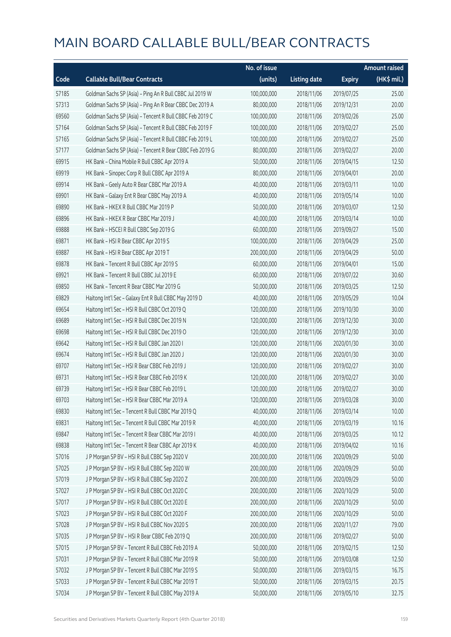|       |                                                          | No. of issue |                     |               | <b>Amount raised</b>  |
|-------|----------------------------------------------------------|--------------|---------------------|---------------|-----------------------|
| Code  | <b>Callable Bull/Bear Contracts</b>                      | (units)      | <b>Listing date</b> | <b>Expiry</b> | $(HK\frac{1}{2}mil.)$ |
| 57185 | Goldman Sachs SP (Asia) - Ping An R Bull CBBC Jul 2019 W | 100,000,000  | 2018/11/06          | 2019/07/25    | 25.00                 |
| 57313 | Goldman Sachs SP (Asia) - Ping An R Bear CBBC Dec 2019 A | 80,000,000   | 2018/11/06          | 2019/12/31    | 20.00                 |
| 69560 | Goldman Sachs SP (Asia) - Tencent R Bull CBBC Feb 2019 C | 100,000,000  | 2018/11/06          | 2019/02/26    | 25.00                 |
| 57164 | Goldman Sachs SP (Asia) - Tencent R Bull CBBC Feb 2019 F | 100,000,000  | 2018/11/06          | 2019/02/27    | 25.00                 |
| 57165 | Goldman Sachs SP (Asia) - Tencent R Bull CBBC Feb 2019 L | 100,000,000  | 2018/11/06          | 2019/02/27    | 25.00                 |
| 57177 | Goldman Sachs SP (Asia) - Tencent R Bear CBBC Feb 2019 G | 80,000,000   | 2018/11/06          | 2019/02/27    | 20.00                 |
| 69915 | HK Bank - China Mobile R Bull CBBC Apr 2019 A            | 50,000,000   | 2018/11/06          | 2019/04/15    | 12.50                 |
| 69919 | HK Bank - Sinopec Corp R Bull CBBC Apr 2019 A            | 80,000,000   | 2018/11/06          | 2019/04/01    | 20.00                 |
| 69914 | HK Bank - Geely Auto R Bear CBBC Mar 2019 A              | 40,000,000   | 2018/11/06          | 2019/03/11    | 10.00                 |
| 69901 | HK Bank - Galaxy Ent R Bear CBBC May 2019 A              | 40,000,000   | 2018/11/06          | 2019/05/14    | 10.00                 |
| 69890 | HK Bank - HKEX R Bull CBBC Mar 2019 P                    | 50,000,000   | 2018/11/06          | 2019/03/07    | 12.50                 |
| 69896 | HK Bank - HKEX R Bear CBBC Mar 2019 J                    | 40,000,000   | 2018/11/06          | 2019/03/14    | 10.00                 |
| 69888 | HK Bank - HSCEI R Bull CBBC Sep 2019 G                   | 60,000,000   | 2018/11/06          | 2019/09/27    | 15.00                 |
| 69871 | HK Bank - HSI R Bear CBBC Apr 2019 S                     | 100,000,000  | 2018/11/06          | 2019/04/29    | 25.00                 |
| 69887 | HK Bank - HSI R Bear CBBC Apr 2019 T                     | 200,000,000  | 2018/11/06          | 2019/04/29    | 50.00                 |
| 69878 | HK Bank - Tencent R Bull CBBC Apr 2019 S                 | 60,000,000   | 2018/11/06          | 2019/04/01    | 15.00                 |
| 69921 | HK Bank - Tencent R Bull CBBC Jul 2019 E                 | 60,000,000   | 2018/11/06          | 2019/07/22    | 30.60                 |
| 69850 | HK Bank - Tencent R Bear CBBC Mar 2019 G                 | 50,000,000   | 2018/11/06          | 2019/03/25    | 12.50                 |
| 69829 | Haitong Int'l Sec - Galaxy Ent R Bull CBBC May 2019 D    | 40,000,000   | 2018/11/06          | 2019/05/29    | 10.04                 |
| 69654 | Haitong Int'l Sec - HSI R Bull CBBC Oct 2019 Q           | 120,000,000  | 2018/11/06          | 2019/10/30    | 30.00                 |
| 69689 | Haitong Int'l Sec - HSI R Bull CBBC Dec 2019 N           | 120,000,000  | 2018/11/06          | 2019/12/30    | 30.00                 |
| 69698 | Haitong Int'l Sec - HSI R Bull CBBC Dec 2019 O           | 120,000,000  | 2018/11/06          | 2019/12/30    | 30.00                 |
| 69642 | Haitong Int'l Sec - HSI R Bull CBBC Jan 2020 I           | 120,000,000  | 2018/11/06          | 2020/01/30    | 30.00                 |
| 69674 | Haitong Int'l Sec - HSI R Bull CBBC Jan 2020 J           | 120,000,000  | 2018/11/06          | 2020/01/30    | 30.00                 |
| 69707 | Haitong Int'l Sec - HSI R Bear CBBC Feb 2019 J           | 120,000,000  | 2018/11/06          | 2019/02/27    | 30.00                 |
| 69731 | Haitong Int'l Sec - HSI R Bear CBBC Feb 2019 K           | 120,000,000  | 2018/11/06          | 2019/02/27    | 30.00                 |
| 69739 | Haitong Int'l Sec - HSI R Bear CBBC Feb 2019 L           | 120,000,000  | 2018/11/06          | 2019/02/27    | 30.00                 |
| 69703 | Haitong Int'l Sec - HSI R Bear CBBC Mar 2019 A           | 120,000,000  | 2018/11/06          | 2019/03/28    | 30.00                 |
| 69830 | Haitong Int'l Sec - Tencent R Bull CBBC Mar 2019 Q       | 40,000,000   | 2018/11/06          | 2019/03/14    | 10.00                 |
| 69831 | Haitong Int'l Sec - Tencent R Bull CBBC Mar 2019 R       | 40,000,000   | 2018/11/06          | 2019/03/19    | 10.16                 |
| 69847 | Haitong Int'l Sec - Tencent R Bear CBBC Mar 2019 I       | 40,000,000   | 2018/11/06          | 2019/03/25    | 10.12                 |
| 69838 | Haitong Int'l Sec - Tencent R Bear CBBC Apr 2019 K       | 40,000,000   | 2018/11/06          | 2019/04/02    | 10.16                 |
| 57016 | J P Morgan SP BV - HSI R Bull CBBC Sep 2020 V            | 200,000,000  | 2018/11/06          | 2020/09/29    | 50.00                 |
| 57025 | J P Morgan SP BV - HSI R Bull CBBC Sep 2020 W            | 200,000,000  | 2018/11/06          | 2020/09/29    | 50.00                 |
| 57019 | J P Morgan SP BV - HSI R Bull CBBC Sep 2020 Z            | 200,000,000  | 2018/11/06          | 2020/09/29    | 50.00                 |
| 57027 | J P Morgan SP BV - HSI R Bull CBBC Oct 2020 C            | 200,000,000  | 2018/11/06          | 2020/10/29    | 50.00                 |
| 57017 | J P Morgan SP BV - HSI R Bull CBBC Oct 2020 E            | 200,000,000  | 2018/11/06          | 2020/10/29    | 50.00                 |
| 57023 | J P Morgan SP BV - HSI R Bull CBBC Oct 2020 F            | 200,000,000  | 2018/11/06          | 2020/10/29    | 50.00                 |
| 57028 | J P Morgan SP BV - HSI R Bull CBBC Nov 2020 S            | 200,000,000  | 2018/11/06          | 2020/11/27    | 79.00                 |
| 57035 | J P Morgan SP BV - HSI R Bear CBBC Feb 2019 Q            | 200,000,000  | 2018/11/06          | 2019/02/27    | 50.00                 |
| 57015 | J P Morgan SP BV - Tencent R Bull CBBC Feb 2019 A        | 50,000,000   | 2018/11/06          | 2019/02/15    | 12.50                 |
| 57031 | J P Morgan SP BV - Tencent R Bull CBBC Mar 2019 R        | 50,000,000   | 2018/11/06          | 2019/03/08    | 12.50                 |
| 57032 | J P Morgan SP BV - Tencent R Bull CBBC Mar 2019 S        | 50,000,000   | 2018/11/06          | 2019/03/15    | 16.75                 |
| 57033 | J P Morgan SP BV - Tencent R Bull CBBC Mar 2019 T        | 50,000,000   | 2018/11/06          | 2019/03/15    | 20.75                 |
| 57034 | J P Morgan SP BV - Tencent R Bull CBBC May 2019 A        | 50,000,000   | 2018/11/06          | 2019/05/10    | 32.75                 |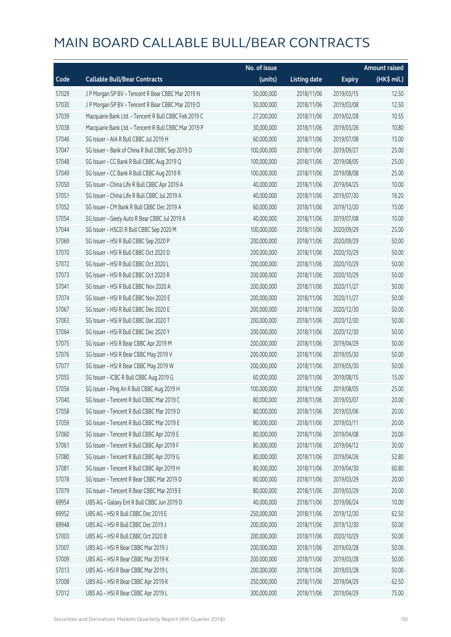|       |                                                      | No. of issue |                     |               | <b>Amount raised</b> |
|-------|------------------------------------------------------|--------------|---------------------|---------------|----------------------|
| Code  | <b>Callable Bull/Bear Contracts</b>                  | (units)      | <b>Listing date</b> | <b>Expiry</b> | $(HK\$ mil.)         |
| 57029 | J P Morgan SP BV - Tencent R Bear CBBC Mar 2019 N    | 50,000,000   | 2018/11/06          | 2019/03/15    | 12.50                |
| 57030 | J P Morgan SP BV - Tencent R Bear CBBC Mar 2019 O    | 50,000,000   | 2018/11/06          | 2019/03/08    | 12.50                |
| 57039 | Macquarie Bank Ltd. - Tencent R Bull CBBC Feb 2019 C | 27,200,000   | 2018/11/06          | 2019/02/28    | 10.55                |
| 57038 | Macquarie Bank Ltd. - Tencent R Bull CBBC Mar 2019 P | 30,000,000   | 2018/11/06          | 2019/03/26    | 10.80                |
| 57046 | SG Issuer - AIA R Bull CBBC Jul 2019 H               | 60,000,000   | 2018/11/06          | 2019/07/08    | 15.00                |
| 57047 | SG Issuer - Bank of China R Bull CBBC Sep 2019 D     | 100,000,000  | 2018/11/06          | 2019/09/27    | 25.00                |
| 57048 | SG Issuer - CC Bank R Bull CBBC Aug 2019 Q           | 100,000,000  | 2018/11/06          | 2019/08/05    | 25.00                |
| 57049 | SG Issuer - CC Bank R Bull CBBC Aug 2019 R           | 100,000,000  | 2018/11/06          | 2019/08/08    | 25.00                |
| 57050 | SG Issuer - China Life R Bull CBBC Apr 2019 A        | 40,000,000   | 2018/11/06          | 2019/04/25    | 10.00                |
| 57051 | SG Issuer - China Life R Bull CBBC Jul 2019 A        | 40,000,000   | 2018/11/06          | 2019/07/30    | 16.20                |
| 57052 | SG Issuer - CM Bank R Bull CBBC Dec 2019 A           | 60,000,000   | 2018/11/06          | 2019/12/20    | 15.00                |
| 57054 | SG Issuer - Geely Auto R Bear CBBC Jul 2019 A        | 40,000,000   | 2018/11/06          | 2019/07/08    | 10.00                |
| 57044 | SG Issuer - HSCEI R Bull CBBC Sep 2020 M             | 100,000,000  | 2018/11/06          | 2020/09/29    | 25.00                |
| 57069 | SG Issuer - HSI R Bull CBBC Sep 2020 P               | 200,000,000  | 2018/11/06          | 2020/09/29    | 50.00                |
| 57070 | SG Issuer - HSI R Bull CBBC Oct 2020 D               | 200,000,000  | 2018/11/06          | 2020/10/29    | 50.00                |
| 57072 | SG Issuer - HSI R Bull CBBC Oct 2020 L               | 200,000,000  | 2018/11/06          | 2020/10/29    | 50.00                |
| 57073 | SG Issuer - HSI R Bull CBBC Oct 2020 R               | 200,000,000  | 2018/11/06          | 2020/10/29    | 50.00                |
| 57041 | SG Issuer - HSI R Bull CBBC Nov 2020 A               | 200,000,000  | 2018/11/06          | 2020/11/27    | 50.00                |
| 57074 | SG Issuer - HSI R Bull CBBC Nov 2020 E               | 200,000,000  | 2018/11/06          | 2020/11/27    | 50.00                |
| 57067 | SG Issuer - HSI R Bull CBBC Dec 2020 E               | 200,000,000  | 2018/11/06          | 2020/12/30    | 50.00                |
| 57063 | SG Issuer - HSI R Bull CBBC Dec 2020 T               | 200,000,000  | 2018/11/06          | 2020/12/30    | 50.00                |
| 57064 | SG Issuer - HSI R Bull CBBC Dec 2020 Y               | 200,000,000  | 2018/11/06          | 2020/12/30    | 50.00                |
| 57075 | SG Issuer - HSI R Bear CBBC Apr 2019 M               | 200,000,000  | 2018/11/06          | 2019/04/29    | 50.00                |
| 57076 | SG Issuer - HSI R Bear CBBC May 2019 V               | 200,000,000  | 2018/11/06          | 2019/05/30    | 50.00                |
| 57077 | SG Issuer - HSI R Bear CBBC May 2019 W               | 200,000,000  | 2018/11/06          | 2019/05/30    | 50.00                |
| 57055 | SG Issuer - ICBC R Bull CBBC Aug 2019 G              | 60,000,000   | 2018/11/06          | 2019/08/15    | 15.00                |
| 57056 | SG Issuer - Ping An R Bull CBBC Aug 2019 H           | 100,000,000  | 2018/11/06          | 2019/08/05    | 25.00                |
| 57040 | SG Issuer - Tencent R Bull CBBC Mar 2019 C           | 80,000,000   | 2018/11/06          | 2019/03/07    | 20.00                |
| 57058 | SG Issuer - Tencent R Bull CBBC Mar 2019 D           | 80,000,000   | 2018/11/06          | 2019/03/06    | 20.00                |
| 57059 | SG Issuer - Tencent R Bull CBBC Mar 2019 E           | 80,000,000   | 2018/11/06          | 2019/03/11    | 20.00                |
| 57060 | SG Issuer - Tencent R Bull CBBC Apr 2019 E           | 80,000,000   | 2018/11/06          | 2019/04/08    | 20.00                |
| 57061 | SG Issuer - Tencent R Bull CBBC Apr 2019 F           | 80,000,000   | 2018/11/06          | 2019/04/12    | 30.00                |
| 57080 | SG Issuer - Tencent R Bull CBBC Apr 2019 G           | 80,000,000   | 2018/11/06          | 2019/04/26    | 52.80                |
| 57081 | SG Issuer - Tencent R Bull CBBC Apr 2019 H           | 80,000,000   | 2018/11/06          | 2019/04/30    | 60.80                |
| 57078 | SG Issuer - Tencent R Bear CBBC Mar 2019 D           | 80,000,000   | 2018/11/06          | 2019/03/29    | 20.00                |
| 57079 | SG Issuer - Tencent R Bear CBBC Mar 2019 E           | 80,000,000   | 2018/11/06          | 2019/03/29    | 20.00                |
| 69954 | UBS AG - Galaxy Ent R Bull CBBC Jun 2019 D           | 40,000,000   | 2018/11/06          | 2019/06/24    | 10.00                |
| 69952 | UBS AG - HSI R Bull CBBC Dec 2019 E                  | 250,000,000  | 2018/11/06          | 2019/12/30    | 62.50                |
| 69948 | UBS AG - HSI R Bull CBBC Dec 2019 J                  | 200,000,000  | 2018/11/06          | 2019/12/30    | 50.00                |
| 57003 | UBS AG - HSI R Bull CBBC Oct 2020 B                  | 200,000,000  | 2018/11/06          | 2020/10/29    | 50.00                |
| 57007 | UBS AG - HSI R Bear CBBC Mar 2019 J                  | 200,000,000  | 2018/11/06          | 2019/03/28    | 50.00                |
| 57009 | UBS AG - HSI R Bear CBBC Mar 2019 K                  | 200,000,000  | 2018/11/06          | 2019/03/28    | 50.00                |
| 57013 | UBS AG - HSI R Bear CBBC Mar 2019 L                  | 200,000,000  | 2018/11/06          | 2019/03/28    | 50.00                |
| 57008 | UBS AG - HSI R Bear CBBC Apr 2019 K                  | 250,000,000  | 2018/11/06          | 2019/04/29    | 62.50                |
| 57012 | UBS AG - HSI R Bear CBBC Apr 2019 L                  | 300,000,000  | 2018/11/06          | 2019/04/29    | 75.00                |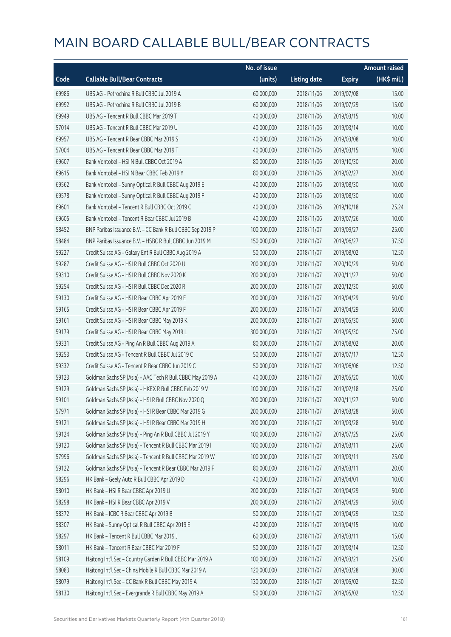|       |                                                            | No. of issue |                     |               | <b>Amount raised</b> |
|-------|------------------------------------------------------------|--------------|---------------------|---------------|----------------------|
| Code  | <b>Callable Bull/Bear Contracts</b>                        | (units)      | <b>Listing date</b> | <b>Expiry</b> | $(HK\$ mil.)         |
| 69986 | UBS AG - Petrochina R Bull CBBC Jul 2019 A                 | 60,000,000   | 2018/11/06          | 2019/07/08    | 15.00                |
| 69992 | UBS AG - Petrochina R Bull CBBC Jul 2019 B                 | 60,000,000   | 2018/11/06          | 2019/07/29    | 15.00                |
| 69949 | UBS AG - Tencent R Bull CBBC Mar 2019 T                    | 40,000,000   | 2018/11/06          | 2019/03/15    | 10.00                |
| 57014 | UBS AG - Tencent R Bull CBBC Mar 2019 U                    | 40,000,000   | 2018/11/06          | 2019/03/14    | 10.00                |
| 69957 | UBS AG - Tencent R Bear CBBC Mar 2019 S                    | 40,000,000   | 2018/11/06          | 2019/03/08    | 10.00                |
| 57004 | UBS AG - Tencent R Bear CBBC Mar 2019 T                    | 40,000,000   | 2018/11/06          | 2019/03/15    | 10.00                |
| 69607 | Bank Vontobel - HSI N Bull CBBC Oct 2019 A                 | 80,000,000   | 2018/11/06          | 2019/10/30    | 20.00                |
| 69615 | Bank Vontobel - HSI N Bear CBBC Feb 2019 Y                 | 80,000,000   | 2018/11/06          | 2019/02/27    | 20.00                |
| 69562 | Bank Vontobel - Sunny Optical R Bull CBBC Aug 2019 E       | 40,000,000   | 2018/11/06          | 2019/08/30    | 10.00                |
| 69578 | Bank Vontobel - Sunny Optical R Bull CBBC Aug 2019 F       | 40,000,000   | 2018/11/06          | 2019/08/30    | 10.00                |
| 69601 | Bank Vontobel - Tencent R Bull CBBC Oct 2019 C             | 40,000,000   | 2018/11/06          | 2019/10/18    | 25.24                |
| 69605 | Bank Vontobel - Tencent R Bear CBBC Jul 2019 B             | 40,000,000   | 2018/11/06          | 2019/07/26    | 10.00                |
| 58452 | BNP Paribas Issuance B.V. - CC Bank R Bull CBBC Sep 2019 P | 100,000,000  | 2018/11/07          | 2019/09/27    | 25.00                |
| 58484 | BNP Paribas Issuance B.V. - HSBC R Bull CBBC Jun 2019 M    | 150,000,000  | 2018/11/07          | 2019/06/27    | 37.50                |
| 59227 | Credit Suisse AG - Galaxy Ent R Bull CBBC Aug 2019 A       | 50,000,000   | 2018/11/07          | 2019/08/02    | 12.50                |
| 59287 | Credit Suisse AG - HSI R Bull CBBC Oct 2020 U              | 200,000,000  | 2018/11/07          | 2020/10/29    | 50.00                |
| 59310 | Credit Suisse AG - HSI R Bull CBBC Nov 2020 K              | 200,000,000  | 2018/11/07          | 2020/11/27    | 50.00                |
| 59254 | Credit Suisse AG - HSI R Bull CBBC Dec 2020 R              | 200,000,000  | 2018/11/07          | 2020/12/30    | 50.00                |
| 59130 | Credit Suisse AG - HSI R Bear CBBC Apr 2019 E              | 200,000,000  | 2018/11/07          | 2019/04/29    | 50.00                |
| 59165 | Credit Suisse AG - HSI R Bear CBBC Apr 2019 F              | 200,000,000  | 2018/11/07          | 2019/04/29    | 50.00                |
| 59161 | Credit Suisse AG - HSI R Bear CBBC May 2019 K              | 200,000,000  | 2018/11/07          | 2019/05/30    | 50.00                |
| 59179 | Credit Suisse AG - HSI R Bear CBBC May 2019 L              | 300,000,000  | 2018/11/07          | 2019/05/30    | 75.00                |
| 59331 | Credit Suisse AG - Ping An R Bull CBBC Aug 2019 A          | 80,000,000   | 2018/11/07          | 2019/08/02    | 20.00                |
| 59253 | Credit Suisse AG - Tencent R Bull CBBC Jul 2019 C          | 50,000,000   | 2018/11/07          | 2019/07/17    | 12.50                |
| 59332 | Credit Suisse AG - Tencent R Bear CBBC Jun 2019 C          | 50,000,000   | 2018/11/07          | 2019/06/06    | 12.50                |
| 59123 | Goldman Sachs SP (Asia) - AAC Tech R Bull CBBC May 2019 A  | 40,000,000   | 2018/11/07          | 2019/05/20    | 10.00                |
| 59129 | Goldman Sachs SP (Asia) - HKEX R Bull CBBC Feb 2019 V      | 100,000,000  | 2018/11/07          | 2019/02/18    | 25.00                |
| 59101 | Goldman Sachs SP (Asia) - HSI R Bull CBBC Nov 2020 Q       | 200,000,000  | 2018/11/07          | 2020/11/27    | 50.00                |
| 57971 | Goldman Sachs SP (Asia) - HSI R Bear CBBC Mar 2019 G       | 200,000,000  | 2018/11/07          | 2019/03/28    | 50.00                |
| 59121 | Goldman Sachs SP (Asia) - HSI R Bear CBBC Mar 2019 H       | 200,000,000  | 2018/11/07          | 2019/03/28    | 50.00                |
| 59124 | Goldman Sachs SP (Asia) - Ping An R Bull CBBC Jul 2019 Y   | 100,000,000  | 2018/11/07          | 2019/07/25    | 25.00                |
| 59120 | Goldman Sachs SP (Asia) - Tencent R Bull CBBC Mar 2019 I   | 100,000,000  | 2018/11/07          | 2019/03/11    | 25.00                |
| 57996 | Goldman Sachs SP (Asia) - Tencent R Bull CBBC Mar 2019 W   | 100,000,000  | 2018/11/07          | 2019/03/11    | 25.00                |
| 59122 | Goldman Sachs SP (Asia) - Tencent R Bear CBBC Mar 2019 F   | 80,000,000   | 2018/11/07          | 2019/03/11    | 20.00                |
| 58296 | HK Bank - Geely Auto R Bull CBBC Apr 2019 D                | 40,000,000   | 2018/11/07          | 2019/04/01    | 10.00                |
| 58010 | HK Bank - HSI R Bear CBBC Apr 2019 U                       | 200,000,000  | 2018/11/07          | 2019/04/29    | 50.00                |
| 58298 | HK Bank - HSI R Bear CBBC Apr 2019 V                       | 200,000,000  | 2018/11/07          | 2019/04/29    | 50.00                |
| 58372 | HK Bank - ICBC R Bear CBBC Apr 2019 B                      | 50,000,000   | 2018/11/07          | 2019/04/29    | 12.50                |
| 58307 | HK Bank - Sunny Optical R Bull CBBC Apr 2019 E             | 40,000,000   | 2018/11/07          | 2019/04/15    | 10.00                |
| 58297 | HK Bank - Tencent R Bull CBBC Mar 2019 J                   | 60,000,000   | 2018/11/07          | 2019/03/11    | 15.00                |
| 58011 | HK Bank - Tencent R Bear CBBC Mar 2019 F                   | 50,000,000   | 2018/11/07          | 2019/03/14    | 12.50                |
| 58109 | Haitong Int'l Sec - Country Garden R Bull CBBC Mar 2019 A  | 100,000,000  | 2018/11/07          | 2019/03/21    | 25.00                |
| 58083 | Haitong Int'l Sec - China Mobile R Bull CBBC Mar 2019 A    | 120,000,000  | 2018/11/07          | 2019/03/28    | 30.00                |
| 58079 | Haitong Int'l Sec - CC Bank R Bull CBBC May 2019 A         | 130,000,000  | 2018/11/07          | 2019/05/02    | 32.50                |
| 58130 | Haitong Int'l Sec - Evergrande R Bull CBBC May 2019 A      | 50,000,000   | 2018/11/07          | 2019/05/02    | 12.50                |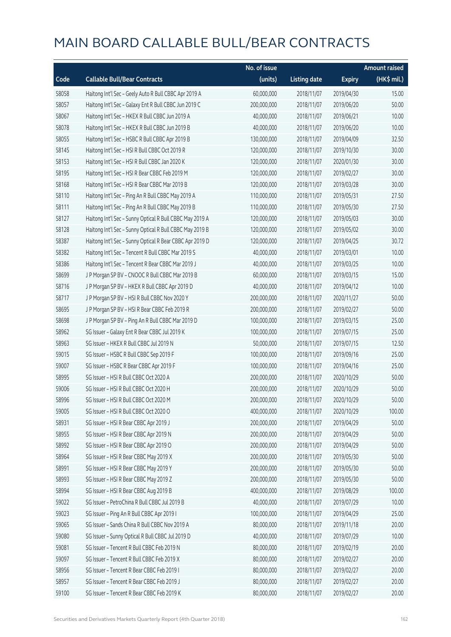|       |                                                          | No. of issue |                     |               | <b>Amount raised</b> |
|-------|----------------------------------------------------------|--------------|---------------------|---------------|----------------------|
| Code  | <b>Callable Bull/Bear Contracts</b>                      | (units)      | <b>Listing date</b> | <b>Expiry</b> | $(HK$$ mil.)         |
| 58058 | Haitong Int'l Sec - Geely Auto R Bull CBBC Apr 2019 A    | 60,000,000   | 2018/11/07          | 2019/04/30    | 15.00                |
| 58057 | Haitong Int'l Sec - Galaxy Ent R Bull CBBC Jun 2019 C    | 200,000,000  | 2018/11/07          | 2019/06/20    | 50.00                |
| 58067 | Haitong Int'l Sec - HKEX R Bull CBBC Jun 2019 A          | 40,000,000   | 2018/11/07          | 2019/06/21    | 10.00                |
| 58078 | Haitong Int'l Sec - HKEX R Bull CBBC Jun 2019 B          | 40,000,000   | 2018/11/07          | 2019/06/20    | 10.00                |
| 58055 | Haitong Int'l Sec - HSBC R Bull CBBC Apr 2019 B          | 130,000,000  | 2018/11/07          | 2019/04/09    | 32.50                |
| 58145 | Haitong Int'l Sec - HSI R Bull CBBC Oct 2019 R           | 120,000,000  | 2018/11/07          | 2019/10/30    | 30.00                |
| 58153 | Haitong Int'l Sec - HSI R Bull CBBC Jan 2020 K           | 120,000,000  | 2018/11/07          | 2020/01/30    | 30.00                |
| 58195 | Haitong Int'l Sec - HSI R Bear CBBC Feb 2019 M           | 120,000,000  | 2018/11/07          | 2019/02/27    | 30.00                |
| 58168 | Haitong Int'l Sec - HSI R Bear CBBC Mar 2019 B           | 120,000,000  | 2018/11/07          | 2019/03/28    | 30.00                |
| 58110 | Haitong Int'l Sec - Ping An R Bull CBBC May 2019 A       | 110,000,000  | 2018/11/07          | 2019/05/31    | 27.50                |
| 58111 | Haitong Int'l Sec - Ping An R Bull CBBC May 2019 B       | 110,000,000  | 2018/11/07          | 2019/05/30    | 27.50                |
| 58127 | Haitong Int'l Sec - Sunny Optical R Bull CBBC May 2019 A | 120,000,000  | 2018/11/07          | 2019/05/03    | 30.00                |
| 58128 | Haitong Int'l Sec - Sunny Optical R Bull CBBC May 2019 B | 120,000,000  | 2018/11/07          | 2019/05/02    | 30.00                |
| 58387 | Haitong Int'l Sec - Sunny Optical R Bear CBBC Apr 2019 D | 120,000,000  | 2018/11/07          | 2019/04/25    | 30.72                |
| 58382 | Haitong Int'l Sec - Tencent R Bull CBBC Mar 2019 S       | 40,000,000   | 2018/11/07          | 2019/03/01    | 10.00                |
| 58386 | Haitong Int'l Sec - Tencent R Bear CBBC Mar 2019 J       | 40,000,000   | 2018/11/07          | 2019/03/25    | 10.00                |
| 58699 | J P Morgan SP BV - CNOOC R Bull CBBC Mar 2019 B          | 60,000,000   | 2018/11/07          | 2019/03/15    | 15.00                |
| 58716 | J P Morgan SP BV - HKEX R Bull CBBC Apr 2019 D           | 40,000,000   | 2018/11/07          | 2019/04/12    | 10.00                |
| 58717 | J P Morgan SP BV - HSI R Bull CBBC Nov 2020 Y            | 200,000,000  | 2018/11/07          | 2020/11/27    | 50.00                |
| 58695 | J P Morgan SP BV - HSI R Bear CBBC Feb 2019 R            | 200,000,000  | 2018/11/07          | 2019/02/27    | 50.00                |
| 58698 | J P Morgan SP BV - Ping An R Bull CBBC Mar 2019 D        | 100,000,000  | 2018/11/07          | 2019/03/15    | 25.00                |
| 58962 | SG Issuer - Galaxy Ent R Bear CBBC Jul 2019 K            | 100,000,000  | 2018/11/07          | 2019/07/15    | 25.00                |
| 58963 | SG Issuer - HKEX R Bull CBBC Jul 2019 N                  | 50,000,000   | 2018/11/07          | 2019/07/15    | 12.50                |
| 59015 | SG Issuer - HSBC R Bull CBBC Sep 2019 F                  | 100,000,000  | 2018/11/07          | 2019/09/16    | 25.00                |
| 59007 | SG Issuer - HSBC R Bear CBBC Apr 2019 F                  | 100,000,000  | 2018/11/07          | 2019/04/16    | 25.00                |
| 58995 | SG Issuer - HSI R Bull CBBC Oct 2020 A                   | 200,000,000  | 2018/11/07          | 2020/10/29    | 50.00                |
| 59006 | SG Issuer - HSI R Bull CBBC Oct 2020 H                   | 200,000,000  | 2018/11/07          | 2020/10/29    | 50.00                |
| 58996 | SG Issuer - HSI R Bull CBBC Oct 2020 M                   | 200,000,000  | 2018/11/07          | 2020/10/29    | 50.00                |
| 59005 | SG Issuer - HSI R Bull CBBC Oct 2020 O                   | 400,000,000  | 2018/11/07          | 2020/10/29    | 100.00               |
| 58931 | SG Issuer - HSI R Bear CBBC Apr 2019 J                   | 200,000,000  | 2018/11/07          | 2019/04/29    | 50.00                |
| 58955 | SG Issuer - HSI R Bear CBBC Apr 2019 N                   | 200,000,000  | 2018/11/07          | 2019/04/29    | 50.00                |
| 58992 | SG Issuer - HSI R Bear CBBC Apr 2019 O                   | 200,000,000  | 2018/11/07          | 2019/04/29    | 50.00                |
| 58964 | SG Issuer - HSI R Bear CBBC May 2019 X                   | 200,000,000  | 2018/11/07          | 2019/05/30    | 50.00                |
| 58991 | SG Issuer - HSI R Bear CBBC May 2019 Y                   | 200,000,000  | 2018/11/07          | 2019/05/30    | 50.00                |
| 58993 | SG Issuer - HSI R Bear CBBC May 2019 Z                   | 200,000,000  | 2018/11/07          | 2019/05/30    | 50.00                |
| 58994 | SG Issuer - HSI R Bear CBBC Aug 2019 B                   | 400,000,000  | 2018/11/07          | 2019/08/29    | 100.00               |
| 59022 | SG Issuer - PetroChina R Bull CBBC Jul 2019 B            | 40,000,000   | 2018/11/07          | 2019/07/29    | 10.00                |
| 59023 | SG Issuer - Ping An R Bull CBBC Apr 2019 I               | 100,000,000  | 2018/11/07          | 2019/04/29    | 25.00                |
| 59065 | SG Issuer - Sands China R Bull CBBC Nov 2019 A           | 80,000,000   | 2018/11/07          | 2019/11/18    | 20.00                |
| 59080 | SG Issuer - Sunny Optical R Bull CBBC Jul 2019 D         | 40,000,000   | 2018/11/07          | 2019/07/29    | 10.00                |
| 59081 | SG Issuer - Tencent R Bull CBBC Feb 2019 N               | 80,000,000   | 2018/11/07          | 2019/02/19    | 20.00                |
| 59097 | SG Issuer - Tencent R Bull CBBC Feb 2019 X               | 80,000,000   | 2018/11/07          | 2019/02/27    | 20.00                |
| 58956 | SG Issuer - Tencent R Bear CBBC Feb 2019 I               | 80,000,000   | 2018/11/07          | 2019/02/27    | 20.00                |
| 58957 | SG Issuer - Tencent R Bear CBBC Feb 2019 J               | 80,000,000   | 2018/11/07          | 2019/02/27    | 20.00                |
| 59100 | SG Issuer - Tencent R Bear CBBC Feb 2019 K               | 80,000,000   | 2018/11/07          | 2019/02/27    | 20.00                |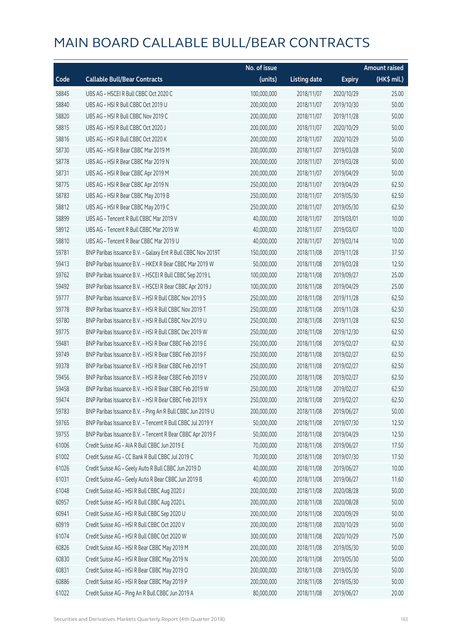|       |                                                              | No. of issue |                     |               | <b>Amount raised</b> |
|-------|--------------------------------------------------------------|--------------|---------------------|---------------|----------------------|
| Code  | <b>Callable Bull/Bear Contracts</b>                          | (units)      | <b>Listing date</b> | <b>Expiry</b> | (HK\$ mil.)          |
| 58845 | UBS AG - HSCEI R Bull CBBC Oct 2020 C                        | 100,000,000  | 2018/11/07          | 2020/10/29    | 25.00                |
| 58840 | UBS AG - HSI R Bull CBBC Oct 2019 U                          | 200,000,000  | 2018/11/07          | 2019/10/30    | 50.00                |
| 58820 | UBS AG - HSI R Bull CBBC Nov 2019 C                          | 200,000,000  | 2018/11/07          | 2019/11/28    | 50.00                |
| 58815 | UBS AG - HSI R Bull CBBC Oct 2020 J                          | 200,000,000  | 2018/11/07          | 2020/10/29    | 50.00                |
| 58816 | UBS AG - HSI R Bull CBBC Oct 2020 K                          | 200,000,000  | 2018/11/07          | 2020/10/29    | 50.00                |
| 58730 | UBS AG - HSI R Bear CBBC Mar 2019 M                          | 200,000,000  | 2018/11/07          | 2019/03/28    | 50.00                |
| 58778 | UBS AG - HSI R Bear CBBC Mar 2019 N                          | 200,000,000  | 2018/11/07          | 2019/03/28    | 50.00                |
| 58731 | UBS AG - HSI R Bear CBBC Apr 2019 M                          | 200,000,000  | 2018/11/07          | 2019/04/29    | 50.00                |
| 58775 | UBS AG - HSI R Bear CBBC Apr 2019 N                          | 250,000,000  | 2018/11/07          | 2019/04/29    | 62.50                |
| 58783 | UBS AG - HSI R Bear CBBC May 2019 B                          | 250,000,000  | 2018/11/07          | 2019/05/30    | 62.50                |
| 58812 | UBS AG - HSI R Bear CBBC May 2019 C                          | 250,000,000  | 2018/11/07          | 2019/05/30    | 62.50                |
| 58899 | UBS AG - Tencent R Bull CBBC Mar 2019 V                      | 40,000,000   | 2018/11/07          | 2019/03/01    | 10.00                |
| 58912 | UBS AG - Tencent R Bull CBBC Mar 2019 W                      | 40,000,000   | 2018/11/07          | 2019/03/07    | 10.00                |
| 58810 | UBS AG - Tencent R Bear CBBC Mar 2019 U                      | 40,000,000   | 2018/11/07          | 2019/03/14    | 10.00                |
| 59781 | BNP Paribas Issuance B.V. - Galaxy Ent R Bull CBBC Nov 2019T | 150,000,000  | 2018/11/08          | 2019/11/28    | 37.50                |
| 59413 | BNP Paribas Issuance B.V. - HKEX R Bear CBBC Mar 2019 W      | 50,000,000   | 2018/11/08          | 2019/03/28    | 12.50                |
| 59762 | BNP Paribas Issuance B.V. - HSCEI R Bull CBBC Sep 2019 L     | 100,000,000  | 2018/11/08          | 2019/09/27    | 25.00                |
| 59492 | BNP Paribas Issuance B.V. - HSCEI R Bear CBBC Apr 2019 J     | 100,000,000  | 2018/11/08          | 2019/04/29    | 25.00                |
| 59777 | BNP Paribas Issuance B.V. - HSI R Bull CBBC Nov 2019 S       | 250,000,000  | 2018/11/08          | 2019/11/28    | 62.50                |
| 59778 | BNP Paribas Issuance B.V. - HSI R Bull CBBC Nov 2019 T       | 250,000,000  | 2018/11/08          | 2019/11/28    | 62.50                |
| 59780 | BNP Paribas Issuance B.V. - HSI R Bull CBBC Nov 2019 U       | 250,000,000  | 2018/11/08          | 2019/11/28    | 62.50                |
| 59775 | BNP Paribas Issuance B.V. - HSI R Bull CBBC Dec 2019 W       | 250,000,000  | 2018/11/08          | 2019/12/30    | 62.50                |
| 59481 | BNP Paribas Issuance B.V. - HSI R Bear CBBC Feb 2019 E       | 250,000,000  | 2018/11/08          | 2019/02/27    | 62.50                |
| 59749 | BNP Paribas Issuance B.V. - HSI R Bear CBBC Feb 2019 F       | 250,000,000  | 2018/11/08          | 2019/02/27    | 62.50                |
| 59378 | BNP Paribas Issuance B.V. - HSI R Bear CBBC Feb 2019 T       | 250,000,000  | 2018/11/08          | 2019/02/27    | 62.50                |
| 59456 | BNP Paribas Issuance B.V. - HSI R Bear CBBC Feb 2019 V       | 250,000,000  | 2018/11/08          | 2019/02/27    | 62.50                |
| 59458 | BNP Paribas Issuance B.V. - HSI R Bear CBBC Feb 2019 W       | 250,000,000  | 2018/11/08          | 2019/02/27    | 62.50                |
| 59474 | BNP Paribas Issuance B.V. - HSI R Bear CBBC Feb 2019 X       | 250,000,000  | 2018/11/08          | 2019/02/27    | 62.50                |
| 59783 | BNP Paribas Issuance B.V. - Ping An R Bull CBBC Jun 2019 U   | 200,000,000  | 2018/11/08          | 2019/06/27    | 50.00                |
| 59765 | BNP Paribas Issuance B.V. - Tencent R Bull CBBC Jul 2019 Y   | 50,000,000   | 2018/11/08          | 2019/07/30    | 12.50                |
| 59755 | BNP Paribas Issuance B.V. - Tencent R Bear CBBC Apr 2019 F   | 50,000,000   | 2018/11/08          | 2019/04/29    | 12.50                |
| 61006 | Credit Suisse AG - AIA R Bull CBBC Jun 2019 E                | 70,000,000   | 2018/11/08          | 2019/06/27    | 17.50                |
| 61002 | Credit Suisse AG - CC Bank R Bull CBBC Jul 2019 C            | 70,000,000   | 2018/11/08          | 2019/07/30    | 17.50                |
| 61026 | Credit Suisse AG - Geely Auto R Bull CBBC Jun 2019 D         | 40,000,000   | 2018/11/08          | 2019/06/27    | 10.00                |
| 61031 | Credit Suisse AG - Geely Auto R Bear CBBC Jun 2019 B         | 40,000,000   | 2018/11/08          | 2019/06/27    | 11.60                |
| 61048 | Credit Suisse AG - HSI R Bull CBBC Aug 2020 J                | 200,000,000  | 2018/11/08          | 2020/08/28    | 50.00                |
| 60957 | Credit Suisse AG - HSI R Bull CBBC Aug 2020 L                | 200,000,000  | 2018/11/08          | 2020/08/28    | 50.00                |
| 60941 | Credit Suisse AG - HSI R Bull CBBC Sep 2020 U                | 200,000,000  | 2018/11/08          | 2020/09/29    | 50.00                |
| 60919 | Credit Suisse AG - HSI R Bull CBBC Oct 2020 V                | 200,000,000  | 2018/11/08          | 2020/10/29    | 50.00                |
| 61074 | Credit Suisse AG - HSI R Bull CBBC Oct 2020 W                | 300,000,000  | 2018/11/08          | 2020/10/29    | 75.00                |
| 60826 | Credit Suisse AG - HSI R Bear CBBC May 2019 M                | 200,000,000  | 2018/11/08          | 2019/05/30    | 50.00                |
| 60830 | Credit Suisse AG - HSI R Bear CBBC May 2019 N                | 200,000,000  | 2018/11/08          | 2019/05/30    | 50.00                |
| 60831 | Credit Suisse AG - HSI R Bear CBBC May 2019 O                | 200,000,000  | 2018/11/08          | 2019/05/30    | 50.00                |
| 60886 | Credit Suisse AG - HSI R Bear CBBC May 2019 P                | 200,000,000  | 2018/11/08          | 2019/05/30    | 50.00                |
| 61022 | Credit Suisse AG - Ping An R Bull CBBC Jun 2019 A            | 80,000,000   | 2018/11/08          | 2019/06/27    | 20.00                |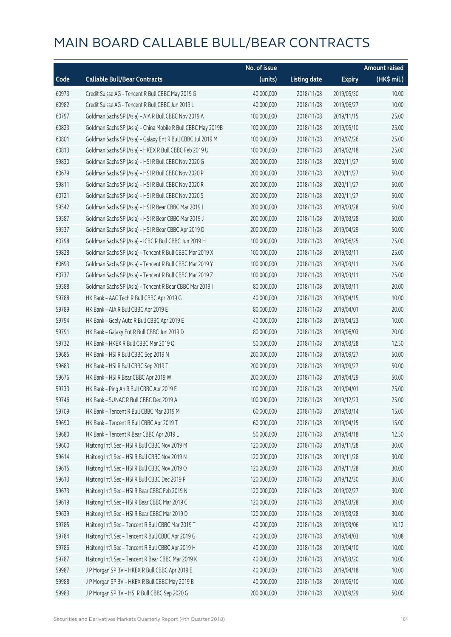|       |                                                              | No. of issue |                     |               | <b>Amount raised</b> |
|-------|--------------------------------------------------------------|--------------|---------------------|---------------|----------------------|
| Code  | <b>Callable Bull/Bear Contracts</b>                          | (units)      | <b>Listing date</b> | <b>Expiry</b> | (HK\$ mil.)          |
| 60973 | Credit Suisse AG - Tencent R Bull CBBC May 2019 G            | 40,000,000   | 2018/11/08          | 2019/05/30    | 10.00                |
| 60982 | Credit Suisse AG - Tencent R Bull CBBC Jun 2019 L            | 40,000,000   | 2018/11/08          | 2019/06/27    | 10.00                |
| 60797 | Goldman Sachs SP (Asia) - AIA R Bull CBBC Nov 2019 A         | 100,000,000  | 2018/11/08          | 2019/11/15    | 25.00                |
| 60823 | Goldman Sachs SP (Asia) - China Mobile R Bull CBBC May 2019B | 100,000,000  | 2018/11/08          | 2019/05/10    | 25.00                |
| 60801 | Goldman Sachs SP (Asia) - Galaxy Ent R Bull CBBC Jul 2019 M  | 100,000,000  | 2018/11/08          | 2019/07/26    | 25.00                |
| 60813 | Goldman Sachs SP (Asia) - HKEX R Bull CBBC Feb 2019 U        | 100,000,000  | 2018/11/08          | 2019/02/18    | 25.00                |
| 59830 | Goldman Sachs SP (Asia) - HSI R Bull CBBC Nov 2020 G         | 200,000,000  | 2018/11/08          | 2020/11/27    | 50.00                |
| 60679 | Goldman Sachs SP (Asia) - HSI R Bull CBBC Nov 2020 P         | 200,000,000  | 2018/11/08          | 2020/11/27    | 50.00                |
| 59811 | Goldman Sachs SP (Asia) - HSI R Bull CBBC Nov 2020 R         | 200,000,000  | 2018/11/08          | 2020/11/27    | 50.00                |
| 60721 | Goldman Sachs SP (Asia) - HSI R Bull CBBC Nov 2020 S         | 200,000,000  | 2018/11/08          | 2020/11/27    | 50.00                |
| 59542 | Goldman Sachs SP (Asia) - HSI R Bear CBBC Mar 2019 I         | 200,000,000  | 2018/11/08          | 2019/03/28    | 50.00                |
| 59587 | Goldman Sachs SP (Asia) - HSI R Bear CBBC Mar 2019 J         | 200,000,000  | 2018/11/08          | 2019/03/28    | 50.00                |
| 59537 | Goldman Sachs SP (Asia) - HSI R Bear CBBC Apr 2019 D         | 200,000,000  | 2018/11/08          | 2019/04/29    | 50.00                |
| 60798 | Goldman Sachs SP (Asia) - ICBC R Bull CBBC Jun 2019 H        | 100,000,000  | 2018/11/08          | 2019/06/25    | 25.00                |
| 59828 | Goldman Sachs SP (Asia) - Tencent R Bull CBBC Mar 2019 X     | 100,000,000  | 2018/11/08          | 2019/03/11    | 25.00                |
| 60693 | Goldman Sachs SP (Asia) - Tencent R Bull CBBC Mar 2019 Y     | 100,000,000  | 2018/11/08          | 2019/03/11    | 25.00                |
| 60737 | Goldman Sachs SP (Asia) - Tencent R Bull CBBC Mar 2019 Z     | 100,000,000  | 2018/11/08          | 2019/03/11    | 25.00                |
| 59588 | Goldman Sachs SP (Asia) - Tencent R Bear CBBC Mar 2019 I     | 80,000,000   | 2018/11/08          | 2019/03/11    | 20.00                |
| 59788 | HK Bank - AAC Tech R Bull CBBC Apr 2019 G                    | 40,000,000   | 2018/11/08          | 2019/04/15    | 10.00                |
| 59789 | HK Bank - AIA R Bull CBBC Apr 2019 E                         | 80,000,000   | 2018/11/08          | 2019/04/01    | 20.00                |
| 59794 | HK Bank - Geely Auto R Bull CBBC Apr 2019 E                  | 40,000,000   | 2018/11/08          | 2019/04/23    | 10.00                |
| 59791 | HK Bank - Galaxy Ent R Bull CBBC Jun 2019 D                  | 80,000,000   | 2018/11/08          | 2019/06/03    | 20.00                |
| 59732 | HK Bank - HKEX R Bull CBBC Mar 2019 Q                        | 50,000,000   | 2018/11/08          | 2019/03/28    | 12.50                |
| 59685 | HK Bank - HSI R Bull CBBC Sep 2019 N                         | 200,000,000  | 2018/11/08          | 2019/09/27    | 50.00                |
| 59683 | HK Bank - HSI R Bull CBBC Sep 2019 T                         | 200,000,000  | 2018/11/08          | 2019/09/27    | 50.00                |
| 59676 | HK Bank - HSI R Bear CBBC Apr 2019 W                         | 200,000,000  | 2018/11/08          | 2019/04/29    | 50.00                |
| 59733 | HK Bank - Ping An R Bull CBBC Apr 2019 E                     | 100,000,000  | 2018/11/08          | 2019/04/01    | 25.00                |
| 59746 | HK Bank - SUNAC R Bull CBBC Dec 2019 A                       | 100,000,000  | 2018/11/08          | 2019/12/23    | 25.00                |
| 59709 | HK Bank - Tencent R Bull CBBC Mar 2019 M                     | 60,000,000   | 2018/11/08          | 2019/03/14    | 15.00                |
| 59690 | HK Bank - Tencent R Bull CBBC Apr 2019 T                     | 60,000,000   | 2018/11/08          | 2019/04/15    | 15.00                |
| 59680 | HK Bank - Tencent R Bear CBBC Apr 2019 L                     | 50,000,000   | 2018/11/08          | 2019/04/18    | 12.50                |
| 59600 | Haitong Int'l Sec - HSI R Bull CBBC Nov 2019 M               | 120,000,000  | 2018/11/08          | 2019/11/28    | 30.00                |
| 59614 | Haitong Int'l Sec - HSI R Bull CBBC Nov 2019 N               | 120,000,000  | 2018/11/08          | 2019/11/28    | 30.00                |
| 59615 | Haitong Int'l Sec - HSI R Bull CBBC Nov 2019 O               | 120,000,000  | 2018/11/08          | 2019/11/28    | 30.00                |
| 59613 | Haitong Int'l Sec - HSI R Bull CBBC Dec 2019 P               | 120,000,000  | 2018/11/08          | 2019/12/30    | 30.00                |
| 59673 | Haitong Int'l Sec - HSI R Bear CBBC Feb 2019 N               | 120,000,000  | 2018/11/08          | 2019/02/27    | 30.00                |
| 59619 | Haitong Int'l Sec - HSI R Bear CBBC Mar 2019 C               | 120,000,000  | 2018/11/08          | 2019/03/28    | 30.00                |
| 59639 | Haitong Int'l Sec - HSI R Bear CBBC Mar 2019 D               | 120,000,000  | 2018/11/08          | 2019/03/28    | 30.00                |
| 59785 | Haitong Int'l Sec - Tencent R Bull CBBC Mar 2019 T           | 40,000,000   | 2018/11/08          | 2019/03/06    | 10.12                |
| 59784 | Haitong Int'l Sec - Tencent R Bull CBBC Apr 2019 G           | 40,000,000   | 2018/11/08          | 2019/04/03    | 10.08                |
| 59786 | Haitong Int'l Sec - Tencent R Bull CBBC Apr 2019 H           | 40,000,000   | 2018/11/08          | 2019/04/10    | 10.00                |
| 59787 | Haitong Int'l Sec - Tencent R Bear CBBC Mar 2019 K           | 40,000,000   | 2018/11/08          | 2019/03/20    | 10.00                |
| 59987 | J P Morgan SP BV - HKEX R Bull CBBC Apr 2019 E               | 40,000,000   | 2018/11/08          | 2019/04/18    | 10.00                |
| 59988 | J P Morgan SP BV - HKEX R Bull CBBC May 2019 B               | 40,000,000   | 2018/11/08          | 2019/05/10    | 10.00                |
| 59983 | J P Morgan SP BV - HSI R Bull CBBC Sep 2020 G                | 200,000,000  | 2018/11/08          | 2020/09/29    | 50.00                |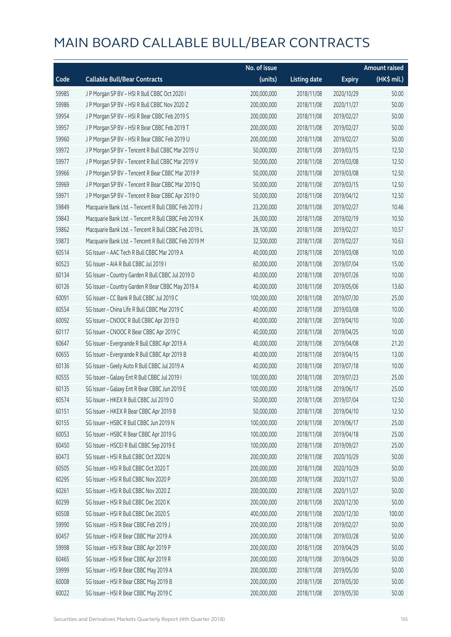|       |                                                      | No. of issue |                     |               | <b>Amount raised</b> |
|-------|------------------------------------------------------|--------------|---------------------|---------------|----------------------|
| Code  | <b>Callable Bull/Bear Contracts</b>                  | (units)      | <b>Listing date</b> | <b>Expiry</b> | (HK\$ mil.)          |
| 59985 | J P Morgan SP BV - HSI R Bull CBBC Oct 2020 I        | 200,000,000  | 2018/11/08          | 2020/10/29    | 50.00                |
| 59986 | J P Morgan SP BV - HSI R Bull CBBC Nov 2020 Z        | 200,000,000  | 2018/11/08          | 2020/11/27    | 50.00                |
| 59954 | J P Morgan SP BV - HSI R Bear CBBC Feb 2019 S        | 200,000,000  | 2018/11/08          | 2019/02/27    | 50.00                |
| 59957 | J P Morgan SP BV - HSI R Bear CBBC Feb 2019 T        | 200,000,000  | 2018/11/08          | 2019/02/27    | 50.00                |
| 59960 | J P Morgan SP BV - HSI R Bear CBBC Feb 2019 U        | 200,000,000  | 2018/11/08          | 2019/02/27    | 50.00                |
| 59972 | J P Morgan SP BV - Tencent R Bull CBBC Mar 2019 U    | 50,000,000   | 2018/11/08          | 2019/03/15    | 12.50                |
| 59977 | J P Morgan SP BV - Tencent R Bull CBBC Mar 2019 V    | 50,000,000   | 2018/11/08          | 2019/03/08    | 12.50                |
| 59966 | J P Morgan SP BV - Tencent R Bear CBBC Mar 2019 P    | 50,000,000   | 2018/11/08          | 2019/03/08    | 12.50                |
| 59969 | J P Morgan SP BV - Tencent R Bear CBBC Mar 2019 Q    | 50,000,000   | 2018/11/08          | 2019/03/15    | 12.50                |
| 59971 | J P Morgan SP BV - Tencent R Bear CBBC Apr 2019 O    | 50,000,000   | 2018/11/08          | 2019/04/12    | 12.50                |
| 59849 | Macquarie Bank Ltd. - Tencent R Bull CBBC Feb 2019 J | 23,200,000   | 2018/11/08          | 2019/02/27    | 10.46                |
| 59843 | Macquarie Bank Ltd. - Tencent R Bull CBBC Feb 2019 K | 26,000,000   | 2018/11/08          | 2019/02/19    | 10.50                |
| 59862 | Macquarie Bank Ltd. - Tencent R Bull CBBC Feb 2019 L | 28,100,000   | 2018/11/08          | 2019/02/27    | 10.57                |
| 59873 | Macquarie Bank Ltd. - Tencent R Bull CBBC Feb 2019 M | 32,500,000   | 2018/11/08          | 2019/02/27    | 10.63                |
| 60514 | SG Issuer - AAC Tech R Bull CBBC Mar 2019 A          | 40,000,000   | 2018/11/08          | 2019/03/08    | 10.00                |
| 60523 | SG Issuer - AIA R Bull CBBC Jul 2019 I               | 60,000,000   | 2018/11/08          | 2019/07/04    | 15.00                |
| 60134 | SG Issuer - Country Garden R Bull CBBC Jul 2019 D    | 40,000,000   | 2018/11/08          | 2019/07/26    | 10.00                |
| 60126 | SG Issuer - Country Garden R Bear CBBC May 2019 A    | 40,000,000   | 2018/11/08          | 2019/05/06    | 13.60                |
| 60091 | SG Issuer - CC Bank R Bull CBBC Jul 2019 C           | 100,000,000  | 2018/11/08          | 2019/07/30    | 25.00                |
| 60554 | SG Issuer - China Life R Bull CBBC Mar 2019 C        | 40,000,000   | 2018/11/08          | 2019/03/08    | 10.00                |
| 60092 | SG Issuer - CNOOC R Bull CBBC Apr 2019 D             | 40,000,000   | 2018/11/08          | 2019/04/10    | 10.00                |
| 60117 | SG Issuer - CNOOC R Bear CBBC Apr 2019 C             | 40,000,000   | 2018/11/08          | 2019/04/25    | 10.00                |
| 60647 | SG Issuer - Evergrande R Bull CBBC Apr 2019 A        | 40,000,000   | 2018/11/08          | 2019/04/08    | 21.20                |
| 60655 | SG Issuer - Evergrande R Bull CBBC Apr 2019 B        | 40,000,000   | 2018/11/08          | 2019/04/15    | 13.00                |
| 60136 | SG Issuer - Geely Auto R Bull CBBC Jul 2019 A        | 40,000,000   | 2018/11/08          | 2019/07/18    | 10.00                |
| 60555 | SG Issuer - Galaxy Ent R Bull CBBC Jul 2019 I        | 100,000,000  | 2018/11/08          | 2019/07/23    | 25.00                |
| 60135 | SG Issuer - Galaxy Ent R Bear CBBC Jun 2019 E        | 100,000,000  | 2018/11/08          | 2019/06/17    | 25.00                |
| 60574 | SG Issuer - HKEX R Bull CBBC Jul 2019 O              | 50,000,000   | 2018/11/08          | 2019/07/04    | 12.50                |
| 60151 | SG Issuer - HKEX R Bear CBBC Apr 2019 B              | 50,000,000   | 2018/11/08          | 2019/04/10    | 12.50                |
| 60155 | SG Issuer - HSBC R Bull CBBC Jun 2019 N              | 100,000,000  | 2018/11/08          | 2019/06/17    | 25.00                |
| 60053 | SG Issuer - HSBC R Bear CBBC Apr 2019 G              | 100,000,000  | 2018/11/08          | 2019/04/18    | 25.00                |
| 60450 | SG Issuer - HSCEI R Bull CBBC Sep 2019 E             | 100,000,000  | 2018/11/08          | 2019/09/27    | 25.00                |
| 60473 | SG Issuer - HSI R Bull CBBC Oct 2020 N               | 200,000,000  | 2018/11/08          | 2020/10/29    | 50.00                |
| 60505 | SG Issuer - HSI R Bull CBBC Oct 2020 T               | 200,000,000  | 2018/11/08          | 2020/10/29    | 50.00                |
| 60295 | SG Issuer - HSI R Bull CBBC Nov 2020 P               | 200,000,000  | 2018/11/08          | 2020/11/27    | 50.00                |
| 60261 | SG Issuer - HSI R Bull CBBC Nov 2020 Z               | 200,000,000  | 2018/11/08          | 2020/11/27    | 50.00                |
| 60299 | SG Issuer - HSI R Bull CBBC Dec 2020 K               | 200,000,000  | 2018/11/08          | 2020/12/30    | 50.00                |
| 60508 | SG Issuer - HSI R Bull CBBC Dec 2020 S               | 400,000,000  | 2018/11/08          | 2020/12/30    | 100.00               |
| 59990 | SG Issuer - HSI R Bear CBBC Feb 2019 J               | 200,000,000  | 2018/11/08          | 2019/02/27    | 50.00                |
| 60457 | SG Issuer - HSI R Bear CBBC Mar 2019 A               | 200,000,000  | 2018/11/08          | 2019/03/28    | 50.00                |
| 59998 | SG Issuer - HSI R Bear CBBC Apr 2019 P               | 200,000,000  | 2018/11/08          | 2019/04/29    | 50.00                |
| 60465 | SG Issuer - HSI R Bear CBBC Apr 2019 R               | 200,000,000  | 2018/11/08          | 2019/04/29    | 50.00                |
| 59999 | SG Issuer - HSI R Bear CBBC May 2019 A               | 200,000,000  | 2018/11/08          | 2019/05/30    | 50.00                |
| 60008 | SG Issuer - HSI R Bear CBBC May 2019 B               | 200,000,000  | 2018/11/08          | 2019/05/30    | 50.00                |
| 60022 | SG Issuer - HSI R Bear CBBC May 2019 C               | 200,000,000  | 2018/11/08          | 2019/05/30    | 50.00                |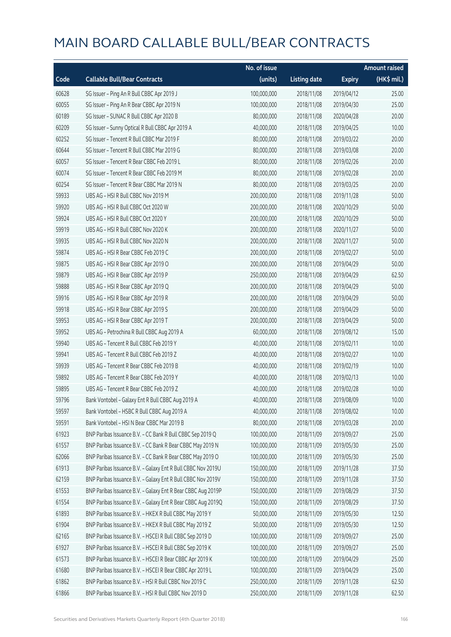|       |                                                              | No. of issue |                     |               | <b>Amount raised</b> |
|-------|--------------------------------------------------------------|--------------|---------------------|---------------|----------------------|
| Code  | <b>Callable Bull/Bear Contracts</b>                          | (units)      | <b>Listing date</b> | <b>Expiry</b> | (HK\$ mil.)          |
| 60628 | SG Issuer - Ping An R Bull CBBC Apr 2019 J                   | 100,000,000  | 2018/11/08          | 2019/04/12    | 25.00                |
| 60055 | SG Issuer - Ping An R Bear CBBC Apr 2019 N                   | 100,000,000  | 2018/11/08          | 2019/04/30    | 25.00                |
| 60189 | SG Issuer - SUNAC R Bull CBBC Apr 2020 B                     | 80,000,000   | 2018/11/08          | 2020/04/28    | 20.00                |
| 60209 | SG Issuer - Sunny Optical R Bull CBBC Apr 2019 A             | 40,000,000   | 2018/11/08          | 2019/04/25    | 10.00                |
| 60252 | SG Issuer - Tencent R Bull CBBC Mar 2019 F                   | 80,000,000   | 2018/11/08          | 2019/03/22    | 20.00                |
| 60644 | SG Issuer - Tencent R Bull CBBC Mar 2019 G                   | 80,000,000   | 2018/11/08          | 2019/03/08    | 20.00                |
| 60057 | SG Issuer - Tencent R Bear CBBC Feb 2019 L                   | 80,000,000   | 2018/11/08          | 2019/02/26    | 20.00                |
| 60074 | SG Issuer - Tencent R Bear CBBC Feb 2019 M                   | 80,000,000   | 2018/11/08          | 2019/02/28    | 20.00                |
| 60254 | SG Issuer - Tencent R Bear CBBC Mar 2019 N                   | 80,000,000   | 2018/11/08          | 2019/03/25    | 20.00                |
| 59933 | UBS AG - HSI R Bull CBBC Nov 2019 M                          | 200,000,000  | 2018/11/08          | 2019/11/28    | 50.00                |
| 59920 | UBS AG - HSI R Bull CBBC Oct 2020 W                          | 200,000,000  | 2018/11/08          | 2020/10/29    | 50.00                |
| 59924 | UBS AG - HSI R Bull CBBC Oct 2020 Y                          | 200,000,000  | 2018/11/08          | 2020/10/29    | 50.00                |
| 59919 | UBS AG - HSI R Bull CBBC Nov 2020 K                          | 200,000,000  | 2018/11/08          | 2020/11/27    | 50.00                |
| 59935 | UBS AG - HSI R Bull CBBC Nov 2020 N                          | 200,000,000  | 2018/11/08          | 2020/11/27    | 50.00                |
| 59874 | UBS AG - HSI R Bear CBBC Feb 2019 C                          | 200,000,000  | 2018/11/08          | 2019/02/27    | 50.00                |
| 59875 | UBS AG - HSI R Bear CBBC Apr 2019 O                          | 200,000,000  | 2018/11/08          | 2019/04/29    | 50.00                |
| 59879 | UBS AG - HSI R Bear CBBC Apr 2019 P                          | 250,000,000  | 2018/11/08          | 2019/04/29    | 62.50                |
| 59888 | UBS AG - HSI R Bear CBBC Apr 2019 Q                          | 200,000,000  | 2018/11/08          | 2019/04/29    | 50.00                |
| 59916 | UBS AG - HSI R Bear CBBC Apr 2019 R                          | 200,000,000  | 2018/11/08          | 2019/04/29    | 50.00                |
| 59918 | UBS AG - HSI R Bear CBBC Apr 2019 S                          | 200,000,000  | 2018/11/08          | 2019/04/29    | 50.00                |
| 59953 | UBS AG - HSI R Bear CBBC Apr 2019 T                          | 200,000,000  | 2018/11/08          | 2019/04/29    | 50.00                |
| 59952 | UBS AG - Petrochina R Bull CBBC Aug 2019 A                   | 60,000,000   | 2018/11/08          | 2019/08/12    | 15.00                |
| 59940 | UBS AG - Tencent R Bull CBBC Feb 2019 Y                      | 40,000,000   | 2018/11/08          | 2019/02/11    | 10.00                |
| 59941 | UBS AG - Tencent R Bull CBBC Feb 2019 Z                      | 40,000,000   | 2018/11/08          | 2019/02/27    | 10.00                |
| 59939 | UBS AG - Tencent R Bear CBBC Feb 2019 B                      | 40,000,000   | 2018/11/08          | 2019/02/19    | 10.00                |
| 59892 | UBS AG - Tencent R Bear CBBC Feb 2019 Y                      | 40,000,000   | 2018/11/08          | 2019/02/13    | 10.00                |
| 59895 | UBS AG - Tencent R Bear CBBC Feb 2019 Z                      | 40,000,000   | 2018/11/08          | 2019/02/28    | 10.00                |
| 59796 | Bank Vontobel - Galaxy Ent R Bull CBBC Aug 2019 A            | 40,000,000   | 2018/11/08          | 2019/08/09    | 10.00                |
| 59597 | Bank Vontobel - HSBC R Bull CBBC Aug 2019 A                  | 40,000,000   | 2018/11/08          | 2019/08/02    | 10.00                |
| 59591 | Bank Vontobel - HSI N Bear CBBC Mar 2019 B                   | 80,000,000   | 2018/11/08          | 2019/03/28    | 20.00                |
| 61923 | BNP Paribas Issuance B.V. - CC Bank R Bull CBBC Sep 2019 Q   | 100,000,000  | 2018/11/09          | 2019/09/27    | 25.00                |
| 61557 | BNP Paribas Issuance B.V. - CC Bank R Bear CBBC May 2019 N   | 100,000,000  | 2018/11/09          | 2019/05/30    | 25.00                |
| 62066 | BNP Paribas Issuance B.V. - CC Bank R Bear CBBC May 2019 O   | 100,000,000  | 2018/11/09          | 2019/05/30    | 25.00                |
| 61913 | BNP Paribas Issuance B.V. - Galaxy Ent R Bull CBBC Nov 2019U | 150,000,000  | 2018/11/09          | 2019/11/28    | 37.50                |
| 62159 | BNP Paribas Issuance B.V. - Galaxy Ent R Bull CBBC Nov 2019V | 150,000,000  | 2018/11/09          | 2019/11/28    | 37.50                |
| 61553 | BNP Paribas Issuance B.V. - Galaxy Ent R Bear CBBC Aug 2019P | 150,000,000  | 2018/11/09          | 2019/08/29    | 37.50                |
| 61554 | BNP Paribas Issuance B.V. - Galaxy Ent R Bear CBBC Aug 2019Q | 150,000,000  | 2018/11/09          | 2019/08/29    | 37.50                |
| 61893 | BNP Paribas Issuance B.V. - HKEX R Bull CBBC May 2019 Y      | 50,000,000   | 2018/11/09          | 2019/05/30    | 12.50                |
| 61904 | BNP Paribas Issuance B.V. - HKEX R Bull CBBC May 2019 Z      | 50,000,000   | 2018/11/09          | 2019/05/30    | 12.50                |
| 62165 | BNP Paribas Issuance B.V. - HSCEI R Bull CBBC Sep 2019 D     | 100,000,000  | 2018/11/09          | 2019/09/27    | 25.00                |
| 61927 | BNP Paribas Issuance B.V. - HSCEI R Bull CBBC Sep 2019 K     | 100,000,000  | 2018/11/09          | 2019/09/27    | 25.00                |
| 61573 | BNP Paribas Issuance B.V. - HSCEI R Bear CBBC Apr 2019 K     | 100,000,000  | 2018/11/09          | 2019/04/29    | 25.00                |
| 61680 | BNP Paribas Issuance B.V. - HSCEI R Bear CBBC Apr 2019 L     | 100,000,000  | 2018/11/09          | 2019/04/29    | 25.00                |
| 61862 | BNP Paribas Issuance B.V. - HSI R Bull CBBC Nov 2019 C       | 250,000,000  | 2018/11/09          | 2019/11/28    | 62.50                |
| 61866 | BNP Paribas Issuance B.V. - HSI R Bull CBBC Nov 2019 D       | 250,000,000  | 2018/11/09          | 2019/11/28    | 62.50                |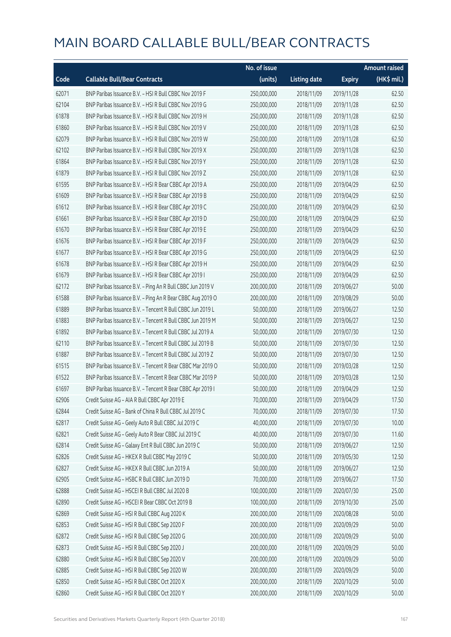|       |                                                            | No. of issue |                     |               | <b>Amount raised</b> |
|-------|------------------------------------------------------------|--------------|---------------------|---------------|----------------------|
| Code  | <b>Callable Bull/Bear Contracts</b>                        | (units)      | <b>Listing date</b> | <b>Expiry</b> | $(HK\$ mil.)         |
| 62071 | BNP Paribas Issuance B.V. - HSI R Bull CBBC Nov 2019 F     | 250,000,000  | 2018/11/09          | 2019/11/28    | 62.50                |
| 62104 | BNP Paribas Issuance B.V. - HSI R Bull CBBC Nov 2019 G     | 250,000,000  | 2018/11/09          | 2019/11/28    | 62.50                |
| 61878 | BNP Paribas Issuance B.V. - HSI R Bull CBBC Nov 2019 H     | 250,000,000  | 2018/11/09          | 2019/11/28    | 62.50                |
| 61860 | BNP Paribas Issuance B.V. - HSI R Bull CBBC Nov 2019 V     | 250,000,000  | 2018/11/09          | 2019/11/28    | 62.50                |
| 62079 | BNP Paribas Issuance B.V. - HSI R Bull CBBC Nov 2019 W     | 250,000,000  | 2018/11/09          | 2019/11/28    | 62.50                |
| 62102 | BNP Paribas Issuance B.V. - HSI R Bull CBBC Nov 2019 X     | 250,000,000  | 2018/11/09          | 2019/11/28    | 62.50                |
| 61864 | BNP Paribas Issuance B.V. - HSI R Bull CBBC Nov 2019 Y     | 250,000,000  | 2018/11/09          | 2019/11/28    | 62.50                |
| 61879 | BNP Paribas Issuance B.V. - HSI R Bull CBBC Nov 2019 Z     | 250,000,000  | 2018/11/09          | 2019/11/28    | 62.50                |
| 61595 | BNP Paribas Issuance B.V. - HSI R Bear CBBC Apr 2019 A     | 250,000,000  | 2018/11/09          | 2019/04/29    | 62.50                |
| 61609 | BNP Paribas Issuance B.V. - HSI R Bear CBBC Apr 2019 B     | 250,000,000  | 2018/11/09          | 2019/04/29    | 62.50                |
| 61612 | BNP Paribas Issuance B.V. - HSI R Bear CBBC Apr 2019 C     | 250,000,000  | 2018/11/09          | 2019/04/29    | 62.50                |
| 61661 | BNP Paribas Issuance B.V. - HSI R Bear CBBC Apr 2019 D     | 250,000,000  | 2018/11/09          | 2019/04/29    | 62.50                |
| 61670 | BNP Paribas Issuance B.V. - HSI R Bear CBBC Apr 2019 E     | 250,000,000  | 2018/11/09          | 2019/04/29    | 62.50                |
| 61676 | BNP Paribas Issuance B.V. - HSI R Bear CBBC Apr 2019 F     | 250,000,000  | 2018/11/09          | 2019/04/29    | 62.50                |
| 61677 | BNP Paribas Issuance B.V. - HSI R Bear CBBC Apr 2019 G     | 250,000,000  | 2018/11/09          | 2019/04/29    | 62.50                |
| 61678 | BNP Paribas Issuance B.V. - HSI R Bear CBBC Apr 2019 H     | 250,000,000  | 2018/11/09          | 2019/04/29    | 62.50                |
| 61679 | BNP Paribas Issuance B.V. - HSI R Bear CBBC Apr 2019 I     | 250,000,000  | 2018/11/09          | 2019/04/29    | 62.50                |
| 62172 | BNP Paribas Issuance B.V. - Ping An R Bull CBBC Jun 2019 V | 200,000,000  | 2018/11/09          | 2019/06/27    | 50.00                |
| 61588 | BNP Paribas Issuance B.V. - Ping An R Bear CBBC Aug 2019 O | 200,000,000  | 2018/11/09          | 2019/08/29    | 50.00                |
| 61889 | BNP Paribas Issuance B.V. - Tencent R Bull CBBC Jun 2019 L | 50,000,000   | 2018/11/09          | 2019/06/27    | 12.50                |
| 61883 | BNP Paribas Issuance B.V. - Tencent R Bull CBBC Jun 2019 M | 50,000,000   | 2018/11/09          | 2019/06/27    | 12.50                |
| 61892 | BNP Paribas Issuance B.V. - Tencent R Bull CBBC Jul 2019 A | 50,000,000   | 2018/11/09          | 2019/07/30    | 12.50                |
| 62110 | BNP Paribas Issuance B.V. - Tencent R Bull CBBC Jul 2019 B | 50,000,000   | 2018/11/09          | 2019/07/30    | 12.50                |
| 61887 | BNP Paribas Issuance B.V. - Tencent R Bull CBBC Jul 2019 Z | 50,000,000   | 2018/11/09          | 2019/07/30    | 12.50                |
| 61515 | BNP Paribas Issuance B.V. - Tencent R Bear CBBC Mar 2019 O | 50,000,000   | 2018/11/09          | 2019/03/28    | 12.50                |
| 61522 | BNP Paribas Issuance B.V. - Tencent R Bear CBBC Mar 2019 P | 50,000,000   | 2018/11/09          | 2019/03/28    | 12.50                |
| 61697 | BNP Paribas Issuance B.V. - Tencent R Bear CBBC Apr 2019 I | 50,000,000   | 2018/11/09          | 2019/04/29    | 12.50                |
| 62906 | Credit Suisse AG - AIA R Bull CBBC Apr 2019 E              | 70,000,000   | 2018/11/09          | 2019/04/29    | 17.50                |
| 62844 | Credit Suisse AG - Bank of China R Bull CBBC Jul 2019 C    | 70,000,000   | 2018/11/09          | 2019/07/30    | 17.50                |
| 62817 | Credit Suisse AG - Geely Auto R Bull CBBC Jul 2019 C       | 40,000,000   | 2018/11/09          | 2019/07/30    | 10.00                |
| 62821 | Credit Suisse AG - Geely Auto R Bear CBBC Jul 2019 C       | 40,000,000   | 2018/11/09          | 2019/07/30    | 11.60                |
| 62814 | Credit Suisse AG - Galaxy Ent R Bull CBBC Jun 2019 C       | 50,000,000   | 2018/11/09          | 2019/06/27    | 12.50                |
| 62826 | Credit Suisse AG - HKEX R Bull CBBC May 2019 C             | 50,000,000   | 2018/11/09          | 2019/05/30    | 12.50                |
| 62827 | Credit Suisse AG - HKEX R Bull CBBC Jun 2019 A             | 50,000,000   | 2018/11/09          | 2019/06/27    | 12.50                |
| 62905 | Credit Suisse AG - HSBC R Bull CBBC Jun 2019 D             | 70,000,000   | 2018/11/09          | 2019/06/27    | 17.50                |
| 62888 | Credit Suisse AG - HSCEI R Bull CBBC Jul 2020 B            | 100,000,000  | 2018/11/09          | 2020/07/30    | 25.00                |
| 62890 | Credit Suisse AG - HSCEI R Bear CBBC Oct 2019 B            | 100,000,000  | 2018/11/09          | 2019/10/30    | 25.00                |
| 62869 | Credit Suisse AG - HSI R Bull CBBC Aug 2020 K              | 200,000,000  | 2018/11/09          | 2020/08/28    | 50.00                |
| 62853 | Credit Suisse AG - HSI R Bull CBBC Sep 2020 F              | 200,000,000  | 2018/11/09          | 2020/09/29    | 50.00                |
| 62872 | Credit Suisse AG - HSI R Bull CBBC Sep 2020 G              | 200,000,000  | 2018/11/09          | 2020/09/29    | 50.00                |
| 62873 | Credit Suisse AG - HSI R Bull CBBC Sep 2020 J              | 200,000,000  | 2018/11/09          | 2020/09/29    | 50.00                |
| 62880 | Credit Suisse AG - HSI R Bull CBBC Sep 2020 V              | 200,000,000  | 2018/11/09          | 2020/09/29    | 50.00                |
| 62885 | Credit Suisse AG - HSI R Bull CBBC Sep 2020 W              | 200,000,000  | 2018/11/09          | 2020/09/29    | 50.00                |
| 62850 | Credit Suisse AG - HSI R Bull CBBC Oct 2020 X              | 200,000,000  | 2018/11/09          | 2020/10/29    | 50.00                |
| 62860 | Credit Suisse AG - HSI R Bull CBBC Oct 2020 Y              | 200,000,000  | 2018/11/09          | 2020/10/29    | 50.00                |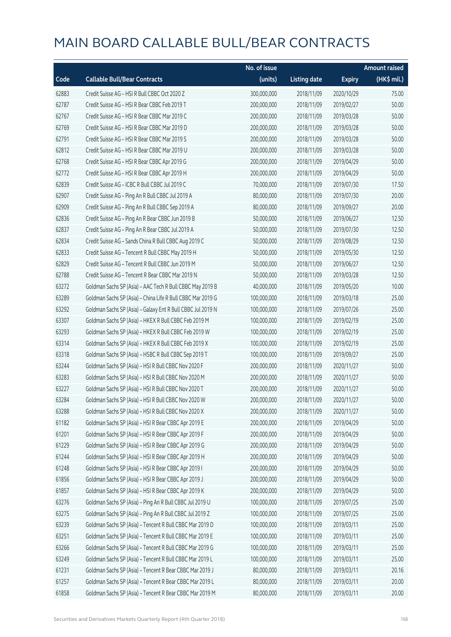|       |                                                             | No. of issue |                     |               | Amount raised |
|-------|-------------------------------------------------------------|--------------|---------------------|---------------|---------------|
| Code  | <b>Callable Bull/Bear Contracts</b>                         | (units)      | <b>Listing date</b> | <b>Expiry</b> | (HK\$ mil.)   |
| 62883 | Credit Suisse AG - HSI R Bull CBBC Oct 2020 Z               | 300,000,000  | 2018/11/09          | 2020/10/29    | 75.00         |
| 62787 | Credit Suisse AG - HSI R Bear CBBC Feb 2019 T               | 200,000,000  | 2018/11/09          | 2019/02/27    | 50.00         |
| 62767 | Credit Suisse AG - HSI R Bear CBBC Mar 2019 C               | 200,000,000  | 2018/11/09          | 2019/03/28    | 50.00         |
| 62769 | Credit Suisse AG - HSI R Bear CBBC Mar 2019 D               | 200,000,000  | 2018/11/09          | 2019/03/28    | 50.00         |
| 62791 | Credit Suisse AG - HSI R Bear CBBC Mar 2019 S               | 200,000,000  | 2018/11/09          | 2019/03/28    | 50.00         |
| 62812 | Credit Suisse AG - HSI R Bear CBBC Mar 2019 U               | 200,000,000  | 2018/11/09          | 2019/03/28    | 50.00         |
| 62768 | Credit Suisse AG - HSI R Bear CBBC Apr 2019 G               | 200,000,000  | 2018/11/09          | 2019/04/29    | 50.00         |
| 62772 | Credit Suisse AG - HSI R Bear CBBC Apr 2019 H               | 200,000,000  | 2018/11/09          | 2019/04/29    | 50.00         |
| 62839 | Credit Suisse AG - ICBC R Bull CBBC Jul 2019 C              | 70,000,000   | 2018/11/09          | 2019/07/30    | 17.50         |
| 62907 | Credit Suisse AG - Ping An R Bull CBBC Jul 2019 A           | 80,000,000   | 2018/11/09          | 2019/07/30    | 20.00         |
| 62909 | Credit Suisse AG - Ping An R Bull CBBC Sep 2019 A           | 80,000,000   | 2018/11/09          | 2019/09/27    | 20.00         |
| 62836 | Credit Suisse AG - Ping An R Bear CBBC Jun 2019 B           | 50,000,000   | 2018/11/09          | 2019/06/27    | 12.50         |
| 62837 | Credit Suisse AG - Ping An R Bear CBBC Jul 2019 A           | 50,000,000   | 2018/11/09          | 2019/07/30    | 12.50         |
| 62834 | Credit Suisse AG - Sands China R Bull CBBC Aug 2019 C       | 50,000,000   | 2018/11/09          | 2019/08/29    | 12.50         |
| 62833 | Credit Suisse AG - Tencent R Bull CBBC May 2019 H           | 50,000,000   | 2018/11/09          | 2019/05/30    | 12.50         |
| 62829 | Credit Suisse AG - Tencent R Bull CBBC Jun 2019 M           | 50,000,000   | 2018/11/09          | 2019/06/27    | 12.50         |
| 62788 | Credit Suisse AG - Tencent R Bear CBBC Mar 2019 N           | 50,000,000   | 2018/11/09          | 2019/03/28    | 12.50         |
| 63272 | Goldman Sachs SP (Asia) - AAC Tech R Bull CBBC May 2019 B   | 40,000,000   | 2018/11/09          | 2019/05/20    | 10.00         |
| 63289 | Goldman Sachs SP (Asia) - China Life R Bull CBBC Mar 2019 G | 100,000,000  | 2018/11/09          | 2019/03/18    | 25.00         |
| 63292 | Goldman Sachs SP (Asia) - Galaxy Ent R Bull CBBC Jul 2019 N | 100,000,000  | 2018/11/09          | 2019/07/26    | 25.00         |
| 63307 | Goldman Sachs SP (Asia) - HKEX R Bull CBBC Feb 2019 M       | 100,000,000  | 2018/11/09          | 2019/02/19    | 25.00         |
| 63293 | Goldman Sachs SP (Asia) - HKEX R Bull CBBC Feb 2019 W       | 100,000,000  | 2018/11/09          | 2019/02/19    | 25.00         |
| 63314 | Goldman Sachs SP (Asia) - HKEX R Bull CBBC Feb 2019 X       | 100,000,000  | 2018/11/09          | 2019/02/19    | 25.00         |
| 63318 | Goldman Sachs SP (Asia) - HSBC R Bull CBBC Sep 2019 T       | 100,000,000  | 2018/11/09          | 2019/09/27    | 25.00         |
| 63244 | Goldman Sachs SP (Asia) - HSI R Bull CBBC Nov 2020 F        | 200,000,000  | 2018/11/09          | 2020/11/27    | 50.00         |
| 63283 | Goldman Sachs SP (Asia) - HSI R Bull CBBC Nov 2020 M        | 200,000,000  | 2018/11/09          | 2020/11/27    | 50.00         |
| 63227 | Goldman Sachs SP (Asia) - HSI R Bull CBBC Nov 2020 T        | 200,000,000  | 2018/11/09          | 2020/11/27    | 50.00         |
| 63284 | Goldman Sachs SP (Asia) - HSI R Bull CBBC Nov 2020 W        | 200,000,000  | 2018/11/09          | 2020/11/27    | 50.00         |
| 63288 | Goldman Sachs SP (Asia) - HSI R Bull CBBC Nov 2020 X        | 200,000,000  | 2018/11/09          | 2020/11/27    | 50.00         |
| 61182 | Goldman Sachs SP (Asia) - HSI R Bear CBBC Apr 2019 E        | 200,000,000  | 2018/11/09          | 2019/04/29    | 50.00         |
| 61201 | Goldman Sachs SP (Asia) - HSI R Bear CBBC Apr 2019 F        | 200,000,000  | 2018/11/09          | 2019/04/29    | 50.00         |
| 61229 | Goldman Sachs SP (Asia) - HSI R Bear CBBC Apr 2019 G        | 200,000,000  | 2018/11/09          | 2019/04/29    | 50.00         |
| 61244 | Goldman Sachs SP (Asia) - HSI R Bear CBBC Apr 2019 H        | 200,000,000  | 2018/11/09          | 2019/04/29    | 50.00         |
| 61248 | Goldman Sachs SP (Asia) - HSI R Bear CBBC Apr 2019 I        | 200,000,000  | 2018/11/09          | 2019/04/29    | 50.00         |
| 61856 | Goldman Sachs SP (Asia) - HSI R Bear CBBC Apr 2019 J        | 200,000,000  | 2018/11/09          | 2019/04/29    | 50.00         |
| 61857 | Goldman Sachs SP (Asia) - HSI R Bear CBBC Apr 2019 K        | 200,000,000  | 2018/11/09          | 2019/04/29    | 50.00         |
| 63276 | Goldman Sachs SP (Asia) - Ping An R Bull CBBC Jul 2019 U    | 100,000,000  | 2018/11/09          | 2019/07/25    | 25.00         |
| 63275 | Goldman Sachs SP (Asia) - Ping An R Bull CBBC Jul 2019 Z    | 100,000,000  | 2018/11/09          | 2019/07/25    | 25.00         |
| 63239 | Goldman Sachs SP (Asia) - Tencent R Bull CBBC Mar 2019 D    | 100,000,000  | 2018/11/09          | 2019/03/11    | 25.00         |
| 63251 | Goldman Sachs SP (Asia) - Tencent R Bull CBBC Mar 2019 E    | 100,000,000  | 2018/11/09          | 2019/03/11    | 25.00         |
| 63266 | Goldman Sachs SP (Asia) - Tencent R Bull CBBC Mar 2019 G    | 100,000,000  | 2018/11/09          | 2019/03/11    | 25.00         |
| 63249 | Goldman Sachs SP (Asia) - Tencent R Bull CBBC Mar 2019 L    | 100,000,000  | 2018/11/09          | 2019/03/11    | 25.00         |
| 61231 | Goldman Sachs SP (Asia) - Tencent R Bear CBBC Mar 2019 J    | 80,000,000   | 2018/11/09          | 2019/03/11    | 20.16         |
| 61257 | Goldman Sachs SP (Asia) - Tencent R Bear CBBC Mar 2019 L    | 80,000,000   | 2018/11/09          | 2019/03/11    | 20.00         |
| 61858 | Goldman Sachs SP (Asia) - Tencent R Bear CBBC Mar 2019 M    | 80,000,000   | 2018/11/09          | 2019/03/11    | 20.00         |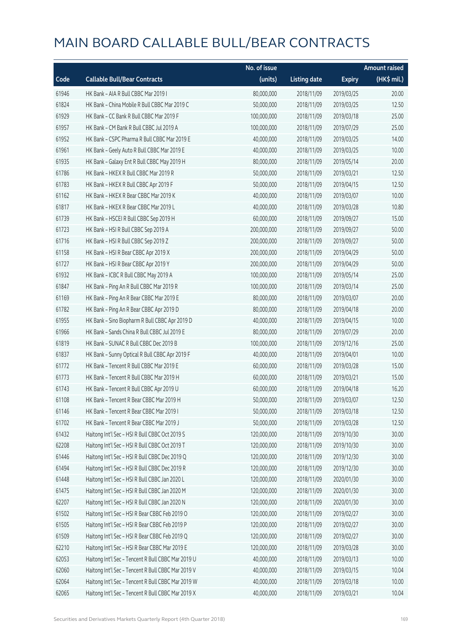|       |                                                    | No. of issue |                     |               | <b>Amount raised</b>  |
|-------|----------------------------------------------------|--------------|---------------------|---------------|-----------------------|
| Code  | <b>Callable Bull/Bear Contracts</b>                | (units)      | <b>Listing date</b> | <b>Expiry</b> | $(HK\frac{1}{2}mil.)$ |
| 61946 | HK Bank - AIA R Bull CBBC Mar 2019 I               | 80,000,000   | 2018/11/09          | 2019/03/25    | 20.00                 |
| 61824 | HK Bank - China Mobile R Bull CBBC Mar 2019 C      | 50,000,000   | 2018/11/09          | 2019/03/25    | 12.50                 |
| 61929 | HK Bank - CC Bank R Bull CBBC Mar 2019 F           | 100,000,000  | 2018/11/09          | 2019/03/18    | 25.00                 |
| 61957 | HK Bank - CM Bank R Bull CBBC Jul 2019 A           | 100,000,000  | 2018/11/09          | 2019/07/29    | 25.00                 |
| 61952 | HK Bank - CSPC Pharma R Bull CBBC Mar 2019 E       | 40,000,000   | 2018/11/09          | 2019/03/25    | 14.00                 |
| 61961 | HK Bank - Geely Auto R Bull CBBC Mar 2019 E        | 40,000,000   | 2018/11/09          | 2019/03/25    | 10.00                 |
| 61935 | HK Bank - Galaxy Ent R Bull CBBC May 2019 H        | 80,000,000   | 2018/11/09          | 2019/05/14    | 20.00                 |
| 61786 | HK Bank - HKEX R Bull CBBC Mar 2019 R              | 50,000,000   | 2018/11/09          | 2019/03/21    | 12.50                 |
| 61783 | HK Bank - HKEX R Bull CBBC Apr 2019 F              | 50,000,000   | 2018/11/09          | 2019/04/15    | 12.50                 |
| 61162 | HK Bank - HKEX R Bear CBBC Mar 2019 K              | 40,000,000   | 2018/11/09          | 2019/03/07    | 10.00                 |
| 61817 | HK Bank - HKEX R Bear CBBC Mar 2019 L              | 40,000,000   | 2018/11/09          | 2019/03/28    | 10.80                 |
| 61739 | HK Bank - HSCEI R Bull CBBC Sep 2019 H             | 60,000,000   | 2018/11/09          | 2019/09/27    | 15.00                 |
| 61723 | HK Bank - HSI R Bull CBBC Sep 2019 A               | 200,000,000  | 2018/11/09          | 2019/09/27    | 50.00                 |
| 61716 | HK Bank - HSI R Bull CBBC Sep 2019 Z               | 200,000,000  | 2018/11/09          | 2019/09/27    | 50.00                 |
| 61158 | HK Bank - HSI R Bear CBBC Apr 2019 X               | 200,000,000  | 2018/11/09          | 2019/04/29    | 50.00                 |
| 61727 | HK Bank - HSI R Bear CBBC Apr 2019 Y               | 200,000,000  | 2018/11/09          | 2019/04/29    | 50.00                 |
| 61932 | HK Bank - ICBC R Bull CBBC May 2019 A              | 100,000,000  | 2018/11/09          | 2019/05/14    | 25.00                 |
| 61847 | HK Bank - Ping An R Bull CBBC Mar 2019 R           | 100,000,000  | 2018/11/09          | 2019/03/14    | 25.00                 |
| 61169 | HK Bank - Ping An R Bear CBBC Mar 2019 E           | 80,000,000   | 2018/11/09          | 2019/03/07    | 20.00                 |
| 61782 | HK Bank - Ping An R Bear CBBC Apr 2019 D           | 80,000,000   | 2018/11/09          | 2019/04/18    | 20.00                 |
| 61955 | HK Bank - Sino Biopharm R Bull CBBC Apr 2019 D     | 40,000,000   | 2018/11/09          | 2019/04/15    | 10.00                 |
| 61966 | HK Bank - Sands China R Bull CBBC Jul 2019 E       | 80,000,000   | 2018/11/09          | 2019/07/29    | 20.00                 |
| 61819 | HK Bank - SUNAC R Bull CBBC Dec 2019 B             | 100,000,000  | 2018/11/09          | 2019/12/16    | 25.00                 |
| 61837 | HK Bank - Sunny Optical R Bull CBBC Apr 2019 F     | 40,000,000   | 2018/11/09          | 2019/04/01    | 10.00                 |
| 61772 | HK Bank - Tencent R Bull CBBC Mar 2019 E           | 60,000,000   | 2018/11/09          | 2019/03/28    | 15.00                 |
| 61773 | HK Bank - Tencent R Bull CBBC Mar 2019 H           | 60,000,000   | 2018/11/09          | 2019/03/21    | 15.00                 |
| 61743 | HK Bank - Tencent R Bull CBBC Apr 2019 U           | 60,000,000   | 2018/11/09          | 2019/04/18    | 16.20                 |
| 61108 | HK Bank - Tencent R Bear CBBC Mar 2019 H           | 50,000,000   | 2018/11/09          | 2019/03/07    | 12.50                 |
| 61146 | HK Bank - Tencent R Bear CBBC Mar 2019 I           | 50,000,000   | 2018/11/09          | 2019/03/18    | 12.50                 |
| 61702 | HK Bank - Tencent R Bear CBBC Mar 2019 J           | 50,000,000   | 2018/11/09          | 2019/03/28    | 12.50                 |
| 61432 | Haitong Int'l Sec - HSI R Bull CBBC Oct 2019 S     | 120,000,000  | 2018/11/09          | 2019/10/30    | 30.00                 |
| 62208 | Haitong Int'l Sec - HSI R Bull CBBC Oct 2019 T     | 120,000,000  | 2018/11/09          | 2019/10/30    | 30.00                 |
| 61446 | Haitong Int'l Sec - HSI R Bull CBBC Dec 2019 Q     | 120,000,000  | 2018/11/09          | 2019/12/30    | 30.00                 |
| 61494 | Haitong Int'l Sec - HSI R Bull CBBC Dec 2019 R     | 120,000,000  | 2018/11/09          | 2019/12/30    | 30.00                 |
| 61448 | Haitong Int'l Sec - HSI R Bull CBBC Jan 2020 L     | 120,000,000  | 2018/11/09          | 2020/01/30    | 30.00                 |
| 61475 | Haitong Int'l Sec - HSI R Bull CBBC Jan 2020 M     | 120,000,000  | 2018/11/09          | 2020/01/30    | 30.00                 |
| 62207 | Haitong Int'l Sec - HSI R Bull CBBC Jan 2020 N     | 120,000,000  | 2018/11/09          | 2020/01/30    | 30.00                 |
| 61502 | Haitong Int'l Sec - HSI R Bear CBBC Feb 2019 O     | 120,000,000  | 2018/11/09          | 2019/02/27    | 30.00                 |
| 61505 | Haitong Int'l Sec - HSI R Bear CBBC Feb 2019 P     | 120,000,000  | 2018/11/09          | 2019/02/27    | 30.00                 |
| 61509 | Haitong Int'l Sec - HSI R Bear CBBC Feb 2019 Q     | 120,000,000  | 2018/11/09          | 2019/02/27    | 30.00                 |
| 62210 | Haitong Int'l Sec - HSI R Bear CBBC Mar 2019 E     | 120,000,000  | 2018/11/09          | 2019/03/28    | 30.00                 |
| 62053 | Haitong Int'l Sec - Tencent R Bull CBBC Mar 2019 U | 40,000,000   | 2018/11/09          | 2019/03/13    | 10.00                 |
| 62060 | Haitong Int'l Sec - Tencent R Bull CBBC Mar 2019 V | 40,000,000   | 2018/11/09          | 2019/03/15    | 10.04                 |
| 62064 | Haitong Int'l Sec - Tencent R Bull CBBC Mar 2019 W | 40,000,000   | 2018/11/09          | 2019/03/18    | 10.00                 |
| 62065 | Haitong Int'l Sec - Tencent R Bull CBBC Mar 2019 X | 40,000,000   | 2018/11/09          | 2019/03/21    | 10.04                 |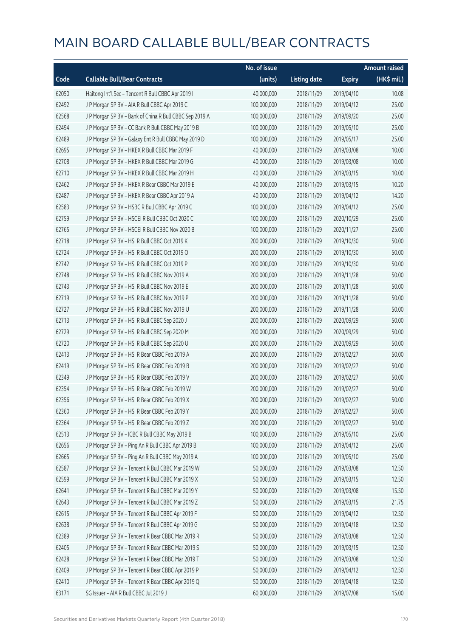|       |                                                         | No. of issue |                     |               | <b>Amount raised</b> |
|-------|---------------------------------------------------------|--------------|---------------------|---------------|----------------------|
| Code  | <b>Callable Bull/Bear Contracts</b>                     | (units)      | <b>Listing date</b> | <b>Expiry</b> | (HK\$ mil.)          |
| 62050 | Haitong Int'l Sec - Tencent R Bull CBBC Apr 2019 I      | 40,000,000   | 2018/11/09          | 2019/04/10    | 10.08                |
| 62492 | J P Morgan SP BV - AIA R Bull CBBC Apr 2019 C           | 100,000,000  | 2018/11/09          | 2019/04/12    | 25.00                |
| 62568 | J P Morgan SP BV - Bank of China R Bull CBBC Sep 2019 A | 100,000,000  | 2018/11/09          | 2019/09/20    | 25.00                |
| 62494 | J P Morgan SP BV - CC Bank R Bull CBBC May 2019 B       | 100,000,000  | 2018/11/09          | 2019/05/10    | 25.00                |
| 62489 | J P Morgan SP BV - Galaxy Ent R Bull CBBC May 2019 D    | 100,000,000  | 2018/11/09          | 2019/05/17    | 25.00                |
| 62695 | J P Morgan SP BV - HKEX R Bull CBBC Mar 2019 F          | 40,000,000   | 2018/11/09          | 2019/03/08    | 10.00                |
| 62708 | J P Morgan SP BV - HKEX R Bull CBBC Mar 2019 G          | 40,000,000   | 2018/11/09          | 2019/03/08    | 10.00                |
| 62710 | J P Morgan SP BV - HKEX R Bull CBBC Mar 2019 H          | 40,000,000   | 2018/11/09          | 2019/03/15    | 10.00                |
| 62462 | J P Morgan SP BV - HKEX R Bear CBBC Mar 2019 E          | 40,000,000   | 2018/11/09          | 2019/03/15    | 10.20                |
| 62487 | J P Morgan SP BV - HKEX R Bear CBBC Apr 2019 A          | 40,000,000   | 2018/11/09          | 2019/04/12    | 14.20                |
| 62583 | J P Morgan SP BV - HSBC R Bull CBBC Apr 2019 C          | 100,000,000  | 2018/11/09          | 2019/04/12    | 25.00                |
| 62759 | J P Morgan SP BV - HSCEI R Bull CBBC Oct 2020 C         | 100,000,000  | 2018/11/09          | 2020/10/29    | 25.00                |
| 62765 | J P Morgan SP BV - HSCEI R Bull CBBC Nov 2020 B         | 100,000,000  | 2018/11/09          | 2020/11/27    | 25.00                |
| 62718 | J P Morgan SP BV - HSI R Bull CBBC Oct 2019 K           | 200,000,000  | 2018/11/09          | 2019/10/30    | 50.00                |
| 62724 | J P Morgan SP BV - HSI R Bull CBBC Oct 2019 O           | 200,000,000  | 2018/11/09          | 2019/10/30    | 50.00                |
| 62742 | J P Morgan SP BV - HSI R Bull CBBC Oct 2019 P           | 200,000,000  | 2018/11/09          | 2019/10/30    | 50.00                |
| 62748 | J P Morgan SP BV - HSI R Bull CBBC Nov 2019 A           | 200,000,000  | 2018/11/09          | 2019/11/28    | 50.00                |
| 62743 | J P Morgan SP BV - HSI R Bull CBBC Nov 2019 E           | 200,000,000  | 2018/11/09          | 2019/11/28    | 50.00                |
| 62719 | J P Morgan SP BV - HSI R Bull CBBC Nov 2019 P           | 200,000,000  | 2018/11/09          | 2019/11/28    | 50.00                |
| 62727 | J P Morgan SP BV - HSI R Bull CBBC Nov 2019 U           | 200,000,000  | 2018/11/09          | 2019/11/28    | 50.00                |
| 62713 | J P Morgan SP BV - HSI R Bull CBBC Sep 2020 J           | 200,000,000  | 2018/11/09          | 2020/09/29    | 50.00                |
| 62729 | J P Morgan SP BV - HSI R Bull CBBC Sep 2020 M           | 200,000,000  | 2018/11/09          | 2020/09/29    | 50.00                |
| 62720 | J P Morgan SP BV - HSI R Bull CBBC Sep 2020 U           | 200,000,000  | 2018/11/09          | 2020/09/29    | 50.00                |
| 62413 | J P Morgan SP BV - HSI R Bear CBBC Feb 2019 A           | 200,000,000  | 2018/11/09          | 2019/02/27    | 50.00                |
| 62419 | J P Morgan SP BV - HSI R Bear CBBC Feb 2019 B           | 200,000,000  | 2018/11/09          | 2019/02/27    | 50.00                |
| 62349 | J P Morgan SP BV - HSI R Bear CBBC Feb 2019 V           | 200,000,000  | 2018/11/09          | 2019/02/27    | 50.00                |
| 62354 | J P Morgan SP BV - HSI R Bear CBBC Feb 2019 W           | 200,000,000  | 2018/11/09          | 2019/02/27    | 50.00                |
| 62356 | J P Morgan SP BV - HSI R Bear CBBC Feb 2019 X           | 200,000,000  | 2018/11/09          | 2019/02/27    | 50.00                |
| 62360 | J P Morgan SP BV - HSI R Bear CBBC Feb 2019 Y           | 200,000,000  | 2018/11/09          | 2019/02/27    | 50.00                |
| 62364 | J P Morgan SP BV - HSI R Bear CBBC Feb 2019 Z           | 200,000,000  | 2018/11/09          | 2019/02/27    | 50.00                |
| 62513 | J P Morgan SP BV - ICBC R Bull CBBC May 2019 B          | 100,000,000  | 2018/11/09          | 2019/05/10    | 25.00                |
| 62656 | J P Morgan SP BV - Ping An R Bull CBBC Apr 2019 B       | 100,000,000  | 2018/11/09          | 2019/04/12    | 25.00                |
| 62665 | J P Morgan SP BV - Ping An R Bull CBBC May 2019 A       | 100,000,000  | 2018/11/09          | 2019/05/10    | 25.00                |
| 62587 | J P Morgan SP BV - Tencent R Bull CBBC Mar 2019 W       | 50,000,000   | 2018/11/09          | 2019/03/08    | 12.50                |
| 62599 | JP Morgan SP BV - Tencent R Bull CBBC Mar 2019 X        | 50,000,000   | 2018/11/09          | 2019/03/15    | 12.50                |
| 62641 | J P Morgan SP BV - Tencent R Bull CBBC Mar 2019 Y       | 50,000,000   | 2018/11/09          | 2019/03/08    | 15.50                |
| 62643 | J P Morgan SP BV - Tencent R Bull CBBC Mar 2019 Z       | 50,000,000   | 2018/11/09          | 2019/03/15    | 21.75                |
| 62615 | J P Morgan SP BV - Tencent R Bull CBBC Apr 2019 F       | 50,000,000   | 2018/11/09          | 2019/04/12    | 12.50                |
| 62638 | J P Morgan SP BV - Tencent R Bull CBBC Apr 2019 G       | 50,000,000   | 2018/11/09          | 2019/04/18    | 12.50                |
| 62389 | J P Morgan SP BV - Tencent R Bear CBBC Mar 2019 R       | 50,000,000   | 2018/11/09          | 2019/03/08    | 12.50                |
| 62405 | J P Morgan SP BV - Tencent R Bear CBBC Mar 2019 S       | 50,000,000   | 2018/11/09          | 2019/03/15    | 12.50                |
| 62428 | J P Morgan SP BV - Tencent R Bear CBBC Mar 2019 T       | 50,000,000   | 2018/11/09          | 2019/03/08    | 12.50                |
| 62409 | J P Morgan SP BV - Tencent R Bear CBBC Apr 2019 P       | 50,000,000   | 2018/11/09          | 2019/04/12    | 12.50                |
| 62410 | J P Morgan SP BV - Tencent R Bear CBBC Apr 2019 Q       | 50,000,000   | 2018/11/09          | 2019/04/18    | 12.50                |
| 63171 | SG Issuer - AIA R Bull CBBC Jul 2019 J                  | 60,000,000   | 2018/11/09          | 2019/07/08    | 15.00                |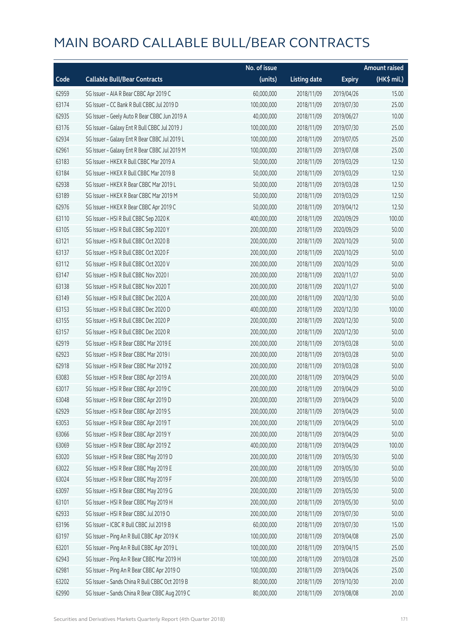|       |                                                | No. of issue |                     |               | <b>Amount raised</b> |
|-------|------------------------------------------------|--------------|---------------------|---------------|----------------------|
| Code  | <b>Callable Bull/Bear Contracts</b>            | (units)      | <b>Listing date</b> | <b>Expiry</b> | $(HK\$ mil.)         |
| 62959 | SG Issuer - AIA R Bear CBBC Apr 2019 C         | 60,000,000   | 2018/11/09          | 2019/04/26    | 15.00                |
| 63174 | SG Issuer - CC Bank R Bull CBBC Jul 2019 D     | 100,000,000  | 2018/11/09          | 2019/07/30    | 25.00                |
| 62935 | SG Issuer - Geely Auto R Bear CBBC Jun 2019 A  | 40,000,000   | 2018/11/09          | 2019/06/27    | 10.00                |
| 63176 | SG Issuer - Galaxy Ent R Bull CBBC Jul 2019 J  | 100,000,000  | 2018/11/09          | 2019/07/30    | 25.00                |
| 62934 | SG Issuer - Galaxy Ent R Bear CBBC Jul 2019 L  | 100,000,000  | 2018/11/09          | 2019/07/05    | 25.00                |
| 62961 | SG Issuer - Galaxy Ent R Bear CBBC Jul 2019 M  | 100,000,000  | 2018/11/09          | 2019/07/08    | 25.00                |
| 63183 | SG Issuer - HKEX R Bull CBBC Mar 2019 A        | 50,000,000   | 2018/11/09          | 2019/03/29    | 12.50                |
| 63184 | SG Issuer - HKEX R Bull CBBC Mar 2019 B        | 50,000,000   | 2018/11/09          | 2019/03/29    | 12.50                |
| 62938 | SG Issuer - HKEX R Bear CBBC Mar 2019 L        | 50,000,000   | 2018/11/09          | 2019/03/28    | 12.50                |
| 63189 | SG Issuer - HKEX R Bear CBBC Mar 2019 M        | 50,000,000   | 2018/11/09          | 2019/03/29    | 12.50                |
| 62976 | SG Issuer - HKEX R Bear CBBC Apr 2019 C        | 50,000,000   | 2018/11/09          | 2019/04/12    | 12.50                |
| 63110 | SG Issuer - HSI R Bull CBBC Sep 2020 K         | 400,000,000  | 2018/11/09          | 2020/09/29    | 100.00               |
| 63105 | SG Issuer - HSI R Bull CBBC Sep 2020 Y         | 200,000,000  | 2018/11/09          | 2020/09/29    | 50.00                |
| 63121 | SG Issuer - HSI R Bull CBBC Oct 2020 B         | 200,000,000  | 2018/11/09          | 2020/10/29    | 50.00                |
| 63137 | SG Issuer - HSI R Bull CBBC Oct 2020 F         | 200,000,000  | 2018/11/09          | 2020/10/29    | 50.00                |
| 63112 | SG Issuer - HSI R Bull CBBC Oct 2020 V         | 200,000,000  | 2018/11/09          | 2020/10/29    | 50.00                |
| 63147 | SG Issuer - HSI R Bull CBBC Nov 2020 I         | 200,000,000  | 2018/11/09          | 2020/11/27    | 50.00                |
| 63138 | SG Issuer - HSI R Bull CBBC Nov 2020 T         | 200,000,000  | 2018/11/09          | 2020/11/27    | 50.00                |
| 63149 | SG Issuer - HSI R Bull CBBC Dec 2020 A         | 200,000,000  | 2018/11/09          | 2020/12/30    | 50.00                |
| 63153 | SG Issuer - HSI R Bull CBBC Dec 2020 D         | 400,000,000  | 2018/11/09          | 2020/12/30    | 100.00               |
| 63155 | SG Issuer - HSI R Bull CBBC Dec 2020 P         | 200,000,000  | 2018/11/09          | 2020/12/30    | 50.00                |
| 63157 | SG Issuer - HSI R Bull CBBC Dec 2020 R         | 200,000,000  | 2018/11/09          | 2020/12/30    | 50.00                |
| 62919 | SG Issuer - HSI R Bear CBBC Mar 2019 E         | 200,000,000  | 2018/11/09          | 2019/03/28    | 50.00                |
| 62923 | SG Issuer - HSI R Bear CBBC Mar 2019 I         | 200,000,000  | 2018/11/09          | 2019/03/28    | 50.00                |
| 62918 | SG Issuer - HSI R Bear CBBC Mar 2019 Z         | 200,000,000  | 2018/11/09          | 2019/03/28    | 50.00                |
| 63083 | SG Issuer - HSI R Bear CBBC Apr 2019 A         | 200,000,000  | 2018/11/09          | 2019/04/29    | 50.00                |
| 63017 | SG Issuer - HSI R Bear CBBC Apr 2019 C         | 200,000,000  | 2018/11/09          | 2019/04/29    | 50.00                |
| 63048 | SG Issuer - HSI R Bear CBBC Apr 2019 D         | 200,000,000  | 2018/11/09          | 2019/04/29    | 50.00                |
| 62929 | SG Issuer - HSI R Bear CBBC Apr 2019 S         | 200,000,000  | 2018/11/09          | 2019/04/29    | 50.00                |
| 63053 | SG Issuer - HSI R Bear CBBC Apr 2019 T         | 200,000,000  | 2018/11/09          | 2019/04/29    | 50.00                |
| 63066 | SG Issuer - HSI R Bear CBBC Apr 2019 Y         | 200,000,000  | 2018/11/09          | 2019/04/29    | 50.00                |
| 63069 | SG Issuer - HSI R Bear CBBC Apr 2019 Z         | 400,000,000  | 2018/11/09          | 2019/04/29    | 100.00               |
| 63020 | SG Issuer - HSI R Bear CBBC May 2019 D         | 200,000,000  | 2018/11/09          | 2019/05/30    | 50.00                |
| 63022 | SG Issuer - HSI R Bear CBBC May 2019 E         | 200,000,000  | 2018/11/09          | 2019/05/30    | 50.00                |
| 63024 | SG Issuer - HSI R Bear CBBC May 2019 F         | 200,000,000  | 2018/11/09          | 2019/05/30    | 50.00                |
| 63097 | SG Issuer - HSI R Bear CBBC May 2019 G         | 200,000,000  | 2018/11/09          | 2019/05/30    | 50.00                |
| 63101 | SG Issuer - HSI R Bear CBBC May 2019 H         | 200,000,000  | 2018/11/09          | 2019/05/30    | 50.00                |
| 62933 | SG Issuer - HSI R Bear CBBC Jul 2019 O         | 200,000,000  | 2018/11/09          | 2019/07/30    | 50.00                |
| 63196 | SG Issuer - ICBC R Bull CBBC Jul 2019 B        | 60,000,000   | 2018/11/09          | 2019/07/30    | 15.00                |
| 63197 | SG Issuer - Ping An R Bull CBBC Apr 2019 K     | 100,000,000  | 2018/11/09          | 2019/04/08    | 25.00                |
| 63201 | SG Issuer - Ping An R Bull CBBC Apr 2019 L     | 100,000,000  | 2018/11/09          | 2019/04/15    | 25.00                |
| 62943 | SG Issuer - Ping An R Bear CBBC Mar 2019 H     | 100,000,000  | 2018/11/09          | 2019/03/28    | 25.00                |
| 62981 | SG Issuer - Ping An R Bear CBBC Apr 2019 O     | 100,000,000  | 2018/11/09          | 2019/04/26    | 25.00                |
| 63202 | SG Issuer - Sands China R Bull CBBC Oct 2019 B | 80,000,000   | 2018/11/09          | 2019/10/30    | 20.00                |
| 62990 | SG Issuer - Sands China R Bear CBBC Aug 2019 C | 80,000,000   | 2018/11/09          | 2019/08/08    | 20.00                |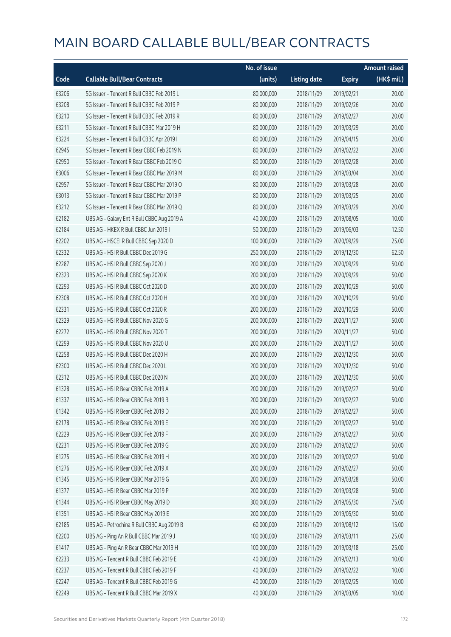|       |                                            | No. of issue |                     |               | <b>Amount raised</b> |
|-------|--------------------------------------------|--------------|---------------------|---------------|----------------------|
| Code  | <b>Callable Bull/Bear Contracts</b>        | (units)      | <b>Listing date</b> | <b>Expiry</b> | $(HK\$ mil.)         |
| 63206 | SG Issuer - Tencent R Bull CBBC Feb 2019 L | 80,000,000   | 2018/11/09          | 2019/02/21    | 20.00                |
| 63208 | SG Issuer - Tencent R Bull CBBC Feb 2019 P | 80,000,000   | 2018/11/09          | 2019/02/26    | 20.00                |
| 63210 | SG Issuer - Tencent R Bull CBBC Feb 2019 R | 80,000,000   | 2018/11/09          | 2019/02/27    | 20.00                |
| 63211 | SG Issuer - Tencent R Bull CBBC Mar 2019 H | 80,000,000   | 2018/11/09          | 2019/03/29    | 20.00                |
| 63224 | SG Issuer - Tencent R Bull CBBC Apr 2019 I | 80,000,000   | 2018/11/09          | 2019/04/15    | 20.00                |
| 62945 | SG Issuer - Tencent R Bear CBBC Feb 2019 N | 80,000,000   | 2018/11/09          | 2019/02/22    | 20.00                |
| 62950 | SG Issuer - Tencent R Bear CBBC Feb 2019 O | 80,000,000   | 2018/11/09          | 2019/02/28    | 20.00                |
| 63006 | SG Issuer - Tencent R Bear CBBC Mar 2019 M | 80,000,000   | 2018/11/09          | 2019/03/04    | 20.00                |
| 62957 | SG Issuer - Tencent R Bear CBBC Mar 2019 O | 80,000,000   | 2018/11/09          | 2019/03/28    | 20.00                |
| 63013 | SG Issuer - Tencent R Bear CBBC Mar 2019 P | 80,000,000   | 2018/11/09          | 2019/03/25    | 20.00                |
| 63212 | SG Issuer - Tencent R Bear CBBC Mar 2019 Q | 80,000,000   | 2018/11/09          | 2019/03/29    | 20.00                |
| 62182 | UBS AG - Galaxy Ent R Bull CBBC Aug 2019 A | 40,000,000   | 2018/11/09          | 2019/08/05    | 10.00                |
| 62184 | UBS AG - HKEX R Bull CBBC Jun 2019 I       | 50,000,000   | 2018/11/09          | 2019/06/03    | 12.50                |
| 62202 | UBS AG - HSCEI R Bull CBBC Sep 2020 D      | 100,000,000  | 2018/11/09          | 2020/09/29    | 25.00                |
| 62332 | UBS AG - HSI R Bull CBBC Dec 2019 G        | 250,000,000  | 2018/11/09          | 2019/12/30    | 62.50                |
| 62287 | UBS AG - HSI R Bull CBBC Sep 2020 J        | 200,000,000  | 2018/11/09          | 2020/09/29    | 50.00                |
| 62323 | UBS AG - HSI R Bull CBBC Sep 2020 K        | 200,000,000  | 2018/11/09          | 2020/09/29    | 50.00                |
| 62293 | UBS AG - HSI R Bull CBBC Oct 2020 D        | 200,000,000  | 2018/11/09          | 2020/10/29    | 50.00                |
| 62308 | UBS AG - HSI R Bull CBBC Oct 2020 H        | 200,000,000  | 2018/11/09          | 2020/10/29    | 50.00                |
| 62331 | UBS AG - HSI R Bull CBBC Oct 2020 R        | 200,000,000  | 2018/11/09          | 2020/10/29    | 50.00                |
| 62329 | UBS AG - HSI R Bull CBBC Nov 2020 G        | 200,000,000  | 2018/11/09          | 2020/11/27    | 50.00                |
| 62272 | UBS AG - HSI R Bull CBBC Nov 2020 T        | 200,000,000  | 2018/11/09          | 2020/11/27    | 50.00                |
| 62299 | UBS AG - HSI R Bull CBBC Nov 2020 U        | 200,000,000  | 2018/11/09          | 2020/11/27    | 50.00                |
| 62258 | UBS AG - HSI R Bull CBBC Dec 2020 H        | 200,000,000  | 2018/11/09          | 2020/12/30    | 50.00                |
| 62300 | UBS AG - HSI R Bull CBBC Dec 2020 L        | 200,000,000  | 2018/11/09          | 2020/12/30    | 50.00                |
| 62312 | UBS AG - HSI R Bull CBBC Dec 2020 N        | 200,000,000  | 2018/11/09          | 2020/12/30    | 50.00                |
| 61328 | UBS AG - HSI R Bear CBBC Feb 2019 A        | 200,000,000  | 2018/11/09          | 2019/02/27    | 50.00                |
| 61337 | UBS AG - HSI R Bear CBBC Feb 2019 B        | 200,000,000  | 2018/11/09          | 2019/02/27    | 50.00                |
| 61342 | UBS AG - HSI R Bear CBBC Feb 2019 D        | 200,000,000  | 2018/11/09          | 2019/02/27    | 50.00                |
| 62178 | UBS AG - HSI R Bear CBBC Feb 2019 E        | 200,000,000  | 2018/11/09          | 2019/02/27    | 50.00                |
| 62229 | UBS AG - HSI R Bear CBBC Feb 2019 F        | 200,000,000  | 2018/11/09          | 2019/02/27    | 50.00                |
| 62231 | UBS AG - HSI R Bear CBBC Feb 2019 G        | 200,000,000  | 2018/11/09          | 2019/02/27    | 50.00                |
| 61275 | UBS AG - HSI R Bear CBBC Feb 2019 H        | 200,000,000  | 2018/11/09          | 2019/02/27    | 50.00                |
| 61276 | UBS AG - HSI R Bear CBBC Feb 2019 X        | 200,000,000  | 2018/11/09          | 2019/02/27    | 50.00                |
| 61345 | UBS AG - HSI R Bear CBBC Mar 2019 G        | 200,000,000  | 2018/11/09          | 2019/03/28    | 50.00                |
| 61377 | UBS AG - HSI R Bear CBBC Mar 2019 P        | 200,000,000  | 2018/11/09          | 2019/03/28    | 50.00                |
| 61344 | UBS AG - HSI R Bear CBBC May 2019 D        | 300,000,000  | 2018/11/09          | 2019/05/30    | 75.00                |
| 61351 | UBS AG - HSI R Bear CBBC May 2019 E        | 200,000,000  | 2018/11/09          | 2019/05/30    | 50.00                |
| 62185 | UBS AG - Petrochina R Bull CBBC Aug 2019 B | 60,000,000   | 2018/11/09          | 2019/08/12    | 15.00                |
| 62200 | UBS AG - Ping An R Bull CBBC Mar 2019 J    | 100,000,000  | 2018/11/09          | 2019/03/11    | 25.00                |
| 61417 | UBS AG - Ping An R Bear CBBC Mar 2019 H    | 100,000,000  | 2018/11/09          | 2019/03/18    | 25.00                |
| 62233 | UBS AG - Tencent R Bull CBBC Feb 2019 E    | 40,000,000   | 2018/11/09          | 2019/02/13    | 10.00                |
| 62237 | UBS AG - Tencent R Bull CBBC Feb 2019 F    | 40,000,000   | 2018/11/09          | 2019/02/22    | 10.00                |
| 62247 | UBS AG - Tencent R Bull CBBC Feb 2019 G    | 40,000,000   | 2018/11/09          | 2019/02/25    | 10.00                |
| 62249 | UBS AG - Tencent R Bull CBBC Mar 2019 X    | 40,000,000   | 2018/11/09          | 2019/03/05    | 10.00                |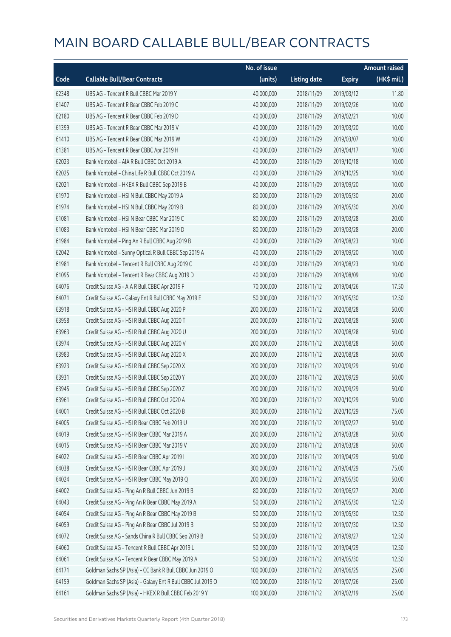|       |                                                             | No. of issue |                     |               | <b>Amount raised</b> |
|-------|-------------------------------------------------------------|--------------|---------------------|---------------|----------------------|
| Code  | <b>Callable Bull/Bear Contracts</b>                         | (units)      | <b>Listing date</b> | <b>Expiry</b> | (HK\$ mil.)          |
| 62348 | UBS AG - Tencent R Bull CBBC Mar 2019 Y                     | 40,000,000   | 2018/11/09          | 2019/03/12    | 11.80                |
| 61407 | UBS AG - Tencent R Bear CBBC Feb 2019 C                     | 40,000,000   | 2018/11/09          | 2019/02/26    | 10.00                |
| 62180 | UBS AG - Tencent R Bear CBBC Feb 2019 D                     | 40,000,000   | 2018/11/09          | 2019/02/21    | 10.00                |
| 61399 | UBS AG - Tencent R Bear CBBC Mar 2019 V                     | 40,000,000   | 2018/11/09          | 2019/03/20    | 10.00                |
| 61410 | UBS AG - Tencent R Bear CBBC Mar 2019 W                     | 40,000,000   | 2018/11/09          | 2019/03/07    | 10.00                |
| 61381 | UBS AG - Tencent R Bear CBBC Apr 2019 H                     | 40,000,000   | 2018/11/09          | 2019/04/17    | 10.00                |
| 62023 | Bank Vontobel - AIA R Bull CBBC Oct 2019 A                  | 40,000,000   | 2018/11/09          | 2019/10/18    | 10.00                |
| 62025 | Bank Vontobel - China Life R Bull CBBC Oct 2019 A           | 40,000,000   | 2018/11/09          | 2019/10/25    | 10.00                |
| 62021 | Bank Vontobel - HKEX R Bull CBBC Sep 2019 B                 | 40,000,000   | 2018/11/09          | 2019/09/20    | 10.00                |
| 61970 | Bank Vontobel - HSI N Bull CBBC May 2019 A                  | 80,000,000   | 2018/11/09          | 2019/05/30    | 20.00                |
| 61974 | Bank Vontobel - HSI N Bull CBBC May 2019 B                  | 80,000,000   | 2018/11/09          | 2019/05/30    | 20.00                |
| 61081 | Bank Vontobel - HSI N Bear CBBC Mar 2019 C                  | 80,000,000   | 2018/11/09          | 2019/03/28    | 20.00                |
| 61083 | Bank Vontobel - HSI N Bear CBBC Mar 2019 D                  | 80,000,000   | 2018/11/09          | 2019/03/28    | 20.00                |
| 61984 | Bank Vontobel - Ping An R Bull CBBC Aug 2019 B              | 40,000,000   | 2018/11/09          | 2019/08/23    | 10.00                |
| 62042 | Bank Vontobel - Sunny Optical R Bull CBBC Sep 2019 A        | 40,000,000   | 2018/11/09          | 2019/09/20    | 10.00                |
| 61981 | Bank Vontobel - Tencent R Bull CBBC Aug 2019 C              | 40,000,000   | 2018/11/09          | 2019/08/23    | 10.00                |
| 61095 | Bank Vontobel - Tencent R Bear CBBC Aug 2019 D              | 40,000,000   | 2018/11/09          | 2019/08/09    | 10.00                |
| 64076 | Credit Suisse AG - AIA R Bull CBBC Apr 2019 F               | 70,000,000   | 2018/11/12          | 2019/04/26    | 17.50                |
| 64071 | Credit Suisse AG - Galaxy Ent R Bull CBBC May 2019 E        | 50,000,000   | 2018/11/12          | 2019/05/30    | 12.50                |
| 63918 | Credit Suisse AG - HSI R Bull CBBC Aug 2020 P               | 200,000,000  | 2018/11/12          | 2020/08/28    | 50.00                |
| 63958 | Credit Suisse AG - HSI R Bull CBBC Aug 2020 T               | 200,000,000  | 2018/11/12          | 2020/08/28    | 50.00                |
| 63963 | Credit Suisse AG - HSI R Bull CBBC Aug 2020 U               | 200,000,000  | 2018/11/12          | 2020/08/28    | 50.00                |
| 63974 | Credit Suisse AG - HSI R Bull CBBC Aug 2020 V               | 200,000,000  | 2018/11/12          | 2020/08/28    | 50.00                |
| 63983 | Credit Suisse AG - HSI R Bull CBBC Aug 2020 X               | 200,000,000  | 2018/11/12          | 2020/08/28    | 50.00                |
| 63923 | Credit Suisse AG - HSI R Bull CBBC Sep 2020 X               | 200,000,000  | 2018/11/12          | 2020/09/29    | 50.00                |
| 63931 | Credit Suisse AG - HSI R Bull CBBC Sep 2020 Y               | 200,000,000  | 2018/11/12          | 2020/09/29    | 50.00                |
| 63945 | Credit Suisse AG - HSI R Bull CBBC Sep 2020 Z               | 200,000,000  | 2018/11/12          | 2020/09/29    | 50.00                |
| 63961 | Credit Suisse AG - HSI R Bull CBBC Oct 2020 A               | 200,000,000  | 2018/11/12          | 2020/10/29    | 50.00                |
| 64001 | Credit Suisse AG - HSI R Bull CBBC Oct 2020 B               | 300,000,000  | 2018/11/12          | 2020/10/29    | 75.00                |
| 64005 | Credit Suisse AG - HSI R Bear CBBC Feb 2019 U               | 200,000,000  | 2018/11/12          | 2019/02/27    | 50.00                |
| 64019 | Credit Suisse AG - HSI R Bear CBBC Mar 2019 A               | 200,000,000  | 2018/11/12          | 2019/03/28    | 50.00                |
| 64015 | Credit Suisse AG - HSI R Bear CBBC Mar 2019 V               | 200,000,000  | 2018/11/12          | 2019/03/28    | 50.00                |
| 64022 | Credit Suisse AG - HSI R Bear CBBC Apr 2019 I               | 200,000,000  | 2018/11/12          | 2019/04/29    | 50.00                |
| 64038 | Credit Suisse AG - HSI R Bear CBBC Apr 2019 J               | 300,000,000  | 2018/11/12          | 2019/04/29    | 75.00                |
| 64024 | Credit Suisse AG - HSI R Bear CBBC May 2019 Q               | 200,000,000  | 2018/11/12          | 2019/05/30    | 50.00                |
| 64002 | Credit Suisse AG - Ping An R Bull CBBC Jun 2019 B           | 80,000,000   | 2018/11/12          | 2019/06/27    | 20.00                |
| 64043 | Credit Suisse AG - Ping An R Bear CBBC May 2019 A           | 50,000,000   | 2018/11/12          | 2019/05/30    | 12.50                |
| 64054 | Credit Suisse AG - Ping An R Bear CBBC May 2019 B           | 50,000,000   | 2018/11/12          | 2019/05/30    | 12.50                |
| 64059 | Credit Suisse AG - Ping An R Bear CBBC Jul 2019 B           | 50,000,000   | 2018/11/12          | 2019/07/30    | 12.50                |
| 64072 | Credit Suisse AG - Sands China R Bull CBBC Sep 2019 B       | 50,000,000   | 2018/11/12          | 2019/09/27    | 12.50                |
| 64060 | Credit Suisse AG - Tencent R Bull CBBC Apr 2019 L           | 50,000,000   | 2018/11/12          | 2019/04/29    | 12.50                |
| 64061 | Credit Suisse AG - Tencent R Bear CBBC May 2019 A           | 50,000,000   | 2018/11/12          | 2019/05/30    | 12.50                |
| 64171 | Goldman Sachs SP (Asia) - CC Bank R Bull CBBC Jun 2019 O    | 100,000,000  | 2018/11/12          | 2019/06/25    | 25.00                |
| 64159 | Goldman Sachs SP (Asia) - Galaxy Ent R Bull CBBC Jul 2019 O | 100,000,000  | 2018/11/12          | 2019/07/26    | 25.00                |
| 64161 | Goldman Sachs SP (Asia) - HKEX R Bull CBBC Feb 2019 Y       | 100,000,000  | 2018/11/12          | 2019/02/19    | 25.00                |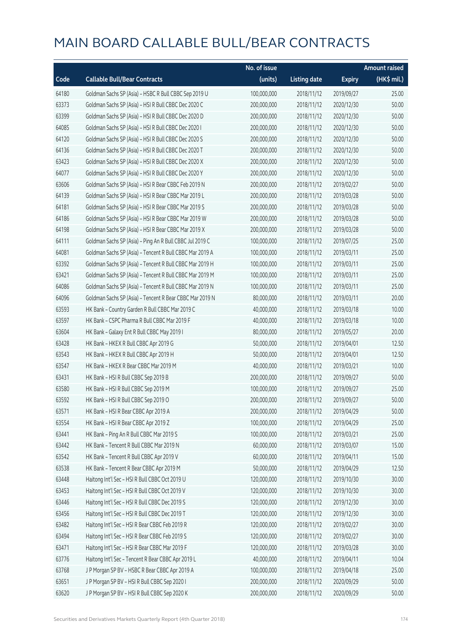|       |                                                          | No. of issue |                     |               | <b>Amount raised</b>  |
|-------|----------------------------------------------------------|--------------|---------------------|---------------|-----------------------|
| Code  | <b>Callable Bull/Bear Contracts</b>                      | (units)      | <b>Listing date</b> | <b>Expiry</b> | $(HK\frac{1}{2}mil.)$ |
| 64180 | Goldman Sachs SP (Asia) - HSBC R Bull CBBC Sep 2019 U    | 100,000,000  | 2018/11/12          | 2019/09/27    | 25.00                 |
| 63373 | Goldman Sachs SP (Asia) - HSI R Bull CBBC Dec 2020 C     | 200,000,000  | 2018/11/12          | 2020/12/30    | 50.00                 |
| 63399 | Goldman Sachs SP (Asia) - HSI R Bull CBBC Dec 2020 D     | 200,000,000  | 2018/11/12          | 2020/12/30    | 50.00                 |
| 64085 | Goldman Sachs SP (Asia) - HSI R Bull CBBC Dec 2020 I     | 200,000,000  | 2018/11/12          | 2020/12/30    | 50.00                 |
| 64120 | Goldman Sachs SP (Asia) - HSI R Bull CBBC Dec 2020 S     | 200,000,000  | 2018/11/12          | 2020/12/30    | 50.00                 |
| 64136 | Goldman Sachs SP (Asia) - HSI R Bull CBBC Dec 2020 T     | 200,000,000  | 2018/11/12          | 2020/12/30    | 50.00                 |
| 63423 | Goldman Sachs SP (Asia) - HSI R Bull CBBC Dec 2020 X     | 200,000,000  | 2018/11/12          | 2020/12/30    | 50.00                 |
| 64077 | Goldman Sachs SP (Asia) - HSI R Bull CBBC Dec 2020 Y     | 200,000,000  | 2018/11/12          | 2020/12/30    | 50.00                 |
| 63606 | Goldman Sachs SP (Asia) - HSI R Bear CBBC Feb 2019 N     | 200,000,000  | 2018/11/12          | 2019/02/27    | 50.00                 |
| 64139 | Goldman Sachs SP (Asia) - HSI R Bear CBBC Mar 2019 L     | 200,000,000  | 2018/11/12          | 2019/03/28    | 50.00                 |
| 64181 | Goldman Sachs SP (Asia) - HSI R Bear CBBC Mar 2019 S     | 200,000,000  | 2018/11/12          | 2019/03/28    | 50.00                 |
| 64186 | Goldman Sachs SP (Asia) - HSI R Bear CBBC Mar 2019 W     | 200,000,000  | 2018/11/12          | 2019/03/28    | 50.00                 |
| 64198 | Goldman Sachs SP (Asia) - HSI R Bear CBBC Mar 2019 X     | 200,000,000  | 2018/11/12          | 2019/03/28    | 50.00                 |
| 64111 | Goldman Sachs SP (Asia) - Ping An R Bull CBBC Jul 2019 C | 100,000,000  | 2018/11/12          | 2019/07/25    | 25.00                 |
| 64081 | Goldman Sachs SP (Asia) - Tencent R Bull CBBC Mar 2019 A | 100,000,000  | 2018/11/12          | 2019/03/11    | 25.00                 |
| 63392 | Goldman Sachs SP (Asia) - Tencent R Bull CBBC Mar 2019 H | 100,000,000  | 2018/11/12          | 2019/03/11    | 25.00                 |
| 63421 | Goldman Sachs SP (Asia) - Tencent R Bull CBBC Mar 2019 M | 100,000,000  | 2018/11/12          | 2019/03/11    | 25.00                 |
| 64086 | Goldman Sachs SP (Asia) - Tencent R Bull CBBC Mar 2019 N | 100,000,000  | 2018/11/12          | 2019/03/11    | 25.00                 |
| 64096 | Goldman Sachs SP (Asia) - Tencent R Bear CBBC Mar 2019 N | 80,000,000   | 2018/11/12          | 2019/03/11    | 20.00                 |
| 63593 | HK Bank - Country Garden R Bull CBBC Mar 2019 C          | 40,000,000   | 2018/11/12          | 2019/03/18    | 10.00                 |
| 63597 | HK Bank - CSPC Pharma R Bull CBBC Mar 2019 F             | 40,000,000   | 2018/11/12          | 2019/03/18    | 10.00                 |
| 63604 | HK Bank - Galaxy Ent R Bull CBBC May 2019 I              | 80,000,000   | 2018/11/12          | 2019/05/27    | 20.00                 |
| 63428 | HK Bank - HKEX R Bull CBBC Apr 2019 G                    | 50,000,000   | 2018/11/12          | 2019/04/01    | 12.50                 |
| 63543 | HK Bank - HKEX R Bull CBBC Apr 2019 H                    | 50,000,000   | 2018/11/12          | 2019/04/01    | 12.50                 |
| 63547 | HK Bank - HKEX R Bear CBBC Mar 2019 M                    | 40,000,000   | 2018/11/12          | 2019/03/21    | 10.00                 |
| 63431 | HK Bank - HSI R Bull CBBC Sep 2019 B                     | 200,000,000  | 2018/11/12          | 2019/09/27    | 50.00                 |
| 63580 | HK Bank - HSI R Bull CBBC Sep 2019 M                     | 100,000,000  | 2018/11/12          | 2019/09/27    | 25.00                 |
| 63592 | HK Bank - HSI R Bull CBBC Sep 2019 O                     | 200,000,000  | 2018/11/12          | 2019/09/27    | 50.00                 |
| 63571 | HK Bank - HSI R Bear CBBC Apr 2019 A                     | 200,000,000  | 2018/11/12          | 2019/04/29    | 50.00                 |
| 63554 | HK Bank - HSI R Bear CBBC Apr 2019 Z                     | 100,000,000  | 2018/11/12          | 2019/04/29    | 25.00                 |
| 63441 | HK Bank - Ping An R Bull CBBC Mar 2019 S                 | 100,000,000  | 2018/11/12          | 2019/03/21    | 25.00                 |
| 63442 | HK Bank - Tencent R Bull CBBC Mar 2019 N                 | 60,000,000   | 2018/11/12          | 2019/03/07    | 15.00                 |
| 63542 | HK Bank - Tencent R Bull CBBC Apr 2019 V                 | 60,000,000   | 2018/11/12          | 2019/04/11    | 15.00                 |
| 63538 | HK Bank - Tencent R Bear CBBC Apr 2019 M                 | 50,000,000   | 2018/11/12          | 2019/04/29    | 12.50                 |
| 63448 | Haitong Int'l Sec - HSI R Bull CBBC Oct 2019 U           | 120,000,000  | 2018/11/12          | 2019/10/30    | 30.00                 |
| 63453 | Haitong Int'l Sec - HSI R Bull CBBC Oct 2019 V           | 120,000,000  | 2018/11/12          | 2019/10/30    | 30.00                 |
| 63446 | Haitong Int'l Sec - HSI R Bull CBBC Dec 2019 S           | 120,000,000  | 2018/11/12          | 2019/12/30    | 30.00                 |
| 63456 | Haitong Int'l Sec - HSI R Bull CBBC Dec 2019 T           | 120,000,000  | 2018/11/12          | 2019/12/30    | 30.00                 |
| 63482 | Haitong Int'l Sec - HSI R Bear CBBC Feb 2019 R           | 120,000,000  | 2018/11/12          | 2019/02/27    | 30.00                 |
| 63494 | Haitong Int'l Sec - HSI R Bear CBBC Feb 2019 S           | 120,000,000  | 2018/11/12          | 2019/02/27    | 30.00                 |
| 63471 | Haitong Int'l Sec - HSI R Bear CBBC Mar 2019 F           | 120,000,000  | 2018/11/12          | 2019/03/28    | 30.00                 |
| 63776 | Haitong Int'l Sec - Tencent R Bear CBBC Apr 2019 L       | 40,000,000   | 2018/11/12          | 2019/04/11    | 10.04                 |
| 63768 | J P Morgan SP BV - HSBC R Bear CBBC Apr 2019 A           | 100,000,000  | 2018/11/12          | 2019/04/18    | 25.00                 |
| 63651 | J P Morgan SP BV - HSI R Bull CBBC Sep 2020 I            | 200,000,000  | 2018/11/12          | 2020/09/29    | 50.00                 |
| 63620 | J P Morgan SP BV - HSI R Bull CBBC Sep 2020 K            | 200,000,000  | 2018/11/12          | 2020/09/29    | 50.00                 |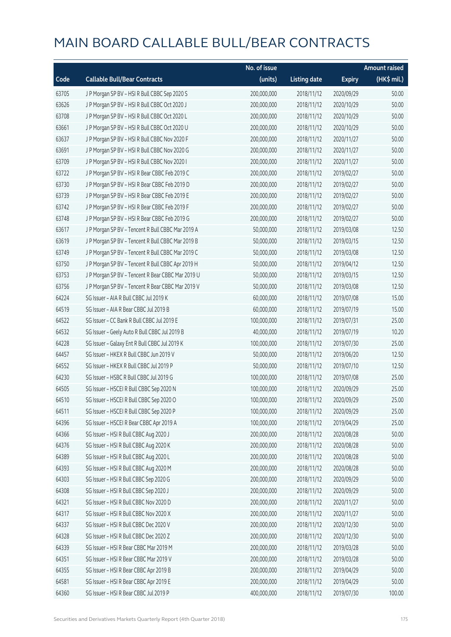|       |                                                   | No. of issue |                     |               | <b>Amount raised</b> |
|-------|---------------------------------------------------|--------------|---------------------|---------------|----------------------|
| Code  | <b>Callable Bull/Bear Contracts</b>               | (units)      | <b>Listing date</b> | <b>Expiry</b> | (HK\$ mil.)          |
| 63705 | J P Morgan SP BV - HSI R Bull CBBC Sep 2020 S     | 200,000,000  | 2018/11/12          | 2020/09/29    | 50.00                |
| 63626 | J P Morgan SP BV - HSI R Bull CBBC Oct 2020 J     | 200,000,000  | 2018/11/12          | 2020/10/29    | 50.00                |
| 63708 | J P Morgan SP BV - HSI R Bull CBBC Oct 2020 L     | 200,000,000  | 2018/11/12          | 2020/10/29    | 50.00                |
| 63661 | J P Morgan SP BV - HSI R Bull CBBC Oct 2020 U     | 200,000,000  | 2018/11/12          | 2020/10/29    | 50.00                |
| 63637 | J P Morgan SP BV - HSI R Bull CBBC Nov 2020 F     | 200,000,000  | 2018/11/12          | 2020/11/27    | 50.00                |
| 63691 | J P Morgan SP BV - HSI R Bull CBBC Nov 2020 G     | 200,000,000  | 2018/11/12          | 2020/11/27    | 50.00                |
| 63709 | J P Morgan SP BV - HSI R Bull CBBC Nov 2020 I     | 200,000,000  | 2018/11/12          | 2020/11/27    | 50.00                |
| 63722 | J P Morgan SP BV - HSI R Bear CBBC Feb 2019 C     | 200,000,000  | 2018/11/12          | 2019/02/27    | 50.00                |
| 63730 | J P Morgan SP BV - HSI R Bear CBBC Feb 2019 D     | 200,000,000  | 2018/11/12          | 2019/02/27    | 50.00                |
| 63739 | J P Morgan SP BV - HSI R Bear CBBC Feb 2019 E     | 200,000,000  | 2018/11/12          | 2019/02/27    | 50.00                |
| 63742 | J P Morgan SP BV - HSI R Bear CBBC Feb 2019 F     | 200,000,000  | 2018/11/12          | 2019/02/27    | 50.00                |
| 63748 | J P Morgan SP BV - HSI R Bear CBBC Feb 2019 G     | 200,000,000  | 2018/11/12          | 2019/02/27    | 50.00                |
| 63617 | J P Morgan SP BV - Tencent R Bull CBBC Mar 2019 A | 50,000,000   | 2018/11/12          | 2019/03/08    | 12.50                |
| 63619 | J P Morgan SP BV - Tencent R Bull CBBC Mar 2019 B | 50,000,000   | 2018/11/12          | 2019/03/15    | 12.50                |
| 63749 | J P Morgan SP BV - Tencent R Bull CBBC Mar 2019 C | 50,000,000   | 2018/11/12          | 2019/03/08    | 12.50                |
| 63750 | JP Morgan SP BV - Tencent R Bull CBBC Apr 2019 H  | 50,000,000   | 2018/11/12          | 2019/04/12    | 12.50                |
| 63753 | J P Morgan SP BV - Tencent R Bear CBBC Mar 2019 U | 50,000,000   | 2018/11/12          | 2019/03/15    | 12.50                |
| 63756 | J P Morgan SP BV - Tencent R Bear CBBC Mar 2019 V | 50,000,000   | 2018/11/12          | 2019/03/08    | 12.50                |
| 64224 | SG Issuer - AIA R Bull CBBC Jul 2019 K            | 60,000,000   | 2018/11/12          | 2019/07/08    | 15.00                |
| 64519 | SG Issuer - AIA R Bear CBBC Jul 2019 B            | 60,000,000   | 2018/11/12          | 2019/07/19    | 15.00                |
| 64522 | SG Issuer - CC Bank R Bull CBBC Jul 2019 E        | 100,000,000  | 2018/11/12          | 2019/07/31    | 25.00                |
| 64532 | SG Issuer - Geely Auto R Bull CBBC Jul 2019 B     | 40,000,000   | 2018/11/12          | 2019/07/19    | 10.20                |
| 64228 | SG Issuer - Galaxy Ent R Bull CBBC Jul 2019 K     | 100,000,000  | 2018/11/12          | 2019/07/30    | 25.00                |
| 64457 | SG Issuer - HKEX R Bull CBBC Jun 2019 V           | 50,000,000   | 2018/11/12          | 2019/06/20    | 12.50                |
| 64552 | SG Issuer - HKEX R Bull CBBC Jul 2019 P           | 50,000,000   | 2018/11/12          | 2019/07/10    | 12.50                |
| 64230 | SG Issuer - HSBC R Bull CBBC Jul 2019 G           | 100,000,000  | 2018/11/12          | 2019/07/08    | 25.00                |
| 64505 | SG Issuer - HSCEI R Bull CBBC Sep 2020 N          | 100,000,000  | 2018/11/12          | 2020/09/29    | 25.00                |
| 64510 | SG Issuer - HSCEI R Bull CBBC Sep 2020 O          | 100,000,000  | 2018/11/12          | 2020/09/29    | 25.00                |
| 64511 | SG Issuer - HSCEI R Bull CBBC Sep 2020 P          | 100,000,000  | 2018/11/12          | 2020/09/29    | 25.00                |
| 64396 | SG Issuer - HSCEI R Bear CBBC Apr 2019 A          | 100,000,000  | 2018/11/12          | 2019/04/29    | 25.00                |
| 64366 | SG Issuer - HSI R Bull CBBC Aug 2020 J            | 200,000,000  | 2018/11/12          | 2020/08/28    | 50.00                |
| 64376 | SG Issuer - HSI R Bull CBBC Aug 2020 K            | 200,000,000  | 2018/11/12          | 2020/08/28    | 50.00                |
| 64389 | SG Issuer - HSI R Bull CBBC Aug 2020 L            | 200,000,000  | 2018/11/12          | 2020/08/28    | 50.00                |
| 64393 | SG Issuer - HSI R Bull CBBC Aug 2020 M            | 200,000,000  | 2018/11/12          | 2020/08/28    | 50.00                |
| 64303 | SG Issuer - HSI R Bull CBBC Sep 2020 G            | 200,000,000  | 2018/11/12          | 2020/09/29    | 50.00                |
| 64308 | SG Issuer - HSI R Bull CBBC Sep 2020 J            | 200,000,000  | 2018/11/12          | 2020/09/29    | 50.00                |
| 64321 | SG Issuer - HSI R Bull CBBC Nov 2020 D            | 200,000,000  | 2018/11/12          | 2020/11/27    | 50.00                |
| 64317 | SG Issuer - HSI R Bull CBBC Nov 2020 X            | 200,000,000  | 2018/11/12          | 2020/11/27    | 50.00                |
| 64337 | SG Issuer - HSI R Bull CBBC Dec 2020 V            | 200,000,000  | 2018/11/12          | 2020/12/30    | 50.00                |
| 64328 | SG Issuer - HSI R Bull CBBC Dec 2020 Z            | 200,000,000  | 2018/11/12          | 2020/12/30    | 50.00                |
| 64339 | SG Issuer - HSI R Bear CBBC Mar 2019 M            | 200,000,000  | 2018/11/12          | 2019/03/28    | 50.00                |
| 64351 | SG Issuer - HSI R Bear CBBC Mar 2019 V            | 200,000,000  | 2018/11/12          | 2019/03/28    | 50.00                |
| 64355 | SG Issuer - HSI R Bear CBBC Apr 2019 B            | 200,000,000  | 2018/11/12          | 2019/04/29    | 50.00                |
| 64581 | SG Issuer - HSI R Bear CBBC Apr 2019 E            | 200,000,000  | 2018/11/12          | 2019/04/29    | 50.00                |
| 64360 | SG Issuer - HSI R Bear CBBC Jul 2019 P            | 400,000,000  | 2018/11/12          | 2019/07/30    | 100.00               |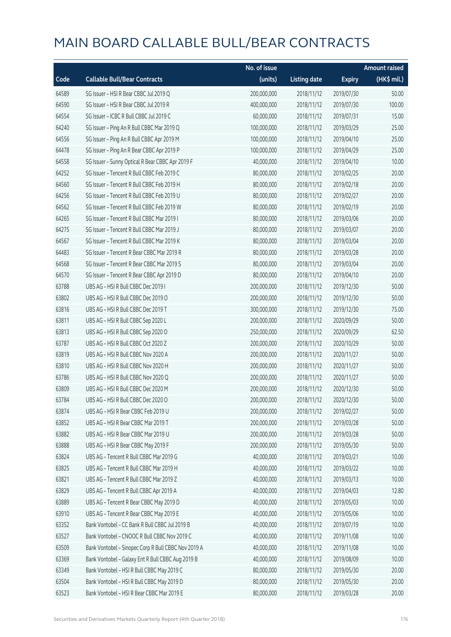|       |                                                     | No. of issue |                     |               | <b>Amount raised</b> |
|-------|-----------------------------------------------------|--------------|---------------------|---------------|----------------------|
| Code  | <b>Callable Bull/Bear Contracts</b>                 | (units)      | <b>Listing date</b> | <b>Expiry</b> | (HK\$ mil.)          |
| 64589 | SG Issuer - HSI R Bear CBBC Jul 2019 Q              | 200,000,000  | 2018/11/12          | 2019/07/30    | 50.00                |
| 64590 | SG Issuer - HSI R Bear CBBC Jul 2019 R              | 400,000,000  | 2018/11/12          | 2019/07/30    | 100.00               |
| 64554 | SG Issuer - ICBC R Bull CBBC Jul 2019 C             | 60,000,000   | 2018/11/12          | 2019/07/31    | 15.00                |
| 64240 | SG Issuer - Ping An R Bull CBBC Mar 2019 Q          | 100,000,000  | 2018/11/12          | 2019/03/29    | 25.00                |
| 64556 | SG Issuer - Ping An R Bull CBBC Apr 2019 M          | 100,000,000  | 2018/11/12          | 2019/04/10    | 25.00                |
| 64478 | SG Issuer - Ping An R Bear CBBC Apr 2019 P          | 100,000,000  | 2018/11/12          | 2019/04/29    | 25.00                |
| 64558 | SG Issuer - Sunny Optical R Bear CBBC Apr 2019 F    | 40,000,000   | 2018/11/12          | 2019/04/10    | 10.00                |
| 64252 | SG Issuer - Tencent R Bull CBBC Feb 2019 C          | 80,000,000   | 2018/11/12          | 2019/02/25    | 20.00                |
| 64560 | SG Issuer - Tencent R Bull CBBC Feb 2019 H          | 80,000,000   | 2018/11/12          | 2019/02/18    | 20.00                |
| 64256 | SG Issuer - Tencent R Bull CBBC Feb 2019 U          | 80,000,000   | 2018/11/12          | 2019/02/27    | 20.00                |
| 64562 | SG Issuer - Tencent R Bull CBBC Feb 2019 W          | 80,000,000   | 2018/11/12          | 2019/02/19    | 20.00                |
| 64265 | SG Issuer - Tencent R Bull CBBC Mar 2019 I          | 80,000,000   | 2018/11/12          | 2019/03/06    | 20.00                |
| 64275 | SG Issuer - Tencent R Bull CBBC Mar 2019 J          | 80,000,000   | 2018/11/12          | 2019/03/07    | 20.00                |
| 64567 | SG Issuer - Tencent R Bull CBBC Mar 2019 K          | 80,000,000   | 2018/11/12          | 2019/03/04    | 20.00                |
| 64483 | SG Issuer - Tencent R Bear CBBC Mar 2019 R          | 80,000,000   | 2018/11/12          | 2019/03/28    | 20.00                |
| 64568 | SG Issuer - Tencent R Bear CBBC Mar 2019 S          | 80,000,000   | 2018/11/12          | 2019/03/04    | 20.00                |
| 64570 | SG Issuer - Tencent R Bear CBBC Apr 2019 D          | 80,000,000   | 2018/11/12          | 2019/04/10    | 20.00                |
| 63788 | UBS AG - HSI R Bull CBBC Dec 2019 I                 | 200,000,000  | 2018/11/12          | 2019/12/30    | 50.00                |
| 63802 | UBS AG - HSI R Bull CBBC Dec 2019 O                 | 200,000,000  | 2018/11/12          | 2019/12/30    | 50.00                |
| 63816 | UBS AG - HSI R Bull CBBC Dec 2019 T                 | 300,000,000  | 2018/11/12          | 2019/12/30    | 75.00                |
| 63811 | UBS AG - HSI R Bull CBBC Sep 2020 L                 | 200,000,000  | 2018/11/12          | 2020/09/29    | 50.00                |
| 63813 | UBS AG - HSI R Bull CBBC Sep 2020 O                 | 250,000,000  | 2018/11/12          | 2020/09/29    | 62.50                |
| 63787 | UBS AG - HSI R Bull CBBC Oct 2020 Z                 | 200,000,000  | 2018/11/12          | 2020/10/29    | 50.00                |
| 63819 | UBS AG - HSI R Bull CBBC Nov 2020 A                 | 200,000,000  | 2018/11/12          | 2020/11/27    | 50.00                |
| 63810 | UBS AG - HSI R Bull CBBC Nov 2020 H                 | 200,000,000  | 2018/11/12          | 2020/11/27    | 50.00                |
| 63786 | UBS AG - HSI R Bull CBBC Nov 2020 Q                 | 200,000,000  | 2018/11/12          | 2020/11/27    | 50.00                |
| 63809 | UBS AG - HSI R Bull CBBC Dec 2020 M                 | 200,000,000  | 2018/11/12          | 2020/12/30    | 50.00                |
| 63784 | UBS AG - HSI R Bull CBBC Dec 2020 O                 | 200,000,000  | 2018/11/12          | 2020/12/30    | 50.00                |
| 63874 | UBS AG - HSI R Bear CBBC Feb 2019 U                 | 200,000,000  | 2018/11/12          | 2019/02/27    | 50.00                |
| 63852 | UBS AG - HSI R Bear CBBC Mar 2019 T                 | 200,000,000  | 2018/11/12          | 2019/03/28    | 50.00                |
| 63882 | UBS AG - HSI R Bear CBBC Mar 2019 U                 | 200,000,000  | 2018/11/12          | 2019/03/28    | 50.00                |
| 63888 | UBS AG - HSI R Bear CBBC May 2019 F                 | 200,000,000  | 2018/11/12          | 2019/05/30    | 50.00                |
| 63824 | UBS AG - Tencent R Bull CBBC Mar 2019 G             | 40,000,000   | 2018/11/12          | 2019/03/21    | 10.00                |
| 63825 | UBS AG - Tencent R Bull CBBC Mar 2019 H             | 40,000,000   | 2018/11/12          | 2019/03/22    | 10.00                |
| 63821 | UBS AG - Tencent R Bull CBBC Mar 2019 Z             | 40,000,000   | 2018/11/12          | 2019/03/13    | 10.00                |
| 63829 | UBS AG - Tencent R Bull CBBC Apr 2019 A             | 40,000,000   | 2018/11/12          | 2019/04/03    | 12.80                |
| 63889 | UBS AG - Tencent R Bear CBBC May 2019 D             | 40,000,000   | 2018/11/12          | 2019/05/03    | 10.00                |
| 63910 | UBS AG - Tencent R Bear CBBC May 2019 E             | 40,000,000   | 2018/11/12          | 2019/05/06    | 10.00                |
| 63352 | Bank Vontobel - CC Bank R Bull CBBC Jul 2019 B      | 40,000,000   | 2018/11/12          | 2019/07/19    | 10.00                |
| 63527 | Bank Vontobel - CNOOC R Bull CBBC Nov 2019 C        | 40,000,000   | 2018/11/12          | 2019/11/08    | 10.00                |
| 63509 | Bank Vontobel - Sinopec Corp R Bull CBBC Nov 2019 A | 40,000,000   | 2018/11/12          | 2019/11/08    | 10.00                |
| 63369 | Bank Vontobel - Galaxy Ent R Bull CBBC Aug 2019 B   | 40,000,000   | 2018/11/12          | 2019/08/09    | 10.00                |
| 63349 | Bank Vontobel - HSI R Bull CBBC May 2019 C          | 80,000,000   | 2018/11/12          | 2019/05/30    | 20.00                |
| 63504 | Bank Vontobel - HSI R Bull CBBC May 2019 D          | 80,000,000   | 2018/11/12          | 2019/05/30    | 20.00                |
| 63523 | Bank Vontobel - HSI R Bear CBBC Mar 2019 E          | 80,000,000   | 2018/11/12          | 2019/03/28    | 20.00                |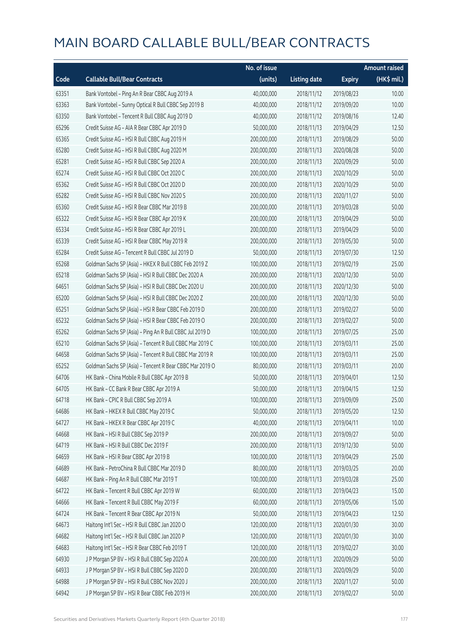|       |                                                          | No. of issue |                     |               | <b>Amount raised</b> |
|-------|----------------------------------------------------------|--------------|---------------------|---------------|----------------------|
| Code  | <b>Callable Bull/Bear Contracts</b>                      | (units)      | <b>Listing date</b> | <b>Expiry</b> | (HK\$ mil.)          |
| 63351 | Bank Vontobel - Ping An R Bear CBBC Aug 2019 A           | 40,000,000   | 2018/11/12          | 2019/08/23    | 10.00                |
| 63363 | Bank Vontobel - Sunny Optical R Bull CBBC Sep 2019 B     | 40,000,000   | 2018/11/12          | 2019/09/20    | 10.00                |
| 63350 | Bank Vontobel - Tencent R Bull CBBC Aug 2019 D           | 40,000,000   | 2018/11/12          | 2019/08/16    | 12.40                |
| 65296 | Credit Suisse AG - AIA R Bear CBBC Apr 2019 D            | 50,000,000   | 2018/11/13          | 2019/04/29    | 12.50                |
| 65365 | Credit Suisse AG - HSI R Bull CBBC Aug 2019 H            | 200,000,000  | 2018/11/13          | 2019/08/29    | 50.00                |
| 65280 | Credit Suisse AG - HSI R Bull CBBC Aug 2020 M            | 200,000,000  | 2018/11/13          | 2020/08/28    | 50.00                |
| 65281 | Credit Suisse AG - HSI R Bull CBBC Sep 2020 A            | 200,000,000  | 2018/11/13          | 2020/09/29    | 50.00                |
| 65274 | Credit Suisse AG - HSI R Bull CBBC Oct 2020 C            | 200,000,000  | 2018/11/13          | 2020/10/29    | 50.00                |
| 65362 | Credit Suisse AG - HSI R Bull CBBC Oct 2020 D            | 200,000,000  | 2018/11/13          | 2020/10/29    | 50.00                |
| 65282 | Credit Suisse AG - HSI R Bull CBBC Nov 2020 S            | 200,000,000  | 2018/11/13          | 2020/11/27    | 50.00                |
| 65360 | Credit Suisse AG - HSI R Bear CBBC Mar 2019 B            | 200,000,000  | 2018/11/13          | 2019/03/28    | 50.00                |
| 65322 | Credit Suisse AG - HSI R Bear CBBC Apr 2019 K            | 200,000,000  | 2018/11/13          | 2019/04/29    | 50.00                |
| 65334 | Credit Suisse AG - HSI R Bear CBBC Apr 2019 L            | 200,000,000  | 2018/11/13          | 2019/04/29    | 50.00                |
| 65339 | Credit Suisse AG - HSI R Bear CBBC May 2019 R            | 200,000,000  | 2018/11/13          | 2019/05/30    | 50.00                |
| 65284 | Credit Suisse AG - Tencent R Bull CBBC Jul 2019 D        | 50,000,000   | 2018/11/13          | 2019/07/30    | 12.50                |
| 65268 | Goldman Sachs SP (Asia) - HKEX R Bull CBBC Feb 2019 Z    | 100,000,000  | 2018/11/13          | 2019/02/19    | 25.00                |
| 65218 | Goldman Sachs SP (Asia) - HSI R Bull CBBC Dec 2020 A     | 200,000,000  | 2018/11/13          | 2020/12/30    | 50.00                |
| 64651 | Goldman Sachs SP (Asia) - HSI R Bull CBBC Dec 2020 U     | 200,000,000  | 2018/11/13          | 2020/12/30    | 50.00                |
| 65200 | Goldman Sachs SP (Asia) - HSI R Bull CBBC Dec 2020 Z     | 200,000,000  | 2018/11/13          | 2020/12/30    | 50.00                |
| 65251 | Goldman Sachs SP (Asia) - HSI R Bear CBBC Feb 2019 D     | 200,000,000  | 2018/11/13          | 2019/02/27    | 50.00                |
| 65232 | Goldman Sachs SP (Asia) - HSI R Bear CBBC Feb 2019 O     | 200,000,000  | 2018/11/13          | 2019/02/27    | 50.00                |
| 65262 | Goldman Sachs SP (Asia) - Ping An R Bull CBBC Jul 2019 D | 100,000,000  | 2018/11/13          | 2019/07/25    | 25.00                |
| 65210 | Goldman Sachs SP (Asia) - Tencent R Bull CBBC Mar 2019 C | 100,000,000  | 2018/11/13          | 2019/03/11    | 25.00                |
| 64658 | Goldman Sachs SP (Asia) - Tencent R Bull CBBC Mar 2019 R | 100,000,000  | 2018/11/13          | 2019/03/11    | 25.00                |
| 65252 | Goldman Sachs SP (Asia) - Tencent R Bear CBBC Mar 2019 O | 80,000,000   | 2018/11/13          | 2019/03/11    | 20.00                |
| 64706 | HK Bank - China Mobile R Bull CBBC Apr 2019 B            | 50,000,000   | 2018/11/13          | 2019/04/01    | 12.50                |
| 64705 | HK Bank - CC Bank R Bear CBBC Apr 2019 A                 | 50,000,000   | 2018/11/13          | 2019/04/15    | 12.50                |
| 64718 | HK Bank - CPIC R Bull CBBC Sep 2019 A                    | 100,000,000  | 2018/11/13          | 2019/09/09    | 25.00                |
| 64686 | HK Bank - HKEX R Bull CBBC May 2019 C                    | 50,000,000   | 2018/11/13          | 2019/05/20    | 12.50                |
| 64727 | HK Bank - HKEX R Bear CBBC Apr 2019 C                    | 40,000,000   | 2018/11/13          | 2019/04/11    | 10.00                |
| 64668 | HK Bank - HSI R Bull CBBC Sep 2019 P                     | 200,000,000  | 2018/11/13          | 2019/09/27    | 50.00                |
| 64719 | HK Bank - HSI R Bull CBBC Dec 2019 F                     | 200,000,000  | 2018/11/13          | 2019/12/30    | 50.00                |
| 64659 | HK Bank - HSI R Bear CBBC Apr 2019 B                     | 100,000,000  | 2018/11/13          | 2019/04/29    | 25.00                |
| 64689 | HK Bank - PetroChina R Bull CBBC Mar 2019 D              | 80,000,000   | 2018/11/13          | 2019/03/25    | 20.00                |
| 64687 | HK Bank - Ping An R Bull CBBC Mar 2019 T                 | 100,000,000  | 2018/11/13          | 2019/03/28    | 25.00                |
| 64722 | HK Bank - Tencent R Bull CBBC Apr 2019 W                 | 60,000,000   | 2018/11/13          | 2019/04/23    | 15.00                |
| 64666 | HK Bank - Tencent R Bull CBBC May 2019 F                 | 60,000,000   | 2018/11/13          | 2019/05/06    | 15.00                |
| 64724 | HK Bank - Tencent R Bear CBBC Apr 2019 N                 | 50,000,000   | 2018/11/13          | 2019/04/23    | 12.50                |
| 64673 | Haitong Int'l Sec - HSI R Bull CBBC Jan 2020 O           | 120,000,000  | 2018/11/13          | 2020/01/30    | 30.00                |
| 64682 | Haitong Int'l Sec - HSI R Bull CBBC Jan 2020 P           | 120,000,000  | 2018/11/13          | 2020/01/30    | 30.00                |
| 64683 | Haitong Int'l Sec - HSI R Bear CBBC Feb 2019 T           | 120,000,000  | 2018/11/13          | 2019/02/27    | 30.00                |
| 64930 | J P Morgan SP BV - HSI R Bull CBBC Sep 2020 A            | 200,000,000  | 2018/11/13          | 2020/09/29    | 50.00                |
| 64933 | J P Morgan SP BV - HSI R Bull CBBC Sep 2020 D            | 200,000,000  | 2018/11/13          | 2020/09/29    | 50.00                |
| 64988 | J P Morgan SP BV - HSI R Bull CBBC Nov 2020 J            | 200,000,000  | 2018/11/13          | 2020/11/27    | 50.00                |
| 64942 | J P Morgan SP BV - HSI R Bear CBBC Feb 2019 H            | 200,000,000  | 2018/11/13          | 2019/02/27    | 50.00                |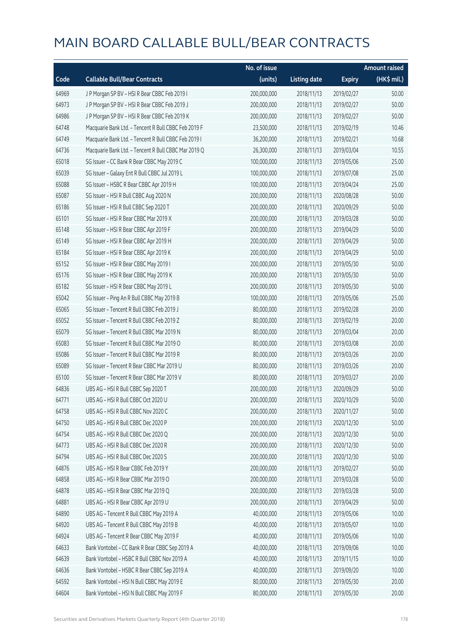|       |                                                      | No. of issue |                     |               | <b>Amount raised</b>  |
|-------|------------------------------------------------------|--------------|---------------------|---------------|-----------------------|
| Code  | <b>Callable Bull/Bear Contracts</b>                  | (units)      | <b>Listing date</b> | <b>Expiry</b> | $(HK\frac{1}{2}mil.)$ |
| 64969 | JP Morgan SP BV - HSIR Bear CBBC Feb 2019 I          | 200,000,000  | 2018/11/13          | 2019/02/27    | 50.00                 |
| 64973 | J P Morgan SP BV - HSI R Bear CBBC Feb 2019 J        | 200,000,000  | 2018/11/13          | 2019/02/27    | 50.00                 |
| 64986 | J P Morgan SP BV - HSI R Bear CBBC Feb 2019 K        | 200,000,000  | 2018/11/13          | 2019/02/27    | 50.00                 |
| 64748 | Macquarie Bank Ltd. - Tencent R Bull CBBC Feb 2019 F | 23,500,000   | 2018/11/13          | 2019/02/19    | 10.46                 |
| 64749 | Macquarie Bank Ltd. - Tencent R Bull CBBC Feb 2019 I | 36,200,000   | 2018/11/13          | 2019/02/21    | 10.68                 |
| 64736 | Macquarie Bank Ltd. - Tencent R Bull CBBC Mar 2019 Q | 26,300,000   | 2018/11/13          | 2019/03/04    | 10.55                 |
| 65018 | SG Issuer - CC Bank R Bear CBBC May 2019 C           | 100,000,000  | 2018/11/13          | 2019/05/06    | 25.00                 |
| 65039 | SG Issuer - Galaxy Ent R Bull CBBC Jul 2019 L        | 100,000,000  | 2018/11/13          | 2019/07/08    | 25.00                 |
| 65088 | SG Issuer - HSBC R Bear CBBC Apr 2019 H              | 100,000,000  | 2018/11/13          | 2019/04/24    | 25.00                 |
| 65087 | SG Issuer - HSI R Bull CBBC Aug 2020 N               | 200,000,000  | 2018/11/13          | 2020/08/28    | 50.00                 |
| 65186 | SG Issuer - HSI R Bull CBBC Sep 2020 T               | 200,000,000  | 2018/11/13          | 2020/09/29    | 50.00                 |
| 65101 | SG Issuer - HSI R Bear CBBC Mar 2019 X               | 200,000,000  | 2018/11/13          | 2019/03/28    | 50.00                 |
| 65148 | SG Issuer - HSI R Bear CBBC Apr 2019 F               | 200,000,000  | 2018/11/13          | 2019/04/29    | 50.00                 |
| 65149 | SG Issuer - HSI R Bear CBBC Apr 2019 H               | 200,000,000  | 2018/11/13          | 2019/04/29    | 50.00                 |
| 65184 | SG Issuer - HSI R Bear CBBC Apr 2019 K               | 200,000,000  | 2018/11/13          | 2019/04/29    | 50.00                 |
| 65152 | SG Issuer - HSI R Bear CBBC May 2019 I               | 200,000,000  | 2018/11/13          | 2019/05/30    | 50.00                 |
| 65176 | SG Issuer - HSI R Bear CBBC May 2019 K               | 200,000,000  | 2018/11/13          | 2019/05/30    | 50.00                 |
| 65182 | SG Issuer - HSI R Bear CBBC May 2019 L               | 200,000,000  | 2018/11/13          | 2019/05/30    | 50.00                 |
| 65042 | SG Issuer - Ping An R Bull CBBC May 2019 B           | 100,000,000  | 2018/11/13          | 2019/05/06    | 25.00                 |
| 65065 | SG Issuer - Tencent R Bull CBBC Feb 2019 J           | 80,000,000   | 2018/11/13          | 2019/02/28    | 20.00                 |
| 65052 | SG Issuer - Tencent R Bull CBBC Feb 2019 Z           | 80,000,000   | 2018/11/13          | 2019/02/19    | 20.00                 |
| 65079 | SG Issuer - Tencent R Bull CBBC Mar 2019 N           | 80,000,000   | 2018/11/13          | 2019/03/04    | 20.00                 |
| 65083 | SG Issuer - Tencent R Bull CBBC Mar 2019 O           | 80,000,000   | 2018/11/13          | 2019/03/08    | 20.00                 |
| 65086 | SG Issuer - Tencent R Bull CBBC Mar 2019 R           | 80,000,000   | 2018/11/13          | 2019/03/26    | 20.00                 |
| 65089 | SG Issuer - Tencent R Bear CBBC Mar 2019 U           | 80,000,000   | 2018/11/13          | 2019/03/26    | 20.00                 |
| 65100 | SG Issuer - Tencent R Bear CBBC Mar 2019 V           | 80,000,000   | 2018/11/13          | 2019/03/27    | 20.00                 |
| 64836 | UBS AG - HSI R Bull CBBC Sep 2020 T                  | 200,000,000  | 2018/11/13          | 2020/09/29    | 50.00                 |
| 64771 | UBS AG - HSI R Bull CBBC Oct 2020 U                  | 200,000,000  | 2018/11/13          | 2020/10/29    | 50.00                 |
| 64758 | UBS AG - HSI R Bull CBBC Nov 2020 C                  | 200,000,000  | 2018/11/13          | 2020/11/27    | 50.00                 |
| 64750 | UBS AG - HSI R Bull CBBC Dec 2020 P                  | 200,000,000  | 2018/11/13          | 2020/12/30    | 50.00                 |
| 64754 | UBS AG - HSI R Bull CBBC Dec 2020 Q                  | 200,000,000  | 2018/11/13          | 2020/12/30    | 50.00                 |
| 64773 | UBS AG - HSI R Bull CBBC Dec 2020 R                  | 200,000,000  | 2018/11/13          | 2020/12/30    | 50.00                 |
| 64794 | UBS AG - HSI R Bull CBBC Dec 2020 S                  | 200,000,000  | 2018/11/13          | 2020/12/30    | 50.00                 |
| 64876 | UBS AG - HSI R Bear CBBC Feb 2019 Y                  | 200,000,000  | 2018/11/13          | 2019/02/27    | 50.00                 |
| 64858 | UBS AG - HSI R Bear CBBC Mar 2019 O                  | 200,000,000  | 2018/11/13          | 2019/03/28    | 50.00                 |
| 64878 | UBS AG - HSI R Bear CBBC Mar 2019 Q                  | 200,000,000  | 2018/11/13          | 2019/03/28    | 50.00                 |
| 64881 | UBS AG - HSI R Bear CBBC Apr 2019 U                  | 200,000,000  | 2018/11/13          | 2019/04/29    | 50.00                 |
| 64890 | UBS AG - Tencent R Bull CBBC May 2019 A              | 40,000,000   | 2018/11/13          | 2019/05/06    | 10.00                 |
| 64920 | UBS AG - Tencent R Bull CBBC May 2019 B              | 40,000,000   | 2018/11/13          | 2019/05/07    | 10.00                 |
| 64924 | UBS AG - Tencent R Bear CBBC May 2019 F              | 40,000,000   | 2018/11/13          | 2019/05/06    | 10.00                 |
| 64633 | Bank Vontobel - CC Bank R Bear CBBC Sep 2019 A       | 40,000,000   | 2018/11/13          | 2019/09/06    | 10.00                 |
| 64639 | Bank Vontobel - HSBC R Bull CBBC Nov 2019 A          | 40,000,000   | 2018/11/13          | 2019/11/15    | 10.00                 |
| 64636 | Bank Vontobel - HSBC R Bear CBBC Sep 2019 A          | 40,000,000   | 2018/11/13          | 2019/09/20    | 10.00                 |
| 64592 | Bank Vontobel - HSI N Bull CBBC May 2019 E           | 80,000,000   | 2018/11/13          | 2019/05/30    | 20.00                 |
| 64604 | Bank Vontobel - HSI N Bull CBBC May 2019 F           | 80,000,000   | 2018/11/13          | 2019/05/30    | 20.00                 |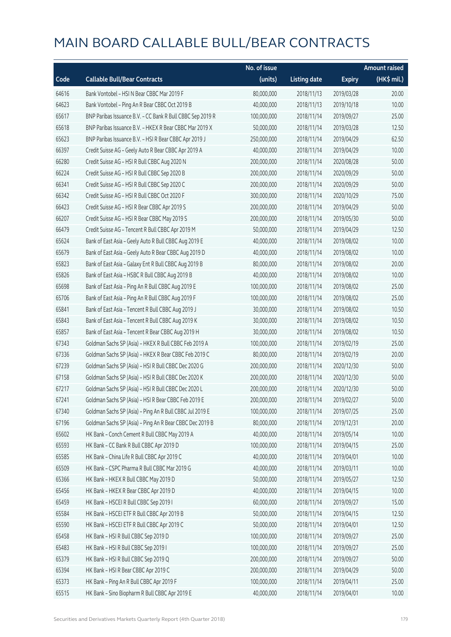|       |                                                            | No. of issue |                     |               | <b>Amount raised</b>  |
|-------|------------------------------------------------------------|--------------|---------------------|---------------|-----------------------|
| Code  | <b>Callable Bull/Bear Contracts</b>                        | (units)      | <b>Listing date</b> | <b>Expiry</b> | $(HK\frac{1}{2}mil.)$ |
| 64616 | Bank Vontobel - HSI N Bear CBBC Mar 2019 F                 | 80,000,000   | 2018/11/13          | 2019/03/28    | 20.00                 |
| 64623 | Bank Vontobel - Ping An R Bear CBBC Oct 2019 B             | 40,000,000   | 2018/11/13          | 2019/10/18    | 10.00                 |
| 65617 | BNP Paribas Issuance B.V. - CC Bank R Bull CBBC Sep 2019 R | 100,000,000  | 2018/11/14          | 2019/09/27    | 25.00                 |
| 65618 | BNP Paribas Issuance B.V. - HKEX R Bear CBBC Mar 2019 X    | 50,000,000   | 2018/11/14          | 2019/03/28    | 12.50                 |
| 65623 | BNP Paribas Issuance B.V. - HSI R Bear CBBC Apr 2019 J     | 250,000,000  | 2018/11/14          | 2019/04/29    | 62.50                 |
| 66397 | Credit Suisse AG - Geely Auto R Bear CBBC Apr 2019 A       | 40,000,000   | 2018/11/14          | 2019/04/29    | 10.00                 |
| 66280 | Credit Suisse AG - HSI R Bull CBBC Aug 2020 N              | 200,000,000  | 2018/11/14          | 2020/08/28    | 50.00                 |
| 66224 | Credit Suisse AG - HSI R Bull CBBC Sep 2020 B              | 200,000,000  | 2018/11/14          | 2020/09/29    | 50.00                 |
| 66341 | Credit Suisse AG - HSI R Bull CBBC Sep 2020 C              | 200,000,000  | 2018/11/14          | 2020/09/29    | 50.00                 |
| 66342 | Credit Suisse AG - HSI R Bull CBBC Oct 2020 F              | 300,000,000  | 2018/11/14          | 2020/10/29    | 75.00                 |
| 66423 | Credit Suisse AG - HSI R Bear CBBC Apr 2019 S              | 200,000,000  | 2018/11/14          | 2019/04/29    | 50.00                 |
| 66207 | Credit Suisse AG - HSI R Bear CBBC May 2019 S              | 200,000,000  | 2018/11/14          | 2019/05/30    | 50.00                 |
| 66479 | Credit Suisse AG - Tencent R Bull CBBC Apr 2019 M          | 50,000,000   | 2018/11/14          | 2019/04/29    | 12.50                 |
| 65624 | Bank of East Asia - Geely Auto R Bull CBBC Aug 2019 E      | 40,000,000   | 2018/11/14          | 2019/08/02    | 10.00                 |
| 65679 | Bank of East Asia - Geely Auto R Bear CBBC Aug 2019 D      | 40,000,000   | 2018/11/14          | 2019/08/02    | 10.00                 |
| 65823 | Bank of East Asia - Galaxy Ent R Bull CBBC Aug 2019 B      | 80,000,000   | 2018/11/14          | 2019/08/02    | 20.00                 |
| 65826 | Bank of East Asia - HSBC R Bull CBBC Aug 2019 B            | 40,000,000   | 2018/11/14          | 2019/08/02    | 10.00                 |
| 65698 | Bank of East Asia - Ping An R Bull CBBC Aug 2019 E         | 100,000,000  | 2018/11/14          | 2019/08/02    | 25.00                 |
| 65706 | Bank of East Asia - Ping An R Bull CBBC Aug 2019 F         | 100,000,000  | 2018/11/14          | 2019/08/02    | 25.00                 |
| 65841 | Bank of East Asia - Tencent R Bull CBBC Aug 2019 J         | 30,000,000   | 2018/11/14          | 2019/08/02    | 10.50                 |
| 65843 | Bank of East Asia - Tencent R Bull CBBC Aug 2019 K         | 30,000,000   | 2018/11/14          | 2019/08/02    | 10.50                 |
| 65857 | Bank of East Asia - Tencent R Bear CBBC Aug 2019 H         | 30,000,000   | 2018/11/14          | 2019/08/02    | 10.50                 |
| 67343 | Goldman Sachs SP (Asia) - HKEX R Bull CBBC Feb 2019 A      | 100,000,000  | 2018/11/14          | 2019/02/19    | 25.00                 |
| 67336 | Goldman Sachs SP (Asia) - HKEX R Bear CBBC Feb 2019 C      | 80,000,000   | 2018/11/14          | 2019/02/19    | 20.00                 |
| 67239 | Goldman Sachs SP (Asia) - HSI R Bull CBBC Dec 2020 G       | 200,000,000  | 2018/11/14          | 2020/12/30    | 50.00                 |
| 67158 | Goldman Sachs SP (Asia) - HSI R Bull CBBC Dec 2020 K       | 200,000,000  | 2018/11/14          | 2020/12/30    | 50.00                 |
| 67217 | Goldman Sachs SP (Asia) - HSI R Bull CBBC Dec 2020 L       | 200,000,000  | 2018/11/14          | 2020/12/30    | 50.00                 |
| 67241 | Goldman Sachs SP (Asia) - HSI R Bear CBBC Feb 2019 E       | 200,000,000  | 2018/11/14          | 2019/02/27    | 50.00                 |
| 67340 | Goldman Sachs SP (Asia) - Ping An R Bull CBBC Jul 2019 E   | 100,000,000  | 2018/11/14          | 2019/07/25    | 25.00                 |
| 67196 | Goldman Sachs SP (Asia) - Ping An R Bear CBBC Dec 2019 B   | 80,000,000   | 2018/11/14          | 2019/12/31    | 20.00                 |
| 65602 | HK Bank - Conch Cement R Bull CBBC May 2019 A              | 40,000,000   | 2018/11/14          | 2019/05/14    | 10.00                 |
| 65593 | HK Bank - CC Bank R Bull CBBC Apr 2019 D                   | 100,000,000  | 2018/11/14          | 2019/04/15    | 25.00                 |
| 65585 | HK Bank - China Life R Bull CBBC Apr 2019 C                | 40,000,000   | 2018/11/14          | 2019/04/01    | 10.00                 |
| 65509 | HK Bank - CSPC Pharma R Bull CBBC Mar 2019 G               | 40,000,000   | 2018/11/14          | 2019/03/11    | 10.00                 |
| 65366 | HK Bank - HKEX R Bull CBBC May 2019 D                      | 50,000,000   | 2018/11/14          | 2019/05/27    | 12.50                 |
| 65456 | HK Bank - HKEX R Bear CBBC Apr 2019 D                      | 40,000,000   | 2018/11/14          | 2019/04/15    | 10.00                 |
| 65459 | HK Bank - HSCEI R Bull CBBC Sep 2019 I                     | 60,000,000   | 2018/11/14          | 2019/09/27    | 15.00                 |
| 65584 | HK Bank - HSCEI ETF R Bull CBBC Apr 2019 B                 | 50,000,000   | 2018/11/14          | 2019/04/15    | 12.50                 |
| 65590 | HK Bank - HSCEI ETF R Bull CBBC Apr 2019 C                 | 50,000,000   | 2018/11/14          | 2019/04/01    | 12.50                 |
| 65458 | HK Bank - HSI R Bull CBBC Sep 2019 D                       | 100,000,000  | 2018/11/14          | 2019/09/27    | 25.00                 |
| 65483 | HK Bank - HSI R Bull CBBC Sep 2019 I                       | 100,000,000  | 2018/11/14          | 2019/09/27    | 25.00                 |
| 65379 | HK Bank - HSI R Bull CBBC Sep 2019 Q                       | 200,000,000  | 2018/11/14          | 2019/09/27    | 50.00                 |
| 65394 | HK Bank - HSI R Bear CBBC Apr 2019 C                       | 200,000,000  | 2018/11/14          | 2019/04/29    | 50.00                 |
| 65373 | HK Bank - Ping An R Bull CBBC Apr 2019 F                   | 100,000,000  | 2018/11/14          | 2019/04/11    | 25.00                 |
| 65515 | HK Bank - Sino Biopharm R Bull CBBC Apr 2019 E             | 40,000,000   | 2018/11/14          | 2019/04/01    | 10.00                 |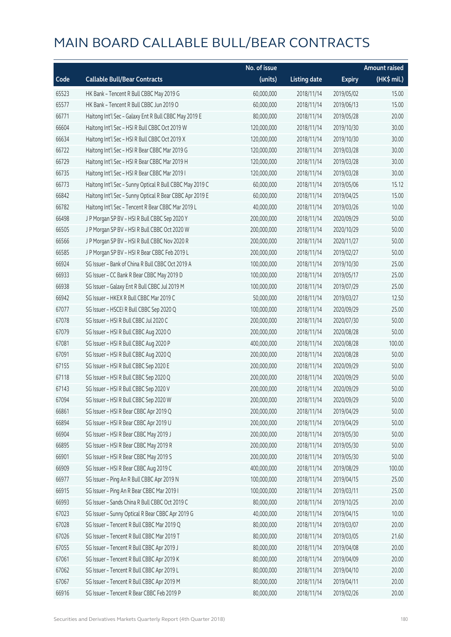|       |                                                          | No. of issue |                     |               | <b>Amount raised</b> |
|-------|----------------------------------------------------------|--------------|---------------------|---------------|----------------------|
| Code  | <b>Callable Bull/Bear Contracts</b>                      | (units)      | <b>Listing date</b> | <b>Expiry</b> | $(HK\$ mil.)         |
| 65523 | HK Bank - Tencent R Bull CBBC May 2019 G                 | 60,000,000   | 2018/11/14          | 2019/05/02    | 15.00                |
| 65577 | HK Bank - Tencent R Bull CBBC Jun 2019 O                 | 60,000,000   | 2018/11/14          | 2019/06/13    | 15.00                |
| 66771 | Haitong Int'l Sec - Galaxy Ent R Bull CBBC May 2019 E    | 80,000,000   | 2018/11/14          | 2019/05/28    | 20.00                |
| 66604 | Haitong Int'l Sec - HSI R Bull CBBC Oct 2019 W           | 120,000,000  | 2018/11/14          | 2019/10/30    | 30.00                |
| 66634 | Haitong Int'l Sec - HSI R Bull CBBC Oct 2019 X           | 120,000,000  | 2018/11/14          | 2019/10/30    | 30.00                |
| 66722 | Haitong Int'l Sec - HSI R Bear CBBC Mar 2019 G           | 120,000,000  | 2018/11/14          | 2019/03/28    | 30.00                |
| 66729 | Haitong Int'l Sec - HSI R Bear CBBC Mar 2019 H           | 120,000,000  | 2018/11/14          | 2019/03/28    | 30.00                |
| 66735 | Haitong Int'l Sec - HSI R Bear CBBC Mar 2019 I           | 120,000,000  | 2018/11/14          | 2019/03/28    | 30.00                |
| 66773 | Haitong Int'l Sec - Sunny Optical R Bull CBBC May 2019 C | 60,000,000   | 2018/11/14          | 2019/05/06    | 15.12                |
| 66842 | Haitong Int'l Sec - Sunny Optical R Bear CBBC Apr 2019 E | 60,000,000   | 2018/11/14          | 2019/04/25    | 15.00                |
| 66782 | Haitong Int'l Sec - Tencent R Bear CBBC Mar 2019 L       | 40,000,000   | 2018/11/14          | 2019/03/26    | 10.00                |
| 66498 | J P Morgan SP BV - HSI R Bull CBBC Sep 2020 Y            | 200,000,000  | 2018/11/14          | 2020/09/29    | 50.00                |
| 66505 | J P Morgan SP BV - HSI R Bull CBBC Oct 2020 W            | 200,000,000  | 2018/11/14          | 2020/10/29    | 50.00                |
| 66566 | J P Morgan SP BV - HSI R Bull CBBC Nov 2020 R            | 200,000,000  | 2018/11/14          | 2020/11/27    | 50.00                |
| 66585 | J P Morgan SP BV - HSI R Bear CBBC Feb 2019 L            | 200,000,000  | 2018/11/14          | 2019/02/27    | 50.00                |
| 66924 | SG Issuer - Bank of China R Bull CBBC Oct 2019 A         | 100,000,000  | 2018/11/14          | 2019/10/30    | 25.00                |
| 66933 | SG Issuer - CC Bank R Bear CBBC May 2019 D               | 100,000,000  | 2018/11/14          | 2019/05/17    | 25.00                |
| 66938 | SG Issuer - Galaxy Ent R Bull CBBC Jul 2019 M            | 100,000,000  | 2018/11/14          | 2019/07/29    | 25.00                |
| 66942 | SG Issuer - HKEX R Bull CBBC Mar 2019 C                  | 50,000,000   | 2018/11/14          | 2019/03/27    | 12.50                |
| 67077 | SG Issuer - HSCEI R Bull CBBC Sep 2020 Q                 | 100,000,000  | 2018/11/14          | 2020/09/29    | 25.00                |
| 67078 | SG Issuer - HSI R Bull CBBC Jul 2020 C                   | 200,000,000  | 2018/11/14          | 2020/07/30    | 50.00                |
| 67079 | SG Issuer - HSI R Bull CBBC Aug 2020 O                   | 200,000,000  | 2018/11/14          | 2020/08/28    | 50.00                |
| 67081 | SG Issuer - HSI R Bull CBBC Aug 2020 P                   | 400,000,000  | 2018/11/14          | 2020/08/28    | 100.00               |
| 67091 | SG Issuer - HSI R Bull CBBC Aug 2020 Q                   | 200,000,000  | 2018/11/14          | 2020/08/28    | 50.00                |
| 67155 | SG Issuer - HSI R Bull CBBC Sep 2020 E                   | 200,000,000  | 2018/11/14          | 2020/09/29    | 50.00                |
| 67118 | SG Issuer - HSI R Bull CBBC Sep 2020 Q                   | 200,000,000  | 2018/11/14          | 2020/09/29    | 50.00                |
| 67143 | SG Issuer - HSI R Bull CBBC Sep 2020 V                   | 200,000,000  | 2018/11/14          | 2020/09/29    | 50.00                |
| 67094 | SG Issuer - HSI R Bull CBBC Sep 2020 W                   | 200,000,000  | 2018/11/14          | 2020/09/29    | 50.00                |
| 66861 | SG Issuer - HSI R Bear CBBC Apr 2019 Q                   | 200,000,000  | 2018/11/14          | 2019/04/29    | 50.00                |
| 66894 | SG Issuer - HSI R Bear CBBC Apr 2019 U                   | 200,000,000  | 2018/11/14          | 2019/04/29    | 50.00                |
| 66904 | SG Issuer - HSI R Bear CBBC May 2019 J                   | 200,000,000  | 2018/11/14          | 2019/05/30    | 50.00                |
| 66895 | SG Issuer - HSI R Bear CBBC May 2019 R                   | 200,000,000  | 2018/11/14          | 2019/05/30    | 50.00                |
| 66901 | SG Issuer - HSI R Bear CBBC May 2019 S                   | 200,000,000  | 2018/11/14          | 2019/05/30    | 50.00                |
| 66909 | SG Issuer - HSI R Bear CBBC Aug 2019 C                   | 400,000,000  | 2018/11/14          | 2019/08/29    | 100.00               |
| 66977 | SG Issuer - Ping An R Bull CBBC Apr 2019 N               | 100,000,000  | 2018/11/14          | 2019/04/15    | 25.00                |
| 66915 | SG Issuer - Ping An R Bear CBBC Mar 2019 I               | 100,000,000  | 2018/11/14          | 2019/03/11    | 25.00                |
| 66993 | SG Issuer - Sands China R Bull CBBC Oct 2019 C           | 80,000,000   | 2018/11/14          | 2019/10/25    | 20.00                |
| 67023 | SG Issuer - Sunny Optical R Bear CBBC Apr 2019 G         | 40,000,000   | 2018/11/14          | 2019/04/15    | 10.00                |
| 67028 | SG Issuer - Tencent R Bull CBBC Mar 2019 Q               | 80,000,000   | 2018/11/14          | 2019/03/07    | 20.00                |
| 67026 | SG Issuer - Tencent R Bull CBBC Mar 2019 T               | 80,000,000   | 2018/11/14          | 2019/03/05    | 21.60                |
| 67055 | SG Issuer - Tencent R Bull CBBC Apr 2019 J               | 80,000,000   | 2018/11/14          | 2019/04/08    | 20.00                |
| 67061 | SG Issuer - Tencent R Bull CBBC Apr 2019 K               | 80,000,000   | 2018/11/14          | 2019/04/09    | 20.00                |
| 67062 | SG Issuer - Tencent R Bull CBBC Apr 2019 L               | 80,000,000   | 2018/11/14          | 2019/04/10    | 20.00                |
| 67067 | SG Issuer - Tencent R Bull CBBC Apr 2019 M               | 80,000,000   | 2018/11/14          | 2019/04/11    | 20.00                |
| 66916 | SG Issuer - Tencent R Bear CBBC Feb 2019 P               | 80,000,000   | 2018/11/14          | 2019/02/26    | 20.00                |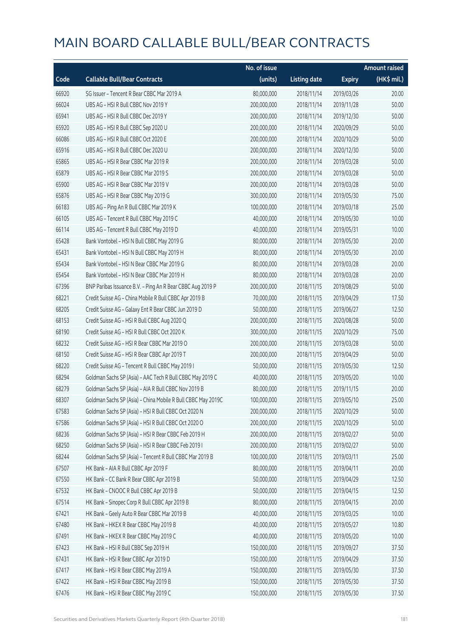|       |                                                              | No. of issue |                     |               | <b>Amount raised</b>  |
|-------|--------------------------------------------------------------|--------------|---------------------|---------------|-----------------------|
| Code  | <b>Callable Bull/Bear Contracts</b>                          | (units)      | <b>Listing date</b> | <b>Expiry</b> | $(HK\frac{1}{2}mil.)$ |
| 66920 | SG Issuer - Tencent R Bear CBBC Mar 2019 A                   | 80,000,000   | 2018/11/14          | 2019/03/26    | 20.00                 |
| 66024 | UBS AG - HSI R Bull CBBC Nov 2019 Y                          | 200,000,000  | 2018/11/14          | 2019/11/28    | 50.00                 |
| 65941 | UBS AG - HSI R Bull CBBC Dec 2019 Y                          | 200,000,000  | 2018/11/14          | 2019/12/30    | 50.00                 |
| 65920 | UBS AG - HSI R Bull CBBC Sep 2020 U                          | 200,000,000  | 2018/11/14          | 2020/09/29    | 50.00                 |
| 66086 | UBS AG - HSI R Bull CBBC Oct 2020 E                          | 200,000,000  | 2018/11/14          | 2020/10/29    | 50.00                 |
| 65916 | UBS AG - HSI R Bull CBBC Dec 2020 U                          | 200,000,000  | 2018/11/14          | 2020/12/30    | 50.00                 |
| 65865 | UBS AG - HSI R Bear CBBC Mar 2019 R                          | 200,000,000  | 2018/11/14          | 2019/03/28    | 50.00                 |
| 65879 | UBS AG - HSI R Bear CBBC Mar 2019 S                          | 200,000,000  | 2018/11/14          | 2019/03/28    | 50.00                 |
| 65900 | UBS AG - HSI R Bear CBBC Mar 2019 V                          | 200,000,000  | 2018/11/14          | 2019/03/28    | 50.00                 |
| 65876 | UBS AG - HSI R Bear CBBC May 2019 G                          | 300,000,000  | 2018/11/14          | 2019/05/30    | 75.00                 |
| 66183 | UBS AG - Ping An R Bull CBBC Mar 2019 K                      | 100,000,000  | 2018/11/14          | 2019/03/18    | 25.00                 |
| 66105 | UBS AG - Tencent R Bull CBBC May 2019 C                      | 40,000,000   | 2018/11/14          | 2019/05/30    | 10.00                 |
| 66114 | UBS AG - Tencent R Bull CBBC May 2019 D                      | 40,000,000   | 2018/11/14          | 2019/05/31    | 10.00                 |
| 65428 | Bank Vontobel - HSI N Bull CBBC May 2019 G                   | 80,000,000   | 2018/11/14          | 2019/05/30    | 20.00                 |
| 65431 | Bank Vontobel - HSI N Bull CBBC May 2019 H                   | 80,000,000   | 2018/11/14          | 2019/05/30    | 20.00                 |
| 65434 | Bank Vontobel - HSI N Bear CBBC Mar 2019 G                   | 80,000,000   | 2018/11/14          | 2019/03/28    | 20.00                 |
| 65454 | Bank Vontobel - HSI N Bear CBBC Mar 2019 H                   | 80,000,000   | 2018/11/14          | 2019/03/28    | 20.00                 |
| 67396 | BNP Paribas Issuance B.V. - Ping An R Bear CBBC Aug 2019 P   | 200,000,000  | 2018/11/15          | 2019/08/29    | 50.00                 |
| 68221 | Credit Suisse AG - China Mobile R Bull CBBC Apr 2019 B       | 70,000,000   | 2018/11/15          | 2019/04/29    | 17.50                 |
| 68205 | Credit Suisse AG - Galaxy Ent R Bear CBBC Jun 2019 D         | 50,000,000   | 2018/11/15          | 2019/06/27    | 12.50                 |
| 68153 | Credit Suisse AG - HSI R Bull CBBC Aug 2020 Q                | 200,000,000  | 2018/11/15          | 2020/08/28    | 50.00                 |
| 68190 | Credit Suisse AG - HSI R Bull CBBC Oct 2020 K                | 300,000,000  | 2018/11/15          | 2020/10/29    | 75.00                 |
| 68232 | Credit Suisse AG - HSI R Bear CBBC Mar 2019 O                | 200,000,000  | 2018/11/15          | 2019/03/28    | 50.00                 |
| 68150 | Credit Suisse AG - HSI R Bear CBBC Apr 2019 T                | 200,000,000  | 2018/11/15          | 2019/04/29    | 50.00                 |
| 68220 | Credit Suisse AG - Tencent R Bull CBBC May 2019 I            | 50,000,000   | 2018/11/15          | 2019/05/30    | 12.50                 |
| 68294 | Goldman Sachs SP (Asia) - AAC Tech R Bull CBBC May 2019 C    | 40,000,000   | 2018/11/15          | 2019/05/20    | 10.00                 |
| 68279 | Goldman Sachs SP (Asia) - AIA R Bull CBBC Nov 2019 B         | 80,000,000   | 2018/11/15          | 2019/11/15    | 20.00                 |
| 68307 | Goldman Sachs SP (Asia) - China Mobile R Bull CBBC May 2019C | 100,000,000  | 2018/11/15          | 2019/05/10    | 25.00                 |
| 67583 | Goldman Sachs SP (Asia) - HSI R Bull CBBC Oct 2020 N         | 200,000,000  | 2018/11/15          | 2020/10/29    | 50.00                 |
| 67586 | Goldman Sachs SP (Asia) - HSI R Bull CBBC Oct 2020 O         | 200,000,000  | 2018/11/15          | 2020/10/29    | 50.00                 |
| 68236 | Goldman Sachs SP (Asia) - HSI R Bear CBBC Feb 2019 H         | 200,000,000  | 2018/11/15          | 2019/02/27    | 50.00                 |
| 68250 | Goldman Sachs SP (Asia) - HSI R Bear CBBC Feb 2019 I         | 200,000,000  | 2018/11/15          | 2019/02/27    | 50.00                 |
| 68244 | Goldman Sachs SP (Asia) - Tencent R Bull CBBC Mar 2019 B     | 100,000,000  | 2018/11/15          | 2019/03/11    | 25.00                 |
| 67507 | HK Bank - AIA R Bull CBBC Apr 2019 F                         | 80,000,000   | 2018/11/15          | 2019/04/11    | 20.00                 |
| 67550 | HK Bank - CC Bank R Bear CBBC Apr 2019 B                     | 50,000,000   | 2018/11/15          | 2019/04/29    | 12.50                 |
| 67532 | HK Bank - CNOOC R Bull CBBC Apr 2019 B                       | 50,000,000   | 2018/11/15          | 2019/04/15    | 12.50                 |
| 67514 | HK Bank - Sinopec Corp R Bull CBBC Apr 2019 B                | 80,000,000   | 2018/11/15          | 2019/04/15    | 20.00                 |
| 67421 | HK Bank - Geely Auto R Bear CBBC Mar 2019 B                  | 40,000,000   | 2018/11/15          | 2019/03/25    | 10.00                 |
| 67480 | HK Bank - HKEX R Bear CBBC May 2019 B                        | 40,000,000   | 2018/11/15          | 2019/05/27    | 10.80                 |
| 67491 | HK Bank - HKEX R Bear CBBC May 2019 C                        | 40,000,000   | 2018/11/15          | 2019/05/20    | 10.00                 |
| 67423 | HK Bank - HSI R Bull CBBC Sep 2019 H                         | 150,000,000  | 2018/11/15          | 2019/09/27    | 37.50                 |
| 67431 | HK Bank - HSI R Bear CBBC Apr 2019 D                         | 150,000,000  | 2018/11/15          | 2019/04/29    | 37.50                 |
| 67417 | HK Bank - HSI R Bear CBBC May 2019 A                         | 150,000,000  | 2018/11/15          | 2019/05/30    | 37.50                 |
| 67422 | HK Bank - HSI R Bear CBBC May 2019 B                         | 150,000,000  | 2018/11/15          | 2019/05/30    | 37.50                 |
| 67476 | HK Bank - HSI R Bear CBBC May 2019 C                         | 150,000,000  | 2018/11/15          | 2019/05/30    | 37.50                 |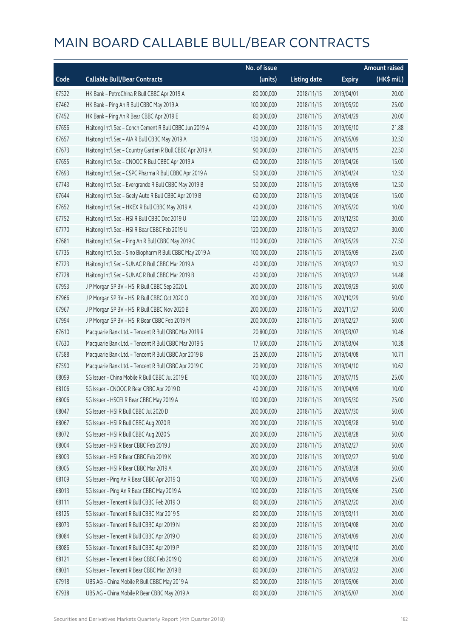|       |                                                           | No. of issue |                     |               | <b>Amount raised</b> |
|-------|-----------------------------------------------------------|--------------|---------------------|---------------|----------------------|
| Code  | <b>Callable Bull/Bear Contracts</b>                       | (units)      | <b>Listing date</b> | <b>Expiry</b> | (HK\$ mil.)          |
| 67522 | HK Bank - PetroChina R Bull CBBC Apr 2019 A               | 80,000,000   | 2018/11/15          | 2019/04/01    | 20.00                |
| 67462 | HK Bank - Ping An R Bull CBBC May 2019 A                  | 100,000,000  | 2018/11/15          | 2019/05/20    | 25.00                |
| 67452 | HK Bank - Ping An R Bear CBBC Apr 2019 E                  | 80,000,000   | 2018/11/15          | 2019/04/29    | 20.00                |
| 67656 | Haitong Int'l Sec - Conch Cement R Bull CBBC Jun 2019 A   | 40,000,000   | 2018/11/15          | 2019/06/10    | 21.88                |
| 67657 | Haitong Int'l Sec - AIA R Bull CBBC May 2019 A            | 130,000,000  | 2018/11/15          | 2019/05/09    | 32.50                |
| 67673 | Haitong Int'l Sec - Country Garden R Bull CBBC Apr 2019 A | 90,000,000   | 2018/11/15          | 2019/04/15    | 22.50                |
| 67655 | Haitong Int'l Sec - CNOOC R Bull CBBC Apr 2019 A          | 60,000,000   | 2018/11/15          | 2019/04/26    | 15.00                |
| 67693 | Haitong Int'l Sec - CSPC Pharma R Bull CBBC Apr 2019 A    | 50,000,000   | 2018/11/15          | 2019/04/24    | 12.50                |
| 67743 | Haitong Int'l Sec - Evergrande R Bull CBBC May 2019 B     | 50,000,000   | 2018/11/15          | 2019/05/09    | 12.50                |
| 67644 | Haitong Int'l Sec - Geely Auto R Bull CBBC Apr 2019 B     | 60,000,000   | 2018/11/15          | 2019/04/26    | 15.00                |
| 67652 | Haitong Int'l Sec - HKEX R Bull CBBC May 2019 A           | 40,000,000   | 2018/11/15          | 2019/05/20    | 10.00                |
| 67752 | Haitong Int'l Sec - HSI R Bull CBBC Dec 2019 U            | 120,000,000  | 2018/11/15          | 2019/12/30    | 30.00                |
| 67770 | Haitong Int'l Sec - HSI R Bear CBBC Feb 2019 U            | 120,000,000  | 2018/11/15          | 2019/02/27    | 30.00                |
| 67681 | Haitong Int'l Sec - Ping An R Bull CBBC May 2019 C        | 110,000,000  | 2018/11/15          | 2019/05/29    | 27.50                |
| 67735 | Haitong Int'l Sec - Sino Biopharm R Bull CBBC May 2019 A  | 100,000,000  | 2018/11/15          | 2019/05/09    | 25.00                |
| 67723 | Haitong Int'l Sec - SUNAC R Bull CBBC Mar 2019 A          | 40,000,000   | 2018/11/15          | 2019/03/27    | 10.52                |
| 67728 | Haitong Int'l Sec - SUNAC R Bull CBBC Mar 2019 B          | 40,000,000   | 2018/11/15          | 2019/03/27    | 14.48                |
| 67953 | J P Morgan SP BV - HSI R Bull CBBC Sep 2020 L             | 200,000,000  | 2018/11/15          | 2020/09/29    | 50.00                |
| 67966 | J P Morgan SP BV - HSI R Bull CBBC Oct 2020 O             | 200,000,000  | 2018/11/15          | 2020/10/29    | 50.00                |
| 67967 | J P Morgan SP BV - HSI R Bull CBBC Nov 2020 B             | 200,000,000  | 2018/11/15          | 2020/11/27    | 50.00                |
| 67994 | J P Morgan SP BV - HSI R Bear CBBC Feb 2019 M             | 200,000,000  | 2018/11/15          | 2019/02/27    | 50.00                |
| 67610 | Macquarie Bank Ltd. - Tencent R Bull CBBC Mar 2019 R      | 20,800,000   | 2018/11/15          | 2019/03/07    | 10.46                |
| 67630 | Macquarie Bank Ltd. - Tencent R Bull CBBC Mar 2019 S      | 17,600,000   | 2018/11/15          | 2019/03/04    | 10.38                |
| 67588 | Macquarie Bank Ltd. - Tencent R Bull CBBC Apr 2019 B      | 25,200,000   | 2018/11/15          | 2019/04/08    | 10.71                |
| 67590 | Macquarie Bank Ltd. - Tencent R Bull CBBC Apr 2019 C      | 20,900,000   | 2018/11/15          | 2019/04/10    | 10.62                |
| 68099 | SG Issuer - China Mobile R Bull CBBC Jul 2019 E           | 100,000,000  | 2018/11/15          | 2019/07/15    | 25.00                |
| 68106 | SG Issuer - CNOOC R Bear CBBC Apr 2019 D                  | 40,000,000   | 2018/11/15          | 2019/04/09    | 10.00                |
| 68006 | SG Issuer - HSCEI R Bear CBBC May 2019 A                  | 100,000,000  | 2018/11/15          | 2019/05/30    | 25.00                |
| 68047 | SG Issuer - HSI R Bull CBBC Jul 2020 D                    | 200,000,000  | 2018/11/15          | 2020/07/30    | 50.00                |
| 68067 | SG Issuer - HSI R Bull CBBC Aug 2020 R                    | 200,000,000  | 2018/11/15          | 2020/08/28    | 50.00                |
| 68072 | SG Issuer - HSI R Bull CBBC Aug 2020 S                    | 200,000,000  | 2018/11/15          | 2020/08/28    | 50.00                |
| 68004 | SG Issuer - HSI R Bear CBBC Feb 2019 J                    | 200,000,000  | 2018/11/15          | 2019/02/27    | 50.00                |
| 68003 | SG Issuer - HSI R Bear CBBC Feb 2019 K                    | 200,000,000  | 2018/11/15          | 2019/02/27    | 50.00                |
| 68005 | SG Issuer - HSI R Bear CBBC Mar 2019 A                    | 200,000,000  | 2018/11/15          | 2019/03/28    | 50.00                |
| 68109 | SG Issuer - Ping An R Bear CBBC Apr 2019 Q                | 100,000,000  | 2018/11/15          | 2019/04/09    | 25.00                |
| 68013 | SG Issuer - Ping An R Bear CBBC May 2019 A                | 100,000,000  | 2018/11/15          | 2019/05/06    | 25.00                |
| 68111 | SG Issuer - Tencent R Bull CBBC Feb 2019 O                | 80,000,000   | 2018/11/15          | 2019/02/20    | 20.00                |
| 68125 | SG Issuer - Tencent R Bull CBBC Mar 2019 S                | 80,000,000   | 2018/11/15          | 2019/03/11    | 20.00                |
| 68073 | SG Issuer - Tencent R Bull CBBC Apr 2019 N                | 80,000,000   | 2018/11/15          | 2019/04/08    | 20.00                |
| 68084 | SG Issuer - Tencent R Bull CBBC Apr 2019 O                | 80,000,000   | 2018/11/15          | 2019/04/09    | 20.00                |
| 68086 | SG Issuer - Tencent R Bull CBBC Apr 2019 P                | 80,000,000   | 2018/11/15          | 2019/04/10    | 20.00                |
| 68121 | SG Issuer - Tencent R Bear CBBC Feb 2019 Q                | 80,000,000   | 2018/11/15          | 2019/02/28    | 20.00                |
| 68031 | SG Issuer - Tencent R Bear CBBC Mar 2019 B                | 80,000,000   | 2018/11/15          | 2019/03/22    | 20.00                |
| 67918 | UBS AG - China Mobile R Bull CBBC May 2019 A              | 80,000,000   | 2018/11/15          | 2019/05/06    | 20.00                |
| 67938 | UBS AG - China Mobile R Bear CBBC May 2019 A              | 80,000,000   | 2018/11/15          | 2019/05/07    | 20.00                |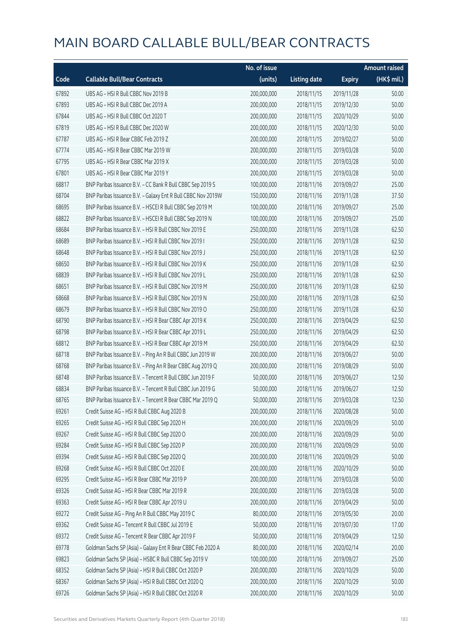|       |                                                              | No. of issue |                     |               | <b>Amount raised</b>  |
|-------|--------------------------------------------------------------|--------------|---------------------|---------------|-----------------------|
| Code  | <b>Callable Bull/Bear Contracts</b>                          | (units)      | <b>Listing date</b> | <b>Expiry</b> | $(HK\frac{1}{2}mil.)$ |
| 67892 | UBS AG - HSI R Bull CBBC Nov 2019 B                          | 200,000,000  | 2018/11/15          | 2019/11/28    | 50.00                 |
| 67893 | UBS AG - HSI R Bull CBBC Dec 2019 A                          | 200,000,000  | 2018/11/15          | 2019/12/30    | 50.00                 |
| 67844 | UBS AG - HSI R Bull CBBC Oct 2020 T                          | 200,000,000  | 2018/11/15          | 2020/10/29    | 50.00                 |
| 67819 | UBS AG - HSI R Bull CBBC Dec 2020 W                          | 200,000,000  | 2018/11/15          | 2020/12/30    | 50.00                 |
| 67787 | UBS AG - HSI R Bear CBBC Feb 2019 Z                          | 200,000,000  | 2018/11/15          | 2019/02/27    | 50.00                 |
| 67774 | UBS AG - HSI R Bear CBBC Mar 2019 W                          | 200,000,000  | 2018/11/15          | 2019/03/28    | 50.00                 |
| 67795 | UBS AG - HSI R Bear CBBC Mar 2019 X                          | 200,000,000  | 2018/11/15          | 2019/03/28    | 50.00                 |
| 67801 | UBS AG - HSI R Bear CBBC Mar 2019 Y                          | 200,000,000  | 2018/11/15          | 2019/03/28    | 50.00                 |
| 68817 | BNP Paribas Issuance B.V. - CC Bank R Bull CBBC Sep 2019 S   | 100,000,000  | 2018/11/16          | 2019/09/27    | 25.00                 |
| 68704 | BNP Paribas Issuance B.V. - Galaxy Ent R Bull CBBC Nov 2019W | 150,000,000  | 2018/11/16          | 2019/11/28    | 37.50                 |
| 68695 | BNP Paribas Issuance B.V. - HSCEI R Bull CBBC Sep 2019 M     | 100,000,000  | 2018/11/16          | 2019/09/27    | 25.00                 |
| 68822 | BNP Paribas Issuance B.V. - HSCEI R Bull CBBC Sep 2019 N     | 100,000,000  | 2018/11/16          | 2019/09/27    | 25.00                 |
| 68684 | BNP Paribas Issuance B.V. - HSI R Bull CBBC Nov 2019 E       | 250,000,000  | 2018/11/16          | 2019/11/28    | 62.50                 |
| 68689 | BNP Paribas Issuance B.V. - HSI R Bull CBBC Nov 2019 I       | 250,000,000  | 2018/11/16          | 2019/11/28    | 62.50                 |
| 68648 | BNP Paribas Issuance B.V. - HSI R Bull CBBC Nov 2019 J       | 250,000,000  | 2018/11/16          | 2019/11/28    | 62.50                 |
| 68650 | BNP Paribas Issuance B.V. - HSI R Bull CBBC Nov 2019 K       | 250,000,000  | 2018/11/16          | 2019/11/28    | 62.50                 |
| 68839 | BNP Paribas Issuance B.V. - HSI R Bull CBBC Nov 2019 L       | 250,000,000  | 2018/11/16          | 2019/11/28    | 62.50                 |
| 68651 | BNP Paribas Issuance B.V. - HSI R Bull CBBC Nov 2019 M       | 250,000,000  | 2018/11/16          | 2019/11/28    | 62.50                 |
| 68668 | BNP Paribas Issuance B.V. - HSI R Bull CBBC Nov 2019 N       | 250,000,000  | 2018/11/16          | 2019/11/28    | 62.50                 |
| 68679 | BNP Paribas Issuance B.V. - HSI R Bull CBBC Nov 2019 O       | 250,000,000  | 2018/11/16          | 2019/11/28    | 62.50                 |
| 68790 | BNP Paribas Issuance B.V. - HSI R Bear CBBC Apr 2019 K       | 250,000,000  | 2018/11/16          | 2019/04/29    | 62.50                 |
| 68798 | BNP Paribas Issuance B.V. - HSI R Bear CBBC Apr 2019 L       | 250,000,000  | 2018/11/16          | 2019/04/29    | 62.50                 |
| 68812 | BNP Paribas Issuance B.V. - HSI R Bear CBBC Apr 2019 M       | 250,000,000  | 2018/11/16          | 2019/04/29    | 62.50                 |
| 68718 | BNP Paribas Issuance B.V. - Ping An R Bull CBBC Jun 2019 W   | 200,000,000  | 2018/11/16          | 2019/06/27    | 50.00                 |
| 68768 | BNP Paribas Issuance B.V. - Ping An R Bear CBBC Aug 2019 Q   | 200,000,000  | 2018/11/16          | 2019/08/29    | 50.00                 |
| 68748 | BNP Paribas Issuance B.V. - Tencent R Bull CBBC Jun 2019 F   | 50,000,000   | 2018/11/16          | 2019/06/27    | 12.50                 |
| 68834 | BNP Paribas Issuance B.V. - Tencent R Bull CBBC Jun 2019 G   | 50,000,000   | 2018/11/16          | 2019/06/27    | 12.50                 |
| 68765 | BNP Paribas Issuance B.V. - Tencent R Bear CBBC Mar 2019 Q   | 50,000,000   | 2018/11/16          | 2019/03/28    | 12.50                 |
| 69261 | Credit Suisse AG - HSI R Bull CBBC Aug 2020 B                | 200,000,000  | 2018/11/16          | 2020/08/28    | 50.00                 |
| 69265 | Credit Suisse AG - HSI R Bull CBBC Sep 2020 H                | 200,000,000  | 2018/11/16          | 2020/09/29    | 50.00                 |
| 69267 | Credit Suisse AG - HSI R Bull CBBC Sep 2020 O                | 200,000,000  | 2018/11/16          | 2020/09/29    | 50.00                 |
| 69284 | Credit Suisse AG - HSI R Bull CBBC Sep 2020 P                | 200,000,000  | 2018/11/16          | 2020/09/29    | 50.00                 |
| 69394 | Credit Suisse AG - HSI R Bull CBBC Sep 2020 Q                | 200,000,000  | 2018/11/16          | 2020/09/29    | 50.00                 |
| 69268 | Credit Suisse AG - HSI R Bull CBBC Oct 2020 E                | 200,000,000  | 2018/11/16          | 2020/10/29    | 50.00                 |
| 69295 | Credit Suisse AG - HSI R Bear CBBC Mar 2019 P                | 200,000,000  | 2018/11/16          | 2019/03/28    | 50.00                 |
| 69326 | Credit Suisse AG - HSI R Bear CBBC Mar 2019 R                | 200,000,000  | 2018/11/16          | 2019/03/28    | 50.00                 |
| 69363 | Credit Suisse AG - HSI R Bear CBBC Apr 2019 U                | 200,000,000  | 2018/11/16          | 2019/04/29    | 50.00                 |
| 69272 | Credit Suisse AG - Ping An R Bull CBBC May 2019 C            | 80,000,000   | 2018/11/16          | 2019/05/30    | 20.00                 |
| 69362 | Credit Suisse AG - Tencent R Bull CBBC Jul 2019 E            | 50,000,000   | 2018/11/16          | 2019/07/30    | 17.00                 |
| 69372 | Credit Suisse AG - Tencent R Bear CBBC Apr 2019 F            | 50,000,000   | 2018/11/16          | 2019/04/29    | 12.50                 |
| 69778 | Goldman Sachs SP (Asia) - Galaxy Ent R Bear CBBC Feb 2020 A  | 80,000,000   | 2018/11/16          | 2020/02/14    | 20.00                 |
| 69823 | Goldman Sachs SP (Asia) - HSBC R Bull CBBC Sep 2019 V        | 100,000,000  | 2018/11/16          | 2019/09/27    | 25.00                 |
| 68352 | Goldman Sachs SP (Asia) - HSI R Bull CBBC Oct 2020 P         | 200,000,000  | 2018/11/16          | 2020/10/29    | 50.00                 |
| 68367 | Goldman Sachs SP (Asia) - HSI R Bull CBBC Oct 2020 Q         | 200,000,000  | 2018/11/16          | 2020/10/29    | 50.00                 |
| 69726 | Goldman Sachs SP (Asia) - HSI R Bull CBBC Oct 2020 R         | 200,000,000  | 2018/11/16          | 2020/10/29    | 50.00                 |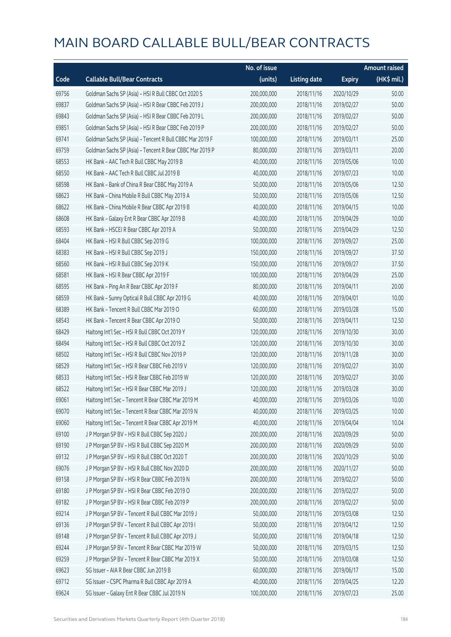|       |                                                          | No. of issue |                     |               | <b>Amount raised</b> |
|-------|----------------------------------------------------------|--------------|---------------------|---------------|----------------------|
| Code  | <b>Callable Bull/Bear Contracts</b>                      | (units)      | <b>Listing date</b> | <b>Expiry</b> | $(HK\$ mil.)         |
| 69756 | Goldman Sachs SP (Asia) - HSI R Bull CBBC Oct 2020 S     | 200,000,000  | 2018/11/16          | 2020/10/29    | 50.00                |
| 69837 | Goldman Sachs SP (Asia) - HSI R Bear CBBC Feb 2019 J     | 200,000,000  | 2018/11/16          | 2019/02/27    | 50.00                |
| 69843 | Goldman Sachs SP (Asia) - HSI R Bear CBBC Feb 2019 L     | 200,000,000  | 2018/11/16          | 2019/02/27    | 50.00                |
| 69851 | Goldman Sachs SP (Asia) - HSI R Bear CBBC Feb 2019 P     | 200,000,000  | 2018/11/16          | 2019/02/27    | 50.00                |
| 69741 | Goldman Sachs SP (Asia) - Tencent R Bull CBBC Mar 2019 F | 100,000,000  | 2018/11/16          | 2019/03/11    | 25.00                |
| 69759 | Goldman Sachs SP (Asia) - Tencent R Bear CBBC Mar 2019 P | 80,000,000   | 2018/11/16          | 2019/03/11    | 20.00                |
| 68553 | HK Bank - AAC Tech R Bull CBBC May 2019 B                | 40,000,000   | 2018/11/16          | 2019/05/06    | 10.00                |
| 68550 | HK Bank - AAC Tech R Bull CBBC Jul 2019 B                | 40,000,000   | 2018/11/16          | 2019/07/23    | 10.00                |
| 68598 | HK Bank - Bank of China R Bear CBBC May 2019 A           | 50,000,000   | 2018/11/16          | 2019/05/06    | 12.50                |
| 68623 | HK Bank - China Mobile R Bull CBBC May 2019 A            | 50,000,000   | 2018/11/16          | 2019/05/06    | 12.50                |
| 68622 | HK Bank - China Mobile R Bear CBBC Apr 2019 B            | 40,000,000   | 2018/11/16          | 2019/04/15    | 10.00                |
| 68608 | HK Bank - Galaxy Ent R Bear CBBC Apr 2019 B              | 40,000,000   | 2018/11/16          | 2019/04/29    | 10.00                |
| 68593 | HK Bank - HSCEI R Bear CBBC Apr 2019 A                   | 50,000,000   | 2018/11/16          | 2019/04/29    | 12.50                |
| 68404 | HK Bank - HSI R Bull CBBC Sep 2019 G                     | 100,000,000  | 2018/11/16          | 2019/09/27    | 25.00                |
| 68383 | HK Bank - HSI R Bull CBBC Sep 2019 J                     | 150,000,000  | 2018/11/16          | 2019/09/27    | 37.50                |
| 68560 | HK Bank - HSI R Bull CBBC Sep 2019 K                     | 150,000,000  | 2018/11/16          | 2019/09/27    | 37.50                |
| 68581 | HK Bank - HSI R Bear CBBC Apr 2019 F                     | 100,000,000  | 2018/11/16          | 2019/04/29    | 25.00                |
| 68595 | HK Bank - Ping An R Bear CBBC Apr 2019 F                 | 80,000,000   | 2018/11/16          | 2019/04/11    | 20.00                |
| 68559 | HK Bank - Sunny Optical R Bull CBBC Apr 2019 G           | 40,000,000   | 2018/11/16          | 2019/04/01    | 10.00                |
| 68389 | HK Bank - Tencent R Bull CBBC Mar 2019 O                 | 60,000,000   | 2018/11/16          | 2019/03/28    | 15.00                |
| 68543 | HK Bank - Tencent R Bear CBBC Apr 2019 O                 | 50,000,000   | 2018/11/16          | 2019/04/11    | 12.50                |
| 68429 | Haitong Int'l Sec - HSI R Bull CBBC Oct 2019 Y           | 120,000,000  | 2018/11/16          | 2019/10/30    | 30.00                |
| 68494 | Haitong Int'l Sec - HSI R Bull CBBC Oct 2019 Z           | 120,000,000  | 2018/11/16          | 2019/10/30    | 30.00                |
| 68502 | Haitong Int'l Sec - HSI R Bull CBBC Nov 2019 P           | 120,000,000  | 2018/11/16          | 2019/11/28    | 30.00                |
| 68529 | Haitong Int'l Sec - HSI R Bear CBBC Feb 2019 V           | 120,000,000  | 2018/11/16          | 2019/02/27    | 30.00                |
| 68533 | Haitong Int'l Sec - HSI R Bear CBBC Feb 2019 W           | 120,000,000  | 2018/11/16          | 2019/02/27    | 30.00                |
| 68522 | Haitong Int'l Sec - HSI R Bear CBBC Mar 2019 J           | 120,000,000  | 2018/11/16          | 2019/03/28    | 30.00                |
| 69061 | Haitong Int'l Sec - Tencent R Bear CBBC Mar 2019 M       | 40,000,000   | 2018/11/16          | 2019/03/26    | 10.00                |
| 69070 | Haitong Int'l Sec - Tencent R Bear CBBC Mar 2019 N       | 40,000,000   | 2018/11/16          | 2019/03/25    | 10.00                |
| 69060 | Haitong Int'l Sec - Tencent R Bear CBBC Apr 2019 M       | 40,000,000   | 2018/11/16          | 2019/04/04    | 10.04                |
| 69100 | J P Morgan SP BV - HSI R Bull CBBC Sep 2020 J            | 200,000,000  | 2018/11/16          | 2020/09/29    | 50.00                |
| 69190 | J P Morgan SP BV - HSI R Bull CBBC Sep 2020 M            | 200,000,000  | 2018/11/16          | 2020/09/29    | 50.00                |
| 69132 | J P Morgan SP BV - HSI R Bull CBBC Oct 2020 T            | 200,000,000  | 2018/11/16          | 2020/10/29    | 50.00                |
| 69076 | J P Morgan SP BV - HSI R Bull CBBC Nov 2020 D            | 200,000,000  | 2018/11/16          | 2020/11/27    | 50.00                |
| 69158 | J P Morgan SP BV - HSI R Bear CBBC Feb 2019 N            | 200,000,000  | 2018/11/16          | 2019/02/27    | 50.00                |
| 69180 | J P Morgan SP BV - HSI R Bear CBBC Feb 2019 O            | 200,000,000  | 2018/11/16          | 2019/02/27    | 50.00                |
| 69182 | J P Morgan SP BV - HSI R Bear CBBC Feb 2019 P            | 200,000,000  | 2018/11/16          | 2019/02/27    | 50.00                |
| 69214 | J P Morgan SP BV - Tencent R Bull CBBC Mar 2019 J        | 50,000,000   | 2018/11/16          | 2019/03/08    | 12.50                |
| 69136 | JP Morgan SP BV - Tencent R Bull CBBC Apr 2019 I         | 50,000,000   | 2018/11/16          | 2019/04/12    | 12.50                |
| 69148 | J P Morgan SP BV - Tencent R Bull CBBC Apr 2019 J        | 50,000,000   | 2018/11/16          | 2019/04/18    | 12.50                |
| 69244 | J P Morgan SP BV - Tencent R Bear CBBC Mar 2019 W        | 50,000,000   | 2018/11/16          | 2019/03/15    | 12.50                |
| 69259 | J P Morgan SP BV - Tencent R Bear CBBC Mar 2019 X        | 50,000,000   | 2018/11/16          | 2019/03/08    | 12.50                |
| 69623 | SG Issuer - AIA R Bear CBBC Jun 2019 B                   | 60,000,000   | 2018/11/16          | 2019/06/17    | 15.00                |
| 69712 | SG Issuer - CSPC Pharma R Bull CBBC Apr 2019 A           | 40,000,000   | 2018/11/16          | 2019/04/25    | 12.20                |
| 69624 | SG Issuer - Galaxy Ent R Bear CBBC Jul 2019 N            | 100,000,000  | 2018/11/16          | 2019/07/23    | 25.00                |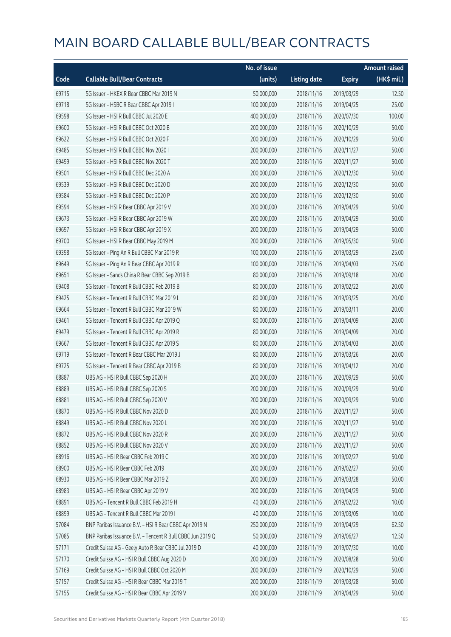|       |                                                            | No. of issue |                     |               | <b>Amount raised</b> |
|-------|------------------------------------------------------------|--------------|---------------------|---------------|----------------------|
| Code  | <b>Callable Bull/Bear Contracts</b>                        | (units)      | <b>Listing date</b> | <b>Expiry</b> | (HK\$ mil.)          |
| 69715 | SG Issuer - HKEX R Bear CBBC Mar 2019 N                    | 50,000,000   | 2018/11/16          | 2019/03/29    | 12.50                |
| 69718 | SG Issuer - HSBC R Bear CBBC Apr 2019 I                    | 100,000,000  | 2018/11/16          | 2019/04/25    | 25.00                |
| 69598 | SG Issuer - HSI R Bull CBBC Jul 2020 E                     | 400,000,000  | 2018/11/16          | 2020/07/30    | 100.00               |
| 69600 | SG Issuer - HSI R Bull CBBC Oct 2020 B                     | 200,000,000  | 2018/11/16          | 2020/10/29    | 50.00                |
| 69622 | SG Issuer - HSI R Bull CBBC Oct 2020 F                     | 200,000,000  | 2018/11/16          | 2020/10/29    | 50.00                |
| 69485 | SG Issuer - HSI R Bull CBBC Nov 2020 I                     | 200,000,000  | 2018/11/16          | 2020/11/27    | 50.00                |
| 69499 | SG Issuer - HSI R Bull CBBC Nov 2020 T                     | 200,000,000  | 2018/11/16          | 2020/11/27    | 50.00                |
| 69501 | SG Issuer - HSI R Bull CBBC Dec 2020 A                     | 200,000,000  | 2018/11/16          | 2020/12/30    | 50.00                |
| 69539 | SG Issuer - HSI R Bull CBBC Dec 2020 D                     | 200,000,000  | 2018/11/16          | 2020/12/30    | 50.00                |
| 69584 | SG Issuer - HSI R Bull CBBC Dec 2020 P                     | 200,000,000  | 2018/11/16          | 2020/12/30    | 50.00                |
| 69594 | SG Issuer - HSI R Bear CBBC Apr 2019 V                     | 200,000,000  | 2018/11/16          | 2019/04/29    | 50.00                |
| 69673 | SG Issuer - HSI R Bear CBBC Apr 2019 W                     | 200,000,000  | 2018/11/16          | 2019/04/29    | 50.00                |
| 69697 | SG Issuer - HSI R Bear CBBC Apr 2019 X                     | 200,000,000  | 2018/11/16          | 2019/04/29    | 50.00                |
| 69700 | SG Issuer - HSI R Bear CBBC May 2019 M                     | 200,000,000  | 2018/11/16          | 2019/05/30    | 50.00                |
| 69398 | SG Issuer - Ping An R Bull CBBC Mar 2019 R                 | 100,000,000  | 2018/11/16          | 2019/03/29    | 25.00                |
| 69649 | SG Issuer - Ping An R Bear CBBC Apr 2019 R                 | 100,000,000  | 2018/11/16          | 2019/04/03    | 25.00                |
| 69651 | SG Issuer - Sands China R Bear CBBC Sep 2019 B             | 80,000,000   | 2018/11/16          | 2019/09/18    | 20.00                |
| 69408 | SG Issuer - Tencent R Bull CBBC Feb 2019 B                 | 80,000,000   | 2018/11/16          | 2019/02/22    | 20.00                |
| 69425 | SG Issuer - Tencent R Bull CBBC Mar 2019 L                 | 80,000,000   | 2018/11/16          | 2019/03/25    | 20.00                |
| 69664 | SG Issuer - Tencent R Bull CBBC Mar 2019 W                 | 80,000,000   | 2018/11/16          | 2019/03/11    | 20.00                |
| 69461 | SG Issuer - Tencent R Bull CBBC Apr 2019 Q                 | 80,000,000   | 2018/11/16          | 2019/04/09    | 20.00                |
| 69479 | SG Issuer - Tencent R Bull CBBC Apr 2019 R                 | 80,000,000   | 2018/11/16          | 2019/04/09    | 20.00                |
| 69667 | SG Issuer - Tencent R Bull CBBC Apr 2019 S                 | 80,000,000   | 2018/11/16          | 2019/04/03    | 20.00                |
| 69719 | SG Issuer - Tencent R Bear CBBC Mar 2019 J                 | 80,000,000   | 2018/11/16          | 2019/03/26    | 20.00                |
| 69725 | SG Issuer - Tencent R Bear CBBC Apr 2019 B                 | 80,000,000   | 2018/11/16          | 2019/04/12    | 20.00                |
| 68887 | UBS AG - HSI R Bull CBBC Sep 2020 H                        | 200,000,000  | 2018/11/16          | 2020/09/29    | 50.00                |
| 68889 | UBS AG - HSI R Bull CBBC Sep 2020 S                        | 200,000,000  | 2018/11/16          | 2020/09/29    | 50.00                |
| 68881 | UBS AG - HSI R Bull CBBC Sep 2020 V                        | 200,000,000  | 2018/11/16          | 2020/09/29    | 50.00                |
| 68870 | UBS AG - HSI R Bull CBBC Nov 2020 D                        | 200,000,000  | 2018/11/16          | 2020/11/27    | 50.00                |
| 68849 | UBS AG - HSI R Bull CBBC Nov 2020 L                        | 200,000,000  | 2018/11/16          | 2020/11/27    | 50.00                |
| 68872 | UBS AG - HSI R Bull CBBC Nov 2020 R                        | 200,000,000  | 2018/11/16          | 2020/11/27    | 50.00                |
| 68852 | UBS AG - HSI R Bull CBBC Nov 2020 V                        | 200,000,000  | 2018/11/16          | 2020/11/27    | 50.00                |
| 68916 | UBS AG - HSI R Bear CBBC Feb 2019 C                        | 200,000,000  | 2018/11/16          | 2019/02/27    | 50.00                |
| 68900 | UBS AG - HSI R Bear CBBC Feb 2019 I                        | 200,000,000  | 2018/11/16          | 2019/02/27    | 50.00                |
| 68930 | UBS AG - HSI R Bear CBBC Mar 2019 Z                        | 200,000,000  | 2018/11/16          | 2019/03/28    | 50.00                |
| 68983 | UBS AG - HSI R Bear CBBC Apr 2019 V                        | 200,000,000  | 2018/11/16          | 2019/04/29    | 50.00                |
| 68891 | UBS AG - Tencent R Bull CBBC Feb 2019 H                    | 40,000,000   | 2018/11/16          | 2019/02/22    | 10.00                |
| 68899 | UBS AG - Tencent R Bull CBBC Mar 2019 I                    | 40,000,000   | 2018/11/16          | 2019/03/05    | 10.00                |
| 57084 | BNP Paribas Issuance B.V. - HSI R Bear CBBC Apr 2019 N     | 250,000,000  | 2018/11/19          | 2019/04/29    | 62.50                |
| 57085 | BNP Paribas Issuance B.V. - Tencent R Bull CBBC Jun 2019 Q | 50,000,000   | 2018/11/19          | 2019/06/27    | 12.50                |
| 57171 | Credit Suisse AG - Geely Auto R Bear CBBC Jul 2019 D       | 40,000,000   | 2018/11/19          | 2019/07/30    | 10.00                |
| 57170 | Credit Suisse AG - HSI R Bull CBBC Aug 2020 D              | 200,000,000  | 2018/11/19          | 2020/08/28    | 50.00                |
| 57169 | Credit Suisse AG - HSI R Bull CBBC Oct 2020 M              | 200,000,000  | 2018/11/19          | 2020/10/29    | 50.00                |
| 57157 | Credit Suisse AG - HSI R Bear CBBC Mar 2019 T              | 200,000,000  | 2018/11/19          | 2019/03/28    | 50.00                |
| 57155 | Credit Suisse AG - HSI R Bear CBBC Apr 2019 V              | 200,000,000  | 2018/11/19          | 2019/04/29    | 50.00                |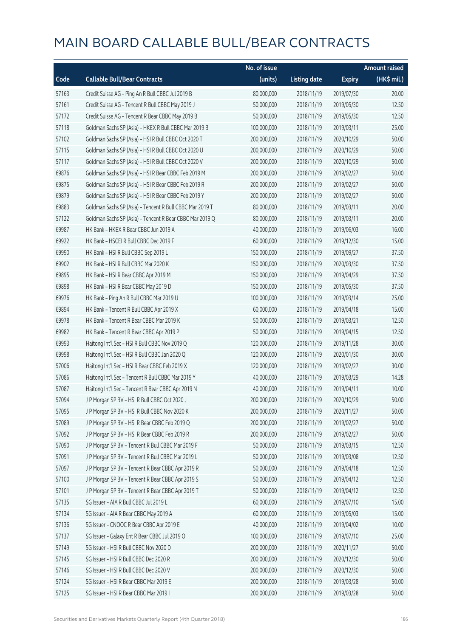|       |                                                          | No. of issue |                     |               | <b>Amount raised</b>  |
|-------|----------------------------------------------------------|--------------|---------------------|---------------|-----------------------|
| Code  | <b>Callable Bull/Bear Contracts</b>                      | (units)      | <b>Listing date</b> | <b>Expiry</b> | $(HK\frac{1}{2}mil.)$ |
| 57163 | Credit Suisse AG - Ping An R Bull CBBC Jul 2019 B        | 80,000,000   | 2018/11/19          | 2019/07/30    | 20.00                 |
| 57161 | Credit Suisse AG - Tencent R Bull CBBC May 2019 J        | 50,000,000   | 2018/11/19          | 2019/05/30    | 12.50                 |
| 57172 | Credit Suisse AG - Tencent R Bear CBBC May 2019 B        | 50,000,000   | 2018/11/19          | 2019/05/30    | 12.50                 |
| 57118 | Goldman Sachs SP (Asia) - HKEX R Bull CBBC Mar 2019 B    | 100,000,000  | 2018/11/19          | 2019/03/11    | 25.00                 |
| 57102 | Goldman Sachs SP (Asia) - HSI R Bull CBBC Oct 2020 T     | 200,000,000  | 2018/11/19          | 2020/10/29    | 50.00                 |
| 57115 | Goldman Sachs SP (Asia) - HSI R Bull CBBC Oct 2020 U     | 200,000,000  | 2018/11/19          | 2020/10/29    | 50.00                 |
| 57117 | Goldman Sachs SP (Asia) - HSI R Bull CBBC Oct 2020 V     | 200,000,000  | 2018/11/19          | 2020/10/29    | 50.00                 |
| 69876 | Goldman Sachs SP (Asia) - HSI R Bear CBBC Feb 2019 M     | 200,000,000  | 2018/11/19          | 2019/02/27    | 50.00                 |
| 69875 | Goldman Sachs SP (Asia) - HSI R Bear CBBC Feb 2019 R     | 200,000,000  | 2018/11/19          | 2019/02/27    | 50.00                 |
| 69879 | Goldman Sachs SP (Asia) - HSI R Bear CBBC Feb 2019 Y     | 200,000,000  | 2018/11/19          | 2019/02/27    | 50.00                 |
| 69883 | Goldman Sachs SP (Asia) - Tencent R Bull CBBC Mar 2019 T | 80,000,000   | 2018/11/19          | 2019/03/11    | 20.00                 |
| 57122 | Goldman Sachs SP (Asia) - Tencent R Bear CBBC Mar 2019 Q | 80,000,000   | 2018/11/19          | 2019/03/11    | 20.00                 |
| 69987 | HK Bank - HKEX R Bear CBBC Jun 2019 A                    | 40,000,000   | 2018/11/19          | 2019/06/03    | 16.00                 |
| 69922 | HK Bank - HSCEI R Bull CBBC Dec 2019 F                   | 60,000,000   | 2018/11/19          | 2019/12/30    | 15.00                 |
| 69990 | HK Bank - HSI R Bull CBBC Sep 2019 L                     | 150,000,000  | 2018/11/19          | 2019/09/27    | 37.50                 |
| 69902 | HK Bank - HSI R Bull CBBC Mar 2020 K                     | 150,000,000  | 2018/11/19          | 2020/03/30    | 37.50                 |
| 69895 | HK Bank - HSI R Bear CBBC Apr 2019 M                     | 150,000,000  | 2018/11/19          | 2019/04/29    | 37.50                 |
| 69898 | HK Bank - HSI R Bear CBBC May 2019 D                     | 150,000,000  | 2018/11/19          | 2019/05/30    | 37.50                 |
| 69976 | HK Bank - Ping An R Bull CBBC Mar 2019 U                 | 100,000,000  | 2018/11/19          | 2019/03/14    | 25.00                 |
| 69894 | HK Bank - Tencent R Bull CBBC Apr 2019 X                 | 60,000,000   | 2018/11/19          | 2019/04/18    | 15.00                 |
| 69978 | HK Bank - Tencent R Bear CBBC Mar 2019 K                 | 50,000,000   | 2018/11/19          | 2019/03/21    | 12.50                 |
| 69982 | HK Bank - Tencent R Bear CBBC Apr 2019 P                 | 50,000,000   | 2018/11/19          | 2019/04/15    | 12.50                 |
| 69993 | Haitong Int'l Sec - HSI R Bull CBBC Nov 2019 Q           | 120,000,000  | 2018/11/19          | 2019/11/28    | 30.00                 |
| 69998 | Haitong Int'l Sec - HSI R Bull CBBC Jan 2020 Q           | 120,000,000  | 2018/11/19          | 2020/01/30    | 30.00                 |
| 57006 | Haitong Int'l Sec - HSI R Bear CBBC Feb 2019 X           | 120,000,000  | 2018/11/19          | 2019/02/27    | 30.00                 |
| 57086 | Haitong Int'l Sec - Tencent R Bull CBBC Mar 2019 Y       | 40,000,000   | 2018/11/19          | 2019/03/29    | 14.28                 |
| 57087 | Haitong Int'l Sec - Tencent R Bear CBBC Apr 2019 N       | 40,000,000   | 2018/11/19          | 2019/04/11    | 10.00                 |
| 57094 | JP Morgan SP BV - HSIR Bull CBBC Oct 2020 J              | 200,000,000  | 2018/11/19          | 2020/10/29    | 50.00                 |
| 57095 | J P Morgan SP BV - HSI R Bull CBBC Nov 2020 K            | 200,000,000  | 2018/11/19          | 2020/11/27    | 50.00                 |
| 57089 | J P Morgan SP BV - HSI R Bear CBBC Feb 2019 Q            | 200,000,000  | 2018/11/19          | 2019/02/27    | 50.00                 |
| 57092 | J P Morgan SP BV - HSI R Bear CBBC Feb 2019 R            | 200,000,000  | 2018/11/19          | 2019/02/27    | 50.00                 |
| 57090 | J P Morgan SP BV - Tencent R Bull CBBC Mar 2019 F        | 50,000,000   | 2018/11/19          | 2019/03/15    | 12.50                 |
| 57091 | J P Morgan SP BV - Tencent R Bull CBBC Mar 2019 L        | 50,000,000   | 2018/11/19          | 2019/03/08    | 12.50                 |
| 57097 | J P Morgan SP BV - Tencent R Bear CBBC Apr 2019 R        | 50,000,000   | 2018/11/19          | 2019/04/18    | 12.50                 |
| 57100 | JP Morgan SP BV - Tencent R Bear CBBC Apr 2019 S         | 50,000,000   | 2018/11/19          | 2019/04/12    | 12.50                 |
| 57101 | J P Morgan SP BV - Tencent R Bear CBBC Apr 2019 T        | 50,000,000   | 2018/11/19          | 2019/04/12    | 12.50                 |
| 57135 | SG Issuer - AIA R Bull CBBC Jul 2019 L                   | 60,000,000   | 2018/11/19          | 2019/07/10    | 15.00                 |
| 57134 | SG Issuer - AIA R Bear CBBC May 2019 A                   | 60,000,000   | 2018/11/19          | 2019/05/03    | 15.00                 |
| 57136 | SG Issuer - CNOOC R Bear CBBC Apr 2019 E                 | 40,000,000   | 2018/11/19          | 2019/04/02    | 10.00                 |
| 57137 | SG Issuer - Galaxy Ent R Bear CBBC Jul 2019 O            | 100,000,000  | 2018/11/19          | 2019/07/10    | 25.00                 |
| 57149 | SG Issuer - HSI R Bull CBBC Nov 2020 D                   | 200,000,000  | 2018/11/19          | 2020/11/27    | 50.00                 |
| 57145 | SG Issuer - HSI R Bull CBBC Dec 2020 R                   | 200,000,000  | 2018/11/19          | 2020/12/30    | 50.00                 |
| 57146 | SG Issuer - HSI R Bull CBBC Dec 2020 V                   | 200,000,000  | 2018/11/19          | 2020/12/30    | 50.00                 |
| 57124 | SG Issuer - HSI R Bear CBBC Mar 2019 E                   | 200,000,000  | 2018/11/19          | 2019/03/28    | 50.00                 |
| 57125 | SG Issuer - HSI R Bear CBBC Mar 2019 I                   | 200,000,000  | 2018/11/19          | 2019/03/28    | 50.00                 |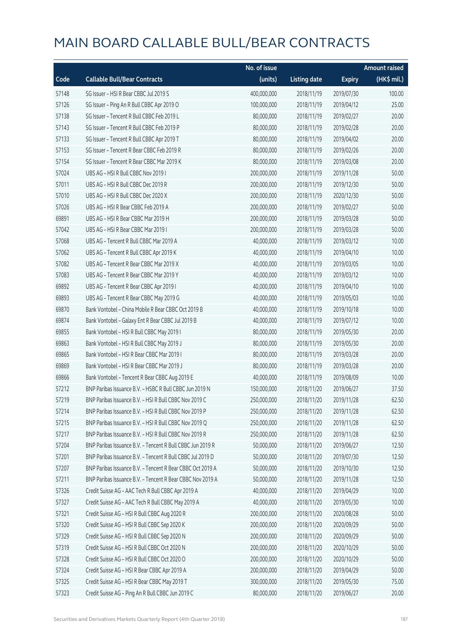|       |                                                            | No. of issue |                     |               | <b>Amount raised</b> |
|-------|------------------------------------------------------------|--------------|---------------------|---------------|----------------------|
| Code  | <b>Callable Bull/Bear Contracts</b>                        | (units)      | <b>Listing date</b> | <b>Expiry</b> | $(HK\$ mil.)         |
| 57148 | SG Issuer - HSI R Bear CBBC Jul 2019 S                     | 400,000,000  | 2018/11/19          | 2019/07/30    | 100.00               |
| 57126 | SG Issuer - Ping An R Bull CBBC Apr 2019 O                 | 100,000,000  | 2018/11/19          | 2019/04/12    | 25.00                |
| 57138 | SG Issuer - Tencent R Bull CBBC Feb 2019 L                 | 80,000,000   | 2018/11/19          | 2019/02/27    | 20.00                |
| 57143 | SG Issuer - Tencent R Bull CBBC Feb 2019 P                 | 80,000,000   | 2018/11/19          | 2019/02/28    | 20.00                |
| 57133 | SG Issuer - Tencent R Bull CBBC Apr 2019 T                 | 80,000,000   | 2018/11/19          | 2019/04/02    | 20.00                |
| 57153 | SG Issuer - Tencent R Bear CBBC Feb 2019 R                 | 80,000,000   | 2018/11/19          | 2019/02/26    | 20.00                |
| 57154 | SG Issuer - Tencent R Bear CBBC Mar 2019 K                 | 80,000,000   | 2018/11/19          | 2019/03/08    | 20.00                |
| 57024 | UBS AG - HSI R Bull CBBC Nov 2019 I                        | 200,000,000  | 2018/11/19          | 2019/11/28    | 50.00                |
| 57011 | UBS AG - HSI R Bull CBBC Dec 2019 R                        | 200,000,000  | 2018/11/19          | 2019/12/30    | 50.00                |
| 57010 | UBS AG - HSI R Bull CBBC Dec 2020 X                        | 200,000,000  | 2018/11/19          | 2020/12/30    | 50.00                |
| 57026 | UBS AG - HSI R Bear CBBC Feb 2019 A                        | 200,000,000  | 2018/11/19          | 2019/02/27    | 50.00                |
| 69891 | UBS AG - HSI R Bear CBBC Mar 2019 H                        | 200,000,000  | 2018/11/19          | 2019/03/28    | 50.00                |
| 57042 | UBS AG - HSI R Bear CBBC Mar 2019 I                        | 200,000,000  | 2018/11/19          | 2019/03/28    | 50.00                |
| 57068 | UBS AG - Tencent R Bull CBBC Mar 2019 A                    | 40,000,000   | 2018/11/19          | 2019/03/12    | 10.00                |
| 57062 | UBS AG - Tencent R Bull CBBC Apr 2019 K                    | 40,000,000   | 2018/11/19          | 2019/04/10    | 10.00                |
| 57082 | UBS AG - Tencent R Bear CBBC Mar 2019 X                    | 40,000,000   | 2018/11/19          | 2019/03/05    | 10.00                |
| 57083 | UBS AG - Tencent R Bear CBBC Mar 2019 Y                    | 40,000,000   | 2018/11/19          | 2019/03/12    | 10.00                |
| 69892 | UBS AG - Tencent R Bear CBBC Apr 2019 I                    | 40,000,000   | 2018/11/19          | 2019/04/10    | 10.00                |
| 69893 | UBS AG - Tencent R Bear CBBC May 2019 G                    | 40,000,000   | 2018/11/19          | 2019/05/03    | 10.00                |
| 69870 | Bank Vontobel - China Mobile R Bear CBBC Oct 2019 B        | 40,000,000   | 2018/11/19          | 2019/10/18    | 10.00                |
| 69874 | Bank Vontobel - Galaxy Ent R Bear CBBC Jul 2019 B          | 40,000,000   | 2018/11/19          | 2019/07/12    | 10.00                |
| 69855 | Bank Vontobel - HSI R Bull CBBC May 2019 I                 | 80,000,000   | 2018/11/19          | 2019/05/30    | 20.00                |
| 69863 | Bank Vontobel - HSI R Bull CBBC May 2019 J                 | 80,000,000   | 2018/11/19          | 2019/05/30    | 20.00                |
| 69865 | Bank Vontobel - HSI R Bear CBBC Mar 2019 I                 | 80,000,000   | 2018/11/19          | 2019/03/28    | 20.00                |
| 69869 | Bank Vontobel - HSI R Bear CBBC Mar 2019 J                 | 80,000,000   | 2018/11/19          | 2019/03/28    | 20.00                |
| 69866 | Bank Vontobel - Tencent R Bear CBBC Aug 2019 E             | 40,000,000   | 2018/11/19          | 2019/08/09    | 10.00                |
| 57212 | BNP Paribas Issuance B.V. - HSBC R Bull CBBC Jun 2019 N    | 150,000,000  | 2018/11/20          | 2019/06/27    | 37.50                |
| 57219 | BNP Paribas Issuance B.V. - HSI R Bull CBBC Nov 2019 C     | 250,000,000  | 2018/11/20          | 2019/11/28    | 62.50                |
| 57214 | BNP Paribas Issuance B.V. - HSI R Bull CBBC Nov 2019 P     | 250,000,000  | 2018/11/20          | 2019/11/28    | 62.50                |
| 57215 | BNP Paribas Issuance B.V. - HSI R Bull CBBC Nov 2019 Q     | 250,000,000  | 2018/11/20          | 2019/11/28    | 62.50                |
| 57217 | BNP Paribas Issuance B.V. - HSI R Bull CBBC Nov 2019 R     | 250,000,000  | 2018/11/20          | 2019/11/28    | 62.50                |
| 57204 | BNP Paribas Issuance B.V. - Tencent R Bull CBBC Jun 2019 R | 50,000,000   | 2018/11/20          | 2019/06/27    | 12.50                |
| 57201 | BNP Paribas Issuance B.V. - Tencent R Bull CBBC Jul 2019 D | 50,000,000   | 2018/11/20          | 2019/07/30    | 12.50                |
| 57207 | BNP Paribas Issuance B.V. - Tencent R Bear CBBC Oct 2019 A | 50,000,000   | 2018/11/20          | 2019/10/30    | 12.50                |
| 57211 | BNP Paribas Issuance B.V. - Tencent R Bear CBBC Nov 2019 A | 50,000,000   | 2018/11/20          | 2019/11/28    | 12.50                |
| 57326 | Credit Suisse AG - AAC Tech R Bull CBBC Apr 2019 A         | 40,000,000   | 2018/11/20          | 2019/04/29    | 10.00                |
| 57327 | Credit Suisse AG - AAC Tech R Bull CBBC May 2019 A         | 40,000,000   | 2018/11/20          | 2019/05/30    | 10.00                |
| 57321 | Credit Suisse AG - HSI R Bull CBBC Aug 2020 R              | 200,000,000  | 2018/11/20          | 2020/08/28    | 50.00                |
| 57320 | Credit Suisse AG - HSI R Bull CBBC Sep 2020 K              | 200,000,000  | 2018/11/20          | 2020/09/29    | 50.00                |
| 57329 | Credit Suisse AG - HSI R Bull CBBC Sep 2020 N              | 200,000,000  | 2018/11/20          | 2020/09/29    | 50.00                |
| 57319 | Credit Suisse AG - HSI R Bull CBBC Oct 2020 N              | 200,000,000  | 2018/11/20          | 2020/10/29    | 50.00                |
| 57328 | Credit Suisse AG - HSI R Bull CBBC Oct 2020 O              | 200,000,000  | 2018/11/20          | 2020/10/29    | 50.00                |
| 57324 | Credit Suisse AG - HSI R Bear CBBC Apr 2019 A              | 200,000,000  | 2018/11/20          | 2019/04/29    | 50.00                |
| 57325 | Credit Suisse AG - HSI R Bear CBBC May 2019 T              | 300,000,000  | 2018/11/20          | 2019/05/30    | 75.00                |
| 57323 | Credit Suisse AG - Ping An R Bull CBBC Jun 2019 C          | 80,000,000   | 2018/11/20          | 2019/06/27    | 20.00                |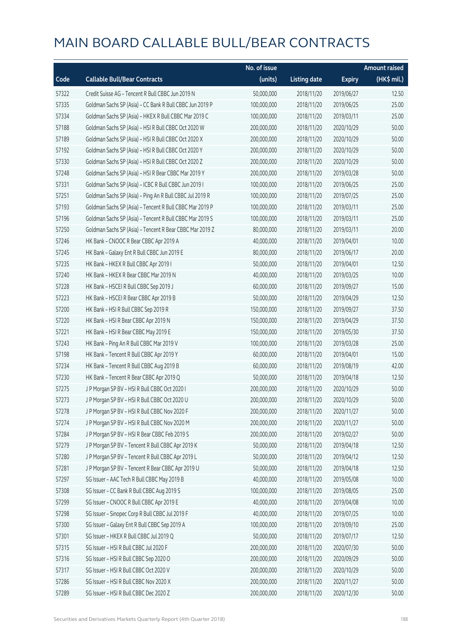|       |                                                          | No. of issue |                     |               | <b>Amount raised</b> |
|-------|----------------------------------------------------------|--------------|---------------------|---------------|----------------------|
| Code  | <b>Callable Bull/Bear Contracts</b>                      | (units)      | <b>Listing date</b> | <b>Expiry</b> | (HK\$ mil.)          |
| 57322 | Credit Suisse AG - Tencent R Bull CBBC Jun 2019 N        | 50,000,000   | 2018/11/20          | 2019/06/27    | 12.50                |
| 57335 | Goldman Sachs SP (Asia) - CC Bank R Bull CBBC Jun 2019 P | 100,000,000  | 2018/11/20          | 2019/06/25    | 25.00                |
| 57334 | Goldman Sachs SP (Asia) - HKEX R Bull CBBC Mar 2019 C    | 100,000,000  | 2018/11/20          | 2019/03/11    | 25.00                |
| 57188 | Goldman Sachs SP (Asia) - HSI R Bull CBBC Oct 2020 W     | 200,000,000  | 2018/11/20          | 2020/10/29    | 50.00                |
| 57189 | Goldman Sachs SP (Asia) - HSI R Bull CBBC Oct 2020 X     | 200,000,000  | 2018/11/20          | 2020/10/29    | 50.00                |
| 57192 | Goldman Sachs SP (Asia) - HSI R Bull CBBC Oct 2020 Y     | 200,000,000  | 2018/11/20          | 2020/10/29    | 50.00                |
| 57330 | Goldman Sachs SP (Asia) - HSI R Bull CBBC Oct 2020 Z     | 200,000,000  | 2018/11/20          | 2020/10/29    | 50.00                |
| 57248 | Goldman Sachs SP (Asia) - HSI R Bear CBBC Mar 2019 Y     | 200,000,000  | 2018/11/20          | 2019/03/28    | 50.00                |
| 57331 | Goldman Sachs SP (Asia) - ICBC R Bull CBBC Jun 2019 I    | 100,000,000  | 2018/11/20          | 2019/06/25    | 25.00                |
| 57251 | Goldman Sachs SP (Asia) - Ping An R Bull CBBC Jul 2019 R | 100,000,000  | 2018/11/20          | 2019/07/25    | 25.00                |
| 57193 | Goldman Sachs SP (Asia) - Tencent R Bull CBBC Mar 2019 P | 100,000,000  | 2018/11/20          | 2019/03/11    | 25.00                |
| 57196 | Goldman Sachs SP (Asia) - Tencent R Bull CBBC Mar 2019 S | 100,000,000  | 2018/11/20          | 2019/03/11    | 25.00                |
| 57250 | Goldman Sachs SP (Asia) - Tencent R Bear CBBC Mar 2019 Z | 80,000,000   | 2018/11/20          | 2019/03/11    | 20.00                |
| 57246 | HK Bank - CNOOC R Bear CBBC Apr 2019 A                   | 40,000,000   | 2018/11/20          | 2019/04/01    | 10.00                |
| 57245 | HK Bank - Galaxy Ent R Bull CBBC Jun 2019 E              | 80,000,000   | 2018/11/20          | 2019/06/17    | 20.00                |
| 57235 | HK Bank - HKEX R Bull CBBC Apr 2019 I                    | 50,000,000   | 2018/11/20          | 2019/04/01    | 12.50                |
| 57240 | HK Bank - HKEX R Bear CBBC Mar 2019 N                    | 40,000,000   | 2018/11/20          | 2019/03/25    | 10.00                |
| 57228 | HK Bank - HSCEI R Bull CBBC Sep 2019 J                   | 60,000,000   | 2018/11/20          | 2019/09/27    | 15.00                |
| 57223 | HK Bank - HSCEI R Bear CBBC Apr 2019 B                   | 50,000,000   | 2018/11/20          | 2019/04/29    | 12.50                |
| 57200 | HK Bank - HSI R Bull CBBC Sep 2019 R                     | 150,000,000  | 2018/11/20          | 2019/09/27    | 37.50                |
| 57220 | HK Bank - HSI R Bear CBBC Apr 2019 N                     | 150,000,000  | 2018/11/20          | 2019/04/29    | 37.50                |
| 57221 | HK Bank - HSI R Bear CBBC May 2019 E                     | 150,000,000  | 2018/11/20          | 2019/05/30    | 37.50                |
| 57243 | HK Bank - Ping An R Bull CBBC Mar 2019 V                 | 100,000,000  | 2018/11/20          | 2019/03/28    | 25.00                |
| 57198 | HK Bank - Tencent R Bull CBBC Apr 2019 Y                 | 60,000,000   | 2018/11/20          | 2019/04/01    | 15.00                |
| 57234 | HK Bank - Tencent R Bull CBBC Aug 2019 B                 | 60,000,000   | 2018/11/20          | 2019/08/19    | 42.00                |
| 57230 | HK Bank - Tencent R Bear CBBC Apr 2019 Q                 | 50,000,000   | 2018/11/20          | 2019/04/18    | 12.50                |
| 57275 | J P Morgan SP BV - HSI R Bull CBBC Oct 2020 I            | 200,000,000  | 2018/11/20          | 2020/10/29    | 50.00                |
| 57273 | J P Morgan SP BV - HSI R Bull CBBC Oct 2020 U            | 200,000,000  | 2018/11/20          | 2020/10/29    | 50.00                |
| 57278 | J P Morgan SP BV - HSI R Bull CBBC Nov 2020 F            | 200,000,000  | 2018/11/20          | 2020/11/27    | 50.00                |
| 57274 | J P Morgan SP BV - HSI R Bull CBBC Nov 2020 M            | 200,000,000  | 2018/11/20          | 2020/11/27    | 50.00                |
| 57284 | J P Morgan SP BV - HSI R Bear CBBC Feb 2019 S            | 200,000,000  | 2018/11/20          | 2019/02/27    | 50.00                |
| 57279 | J P Morgan SP BV - Tencent R Bull CBBC Apr 2019 K        | 50,000,000   | 2018/11/20          | 2019/04/18    | 12.50                |
| 57280 | J P Morgan SP BV - Tencent R Bull CBBC Apr 2019 L        | 50,000,000   | 2018/11/20          | 2019/04/12    | 12.50                |
| 57281 | J P Morgan SP BV - Tencent R Bear CBBC Apr 2019 U        | 50,000,000   | 2018/11/20          | 2019/04/18    | 12.50                |
| 57297 | SG Issuer - AAC Tech R Bull CBBC May 2019 B              | 40,000,000   | 2018/11/20          | 2019/05/08    | 10.00                |
| 57308 | SG Issuer - CC Bank R Bull CBBC Aug 2019 S               | 100,000,000  | 2018/11/20          | 2019/08/05    | 25.00                |
| 57299 | SG Issuer - CNOOC R Bull CBBC Apr 2019 E                 | 40,000,000   | 2018/11/20          | 2019/04/08    | 10.00                |
| 57298 | SG Issuer - Sinopec Corp R Bull CBBC Jul 2019 F          | 40,000,000   | 2018/11/20          | 2019/07/25    | 10.00                |
| 57300 | SG Issuer - Galaxy Ent R Bull CBBC Sep 2019 A            | 100,000,000  | 2018/11/20          | 2019/09/10    | 25.00                |
| 57301 | SG Issuer - HKEX R Bull CBBC Jul 2019 Q                  | 50,000,000   | 2018/11/20          | 2019/07/17    | 12.50                |
| 57315 | SG Issuer - HSI R Bull CBBC Jul 2020 F                   | 200,000,000  | 2018/11/20          | 2020/07/30    | 50.00                |
| 57316 | SG Issuer - HSI R Bull CBBC Sep 2020 O                   | 200,000,000  | 2018/11/20          | 2020/09/29    | 50.00                |
| 57317 | SG Issuer - HSI R Bull CBBC Oct 2020 V                   | 200,000,000  | 2018/11/20          | 2020/10/29    | 50.00                |
| 57286 | SG Issuer - HSI R Bull CBBC Nov 2020 X                   | 200,000,000  | 2018/11/20          | 2020/11/27    | 50.00                |
| 57289 | SG Issuer - HSI R Bull CBBC Dec 2020 Z                   | 200,000,000  | 2018/11/20          | 2020/12/30    | 50.00                |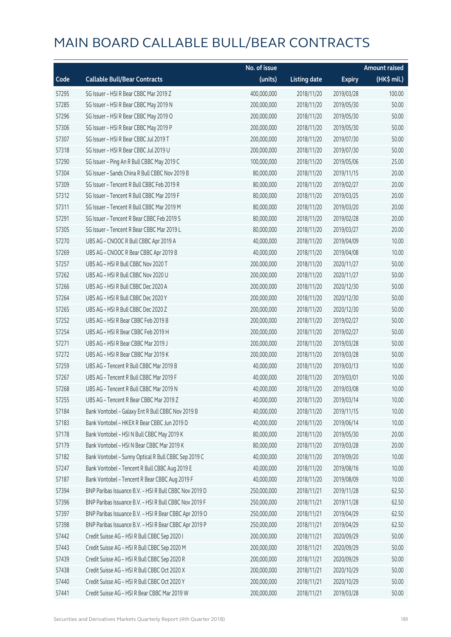|       |                                                        | No. of issue |                     |               | <b>Amount raised</b> |
|-------|--------------------------------------------------------|--------------|---------------------|---------------|----------------------|
| Code  | <b>Callable Bull/Bear Contracts</b>                    | (units)      | <b>Listing date</b> | <b>Expiry</b> | (HK\$ mil.)          |
| 57295 | SG Issuer - HSI R Bear CBBC Mar 2019 Z                 | 400,000,000  | 2018/11/20          | 2019/03/28    | 100.00               |
| 57285 | SG Issuer - HSI R Bear CBBC May 2019 N                 | 200,000,000  | 2018/11/20          | 2019/05/30    | 50.00                |
| 57296 | SG Issuer - HSI R Bear CBBC May 2019 O                 | 200,000,000  | 2018/11/20          | 2019/05/30    | 50.00                |
| 57306 | SG Issuer - HSI R Bear CBBC May 2019 P                 | 200,000,000  | 2018/11/20          | 2019/05/30    | 50.00                |
| 57307 | SG Issuer - HSI R Bear CBBC Jul 2019 T                 | 200,000,000  | 2018/11/20          | 2019/07/30    | 50.00                |
| 57318 | SG Issuer - HSI R Bear CBBC Jul 2019 U                 | 200,000,000  | 2018/11/20          | 2019/07/30    | 50.00                |
| 57290 | SG Issuer - Ping An R Bull CBBC May 2019 C             | 100,000,000  | 2018/11/20          | 2019/05/06    | 25.00                |
| 57304 | SG Issuer - Sands China R Bull CBBC Nov 2019 B         | 80,000,000   | 2018/11/20          | 2019/11/15    | 20.00                |
| 57309 | SG Issuer - Tencent R Bull CBBC Feb 2019 R             | 80,000,000   | 2018/11/20          | 2019/02/27    | 20.00                |
| 57312 | SG Issuer - Tencent R Bull CBBC Mar 2019 F             | 80,000,000   | 2018/11/20          | 2019/03/25    | 20.00                |
| 57311 | SG Issuer - Tencent R Bull CBBC Mar 2019 M             | 80,000,000   | 2018/11/20          | 2019/03/20    | 20.00                |
| 57291 | SG Issuer - Tencent R Bear CBBC Feb 2019 S             | 80,000,000   | 2018/11/20          | 2019/02/28    | 20.00                |
| 57305 | SG Issuer - Tencent R Bear CBBC Mar 2019 L             | 80,000,000   | 2018/11/20          | 2019/03/27    | 20.00                |
| 57270 | UBS AG - CNOOC R Bull CBBC Apr 2019 A                  | 40,000,000   | 2018/11/20          | 2019/04/09    | 10.00                |
| 57269 | UBS AG - CNOOC R Bear CBBC Apr 2019 B                  | 40,000,000   | 2018/11/20          | 2019/04/08    | 10.00                |
| 57257 | UBS AG - HSI R Bull CBBC Nov 2020 T                    | 200,000,000  | 2018/11/20          | 2020/11/27    | 50.00                |
| 57262 | UBS AG - HSI R Bull CBBC Nov 2020 U                    | 200,000,000  | 2018/11/20          | 2020/11/27    | 50.00                |
| 57266 | UBS AG - HSI R Bull CBBC Dec 2020 A                    | 200,000,000  | 2018/11/20          | 2020/12/30    | 50.00                |
| 57264 | UBS AG - HSI R Bull CBBC Dec 2020 Y                    | 200,000,000  | 2018/11/20          | 2020/12/30    | 50.00                |
| 57265 | UBS AG - HSI R Bull CBBC Dec 2020 Z                    | 200,000,000  | 2018/11/20          | 2020/12/30    | 50.00                |
| 57252 | UBS AG - HSI R Bear CBBC Feb 2019 B                    | 200,000,000  | 2018/11/20          | 2019/02/27    | 50.00                |
| 57254 | UBS AG - HSI R Bear CBBC Feb 2019 H                    | 200,000,000  | 2018/11/20          | 2019/02/27    | 50.00                |
| 57271 | UBS AG - HSI R Bear CBBC Mar 2019 J                    | 200,000,000  | 2018/11/20          | 2019/03/28    | 50.00                |
| 57272 | UBS AG - HSI R Bear CBBC Mar 2019 K                    | 200,000,000  | 2018/11/20          | 2019/03/28    | 50.00                |
| 57259 | UBS AG - Tencent R Bull CBBC Mar 2019 B                | 40,000,000   | 2018/11/20          | 2019/03/13    | 10.00                |
| 57267 | UBS AG - Tencent R Bull CBBC Mar 2019 F                | 40,000,000   | 2018/11/20          | 2019/03/01    | 10.00                |
| 57268 | UBS AG - Tencent R Bull CBBC Mar 2019 N                | 40,000,000   | 2018/11/20          | 2019/03/08    | 10.00                |
| 57255 | UBS AG – Tencent R Bear CBBC Mar 2019 Z                | 40,000,000   | 2018/11/20          | 2019/03/14    | 10.00                |
| 57184 | Bank Vontobel - Galaxy Ent R Bull CBBC Nov 2019 B      | 40,000,000   | 2018/11/20          | 2019/11/15    | 10.00                |
| 57183 | Bank Vontobel - HKEX R Bear CBBC Jun 2019 D            | 40,000,000   | 2018/11/20          | 2019/06/14    | 10.00                |
| 57178 | Bank Vontobel - HSI N Bull CBBC May 2019 K             | 80,000,000   | 2018/11/20          | 2019/05/30    | 20.00                |
| 57179 | Bank Vontobel - HSI N Bear CBBC Mar 2019 K             | 80,000,000   | 2018/11/20          | 2019/03/28    | 20.00                |
| 57182 | Bank Vontobel - Sunny Optical R Bull CBBC Sep 2019 C   | 40,000,000   | 2018/11/20          | 2019/09/20    | 10.00                |
| 57247 | Bank Vontobel - Tencent R Bull CBBC Aug 2019 E         | 40,000,000   | 2018/11/20          | 2019/08/16    | 10.00                |
| 57187 | Bank Vontobel - Tencent R Bear CBBC Aug 2019 F         | 40,000,000   | 2018/11/20          | 2019/08/09    | 10.00                |
| 57394 | BNP Paribas Issuance B.V. - HSI R Bull CBBC Nov 2019 D | 250,000,000  | 2018/11/21          | 2019/11/28    | 62.50                |
| 57396 | BNP Paribas Issuance B.V. - HSI R Bull CBBC Nov 2019 F | 250,000,000  | 2018/11/21          | 2019/11/28    | 62.50                |
| 57397 | BNP Paribas Issuance B.V. - HSI R Bear CBBC Apr 2019 O | 250,000,000  | 2018/11/21          | 2019/04/29    | 62.50                |
| 57398 | BNP Paribas Issuance B.V. - HSI R Bear CBBC Apr 2019 P | 250,000,000  | 2018/11/21          | 2019/04/29    | 62.50                |
| 57442 | Credit Suisse AG - HSI R Bull CBBC Sep 2020 I          | 200,000,000  | 2018/11/21          | 2020/09/29    | 50.00                |
| 57443 | Credit Suisse AG - HSI R Bull CBBC Sep 2020 M          | 200,000,000  | 2018/11/21          | 2020/09/29    | 50.00                |
| 57439 | Credit Suisse AG - HSI R Bull CBBC Sep 2020 R          | 200,000,000  | 2018/11/21          | 2020/09/29    | 50.00                |
| 57438 | Credit Suisse AG - HSI R Bull CBBC Oct 2020 X          | 200,000,000  | 2018/11/21          | 2020/10/29    | 50.00                |
| 57440 | Credit Suisse AG - HSI R Bull CBBC Oct 2020 Y          | 200,000,000  | 2018/11/21          | 2020/10/29    | 50.00                |
| 57441 | Credit Suisse AG - HSI R Bear CBBC Mar 2019 W          | 200,000,000  | 2018/11/21          | 2019/03/28    | 50.00                |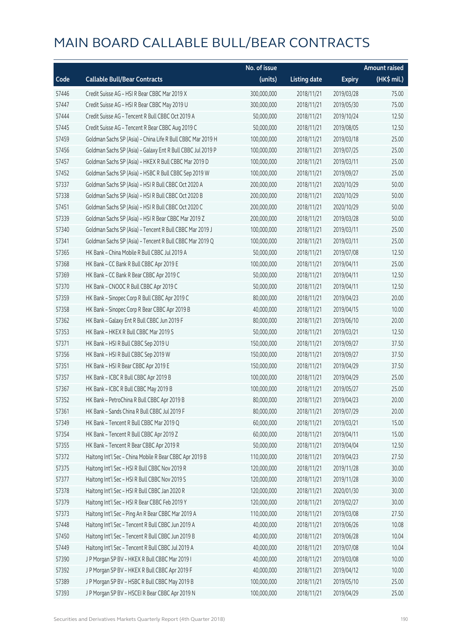|       |                                                             | No. of issue |                     |               | <b>Amount raised</b> |
|-------|-------------------------------------------------------------|--------------|---------------------|---------------|----------------------|
| Code  | <b>Callable Bull/Bear Contracts</b>                         | (units)      | <b>Listing date</b> | <b>Expiry</b> | (HK\$ mil.)          |
| 57446 | Credit Suisse AG - HSI R Bear CBBC Mar 2019 X               | 300,000,000  | 2018/11/21          | 2019/03/28    | 75.00                |
| 57447 | Credit Suisse AG - HSI R Bear CBBC May 2019 U               | 300,000,000  | 2018/11/21          | 2019/05/30    | 75.00                |
| 57444 | Credit Suisse AG - Tencent R Bull CBBC Oct 2019 A           | 50,000,000   | 2018/11/21          | 2019/10/24    | 12.50                |
| 57445 | Credit Suisse AG - Tencent R Bear CBBC Aug 2019 C           | 50,000,000   | 2018/11/21          | 2019/08/05    | 12.50                |
| 57459 | Goldman Sachs SP (Asia) - China Life R Bull CBBC Mar 2019 H | 100,000,000  | 2018/11/21          | 2019/03/18    | 25.00                |
| 57456 | Goldman Sachs SP (Asia) - Galaxy Ent R Bull CBBC Jul 2019 P | 100,000,000  | 2018/11/21          | 2019/07/25    | 25.00                |
| 57457 | Goldman Sachs SP (Asia) - HKEX R Bull CBBC Mar 2019 D       | 100,000,000  | 2018/11/21          | 2019/03/11    | 25.00                |
| 57452 | Goldman Sachs SP (Asia) - HSBC R Bull CBBC Sep 2019 W       | 100,000,000  | 2018/11/21          | 2019/09/27    | 25.00                |
| 57337 | Goldman Sachs SP (Asia) - HSI R Bull CBBC Oct 2020 A        | 200,000,000  | 2018/11/21          | 2020/10/29    | 50.00                |
| 57338 | Goldman Sachs SP (Asia) - HSI R Bull CBBC Oct 2020 B        | 200,000,000  | 2018/11/21          | 2020/10/29    | 50.00                |
| 57451 | Goldman Sachs SP (Asia) - HSI R Bull CBBC Oct 2020 C        | 200,000,000  | 2018/11/21          | 2020/10/29    | 50.00                |
| 57339 | Goldman Sachs SP (Asia) - HSI R Bear CBBC Mar 2019 Z        | 200,000,000  | 2018/11/21          | 2019/03/28    | 50.00                |
| 57340 | Goldman Sachs SP (Asia) - Tencent R Bull CBBC Mar 2019 J    | 100,000,000  | 2018/11/21          | 2019/03/11    | 25.00                |
| 57341 | Goldman Sachs SP (Asia) - Tencent R Bull CBBC Mar 2019 Q    | 100,000,000  | 2018/11/21          | 2019/03/11    | 25.00                |
| 57365 | HK Bank - China Mobile R Bull CBBC Jul 2019 A               | 50,000,000   | 2018/11/21          | 2019/07/08    | 12.50                |
| 57368 | HK Bank - CC Bank R Bull CBBC Apr 2019 E                    | 100,000,000  | 2018/11/21          | 2019/04/11    | 25.00                |
| 57369 | HK Bank - CC Bank R Bear CBBC Apr 2019 C                    | 50,000,000   | 2018/11/21          | 2019/04/11    | 12.50                |
| 57370 | HK Bank - CNOOC R Bull CBBC Apr 2019 C                      | 50,000,000   | 2018/11/21          | 2019/04/11    | 12.50                |
| 57359 | HK Bank - Sinopec Corp R Bull CBBC Apr 2019 C               | 80,000,000   | 2018/11/21          | 2019/04/23    | 20.00                |
| 57358 | HK Bank - Sinopec Corp R Bear CBBC Apr 2019 B               | 40,000,000   | 2018/11/21          | 2019/04/15    | 10.00                |
| 57362 | HK Bank - Galaxy Ent R Bull CBBC Jun 2019 F                 | 80,000,000   | 2018/11/21          | 2019/06/10    | 20.00                |
| 57353 | HK Bank - HKEX R Bull CBBC Mar 2019 S                       | 50,000,000   | 2018/11/21          | 2019/03/21    | 12.50                |
| 57371 | HK Bank - HSI R Bull CBBC Sep 2019 U                        | 150,000,000  | 2018/11/21          | 2019/09/27    | 37.50                |
| 57356 | HK Bank - HSI R Bull CBBC Sep 2019 W                        | 150,000,000  | 2018/11/21          | 2019/09/27    | 37.50                |
| 57351 | HK Bank - HSI R Bear CBBC Apr 2019 E                        | 150,000,000  | 2018/11/21          | 2019/04/29    | 37.50                |
| 57357 | HK Bank - ICBC R Bull CBBC Apr 2019 B                       | 100,000,000  | 2018/11/21          | 2019/04/29    | 25.00                |
| 57367 | HK Bank - ICBC R Bull CBBC May 2019 B                       | 100,000,000  | 2018/11/21          | 2019/05/27    | 25.00                |
| 57352 | HK Bank - PetroChina R Bull CBBC Apr 2019 B                 | 80,000,000   | 2018/11/21          | 2019/04/23    | 20.00                |
| 57361 | HK Bank - Sands China R Bull CBBC Jul 2019 F                | 80,000,000   | 2018/11/21          | 2019/07/29    | 20.00                |
| 57349 | HK Bank - Tencent R Bull CBBC Mar 2019 Q                    | 60,000,000   | 2018/11/21          | 2019/03/21    | 15.00                |
| 57354 | HK Bank - Tencent R Bull CBBC Apr 2019 Z                    | 60,000,000   | 2018/11/21          | 2019/04/11    | 15.00                |
| 57355 | HK Bank - Tencent R Bear CBBC Apr 2019 R                    | 50,000,000   | 2018/11/21          | 2019/04/04    | 12.50                |
| 57372 | Haitong Int'l Sec - China Mobile R Bear CBBC Apr 2019 B     | 110,000,000  | 2018/11/21          | 2019/04/23    | 27.50                |
| 57375 | Haitong Int'l Sec - HSI R Bull CBBC Nov 2019 R              | 120,000,000  | 2018/11/21          | 2019/11/28    | 30.00                |
| 57377 | Haitong Int'l Sec - HSI R Bull CBBC Nov 2019 S              | 120,000,000  | 2018/11/21          | 2019/11/28    | 30.00                |
| 57378 | Haitong Int'l Sec - HSI R Bull CBBC Jan 2020 R              | 120,000,000  | 2018/11/21          | 2020/01/30    | 30.00                |
| 57379 | Haitong Int'l Sec - HSI R Bear CBBC Feb 2019 Y              | 120,000,000  | 2018/11/21          | 2019/02/27    | 30.00                |
| 57373 | Haitong Int'l Sec - Ping An R Bear CBBC Mar 2019 A          | 110,000,000  | 2018/11/21          | 2019/03/08    | 27.50                |
| 57448 | Haitong Int'l Sec - Tencent R Bull CBBC Jun 2019 A          | 40,000,000   | 2018/11/21          | 2019/06/26    | 10.08                |
| 57450 | Haitong Int'l Sec - Tencent R Bull CBBC Jun 2019 B          | 40,000,000   | 2018/11/21          | 2019/06/28    | 10.04                |
| 57449 | Haitong Int'l Sec - Tencent R Bull CBBC Jul 2019 A          | 40,000,000   | 2018/11/21          | 2019/07/08    | 10.04                |
| 57390 | J P Morgan SP BV - HKEX R Bull CBBC Mar 2019 I              | 40,000,000   | 2018/11/21          | 2019/03/08    | 10.00                |
| 57392 | J P Morgan SP BV - HKEX R Bull CBBC Apr 2019 F              | 40,000,000   | 2018/11/21          | 2019/04/12    | 10.00                |
| 57389 | J P Morgan SP BV - HSBC R Bull CBBC May 2019 B              | 100,000,000  | 2018/11/21          | 2019/05/10    | 25.00                |
| 57393 | J P Morgan SP BV - HSCEI R Bear CBBC Apr 2019 N             | 100,000,000  | 2018/11/21          | 2019/04/29    | 25.00                |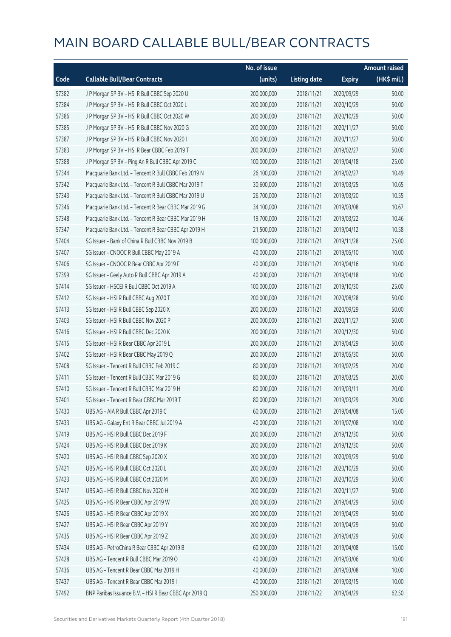|       |                                                        | No. of issue |                     |               | <b>Amount raised</b> |
|-------|--------------------------------------------------------|--------------|---------------------|---------------|----------------------|
| Code  | <b>Callable Bull/Bear Contracts</b>                    | (units)      | <b>Listing date</b> | <b>Expiry</b> | (HK\$ mil.)          |
| 57382 | J P Morgan SP BV - HSI R Bull CBBC Sep 2020 U          | 200,000,000  | 2018/11/21          | 2020/09/29    | 50.00                |
| 57384 | J P Morgan SP BV - HSI R Bull CBBC Oct 2020 L          | 200,000,000  | 2018/11/21          | 2020/10/29    | 50.00                |
| 57386 | J P Morgan SP BV - HSI R Bull CBBC Oct 2020 W          | 200,000,000  | 2018/11/21          | 2020/10/29    | 50.00                |
| 57385 | J P Morgan SP BV - HSI R Bull CBBC Nov 2020 G          | 200,000,000  | 2018/11/21          | 2020/11/27    | 50.00                |
| 57387 | J P Morgan SP BV - HSI R Bull CBBC Nov 2020 I          | 200,000,000  | 2018/11/21          | 2020/11/27    | 50.00                |
| 57383 | J P Morgan SP BV - HSI R Bear CBBC Feb 2019 T          | 200,000,000  | 2018/11/21          | 2019/02/27    | 50.00                |
| 57388 | J P Morgan SP BV - Ping An R Bull CBBC Apr 2019 C      | 100,000,000  | 2018/11/21          | 2019/04/18    | 25.00                |
| 57344 | Macquarie Bank Ltd. - Tencent R Bull CBBC Feb 2019 N   | 26,100,000   | 2018/11/21          | 2019/02/27    | 10.49                |
| 57342 | Macquarie Bank Ltd. - Tencent R Bull CBBC Mar 2019 T   | 30,600,000   | 2018/11/21          | 2019/03/25    | 10.65                |
| 57343 | Macquarie Bank Ltd. - Tencent R Bull CBBC Mar 2019 U   | 26,700,000   | 2018/11/21          | 2019/03/20    | 10.55                |
| 57346 | Macquarie Bank Ltd. - Tencent R Bear CBBC Mar 2019 G   | 34,100,000   | 2018/11/21          | 2019/03/08    | 10.67                |
| 57348 | Macquarie Bank Ltd. - Tencent R Bear CBBC Mar 2019 H   | 19,700,000   | 2018/11/21          | 2019/03/22    | 10.46                |
| 57347 | Macquarie Bank Ltd. - Tencent R Bear CBBC Apr 2019 H   | 21,500,000   | 2018/11/21          | 2019/04/12    | 10.58                |
| 57404 | SG Issuer - Bank of China R Bull CBBC Nov 2019 B       | 100,000,000  | 2018/11/21          | 2019/11/28    | 25.00                |
| 57407 | SG Issuer - CNOOC R Bull CBBC May 2019 A               | 40,000,000   | 2018/11/21          | 2019/05/10    | 10.00                |
| 57406 | SG Issuer - CNOOC R Bear CBBC Apr 2019 F               | 40,000,000   | 2018/11/21          | 2019/04/16    | 10.00                |
| 57399 | SG Issuer - Geely Auto R Bull CBBC Apr 2019 A          | 40,000,000   | 2018/11/21          | 2019/04/18    | 10.00                |
| 57414 | SG Issuer - HSCEI R Bull CBBC Oct 2019 A               | 100,000,000  | 2018/11/21          | 2019/10/30    | 25.00                |
| 57412 | SG Issuer - HSI R Bull CBBC Aug 2020 T                 | 200,000,000  | 2018/11/21          | 2020/08/28    | 50.00                |
| 57413 | SG Issuer - HSI R Bull CBBC Sep 2020 X                 | 200,000,000  | 2018/11/21          | 2020/09/29    | 50.00                |
| 57403 | SG Issuer - HSI R Bull CBBC Nov 2020 P                 | 200,000,000  | 2018/11/21          | 2020/11/27    | 50.00                |
| 57416 | SG Issuer - HSI R Bull CBBC Dec 2020 K                 | 200,000,000  | 2018/11/21          | 2020/12/30    | 50.00                |
| 57415 | SG Issuer - HSI R Bear CBBC Apr 2019 L                 | 200,000,000  | 2018/11/21          | 2019/04/29    | 50.00                |
| 57402 | SG Issuer - HSI R Bear CBBC May 2019 Q                 | 200,000,000  | 2018/11/21          | 2019/05/30    | 50.00                |
| 57408 | SG Issuer - Tencent R Bull CBBC Feb 2019 C             | 80,000,000   | 2018/11/21          | 2019/02/25    | 20.00                |
| 57411 | SG Issuer - Tencent R Bull CBBC Mar 2019 G             | 80,000,000   | 2018/11/21          | 2019/03/25    | 20.00                |
| 57410 | SG Issuer - Tencent R Bull CBBC Mar 2019 H             | 80,000,000   | 2018/11/21          | 2019/03/11    | 20.00                |
| 57401 | SG Issuer - Tencent R Bear CBBC Mar 2019 T             | 80,000,000   | 2018/11/21          | 2019/03/29    | 20.00                |
| 57430 | UBS AG - AIA R Bull CBBC Apr 2019 C                    | 60,000,000   | 2018/11/21          | 2019/04/08    | 15.00                |
| 57433 | UBS AG - Galaxy Ent R Bear CBBC Jul 2019 A             | 40,000,000   | 2018/11/21          | 2019/07/08    | 10.00                |
| 57419 | UBS AG - HSI R Bull CBBC Dec 2019 F                    | 200,000,000  | 2018/11/21          | 2019/12/30    | 50.00                |
| 57424 | UBS AG - HSI R Bull CBBC Dec 2019 K                    | 200,000,000  | 2018/11/21          | 2019/12/30    | 50.00                |
| 57420 | UBS AG - HSI R Bull CBBC Sep 2020 X                    | 200,000,000  | 2018/11/21          | 2020/09/29    | 50.00                |
| 57421 | UBS AG - HSI R Bull CBBC Oct 2020 L                    | 200,000,000  | 2018/11/21          | 2020/10/29    | 50.00                |
| 57423 | UBS AG - HSI R Bull CBBC Oct 2020 M                    | 200,000,000  | 2018/11/21          | 2020/10/29    | 50.00                |
| 57417 | UBS AG - HSI R Bull CBBC Nov 2020 H                    | 200,000,000  | 2018/11/21          | 2020/11/27    | 50.00                |
| 57425 | UBS AG - HSI R Bear CBBC Apr 2019 W                    | 200,000,000  | 2018/11/21          | 2019/04/29    | 50.00                |
| 57426 | UBS AG - HSI R Bear CBBC Apr 2019 X                    | 200,000,000  | 2018/11/21          | 2019/04/29    | 50.00                |
| 57427 | UBS AG - HSI R Bear CBBC Apr 2019 Y                    | 200,000,000  | 2018/11/21          | 2019/04/29    | 50.00                |
| 57435 | UBS AG - HSI R Bear CBBC Apr 2019 Z                    | 200,000,000  | 2018/11/21          | 2019/04/29    | 50.00                |
| 57434 | UBS AG - PetroChina R Bear CBBC Apr 2019 B             | 60,000,000   | 2018/11/21          | 2019/04/08    | 15.00                |
| 57428 | UBS AG - Tencent R Bull CBBC Mar 2019 O                | 40,000,000   | 2018/11/21          | 2019/03/06    | 10.00                |
| 57436 | UBS AG - Tencent R Bear CBBC Mar 2019 H                | 40,000,000   | 2018/11/21          | 2019/03/08    | 10.00                |
| 57437 | UBS AG - Tencent R Bear CBBC Mar 2019 I                | 40,000,000   | 2018/11/21          | 2019/03/15    | 10.00                |
| 57492 | BNP Paribas Issuance B.V. - HSI R Bear CBBC Apr 2019 Q | 250,000,000  | 2018/11/22          | 2019/04/29    | 62.50                |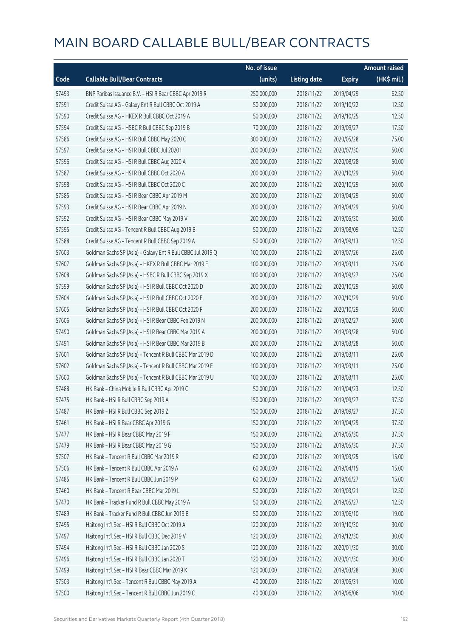|       |                                                             | No. of issue |                     |               | <b>Amount raised</b> |
|-------|-------------------------------------------------------------|--------------|---------------------|---------------|----------------------|
| Code  | <b>Callable Bull/Bear Contracts</b>                         | (units)      | <b>Listing date</b> | <b>Expiry</b> | (HK\$ mil.)          |
| 57493 | BNP Paribas Issuance B.V. - HSI R Bear CBBC Apr 2019 R      | 250,000,000  | 2018/11/22          | 2019/04/29    | 62.50                |
| 57591 | Credit Suisse AG - Galaxy Ent R Bull CBBC Oct 2019 A        | 50,000,000   | 2018/11/22          | 2019/10/22    | 12.50                |
| 57590 | Credit Suisse AG - HKEX R Bull CBBC Oct 2019 A              | 50,000,000   | 2018/11/22          | 2019/10/25    | 12.50                |
| 57594 | Credit Suisse AG - HSBC R Bull CBBC Sep 2019 B              | 70,000,000   | 2018/11/22          | 2019/09/27    | 17.50                |
| 57586 | Credit Suisse AG - HSI R Bull CBBC May 2020 C               | 300,000,000  | 2018/11/22          | 2020/05/28    | 75.00                |
| 57597 | Credit Suisse AG - HSI R Bull CBBC Jul 2020 I               | 200,000,000  | 2018/11/22          | 2020/07/30    | 50.00                |
| 57596 | Credit Suisse AG - HSI R Bull CBBC Aug 2020 A               | 200,000,000  | 2018/11/22          | 2020/08/28    | 50.00                |
| 57587 | Credit Suisse AG - HSI R Bull CBBC Oct 2020 A               | 200,000,000  | 2018/11/22          | 2020/10/29    | 50.00                |
| 57598 | Credit Suisse AG - HSI R Bull CBBC Oct 2020 C               | 200,000,000  | 2018/11/22          | 2020/10/29    | 50.00                |
| 57585 | Credit Suisse AG - HSI R Bear CBBC Apr 2019 M               | 200,000,000  | 2018/11/22          | 2019/04/29    | 50.00                |
| 57593 | Credit Suisse AG - HSI R Bear CBBC Apr 2019 N               | 200,000,000  | 2018/11/22          | 2019/04/29    | 50.00                |
| 57592 | Credit Suisse AG - HSI R Bear CBBC May 2019 V               | 200,000,000  | 2018/11/22          | 2019/05/30    | 50.00                |
| 57595 | Credit Suisse AG - Tencent R Bull CBBC Aug 2019 B           | 50,000,000   | 2018/11/22          | 2019/08/09    | 12.50                |
| 57588 | Credit Suisse AG - Tencent R Bull CBBC Sep 2019 A           | 50,000,000   | 2018/11/22          | 2019/09/13    | 12.50                |
| 57603 | Goldman Sachs SP (Asia) - Galaxy Ent R Bull CBBC Jul 2019 Q | 100,000,000  | 2018/11/22          | 2019/07/26    | 25.00                |
| 57607 | Goldman Sachs SP (Asia) - HKEX R Bull CBBC Mar 2019 E       | 100,000,000  | 2018/11/22          | 2019/03/11    | 25.00                |
| 57608 | Goldman Sachs SP (Asia) - HSBC R Bull CBBC Sep 2019 X       | 100,000,000  | 2018/11/22          | 2019/09/27    | 25.00                |
| 57599 | Goldman Sachs SP (Asia) - HSI R Bull CBBC Oct 2020 D        | 200,000,000  | 2018/11/22          | 2020/10/29    | 50.00                |
| 57604 | Goldman Sachs SP (Asia) - HSI R Bull CBBC Oct 2020 E        | 200,000,000  | 2018/11/22          | 2020/10/29    | 50.00                |
| 57605 | Goldman Sachs SP (Asia) - HSI R Bull CBBC Oct 2020 F        | 200,000,000  | 2018/11/22          | 2020/10/29    | 50.00                |
| 57606 | Goldman Sachs SP (Asia) - HSI R Bear CBBC Feb 2019 N        | 200,000,000  | 2018/11/22          | 2019/02/27    | 50.00                |
| 57490 | Goldman Sachs SP (Asia) - HSI R Bear CBBC Mar 2019 A        | 200,000,000  | 2018/11/22          | 2019/03/28    | 50.00                |
| 57491 | Goldman Sachs SP (Asia) - HSI R Bear CBBC Mar 2019 B        | 200,000,000  | 2018/11/22          | 2019/03/28    | 50.00                |
| 57601 | Goldman Sachs SP (Asia) - Tencent R Bull CBBC Mar 2019 D    | 100,000,000  | 2018/11/22          | 2019/03/11    | 25.00                |
| 57602 | Goldman Sachs SP (Asia) - Tencent R Bull CBBC Mar 2019 E    | 100,000,000  | 2018/11/22          | 2019/03/11    | 25.00                |
| 57600 | Goldman Sachs SP (Asia) - Tencent R Bull CBBC Mar 2019 U    | 100,000,000  | 2018/11/22          | 2019/03/11    | 25.00                |
| 57488 | HK Bank - China Mobile R Bull CBBC Apr 2019 C               | 50,000,000   | 2018/11/22          | 2019/04/23    | 12.50                |
| 57475 | HK Bank - HSI R Bull CBBC Sep 2019 A                        | 150,000,000  | 2018/11/22          | 2019/09/27    | 37.50                |
| 57487 | HK Bank - HSI R Bull CBBC Sep 2019 Z                        | 150,000,000  | 2018/11/22          | 2019/09/27    | 37.50                |
| 57461 | HK Bank - HSI R Bear CBBC Apr 2019 G                        | 150,000,000  | 2018/11/22          | 2019/04/29    | 37.50                |
| 57477 | HK Bank - HSI R Bear CBBC May 2019 F                        | 150,000,000  | 2018/11/22          | 2019/05/30    | 37.50                |
| 57479 | HK Bank - HSI R Bear CBBC May 2019 G                        | 150,000,000  | 2018/11/22          | 2019/05/30    | 37.50                |
| 57507 | HK Bank - Tencent R Bull CBBC Mar 2019 R                    | 60,000,000   | 2018/11/22          | 2019/03/25    | 15.00                |
| 57506 | HK Bank - Tencent R Bull CBBC Apr 2019 A                    | 60,000,000   | 2018/11/22          | 2019/04/15    | 15.00                |
| 57485 | HK Bank - Tencent R Bull CBBC Jun 2019 P                    | 60,000,000   | 2018/11/22          | 2019/06/27    | 15.00                |
| 57460 | HK Bank - Tencent R Bear CBBC Mar 2019 L                    | 50,000,000   | 2018/11/22          | 2019/03/21    | 12.50                |
| 57470 | HK Bank - Tracker Fund R Bull CBBC May 2019 A               | 50,000,000   | 2018/11/22          | 2019/05/27    | 12.50                |
| 57489 | HK Bank - Tracker Fund R Bull CBBC Jun 2019 B               | 50,000,000   | 2018/11/22          | 2019/06/10    | 19.00                |
| 57495 | Haitong Int'l Sec - HSI R Bull CBBC Oct 2019 A              | 120,000,000  | 2018/11/22          | 2019/10/30    | 30.00                |
| 57497 | Haitong Int'l Sec - HSI R Bull CBBC Dec 2019 V              | 120,000,000  | 2018/11/22          | 2019/12/30    | 30.00                |
| 57494 | Haitong Int'l Sec - HSI R Bull CBBC Jan 2020 S              | 120,000,000  | 2018/11/22          | 2020/01/30    | 30.00                |
| 57496 | Haitong Int'l Sec - HSI R Bull CBBC Jan 2020 T              | 120,000,000  | 2018/11/22          | 2020/01/30    | 30.00                |
| 57499 | Haitong Int'l Sec - HSI R Bear CBBC Mar 2019 K              | 120,000,000  | 2018/11/22          | 2019/03/28    | 30.00                |
| 57503 | Haitong Int'l Sec - Tencent R Bull CBBC May 2019 A          | 40,000,000   | 2018/11/22          | 2019/05/31    | 10.00                |
| 57500 | Haitong Int'l Sec - Tencent R Bull CBBC Jun 2019 C          | 40,000,000   | 2018/11/22          | 2019/06/06    | 10.00                |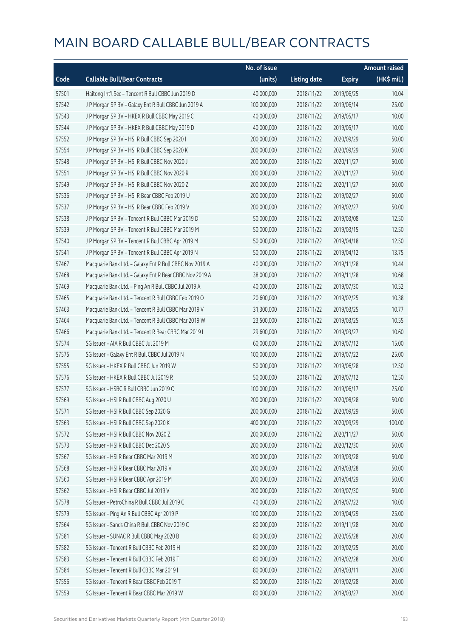|       |                                                         | No. of issue |                     |               | <b>Amount raised</b> |
|-------|---------------------------------------------------------|--------------|---------------------|---------------|----------------------|
| Code  | <b>Callable Bull/Bear Contracts</b>                     | (units)      | <b>Listing date</b> | <b>Expiry</b> | (HK\$ mil.)          |
| 57501 | Haitong Int'l Sec - Tencent R Bull CBBC Jun 2019 D      | 40,000,000   | 2018/11/22          | 2019/06/25    | 10.04                |
| 57542 | J P Morgan SP BV - Galaxy Ent R Bull CBBC Jun 2019 A    | 100,000,000  | 2018/11/22          | 2019/06/14    | 25.00                |
| 57543 | J P Morgan SP BV - HKEX R Bull CBBC May 2019 C          | 40,000,000   | 2018/11/22          | 2019/05/17    | 10.00                |
| 57544 | J P Morgan SP BV - HKEX R Bull CBBC May 2019 D          | 40,000,000   | 2018/11/22          | 2019/05/17    | 10.00                |
| 57552 | J P Morgan SP BV - HSI R Bull CBBC Sep 2020 I           | 200,000,000  | 2018/11/22          | 2020/09/29    | 50.00                |
| 57554 | J P Morgan SP BV - HSI R Bull CBBC Sep 2020 K           | 200,000,000  | 2018/11/22          | 2020/09/29    | 50.00                |
| 57548 | J P Morgan SP BV - HSI R Bull CBBC Nov 2020 J           | 200,000,000  | 2018/11/22          | 2020/11/27    | 50.00                |
| 57551 | J P Morgan SP BV - HSI R Bull CBBC Nov 2020 R           | 200,000,000  | 2018/11/22          | 2020/11/27    | 50.00                |
| 57549 | J P Morgan SP BV - HSI R Bull CBBC Nov 2020 Z           | 200,000,000  | 2018/11/22          | 2020/11/27    | 50.00                |
| 57536 | J P Morgan SP BV - HSI R Bear CBBC Feb 2019 U           | 200,000,000  | 2018/11/22          | 2019/02/27    | 50.00                |
| 57537 | J P Morgan SP BV - HSI R Bear CBBC Feb 2019 V           | 200,000,000  | 2018/11/22          | 2019/02/27    | 50.00                |
| 57538 | J P Morgan SP BV - Tencent R Bull CBBC Mar 2019 D       | 50,000,000   | 2018/11/22          | 2019/03/08    | 12.50                |
| 57539 | J P Morgan SP BV - Tencent R Bull CBBC Mar 2019 M       | 50,000,000   | 2018/11/22          | 2019/03/15    | 12.50                |
| 57540 | J P Morgan SP BV - Tencent R Bull CBBC Apr 2019 M       | 50,000,000   | 2018/11/22          | 2019/04/18    | 12.50                |
| 57541 | J P Morgan SP BV - Tencent R Bull CBBC Apr 2019 N       | 50,000,000   | 2018/11/22          | 2019/04/12    | 13.75                |
| 57467 | Macquarie Bank Ltd. - Galaxy Ent R Bull CBBC Nov 2019 A | 40,000,000   | 2018/11/22          | 2019/11/28    | 10.44                |
| 57468 | Macquarie Bank Ltd. - Galaxy Ent R Bear CBBC Nov 2019 A | 38,000,000   | 2018/11/22          | 2019/11/28    | 10.68                |
| 57469 | Macquarie Bank Ltd. - Ping An R Bull CBBC Jul 2019 A    | 40,000,000   | 2018/11/22          | 2019/07/30    | 10.52                |
| 57465 | Macquarie Bank Ltd. - Tencent R Bull CBBC Feb 2019 O    | 20,600,000   | 2018/11/22          | 2019/02/25    | 10.38                |
| 57463 | Macquarie Bank Ltd. - Tencent R Bull CBBC Mar 2019 V    | 31,300,000   | 2018/11/22          | 2019/03/25    | 10.77                |
| 57464 | Macquarie Bank Ltd. - Tencent R Bull CBBC Mar 2019 W    | 23,500,000   | 2018/11/22          | 2019/03/25    | 10.55                |
| 57466 | Macquarie Bank Ltd. - Tencent R Bear CBBC Mar 2019 I    | 29,600,000   | 2018/11/22          | 2019/03/27    | 10.60                |
| 57574 | SG Issuer - AIA R Bull CBBC Jul 2019 M                  | 60,000,000   | 2018/11/22          | 2019/07/12    | 15.00                |
| 57575 | SG Issuer - Galaxy Ent R Bull CBBC Jul 2019 N           | 100,000,000  | 2018/11/22          | 2019/07/22    | 25.00                |
| 57555 | SG Issuer - HKEX R Bull CBBC Jun 2019 W                 | 50,000,000   | 2018/11/22          | 2019/06/28    | 12.50                |
| 57576 | SG Issuer - HKEX R Bull CBBC Jul 2019 R                 | 50,000,000   | 2018/11/22          | 2019/07/12    | 12.50                |
| 57577 | SG Issuer - HSBC R Bull CBBC Jun 2019 O                 | 100,000,000  | 2018/11/22          | 2019/06/17    | 25.00                |
| 57569 | SG Issuer - HSI R Bull CBBC Aug 2020 U                  | 200,000,000  | 2018/11/22          | 2020/08/28    | 50.00                |
| 57571 | SG Issuer - HSI R Bull CBBC Sep 2020 G                  | 200,000,000  | 2018/11/22          | 2020/09/29    | 50.00                |
| 57563 | SG Issuer - HSI R Bull CBBC Sep 2020 K                  | 400,000,000  | 2018/11/22          | 2020/09/29    | 100.00               |
| 57572 | SG Issuer - HSI R Bull CBBC Nov 2020 Z                  | 200,000,000  | 2018/11/22          | 2020/11/27    | 50.00                |
| 57573 | SG Issuer - HSI R Bull CBBC Dec 2020 S                  | 200,000,000  | 2018/11/22          | 2020/12/30    | 50.00                |
| 57567 | SG Issuer - HSI R Bear CBBC Mar 2019 M                  | 200,000,000  | 2018/11/22          | 2019/03/28    | 50.00                |
| 57568 | SG Issuer - HSI R Bear CBBC Mar 2019 V                  | 200,000,000  | 2018/11/22          | 2019/03/28    | 50.00                |
| 57560 | SG Issuer - HSI R Bear CBBC Apr 2019 M                  | 200,000,000  | 2018/11/22          | 2019/04/29    | 50.00                |
| 57562 | SG Issuer - HSI R Bear CBBC Jul 2019 V                  | 200,000,000  | 2018/11/22          | 2019/07/30    | 50.00                |
| 57578 | SG Issuer - PetroChina R Bull CBBC Jul 2019 C           | 40,000,000   | 2018/11/22          | 2019/07/22    | 10.00                |
| 57579 | SG Issuer - Ping An R Bull CBBC Apr 2019 P              | 100,000,000  | 2018/11/22          | 2019/04/29    | 25.00                |
| 57564 | SG Issuer - Sands China R Bull CBBC Nov 2019 C          | 80,000,000   | 2018/11/22          | 2019/11/28    | 20.00                |
| 57581 | SG Issuer - SUNAC R Bull CBBC May 2020 B                | 80,000,000   | 2018/11/22          | 2020/05/28    | 20.00                |
| 57582 | SG Issuer - Tencent R Bull CBBC Feb 2019 H              | 80,000,000   | 2018/11/22          | 2019/02/25    | 20.00                |
| 57583 | SG Issuer - Tencent R Bull CBBC Feb 2019 T              | 80,000,000   | 2018/11/22          | 2019/02/28    | 20.00                |
| 57584 | SG Issuer - Tencent R Bull CBBC Mar 2019 I              | 80,000,000   | 2018/11/22          | 2019/03/11    | 20.00                |
| 57556 | SG Issuer - Tencent R Bear CBBC Feb 2019 T              | 80,000,000   | 2018/11/22          | 2019/02/28    | 20.00                |
| 57559 | SG Issuer - Tencent R Bear CBBC Mar 2019 W              | 80,000,000   | 2018/11/22          | 2019/03/27    | 20.00                |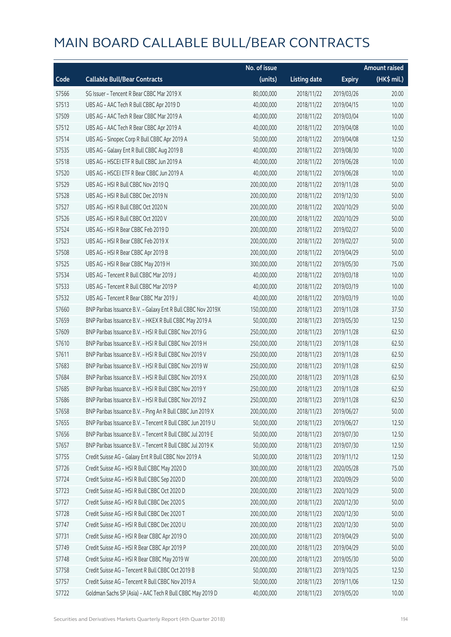|       |                                                              | No. of issue |                     |               | <b>Amount raised</b> |
|-------|--------------------------------------------------------------|--------------|---------------------|---------------|----------------------|
| Code  | <b>Callable Bull/Bear Contracts</b>                          | (units)      | <b>Listing date</b> | <b>Expiry</b> | (HK\$ mil.)          |
| 57566 | SG Issuer - Tencent R Bear CBBC Mar 2019 X                   | 80,000,000   | 2018/11/22          | 2019/03/26    | 20.00                |
| 57513 | UBS AG - AAC Tech R Bull CBBC Apr 2019 D                     | 40,000,000   | 2018/11/22          | 2019/04/15    | 10.00                |
| 57509 | UBS AG - AAC Tech R Bear CBBC Mar 2019 A                     | 40,000,000   | 2018/11/22          | 2019/03/04    | 10.00                |
| 57512 | UBS AG - AAC Tech R Bear CBBC Apr 2019 A                     | 40,000,000   | 2018/11/22          | 2019/04/08    | 10.00                |
| 57514 | UBS AG - Sinopec Corp R Bull CBBC Apr 2019 A                 | 50,000,000   | 2018/11/22          | 2019/04/08    | 12.50                |
| 57535 | UBS AG - Galaxy Ent R Bull CBBC Aug 2019 B                   | 40,000,000   | 2018/11/22          | 2019/08/30    | 10.00                |
| 57518 | UBS AG - HSCEI ETF R Bull CBBC Jun 2019 A                    | 40,000,000   | 2018/11/22          | 2019/06/28    | 10.00                |
| 57520 | UBS AG - HSCEI ETF R Bear CBBC Jun 2019 A                    | 40,000,000   | 2018/11/22          | 2019/06/28    | 10.00                |
| 57529 | UBS AG - HSI R Bull CBBC Nov 2019 Q                          | 200,000,000  | 2018/11/22          | 2019/11/28    | 50.00                |
| 57528 | UBS AG - HSI R Bull CBBC Dec 2019 N                          | 200,000,000  | 2018/11/22          | 2019/12/30    | 50.00                |
| 57527 | UBS AG - HSI R Bull CBBC Oct 2020 N                          | 200,000,000  | 2018/11/22          | 2020/10/29    | 50.00                |
| 57526 | UBS AG - HSI R Bull CBBC Oct 2020 V                          | 200,000,000  | 2018/11/22          | 2020/10/29    | 50.00                |
| 57524 | UBS AG - HSI R Bear CBBC Feb 2019 D                          | 200,000,000  | 2018/11/22          | 2019/02/27    | 50.00                |
| 57523 | UBS AG - HSI R Bear CBBC Feb 2019 X                          | 200,000,000  | 2018/11/22          | 2019/02/27    | 50.00                |
| 57508 | UBS AG - HSI R Bear CBBC Apr 2019 B                          | 200,000,000  | 2018/11/22          | 2019/04/29    | 50.00                |
| 57525 | UBS AG - HSI R Bear CBBC May 2019 H                          | 300,000,000  | 2018/11/22          | 2019/05/30    | 75.00                |
| 57534 | UBS AG - Tencent R Bull CBBC Mar 2019 J                      | 40,000,000   | 2018/11/22          | 2019/03/18    | 10.00                |
| 57533 | UBS AG - Tencent R Bull CBBC Mar 2019 P                      | 40,000,000   | 2018/11/22          | 2019/03/19    | 10.00                |
| 57532 | UBS AG - Tencent R Bear CBBC Mar 2019 J                      | 40,000,000   | 2018/11/22          | 2019/03/19    | 10.00                |
| 57660 | BNP Paribas Issuance B.V. - Galaxy Ent R Bull CBBC Nov 2019X | 150,000,000  | 2018/11/23          | 2019/11/28    | 37.50                |
| 57659 | BNP Paribas Issuance B.V. - HKEX R Bull CBBC May 2019 A      | 50,000,000   | 2018/11/23          | 2019/05/30    | 12.50                |
| 57609 | BNP Paribas Issuance B.V. - HSI R Bull CBBC Nov 2019 G       | 250,000,000  | 2018/11/23          | 2019/11/28    | 62.50                |
| 57610 | BNP Paribas Issuance B.V. - HSI R Bull CBBC Nov 2019 H       | 250,000,000  | 2018/11/23          | 2019/11/28    | 62.50                |
| 57611 | BNP Paribas Issuance B.V. - HSI R Bull CBBC Nov 2019 V       | 250,000,000  | 2018/11/23          | 2019/11/28    | 62.50                |
| 57683 | BNP Paribas Issuance B.V. - HSI R Bull CBBC Nov 2019 W       | 250,000,000  | 2018/11/23          | 2019/11/28    | 62.50                |
| 57684 | BNP Paribas Issuance B.V. - HSI R Bull CBBC Nov 2019 X       | 250,000,000  | 2018/11/23          | 2019/11/28    | 62.50                |
| 57685 | BNP Paribas Issuance B.V. - HSI R Bull CBBC Nov 2019 Y       | 250,000,000  | 2018/11/23          | 2019/11/28    | 62.50                |
| 57686 | BNP Paribas Issuance B.V. - HSI R Bull CBBC Nov 2019 Z       | 250,000,000  | 2018/11/23          | 2019/11/28    | 62.50                |
| 57658 | BNP Paribas Issuance B.V. - Ping An R Bull CBBC Jun 2019 X   | 200,000,000  | 2018/11/23          | 2019/06/27    | 50.00                |
| 57655 | BNP Paribas Issuance B.V. - Tencent R Bull CBBC Jun 2019 U   | 50,000,000   | 2018/11/23          | 2019/06/27    | 12.50                |
| 57656 | BNP Paribas Issuance B.V. - Tencent R Bull CBBC Jul 2019 E   | 50,000,000   | 2018/11/23          | 2019/07/30    | 12.50                |
| 57657 | BNP Paribas Issuance B.V. - Tencent R Bull CBBC Jul 2019 K   | 50,000,000   | 2018/11/23          | 2019/07/30    | 12.50                |
| 57755 | Credit Suisse AG - Galaxy Ent R Bull CBBC Nov 2019 A         | 50,000,000   | 2018/11/23          | 2019/11/12    | 12.50                |
| 57726 | Credit Suisse AG - HSI R Bull CBBC May 2020 D                | 300,000,000  | 2018/11/23          | 2020/05/28    | 75.00                |
| 57724 | Credit Suisse AG - HSI R Bull CBBC Sep 2020 D                | 200,000,000  | 2018/11/23          | 2020/09/29    | 50.00                |
| 57723 | Credit Suisse AG - HSI R Bull CBBC Oct 2020 D                | 200,000,000  | 2018/11/23          | 2020/10/29    | 50.00                |
| 57727 | Credit Suisse AG - HSI R Bull CBBC Dec 2020 S                | 200,000,000  | 2018/11/23          | 2020/12/30    | 50.00                |
| 57728 | Credit Suisse AG - HSI R Bull CBBC Dec 2020 T                | 200,000,000  | 2018/11/23          | 2020/12/30    | 50.00                |
| 57747 | Credit Suisse AG - HSI R Bull CBBC Dec 2020 U                | 200,000,000  | 2018/11/23          | 2020/12/30    | 50.00                |
| 57731 | Credit Suisse AG - HSI R Bear CBBC Apr 2019 O                | 200,000,000  | 2018/11/23          | 2019/04/29    | 50.00                |
| 57749 | Credit Suisse AG - HSI R Bear CBBC Apr 2019 P                | 200,000,000  | 2018/11/23          | 2019/04/29    | 50.00                |
| 57748 | Credit Suisse AG - HSI R Bear CBBC May 2019 W                | 200,000,000  | 2018/11/23          | 2019/05/30    | 50.00                |
| 57758 | Credit Suisse AG - Tencent R Bull CBBC Oct 2019 B            | 50,000,000   | 2018/11/23          | 2019/10/25    | 12.50                |
| 57757 | Credit Suisse AG - Tencent R Bull CBBC Nov 2019 A            | 50,000,000   | 2018/11/23          | 2019/11/06    | 12.50                |
| 57722 | Goldman Sachs SP (Asia) - AAC Tech R Bull CBBC May 2019 D    | 40,000,000   | 2018/11/23          | 2019/05/20    | 10.00                |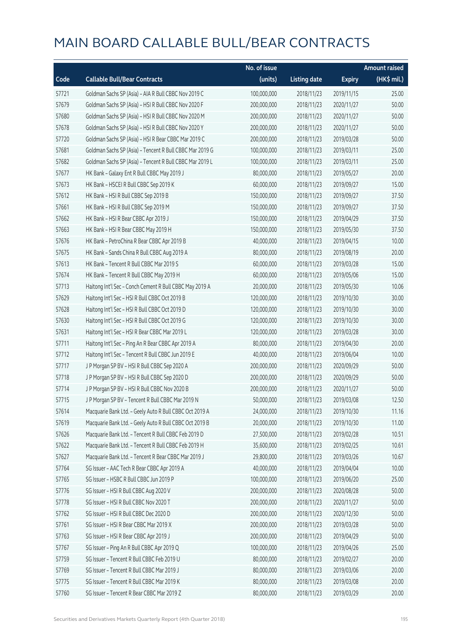|       |                                                          | No. of issue |                     |               | <b>Amount raised</b> |
|-------|----------------------------------------------------------|--------------|---------------------|---------------|----------------------|
| Code  | <b>Callable Bull/Bear Contracts</b>                      | (units)      | <b>Listing date</b> | <b>Expiry</b> | $(HK$$ mil.)         |
| 57721 | Goldman Sachs SP (Asia) - AIA R Bull CBBC Nov 2019 C     | 100,000,000  | 2018/11/23          | 2019/11/15    | 25.00                |
| 57679 | Goldman Sachs SP (Asia) - HSI R Bull CBBC Nov 2020 F     | 200,000,000  | 2018/11/23          | 2020/11/27    | 50.00                |
| 57680 | Goldman Sachs SP (Asia) - HSI R Bull CBBC Nov 2020 M     | 200,000,000  | 2018/11/23          | 2020/11/27    | 50.00                |
| 57678 | Goldman Sachs SP (Asia) - HSI R Bull CBBC Nov 2020 Y     | 200,000,000  | 2018/11/23          | 2020/11/27    | 50.00                |
| 57720 | Goldman Sachs SP (Asia) - HSI R Bear CBBC Mar 2019 C     | 200,000,000  | 2018/11/23          | 2019/03/28    | 50.00                |
| 57681 | Goldman Sachs SP (Asia) - Tencent R Bull CBBC Mar 2019 G | 100,000,000  | 2018/11/23          | 2019/03/11    | 25.00                |
| 57682 | Goldman Sachs SP (Asia) - Tencent R Bull CBBC Mar 2019 L | 100,000,000  | 2018/11/23          | 2019/03/11    | 25.00                |
| 57677 | HK Bank - Galaxy Ent R Bull CBBC May 2019 J              | 80,000,000   | 2018/11/23          | 2019/05/27    | 20.00                |
| 57673 | HK Bank - HSCEI R Bull CBBC Sep 2019 K                   | 60,000,000   | 2018/11/23          | 2019/09/27    | 15.00                |
| 57612 | HK Bank - HSI R Bull CBBC Sep 2019 B                     | 150,000,000  | 2018/11/23          | 2019/09/27    | 37.50                |
| 57661 | HK Bank - HSI R Bull CBBC Sep 2019 M                     | 150,000,000  | 2018/11/23          | 2019/09/27    | 37.50                |
| 57662 | HK Bank - HSI R Bear CBBC Apr 2019 J                     | 150,000,000  | 2018/11/23          | 2019/04/29    | 37.50                |
| 57663 | HK Bank - HSI R Bear CBBC May 2019 H                     | 150,000,000  | 2018/11/23          | 2019/05/30    | 37.50                |
| 57676 | HK Bank - PetroChina R Bear CBBC Apr 2019 B              | 40,000,000   | 2018/11/23          | 2019/04/15    | 10.00                |
| 57675 | HK Bank - Sands China R Bull CBBC Aug 2019 A             | 80,000,000   | 2018/11/23          | 2019/08/19    | 20.00                |
| 57613 | HK Bank - Tencent R Bull CBBC Mar 2019 S                 | 60,000,000   | 2018/11/23          | 2019/03/28    | 15.00                |
| 57674 | HK Bank - Tencent R Bull CBBC May 2019 H                 | 60,000,000   | 2018/11/23          | 2019/05/06    | 15.00                |
| 57713 | Haitong Int'l Sec - Conch Cement R Bull CBBC May 2019 A  | 20,000,000   | 2018/11/23          | 2019/05/30    | 10.06                |
| 57629 | Haitong Int'l Sec - HSI R Bull CBBC Oct 2019 B           | 120,000,000  | 2018/11/23          | 2019/10/30    | 30.00                |
| 57628 | Haitong Int'l Sec - HSI R Bull CBBC Oct 2019 D           | 120,000,000  | 2018/11/23          | 2019/10/30    | 30.00                |
| 57630 | Haitong Int'l Sec - HSI R Bull CBBC Oct 2019 G           | 120,000,000  | 2018/11/23          | 2019/10/30    | 30.00                |
| 57631 | Haitong Int'l Sec - HSI R Bear CBBC Mar 2019 L           | 120,000,000  | 2018/11/23          | 2019/03/28    | 30.00                |
| 57711 | Haitong Int'l Sec - Ping An R Bear CBBC Apr 2019 A       | 80,000,000   | 2018/11/23          | 2019/04/30    | 20.00                |
| 57712 | Haitong Int'l Sec - Tencent R Bull CBBC Jun 2019 E       | 40,000,000   | 2018/11/23          | 2019/06/04    | 10.00                |
| 57717 | J P Morgan SP BV - HSI R Bull CBBC Sep 2020 A            | 200,000,000  | 2018/11/23          | 2020/09/29    | 50.00                |
| 57718 | J P Morgan SP BV - HSI R Bull CBBC Sep 2020 D            | 200,000,000  | 2018/11/23          | 2020/09/29    | 50.00                |
| 57714 | J P Morgan SP BV - HSI R Bull CBBC Nov 2020 B            | 200,000,000  | 2018/11/23          | 2020/11/27    | 50.00                |
| 57715 | J P Morgan SP BV - Tencent R Bull CBBC Mar 2019 N        | 50,000,000   | 2018/11/23          | 2019/03/08    | 12.50                |
| 57614 | Macquarie Bank Ltd. - Geely Auto R Bull CBBC Oct 2019 A  | 24,000,000   | 2018/11/23          | 2019/10/30    | 11.16                |
| 57619 | Macquarie Bank Ltd. - Geely Auto R Bull CBBC Oct 2019 B  | 20,000,000   | 2018/11/23          | 2019/10/30    | 11.00                |
| 57626 | Macquarie Bank Ltd. - Tencent R Bull CBBC Feb 2019 D     | 27,500,000   | 2018/11/23          | 2019/02/28    | 10.51                |
| 57622 | Macquarie Bank Ltd. - Tencent R Bull CBBC Feb 2019 H     | 35,600,000   | 2018/11/23          | 2019/02/25    | 10.61                |
| 57627 | Macquarie Bank Ltd. - Tencent R Bear CBBC Mar 2019 J     | 29,800,000   | 2018/11/23          | 2019/03/26    | 10.67                |
| 57764 | SG Issuer - AAC Tech R Bear CBBC Apr 2019 A              | 40,000,000   | 2018/11/23          | 2019/04/04    | 10.00                |
| 57765 | SG Issuer - HSBC R Bull CBBC Jun 2019 P                  | 100,000,000  | 2018/11/23          | 2019/06/20    | 25.00                |
| 57776 | SG Issuer - HSI R Bull CBBC Aug 2020 V                   | 200,000,000  | 2018/11/23          | 2020/08/28    | 50.00                |
| 57778 | SG Issuer - HSI R Bull CBBC Nov 2020 T                   | 200,000,000  | 2018/11/23          | 2020/11/27    | 50.00                |
| 57762 | SG Issuer - HSI R Bull CBBC Dec 2020 D                   | 200,000,000  | 2018/11/23          | 2020/12/30    | 50.00                |
| 57761 | SG Issuer - HSI R Bear CBBC Mar 2019 X                   | 200,000,000  | 2018/11/23          | 2019/03/28    | 50.00                |
| 57763 | SG Issuer - HSI R Bear CBBC Apr 2019 J                   | 200,000,000  | 2018/11/23          | 2019/04/29    | 50.00                |
| 57767 | SG Issuer - Ping An R Bull CBBC Apr 2019 Q               | 100,000,000  | 2018/11/23          | 2019/04/26    | 25.00                |
| 57759 | SG Issuer - Tencent R Bull CBBC Feb 2019 U               | 80,000,000   | 2018/11/23          | 2019/02/27    | 20.00                |
| 57769 | SG Issuer - Tencent R Bull CBBC Mar 2019 J               | 80,000,000   | 2018/11/23          | 2019/03/06    | 20.00                |
| 57775 | SG Issuer - Tencent R Bull CBBC Mar 2019 K               | 80,000,000   | 2018/11/23          | 2019/03/08    | 20.00                |
| 57760 | SG Issuer - Tencent R Bear CBBC Mar 2019 Z               | 80,000,000   | 2018/11/23          | 2019/03/29    | 20.00                |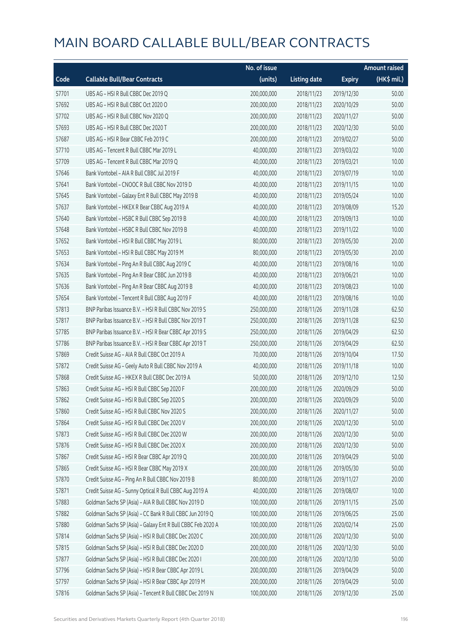|       |                                                             | No. of issue |                     |               | <b>Amount raised</b> |
|-------|-------------------------------------------------------------|--------------|---------------------|---------------|----------------------|
| Code  | <b>Callable Bull/Bear Contracts</b>                         | (units)      | <b>Listing date</b> | <b>Expiry</b> | (HK\$ mil.)          |
| 57701 | UBS AG - HSI R Bull CBBC Dec 2019 Q                         | 200,000,000  | 2018/11/23          | 2019/12/30    | 50.00                |
| 57692 | UBS AG - HSI R Bull CBBC Oct 2020 O                         | 200,000,000  | 2018/11/23          | 2020/10/29    | 50.00                |
| 57702 | UBS AG - HSI R Bull CBBC Nov 2020 Q                         | 200,000,000  | 2018/11/23          | 2020/11/27    | 50.00                |
| 57693 | UBS AG - HSI R Bull CBBC Dec 2020 T                         | 200,000,000  | 2018/11/23          | 2020/12/30    | 50.00                |
| 57687 | UBS AG - HSI R Bear CBBC Feb 2019 C                         | 200,000,000  | 2018/11/23          | 2019/02/27    | 50.00                |
| 57710 | UBS AG - Tencent R Bull CBBC Mar 2019 L                     | 40,000,000   | 2018/11/23          | 2019/03/22    | 10.00                |
| 57709 | UBS AG - Tencent R Bull CBBC Mar 2019 Q                     | 40,000,000   | 2018/11/23          | 2019/03/21    | 10.00                |
| 57646 | Bank Vontobel - AIA R Bull CBBC Jul 2019 F                  | 40,000,000   | 2018/11/23          | 2019/07/19    | 10.00                |
| 57641 | Bank Vontobel - CNOOC R Bull CBBC Nov 2019 D                | 40,000,000   | 2018/11/23          | 2019/11/15    | 10.00                |
| 57645 | Bank Vontobel - Galaxy Ent R Bull CBBC May 2019 B           | 40,000,000   | 2018/11/23          | 2019/05/24    | 10.00                |
| 57637 | Bank Vontobel - HKEX R Bear CBBC Aug 2019 A                 | 40,000,000   | 2018/11/23          | 2019/08/09    | 15.20                |
| 57640 | Bank Vontobel - HSBC R Bull CBBC Sep 2019 B                 | 40,000,000   | 2018/11/23          | 2019/09/13    | 10.00                |
| 57648 | Bank Vontobel - HSBC R Bull CBBC Nov 2019 B                 | 40,000,000   | 2018/11/23          | 2019/11/22    | 10.00                |
| 57652 | Bank Vontobel - HSI R Bull CBBC May 2019 L                  | 80,000,000   | 2018/11/23          | 2019/05/30    | 20.00                |
| 57653 | Bank Vontobel - HSI R Bull CBBC May 2019 M                  | 80,000,000   | 2018/11/23          | 2019/05/30    | 20.00                |
| 57634 | Bank Vontobel - Ping An R Bull CBBC Aug 2019 C              | 40,000,000   | 2018/11/23          | 2019/08/16    | 10.00                |
| 57635 | Bank Vontobel - Ping An R Bear CBBC Jun 2019 B              | 40,000,000   | 2018/11/23          | 2019/06/21    | 10.00                |
| 57636 | Bank Vontobel - Ping An R Bear CBBC Aug 2019 B              | 40,000,000   | 2018/11/23          | 2019/08/23    | 10.00                |
| 57654 | Bank Vontobel - Tencent R Bull CBBC Aug 2019 F              | 40,000,000   | 2018/11/23          | 2019/08/16    | 10.00                |
| 57813 | BNP Paribas Issuance B.V. - HSI R Bull CBBC Nov 2019 S      | 250,000,000  | 2018/11/26          | 2019/11/28    | 62.50                |
| 57817 | BNP Paribas Issuance B.V. - HSI R Bull CBBC Nov 2019 T      | 250,000,000  | 2018/11/26          | 2019/11/28    | 62.50                |
| 57785 | BNP Paribas Issuance B.V. - HSI R Bear CBBC Apr 2019 S      | 250,000,000  | 2018/11/26          | 2019/04/29    | 62.50                |
| 57786 | BNP Paribas Issuance B.V. - HSI R Bear CBBC Apr 2019 T      | 250,000,000  | 2018/11/26          | 2019/04/29    | 62.50                |
| 57869 | Credit Suisse AG - AIA R Bull CBBC Oct 2019 A               | 70,000,000   | 2018/11/26          | 2019/10/04    | 17.50                |
| 57872 | Credit Suisse AG - Geely Auto R Bull CBBC Nov 2019 A        | 40,000,000   | 2018/11/26          | 2019/11/18    | 10.00                |
| 57868 | Credit Suisse AG - HKEX R Bull CBBC Dec 2019 A              | 50,000,000   | 2018/11/26          | 2019/12/10    | 12.50                |
| 57863 | Credit Suisse AG - HSI R Bull CBBC Sep 2020 F               | 200,000,000  | 2018/11/26          | 2020/09/29    | 50.00                |
| 57862 | Credit Suisse AG - HSI R Bull CBBC Sep 2020 S               | 200,000,000  | 2018/11/26          | 2020/09/29    | 50.00                |
| 57860 | Credit Suisse AG - HSI R Bull CBBC Nov 2020 S               | 200,000,000  | 2018/11/26          | 2020/11/27    | 50.00                |
| 57864 | Credit Suisse AG - HSI R Bull CBBC Dec 2020 V               | 200,000,000  | 2018/11/26          | 2020/12/30    | 50.00                |
| 57873 | Credit Suisse AG - HSI R Bull CBBC Dec 2020 W               | 200,000,000  | 2018/11/26          | 2020/12/30    | 50.00                |
| 57876 | Credit Suisse AG - HSI R Bull CBBC Dec 2020 X               | 200,000,000  | 2018/11/26          | 2020/12/30    | 50.00                |
| 57867 | Credit Suisse AG - HSI R Bear CBBC Apr 2019 Q               | 200,000,000  | 2018/11/26          | 2019/04/29    | 50.00                |
| 57865 | Credit Suisse AG - HSI R Bear CBBC May 2019 X               | 200,000,000  | 2018/11/26          | 2019/05/30    | 50.00                |
| 57870 | Credit Suisse AG - Ping An R Bull CBBC Nov 2019 B           | 80,000,000   | 2018/11/26          | 2019/11/27    | 20.00                |
| 57871 | Credit Suisse AG - Sunny Optical R Bull CBBC Aug 2019 A     | 40,000,000   | 2018/11/26          | 2019/08/07    | 10.00                |
| 57883 | Goldman Sachs SP (Asia) - AIA R Bull CBBC Nov 2019 D        | 100,000,000  | 2018/11/26          | 2019/11/15    | 25.00                |
| 57882 | Goldman Sachs SP (Asia) - CC Bank R Bull CBBC Jun 2019 Q    | 100,000,000  | 2018/11/26          | 2019/06/25    | 25.00                |
| 57880 | Goldman Sachs SP (Asia) - Galaxy Ent R Bull CBBC Feb 2020 A | 100,000,000  | 2018/11/26          | 2020/02/14    | 25.00                |
| 57814 | Goldman Sachs SP (Asia) - HSI R Bull CBBC Dec 2020 C        | 200,000,000  | 2018/11/26          | 2020/12/30    | 50.00                |
| 57815 | Goldman Sachs SP (Asia) - HSI R Bull CBBC Dec 2020 D        | 200,000,000  | 2018/11/26          | 2020/12/30    | 50.00                |
| 57877 | Goldman Sachs SP (Asia) - HSI R Bull CBBC Dec 2020 I        | 200,000,000  | 2018/11/26          | 2020/12/30    | 50.00                |
| 57796 | Goldman Sachs SP (Asia) - HSI R Bear CBBC Apr 2019 L        | 200,000,000  | 2018/11/26          | 2019/04/29    | 50.00                |
| 57797 | Goldman Sachs SP (Asia) - HSI R Bear CBBC Apr 2019 M        | 200,000,000  | 2018/11/26          | 2019/04/29    | 50.00                |
| 57816 | Goldman Sachs SP (Asia) - Tencent R Bull CBBC Dec 2019 N    | 100,000,000  | 2018/11/26          | 2019/12/30    | 25.00                |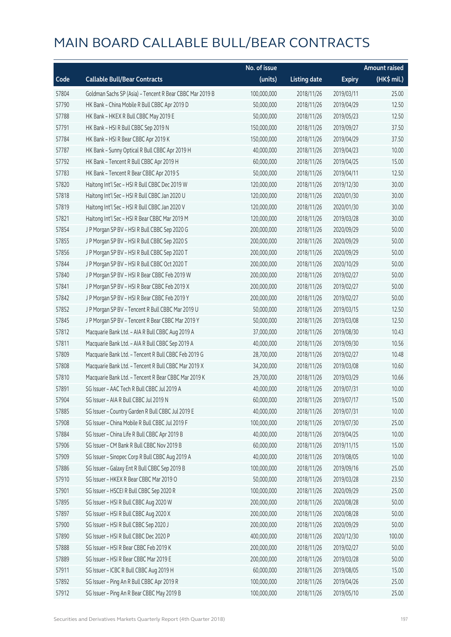|       |                                                          | No. of issue |                     |               | <b>Amount raised</b> |
|-------|----------------------------------------------------------|--------------|---------------------|---------------|----------------------|
| Code  | <b>Callable Bull/Bear Contracts</b>                      | (units)      | <b>Listing date</b> | <b>Expiry</b> | $(HK\$ mil.)         |
| 57804 | Goldman Sachs SP (Asia) - Tencent R Bear CBBC Mar 2019 B | 100,000,000  | 2018/11/26          | 2019/03/11    | 25.00                |
| 57790 | HK Bank - China Mobile R Bull CBBC Apr 2019 D            | 50,000,000   | 2018/11/26          | 2019/04/29    | 12.50                |
| 57788 | HK Bank - HKEX R Bull CBBC May 2019 E                    | 50,000,000   | 2018/11/26          | 2019/05/23    | 12.50                |
| 57791 | HK Bank - HSI R Bull CBBC Sep 2019 N                     | 150,000,000  | 2018/11/26          | 2019/09/27    | 37.50                |
| 57784 | HK Bank - HSI R Bear CBBC Apr 2019 K                     | 150,000,000  | 2018/11/26          | 2019/04/29    | 37.50                |
| 57787 | HK Bank - Sunny Optical R Bull CBBC Apr 2019 H           | 40,000,000   | 2018/11/26          | 2019/04/23    | 10.00                |
| 57792 | HK Bank - Tencent R Bull CBBC Apr 2019 H                 | 60,000,000   | 2018/11/26          | 2019/04/25    | 15.00                |
| 57783 | HK Bank - Tencent R Bear CBBC Apr 2019 S                 | 50,000,000   | 2018/11/26          | 2019/04/11    | 12.50                |
| 57820 | Haitong Int'l Sec - HSI R Bull CBBC Dec 2019 W           | 120,000,000  | 2018/11/26          | 2019/12/30    | 30.00                |
| 57818 | Haitong Int'l Sec - HSI R Bull CBBC Jan 2020 U           | 120,000,000  | 2018/11/26          | 2020/01/30    | 30.00                |
| 57819 | Haitong Int'l Sec - HSI R Bull CBBC Jan 2020 V           | 120,000,000  | 2018/11/26          | 2020/01/30    | 30.00                |
| 57821 | Haitong Int'l Sec - HSI R Bear CBBC Mar 2019 M           | 120,000,000  | 2018/11/26          | 2019/03/28    | 30.00                |
| 57854 | J P Morgan SP BV - HSI R Bull CBBC Sep 2020 G            | 200,000,000  | 2018/11/26          | 2020/09/29    | 50.00                |
| 57855 | J P Morgan SP BV - HSI R Bull CBBC Sep 2020 S            | 200,000,000  | 2018/11/26          | 2020/09/29    | 50.00                |
| 57856 | J P Morgan SP BV - HSI R Bull CBBC Sep 2020 T            | 200,000,000  | 2018/11/26          | 2020/09/29    | 50.00                |
| 57844 | J P Morgan SP BV - HSI R Bull CBBC Oct 2020 T            | 200,000,000  | 2018/11/26          | 2020/10/29    | 50.00                |
| 57840 | J P Morgan SP BV - HSI R Bear CBBC Feb 2019 W            | 200,000,000  | 2018/11/26          | 2019/02/27    | 50.00                |
| 57841 | J P Morgan SP BV - HSI R Bear CBBC Feb 2019 X            | 200,000,000  | 2018/11/26          | 2019/02/27    | 50.00                |
| 57842 | J P Morgan SP BV - HSI R Bear CBBC Feb 2019 Y            | 200,000,000  | 2018/11/26          | 2019/02/27    | 50.00                |
| 57852 | J P Morgan SP BV - Tencent R Bull CBBC Mar 2019 U        | 50,000,000   | 2018/11/26          | 2019/03/15    | 12.50                |
| 57845 | J P Morgan SP BV - Tencent R Bear CBBC Mar 2019 Y        | 50,000,000   | 2018/11/26          | 2019/03/08    | 12.50                |
| 57812 | Macquarie Bank Ltd. - AIA R Bull CBBC Aug 2019 A         | 37,000,000   | 2018/11/26          | 2019/08/30    | 10.43                |
| 57811 | Macquarie Bank Ltd. - AIA R Bull CBBC Sep 2019 A         | 40,000,000   | 2018/11/26          | 2019/09/30    | 10.56                |
| 57809 | Macquarie Bank Ltd. - Tencent R Bull CBBC Feb 2019 G     | 28,700,000   | 2018/11/26          | 2019/02/27    | 10.48                |
| 57808 | Macquarie Bank Ltd. - Tencent R Bull CBBC Mar 2019 X     | 34,200,000   | 2018/11/26          | 2019/03/08    | 10.60                |
| 57810 | Macquarie Bank Ltd. - Tencent R Bear CBBC Mar 2019 K     | 29,700,000   | 2018/11/26          | 2019/03/29    | 10.66                |
| 57891 | SG Issuer - AAC Tech R Bull CBBC Jul 2019 A              | 40,000,000   | 2018/11/26          | 2019/07/31    | 10.00                |
| 57904 | SG Issuer - AIA R Bull CBBC Jul 2019 N                   | 60,000,000   | 2018/11/26          | 2019/07/17    | 15.00                |
| 57885 | SG Issuer - Country Garden R Bull CBBC Jul 2019 E        | 40,000,000   | 2018/11/26          | 2019/07/31    | 10.00                |
| 57908 | SG Issuer - China Mobile R Bull CBBC Jul 2019 F          | 100,000,000  | 2018/11/26          | 2019/07/30    | 25.00                |
| 57884 | SG Issuer - China Life R Bull CBBC Apr 2019 B            | 40,000,000   | 2018/11/26          | 2019/04/25    | 10.00                |
| 57906 | SG Issuer - CM Bank R Bull CBBC Nov 2019 B               | 60,000,000   | 2018/11/26          | 2019/11/15    | 15.00                |
| 57909 | SG Issuer - Sinopec Corp R Bull CBBC Aug 2019 A          | 40,000,000   | 2018/11/26          | 2019/08/05    | 10.00                |
| 57886 | SG Issuer - Galaxy Ent R Bull CBBC Sep 2019 B            | 100,000,000  | 2018/11/26          | 2019/09/16    | 25.00                |
| 57910 | SG Issuer - HKEX R Bear CBBC Mar 2019 O                  | 50,000,000   | 2018/11/26          | 2019/03/28    | 23.50                |
| 57901 | SG Issuer - HSCEI R Bull CBBC Sep 2020 R                 | 100,000,000  | 2018/11/26          | 2020/09/29    | 25.00                |
| 57895 | SG Issuer - HSI R Bull CBBC Aug 2020 W                   | 200,000,000  | 2018/11/26          | 2020/08/28    | 50.00                |
| 57897 | SG Issuer - HSI R Bull CBBC Aug 2020 X                   | 200,000,000  | 2018/11/26          | 2020/08/28    | 50.00                |
| 57900 | SG Issuer - HSI R Bull CBBC Sep 2020 J                   | 200,000,000  | 2018/11/26          | 2020/09/29    | 50.00                |
| 57890 | SG Issuer - HSI R Bull CBBC Dec 2020 P                   | 400,000,000  | 2018/11/26          | 2020/12/30    | 100.00               |
| 57888 | SG Issuer - HSI R Bear CBBC Feb 2019 K                   | 200,000,000  | 2018/11/26          | 2019/02/27    | 50.00                |
| 57889 | SG Issuer - HSI R Bear CBBC Mar 2019 E                   | 200,000,000  | 2018/11/26          | 2019/03/28    | 50.00                |
| 57911 | SG Issuer - ICBC R Bull CBBC Aug 2019 H                  | 60,000,000   | 2018/11/26          | 2019/08/05    | 15.00                |
| 57892 | SG Issuer - Ping An R Bull CBBC Apr 2019 R               | 100,000,000  | 2018/11/26          | 2019/04/26    | 25.00                |
| 57912 | SG Issuer - Ping An R Bear CBBC May 2019 B               | 100,000,000  | 2018/11/26          | 2019/05/10    | 25.00                |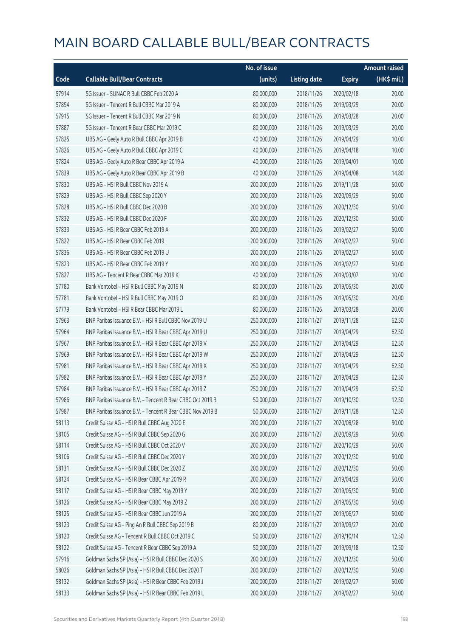|       |                                                            | No. of issue |                     |               | <b>Amount raised</b> |
|-------|------------------------------------------------------------|--------------|---------------------|---------------|----------------------|
| Code  | <b>Callable Bull/Bear Contracts</b>                        | (units)      | <b>Listing date</b> | <b>Expiry</b> | (HK\$ mil.)          |
| 57914 | SG Issuer - SUNAC R Bull CBBC Feb 2020 A                   | 80,000,000   | 2018/11/26          | 2020/02/18    | 20.00                |
| 57894 | SG Issuer - Tencent R Bull CBBC Mar 2019 A                 | 80,000,000   | 2018/11/26          | 2019/03/29    | 20.00                |
| 57915 | SG Issuer - Tencent R Bull CBBC Mar 2019 N                 | 80,000,000   | 2018/11/26          | 2019/03/28    | 20.00                |
| 57887 | SG Issuer - Tencent R Bear CBBC Mar 2019 C                 | 80,000,000   | 2018/11/26          | 2019/03/29    | 20.00                |
| 57825 | UBS AG - Geely Auto R Bull CBBC Apr 2019 B                 | 40,000,000   | 2018/11/26          | 2019/04/29    | 10.00                |
| 57826 | UBS AG - Geely Auto R Bull CBBC Apr 2019 C                 | 40,000,000   | 2018/11/26          | 2019/04/18    | 10.00                |
| 57824 | UBS AG - Geely Auto R Bear CBBC Apr 2019 A                 | 40,000,000   | 2018/11/26          | 2019/04/01    | 10.00                |
| 57839 | UBS AG - Geely Auto R Bear CBBC Apr 2019 B                 | 40,000,000   | 2018/11/26          | 2019/04/08    | 14.80                |
| 57830 | UBS AG - HSI R Bull CBBC Nov 2019 A                        | 200,000,000  | 2018/11/26          | 2019/11/28    | 50.00                |
| 57829 | UBS AG - HSI R Bull CBBC Sep 2020 Y                        | 200,000,000  | 2018/11/26          | 2020/09/29    | 50.00                |
| 57828 | UBS AG - HSI R Bull CBBC Dec 2020 B                        | 200,000,000  | 2018/11/26          | 2020/12/30    | 50.00                |
| 57832 | UBS AG - HSI R Bull CBBC Dec 2020 F                        | 200,000,000  | 2018/11/26          | 2020/12/30    | 50.00                |
| 57833 | UBS AG - HSI R Bear CBBC Feb 2019 A                        | 200,000,000  | 2018/11/26          | 2019/02/27    | 50.00                |
| 57822 | UBS AG - HSI R Bear CBBC Feb 2019 I                        | 200,000,000  | 2018/11/26          | 2019/02/27    | 50.00                |
| 57836 | UBS AG - HSI R Bear CBBC Feb 2019 U                        | 200,000,000  | 2018/11/26          | 2019/02/27    | 50.00                |
| 57823 | UBS AG - HSI R Bear CBBC Feb 2019 Y                        | 200,000,000  | 2018/11/26          | 2019/02/27    | 50.00                |
| 57827 | UBS AG - Tencent R Bear CBBC Mar 2019 K                    | 40,000,000   | 2018/11/26          | 2019/03/07    | 10.00                |
| 57780 | Bank Vontobel - HSI R Bull CBBC May 2019 N                 | 80,000,000   | 2018/11/26          | 2019/05/30    | 20.00                |
| 57781 | Bank Vontobel - HSI R Bull CBBC May 2019 O                 | 80,000,000   | 2018/11/26          | 2019/05/30    | 20.00                |
| 57779 | Bank Vontobel - HSI R Bear CBBC Mar 2019 L                 | 80,000,000   | 2018/11/26          | 2019/03/28    | 20.00                |
| 57963 | BNP Paribas Issuance B.V. - HSI R Bull CBBC Nov 2019 U     | 250,000,000  | 2018/11/27          | 2019/11/28    | 62.50                |
| 57964 | BNP Paribas Issuance B.V. - HSI R Bear CBBC Apr 2019 U     | 250,000,000  | 2018/11/27          | 2019/04/29    | 62.50                |
| 57967 | BNP Paribas Issuance B.V. - HSI R Bear CBBC Apr 2019 V     | 250,000,000  | 2018/11/27          | 2019/04/29    | 62.50                |
| 57969 | BNP Paribas Issuance B.V. - HSI R Bear CBBC Apr 2019 W     | 250,000,000  | 2018/11/27          | 2019/04/29    | 62.50                |
| 57981 | BNP Paribas Issuance B.V. - HSI R Bear CBBC Apr 2019 X     | 250,000,000  | 2018/11/27          | 2019/04/29    | 62.50                |
| 57982 | BNP Paribas Issuance B.V. - HSI R Bear CBBC Apr 2019 Y     | 250,000,000  | 2018/11/27          | 2019/04/29    | 62.50                |
| 57984 | BNP Paribas Issuance B.V. - HSI R Bear CBBC Apr 2019 Z     | 250,000,000  | 2018/11/27          | 2019/04/29    | 62.50                |
| 57986 | BNP Paribas Issuance B.V. - Tencent R Bear CBBC Oct 2019 B | 50,000,000   | 2018/11/27          | 2019/10/30    | 12.50                |
| 57987 | BNP Paribas Issuance B.V. - Tencent R Bear CBBC Nov 2019 B | 50,000,000   | 2018/11/27          | 2019/11/28    | 12.50                |
| 58113 | Credit Suisse AG - HSI R Bull CBBC Aug 2020 E              | 200,000,000  | 2018/11/27          | 2020/08/28    | 50.00                |
| 58105 | Credit Suisse AG - HSI R Bull CBBC Sep 2020 G              | 200,000,000  | 2018/11/27          | 2020/09/29    | 50.00                |
| 58114 | Credit Suisse AG - HSI R Bull CBBC Oct 2020 V              | 200,000,000  | 2018/11/27          | 2020/10/29    | 50.00                |
| 58106 | Credit Suisse AG - HSI R Bull CBBC Dec 2020 Y              | 200,000,000  | 2018/11/27          | 2020/12/30    | 50.00                |
| 58131 | Credit Suisse AG - HSI R Bull CBBC Dec 2020 Z              | 200,000,000  | 2018/11/27          | 2020/12/30    | 50.00                |
| 58124 | Credit Suisse AG - HSI R Bear CBBC Apr 2019 R              | 200,000,000  | 2018/11/27          | 2019/04/29    | 50.00                |
| 58117 | Credit Suisse AG - HSI R Bear CBBC May 2019 Y              | 200,000,000  | 2018/11/27          | 2019/05/30    | 50.00                |
| 58126 | Credit Suisse AG - HSI R Bear CBBC May 2019 Z              | 200,000,000  | 2018/11/27          | 2019/05/30    | 50.00                |
| 58125 | Credit Suisse AG - HSI R Bear CBBC Jun 2019 A              | 200,000,000  | 2018/11/27          | 2019/06/27    | 50.00                |
| 58123 | Credit Suisse AG - Ping An R Bull CBBC Sep 2019 B          | 80,000,000   | 2018/11/27          | 2019/09/27    | 20.00                |
| 58120 | Credit Suisse AG - Tencent R Bull CBBC Oct 2019 C          | 50,000,000   | 2018/11/27          | 2019/10/14    | 12.50                |
| 58122 | Credit Suisse AG - Tencent R Bear CBBC Sep 2019 A          | 50,000,000   | 2018/11/27          | 2019/09/18    | 12.50                |
| 57916 | Goldman Sachs SP (Asia) - HSI R Bull CBBC Dec 2020 S       | 200,000,000  | 2018/11/27          | 2020/12/30    | 50.00                |
| 58026 | Goldman Sachs SP (Asia) - HSI R Bull CBBC Dec 2020 T       | 200,000,000  | 2018/11/27          | 2020/12/30    | 50.00                |
| 58132 | Goldman Sachs SP (Asia) - HSI R Bear CBBC Feb 2019 J       | 200,000,000  | 2018/11/27          | 2019/02/27    | 50.00                |
| 58133 | Goldman Sachs SP (Asia) - HSI R Bear CBBC Feb 2019 L       | 200,000,000  | 2018/11/27          | 2019/02/27    | 50.00                |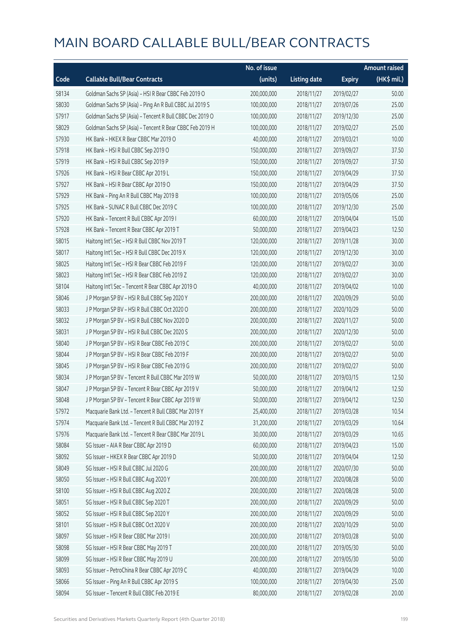|       |                                                          | No. of issue |                     |               | <b>Amount raised</b> |
|-------|----------------------------------------------------------|--------------|---------------------|---------------|----------------------|
| Code  | <b>Callable Bull/Bear Contracts</b>                      | (units)      | <b>Listing date</b> | <b>Expiry</b> | (HK\$ mil.)          |
| 58134 | Goldman Sachs SP (Asia) - HSI R Bear CBBC Feb 2019 O     | 200,000,000  | 2018/11/27          | 2019/02/27    | 50.00                |
| 58030 | Goldman Sachs SP (Asia) - Ping An R Bull CBBC Jul 2019 S | 100,000,000  | 2018/11/27          | 2019/07/26    | 25.00                |
| 57917 | Goldman Sachs SP (Asia) - Tencent R Bull CBBC Dec 2019 O | 100,000,000  | 2018/11/27          | 2019/12/30    | 25.00                |
| 58029 | Goldman Sachs SP (Asia) - Tencent R Bear CBBC Feb 2019 H | 100,000,000  | 2018/11/27          | 2019/02/27    | 25.00                |
| 57930 | HK Bank - HKEX R Bear CBBC Mar 2019 O                    | 40,000,000   | 2018/11/27          | 2019/03/21    | 10.00                |
| 57918 | HK Bank - HSI R Bull CBBC Sep 2019 O                     | 150,000,000  | 2018/11/27          | 2019/09/27    | 37.50                |
| 57919 | HK Bank - HSI R Bull CBBC Sep 2019 P                     | 150,000,000  | 2018/11/27          | 2019/09/27    | 37.50                |
| 57926 | HK Bank - HSI R Bear CBBC Apr 2019 L                     | 150,000,000  | 2018/11/27          | 2019/04/29    | 37.50                |
| 57927 | HK Bank - HSI R Bear CBBC Apr 2019 O                     | 150,000,000  | 2018/11/27          | 2019/04/29    | 37.50                |
| 57929 | HK Bank - Ping An R Bull CBBC May 2019 B                 | 100,000,000  | 2018/11/27          | 2019/05/06    | 25.00                |
| 57925 | HK Bank - SUNAC R Bull CBBC Dec 2019 C                   | 100,000,000  | 2018/11/27          | 2019/12/30    | 25.00                |
| 57920 | HK Bank - Tencent R Bull CBBC Apr 2019 I                 | 60,000,000   | 2018/11/27          | 2019/04/04    | 15.00                |
| 57928 | HK Bank - Tencent R Bear CBBC Apr 2019 T                 | 50,000,000   | 2018/11/27          | 2019/04/23    | 12.50                |
| 58015 | Haitong Int'l Sec - HSI R Bull CBBC Nov 2019 T           | 120,000,000  | 2018/11/27          | 2019/11/28    | 30.00                |
| 58017 | Haitong Int'l Sec - HSI R Bull CBBC Dec 2019 X           | 120,000,000  | 2018/11/27          | 2019/12/30    | 30.00                |
| 58025 | Haitong Int'l Sec - HSI R Bear CBBC Feb 2019 F           | 120,000,000  | 2018/11/27          | 2019/02/27    | 30.00                |
| 58023 | Haitong Int'l Sec - HSI R Bear CBBC Feb 2019 Z           | 120,000,000  | 2018/11/27          | 2019/02/27    | 30.00                |
| 58104 | Haitong Int'l Sec - Tencent R Bear CBBC Apr 2019 O       | 40,000,000   | 2018/11/27          | 2019/04/02    | 10.00                |
| 58046 | J P Morgan SP BV - HSI R Bull CBBC Sep 2020 Y            | 200,000,000  | 2018/11/27          | 2020/09/29    | 50.00                |
| 58033 | J P Morgan SP BV - HSI R Bull CBBC Oct 2020 O            | 200,000,000  | 2018/11/27          | 2020/10/29    | 50.00                |
| 58032 | J P Morgan SP BV - HSI R Bull CBBC Nov 2020 D            | 200,000,000  | 2018/11/27          | 2020/11/27    | 50.00                |
| 58031 | J P Morgan SP BV - HSI R Bull CBBC Dec 2020 S            | 200,000,000  | 2018/11/27          | 2020/12/30    | 50.00                |
| 58040 | J P Morgan SP BV - HSI R Bear CBBC Feb 2019 C            | 200,000,000  | 2018/11/27          | 2019/02/27    | 50.00                |
| 58044 | J P Morgan SP BV - HSI R Bear CBBC Feb 2019 F            | 200,000,000  | 2018/11/27          | 2019/02/27    | 50.00                |
| 58045 | J P Morgan SP BV - HSI R Bear CBBC Feb 2019 G            | 200,000,000  | 2018/11/27          | 2019/02/27    | 50.00                |
| 58034 | J P Morgan SP BV - Tencent R Bull CBBC Mar 2019 W        | 50,000,000   | 2018/11/27          | 2019/03/15    | 12.50                |
| 58047 | J P Morgan SP BV - Tencent R Bear CBBC Apr 2019 V        | 50,000,000   | 2018/11/27          | 2019/04/12    | 12.50                |
| 58048 | J P Morgan SP BV - Tencent R Bear CBBC Apr 2019 W        | 50,000,000   | 2018/11/27          | 2019/04/12    | 12.50                |
| 57972 | Macquarie Bank Ltd. - Tencent R Bull CBBC Mar 2019 Y     | 25,400,000   | 2018/11/27          | 2019/03/28    | 10.54                |
| 57974 | Macquarie Bank Ltd. - Tencent R Bull CBBC Mar 2019 Z     | 31,200,000   | 2018/11/27          | 2019/03/29    | 10.64                |
| 57976 | Macquarie Bank Ltd. - Tencent R Bear CBBC Mar 2019 L     | 30,000,000   | 2018/11/27          | 2019/03/29    | 10.65                |
| 58084 | SG Issuer - AIA R Bear CBBC Apr 2019 D                   | 60,000,000   | 2018/11/27          | 2019/04/23    | 15.00                |
| 58092 | SG Issuer - HKEX R Bear CBBC Apr 2019 D                  | 50,000,000   | 2018/11/27          | 2019/04/04    | 12.50                |
| 58049 | SG Issuer - HSI R Bull CBBC Jul 2020 G                   | 200,000,000  | 2018/11/27          | 2020/07/30    | 50.00                |
| 58050 | SG Issuer - HSI R Bull CBBC Aug 2020 Y                   | 200,000,000  | 2018/11/27          | 2020/08/28    | 50.00                |
| 58100 | SG Issuer - HSI R Bull CBBC Aug 2020 Z                   | 200,000,000  | 2018/11/27          | 2020/08/28    | 50.00                |
| 58051 | SG Issuer - HSI R Bull CBBC Sep 2020 T                   | 200,000,000  | 2018/11/27          | 2020/09/29    | 50.00                |
| 58052 | SG Issuer - HSI R Bull CBBC Sep 2020 Y                   | 200,000,000  | 2018/11/27          | 2020/09/29    | 50.00                |
| 58101 | SG Issuer - HSI R Bull CBBC Oct 2020 V                   | 200,000,000  | 2018/11/27          | 2020/10/29    | 50.00                |
| 58097 | SG Issuer - HSI R Bear CBBC Mar 2019 I                   | 200,000,000  | 2018/11/27          | 2019/03/28    | 50.00                |
| 58098 | SG Issuer - HSI R Bear CBBC May 2019 T                   | 200,000,000  | 2018/11/27          | 2019/05/30    | 50.00                |
| 58099 | SG Issuer - HSI R Bear CBBC May 2019 U                   | 200,000,000  | 2018/11/27          | 2019/05/30    | 50.00                |
| 58093 | SG Issuer - PetroChina R Bear CBBC Apr 2019 C            | 40,000,000   | 2018/11/27          | 2019/04/29    | 10.00                |
| 58066 | SG Issuer - Ping An R Bull CBBC Apr 2019 S               | 100,000,000  | 2018/11/27          | 2019/04/30    | 25.00                |
| 58094 | SG Issuer - Tencent R Bull CBBC Feb 2019 E               | 80,000,000   | 2018/11/27          | 2019/02/28    | 20.00                |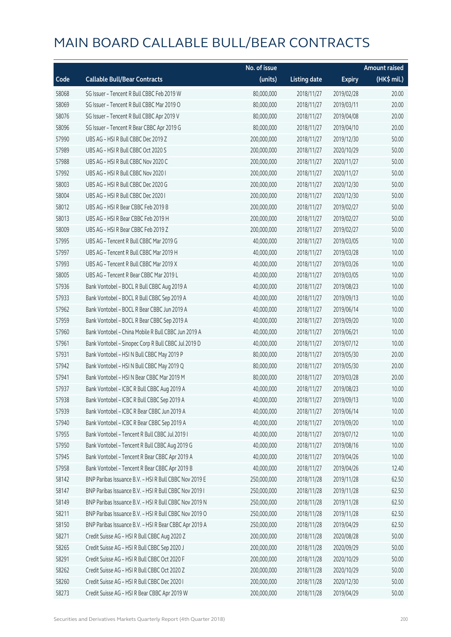|       |                                                        | No. of issue |                     |               | <b>Amount raised</b> |
|-------|--------------------------------------------------------|--------------|---------------------|---------------|----------------------|
| Code  | <b>Callable Bull/Bear Contracts</b>                    | (units)      | <b>Listing date</b> | <b>Expiry</b> | $(HK\$ mil.)         |
| 58068 | SG Issuer - Tencent R Bull CBBC Feb 2019 W             | 80,000,000   | 2018/11/27          | 2019/02/28    | 20.00                |
| 58069 | SG Issuer - Tencent R Bull CBBC Mar 2019 O             | 80,000,000   | 2018/11/27          | 2019/03/11    | 20.00                |
| 58076 | SG Issuer - Tencent R Bull CBBC Apr 2019 V             | 80,000,000   | 2018/11/27          | 2019/04/08    | 20.00                |
| 58096 | SG Issuer - Tencent R Bear CBBC Apr 2019 G             | 80,000,000   | 2018/11/27          | 2019/04/10    | 20.00                |
| 57990 | UBS AG - HSI R Bull CBBC Dec 2019 Z                    | 200,000,000  | 2018/11/27          | 2019/12/30    | 50.00                |
| 57989 | UBS AG - HSI R Bull CBBC Oct 2020 S                    | 200,000,000  | 2018/11/27          | 2020/10/29    | 50.00                |
| 57988 | UBS AG - HSI R Bull CBBC Nov 2020 C                    | 200,000,000  | 2018/11/27          | 2020/11/27    | 50.00                |
| 57992 | UBS AG - HSI R Bull CBBC Nov 2020 I                    | 200,000,000  | 2018/11/27          | 2020/11/27    | 50.00                |
| 58003 | UBS AG - HSI R Bull CBBC Dec 2020 G                    | 200,000,000  | 2018/11/27          | 2020/12/30    | 50.00                |
| 58004 | UBS AG - HSI R Bull CBBC Dec 2020 I                    | 200,000,000  | 2018/11/27          | 2020/12/30    | 50.00                |
| 58012 | UBS AG - HSI R Bear CBBC Feb 2019 B                    | 200,000,000  | 2018/11/27          | 2019/02/27    | 50.00                |
| 58013 | UBS AG - HSI R Bear CBBC Feb 2019 H                    | 200,000,000  | 2018/11/27          | 2019/02/27    | 50.00                |
| 58009 | UBS AG - HSI R Bear CBBC Feb 2019 Z                    | 200,000,000  | 2018/11/27          | 2019/02/27    | 50.00                |
| 57995 | UBS AG - Tencent R Bull CBBC Mar 2019 G                | 40,000,000   | 2018/11/27          | 2019/03/05    | 10.00                |
| 57997 | UBS AG - Tencent R Bull CBBC Mar 2019 H                | 40,000,000   | 2018/11/27          | 2019/03/28    | 10.00                |
| 57993 | UBS AG - Tencent R Bull CBBC Mar 2019 X                | 40,000,000   | 2018/11/27          | 2019/03/26    | 10.00                |
| 58005 | UBS AG - Tencent R Bear CBBC Mar 2019 L                | 40,000,000   | 2018/11/27          | 2019/03/05    | 10.00                |
| 57936 | Bank Vontobel - BOCL R Bull CBBC Aug 2019 A            | 40,000,000   | 2018/11/27          | 2019/08/23    | 10.00                |
| 57933 | Bank Vontobel - BOCL R Bull CBBC Sep 2019 A            | 40,000,000   | 2018/11/27          | 2019/09/13    | 10.00                |
| 57962 | Bank Vontobel - BOCL R Bear CBBC Jun 2019 A            | 40,000,000   | 2018/11/27          | 2019/06/14    | 10.00                |
| 57959 | Bank Vontobel - BOCL R Bear CBBC Sep 2019 A            | 40,000,000   | 2018/11/27          | 2019/09/20    | 10.00                |
| 57960 | Bank Vontobel - China Mobile R Bull CBBC Jun 2019 A    | 40,000,000   | 2018/11/27          | 2019/06/21    | 10.00                |
| 57961 | Bank Vontobel - Sinopec Corp R Bull CBBC Jul 2019 D    | 40,000,000   | 2018/11/27          | 2019/07/12    | 10.00                |
| 57931 | Bank Vontobel - HSI N Bull CBBC May 2019 P             | 80,000,000   | 2018/11/27          | 2019/05/30    | 20.00                |
| 57942 | Bank Vontobel - HSI N Bull CBBC May 2019 Q             | 80,000,000   | 2018/11/27          | 2019/05/30    | 20.00                |
| 57941 | Bank Vontobel - HSI N Bear CBBC Mar 2019 M             | 80,000,000   | 2018/11/27          | 2019/03/28    | 20.00                |
| 57937 | Bank Vontobel - ICBC R Bull CBBC Aug 2019 A            | 40,000,000   | 2018/11/27          | 2019/08/23    | 10.00                |
| 57938 | Bank Vontobel - ICBC R Bull CBBC Sep 2019 A            | 40,000,000   | 2018/11/27          | 2019/09/13    | 10.00                |
| 57939 | Bank Vontobel - ICBC R Bear CBBC Jun 2019 A            | 40,000,000   | 2018/11/27          | 2019/06/14    | 10.00                |
| 57940 | Bank Vontobel - ICBC R Bear CBBC Sep 2019 A            | 40,000,000   | 2018/11/27          | 2019/09/20    | 10.00                |
| 57955 | Bank Vontobel - Tencent R Bull CBBC Jul 2019 I         | 40,000,000   | 2018/11/27          | 2019/07/12    | 10.00                |
| 57950 | Bank Vontobel - Tencent R Bull CBBC Aug 2019 G         | 40,000,000   | 2018/11/27          | 2019/08/16    | 10.00                |
| 57945 | Bank Vontobel - Tencent R Bear CBBC Apr 2019 A         | 40,000,000   | 2018/11/27          | 2019/04/26    | 10.00                |
| 57958 | Bank Vontobel - Tencent R Bear CBBC Apr 2019 B         | 40,000,000   | 2018/11/27          | 2019/04/26    | 12.40                |
| 58142 | BNP Paribas Issuance B.V. - HSI R Bull CBBC Nov 2019 E | 250,000,000  | 2018/11/28          | 2019/11/28    | 62.50                |
| 58147 | BNP Paribas Issuance B.V. - HSI R Bull CBBC Nov 2019 I | 250,000,000  | 2018/11/28          | 2019/11/28    | 62.50                |
| 58149 | BNP Paribas Issuance B.V. - HSI R Bull CBBC Nov 2019 N | 250,000,000  | 2018/11/28          | 2019/11/28    | 62.50                |
| 58211 | BNP Paribas Issuance B.V. - HSI R Bull CBBC Nov 2019 O | 250,000,000  | 2018/11/28          | 2019/11/28    | 62.50                |
| 58150 | BNP Paribas Issuance B.V. - HSI R Bear CBBC Apr 2019 A | 250,000,000  | 2018/11/28          | 2019/04/29    | 62.50                |
| 58271 | Credit Suisse AG - HSI R Bull CBBC Aug 2020 Z          | 200,000,000  | 2018/11/28          | 2020/08/28    | 50.00                |
| 58265 | Credit Suisse AG - HSI R Bull CBBC Sep 2020 J          | 200,000,000  | 2018/11/28          | 2020/09/29    | 50.00                |
| 58291 | Credit Suisse AG - HSI R Bull CBBC Oct 2020 F          | 200,000,000  | 2018/11/28          | 2020/10/29    | 50.00                |
| 58262 | Credit Suisse AG - HSI R Bull CBBC Oct 2020 Z          | 200,000,000  | 2018/11/28          | 2020/10/29    | 50.00                |
| 58260 | Credit Suisse AG - HSI R Bull CBBC Dec 2020 I          | 200,000,000  | 2018/11/28          | 2020/12/30    | 50.00                |
| 58273 | Credit Suisse AG - HSI R Bear CBBC Apr 2019 W          | 200,000,000  | 2018/11/28          | 2019/04/29    | 50.00                |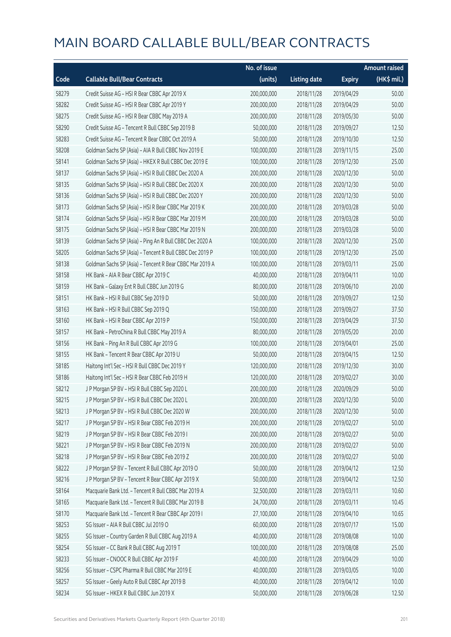|       |                                                          | No. of issue |                     |               | <b>Amount raised</b> |
|-------|----------------------------------------------------------|--------------|---------------------|---------------|----------------------|
| Code  | <b>Callable Bull/Bear Contracts</b>                      | (units)      | <b>Listing date</b> | <b>Expiry</b> | (HK\$ mil.)          |
| 58279 | Credit Suisse AG - HSI R Bear CBBC Apr 2019 X            | 200,000,000  | 2018/11/28          | 2019/04/29    | 50.00                |
| 58282 | Credit Suisse AG - HSI R Bear CBBC Apr 2019 Y            | 200,000,000  | 2018/11/28          | 2019/04/29    | 50.00                |
| 58275 | Credit Suisse AG - HSI R Bear CBBC May 2019 A            | 200,000,000  | 2018/11/28          | 2019/05/30    | 50.00                |
| 58290 | Credit Suisse AG - Tencent R Bull CBBC Sep 2019 B        | 50,000,000   | 2018/11/28          | 2019/09/27    | 12.50                |
| 58283 | Credit Suisse AG - Tencent R Bear CBBC Oct 2019 A        | 50,000,000   | 2018/11/28          | 2019/10/30    | 12.50                |
| 58208 | Goldman Sachs SP (Asia) - AIA R Bull CBBC Nov 2019 E     | 100,000,000  | 2018/11/28          | 2019/11/15    | 25.00                |
| 58141 | Goldman Sachs SP (Asia) - HKEX R Bull CBBC Dec 2019 E    | 100,000,000  | 2018/11/28          | 2019/12/30    | 25.00                |
| 58137 | Goldman Sachs SP (Asia) - HSI R Bull CBBC Dec 2020 A     | 200,000,000  | 2018/11/28          | 2020/12/30    | 50.00                |
| 58135 | Goldman Sachs SP (Asia) - HSI R Bull CBBC Dec 2020 X     | 200,000,000  | 2018/11/28          | 2020/12/30    | 50.00                |
| 58136 | Goldman Sachs SP (Asia) - HSI R Bull CBBC Dec 2020 Y     | 200,000,000  | 2018/11/28          | 2020/12/30    | 50.00                |
| 58173 | Goldman Sachs SP (Asia) - HSI R Bear CBBC Mar 2019 K     | 200,000,000  | 2018/11/28          | 2019/03/28    | 50.00                |
| 58174 | Goldman Sachs SP (Asia) - HSI R Bear CBBC Mar 2019 M     | 200,000,000  | 2018/11/28          | 2019/03/28    | 50.00                |
| 58175 | Goldman Sachs SP (Asia) - HSI R Bear CBBC Mar 2019 N     | 200,000,000  | 2018/11/28          | 2019/03/28    | 50.00                |
| 58139 | Goldman Sachs SP (Asia) - Ping An R Bull CBBC Dec 2020 A | 100,000,000  | 2018/11/28          | 2020/12/30    | 25.00                |
| 58205 | Goldman Sachs SP (Asia) - Tencent R Bull CBBC Dec 2019 P | 100,000,000  | 2018/11/28          | 2019/12/30    | 25.00                |
| 58138 | Goldman Sachs SP (Asia) - Tencent R Bear CBBC Mar 2019 A | 100,000,000  | 2018/11/28          | 2019/03/11    | 25.00                |
| 58158 | HK Bank - AIA R Bear CBBC Apr 2019 C                     | 40,000,000   | 2018/11/28          | 2019/04/11    | 10.00                |
| 58159 | HK Bank - Galaxy Ent R Bull CBBC Jun 2019 G              | 80,000,000   | 2018/11/28          | 2019/06/10    | 20.00                |
| 58151 | HK Bank - HSI R Bull CBBC Sep 2019 D                     | 50,000,000   | 2018/11/28          | 2019/09/27    | 12.50                |
| 58163 | HK Bank - HSI R Bull CBBC Sep 2019 Q                     | 150,000,000  | 2018/11/28          | 2019/09/27    | 37.50                |
| 58160 | HK Bank - HSI R Bear CBBC Apr 2019 P                     | 150,000,000  | 2018/11/28          | 2019/04/29    | 37.50                |
| 58157 | HK Bank - PetroChina R Bull CBBC May 2019 A              | 80,000,000   | 2018/11/28          | 2019/05/20    | 20.00                |
| 58156 | HK Bank - Ping An R Bull CBBC Apr 2019 G                 | 100,000,000  | 2018/11/28          | 2019/04/01    | 25.00                |
| 58155 | HK Bank - Tencent R Bear CBBC Apr 2019 U                 | 50,000,000   | 2018/11/28          | 2019/04/15    | 12.50                |
| 58185 | Haitong Int'l Sec - HSI R Bull CBBC Dec 2019 Y           | 120,000,000  | 2018/11/28          | 2019/12/30    | 30.00                |
| 58186 | Haitong Int'l Sec - HSI R Bear CBBC Feb 2019 H           | 120,000,000  | 2018/11/28          | 2019/02/27    | 30.00                |
| 58212 | J P Morgan SP BV - HSI R Bull CBBC Sep 2020 L            | 200,000,000  | 2018/11/28          | 2020/09/29    | 50.00                |
| 58215 | J P Morgan SP BV - HSI R Bull CBBC Dec 2020 L            | 200,000,000  | 2018/11/28          | 2020/12/30    | 50.00                |
| 58213 | J P Morgan SP BV - HSI R Bull CBBC Dec 2020 W            | 200,000,000  | 2018/11/28          | 2020/12/30    | 50.00                |
| 58217 | J P Morgan SP BV - HSI R Bear CBBC Feb 2019 H            | 200,000,000  | 2018/11/28          | 2019/02/27    | 50.00                |
| 58219 | J P Morgan SP BV - HSI R Bear CBBC Feb 2019 I            | 200,000,000  | 2018/11/28          | 2019/02/27    | 50.00                |
| 58221 | J P Morgan SP BV - HSI R Bear CBBC Feb 2019 N            | 200,000,000  | 2018/11/28          | 2019/02/27    | 50.00                |
| 58218 | J P Morgan SP BV - HSI R Bear CBBC Feb 2019 Z            | 200,000,000  | 2018/11/28          | 2019/02/27    | 50.00                |
| 58222 | J P Morgan SP BV - Tencent R Bull CBBC Apr 2019 O        | 50,000,000   | 2018/11/28          | 2019/04/12    | 12.50                |
| 58216 | J P Morgan SP BV - Tencent R Bear CBBC Apr 2019 X        | 50,000,000   | 2018/11/28          | 2019/04/12    | 12.50                |
| 58164 | Macquarie Bank Ltd. - Tencent R Bull CBBC Mar 2019 A     | 32,500,000   | 2018/11/28          | 2019/03/11    | 10.60                |
| 58165 | Macquarie Bank Ltd. - Tencent R Bull CBBC Mar 2019 B     | 24,700,000   | 2018/11/28          | 2019/03/11    | 10.45                |
| 58170 | Macquarie Bank Ltd. - Tencent R Bear CBBC Apr 2019 I     | 27,100,000   | 2018/11/28          | 2019/04/10    | 10.65                |
| 58253 | SG Issuer - AIA R Bull CBBC Jul 2019 O                   | 60,000,000   | 2018/11/28          | 2019/07/17    | 15.00                |
| 58255 | SG Issuer - Country Garden R Bull CBBC Aug 2019 A        | 40,000,000   | 2018/11/28          | 2019/08/08    | 10.00                |
| 58254 | SG Issuer - CC Bank R Bull CBBC Aug 2019 T               | 100,000,000  | 2018/11/28          | 2019/08/08    | 25.00                |
| 58233 | SG Issuer - CNOOC R Bull CBBC Apr 2019 F                 | 40,000,000   | 2018/11/28          | 2019/04/29    | 10.00                |
| 58256 | SG Issuer - CSPC Pharma R Bull CBBC Mar 2019 E           | 40,000,000   | 2018/11/28          | 2019/03/05    | 10.00                |
| 58257 | SG Issuer - Geely Auto R Bull CBBC Apr 2019 B            | 40,000,000   | 2018/11/28          | 2019/04/12    | 10.00                |
| 58234 | SG Issuer - HKEX R Bull CBBC Jun 2019 X                  | 50,000,000   | 2018/11/28          | 2019/06/28    | 12.50                |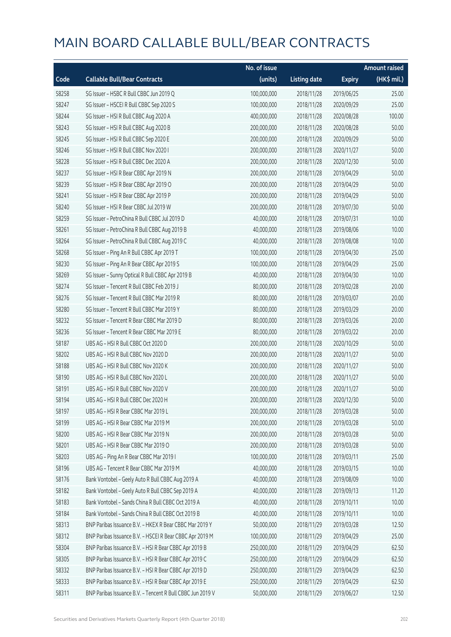|       |                                                            | No. of issue |                     |               | <b>Amount raised</b> |
|-------|------------------------------------------------------------|--------------|---------------------|---------------|----------------------|
| Code  | <b>Callable Bull/Bear Contracts</b>                        | (units)      | <b>Listing date</b> | <b>Expiry</b> | $(HK\$ mil.)         |
| 58258 | SG Issuer - HSBC R Bull CBBC Jun 2019 Q                    | 100,000,000  | 2018/11/28          | 2019/06/25    | 25.00                |
| 58247 | SG Issuer - HSCEI R Bull CBBC Sep 2020 S                   | 100,000,000  | 2018/11/28          | 2020/09/29    | 25.00                |
| 58244 | SG Issuer - HSI R Bull CBBC Aug 2020 A                     | 400,000,000  | 2018/11/28          | 2020/08/28    | 100.00               |
| 58243 | SG Issuer - HSI R Bull CBBC Aug 2020 B                     | 200,000,000  | 2018/11/28          | 2020/08/28    | 50.00                |
| 58245 | SG Issuer - HSI R Bull CBBC Sep 2020 E                     | 200,000,000  | 2018/11/28          | 2020/09/29    | 50.00                |
| 58246 | SG Issuer - HSI R Bull CBBC Nov 2020 I                     | 200,000,000  | 2018/11/28          | 2020/11/27    | 50.00                |
| 58228 | SG Issuer - HSI R Bull CBBC Dec 2020 A                     | 200,000,000  | 2018/11/28          | 2020/12/30    | 50.00                |
| 58237 | SG Issuer - HSI R Bear CBBC Apr 2019 N                     | 200,000,000  | 2018/11/28          | 2019/04/29    | 50.00                |
| 58239 | SG Issuer - HSI R Bear CBBC Apr 2019 O                     | 200,000,000  | 2018/11/28          | 2019/04/29    | 50.00                |
| 58241 | SG Issuer - HSI R Bear CBBC Apr 2019 P                     | 200,000,000  | 2018/11/28          | 2019/04/29    | 50.00                |
| 58240 | SG Issuer - HSI R Bear CBBC Jul 2019 W                     | 200,000,000  | 2018/11/28          | 2019/07/30    | 50.00                |
| 58259 | SG Issuer - PetroChina R Bull CBBC Jul 2019 D              | 40,000,000   | 2018/11/28          | 2019/07/31    | 10.00                |
| 58261 | SG Issuer - PetroChina R Bull CBBC Aug 2019 B              | 40,000,000   | 2018/11/28          | 2019/08/06    | 10.00                |
| 58264 | SG Issuer - PetroChina R Bull CBBC Aug 2019 C              | 40,000,000   | 2018/11/28          | 2019/08/08    | 10.00                |
| 58268 | SG Issuer - Ping An R Bull CBBC Apr 2019 T                 | 100,000,000  | 2018/11/28          | 2019/04/30    | 25.00                |
| 58230 | SG Issuer - Ping An R Bear CBBC Apr 2019 S                 | 100,000,000  | 2018/11/28          | 2019/04/29    | 25.00                |
| 58269 | SG Issuer - Sunny Optical R Bull CBBC Apr 2019 B           | 40,000,000   | 2018/11/28          | 2019/04/30    | 10.00                |
| 58274 | SG Issuer - Tencent R Bull CBBC Feb 2019 J                 | 80,000,000   | 2018/11/28          | 2019/02/28    | 20.00                |
| 58276 | SG Issuer - Tencent R Bull CBBC Mar 2019 R                 | 80,000,000   | 2018/11/28          | 2019/03/07    | 20.00                |
| 58280 | SG Issuer - Tencent R Bull CBBC Mar 2019 Y                 | 80,000,000   | 2018/11/28          | 2019/03/29    | 20.00                |
| 58232 | SG Issuer - Tencent R Bear CBBC Mar 2019 D                 | 80,000,000   | 2018/11/28          | 2019/03/26    | 20.00                |
| 58236 | SG Issuer - Tencent R Bear CBBC Mar 2019 E                 | 80,000,000   | 2018/11/28          | 2019/03/22    | 20.00                |
| 58187 | UBS AG - HSI R Bull CBBC Oct 2020 D                        | 200,000,000  | 2018/11/28          | 2020/10/29    | 50.00                |
| 58202 | UBS AG - HSI R Bull CBBC Nov 2020 D                        | 200,000,000  | 2018/11/28          | 2020/11/27    | 50.00                |
| 58188 | UBS AG - HSI R Bull CBBC Nov 2020 K                        | 200,000,000  | 2018/11/28          | 2020/11/27    | 50.00                |
| 58190 | UBS AG - HSI R Bull CBBC Nov 2020 L                        | 200,000,000  | 2018/11/28          | 2020/11/27    | 50.00                |
| 58191 | UBS AG - HSI R Bull CBBC Nov 2020 V                        | 200,000,000  | 2018/11/28          | 2020/11/27    | 50.00                |
| 58194 | UBS AG - HSI R Bull CBBC Dec 2020 H                        | 200,000,000  | 2018/11/28          | 2020/12/30    | 50.00                |
| 58197 | UBS AG - HSI R Bear CBBC Mar 2019 L                        | 200,000,000  | 2018/11/28          | 2019/03/28    | 50.00                |
| 58199 | UBS AG - HSI R Bear CBBC Mar 2019 M                        | 200,000,000  | 2018/11/28          | 2019/03/28    | 50.00                |
| 58200 | UBS AG - HSI R Bear CBBC Mar 2019 N                        | 200,000,000  | 2018/11/28          | 2019/03/28    | 50.00                |
| 58201 | UBS AG - HSI R Bear CBBC Mar 2019 O                        | 200,000,000  | 2018/11/28          | 2019/03/28    | 50.00                |
| 58203 | UBS AG - Ping An R Bear CBBC Mar 2019 I                    | 100,000,000  | 2018/11/28          | 2019/03/11    | 25.00                |
| 58196 | UBS AG - Tencent R Bear CBBC Mar 2019 M                    | 40,000,000   | 2018/11/28          | 2019/03/15    | 10.00                |
| 58176 | Bank Vontobel - Geely Auto R Bull CBBC Aug 2019 A          | 40,000,000   | 2018/11/28          | 2019/08/09    | 10.00                |
| 58182 | Bank Vontobel - Geely Auto R Bull CBBC Sep 2019 A          | 40,000,000   | 2018/11/28          | 2019/09/13    | 11.20                |
| 58183 | Bank Vontobel - Sands China R Bull CBBC Oct 2019 A         | 40,000,000   | 2018/11/28          | 2019/10/11    | 10.00                |
| 58184 | Bank Vontobel - Sands China R Bull CBBC Oct 2019 B         | 40,000,000   | 2018/11/28          | 2019/10/11    | 10.00                |
| 58313 | BNP Paribas Issuance B.V. - HKEX R Bear CBBC Mar 2019 Y    | 50,000,000   | 2018/11/29          | 2019/03/28    | 12.50                |
| 58312 | BNP Paribas Issuance B.V. - HSCEI R Bear CBBC Apr 2019 M   | 100,000,000  | 2018/11/29          | 2019/04/29    | 25.00                |
| 58304 | BNP Paribas Issuance B.V. - HSI R Bear CBBC Apr 2019 B     | 250,000,000  | 2018/11/29          | 2019/04/29    | 62.50                |
| 58305 | BNP Paribas Issuance B.V. - HSI R Bear CBBC Apr 2019 C     | 250,000,000  | 2018/11/29          | 2019/04/29    | 62.50                |
| 58332 | BNP Paribas Issuance B.V. - HSI R Bear CBBC Apr 2019 D     | 250,000,000  | 2018/11/29          | 2019/04/29    | 62.50                |
| 58333 | BNP Paribas Issuance B.V. - HSI R Bear CBBC Apr 2019 E     | 250,000,000  | 2018/11/29          | 2019/04/29    | 62.50                |
| 58311 | BNP Paribas Issuance B.V. - Tencent R Bull CBBC Jun 2019 V | 50,000,000   | 2018/11/29          | 2019/06/27    | 12.50                |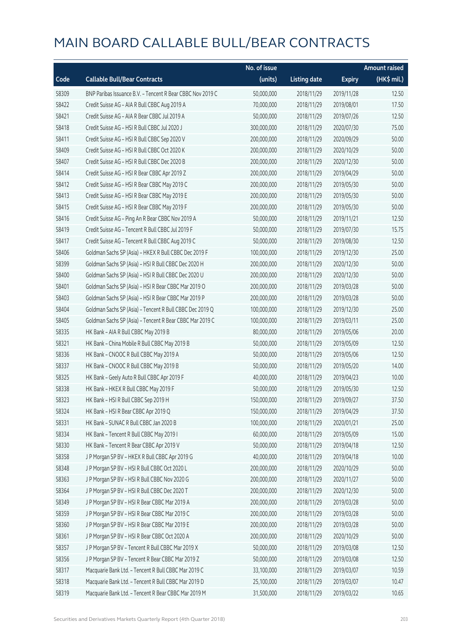|       |                                                            | No. of issue |                     |               | <b>Amount raised</b>  |
|-------|------------------------------------------------------------|--------------|---------------------|---------------|-----------------------|
| Code  | <b>Callable Bull/Bear Contracts</b>                        | (units)      | <b>Listing date</b> | <b>Expiry</b> | $(HK\frac{1}{2}mil.)$ |
| 58309 | BNP Paribas Issuance B.V. - Tencent R Bear CBBC Nov 2019 C | 50,000,000   | 2018/11/29          | 2019/11/28    | 12.50                 |
| 58422 | Credit Suisse AG - AIA R Bull CBBC Aug 2019 A              | 70,000,000   | 2018/11/29          | 2019/08/01    | 17.50                 |
| 58421 | Credit Suisse AG - AIA R Bear CBBC Jul 2019 A              | 50,000,000   | 2018/11/29          | 2019/07/26    | 12.50                 |
| 58418 | Credit Suisse AG - HSI R Bull CBBC Jul 2020 J              | 300,000,000  | 2018/11/29          | 2020/07/30    | 75.00                 |
| 58411 | Credit Suisse AG - HSI R Bull CBBC Sep 2020 V              | 200,000,000  | 2018/11/29          | 2020/09/29    | 50.00                 |
| 58409 | Credit Suisse AG - HSI R Bull CBBC Oct 2020 K              | 200,000,000  | 2018/11/29          | 2020/10/29    | 50.00                 |
| 58407 | Credit Suisse AG - HSI R Bull CBBC Dec 2020 B              | 200,000,000  | 2018/11/29          | 2020/12/30    | 50.00                 |
| 58414 | Credit Suisse AG - HSI R Bear CBBC Apr 2019 Z              | 200,000,000  | 2018/11/29          | 2019/04/29    | 50.00                 |
| 58412 | Credit Suisse AG - HSI R Bear CBBC May 2019 C              | 200,000,000  | 2018/11/29          | 2019/05/30    | 50.00                 |
| 58413 | Credit Suisse AG - HSI R Bear CBBC May 2019 E              | 200,000,000  | 2018/11/29          | 2019/05/30    | 50.00                 |
| 58415 | Credit Suisse AG - HSI R Bear CBBC May 2019 F              | 200,000,000  | 2018/11/29          | 2019/05/30    | 50.00                 |
| 58416 | Credit Suisse AG - Ping An R Bear CBBC Nov 2019 A          | 50,000,000   | 2018/11/29          | 2019/11/21    | 12.50                 |
| 58419 | Credit Suisse AG - Tencent R Bull CBBC Jul 2019 F          | 50,000,000   | 2018/11/29          | 2019/07/30    | 15.75                 |
| 58417 | Credit Suisse AG - Tencent R Bull CBBC Aug 2019 C          | 50,000,000   | 2018/11/29          | 2019/08/30    | 12.50                 |
| 58406 | Goldman Sachs SP (Asia) - HKEX R Bull CBBC Dec 2019 F      | 100,000,000  | 2018/11/29          | 2019/12/30    | 25.00                 |
| 58399 | Goldman Sachs SP (Asia) - HSI R Bull CBBC Dec 2020 H       | 200,000,000  | 2018/11/29          | 2020/12/30    | 50.00                 |
| 58400 | Goldman Sachs SP (Asia) - HSI R Bull CBBC Dec 2020 U       | 200,000,000  | 2018/11/29          | 2020/12/30    | 50.00                 |
| 58401 | Goldman Sachs SP (Asia) - HSI R Bear CBBC Mar 2019 O       | 200,000,000  | 2018/11/29          | 2019/03/28    | 50.00                 |
| 58403 | Goldman Sachs SP (Asia) - HSI R Bear CBBC Mar 2019 P       | 200,000,000  | 2018/11/29          | 2019/03/28    | 50.00                 |
| 58404 | Goldman Sachs SP (Asia) - Tencent R Bull CBBC Dec 2019 Q   | 100,000,000  | 2018/11/29          | 2019/12/30    | 25.00                 |
| 58405 | Goldman Sachs SP (Asia) - Tencent R Bear CBBC Mar 2019 C   | 100,000,000  | 2018/11/29          | 2019/03/11    | 25.00                 |
| 58335 | HK Bank - AIA R Bull CBBC May 2019 B                       | 80,000,000   | 2018/11/29          | 2019/05/06    | 20.00                 |
| 58321 | HK Bank - China Mobile R Bull CBBC May 2019 B              | 50,000,000   | 2018/11/29          | 2019/05/09    | 12.50                 |
| 58336 | HK Bank - CNOOC R Bull CBBC May 2019 A                     | 50,000,000   | 2018/11/29          | 2019/05/06    | 12.50                 |
| 58337 | HK Bank - CNOOC R Bull CBBC May 2019 B                     | 50,000,000   | 2018/11/29          | 2019/05/20    | 14.00                 |
| 58325 | HK Bank - Geely Auto R Bull CBBC Apr 2019 F                | 40,000,000   | 2018/11/29          | 2019/04/23    | 10.00                 |
| 58338 | HK Bank - HKEX R Bull CBBC May 2019 F                      | 50,000,000   | 2018/11/29          | 2019/05/30    | 12.50                 |
| 58323 | HK Bank - HSI R Bull CBBC Sep 2019 H                       | 150,000,000  | 2018/11/29          | 2019/09/27    | 37.50                 |
| 58324 | HK Bank - HSI R Bear CBBC Apr 2019 Q                       | 150,000,000  | 2018/11/29          | 2019/04/29    | 37.50                 |
| 58331 | HK Bank - SUNAC R Bull CBBC Jan 2020 B                     | 100,000,000  | 2018/11/29          | 2020/01/21    | 25.00                 |
| 58334 | HK Bank - Tencent R Bull CBBC May 2019 I                   | 60,000,000   | 2018/11/29          | 2019/05/09    | 15.00                 |
| 58330 | HK Bank - Tencent R Bear CBBC Apr 2019 V                   | 50,000,000   | 2018/11/29          | 2019/04/18    | 12.50                 |
| 58358 | J P Morgan SP BV - HKEX R Bull CBBC Apr 2019 G             | 40,000,000   | 2018/11/29          | 2019/04/18    | 10.00                 |
| 58348 | J P Morgan SP BV - HSI R Bull CBBC Oct 2020 L              | 200,000,000  | 2018/11/29          | 2020/10/29    | 50.00                 |
| 58363 | J P Morgan SP BV - HSI R Bull CBBC Nov 2020 G              | 200,000,000  | 2018/11/29          | 2020/11/27    | 50.00                 |
| 58364 | J P Morgan SP BV - HSI R Bull CBBC Dec 2020 T              | 200,000,000  | 2018/11/29          | 2020/12/30    | 50.00                 |
| 58349 | J P Morgan SP BV - HSI R Bear CBBC Mar 2019 A              | 200,000,000  | 2018/11/29          | 2019/03/28    | 50.00                 |
| 58359 | J P Morgan SP BV - HSI R Bear CBBC Mar 2019 C              | 200,000,000  | 2018/11/29          | 2019/03/28    | 50.00                 |
| 58360 | J P Morgan SP BV - HSI R Bear CBBC Mar 2019 E              | 200,000,000  | 2018/11/29          | 2019/03/28    | 50.00                 |
| 58361 | J P Morgan SP BV - HSI R Bear CBBC Oct 2020 A              | 200,000,000  | 2018/11/29          | 2020/10/29    | 50.00                 |
| 58357 | J P Morgan SP BV - Tencent R Bull CBBC Mar 2019 X          | 50,000,000   | 2018/11/29          | 2019/03/08    | 12.50                 |
| 58356 | J P Morgan SP BV - Tencent R Bear CBBC Mar 2019 Z          | 50,000,000   | 2018/11/29          | 2019/03/08    | 12.50                 |
| 58317 | Macquarie Bank Ltd. - Tencent R Bull CBBC Mar 2019 C       | 33,100,000   | 2018/11/29          | 2019/03/07    | 10.59                 |
| 58318 | Macquarie Bank Ltd. - Tencent R Bull CBBC Mar 2019 D       | 25,100,000   | 2018/11/29          | 2019/03/07    | 10.47                 |
| 58319 | Macquarie Bank Ltd. - Tencent R Bear CBBC Mar 2019 M       | 31,500,000   | 2018/11/29          | 2019/03/22    | 10.65                 |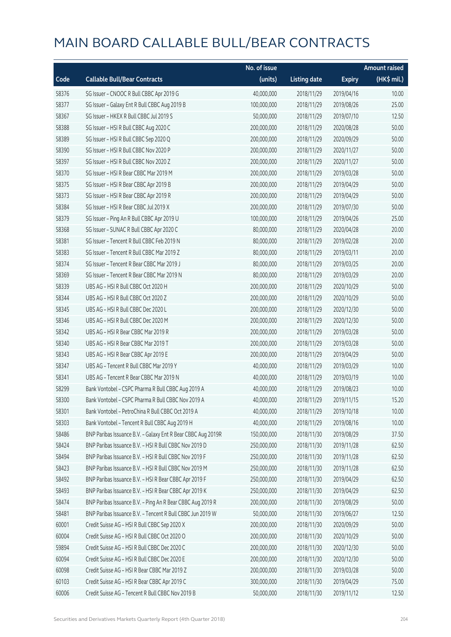|       |                                                              | No. of issue |                     |               | <b>Amount raised</b> |
|-------|--------------------------------------------------------------|--------------|---------------------|---------------|----------------------|
| Code  | <b>Callable Bull/Bear Contracts</b>                          | (units)      | <b>Listing date</b> | <b>Expiry</b> | (HK\$ mil.)          |
| 58376 | SG Issuer - CNOOC R Bull CBBC Apr 2019 G                     | 40,000,000   | 2018/11/29          | 2019/04/16    | 10.00                |
| 58377 | SG Issuer - Galaxy Ent R Bull CBBC Aug 2019 B                | 100,000,000  | 2018/11/29          | 2019/08/26    | 25.00                |
| 58367 | SG Issuer - HKEX R Bull CBBC Jul 2019 S                      | 50,000,000   | 2018/11/29          | 2019/07/10    | 12.50                |
| 58388 | SG Issuer - HSI R Bull CBBC Aug 2020 C                       | 200,000,000  | 2018/11/29          | 2020/08/28    | 50.00                |
| 58389 | SG Issuer - HSI R Bull CBBC Sep 2020 Q                       | 200,000,000  | 2018/11/29          | 2020/09/29    | 50.00                |
| 58390 | SG Issuer - HSI R Bull CBBC Nov 2020 P                       | 200,000,000  | 2018/11/29          | 2020/11/27    | 50.00                |
| 58397 | SG Issuer - HSI R Bull CBBC Nov 2020 Z                       | 200,000,000  | 2018/11/29          | 2020/11/27    | 50.00                |
| 58370 | SG Issuer - HSI R Bear CBBC Mar 2019 M                       | 200,000,000  | 2018/11/29          | 2019/03/28    | 50.00                |
| 58375 | SG Issuer - HSI R Bear CBBC Apr 2019 B                       | 200,000,000  | 2018/11/29          | 2019/04/29    | 50.00                |
| 58373 | SG Issuer - HSI R Bear CBBC Apr 2019 R                       | 200,000,000  | 2018/11/29          | 2019/04/29    | 50.00                |
| 58384 | SG Issuer - HSI R Bear CBBC Jul 2019 X                       | 200,000,000  | 2018/11/29          | 2019/07/30    | 50.00                |
| 58379 | SG Issuer - Ping An R Bull CBBC Apr 2019 U                   | 100,000,000  | 2018/11/29          | 2019/04/26    | 25.00                |
| 58368 | SG Issuer - SUNAC R Bull CBBC Apr 2020 C                     | 80,000,000   | 2018/11/29          | 2020/04/28    | 20.00                |
| 58381 | SG Issuer - Tencent R Bull CBBC Feb 2019 N                   | 80,000,000   | 2018/11/29          | 2019/02/28    | 20.00                |
| 58383 | SG Issuer - Tencent R Bull CBBC Mar 2019 Z                   | 80,000,000   | 2018/11/29          | 2019/03/11    | 20.00                |
| 58374 | SG Issuer - Tencent R Bear CBBC Mar 2019 J                   | 80,000,000   | 2018/11/29          | 2019/03/25    | 20.00                |
| 58369 | SG Issuer - Tencent R Bear CBBC Mar 2019 N                   | 80,000,000   | 2018/11/29          | 2019/03/29    | 20.00                |
| 58339 | UBS AG - HSI R Bull CBBC Oct 2020 H                          | 200,000,000  | 2018/11/29          | 2020/10/29    | 50.00                |
| 58344 | UBS AG - HSI R Bull CBBC Oct 2020 Z                          | 200,000,000  | 2018/11/29          | 2020/10/29    | 50.00                |
| 58345 | UBS AG - HSI R Bull CBBC Dec 2020 L                          | 200,000,000  | 2018/11/29          | 2020/12/30    | 50.00                |
| 58346 | UBS AG - HSI R Bull CBBC Dec 2020 M                          | 200,000,000  | 2018/11/29          | 2020/12/30    | 50.00                |
| 58342 | UBS AG - HSI R Bear CBBC Mar 2019 R                          | 200,000,000  | 2018/11/29          | 2019/03/28    | 50.00                |
| 58340 | UBS AG - HSI R Bear CBBC Mar 2019 T                          | 200,000,000  | 2018/11/29          | 2019/03/28    | 50.00                |
| 58343 | UBS AG - HSI R Bear CBBC Apr 2019 E                          | 200,000,000  | 2018/11/29          | 2019/04/29    | 50.00                |
| 58347 | UBS AG - Tencent R Bull CBBC Mar 2019 Y                      | 40,000,000   | 2018/11/29          | 2019/03/29    | 10.00                |
| 58341 | UBS AG - Tencent R Bear CBBC Mar 2019 N                      | 40,000,000   | 2018/11/29          | 2019/03/19    | 10.00                |
| 58299 | Bank Vontobel - CSPC Pharma R Bull CBBC Aug 2019 A           | 40,000,000   | 2018/11/29          | 2019/08/23    | 10.00                |
| 58300 | Bank Vontobel - CSPC Pharma R Bull CBBC Nov 2019 A           | 40,000,000   | 2018/11/29          | 2019/11/15    | 15.20                |
| 58301 | Bank Vontobel - PetroChina R Bull CBBC Oct 2019 A            | 40,000,000   | 2018/11/29          | 2019/10/18    | 10.00                |
| 58303 | Bank Vontobel - Tencent R Bull CBBC Aug 2019 H               | 40,000,000   | 2018/11/29          | 2019/08/16    | 10.00                |
| 58486 | BNP Paribas Issuance B.V. - Galaxy Ent R Bear CBBC Aug 2019R | 150,000,000  | 2018/11/30          | 2019/08/29    | 37.50                |
| 58424 | BNP Paribas Issuance B.V. - HSI R Bull CBBC Nov 2019 D       | 250,000,000  | 2018/11/30          | 2019/11/28    | 62.50                |
| 58494 | BNP Paribas Issuance B.V. - HSI R Bull CBBC Nov 2019 F       | 250,000,000  | 2018/11/30          | 2019/11/28    | 62.50                |
| 58423 | BNP Paribas Issuance B.V. - HSI R Bull CBBC Nov 2019 M       | 250,000,000  | 2018/11/30          | 2019/11/28    | 62.50                |
| 58492 | BNP Paribas Issuance B.V. - HSI R Bear CBBC Apr 2019 F       | 250,000,000  | 2018/11/30          | 2019/04/29    | 62.50                |
| 58493 | BNP Paribas Issuance B.V. - HSI R Bear CBBC Apr 2019 K       | 250,000,000  | 2018/11/30          | 2019/04/29    | 62.50                |
| 58474 | BNP Paribas Issuance B.V. - Ping An R Bear CBBC Aug 2019 R   | 200,000,000  | 2018/11/30          | 2019/08/29    | 50.00                |
| 58481 | BNP Paribas Issuance B.V. - Tencent R Bull CBBC Jun 2019 W   | 50,000,000   | 2018/11/30          | 2019/06/27    | 12.50                |
| 60001 | Credit Suisse AG - HSI R Bull CBBC Sep 2020 X                | 200,000,000  | 2018/11/30          | 2020/09/29    | 50.00                |
| 60004 | Credit Suisse AG - HSI R Bull CBBC Oct 2020 O                | 200,000,000  | 2018/11/30          | 2020/10/29    | 50.00                |
| 59894 | Credit Suisse AG - HSI R Bull CBBC Dec 2020 C                | 200,000,000  | 2018/11/30          | 2020/12/30    | 50.00                |
| 60094 | Credit Suisse AG - HSI R Bull CBBC Dec 2020 E                | 200,000,000  | 2018/11/30          | 2020/12/30    | 50.00                |
| 60098 | Credit Suisse AG - HSI R Bear CBBC Mar 2019 Z                | 200,000,000  | 2018/11/30          | 2019/03/28    | 50.00                |
| 60103 | Credit Suisse AG - HSI R Bear CBBC Apr 2019 C                | 300,000,000  | 2018/11/30          | 2019/04/29    | 75.00                |
| 60006 | Credit Suisse AG - Tencent R Bull CBBC Nov 2019 B            | 50,000,000   | 2018/11/30          | 2019/11/12    | 12.50                |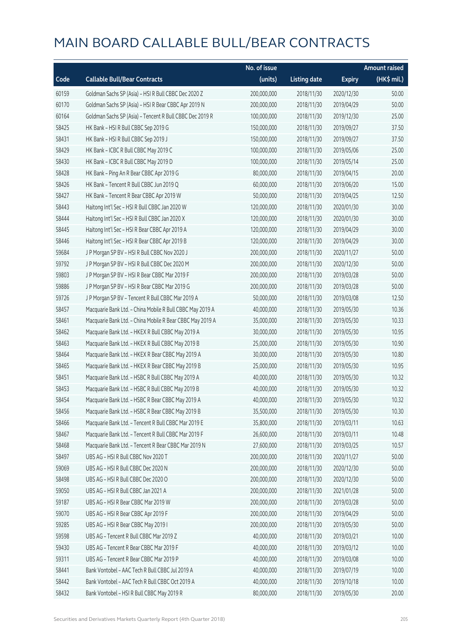|       |                                                           | No. of issue |                     |               | <b>Amount raised</b> |
|-------|-----------------------------------------------------------|--------------|---------------------|---------------|----------------------|
| Code  | <b>Callable Bull/Bear Contracts</b>                       | (units)      | <b>Listing date</b> | <b>Expiry</b> | (HK\$ mil.)          |
| 60159 | Goldman Sachs SP (Asia) - HSI R Bull CBBC Dec 2020 Z      | 200,000,000  | 2018/11/30          | 2020/12/30    | 50.00                |
| 60170 | Goldman Sachs SP (Asia) - HSI R Bear CBBC Apr 2019 N      | 200,000,000  | 2018/11/30          | 2019/04/29    | 50.00                |
| 60164 | Goldman Sachs SP (Asia) - Tencent R Bull CBBC Dec 2019 R  | 100,000,000  | 2018/11/30          | 2019/12/30    | 25.00                |
| 58425 | HK Bank - HSI R Bull CBBC Sep 2019 G                      | 150,000,000  | 2018/11/30          | 2019/09/27    | 37.50                |
| 58431 | HK Bank - HSI R Bull CBBC Sep 2019 J                      | 150,000,000  | 2018/11/30          | 2019/09/27    | 37.50                |
| 58429 | HK Bank - ICBC R Bull CBBC May 2019 C                     | 100,000,000  | 2018/11/30          | 2019/05/06    | 25.00                |
| 58430 | HK Bank - ICBC R Bull CBBC May 2019 D                     | 100,000,000  | 2018/11/30          | 2019/05/14    | 25.00                |
| 58428 | HK Bank - Ping An R Bear CBBC Apr 2019 G                  | 80,000,000   | 2018/11/30          | 2019/04/15    | 20.00                |
| 58426 | HK Bank - Tencent R Bull CBBC Jun 2019 Q                  | 60,000,000   | 2018/11/30          | 2019/06/20    | 15.00                |
| 58427 | HK Bank - Tencent R Bear CBBC Apr 2019 W                  | 50,000,000   | 2018/11/30          | 2019/04/25    | 12.50                |
| 58443 | Haitong Int'l Sec - HSI R Bull CBBC Jan 2020 W            | 120,000,000  | 2018/11/30          | 2020/01/30    | 30.00                |
| 58444 | Haitong Int'l Sec - HSI R Bull CBBC Jan 2020 X            | 120,000,000  | 2018/11/30          | 2020/01/30    | 30.00                |
| 58445 | Haitong Int'l Sec - HSI R Bear CBBC Apr 2019 A            | 120,000,000  | 2018/11/30          | 2019/04/29    | 30.00                |
| 58446 | Haitong Int'l Sec - HSI R Bear CBBC Apr 2019 B            | 120,000,000  | 2018/11/30          | 2019/04/29    | 30.00                |
| 59684 | J P Morgan SP BV - HSI R Bull CBBC Nov 2020 J             | 200,000,000  | 2018/11/30          | 2020/11/27    | 50.00                |
| 59792 | J P Morgan SP BV - HSI R Bull CBBC Dec 2020 M             | 200,000,000  | 2018/11/30          | 2020/12/30    | 50.00                |
| 59803 | J P Morgan SP BV - HSI R Bear CBBC Mar 2019 F             | 200,000,000  | 2018/11/30          | 2019/03/28    | 50.00                |
| 59886 | J P Morgan SP BV - HSI R Bear CBBC Mar 2019 G             | 200,000,000  | 2018/11/30          | 2019/03/28    | 50.00                |
| 59726 | J P Morgan SP BV - Tencent R Bull CBBC Mar 2019 A         | 50,000,000   | 2018/11/30          | 2019/03/08    | 12.50                |
| 58457 | Macquarie Bank Ltd. - China Mobile R Bull CBBC May 2019 A | 40,000,000   | 2018/11/30          | 2019/05/30    | 10.36                |
| 58461 | Macquarie Bank Ltd. - China Mobile R Bear CBBC May 2019 A | 35,000,000   | 2018/11/30          | 2019/05/30    | 10.33                |
| 58462 | Macquarie Bank Ltd. - HKEX R Bull CBBC May 2019 A         | 30,000,000   | 2018/11/30          | 2019/05/30    | 10.95                |
| 58463 | Macquarie Bank Ltd. - HKEX R Bull CBBC May 2019 B         | 25,000,000   | 2018/11/30          | 2019/05/30    | 10.90                |
| 58464 | Macquarie Bank Ltd. - HKEX R Bear CBBC May 2019 A         | 30,000,000   | 2018/11/30          | 2019/05/30    | 10.80                |
| 58465 | Macquarie Bank Ltd. - HKEX R Bear CBBC May 2019 B         | 25,000,000   | 2018/11/30          | 2019/05/30    | 10.95                |
| 58451 | Macquarie Bank Ltd. - HSBC R Bull CBBC May 2019 A         | 40,000,000   | 2018/11/30          | 2019/05/30    | 10.32                |
| 58453 | Macquarie Bank Ltd. - HSBC R Bull CBBC May 2019 B         | 40,000,000   | 2018/11/30          | 2019/05/30    | 10.32                |
| 58454 | Macquarie Bank Ltd. - HSBC R Bear CBBC May 2019 A         | 40,000,000   | 2018/11/30          | 2019/05/30    | 10.32                |
| 58456 | Macquarie Bank Ltd. - HSBC R Bear CBBC May 2019 B         | 35,500,000   | 2018/11/30          | 2019/05/30    | 10.30                |
| 58466 | Macquarie Bank Ltd. - Tencent R Bull CBBC Mar 2019 E      | 35,800,000   | 2018/11/30          | 2019/03/11    | 10.63                |
| 58467 | Macquarie Bank Ltd. - Tencent R Bull CBBC Mar 2019 F      | 26,600,000   | 2018/11/30          | 2019/03/11    | 10.48                |
| 58468 | Macquarie Bank Ltd. - Tencent R Bear CBBC Mar 2019 N      | 27,600,000   | 2018/11/30          | 2019/03/25    | 10.57                |
| 58497 | UBS AG - HSI R Bull CBBC Nov 2020 T                       | 200,000,000  | 2018/11/30          | 2020/11/27    | 50.00                |
| 59069 | UBS AG - HSI R Bull CBBC Dec 2020 N                       | 200,000,000  | 2018/11/30          | 2020/12/30    | 50.00                |
| 58498 | UBS AG - HSI R Bull CBBC Dec 2020 O                       | 200,000,000  | 2018/11/30          | 2020/12/30    | 50.00                |
| 59050 | UBS AG - HSI R Bull CBBC Jan 2021 A                       | 200,000,000  | 2018/11/30          | 2021/01/28    | 50.00                |
| 59187 | UBS AG - HSI R Bear CBBC Mar 2019 W                       | 200,000,000  | 2018/11/30          | 2019/03/28    | 50.00                |
| 59070 | UBS AG - HSI R Bear CBBC Apr 2019 F                       | 200,000,000  | 2018/11/30          | 2019/04/29    | 50.00                |
| 59285 | UBS AG - HSI R Bear CBBC May 2019 I                       | 200,000,000  | 2018/11/30          | 2019/05/30    | 50.00                |
| 59598 | UBS AG - Tencent R Bull CBBC Mar 2019 Z                   | 40,000,000   | 2018/11/30          | 2019/03/21    | 10.00                |
| 59430 | UBS AG - Tencent R Bear CBBC Mar 2019 F                   | 40,000,000   | 2018/11/30          | 2019/03/12    | 10.00                |
| 59311 | UBS AG - Tencent R Bear CBBC Mar 2019 P                   | 40,000,000   | 2018/11/30          | 2019/03/08    | 10.00                |
| 58441 | Bank Vontobel - AAC Tech R Bull CBBC Jul 2019 A           | 40,000,000   | 2018/11/30          | 2019/07/19    | 10.00                |
| 58442 | Bank Vontobel - AAC Tech R Bull CBBC Oct 2019 A           | 40,000,000   | 2018/11/30          | 2019/10/18    | 10.00                |
| 58432 | Bank Vontobel - HSI R Bull CBBC May 2019 R                | 80,000,000   | 2018/11/30          | 2019/05/30    | 20.00                |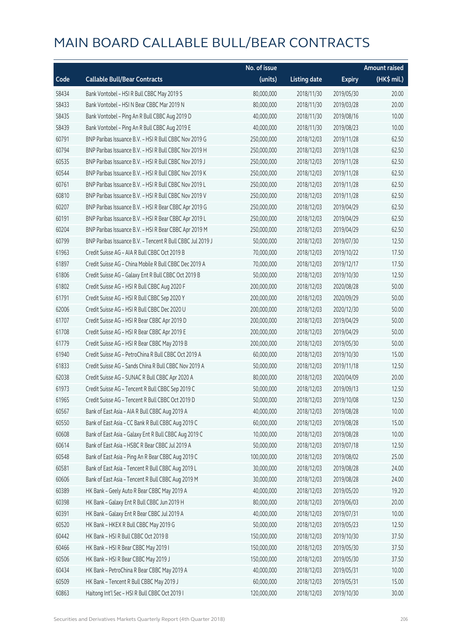|       |                                                            | No. of issue |                     |               | <b>Amount raised</b> |
|-------|------------------------------------------------------------|--------------|---------------------|---------------|----------------------|
| Code  | <b>Callable Bull/Bear Contracts</b>                        | (units)      | <b>Listing date</b> | <b>Expiry</b> | (HK\$ mil.)          |
| 58434 | Bank Vontobel - HSI R Bull CBBC May 2019 S                 | 80,000,000   | 2018/11/30          | 2019/05/30    | 20.00                |
| 58433 | Bank Vontobel - HSI N Bear CBBC Mar 2019 N                 | 80,000,000   | 2018/11/30          | 2019/03/28    | 20.00                |
| 58435 | Bank Vontobel - Ping An R Bull CBBC Aug 2019 D             | 40,000,000   | 2018/11/30          | 2019/08/16    | 10.00                |
| 58439 | Bank Vontobel - Ping An R Bull CBBC Aug 2019 E             | 40,000,000   | 2018/11/30          | 2019/08/23    | 10.00                |
| 60791 | BNP Paribas Issuance B.V. - HSI R Bull CBBC Nov 2019 G     | 250,000,000  | 2018/12/03          | 2019/11/28    | 62.50                |
| 60794 | BNP Paribas Issuance B.V. - HSI R Bull CBBC Nov 2019 H     | 250,000,000  | 2018/12/03          | 2019/11/28    | 62.50                |
| 60535 | BNP Paribas Issuance B.V. - HSI R Bull CBBC Nov 2019 J     | 250,000,000  | 2018/12/03          | 2019/11/28    | 62.50                |
| 60544 | BNP Paribas Issuance B.V. - HSI R Bull CBBC Nov 2019 K     | 250,000,000  | 2018/12/03          | 2019/11/28    | 62.50                |
| 60761 | BNP Paribas Issuance B.V. - HSI R Bull CBBC Nov 2019 L     | 250,000,000  | 2018/12/03          | 2019/11/28    | 62.50                |
| 60810 | BNP Paribas Issuance B.V. - HSI R Bull CBBC Nov 2019 V     | 250,000,000  | 2018/12/03          | 2019/11/28    | 62.50                |
| 60207 | BNP Paribas Issuance B.V. - HSI R Bear CBBC Apr 2019 G     | 250,000,000  | 2018/12/03          | 2019/04/29    | 62.50                |
| 60191 | BNP Paribas Issuance B.V. - HSI R Bear CBBC Apr 2019 L     | 250,000,000  | 2018/12/03          | 2019/04/29    | 62.50                |
| 60204 | BNP Paribas Issuance B.V. - HSI R Bear CBBC Apr 2019 M     | 250,000,000  | 2018/12/03          | 2019/04/29    | 62.50                |
| 60799 | BNP Paribas Issuance B.V. - Tencent R Bull CBBC Jul 2019 J | 50,000,000   | 2018/12/03          | 2019/07/30    | 12.50                |
| 61963 | Credit Suisse AG - AIA R Bull CBBC Oct 2019 B              | 70,000,000   | 2018/12/03          | 2019/10/22    | 17.50                |
| 61897 | Credit Suisse AG - China Mobile R Bull CBBC Dec 2019 A     | 70,000,000   | 2018/12/03          | 2019/12/17    | 17.50                |
| 61806 | Credit Suisse AG - Galaxy Ent R Bull CBBC Oct 2019 B       | 50,000,000   | 2018/12/03          | 2019/10/30    | 12.50                |
| 61802 | Credit Suisse AG - HSI R Bull CBBC Aug 2020 F              | 200,000,000  | 2018/12/03          | 2020/08/28    | 50.00                |
| 61791 | Credit Suisse AG - HSI R Bull CBBC Sep 2020 Y              | 200,000,000  | 2018/12/03          | 2020/09/29    | 50.00                |
| 62006 | Credit Suisse AG - HSI R Bull CBBC Dec 2020 U              | 200,000,000  | 2018/12/03          | 2020/12/30    | 50.00                |
| 61707 | Credit Suisse AG - HSI R Bear CBBC Apr 2019 D              | 200,000,000  | 2018/12/03          | 2019/04/29    | 50.00                |
| 61708 | Credit Suisse AG - HSI R Bear CBBC Apr 2019 E              | 200,000,000  | 2018/12/03          | 2019/04/29    | 50.00                |
| 61779 | Credit Suisse AG - HSI R Bear CBBC May 2019 B              | 200,000,000  | 2018/12/03          | 2019/05/30    | 50.00                |
| 61940 | Credit Suisse AG - PetroChina R Bull CBBC Oct 2019 A       | 60,000,000   | 2018/12/03          | 2019/10/30    | 15.00                |
| 61833 | Credit Suisse AG - Sands China R Bull CBBC Nov 2019 A      | 50,000,000   | 2018/12/03          | 2019/11/18    | 12.50                |
| 62038 | Credit Suisse AG - SUNAC R Bull CBBC Apr 2020 A            | 80,000,000   | 2018/12/03          | 2020/04/09    | 20.00                |
| 61973 | Credit Suisse AG - Tencent R Bull CBBC Sep 2019 C          | 50,000,000   | 2018/12/03          | 2019/09/13    | 12.50                |
| 61965 | Credit Suisse AG - Tencent R Bull CBBC Oct 2019 D          | 50,000,000   | 2018/12/03          | 2019/10/08    | 12.50                |
| 60567 | Bank of East Asia - AIA R Bull CBBC Aug 2019 A             | 40,000,000   | 2018/12/03          | 2019/08/28    | 10.00                |
| 60550 | Bank of East Asia - CC Bank R Bull CBBC Aug 2019 C         | 60,000,000   | 2018/12/03          | 2019/08/28    | 15.00                |
| 60608 | Bank of East Asia - Galaxy Ent R Bull CBBC Aug 2019 C      | 10,000,000   | 2018/12/03          | 2019/08/28    | 10.00                |
| 60614 | Bank of East Asia - HSBC R Bear CBBC Jul 2019 A            | 50,000,000   | 2018/12/03          | 2019/07/18    | 12.50                |
| 60548 | Bank of East Asia - Ping An R Bear CBBC Aug 2019 C         | 100,000,000  | 2018/12/03          | 2019/08/02    | 25.00                |
| 60581 | Bank of East Asia - Tencent R Bull CBBC Aug 2019 L         | 30,000,000   | 2018/12/03          | 2019/08/28    | 24.00                |
| 60606 | Bank of East Asia - Tencent R Bull CBBC Aug 2019 M         | 30,000,000   | 2018/12/03          | 2019/08/28    | 24.00                |
| 60389 | HK Bank - Geely Auto R Bear CBBC May 2019 A                | 40,000,000   | 2018/12/03          | 2019/05/20    | 19.20                |
| 60398 | HK Bank - Galaxy Ent R Bull CBBC Jun 2019 H                | 80,000,000   | 2018/12/03          | 2019/06/03    | 20.00                |
| 60391 | HK Bank - Galaxy Ent R Bear CBBC Jul 2019 A                | 40,000,000   | 2018/12/03          | 2019/07/31    | 10.00                |
| 60520 | HK Bank - HKEX R Bull CBBC May 2019 G                      | 50,000,000   | 2018/12/03          | 2019/05/23    | 12.50                |
| 60442 | HK Bank - HSI R Bull CBBC Oct 2019 B                       | 150,000,000  | 2018/12/03          | 2019/10/30    | 37.50                |
| 60466 | HK Bank - HSI R Bear CBBC May 2019 I                       | 150,000,000  | 2018/12/03          | 2019/05/30    | 37.50                |
| 60506 | HK Bank - HSI R Bear CBBC May 2019 J                       | 150,000,000  | 2018/12/03          | 2019/05/30    | 37.50                |
| 60434 | HK Bank - PetroChina R Bear CBBC May 2019 A                | 40,000,000   | 2018/12/03          | 2019/05/31    | 10.00                |
| 60509 | HK Bank - Tencent R Bull CBBC May 2019 J                   | 60,000,000   | 2018/12/03          | 2019/05/31    | 15.00                |
| 60863 | Haitong Int'l Sec - HSI R Bull CBBC Oct 2019 I             | 120,000,000  | 2018/12/03          | 2019/10/30    | 30.00                |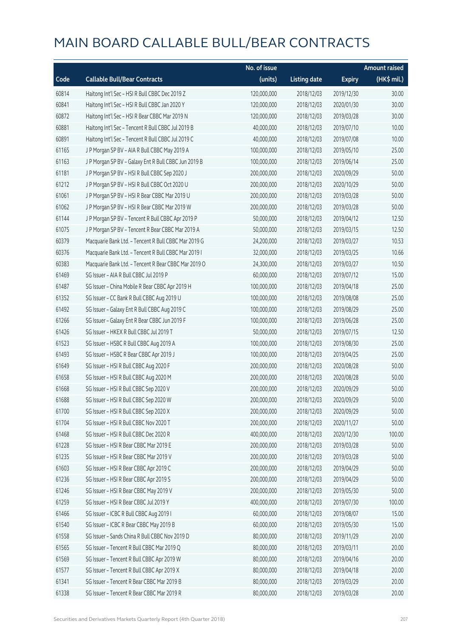|       |                                                      | No. of issue |                     |               | <b>Amount raised</b> |
|-------|------------------------------------------------------|--------------|---------------------|---------------|----------------------|
| Code  | <b>Callable Bull/Bear Contracts</b>                  | (units)      | <b>Listing date</b> | <b>Expiry</b> | (HK\$ mil.)          |
| 60814 | Haitong Int'l Sec - HSI R Bull CBBC Dec 2019 Z       | 120,000,000  | 2018/12/03          | 2019/12/30    | 30.00                |
| 60841 | Haitong Int'l Sec - HSI R Bull CBBC Jan 2020 Y       | 120,000,000  | 2018/12/03          | 2020/01/30    | 30.00                |
| 60872 | Haitong Int'l Sec - HSI R Bear CBBC Mar 2019 N       | 120,000,000  | 2018/12/03          | 2019/03/28    | 30.00                |
| 60881 | Haitong Int'l Sec - Tencent R Bull CBBC Jul 2019 B   | 40,000,000   | 2018/12/03          | 2019/07/10    | 10.00                |
| 60891 | Haitong Int'l Sec - Tencent R Bull CBBC Jul 2019 C   | 40,000,000   | 2018/12/03          | 2019/07/08    | 10.00                |
| 61165 | J P Morgan SP BV - AIA R Bull CBBC May 2019 A        | 100,000,000  | 2018/12/03          | 2019/05/10    | 25.00                |
| 61163 | J P Morgan SP BV - Galaxy Ent R Bull CBBC Jun 2019 B | 100,000,000  | 2018/12/03          | 2019/06/14    | 25.00                |
| 61181 | J P Morgan SP BV - HSI R Bull CBBC Sep 2020 J        | 200,000,000  | 2018/12/03          | 2020/09/29    | 50.00                |
| 61212 | J P Morgan SP BV - HSI R Bull CBBC Oct 2020 U        | 200,000,000  | 2018/12/03          | 2020/10/29    | 50.00                |
| 61061 | J P Morgan SP BV - HSI R Bear CBBC Mar 2019 U        | 200,000,000  | 2018/12/03          | 2019/03/28    | 50.00                |
| 61062 | J P Morgan SP BV - HSI R Bear CBBC Mar 2019 W        | 200,000,000  | 2018/12/03          | 2019/03/28    | 50.00                |
| 61144 | J P Morgan SP BV - Tencent R Bull CBBC Apr 2019 P    | 50,000,000   | 2018/12/03          | 2019/04/12    | 12.50                |
| 61075 | J P Morgan SP BV - Tencent R Bear CBBC Mar 2019 A    | 50,000,000   | 2018/12/03          | 2019/03/15    | 12.50                |
| 60379 | Macquarie Bank Ltd. - Tencent R Bull CBBC Mar 2019 G | 24,200,000   | 2018/12/03          | 2019/03/27    | 10.53                |
| 60376 | Macquarie Bank Ltd. - Tencent R Bull CBBC Mar 2019 I | 32,000,000   | 2018/12/03          | 2019/03/25    | 10.66                |
| 60383 | Macquarie Bank Ltd. - Tencent R Bear CBBC Mar 2019 O | 24,300,000   | 2018/12/03          | 2019/03/27    | 10.50                |
| 61469 | SG Issuer - AIA R Bull CBBC Jul 2019 P               | 60,000,000   | 2018/12/03          | 2019/07/12    | 15.00                |
| 61487 | SG Issuer - China Mobile R Bear CBBC Apr 2019 H      | 100,000,000  | 2018/12/03          | 2019/04/18    | 25.00                |
| 61352 | SG Issuer - CC Bank R Bull CBBC Aug 2019 U           | 100,000,000  | 2018/12/03          | 2019/08/08    | 25.00                |
| 61492 | SG Issuer - Galaxy Ent R Bull CBBC Aug 2019 C        | 100,000,000  | 2018/12/03          | 2019/08/29    | 25.00                |
| 61266 | SG Issuer - Galaxy Ent R Bear CBBC Jun 2019 F        | 100,000,000  | 2018/12/03          | 2019/06/28    | 25.00                |
| 61426 | SG Issuer - HKEX R Bull CBBC Jul 2019 T              | 50,000,000   | 2018/12/03          | 2019/07/15    | 12.50                |
| 61523 | SG Issuer - HSBC R Bull CBBC Aug 2019 A              | 100,000,000  | 2018/12/03          | 2019/08/30    | 25.00                |
| 61493 | SG Issuer - HSBC R Bear CBBC Apr 2019 J              | 100,000,000  | 2018/12/03          | 2019/04/25    | 25.00                |
| 61649 | SG Issuer - HSI R Bull CBBC Aug 2020 F               | 200,000,000  | 2018/12/03          | 2020/08/28    | 50.00                |
| 61658 | SG Issuer - HSI R Bull CBBC Aug 2020 M               | 200,000,000  | 2018/12/03          | 2020/08/28    | 50.00                |
| 61668 | SG Issuer - HSI R Bull CBBC Sep 2020 V               | 200,000,000  | 2018/12/03          | 2020/09/29    | 50.00                |
| 61688 | SG Issuer - HSI R Bull CBBC Sep 2020 W               | 200,000,000  | 2018/12/03          | 2020/09/29    | 50.00                |
| 61700 | SG Issuer - HSI R Bull CBBC Sep 2020 X               | 200,000,000  | 2018/12/03          | 2020/09/29    | 50.00                |
| 61704 | SG Issuer - HSI R Bull CBBC Nov 2020 T               | 200,000,000  | 2018/12/03          | 2020/11/27    | 50.00                |
| 61468 | SG Issuer - HSI R Bull CBBC Dec 2020 R               | 400,000,000  | 2018/12/03          | 2020/12/30    | 100.00               |
| 61228 | SG Issuer - HSI R Bear CBBC Mar 2019 E               | 200,000,000  | 2018/12/03          | 2019/03/28    | 50.00                |
| 61235 | SG Issuer - HSI R Bear CBBC Mar 2019 V               | 200,000,000  | 2018/12/03          | 2019/03/28    | 50.00                |
| 61603 | SG Issuer - HSI R Bear CBBC Apr 2019 C               | 200,000,000  | 2018/12/03          | 2019/04/29    | 50.00                |
| 61236 | SG Issuer - HSI R Bear CBBC Apr 2019 S               | 200,000,000  | 2018/12/03          | 2019/04/29    | 50.00                |
| 61246 | SG Issuer - HSI R Bear CBBC May 2019 V               | 200,000,000  | 2018/12/03          | 2019/05/30    | 50.00                |
| 61259 | SG Issuer - HSI R Bear CBBC Jul 2019 Y               | 400,000,000  | 2018/12/03          | 2019/07/30    | 100.00               |
| 61466 | SG Issuer - ICBC R Bull CBBC Aug 2019 I              | 60,000,000   | 2018/12/03          | 2019/08/07    | 15.00                |
| 61540 | SG Issuer - ICBC R Bear CBBC May 2019 B              | 60,000,000   | 2018/12/03          | 2019/05/30    | 15.00                |
| 61558 | SG Issuer - Sands China R Bull CBBC Nov 2019 D       | 80,000,000   | 2018/12/03          | 2019/11/29    | 20.00                |
| 61565 | SG Issuer - Tencent R Bull CBBC Mar 2019 Q           | 80,000,000   | 2018/12/03          | 2019/03/11    | 20.00                |
| 61569 | SG Issuer - Tencent R Bull CBBC Apr 2019 W           | 80,000,000   | 2018/12/03          | 2019/04/16    | 20.00                |
| 61577 | SG Issuer - Tencent R Bull CBBC Apr 2019 X           | 80,000,000   | 2018/12/03          | 2019/04/18    | 20.00                |
| 61341 | SG Issuer - Tencent R Bear CBBC Mar 2019 B           | 80,000,000   | 2018/12/03          | 2019/03/29    | 20.00                |
| 61338 | SG Issuer - Tencent R Bear CBBC Mar 2019 R           | 80,000,000   | 2018/12/03          | 2019/03/28    | 20.00                |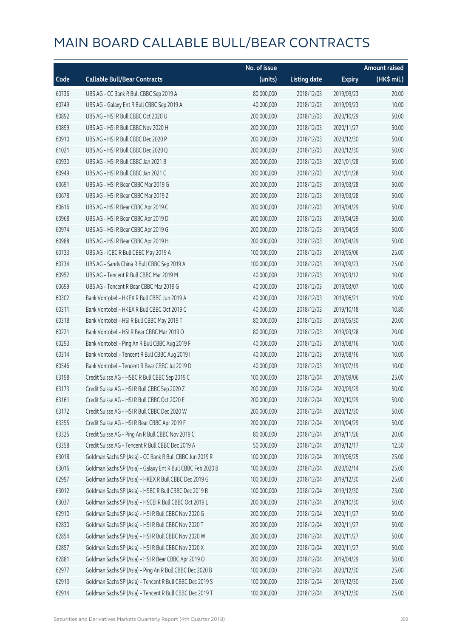|       |                                                             | No. of issue |                     |               | <b>Amount raised</b>  |
|-------|-------------------------------------------------------------|--------------|---------------------|---------------|-----------------------|
| Code  | <b>Callable Bull/Bear Contracts</b>                         | (units)      | <b>Listing date</b> | <b>Expiry</b> | $(HK\frac{1}{2}mil.)$ |
| 60736 | UBS AG - CC Bank R Bull CBBC Sep 2019 A                     | 80,000,000   | 2018/12/03          | 2019/09/23    | 20.00                 |
| 60749 | UBS AG - Galaxy Ent R Bull CBBC Sep 2019 A                  | 40,000,000   | 2018/12/03          | 2019/09/23    | 10.00                 |
| 60892 | UBS AG - HSI R Bull CBBC Oct 2020 U                         | 200,000,000  | 2018/12/03          | 2020/10/29    | 50.00                 |
| 60899 | UBS AG - HSI R Bull CBBC Nov 2020 H                         | 200,000,000  | 2018/12/03          | 2020/11/27    | 50.00                 |
| 60910 | UBS AG - HSI R Bull CBBC Dec 2020 P                         | 200,000,000  | 2018/12/03          | 2020/12/30    | 50.00                 |
| 61021 | UBS AG - HSI R Bull CBBC Dec 2020 Q                         | 200,000,000  | 2018/12/03          | 2020/12/30    | 50.00                 |
| 60930 | UBS AG - HSI R Bull CBBC Jan 2021 B                         | 200,000,000  | 2018/12/03          | 2021/01/28    | 50.00                 |
| 60949 | UBS AG - HSI R Bull CBBC Jan 2021 C                         | 200,000,000  | 2018/12/03          | 2021/01/28    | 50.00                 |
| 60691 | UBS AG - HSI R Bear CBBC Mar 2019 G                         | 200,000,000  | 2018/12/03          | 2019/03/28    | 50.00                 |
| 60678 | UBS AG - HSI R Bear CBBC Mar 2019 Z                         | 200,000,000  | 2018/12/03          | 2019/03/28    | 50.00                 |
| 60616 | UBS AG - HSI R Bear CBBC Apr 2019 C                         | 200,000,000  | 2018/12/03          | 2019/04/29    | 50.00                 |
| 60968 | UBS AG - HSI R Bear CBBC Apr 2019 D                         | 200,000,000  | 2018/12/03          | 2019/04/29    | 50.00                 |
| 60974 | UBS AG - HSI R Bear CBBC Apr 2019 G                         | 200,000,000  | 2018/12/03          | 2019/04/29    | 50.00                 |
| 60988 | UBS AG - HSI R Bear CBBC Apr 2019 H                         | 200,000,000  | 2018/12/03          | 2019/04/29    | 50.00                 |
| 60733 | UBS AG - ICBC R Bull CBBC May 2019 A                        | 100,000,000  | 2018/12/03          | 2019/05/06    | 25.00                 |
| 60734 | UBS AG - Sands China R Bull CBBC Sep 2019 A                 | 100,000,000  | 2018/12/03          | 2019/09/23    | 25.00                 |
| 60952 | UBS AG - Tencent R Bull CBBC Mar 2019 M                     | 40,000,000   | 2018/12/03          | 2019/03/12    | 10.00                 |
| 60699 | UBS AG - Tencent R Bear CBBC Mar 2019 G                     | 40,000,000   | 2018/12/03          | 2019/03/07    | 10.00                 |
| 60302 | Bank Vontobel - HKEX R Bull CBBC Jun 2019 A                 | 40,000,000   | 2018/12/03          | 2019/06/21    | 10.00                 |
| 60311 | Bank Vontobel - HKEX R Bull CBBC Oct 2019 C                 | 40,000,000   | 2018/12/03          | 2019/10/18    | 10.80                 |
| 60318 | Bank Vontobel - HSI R Bull CBBC May 2019 T                  | 80,000,000   | 2018/12/03          | 2019/05/30    | 20.00                 |
| 60221 | Bank Vontobel - HSI R Bear CBBC Mar 2019 O                  | 80,000,000   | 2018/12/03          | 2019/03/28    | 20.00                 |
| 60293 | Bank Vontobel - Ping An R Bull CBBC Aug 2019 F              | 40,000,000   | 2018/12/03          | 2019/08/16    | 10.00                 |
| 60314 | Bank Vontobel - Tencent R Bull CBBC Aug 2019 I              | 40,000,000   | 2018/12/03          | 2019/08/16    | 10.00                 |
| 60546 | Bank Vontobel - Tencent R Bear CBBC Jul 2019 D              | 40,000,000   | 2018/12/03          | 2019/07/19    | 10.00                 |
| 63198 | Credit Suisse AG - HSBC R Bull CBBC Sep 2019 C              | 100,000,000  | 2018/12/04          | 2019/09/06    | 25.00                 |
| 63173 | Credit Suisse AG - HSI R Bull CBBC Sep 2020 Z               | 200,000,000  | 2018/12/04          | 2020/09/29    | 50.00                 |
| 63161 | Credit Suisse AG - HSI R Bull CBBC Oct 2020 E               | 200,000,000  | 2018/12/04          | 2020/10/29    | 50.00                 |
| 63172 | Credit Suisse AG - HSI R Bull CBBC Dec 2020 W               | 200,000,000  | 2018/12/04          | 2020/12/30    | 50.00                 |
| 63355 | Credit Suisse AG - HSI R Bear CBBC Apr 2019 F               | 200,000,000  | 2018/12/04          | 2019/04/29    | 50.00                 |
| 63325 | Credit Suisse AG - Ping An R Bull CBBC Nov 2019 C           | 80,000,000   | 2018/12/04          | 2019/11/26    | 20.00                 |
| 63358 | Credit Suisse AG - Tencent R Bull CBBC Dec 2019 A           | 50,000,000   | 2018/12/04          | 2019/12/17    | 12.50                 |
| 63018 | Goldman Sachs SP (Asia) - CC Bank R Bull CBBC Jun 2019 R    | 100,000,000  | 2018/12/04          | 2019/06/25    | 25.00                 |
| 63016 | Goldman Sachs SP (Asia) - Galaxy Ent R Bull CBBC Feb 2020 B | 100,000,000  | 2018/12/04          | 2020/02/14    | 25.00                 |
| 62997 | Goldman Sachs SP (Asia) - HKEX R Bull CBBC Dec 2019 G       | 100,000,000  | 2018/12/04          | 2019/12/30    | 25.00                 |
| 63012 | Goldman Sachs SP (Asia) - HSBC R Bull CBBC Dec 2019 B       | 100,000,000  | 2018/12/04          | 2019/12/30    | 25.00                 |
| 63037 | Goldman Sachs SP (Asia) - HSCEI R Bull CBBC Oct 2019 L      | 200,000,000  | 2018/12/04          | 2019/10/30    | 50.00                 |
| 62910 | Goldman Sachs SP (Asia) - HSI R Bull CBBC Nov 2020 G        | 200,000,000  | 2018/12/04          | 2020/11/27    | 50.00                 |
| 62830 | Goldman Sachs SP (Asia) - HSI R Bull CBBC Nov 2020 T        | 200,000,000  | 2018/12/04          | 2020/11/27    | 50.00                 |
| 62854 | Goldman Sachs SP (Asia) - HSI R Bull CBBC Nov 2020 W        | 200,000,000  | 2018/12/04          | 2020/11/27    | 50.00                 |
| 62857 | Goldman Sachs SP (Asia) - HSI R Bull CBBC Nov 2020 X        | 200,000,000  | 2018/12/04          | 2020/11/27    | 50.00                 |
| 62881 | Goldman Sachs SP (Asia) - HSI R Bear CBBC Apr 2019 O        | 200,000,000  | 2018/12/04          | 2019/04/29    | 50.00                 |
| 62977 | Goldman Sachs SP (Asia) - Ping An R Bull CBBC Dec 2020 B    | 100,000,000  | 2018/12/04          | 2020/12/30    | 25.00                 |
| 62913 | Goldman Sachs SP (Asia) - Tencent R Bull CBBC Dec 2019 S    | 100,000,000  | 2018/12/04          | 2019/12/30    | 25.00                 |
| 62914 | Goldman Sachs SP (Asia) - Tencent R Bull CBBC Dec 2019 T    | 100,000,000  | 2018/12/04          | 2019/12/30    | 25.00                 |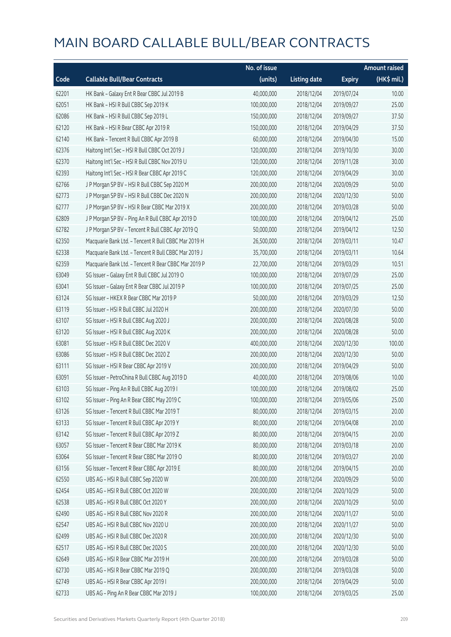|       |                                                      | No. of issue |                     |               | <b>Amount raised</b> |
|-------|------------------------------------------------------|--------------|---------------------|---------------|----------------------|
| Code  | <b>Callable Bull/Bear Contracts</b>                  | (units)      | <b>Listing date</b> | <b>Expiry</b> | (HK\$ mil.)          |
| 62201 | HK Bank - Galaxy Ent R Bear CBBC Jul 2019 B          | 40,000,000   | 2018/12/04          | 2019/07/24    | 10.00                |
| 62051 | HK Bank - HSI R Bull CBBC Sep 2019 K                 | 100,000,000  | 2018/12/04          | 2019/09/27    | 25.00                |
| 62086 | HK Bank - HSI R Bull CBBC Sep 2019 L                 | 150,000,000  | 2018/12/04          | 2019/09/27    | 37.50                |
| 62120 | HK Bank - HSI R Bear CBBC Apr 2019 R                 | 150,000,000  | 2018/12/04          | 2019/04/29    | 37.50                |
| 62140 | HK Bank - Tencent R Bull CBBC Apr 2019 B             | 60,000,000   | 2018/12/04          | 2019/04/30    | 15.00                |
| 62376 | Haitong Int'l Sec - HSI R Bull CBBC Oct 2019 J       | 120,000,000  | 2018/12/04          | 2019/10/30    | 30.00                |
| 62370 | Haitong Int'l Sec - HSI R Bull CBBC Nov 2019 U       | 120,000,000  | 2018/12/04          | 2019/11/28    | 30.00                |
| 62393 | Haitong Int'l Sec - HSI R Bear CBBC Apr 2019 C       | 120,000,000  | 2018/12/04          | 2019/04/29    | 30.00                |
| 62766 | J P Morgan SP BV - HSI R Bull CBBC Sep 2020 M        | 200,000,000  | 2018/12/04          | 2020/09/29    | 50.00                |
| 62773 | J P Morgan SP BV - HSI R Bull CBBC Dec 2020 N        | 200,000,000  | 2018/12/04          | 2020/12/30    | 50.00                |
| 62777 | J P Morgan SP BV - HSI R Bear CBBC Mar 2019 X        | 200,000,000  | 2018/12/04          | 2019/03/28    | 50.00                |
| 62809 | J P Morgan SP BV - Ping An R Bull CBBC Apr 2019 D    | 100,000,000  | 2018/12/04          | 2019/04/12    | 25.00                |
| 62782 | J P Morgan SP BV - Tencent R Bull CBBC Apr 2019 Q    | 50,000,000   | 2018/12/04          | 2019/04/12    | 12.50                |
| 62350 | Macquarie Bank Ltd. - Tencent R Bull CBBC Mar 2019 H | 26,500,000   | 2018/12/04          | 2019/03/11    | 10.47                |
| 62338 | Macquarie Bank Ltd. - Tencent R Bull CBBC Mar 2019 J | 35,700,000   | 2018/12/04          | 2019/03/11    | 10.64                |
| 62359 | Macquarie Bank Ltd. - Tencent R Bear CBBC Mar 2019 P | 22,700,000   | 2018/12/04          | 2019/03/29    | 10.51                |
| 63049 | SG Issuer - Galaxy Ent R Bull CBBC Jul 2019 O        | 100,000,000  | 2018/12/04          | 2019/07/29    | 25.00                |
| 63041 | SG Issuer - Galaxy Ent R Bear CBBC Jul 2019 P        | 100,000,000  | 2018/12/04          | 2019/07/25    | 25.00                |
| 63124 | SG Issuer - HKEX R Bear CBBC Mar 2019 P              | 50,000,000   | 2018/12/04          | 2019/03/29    | 12.50                |
| 63119 | SG Issuer - HSI R Bull CBBC Jul 2020 H               | 200,000,000  | 2018/12/04          | 2020/07/30    | 50.00                |
| 63107 | SG Issuer - HSI R Bull CBBC Aug 2020 J               | 200,000,000  | 2018/12/04          | 2020/08/28    | 50.00                |
| 63120 | SG Issuer - HSI R Bull CBBC Aug 2020 K               | 200,000,000  | 2018/12/04          | 2020/08/28    | 50.00                |
| 63081 | SG Issuer - HSI R Bull CBBC Dec 2020 V               | 400,000,000  | 2018/12/04          | 2020/12/30    | 100.00               |
| 63086 | SG Issuer - HSI R Bull CBBC Dec 2020 Z               | 200,000,000  | 2018/12/04          | 2020/12/30    | 50.00                |
| 63111 | SG Issuer - HSI R Bear CBBC Apr 2019 V               | 200,000,000  | 2018/12/04          | 2019/04/29    | 50.00                |
| 63091 | SG Issuer - PetroChina R Bull CBBC Aug 2019 D        | 40,000,000   | 2018/12/04          | 2019/08/06    | 10.00                |
| 63103 | SG Issuer - Ping An R Bull CBBC Aug 2019 I           | 100,000,000  | 2018/12/04          | 2019/08/02    | 25.00                |
| 63102 | SG Issuer - Ping An R Bear CBBC May 2019 C           | 100,000,000  | 2018/12/04          | 2019/05/06    | 25.00                |
| 63126 | SG Issuer - Tencent R Bull CBBC Mar 2019 T           | 80,000,000   | 2018/12/04          | 2019/03/15    | 20.00                |
| 63133 | SG Issuer - Tencent R Bull CBBC Apr 2019 Y           | 80,000,000   | 2018/12/04          | 2019/04/08    | 20.00                |
| 63142 | SG Issuer - Tencent R Bull CBBC Apr 2019 Z           | 80,000,000   | 2018/12/04          | 2019/04/15    | 20.00                |
| 63057 | SG Issuer - Tencent R Bear CBBC Mar 2019 K           | 80,000,000   | 2018/12/04          | 2019/03/18    | 20.00                |
| 63064 | SG Issuer - Tencent R Bear CBBC Mar 2019 O           | 80,000,000   | 2018/12/04          | 2019/03/27    | 20.00                |
| 63156 | SG Issuer - Tencent R Bear CBBC Apr 2019 E           | 80,000,000   | 2018/12/04          | 2019/04/15    | 20.00                |
| 62550 | UBS AG - HSI R Bull CBBC Sep 2020 W                  | 200,000,000  | 2018/12/04          | 2020/09/29    | 50.00                |
| 62454 | UBS AG - HSI R Bull CBBC Oct 2020 W                  | 200,000,000  | 2018/12/04          | 2020/10/29    | 50.00                |
| 62538 | UBS AG - HSI R Bull CBBC Oct 2020 Y                  | 200,000,000  | 2018/12/04          | 2020/10/29    | 50.00                |
| 62490 | UBS AG - HSI R Bull CBBC Nov 2020 R                  | 200,000,000  | 2018/12/04          | 2020/11/27    | 50.00                |
| 62547 | UBS AG - HSI R Bull CBBC Nov 2020 U                  | 200,000,000  | 2018/12/04          | 2020/11/27    | 50.00                |
| 62499 | UBS AG - HSI R Bull CBBC Dec 2020 R                  | 200,000,000  | 2018/12/04          | 2020/12/30    | 50.00                |
| 62517 | UBS AG - HSI R Bull CBBC Dec 2020 S                  | 200,000,000  | 2018/12/04          | 2020/12/30    | 50.00                |
| 62649 | UBS AG - HSI R Bear CBBC Mar 2019 H                  | 200,000,000  | 2018/12/04          | 2019/03/28    | 50.00                |
| 62730 | UBS AG - HSI R Bear CBBC Mar 2019 Q                  | 200,000,000  | 2018/12/04          | 2019/03/28    | 50.00                |
| 62749 | UBS AG - HSI R Bear CBBC Apr 2019 I                  | 200,000,000  | 2018/12/04          | 2019/04/29    | 50.00                |
| 62733 | UBS AG - Ping An R Bear CBBC Mar 2019 J              | 100,000,000  | 2018/12/04          | 2019/03/25    | 25.00                |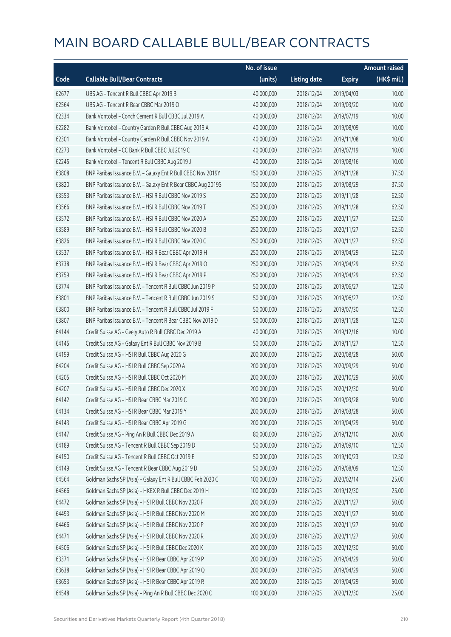|       |                                                              | No. of issue |                     |               | <b>Amount raised</b> |
|-------|--------------------------------------------------------------|--------------|---------------------|---------------|----------------------|
| Code  | <b>Callable Bull/Bear Contracts</b>                          | (units)      | <b>Listing date</b> | <b>Expiry</b> | (HK\$ mil.)          |
| 62677 | UBS AG - Tencent R Bull CBBC Apr 2019 B                      | 40,000,000   | 2018/12/04          | 2019/04/03    | 10.00                |
| 62564 | UBS AG - Tencent R Bear CBBC Mar 2019 O                      | 40,000,000   | 2018/12/04          | 2019/03/20    | 10.00                |
| 62334 | Bank Vontobel - Conch Cement R Bull CBBC Jul 2019 A          | 40,000,000   | 2018/12/04          | 2019/07/19    | 10.00                |
| 62282 | Bank Vontobel - Country Garden R Bull CBBC Aug 2019 A        | 40,000,000   | 2018/12/04          | 2019/08/09    | 10.00                |
| 62301 | Bank Vontobel - Country Garden R Bull CBBC Nov 2019 A        | 40,000,000   | 2018/12/04          | 2019/11/08    | 10.00                |
| 62273 | Bank Vontobel - CC Bank R Bull CBBC Jul 2019 C               | 40,000,000   | 2018/12/04          | 2019/07/19    | 10.00                |
| 62245 | Bank Vontobel - Tencent R Bull CBBC Aug 2019 J               | 40,000,000   | 2018/12/04          | 2019/08/16    | 10.00                |
| 63808 | BNP Paribas Issuance B.V. - Galaxy Ent R Bull CBBC Nov 2019Y | 150,000,000  | 2018/12/05          | 2019/11/28    | 37.50                |
| 63820 | BNP Paribas Issuance B.V. - Galaxy Ent R Bear CBBC Aug 2019S | 150,000,000  | 2018/12/05          | 2019/08/29    | 37.50                |
| 63553 | BNP Paribas Issuance B.V. - HSI R Bull CBBC Nov 2019 S       | 250,000,000  | 2018/12/05          | 2019/11/28    | 62.50                |
| 63566 | BNP Paribas Issuance B.V. - HSI R Bull CBBC Nov 2019 T       | 250,000,000  | 2018/12/05          | 2019/11/28    | 62.50                |
| 63572 | BNP Paribas Issuance B.V. - HSI R Bull CBBC Nov 2020 A       | 250,000,000  | 2018/12/05          | 2020/11/27    | 62.50                |
| 63589 | BNP Paribas Issuance B.V. - HSI R Bull CBBC Nov 2020 B       | 250,000,000  | 2018/12/05          | 2020/11/27    | 62.50                |
| 63826 | BNP Paribas Issuance B.V. - HSI R Bull CBBC Nov 2020 C       | 250,000,000  | 2018/12/05          | 2020/11/27    | 62.50                |
| 63537 | BNP Paribas Issuance B.V. - HSI R Bear CBBC Apr 2019 H       | 250,000,000  | 2018/12/05          | 2019/04/29    | 62.50                |
| 63738 | BNP Paribas Issuance B.V. - HSI R Bear CBBC Apr 2019 O       | 250,000,000  | 2018/12/05          | 2019/04/29    | 62.50                |
| 63759 | BNP Paribas Issuance B.V. - HSI R Bear CBBC Apr 2019 P       | 250,000,000  | 2018/12/05          | 2019/04/29    | 62.50                |
| 63774 | BNP Paribas Issuance B.V. - Tencent R Bull CBBC Jun 2019 P   | 50,000,000   | 2018/12/05          | 2019/06/27    | 12.50                |
| 63801 | BNP Paribas Issuance B.V. - Tencent R Bull CBBC Jun 2019 S   | 50,000,000   | 2018/12/05          | 2019/06/27    | 12.50                |
| 63800 | BNP Paribas Issuance B.V. - Tencent R Bull CBBC Jul 2019 F   | 50,000,000   | 2018/12/05          | 2019/07/30    | 12.50                |
| 63807 | BNP Paribas Issuance B.V. - Tencent R Bear CBBC Nov 2019 D   | 50,000,000   | 2018/12/05          | 2019/11/28    | 12.50                |
| 64144 | Credit Suisse AG - Geely Auto R Bull CBBC Dec 2019 A         | 40,000,000   | 2018/12/05          | 2019/12/16    | 10.00                |
| 64145 | Credit Suisse AG - Galaxy Ent R Bull CBBC Nov 2019 B         | 50,000,000   | 2018/12/05          | 2019/11/27    | 12.50                |
| 64199 | Credit Suisse AG - HSI R Bull CBBC Aug 2020 G                | 200,000,000  | 2018/12/05          | 2020/08/28    | 50.00                |
| 64204 | Credit Suisse AG - HSI R Bull CBBC Sep 2020 A                | 200,000,000  | 2018/12/05          | 2020/09/29    | 50.00                |
| 64205 | Credit Suisse AG - HSI R Bull CBBC Oct 2020 M                | 200,000,000  | 2018/12/05          | 2020/10/29    | 50.00                |
| 64207 | Credit Suisse AG - HSI R Bull CBBC Dec 2020 X                | 200,000,000  | 2018/12/05          | 2020/12/30    | 50.00                |
| 64142 | Credit Suisse AG - HSI R Bear CBBC Mar 2019 C                | 200,000,000  | 2018/12/05          | 2019/03/28    | 50.00                |
| 64134 | Credit Suisse AG - HSI R Bear CBBC Mar 2019 Y                | 200,000,000  | 2018/12/05          | 2019/03/28    | 50.00                |
| 64143 | Credit Suisse AG - HSI R Bear CBBC Apr 2019 G                | 200,000,000  | 2018/12/05          | 2019/04/29    | 50.00                |
| 64147 | Credit Suisse AG - Ping An R Bull CBBC Dec 2019 A            | 80,000,000   | 2018/12/05          | 2019/12/10    | 20.00                |
| 64189 | Credit Suisse AG - Tencent R Bull CBBC Sep 2019 D            | 50,000,000   | 2018/12/05          | 2019/09/10    | 12.50                |
| 64150 | Credit Suisse AG - Tencent R Bull CBBC Oct 2019 E            | 50,000,000   | 2018/12/05          | 2019/10/23    | 12.50                |
| 64149 | Credit Suisse AG - Tencent R Bear CBBC Aug 2019 D            | 50,000,000   | 2018/12/05          | 2019/08/09    | 12.50                |
| 64564 | Goldman Sachs SP (Asia) - Galaxy Ent R Bull CBBC Feb 2020 C  | 100,000,000  | 2018/12/05          | 2020/02/14    | 25.00                |
| 64566 | Goldman Sachs SP (Asia) - HKEX R Bull CBBC Dec 2019 H        | 100,000,000  | 2018/12/05          | 2019/12/30    | 25.00                |
| 64472 | Goldman Sachs SP (Asia) - HSI R Bull CBBC Nov 2020 F         | 200,000,000  | 2018/12/05          | 2020/11/27    | 50.00                |
| 64493 | Goldman Sachs SP (Asia) - HSI R Bull CBBC Nov 2020 M         | 200,000,000  | 2018/12/05          | 2020/11/27    | 50.00                |
| 64466 | Goldman Sachs SP (Asia) - HSI R Bull CBBC Nov 2020 P         | 200,000,000  | 2018/12/05          | 2020/11/27    | 50.00                |
| 64471 | Goldman Sachs SP (Asia) - HSI R Bull CBBC Nov 2020 R         | 200,000,000  | 2018/12/05          | 2020/11/27    | 50.00                |
| 64506 | Goldman Sachs SP (Asia) - HSI R Bull CBBC Dec 2020 K         | 200,000,000  | 2018/12/05          | 2020/12/30    | 50.00                |
| 63371 | Goldman Sachs SP (Asia) - HSI R Bear CBBC Apr 2019 P         | 200,000,000  | 2018/12/05          | 2019/04/29    | 50.00                |
| 63638 | Goldman Sachs SP (Asia) - HSI R Bear CBBC Apr 2019 Q         | 200,000,000  | 2018/12/05          | 2019/04/29    | 50.00                |
| 63653 | Goldman Sachs SP (Asia) - HSI R Bear CBBC Apr 2019 R         | 200,000,000  | 2018/12/05          | 2019/04/29    | 50.00                |
| 64548 | Goldman Sachs SP (Asia) - Ping An R Bull CBBC Dec 2020 C     | 100,000,000  | 2018/12/05          | 2020/12/30    | 25.00                |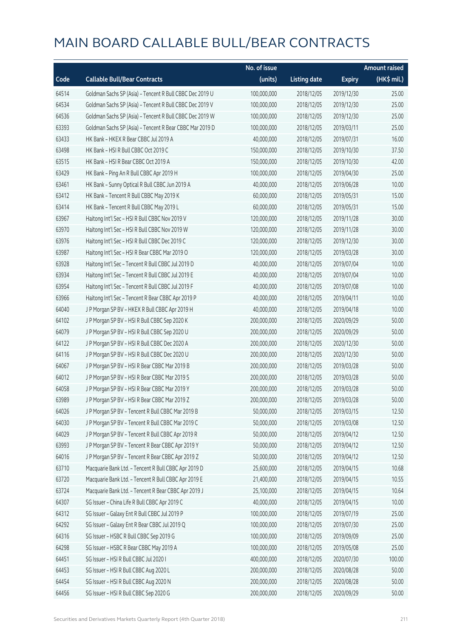|       |                                                          | No. of issue |                     |               | <b>Amount raised</b>  |
|-------|----------------------------------------------------------|--------------|---------------------|---------------|-----------------------|
| Code  | <b>Callable Bull/Bear Contracts</b>                      | (units)      | <b>Listing date</b> | <b>Expiry</b> | $(HK\frac{1}{2}mil.)$ |
| 64514 | Goldman Sachs SP (Asia) - Tencent R Bull CBBC Dec 2019 U | 100,000,000  | 2018/12/05          | 2019/12/30    | 25.00                 |
| 64534 | Goldman Sachs SP (Asia) - Tencent R Bull CBBC Dec 2019 V | 100,000,000  | 2018/12/05          | 2019/12/30    | 25.00                 |
| 64536 | Goldman Sachs SP (Asia) - Tencent R Bull CBBC Dec 2019 W | 100,000,000  | 2018/12/05          | 2019/12/30    | 25.00                 |
| 63393 | Goldman Sachs SP (Asia) - Tencent R Bear CBBC Mar 2019 D | 100,000,000  | 2018/12/05          | 2019/03/11    | 25.00                 |
| 63433 | HK Bank - HKEX R Bear CBBC Jul 2019 A                    | 40,000,000   | 2018/12/05          | 2019/07/31    | 16.00                 |
| 63498 | HK Bank - HSI R Bull CBBC Oct 2019 C                     | 150,000,000  | 2018/12/05          | 2019/10/30    | 37.50                 |
| 63515 | HK Bank - HSI R Bear CBBC Oct 2019 A                     | 150,000,000  | 2018/12/05          | 2019/10/30    | 42.00                 |
| 63429 | HK Bank - Ping An R Bull CBBC Apr 2019 H                 | 100,000,000  | 2018/12/05          | 2019/04/30    | 25.00                 |
| 63461 | HK Bank - Sunny Optical R Bull CBBC Jun 2019 A           | 40,000,000   | 2018/12/05          | 2019/06/28    | 10.00                 |
| 63412 | HK Bank - Tencent R Bull CBBC May 2019 K                 | 60,000,000   | 2018/12/05          | 2019/05/31    | 15.00                 |
| 63414 | HK Bank - Tencent R Bull CBBC May 2019 L                 | 60,000,000   | 2018/12/05          | 2019/05/31    | 15.00                 |
| 63967 | Haitong Int'l Sec - HSI R Bull CBBC Nov 2019 V           | 120,000,000  | 2018/12/05          | 2019/11/28    | 30.00                 |
| 63970 | Haitong Int'l Sec - HSI R Bull CBBC Nov 2019 W           | 120,000,000  | 2018/12/05          | 2019/11/28    | 30.00                 |
| 63976 | Haitong Int'l Sec - HSI R Bull CBBC Dec 2019 C           | 120,000,000  | 2018/12/05          | 2019/12/30    | 30.00                 |
| 63987 | Haitong Int'l Sec - HSI R Bear CBBC Mar 2019 O           | 120,000,000  | 2018/12/05          | 2019/03/28    | 30.00                 |
| 63928 | Haitong Int'l Sec - Tencent R Bull CBBC Jul 2019 D       | 40,000,000   | 2018/12/05          | 2019/07/04    | 10.00                 |
| 63934 | Haitong Int'l Sec - Tencent R Bull CBBC Jul 2019 E       | 40,000,000   | 2018/12/05          | 2019/07/04    | 10.00                 |
| 63954 | Haitong Int'l Sec - Tencent R Bull CBBC Jul 2019 F       | 40,000,000   | 2018/12/05          | 2019/07/08    | 10.00                 |
| 63966 | Haitong Int'l Sec - Tencent R Bear CBBC Apr 2019 P       | 40,000,000   | 2018/12/05          | 2019/04/11    | 10.00                 |
| 64040 | J P Morgan SP BV - HKEX R Bull CBBC Apr 2019 H           | 40,000,000   | 2018/12/05          | 2019/04/18    | 10.00                 |
| 64102 | J P Morgan SP BV - HSI R Bull CBBC Sep 2020 K            | 200,000,000  | 2018/12/05          | 2020/09/29    | 50.00                 |
| 64079 | J P Morgan SP BV - HSI R Bull CBBC Sep 2020 U            | 200,000,000  | 2018/12/05          | 2020/09/29    | 50.00                 |
| 64122 | J P Morgan SP BV - HSI R Bull CBBC Dec 2020 A            | 200,000,000  | 2018/12/05          | 2020/12/30    | 50.00                 |
| 64116 | J P Morgan SP BV - HSI R Bull CBBC Dec 2020 U            | 200,000,000  | 2018/12/05          | 2020/12/30    | 50.00                 |
| 64067 | J P Morgan SP BV - HSI R Bear CBBC Mar 2019 B            | 200,000,000  | 2018/12/05          | 2019/03/28    | 50.00                 |
| 64012 | J P Morgan SP BV - HSI R Bear CBBC Mar 2019 S            | 200,000,000  | 2018/12/05          | 2019/03/28    | 50.00                 |
| 64058 | J P Morgan SP BV - HSI R Bear CBBC Mar 2019 Y            | 200,000,000  | 2018/12/05          | 2019/03/28    | 50.00                 |
| 63989 | J P Morgan SP BV - HSI R Bear CBBC Mar 2019 Z            | 200,000,000  | 2018/12/05          | 2019/03/28    | 50.00                 |
| 64026 | JP Morgan SP BV - Tencent R Bull CBBC Mar 2019 B         | 50,000,000   | 2018/12/05          | 2019/03/15    | 12.50                 |
| 64030 | J P Morgan SP BV - Tencent R Bull CBBC Mar 2019 C        | 50,000,000   | 2018/12/05          | 2019/03/08    | 12.50                 |
| 64029 | JP Morgan SP BV - Tencent R Bull CBBC Apr 2019 R         | 50,000,000   | 2018/12/05          | 2019/04/12    | 12.50                 |
| 63993 | J P Morgan SP BV - Tencent R Bear CBBC Apr 2019 Y        | 50,000,000   | 2018/12/05          | 2019/04/12    | 12.50                 |
| 64016 | J P Morgan SP BV - Tencent R Bear CBBC Apr 2019 Z        | 50,000,000   | 2018/12/05          | 2019/04/12    | 12.50                 |
| 63710 | Macquarie Bank Ltd. - Tencent R Bull CBBC Apr 2019 D     | 25,600,000   | 2018/12/05          | 2019/04/15    | 10.68                 |
| 63720 | Macquarie Bank Ltd. - Tencent R Bull CBBC Apr 2019 E     | 21,400,000   | 2018/12/05          | 2019/04/15    | 10.55                 |
| 63724 | Macquarie Bank Ltd. - Tencent R Bear CBBC Apr 2019 J     | 25,100,000   | 2018/12/05          | 2019/04/15    | 10.64                 |
| 64307 | SG Issuer - China Life R Bull CBBC Apr 2019 C            | 40,000,000   | 2018/12/05          | 2019/04/15    | 10.00                 |
| 64312 | SG Issuer - Galaxy Ent R Bull CBBC Jul 2019 P            | 100,000,000  | 2018/12/05          | 2019/07/19    | 25.00                 |
| 64292 | SG Issuer - Galaxy Ent R Bear CBBC Jul 2019 Q            | 100,000,000  | 2018/12/05          | 2019/07/30    | 25.00                 |
| 64316 | SG Issuer - HSBC R Bull CBBC Sep 2019 G                  | 100,000,000  | 2018/12/05          | 2019/09/09    | 25.00                 |
| 64298 | SG Issuer - HSBC R Bear CBBC May 2019 A                  | 100,000,000  | 2018/12/05          | 2019/05/08    | 25.00                 |
| 64451 | SG Issuer - HSI R Bull CBBC Jul 2020 I                   | 400,000,000  | 2018/12/05          | 2020/07/30    | 100.00                |
| 64453 | SG Issuer - HSI R Bull CBBC Aug 2020 L                   | 200,000,000  | 2018/12/05          | 2020/08/28    | 50.00                 |
| 64454 | SG Issuer - HSI R Bull CBBC Aug 2020 N                   | 200,000,000  | 2018/12/05          | 2020/08/28    | 50.00                 |
| 64456 | SG Issuer - HSI R Bull CBBC Sep 2020 G                   | 200,000,000  | 2018/12/05          | 2020/09/29    | 50.00                 |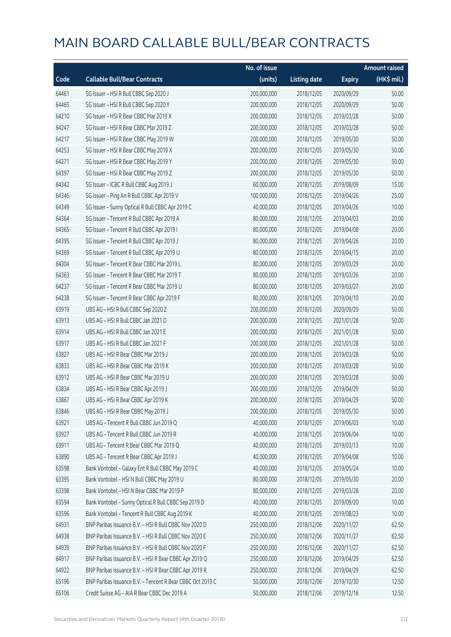|       |                                                            | No. of issue |                     |               | <b>Amount raised</b> |
|-------|------------------------------------------------------------|--------------|---------------------|---------------|----------------------|
| Code  | <b>Callable Bull/Bear Contracts</b>                        | (units)      | <b>Listing date</b> | <b>Expiry</b> | (HK\$ mil.)          |
| 64461 | SG Issuer - HSI R Bull CBBC Sep 2020 J                     | 200,000,000  | 2018/12/05          | 2020/09/29    | 50.00                |
| 64465 | SG Issuer - HSI R Bull CBBC Sep 2020 Y                     | 200,000,000  | 2018/12/05          | 2020/09/29    | 50.00                |
| 64210 | SG Issuer - HSI R Bear CBBC Mar 2019 X                     | 200,000,000  | 2018/12/05          | 2019/03/28    | 50.00                |
| 64247 | SG Issuer - HSI R Bear CBBC Mar 2019 Z                     | 200,000,000  | 2018/12/05          | 2019/03/28    | 50.00                |
| 64217 | SG Issuer - HSI R Bear CBBC May 2019 W                     | 200,000,000  | 2018/12/05          | 2019/05/30    | 50.00                |
| 64253 | SG Issuer - HSI R Bear CBBC May 2019 X                     | 200,000,000  | 2018/12/05          | 2019/05/30    | 50.00                |
| 64271 | SG Issuer - HSI R Bear CBBC May 2019 Y                     | 200,000,000  | 2018/12/05          | 2019/05/30    | 50.00                |
| 64397 | SG Issuer - HSI R Bear CBBC May 2019 Z                     | 200,000,000  | 2018/12/05          | 2019/05/30    | 50.00                |
| 64342 | SG Issuer - ICBC R Bull CBBC Aug 2019 J                    | 60,000,000   | 2018/12/05          | 2019/08/09    | 15.00                |
| 64346 | SG Issuer - Ping An R Bull CBBC Apr 2019 V                 | 100,000,000  | 2018/12/05          | 2019/04/26    | 25.00                |
| 64349 | SG Issuer - Sunny Optical R Bull CBBC Apr 2019 C           | 40,000,000   | 2018/12/05          | 2019/04/26    | 10.00                |
| 64364 | SG Issuer - Tencent R Bull CBBC Apr 2019 A                 | 80,000,000   | 2018/12/05          | 2019/04/03    | 20.00                |
| 64365 | SG Issuer - Tencent R Bull CBBC Apr 2019 I                 | 80,000,000   | 2018/12/05          | 2019/04/08    | 20.00                |
| 64395 | SG Issuer - Tencent R Bull CBBC Apr 2019 J                 | 80,000,000   | 2018/12/05          | 2019/04/26    | 20.00                |
| 64369 | SG Issuer - Tencent R Bull CBBC Apr 2019 U                 | 80,000,000   | 2018/12/05          | 2019/04/15    | 20.00                |
| 64304 | SG Issuer - Tencent R Bear CBBC Mar 2019 L                 | 80,000,000   | 2018/12/05          | 2019/03/29    | 20.00                |
| 64363 | SG Issuer - Tencent R Bear CBBC Mar 2019 T                 | 80,000,000   | 2018/12/05          | 2019/03/26    | 20.00                |
| 64237 | SG Issuer - Tencent R Bear CBBC Mar 2019 U                 | 80,000,000   | 2018/12/05          | 2019/03/27    | 20.00                |
| 64238 | SG Issuer - Tencent R Bear CBBC Apr 2019 F                 | 80,000,000   | 2018/12/05          | 2019/04/10    | 20.00                |
| 63919 | UBS AG - HSI R Bull CBBC Sep 2020 Z                        | 200,000,000  | 2018/12/05          | 2020/09/29    | 50.00                |
| 63913 | UBS AG - HSI R Bull CBBC Jan 2021 D                        | 200,000,000  | 2018/12/05          | 2021/01/28    | 50.00                |
| 63914 | UBS AG - HSI R Bull CBBC Jan 2021 E                        | 200,000,000  | 2018/12/05          | 2021/01/28    | 50.00                |
| 63917 | UBS AG - HSI R Bull CBBC Jan 2021 F                        | 200,000,000  | 2018/12/05          | 2021/01/28    | 50.00                |
| 63827 | UBS AG - HSI R Bear CBBC Mar 2019 J                        | 200,000,000  | 2018/12/05          | 2019/03/28    | 50.00                |
| 63833 | UBS AG - HSI R Bear CBBC Mar 2019 K                        | 200,000,000  | 2018/12/05          | 2019/03/28    | 50.00                |
| 63912 | UBS AG - HSI R Bear CBBC Mar 2019 U                        | 200,000,000  | 2018/12/05          | 2019/03/28    | 50.00                |
| 63834 | UBS AG - HSI R Bear CBBC Apr 2019 J                        | 200,000,000  | 2018/12/05          | 2019/04/29    | 50.00                |
| 63867 | UBS AG - HSI R Bear CBBC Apr 2019 K                        | 200,000,000  | 2018/12/05          | 2019/04/29    | 50.00                |
| 63846 | UBS AG - HSI R Bear CBBC May 2019 J                        | 200,000,000  | 2018/12/05          | 2019/05/30    | 50.00                |
| 63921 | UBS AG - Tencent R Bull CBBC Jun 2019 Q                    | 40,000,000   | 2018/12/05          | 2019/06/03    | 10.00                |
| 63927 | UBS AG - Tencent R Bull CBBC Jun 2019 R                    | 40,000,000   | 2018/12/05          | 2019/06/04    | 10.00                |
| 63911 | UBS AG - Tencent R Bear CBBC Mar 2019 Q                    | 40,000,000   | 2018/12/05          | 2019/03/13    | 10.00                |
| 63890 | UBS AG - Tencent R Bear CBBC Apr 2019 J                    | 40,000,000   | 2018/12/05          | 2019/04/08    | 10.00                |
| 63598 | Bank Vontobel - Galaxy Ent R Bull CBBC May 2019 C          | 40,000,000   | 2018/12/05          | 2019/05/24    | 10.00                |
| 63395 | Bank Vontobel - HSI N Bull CBBC May 2019 U                 | 80,000,000   | 2018/12/05          | 2019/05/30    | 20.00                |
| 63398 | Bank Vontobel - HSI N Bear CBBC Mar 2019 P                 | 80,000,000   | 2018/12/05          | 2019/03/28    | 20.00                |
| 63594 | Bank Vontobel - Sunny Optical R Bull CBBC Sep 2019 D       | 40,000,000   | 2018/12/05          | 2019/09/20    | 10.00                |
| 63596 | Bank Vontobel - Tencent R Bull CBBC Aug 2019 K             | 40,000,000   | 2018/12/05          | 2019/08/23    | 10.00                |
| 64931 | BNP Paribas Issuance B.V. - HSI R Bull CBBC Nov 2020 D     | 250,000,000  | 2018/12/06          | 2020/11/27    | 62.50                |
| 64938 | BNP Paribas Issuance B.V. - HSI R Bull CBBC Nov 2020 E     | 250,000,000  | 2018/12/06          | 2020/11/27    | 62.50                |
| 64939 | BNP Paribas Issuance B.V. - HSI R Bull CBBC Nov 2020 F     | 250,000,000  | 2018/12/06          | 2020/11/27    | 62.50                |
| 64917 | BNP Paribas Issuance B.V. - HSI R Bear CBBC Apr 2019 Q     | 250,000,000  | 2018/12/06          | 2019/04/29    | 62.50                |
| 64922 | BNP Paribas Issuance B.V. - HSI R Bear CBBC Apr 2019 R     | 250,000,000  | 2018/12/06          | 2019/04/29    | 62.50                |
| 65196 | BNP Paribas Issuance B.V. - Tencent R Bear CBBC Oct 2019 C | 50,000,000   | 2018/12/06          | 2019/10/30    | 12.50                |
| 65106 | Credit Suisse AG - AIA R Bear CBBC Dec 2019 A              | 50,000,000   | 2018/12/06          | 2019/12/16    | 12.50                |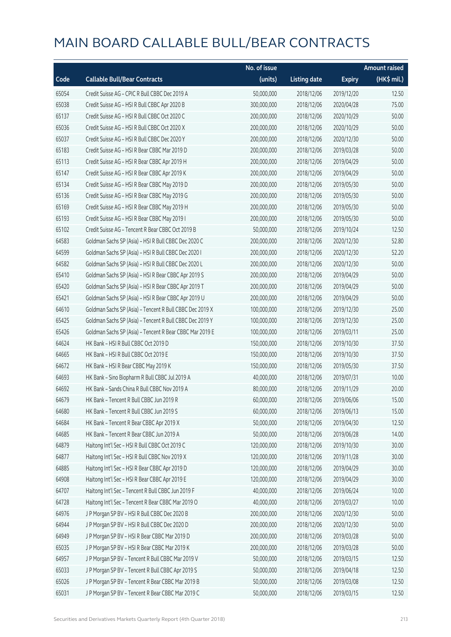|       |                                                          | No. of issue |                     |               | <b>Amount raised</b> |
|-------|----------------------------------------------------------|--------------|---------------------|---------------|----------------------|
| Code  | <b>Callable Bull/Bear Contracts</b>                      | (units)      | <b>Listing date</b> | <b>Expiry</b> | (HK\$ mil.)          |
| 65054 | Credit Suisse AG - CPIC R Bull CBBC Dec 2019 A           | 50,000,000   | 2018/12/06          | 2019/12/20    | 12.50                |
| 65038 | Credit Suisse AG - HSI R Bull CBBC Apr 2020 B            | 300,000,000  | 2018/12/06          | 2020/04/28    | 75.00                |
| 65137 | Credit Suisse AG - HSI R Bull CBBC Oct 2020 C            | 200,000,000  | 2018/12/06          | 2020/10/29    | 50.00                |
| 65036 | Credit Suisse AG - HSI R Bull CBBC Oct 2020 X            | 200,000,000  | 2018/12/06          | 2020/10/29    | 50.00                |
| 65037 | Credit Suisse AG - HSI R Bull CBBC Dec 2020 Y            | 200,000,000  | 2018/12/06          | 2020/12/30    | 50.00                |
| 65183 | Credit Suisse AG - HSI R Bear CBBC Mar 2019 D            | 200,000,000  | 2018/12/06          | 2019/03/28    | 50.00                |
| 65113 | Credit Suisse AG - HSI R Bear CBBC Apr 2019 H            | 200,000,000  | 2018/12/06          | 2019/04/29    | 50.00                |
| 65147 | Credit Suisse AG - HSI R Bear CBBC Apr 2019 K            | 200,000,000  | 2018/12/06          | 2019/04/29    | 50.00                |
| 65134 | Credit Suisse AG - HSI R Bear CBBC May 2019 D            | 200,000,000  | 2018/12/06          | 2019/05/30    | 50.00                |
| 65136 | Credit Suisse AG - HSI R Bear CBBC May 2019 G            | 200,000,000  | 2018/12/06          | 2019/05/30    | 50.00                |
| 65169 | Credit Suisse AG - HSI R Bear CBBC May 2019 H            | 200,000,000  | 2018/12/06          | 2019/05/30    | 50.00                |
| 65193 | Credit Suisse AG - HSI R Bear CBBC May 2019 I            | 200,000,000  | 2018/12/06          | 2019/05/30    | 50.00                |
| 65102 | Credit Suisse AG - Tencent R Bear CBBC Oct 2019 B        | 50,000,000   | 2018/12/06          | 2019/10/24    | 12.50                |
| 64583 | Goldman Sachs SP (Asia) - HSI R Bull CBBC Dec 2020 C     | 200,000,000  | 2018/12/06          | 2020/12/30    | 52.80                |
| 64599 | Goldman Sachs SP (Asia) - HSI R Bull CBBC Dec 2020 I     | 200,000,000  | 2018/12/06          | 2020/12/30    | 52.20                |
| 64582 | Goldman Sachs SP (Asia) - HSI R Bull CBBC Dec 2020 L     | 200,000,000  | 2018/12/06          | 2020/12/30    | 50.00                |
| 65410 | Goldman Sachs SP (Asia) - HSI R Bear CBBC Apr 2019 S     | 200,000,000  | 2018/12/06          | 2019/04/29    | 50.00                |
| 65420 | Goldman Sachs SP (Asia) - HSI R Bear CBBC Apr 2019 T     | 200,000,000  | 2018/12/06          | 2019/04/29    | 50.00                |
| 65421 | Goldman Sachs SP (Asia) - HSI R Bear CBBC Apr 2019 U     | 200,000,000  | 2018/12/06          | 2019/04/29    | 50.00                |
| 64610 | Goldman Sachs SP (Asia) - Tencent R Bull CBBC Dec 2019 X | 100,000,000  | 2018/12/06          | 2019/12/30    | 25.00                |
| 65425 | Goldman Sachs SP (Asia) - Tencent R Bull CBBC Dec 2019 Y | 100,000,000  | 2018/12/06          | 2019/12/30    | 25.00                |
| 65426 | Goldman Sachs SP (Asia) - Tencent R Bear CBBC Mar 2019 E | 100,000,000  | 2018/12/06          | 2019/03/11    | 25.00                |
| 64624 | HK Bank - HSI R Bull CBBC Oct 2019 D                     | 150,000,000  | 2018/12/06          | 2019/10/30    | 37.50                |
| 64665 | HK Bank - HSI R Bull CBBC Oct 2019 E                     | 150,000,000  | 2018/12/06          | 2019/10/30    | 37.50                |
| 64672 | HK Bank - HSI R Bear CBBC May 2019 K                     | 150,000,000  | 2018/12/06          | 2019/05/30    | 37.50                |
| 64693 | HK Bank - Sino Biopharm R Bull CBBC Jul 2019 A           | 40,000,000   | 2018/12/06          | 2019/07/31    | 10.00                |
| 64692 | HK Bank - Sands China R Bull CBBC Nov 2019 A             | 80,000,000   | 2018/12/06          | 2019/11/29    | 20.00                |
| 64679 | HK Bank - Tencent R Bull CBBC Jun 2019 R                 | 60,000,000   | 2018/12/06          | 2019/06/06    | 15.00                |
| 64680 | HK Bank - Tencent R Bull CBBC Jun 2019 S                 | 60,000,000   | 2018/12/06          | 2019/06/13    | 15.00                |
| 64684 | HK Bank - Tencent R Bear CBBC Apr 2019 X                 | 50,000,000   | 2018/12/06          | 2019/04/30    | 12.50                |
| 64685 | HK Bank - Tencent R Bear CBBC Jun 2019 A                 | 50,000,000   | 2018/12/06          | 2019/06/28    | 14.00                |
| 64879 | Haitong Int'l Sec - HSI R Bull CBBC Oct 2019 C           | 120,000,000  | 2018/12/06          | 2019/10/30    | 30.00                |
| 64877 | Haitong Int'l Sec - HSI R Bull CBBC Nov 2019 X           | 120,000,000  | 2018/12/06          | 2019/11/28    | 30.00                |
| 64885 | Haitong Int'l Sec - HSI R Bear CBBC Apr 2019 D           | 120,000,000  | 2018/12/06          | 2019/04/29    | 30.00                |
| 64908 | Haitong Int'l Sec - HSI R Bear CBBC Apr 2019 E           | 120,000,000  | 2018/12/06          | 2019/04/29    | 30.00                |
| 64707 | Haitong Int'l Sec - Tencent R Bull CBBC Jun 2019 F       | 40,000,000   | 2018/12/06          | 2019/06/24    | 10.00                |
| 64728 | Haitong Int'l Sec - Tencent R Bear CBBC Mar 2019 O       | 40,000,000   | 2018/12/06          | 2019/03/27    | 10.00                |
| 64976 | J P Morgan SP BV - HSI R Bull CBBC Dec 2020 B            | 200,000,000  | 2018/12/06          | 2020/12/30    | 50.00                |
| 64944 | J P Morgan SP BV - HSI R Bull CBBC Dec 2020 D            | 200,000,000  | 2018/12/06          | 2020/12/30    | 50.00                |
| 64949 | J P Morgan SP BV - HSI R Bear CBBC Mar 2019 D            | 200,000,000  | 2018/12/06          | 2019/03/28    | 50.00                |
| 65035 | J P Morgan SP BV - HSI R Bear CBBC Mar 2019 K            | 200,000,000  | 2018/12/06          | 2019/03/28    | 50.00                |
| 64957 | J P Morgan SP BV - Tencent R Bull CBBC Mar 2019 V        | 50,000,000   | 2018/12/06          | 2019/03/15    | 12.50                |
| 65033 | J P Morgan SP BV - Tencent R Bull CBBC Apr 2019 S        | 50,000,000   | 2018/12/06          | 2019/04/18    | 12.50                |
| 65026 | J P Morgan SP BV - Tencent R Bear CBBC Mar 2019 B        | 50,000,000   | 2018/12/06          | 2019/03/08    | 12.50                |
| 65031 | J P Morgan SP BV - Tencent R Bear CBBC Mar 2019 C        | 50,000,000   | 2018/12/06          | 2019/03/15    | 12.50                |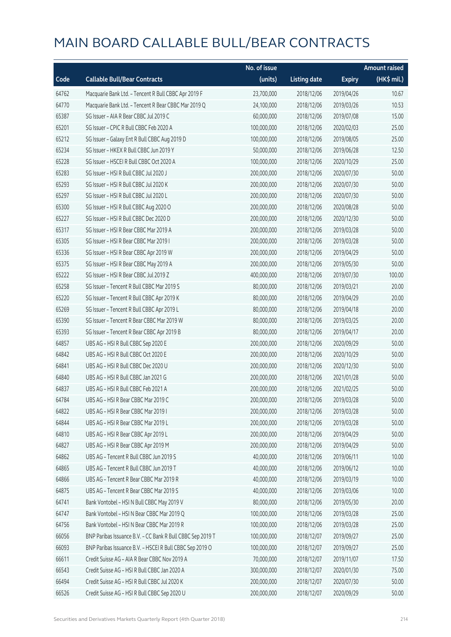|       |                                                            | No. of issue |                     |               | <b>Amount raised</b> |
|-------|------------------------------------------------------------|--------------|---------------------|---------------|----------------------|
| Code  | <b>Callable Bull/Bear Contracts</b>                        | (units)      | <b>Listing date</b> | <b>Expiry</b> | $(HK\$ mil.)         |
| 64762 | Macquarie Bank Ltd. - Tencent R Bull CBBC Apr 2019 F       | 23,700,000   | 2018/12/06          | 2019/04/26    | 10.67                |
| 64770 | Macquarie Bank Ltd. - Tencent R Bear CBBC Mar 2019 Q       | 24,100,000   | 2018/12/06          | 2019/03/26    | 10.53                |
| 65387 | SG Issuer - AIA R Bear CBBC Jul 2019 C                     | 60,000,000   | 2018/12/06          | 2019/07/08    | 15.00                |
| 65201 | SG Issuer - CPIC R Bull CBBC Feb 2020 A                    | 100,000,000  | 2018/12/06          | 2020/02/03    | 25.00                |
| 65212 | SG Issuer - Galaxy Ent R Bull CBBC Aug 2019 D              | 100,000,000  | 2018/12/06          | 2019/08/05    | 25.00                |
| 65234 | SG Issuer - HKEX R Bull CBBC Jun 2019 Y                    | 50,000,000   | 2018/12/06          | 2019/06/28    | 12.50                |
| 65228 | SG Issuer - HSCEI R Bull CBBC Oct 2020 A                   | 100,000,000  | 2018/12/06          | 2020/10/29    | 25.00                |
| 65283 | SG Issuer - HSI R Bull CBBC Jul 2020 J                     | 200,000,000  | 2018/12/06          | 2020/07/30    | 50.00                |
| 65293 | SG Issuer - HSI R Bull CBBC Jul 2020 K                     | 200,000,000  | 2018/12/06          | 2020/07/30    | 50.00                |
| 65297 | SG Issuer - HSI R Bull CBBC Jul 2020 L                     | 200,000,000  | 2018/12/06          | 2020/07/30    | 50.00                |
| 65300 | SG Issuer - HSI R Bull CBBC Aug 2020 O                     | 200,000,000  | 2018/12/06          | 2020/08/28    | 50.00                |
| 65227 | SG Issuer - HSI R Bull CBBC Dec 2020 D                     | 200,000,000  | 2018/12/06          | 2020/12/30    | 50.00                |
| 65317 | SG Issuer - HSI R Bear CBBC Mar 2019 A                     | 200,000,000  | 2018/12/06          | 2019/03/28    | 50.00                |
| 65305 | SG Issuer - HSI R Bear CBBC Mar 2019 I                     | 200,000,000  | 2018/12/06          | 2019/03/28    | 50.00                |
| 65336 | SG Issuer - HSI R Bear CBBC Apr 2019 W                     | 200,000,000  | 2018/12/06          | 2019/04/29    | 50.00                |
| 65375 | SG Issuer - HSI R Bear CBBC May 2019 A                     | 200,000,000  | 2018/12/06          | 2019/05/30    | 50.00                |
| 65222 | SG Issuer - HSI R Bear CBBC Jul 2019 Z                     | 400,000,000  | 2018/12/06          | 2019/07/30    | 100.00               |
| 65258 | SG Issuer - Tencent R Bull CBBC Mar 2019 S                 | 80,000,000   | 2018/12/06          | 2019/03/21    | 20.00                |
| 65220 | SG Issuer - Tencent R Bull CBBC Apr 2019 K                 | 80,000,000   | 2018/12/06          | 2019/04/29    | 20.00                |
| 65269 | SG Issuer - Tencent R Bull CBBC Apr 2019 L                 | 80,000,000   | 2018/12/06          | 2019/04/18    | 20.00                |
| 65390 | SG Issuer - Tencent R Bear CBBC Mar 2019 W                 | 80,000,000   | 2018/12/06          | 2019/03/25    | 20.00                |
| 65393 | SG Issuer - Tencent R Bear CBBC Apr 2019 B                 | 80,000,000   | 2018/12/06          | 2019/04/17    | 20.00                |
| 64857 | UBS AG - HSI R Bull CBBC Sep 2020 E                        | 200,000,000  | 2018/12/06          | 2020/09/29    | 50.00                |
| 64842 | UBS AG - HSI R Bull CBBC Oct 2020 E                        | 200,000,000  | 2018/12/06          | 2020/10/29    | 50.00                |
| 64841 | UBS AG - HSI R Bull CBBC Dec 2020 U                        | 200,000,000  | 2018/12/06          | 2020/12/30    | 50.00                |
| 64840 | UBS AG - HSI R Bull CBBC Jan 2021 G                        | 200,000,000  | 2018/12/06          | 2021/01/28    | 50.00                |
| 64837 | UBS AG - HSI R Bull CBBC Feb 2021 A                        | 200,000,000  | 2018/12/06          | 2021/02/25    | 50.00                |
| 64784 | UBS AG - HSI R Bear CBBC Mar 2019 C                        | 200,000,000  | 2018/12/06          | 2019/03/28    | 50.00                |
| 64822 | UBS AG - HSI R Bear CBBC Mar 2019 I                        | 200,000,000  | 2018/12/06          | 2019/03/28    | 50.00                |
| 64844 | UBS AG - HSI R Bear CBBC Mar 2019 L                        | 200,000,000  | 2018/12/06          | 2019/03/28    | 50.00                |
| 64810 | UBS AG - HSI R Bear CBBC Apr 2019 L                        | 200,000,000  | 2018/12/06          | 2019/04/29    | 50.00                |
| 64827 | UBS AG - HSI R Bear CBBC Apr 2019 M                        | 200,000,000  | 2018/12/06          | 2019/04/29    | 50.00                |
| 64862 | UBS AG - Tencent R Bull CBBC Jun 2019 S                    | 40,000,000   | 2018/12/06          | 2019/06/11    | 10.00                |
| 64865 | UBS AG - Tencent R Bull CBBC Jun 2019 T                    | 40,000,000   | 2018/12/06          | 2019/06/12    | 10.00                |
| 64866 | UBS AG - Tencent R Bear CBBC Mar 2019 R                    | 40,000,000   | 2018/12/06          | 2019/03/19    | 10.00                |
| 64875 | UBS AG - Tencent R Bear CBBC Mar 2019 S                    | 40,000,000   | 2018/12/06          | 2019/03/06    | 10.00                |
| 64741 | Bank Vontobel - HSI N Bull CBBC May 2019 V                 | 80,000,000   | 2018/12/06          | 2019/05/30    | 20.00                |
| 64747 | Bank Vontobel - HSI N Bear CBBC Mar 2019 Q                 | 100,000,000  | 2018/12/06          | 2019/03/28    | 25.00                |
| 64756 | Bank Vontobel - HSI N Bear CBBC Mar 2019 R                 | 100,000,000  | 2018/12/06          | 2019/03/28    | 25.00                |
| 66056 | BNP Paribas Issuance B.V. - CC Bank R Bull CBBC Sep 2019 T | 100,000,000  | 2018/12/07          | 2019/09/27    | 25.00                |
| 66093 | BNP Paribas Issuance B.V. - HSCEI R Bull CBBC Sep 2019 O   | 100,000,000  | 2018/12/07          | 2019/09/27    | 25.00                |
| 66611 | Credit Suisse AG - AIA R Bear CBBC Nov 2019 A              | 70,000,000   | 2018/12/07          | 2019/11/07    | 17.50                |
| 66543 | Credit Suisse AG - HSI R Bull CBBC Jan 2020 A              | 300,000,000  | 2018/12/07          | 2020/01/30    | 75.00                |
| 66494 | Credit Suisse AG - HSI R Bull CBBC Jul 2020 K              | 200,000,000  | 2018/12/07          | 2020/07/30    | 50.00                |
| 66526 | Credit Suisse AG - HSI R Bull CBBC Sep 2020 U              | 200,000,000  | 2018/12/07          | 2020/09/29    | 50.00                |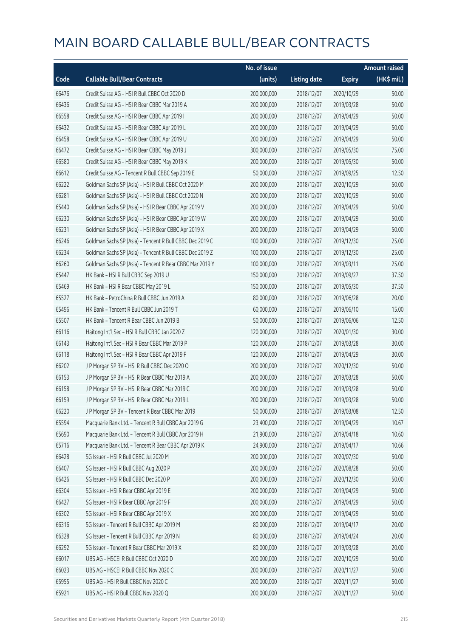|       |                                                          | No. of issue |                     |               | <b>Amount raised</b> |
|-------|----------------------------------------------------------|--------------|---------------------|---------------|----------------------|
| Code  | <b>Callable Bull/Bear Contracts</b>                      | (units)      | <b>Listing date</b> | <b>Expiry</b> | (HK\$ mil.)          |
| 66476 | Credit Suisse AG - HSI R Bull CBBC Oct 2020 D            | 200,000,000  | 2018/12/07          | 2020/10/29    | 50.00                |
| 66436 | Credit Suisse AG - HSI R Bear CBBC Mar 2019 A            | 200,000,000  | 2018/12/07          | 2019/03/28    | 50.00                |
| 66558 | Credit Suisse AG - HSI R Bear CBBC Apr 2019 I            | 200,000,000  | 2018/12/07          | 2019/04/29    | 50.00                |
| 66432 | Credit Suisse AG - HSI R Bear CBBC Apr 2019 L            | 200,000,000  | 2018/12/07          | 2019/04/29    | 50.00                |
| 66458 | Credit Suisse AG - HSI R Bear CBBC Apr 2019 U            | 200,000,000  | 2018/12/07          | 2019/04/29    | 50.00                |
| 66472 | Credit Suisse AG - HSI R Bear CBBC May 2019 J            | 300,000,000  | 2018/12/07          | 2019/05/30    | 75.00                |
| 66580 | Credit Suisse AG - HSI R Bear CBBC May 2019 K            | 200,000,000  | 2018/12/07          | 2019/05/30    | 50.00                |
| 66612 | Credit Suisse AG - Tencent R Bull CBBC Sep 2019 E        | 50,000,000   | 2018/12/07          | 2019/09/25    | 12.50                |
| 66222 | Goldman Sachs SP (Asia) - HSI R Bull CBBC Oct 2020 M     | 200,000,000  | 2018/12/07          | 2020/10/29    | 50.00                |
| 66281 | Goldman Sachs SP (Asia) - HSI R Bull CBBC Oct 2020 N     | 200,000,000  | 2018/12/07          | 2020/10/29    | 50.00                |
| 65440 | Goldman Sachs SP (Asia) - HSI R Bear CBBC Apr 2019 V     | 200,000,000  | 2018/12/07          | 2019/04/29    | 50.00                |
| 66230 | Goldman Sachs SP (Asia) - HSI R Bear CBBC Apr 2019 W     | 200,000,000  | 2018/12/07          | 2019/04/29    | 50.00                |
| 66231 | Goldman Sachs SP (Asia) - HSI R Bear CBBC Apr 2019 X     | 200,000,000  | 2018/12/07          | 2019/04/29    | 50.00                |
| 66246 | Goldman Sachs SP (Asia) - Tencent R Bull CBBC Dec 2019 C | 100,000,000  | 2018/12/07          | 2019/12/30    | 25.00                |
| 66234 | Goldman Sachs SP (Asia) - Tencent R Bull CBBC Dec 2019 Z | 100,000,000  | 2018/12/07          | 2019/12/30    | 25.00                |
| 66260 | Goldman Sachs SP (Asia) - Tencent R Bear CBBC Mar 2019 Y | 100,000,000  | 2018/12/07          | 2019/03/11    | 25.00                |
| 65447 | HK Bank - HSI R Bull CBBC Sep 2019 U                     | 150,000,000  | 2018/12/07          | 2019/09/27    | 37.50                |
| 65469 | HK Bank - HSI R Bear CBBC May 2019 L                     | 150,000,000  | 2018/12/07          | 2019/05/30    | 37.50                |
| 65527 | HK Bank - PetroChina R Bull CBBC Jun 2019 A              | 80,000,000   | 2018/12/07          | 2019/06/28    | 20.00                |
| 65496 | HK Bank - Tencent R Bull CBBC Jun 2019 T                 | 60,000,000   | 2018/12/07          | 2019/06/10    | 15.00                |
| 65507 | HK Bank - Tencent R Bear CBBC Jun 2019 B                 | 50,000,000   | 2018/12/07          | 2019/06/06    | 12.50                |
| 66116 | Haitong Int'l Sec - HSI R Bull CBBC Jan 2020 Z           | 120,000,000  | 2018/12/07          | 2020/01/30    | 30.00                |
| 66143 | Haitong Int'l Sec - HSI R Bear CBBC Mar 2019 P           | 120,000,000  | 2018/12/07          | 2019/03/28    | 30.00                |
| 66118 | Haitong Int'l Sec - HSI R Bear CBBC Apr 2019 F           | 120,000,000  | 2018/12/07          | 2019/04/29    | 30.00                |
| 66202 | J P Morgan SP BV - HSI R Bull CBBC Dec 2020 O            | 200,000,000  | 2018/12/07          | 2020/12/30    | 50.00                |
| 66153 | J P Morgan SP BV - HSI R Bear CBBC Mar 2019 A            | 200,000,000  | 2018/12/07          | 2019/03/28    | 50.00                |
| 66158 | J P Morgan SP BV - HSI R Bear CBBC Mar 2019 C            | 200,000,000  | 2018/12/07          | 2019/03/28    | 50.00                |
| 66159 | J P Morgan SP BV - HSI R Bear CBBC Mar 2019 L            | 200,000,000  | 2018/12/07          | 2019/03/28    | 50.00                |
| 66220 | JP Morgan SP BV - Tencent R Bear CBBC Mar 2019 I         | 50,000,000   | 2018/12/07          | 2019/03/08    | 12.50                |
| 65594 | Macquarie Bank Ltd. - Tencent R Bull CBBC Apr 2019 G     | 23,400,000   | 2018/12/07          | 2019/04/29    | 10.67                |
| 65690 | Macquarie Bank Ltd. - Tencent R Bull CBBC Apr 2019 H     | 21,900,000   | 2018/12/07          | 2019/04/18    | 10.60                |
| 65716 | Macquarie Bank Ltd. - Tencent R Bear CBBC Apr 2019 K     | 24,900,000   | 2018/12/07          | 2019/04/17    | 10.66                |
| 66428 | SG Issuer - HSI R Bull CBBC Jul 2020 M                   | 200,000,000  | 2018/12/07          | 2020/07/30    | 50.00                |
| 66407 | SG Issuer - HSI R Bull CBBC Aug 2020 P                   | 200,000,000  | 2018/12/07          | 2020/08/28    | 50.00                |
| 66426 | SG Issuer - HSI R Bull CBBC Dec 2020 P                   | 200,000,000  | 2018/12/07          | 2020/12/30    | 50.00                |
| 66304 | SG Issuer - HSI R Bear CBBC Apr 2019 E                   | 200,000,000  | 2018/12/07          | 2019/04/29    | 50.00                |
| 66427 | SG Issuer - HSI R Bear CBBC Apr 2019 F                   | 200,000,000  | 2018/12/07          | 2019/04/29    | 50.00                |
| 66302 | SG Issuer - HSI R Bear CBBC Apr 2019 X                   | 200,000,000  | 2018/12/07          | 2019/04/29    | 50.00                |
| 66316 | SG Issuer - Tencent R Bull CBBC Apr 2019 M               | 80,000,000   | 2018/12/07          | 2019/04/17    | 20.00                |
| 66328 | SG Issuer - Tencent R Bull CBBC Apr 2019 N               | 80,000,000   | 2018/12/07          | 2019/04/24    | 20.00                |
| 66292 | SG Issuer - Tencent R Bear CBBC Mar 2019 X               | 80,000,000   | 2018/12/07          | 2019/03/28    | 20.00                |
| 66017 | UBS AG - HSCEI R Bull CBBC Oct 2020 D                    | 200,000,000  | 2018/12/07          | 2020/10/29    | 50.00                |
| 66023 | UBS AG - HSCEI R Bull CBBC Nov 2020 C                    | 200,000,000  | 2018/12/07          | 2020/11/27    | 50.00                |
| 65955 | UBS AG - HSI R Bull CBBC Nov 2020 C                      | 200,000,000  | 2018/12/07          | 2020/11/27    | 50.00                |
| 65921 | UBS AG - HSI R Bull CBBC Nov 2020 Q                      | 200,000,000  | 2018/12/07          | 2020/11/27    | 50.00                |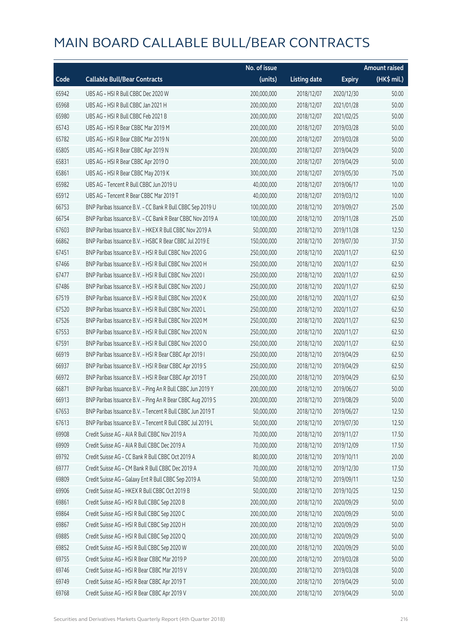|       |                                                            | No. of issue |                     |               | <b>Amount raised</b> |
|-------|------------------------------------------------------------|--------------|---------------------|---------------|----------------------|
| Code  | <b>Callable Bull/Bear Contracts</b>                        | (units)      | <b>Listing date</b> | <b>Expiry</b> | (HK\$ mil.)          |
| 65942 | UBS AG - HSI R Bull CBBC Dec 2020 W                        | 200,000,000  | 2018/12/07          | 2020/12/30    | 50.00                |
| 65968 | UBS AG - HSI R Bull CBBC Jan 2021 H                        | 200,000,000  | 2018/12/07          | 2021/01/28    | 50.00                |
| 65980 | UBS AG - HSI R Bull CBBC Feb 2021 B                        | 200,000,000  | 2018/12/07          | 2021/02/25    | 50.00                |
| 65743 | UBS AG - HSI R Bear CBBC Mar 2019 M                        | 200,000,000  | 2018/12/07          | 2019/03/28    | 50.00                |
| 65782 | UBS AG - HSI R Bear CBBC Mar 2019 N                        | 200,000,000  | 2018/12/07          | 2019/03/28    | 50.00                |
| 65805 | UBS AG - HSI R Bear CBBC Apr 2019 N                        | 200,000,000  | 2018/12/07          | 2019/04/29    | 50.00                |
| 65831 | UBS AG - HSI R Bear CBBC Apr 2019 O                        | 200,000,000  | 2018/12/07          | 2019/04/29    | 50.00                |
| 65861 | UBS AG - HSI R Bear CBBC May 2019 K                        | 300,000,000  | 2018/12/07          | 2019/05/30    | 75.00                |
| 65982 | UBS AG - Tencent R Bull CBBC Jun 2019 U                    | 40,000,000   | 2018/12/07          | 2019/06/17    | 10.00                |
| 65912 | UBS AG - Tencent R Bear CBBC Mar 2019 T                    | 40,000,000   | 2018/12/07          | 2019/03/12    | 10.00                |
| 66753 | BNP Paribas Issuance B.V. - CC Bank R Bull CBBC Sep 2019 U | 100,000,000  | 2018/12/10          | 2019/09/27    | 25.00                |
| 66754 | BNP Paribas Issuance B.V. - CC Bank R Bear CBBC Nov 2019 A | 100,000,000  | 2018/12/10          | 2019/11/28    | 25.00                |
| 67603 | BNP Paribas Issuance B.V. - HKEX R Bull CBBC Nov 2019 A    | 50,000,000   | 2018/12/10          | 2019/11/28    | 12.50                |
| 66862 | BNP Paribas Issuance B.V. - HSBC R Bear CBBC Jul 2019 E    | 150,000,000  | 2018/12/10          | 2019/07/30    | 37.50                |
| 67451 | BNP Paribas Issuance B.V. - HSI R Bull CBBC Nov 2020 G     | 250,000,000  | 2018/12/10          | 2020/11/27    | 62.50                |
| 67466 | BNP Paribas Issuance B.V. - HSI R Bull CBBC Nov 2020 H     | 250,000,000  | 2018/12/10          | 2020/11/27    | 62.50                |
| 67477 | BNP Paribas Issuance B.V. - HSI R Bull CBBC Nov 2020 I     | 250,000,000  | 2018/12/10          | 2020/11/27    | 62.50                |
| 67486 | BNP Paribas Issuance B.V. - HSI R Bull CBBC Nov 2020 J     | 250,000,000  | 2018/12/10          | 2020/11/27    | 62.50                |
| 67519 | BNP Paribas Issuance B.V. - HSI R Bull CBBC Nov 2020 K     | 250,000,000  | 2018/12/10          | 2020/11/27    | 62.50                |
| 67520 | BNP Paribas Issuance B.V. - HSI R Bull CBBC Nov 2020 L     | 250,000,000  | 2018/12/10          | 2020/11/27    | 62.50                |
| 67526 | BNP Paribas Issuance B.V. - HSI R Bull CBBC Nov 2020 M     | 250,000,000  | 2018/12/10          | 2020/11/27    | 62.50                |
| 67553 | BNP Paribas Issuance B.V. - HSI R Bull CBBC Nov 2020 N     | 250,000,000  | 2018/12/10          | 2020/11/27    | 62.50                |
| 67591 | BNP Paribas Issuance B.V. - HSI R Bull CBBC Nov 2020 O     | 250,000,000  | 2018/12/10          | 2020/11/27    | 62.50                |
| 66919 | BNP Paribas Issuance B.V. - HSI R Bear CBBC Apr 2019 I     | 250,000,000  | 2018/12/10          | 2019/04/29    | 62.50                |
| 66937 | BNP Paribas Issuance B.V. - HSI R Bear CBBC Apr 2019 S     | 250,000,000  | 2018/12/10          | 2019/04/29    | 62.50                |
| 66972 | BNP Paribas Issuance B.V. - HSI R Bear CBBC Apr 2019 T     | 250,000,000  | 2018/12/10          | 2019/04/29    | 62.50                |
| 66871 | BNP Paribas Issuance B.V. - Ping An R Bull CBBC Jun 2019 Y | 200,000,000  | 2018/12/10          | 2019/06/27    | 50.00                |
| 66913 | BNP Paribas Issuance B.V. - Ping An R Bear CBBC Aug 2019 S | 200,000,000  | 2018/12/10          | 2019/08/29    | 50.00                |
| 67653 | BNP Paribas Issuance B.V. - Tencent R Bull CBBC Jun 2019 T | 50,000,000   | 2018/12/10          | 2019/06/27    | 12.50                |
| 67613 | BNP Paribas Issuance B.V. - Tencent R Bull CBBC Jul 2019 L | 50,000,000   | 2018/12/10          | 2019/07/30    | 12.50                |
| 69908 | Credit Suisse AG - AIA R Bull CBBC Nov 2019 A              | 70,000,000   | 2018/12/10          | 2019/11/27    | 17.50                |
| 69909 | Credit Suisse AG - AIA R Bull CBBC Dec 2019 A              | 70,000,000   | 2018/12/10          | 2019/12/09    | 17.50                |
| 69792 | Credit Suisse AG - CC Bank R Bull CBBC Oct 2019 A          | 80,000,000   | 2018/12/10          | 2019/10/11    | 20.00                |
| 69777 | Credit Suisse AG - CM Bank R Bull CBBC Dec 2019 A          | 70,000,000   | 2018/12/10          | 2019/12/30    | 17.50                |
| 69809 | Credit Suisse AG - Galaxy Ent R Bull CBBC Sep 2019 A       | 50,000,000   | 2018/12/10          | 2019/09/11    | 12.50                |
| 69906 | Credit Suisse AG - HKEX R Bull CBBC Oct 2019 B             | 50,000,000   | 2018/12/10          | 2019/10/25    | 12.50                |
| 69861 | Credit Suisse AG - HSI R Bull CBBC Sep 2020 B              | 200,000,000  | 2018/12/10          | 2020/09/29    | 50.00                |
| 69864 | Credit Suisse AG - HSI R Bull CBBC Sep 2020 C              | 200,000,000  | 2018/12/10          | 2020/09/29    | 50.00                |
| 69867 | Credit Suisse AG - HSI R Bull CBBC Sep 2020 H              | 200,000,000  | 2018/12/10          | 2020/09/29    | 50.00                |
| 69885 | Credit Suisse AG - HSI R Bull CBBC Sep 2020 Q              | 200,000,000  | 2018/12/10          | 2020/09/29    | 50.00                |
| 69852 | Credit Suisse AG - HSI R Bull CBBC Sep 2020 W              | 200,000,000  | 2018/12/10          | 2020/09/29    | 50.00                |
| 69755 | Credit Suisse AG - HSI R Bear CBBC Mar 2019 P              | 200,000,000  | 2018/12/10          | 2019/03/28    | 50.00                |
| 69746 | Credit Suisse AG - HSI R Bear CBBC Mar 2019 V              | 200,000,000  | 2018/12/10          | 2019/03/28    | 50.00                |
| 69749 | Credit Suisse AG - HSI R Bear CBBC Apr 2019 T              | 200,000,000  | 2018/12/10          | 2019/04/29    | 50.00                |
| 69768 | Credit Suisse AG - HSI R Bear CBBC Apr 2019 V              | 200,000,000  | 2018/12/10          | 2019/04/29    | 50.00                |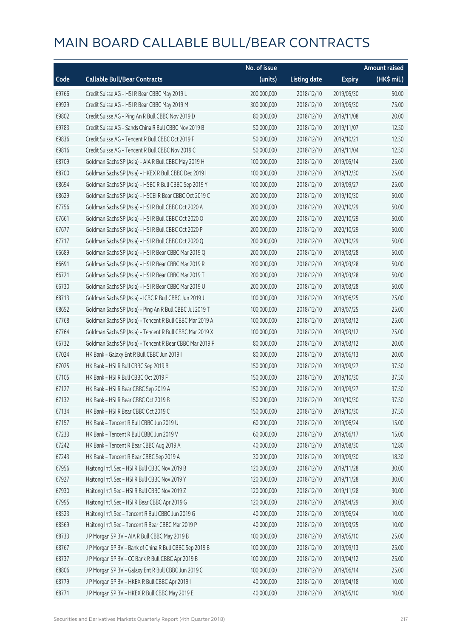|       |                                                          | No. of issue |                     |               | <b>Amount raised</b> |
|-------|----------------------------------------------------------|--------------|---------------------|---------------|----------------------|
| Code  | <b>Callable Bull/Bear Contracts</b>                      | (units)      | <b>Listing date</b> | <b>Expiry</b> | (HK\$ mil.)          |
| 69766 | Credit Suisse AG - HSI R Bear CBBC May 2019 L            | 200,000,000  | 2018/12/10          | 2019/05/30    | 50.00                |
| 69929 | Credit Suisse AG - HSI R Bear CBBC May 2019 M            | 300,000,000  | 2018/12/10          | 2019/05/30    | 75.00                |
| 69802 | Credit Suisse AG - Ping An R Bull CBBC Nov 2019 D        | 80,000,000   | 2018/12/10          | 2019/11/08    | 20.00                |
| 69783 | Credit Suisse AG - Sands China R Bull CBBC Nov 2019 B    | 50,000,000   | 2018/12/10          | 2019/11/07    | 12.50                |
| 69836 | Credit Suisse AG - Tencent R Bull CBBC Oct 2019 F        | 50,000,000   | 2018/12/10          | 2019/10/21    | 12.50                |
| 69816 | Credit Suisse AG - Tencent R Bull CBBC Nov 2019 C        | 50,000,000   | 2018/12/10          | 2019/11/04    | 12.50                |
| 68709 | Goldman Sachs SP (Asia) - AIA R Bull CBBC May 2019 H     | 100,000,000  | 2018/12/10          | 2019/05/14    | 25.00                |
| 68700 | Goldman Sachs SP (Asia) - HKEX R Bull CBBC Dec 2019 I    | 100,000,000  | 2018/12/10          | 2019/12/30    | 25.00                |
| 68694 | Goldman Sachs SP (Asia) - HSBC R Bull CBBC Sep 2019 Y    | 100,000,000  | 2018/12/10          | 2019/09/27    | 25.00                |
| 68629 | Goldman Sachs SP (Asia) - HSCEI R Bear CBBC Oct 2019 C   | 200,000,000  | 2018/12/10          | 2019/10/30    | 50.00                |
| 67756 | Goldman Sachs SP (Asia) - HSI R Bull CBBC Oct 2020 A     | 200,000,000  | 2018/12/10          | 2020/10/29    | 50.00                |
| 67661 | Goldman Sachs SP (Asia) - HSI R Bull CBBC Oct 2020 O     | 200,000,000  | 2018/12/10          | 2020/10/29    | 50.00                |
| 67677 | Goldman Sachs SP (Asia) - HSI R Bull CBBC Oct 2020 P     | 200,000,000  | 2018/12/10          | 2020/10/29    | 50.00                |
| 67717 | Goldman Sachs SP (Asia) - HSI R Bull CBBC Oct 2020 Q     | 200,000,000  | 2018/12/10          | 2020/10/29    | 50.00                |
| 66689 | Goldman Sachs SP (Asia) - HSI R Bear CBBC Mar 2019 Q     | 200,000,000  | 2018/12/10          | 2019/03/28    | 50.00                |
| 66691 | Goldman Sachs SP (Asia) - HSI R Bear CBBC Mar 2019 R     | 200,000,000  | 2018/12/10          | 2019/03/28    | 50.00                |
| 66721 | Goldman Sachs SP (Asia) - HSI R Bear CBBC Mar 2019 T     | 200,000,000  | 2018/12/10          | 2019/03/28    | 50.00                |
| 66730 | Goldman Sachs SP (Asia) - HSI R Bear CBBC Mar 2019 U     | 200,000,000  | 2018/12/10          | 2019/03/28    | 50.00                |
| 68713 | Goldman Sachs SP (Asia) - ICBC R Bull CBBC Jun 2019 J    | 100,000,000  | 2018/12/10          | 2019/06/25    | 25.00                |
| 68652 | Goldman Sachs SP (Asia) - Ping An R Bull CBBC Jul 2019 T | 100,000,000  | 2018/12/10          | 2019/07/25    | 25.00                |
| 67768 | Goldman Sachs SP (Asia) - Tencent R Bull CBBC Mar 2019 A | 100,000,000  | 2018/12/10          | 2019/03/12    | 25.00                |
| 67764 | Goldman Sachs SP (Asia) - Tencent R Bull CBBC Mar 2019 X | 100,000,000  | 2018/12/10          | 2019/03/12    | 25.00                |
| 66732 | Goldman Sachs SP (Asia) - Tencent R Bear CBBC Mar 2019 F | 80,000,000   | 2018/12/10          | 2019/03/12    | 20.00                |
| 67024 | HK Bank - Galaxy Ent R Bull CBBC Jun 2019 I              | 80,000,000   | 2018/12/10          | 2019/06/13    | 20.00                |
| 67025 | HK Bank - HSI R Bull CBBC Sep 2019 B                     | 150,000,000  | 2018/12/10          | 2019/09/27    | 37.50                |
| 67105 | HK Bank - HSI R Bull CBBC Oct 2019 F                     | 150,000,000  | 2018/12/10          | 2019/10/30    | 37.50                |
| 67127 | HK Bank - HSI R Bear CBBC Sep 2019 A                     | 150,000,000  | 2018/12/10          | 2019/09/27    | 37.50                |
| 67132 | HK Bank - HSI R Bear CBBC Oct 2019 B                     | 150,000,000  | 2018/12/10          | 2019/10/30    | 37.50                |
| 67134 | HK Bank - HSI R Bear CBBC Oct 2019 C                     | 150,000,000  | 2018/12/10          | 2019/10/30    | 37.50                |
| 67157 | HK Bank - Tencent R Bull CBBC Jun 2019 U                 | 60,000,000   | 2018/12/10          | 2019/06/24    | 15.00                |
| 67233 | HK Bank - Tencent R Bull CBBC Jun 2019 V                 | 60,000,000   | 2018/12/10          | 2019/06/17    | 15.00                |
| 67242 | HK Bank - Tencent R Bear CBBC Aug 2019 A                 | 40,000,000   | 2018/12/10          | 2019/08/30    | 12.80                |
| 67243 | HK Bank - Tencent R Bear CBBC Sep 2019 A                 | 30,000,000   | 2018/12/10          | 2019/09/30    | 18.30                |
| 67956 | Haitong Int'l Sec - HSI R Bull CBBC Nov 2019 B           | 120,000,000  | 2018/12/10          | 2019/11/28    | 30.00                |
| 67927 | Haitong Int'l Sec - HSI R Bull CBBC Nov 2019 Y           | 120,000,000  | 2018/12/10          | 2019/11/28    | 30.00                |
| 67930 | Haitong Int'l Sec - HSI R Bull CBBC Nov 2019 Z           | 120,000,000  | 2018/12/10          | 2019/11/28    | 30.00                |
| 67995 | Haitong Int'l Sec - HSI R Bear CBBC Apr 2019 G           | 120,000,000  | 2018/12/10          | 2019/04/29    | 30.00                |
| 68523 | Haitong Int'l Sec - Tencent R Bull CBBC Jun 2019 G       | 40,000,000   | 2018/12/10          | 2019/06/24    | 10.00                |
| 68569 | Haitong Int'l Sec - Tencent R Bear CBBC Mar 2019 P       | 40,000,000   | 2018/12/10          | 2019/03/25    | 10.00                |
| 68733 | J P Morgan SP BV - AIA R Bull CBBC May 2019 B            | 100,000,000  | 2018/12/10          | 2019/05/10    | 25.00                |
| 68767 | J P Morgan SP BV - Bank of China R Bull CBBC Sep 2019 B  | 100,000,000  | 2018/12/10          | 2019/09/13    | 25.00                |
| 68737 | J P Morgan SP BV - CC Bank R Bull CBBC Apr 2019 B        | 100,000,000  | 2018/12/10          | 2019/04/12    | 25.00                |
| 68806 | J P Morgan SP BV - Galaxy Ent R Bull CBBC Jun 2019 C     | 100,000,000  | 2018/12/10          | 2019/06/14    | 25.00                |
| 68779 | J P Morgan SP BV - HKEX R Bull CBBC Apr 2019 I           | 40,000,000   | 2018/12/10          | 2019/04/18    | 10.00                |
| 68771 | J P Morgan SP BV - HKEX R Bull CBBC May 2019 E           | 40,000,000   | 2018/12/10          | 2019/05/10    | 10.00                |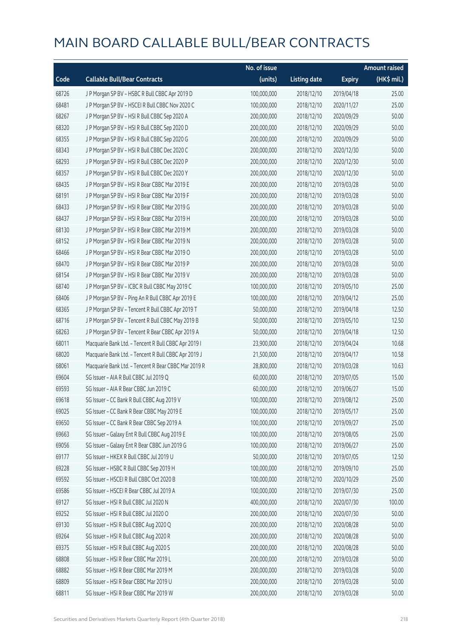|       |                                                      | No. of issue |                     |               | <b>Amount raised</b> |
|-------|------------------------------------------------------|--------------|---------------------|---------------|----------------------|
| Code  | <b>Callable Bull/Bear Contracts</b>                  | (units)      | <b>Listing date</b> | <b>Expiry</b> | (HK\$ mil.)          |
| 68726 | J P Morgan SP BV - HSBC R Bull CBBC Apr 2019 D       | 100,000,000  | 2018/12/10          | 2019/04/18    | 25.00                |
| 68481 | J P Morgan SP BV - HSCEI R Bull CBBC Nov 2020 C      | 100,000,000  | 2018/12/10          | 2020/11/27    | 25.00                |
| 68267 | J P Morgan SP BV - HSI R Bull CBBC Sep 2020 A        | 200,000,000  | 2018/12/10          | 2020/09/29    | 50.00                |
| 68320 | J P Morgan SP BV - HSI R Bull CBBC Sep 2020 D        | 200,000,000  | 2018/12/10          | 2020/09/29    | 50.00                |
| 68355 | J P Morgan SP BV - HSI R Bull CBBC Sep 2020 G        | 200,000,000  | 2018/12/10          | 2020/09/29    | 50.00                |
| 68343 | J P Morgan SP BV - HSI R Bull CBBC Dec 2020 C        | 200,000,000  | 2018/12/10          | 2020/12/30    | 50.00                |
| 68293 | J P Morgan SP BV - HSI R Bull CBBC Dec 2020 P        | 200,000,000  | 2018/12/10          | 2020/12/30    | 50.00                |
| 68357 | J P Morgan SP BV - HSI R Bull CBBC Dec 2020 Y        | 200,000,000  | 2018/12/10          | 2020/12/30    | 50.00                |
| 68435 | J P Morgan SP BV - HSI R Bear CBBC Mar 2019 E        | 200,000,000  | 2018/12/10          | 2019/03/28    | 50.00                |
| 68191 | J P Morgan SP BV - HSI R Bear CBBC Mar 2019 F        | 200,000,000  | 2018/12/10          | 2019/03/28    | 50.00                |
| 68433 | J P Morgan SP BV - HSI R Bear CBBC Mar 2019 G        | 200,000,000  | 2018/12/10          | 2019/03/28    | 50.00                |
| 68437 | J P Morgan SP BV - HSI R Bear CBBC Mar 2019 H        | 200,000,000  | 2018/12/10          | 2019/03/28    | 50.00                |
| 68130 | J P Morgan SP BV - HSI R Bear CBBC Mar 2019 M        | 200,000,000  | 2018/12/10          | 2019/03/28    | 50.00                |
| 68152 | J P Morgan SP BV - HSI R Bear CBBC Mar 2019 N        | 200,000,000  | 2018/12/10          | 2019/03/28    | 50.00                |
| 68466 | J P Morgan SP BV - HSI R Bear CBBC Mar 2019 O        | 200,000,000  | 2018/12/10          | 2019/03/28    | 50.00                |
| 68470 | J P Morgan SP BV - HSI R Bear CBBC Mar 2019 P        | 200,000,000  | 2018/12/10          | 2019/03/28    | 50.00                |
| 68154 | J P Morgan SP BV - HSI R Bear CBBC Mar 2019 V        | 200,000,000  | 2018/12/10          | 2019/03/28    | 50.00                |
| 68740 | J P Morgan SP BV - ICBC R Bull CBBC May 2019 C       | 100,000,000  | 2018/12/10          | 2019/05/10    | 25.00                |
| 68406 | J P Morgan SP BV - Ping An R Bull CBBC Apr 2019 E    | 100,000,000  | 2018/12/10          | 2019/04/12    | 25.00                |
| 68365 | J P Morgan SP BV - Tencent R Bull CBBC Apr 2019 T    | 50,000,000   | 2018/12/10          | 2019/04/18    | 12.50                |
| 68716 | J P Morgan SP BV - Tencent R Bull CBBC May 2019 B    | 50,000,000   | 2018/12/10          | 2019/05/10    | 12.50                |
| 68263 | J P Morgan SP BV - Tencent R Bear CBBC Apr 2019 A    | 50,000,000   | 2018/12/10          | 2019/04/18    | 12.50                |
| 68011 | Macquarie Bank Ltd. - Tencent R Bull CBBC Apr 2019 I | 23,900,000   | 2018/12/10          | 2019/04/24    | 10.68                |
| 68020 | Macquarie Bank Ltd. - Tencent R Bull CBBC Apr 2019 J | 21,500,000   | 2018/12/10          | 2019/04/17    | 10.58                |
| 68061 | Macquarie Bank Ltd. - Tencent R Bear CBBC Mar 2019 R | 28,800,000   | 2018/12/10          | 2019/03/28    | 10.63                |
| 69604 | SG Issuer - AIA R Bull CBBC Jul 2019 Q               | 60,000,000   | 2018/12/10          | 2019/07/05    | 15.00                |
| 69593 | SG Issuer - AIA R Bear CBBC Jun 2019 C               | 60,000,000   | 2018/12/10          | 2019/06/27    | 15.00                |
| 69618 | SG Issuer - CC Bank R Bull CBBC Aug 2019 V           | 100,000,000  | 2018/12/10          | 2019/08/12    | 25.00                |
| 69025 | SG Issuer - CC Bank R Bear CBBC May 2019 E           | 100,000,000  | 2018/12/10          | 2019/05/17    | 25.00                |
| 69650 | SG Issuer - CC Bank R Bear CBBC Sep 2019 A           | 100,000,000  | 2018/12/10          | 2019/09/27    | 25.00                |
| 69663 | SG Issuer - Galaxy Ent R Bull CBBC Aug 2019 E        | 100,000,000  | 2018/12/10          | 2019/08/05    | 25.00                |
| 69056 | SG Issuer - Galaxy Ent R Bear CBBC Jun 2019 G        | 100,000,000  | 2018/12/10          | 2019/06/27    | 25.00                |
| 69177 | SG Issuer - HKEX R Bull CBBC Jul 2019 U              | 50,000,000   | 2018/12/10          | 2019/07/05    | 12.50                |
| 69228 | SG Issuer - HSBC R Bull CBBC Sep 2019 H              | 100,000,000  | 2018/12/10          | 2019/09/10    | 25.00                |
| 69592 | SG Issuer - HSCEI R Bull CBBC Oct 2020 B             | 100,000,000  | 2018/12/10          | 2020/10/29    | 25.00                |
| 69586 | SG Issuer - HSCEI R Bear CBBC Jul 2019 A             | 100,000,000  | 2018/12/10          | 2019/07/30    | 25.00                |
| 69127 | SG Issuer - HSI R Bull CBBC Jul 2020 N               | 400,000,000  | 2018/12/10          | 2020/07/30    | 100.00               |
| 69252 | SG Issuer - HSI R Bull CBBC Jul 2020 O               | 200,000,000  | 2018/12/10          | 2020/07/30    | 50.00                |
| 69130 | SG Issuer - HSI R Bull CBBC Aug 2020 Q               | 200,000,000  | 2018/12/10          | 2020/08/28    | 50.00                |
| 69264 | SG Issuer - HSI R Bull CBBC Aug 2020 R               | 200,000,000  | 2018/12/10          | 2020/08/28    | 50.00                |
| 69375 | SG Issuer - HSI R Bull CBBC Aug 2020 S               | 200,000,000  | 2018/12/10          | 2020/08/28    | 50.00                |
| 68808 | SG Issuer - HSI R Bear CBBC Mar 2019 L               | 200,000,000  | 2018/12/10          | 2019/03/28    | 50.00                |
| 68882 | SG Issuer - HSI R Bear CBBC Mar 2019 M               | 200,000,000  | 2018/12/10          | 2019/03/28    | 50.00                |
| 68809 | SG Issuer - HSI R Bear CBBC Mar 2019 U               | 200,000,000  | 2018/12/10          | 2019/03/28    | 50.00                |
| 68811 | SG Issuer - HSI R Bear CBBC Mar 2019 W               | 200,000,000  | 2018/12/10          | 2019/03/28    | 50.00                |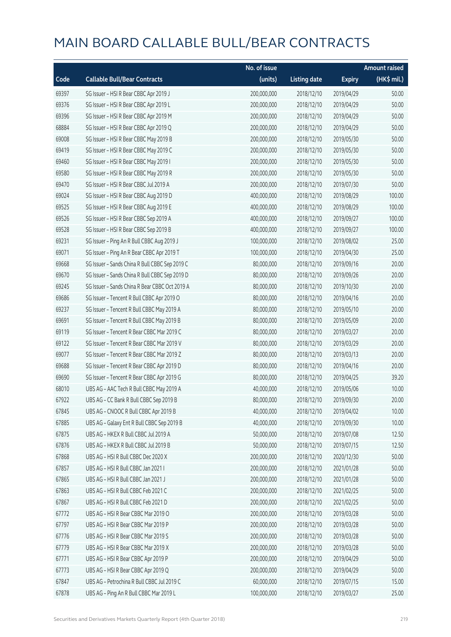|       |                                                | No. of issue |                     |               | <b>Amount raised</b> |
|-------|------------------------------------------------|--------------|---------------------|---------------|----------------------|
| Code  | <b>Callable Bull/Bear Contracts</b>            | (units)      | <b>Listing date</b> | <b>Expiry</b> | (HK\$ mil.)          |
| 69397 | SG Issuer - HSI R Bear CBBC Apr 2019 J         | 200,000,000  | 2018/12/10          | 2019/04/29    | 50.00                |
| 69376 | SG Issuer - HSI R Bear CBBC Apr 2019 L         | 200,000,000  | 2018/12/10          | 2019/04/29    | 50.00                |
| 69396 | SG Issuer - HSI R Bear CBBC Apr 2019 M         | 200,000,000  | 2018/12/10          | 2019/04/29    | 50.00                |
| 68884 | SG Issuer - HSI R Bear CBBC Apr 2019 Q         | 200,000,000  | 2018/12/10          | 2019/04/29    | 50.00                |
| 69008 | SG Issuer - HSI R Bear CBBC May 2019 B         | 200,000,000  | 2018/12/10          | 2019/05/30    | 50.00                |
| 69419 | SG Issuer - HSI R Bear CBBC May 2019 C         | 200,000,000  | 2018/12/10          | 2019/05/30    | 50.00                |
| 69460 | SG Issuer - HSI R Bear CBBC May 2019 I         | 200,000,000  | 2018/12/10          | 2019/05/30    | 50.00                |
| 69580 | SG Issuer - HSI R Bear CBBC May 2019 R         | 200,000,000  | 2018/12/10          | 2019/05/30    | 50.00                |
| 69470 | SG Issuer - HSI R Bear CBBC Jul 2019 A         | 200,000,000  | 2018/12/10          | 2019/07/30    | 50.00                |
| 69024 | SG Issuer - HSI R Bear CBBC Aug 2019 D         | 400,000,000  | 2018/12/10          | 2019/08/29    | 100.00               |
| 69525 | SG Issuer - HSI R Bear CBBC Aug 2019 E         | 400,000,000  | 2018/12/10          | 2019/08/29    | 100.00               |
| 69526 | SG Issuer - HSI R Bear CBBC Sep 2019 A         | 400,000,000  | 2018/12/10          | 2019/09/27    | 100.00               |
| 69528 | SG Issuer - HSI R Bear CBBC Sep 2019 B         | 400,000,000  | 2018/12/10          | 2019/09/27    | 100.00               |
| 69231 | SG Issuer - Ping An R Bull CBBC Aug 2019 J     | 100,000,000  | 2018/12/10          | 2019/08/02    | 25.00                |
| 69071 | SG Issuer - Ping An R Bear CBBC Apr 2019 T     | 100,000,000  | 2018/12/10          | 2019/04/30    | 25.00                |
| 69668 | SG Issuer - Sands China R Bull CBBC Sep 2019 C | 80,000,000   | 2018/12/10          | 2019/09/16    | 20.00                |
| 69670 | SG Issuer - Sands China R Bull CBBC Sep 2019 D | 80,000,000   | 2018/12/10          | 2019/09/26    | 20.00                |
| 69245 | SG Issuer - Sands China R Bear CBBC Oct 2019 A | 80,000,000   | 2018/12/10          | 2019/10/30    | 20.00                |
| 69686 | SG Issuer - Tencent R Bull CBBC Apr 2019 O     | 80,000,000   | 2018/12/10          | 2019/04/16    | 20.00                |
| 69237 | SG Issuer - Tencent R Bull CBBC May 2019 A     | 80,000,000   | 2018/12/10          | 2019/05/10    | 20.00                |
| 69691 | SG Issuer - Tencent R Bull CBBC May 2019 B     | 80,000,000   | 2018/12/10          | 2019/05/09    | 20.00                |
| 69119 | SG Issuer - Tencent R Bear CBBC Mar 2019 C     | 80,000,000   | 2018/12/10          | 2019/03/27    | 20.00                |
| 69122 | SG Issuer - Tencent R Bear CBBC Mar 2019 V     | 80,000,000   | 2018/12/10          | 2019/03/29    | 20.00                |
| 69077 | SG Issuer - Tencent R Bear CBBC Mar 2019 Z     | 80,000,000   | 2018/12/10          | 2019/03/13    | 20.00                |
| 69688 | SG Issuer - Tencent R Bear CBBC Apr 2019 D     | 80,000,000   | 2018/12/10          | 2019/04/16    | 20.00                |
| 69690 | SG Issuer - Tencent R Bear CBBC Apr 2019 G     | 80,000,000   | 2018/12/10          | 2019/04/25    | 39.20                |
| 68010 | UBS AG - AAC Tech R Bull CBBC May 2019 A       | 40,000,000   | 2018/12/10          | 2019/05/06    | 10.00                |
| 67922 | UBS AG - CC Bank R Bull CBBC Sep 2019 B        | 80,000,000   | 2018/12/10          | 2019/09/30    | 20.00                |
| 67845 | UBS AG - CNOOC R Bull CBBC Apr 2019 B          | 40,000,000   | 2018/12/10          | 2019/04/02    | 10.00                |
| 67885 | UBS AG - Galaxy Ent R Bull CBBC Sep 2019 B     | 40,000,000   | 2018/12/10          | 2019/09/30    | 10.00                |
| 67875 | UBS AG - HKEX R Bull CBBC Jul 2019 A           | 50,000,000   | 2018/12/10          | 2019/07/08    | 12.50                |
| 67876 | UBS AG - HKEX R Bull CBBC Jul 2019 B           | 50,000,000   | 2018/12/10          | 2019/07/15    | 12.50                |
| 67868 | UBS AG - HSI R Bull CBBC Dec 2020 X            | 200,000,000  | 2018/12/10          | 2020/12/30    | 50.00                |
| 67857 | UBS AG - HSI R Bull CBBC Jan 2021 I            | 200,000,000  | 2018/12/10          | 2021/01/28    | 50.00                |
| 67865 | UBS AG - HSI R Bull CBBC Jan 2021 J            | 200,000,000  | 2018/12/10          | 2021/01/28    | 50.00                |
| 67863 | UBS AG - HSI R Bull CBBC Feb 2021 C            | 200,000,000  | 2018/12/10          | 2021/02/25    | 50.00                |
| 67867 | UBS AG - HSI R Bull CBBC Feb 2021 D            | 200,000,000  | 2018/12/10          | 2021/02/25    | 50.00                |
| 67772 | UBS AG - HSI R Bear CBBC Mar 2019 O            | 200,000,000  | 2018/12/10          | 2019/03/28    | 50.00                |
| 67797 | UBS AG - HSI R Bear CBBC Mar 2019 P            | 200,000,000  | 2018/12/10          | 2019/03/28    | 50.00                |
| 67776 | UBS AG - HSI R Bear CBBC Mar 2019 S            | 200,000,000  | 2018/12/10          | 2019/03/28    | 50.00                |
| 67779 | UBS AG - HSI R Bear CBBC Mar 2019 X            | 200,000,000  | 2018/12/10          | 2019/03/28    | 50.00                |
| 67771 | UBS AG - HSI R Bear CBBC Apr 2019 P            | 200,000,000  | 2018/12/10          | 2019/04/29    | 50.00                |
| 67773 | UBS AG - HSI R Bear CBBC Apr 2019 Q            | 200,000,000  | 2018/12/10          | 2019/04/29    | 50.00                |
| 67847 | UBS AG - Petrochina R Bull CBBC Jul 2019 C     | 60,000,000   | 2018/12/10          | 2019/07/15    | 15.00                |
| 67878 | UBS AG - Ping An R Bull CBBC Mar 2019 L        | 100,000,000  | 2018/12/10          | 2019/03/27    | 25.00                |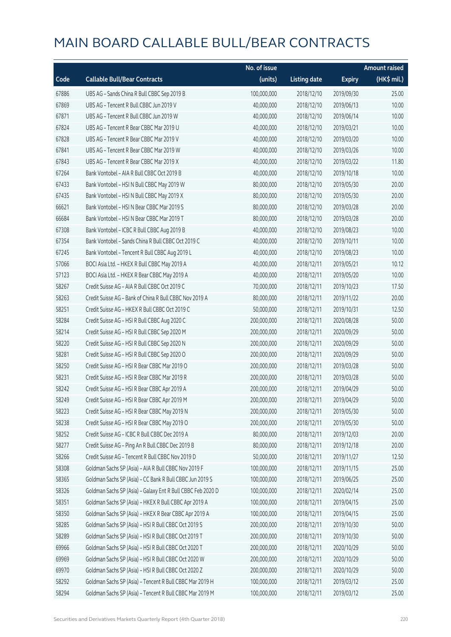|       |                                                             | No. of issue |                     |               | <b>Amount raised</b> |
|-------|-------------------------------------------------------------|--------------|---------------------|---------------|----------------------|
| Code  | <b>Callable Bull/Bear Contracts</b>                         | (units)      | <b>Listing date</b> | <b>Expiry</b> | (HK\$ mil.)          |
| 67886 | UBS AG - Sands China R Bull CBBC Sep 2019 B                 | 100,000,000  | 2018/12/10          | 2019/09/30    | 25.00                |
| 67869 | UBS AG - Tencent R Bull CBBC Jun 2019 V                     | 40,000,000   | 2018/12/10          | 2019/06/13    | 10.00                |
| 67871 | UBS AG - Tencent R Bull CBBC Jun 2019 W                     | 40,000,000   | 2018/12/10          | 2019/06/14    | 10.00                |
| 67824 | UBS AG - Tencent R Bear CBBC Mar 2019 U                     | 40,000,000   | 2018/12/10          | 2019/03/21    | 10.00                |
| 67828 | UBS AG - Tencent R Bear CBBC Mar 2019 V                     | 40,000,000   | 2018/12/10          | 2019/03/20    | 10.00                |
| 67841 | UBS AG - Tencent R Bear CBBC Mar 2019 W                     | 40,000,000   | 2018/12/10          | 2019/03/26    | 10.00                |
| 67843 | UBS AG - Tencent R Bear CBBC Mar 2019 X                     | 40,000,000   | 2018/12/10          | 2019/03/22    | 11.80                |
| 67264 | Bank Vontobel - AIA R Bull CBBC Oct 2019 B                  | 40,000,000   | 2018/12/10          | 2019/10/18    | 10.00                |
| 67433 | Bank Vontobel - HSI N Bull CBBC May 2019 W                  | 80,000,000   | 2018/12/10          | 2019/05/30    | 20.00                |
| 67435 | Bank Vontobel - HSI N Bull CBBC May 2019 X                  | 80,000,000   | 2018/12/10          | 2019/05/30    | 20.00                |
| 66621 | Bank Vontobel - HSI N Bear CBBC Mar 2019 S                  | 80,000,000   | 2018/12/10          | 2019/03/28    | 20.00                |
| 66684 | Bank Vontobel - HSI N Bear CBBC Mar 2019 T                  | 80,000,000   | 2018/12/10          | 2019/03/28    | 20.00                |
| 67308 | Bank Vontobel - ICBC R Bull CBBC Aug 2019 B                 | 40,000,000   | 2018/12/10          | 2019/08/23    | 10.00                |
| 67354 | Bank Vontobel - Sands China R Bull CBBC Oct 2019 C          | 40,000,000   | 2018/12/10          | 2019/10/11    | 10.00                |
| 67245 | Bank Vontobel - Tencent R Bull CBBC Aug 2019 L              | 40,000,000   | 2018/12/10          | 2019/08/23    | 10.00                |
| 57066 | BOCI Asia Ltd. - HKEX R Bull CBBC May 2019 A                | 40,000,000   | 2018/12/11          | 2019/05/21    | 10.12                |
| 57123 | BOCI Asia Ltd. - HKEX R Bear CBBC May 2019 A                | 40,000,000   | 2018/12/11          | 2019/05/20    | 10.00                |
| 58267 | Credit Suisse AG - AIA R Bull CBBC Oct 2019 C               | 70,000,000   | 2018/12/11          | 2019/10/23    | 17.50                |
| 58263 | Credit Suisse AG - Bank of China R Bull CBBC Nov 2019 A     | 80,000,000   | 2018/12/11          | 2019/11/22    | 20.00                |
| 58251 | Credit Suisse AG - HKEX R Bull CBBC Oct 2019 C              | 50,000,000   | 2018/12/11          | 2019/10/31    | 12.50                |
| 58284 | Credit Suisse AG - HSI R Bull CBBC Aug 2020 C               | 200,000,000  | 2018/12/11          | 2020/08/28    | 50.00                |
| 58214 | Credit Suisse AG - HSI R Bull CBBC Sep 2020 M               | 200,000,000  | 2018/12/11          | 2020/09/29    | 50.00                |
| 58220 | Credit Suisse AG - HSI R Bull CBBC Sep 2020 N               | 200,000,000  | 2018/12/11          | 2020/09/29    | 50.00                |
| 58281 | Credit Suisse AG - HSI R Bull CBBC Sep 2020 O               | 200,000,000  | 2018/12/11          | 2020/09/29    | 50.00                |
| 58250 | Credit Suisse AG - HSI R Bear CBBC Mar 2019 O               | 200,000,000  | 2018/12/11          | 2019/03/28    | 50.00                |
| 58231 | Credit Suisse AG - HSI R Bear CBBC Mar 2019 R               | 200,000,000  | 2018/12/11          | 2019/03/28    | 50.00                |
| 58242 | Credit Suisse AG - HSI R Bear CBBC Apr 2019 A               | 200,000,000  | 2018/12/11          | 2019/04/29    | 50.00                |
| 58249 | Credit Suisse AG - HSI R Bear CBBC Apr 2019 M               | 200,000,000  | 2018/12/11          | 2019/04/29    | 50.00                |
| 58223 | Credit Suisse AG - HSI R Bear CBBC May 2019 N               | 200,000,000  | 2018/12/11          | 2019/05/30    | 50.00                |
| 58238 | Credit Suisse AG - HSI R Bear CBBC May 2019 O               | 200,000,000  | 2018/12/11          | 2019/05/30    | 50.00                |
| 58252 | Credit Suisse AG - ICBC R Bull CBBC Dec 2019 A              | 80,000,000   | 2018/12/11          | 2019/12/03    | 20.00                |
| 58277 | Credit Suisse AG - Ping An R Bull CBBC Dec 2019 B           | 80,000,000   | 2018/12/11          | 2019/12/18    | 20.00                |
| 58266 | Credit Suisse AG - Tencent R Bull CBBC Nov 2019 D           | 50,000,000   | 2018/12/11          | 2019/11/27    | 12.50                |
| 58308 | Goldman Sachs SP (Asia) - AIA R Bull CBBC Nov 2019 F        | 100,000,000  | 2018/12/11          | 2019/11/15    | 25.00                |
| 58365 | Goldman Sachs SP (Asia) – CC Bank R Bull CBBC Jun 2019 S    | 100,000,000  | 2018/12/11          | 2019/06/25    | 25.00                |
| 58326 | Goldman Sachs SP (Asia) - Galaxy Ent R Bull CBBC Feb 2020 D | 100,000,000  | 2018/12/11          | 2020/02/14    | 25.00                |
| 58351 | Goldman Sachs SP (Asia) - HKEX R Bull CBBC Apr 2019 A       | 100,000,000  | 2018/12/11          | 2019/04/15    | 25.00                |
| 58350 | Goldman Sachs SP (Asia) - HKEX R Bear CBBC Apr 2019 A       | 100,000,000  | 2018/12/11          | 2019/04/15    | 25.00                |
| 58285 | Goldman Sachs SP (Asia) - HSI R Bull CBBC Oct 2019 S        | 200,000,000  | 2018/12/11          | 2019/10/30    | 50.00                |
| 58289 | Goldman Sachs SP (Asia) - HSI R Bull CBBC Oct 2019 T        | 200,000,000  | 2018/12/11          | 2019/10/30    | 50.00                |
| 69966 | Goldman Sachs SP (Asia) - HSI R Bull CBBC Oct 2020 T        | 200,000,000  | 2018/12/11          | 2020/10/29    | 50.00                |
| 69969 | Goldman Sachs SP (Asia) - HSI R Bull CBBC Oct 2020 W        | 200,000,000  | 2018/12/11          | 2020/10/29    | 50.00                |
| 69970 | Goldman Sachs SP (Asia) - HSI R Bull CBBC Oct 2020 Z        | 200,000,000  | 2018/12/11          | 2020/10/29    | 50.00                |
| 58292 | Goldman Sachs SP (Asia) - Tencent R Bull CBBC Mar 2019 H    | 100,000,000  | 2018/12/11          | 2019/03/12    | 25.00                |
| 58294 | Goldman Sachs SP (Asia) - Tencent R Bull CBBC Mar 2019 M    | 100,000,000  | 2018/12/11          | 2019/03/12    | 25.00                |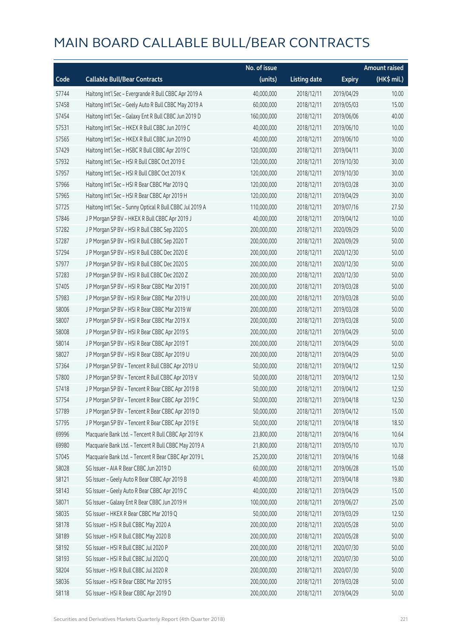|       |                                                          | No. of issue |                     |               | <b>Amount raised</b> |
|-------|----------------------------------------------------------|--------------|---------------------|---------------|----------------------|
| Code  | <b>Callable Bull/Bear Contracts</b>                      | (units)      | <b>Listing date</b> | <b>Expiry</b> | $(HK$$ mil.)         |
| 57744 | Haitong Int'l Sec - Evergrande R Bull CBBC Apr 2019 A    | 40,000,000   | 2018/12/11          | 2019/04/29    | 10.00                |
| 57458 | Haitong Int'l Sec - Geely Auto R Bull CBBC May 2019 A    | 60,000,000   | 2018/12/11          | 2019/05/03    | 15.00                |
| 57454 | Haitong Int'l Sec - Galaxy Ent R Bull CBBC Jun 2019 D    | 160,000,000  | 2018/12/11          | 2019/06/06    | 40.00                |
| 57531 | Haitong Int'l Sec - HKEX R Bull CBBC Jun 2019 C          | 40,000,000   | 2018/12/11          | 2019/06/10    | 10.00                |
| 57565 | Haitong Int'l Sec - HKEX R Bull CBBC Jun 2019 D          | 40,000,000   | 2018/12/11          | 2019/06/10    | 10.00                |
| 57429 | Haitong Int'l Sec - HSBC R Bull CBBC Apr 2019 C          | 120,000,000  | 2018/12/11          | 2019/04/11    | 30.00                |
| 57932 | Haitong Int'l Sec - HSI R Bull CBBC Oct 2019 E           | 120,000,000  | 2018/12/11          | 2019/10/30    | 30.00                |
| 57957 | Haitong Int'l Sec - HSI R Bull CBBC Oct 2019 K           | 120,000,000  | 2018/12/11          | 2019/10/30    | 30.00                |
| 57966 | Haitong Int'l Sec - HSI R Bear CBBC Mar 2019 Q           | 120,000,000  | 2018/12/11          | 2019/03/28    | 30.00                |
| 57965 | Haitong Int'l Sec - HSI R Bear CBBC Apr 2019 H           | 120,000,000  | 2018/12/11          | 2019/04/29    | 30.00                |
| 57725 | Haitong Int'l Sec - Sunny Optical R Bull CBBC Jul 2019 A | 110,000,000  | 2018/12/11          | 2019/07/16    | 27.50                |
| 57846 | J P Morgan SP BV - HKEX R Bull CBBC Apr 2019 J           | 40,000,000   | 2018/12/11          | 2019/04/12    | 10.00                |
| 57282 | J P Morgan SP BV - HSI R Bull CBBC Sep 2020 S            | 200,000,000  | 2018/12/11          | 2020/09/29    | 50.00                |
| 57287 | J P Morgan SP BV - HSI R Bull CBBC Sep 2020 T            | 200,000,000  | 2018/12/11          | 2020/09/29    | 50.00                |
| 57294 | J P Morgan SP BV - HSI R Bull CBBC Dec 2020 E            | 200,000,000  | 2018/12/11          | 2020/12/30    | 50.00                |
| 57977 | J P Morgan SP BV - HSI R Bull CBBC Dec 2020 S            | 200,000,000  | 2018/12/11          | 2020/12/30    | 50.00                |
| 57283 | J P Morgan SP BV - HSI R Bull CBBC Dec 2020 Z            | 200,000,000  | 2018/12/11          | 2020/12/30    | 50.00                |
| 57405 | J P Morgan SP BV - HSI R Bear CBBC Mar 2019 T            | 200,000,000  | 2018/12/11          | 2019/03/28    | 50.00                |
| 57983 | J P Morgan SP BV - HSI R Bear CBBC Mar 2019 U            | 200,000,000  | 2018/12/11          | 2019/03/28    | 50.00                |
| 58006 | J P Morgan SP BV - HSI R Bear CBBC Mar 2019 W            | 200,000,000  | 2018/12/11          | 2019/03/28    | 50.00                |
| 58007 | J P Morgan SP BV - HSI R Bear CBBC Mar 2019 X            | 200,000,000  | 2018/12/11          | 2019/03/28    | 50.00                |
| 58008 | J P Morgan SP BV - HSI R Bear CBBC Apr 2019 S            | 200,000,000  | 2018/12/11          | 2019/04/29    | 50.00                |
| 58014 | J P Morgan SP BV - HSI R Bear CBBC Apr 2019 T            | 200,000,000  | 2018/12/11          | 2019/04/29    | 50.00                |
| 58027 | J P Morgan SP BV - HSI R Bear CBBC Apr 2019 U            | 200,000,000  | 2018/12/11          | 2019/04/29    | 50.00                |
| 57364 | J P Morgan SP BV - Tencent R Bull CBBC Apr 2019 U        | 50,000,000   | 2018/12/11          | 2019/04/12    | 12.50                |
| 57800 | J P Morgan SP BV - Tencent R Bull CBBC Apr 2019 V        | 50,000,000   | 2018/12/11          | 2019/04/12    | 12.50                |
| 57418 | J P Morgan SP BV - Tencent R Bear CBBC Apr 2019 B        | 50,000,000   | 2018/12/11          | 2019/04/12    | 12.50                |
| 57754 | J P Morgan SP BV - Tencent R Bear CBBC Apr 2019 C        | 50,000,000   | 2018/12/11          | 2019/04/18    | 12.50                |
| 57789 | J P Morgan SP BV - Tencent R Bear CBBC Apr 2019 D        | 50,000,000   | 2018/12/11          | 2019/04/12    | 15.00                |
| 57795 | J P Morgan SP BV - Tencent R Bear CBBC Apr 2019 E        | 50,000,000   | 2018/12/11          | 2019/04/18    | 18.50                |
| 69996 | Macquarie Bank Ltd. - Tencent R Bull CBBC Apr 2019 K     | 23,800,000   | 2018/12/11          | 2019/04/16    | 10.64                |
| 69980 | Macquarie Bank Ltd. - Tencent R Bull CBBC May 2019 A     | 21,800,000   | 2018/12/11          | 2019/05/10    | 10.70                |
| 57045 | Macquarie Bank Ltd. - Tencent R Bear CBBC Apr 2019 L     | 25,200,000   | 2018/12/11          | 2019/04/16    | 10.68                |
| 58028 | SG Issuer - AIA R Bear CBBC Jun 2019 D                   | 60,000,000   | 2018/12/11          | 2019/06/28    | 15.00                |
| 58121 | SG Issuer - Geely Auto R Bear CBBC Apr 2019 B            | 40,000,000   | 2018/12/11          | 2019/04/18    | 19.80                |
| 58143 | SG Issuer - Geely Auto R Bear CBBC Apr 2019 C            | 40,000,000   | 2018/12/11          | 2019/04/29    | 15.00                |
| 58071 | SG Issuer - Galaxy Ent R Bear CBBC Jun 2019 H            | 100,000,000  | 2018/12/11          | 2019/06/27    | 25.00                |
| 58035 | SG Issuer - HKEX R Bear CBBC Mar 2019 Q                  | 50,000,000   | 2018/12/11          | 2019/03/29    | 12.50                |
| 58178 | SG Issuer - HSI R Bull CBBC May 2020 A                   | 200,000,000  | 2018/12/11          | 2020/05/28    | 50.00                |
| 58189 | SG Issuer - HSI R Bull CBBC May 2020 B                   | 200,000,000  | 2018/12/11          | 2020/05/28    | 50.00                |
| 58192 | SG Issuer - HSI R Bull CBBC Jul 2020 P                   | 200,000,000  | 2018/12/11          | 2020/07/30    | 50.00                |
| 58193 | SG Issuer - HSI R Bull CBBC Jul 2020 Q                   | 200,000,000  | 2018/12/11          | 2020/07/30    | 50.00                |
| 58204 | SG Issuer - HSI R Bull CBBC Jul 2020 R                   | 200,000,000  | 2018/12/11          | 2020/07/30    | 50.00                |
| 58036 | SG Issuer - HSI R Bear CBBC Mar 2019 S                   | 200,000,000  | 2018/12/11          | 2019/03/28    | 50.00                |
| 58118 | SG Issuer - HSI R Bear CBBC Apr 2019 D                   | 200,000,000  | 2018/12/11          | 2019/04/29    | 50.00                |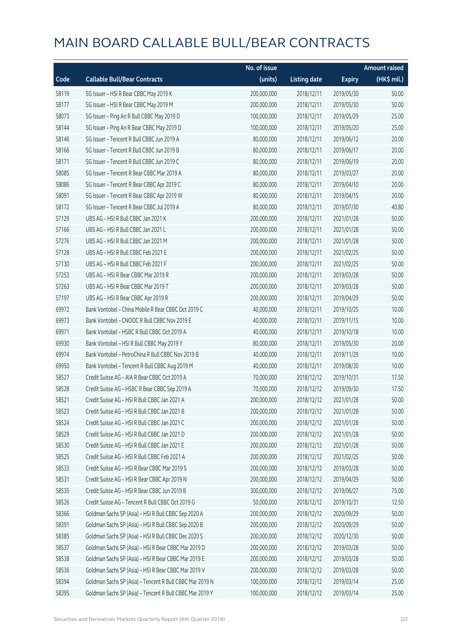|       |                                                          | No. of issue |                     |               | <b>Amount raised</b> |
|-------|----------------------------------------------------------|--------------|---------------------|---------------|----------------------|
| Code  | <b>Callable Bull/Bear Contracts</b>                      | (units)      | <b>Listing date</b> | <b>Expiry</b> | $(HK\$ mil.)         |
| 58119 | SG Issuer - HSI R Bear CBBC May 2019 K                   | 200,000,000  | 2018/12/11          | 2019/05/30    | 50.00                |
| 58177 | SG Issuer - HSI R Bear CBBC May 2019 M                   | 200,000,000  | 2018/12/11          | 2019/05/30    | 50.00                |
| 58073 | SG Issuer - Ping An R Bull CBBC May 2019 D               | 100,000,000  | 2018/12/11          | 2019/05/29    | 25.00                |
| 58144 | SG Issuer - Ping An R Bear CBBC May 2019 D               | 100,000,000  | 2018/12/11          | 2019/05/20    | 25.00                |
| 58146 | SG Issuer - Tencent R Bull CBBC Jun 2019 A               | 80,000,000   | 2018/12/11          | 2019/06/12    | 20.00                |
| 58166 | SG Issuer - Tencent R Bull CBBC Jun 2019 B               | 80,000,000   | 2018/12/11          | 2019/06/17    | 20.00                |
| 58171 | SG Issuer - Tencent R Bull CBBC Jun 2019 C               | 80,000,000   | 2018/12/11          | 2019/06/19    | 20.00                |
| 58085 | SG Issuer - Tencent R Bear CBBC Mar 2019 A               | 80,000,000   | 2018/12/11          | 2019/03/27    | 20.00                |
| 58086 | SG Issuer - Tencent R Bear CBBC Apr 2019 C               | 80,000,000   | 2018/12/11          | 2019/04/10    | 20.00                |
| 58091 | SG Issuer - Tencent R Bear CBBC Apr 2019 W               | 80,000,000   | 2018/12/11          | 2019/04/15    | 20.00                |
| 58172 | SG Issuer - Tencent R Bear CBBC Jul 2019 A               | 80,000,000   | 2018/12/11          | 2019/07/30    | 40.80                |
| 57129 | UBS AG - HSI R Bull CBBC Jan 2021 K                      | 200,000,000  | 2018/12/11          | 2021/01/28    | 50.00                |
| 57166 | UBS AG - HSI R Bull CBBC Jan 2021 L                      | 200,000,000  | 2018/12/11          | 2021/01/28    | 50.00                |
| 57276 | UBS AG - HSI R Bull CBBC Jan 2021 M                      | 200,000,000  | 2018/12/11          | 2021/01/28    | 50.00                |
| 57128 | UBS AG - HSI R Bull CBBC Feb 2021 E                      | 200,000,000  | 2018/12/11          | 2021/02/25    | 50.00                |
| 57130 | UBS AG - HSI R Bull CBBC Feb 2021 F                      | 200,000,000  | 2018/12/11          | 2021/02/25    | 50.00                |
| 57253 | UBS AG - HSI R Bear CBBC Mar 2019 R                      | 200,000,000  | 2018/12/11          | 2019/03/28    | 50.00                |
| 57263 | UBS AG - HSI R Bear CBBC Mar 2019 T                      | 200,000,000  | 2018/12/11          | 2019/03/28    | 50.00                |
| 57197 | UBS AG - HSI R Bear CBBC Apr 2019 R                      | 200,000,000  | 2018/12/11          | 2019/04/29    | 50.00                |
| 69972 | Bank Vontobel - China Mobile R Bear CBBC Oct 2019 C      | 40,000,000   | 2018/12/11          | 2019/10/25    | 10.00                |
| 69973 | Bank Vontobel - CNOOC R Bull CBBC Nov 2019 E             | 40,000,000   | 2018/12/11          | 2019/11/15    | 10.00                |
| 69971 | Bank Vontobel - HSBC R Bull CBBC Oct 2019 A              | 40,000,000   | 2018/12/11          | 2019/10/18    | 10.00                |
| 69930 | Bank Vontobel - HSI R Bull CBBC May 2019 Y               | 80,000,000   | 2018/12/11          | 2019/05/30    | 20.00                |
| 69974 | Bank Vontobel - PetroChina R Bull CBBC Nov 2019 B        | 40,000,000   | 2018/12/11          | 2019/11/29    | 10.00                |
| 69950 | Bank Vontobel - Tencent R Bull CBBC Aug 2019 M           | 40,000,000   | 2018/12/11          | 2019/08/30    | 10.00                |
| 58527 | Credit Suisse AG - AIA R Bear CBBC Oct 2019 A            | 70,000,000   | 2018/12/12          | 2019/10/31    | 17.50                |
| 58528 | Credit Suisse AG - HSBC R Bear CBBC Sep 2019 A           | 70,000,000   | 2018/12/12          | 2019/09/30    | 17.50                |
| 58521 | Credit Suisse AG - HSI R Bull CBBC Jan 2021 A            | 200,000,000  | 2018/12/12          | 2021/01/28    | 50.00                |
| 58523 | Credit Suisse AG - HSI R Bull CBBC Jan 2021 B            | 200,000,000  | 2018/12/12          | 2021/01/28    | 50.00                |
| 58524 | Credit Suisse AG - HSI R Bull CBBC Jan 2021 C            | 200,000,000  | 2018/12/12          | 2021/01/28    | 50.00                |
| 58529 | Credit Suisse AG - HSI R Bull CBBC Jan 2021 D            | 200,000,000  | 2018/12/12          | 2021/01/28    | 50.00                |
| 58530 | Credit Suisse AG - HSI R Bull CBBC Jan 2021 E            | 200,000,000  | 2018/12/12          | 2021/01/28    | 50.00                |
| 58525 | Credit Suisse AG - HSI R Bull CBBC Feb 2021 A            | 200,000,000  | 2018/12/12          | 2021/02/25    | 50.00                |
| 58533 | Credit Suisse AG - HSI R Bear CBBC Mar 2019 S            | 200,000,000  | 2018/12/12          | 2019/03/28    | 50.00                |
| 58531 | Credit Suisse AG - HSI R Bear CBBC Apr 2019 N            | 200,000,000  | 2018/12/12          | 2019/04/29    | 50.00                |
| 58535 | Credit Suisse AG - HSI R Bear CBBC Jun 2019 B            | 300,000,000  | 2018/12/12          | 2019/06/27    | 75.00                |
| 58526 | Credit Suisse AG - Tencent R Bull CBBC Oct 2019 G        | 50,000,000   | 2018/12/12          | 2019/10/31    | 12.50                |
| 58366 | Goldman Sachs SP (Asia) - HSI R Bull CBBC Sep 2020 A     | 200,000,000  | 2018/12/12          | 2020/09/29    | 50.00                |
| 58391 | Goldman Sachs SP (Asia) - HSI R Bull CBBC Sep 2020 B     | 200,000,000  | 2018/12/12          | 2020/09/29    | 50.00                |
| 58385 | Goldman Sachs SP (Asia) - HSI R Bull CBBC Dec 2020 S     | 200,000,000  | 2018/12/12          | 2020/12/30    | 50.00                |
| 58537 | Goldman Sachs SP (Asia) - HSI R Bear CBBC Mar 2019 D     | 200,000,000  | 2018/12/12          | 2019/03/28    | 50.00                |
| 58538 | Goldman Sachs SP (Asia) - HSI R Bear CBBC Mar 2019 E     | 200,000,000  | 2018/12/12          | 2019/03/28    | 50.00                |
| 58536 | Goldman Sachs SP (Asia) - HSI R Bear CBBC Mar 2019 V     | 200,000,000  | 2018/12/12          | 2019/03/28    | 50.00                |
| 58394 | Goldman Sachs SP (Asia) - Tencent R Bull CBBC Mar 2019 N | 100,000,000  | 2018/12/12          | 2019/03/14    | 25.00                |
| 58395 | Goldman Sachs SP (Asia) - Tencent R Bull CBBC Mar 2019 Y | 100,000,000  | 2018/12/12          | 2019/03/14    | 25.00                |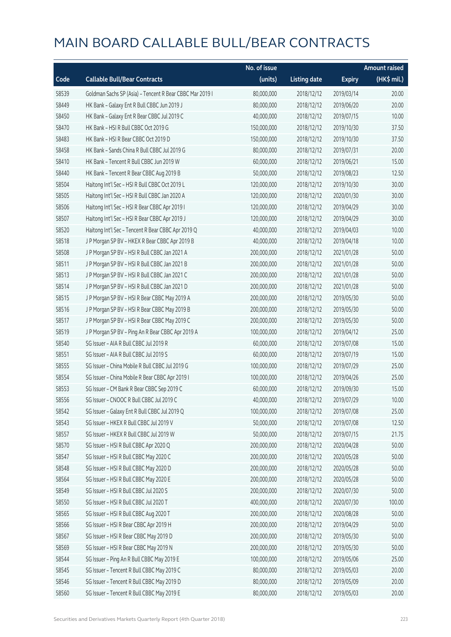|       |                                                          | No. of issue |                     |               | <b>Amount raised</b> |
|-------|----------------------------------------------------------|--------------|---------------------|---------------|----------------------|
| Code  | <b>Callable Bull/Bear Contracts</b>                      | (units)      | <b>Listing date</b> | <b>Expiry</b> | (HK\$ mil.)          |
| 58539 | Goldman Sachs SP (Asia) - Tencent R Bear CBBC Mar 2019 I | 80,000,000   | 2018/12/12          | 2019/03/14    | 20.00                |
| 58449 | HK Bank - Galaxy Ent R Bull CBBC Jun 2019 J              | 80,000,000   | 2018/12/12          | 2019/06/20    | 20.00                |
| 58450 | HK Bank - Galaxy Ent R Bear CBBC Jul 2019 C              | 40,000,000   | 2018/12/12          | 2019/07/15    | 10.00                |
| 58470 | HK Bank - HSI R Bull CBBC Oct 2019 G                     | 150,000,000  | 2018/12/12          | 2019/10/30    | 37.50                |
| 58483 | HK Bank - HSI R Bear CBBC Oct 2019 D                     | 150,000,000  | 2018/12/12          | 2019/10/30    | 37.50                |
| 58458 | HK Bank - Sands China R Bull CBBC Jul 2019 G             | 80,000,000   | 2018/12/12          | 2019/07/31    | 20.00                |
| 58410 | HK Bank - Tencent R Bull CBBC Jun 2019 W                 | 60,000,000   | 2018/12/12          | 2019/06/21    | 15.00                |
| 58440 | HK Bank - Tencent R Bear CBBC Aug 2019 B                 | 50,000,000   | 2018/12/12          | 2019/08/23    | 12.50                |
| 58504 | Haitong Int'l Sec - HSI R Bull CBBC Oct 2019 L           | 120,000,000  | 2018/12/12          | 2019/10/30    | 30.00                |
| 58505 | Haitong Int'l Sec - HSI R Bull CBBC Jan 2020 A           | 120,000,000  | 2018/12/12          | 2020/01/30    | 30.00                |
| 58506 | Haitong Int'l Sec - HSI R Bear CBBC Apr 2019 I           | 120,000,000  | 2018/12/12          | 2019/04/29    | 30.00                |
| 58507 | Haitong Int'l Sec - HSI R Bear CBBC Apr 2019 J           | 120,000,000  | 2018/12/12          | 2019/04/29    | 30.00                |
| 58520 | Haitong Int'l Sec - Tencent R Bear CBBC Apr 2019 Q       | 40,000,000   | 2018/12/12          | 2019/04/03    | 10.00                |
| 58518 | J P Morgan SP BV - HKEX R Bear CBBC Apr 2019 B           | 40,000,000   | 2018/12/12          | 2019/04/18    | 10.00                |
| 58508 | J P Morgan SP BV - HSI R Bull CBBC Jan 2021 A            | 200,000,000  | 2018/12/12          | 2021/01/28    | 50.00                |
| 58511 | J P Morgan SP BV - HSI R Bull CBBC Jan 2021 B            | 200,000,000  | 2018/12/12          | 2021/01/28    | 50.00                |
| 58513 | J P Morgan SP BV - HSI R Bull CBBC Jan 2021 C            | 200,000,000  | 2018/12/12          | 2021/01/28    | 50.00                |
| 58514 | J P Morgan SP BV - HSI R Bull CBBC Jan 2021 D            | 200,000,000  | 2018/12/12          | 2021/01/28    | 50.00                |
| 58515 | J P Morgan SP BV - HSI R Bear CBBC May 2019 A            | 200,000,000  | 2018/12/12          | 2019/05/30    | 50.00                |
| 58516 | J P Morgan SP BV - HSI R Bear CBBC May 2019 B            | 200,000,000  | 2018/12/12          | 2019/05/30    | 50.00                |
| 58517 | J P Morgan SP BV - HSI R Bear CBBC May 2019 C            | 200,000,000  | 2018/12/12          | 2019/05/30    | 50.00                |
| 58519 | J P Morgan SP BV - Ping An R Bear CBBC Apr 2019 A        | 100,000,000  | 2018/12/12          | 2019/04/12    | 25.00                |
| 58540 | SG Issuer - AIA R Bull CBBC Jul 2019 R                   | 60,000,000   | 2018/12/12          | 2019/07/08    | 15.00                |
| 58551 | SG Issuer - AIA R Bull CBBC Jul 2019 S                   | 60,000,000   | 2018/12/12          | 2019/07/19    | 15.00                |
| 58555 | SG Issuer - China Mobile R Bull CBBC Jul 2019 G          | 100,000,000  | 2018/12/12          | 2019/07/29    | 25.00                |
| 58554 | SG Issuer - China Mobile R Bear CBBC Apr 2019 I          | 100,000,000  | 2018/12/12          | 2019/04/26    | 25.00                |
| 58553 | SG Issuer - CM Bank R Bear CBBC Sep 2019 C               | 60,000,000   | 2018/12/12          | 2019/09/30    | 15.00                |
| 58556 | SG Issuer - CNOOC R Bull CBBC Jul 2019 C                 | 40,000,000   | 2018/12/12          | 2019/07/29    | 10.00                |
| 58542 | SG Issuer - Galaxy Ent R Bull CBBC Jul 2019 Q            | 100,000,000  | 2018/12/12          | 2019/07/08    | 25.00                |
| 58543 | SG Issuer - HKEX R Bull CBBC Jul 2019 V                  | 50,000,000   | 2018/12/12          | 2019/07/08    | 12.50                |
| 58557 | SG Issuer - HKEX R Bull CBBC Jul 2019 W                  | 50,000,000   | 2018/12/12          | 2019/07/15    | 21.75                |
| 58570 | SG Issuer - HSI R Bull CBBC Apr 2020 Q                   | 200,000,000  | 2018/12/12          | 2020/04/28    | 50.00                |
| 58547 | SG Issuer - HSI R Bull CBBC May 2020 C                   | 200,000,000  | 2018/12/12          | 2020/05/28    | 50.00                |
| 58548 | SG Issuer - HSI R Bull CBBC May 2020 D                   | 200,000,000  | 2018/12/12          | 2020/05/28    | 50.00                |
| 58564 | SG Issuer - HSI R Bull CBBC May 2020 E                   | 200,000,000  | 2018/12/12          | 2020/05/28    | 50.00                |
| 58549 | SG Issuer - HSI R Bull CBBC Jul 2020 S                   | 200,000,000  | 2018/12/12          | 2020/07/30    | 50.00                |
| 58550 | SG Issuer - HSI R Bull CBBC Jul 2020 T                   | 400,000,000  | 2018/12/12          | 2020/07/30    | 100.00               |
| 58565 | SG Issuer - HSI R Bull CBBC Aug 2020 T                   | 200,000,000  | 2018/12/12          | 2020/08/28    | 50.00                |
| 58566 | SG Issuer - HSI R Bear CBBC Apr 2019 H                   | 200,000,000  | 2018/12/12          | 2019/04/29    | 50.00                |
| 58567 | SG Issuer - HSI R Bear CBBC May 2019 D                   | 200,000,000  | 2018/12/12          | 2019/05/30    | 50.00                |
| 58569 | SG Issuer - HSI R Bear CBBC May 2019 N                   | 200,000,000  | 2018/12/12          | 2019/05/30    | 50.00                |
| 58544 | SG Issuer - Ping An R Bull CBBC May 2019 E               | 100,000,000  | 2018/12/12          | 2019/05/06    | 25.00                |
| 58545 | SG Issuer - Tencent R Bull CBBC May 2019 C               | 80,000,000   | 2018/12/12          | 2019/05/03    | 20.00                |
| 58546 | SG Issuer - Tencent R Bull CBBC May 2019 D               | 80,000,000   | 2018/12/12          | 2019/05/09    | 20.00                |
| 58560 | SG Issuer - Tencent R Bull CBBC May 2019 E               | 80,000,000   | 2018/12/12          | 2019/05/03    | 20.00                |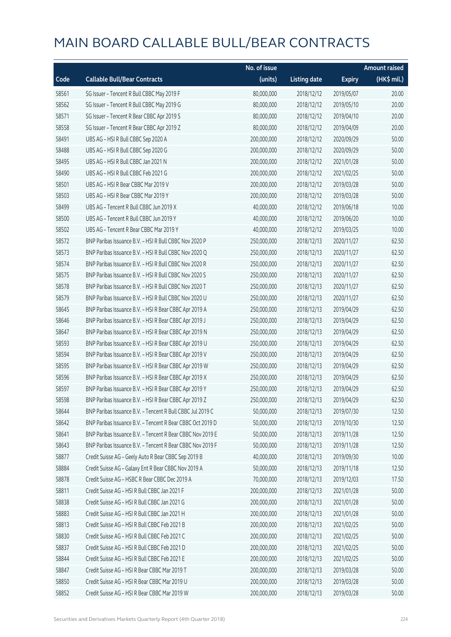|       |                                                            | No. of issue |                     |               | <b>Amount raised</b> |
|-------|------------------------------------------------------------|--------------|---------------------|---------------|----------------------|
| Code  | <b>Callable Bull/Bear Contracts</b>                        | (units)      | <b>Listing date</b> | <b>Expiry</b> | (HK\$ mil.)          |
| 58561 | SG Issuer - Tencent R Bull CBBC May 2019 F                 | 80,000,000   | 2018/12/12          | 2019/05/07    | 20.00                |
| 58562 | SG Issuer - Tencent R Bull CBBC May 2019 G                 | 80,000,000   | 2018/12/12          | 2019/05/10    | 20.00                |
| 58571 | SG Issuer - Tencent R Bear CBBC Apr 2019 S                 | 80,000,000   | 2018/12/12          | 2019/04/10    | 20.00                |
| 58558 | SG Issuer - Tencent R Bear CBBC Apr 2019 Z                 | 80,000,000   | 2018/12/12          | 2019/04/09    | 20.00                |
| 58491 | UBS AG - HSI R Bull CBBC Sep 2020 A                        | 200,000,000  | 2018/12/12          | 2020/09/29    | 50.00                |
| 58488 | UBS AG - HSI R Bull CBBC Sep 2020 G                        | 200,000,000  | 2018/12/12          | 2020/09/29    | 50.00                |
| 58495 | UBS AG - HSI R Bull CBBC Jan 2021 N                        | 200,000,000  | 2018/12/12          | 2021/01/28    | 50.00                |
| 58490 | UBS AG - HSI R Bull CBBC Feb 2021 G                        | 200,000,000  | 2018/12/12          | 2021/02/25    | 50.00                |
| 58501 | UBS AG - HSI R Bear CBBC Mar 2019 V                        | 200,000,000  | 2018/12/12          | 2019/03/28    | 50.00                |
| 58503 | UBS AG - HSI R Bear CBBC Mar 2019 Y                        | 200,000,000  | 2018/12/12          | 2019/03/28    | 50.00                |
| 58499 | UBS AG - Tencent R Bull CBBC Jun 2019 X                    | 40,000,000   | 2018/12/12          | 2019/06/18    | 10.00                |
| 58500 | UBS AG - Tencent R Bull CBBC Jun 2019 Y                    | 40,000,000   | 2018/12/12          | 2019/06/20    | 10.00                |
| 58502 | UBS AG - Tencent R Bear CBBC Mar 2019 Y                    | 40,000,000   | 2018/12/12          | 2019/03/25    | 10.00                |
| 58572 | BNP Paribas Issuance B.V. - HSI R Bull CBBC Nov 2020 P     | 250,000,000  | 2018/12/13          | 2020/11/27    | 62.50                |
| 58573 | BNP Paribas Issuance B.V. - HSI R Bull CBBC Nov 2020 Q     | 250,000,000  | 2018/12/13          | 2020/11/27    | 62.50                |
| 58574 | BNP Paribas Issuance B.V. - HSI R Bull CBBC Nov 2020 R     | 250,000,000  | 2018/12/13          | 2020/11/27    | 62.50                |
| 58575 | BNP Paribas Issuance B.V. - HSI R Bull CBBC Nov 2020 S     | 250,000,000  | 2018/12/13          | 2020/11/27    | 62.50                |
| 58578 | BNP Paribas Issuance B.V. - HSI R Bull CBBC Nov 2020 T     | 250,000,000  | 2018/12/13          | 2020/11/27    | 62.50                |
| 58579 | BNP Paribas Issuance B.V. - HSI R Bull CBBC Nov 2020 U     | 250,000,000  | 2018/12/13          | 2020/11/27    | 62.50                |
| 58645 | BNP Paribas Issuance B.V. - HSI R Bear CBBC Apr 2019 A     | 250,000,000  | 2018/12/13          | 2019/04/29    | 62.50                |
| 58646 | BNP Paribas Issuance B.V. - HSI R Bear CBBC Apr 2019 J     | 250,000,000  | 2018/12/13          | 2019/04/29    | 62.50                |
| 58647 | BNP Paribas Issuance B.V. - HSI R Bear CBBC Apr 2019 N     | 250,000,000  | 2018/12/13          | 2019/04/29    | 62.50                |
| 58593 | BNP Paribas Issuance B.V. - HSI R Bear CBBC Apr 2019 U     | 250,000,000  | 2018/12/13          | 2019/04/29    | 62.50                |
| 58594 | BNP Paribas Issuance B.V. - HSI R Bear CBBC Apr 2019 V     | 250,000,000  | 2018/12/13          | 2019/04/29    | 62.50                |
| 58595 | BNP Paribas Issuance B.V. - HSI R Bear CBBC Apr 2019 W     | 250,000,000  | 2018/12/13          | 2019/04/29    | 62.50                |
| 58596 | BNP Paribas Issuance B.V. - HSI R Bear CBBC Apr 2019 X     | 250,000,000  | 2018/12/13          | 2019/04/29    | 62.50                |
| 58597 | BNP Paribas Issuance B.V. - HSI R Bear CBBC Apr 2019 Y     | 250,000,000  | 2018/12/13          | 2019/04/29    | 62.50                |
| 58598 | BNP Paribas Issuance B.V. - HSI R Bear CBBC Apr 2019 Z     | 250,000,000  | 2018/12/13          | 2019/04/29    | 62.50                |
| 58644 | BNP Paribas Issuance B.V. - Tencent R Bull CBBC Jul 2019 C | 50,000,000   | 2018/12/13          | 2019/07/30    | 12.50                |
| 58642 | BNP Paribas Issuance B.V. - Tencent R Bear CBBC Oct 2019 D | 50,000,000   | 2018/12/13          | 2019/10/30    | 12.50                |
| 58641 | BNP Paribas Issuance B.V. - Tencent R Bear CBBC Nov 2019 E | 50,000,000   | 2018/12/13          | 2019/11/28    | 12.50                |
| 58643 | BNP Paribas Issuance B.V. - Tencent R Bear CBBC Nov 2019 F | 50,000,000   | 2018/12/13          | 2019/11/28    | 12.50                |
| 58877 | Credit Suisse AG - Geely Auto R Bear CBBC Sep 2019 B       | 40,000,000   | 2018/12/13          | 2019/09/30    | 10.00                |
| 58884 | Credit Suisse AG - Galaxy Ent R Bear CBBC Nov 2019 A       | 50,000,000   | 2018/12/13          | 2019/11/18    | 12.50                |
| 58878 | Credit Suisse AG - HSBC R Bear CBBC Dec 2019 A             | 70,000,000   | 2018/12/13          | 2019/12/03    | 17.50                |
| 58811 | Credit Suisse AG - HSI R Bull CBBC Jan 2021 F              | 200,000,000  | 2018/12/13          | 2021/01/28    | 50.00                |
| 58838 | Credit Suisse AG - HSI R Bull CBBC Jan 2021 G              | 200,000,000  | 2018/12/13          | 2021/01/28    | 50.00                |
| 58883 | Credit Suisse AG - HSI R Bull CBBC Jan 2021 H              | 200,000,000  | 2018/12/13          | 2021/01/28    | 50.00                |
| 58813 | Credit Suisse AG - HSI R Bull CBBC Feb 2021 B              | 200,000,000  | 2018/12/13          | 2021/02/25    | 50.00                |
| 58830 | Credit Suisse AG - HSI R Bull CBBC Feb 2021 C              | 200,000,000  | 2018/12/13          | 2021/02/25    | 50.00                |
| 58837 | Credit Suisse AG - HSI R Bull CBBC Feb 2021 D              | 200,000,000  | 2018/12/13          | 2021/02/25    | 50.00                |
| 58844 | Credit Suisse AG - HSI R Bull CBBC Feb 2021 E              | 200,000,000  | 2018/12/13          | 2021/02/25    | 50.00                |
| 58847 | Credit Suisse AG - HSI R Bear CBBC Mar 2019 T              | 200,000,000  | 2018/12/13          | 2019/03/28    | 50.00                |
| 58850 | Credit Suisse AG - HSI R Bear CBBC Mar 2019 U              | 200,000,000  | 2018/12/13          | 2019/03/28    | 50.00                |
| 58852 | Credit Suisse AG - HSI R Bear CBBC Mar 2019 W              | 200,000,000  | 2018/12/13          | 2019/03/28    | 50.00                |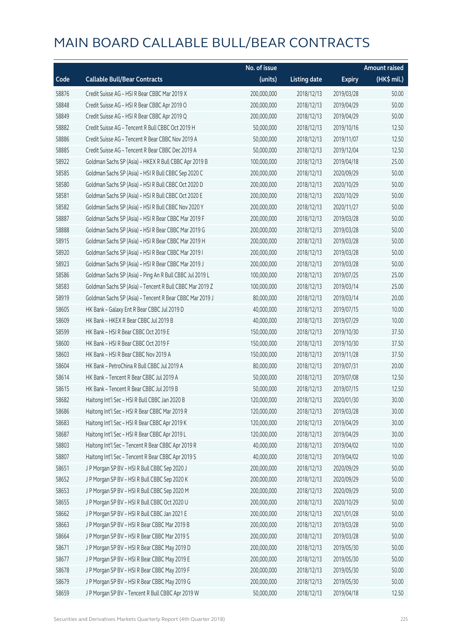|       |                                                          | No. of issue |                     |               | <b>Amount raised</b>  |
|-------|----------------------------------------------------------|--------------|---------------------|---------------|-----------------------|
| Code  | <b>Callable Bull/Bear Contracts</b>                      | (units)      | <b>Listing date</b> | <b>Expiry</b> | $(HK\frac{1}{2}mil.)$ |
| 58876 | Credit Suisse AG - HSI R Bear CBBC Mar 2019 X            | 200,000,000  | 2018/12/13          | 2019/03/28    | 50.00                 |
| 58848 | Credit Suisse AG - HSI R Bear CBBC Apr 2019 O            | 200,000,000  | 2018/12/13          | 2019/04/29    | 50.00                 |
| 58849 | Credit Suisse AG - HSI R Bear CBBC Apr 2019 Q            | 200,000,000  | 2018/12/13          | 2019/04/29    | 50.00                 |
| 58882 | Credit Suisse AG - Tencent R Bull CBBC Oct 2019 H        | 50,000,000   | 2018/12/13          | 2019/10/16    | 12.50                 |
| 58886 | Credit Suisse AG - Tencent R Bear CBBC Nov 2019 A        | 50,000,000   | 2018/12/13          | 2019/11/07    | 12.50                 |
| 58885 | Credit Suisse AG - Tencent R Bear CBBC Dec 2019 A        | 50,000,000   | 2018/12/13          | 2019/12/04    | 12.50                 |
| 58922 | Goldman Sachs SP (Asia) - HKEX R Bull CBBC Apr 2019 B    | 100,000,000  | 2018/12/13          | 2019/04/18    | 25.00                 |
| 58585 | Goldman Sachs SP (Asia) - HSI R Bull CBBC Sep 2020 C     | 200,000,000  | 2018/12/13          | 2020/09/29    | 50.00                 |
| 58580 | Goldman Sachs SP (Asia) - HSI R Bull CBBC Oct 2020 D     | 200,000,000  | 2018/12/13          | 2020/10/29    | 50.00                 |
| 58581 | Goldman Sachs SP (Asia) - HSI R Bull CBBC Oct 2020 E     | 200,000,000  | 2018/12/13          | 2020/10/29    | 50.00                 |
| 58582 | Goldman Sachs SP (Asia) - HSI R Bull CBBC Nov 2020 Y     | 200,000,000  | 2018/12/13          | 2020/11/27    | 50.00                 |
| 58887 | Goldman Sachs SP (Asia) - HSI R Bear CBBC Mar 2019 F     | 200,000,000  | 2018/12/13          | 2019/03/28    | 50.00                 |
| 58888 | Goldman Sachs SP (Asia) - HSI R Bear CBBC Mar 2019 G     | 200,000,000  | 2018/12/13          | 2019/03/28    | 50.00                 |
| 58915 | Goldman Sachs SP (Asia) - HSI R Bear CBBC Mar 2019 H     | 200,000,000  | 2018/12/13          | 2019/03/28    | 50.00                 |
| 58920 | Goldman Sachs SP (Asia) - HSI R Bear CBBC Mar 2019 I     | 200,000,000  | 2018/12/13          | 2019/03/28    | 50.00                 |
| 58923 | Goldman Sachs SP (Asia) - HSI R Bear CBBC Mar 2019 J     | 200,000,000  | 2018/12/13          | 2019/03/28    | 50.00                 |
| 58586 | Goldman Sachs SP (Asia) - Ping An R Bull CBBC Jul 2019 L | 100,000,000  | 2018/12/13          | 2019/07/25    | 25.00                 |
| 58583 | Goldman Sachs SP (Asia) - Tencent R Bull CBBC Mar 2019 Z | 100,000,000  | 2018/12/13          | 2019/03/14    | 25.00                 |
| 58919 | Goldman Sachs SP (Asia) - Tencent R Bear CBBC Mar 2019 J | 80,000,000   | 2018/12/13          | 2019/03/14    | 20.00                 |
| 58605 | HK Bank - Galaxy Ent R Bear CBBC Jul 2019 D              | 40,000,000   | 2018/12/13          | 2019/07/15    | 10.00                 |
| 58609 | HK Bank - HKEX R Bear CBBC Jul 2019 B                    | 40,000,000   | 2018/12/13          | 2019/07/29    | 10.00                 |
| 58599 | HK Bank - HSI R Bear CBBC Oct 2019 E                     | 150,000,000  | 2018/12/13          | 2019/10/30    | 37.50                 |
| 58600 | HK Bank - HSI R Bear CBBC Oct 2019 F                     | 150,000,000  | 2018/12/13          | 2019/10/30    | 37.50                 |
| 58603 | HK Bank - HSI R Bear CBBC Nov 2019 A                     | 150,000,000  | 2018/12/13          | 2019/11/28    | 37.50                 |
| 58604 | HK Bank - PetroChina R Bull CBBC Jul 2019 A              | 80,000,000   | 2018/12/13          | 2019/07/31    | 20.00                 |
| 58614 | HK Bank - Tencent R Bear CBBC Jul 2019 A                 | 50,000,000   | 2018/12/13          | 2019/07/08    | 12.50                 |
| 58615 | HK Bank - Tencent R Bear CBBC Jul 2019 B                 | 50,000,000   | 2018/12/13          | 2019/07/15    | 12.50                 |
| 58682 | Haitong Int'l Sec - HSI R Bull CBBC Jan 2020 B           | 120,000,000  | 2018/12/13          | 2020/01/30    | 30.00                 |
| 58686 | Haitong Int'l Sec - HSI R Bear CBBC Mar 2019 R           | 120,000,000  | 2018/12/13          | 2019/03/28    | 30.00                 |
| 58683 | Haitong Int'l Sec - HSI R Bear CBBC Apr 2019 K           | 120,000,000  | 2018/12/13          | 2019/04/29    | 30.00                 |
| 58687 | Haitong Int'l Sec - HSI R Bear CBBC Apr 2019 L           | 120,000,000  | 2018/12/13          | 2019/04/29    | 30.00                 |
| 58803 | Haitong Int'l Sec - Tencent R Bear CBBC Apr 2019 R       | 40,000,000   | 2018/12/13          | 2019/04/02    | 10.00                 |
| 58807 | Haitong Int'l Sec - Tencent R Bear CBBC Apr 2019 S       | 40,000,000   | 2018/12/13          | 2019/04/02    | 10.00                 |
| 58651 | J P Morgan SP BV - HSI R Bull CBBC Sep 2020 J            | 200,000,000  | 2018/12/13          | 2020/09/29    | 50.00                 |
| 58652 | J P Morgan SP BV - HSI R Bull CBBC Sep 2020 K            | 200,000,000  | 2018/12/13          | 2020/09/29    | 50.00                 |
| 58653 | J P Morgan SP BV - HSI R Bull CBBC Sep 2020 M            | 200,000,000  | 2018/12/13          | 2020/09/29    | 50.00                 |
| 58655 | J P Morgan SP BV - HSI R Bull CBBC Oct 2020 U            | 200,000,000  | 2018/12/13          | 2020/10/29    | 50.00                 |
| 58662 | J P Morgan SP BV - HSI R Bull CBBC Jan 2021 E            | 200,000,000  | 2018/12/13          | 2021/01/28    | 50.00                 |
| 58663 | J P Morgan SP BV - HSI R Bear CBBC Mar 2019 B            | 200,000,000  | 2018/12/13          | 2019/03/28    | 50.00                 |
| 58664 | J P Morgan SP BV - HSI R Bear CBBC Mar 2019 S            | 200,000,000  | 2018/12/13          | 2019/03/28    | 50.00                 |
| 58671 | J P Morgan SP BV - HSI R Bear CBBC May 2019 D            | 200,000,000  | 2018/12/13          | 2019/05/30    | 50.00                 |
| 58677 | J P Morgan SP BV - HSI R Bear CBBC May 2019 E            | 200,000,000  | 2018/12/13          | 2019/05/30    | 50.00                 |
| 58678 | J P Morgan SP BV - HSI R Bear CBBC May 2019 F            | 200,000,000  | 2018/12/13          | 2019/05/30    | 50.00                 |
| 58679 | J P Morgan SP BV - HSI R Bear CBBC May 2019 G            | 200,000,000  | 2018/12/13          | 2019/05/30    | 50.00                 |
| 58659 | J P Morgan SP BV - Tencent R Bull CBBC Apr 2019 W        | 50,000,000   | 2018/12/13          | 2019/04/18    | 12.50                 |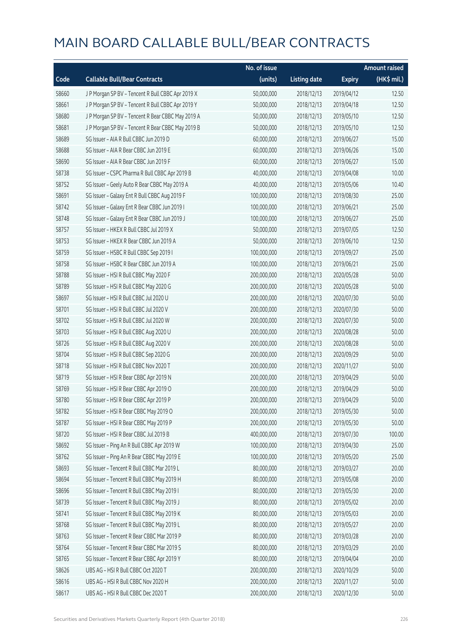|       |                                                   | No. of issue |                     |               | <b>Amount raised</b> |
|-------|---------------------------------------------------|--------------|---------------------|---------------|----------------------|
| Code  | <b>Callable Bull/Bear Contracts</b>               | (units)      | <b>Listing date</b> | <b>Expiry</b> | (HK\$ mil.)          |
| 58660 | J P Morgan SP BV - Tencent R Bull CBBC Apr 2019 X | 50,000,000   | 2018/12/13          | 2019/04/12    | 12.50                |
| 58661 | J P Morgan SP BV - Tencent R Bull CBBC Apr 2019 Y | 50,000,000   | 2018/12/13          | 2019/04/18    | 12.50                |
| 58680 | J P Morgan SP BV - Tencent R Bear CBBC May 2019 A | 50,000,000   | 2018/12/13          | 2019/05/10    | 12.50                |
| 58681 | J P Morgan SP BV - Tencent R Bear CBBC May 2019 B | 50,000,000   | 2018/12/13          | 2019/05/10    | 12.50                |
| 58689 | SG Issuer - AIA R Bull CBBC Jun 2019 D            | 60,000,000   | 2018/12/13          | 2019/06/27    | 15.00                |
| 58688 | SG Issuer - AIA R Bear CBBC Jun 2019 E            | 60,000,000   | 2018/12/13          | 2019/06/26    | 15.00                |
| 58690 | SG Issuer - AIA R Bear CBBC Jun 2019 F            | 60,000,000   | 2018/12/13          | 2019/06/27    | 15.00                |
| 58738 | SG Issuer - CSPC Pharma R Bull CBBC Apr 2019 B    | 40,000,000   | 2018/12/13          | 2019/04/08    | 10.00                |
| 58752 | SG Issuer - Geely Auto R Bear CBBC May 2019 A     | 40,000,000   | 2018/12/13          | 2019/05/06    | 10.40                |
| 58691 | SG Issuer - Galaxy Ent R Bull CBBC Aug 2019 F     | 100,000,000  | 2018/12/13          | 2019/08/30    | 25.00                |
| 58742 | SG Issuer - Galaxy Ent R Bear CBBC Jun 2019 I     | 100,000,000  | 2018/12/13          | 2019/06/21    | 25.00                |
| 58748 | SG Issuer - Galaxy Ent R Bear CBBC Jun 2019 J     | 100,000,000  | 2018/12/13          | 2019/06/27    | 25.00                |
| 58757 | SG Issuer - HKEX R Bull CBBC Jul 2019 X           | 50,000,000   | 2018/12/13          | 2019/07/05    | 12.50                |
| 58753 | SG Issuer - HKEX R Bear CBBC Jun 2019 A           | 50,000,000   | 2018/12/13          | 2019/06/10    | 12.50                |
| 58759 | SG Issuer - HSBC R Bull CBBC Sep 2019 I           | 100,000,000  | 2018/12/13          | 2019/09/27    | 25.00                |
| 58758 | SG Issuer - HSBC R Bear CBBC Jun 2019 A           | 100,000,000  | 2018/12/13          | 2019/06/21    | 25.00                |
| 58788 | SG Issuer - HSI R Bull CBBC May 2020 F            | 200,000,000  | 2018/12/13          | 2020/05/28    | 50.00                |
| 58789 | SG Issuer - HSI R Bull CBBC May 2020 G            | 200,000,000  | 2018/12/13          | 2020/05/28    | 50.00                |
| 58697 | SG Issuer - HSI R Bull CBBC Jul 2020 U            | 200,000,000  | 2018/12/13          | 2020/07/30    | 50.00                |
| 58701 | SG Issuer - HSI R Bull CBBC Jul 2020 V            | 200,000,000  | 2018/12/13          | 2020/07/30    | 50.00                |
| 58702 | SG Issuer - HSI R Bull CBBC Jul 2020 W            | 200,000,000  | 2018/12/13          | 2020/07/30    | 50.00                |
| 58703 | SG Issuer - HSI R Bull CBBC Aug 2020 U            | 200,000,000  | 2018/12/13          | 2020/08/28    | 50.00                |
| 58726 | SG Issuer - HSI R Bull CBBC Aug 2020 V            | 200,000,000  | 2018/12/13          | 2020/08/28    | 50.00                |
| 58704 | SG Issuer - HSI R Bull CBBC Sep 2020 G            | 200,000,000  | 2018/12/13          | 2020/09/29    | 50.00                |
| 58718 | SG Issuer - HSI R Bull CBBC Nov 2020 T            | 200,000,000  | 2018/12/13          | 2020/11/27    | 50.00                |
| 58719 | SG Issuer - HSI R Bear CBBC Apr 2019 N            | 200,000,000  | 2018/12/13          | 2019/04/29    | 50.00                |
| 58769 | SG Issuer - HSI R Bear CBBC Apr 2019 O            | 200,000,000  | 2018/12/13          | 2019/04/29    | 50.00                |
| 58780 | SG Issuer - HSI R Bear CBBC Apr 2019 P            | 200,000,000  | 2018/12/13          | 2019/04/29    | 50.00                |
| 58782 | SG Issuer - HSI R Bear CBBC May 2019 O            | 200,000,000  | 2018/12/13          | 2019/05/30    | 50.00                |
| 58787 | SG Issuer - HSI R Bear CBBC May 2019 P            | 200,000,000  | 2018/12/13          | 2019/05/30    | 50.00                |
| 58720 | SG Issuer - HSI R Bear CBBC Jul 2019 B            | 400,000,000  | 2018/12/13          | 2019/07/30    | 100.00               |
| 58692 | SG Issuer - Ping An R Bull CBBC Apr 2019 W        | 100,000,000  | 2018/12/13          | 2019/04/30    | 25.00                |
| 58762 | SG Issuer - Ping An R Bear CBBC May 2019 E        | 100,000,000  | 2018/12/13          | 2019/05/20    | 25.00                |
| 58693 | SG Issuer - Tencent R Bull CBBC Mar 2019 L        | 80,000,000   | 2018/12/13          | 2019/03/27    | 20.00                |
| 58694 | SG Issuer - Tencent R Bull CBBC May 2019 H        | 80,000,000   | 2018/12/13          | 2019/05/08    | 20.00                |
| 58696 | SG Issuer - Tencent R Bull CBBC May 2019 I        | 80,000,000   | 2018/12/13          | 2019/05/30    | 20.00                |
| 58739 | SG Issuer - Tencent R Bull CBBC May 2019 J        | 80,000,000   | 2018/12/13          | 2019/05/02    | 20.00                |
| 58741 | SG Issuer - Tencent R Bull CBBC May 2019 K        | 80,000,000   | 2018/12/13          | 2019/05/03    | 20.00                |
| 58768 | SG Issuer - Tencent R Bull CBBC May 2019 L        | 80,000,000   | 2018/12/13          | 2019/05/27    | 20.00                |
| 58763 | SG Issuer - Tencent R Bear CBBC Mar 2019 P        | 80,000,000   | 2018/12/13          | 2019/03/28    | 20.00                |
| 58764 | SG Issuer - Tencent R Bear CBBC Mar 2019 S        | 80,000,000   | 2018/12/13          | 2019/03/29    | 20.00                |
| 58765 | SG Issuer - Tencent R Bear CBBC Apr 2019 Y        | 80,000,000   | 2018/12/13          | 2019/04/04    | 20.00                |
| 58626 | UBS AG - HSI R Bull CBBC Oct 2020 T               | 200,000,000  | 2018/12/13          | 2020/10/29    | 50.00                |
| 58616 | UBS AG - HSI R Bull CBBC Nov 2020 H               | 200,000,000  | 2018/12/13          | 2020/11/27    | 50.00                |
| 58617 | UBS AG - HSI R Bull CBBC Dec 2020 T               | 200,000,000  | 2018/12/13          | 2020/12/30    | 50.00                |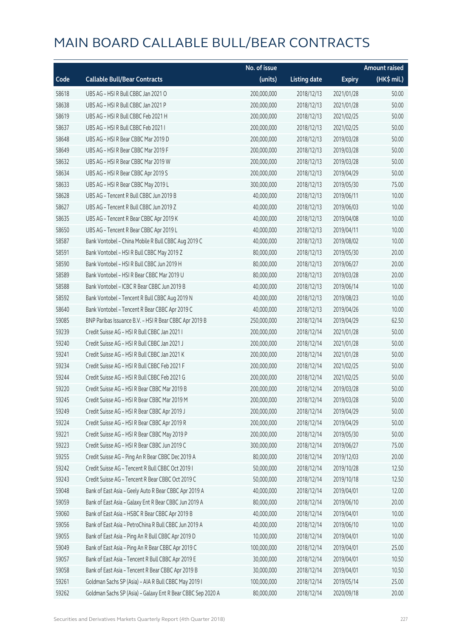|       |                                                             | No. of issue |                     |               | <b>Amount raised</b> |
|-------|-------------------------------------------------------------|--------------|---------------------|---------------|----------------------|
| Code  | <b>Callable Bull/Bear Contracts</b>                         | (units)      | <b>Listing date</b> | <b>Expiry</b> | (HK\$ mil.)          |
| 58618 | UBS AG - HSI R Bull CBBC Jan 2021 O                         | 200,000,000  | 2018/12/13          | 2021/01/28    | 50.00                |
| 58638 | UBS AG - HSI R Bull CBBC Jan 2021 P                         | 200,000,000  | 2018/12/13          | 2021/01/28    | 50.00                |
| 58619 | UBS AG - HSI R Bull CBBC Feb 2021 H                         | 200,000,000  | 2018/12/13          | 2021/02/25    | 50.00                |
| 58637 | UBS AG - HSI R Bull CBBC Feb 2021 I                         | 200,000,000  | 2018/12/13          | 2021/02/25    | 50.00                |
| 58648 | UBS AG - HSI R Bear CBBC Mar 2019 D                         | 200,000,000  | 2018/12/13          | 2019/03/28    | 50.00                |
| 58649 | UBS AG - HSI R Bear CBBC Mar 2019 F                         | 200,000,000  | 2018/12/13          | 2019/03/28    | 50.00                |
| 58632 | UBS AG - HSI R Bear CBBC Mar 2019 W                         | 200,000,000  | 2018/12/13          | 2019/03/28    | 50.00                |
| 58634 | UBS AG - HSI R Bear CBBC Apr 2019 S                         | 200,000,000  | 2018/12/13          | 2019/04/29    | 50.00                |
| 58633 | UBS AG - HSI R Bear CBBC May 2019 L                         | 300,000,000  | 2018/12/13          | 2019/05/30    | 75.00                |
| 58628 | UBS AG - Tencent R Bull CBBC Jun 2019 B                     | 40,000,000   | 2018/12/13          | 2019/06/11    | 10.00                |
| 58627 | UBS AG - Tencent R Bull CBBC Jun 2019 Z                     | 40,000,000   | 2018/12/13          | 2019/06/03    | 10.00                |
| 58635 | UBS AG - Tencent R Bear CBBC Apr 2019 K                     | 40,000,000   | 2018/12/13          | 2019/04/08    | 10.00                |
| 58650 | UBS AG - Tencent R Bear CBBC Apr 2019 L                     | 40,000,000   | 2018/12/13          | 2019/04/11    | 10.00                |
| 58587 | Bank Vontobel - China Mobile R Bull CBBC Aug 2019 C         | 40,000,000   | 2018/12/13          | 2019/08/02    | 10.00                |
| 58591 | Bank Vontobel - HSI R Bull CBBC May 2019 Z                  | 80,000,000   | 2018/12/13          | 2019/05/30    | 20.00                |
| 58590 | Bank Vontobel - HSI R Bull CBBC Jun 2019 H                  | 80,000,000   | 2018/12/13          | 2019/06/27    | 20.00                |
| 58589 | Bank Vontobel - HSI R Bear CBBC Mar 2019 U                  | 80,000,000   | 2018/12/13          | 2019/03/28    | 20.00                |
| 58588 | Bank Vontobel - ICBC R Bear CBBC Jun 2019 B                 | 40,000,000   | 2018/12/13          | 2019/06/14    | 10.00                |
| 58592 | Bank Vontobel - Tencent R Bull CBBC Aug 2019 N              | 40,000,000   | 2018/12/13          | 2019/08/23    | 10.00                |
| 58640 | Bank Vontobel - Tencent R Bear CBBC Apr 2019 C              | 40,000,000   | 2018/12/13          | 2019/04/26    | 10.00                |
| 59085 | BNP Paribas Issuance B.V. - HSI R Bear CBBC Apr 2019 B      | 250,000,000  | 2018/12/14          | 2019/04/29    | 62.50                |
| 59239 | Credit Suisse AG - HSI R Bull CBBC Jan 2021 I               | 200,000,000  | 2018/12/14          | 2021/01/28    | 50.00                |
| 59240 | Credit Suisse AG - HSI R Bull CBBC Jan 2021 J               | 200,000,000  | 2018/12/14          | 2021/01/28    | 50.00                |
| 59241 | Credit Suisse AG - HSI R Bull CBBC Jan 2021 K               | 200,000,000  | 2018/12/14          | 2021/01/28    | 50.00                |
| 59234 | Credit Suisse AG - HSI R Bull CBBC Feb 2021 F               | 200,000,000  | 2018/12/14          | 2021/02/25    | 50.00                |
| 59244 | Credit Suisse AG - HSI R Bull CBBC Feb 2021 G               | 200,000,000  | 2018/12/14          | 2021/02/25    | 50.00                |
| 59220 | Credit Suisse AG - HSI R Bear CBBC Mar 2019 B               | 200,000,000  | 2018/12/14          | 2019/03/28    | 50.00                |
| 59245 | Credit Suisse AG - HSI R Bear CBBC Mar 2019 M               | 200,000,000  | 2018/12/14          | 2019/03/28    | 50.00                |
| 59249 | Credit Suisse AG - HSI R Bear CBBC Apr 2019 J               | 200,000,000  | 2018/12/14          | 2019/04/29    | 50.00                |
| 59224 | Credit Suisse AG - HSI R Bear CBBC Apr 2019 R               | 200,000,000  | 2018/12/14          | 2019/04/29    | 50.00                |
| 59221 | Credit Suisse AG - HSI R Bear CBBC May 2019 P               | 200,000,000  | 2018/12/14          | 2019/05/30    | 50.00                |
| 59223 | Credit Suisse AG - HSI R Bear CBBC Jun 2019 C               | 300,000,000  | 2018/12/14          | 2019/06/27    | 75.00                |
| 59255 | Credit Suisse AG - Ping An R Bear CBBC Dec 2019 A           | 80,000,000   | 2018/12/14          | 2019/12/03    | 20.00                |
| 59242 | Credit Suisse AG - Tencent R Bull CBBC Oct 2019 I           | 50,000,000   | 2018/12/14          | 2019/10/28    | 12.50                |
| 59243 | Credit Suisse AG - Tencent R Bear CBBC Oct 2019 C           | 50,000,000   | 2018/12/14          | 2019/10/18    | 12.50                |
| 59048 | Bank of East Asia - Geely Auto R Bear CBBC Apr 2019 A       | 40,000,000   | 2018/12/14          | 2019/04/01    | 12.00                |
| 59059 | Bank of East Asia - Galaxy Ent R Bear CBBC Jun 2019 A       | 80,000,000   | 2018/12/14          | 2019/06/10    | 20.00                |
| 59060 | Bank of East Asia - HSBC R Bear CBBC Apr 2019 B             | 40,000,000   | 2018/12/14          | 2019/04/01    | 10.00                |
| 59056 | Bank of East Asia - PetroChina R Bull CBBC Jun 2019 A       | 40,000,000   | 2018/12/14          | 2019/06/10    | 10.00                |
| 59055 | Bank of East Asia - Ping An R Bull CBBC Apr 2019 D          | 10,000,000   | 2018/12/14          | 2019/04/01    | 10.00                |
| 59049 | Bank of East Asia - Ping An R Bear CBBC Apr 2019 C          | 100,000,000  | 2018/12/14          | 2019/04/01    | 25.00                |
| 59057 | Bank of East Asia - Tencent R Bull CBBC Apr 2019 E          | 30,000,000   | 2018/12/14          | 2019/04/01    | 10.50                |
| 59058 | Bank of East Asia - Tencent R Bear CBBC Apr 2019 B          | 30,000,000   | 2018/12/14          | 2019/04/01    | 10.50                |
| 59261 | Goldman Sachs SP (Asia) - AIA R Bull CBBC May 2019 I        | 100,000,000  | 2018/12/14          | 2019/05/14    | 25.00                |
| 59262 | Goldman Sachs SP (Asia) - Galaxy Ent R Bear CBBC Sep 2020 A | 80,000,000   | 2018/12/14          | 2020/09/18    | 20.00                |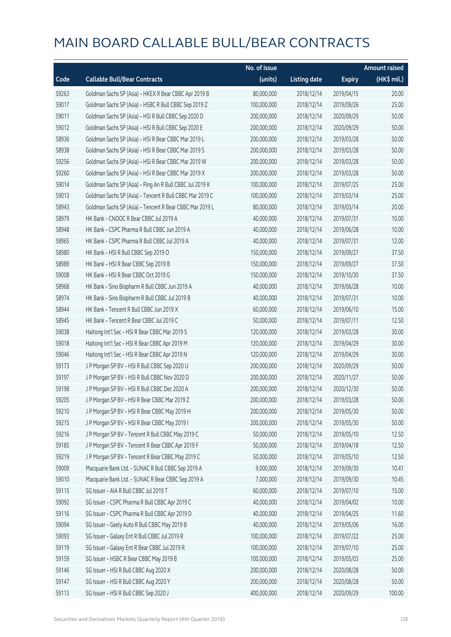|       |                                                          | No. of issue |                     |               | <b>Amount raised</b> |
|-------|----------------------------------------------------------|--------------|---------------------|---------------|----------------------|
| Code  | <b>Callable Bull/Bear Contracts</b>                      | (units)      | <b>Listing date</b> | <b>Expiry</b> | (HK\$ mil.)          |
| 59263 | Goldman Sachs SP (Asia) - HKEX R Bear CBBC Apr 2019 B    | 80,000,000   | 2018/12/14          | 2019/04/15    | 20.00                |
| 59017 | Goldman Sachs SP (Asia) - HSBC R Bull CBBC Sep 2019 Z    | 100,000,000  | 2018/12/14          | 2019/09/26    | 25.00                |
| 59011 | Goldman Sachs SP (Asia) - HSI R Bull CBBC Sep 2020 D     | 200,000,000  | 2018/12/14          | 2020/09/29    | 50.00                |
| 59012 | Goldman Sachs SP (Asia) - HSI R Bull CBBC Sep 2020 E     | 200,000,000  | 2018/12/14          | 2020/09/29    | 50.00                |
| 58936 | Goldman Sachs SP (Asia) - HSI R Bear CBBC Mar 2019 L     | 200,000,000  | 2018/12/14          | 2019/03/28    | 50.00                |
| 58938 | Goldman Sachs SP (Asia) - HSI R Bear CBBC Mar 2019 S     | 200,000,000  | 2018/12/14          | 2019/03/28    | 50.00                |
| 59256 | Goldman Sachs SP (Asia) - HSI R Bear CBBC Mar 2019 W     | 200,000,000  | 2018/12/14          | 2019/03/28    | 50.00                |
| 59260 | Goldman Sachs SP (Asia) - HSI R Bear CBBC Mar 2019 X     | 200,000,000  | 2018/12/14          | 2019/03/28    | 50.00                |
| 59014 | Goldman Sachs SP (Asia) - Ping An R Bull CBBC Jul 2019 K | 100,000,000  | 2018/12/14          | 2019/07/25    | 25.00                |
| 59013 | Goldman Sachs SP (Asia) - Tencent R Bull CBBC Mar 2019 C | 100,000,000  | 2018/12/14          | 2019/03/14    | 25.00                |
| 58943 | Goldman Sachs SP (Asia) - Tencent R Bear CBBC Mar 2019 L | 80,000,000   | 2018/12/14          | 2019/03/14    | 20.00                |
| 58979 | HK Bank - CNOOC R Bear CBBC Jul 2019 A                   | 40,000,000   | 2018/12/14          | 2019/07/31    | 10.00                |
| 58948 | HK Bank - CSPC Pharma R Bull CBBC Jun 2019 A             | 40,000,000   | 2018/12/14          | 2019/06/28    | 10.00                |
| 58965 | HK Bank - CSPC Pharma R Bull CBBC Jul 2019 A             | 40,000,000   | 2018/12/14          | 2019/07/31    | 12.00                |
| 58980 | HK Bank - HSI R Bull CBBC Sep 2019 O                     | 150,000,000  | 2018/12/14          | 2019/09/27    | 37.50                |
| 58989 | HK Bank - HSI R Bear CBBC Sep 2019 B                     | 150,000,000  | 2018/12/14          | 2019/09/27    | 37.50                |
| 59008 | HK Bank - HSI R Bear CBBC Oct 2019 G                     | 150,000,000  | 2018/12/14          | 2019/10/30    | 37.50                |
| 58968 | HK Bank - Sino Biopharm R Bull CBBC Jun 2019 A           | 40,000,000   | 2018/12/14          | 2019/06/28    | 10.00                |
| 58974 | HK Bank - Sino Biopharm R Bull CBBC Jul 2019 B           | 40,000,000   | 2018/12/14          | 2019/07/31    | 10.00                |
| 58944 | HK Bank - Tencent R Bull CBBC Jun 2019 X                 | 60,000,000   | 2018/12/14          | 2019/06/10    | 15.00                |
| 58945 | HK Bank - Tencent R Bear CBBC Jul 2019 C                 | 50,000,000   | 2018/12/14          | 2019/07/11    | 12.50                |
| 59038 | Haitong Int'l Sec - HSI R Bear CBBC Mar 2019 S           | 120,000,000  | 2018/12/14          | 2019/03/28    | 30.00                |
| 59018 | Haitong Int'l Sec - HSI R Bear CBBC Apr 2019 M           | 120,000,000  | 2018/12/14          | 2019/04/29    | 30.00                |
| 59046 | Haitong Int'l Sec - HSI R Bear CBBC Apr 2019 N           | 120,000,000  | 2018/12/14          | 2019/04/29    | 30.00                |
| 59173 | J P Morgan SP BV - HSI R Bull CBBC Sep 2020 U            | 200,000,000  | 2018/12/14          | 2020/09/29    | 50.00                |
| 59197 | J P Morgan SP BV - HSI R Bull CBBC Nov 2020 D            | 200,000,000  | 2018/12/14          | 2020/11/27    | 50.00                |
| 59198 | J P Morgan SP BV - HSI R Bull CBBC Dec 2020 A            | 200,000,000  | 2018/12/14          | 2020/12/30    | 50.00                |
| 59205 | J P Morgan SP BV - HSI R Bear CBBC Mar 2019 Z            | 200,000,000  | 2018/12/14          | 2019/03/28    | 50.00                |
| 59210 | J P Morgan SP BV - HSI R Bear CBBC May 2019 H            | 200,000,000  | 2018/12/14          | 2019/05/30    | 50.00                |
| 59215 | J P Morgan SP BV - HSI R Bear CBBC May 2019 I            | 200,000,000  | 2018/12/14          | 2019/05/30    | 50.00                |
| 59216 | J P Morgan SP BV - Tencent R Bull CBBC May 2019 C        | 50,000,000   | 2018/12/14          | 2019/05/10    | 12.50                |
| 59185 | J P Morgan SP BV - Tencent R Bear CBBC Apr 2019 F        | 50,000,000   | 2018/12/14          | 2019/04/18    | 12.50                |
| 59219 | J P Morgan SP BV - Tencent R Bear CBBC May 2019 C        | 50,000,000   | 2018/12/14          | 2019/05/10    | 12.50                |
| 59009 | Macquarie Bank Ltd. - SUNAC R Bull CBBC Sep 2019 A       | 9,000,000    | 2018/12/14          | 2019/09/30    | 10.41                |
| 59010 | Macquarie Bank Ltd. - SUNAC R Bear CBBC Sep 2019 A       | 7,000,000    | 2018/12/14          | 2019/09/30    | 10.45                |
| 59115 | SG Issuer - AIA R Bull CBBC Jul 2019 T                   | 60,000,000   | 2018/12/14          | 2019/07/10    | 15.00                |
| 59092 | SG Issuer - CSPC Pharma R Bull CBBC Apr 2019 C           | 40,000,000   | 2018/12/14          | 2019/04/02    | 10.00                |
| 59116 | SG Issuer - CSPC Pharma R Bull CBBC Apr 2019 D           | 40,000,000   | 2018/12/14          | 2019/04/25    | 11.60                |
| 59094 | SG Issuer - Geely Auto R Bull CBBC May 2019 B            | 40,000,000   | 2018/12/14          | 2019/05/06    | 16.00                |
| 59093 | SG Issuer - Galaxy Ent R Bull CBBC Jul 2019 R            | 100,000,000  | 2018/12/14          | 2019/07/22    | 25.00                |
| 59119 | SG Issuer - Galaxy Ent R Bear CBBC Jul 2019 R            | 100,000,000  | 2018/12/14          | 2019/07/10    | 25.00                |
| 59159 | SG Issuer - HSBC R Bear CBBC May 2019 B                  | 100,000,000  | 2018/12/14          | 2019/05/03    | 25.00                |
| 59146 | SG Issuer - HSI R Bull CBBC Aug 2020 X                   | 200,000,000  | 2018/12/14          | 2020/08/28    | 50.00                |
| 59147 | SG Issuer - HSI R Bull CBBC Aug 2020 Y                   | 200,000,000  | 2018/12/14          | 2020/08/28    | 50.00                |
| 59113 | SG Issuer - HSI R Bull CBBC Sep 2020 J                   | 400,000,000  | 2018/12/14          | 2020/09/29    | 100.00               |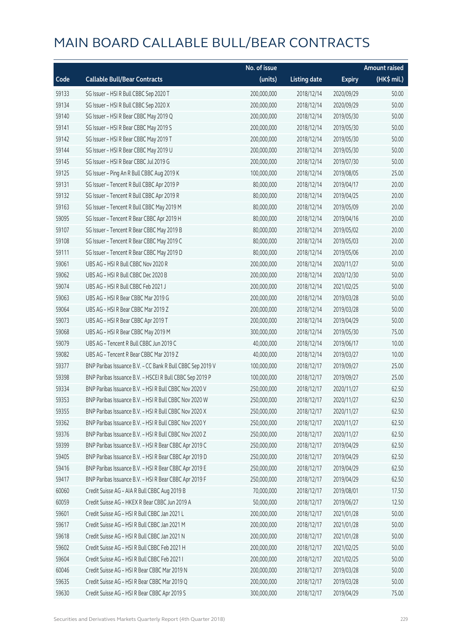|       |                                                            | No. of issue |                     |               | <b>Amount raised</b> |
|-------|------------------------------------------------------------|--------------|---------------------|---------------|----------------------|
| Code  | <b>Callable Bull/Bear Contracts</b>                        | (units)      | <b>Listing date</b> | <b>Expiry</b> | (HK\$ mil.)          |
| 59133 | SG Issuer - HSI R Bull CBBC Sep 2020 T                     | 200,000,000  | 2018/12/14          | 2020/09/29    | 50.00                |
| 59134 | SG Issuer - HSI R Bull CBBC Sep 2020 X                     | 200,000,000  | 2018/12/14          | 2020/09/29    | 50.00                |
| 59140 | SG Issuer - HSI R Bear CBBC May 2019 Q                     | 200,000,000  | 2018/12/14          | 2019/05/30    | 50.00                |
| 59141 | SG Issuer - HSI R Bear CBBC May 2019 S                     | 200,000,000  | 2018/12/14          | 2019/05/30    | 50.00                |
| 59142 | SG Issuer - HSI R Bear CBBC May 2019 T                     | 200,000,000  | 2018/12/14          | 2019/05/30    | 50.00                |
| 59144 | SG Issuer - HSI R Bear CBBC May 2019 U                     | 200,000,000  | 2018/12/14          | 2019/05/30    | 50.00                |
| 59145 | SG Issuer - HSI R Bear CBBC Jul 2019 G                     | 200,000,000  | 2018/12/14          | 2019/07/30    | 50.00                |
| 59125 | SG Issuer - Ping An R Bull CBBC Aug 2019 K                 | 100,000,000  | 2018/12/14          | 2019/08/05    | 25.00                |
| 59131 | SG Issuer - Tencent R Bull CBBC Apr 2019 P                 | 80,000,000   | 2018/12/14          | 2019/04/17    | 20.00                |
| 59132 | SG Issuer - Tencent R Bull CBBC Apr 2019 R                 | 80,000,000   | 2018/12/14          | 2019/04/25    | 20.00                |
| 59163 | SG Issuer - Tencent R Bull CBBC May 2019 M                 | 80,000,000   | 2018/12/14          | 2019/05/09    | 20.00                |
| 59095 | SG Issuer - Tencent R Bear CBBC Apr 2019 H                 | 80,000,000   | 2018/12/14          | 2019/04/16    | 20.00                |
| 59107 | SG Issuer - Tencent R Bear CBBC May 2019 B                 | 80,000,000   | 2018/12/14          | 2019/05/02    | 20.00                |
| 59108 | SG Issuer - Tencent R Bear CBBC May 2019 C                 | 80,000,000   | 2018/12/14          | 2019/05/03    | 20.00                |
| 59111 | SG Issuer - Tencent R Bear CBBC May 2019 D                 | 80,000,000   | 2018/12/14          | 2019/05/06    | 20.00                |
| 59061 | UBS AG - HSI R Bull CBBC Nov 2020 R                        | 200,000,000  | 2018/12/14          | 2020/11/27    | 50.00                |
| 59062 | UBS AG - HSI R Bull CBBC Dec 2020 B                        | 200,000,000  | 2018/12/14          | 2020/12/30    | 50.00                |
| 59074 | UBS AG - HSI R Bull CBBC Feb 2021 J                        | 200,000,000  | 2018/12/14          | 2021/02/25    | 50.00                |
| 59063 | UBS AG - HSI R Bear CBBC Mar 2019 G                        | 200,000,000  | 2018/12/14          | 2019/03/28    | 50.00                |
| 59064 | UBS AG - HSI R Bear CBBC Mar 2019 Z                        | 200,000,000  | 2018/12/14          | 2019/03/28    | 50.00                |
| 59073 | UBS AG - HSI R Bear CBBC Apr 2019 T                        | 200,000,000  | 2018/12/14          | 2019/04/29    | 50.00                |
| 59068 | UBS AG - HSI R Bear CBBC May 2019 M                        | 300,000,000  | 2018/12/14          | 2019/05/30    | 75.00                |
| 59079 | UBS AG - Tencent R Bull CBBC Jun 2019 C                    | 40,000,000   | 2018/12/14          | 2019/06/17    | 10.00                |
| 59082 | UBS AG - Tencent R Bear CBBC Mar 2019 Z                    | 40,000,000   | 2018/12/14          | 2019/03/27    | 10.00                |
| 59377 | BNP Paribas Issuance B.V. - CC Bank R Bull CBBC Sep 2019 V | 100,000,000  | 2018/12/17          | 2019/09/27    | 25.00                |
| 59398 | BNP Paribas Issuance B.V. - HSCEI R Bull CBBC Sep 2019 P   | 100,000,000  | 2018/12/17          | 2019/09/27    | 25.00                |
| 59334 | BNP Paribas Issuance B.V. - HSI R Bull CBBC Nov 2020 V     | 250,000,000  | 2018/12/17          | 2020/11/27    | 62.50                |
| 59353 | BNP Paribas Issuance B.V. - HSLR Bull CBBC Nov 2020 W      | 250,000,000  | 2018/12/17          | 2020/11/27    | 62.50                |
| 59355 | BNP Paribas Issuance B.V. - HSI R Bull CBBC Nov 2020 X     | 250,000,000  | 2018/12/17          | 2020/11/27    | 62.50                |
| 59362 | BNP Paribas Issuance B.V. - HSI R Bull CBBC Nov 2020 Y     | 250,000,000  | 2018/12/17          | 2020/11/27    | 62.50                |
| 59376 | BNP Paribas Issuance B.V. - HSI R Bull CBBC Nov 2020 Z     | 250,000,000  | 2018/12/17          | 2020/11/27    | 62.50                |
| 59399 | BNP Paribas Issuance B.V. - HSI R Bear CBBC Apr 2019 C     | 250,000,000  | 2018/12/17          | 2019/04/29    | 62.50                |
| 59405 | BNP Paribas Issuance B.V. - HSI R Bear CBBC Apr 2019 D     | 250,000,000  | 2018/12/17          | 2019/04/29    | 62.50                |
| 59416 | BNP Paribas Issuance B.V. - HSI R Bear CBBC Apr 2019 E     | 250,000,000  | 2018/12/17          | 2019/04/29    | 62.50                |
| 59417 | BNP Paribas Issuance B.V. - HSI R Bear CBBC Apr 2019 F     | 250,000,000  | 2018/12/17          | 2019/04/29    | 62.50                |
| 60060 | Credit Suisse AG - AIA R Bull CBBC Aug 2019 B              | 70,000,000   | 2018/12/17          | 2019/08/01    | 17.50                |
| 60059 | Credit Suisse AG - HKEX R Bear CBBC Jun 2019 A             | 50,000,000   | 2018/12/17          | 2019/06/27    | 12.50                |
| 59601 | Credit Suisse AG - HSI R Bull CBBC Jan 2021 L              | 200,000,000  | 2018/12/17          | 2021/01/28    | 50.00                |
| 59617 | Credit Suisse AG - HSI R Bull CBBC Jan 2021 M              | 200,000,000  | 2018/12/17          | 2021/01/28    | 50.00                |
| 59618 | Credit Suisse AG - HSI R Bull CBBC Jan 2021 N              | 200,000,000  | 2018/12/17          | 2021/01/28    | 50.00                |
| 59602 | Credit Suisse AG - HSI R Bull CBBC Feb 2021 H              | 200,000,000  | 2018/12/17          | 2021/02/25    | 50.00                |
| 59604 | Credit Suisse AG - HSI R Bull CBBC Feb 2021 I              | 200,000,000  | 2018/12/17          | 2021/02/25    | 50.00                |
| 60046 | Credit Suisse AG - HSI R Bear CBBC Mar 2019 N              | 200,000,000  | 2018/12/17          | 2019/03/28    | 50.00                |
| 59635 | Credit Suisse AG - HSI R Bear CBBC Mar 2019 Q              | 200,000,000  | 2018/12/17          | 2019/03/28    | 50.00                |
| 59630 | Credit Suisse AG - HSI R Bear CBBC Apr 2019 S              | 300,000,000  | 2018/12/17          | 2019/04/29    | 75.00                |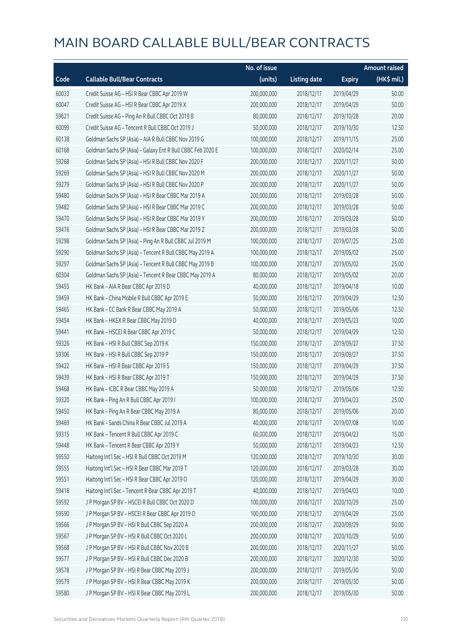|       |                                                             | No. of issue |                     |               | <b>Amount raised</b> |
|-------|-------------------------------------------------------------|--------------|---------------------|---------------|----------------------|
| Code  | <b>Callable Bull/Bear Contracts</b>                         | (units)      | <b>Listing date</b> | <b>Expiry</b> | (HK\$ mil.)          |
| 60033 | Credit Suisse AG - HSI R Bear CBBC Apr 2019 W               | 200,000,000  | 2018/12/17          | 2019/04/29    | 50.00                |
| 60047 | Credit Suisse AG - HSI R Bear CBBC Apr 2019 X               | 200,000,000  | 2018/12/17          | 2019/04/29    | 50.00                |
| 59621 | Credit Suisse AG - Ping An R Bull CBBC Oct 2019 B           | 80,000,000   | 2018/12/17          | 2019/10/28    | 20.00                |
| 60099 | Credit Suisse AG - Tencent R Bull CBBC Oct 2019 J           | 50,000,000   | 2018/12/17          | 2019/10/30    | 12.50                |
| 60138 | Goldman Sachs SP (Asia) - AIA R Bull CBBC Nov 2019 G        | 100,000,000  | 2018/12/17          | 2019/11/15    | 25.00                |
| 60168 | Goldman Sachs SP (Asia) - Galaxy Ent R Bull CBBC Feb 2020 E | 100,000,000  | 2018/12/17          | 2020/02/14    | 25.00                |
| 59268 | Goldman Sachs SP (Asia) - HSI R Bull CBBC Nov 2020 F        | 200,000,000  | 2018/12/17          | 2020/11/27    | 50.00                |
| 59269 | Goldman Sachs SP (Asia) - HSI R Bull CBBC Nov 2020 M        | 200,000,000  | 2018/12/17          | 2020/11/27    | 50.00                |
| 59279 | Goldman Sachs SP (Asia) - HSI R Bull CBBC Nov 2020 P        | 200,000,000  | 2018/12/17          | 2020/11/27    | 50.00                |
| 59480 | Goldman Sachs SP (Asia) - HSI R Bear CBBC Mar 2019 A        | 200,000,000  | 2018/12/17          | 2019/03/28    | 50.00                |
| 59482 | Goldman Sachs SP (Asia) - HSI R Bear CBBC Mar 2019 C        | 200,000,000  | 2018/12/17          | 2019/03/28    | 50.00                |
| 59470 | Goldman Sachs SP (Asia) - HSI R Bear CBBC Mar 2019 Y        | 200,000,000  | 2018/12/17          | 2019/03/28    | 50.00                |
| 59476 | Goldman Sachs SP (Asia) - HSI R Bear CBBC Mar 2019 Z        | 200,000,000  | 2018/12/17          | 2019/03/28    | 50.00                |
| 59298 | Goldman Sachs SP (Asia) - Ping An R Bull CBBC Jul 2019 M    | 100,000,000  | 2018/12/17          | 2019/07/25    | 25.00                |
| 59290 | Goldman Sachs SP (Asia) - Tencent R Bull CBBC May 2019 A    | 100,000,000  | 2018/12/17          | 2019/05/02    | 25.00                |
| 59297 | Goldman Sachs SP (Asia) - Tencent R Bull CBBC May 2019 B    | 100,000,000  | 2018/12/17          | 2019/05/02    | 25.00                |
| 60304 | Goldman Sachs SP (Asia) - Tencent R Bear CBBC May 2019 A    | 80,000,000   | 2018/12/17          | 2019/05/02    | 20.00                |
| 59455 | HK Bank - AIA R Bear CBBC Apr 2019 D                        | 40,000,000   | 2018/12/17          | 2019/04/18    | 10.00                |
| 59459 | HK Bank - China Mobile R Bull CBBC Apr 2019 E               | 50,000,000   | 2018/12/17          | 2019/04/29    | 12.50                |
| 59465 | HK Bank - CC Bank R Bear CBBC May 2019 A                    | 50,000,000   | 2018/12/17          | 2019/05/06    | 12.50                |
| 59454 | HK Bank - HKEX R Bear CBBC May 2019 D                       | 40,000,000   | 2018/12/17          | 2019/05/23    | 10.00                |
| 59441 | HK Bank - HSCEI R Bear CBBC Apr 2019 C                      | 50,000,000   | 2018/12/17          | 2019/04/29    | 12.50                |
| 59326 | HK Bank - HSI R Bull CBBC Sep 2019 K                        | 150,000,000  | 2018/12/17          | 2019/09/27    | 37.50                |
| 59306 | HK Bank - HSI R Bull CBBC Sep 2019 P                        | 150,000,000  | 2018/12/17          | 2019/09/27    | 37.50                |
| 59422 | HK Bank - HSI R Bear CBBC Apr 2019 S                        | 150,000,000  | 2018/12/17          | 2019/04/29    | 37.50                |
| 59439 | HK Bank - HSI R Bear CBBC Apr 2019 T                        | 150,000,000  | 2018/12/17          | 2019/04/29    | 37.50                |
| 59468 | HK Bank - ICBC R Bear CBBC May 2019 A                       | 50,000,000   | 2018/12/17          | 2019/05/06    | 12.50                |
| 59320 | HK Bank - Ping An R Bull CBBC Apr 2019 I                    | 100,000,000  | 2018/12/17          | 2019/04/23    | 25.00                |
| 59450 | HK Bank - Ping An R Bear CBBC May 2019 A                    | 80,000,000   | 2018/12/17          | 2019/05/06    | 20.00                |
| 59469 | HK Bank - Sands China R Bear CBBC Jul 2019 A                | 40,000,000   | 2018/12/17          | 2019/07/08    | 10.00                |
| 59315 | HK Bank - Tencent R Bull CBBC Apr 2019 C                    | 60,000,000   | 2018/12/17          | 2019/04/23    | 15.00                |
| 59448 | HK Bank - Tencent R Bear CBBC Apr 2019 Y                    | 50,000,000   | 2018/12/17          | 2019/04/23    | 12.50                |
| 59550 | Haitong Int'l Sec - HSI R Bull CBBC Oct 2019 M              | 120,000,000  | 2018/12/17          | 2019/10/30    | 30.00                |
| 59555 | Haitong Int'l Sec - HSI R Bear CBBC Mar 2019 T              | 120,000,000  | 2018/12/17          | 2019/03/28    | 30.00                |
| 59551 | Haitong Int'l Sec - HSI R Bear CBBC Apr 2019 O              | 120,000,000  | 2018/12/17          | 2019/04/29    | 30.00                |
| 59418 | Haitong Int'l Sec - Tencent R Bear CBBC Apr 2019 T          | 40,000,000   | 2018/12/17          | 2019/04/03    | 10.00                |
| 59592 | J P Morgan SP BV - HSCEI R Bull CBBC Oct 2020 D             | 100,000,000  | 2018/12/17          | 2020/10/29    | 25.00                |
| 59590 | J P Morgan SP BV - HSCEI R Bear CBBC Apr 2019 O             | 100,000,000  | 2018/12/17          | 2019/04/29    | 25.00                |
| 59566 | J P Morgan SP BV - HSI R Bull CBBC Sep 2020 A               | 200,000,000  | 2018/12/17          | 2020/09/29    | 50.00                |
| 59567 | J P Morgan SP BV - HSI R Bull CBBC Oct 2020 L               | 200,000,000  | 2018/12/17          | 2020/10/29    | 50.00                |
| 59568 | J P Morgan SP BV - HSI R Bull CBBC Nov 2020 B               | 200,000,000  | 2018/12/17          | 2020/11/27    | 50.00                |
| 59577 | J P Morgan SP BV - HSI R Bull CBBC Dec 2020 B               | 200,000,000  | 2018/12/17          | 2020/12/30    | 50.00                |
| 59578 | J P Morgan SP BV - HSI R Bear CBBC May 2019 J               | 200,000,000  | 2018/12/17          | 2019/05/30    | 50.00                |
| 59579 | J P Morgan SP BV - HSI R Bear CBBC May 2019 K               | 200,000,000  | 2018/12/17          | 2019/05/30    | 50.00                |
| 59580 | J P Morgan SP BV - HSI R Bear CBBC May 2019 L               | 200,000,000  | 2018/12/17          | 2019/05/30    | 50.00                |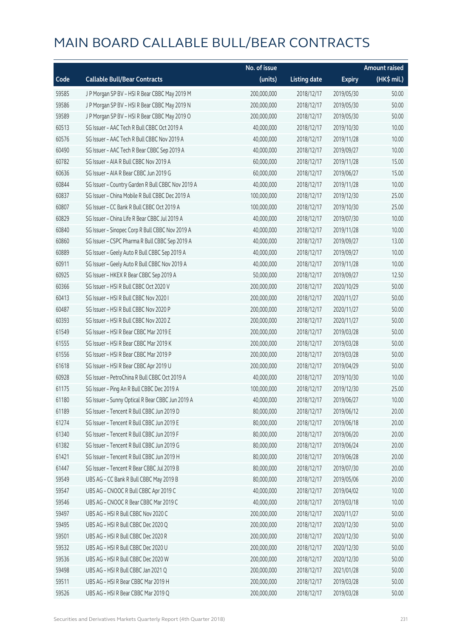|       |                                                   | No. of issue |                     |               | <b>Amount raised</b> |
|-------|---------------------------------------------------|--------------|---------------------|---------------|----------------------|
| Code  | <b>Callable Bull/Bear Contracts</b>               | (units)      | <b>Listing date</b> | <b>Expiry</b> | (HK\$ mil.)          |
| 59585 | J P Morgan SP BV - HSI R Bear CBBC May 2019 M     | 200,000,000  | 2018/12/17          | 2019/05/30    | 50.00                |
| 59586 | J P Morgan SP BV - HSI R Bear CBBC May 2019 N     | 200,000,000  | 2018/12/17          | 2019/05/30    | 50.00                |
| 59589 | J P Morgan SP BV - HSI R Bear CBBC May 2019 O     | 200,000,000  | 2018/12/17          | 2019/05/30    | 50.00                |
| 60513 | SG Issuer - AAC Tech R Bull CBBC Oct 2019 A       | 40,000,000   | 2018/12/17          | 2019/10/30    | 10.00                |
| 60576 | SG Issuer - AAC Tech R Bull CBBC Nov 2019 A       | 40,000,000   | 2018/12/17          | 2019/11/28    | 10.00                |
| 60490 | SG Issuer - AAC Tech R Bear CBBC Sep 2019 A       | 40,000,000   | 2018/12/17          | 2019/09/27    | 10.00                |
| 60782 | SG Issuer - AIA R Bull CBBC Nov 2019 A            | 60,000,000   | 2018/12/17          | 2019/11/28    | 15.00                |
| 60636 | SG Issuer - AIA R Bear CBBC Jun 2019 G            | 60,000,000   | 2018/12/17          | 2019/06/27    | 15.00                |
| 60844 | SG Issuer - Country Garden R Bull CBBC Nov 2019 A | 40,000,000   | 2018/12/17          | 2019/11/28    | 10.00                |
| 60837 | SG Issuer - China Mobile R Bull CBBC Dec 2019 A   | 100,000,000  | 2018/12/17          | 2019/12/30    | 25.00                |
| 60807 | SG Issuer - CC Bank R Bull CBBC Oct 2019 A        | 100,000,000  | 2018/12/17          | 2019/10/30    | 25.00                |
| 60829 | SG Issuer - China Life R Bear CBBC Jul 2019 A     | 40,000,000   | 2018/12/17          | 2019/07/30    | 10.00                |
| 60840 | SG Issuer - Sinopec Corp R Bull CBBC Nov 2019 A   | 40,000,000   | 2018/12/17          | 2019/11/28    | 10.00                |
| 60860 | SG Issuer - CSPC Pharma R Bull CBBC Sep 2019 A    | 40,000,000   | 2018/12/17          | 2019/09/27    | 13.00                |
| 60889 | SG Issuer - Geely Auto R Bull CBBC Sep 2019 A     | 40,000,000   | 2018/12/17          | 2019/09/27    | 10.00                |
| 60911 | SG Issuer - Geely Auto R Bull CBBC Nov 2019 A     | 40,000,000   | 2018/12/17          | 2019/11/28    | 10.00                |
| 60925 | SG Issuer - HKEX R Bear CBBC Sep 2019 A           | 50,000,000   | 2018/12/17          | 2019/09/27    | 12.50                |
| 60366 | SG Issuer - HSI R Bull CBBC Oct 2020 V            | 200,000,000  | 2018/12/17          | 2020/10/29    | 50.00                |
| 60413 | SG Issuer - HSI R Bull CBBC Nov 2020 I            | 200,000,000  | 2018/12/17          | 2020/11/27    | 50.00                |
| 60487 | SG Issuer - HSI R Bull CBBC Nov 2020 P            | 200,000,000  | 2018/12/17          | 2020/11/27    | 50.00                |
| 60393 | SG Issuer - HSI R Bull CBBC Nov 2020 Z            | 200,000,000  | 2018/12/17          | 2020/11/27    | 50.00                |
| 61549 | SG Issuer - HSI R Bear CBBC Mar 2019 E            | 200,000,000  | 2018/12/17          | 2019/03/28    | 50.00                |
| 61555 | SG Issuer - HSI R Bear CBBC Mar 2019 K            | 200,000,000  | 2018/12/17          | 2019/03/28    | 50.00                |
| 61556 | SG Issuer - HSI R Bear CBBC Mar 2019 P            | 200,000,000  | 2018/12/17          | 2019/03/28    | 50.00                |
| 61618 | SG Issuer - HSI R Bear CBBC Apr 2019 U            | 200,000,000  | 2018/12/17          | 2019/04/29    | 50.00                |
| 60928 | SG Issuer - PetroChina R Bull CBBC Oct 2019 A     | 40,000,000   | 2018/12/17          | 2019/10/30    | 10.00                |
| 61175 | SG Issuer - Ping An R Bull CBBC Dec 2019 A        | 100,000,000  | 2018/12/17          | 2019/12/30    | 25.00                |
| 61180 | SG Issuer - Sunny Optical R Bear CBBC Jun 2019 A  | 40,000,000   | 2018/12/17          | 2019/06/27    | 10.00                |
| 61189 | SG Issuer - Tencent R Bull CBBC Jun 2019 D        | 80,000,000   | 2018/12/17          | 2019/06/12    | 20.00                |
| 61274 | SG Issuer - Tencent R Bull CBBC Jun 2019 E        | 80,000,000   | 2018/12/17          | 2019/06/18    | 20.00                |
| 61340 | SG Issuer - Tencent R Bull CBBC Jun 2019 F        | 80,000,000   | 2018/12/17          | 2019/06/20    | 20.00                |
| 61382 | SG Issuer - Tencent R Bull CBBC Jun 2019 G        | 80,000,000   | 2018/12/17          | 2019/06/24    | 20.00                |
| 61421 | SG Issuer - Tencent R Bull CBBC Jun 2019 H        | 80,000,000   | 2018/12/17          | 2019/06/28    | 20.00                |
| 61447 | SG Issuer - Tencent R Bear CBBC Jul 2019 B        | 80,000,000   | 2018/12/17          | 2019/07/30    | 20.00                |
| 59549 | UBS AG - CC Bank R Bull CBBC May 2019 B           | 80,000,000   | 2018/12/17          | 2019/05/06    | 20.00                |
| 59547 | UBS AG - CNOOC R Bull CBBC Apr 2019 C             | 40,000,000   | 2018/12/17          | 2019/04/02    | 10.00                |
| 59546 | UBS AG - CNOOC R Bear CBBC Mar 2019 C             | 40,000,000   | 2018/12/17          | 2019/03/18    | 10.00                |
| 59497 | UBS AG - HSI R Bull CBBC Nov 2020 C               | 200,000,000  | 2018/12/17          | 2020/11/27    | 50.00                |
| 59495 | UBS AG - HSI R Bull CBBC Dec 2020 Q               | 200,000,000  | 2018/12/17          | 2020/12/30    | 50.00                |
| 59501 | UBS AG - HSI R Bull CBBC Dec 2020 R               | 200,000,000  | 2018/12/17          | 2020/12/30    | 50.00                |
| 59532 | UBS AG - HSI R Bull CBBC Dec 2020 U               | 200,000,000  | 2018/12/17          | 2020/12/30    | 50.00                |
| 59536 | UBS AG - HSI R Bull CBBC Dec 2020 W               | 200,000,000  | 2018/12/17          | 2020/12/30    | 50.00                |
| 59498 | UBS AG - HSI R Bull CBBC Jan 2021 Q               | 200,000,000  | 2018/12/17          | 2021/01/28    | 50.00                |
| 59511 | UBS AG - HSI R Bear CBBC Mar 2019 H               | 200,000,000  | 2018/12/17          | 2019/03/28    | 50.00                |
| 59526 | UBS AG - HSI R Bear CBBC Mar 2019 Q               | 200,000,000  | 2018/12/17          | 2019/03/28    | 50.00                |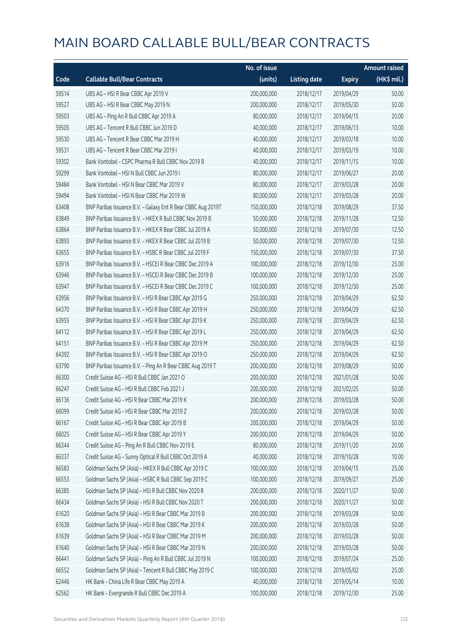|       |                                                              | No. of issue |                     |               | <b>Amount raised</b> |
|-------|--------------------------------------------------------------|--------------|---------------------|---------------|----------------------|
| Code  | <b>Callable Bull/Bear Contracts</b>                          | (units)      | <b>Listing date</b> | <b>Expiry</b> | (HK\$ mil.)          |
| 59514 | UBS AG - HSI R Bear CBBC Apr 2019 V                          | 200,000,000  | 2018/12/17          | 2019/04/29    | 50.00                |
| 59527 | UBS AG - HSI R Bear CBBC May 2019 N                          | 200,000,000  | 2018/12/17          | 2019/05/30    | 50.00                |
| 59503 | UBS AG - Ping An R Bull CBBC Apr 2019 A                      | 80,000,000   | 2018/12/17          | 2019/04/15    | 20.00                |
| 59505 | UBS AG - Tencent R Bull CBBC Jun 2019 D                      | 40,000,000   | 2018/12/17          | 2019/06/13    | 10.00                |
| 59530 | UBS AG - Tencent R Bear CBBC Mar 2019 H                      | 40,000,000   | 2018/12/17          | 2019/03/18    | 10.00                |
| 59531 | UBS AG - Tencent R Bear CBBC Mar 2019 I                      | 40,000,000   | 2018/12/17          | 2019/03/19    | 10.00                |
| 59302 | Bank Vontobel - CSPC Pharma R Bull CBBC Nov 2019 B           | 40,000,000   | 2018/12/17          | 2019/11/15    | 10.00                |
| 59299 | Bank Vontobel - HSI N Bull CBBC Jun 2019 I                   | 80,000,000   | 2018/12/17          | 2019/06/27    | 20.00                |
| 59484 | Bank Vontobel - HSI N Bear CBBC Mar 2019 V                   | 80,000,000   | 2018/12/17          | 2019/03/28    | 20.00                |
| 59494 | Bank Vontobel - HSI N Bear CBBC Mar 2019 W                   | 80,000,000   | 2018/12/17          | 2019/03/28    | 20.00                |
| 63408 | BNP Paribas Issuance B.V. - Galaxy Ent R Bear CBBC Aug 2019T | 150,000,000  | 2018/12/18          | 2019/08/29    | 37.50                |
| 63849 | BNP Paribas Issuance B.V. - HKEX R Bull CBBC Nov 2019 B      | 50,000,000   | 2018/12/18          | 2019/11/28    | 12.50                |
| 63864 | BNP Paribas Issuance B.V. - HKEX R Bear CBBC Jul 2019 A      | 50,000,000   | 2018/12/18          | 2019/07/30    | 12.50                |
| 63893 | BNP Paribas Issuance B.V. - HKEX R Bear CBBC Jul 2019 B      | 50,000,000   | 2018/12/18          | 2019/07/30    | 12.50                |
| 63655 | BNP Paribas Issuance B.V. - HSBC R Bear CBBC Jul 2019 F      | 150,000,000  | 2018/12/18          | 2019/07/30    | 37.50                |
| 63916 | BNP Paribas Issuance B.V. - HSCEI R Bear CBBC Dec 2019 A     | 100,000,000  | 2018/12/18          | 2019/12/30    | 25.00                |
| 63946 | BNP Paribas Issuance B.V. - HSCEI R Bear CBBC Dec 2019 B     | 100,000,000  | 2018/12/18          | 2019/12/30    | 25.00                |
| 63947 | BNP Paribas Issuance B.V. - HSCEI R Bear CBBC Dec 2019 C     | 100,000,000  | 2018/12/18          | 2019/12/30    | 25.00                |
| 63956 | BNP Paribas Issuance B.V. - HSI R Bear CBBC Apr 2019 G       | 250,000,000  | 2018/12/18          | 2019/04/29    | 62.50                |
| 64370 | BNP Paribas Issuance B.V. - HSI R Bear CBBC Apr 2019 H       | 250,000,000  | 2018/12/18          | 2019/04/29    | 62.50                |
| 63955 | BNP Paribas Issuance B.V. - HSI R Bear CBBC Apr 2019 K       | 250,000,000  | 2018/12/18          | 2019/04/29    | 62.50                |
| 64112 | BNP Paribas Issuance B.V. - HSI R Bear CBBC Apr 2019 L       | 250,000,000  | 2018/12/18          | 2019/04/29    | 62.50                |
| 64151 | BNP Paribas Issuance B.V. - HSI R Bear CBBC Apr 2019 M       | 250,000,000  | 2018/12/18          | 2019/04/29    | 62.50                |
| 64392 | BNP Paribas Issuance B.V. - HSI R Bear CBBC Apr 2019 O       | 250,000,000  | 2018/12/18          | 2019/04/29    | 62.50                |
| 63790 | BNP Paribas Issuance B.V. - Ping An R Bear CBBC Aug 2019 T   | 200,000,000  | 2018/12/18          | 2019/08/29    | 50.00                |
| 66300 | Credit Suisse AG - HSI R Bull CBBC Jan 2021 O                | 200,000,000  | 2018/12/18          | 2021/01/28    | 50.00                |
| 66247 | Credit Suisse AG - HSI R Bull CBBC Feb 2021 J                | 200,000,000  | 2018/12/18          | 2021/02/25    | 50.00                |
| 66136 | Credit Suisse AG - HSI R Bear CBBC Mar 2019 K                | 200,000,000  | 2018/12/18          | 2019/03/28    | 50.00                |
| 66099 | Credit Suisse AG - HSI R Bear CBBC Mar 2019 Z                | 200,000,000  | 2018/12/18          | 2019/03/28    | 50.00                |
| 66167 | Credit Suisse AG - HSI R Bear CBBC Apr 2019 B                | 200,000,000  | 2018/12/18          | 2019/04/29    | 50.00                |
| 66025 | Credit Suisse AG - HSI R Bear CBBC Apr 2019 Y                | 200,000,000  | 2018/12/18          | 2019/04/29    | 50.00                |
| 66344 | Credit Suisse AG - Ping An R Bull CBBC Nov 2019 E            | 80,000,000   | 2018/12/18          | 2019/11/20    | 20.00                |
| 66337 | Credit Suisse AG - Sunny Optical R Bull CBBC Oct 2019 A      | 40,000,000   | 2018/12/18          | 2019/10/28    | 10.00                |
| 66583 | Goldman Sachs SP (Asia) - HKEX R Bull CBBC Apr 2019 C        | 100,000,000  | 2018/12/18          | 2019/04/15    | 25.00                |
| 66553 | Goldman Sachs SP (Asia) - HSBC R Bull CBBC Sep 2019 C        | 100,000,000  | 2018/12/18          | 2019/09/27    | 25.00                |
| 66385 | Goldman Sachs SP (Asia) - HSI R Bull CBBC Nov 2020 R         | 200,000,000  | 2018/12/18          | 2020/11/27    | 50.00                |
| 66434 | Goldman Sachs SP (Asia) - HSI R Bull CBBC Nov 2020 T         | 200,000,000  | 2018/12/18          | 2020/11/27    | 50.00                |
| 61620 | Goldman Sachs SP (Asia) - HSI R Bear CBBC Mar 2019 B         | 200,000,000  | 2018/12/18          | 2019/03/28    | 50.00                |
| 61638 | Goldman Sachs SP (Asia) - HSI R Bear CBBC Mar 2019 K         | 200,000,000  | 2018/12/18          | 2019/03/28    | 50.00                |
| 61639 | Goldman Sachs SP (Asia) - HSI R Bear CBBC Mar 2019 M         | 200,000,000  | 2018/12/18          | 2019/03/28    | 50.00                |
| 61640 | Goldman Sachs SP (Asia) - HSI R Bear CBBC Mar 2019 N         | 200,000,000  | 2018/12/18          | 2019/03/28    | 50.00                |
| 66441 | Goldman Sachs SP (Asia) - Ping An R Bull CBBC Jul 2019 N     | 100,000,000  | 2018/12/18          | 2019/07/24    | 25.00                |
| 66552 | Goldman Sachs SP (Asia) - Tencent R Bull CBBC May 2019 C     | 100,000,000  | 2018/12/18          | 2019/05/02    | 25.00                |
| 62446 | HK Bank - China Life R Bear CBBC May 2019 A                  | 40,000,000   | 2018/12/18          | 2019/05/14    | 10.00                |
| 62562 | HK Bank - Evergrande R Bull CBBC Dec 2019 A                  | 100,000,000  | 2018/12/18          | 2019/12/30    | 25.00                |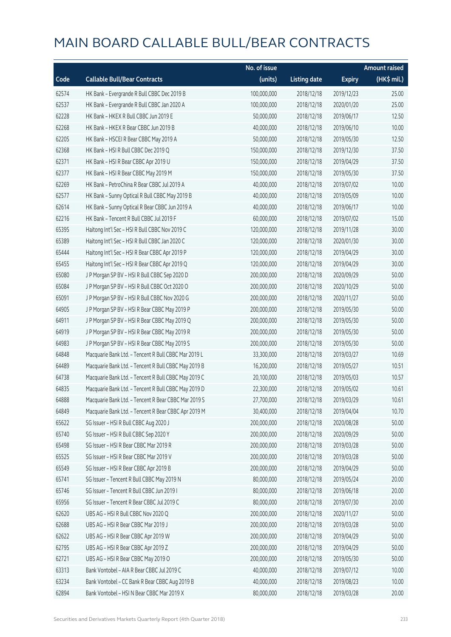|       |                                                      | No. of issue |                     |               | <b>Amount raised</b> |
|-------|------------------------------------------------------|--------------|---------------------|---------------|----------------------|
| Code  | <b>Callable Bull/Bear Contracts</b>                  | (units)      | <b>Listing date</b> | <b>Expiry</b> | (HK\$ mil.)          |
| 62574 | HK Bank - Evergrande R Bull CBBC Dec 2019 B          | 100,000,000  | 2018/12/18          | 2019/12/23    | 25.00                |
| 62537 | HK Bank - Evergrande R Bull CBBC Jan 2020 A          | 100,000,000  | 2018/12/18          | 2020/01/20    | 25.00                |
| 62228 | HK Bank - HKEX R Bull CBBC Jun 2019 E                | 50,000,000   | 2018/12/18          | 2019/06/17    | 12.50                |
| 62268 | HK Bank - HKEX R Bear CBBC Jun 2019 B                | 40,000,000   | 2018/12/18          | 2019/06/10    | 10.00                |
| 62205 | HK Bank - HSCEI R Bear CBBC May 2019 A               | 50,000,000   | 2018/12/18          | 2019/05/30    | 12.50                |
| 62368 | HK Bank - HSI R Bull CBBC Dec 2019 Q                 | 150,000,000  | 2018/12/18          | 2019/12/30    | 37.50                |
| 62371 | HK Bank - HSI R Bear CBBC Apr 2019 U                 | 150,000,000  | 2018/12/18          | 2019/04/29    | 37.50                |
| 62377 | HK Bank - HSI R Bear CBBC May 2019 M                 | 150,000,000  | 2018/12/18          | 2019/05/30    | 37.50                |
| 62269 | HK Bank - PetroChina R Bear CBBC Jul 2019 A          | 40,000,000   | 2018/12/18          | 2019/07/02    | 10.00                |
| 62577 | HK Bank - Sunny Optical R Bull CBBC May 2019 B       | 40,000,000   | 2018/12/18          | 2019/05/09    | 10.00                |
| 62614 | HK Bank - Sunny Optical R Bear CBBC Jun 2019 A       | 40,000,000   | 2018/12/18          | 2019/06/17    | 10.00                |
| 62216 | HK Bank - Tencent R Bull CBBC Jul 2019 F             | 60,000,000   | 2018/12/18          | 2019/07/02    | 15.00                |
| 65395 | Haitong Int'l Sec - HSI R Bull CBBC Nov 2019 C       | 120,000,000  | 2018/12/18          | 2019/11/28    | 30.00                |
| 65389 | Haitong Int'l Sec - HSI R Bull CBBC Jan 2020 C       | 120,000,000  | 2018/12/18          | 2020/01/30    | 30.00                |
| 65444 | Haitong Int'l Sec - HSI R Bear CBBC Apr 2019 P       | 120,000,000  | 2018/12/18          | 2019/04/29    | 30.00                |
| 65455 | Haitong Int'l Sec - HSI R Bear CBBC Apr 2019 Q       | 120,000,000  | 2018/12/18          | 2019/04/29    | 30.00                |
| 65080 | J P Morgan SP BV - HSI R Bull CBBC Sep 2020 D        | 200,000,000  | 2018/12/18          | 2020/09/29    | 50.00                |
| 65084 | J P Morgan SP BV - HSI R Bull CBBC Oct 2020 O        | 200,000,000  | 2018/12/18          | 2020/10/29    | 50.00                |
| 65091 | J P Morgan SP BV - HSI R Bull CBBC Nov 2020 G        | 200,000,000  | 2018/12/18          | 2020/11/27    | 50.00                |
| 64905 | J P Morgan SP BV - HSI R Bear CBBC May 2019 P        | 200,000,000  | 2018/12/18          | 2019/05/30    | 50.00                |
| 64911 | J P Morgan SP BV - HSI R Bear CBBC May 2019 Q        | 200,000,000  | 2018/12/18          | 2019/05/30    | 50.00                |
| 64919 | J P Morgan SP BV - HSI R Bear CBBC May 2019 R        | 200,000,000  | 2018/12/18          | 2019/05/30    | 50.00                |
| 64983 | J P Morgan SP BV - HSI R Bear CBBC May 2019 S        | 200,000,000  | 2018/12/18          | 2019/05/30    | 50.00                |
| 64848 | Macquarie Bank Ltd. - Tencent R Bull CBBC Mar 2019 L | 33,300,000   | 2018/12/18          | 2019/03/27    | 10.69                |
| 64489 | Macquarie Bank Ltd. - Tencent R Bull CBBC May 2019 B | 16,200,000   | 2018/12/18          | 2019/05/27    | 10.51                |
| 64738 | Macquarie Bank Ltd. - Tencent R Bull CBBC May 2019 C | 20,100,000   | 2018/12/18          | 2019/05/03    | 10.57                |
| 64835 | Macquarie Bank Ltd. - Tencent R Bull CBBC May 2019 D | 22,300,000   | 2018/12/18          | 2019/05/02    | 10.61                |
| 64888 | Macquarie Bank Ltd. - Tencent R Bear CBBC Mar 2019 S | 27,700,000   | 2018/12/18          | 2019/03/29    | 10.61                |
| 64849 | Macquarie Bank Ltd. - Tencent R Bear CBBC Apr 2019 M | 30,400,000   | 2018/12/18          | 2019/04/04    | 10.70                |
| 65622 | SG Issuer - HSI R Bull CBBC Aug 2020 J               | 200,000,000  | 2018/12/18          | 2020/08/28    | 50.00                |
| 65740 | SG Issuer - HSI R Bull CBBC Sep 2020 Y               | 200,000,000  | 2018/12/18          | 2020/09/29    | 50.00                |
| 65498 | SG Issuer - HSI R Bear CBBC Mar 2019 R               | 200,000,000  | 2018/12/18          | 2019/03/28    | 50.00                |
| 65525 | SG Issuer - HSI R Bear CBBC Mar 2019 V               | 200,000,000  | 2018/12/18          | 2019/03/28    | 50.00                |
| 65549 | SG Issuer - HSI R Bear CBBC Apr 2019 B               | 200,000,000  | 2018/12/18          | 2019/04/29    | 50.00                |
| 65741 | SG Issuer - Tencent R Bull CBBC May 2019 N           | 80,000,000   | 2018/12/18          | 2019/05/24    | 20.00                |
| 65746 | SG Issuer - Tencent R Bull CBBC Jun 2019 I           | 80,000,000   | 2018/12/18          | 2019/06/18    | 20.00                |
| 65956 | SG Issuer - Tencent R Bear CBBC Jul 2019 C           | 80,000,000   | 2018/12/18          | 2019/07/30    | 20.00                |
| 62620 | UBS AG - HSI R Bull CBBC Nov 2020 Q                  | 200,000,000  | 2018/12/18          | 2020/11/27    | 50.00                |
| 62688 | UBS AG - HSI R Bear CBBC Mar 2019 J                  | 200,000,000  | 2018/12/18          | 2019/03/28    | 50.00                |
| 62622 | UBS AG - HSI R Bear CBBC Apr 2019 W                  | 200,000,000  | 2018/12/18          | 2019/04/29    | 50.00                |
| 62795 | UBS AG - HSI R Bear CBBC Apr 2019 Z                  | 200,000,000  | 2018/12/18          | 2019/04/29    | 50.00                |
| 62721 | UBS AG - HSI R Bear CBBC May 2019 O                  | 200,000,000  | 2018/12/18          | 2019/05/30    | 50.00                |
| 63313 | Bank Vontobel - AIA R Bear CBBC Jul 2019 C           | 40,000,000   | 2018/12/18          | 2019/07/12    | 10.00                |
| 63234 | Bank Vontobel - CC Bank R Bear CBBC Aug 2019 B       | 40,000,000   | 2018/12/18          | 2019/08/23    | 10.00                |
| 62894 | Bank Vontobel - HSI N Bear CBBC Mar 2019 X           | 80,000,000   | 2018/12/18          | 2019/03/28    | 20.00                |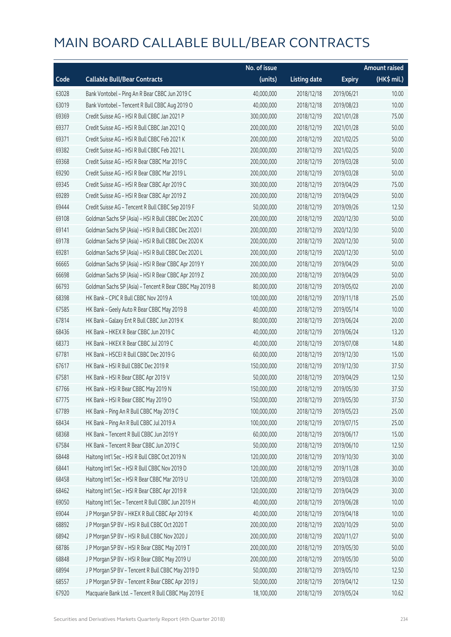|       |                                                          | No. of issue |                     |               | <b>Amount raised</b> |
|-------|----------------------------------------------------------|--------------|---------------------|---------------|----------------------|
| Code  | <b>Callable Bull/Bear Contracts</b>                      | (units)      | <b>Listing date</b> | <b>Expiry</b> | (HK\$ mil.)          |
| 63028 | Bank Vontobel - Ping An R Bear CBBC Jun 2019 C           | 40,000,000   | 2018/12/18          | 2019/06/21    | 10.00                |
| 63019 | Bank Vontobel - Tencent R Bull CBBC Aug 2019 O           | 40,000,000   | 2018/12/18          | 2019/08/23    | 10.00                |
| 69369 | Credit Suisse AG - HSI R Bull CBBC Jan 2021 P            | 300,000,000  | 2018/12/19          | 2021/01/28    | 75.00                |
| 69377 | Credit Suisse AG - HSI R Bull CBBC Jan 2021 Q            | 200,000,000  | 2018/12/19          | 2021/01/28    | 50.00                |
| 69371 | Credit Suisse AG - HSI R Bull CBBC Feb 2021 K            | 200,000,000  | 2018/12/19          | 2021/02/25    | 50.00                |
| 69382 | Credit Suisse AG - HSI R Bull CBBC Feb 2021 L            | 200,000,000  | 2018/12/19          | 2021/02/25    | 50.00                |
| 69368 | Credit Suisse AG - HSI R Bear CBBC Mar 2019 C            | 200,000,000  | 2018/12/19          | 2019/03/28    | 50.00                |
| 69290 | Credit Suisse AG - HSI R Bear CBBC Mar 2019 L            | 200,000,000  | 2018/12/19          | 2019/03/28    | 50.00                |
| 69345 | Credit Suisse AG - HSI R Bear CBBC Apr 2019 C            | 300,000,000  | 2018/12/19          | 2019/04/29    | 75.00                |
| 69289 | Credit Suisse AG - HSI R Bear CBBC Apr 2019 Z            | 200,000,000  | 2018/12/19          | 2019/04/29    | 50.00                |
| 69444 | Credit Suisse AG - Tencent R Bull CBBC Sep 2019 F        | 50,000,000   | 2018/12/19          | 2019/09/26    | 12.50                |
| 69108 | Goldman Sachs SP (Asia) - HSI R Bull CBBC Dec 2020 C     | 200,000,000  | 2018/12/19          | 2020/12/30    | 50.00                |
| 69141 | Goldman Sachs SP (Asia) - HSI R Bull CBBC Dec 2020 I     | 200,000,000  | 2018/12/19          | 2020/12/30    | 50.00                |
| 69178 | Goldman Sachs SP (Asia) - HSI R Bull CBBC Dec 2020 K     | 200,000,000  | 2018/12/19          | 2020/12/30    | 50.00                |
| 69281 | Goldman Sachs SP (Asia) - HSI R Bull CBBC Dec 2020 L     | 200,000,000  | 2018/12/19          | 2020/12/30    | 50.00                |
| 66665 | Goldman Sachs SP (Asia) - HSI R Bear CBBC Apr 2019 Y     | 200,000,000  | 2018/12/19          | 2019/04/29    | 50.00                |
| 66698 | Goldman Sachs SP (Asia) - HSI R Bear CBBC Apr 2019 Z     | 200,000,000  | 2018/12/19          | 2019/04/29    | 50.00                |
| 66793 | Goldman Sachs SP (Asia) - Tencent R Bear CBBC May 2019 B | 80,000,000   | 2018/12/19          | 2019/05/02    | 20.00                |
| 68398 | HK Bank - CPIC R Bull CBBC Nov 2019 A                    | 100,000,000  | 2018/12/19          | 2019/11/18    | 25.00                |
| 67585 | HK Bank - Geely Auto R Bear CBBC May 2019 B              | 40,000,000   | 2018/12/19          | 2019/05/14    | 10.00                |
| 67814 | HK Bank - Galaxy Ent R Bull CBBC Jun 2019 K              | 80,000,000   | 2018/12/19          | 2019/06/24    | 20.00                |
| 68436 | HK Bank - HKEX R Bear CBBC Jun 2019 C                    | 40,000,000   | 2018/12/19          | 2019/06/24    | 13.20                |
| 68373 | HK Bank - HKEX R Bear CBBC Jul 2019 C                    | 40,000,000   | 2018/12/19          | 2019/07/08    | 14.80                |
| 67781 | HK Bank - HSCEI R Bull CBBC Dec 2019 G                   | 60,000,000   | 2018/12/19          | 2019/12/30    | 15.00                |
| 67617 | HK Bank - HSI R Bull CBBC Dec 2019 R                     | 150,000,000  | 2018/12/19          | 2019/12/30    | 37.50                |
| 67581 | HK Bank - HSI R Bear CBBC Apr 2019 V                     | 50,000,000   | 2018/12/19          | 2019/04/29    | 12.50                |
| 67766 | HK Bank - HSI R Bear CBBC May 2019 N                     | 150,000,000  | 2018/12/19          | 2019/05/30    | 37.50                |
| 67775 | HK Bank - HSI R Bear CBBC May 2019 O                     | 150,000,000  | 2018/12/19          | 2019/05/30    | 37.50                |
| 67789 | HK Bank - Ping An R Bull CBBC May 2019 C                 | 100,000,000  | 2018/12/19          | 2019/05/23    | 25.00                |
| 68434 | HK Bank - Ping An R Bull CBBC Jul 2019 A                 | 100,000,000  | 2018/12/19          | 2019/07/15    | 25.00                |
| 68368 | HK Bank - Tencent R Bull CBBC Jun 2019 Y                 | 60,000,000   | 2018/12/19          | 2019/06/17    | 15.00                |
| 67584 | HK Bank - Tencent R Bear CBBC Jun 2019 C                 | 50,000,000   | 2018/12/19          | 2019/06/10    | 12.50                |
| 68448 | Haitong Int'l Sec - HSI R Bull CBBC Oct 2019 N           | 120,000,000  | 2018/12/19          | 2019/10/30    | 30.00                |
| 68441 | Haitong Int'l Sec - HSI R Bull CBBC Nov 2019 D           | 120,000,000  | 2018/12/19          | 2019/11/28    | 30.00                |
| 68458 | Haitong Int'l Sec - HSI R Bear CBBC Mar 2019 U           | 120,000,000  | 2018/12/19          | 2019/03/28    | 30.00                |
| 68462 | Haitong Int'l Sec - HSI R Bear CBBC Apr 2019 R           | 120,000,000  | 2018/12/19          | 2019/04/29    | 30.00                |
| 69050 | Haitong Int'l Sec - Tencent R Bull CBBC Jun 2019 H       | 40,000,000   | 2018/12/19          | 2019/06/28    | 10.00                |
| 69044 | J P Morgan SP BV - HKEX R Bull CBBC Apr 2019 K           | 40,000,000   | 2018/12/19          | 2019/04/18    | 10.00                |
| 68892 | J P Morgan SP BV - HSI R Bull CBBC Oct 2020 T            | 200,000,000  | 2018/12/19          | 2020/10/29    | 50.00                |
| 68942 | J P Morgan SP BV - HSI R Bull CBBC Nov 2020 J            | 200,000,000  | 2018/12/19          | 2020/11/27    | 50.00                |
| 68786 | J P Morgan SP BV - HSI R Bear CBBC May 2019 T            | 200,000,000  | 2018/12/19          | 2019/05/30    | 50.00                |
| 68848 | J P Morgan SP BV - HSI R Bear CBBC May 2019 U            | 200,000,000  | 2018/12/19          | 2019/05/30    | 50.00                |
| 68994 | J P Morgan SP BV - Tencent R Bull CBBC May 2019 D        | 50,000,000   | 2018/12/19          | 2019/05/10    | 12.50                |
| 68557 | J P Morgan SP BV - Tencent R Bear CBBC Apr 2019 J        | 50,000,000   | 2018/12/19          | 2019/04/12    | 12.50                |
| 67920 | Macquarie Bank Ltd. - Tencent R Bull CBBC May 2019 E     | 18,100,000   | 2018/12/19          | 2019/05/24    | 10.62                |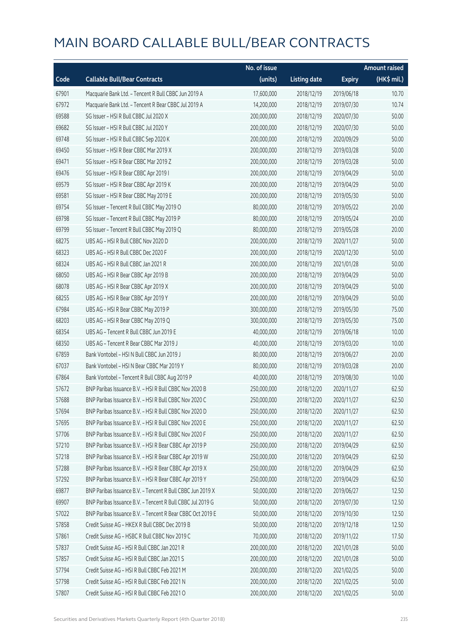|       |                                                            | No. of issue |                     |               | <b>Amount raised</b>  |
|-------|------------------------------------------------------------|--------------|---------------------|---------------|-----------------------|
| Code  | <b>Callable Bull/Bear Contracts</b>                        | (units)      | <b>Listing date</b> | <b>Expiry</b> | $(HK\frac{1}{2}mil.)$ |
| 67901 | Macquarie Bank Ltd. - Tencent R Bull CBBC Jun 2019 A       | 17,600,000   | 2018/12/19          | 2019/06/18    | 10.70                 |
| 67972 | Macquarie Bank Ltd. - Tencent R Bear CBBC Jul 2019 A       | 14,200,000   | 2018/12/19          | 2019/07/30    | 10.74                 |
| 69588 | SG Issuer - HSI R Bull CBBC Jul 2020 X                     | 200,000,000  | 2018/12/19          | 2020/07/30    | 50.00                 |
| 69682 | SG Issuer - HSI R Bull CBBC Jul 2020 Y                     | 200,000,000  | 2018/12/19          | 2020/07/30    | 50.00                 |
| 69748 | SG Issuer - HSI R Bull CBBC Sep 2020 K                     | 200,000,000  | 2018/12/19          | 2020/09/29    | 50.00                 |
| 69450 | SG Issuer - HSI R Bear CBBC Mar 2019 X                     | 200,000,000  | 2018/12/19          | 2019/03/28    | 50.00                 |
| 69471 | SG Issuer - HSI R Bear CBBC Mar 2019 Z                     | 200,000,000  | 2018/12/19          | 2019/03/28    | 50.00                 |
| 69476 | SG Issuer - HSI R Bear CBBC Apr 2019 I                     | 200,000,000  | 2018/12/19          | 2019/04/29    | 50.00                 |
| 69579 | SG Issuer - HSI R Bear CBBC Apr 2019 K                     | 200,000,000  | 2018/12/19          | 2019/04/29    | 50.00                 |
| 69581 | SG Issuer - HSI R Bear CBBC May 2019 E                     | 200,000,000  | 2018/12/19          | 2019/05/30    | 50.00                 |
| 69754 | SG Issuer - Tencent R Bull CBBC May 2019 O                 | 80,000,000   | 2018/12/19          | 2019/05/22    | 20.00                 |
| 69798 | SG Issuer - Tencent R Bull CBBC May 2019 P                 | 80,000,000   | 2018/12/19          | 2019/05/24    | 20.00                 |
| 69799 | SG Issuer - Tencent R Bull CBBC May 2019 Q                 | 80,000,000   | 2018/12/19          | 2019/05/28    | 20.00                 |
| 68275 | UBS AG - HSI R Bull CBBC Nov 2020 D                        | 200,000,000  | 2018/12/19          | 2020/11/27    | 50.00                 |
| 68323 | UBS AG - HSI R Bull CBBC Dec 2020 F                        | 200,000,000  | 2018/12/19          | 2020/12/30    | 50.00                 |
| 68324 | UBS AG - HSI R Bull CBBC Jan 2021 R                        | 200,000,000  | 2018/12/19          | 2021/01/28    | 50.00                 |
| 68050 | UBS AG - HSI R Bear CBBC Apr 2019 B                        | 200,000,000  | 2018/12/19          | 2019/04/29    | 50.00                 |
| 68078 | UBS AG - HSI R Bear CBBC Apr 2019 X                        | 200,000,000  | 2018/12/19          | 2019/04/29    | 50.00                 |
| 68255 | UBS AG - HSI R Bear CBBC Apr 2019 Y                        | 200,000,000  | 2018/12/19          | 2019/04/29    | 50.00                 |
| 67984 | UBS AG - HSI R Bear CBBC May 2019 P                        | 300,000,000  | 2018/12/19          | 2019/05/30    | 75.00                 |
| 68203 | UBS AG - HSI R Bear CBBC May 2019 Q                        | 300,000,000  | 2018/12/19          | 2019/05/30    | 75.00                 |
| 68354 | UBS AG - Tencent R Bull CBBC Jun 2019 E                    | 40,000,000   | 2018/12/19          | 2019/06/18    | 10.00                 |
| 68350 | UBS AG - Tencent R Bear CBBC Mar 2019 J                    | 40,000,000   | 2018/12/19          | 2019/03/20    | 10.00                 |
| 67859 | Bank Vontobel - HSI N Bull CBBC Jun 2019 J                 | 80,000,000   | 2018/12/19          | 2019/06/27    | 20.00                 |
| 67037 | Bank Vontobel - HSI N Bear CBBC Mar 2019 Y                 | 80,000,000   | 2018/12/19          | 2019/03/28    | 20.00                 |
| 67864 | Bank Vontobel - Tencent R Bull CBBC Aug 2019 P             | 40,000,000   | 2018/12/19          | 2019/08/30    | 10.00                 |
| 57672 | BNP Paribas Issuance B.V. - HSI R Bull CBBC Nov 2020 B     | 250,000,000  | 2018/12/20          | 2020/11/27    | 62.50                 |
| 57688 | BNP Paribas Issuance B.V. - HSI R Bull CBBC Nov 2020 C     | 250,000,000  | 2018/12/20          | 2020/11/27    | 62.50                 |
| 57694 | BNP Paribas Issuance B.V. - HSI R Bull CBBC Nov 2020 D     | 250,000,000  | 2018/12/20          | 2020/11/27    | 62.50                 |
| 57695 | BNP Paribas Issuance B.V. - HSI R Bull CBBC Nov 2020 E     | 250,000,000  | 2018/12/20          | 2020/11/27    | 62.50                 |
| 57706 | BNP Paribas Issuance B.V. - HSI R Bull CBBC Nov 2020 F     | 250,000,000  | 2018/12/20          | 2020/11/27    | 62.50                 |
| 57210 | BNP Paribas Issuance B.V. - HSI R Bear CBBC Apr 2019 P     | 250,000,000  | 2018/12/20          | 2019/04/29    | 62.50                 |
| 57218 | BNP Paribas Issuance B.V. - HSI R Bear CBBC Apr 2019 W     | 250,000,000  | 2018/12/20          | 2019/04/29    | 62.50                 |
| 57288 | BNP Paribas Issuance B.V. - HSI R Bear CBBC Apr 2019 X     | 250,000,000  | 2018/12/20          | 2019/04/29    | 62.50                 |
| 57292 | BNP Paribas Issuance B.V. - HSI R Bear CBBC Apr 2019 Y     | 250,000,000  | 2018/12/20          | 2019/04/29    | 62.50                 |
| 69877 | BNP Paribas Issuance B.V. - Tencent R Bull CBBC Jun 2019 X | 50,000,000   | 2018/12/20          | 2019/06/27    | 12.50                 |
| 69907 | BNP Paribas Issuance B.V. - Tencent R Bull CBBC Jul 2019 G | 50,000,000   | 2018/12/20          | 2019/07/30    | 12.50                 |
| 57022 | BNP Paribas Issuance B.V. - Tencent R Bear CBBC Oct 2019 E | 50,000,000   | 2018/12/20          | 2019/10/30    | 12.50                 |
| 57858 | Credit Suisse AG - HKEX R Bull CBBC Dec 2019 B             | 50,000,000   | 2018/12/20          | 2019/12/18    | 12.50                 |
| 57861 | Credit Suisse AG - HSBC R Bull CBBC Nov 2019 C             | 70,000,000   | 2018/12/20          | 2019/11/22    | 17.50                 |
| 57837 | Credit Suisse AG - HSI R Bull CBBC Jan 2021 R              | 200,000,000  | 2018/12/20          | 2021/01/28    | 50.00                 |
| 57857 | Credit Suisse AG - HSI R Bull CBBC Jan 2021 S              | 200,000,000  | 2018/12/20          | 2021/01/28    | 50.00                 |
| 57794 | Credit Suisse AG - HSI R Bull CBBC Feb 2021 M              | 200,000,000  | 2018/12/20          | 2021/02/25    | 50.00                 |
| 57798 | Credit Suisse AG - HSI R Bull CBBC Feb 2021 N              | 200,000,000  | 2018/12/20          | 2021/02/25    | 50.00                 |
| 57807 | Credit Suisse AG - HSI R Bull CBBC Feb 2021 O              | 200,000,000  | 2018/12/20          | 2021/02/25    | 50.00                 |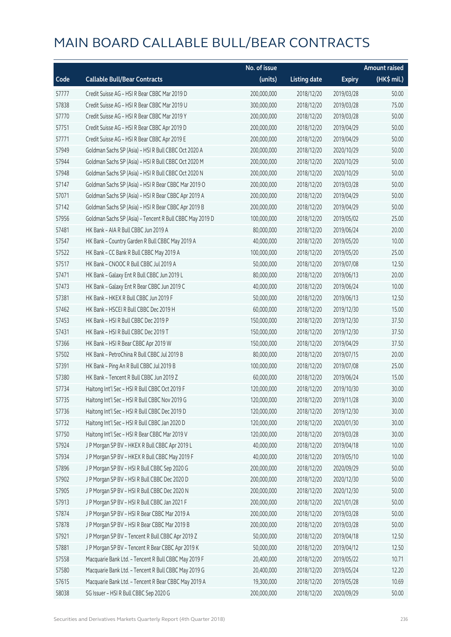|       |                                                          | No. of issue |                     |               | <b>Amount raised</b> |
|-------|----------------------------------------------------------|--------------|---------------------|---------------|----------------------|
| Code  | <b>Callable Bull/Bear Contracts</b>                      | (units)      | <b>Listing date</b> | <b>Expiry</b> | (HK\$ mil.)          |
| 57777 | Credit Suisse AG - HSI R Bear CBBC Mar 2019 D            | 200,000,000  | 2018/12/20          | 2019/03/28    | 50.00                |
| 57838 | Credit Suisse AG - HSI R Bear CBBC Mar 2019 U            | 300,000,000  | 2018/12/20          | 2019/03/28    | 75.00                |
| 57770 | Credit Suisse AG - HSI R Bear CBBC Mar 2019 Y            | 200,000,000  | 2018/12/20          | 2019/03/28    | 50.00                |
| 57751 | Credit Suisse AG - HSI R Bear CBBC Apr 2019 D            | 200,000,000  | 2018/12/20          | 2019/04/29    | 50.00                |
| 57771 | Credit Suisse AG - HSI R Bear CBBC Apr 2019 E            | 200,000,000  | 2018/12/20          | 2019/04/29    | 50.00                |
| 57949 | Goldman Sachs SP (Asia) - HSI R Bull CBBC Oct 2020 A     | 200,000,000  | 2018/12/20          | 2020/10/29    | 50.00                |
| 57944 | Goldman Sachs SP (Asia) - HSI R Bull CBBC Oct 2020 M     | 200,000,000  | 2018/12/20          | 2020/10/29    | 50.00                |
| 57948 | Goldman Sachs SP (Asia) - HSI R Bull CBBC Oct 2020 N     | 200,000,000  | 2018/12/20          | 2020/10/29    | 50.00                |
| 57147 | Goldman Sachs SP (Asia) - HSI R Bear CBBC Mar 2019 O     | 200,000,000  | 2018/12/20          | 2019/03/28    | 50.00                |
| 57071 | Goldman Sachs SP (Asia) - HSI R Bear CBBC Apr 2019 A     | 200,000,000  | 2018/12/20          | 2019/04/29    | 50.00                |
| 57142 | Goldman Sachs SP (Asia) - HSI R Bear CBBC Apr 2019 B     | 200,000,000  | 2018/12/20          | 2019/04/29    | 50.00                |
| 57956 | Goldman Sachs SP (Asia) - Tencent R Bull CBBC May 2019 D | 100,000,000  | 2018/12/20          | 2019/05/02    | 25.00                |
| 57481 | HK Bank - AIA R Bull CBBC Jun 2019 A                     | 80,000,000   | 2018/12/20          | 2019/06/24    | 20.00                |
| 57547 | HK Bank - Country Garden R Bull CBBC May 2019 A          | 40,000,000   | 2018/12/20          | 2019/05/20    | 10.00                |
| 57522 | HK Bank - CC Bank R Bull CBBC May 2019 A                 | 100,000,000  | 2018/12/20          | 2019/05/20    | 25.00                |
| 57517 | HK Bank - CNOOC R Bull CBBC Jul 2019 A                   | 50,000,000   | 2018/12/20          | 2019/07/08    | 12.50                |
| 57471 | HK Bank - Galaxy Ent R Bull CBBC Jun 2019 L              | 80,000,000   | 2018/12/20          | 2019/06/13    | 20.00                |
| 57473 | HK Bank - Galaxy Ent R Bear CBBC Jun 2019 C              | 40,000,000   | 2018/12/20          | 2019/06/24    | 10.00                |
| 57381 | HK Bank - HKEX R Bull CBBC Jun 2019 F                    | 50,000,000   | 2018/12/20          | 2019/06/13    | 12.50                |
| 57462 | HK Bank - HSCEI R Bull CBBC Dec 2019 H                   | 60,000,000   | 2018/12/20          | 2019/12/30    | 15.00                |
| 57453 | HK Bank - HSI R Bull CBBC Dec 2019 P                     | 150,000,000  | 2018/12/20          | 2019/12/30    | 37.50                |
| 57431 | HK Bank - HSI R Bull CBBC Dec 2019 T                     | 150,000,000  | 2018/12/20          | 2019/12/30    | 37.50                |
| 57366 | HK Bank - HSI R Bear CBBC Apr 2019 W                     | 150,000,000  | 2018/12/20          | 2019/04/29    | 37.50                |
| 57502 | HK Bank - PetroChina R Bull CBBC Jul 2019 B              | 80,000,000   | 2018/12/20          | 2019/07/15    | 20.00                |
| 57391 | HK Bank - Ping An R Bull CBBC Jul 2019 B                 | 100,000,000  | 2018/12/20          | 2019/07/08    | 25.00                |
| 57380 | HK Bank - Tencent R Bull CBBC Jun 2019 Z                 | 60,000,000   | 2018/12/20          | 2019/06/24    | 15.00                |
| 57734 | Haitong Int'l Sec - HSI R Bull CBBC Oct 2019 F           | 120,000,000  | 2018/12/20          | 2019/10/30    | 30.00                |
| 57735 | Haitong Int'l Sec - HSI R Bull CBBC Nov 2019 G           | 120,000,000  | 2018/12/20          | 2019/11/28    | 30.00                |
| 57736 | Haitong Int'l Sec - HSI R Bull CBBC Dec 2019 D           | 120,000,000  | 2018/12/20          | 2019/12/30    | 30.00                |
| 57732 | Haitong Int'l Sec - HSI R Bull CBBC Jan 2020 D           | 120,000,000  | 2018/12/20          | 2020/01/30    | 30.00                |
| 57750 | Haitong Int'l Sec - HSI R Bear CBBC Mar 2019 V           | 120,000,000  | 2018/12/20          | 2019/03/28    | 30.00                |
| 57924 | J P Morgan SP BV - HKEX R Bull CBBC Apr 2019 L           | 40,000,000   | 2018/12/20          | 2019/04/18    | 10.00                |
| 57934 | J P Morgan SP BV - HKEX R Bull CBBC May 2019 F           | 40,000,000   | 2018/12/20          | 2019/05/10    | 10.00                |
| 57896 | J P Morgan SP BV - HSI R Bull CBBC Sep 2020 G            | 200,000,000  | 2018/12/20          | 2020/09/29    | 50.00                |
| 57902 | J P Morgan SP BV - HSI R Bull CBBC Dec 2020 D            | 200,000,000  | 2018/12/20          | 2020/12/30    | 50.00                |
| 57905 | J P Morgan SP BV - HSI R Bull CBBC Dec 2020 N            | 200,000,000  | 2018/12/20          | 2020/12/30    | 50.00                |
| 57913 | J P Morgan SP BV - HSI R Bull CBBC Jan 2021 F            | 200,000,000  | 2018/12/20          | 2021/01/28    | 50.00                |
| 57874 | J P Morgan SP BV - HSI R Bear CBBC Mar 2019 A            | 200,000,000  | 2018/12/20          | 2019/03/28    | 50.00                |
| 57878 | J P Morgan SP BV - HSI R Bear CBBC Mar 2019 B            | 200,000,000  | 2018/12/20          | 2019/03/28    | 50.00                |
| 57921 | J P Morgan SP BV - Tencent R Bull CBBC Apr 2019 Z        | 50,000,000   | 2018/12/20          | 2019/04/18    | 12.50                |
| 57881 | J P Morgan SP BV - Tencent R Bear CBBC Apr 2019 K        | 50,000,000   | 2018/12/20          | 2019/04/12    | 12.50                |
| 57558 | Macquarie Bank Ltd. - Tencent R Bull CBBC May 2019 F     | 20,400,000   | 2018/12/20          | 2019/05/22    | 10.71                |
| 57580 | Macquarie Bank Ltd. - Tencent R Bull CBBC May 2019 G     | 20,400,000   | 2018/12/20          | 2019/05/24    | 12.20                |
| 57615 | Macquarie Bank Ltd. - Tencent R Bear CBBC May 2019 A     | 19,300,000   | 2018/12/20          | 2019/05/28    | 10.69                |
| 58038 | SG Issuer - HSI R Bull CBBC Sep 2020 G                   | 200,000,000  | 2018/12/20          | 2020/09/29    | 50.00                |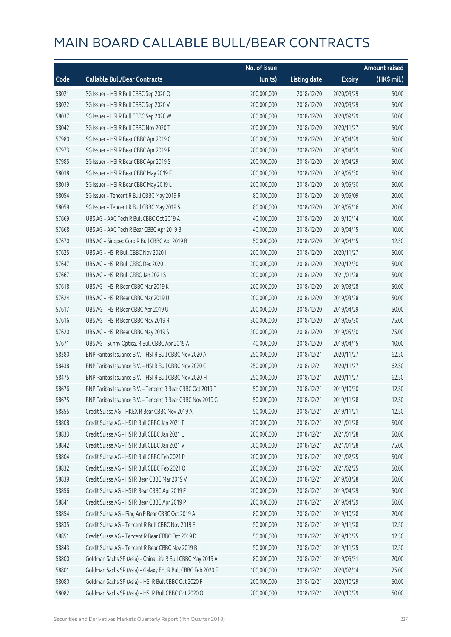|       |                                                             | No. of issue |                     |               | <b>Amount raised</b> |
|-------|-------------------------------------------------------------|--------------|---------------------|---------------|----------------------|
| Code  | <b>Callable Bull/Bear Contracts</b>                         | (units)      | <b>Listing date</b> | <b>Expiry</b> | (HK\$ mil.)          |
| 58021 | SG Issuer - HSI R Bull CBBC Sep 2020 Q                      | 200,000,000  | 2018/12/20          | 2020/09/29    | 50.00                |
| 58022 | SG Issuer - HSI R Bull CBBC Sep 2020 V                      | 200,000,000  | 2018/12/20          | 2020/09/29    | 50.00                |
| 58037 | SG Issuer - HSI R Bull CBBC Sep 2020 W                      | 200,000,000  | 2018/12/20          | 2020/09/29    | 50.00                |
| 58042 | SG Issuer - HSI R Bull CBBC Nov 2020 T                      | 200,000,000  | 2018/12/20          | 2020/11/27    | 50.00                |
| 57980 | SG Issuer - HSI R Bear CBBC Apr 2019 C                      | 200,000,000  | 2018/12/20          | 2019/04/29    | 50.00                |
| 57973 | SG Issuer - HSI R Bear CBBC Apr 2019 R                      | 200,000,000  | 2018/12/20          | 2019/04/29    | 50.00                |
| 57985 | SG Issuer - HSI R Bear CBBC Apr 2019 S                      | 200,000,000  | 2018/12/20          | 2019/04/29    | 50.00                |
| 58018 | SG Issuer - HSI R Bear CBBC May 2019 F                      | 200,000,000  | 2018/12/20          | 2019/05/30    | 50.00                |
| 58019 | SG Issuer - HSI R Bear CBBC May 2019 L                      | 200,000,000  | 2018/12/20          | 2019/05/30    | 50.00                |
| 58054 | SG Issuer - Tencent R Bull CBBC May 2019 R                  | 80,000,000   | 2018/12/20          | 2019/05/09    | 20.00                |
| 58059 | SG Issuer - Tencent R Bull CBBC May 2019 S                  | 80,000,000   | 2018/12/20          | 2019/05/16    | 20.00                |
| 57669 | UBS AG - AAC Tech R Bull CBBC Oct 2019 A                    | 40,000,000   | 2018/12/20          | 2019/10/14    | 10.00                |
| 57668 | UBS AG - AAC Tech R Bear CBBC Apr 2019 B                    | 40,000,000   | 2018/12/20          | 2019/04/15    | 10.00                |
| 57670 | UBS AG - Sinopec Corp R Bull CBBC Apr 2019 B                | 50,000,000   | 2018/12/20          | 2019/04/15    | 12.50                |
| 57625 | UBS AG - HSI R Bull CBBC Nov 2020 I                         | 200,000,000  | 2018/12/20          | 2020/11/27    | 50.00                |
| 57647 | UBS AG - HSI R Bull CBBC Dec 2020 L                         | 200,000,000  | 2018/12/20          | 2020/12/30    | 50.00                |
| 57667 | UBS AG - HSI R Bull CBBC Jan 2021 S                         | 200,000,000  | 2018/12/20          | 2021/01/28    | 50.00                |
| 57618 | UBS AG - HSI R Bear CBBC Mar 2019 K                         | 200,000,000  | 2018/12/20          | 2019/03/28    | 50.00                |
| 57624 | UBS AG - HSI R Bear CBBC Mar 2019 U                         | 200,000,000  | 2018/12/20          | 2019/03/28    | 50.00                |
| 57617 | UBS AG - HSI R Bear CBBC Apr 2019 U                         | 200,000,000  | 2018/12/20          | 2019/04/29    | 50.00                |
| 57616 | UBS AG - HSI R Bear CBBC May 2019 R                         | 300,000,000  | 2018/12/20          | 2019/05/30    | 75.00                |
| 57620 | UBS AG - HSI R Bear CBBC May 2019 S                         | 300,000,000  | 2018/12/20          | 2019/05/30    | 75.00                |
| 57671 | UBS AG - Sunny Optical R Bull CBBC Apr 2019 A               | 40,000,000   | 2018/12/20          | 2019/04/15    | 10.00                |
| 58380 | BNP Paribas Issuance B.V. - HSI R Bull CBBC Nov 2020 A      | 250,000,000  | 2018/12/21          | 2020/11/27    | 62.50                |
| 58438 | BNP Paribas Issuance B.V. - HSI R Bull CBBC Nov 2020 G      | 250,000,000  | 2018/12/21          | 2020/11/27    | 62.50                |
| 58475 | BNP Paribas Issuance B.V. - HSI R Bull CBBC Nov 2020 H      | 250,000,000  | 2018/12/21          | 2020/11/27    | 62.50                |
| 58676 | BNP Paribas Issuance B.V. - Tencent R Bear CBBC Oct 2019 F  | 50,000,000   | 2018/12/21          | 2019/10/30    | 12.50                |
| 58675 | BNP Paribas Issuance B.V. - Tencent R Bear CBBC Nov 2019 G  | 50,000,000   | 2018/12/21          | 2019/11/28    | 12.50                |
| 58855 | Credit Suisse AG - HKEX R Bear CBBC Nov 2019 A              | 50,000,000   | 2018/12/21          | 2019/11/21    | 12.50                |
| 58808 | Credit Suisse AG - HSI R Bull CBBC Jan 2021 T               | 200,000,000  | 2018/12/21          | 2021/01/28    | 50.00                |
| 58833 | Credit Suisse AG - HSI R Bull CBBC Jan 2021 U               | 200,000,000  | 2018/12/21          | 2021/01/28    | 50.00                |
| 58842 | Credit Suisse AG - HSI R Bull CBBC Jan 2021 V               | 300,000,000  | 2018/12/21          | 2021/01/28    | 75.00                |
| 58804 | Credit Suisse AG - HSI R Bull CBBC Feb 2021 P               | 200,000,000  | 2018/12/21          | 2021/02/25    | 50.00                |
| 58832 | Credit Suisse AG - HSI R Bull CBBC Feb 2021 Q               | 200,000,000  | 2018/12/21          | 2021/02/25    | 50.00                |
| 58839 | Credit Suisse AG - HSI R Bear CBBC Mar 2019 V               | 200,000,000  | 2018/12/21          | 2019/03/28    | 50.00                |
| 58856 | Credit Suisse AG - HSI R Bear CBBC Apr 2019 F               | 200,000,000  | 2018/12/21          | 2019/04/29    | 50.00                |
| 58841 | Credit Suisse AG - HSI R Bear CBBC Apr 2019 P               | 200,000,000  | 2018/12/21          | 2019/04/29    | 50.00                |
| 58854 | Credit Suisse AG - Ping An R Bear CBBC Oct 2019 A           | 80,000,000   | 2018/12/21          | 2019/10/28    | 20.00                |
| 58835 | Credit Suisse AG - Tencent R Bull CBBC Nov 2019 E           | 50,000,000   | 2018/12/21          | 2019/11/28    | 12.50                |
| 58851 | Credit Suisse AG - Tencent R Bear CBBC Oct 2019 D           | 50,000,000   | 2018/12/21          | 2019/10/25    | 12.50                |
| 58843 | Credit Suisse AG - Tencent R Bear CBBC Nov 2019 B           | 50,000,000   | 2018/12/21          | 2019/11/25    | 12.50                |
| 58800 | Goldman Sachs SP (Asia) - China Life R Bull CBBC May 2019 A | 80,000,000   | 2018/12/21          | 2019/05/31    | 20.00                |
| 58801 | Goldman Sachs SP (Asia) - Galaxy Ent R Bull CBBC Feb 2020 F | 100,000,000  | 2018/12/21          | 2020/02/14    | 25.00                |
| 58080 | Goldman Sachs SP (Asia) - HSI R Bull CBBC Oct 2020 F        | 200,000,000  | 2018/12/21          | 2020/10/29    | 50.00                |
| 58082 | Goldman Sachs SP (Asia) - HSI R Bull CBBC Oct 2020 O        | 200,000,000  | 2018/12/21          | 2020/10/29    | 50.00                |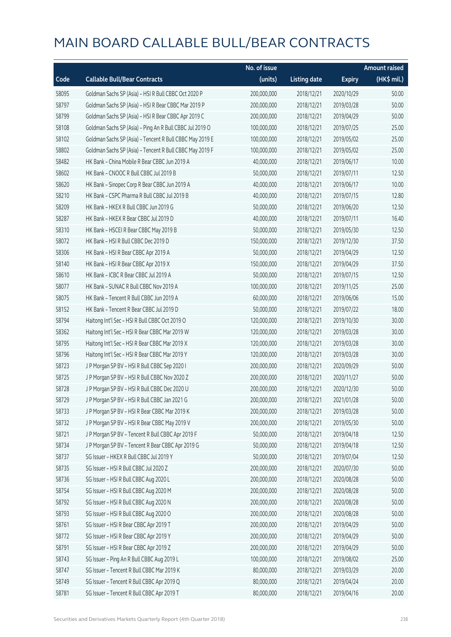|       |                                                          | No. of issue |                     |               | <b>Amount raised</b> |
|-------|----------------------------------------------------------|--------------|---------------------|---------------|----------------------|
| Code  | <b>Callable Bull/Bear Contracts</b>                      | (units)      | <b>Listing date</b> | <b>Expiry</b> | (HK\$ mil.)          |
| 58095 | Goldman Sachs SP (Asia) - HSI R Bull CBBC Oct 2020 P     | 200,000,000  | 2018/12/21          | 2020/10/29    | 50.00                |
| 58797 | Goldman Sachs SP (Asia) - HSI R Bear CBBC Mar 2019 P     | 200,000,000  | 2018/12/21          | 2019/03/28    | 50.00                |
| 58799 | Goldman Sachs SP (Asia) - HSI R Bear CBBC Apr 2019 C     | 200,000,000  | 2018/12/21          | 2019/04/29    | 50.00                |
| 58108 | Goldman Sachs SP (Asia) - Ping An R Bull CBBC Jul 2019 O | 100,000,000  | 2018/12/21          | 2019/07/25    | 25.00                |
| 58102 | Goldman Sachs SP (Asia) - Tencent R Bull CBBC May 2019 E | 100,000,000  | 2018/12/21          | 2019/05/02    | 25.00                |
| 58802 | Goldman Sachs SP (Asia) - Tencent R Bull CBBC May 2019 F | 100,000,000  | 2018/12/21          | 2019/05/02    | 25.00                |
| 58482 | HK Bank - China Mobile R Bear CBBC Jun 2019 A            | 40,000,000   | 2018/12/21          | 2019/06/17    | 10.00                |
| 58602 | HK Bank - CNOOC R Bull CBBC Jul 2019 B                   | 50,000,000   | 2018/12/21          | 2019/07/11    | 12.50                |
| 58620 | HK Bank - Sinopec Corp R Bear CBBC Jun 2019 A            | 40,000,000   | 2018/12/21          | 2019/06/17    | 10.00                |
| 58210 | HK Bank - CSPC Pharma R Bull CBBC Jul 2019 B             | 40,000,000   | 2018/12/21          | 2019/07/15    | 12.80                |
| 58209 | HK Bank - HKEX R Bull CBBC Jun 2019 G                    | 50,000,000   | 2018/12/21          | 2019/06/20    | 12.50                |
| 58287 | HK Bank - HKEX R Bear CBBC Jul 2019 D                    | 40,000,000   | 2018/12/21          | 2019/07/11    | 16.40                |
| 58310 | HK Bank - HSCEI R Bear CBBC May 2019 B                   | 50,000,000   | 2018/12/21          | 2019/05/30    | 12.50                |
| 58072 | HK Bank - HSI R Bull CBBC Dec 2019 D                     | 150,000,000  | 2018/12/21          | 2019/12/30    | 37.50                |
| 58306 | HK Bank - HSI R Bear CBBC Apr 2019 A                     | 50,000,000   | 2018/12/21          | 2019/04/29    | 12.50                |
| 58140 | HK Bank - HSI R Bear CBBC Apr 2019 X                     | 150,000,000  | 2018/12/21          | 2019/04/29    | 37.50                |
| 58610 | HK Bank - ICBC R Bear CBBC Jul 2019 A                    | 50,000,000   | 2018/12/21          | 2019/07/15    | 12.50                |
| 58077 | HK Bank - SUNAC R Bull CBBC Nov 2019 A                   | 100,000,000  | 2018/12/21          | 2019/11/25    | 25.00                |
| 58075 | HK Bank - Tencent R Bull CBBC Jun 2019 A                 | 60,000,000   | 2018/12/21          | 2019/06/06    | 15.00                |
| 58152 | HK Bank - Tencent R Bear CBBC Jul 2019 D                 | 50,000,000   | 2018/12/21          | 2019/07/22    | 18.00                |
| 58794 | Haitong Int'l Sec - HSI R Bull CBBC Oct 2019 O           | 120,000,000  | 2018/12/21          | 2019/10/30    | 30.00                |
| 58362 | Haitong Int'l Sec - HSI R Bear CBBC Mar 2019 W           | 120,000,000  | 2018/12/21          | 2019/03/28    | 30.00                |
| 58795 | Haitong Int'l Sec - HSI R Bear CBBC Mar 2019 X           | 120,000,000  | 2018/12/21          | 2019/03/28    | 30.00                |
| 58796 | Haitong Int'l Sec - HSI R Bear CBBC Mar 2019 Y           | 120,000,000  | 2018/12/21          | 2019/03/28    | 30.00                |
| 58723 | J P Morgan SP BV - HSI R Bull CBBC Sep 2020 I            | 200,000,000  | 2018/12/21          | 2020/09/29    | 50.00                |
| 58725 | J P Morgan SP BV - HSI R Bull CBBC Nov 2020 Z            | 200,000,000  | 2018/12/21          | 2020/11/27    | 50.00                |
| 58728 | J P Morgan SP BV - HSI R Bull CBBC Dec 2020 U            | 200,000,000  | 2018/12/21          | 2020/12/30    | 50.00                |
| 58729 | J P Morgan SP BV - HSI R Bull CBBC Jan 2021 G            | 200,000,000  | 2018/12/21          | 2021/01/28    | 50.00                |
| 58733 | J P Morgan SP BV - HSI R Bear CBBC Mar 2019 K            | 200,000,000  | 2018/12/21          | 2019/03/28    | 50.00                |
| 58732 | J P Morgan SP BV - HSI R Bear CBBC May 2019 V            | 200,000,000  | 2018/12/21          | 2019/05/30    | 50.00                |
| 58721 | J P Morgan SP BV - Tencent R Bull CBBC Apr 2019 F        | 50,000,000   | 2018/12/21          | 2019/04/18    | 12.50                |
| 58734 | J P Morgan SP BV - Tencent R Bear CBBC Apr 2019 G        | 50,000,000   | 2018/12/21          | 2019/04/18    | 12.50                |
| 58737 | SG Issuer - HKEX R Bull CBBC Jul 2019 Y                  | 50,000,000   | 2018/12/21          | 2019/07/04    | 12.50                |
| 58735 | SG Issuer - HSI R Bull CBBC Jul 2020 Z                   | 200,000,000  | 2018/12/21          | 2020/07/30    | 50.00                |
| 58736 | SG Issuer - HSI R Bull CBBC Aug 2020 L                   | 200,000,000  | 2018/12/21          | 2020/08/28    | 50.00                |
| 58754 | SG Issuer - HSI R Bull CBBC Aug 2020 M                   | 200,000,000  | 2018/12/21          | 2020/08/28    | 50.00                |
| 58792 | SG Issuer - HSI R Bull CBBC Aug 2020 N                   | 200,000,000  | 2018/12/21          | 2020/08/28    | 50.00                |
| 58793 | SG Issuer - HSI R Bull CBBC Aug 2020 O                   | 200,000,000  | 2018/12/21          | 2020/08/28    | 50.00                |
| 58761 | SG Issuer - HSI R Bear CBBC Apr 2019 T                   | 200,000,000  | 2018/12/21          | 2019/04/29    | 50.00                |
| 58772 | SG Issuer - HSI R Bear CBBC Apr 2019 Y                   | 200,000,000  | 2018/12/21          | 2019/04/29    | 50.00                |
| 58791 | SG Issuer - HSI R Bear CBBC Apr 2019 Z                   | 200,000,000  | 2018/12/21          | 2019/04/29    | 50.00                |
| 58743 | SG Issuer - Ping An R Bull CBBC Aug 2019 L               | 100,000,000  | 2018/12/21          | 2019/08/02    | 25.00                |
| 58747 | SG Issuer - Tencent R Bull CBBC Mar 2019 K               | 80,000,000   | 2018/12/21          | 2019/03/29    | 20.00                |
| 58749 | SG Issuer - Tencent R Bull CBBC Apr 2019 Q               | 80,000,000   | 2018/12/21          | 2019/04/24    | 20.00                |
| 58781 | SG Issuer - Tencent R Bull CBBC Apr 2019 T               | 80,000,000   | 2018/12/21          | 2019/04/16    | 20.00                |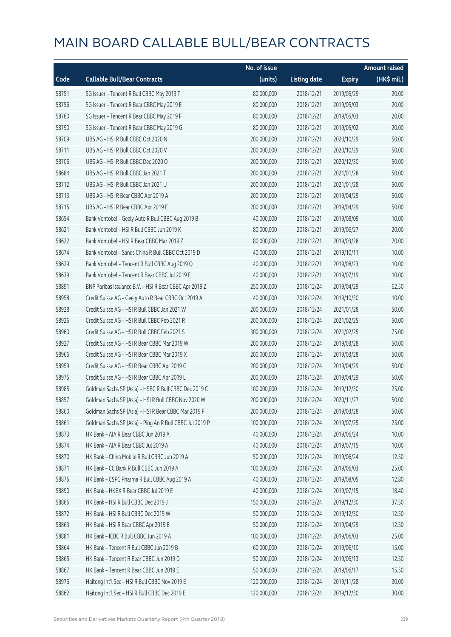|       |                                                          | No. of issue |                     |               | <b>Amount raised</b> |
|-------|----------------------------------------------------------|--------------|---------------------|---------------|----------------------|
| Code  | <b>Callable Bull/Bear Contracts</b>                      | (units)      | <b>Listing date</b> | <b>Expiry</b> | (HK\$ mil.)          |
| 58751 | SG Issuer - Tencent R Bull CBBC May 2019 T               | 80,000,000   | 2018/12/21          | 2019/05/29    | 20.00                |
| 58756 | SG Issuer - Tencent R Bear CBBC May 2019 E               | 80,000,000   | 2018/12/21          | 2019/05/03    | 20.00                |
| 58760 | SG Issuer - Tencent R Bear CBBC May 2019 F               | 80,000,000   | 2018/12/21          | 2019/05/03    | 20.00                |
| 58790 | SG Issuer - Tencent R Bear CBBC May 2019 G               | 80,000,000   | 2018/12/21          | 2019/05/02    | 20.00                |
| 58709 | UBS AG - HSI R Bull CBBC Oct 2020 N                      | 200,000,000  | 2018/12/21          | 2020/10/29    | 50.00                |
| 58711 | UBS AG - HSI R Bull CBBC Oct 2020 V                      | 200,000,000  | 2018/12/21          | 2020/10/29    | 50.00                |
| 58706 | UBS AG - HSI R Bull CBBC Dec 2020 O                      | 200,000,000  | 2018/12/21          | 2020/12/30    | 50.00                |
| 58684 | UBS AG - HSI R Bull CBBC Jan 2021 T                      | 200,000,000  | 2018/12/21          | 2021/01/28    | 50.00                |
| 58712 | UBS AG - HSI R Bull CBBC Jan 2021 U                      | 200,000,000  | 2018/12/21          | 2021/01/28    | 50.00                |
| 58713 | UBS AG - HSI R Bear CBBC Apr 2019 A                      | 200,000,000  | 2018/12/21          | 2019/04/29    | 50.00                |
| 58715 | UBS AG - HSI R Bear CBBC Apr 2019 E                      | 200,000,000  | 2018/12/21          | 2019/04/29    | 50.00                |
| 58654 | Bank Vontobel - Geely Auto R Bull CBBC Aug 2019 B        | 40,000,000   | 2018/12/21          | 2019/08/09    | 10.00                |
| 58621 | Bank Vontobel - HSI R Bull CBBC Jun 2019 K               | 80,000,000   | 2018/12/21          | 2019/06/27    | 20.00                |
| 58622 | Bank Vontobel - HSI R Bear CBBC Mar 2019 Z               | 80,000,000   | 2018/12/21          | 2019/03/28    | 20.00                |
| 58674 | Bank Vontobel - Sands China R Bull CBBC Oct 2019 D       | 40,000,000   | 2018/12/21          | 2019/10/11    | 10.00                |
| 58629 | Bank Vontobel - Tencent R Bull CBBC Aug 2019 Q           | 40,000,000   | 2018/12/21          | 2019/08/23    | 10.00                |
| 58639 | Bank Vontobel - Tencent R Bear CBBC Jul 2019 E           | 40,000,000   | 2018/12/21          | 2019/07/19    | 10.00                |
| 58891 | BNP Paribas Issuance B.V. - HSI R Bear CBBC Apr 2019 Z   | 250,000,000  | 2018/12/24          | 2019/04/29    | 62.50                |
| 58958 | Credit Suisse AG - Geely Auto R Bear CBBC Oct 2019 A     | 40,000,000   | 2018/12/24          | 2019/10/30    | 10.00                |
| 58928 | Credit Suisse AG - HSI R Bull CBBC Jan 2021 W            | 200,000,000  | 2018/12/24          | 2021/01/28    | 50.00                |
| 58926 | Credit Suisse AG - HSI R Bull CBBC Feb 2021 R            | 200,000,000  | 2018/12/24          | 2021/02/25    | 50.00                |
| 58960 | Credit Suisse AG - HSI R Bull CBBC Feb 2021 S            | 300,000,000  | 2018/12/24          | 2021/02/25    | 75.00                |
| 58927 | Credit Suisse AG - HSI R Bear CBBC Mar 2019 W            | 200,000,000  | 2018/12/24          | 2019/03/28    | 50.00                |
| 58966 | Credit Suisse AG - HSI R Bear CBBC Mar 2019 X            | 200,000,000  | 2018/12/24          | 2019/03/28    | 50.00                |
| 58959 | Credit Suisse AG - HSI R Bear CBBC Apr 2019 G            | 200,000,000  | 2018/12/24          | 2019/04/29    | 50.00                |
| 58975 | Credit Suisse AG - HSI R Bear CBBC Apr 2019 L            | 200,000,000  | 2018/12/24          | 2019/04/29    | 50.00                |
| 58985 | Goldman Sachs SP (Asia) - HSBC R Bull CBBC Dec 2019 C    | 100,000,000  | 2018/12/24          | 2019/12/30    | 25.00                |
| 58857 | Goldman Sachs SP (Asia) - HSI R Bull CBBC Nov 2020 W     | 200,000,000  | 2018/12/24          | 2020/11/27    | 50.00                |
| 58860 | Goldman Sachs SP (Asia) - HSI R Bear CBBC Mar 2019 F     | 200,000,000  | 2018/12/24          | 2019/03/28    | 50.00                |
| 58861 | Goldman Sachs SP (Asia) - Ping An R Bull CBBC Jul 2019 P | 100,000,000  | 2018/12/24          | 2019/07/25    | 25.00                |
| 58873 | HK Bank - AIA R Bear CBBC Jun 2019 A                     | 40,000,000   | 2018/12/24          | 2019/06/24    | 10.00                |
| 58874 | HK Bank - AIA R Bear CBBC Jul 2019 A                     | 40,000,000   | 2018/12/24          | 2019/07/15    | 10.00                |
| 58870 | HK Bank - China Mobile R Bull CBBC Jun 2019 A            | 50,000,000   | 2018/12/24          | 2019/06/24    | 12.50                |
| 58871 | HK Bank - CC Bank R Bull CBBC Jun 2019 A                 | 100,000,000  | 2018/12/24          | 2019/06/03    | 25.00                |
| 58875 | HK Bank - CSPC Pharma R Bull CBBC Aug 2019 A             | 40,000,000   | 2018/12/24          | 2019/08/05    | 12.80                |
| 58890 | HK Bank - HKEX R Bear CBBC Jul 2019 E                    | 40,000,000   | 2018/12/24          | 2019/07/15    | 18.40                |
| 58866 | HK Bank - HSI R Bull CBBC Dec 2019 J                     | 150,000,000  | 2018/12/24          | 2019/12/30    | 37.50                |
| 58872 | HK Bank - HSI R Bull CBBC Dec 2019 W                     | 50,000,000   | 2018/12/24          | 2019/12/30    | 12.50                |
| 58863 | HK Bank - HSI R Bear CBBC Apr 2019 B                     | 50,000,000   | 2018/12/24          | 2019/04/29    | 12.50                |
| 58881 | HK Bank - ICBC R Bull CBBC Jun 2019 A                    | 100,000,000  | 2018/12/24          | 2019/06/03    | 25.00                |
| 58864 | HK Bank - Tencent R Bull CBBC Jun 2019 B                 | 60,000,000   | 2018/12/24          | 2019/06/10    | 15.00                |
| 58865 | HK Bank - Tencent R Bear CBBC Jun 2019 D                 | 50,000,000   | 2018/12/24          | 2019/06/13    | 12.50                |
| 58867 | HK Bank - Tencent R Bear CBBC Jun 2019 E                 | 50,000,000   | 2018/12/24          | 2019/06/17    | 15.50                |
| 58976 | Haitong Int'l Sec - HSI R Bull CBBC Nov 2019 E           | 120,000,000  | 2018/12/24          | 2019/11/28    | 30.00                |
| 58862 | Haitong Int'l Sec - HSI R Bull CBBC Dec 2019 E           | 120,000,000  | 2018/12/24          | 2019/12/30    | 30.00                |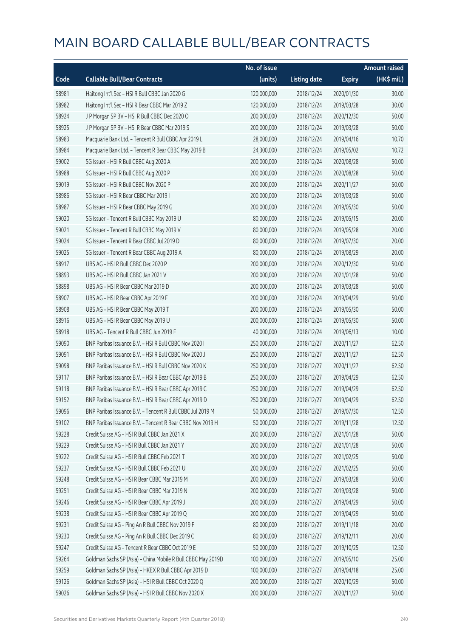|       |                                                              | No. of issue |                     |               | <b>Amount raised</b> |
|-------|--------------------------------------------------------------|--------------|---------------------|---------------|----------------------|
| Code  | <b>Callable Bull/Bear Contracts</b>                          | (units)      | <b>Listing date</b> | <b>Expiry</b> | (HK\$ mil.)          |
| 58981 | Haitong Int'l Sec - HSI R Bull CBBC Jan 2020 G               | 120,000,000  | 2018/12/24          | 2020/01/30    | 30.00                |
| 58982 | Haitong Int'l Sec - HSI R Bear CBBC Mar 2019 Z               | 120,000,000  | 2018/12/24          | 2019/03/28    | 30.00                |
| 58924 | J P Morgan SP BV - HSI R Bull CBBC Dec 2020 O                | 200,000,000  | 2018/12/24          | 2020/12/30    | 50.00                |
| 58925 | J P Morgan SP BV - HSI R Bear CBBC Mar 2019 S                | 200,000,000  | 2018/12/24          | 2019/03/28    | 50.00                |
| 58983 | Macquarie Bank Ltd. - Tencent R Bull CBBC Apr 2019 L         | 28,000,000   | 2018/12/24          | 2019/04/16    | 10.70                |
| 58984 | Macquarie Bank Ltd. - Tencent R Bear CBBC May 2019 B         | 24,300,000   | 2018/12/24          | 2019/05/02    | 10.72                |
| 59002 | SG Issuer - HSI R Bull CBBC Aug 2020 A                       | 200,000,000  | 2018/12/24          | 2020/08/28    | 50.00                |
| 58988 | SG Issuer - HSI R Bull CBBC Aug 2020 P                       | 200,000,000  | 2018/12/24          | 2020/08/28    | 50.00                |
| 59019 | SG Issuer - HSI R Bull CBBC Nov 2020 P                       | 200,000,000  | 2018/12/24          | 2020/11/27    | 50.00                |
| 58986 | SG Issuer - HSI R Bear CBBC Mar 2019 I                       | 200,000,000  | 2018/12/24          | 2019/03/28    | 50.00                |
| 58987 | SG Issuer - HSI R Bear CBBC May 2019 G                       | 200,000,000  | 2018/12/24          | 2019/05/30    | 50.00                |
| 59020 | SG Issuer - Tencent R Bull CBBC May 2019 U                   | 80,000,000   | 2018/12/24          | 2019/05/15    | 20.00                |
| 59021 | SG Issuer - Tencent R Bull CBBC May 2019 V                   | 80,000,000   | 2018/12/24          | 2019/05/28    | 20.00                |
| 59024 | SG Issuer - Tencent R Bear CBBC Jul 2019 D                   | 80,000,000   | 2018/12/24          | 2019/07/30    | 20.00                |
| 59025 | SG Issuer - Tencent R Bear CBBC Aug 2019 A                   | 80,000,000   | 2018/12/24          | 2019/08/29    | 20.00                |
| 58917 | UBS AG - HSI R Bull CBBC Dec 2020 P                          | 200,000,000  | 2018/12/24          | 2020/12/30    | 50.00                |
| 58893 | UBS AG - HSI R Bull CBBC Jan 2021 V                          | 200,000,000  | 2018/12/24          | 2021/01/28    | 50.00                |
| 58898 | UBS AG - HSI R Bear CBBC Mar 2019 D                          | 200,000,000  | 2018/12/24          | 2019/03/28    | 50.00                |
| 58907 | UBS AG - HSI R Bear CBBC Apr 2019 F                          | 200,000,000  | 2018/12/24          | 2019/04/29    | 50.00                |
| 58908 | UBS AG - HSI R Bear CBBC May 2019 T                          | 200,000,000  | 2018/12/24          | 2019/05/30    | 50.00                |
| 58916 | UBS AG - HSI R Bear CBBC May 2019 U                          | 200,000,000  | 2018/12/24          | 2019/05/30    | 50.00                |
| 58918 | UBS AG - Tencent R Bull CBBC Jun 2019 F                      | 40,000,000   | 2018/12/24          | 2019/06/13    | 10.00                |
| 59090 | BNP Paribas Issuance B.V. - HSI R Bull CBBC Nov 2020 I       | 250,000,000  | 2018/12/27          | 2020/11/27    | 62.50                |
| 59091 | BNP Paribas Issuance B.V. - HSI R Bull CBBC Nov 2020 J       | 250,000,000  | 2018/12/27          | 2020/11/27    | 62.50                |
| 59098 | BNP Paribas Issuance B.V. - HSI R Bull CBBC Nov 2020 K       | 250,000,000  | 2018/12/27          | 2020/11/27    | 62.50                |
| 59117 | BNP Paribas Issuance B.V. - HSI R Bear CBBC Apr 2019 B       | 250,000,000  | 2018/12/27          | 2019/04/29    | 62.50                |
| 59118 | BNP Paribas Issuance B.V. - HSI R Bear CBBC Apr 2019 C       | 250,000,000  | 2018/12/27          | 2019/04/29    | 62.50                |
| 59152 | BNP Paribas Issuance B.V. - HSI R Bear CBBC Apr 2019 D       | 250,000,000  | 2018/12/27          | 2019/04/29    | 62.50                |
| 59096 | BNP Paribas Issuance B.V. - Tencent R Bull CBBC Jul 2019 M   | 50,000,000   | 2018/12/27          | 2019/07/30    | 12.50                |
| 59102 | BNP Paribas Issuance B.V. - Tencent R Bear CBBC Nov 2019 H   | 50,000,000   | 2018/12/27          | 2019/11/28    | 12.50                |
| 59228 | Credit Suisse AG - HSI R Bull CBBC Jan 2021 X                | 200,000,000  | 2018/12/27          | 2021/01/28    | 50.00                |
| 59229 | Credit Suisse AG - HSI R Bull CBBC Jan 2021 Y                | 200,000,000  | 2018/12/27          | 2021/01/28    | 50.00                |
| 59222 | Credit Suisse AG - HSI R Bull CBBC Feb 2021 T                | 200,000,000  | 2018/12/27          | 2021/02/25    | 50.00                |
| 59237 | Credit Suisse AG - HSI R Bull CBBC Feb 2021 U                | 200,000,000  | 2018/12/27          | 2021/02/25    | 50.00                |
| 59248 | Credit Suisse AG - HSI R Bear CBBC Mar 2019 M                | 200,000,000  | 2018/12/27          | 2019/03/28    | 50.00                |
| 59251 | Credit Suisse AG - HSI R Bear CBBC Mar 2019 N                | 200,000,000  | 2018/12/27          | 2019/03/28    | 50.00                |
| 59246 | Credit Suisse AG - HSI R Bear CBBC Apr 2019 J                | 200,000,000  | 2018/12/27          | 2019/04/29    | 50.00                |
| 59238 | Credit Suisse AG - HSI R Bear CBBC Apr 2019 Q                | 200,000,000  | 2018/12/27          | 2019/04/29    | 50.00                |
| 59231 | Credit Suisse AG - Ping An R Bull CBBC Nov 2019 F            | 80,000,000   | 2018/12/27          | 2019/11/18    | 20.00                |
| 59230 | Credit Suisse AG - Ping An R Bull CBBC Dec 2019 C            | 80,000,000   | 2018/12/27          | 2019/12/11    | 20.00                |
| 59247 | Credit Suisse AG - Tencent R Bear CBBC Oct 2019 E            | 50,000,000   | 2018/12/27          | 2019/10/25    | 12.50                |
| 59264 | Goldman Sachs SP (Asia) - China Mobile R Bull CBBC May 2019D | 100,000,000  | 2018/12/27          | 2019/05/10    | 25.00                |
| 59259 | Goldman Sachs SP (Asia) - HKEX R Bull CBBC Apr 2019 D        | 100,000,000  | 2018/12/27          | 2019/04/18    | 25.00                |
| 59126 | Goldman Sachs SP (Asia) - HSI R Bull CBBC Oct 2020 Q         | 200,000,000  | 2018/12/27          | 2020/10/29    | 50.00                |
| 59026 | Goldman Sachs SP (Asia) - HSI R Bull CBBC Nov 2020 X         | 200,000,000  | 2018/12/27          | 2020/11/27    | 50.00                |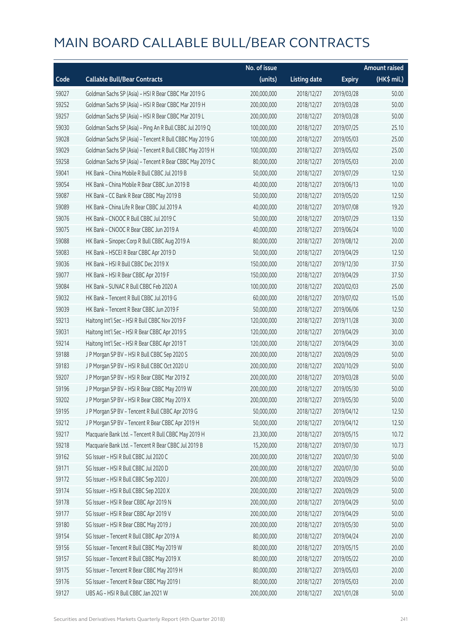|       |                                                          | No. of issue |                     |               | Amount raised |
|-------|----------------------------------------------------------|--------------|---------------------|---------------|---------------|
| Code  | <b>Callable Bull/Bear Contracts</b>                      | (units)      | <b>Listing date</b> | <b>Expiry</b> | (HK\$ mil.)   |
| 59027 | Goldman Sachs SP (Asia) - HSI R Bear CBBC Mar 2019 G     | 200,000,000  | 2018/12/27          | 2019/03/28    | 50.00         |
| 59252 | Goldman Sachs SP (Asia) - HSI R Bear CBBC Mar 2019 H     | 200,000,000  | 2018/12/27          | 2019/03/28    | 50.00         |
| 59257 | Goldman Sachs SP (Asia) - HSI R Bear CBBC Mar 2019 L     | 200,000,000  | 2018/12/27          | 2019/03/28    | 50.00         |
| 59030 | Goldman Sachs SP (Asia) - Ping An R Bull CBBC Jul 2019 Q | 100,000,000  | 2018/12/27          | 2019/07/25    | 25.10         |
| 59028 | Goldman Sachs SP (Asia) - Tencent R Bull CBBC May 2019 G | 100,000,000  | 2018/12/27          | 2019/05/03    | 25.00         |
| 59029 | Goldman Sachs SP (Asia) - Tencent R Bull CBBC May 2019 H | 100,000,000  | 2018/12/27          | 2019/05/02    | 25.00         |
| 59258 | Goldman Sachs SP (Asia) - Tencent R Bear CBBC May 2019 C | 80,000,000   | 2018/12/27          | 2019/05/03    | 20.00         |
| 59041 | HK Bank - China Mobile R Bull CBBC Jul 2019 B            | 50,000,000   | 2018/12/27          | 2019/07/29    | 12.50         |
| 59054 | HK Bank - China Mobile R Bear CBBC Jun 2019 B            | 40,000,000   | 2018/12/27          | 2019/06/13    | 10.00         |
| 59087 | HK Bank - CC Bank R Bear CBBC May 2019 B                 | 50,000,000   | 2018/12/27          | 2019/05/20    | 12.50         |
| 59089 | HK Bank - China Life R Bear CBBC Jul 2019 A              | 40,000,000   | 2018/12/27          | 2019/07/08    | 19.20         |
| 59076 | HK Bank - CNOOC R Bull CBBC Jul 2019 C                   | 50,000,000   | 2018/12/27          | 2019/07/29    | 13.50         |
| 59075 | HK Bank - CNOOC R Bear CBBC Jun 2019 A                   | 40,000,000   | 2018/12/27          | 2019/06/24    | 10.00         |
| 59088 | HK Bank - Sinopec Corp R Bull CBBC Aug 2019 A            | 80,000,000   | 2018/12/27          | 2019/08/12    | 20.00         |
| 59083 | HK Bank - HSCEI R Bear CBBC Apr 2019 D                   | 50,000,000   | 2018/12/27          | 2019/04/29    | 12.50         |
| 59036 | HK Bank - HSI R Bull CBBC Dec 2019 X                     | 150,000,000  | 2018/12/27          | 2019/12/30    | 37.50         |
| 59077 | HK Bank - HSI R Bear CBBC Apr 2019 F                     | 150,000,000  | 2018/12/27          | 2019/04/29    | 37.50         |
| 59084 | HK Bank - SUNAC R Bull CBBC Feb 2020 A                   | 100,000,000  | 2018/12/27          | 2020/02/03    | 25.00         |
| 59032 | HK Bank - Tencent R Bull CBBC Jul 2019 G                 | 60,000,000   | 2018/12/27          | 2019/07/02    | 15.00         |
| 59039 | HK Bank - Tencent R Bear CBBC Jun 2019 F                 | 50,000,000   | 2018/12/27          | 2019/06/06    | 12.50         |
| 59213 | Haitong Int'l Sec - HSI R Bull CBBC Nov 2019 F           | 120,000,000  | 2018/12/27          | 2019/11/28    | 30.00         |
| 59031 | Haitong Int'l Sec - HSI R Bear CBBC Apr 2019 S           | 120,000,000  | 2018/12/27          | 2019/04/29    | 30.00         |
| 59214 | Haitong Int'l Sec - HSI R Bear CBBC Apr 2019 T           | 120,000,000  | 2018/12/27          | 2019/04/29    | 30.00         |
| 59188 | J P Morgan SP BV - HSI R Bull CBBC Sep 2020 S            | 200,000,000  | 2018/12/27          | 2020/09/29    | 50.00         |
| 59183 | J P Morgan SP BV - HSI R Bull CBBC Oct 2020 U            | 200,000,000  | 2018/12/27          | 2020/10/29    | 50.00         |
| 59207 | J P Morgan SP BV - HSI R Bear CBBC Mar 2019 Z            | 200,000,000  | 2018/12/27          | 2019/03/28    | 50.00         |
| 59196 | J P Morgan SP BV - HSI R Bear CBBC May 2019 W            | 200,000,000  | 2018/12/27          | 2019/05/30    | 50.00         |
| 59202 | J P Morgan SP BV - HSI R Bear CBBC May 2019 X            | 200,000,000  | 2018/12/27          | 2019/05/30    | 50.00         |
| 59195 | J P Morgan SP BV - Tencent R Bull CBBC Apr 2019 G        | 50,000,000   | 2018/12/27          | 2019/04/12    | 12.50         |
| 59212 | J P Morgan SP BV - Tencent R Bear CBBC Apr 2019 H        | 50,000,000   | 2018/12/27          | 2019/04/12    | 12.50         |
| 59217 | Macquarie Bank Ltd. - Tencent R Bull CBBC May 2019 H     | 23,300,000   | 2018/12/27          | 2019/05/15    | 10.72         |
| 59218 | Macquarie Bank Ltd. - Tencent R Bear CBBC Jul 2019 B     | 15,200,000   | 2018/12/27          | 2019/07/30    | 10.73         |
| 59162 | SG Issuer - HSI R Bull CBBC Jul 2020 C                   | 200,000,000  | 2018/12/27          | 2020/07/30    | 50.00         |
| 59171 | SG Issuer - HSI R Bull CBBC Jul 2020 D                   | 200,000,000  | 2018/12/27          | 2020/07/30    | 50.00         |
| 59172 | SG Issuer - HSI R Bull CBBC Sep 2020 J                   | 200,000,000  | 2018/12/27          | 2020/09/29    | 50.00         |
| 59174 | SG Issuer - HSI R Bull CBBC Sep 2020 X                   | 200,000,000  | 2018/12/27          | 2020/09/29    | 50.00         |
| 59178 | SG Issuer - HSI R Bear CBBC Apr 2019 N                   | 200,000,000  | 2018/12/27          | 2019/04/29    | 50.00         |
| 59177 | SG Issuer - HSI R Bear CBBC Apr 2019 V                   | 200,000,000  | 2018/12/27          | 2019/04/29    | 50.00         |
| 59180 | SG Issuer - HSI R Bear CBBC May 2019 J                   | 200,000,000  | 2018/12/27          | 2019/05/30    | 50.00         |
| 59154 | SG Issuer - Tencent R Bull CBBC Apr 2019 A               | 80,000,000   | 2018/12/27          | 2019/04/24    | 20.00         |
| 59156 | SG Issuer - Tencent R Bull CBBC May 2019 W               | 80,000,000   | 2018/12/27          | 2019/05/15    | 20.00         |
| 59157 | SG Issuer - Tencent R Bull CBBC May 2019 X               | 80,000,000   | 2018/12/27          | 2019/05/22    | 20.00         |
| 59175 | SG Issuer - Tencent R Bear CBBC May 2019 H               | 80,000,000   | 2018/12/27          | 2019/05/03    | 20.00         |
| 59176 | SG Issuer - Tencent R Bear CBBC May 2019 I               | 80,000,000   | 2018/12/27          | 2019/05/03    | 20.00         |
| 59127 | UBS AG - HSI R Bull CBBC Jan 2021 W                      | 200,000,000  | 2018/12/27          | 2021/01/28    | 50.00         |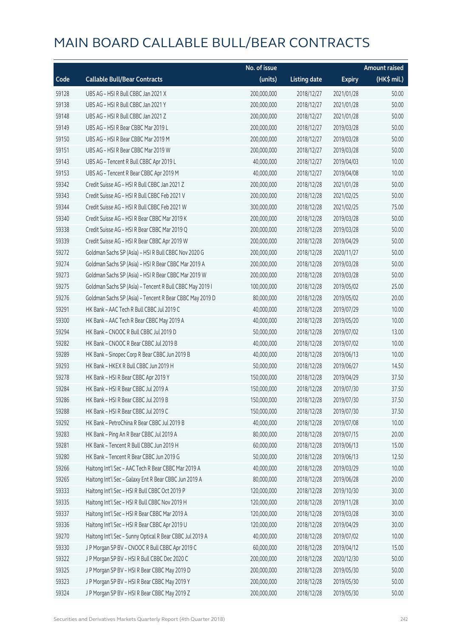|       |                                                          | No. of issue |                     |               | <b>Amount raised</b> |
|-------|----------------------------------------------------------|--------------|---------------------|---------------|----------------------|
| Code  | <b>Callable Bull/Bear Contracts</b>                      | (units)      | <b>Listing date</b> | <b>Expiry</b> | (HK\$ mil.)          |
| 59128 | UBS AG - HSI R Bull CBBC Jan 2021 X                      | 200,000,000  | 2018/12/27          | 2021/01/28    | 50.00                |
| 59138 | UBS AG - HSI R Bull CBBC Jan 2021 Y                      | 200,000,000  | 2018/12/27          | 2021/01/28    | 50.00                |
| 59148 | UBS AG - HSI R Bull CBBC Jan 2021 Z                      | 200,000,000  | 2018/12/27          | 2021/01/28    | 50.00                |
| 59149 | UBS AG - HSI R Bear CBBC Mar 2019 L                      | 200,000,000  | 2018/12/27          | 2019/03/28    | 50.00                |
| 59150 | UBS AG - HSI R Bear CBBC Mar 2019 M                      | 200,000,000  | 2018/12/27          | 2019/03/28    | 50.00                |
| 59151 | UBS AG - HSI R Bear CBBC Mar 2019 W                      | 200,000,000  | 2018/12/27          | 2019/03/28    | 50.00                |
| 59143 | UBS AG - Tencent R Bull CBBC Apr 2019 L                  | 40,000,000   | 2018/12/27          | 2019/04/03    | 10.00                |
| 59153 | UBS AG - Tencent R Bear CBBC Apr 2019 M                  | 40,000,000   | 2018/12/27          | 2019/04/08    | 10.00                |
| 59342 | Credit Suisse AG - HSI R Bull CBBC Jan 2021 Z            | 200,000,000  | 2018/12/28          | 2021/01/28    | 50.00                |
| 59343 | Credit Suisse AG - HSI R Bull CBBC Feb 2021 V            | 200,000,000  | 2018/12/28          | 2021/02/25    | 50.00                |
| 59344 | Credit Suisse AG - HSI R Bull CBBC Feb 2021 W            | 300,000,000  | 2018/12/28          | 2021/02/25    | 75.00                |
| 59340 | Credit Suisse AG - HSI R Bear CBBC Mar 2019 K            | 200,000,000  | 2018/12/28          | 2019/03/28    | 50.00                |
| 59338 | Credit Suisse AG - HSI R Bear CBBC Mar 2019 O            | 200,000,000  | 2018/12/28          | 2019/03/28    | 50.00                |
| 59339 | Credit Suisse AG - HSI R Bear CBBC Apr 2019 W            | 200,000,000  | 2018/12/28          | 2019/04/29    | 50.00                |
| 59272 | Goldman Sachs SP (Asia) - HSI R Bull CBBC Nov 2020 G     | 200,000,000  | 2018/12/28          | 2020/11/27    | 50.00                |
| 59274 | Goldman Sachs SP (Asia) - HSI R Bear CBBC Mar 2019 A     | 200,000,000  | 2018/12/28          | 2019/03/28    | 50.00                |
| 59273 | Goldman Sachs SP (Asia) - HSI R Bear CBBC Mar 2019 W     | 200,000,000  | 2018/12/28          | 2019/03/28    | 50.00                |
| 59275 | Goldman Sachs SP (Asia) - Tencent R Bull CBBC May 2019 I | 100,000,000  | 2018/12/28          | 2019/05/02    | 25.00                |
| 59276 | Goldman Sachs SP (Asia) - Tencent R Bear CBBC May 2019 D | 80,000,000   | 2018/12/28          | 2019/05/02    | 20.00                |
| 59291 | HK Bank - AAC Tech R Bull CBBC Jul 2019 C                | 40,000,000   | 2018/12/28          | 2019/07/29    | 10.00                |
| 59300 | HK Bank - AAC Tech R Bear CBBC May 2019 A                | 40,000,000   | 2018/12/28          | 2019/05/20    | 10.00                |
| 59294 | HK Bank - CNOOC R Bull CBBC Jul 2019 D                   | 50,000,000   | 2018/12/28          | 2019/07/02    | 13.00                |
| 59282 | HK Bank - CNOOC R Bear CBBC Jul 2019 B                   | 40,000,000   | 2018/12/28          | 2019/07/02    | 10.00                |
| 59289 | HK Bank - Sinopec Corp R Bear CBBC Jun 2019 B            | 40,000,000   | 2018/12/28          | 2019/06/13    | 10.00                |
| 59293 | HK Bank - HKEX R Bull CBBC Jun 2019 H                    | 50,000,000   | 2018/12/28          | 2019/06/27    | 14.50                |
| 59278 | HK Bank - HSI R Bear CBBC Apr 2019 Y                     | 150,000,000  | 2018/12/28          | 2019/04/29    | 37.50                |
| 59284 | HK Bank - HSI R Bear CBBC Jul 2019 A                     | 150,000,000  | 2018/12/28          | 2019/07/30    | 37.50                |
| 59286 | HK Bank - HSI R Bear CBBC Jul 2019 B                     | 150,000,000  | 2018/12/28          | 2019/07/30    | 37.50                |
| 59288 | HK Bank - HSI R Bear CBBC Jul 2019 C                     | 150,000,000  | 2018/12/28          | 2019/07/30    | 37.50                |
| 59292 | HK Bank - PetroChina R Bear CBBC Jul 2019 B              | 40,000,000   | 2018/12/28          | 2019/07/08    | 10.00                |
| 59283 | HK Bank - Ping An R Bear CBBC Jul 2019 A                 | 80,000,000   | 2018/12/28          | 2019/07/15    | 20.00                |
| 59281 | HK Bank - Tencent R Bull CBBC Jun 2019 H                 | 60,000,000   | 2018/12/28          | 2019/06/13    | 15.00                |
| 59280 | HK Bank - Tencent R Bear CBBC Jun 2019 G                 | 50,000,000   | 2018/12/28          | 2019/06/13    | 12.50                |
| 59266 | Haitong Int'l Sec - AAC Tech R Bear CBBC Mar 2019 A      | 40,000,000   | 2018/12/28          | 2019/03/29    | 10.00                |
| 59265 | Haitong Int'l Sec - Galaxy Ent R Bear CBBC Jun 2019 A    | 80,000,000   | 2018/12/28          | 2019/06/28    | 20.00                |
| 59333 | Haitong Int'l Sec - HSI R Bull CBBC Oct 2019 P           | 120,000,000  | 2018/12/28          | 2019/10/30    | 30.00                |
| 59335 | Haitong Int'l Sec - HSI R Bull CBBC Nov 2019 H           | 120,000,000  | 2018/12/28          | 2019/11/28    | 30.00                |
| 59337 | Haitong Int'l Sec - HSI R Bear CBBC Mar 2019 A           | 120,000,000  | 2018/12/28          | 2019/03/28    | 30.00                |
| 59336 | Haitong Int'l Sec - HSI R Bear CBBC Apr 2019 U           | 120,000,000  | 2018/12/28          | 2019/04/29    | 30.00                |
| 59270 | Haitong Int'l Sec - Sunny Optical R Bear CBBC Jul 2019 A | 40,000,000   | 2018/12/28          | 2019/07/02    | 10.00                |
| 59330 | J P Morgan SP BV - CNOOC R Bull CBBC Apr 2019 C          | 60,000,000   | 2018/12/28          | 2019/04/12    | 15.00                |
| 59322 | J P Morgan SP BV - HSI R Bull CBBC Dec 2020 C            | 200,000,000  | 2018/12/28          | 2020/12/30    | 50.00                |
| 59325 | J P Morgan SP BV - HSI R Bear CBBC May 2019 D            | 200,000,000  | 2018/12/28          | 2019/05/30    | 50.00                |
| 59323 | J P Morgan SP BV - HSI R Bear CBBC May 2019 Y            | 200,000,000  | 2018/12/28          | 2019/05/30    | 50.00                |
| 59324 | J P Morgan SP BV - HSI R Bear CBBC May 2019 Z            | 200,000,000  | 2018/12/28          | 2019/05/30    | 50.00                |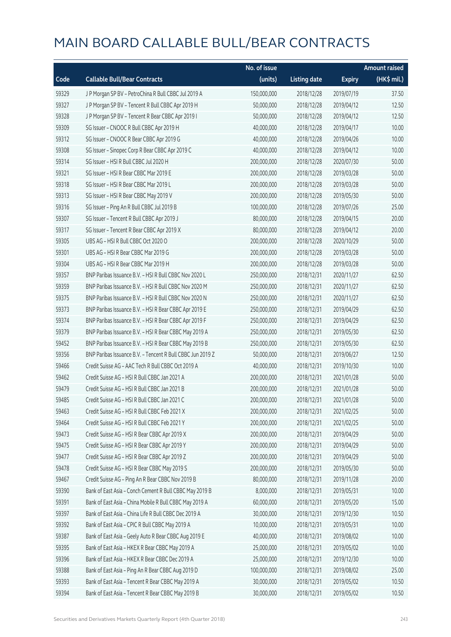|       |                                                            | No. of issue |                     |               | <b>Amount raised</b> |
|-------|------------------------------------------------------------|--------------|---------------------|---------------|----------------------|
| Code  | <b>Callable Bull/Bear Contracts</b>                        | (units)      | <b>Listing date</b> | <b>Expiry</b> | $(HK\$ mil.)         |
| 59329 | J P Morgan SP BV - PetroChina R Bull CBBC Jul 2019 A       | 150,000,000  | 2018/12/28          | 2019/07/19    | 37.50                |
| 59327 | J P Morgan SP BV - Tencent R Bull CBBC Apr 2019 H          | 50,000,000   | 2018/12/28          | 2019/04/12    | 12.50                |
| 59328 | J P Morgan SP BV - Tencent R Bear CBBC Apr 2019 I          | 50,000,000   | 2018/12/28          | 2019/04/12    | 12.50                |
| 59309 | SG Issuer - CNOOC R Bull CBBC Apr 2019 H                   | 40,000,000   | 2018/12/28          | 2019/04/17    | 10.00                |
| 59312 | SG Issuer - CNOOC R Bear CBBC Apr 2019 G                   | 40,000,000   | 2018/12/28          | 2019/04/26    | 10.00                |
| 59308 | SG Issuer - Sinopec Corp R Bear CBBC Apr 2019 C            | 40,000,000   | 2018/12/28          | 2019/04/12    | 10.00                |
| 59314 | SG Issuer - HSI R Bull CBBC Jul 2020 H                     | 200,000,000  | 2018/12/28          | 2020/07/30    | 50.00                |
| 59321 | SG Issuer - HSI R Bear CBBC Mar 2019 E                     | 200,000,000  | 2018/12/28          | 2019/03/28    | 50.00                |
| 59318 | SG Issuer - HSI R Bear CBBC Mar 2019 L                     | 200,000,000  | 2018/12/28          | 2019/03/28    | 50.00                |
| 59313 | SG Issuer - HSI R Bear CBBC May 2019 V                     | 200,000,000  | 2018/12/28          | 2019/05/30    | 50.00                |
| 59316 | SG Issuer - Ping An R Bull CBBC Jul 2019 B                 | 100,000,000  | 2018/12/28          | 2019/07/26    | 25.00                |
| 59307 | SG Issuer - Tencent R Bull CBBC Apr 2019 J                 | 80,000,000   | 2018/12/28          | 2019/04/15    | 20.00                |
| 59317 | SG Issuer - Tencent R Bear CBBC Apr 2019 X                 | 80,000,000   | 2018/12/28          | 2019/04/12    | 20.00                |
| 59305 | UBS AG - HSI R Bull CBBC Oct 2020 O                        | 200,000,000  | 2018/12/28          | 2020/10/29    | 50.00                |
| 59301 | UBS AG - HSI R Bear CBBC Mar 2019 G                        | 200,000,000  | 2018/12/28          | 2019/03/28    | 50.00                |
| 59304 | UBS AG - HSI R Bear CBBC Mar 2019 H                        | 200,000,000  | 2018/12/28          | 2019/03/28    | 50.00                |
| 59357 | BNP Paribas Issuance B.V. - HSI R Bull CBBC Nov 2020 L     | 250,000,000  | 2018/12/31          | 2020/11/27    | 62.50                |
| 59359 | BNP Paribas Issuance B.V. - HSI R Bull CBBC Nov 2020 M     | 250,000,000  | 2018/12/31          | 2020/11/27    | 62.50                |
| 59375 | BNP Paribas Issuance B.V. - HSI R Bull CBBC Nov 2020 N     | 250,000,000  | 2018/12/31          | 2020/11/27    | 62.50                |
| 59373 | BNP Paribas Issuance B.V. - HSI R Bear CBBC Apr 2019 E     | 250,000,000  | 2018/12/31          | 2019/04/29    | 62.50                |
| 59374 | BNP Paribas Issuance B.V. - HSI R Bear CBBC Apr 2019 F     | 250,000,000  | 2018/12/31          | 2019/04/29    | 62.50                |
| 59379 | BNP Paribas Issuance B.V. - HSI R Bear CBBC May 2019 A     | 250,000,000  | 2018/12/31          | 2019/05/30    | 62.50                |
| 59452 | BNP Paribas Issuance B.V. - HSI R Bear CBBC May 2019 B     | 250,000,000  | 2018/12/31          | 2019/05/30    | 62.50                |
| 59356 | BNP Paribas Issuance B.V. - Tencent R Bull CBBC Jun 2019 Z | 50,000,000   | 2018/12/31          | 2019/06/27    | 12.50                |
| 59466 | Credit Suisse AG - AAC Tech R Bull CBBC Oct 2019 A         | 40,000,000   | 2018/12/31          | 2019/10/30    | 10.00                |
| 59462 | Credit Suisse AG - HSI R Bull CBBC Jan 2021 A              | 200,000,000  | 2018/12/31          | 2021/01/28    | 50.00                |
| 59479 | Credit Suisse AG - HSI R Bull CBBC Jan 2021 B              | 200,000,000  | 2018/12/31          | 2021/01/28    | 50.00                |
| 59485 | Credit Suisse AG - HSI R Bull CBBC Jan 2021 C              | 200,000,000  | 2018/12/31          | 2021/01/28    | 50.00                |
| 59463 | Credit Suisse AG - HSI R Bull CBBC Feb 2021 X              | 200,000,000  | 2018/12/31          | 2021/02/25    | 50.00                |
| 59464 | Credit Suisse AG - HSI R Bull CBBC Feb 2021 Y              | 200,000,000  | 2018/12/31          | 2021/02/25    | 50.00                |
| 59473 | Credit Suisse AG - HSI R Bear CBBC Apr 2019 X              | 200,000,000  | 2018/12/31          | 2019/04/29    | 50.00                |
| 59475 | Credit Suisse AG - HSI R Bear CBBC Apr 2019 Y              | 200,000,000  | 2018/12/31          | 2019/04/29    | 50.00                |
| 59477 | Credit Suisse AG - HSI R Bear CBBC Apr 2019 Z              | 200,000,000  | 2018/12/31          | 2019/04/29    | 50.00                |
| 59478 | Credit Suisse AG - HSI R Bear CBBC May 2019 S              | 200,000,000  | 2018/12/31          | 2019/05/30    | 50.00                |
| 59467 | Credit Suisse AG - Ping An R Bear CBBC Nov 2019 B          | 80,000,000   | 2018/12/31          | 2019/11/28    | 20.00                |
| 59390 | Bank of East Asia - Conch Cement R Bull CBBC May 2019 B    | 8,000,000    | 2018/12/31          | 2019/05/31    | 10.00                |
| 59391 | Bank of East Asia - China Mobile R Bull CBBC May 2019 A    | 60,000,000   | 2018/12/31          | 2019/05/20    | 15.00                |
| 59397 | Bank of East Asia - China Life R Bull CBBC Dec 2019 A      | 30,000,000   | 2018/12/31          | 2019/12/30    | 10.50                |
| 59392 | Bank of East Asia - CPIC R Bull CBBC May 2019 A            | 10,000,000   | 2018/12/31          | 2019/05/31    | 10.00                |
| 59387 | Bank of East Asia - Geely Auto R Bear CBBC Aug 2019 E      | 40,000,000   | 2018/12/31          | 2019/08/02    | 10.00                |
| 59395 | Bank of East Asia - HKEX R Bear CBBC May 2019 A            | 25,000,000   | 2018/12/31          | 2019/05/02    | 10.00                |
| 59396 | Bank of East Asia - HKEX R Bear CBBC Dec 2019 A            | 25,000,000   | 2018/12/31          | 2019/12/30    | 10.00                |
| 59388 | Bank of East Asia - Ping An R Bear CBBC Aug 2019 D         | 100,000,000  | 2018/12/31          | 2019/08/02    | 25.00                |
| 59393 | Bank of East Asia - Tencent R Bear CBBC May 2019 A         | 30,000,000   | 2018/12/31          | 2019/05/02    | 10.50                |
| 59394 | Bank of East Asia - Tencent R Bear CBBC May 2019 B         | 30,000,000   | 2018/12/31          | 2019/05/02    | 10.50                |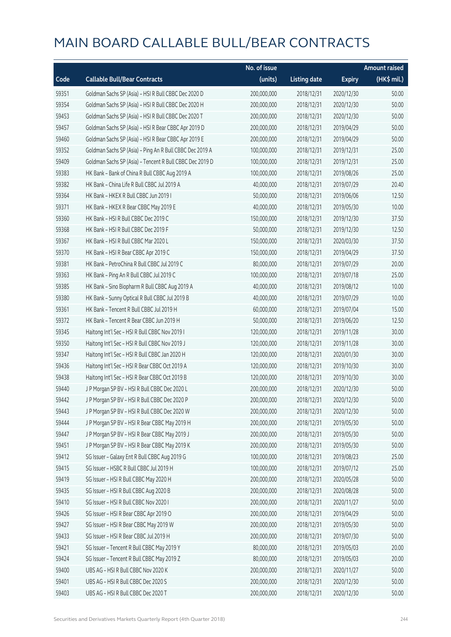|       |                                                          | No. of issue |                     |               | <b>Amount raised</b> |
|-------|----------------------------------------------------------|--------------|---------------------|---------------|----------------------|
| Code  | <b>Callable Bull/Bear Contracts</b>                      | (units)      | <b>Listing date</b> | <b>Expiry</b> | (HK\$ mil.)          |
| 59351 | Goldman Sachs SP (Asia) - HSI R Bull CBBC Dec 2020 D     | 200,000,000  | 2018/12/31          | 2020/12/30    | 50.00                |
| 59354 | Goldman Sachs SP (Asia) - HSI R Bull CBBC Dec 2020 H     | 200,000,000  | 2018/12/31          | 2020/12/30    | 50.00                |
| 59453 | Goldman Sachs SP (Asia) - HSI R Bull CBBC Dec 2020 T     | 200,000,000  | 2018/12/31          | 2020/12/30    | 50.00                |
| 59457 | Goldman Sachs SP (Asia) - HSI R Bear CBBC Apr 2019 D     | 200,000,000  | 2018/12/31          | 2019/04/29    | 50.00                |
| 59460 | Goldman Sachs SP (Asia) - HSI R Bear CBBC Apr 2019 E     | 200,000,000  | 2018/12/31          | 2019/04/29    | 50.00                |
| 59352 | Goldman Sachs SP (Asia) - Ping An R Bull CBBC Dec 2019 A | 100,000,000  | 2018/12/31          | 2019/12/31    | 25.00                |
| 59409 | Goldman Sachs SP (Asia) - Tencent R Bull CBBC Dec 2019 D | 100,000,000  | 2018/12/31          | 2019/12/31    | 25.00                |
| 59383 | HK Bank - Bank of China R Bull CBBC Aug 2019 A           | 100,000,000  | 2018/12/31          | 2019/08/26    | 25.00                |
| 59382 | HK Bank - China Life R Bull CBBC Jul 2019 A              | 40,000,000   | 2018/12/31          | 2019/07/29    | 20.40                |
| 59364 | HK Bank - HKEX R Bull CBBC Jun 2019 I                    | 50,000,000   | 2018/12/31          | 2019/06/06    | 12.50                |
| 59371 | HK Bank - HKEX R Bear CBBC May 2019 E                    | 40,000,000   | 2018/12/31          | 2019/05/30    | 10.00                |
| 59360 | HK Bank - HSI R Bull CBBC Dec 2019 C                     | 150,000,000  | 2018/12/31          | 2019/12/30    | 37.50                |
| 59368 | HK Bank - HSI R Bull CBBC Dec 2019 F                     | 50,000,000   | 2018/12/31          | 2019/12/30    | 12.50                |
| 59367 | HK Bank - HSI R Bull CBBC Mar 2020 L                     | 150,000,000  | 2018/12/31          | 2020/03/30    | 37.50                |
| 59370 | HK Bank - HSI R Bear CBBC Apr 2019 C                     | 150,000,000  | 2018/12/31          | 2019/04/29    | 37.50                |
| 59381 | HK Bank - PetroChina R Bull CBBC Jul 2019 C              | 80,000,000   | 2018/12/31          | 2019/07/29    | 20.00                |
| 59363 | HK Bank - Ping An R Bull CBBC Jul 2019 C                 | 100,000,000  | 2018/12/31          | 2019/07/18    | 25.00                |
| 59385 | HK Bank - Sino Biopharm R Bull CBBC Aug 2019 A           | 40,000,000   | 2018/12/31          | 2019/08/12    | 10.00                |
| 59380 | HK Bank - Sunny Optical R Bull CBBC Jul 2019 B           | 40,000,000   | 2018/12/31          | 2019/07/29    | 10.00                |
| 59361 | HK Bank - Tencent R Bull CBBC Jul 2019 H                 | 60,000,000   | 2018/12/31          | 2019/07/04    | 15.00                |
| 59372 | HK Bank - Tencent R Bear CBBC Jun 2019 H                 | 50,000,000   | 2018/12/31          | 2019/06/20    | 12.50                |
| 59345 | Haitong Int'l Sec - HSI R Bull CBBC Nov 2019 I           | 120,000,000  | 2018/12/31          | 2019/11/28    | 30.00                |
| 59350 | Haitong Int'l Sec - HSI R Bull CBBC Nov 2019 J           | 120,000,000  | 2018/12/31          | 2019/11/28    | 30.00                |
| 59347 | Haitong Int'l Sec - HSI R Bull CBBC Jan 2020 H           | 120,000,000  | 2018/12/31          | 2020/01/30    | 30.00                |
| 59436 | Haitong Int'l Sec - HSI R Bear CBBC Oct 2019 A           | 120,000,000  | 2018/12/31          | 2019/10/30    | 30.00                |
| 59438 | Haitong Int'l Sec - HSI R Bear CBBC Oct 2019 B           | 120,000,000  | 2018/12/31          | 2019/10/30    | 30.00                |
| 59440 | J P Morgan SP BV - HSI R Bull CBBC Dec 2020 L            | 200,000,000  | 2018/12/31          | 2020/12/30    | 50.00                |
| 59442 | J P Morgan SP BV - HSI R Bull CBBC Dec 2020 P            | 200,000,000  | 2018/12/31          | 2020/12/30    | 50.00                |
| 59443 | J P Morgan SP BV - HSI R Bull CBBC Dec 2020 W            | 200,000,000  | 2018/12/31          | 2020/12/30    | 50.00                |
| 59444 | J P Morgan SP BV - HSI R Bear CBBC May 2019 H            | 200,000,000  | 2018/12/31          | 2019/05/30    | 50.00                |
| 59447 | J P Morgan SP BV - HSI R Bear CBBC May 2019 J            | 200,000,000  | 2018/12/31          | 2019/05/30    | 50.00                |
| 59451 | J P Morgan SP BV - HSI R Bear CBBC May 2019 K            | 200,000,000  | 2018/12/31          | 2019/05/30    | 50.00                |
| 59412 | SG Issuer - Galaxy Ent R Bull CBBC Aug 2019 G            | 100,000,000  | 2018/12/31          | 2019/08/23    | 25.00                |
| 59415 | SG Issuer - HSBC R Bull CBBC Jul 2019 H                  | 100,000,000  | 2018/12/31          | 2019/07/12    | 25.00                |
| 59419 | SG Issuer - HSI R Bull CBBC May 2020 H                   | 200,000,000  | 2018/12/31          | 2020/05/28    | 50.00                |
| 59435 | SG Issuer - HSI R Bull CBBC Aug 2020 B                   | 200,000,000  | 2018/12/31          | 2020/08/28    | 50.00                |
| 59410 | SG Issuer - HSI R Bull CBBC Nov 2020 I                   | 200,000,000  | 2018/12/31          | 2020/11/27    | 50.00                |
| 59426 | SG Issuer - HSI R Bear CBBC Apr 2019 O                   | 200,000,000  | 2018/12/31          | 2019/04/29    | 50.00                |
| 59427 | SG Issuer - HSI R Bear CBBC May 2019 W                   | 200,000,000  | 2018/12/31          | 2019/05/30    | 50.00                |
| 59433 | SG Issuer - HSI R Bear CBBC Jul 2019 H                   | 200,000,000  | 2018/12/31          | 2019/07/30    | 50.00                |
| 59421 | SG Issuer - Tencent R Bull CBBC May 2019 Y               | 80,000,000   | 2018/12/31          | 2019/05/03    | 20.00                |
| 59424 | SG Issuer - Tencent R Bull CBBC May 2019 Z               | 80,000,000   | 2018/12/31          | 2019/05/03    | 20.00                |
| 59400 | UBS AG - HSI R Bull CBBC Nov 2020 K                      | 200,000,000  | 2018/12/31          | 2020/11/27    | 50.00                |
| 59401 | UBS AG - HSI R Bull CBBC Dec 2020 S                      | 200,000,000  | 2018/12/31          | 2020/12/30    | 50.00                |
| 59403 | UBS AG - HSI R Bull CBBC Dec 2020 T                      | 200,000,000  | 2018/12/31          | 2020/12/30    | 50.00                |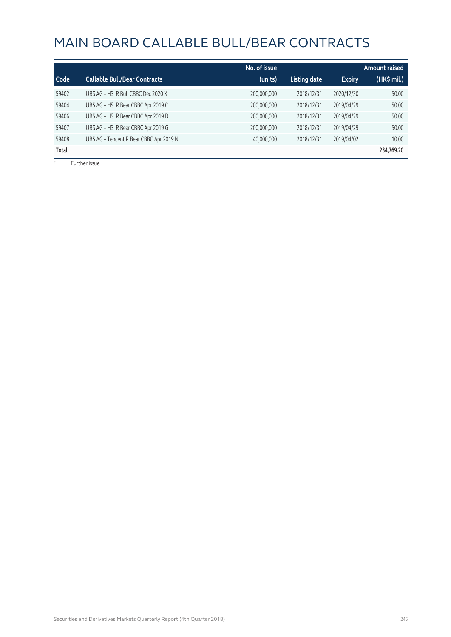|       |                                         | No. of issue |                     |               | Amount raised |
|-------|-----------------------------------------|--------------|---------------------|---------------|---------------|
| Code  | <b>Callable Bull/Bear Contracts</b>     | (units)      | <b>Listing date</b> | <b>Expiry</b> | (HK\$ mil.)   |
| 59402 | UBS AG - HSI R Bull CBBC Dec 2020 X     | 200,000,000  | 2018/12/31          | 2020/12/30    | 50.00         |
| 59404 | UBS AG - HSI R Bear CBBC Apr 2019 C     | 200,000,000  | 2018/12/31          | 2019/04/29    | 50.00         |
| 59406 | UBS AG - HSI R Bear CBBC Apr 2019 D     | 200,000,000  | 2018/12/31          | 2019/04/29    | 50.00         |
| 59407 | UBS AG - HSI R Bear CBBC Apr 2019 G     | 200,000,000  | 2018/12/31          | 2019/04/29    | 50.00         |
| 59408 | UBS AG - Tencent R Bear CBBC Apr 2019 N | 40,000,000   | 2018/12/31          | 2019/04/02    | 10.00         |
| Total |                                         |              |                     |               | 234,769.20    |

# Further issue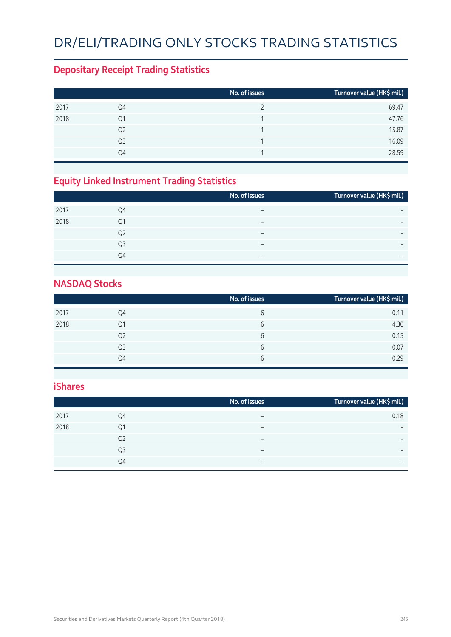# DR/ELI/TRADING ONLY STOCKS TRADING STATISTICS

#### **Depositary Receipt Trading Statistics**

|      |                | No. of issues | Turnover value (HK\$ mil.) |
|------|----------------|---------------|----------------------------|
| 2017 | Q4             |               | 69.47                      |
| 2018 | Q1             |               | 47.76                      |
|      | Q <sub>2</sub> |               | 15.87                      |
|      | Q <sub>3</sub> | 1             | 16.09                      |
|      | Q4             |               | 28.59                      |

#### **Equity Linked Instrument Trading Statistics**

|      |    | No. of issues            | Turnover value (HK\$ mil.)   |
|------|----|--------------------------|------------------------------|
| 2017 | Q4 |                          | $\overline{\phantom{0}}$     |
| 2018 | Q1 | -                        | $\overline{\phantom{0}}$     |
|      | Q2 | $\overline{\phantom{0}}$ | $\overline{\phantom{0}}$     |
|      | Q3 | -                        | $\qquad \qquad \blacksquare$ |
|      | Q4 | $\overline{\phantom{0}}$ | $\overline{\phantom{0}}$     |

#### **NASDAQ Stocks**

|      |                | No. of issues | Turnover value (HK\$ mil.) |
|------|----------------|---------------|----------------------------|
| 2017 | Q4             | 6             | 0.11                       |
| 2018 | Q1             | b             | 4.30                       |
|      | Q <sub>2</sub> | b             | 0.15                       |
|      | Q <sub>3</sub> | 6             | 0.07                       |
|      | O4             | b             | 0.29                       |

#### **iShares**

| 0.18                     |
|--------------------------|
| $\overline{\phantom{0}}$ |
| $\overline{\phantom{0}}$ |
| $\overline{\phantom{0}}$ |
| $\overline{\phantom{0}}$ |
|                          |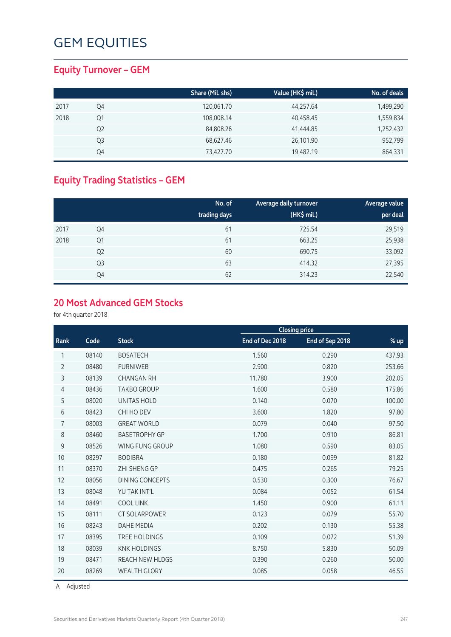#### **Equity Turnover – GEM**

|      |    | Share (Mil. shs) | Value (HK\$ mil.) | No. of deals |
|------|----|------------------|-------------------|--------------|
| 2017 | Q4 | 120,061.70       | 44,257.64         | 1,499,290    |
| 2018 | Q1 | 108,008.14       | 40,458.45         | 1,559,834    |
|      | Q2 | 84,808.26        | 41,444.85         | 1,252,432    |
|      | Q3 | 68,627.46        | 26,101.90         | 952,799      |
|      | Q4 | 73,427.70        | 19,482.19         | 864,331      |

#### **Equity Trading Statistics – GEM**

|      |                | No. of<br>trading days | Average daily turnover<br>(HK\$ mil.) | Average value<br>per deal |
|------|----------------|------------------------|---------------------------------------|---------------------------|
| 2017 | Q4             | 61                     | 725.54                                | 29,519                    |
| 2018 | Q1             | 61                     | 663.25                                | 25,938                    |
|      | Q <sub>2</sub> | 60                     | 690.75                                | 33,092                    |
|      | Q <sub>3</sub> | 63                     | 414.32                                | 27,395                    |
|      | Q4             | 62                     | 314.23                                | 22,540                    |

#### **20 Most Advanced GEM Stocks**

for 4th quarter 2018

|                |                     |                                          |                 | <b>Closing price</b> |        |
|----------------|---------------------|------------------------------------------|-----------------|----------------------|--------|
| Rank           | Code                | <b>Stock</b>                             | End of Dec 2018 | End of Sep 2018      | % up   |
| 1              | 08140               | <b>BOSATECH</b>                          | 1.560           | 0.290                | 437.93 |
| $\overline{2}$ | 08480               | <b>FURNIWEB</b>                          | 2.900           | 0.820                | 253.66 |
| 3              | 08139               | <b>CHANGAN RH</b>                        | 11.780          | 3.900                | 202.05 |
| 4              | 08436               | <b>TAKBO GROUP</b>                       | 1.600           | 0.580                | 175.86 |
| 5              | 08020               | <b>UNITAS HOLD</b>                       | 0.140           | 0.070                | 100.00 |
| 6              | 08423<br>CHI HO DEV |                                          | 3.600           | 1.820                | 97.80  |
| 7              | 08003               | <b>GREAT WORLD</b>                       | 0.079           | 0.040                | 97.50  |
| 8              | 08460               | <b>BASETROPHY GP</b>                     | 1.700           | 0.910                | 86.81  |
| 9              | 08526               | WING FUNG GROUP                          | 1.080           | 0.590                | 83.05  |
| 10             | 08297               | <b>BODIBRA</b>                           | 0.180           | 0.099                | 81.82  |
| 11             | 08370               | ZHI SHENG GP                             | 0.475           | 0.265                | 79.25  |
| 12             | 08056               | 0.530<br><b>DINING CONCEPTS</b><br>0.300 |                 |                      | 76.67  |
| 13             | 08048               | YU TAK INT'L<br>0.084<br>0.052           |                 | 61.54                |        |
| 14             | 08491               | <b>COOL LINK</b>                         | 1.450           | 0.900                | 61.11  |
| 15             | 08111               | <b>CT SOLARPOWER</b>                     | 0.123           | 0.079                | 55.70  |
| 16             | 08243               | <b>DAHE MEDIA</b>                        | 0.202           | 0.130                | 55.38  |
| 17             | 08395               | <b>TREE HOLDINGS</b>                     | 0.109           | 0.072                | 51.39  |
| 18             | 08039               | <b>KNK HOLDINGS</b>                      | 8.750           | 5.830                | 50.09  |
| 19             | 08471               | <b>REACH NEW HLDGS</b>                   | 0.390           | 0.260                | 50.00  |
| 20             | 08269               | <b>WEALTH GLORY</b>                      | 0.085           | 0.058                | 46.55  |
|                |                     |                                          |                 |                      |        |

A Adjusted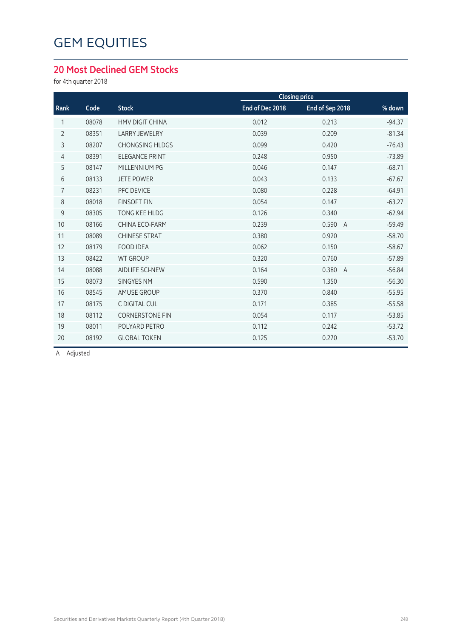#### **20 Most Declined GEM Stocks**

for 4th quarter 2018

| Code  | <b>Stock</b>           | End of Dec 2018 | End of Sep 2018         | % down               |
|-------|------------------------|-----------------|-------------------------|----------------------|
| 08078 | <b>HMV DIGIT CHINA</b> | 0.012           | 0.213                   | $-94.37$             |
| 08351 | <b>LARRY JEWELRY</b>   | 0.039           | 0.209                   | $-81.34$             |
| 08207 | <b>CHONGSING HLDGS</b> | 0.099           | 0.420                   | $-76.43$             |
| 08391 | <b>ELEGANCE PRINT</b>  | 0.248           | 0.950                   | $-73.89$             |
| 08147 | MILLENNIUM PG          | 0.046           | 0.147                   | $-68.71$             |
| 08133 | <b>JETE POWER</b>      | 0.043           | 0.133                   | $-67.67$             |
| 08231 | PFC DEVICE             | 0.080           | 0.228                   | $-64.91$             |
| 08018 | <b>FINSOFT FIN</b>     | 0.054           | 0.147                   | $-63.27$             |
| 08305 | <b>TONG KEE HLDG</b>   | 0.126           | 0.340                   | $-62.94$             |
| 08166 | <b>CHINA ECO-FARM</b>  | 0.239           | 0.590<br>$\overline{A}$ | $-59.49$             |
| 08089 | <b>CHINESE STRAT</b>   | 0.380           | 0.920                   | $-58.70$             |
| 08179 | <b>FOOD IDEA</b>       | 0.062           | 0.150                   | $-58.67$             |
| 08422 | <b>WT GROUP</b>        | 0.320           | 0.760                   | $-57.89$             |
| 08088 | <b>AIDLIFE SCI-NEW</b> | 0.164           | 0.380<br>$\overline{A}$ | $-56.84$             |
| 08073 | <b>SINGYES NM</b>      | 0.590           | 1.350                   | $-56.30$             |
| 08545 | <b>AMUSE GROUP</b>     | 0.370           | 0.840                   | $-55.95$             |
| 08175 | C DIGITAL CUL          | 0.171           | 0.385                   | $-55.58$             |
| 08112 | <b>CORNERSTONE FIN</b> | 0.054           | 0.117                   | $-53.85$             |
| 08011 | POLYARD PETRO          | 0.112           | 0.242                   | $-53.72$             |
| 08192 | <b>GLOBAL TOKEN</b>    | 0.125           | 0.270                   | $-53.70$             |
|       |                        |                 |                         | <b>Closing price</b> |

A Adjusted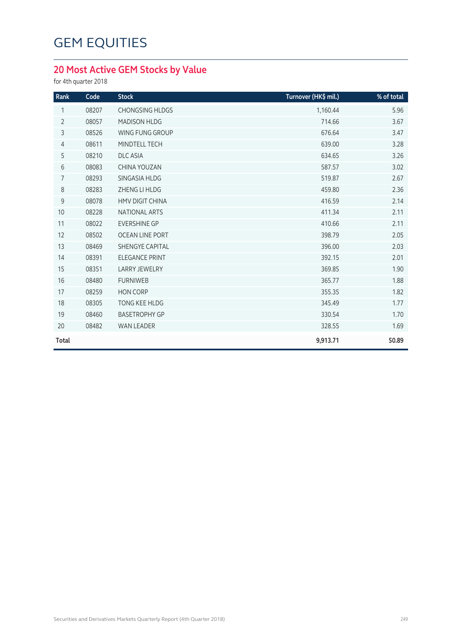#### **20 Most Active GEM Stocks by Value**

for 4th quarter 2018

| Rank           | Code  | <b>Stock</b>           | Turnover (HK\$ mil.) | % of total |
|----------------|-------|------------------------|----------------------|------------|
| 1              | 08207 | <b>CHONGSING HLDGS</b> | 1,160.44             | 5.96       |
| $\overline{2}$ | 08057 | <b>MADISON HLDG</b>    | 714.66               | 3.67       |
| 3              | 08526 | WING FUNG GROUP        | 676.64               | 3.47       |
| 4              | 08611 | MINDTELL TECH          | 639.00               | 3.28       |
| 5              | 08210 | <b>DLC ASIA</b>        | 634.65               | 3.26       |
| 6              | 08083 | CHINA YOUZAN           | 587.57               | 3.02       |
| $\overline{7}$ | 08293 | SINGASIA HLDG          | 519.87               | 2.67       |
| 8              | 08283 | ZHENG LI HLDG          | 459.80               | 2.36       |
| 9              | 08078 | <b>HMV DIGIT CHINA</b> | 416.59               | 2.14       |
| 10             | 08228 | <b>NATIONAL ARTS</b>   | 411.34               | 2.11       |
| 11             | 08022 | <b>EVERSHINE GP</b>    | 410.66               | 2.11       |
| 12             | 08502 | <b>OCEAN LINE PORT</b> | 398.79               | 2.05       |
| 13             | 08469 | <b>SHENGYE CAPITAL</b> | 396.00               | 2.03       |
| 14             | 08391 | <b>ELEGANCE PRINT</b>  | 392.15               | 2.01       |
| 15             | 08351 | <b>LARRY JEWELRY</b>   | 369.85               | 1.90       |
| 16             | 08480 | <b>FURNIWEB</b>        | 365.77               | 1.88       |
| 17             | 08259 | <b>HON CORP</b>        | 355.35               | 1.82       |
| 18             | 08305 | <b>TONG KEE HLDG</b>   | 345.49               | 1.77       |
| 19             | 08460 | <b>BASETROPHY GP</b>   | 330.54               | 1.70       |
| 20             | 08482 | WAN LEADER             | 328.55               | 1.69       |
| <b>Total</b>   |       |                        | 9,913.71             | 50.89      |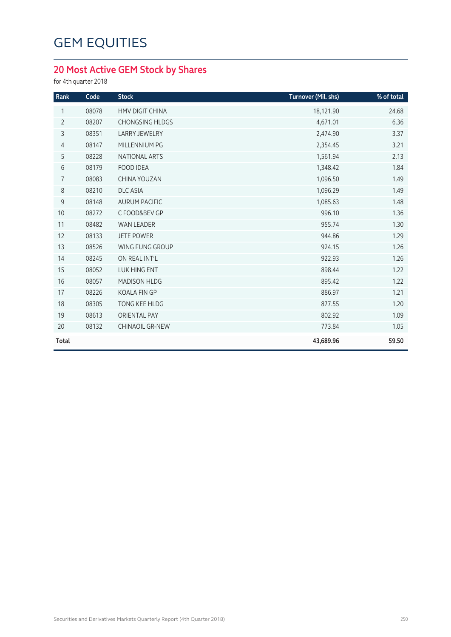#### **20 Most Active GEM Stock by Shares**

for 4th quarter 2018

| Rank           | Code  | <b>Stock</b>           | Turnover (Mil. shs) | % of total |
|----------------|-------|------------------------|---------------------|------------|
| 1              | 08078 | <b>HMV DIGIT CHINA</b> | 18,121.90           | 24.68      |
| $\overline{2}$ | 08207 | <b>CHONGSING HLDGS</b> | 4,671.01            | 6.36       |
| 3              | 08351 | <b>LARRY JEWELRY</b>   | 2,474.90            | 3.37       |
| $\overline{4}$ | 08147 | MILLENNIUM PG          | 2,354.45            | 3.21       |
| 5              | 08228 | NATIONAL ARTS          | 1,561.94            | 2.13       |
| $6\,$          | 08179 | <b>FOOD IDEA</b>       | 1,348.42            | 1.84       |
| 7              | 08083 | CHINA YOUZAN           | 1,096.50            | 1.49       |
| $8\,$          | 08210 | <b>DLC ASIA</b>        | 1,096.29            | 1.49       |
| $\mathsf 9$    | 08148 | <b>AURUM PACIFIC</b>   | 1,085.63            | 1.48       |
| 10             | 08272 | C FOOD&BEV GP          | 996.10              | 1.36       |
| 11             | 08482 | <b>WAN LEADER</b>      | 955.74              | 1.30       |
| 12             | 08133 | <b>JETE POWER</b>      | 944.86              | 1.29       |
| 13             | 08526 | <b>WING FUNG GROUP</b> | 924.15              | 1.26       |
| 14             | 08245 | ON REAL INT'L          | 922.93              | 1.26       |
| 15             | 08052 | <b>LUK HING ENT</b>    | 898.44              | 1.22       |
| 16             | 08057 | <b>MADISON HLDG</b>    | 895.42              | 1.22       |
| 17             | 08226 | <b>KOALA FIN GP</b>    | 886.97              | 1.21       |
| 18             | 08305 | TONG KEE HLDG          | 877.55              | 1.20       |
| 19             | 08613 | <b>ORIENTAL PAY</b>    | 802.92              | 1.09       |
| 20             | 08132 | <b>CHINAOIL GR-NEW</b> | 773.84              | 1.05       |
| Total          |       |                        | 43,689.96           | 59.50      |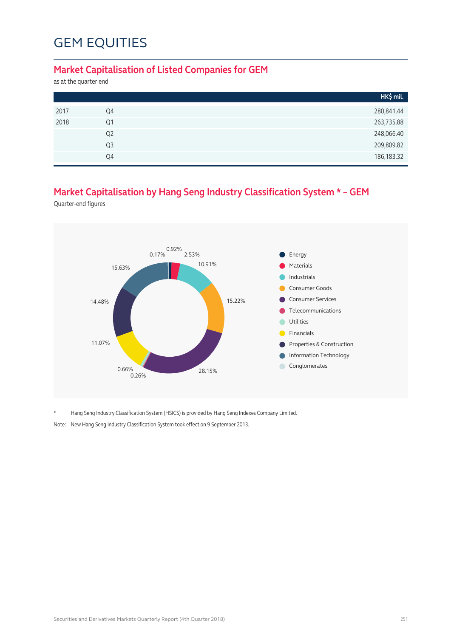#### **Market Capitalisation of Listed Companies for GEM**

as at the quarter end

|      |                | HK\$ mil.    |
|------|----------------|--------------|
| 2017 | Q4             | 280,841.44   |
| 2018 | Q1             | 263,735.88   |
|      | Q <sub>2</sub> | 248,066.40   |
|      | Q3             | 209,809.82   |
|      | Q4             | 186, 183. 32 |

#### **Market Capitalisation by Hang Seng Industry Classification System \* – GEM**

Quarter-end figures



\* Hang Seng Industry Classification System (HSICS) is provided by Hang Seng Indexes Company Limited.

Note: New Hang Seng Industry Classification System took effect on 9 September 2013.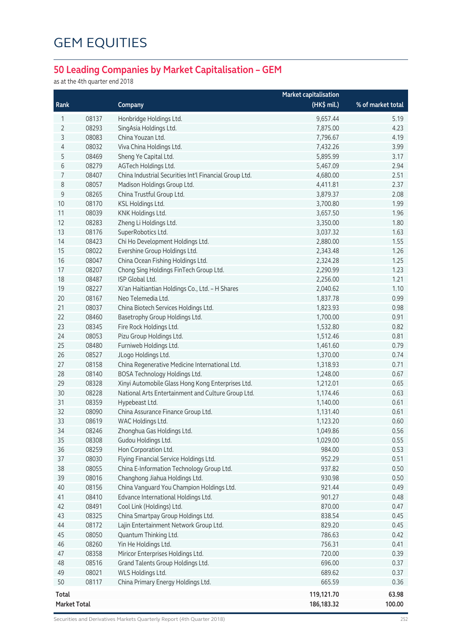## **50 Leading Companies by Market Capitalisation – GEM**

as at the 4th quarter end 2018

|                     |       |                                                        | <b>Market capitalisation</b> |                   |
|---------------------|-------|--------------------------------------------------------|------------------------------|-------------------|
| Rank                |       | Company                                                | (HK\$ mil.)                  | % of market total |
| 1                   | 08137 | Honbridge Holdings Ltd.                                | 9,657.44                     | 5.19              |
| 2                   | 08293 | SingAsia Holdings Ltd.                                 | 7,875.00                     | 4.23              |
| 3                   | 08083 | China Youzan Ltd.                                      | 7,796.67                     | 4.19              |
| 4                   | 08032 | Viva China Holdings Ltd.                               | 7,432.26                     | 3.99              |
| 5                   | 08469 | Sheng Ye Capital Ltd.                                  | 5,895.99                     | 3.17              |
| 6                   | 08279 | AGTech Holdings Ltd.                                   | 5,467.09                     | 2.94              |
| 7                   | 08407 | China Industrial Securities Int'l Financial Group Ltd. | 4,680.00                     | 2.51              |
| 8                   | 08057 | Madison Holdings Group Ltd.                            | 4,411.81                     | 2.37              |
| $\mathsf 9$         | 08265 | China Trustful Group Ltd.                              | 3,879.37                     | 2.08              |
| 10                  | 08170 | KSL Holdings Ltd.                                      | 3,700.80                     | 1.99              |
| 11                  | 08039 | KNK Holdings Ltd.                                      | 3,657.50                     | 1.96              |
| 12                  | 08283 | Zheng Li Holdings Ltd.                                 | 3,350.00                     | 1.80              |
| 13                  | 08176 | SuperRobotics Ltd.                                     | 3,037.32                     | 1.63              |
| 14                  | 08423 | Chi Ho Development Holdings Ltd.                       | 2,880.00                     | 1.55              |
| 15                  | 08022 | Evershine Group Holdings Ltd.                          | 2,343.48                     | 1.26              |
| 16                  | 08047 | China Ocean Fishing Holdings Ltd.                      | 2,324.28                     | 1.25              |
| 17                  | 08207 | Chong Sing Holdings FinTech Group Ltd.                 | 2,290.99                     | 1.23              |
| 18                  | 08487 | ISP Global Ltd.                                        | 2,256.00                     | 1.21              |
| 19                  | 08227 | Xi'an Haitiantian Holdings Co., Ltd. - H Shares        | 2,040.62                     | 1.10              |
| 20                  | 08167 | Neo Telemedia Ltd.                                     | 1,837.78                     | 0.99              |
| 21                  | 08037 | China Biotech Services Holdings Ltd.                   | 1,823.93                     | 0.98              |
| 22                  | 08460 | Basetrophy Group Holdings Ltd.                         | 1,700.00                     | 0.91              |
| 23                  | 08345 | Fire Rock Holdings Ltd.                                | 1,532.80                     | 0.82              |
| 24                  | 08053 | Pizu Group Holdings Ltd.                               | 1,512.46                     | 0.81              |
| 25                  | 08480 | Furniweb Holdings Ltd.                                 | 1,461.60                     | 0.79              |
| 26                  | 08527 | JLogo Holdings Ltd.                                    | 1,370.00                     | 0.74              |
| 27                  | 08158 | China Regenerative Medicine International Ltd.         | 1,318.93                     | 0.71              |
| 28                  | 08140 | BOSA Technology Holdings Ltd.                          | 1,248.00                     | 0.67              |
| 29                  | 08328 | Xinyi Automobile Glass Hong Kong Enterprises Ltd.      | 1,212.01                     | 0.65              |
| 30                  | 08228 | National Arts Entertainment and Culture Group Ltd.     | 1,174.46                     | 0.63              |
| 31                  | 08359 | Hypebeast Ltd.                                         | 1,140.00                     | 0.61              |
| 32                  | 08090 | China Assurance Finance Group Ltd.                     | 1,131.40                     | 0.61              |
| 33                  | 08619 | WAC Holdings Ltd.                                      | 1,123.20                     | 0.60              |
| 34                  | 08246 | Zhonghua Gas Holdings Ltd.                             | 1,049.86                     | 0.56              |
| 35                  | 08308 | Gudou Holdings Ltd.                                    | 1,029.00                     | 0.55              |
| 36                  | 08259 | Hon Corporation Ltd.                                   | 984.00                       | 0.53              |
| 37                  | 08030 | Flying Financial Service Holdings Ltd.                 | 952.29                       | 0.51              |
| 38                  | 08055 | China E-Information Technology Group Ltd.              | 937.82                       | 0.50              |
| 39                  | 08016 | Changhong Jiahua Holdings Ltd.                         | 930.98                       | 0.50              |
| 40                  | 08156 | China Vanguard You Champion Holdings Ltd.              | 921.44                       | 0.49              |
| 41                  | 08410 | Edvance International Holdings Ltd.                    | 901.27                       | 0.48              |
| 42                  | 08491 | Cool Link (Holdings) Ltd.                              | 870.00                       | 0.47              |
| 43                  | 08325 | China Smartpay Group Holdings Ltd.                     | 838.54                       | 0.45              |
| 44                  | 08172 | Lajin Entertainment Network Group Ltd.                 | 829.20                       | 0.45              |
| 45                  | 08050 | Quantum Thinking Ltd.                                  | 786.63                       | 0.42              |
| 46                  | 08260 | Yin He Holdings Ltd.                                   | 756.31                       | 0.41              |
| 47                  | 08358 | Miricor Enterprises Holdings Ltd.                      | 720.00                       | 0.39              |
| 48                  | 08516 | Grand Talents Group Holdings Ltd.                      | 696.00                       | 0.37              |
| 49                  | 08021 | WLS Holdings Ltd.                                      | 689.62                       | 0.37              |
| 50                  | 08117 | China Primary Energy Holdings Ltd.                     | 665.59                       | 0.36              |
| Total               |       |                                                        | 119,121.70                   | 63.98             |
| <b>Market Total</b> |       |                                                        | 186, 183. 32                 | 100.00            |

Securities and Derivatives Markets Quarterly Report (4th Quarter 2018) 252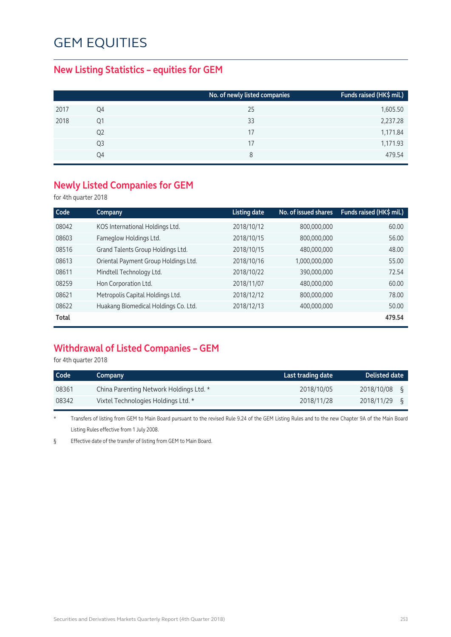### **New Listing Statistics – equities for GEM**

|      |                | No. of newly listed companies | Funds raised (HK\$ mil.) |
|------|----------------|-------------------------------|--------------------------|
| 2017 | Q4             | 25                            | 1,605.50                 |
| 2018 | Q1             | 33                            | 2,237.28                 |
|      | Q <sub>2</sub> | 17                            | 1,171.84                 |
|      | Q3             | 17                            | 1,171.93                 |
|      | Q4             | 8                             | 479.54                   |
|      |                |                               |                          |

### **Newly Listed Companies for GEM**

for 4th quarter 2018

| Code  | Company                              | <b>Listing date</b> | No. of issued shares | Funds raised (HK\$ mil.) |
|-------|--------------------------------------|---------------------|----------------------|--------------------------|
| 08042 | KOS International Holdings Ltd.      | 2018/10/12          | 800,000,000          | 60.00                    |
| 08603 | Fameglow Holdings Ltd.               | 2018/10/15          | 800,000,000          | 56.00                    |
| 08516 | Grand Talents Group Holdings Ltd.    | 2018/10/15          | 480,000,000          | 48.00                    |
| 08613 | Oriental Payment Group Holdings Ltd. | 2018/10/16          | 1,000,000,000        | 55.00                    |
| 08611 | Mindtell Technology Ltd.             | 2018/10/22          | 390,000,000          | 72.54                    |
| 08259 | Hon Corporation Ltd.                 | 2018/11/07          | 480,000,000          | 60.00                    |
| 08621 | Metropolis Capital Holdings Ltd.     | 2018/12/12          | 800,000,000          | 78.00                    |
| 08622 | Huakang Biomedical Holdings Co. Ltd. | 2018/12/13          | 400,000,000          | 50.00                    |
| Total |                                      |                     |                      | 479.54                   |

## **Withdrawal of Listed Companies – GEM**

for 4th quarter 2018

| Code  | Company                                 | Last trading date | <b>Delisted date</b> |
|-------|-----------------------------------------|-------------------|----------------------|
| 08361 | China Parenting Network Holdings Ltd. * | 2018/10/05        | 2018/10/08           |
| 08342 | Vixtel Technologies Holdings Ltd. *     | 2018/11/28        | 2018/11/29           |

\* Transfers of listing from GEM to Main Board pursuant to the revised Rule 9.24 of the GEM Listing Rules and to the new Chapter 9A of the Main Board Listing Rules effective from 1 July 2008.

§ Effective date of the transfer of listing from GEM to Main Board.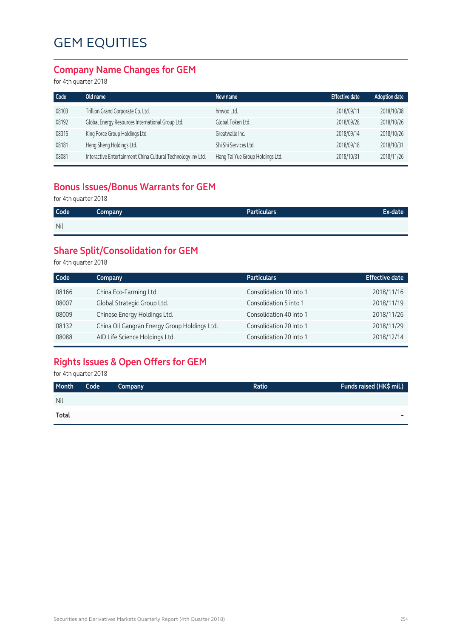### **Company Name Changes for GEM**

for 4th quarter 2018

| Code  | Old name                                                     | New name                         | Effective date | <b>Adoption date</b> |
|-------|--------------------------------------------------------------|----------------------------------|----------------|----------------------|
| 08103 | Trillion Grand Corporate Co. Ltd.                            | hmyod Ltd.                       | 2018/09/11     | 2018/10/08           |
| 08192 | Global Energy Resources International Group Ltd.             | Global Token Ltd.                | 2018/09/28     | 2018/10/26           |
| 08315 | King Force Group Holdings Ltd.                               | Greatwalle Inc.                  | 2018/09/14     | 2018/10/26           |
| 08181 | Heng Sheng Holdings Ltd.                                     | Shi Shi Services Ltd.            | 2018/09/18     | 2018/10/31           |
| 08081 | Interactive Entertainment China Cultural Technology Inv Ltd. | Hang Tai Yue Group Holdings Ltd. | 2018/10/31     | 2018/11/26           |

### **Bonus Issues/Bonus Warrants for GEM**

for 4th quarter 2018

| <b>Code</b> | Company | <b>Particulars</b> | Ex-date |
|-------------|---------|--------------------|---------|
| Nil         |         |                    |         |

## **Share Split/Consolidation for GEM**

for 4th quarter 2018

| Code  | Company                                      | <b>Particulars</b>      | <b>Effective date</b> |
|-------|----------------------------------------------|-------------------------|-----------------------|
| 08166 | China Eco-Farming Ltd.                       | Consolidation 10 into 1 | 2018/11/16            |
| 08007 | Global Strategic Group Ltd.                  | Consolidation 5 into 1  | 2018/11/19            |
| 08009 | Chinese Energy Holdings Ltd.                 | Consolidation 40 into 1 | 2018/11/26            |
| 08132 | China Oil Gangran Energy Group Holdings Ltd. | Consolidation 20 into 1 | 2018/11/29            |
| 08088 | AID Life Science Holdings Ltd.               | Consolidation 20 into 1 | 2018/12/14            |

## **Rights Issues & Open Offers for GEM**

for 4th quarter 2018

| Month        | Code | <b>Company</b> | Ratio | Funds raised (HK\$ mil.) |
|--------------|------|----------------|-------|--------------------------|
| <b>Nil</b>   |      |                |       |                          |
| <b>Total</b> |      |                |       | -                        |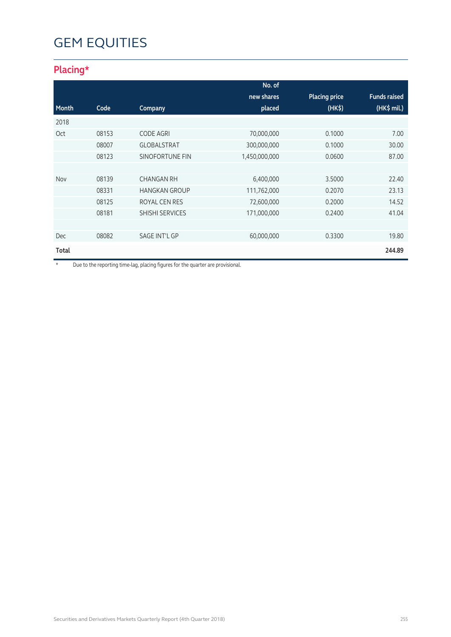## **Placing\***

|       |       |                        | No. of        |                      |                     |
|-------|-------|------------------------|---------------|----------------------|---------------------|
|       |       |                        | new shares    | <b>Placing price</b> | <b>Funds raised</b> |
| Month | Code  | Company                | placed        | (HK <sub>5</sub> )   | $(HK$$ mil.)        |
| 2018  |       |                        |               |                      |                     |
| Oct   | 08153 | <b>CODE AGRI</b>       | 70,000,000    | 0.1000               | 7.00                |
|       | 08007 | <b>GLOBALSTRAT</b>     | 300,000,000   | 0.1000               | 30.00               |
|       | 08123 | <b>SINOFORTUNE FIN</b> | 1,450,000,000 | 0.0600               | 87.00               |
|       |       |                        |               |                      |                     |
| Nov   | 08139 | <b>CHANGAN RH</b>      | 6,400,000     | 3.5000               | 22.40               |
|       | 08331 | <b>HANGKAN GROUP</b>   | 111,762,000   | 0.2070               | 23.13               |
|       | 08125 | ROYAL CEN RES          | 72,600,000    | 0.2000               | 14.52               |
|       | 08181 | <b>SHISHI SERVICES</b> | 171,000,000   | 0.2400               | 41.04               |
|       |       |                        |               |                      |                     |
| Dec   | 08082 | <b>SAGE INT'L GP</b>   | 60,000,000    | 0.3300               | 19.80               |
| Total |       |                        |               |                      | 244.89              |

\* Due to the reporting time-lag, placing figures for the quarter are provisional.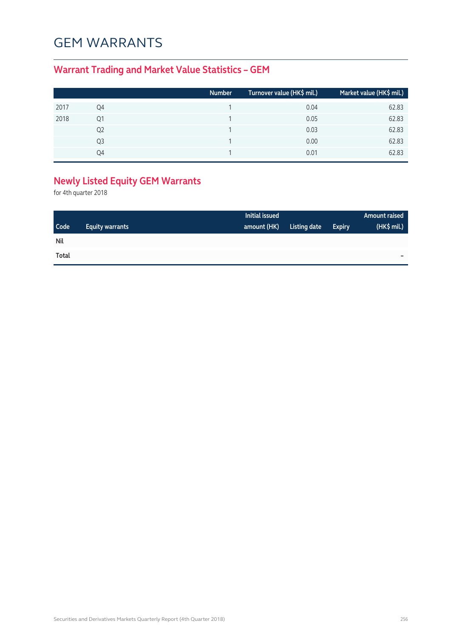# GEM WARRANTS

## **Warrant Trading and Market Value Statistics – GEM**

|      |    | Number | Turnover value (HK\$ mil.) | Market value (HK\$ mil.) |
|------|----|--------|----------------------------|--------------------------|
| 2017 | Q4 |        | 0.04                       | 62.83                    |
| 2018 | Q1 |        | 0.05                       | 62.83                    |
|      | Q2 |        | 0.03                       | 62.83                    |
|      | Q3 |        | 0.00                       | 62.83                    |
|      | Ο4 |        | 0.01                       | 62.83                    |

## **Newly Listed Equity GEM Warrants**

for 4th quarter 2018

|            |                        | Initial issued |              |               | <b>Amount raised</b> |
|------------|------------------------|----------------|--------------|---------------|----------------------|
| Code       | <b>Equity warrants</b> | amount (HK)    | Listing date | <b>Expiry</b> | (HK\$ mil.)          |
| <b>Nil</b> |                        |                |              |               |                      |
| Total      |                        |                |              |               | -                    |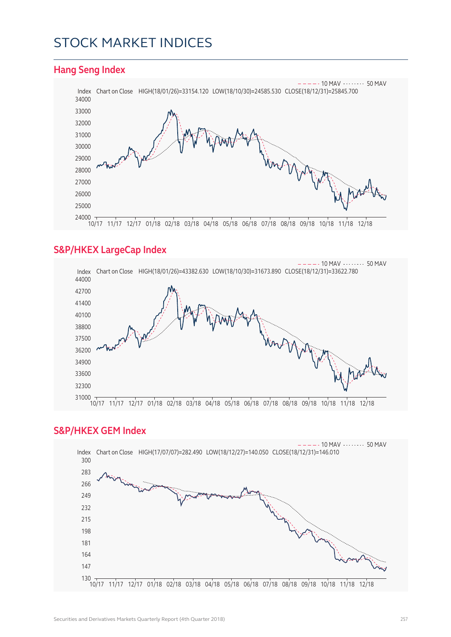## STOCK MARKET INDICES

#### **Hang Seng Index** Index Chart on Close HIGH(18/01/26)=33154.120 LOW(18/10/30)=24585.530 CLOSE(18/12/31)=25845.700  $- - - 10$  MAV  $- - - - - 50$  MAV 10/17 11/17 12/17 01/18 02/18 03/18 04/18 05/18 06/18 07/18 08/18 09/18 10/18 11/18 12/18

### **S&P/HKEX LargeCap Index**



#### **S&P/HKEX GEM Index**

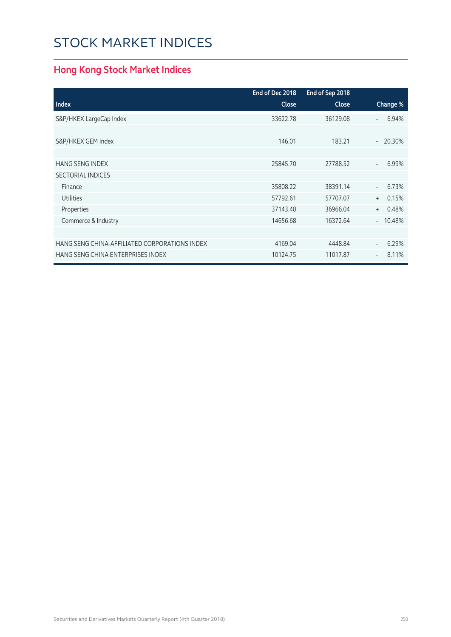# STOCK MARKET INDICES

## **Hong Kong Stock Market Indices**

|                                               | End of Dec 2018 | End of Sep 2018 |                                   |
|-----------------------------------------------|-----------------|-----------------|-----------------------------------|
| <b>Index</b>                                  | Close           | Close           | Change %                          |
| S&P/HKEX LargeCap Index                       | 33622.78        | 36129.08        | 6.94%<br>$\overline{\phantom{0}}$ |
|                                               |                 |                 |                                   |
| S&P/HKEX GEM Index                            | 146.01          | 183.21          | $-20.30%$                         |
|                                               |                 |                 |                                   |
| <b>HANG SENG INDEX</b>                        | 25845.70        | 27788.52        | 6.99%<br>$\overline{\phantom{a}}$ |
| <b>SECTORIAL INDICES</b>                      |                 |                 |                                   |
| Finance                                       | 35808.22        | 38391.14        | 6.73%<br>$\equiv$                 |
| <b>Utilities</b>                              | 57792.61        | 57707.07        | 0.15%<br>$^{+}$                   |
| Properties                                    | 37143.40        | 36966.04        | 0.48%<br>$+$                      |
| Commerce & Industry                           | 14656.68        | 16372.64        | 10.48%<br>$-$                     |
|                                               |                 |                 |                                   |
| HANG SENG CHINA-AFFILIATED CORPORATIONS INDEX | 4169.04         | 4448.84         | 6.29%<br>$\overline{\phantom{a}}$ |
| HANG SENG CHINA ENTERPRISES INDEX             | 10124.75        | 11017.87        | 8.11%<br>$\qquad \qquad -$        |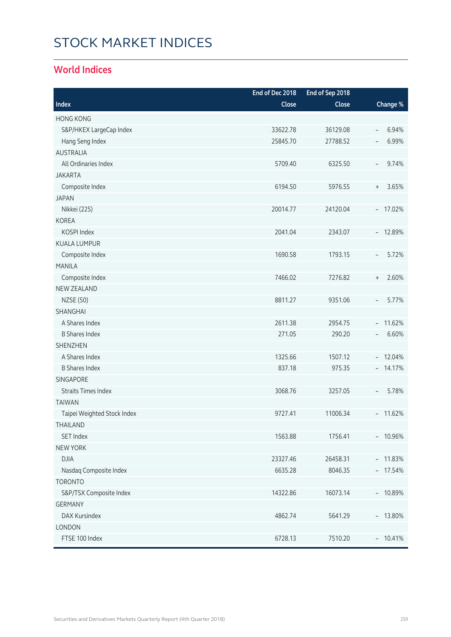# STOCK MARKET INDICES

### **World Indices**

|                             | End of Dec 2018 | End of Sep 2018 |                                           |
|-----------------------------|-----------------|-----------------|-------------------------------------------|
| Index                       | Close           | Close           | Change %                                  |
| <b>HONG KONG</b>            |                 |                 |                                           |
| S&P/HKEX LargeCap Index     | 33622.78        | 36129.08        | 6.94%<br>$\overline{\phantom{a}}$         |
| Hang Seng Index             | 25845.70        | 27788.52        | 6.99%<br>$\overline{\phantom{a}}$         |
| <b>AUSTRALIA</b>            |                 |                 |                                           |
| All Ordinaries Index        | 5709.40         | 6325.50         | 9.74%<br>$\overline{\phantom{a}}$         |
| <b>JAKARTA</b>              |                 |                 |                                           |
| Composite Index             | 6194.50         | 5976.55         | 3.65%<br>$\begin{array}{c} + \end{array}$ |
| <b>JAPAN</b>                |                 |                 |                                           |
| Nikkei (225)                | 20014.77        | 24120.04        | $-17.02%$                                 |
| <b>KOREA</b>                |                 |                 |                                           |
| KOSPI Index                 | 2041.04         | 2343.07         | $-12.89%$                                 |
| <b>KUALA LUMPUR</b>         |                 |                 |                                           |
| Composite Index             | 1690.58         | 1793.15         | 5.72%<br>$\overline{\phantom{a}}$         |
| <b>MANILA</b>               |                 |                 |                                           |
| Composite Index             | 7466.02         | 7276.82         | 2.60%<br>$\begin{array}{c} + \end{array}$ |
| <b>NEW ZEALAND</b>          |                 |                 |                                           |
| <b>NZSE (50)</b>            | 8811.27         | 9351.06         | 5.77%<br>$\overline{\phantom{a}}$         |
| SHANGHAI                    |                 |                 |                                           |
| A Shares Index              | 2611.38         | 2954.75         | $-11.62%$                                 |
| <b>B Shares Index</b>       | 271.05          | 290.20          | 6.60%<br>$\overline{\phantom{a}}$         |
| <b>SHENZHEN</b>             |                 |                 |                                           |
| A Shares Index              | 1325.66         | 1507.12         | $-12.04%$                                 |
| <b>B Shares Index</b>       | 837.18          | 975.35          | $-14.17%$                                 |
| <b>SINGAPORE</b>            |                 |                 |                                           |
| <b>Straits Times Index</b>  | 3068.76         | 3257.05         | 5.78%<br>$\overline{\phantom{a}}$         |
| <b>TAIWAN</b>               |                 |                 |                                           |
| Taipei Weighted Stock Index | 9727.41         | 11006.34        | $-11.62%$                                 |
| THAILAND                    |                 |                 |                                           |
| SET Index                   | 1563.88         | 1756.41         | $-10.96%$                                 |
| <b>NEW YORK</b>             |                 |                 |                                           |
| <b>DJIA</b>                 | 23327.46        | 26458.31        | $-11.83%$                                 |
| Nasdaq Composite Index      | 6635.28         | 8046.35         | $-17.54%$                                 |
| <b>TORONTO</b>              |                 |                 |                                           |
| S&P/TSX Composite Index     | 14322.86        | 16073.14        | $-10.89%$                                 |
| <b>GERMANY</b>              |                 |                 |                                           |
| DAX Kursindex               | 4862.74         | 5641.29         | $-13.80%$                                 |
| LONDON                      |                 |                 |                                           |
| FTSE 100 Index              | 6728.13         | 7510.20         | $-10.41%$                                 |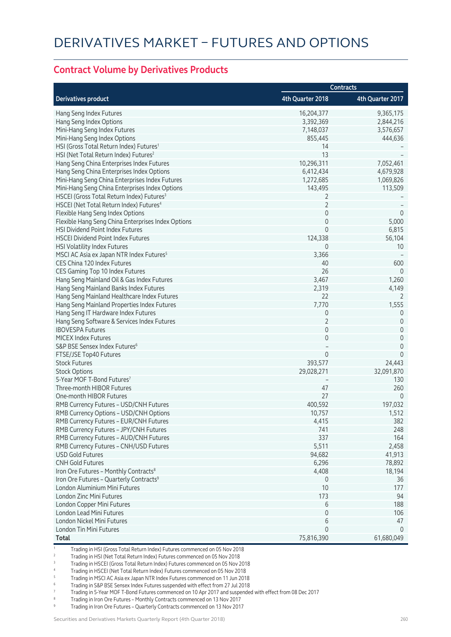#### **Contract Volume by Derivatives Products**

|                                                       | Contracts        |                  |
|-------------------------------------------------------|------------------|------------------|
| <b>Derivatives product</b>                            | 4th Quarter 2018 | 4th Quarter 2017 |
| Hang Seng Index Futures                               | 16,204,377       | 9,365,175        |
| Hang Seng Index Options                               | 3,392,369        | 2,844,216        |
| Mini-Hang Seng Index Futures                          | 7,148,037        | 3,576,657        |
| Mini-Hang Seng Index Options                          | 855,445          | 444,636          |
| HSI (Gross Total Return Index) Futures <sup>1</sup>   | 14               |                  |
| HSI (Net Total Return Index) Futures <sup>2</sup>     | 13               |                  |
| Hang Seng China Enterprises Index Futures             | 10,296,311       | 7,052,461        |
| Hang Seng China Enterprises Index Options             | 6,412,434        | 4,679,928        |
| Mini-Hang Seng China Enterprises Index Futures        | 1,272,685        | 1,069,826        |
| Mini-Hang Seng China Enterprises Index Options        | 143,495          | 113,509          |
| HSCEI (Gross Total Return Index) Futures <sup>3</sup> | 2                |                  |
| HSCEI (Net Total Return Index) Futures <sup>4</sup>   | $\overline{2}$   |                  |
| Flexible Hang Seng Index Options                      | 0                | $\overline{0}$   |
| Flexible Hang Seng China Enterprises Index Options    | $\mathbf 0$      | 5,000            |
| HSI Dividend Point Index Futures                      | $\Omega$         | 6,815            |
| <b>HSCEI Dividend Point Index Futures</b>             | 124,338          | 56,104           |
| HSI Volatility Index Futures                          | 0                | 10               |
| MSCI AC Asia ex Japan NTR Index Futures <sup>5</sup>  | 3,366            |                  |
| CES China 120 Index Futures                           | 40               | 600              |
| CES Gaming Top 10 Index Futures                       | 26               | $\overline{0}$   |
| Hang Seng Mainland Oil & Gas Index Futures            | 3,467            | 1,260            |
| Hang Seng Mainland Banks Index Futures                | 2,319            | 4,149            |
| Hang Seng Mainland Healthcare Index Futures           | 22               | 2                |
| Hang Seng Mainland Properties Index Futures           | 7,770            | 1,555            |
| Hang Seng IT Hardware Index Futures                   | 0                | 0                |
| Hang Seng Software & Services Index Futures           | $\overline{2}$   | $\mathbf 0$      |
| <b>IBOVESPA Futures</b>                               | $\mathbf 0$      | $\mathbf 0$      |
| <b>MICEX Index Futures</b>                            | 0                | $\mathbf 0$      |
| S&P BSE Sensex Index Futures <sup>6</sup>             |                  | $\mathbf 0$      |
| FTSE/JSE Top40 Futures                                | 0                | $\mathbf 0$      |
| <b>Stock Futures</b>                                  | 393,577          | 24,443           |
| <b>Stock Options</b>                                  | 29,028,271       | 32,091,870       |
| 5-Year MOF T-Bond Futures <sup>7</sup>                |                  | 130              |
| Three-month HIBOR Futures                             | 47               | 260              |
| One-month HIBOR Futures                               | 27               | 0                |
| RMB Currency Futures - USD/CNH Futures                | 400,592          | 197,032          |
| RMB Currency Options - USD/CNH Options                | 10,757           | 1,512            |
| RMB Currency Futures - EUR/CNH Futures                | 4,415            | 382              |
| RMB Currency Futures - JPY/CNH Futures                | 741              | 248              |
| RMB Currency Futures - AUD/CNH Futures                | 337              | 164              |
| RMB Currency Futures - CNH/USD Futures                | 5,511            | 2,458            |
| <b>USD Gold Futures</b>                               | 94,682           | 41,913           |
| <b>CNH Gold Futures</b>                               | 6,296            | 78,892           |
| Iron Ore Futures - Monthly Contracts <sup>8</sup>     | 4,408            | 18,194           |
| Iron Ore Futures - Quarterly Contracts <sup>9</sup>   | $\mathbf{0}$     | 36               |
| London Aluminium Mini Futures                         | 10               | 177              |
| London Zinc Mini Futures                              | 173              | 94               |
| London Copper Mini Futures                            | 6                | 188              |
| London Lead Mini Futures                              | 0                | 106              |
| London Nickel Mini Futures                            | 6                | 47               |
| London Tin Mini Futures                               | $\Omega$         | $\Omega$         |
| <b>Total</b>                                          | 75,816,390       | 61,680,049       |

1 Trading in HSI (Gross Total Return Index) Futures commenced on 05 Nov 2018

2 Trading in HSI (Net Total Return Index) Futures commenced on 05 Nov 2018

3 Trading in HSCEI (Gross Total Return Index) Futures commenced on 05 Nov 2018

4 Trading in HSCEI (Net Total Return Index) Futures commenced on 05 Nov 2018

5 Trading in MSCI AC Asia ex Japan NTR Index Futures commenced on 11 Jun 2018

6 Trading in S&P BSE Sensex Index Futures suspended with effect from 27 Jul 2018

7 Trading in 5-Year MOF T-Bond Futures commenced on 10 Apr 2017 and suspended with effect from 08 Dec 2017

Trading in Iron Ore Futures - Monthly Contracts commenced on 13 Nov 2017

9 Trading in Iron Ore Futures – Quarterly Contracts commenced on 13 Nov 2017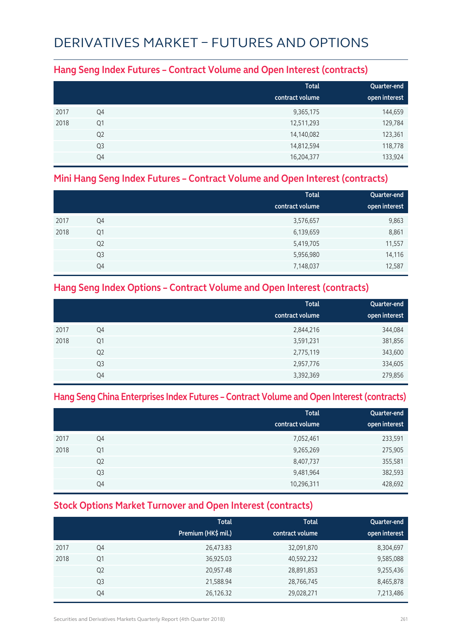# DERIVATIVES MARKET – FUTURES AND OPTIONS

### **Hang Seng Index Futures – Contract Volume and Open Interest (contracts)**

|      |                | <b>Total</b><br>contract volume | Quarter-end<br>open interest |
|------|----------------|---------------------------------|------------------------------|
| 2017 | Q4             | 9,365,175                       | 144,659                      |
| 2018 | Q1             | 12,511,293                      | 129,784                      |
|      | Q <sub>2</sub> | 14,140,082                      | 123,361                      |
|      | Q <sub>3</sub> | 14,812,594                      | 118,778                      |
|      | Q4             | 16,204,377                      | 133,924                      |

### **Mini Hang Seng Index Futures – Contract Volume and Open Interest (contracts)**

|      |                | <b>Total</b>    | Quarter-end   |
|------|----------------|-----------------|---------------|
|      |                | contract volume | open interest |
| 2017 | Q4             | 3,576,657       | 9,863         |
| 2018 | Q1             | 6,139,659       | 8,861         |
|      | Q <sub>2</sub> | 5,419,705       | 11,557        |
|      | Q <sub>3</sub> | 5,956,980       | 14,116        |
|      | Q4             | 7,148,037       | 12,587        |

### **Hang Seng Index Options – Contract Volume and Open Interest (contracts)**

|      |                | <b>Total</b>    | Quarter-end   |
|------|----------------|-----------------|---------------|
|      |                | contract volume | open interest |
| 2017 | Q4             | 2,844,216       | 344,084       |
| 2018 | Q1             | 3,591,231       | 381,856       |
|      | Q <sub>2</sub> | 2,775,119       | 343,600       |
|      | Q <sub>3</sub> | 2,957,776       | 334,605       |
|      | Q4             | 3,392,369       | 279,856       |

#### **Hang Seng China Enterprises Index Futures – Contract Volume and Open Interest (contracts)**

|      |                | <b>Total</b><br>contract volume | Quarter-end<br>open interest |
|------|----------------|---------------------------------|------------------------------|
| 2017 | Q4             | 7,052,461                       | 233,591                      |
| 2018 | Q1             | 9,265,269                       | 275,905                      |
|      | Q <sub>2</sub> | 8,407,737                       | 355,581                      |
|      | Q <sub>3</sub> | 9,481,964                       | 382,593                      |
|      | Q4             | 10,296,311                      | 428,692                      |

### **Stock Options Market Turnover and Open Interest (contracts)**

|      |                | <b>Total</b><br>Premium (HK\$ mil.) | <b>Total</b><br>contract volume | Quarter-end<br>open interest |
|------|----------------|-------------------------------------|---------------------------------|------------------------------|
| 2017 | Q4             | 26,473.83                           | 32,091,870                      | 8,304,697                    |
| 2018 | Q <sub>1</sub> | 36,925.03                           | 40,592,232                      | 9,585,088                    |
|      | Q <sub>2</sub> | 20,957.48                           | 28,891,853                      | 9,255,436                    |
|      | Q <sub>3</sub> | 21,588.94                           | 28,766,745                      | 8,465,878                    |
|      | Q4             | 26,126.32                           | 29,028,271                      | 7,213,486                    |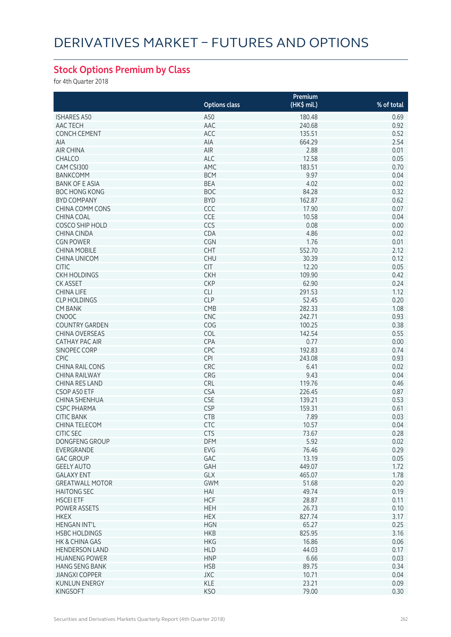## **Stock Options Premium by Class**

for 4th Quarter 2018

|                        |                      | Premium     |            |
|------------------------|----------------------|-------------|------------|
|                        | <b>Options class</b> | (HK\$ mil.) | % of total |
| <b>ISHARES A50</b>     | A50                  | 180.48      | 0.69       |
| AAC TECH               | AAC                  | 240.68      | 0.92       |
| <b>CONCH CEMENT</b>    | ACC                  | 135.51      | 0.52       |
| AIA                    | AIA                  | 664.29      | 2.54       |
| <b>AIR CHINA</b>       | <b>AIR</b>           | 2.88        | 0.01       |
| CHALCO                 | <b>ALC</b>           | 12.58       | 0.05       |
| CAM CSI300             | AMC                  | 183.51      | 0.70       |
| <b>BANKCOMM</b>        | <b>BCM</b>           | 9.97        | 0.04       |
| <b>BANK OF E ASIA</b>  | <b>BEA</b>           | 4.02        | 0.02       |
| <b>BOC HONG KONG</b>   | <b>BOC</b>           | 84.28       | 0.32       |
| <b>BYD COMPANY</b>     | <b>BYD</b>           | 162.87      | 0.62       |
| <b>CHINA COMM CONS</b> | CCC                  | 17.90       | 0.07       |
| <b>CHINA COAL</b>      | <b>CCE</b>           | 10.58       | 0.04       |
| COSCO SHIP HOLD        | CCS                  | 0.08        | 0.00       |
| CHINA CINDA            | CDA                  | 4.86        | 0.02       |
| <b>CGN POWER</b>       | <b>CGN</b>           | 1.76        | 0.01       |
| <b>CHINA MOBILE</b>    | <b>CHT</b>           | 552.70      | 2.12       |
| CHINA UNICOM           | <b>CHU</b>           | 30.39       | 0.12       |
| <b>CITIC</b>           | <b>CIT</b>           | 12.20       | 0.05       |
| <b>CKH HOLDINGS</b>    | <b>CKH</b>           | 109.90      | 0.42       |
| <b>CK ASSET</b>        | <b>CKP</b>           | 62.90       | 0.24       |
| <b>CHINA LIFE</b>      | <b>CLI</b>           | 291.53      | 1.12       |
| <b>CLP HOLDINGS</b>    | <b>CLP</b>           | 52.45       | 0.20       |
| <b>CM BANK</b>         | CMB                  | 282.33      | 1.08       |
|                        |                      |             |            |
| <b>CNOOC</b>           | <b>CNC</b>           | 242.71      | 0.93       |
| <b>COUNTRY GARDEN</b>  | COG                  | 100.25      | 0.38       |
| <b>CHINA OVERSEAS</b>  | COL                  | 142.54      | 0.55       |
| <b>CATHAY PAC AIR</b>  | CPA                  | 0.77        | 0.00       |
| SINOPEC CORP           | <b>CPC</b>           | 192.83      | 0.74       |
| <b>CPIC</b>            | <b>CPI</b>           | 243.08      | 0.93       |
| <b>CHINA RAIL CONS</b> | <b>CRC</b>           | 6.41        | 0.02       |
| <b>CHINA RAILWAY</b>   | CRG                  | 9.43        | 0.04       |
| <b>CHINA RES LAND</b>  | CRL                  | 119.76      | 0.46       |
| CSOP A50 ETF           | <b>CSA</b>           | 226.45      | 0.87       |
| <b>CHINA SHENHUA</b>   | <b>CSE</b>           | 139.21      | 0.53       |
| <b>CSPC PHARMA</b>     | <b>CSP</b>           | 159.31      | 0.61       |
| <b>CITIC BANK</b>      | <b>CTB</b>           | 7.89        | 0.03       |
| CHINA TELECOM          | <b>CTC</b>           | 10.57       | 0.04       |
| <b>CITIC SEC</b>       | <b>CTS</b>           | 73.67       | 0.28       |
| DONGFENG GROUP         | <b>DFM</b>           | 5.92        | 0.02       |
| EVERGRANDE             | EVG                  | 76.46       | 0.29       |
| <b>GAC GROUP</b>       | GAC                  | 13.19       | 0.05       |
| <b>GEELY AUTO</b>      | GAH                  | 449.07      | 1.72       |
| <b>GALAXY ENT</b>      | GLX                  | 465.07      | 1.78       |
| <b>GREATWALL MOTOR</b> | <b>GWM</b>           | 51.68       | 0.20       |
| <b>HAITONG SEC</b>     | HAI                  | 49.74       | 0.19       |
| <b>HSCEI ETF</b>       | <b>HCF</b>           | 28.87       | 0.11       |
| <b>POWER ASSETS</b>    | <b>HEH</b>           | 26.73       | 0.10       |
| <b>HKEX</b>            | <b>HEX</b>           | 827.74      | 3.17       |
| <b>HENGAN INT'L</b>    | <b>HGN</b>           | 65.27       | 0.25       |
| <b>HSBC HOLDINGS</b>   | <b>HKB</b>           | 825.95      | 3.16       |
| HK & CHINA GAS         | <b>HKG</b>           | 16.86       | 0.06       |
| <b>HENDERSON LAND</b>  | <b>HLD</b>           | 44.03       | 0.17       |
| <b>HUANENG POWER</b>   | <b>HNP</b>           | 6.66        | 0.03       |
| <b>HANG SENG BANK</b>  | <b>HSB</b>           | 89.75       | 0.34       |
| <b>JIANGXI COPPER</b>  | JXC                  | 10.71       | 0.04       |
| <b>KUNLUN ENERGY</b>   | KLE                  | 23.21       | 0.09       |
| <b>KINGSOFT</b>        | <b>KSO</b>           | 79.00       | 0.30       |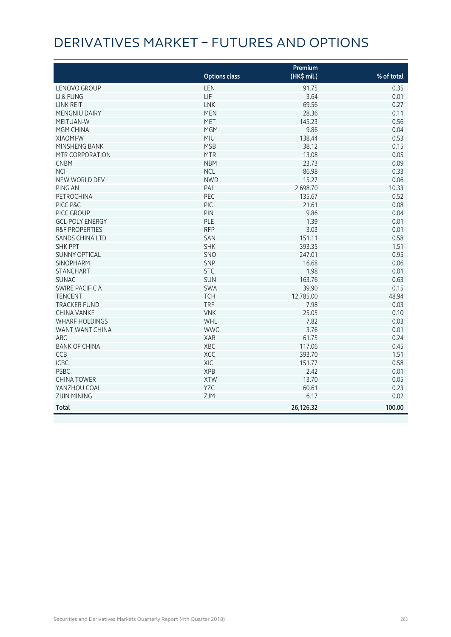# DERIVATIVES MARKET – FUTURES AND OPTIONS

|                           |                      | Premium     |            |
|---------------------------|----------------------|-------------|------------|
|                           | <b>Options class</b> | (HK\$ mil.) | % of total |
| LENOVO GROUP              | LEN                  | 91.75       | 0.35       |
| LI & FUNG                 | LIF                  | 3.64        | 0.01       |
| LINK REIT                 | LNK                  | 69.56       | 0.27       |
| MENGNIU DAIRY             | <b>MEN</b>           | 28.36       | 0.11       |
| <b>MEITUAN-W</b>          | <b>MET</b>           | 145.23      | 0.56       |
| <b>MGM CHINA</b>          | <b>MGM</b>           | 9.86        | 0.04       |
| XIAOMI-W                  | MIU                  | 138.44      | 0.53       |
| MINSHENG BANK             | <b>MSB</b>           | 38.12       | 0.15       |
| MTR CORPORATION           | <b>MTR</b>           | 13.08       | 0.05       |
| <b>CNBM</b>               | <b>NBM</b>           | 23.73       | 0.09       |
| <b>NCI</b>                | <b>NCL</b>           | 86.98       | 0.33       |
| NEW WORLD DEV             | <b>NWD</b>           | 15.27       | 0.06       |
| PING AN                   | PAI                  | 2,698.70    | 10.33      |
| PETROCHINA                | PEC                  | 135.67      | 0.52       |
| PICC P&C                  | PIC                  | 21.61       | 0.08       |
| PICC GROUP                | PIN                  | 9.86        | 0.04       |
| <b>GCL-POLY ENERGY</b>    | PLE                  | 1.39        | 0.01       |
| <b>R&amp;F PROPERTIES</b> | <b>RFP</b>           | 3.03        | 0.01       |
| <b>SANDS CHINA LTD</b>    | SAN                  | 151.11      | 0.58       |
| <b>SHK PPT</b>            | <b>SHK</b>           | 393.35      | 1.51       |
| <b>SUNNY OPTICAL</b>      | SNO                  | 247.01      | 0.95       |
| <b>SINOPHARM</b>          | SNP                  | 16.68       | 0.06       |
| <b>STANCHART</b>          | <b>STC</b>           | 1.98        | 0.01       |
| <b>SUNAC</b>              | <b>SUN</b>           | 163.76      | 0.63       |
| <b>SWIRE PACIFIC A</b>    | SWA                  | 39.90       | 0.15       |
| <b>TENCENT</b>            | <b>TCH</b>           | 12,785.00   | 48.94      |
| <b>TRACKER FUND</b>       | <b>TRF</b>           | 7.98        | 0.03       |
| <b>CHINA VANKE</b>        | <b>VNK</b>           | 25.05       | 0.10       |
| <b>WHARF HOLDINGS</b>     | <b>WHL</b>           | 7.82        | 0.03       |
| WANT WANT CHINA           | <b>WWC</b>           | 3.76        | 0.01       |
| <b>ABC</b>                | XAB                  | 61.75       | 0.24       |
| <b>BANK OF CHINA</b>      | XBC                  | 117.06      | 0.45       |
| CCB                       | XCC                  | 393.70      | 1.51       |
| <b>ICBC</b>               | XIC                  | 151.77      | 0.58       |
| <b>PSBC</b>               | <b>XPB</b>           | 2.42        | 0.01       |
| <b>CHINA TOWER</b>        | <b>XTW</b>           | 13.70       | 0.05       |
| YANZHOU COAL              | YZC                  | 60.61       | 0.23       |
| <b>ZIJIN MINING</b>       | ZJM                  | 6.17        | 0.02       |
| <b>Total</b>              |                      | 26,126.32   | 100.00     |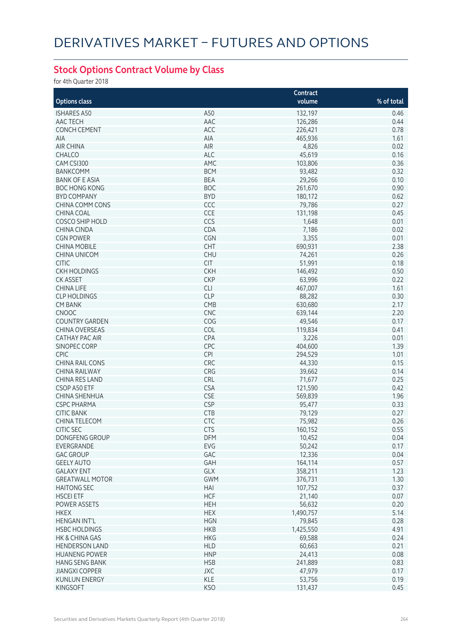## **Stock Options Contract Volume by Class**

for 4th Quarter 2018

|                        |            | Contract  |            |
|------------------------|------------|-----------|------------|
| <b>Options class</b>   |            | volume    | % of total |
| <b>ISHARES A50</b>     | A50        | 132,197   | 0.46       |
| AAC TECH               | AAC        | 126,286   | 0.44       |
| <b>CONCH CEMENT</b>    | ACC        | 226,421   | 0.78       |
| <b>AIA</b>             | AIA        | 465,936   | 1.61       |
| <b>AIR CHINA</b>       | AIR        | 4,826     | 0.02       |
| <b>CHALCO</b>          | <b>ALC</b> | 45,619    | 0.16       |
|                        | AMC        |           |            |
| CAM CSI300             |            | 103,806   | 0.36       |
| <b>BANKCOMM</b>        | <b>BCM</b> | 93,482    | 0.32       |
| <b>BANK OF E ASIA</b>  | <b>BEA</b> | 29,266    | 0.10       |
| <b>BOC HONG KONG</b>   | <b>BOC</b> | 261,670   | 0.90       |
| <b>BYD COMPANY</b>     | <b>BYD</b> | 180,172   | 0.62       |
| CHINA COMM CONS        | CCC        | 79,786    | 0.27       |
| <b>CHINA COAL</b>      | CCE        | 131,198   | 0.45       |
| <b>COSCO SHIP HOLD</b> | CCS        | 1,648     | 0.01       |
| <b>CHINA CINDA</b>     | CDA        | 7,186     | 0.02       |
| <b>CGN POWER</b>       | <b>CGN</b> | 3,355     | 0.01       |
| <b>CHINA MOBILE</b>    | <b>CHT</b> | 690,931   | 2.38       |
| <b>CHINA UNICOM</b>    | <b>CHU</b> | 74,261    | 0.26       |
| <b>CITIC</b>           | <b>CIT</b> | 51,991    | 0.18       |
| <b>CKH HOLDINGS</b>    | <b>CKH</b> | 146,492   | 0.50       |
| <b>CK ASSET</b>        | <b>CKP</b> | 63,996    | 0.22       |
| <b>CHINA LIFE</b>      | <b>CLI</b> | 467,007   | 1.61       |
| <b>CLP HOLDINGS</b>    | <b>CLP</b> | 88,282    | 0.30       |
| <b>CM BANK</b>         | CMB        | 630,680   | 2.17       |
| <b>CNOOC</b>           | <b>CNC</b> | 639,144   | 2.20       |
| <b>COUNTRY GARDEN</b>  | COG        | 49,546    | 0.17       |
| <b>CHINA OVERSEAS</b>  | COL        | 119,834   | 0.41       |
| <b>CATHAY PAC AIR</b>  |            |           |            |
|                        | CPA        | 3,226     | 0.01       |
| SINOPEC CORP           | CPC        | 404,600   | 1.39       |
| <b>CPIC</b>            | CPI        | 294,529   | 1.01       |
| <b>CHINA RAIL CONS</b> | CRC        | 44,330    | 0.15       |
| <b>CHINA RAILWAY</b>   | CRG        | 39,662    | 0.14       |
| CHINA RES LAND         | CRL        | 71,677    | 0.25       |
| CSOP A50 ETF           | <b>CSA</b> | 121,590   | 0.42       |
| CHINA SHENHUA          | <b>CSE</b> | 569,839   | 1.96       |
| <b>CSPC PHARMA</b>     | <b>CSP</b> | 95,477    | 0.33       |
| <b>CITIC BANK</b>      | <b>CTB</b> | 79,129    | 0.27       |
| <b>CHINA TELECOM</b>   | <b>CTC</b> | 75,982    | 0.26       |
| CITIC SEC              | CTS        | 160,152   | 0.55       |
| DONGFENG GROUP         | DFM        | 10,452    | 0.04       |
| EVERGRANDE             | EVG        | 50,242    | 0.17       |
| <b>GAC GROUP</b>       | GAC        | 12,336    | 0.04       |
| <b>GEELY AUTO</b>      | GAH        | 164,114   | 0.57       |
| <b>GALAXY ENT</b>      | GLX        | 358,211   | 1.23       |
| <b>GREATWALL MOTOR</b> | <b>GWM</b> | 376,731   | 1.30       |
| <b>HAITONG SEC</b>     | HAI        | 107,752   | 0.37       |
| <b>HSCEI ETF</b>       | <b>HCF</b> | 21,140    | 0.07       |
| POWER ASSETS           | <b>HEH</b> | 56,632    | 0.20       |
| <b>HKEX</b>            | <b>HEX</b> | 1,490,757 | 5.14       |
| <b>HENGAN INT'L</b>    | <b>HGN</b> |           | 0.28       |
|                        |            | 79,845    |            |
| <b>HSBC HOLDINGS</b>   | <b>HKB</b> | 1,425,550 | 4.91       |
| HK & CHINA GAS         | <b>HKG</b> | 69,588    | 0.24       |
| <b>HENDERSON LAND</b>  | <b>HLD</b> | 60,663    | 0.21       |
| <b>HUANENG POWER</b>   | <b>HNP</b> | 24,413    | 0.08       |
| <b>HANG SENG BANK</b>  | <b>HSB</b> | 241,889   | 0.83       |
| <b>JIANGXI COPPER</b>  | <b>JXC</b> | 47,979    | 0.17       |
| <b>KUNLUN ENERGY</b>   | KLE        | 53,756    | 0.19       |
| KINGSOFT               | <b>KSO</b> | 131,437   | 0.45       |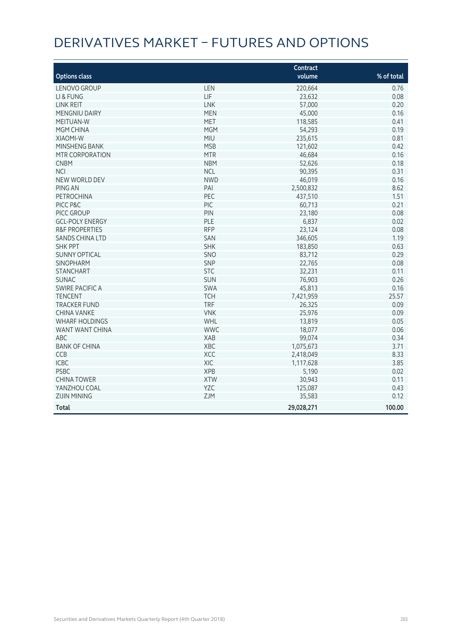# DERIVATIVES MARKET – FUTURES AND OPTIONS

|                           |            | Contract   |            |
|---------------------------|------------|------------|------------|
| <b>Options class</b>      |            | volume     | % of total |
| LENOVO GROUP              | LEN        | 220,664    | 0.76       |
| LI & FUNG                 | LIF        | 23,632     | 0.08       |
| LINK REIT                 | LNK        | 57,000     | 0.20       |
| MENGNIU DAIRY             | <b>MEN</b> | 45,000     | 0.16       |
| <b>MEITUAN-W</b>          | <b>MET</b> | 118,585    | 0.41       |
| <b>MGM CHINA</b>          | <b>MGM</b> | 54,293     | 0.19       |
| <b>XIAOMI-W</b>           | MIU        | 235,615    | 0.81       |
| MINSHENG BANK             | <b>MSB</b> | 121,602    | 0.42       |
| MTR CORPORATION           | <b>MTR</b> | 46,684     | 0.16       |
| <b>CNBM</b>               | <b>NBM</b> | 52,626     | 0.18       |
| <b>NCI</b>                | <b>NCL</b> | 90,395     | 0.31       |
| NEW WORLD DEV             | <b>NWD</b> | 46,019     | 0.16       |
| PING AN                   | PAI        | 2,500,832  | 8.62       |
| <b>PETROCHINA</b>         | PEC        | 437,510    | 1.51       |
| PICC P&C                  | PIC        | 60,713     | 0.21       |
| PICC GROUP                | PIN        | 23,180     | 0.08       |
| <b>GCL-POLY ENERGY</b>    | PLE        | 6,837      | 0.02       |
| <b>R&amp;F PROPERTIES</b> | <b>RFP</b> | 23,124     | 0.08       |
| <b>SANDS CHINA LTD</b>    | SAN        | 346,605    | 1.19       |
| <b>SHK PPT</b>            | <b>SHK</b> | 183,850    | 0.63       |
| <b>SUNNY OPTICAL</b>      | SNO        | 83,712     | 0.29       |
| <b>SINOPHARM</b>          | <b>SNP</b> | 22,765     | 0.08       |
| <b>STANCHART</b>          | <b>STC</b> | 32,231     | 0.11       |
| <b>SUNAC</b>              | <b>SUN</b> | 76,903     | 0.26       |
| SWIRE PACIFIC A           | SWA        | 45,813     | 0.16       |
| <b>TENCENT</b>            | <b>TCH</b> | 7,421,959  | 25.57      |
| <b>TRACKER FUND</b>       | <b>TRF</b> | 26,325     | 0.09       |
| <b>CHINA VANKE</b>        | <b>VNK</b> | 25,976     | 0.09       |
| <b>WHARF HOLDINGS</b>     | WHL        | 13,819     | 0.05       |
| WANT WANT CHINA           | <b>WWC</b> | 18,077     | 0.06       |
| ABC                       | <b>XAB</b> | 99,074     | 0.34       |
| <b>BANK OF CHINA</b>      | XBC        | 1,075,673  | 3.71       |
| CCB                       | XCC        | 2,418,049  | 8.33       |
| <b>ICBC</b>               | XIC        | 1,117,628  | 3.85       |
| <b>PSBC</b>               | <b>XPB</b> | 5,190      | 0.02       |
| <b>CHINA TOWER</b>        | <b>XTW</b> | 30,943     | 0.11       |
| YANZHOU COAL              | YZC        | 125,087    | 0.43       |
| <b>ZIJIN MINING</b>       | ZJM        | 35,583     | 0.12       |
| <b>Total</b>              |            | 29,028,271 | 100.00     |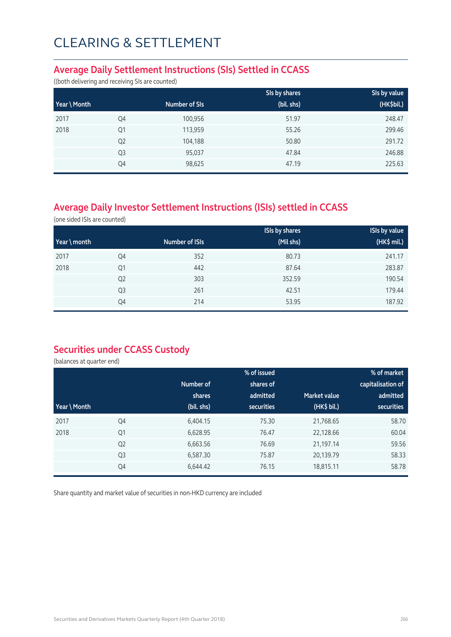### **Average Daily Settlement Instructions (SIs) Settled in CCASS**

((both delivering and receiving SIs are counted)

|              |                |               | SIs by shares | SIs by value |
|--------------|----------------|---------------|---------------|--------------|
| Year \ Month |                | Number of SIs | (bil. shs)    | (HK\$bil.)   |
| 2017         | Q4             | 100,956       | 51.97         | 248.47       |
| 2018         | Q <sub>1</sub> | 113,959       | 55.26         | 299.46       |
|              | Q <sub>2</sub> | 104,188       | 50.80         | 291.72       |
|              | Q <sub>3</sub> | 95,037        | 47.84         | 246.88       |
|              | Q4             | 98,625        | 47.19         | 225.63       |

## **Average Daily Investor Settlement Instructions (ISIs) settled in CCASS**

(one sided ISIs are counted)

|                       |                |                | <b>ISIs by shares</b> | <b>ISIs by value</b> |
|-----------------------|----------------|----------------|-----------------------|----------------------|
| $\forall$ ear \ month |                | Number of ISIs | (Mil shs)             | (HK\$ mil.)          |
| 2017                  | Q4             | 352            | 80.73                 | 241.17               |
| 2018                  | Q1             | 442            | 87.64                 | 283.87               |
|                       | Q <sub>2</sub> | 303            | 352.59                | 190.54               |
|                       | Q <sub>3</sub> | 261            | 42.51                 | 179.44               |
|                       | Q4             | 214            | 53.95                 | 187.92               |

### **Securities under CCASS Custody**

(balances at quarter end)

|              |                |            | % of issued       |                     | % of market       |
|--------------|----------------|------------|-------------------|---------------------|-------------------|
|              |                | Number of  | shares of         |                     | capitalisation of |
|              |                | shares     | admitted          | <b>Market value</b> | admitted          |
| Year \ Month |                | (bil. shs) | <b>securities</b> | (HK\$ bil.)         | securities        |
| 2017         | Q4             | 6,404.15   | 75.30             | 21,768.65           | 58.70             |
| 2018         | Q1             | 6,628.95   | 76.47             | 22,128.66           | 60.04             |
|              | Q <sub>2</sub> | 6,663.56   | 76.69             | 21,197.14           | 59.56             |
|              | Q <sub>3</sub> | 6,587.30   | 75.87             | 20,139.79           | 58.33             |
|              | Q4             | 6,644.42   | 76.15             | 18,815.11           | 58.78             |

Share quantity and market value of securities in non-HKD currency are included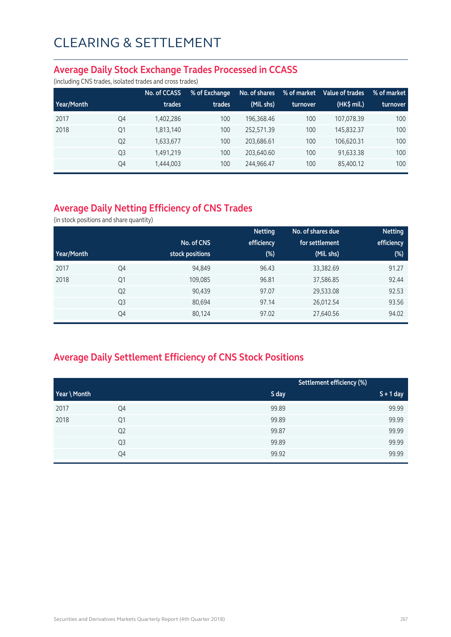### **Average Daily Stock Exchange Trades Processed in CCASS**

(including CNS trades, isolated trades and cross trades)

|            |                | No. of CCASS | % of Exchange | No. of shares | % of market | Value of trades | % of market |
|------------|----------------|--------------|---------------|---------------|-------------|-----------------|-------------|
| Year/Month |                | trades       | trades        | (Mil. shs)    | turnover    | (HK\$ mil.)     | turnover    |
| 2017       | Q4             | 1,402,286    | 100           | 196.368.46    | 100         | 107.078.39      | 100         |
| 2018       | Q1             | 1,813,140    | 100           | 252.571.39    | 100         | 145.832.37      | 100         |
|            | Q <sub>2</sub> | 1,633,677    | 100           | 203.686.61    | 100         | 106.620.31      | 100         |
|            | Q <sub>3</sub> | 1,491,219    | 100           | 203.640.60    | 100         | 91,633.38       | 100         |
|            | Q4             | 1,444,003    | 100           | 244,966.47    | 100         | 85,400.12       | 100         |

## **Average Daily Netting Efficiency of CNS Trades**

(in stock positions and share quantity)

|            |                |                 | <b>Netting</b> | No. of shares due | <b>Netting</b> |
|------------|----------------|-----------------|----------------|-------------------|----------------|
|            |                | No. of CNS      | efficiency     | for settlement    | efficiency     |
| Year/Month |                | stock positions | $(\%)$         | (Mil. shs)        | (%)            |
| 2017       | Q4             | 94,849          | 96.43          | 33,382.69         | 91.27          |
| 2018       | Q1             | 109,085         | 96.81          | 37,586.85         | 92.44          |
|            | Q <sub>2</sub> | 90,439          | 97.07          | 29,533.08         | 92.53          |
|            | Q <sub>3</sub> | 80,694          | 97.14          | 26,012.54         | 93.56          |
|            | Q4             | 80,124          | 97.02          | 27,640.56         | 94.02          |

## **Average Daily Settlement Efficiency of CNS Stock Positions**

|              |                |       | Settlement efficiency (%) |
|--------------|----------------|-------|---------------------------|
| Year \ Month |                | S day | $S + 1$ day               |
| 2017         | Q4             | 99.89 | 99.99                     |
| 2018         | Q1             | 99.89 | 99.99                     |
|              | Q <sub>2</sub> | 99.87 | 99.99                     |
|              | Q3             | 99.89 | 99.99                     |
|              | Q4             | 99.92 | 99.99                     |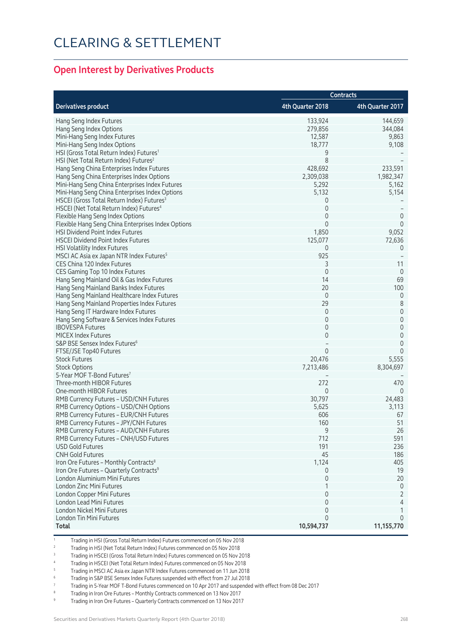### **Open Interest by Derivatives Products**

|                                                                        | <b>Contracts</b> |                     |  |
|------------------------------------------------------------------------|------------------|---------------------|--|
| <b>Derivatives product</b>                                             | 4th Quarter 2018 | 4th Quarter 2017    |  |
| Hang Seng Index Futures                                                | 133,924          | 144,659             |  |
| Hang Seng Index Options                                                | 279,856          | 344,084             |  |
| Mini-Hang Seng Index Futures                                           | 12,587           | 9,863               |  |
| Mini-Hang Seng Index Options                                           | 18,777           | 9,108               |  |
| HSI (Gross Total Return Index) Futures <sup>1</sup>                    | 9                |                     |  |
| HSI (Net Total Return Index) Futures <sup>2</sup>                      | 8                |                     |  |
| Hang Seng China Enterprises Index Futures                              | 428,692          | 233,591             |  |
| Hang Seng China Enterprises Index Options                              | 2,309,038        | 1,982,347           |  |
| Mini-Hang Seng China Enterprises Index Futures                         | 5,292            | 5,162               |  |
| Mini-Hang Seng China Enterprises Index Options                         | 5,132            | 5,154               |  |
| HSCEI (Gross Total Return Index) Futures <sup>3</sup>                  | 0                |                     |  |
| HSCEI (Net Total Return Index) Futures <sup>4</sup>                    | $\mathbf 0$      |                     |  |
| Flexible Hang Seng Index Options                                       | 0                | $\theta$            |  |
| Flexible Hang Seng China Enterprises Index Options                     | $\Omega$         | $\Omega$            |  |
| HSI Dividend Point Index Futures                                       | 1,850            | 9,052               |  |
| <b>HSCEI Dividend Point Index Futures</b>                              | 125,077          | 72,636              |  |
| <b>HSI Volatility Index Futures</b>                                    | 0                | $\theta$            |  |
| MSCI AC Asia ex Japan NTR Index Futures <sup>5</sup>                   | 925              |                     |  |
| CES China 120 Index Futures                                            | 3                | 11                  |  |
| CES Gaming Top 10 Index Futures                                        | $\mathbf 0$      | $\overline{0}$      |  |
| Hang Seng Mainland Oil & Gas Index Futures                             | 14               | 69                  |  |
| Hang Seng Mainland Banks Index Futures                                 | 20               | 100                 |  |
| Hang Seng Mainland Healthcare Index Futures                            | $\mathbf 0$      | $\mathbf 0$         |  |
|                                                                        | 29               | $\,8\,$             |  |
| Hang Seng Mainland Properties Index Futures                            | $\mathbf 0$      | $\mathsf{O}\xspace$ |  |
| Hang Seng IT Hardware Index Futures                                    | $\mathbf 0$      | $\mathsf{O}\xspace$ |  |
| Hang Seng Software & Services Index Futures<br><b>IBOVESPA Futures</b> | $\mathbf 0$      | $\mathsf{O}\xspace$ |  |
| <b>MICEX Index Futures</b>                                             | $\mathbf 0$      | $\mathsf{O}\xspace$ |  |
|                                                                        |                  | 0                   |  |
| S&P BSE Sensex Index Futures <sup>6</sup>                              | $\Omega$         | $\Omega$            |  |
| FTSE/JSE Top40 Futures                                                 |                  |                     |  |
| <b>Stock Futures</b>                                                   | 20,476           | 5,555               |  |
| <b>Stock Options</b>                                                   | 7,213,486        | 8,304,697           |  |
| 5-Year MOF T-Bond Futures <sup>7</sup>                                 |                  |                     |  |
| Three-month HIBOR Futures                                              | 272              | 470                 |  |
| One-month HIBOR Futures                                                | 0                | $\Omega$            |  |
| RMB Currency Futures - USD/CNH Futures                                 | 30,797           | 24,483              |  |
| RMB Currency Options - USD/CNH Options                                 | 5,625            | 3,113               |  |
| RMB Currency Futures - EUR/CNH Futures                                 | 606              | 67                  |  |
| RMB Currency Futures - JPY/CNH Futures                                 | 160              | 51                  |  |
| RMB Currency Futures – AUD/CNH Futures                                 | 9                | 26                  |  |
| RMB Currency Futures - CNH/USD Futures                                 | 712              | 591                 |  |
| <b>USD Gold Futures</b>                                                | 191              | 236                 |  |
| <b>CNH Gold Futures</b>                                                | 45               | 186                 |  |
| Iron Ore Futures - Monthly Contracts <sup>8</sup>                      | 1,124            | 405                 |  |
| Iron Ore Futures - Quarterly Contracts <sup>9</sup>                    | 0                | 19                  |  |
| London Aluminium Mini Futures                                          | $\mathbf 0$      | 20                  |  |
| London Zinc Mini Futures                                               |                  | $\theta$            |  |
| London Copper Mini Futures                                             | $\Omega$         | 2                   |  |
| London Lead Mini Futures                                               | 0                | 4                   |  |
| London Nickel Mini Futures                                             | $\Omega$         | 1                   |  |
| London Tin Mini Futures                                                | $\Omega$         | 0                   |  |
| <b>Total</b>                                                           | 10,594,737       | 11,155,770          |  |

1 Trading in HSI (Gross Total Return Index) Futures commenced on 05 Nov 2018

2 Trading in HSI (Net Total Return Index) Futures commenced on 05 Nov 2018

3 Trading in HSCEI (Gross Total Return Index) Futures commenced on 05 Nov 2018

4 Trading in HSCEI (Net Total Return Index) Futures commenced on 05 Nov 2018

5 Trading in MSCI AC Asia ex Japan NTR Index Futures commenced on 11 Jun 2018

6 Trading in S&P BSE Sensex Index Futures suspended with effect from 27 Jul 2018

7 Trading in 5-Year MOF T-Bond Futures commenced on 10 Apr 2017 and suspended with effect from 08 Dec 2017

8 Trading in Iron Ore Futures – Monthly Contracts commenced on 13 Nov 2017

9 Trading in Iron Ore Futures – Quarterly Contracts commenced on 13 Nov 2017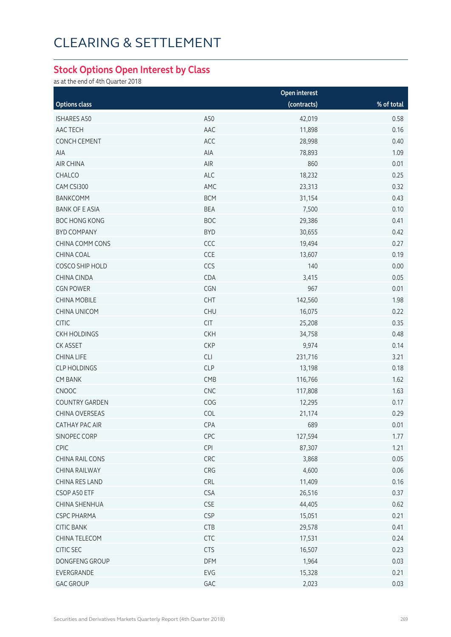## **Stock Options Open Interest by Class**

as at the end of 4th Quarter 2018

|                       |            | Open interest |              |
|-----------------------|------------|---------------|--------------|
| <b>Options class</b>  |            | (contracts)   | $%$ of total |
| <b>ISHARES A50</b>    | A50        | 42,019        | 0.58         |
| AAC TECH              | AAC        | 11,898        | 0.16         |
| CONCH CEMENT          | ACC        | 28,998        | 0.40         |
| AIA                   | AIA        | 78,893        | 1.09         |
| AIR CHINA             | AIR        | 860           | 0.01         |
| CHALCO                | <b>ALC</b> | 18,232        | 0.25         |
| CAM CSI300            | AMC        | 23,313        | 0.32         |
| <b>BANKCOMM</b>       | <b>BCM</b> | 31,154        | 0.43         |
| <b>BANK OF E ASIA</b> | <b>BEA</b> | 7,500         | 0.10         |
| <b>BOC HONG KONG</b>  | <b>BOC</b> | 29,386        | 0.41         |
| <b>BYD COMPANY</b>    | <b>BYD</b> | 30,655        | 0.42         |
| CHINA COMM CONS       | CCC        | 19,494        | 0.27         |
| CHINA COAL            | CCE        | 13,607        | 0.19         |
| COSCO SHIP HOLD       | CCS        | 140           | 0.00         |
| <b>CHINA CINDA</b>    | CDA        | 3,415         | 0.05         |
| <b>CGN POWER</b>      | CGN        | 967           | 0.01         |
| <b>CHINA MOBILE</b>   | <b>CHT</b> | 142,560       | 1.98         |
| <b>CHINA UNICOM</b>   | <b>CHU</b> | 16,075        | 0.22         |
| <b>CITIC</b>          | CIT        | 25,208        | 0.35         |
| <b>CKH HOLDINGS</b>   | <b>CKH</b> | 34,758        | 0.48         |
| CK ASSET              | <b>CKP</b> | 9,974         | 0.14         |
| <b>CHINA LIFE</b>     | CLI        | 231,716       | 3.21         |
| <b>CLP HOLDINGS</b>   | <b>CLP</b> | 13,198        | 0.18         |
| <b>CM BANK</b>        | CMB        | 116,766       | 1.62         |
| CNOOC                 | CNC        | 117,808       | 1.63         |
| <b>COUNTRY GARDEN</b> | COG        | 12,295        | 0.17         |
| CHINA OVERSEAS        | COL        | 21,174        | 0.29         |
| CATHAY PAC AIR        | CPA        | 689           | 0.01         |
| SINOPEC CORP          | CPC        | 127,594       | 1.77         |
| CPIC                  | <b>CPI</b> | 87,307        | 1.21         |
| CHINA RAIL CONS       | CRC        | 3,868         | 0.05         |
| CHINA RAILWAY         | CRG        | 4,600         | 0.06         |
| CHINA RES LAND        | <b>CRL</b> | 11,409        | 0.16         |
| CSOP A50 ETF          | <b>CSA</b> | 26,516        | 0.37         |
| <b>CHINA SHENHUA</b>  | <b>CSE</b> | 44,405        | 0.62         |
| <b>CSPC PHARMA</b>    | <b>CSP</b> | 15,051        | 0.21         |
| <b>CITIC BANK</b>     | <b>CTB</b> | 29,578        | 0.41         |
| CHINA TELECOM         | <b>CTC</b> | 17,531        | 0.24         |
| CITIC SEC             | <b>CTS</b> | 16,507        | 0.23         |
| DONGFENG GROUP        | <b>DFM</b> | 1,964         | 0.03         |
| EVERGRANDE            | EVG        | 15,328        | 0.21         |
| <b>GAC GROUP</b>      | GAC        | 2,023         | 0.03         |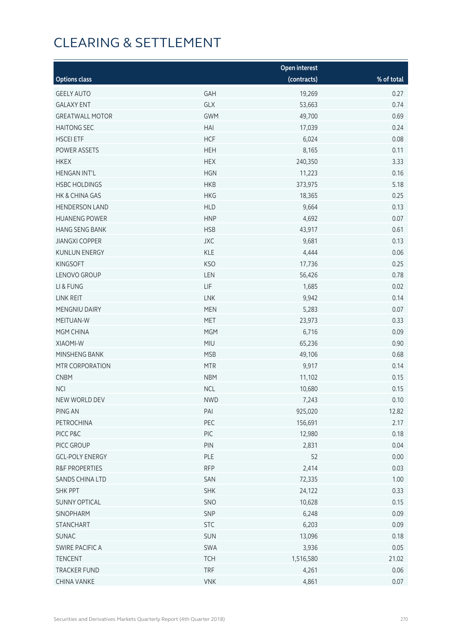|                        |            | <b>Open interest</b> |            |
|------------------------|------------|----------------------|------------|
| <b>Options class</b>   |            | (contracts)          | % of total |
| <b>GEELY AUTO</b>      | GAH        | 19,269               | 0.27       |
| <b>GALAXY ENT</b>      | GLX        | 53,663               | 0.74       |
| <b>GREATWALL MOTOR</b> | <b>GWM</b> | 49,700               | 0.69       |
| <b>HAITONG SEC</b>     | HAI        | 17,039               | 0.24       |
| <b>HSCEI ETF</b>       | <b>HCF</b> | 6,024                | 0.08       |
| POWER ASSETS           | <b>HEH</b> | 8,165                | 0.11       |
| <b>HKEX</b>            | <b>HEX</b> | 240,350              | 3.33       |
| <b>HENGAN INT'L</b>    | <b>HGN</b> | 11,223               | 0.16       |
| <b>HSBC HOLDINGS</b>   | <b>HKB</b> | 373,975              | 5.18       |
| HK & CHINA GAS         | <b>HKG</b> | 18,365               | 0.25       |
| <b>HENDERSON LAND</b>  | <b>HLD</b> | 9,664                | 0.13       |
| <b>HUANENG POWER</b>   | <b>HNP</b> | 4,692                | 0.07       |
| <b>HANG SENG BANK</b>  | <b>HSB</b> | 43,917               | 0.61       |
| <b>JIANGXI COPPER</b>  | <b>JXC</b> | 9,681                | 0.13       |
| <b>KUNLUN ENERGY</b>   | KLE        | 4,444                | 0.06       |
| <b>KINGSOFT</b>        | <b>KSO</b> | 17,736               | 0.25       |
| LENOVO GROUP           | LEN        | 56,426               | 0.78       |
| LI & FUNG              | LIF        | 1,685                | 0.02       |
| LINK REIT              | LNK        | 9,942                | 0.14       |
| MENGNIU DAIRY          | <b>MEN</b> | 5,283                | 0.07       |
| MEITUAN-W              | <b>MET</b> | 23,973               | 0.33       |
| MGM CHINA              | <b>MGM</b> | 6,716                | 0.09       |
| XIAOMI-W               | <b>MIU</b> | 65,236               | 0.90       |
| MINSHENG BANK          | <b>MSB</b> | 49,106               | 0.68       |
| MTR CORPORATION        | <b>MTR</b> | 9,917                | 0.14       |
| <b>CNBM</b>            | <b>NBM</b> | 11,102               | 0.15       |
| <b>NCI</b>             | <b>NCL</b> | 10,680               | 0.15       |
| NEW WORLD DEV          | <b>NWD</b> | 7,243                | 0.10       |
| PING AN                | PAI        | 925,020              | 12.82      |
| PETROCHINA             | PEC        | 156,691              | 2.17       |
| PICC P&C               | PIC        | 12,980               | 0.18       |
| PICC GROUP             | PIN        | 2,831                | 0.04       |
| <b>GCL-POLY ENERGY</b> | PLE        | 52                   | 0.00       |
| R&F PROPERTIES         | <b>RFP</b> | 2,414                | 0.03       |
| SANDS CHINA LTD        | SAN        | 72,335               | 1.00       |
| SHK PPT                | <b>SHK</b> | 24,122               | 0.33       |
| <b>SUNNY OPTICAL</b>   | SNO        | 10,628               | 0.15       |
| SINOPHARM              | SNP        | 6,248                | 0.09       |
| STANCHART              | <b>STC</b> | 6,203                | 0.09       |
| SUNAC                  | SUN        | 13,096               | 0.18       |
| SWIRE PACIFIC A        | SWA        | 3,936                | 0.05       |
| <b>TENCENT</b>         | <b>TCH</b> |                      | 21.02      |
|                        |            | 1,516,580            |            |
| <b>TRACKER FUND</b>    | <b>TRF</b> | 4,261                | 0.06       |
| CHINA VANKE            | <b>VNK</b> | 4,861                | 0.07       |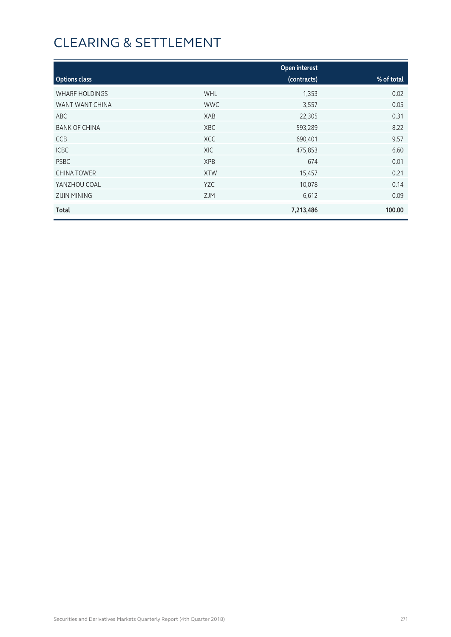|                       |            | Open interest |            |
|-----------------------|------------|---------------|------------|
| <b>Options class</b>  |            | (contracts)   | % of total |
| <b>WHARF HOLDINGS</b> | <b>WHL</b> | 1,353         | 0.02       |
| WANT WANT CHINA       | <b>WWC</b> | 3,557         | 0.05       |
| ABC                   | XAB        | 22,305        | 0.31       |
| <b>BANK OF CHINA</b>  | <b>XBC</b> | 593,289       | 8.22       |
| <b>CCB</b>            | <b>XCC</b> | 690,401       | 9.57       |
| <b>ICBC</b>           | XIC        | 475,853       | 6.60       |
| <b>PSBC</b>           | <b>XPB</b> | 674           | 0.01       |
| <b>CHINA TOWER</b>    | <b>XTW</b> | 15,457        | 0.21       |
| YANZHOU COAL          | <b>YZC</b> | 10,078        | 0.14       |
| <b>ZIJIN MINING</b>   | <b>ZJM</b> | 6,612         | 0.09       |
| <b>Total</b>          |            | 7,213,486     | 100.00     |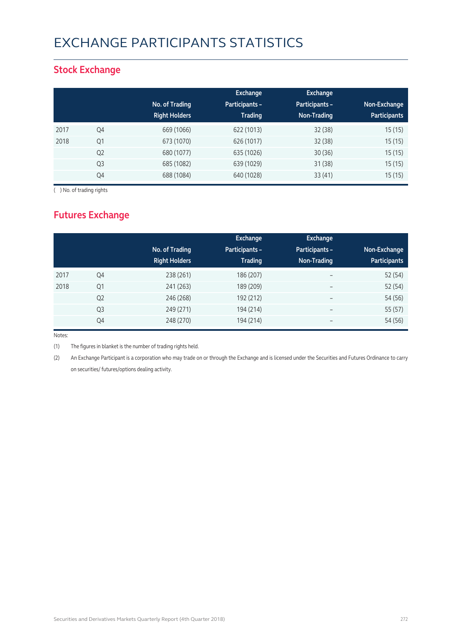# EXCHANGE PARTICIPANTS STATISTICS

### **Stock Exchange**

|      |                | No. of Trading<br><b>Right Holders</b> | Exchange<br><b>Participants -</b><br><b>Trading</b> | <b>Exchange</b><br>Participants -<br>Non-Trading | Non-Exchange<br><b>Participants</b> |
|------|----------------|----------------------------------------|-----------------------------------------------------|--------------------------------------------------|-------------------------------------|
| 2017 | Q4             | 669 (1066)                             | 622 (1013)                                          | 32(38)                                           | 15(15)                              |
| 2018 | Q1             | 673 (1070)                             | 626 (1017)                                          | 32(38)                                           | 15(15)                              |
|      | Q <sub>2</sub> | 680 (1077)                             | 635 (1026)                                          | 30(36)                                           | 15(15)                              |
|      | Q3             | 685 (1082)                             | 639 (1029)                                          | 31(38)                                           | 15(15)                              |
|      | Q4             | 688 (1084)                             | 640 (1028)                                          | 33(41)                                           | 15(15)                              |

( ) No. of trading rights

## **Futures Exchange**

|      |                | No. of Trading<br><b>Right Holders</b> | Exchange<br><b>Participants -</b><br><b>Trading</b> | <b>Exchange</b><br>Participants -<br>Non-Trading | Non-Exchange<br><b>Participants</b> |
|------|----------------|----------------------------------------|-----------------------------------------------------|--------------------------------------------------|-------------------------------------|
| 2017 | Q4             | 238 (261)                              | 186 (207)                                           | $\overline{\phantom{a}}$                         | 52 (54)                             |
| 2018 | Q1             | 241 (263)                              | 189 (209)                                           | $\overline{\phantom{0}}$                         | 52 (54)                             |
|      | Q <sub>2</sub> | 246 (268)                              | 192 (212)                                           | $\overline{\phantom{m}}$                         | 54 (56)                             |
|      | Q3             | 249 (271)                              | 194 (214)                                           | $\overline{\phantom{m}}$                         | 55 (57)                             |
|      | Q4             | 248 (270)                              | 194 (214)                                           | $\overline{\phantom{m}}$                         | 54 (56)                             |

Notes:

(1) The figures in blanket is the number of trading rights held.

(2) An Exchange Participant is a corporation who may trade on or through the Exchange and is licensed under the Securities and Futures Ordinance to carry on securities/ futures/options dealing activity.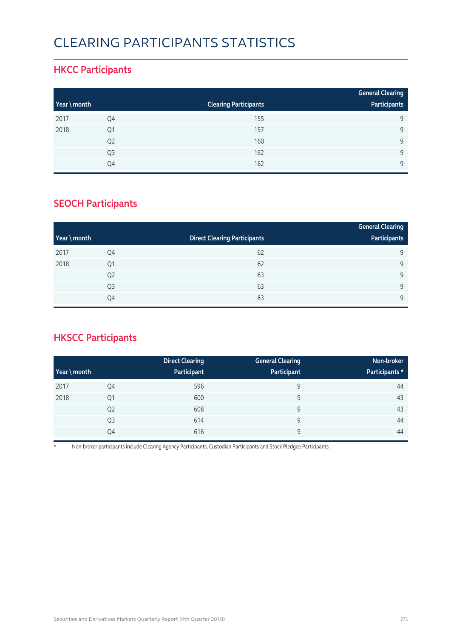# CLEARING PARTICIPANTS STATISTICS

### **HKCC Participants**

|              |                |                              | <b>General Clearing</b> |
|--------------|----------------|------------------------------|-------------------------|
| Year \ month |                | <b>Clearing Participants</b> | Participants            |
| 2017         | Q4             | 155                          | q                       |
| 2018         | Q1             | 157                          | 9                       |
|              | Q <sub>2</sub> | 160                          | 9                       |
|              | Q <sub>3</sub> | 162                          | $\Omega$                |
|              | Q4             | 162                          | Q                       |

### **SEOCH Participants**

|              |                |                                     | <b>General Clearing</b> |
|--------------|----------------|-------------------------------------|-------------------------|
| Year \ month |                | <b>Direct Clearing Participants</b> | Participants            |
| 2017         | Q4             | 62                                  | 9                       |
| 2018         | Q1             | 62                                  | 9                       |
|              | Q <sub>2</sub> | 63                                  | 9                       |
|              | Q <sub>3</sub> | 63                                  | 9                       |
|              | Q4             | 63                                  | $\mathsf{Q}$            |

## **HKSCC Participants**

|           |                | <b>Direct Clearing</b> | <b>General Clearing</b> | Non-broker     |
|-----------|----------------|------------------------|-------------------------|----------------|
| $Year \n$ |                | Participant            | Participant             | Participants * |
| 2017      | Q4             | 596                    | 9                       | 44             |
| 2018      | Q1             | 600                    | 9                       | 43             |
|           | Q <sub>2</sub> | 608                    | 9                       | 43             |
|           | Q <sub>3</sub> | 614                    | 9                       | 44             |
|           | Q4             | 616                    | 9                       | 44             |

\* Non-broker participants include Clearing Agency Participants, Custodian Participants and Stock Pledgee Participants.